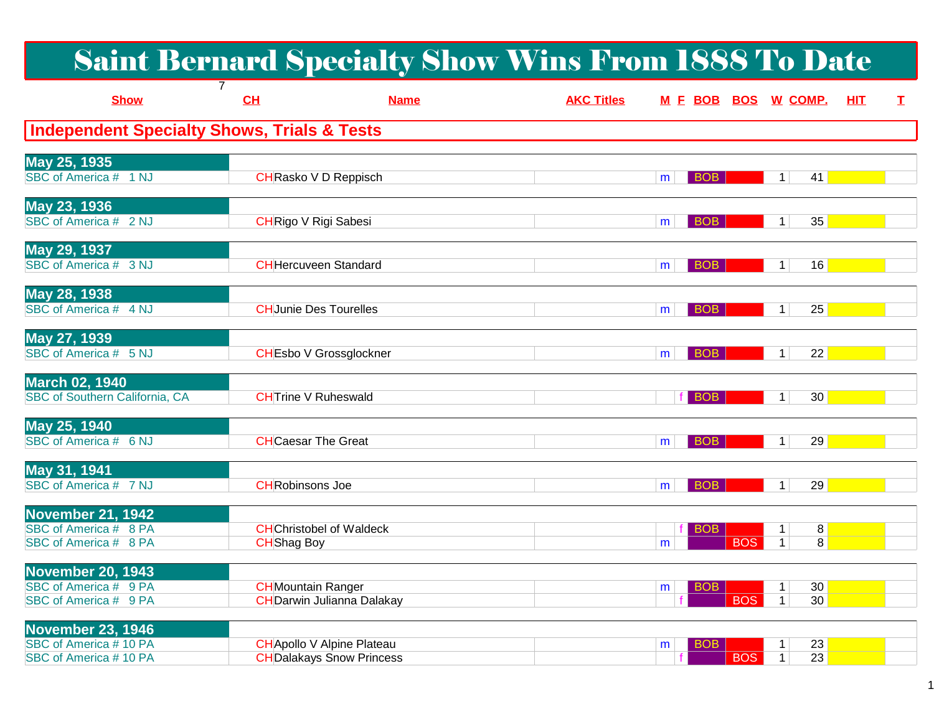|                                                                            |                             | <b>Saint Bernard Specialty Show Wins From 1888 To Date</b>            |                   |                               |                                                      |    |
|----------------------------------------------------------------------------|-----------------------------|-----------------------------------------------------------------------|-------------------|-------------------------------|------------------------------------------------------|----|
| <b>Show</b>                                                                | CL                          | <b>Name</b>                                                           | <b>AKC Titles</b> | M E BOB BOS W COMP.           | <b>HIT</b>                                           | I. |
| <b>Independent Specialty Shows, Trials &amp; Tests</b>                     |                             |                                                                       |                   |                               |                                                      |    |
| May 25, 1935<br>SBC of America # 1 NJ                                      |                             | CHRasko V D Reppisch                                                  |                   | <b>BOB</b><br>m               | $1\vert$<br>41                                       |    |
| May 23, 1936<br>SBC of America # 2 NJ                                      | <b>CHRigo V Rigi Sabesi</b> |                                                                       |                   | <b>BOB</b><br>m               | 35<br>1 <sup>1</sup>                                 |    |
| May 29, 1937<br>SBC of America # 3 NJ                                      |                             | <b>CH</b> Hercuveen Standard                                          |                   | <b>BOB</b><br>m               | 16<br>1 <sup>1</sup>                                 |    |
| May 28, 1938<br>SBC of America # 4 NJ                                      |                             | <b>CHJunie Des Tourelles</b>                                          |                   | <b>BOB</b><br>m               | 25<br>1                                              |    |
| May 27, 1939<br>SBC of America # 5 NJ                                      |                             | <b>CHEsbo V Grossglockner</b>                                         |                   | <b>BOB</b><br>m               | 22<br>1 <sup>1</sup>                                 |    |
| <b>March 02, 1940</b><br>SBC of Southern California, CA                    | <b>CHTrine V Ruheswald</b>  |                                                                       |                   | f BOB                         | 30<br>1 <sup>1</sup>                                 |    |
| May 25, 1940<br>SBC of America # 6 NJ                                      | <b>CH</b> Caesar The Great  |                                                                       |                   | <b>BOB</b><br>m               | 29<br>1 <sup>1</sup>                                 |    |
| May 31, 1941<br>SBC of America # 7 NJ                                      | <b>CHRobinsons Joe</b>      |                                                                       |                   | <b>BOB</b><br>m               | 29<br>1                                              |    |
| November 21, 1942<br>SBC of America # 8 PA<br>SBC of America # 8 PA        | <b>CH</b> Shag Boy          | <b>CH</b> Christobel of Waldeck                                       |                   | <b>BOB</b><br><b>BOS</b><br>m | 8<br>1<br>$\overline{8}$<br>$\mathbf{1}$             |    |
| <b>November 20, 1943</b><br>SBC of America # 9 PA<br>SBC of America # 9 PA | <b>CH</b> Mountain Ranger   | <b>CH</b> Darwin Julianna Dalakay                                     |                   | <b>BOB</b><br>m<br><b>BOS</b> | 30 <sup>°</sup><br>$\mathbf 1$<br>30<br>$\mathbf{1}$ |    |
| <b>November 23, 1946</b><br>SBC of America #10 PA<br>SBC of America #10 PA |                             | <b>CH</b> Apollo V Alpine Plateau<br><b>CH</b> Dalakays Snow Princess |                   | <b>BOB</b><br>m<br><b>BOS</b> | 23<br>1<br>$\overline{23}$<br>$\mathbf 1$            |    |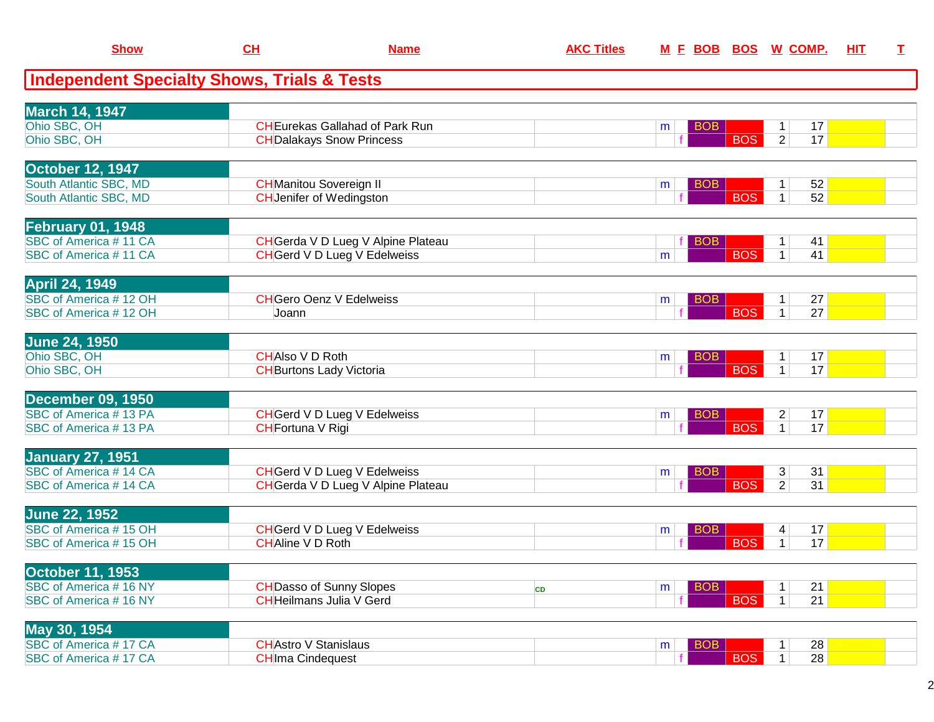| <b>Show</b>                                            | CH                           | <b>Name</b>                                                       | <b>AKC Titles</b> | M E BOB BOS W COMP. |            |                                    | HIT | $\mathbf{T}$ |
|--------------------------------------------------------|------------------------------|-------------------------------------------------------------------|-------------------|---------------------|------------|------------------------------------|-----|--------------|
| <b>Independent Specialty Shows, Trials &amp; Tests</b> |                              |                                                                   |                   |                     |            |                                    |     |              |
| <b>March 14, 1947</b>                                  |                              |                                                                   |                   |                     |            |                                    |     |              |
| Ohio SBC, OH                                           |                              | <b>CHEurekas Gallahad of Park Run</b>                             |                   | <b>BOB</b><br>m     |            | 17<br>$\mathbf{1}$                 |     |              |
| Ohio SBC, OH                                           |                              | <b>CH</b> Dalakays Snow Princess                                  |                   |                     | <b>BOS</b> | $\overline{2}$<br>17               |     |              |
| <b>October 12, 1947</b>                                |                              |                                                                   |                   |                     |            |                                    |     |              |
| South Atlantic SBC, MD                                 |                              | <b>CH</b> Manitou Sovereign II                                    |                   | <b>BOB</b><br>m     |            | 52<br>$\mathbf{1}$                 |     |              |
| South Atlantic SBC, MD                                 |                              | <b>CH</b> Jenifer of Wedingston                                   |                   |                     | <b>BOS</b> | 52<br>$\mathbf{1}$                 |     |              |
| <b>February 01, 1948</b>                               |                              |                                                                   |                   |                     |            |                                    |     |              |
| SBC of America #11 CA                                  |                              | CH Gerda V D Lueg V Alpine Plateau                                |                   | <b>BOB</b>          |            | 41<br>$\mathbf 1$                  |     |              |
| SBC of America #11 CA                                  |                              | <b>CH</b> Gerd V D Lueg V Edelweiss                               |                   | m                   | <b>BOS</b> | $\mathbf{1}$<br>41                 |     |              |
| <b>April 24, 1949</b>                                  |                              |                                                                   |                   |                     |            |                                    |     |              |
| SBC of America #12 OH                                  |                              | <b>CH</b> Gero Oenz V Edelweiss                                   |                   | <b>BOB</b><br>m     |            | 27<br>$\mathbf 1$                  |     |              |
| SBC of America #12 OH                                  | Joann                        |                                                                   |                   |                     | <b>BOS</b> | $\overline{27}$<br>$\mathbf{1}$    |     |              |
| <b>June 24, 1950</b>                                   |                              |                                                                   |                   |                     |            |                                    |     |              |
| Ohio SBC, OH                                           | <b>CHAIso VD Roth</b>        |                                                                   |                   | <b>BOB</b><br>m     |            | 17<br>1                            |     |              |
| Ohio SBC, OH                                           |                              | <b>CH</b> Burtons Lady Victoria                                   |                   |                     | <b>BOS</b> | $\mathbf{1}$<br>17                 |     |              |
| <b>December 09, 1950</b>                               |                              |                                                                   |                   |                     |            |                                    |     |              |
| SBC of America #13 PA                                  |                              | <b>CH</b> Gerd V D Lueg V Edelweiss                               |                   | <b>BOB</b><br>m     |            | $\overline{2}$<br>17               |     |              |
| <b>SBC of America #13 PA</b>                           | <b>CHFortuna V Rigi</b>      |                                                                   |                   |                     | <b>BOS</b> | 17<br>$\mathbf 1$                  |     |              |
| <b>January 27, 1951</b>                                |                              |                                                                   |                   |                     |            |                                    |     |              |
| <b>SBC of America #14 CA</b>                           |                              | <b>CH</b> Gerd V D Lueg V Edelweiss                               |                   | <b>BOB</b><br>m     | <b>BOS</b> | 31<br>3<br>31<br>2                 |     |              |
| SBC of America #14 CA                                  |                              | CH Gerda V D Lueg V Alpine Plateau                                |                   |                     |            |                                    |     |              |
| <b>June 22, 1952</b>                                   |                              |                                                                   |                   |                     |            |                                    |     |              |
| SBC of America #15 OH                                  | <b>CHAline V D Roth</b>      | <b>CH</b> Gerd V D Lueg V Edelweiss                               |                   | <b>BOB</b><br>m     |            | 17<br>4 <br>17<br>$\mathbf 1$      |     |              |
| SBC of America #15 OH                                  |                              |                                                                   |                   |                     | <b>BOS</b> |                                    |     |              |
| <b>October 11, 1953</b>                                |                              |                                                                   |                   |                     |            |                                    |     |              |
| SBC of America #16 NY<br>SBC of America #16 NY         |                              | <b>CH</b> Dasso of Sunny Slopes<br><b>CHHeilmans Julia V Gerd</b> | CD                | <b>BOB</b><br>m     | <b>BOS</b> | 21<br>21<br>$\mathbf{1}$           |     |              |
|                                                        |                              |                                                                   |                   |                     |            |                                    |     |              |
| May 30, 1954                                           |                              |                                                                   |                   |                     |            |                                    |     |              |
| SBC of America #17 CA<br>SBC of America #17 CA         | <b>CH</b> Astro V Stanislaus |                                                                   |                   | <b>BOB</b><br>m     | <b>BOS</b> | 28<br>$\overline{28}$<br>$\vert$ 1 |     |              |
|                                                        | <b>CHIma Cindequest</b>      |                                                                   |                   |                     |            |                                    |     |              |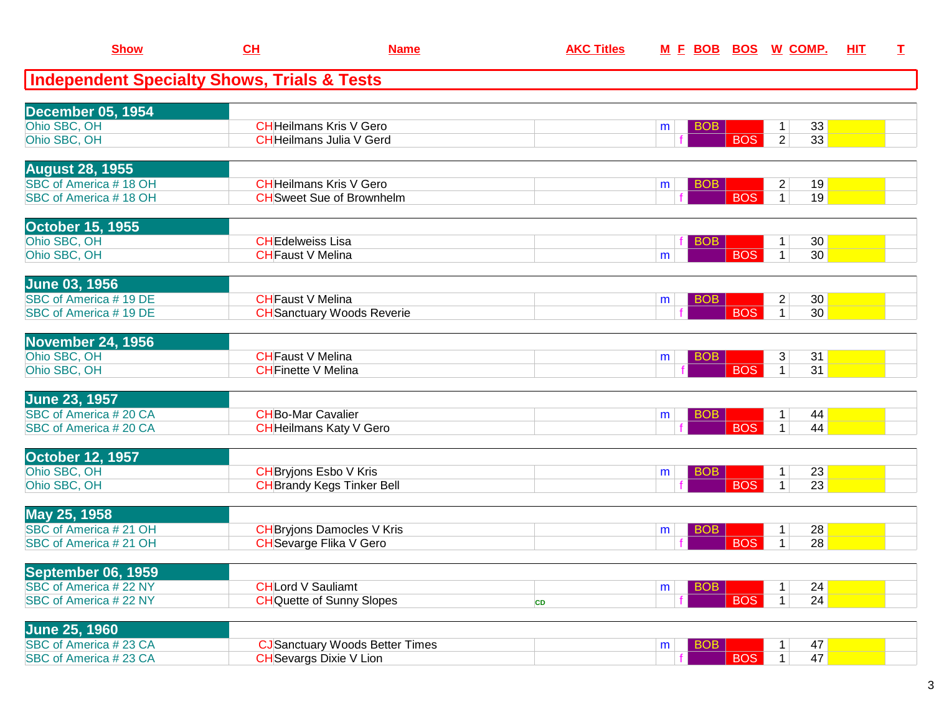| <b>Show</b>                                            | CH                         | <b>Name</b>                            | <b>AKC Titles</b> | <u>M E BOB BOS W COMP.</u> |            |                                 | <b>HIT</b> | Т. |
|--------------------------------------------------------|----------------------------|----------------------------------------|-------------------|----------------------------|------------|---------------------------------|------------|----|
| <b>Independent Specialty Shows, Trials &amp; Tests</b> |                            |                                        |                   |                            |            |                                 |            |    |
| <b>December 05, 1954</b>                               |                            |                                        |                   |                            |            |                                 |            |    |
| Ohio SBC, OH                                           |                            | <b>CHHeilmans Kris V Gero</b>          |                   | <b>BOB</b><br>m            |            | 33<br>$\mathbf 1$               |            |    |
| Ohio SBC, OH                                           |                            | <b>CH</b> Heilmans Julia V Gerd        |                   |                            | <b>BOS</b> | 33<br>$\overline{2}$            |            |    |
| <b>August 28, 1955</b>                                 |                            |                                        |                   |                            |            |                                 |            |    |
| SBC of America #18 OH                                  |                            | <b>CHHeilmans Kris V Gero</b>          |                   | <b>BOB</b><br>m            |            | 19<br>$\overline{2}$            |            |    |
| SBC of America #18 OH                                  |                            | <b>CH</b> Sweet Sue of Brownhelm       |                   |                            | <b>BOS</b> | 19<br>$\mathbf{1}$              |            |    |
| <b>October 15, 1955</b>                                |                            |                                        |                   |                            |            |                                 |            |    |
| Ohio SBC, OH                                           | <b>CHEdelweiss Lisa</b>    |                                        |                   | <b>BOB</b>                 |            | 30<br>$\mathbf 1$               |            |    |
| Ohio SBC, OH                                           | <b>CHFaust V Melina</b>    |                                        |                   | m                          | <b>BOS</b> | 30<br>$\mathbf{1}$              |            |    |
| <b>June 03, 1956</b>                                   |                            |                                        |                   |                            |            |                                 |            |    |
| SBC of America #19 DE                                  | <b>CHFaust V Melina</b>    |                                        |                   | <b>BOB</b><br>m            |            | 30<br>$\overline{2}$            |            |    |
| SBC of America #19 DE                                  |                            | <b>CH</b> Sanctuary Woods Reverie      |                   |                            | <b>BOS</b> | 30 <sup>2</sup><br>$\mathbf{1}$ |            |    |
| <b>November 24, 1956</b>                               |                            |                                        |                   |                            |            |                                 |            |    |
| Ohio SBC, OH                                           | <b>CHFaust V Melina</b>    |                                        |                   | <b>BOB</b><br>m            |            | 31<br>3                         |            |    |
| Ohio SBC, OH                                           | <b>CH</b> Finette V Melina |                                        |                   |                            | <b>BOS</b> | $\overline{31}$<br>$\mathbf{1}$ |            |    |
| <b>June 23, 1957</b>                                   |                            |                                        |                   |                            |            |                                 |            |    |
| SBC of America #20 CA                                  | <b>CHBo-Mar Cavalier</b>   |                                        |                   | <b>BOB</b><br>m            |            | 44                              |            |    |
| SBC of America #20 CA                                  |                            | <b>CH</b> Heilmans Katy V Gero         |                   |                            | <b>BOS</b> | $\mathbf{1}$<br>44              |            |    |
| October 12, 1957                                       |                            |                                        |                   |                            |            |                                 |            |    |
| Ohio SBC, OH                                           |                            | <b>CH</b> Bryjons Esbo V Kris          |                   | <b>BOB</b><br>m            |            | 23<br>1                         |            |    |
| Ohio SBC, OH                                           |                            | <b>CH</b> Brandy Kegs Tinker Bell      |                   |                            | <b>BOS</b> | 23<br>$\mathbf{1}$              |            |    |
| May 25, 1958                                           |                            |                                        |                   |                            |            |                                 |            |    |
| SBC of America #21 OH                                  |                            | <b>CH</b> Bryjons Damocles V Kris      |                   | <b>BOB</b><br>m            |            | 28<br>$\mathbf 1$               |            |    |
| SBC of America #21 OH                                  |                            | <b>CH</b> Sevarge Flika V Gero         |                   |                            | <b>BOS</b> | 28<br>$\mathbf 1$               |            |    |
| September 06, 1959                                     |                            |                                        |                   |                            |            |                                 |            |    |
| SBC of America # 22 NY                                 | <b>CHLord V Sauliamt</b>   |                                        |                   | <b>BOB</b><br>m            |            | 24                              |            |    |
| SBC of America # 22 NY                                 |                            | <b>CHQuette of Sunny Slopes</b>        | CD                |                            | <b>BOS</b> | 24<br>$\mathbf{1}$              |            |    |
| <b>June 25, 1960</b>                                   |                            |                                        |                   |                            |            |                                 |            |    |
| SBC of America #23 CA                                  |                            | <b>CJ</b> Sanctuary Woods Better Times |                   | <b>BOB</b><br>m            |            | 47                              |            |    |
| SBC of America #23 CA                                  |                            | <b>CH</b> Sevargs Dixie V Lion         |                   |                            | <b>BOS</b> | 47<br>$\vert$ 1                 |            |    |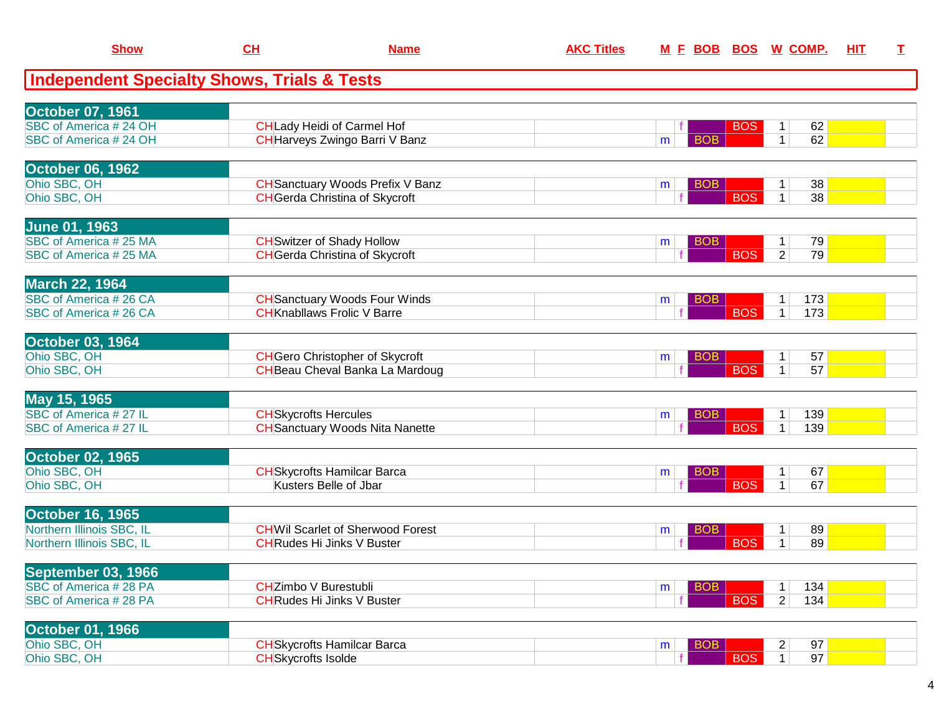| <b>Show</b>                                            | CL                           | <b>Name</b>                             | <b>AKC Titles</b> |                 |            | M E BOB BOS W COMP.   | HIT | $\mathbf I$ |
|--------------------------------------------------------|------------------------------|-----------------------------------------|-------------------|-----------------|------------|-----------------------|-----|-------------|
| <b>Independent Specialty Shows, Trials &amp; Tests</b> |                              |                                         |                   |                 |            |                       |     |             |
| <b>October 07, 1961</b>                                |                              |                                         |                   |                 |            |                       |     |             |
| SBC of America # 24 OH                                 |                              | <b>CH</b> Lady Heidi of Carmel Hof      |                   |                 | <b>BOS</b> | 62<br>1               |     |             |
| SBC of America # 24 OH                                 |                              | CH Harveys Zwingo Barri V Banz          |                   | <b>BOB</b><br>m |            | 62<br>$\mathbf{1}$    |     |             |
| <b>October 06, 1962</b>                                |                              |                                         |                   |                 |            |                       |     |             |
| Ohio SBC, OH                                           |                              | <b>CH</b> Sanctuary Woods Prefix V Banz |                   | <b>BOB</b><br>m |            | 38<br>$\mathbf 1$     |     |             |
| Ohio SBC, OH                                           |                              | <b>CH</b> Gerda Christina of Skycroft   |                   |                 | <b>BOS</b> | 38<br>$\mathbf{1}$    |     |             |
| <b>June 01, 1963</b>                                   |                              |                                         |                   |                 |            |                       |     |             |
| SBC of America #25 MA                                  |                              | <b>CH</b> Switzer of Shady Hollow       |                   | <b>BOB</b><br>m |            | 79<br>$\mathbf 1$     |     |             |
| SBC of America # 25 MA                                 |                              | <b>CH</b> Gerda Christina of Skycroft   |                   |                 | <b>BOS</b> | $\overline{2}$<br>79  |     |             |
| <b>March 22, 1964</b>                                  |                              |                                         |                   |                 |            |                       |     |             |
| SBC of America #26 CA                                  |                              | <b>CH</b> Sanctuary Woods Four Winds    |                   | <b>BOB</b><br>m |            | 173<br>1              |     |             |
| SBC of America #26 CA                                  |                              | <b>CH</b> Knabllaws Frolic V Barre      |                   |                 | <b>BOS</b> | $\mathbf{1}$<br>173   |     |             |
| <b>October 03, 1964</b>                                |                              |                                         |                   |                 |            |                       |     |             |
| Ohio SBC, OH                                           |                              | <b>CH</b> Gero Christopher of Skycroft  |                   | <b>BOB</b><br>m |            | 57<br>1               |     |             |
| Ohio SBC, OH                                           |                              | <b>CH</b> Beau Cheval Banka La Mardoug  |                   |                 | <b>BOS</b> | 57<br>$\mathbf 1$     |     |             |
| May 15, 1965                                           |                              |                                         |                   |                 |            |                       |     |             |
| SBC of America # 27 IL                                 | <b>CH</b> Skycrofts Hercules |                                         |                   | <b>BOB</b><br>m |            | 139<br>1              |     |             |
| SBC of America #27 IL                                  |                              | <b>CH</b> Sanctuary Woods Nita Nanette  |                   |                 | <b>BOS</b> | 139<br>$\mathbf{1}$   |     |             |
| <b>October 02, 1965</b>                                |                              |                                         |                   |                 |            |                       |     |             |
| Ohio SBC, OH                                           |                              | <b>CH</b> Skycrofts Hamilcar Barca      |                   | <b>BOB</b><br>m |            | 67<br>$\mathbf 1$     |     |             |
| Ohio SBC, OH                                           |                              | Kusters Belle of Jbar                   |                   |                 | <b>BOS</b> | $\mathbf{1}$<br>67    |     |             |
| <b>October 16, 1965</b>                                |                              |                                         |                   |                 |            |                       |     |             |
| Northern Illinois SBC, IL                              |                              | <b>CHWil Scarlet of Sherwood Forest</b> |                   | <b>BOB</b><br>m |            | 89<br>$\mathbf 1$     |     |             |
| Northern Illinois SBC, IL                              |                              | <b>CH</b> Rudes Hi Jinks V Buster       |                   |                 | <b>BOS</b> | $\mathbf{1}$<br>89    |     |             |
| September 03, 1966                                     |                              |                                         |                   |                 |            |                       |     |             |
| SBC of America #28 PA                                  | <b>CH</b> Zimbo V Burestubli |                                         |                   | <b>BOB</b><br>m |            | 134<br>$\mathbf 1$    |     |             |
| SBC of America #28 PA                                  |                              | <b>CHRudes Hi Jinks V Buster</b>        |                   |                 | <b>BOS</b> | $\overline{2}$<br>134 |     |             |
| <b>October 01, 1966</b>                                |                              |                                         |                   |                 |            |                       |     |             |
| Ohio SBC, OH                                           |                              | <b>CH</b> Skycrofts Hamilcar Barca      |                   | <b>BOB</b><br>m |            | 97<br>$\overline{c}$  |     |             |
| Ohio SBC, OH                                           | <b>CH</b> Skycrofts Isolde   |                                         |                   |                 | <b>BOS</b> | 97<br>1               |     |             |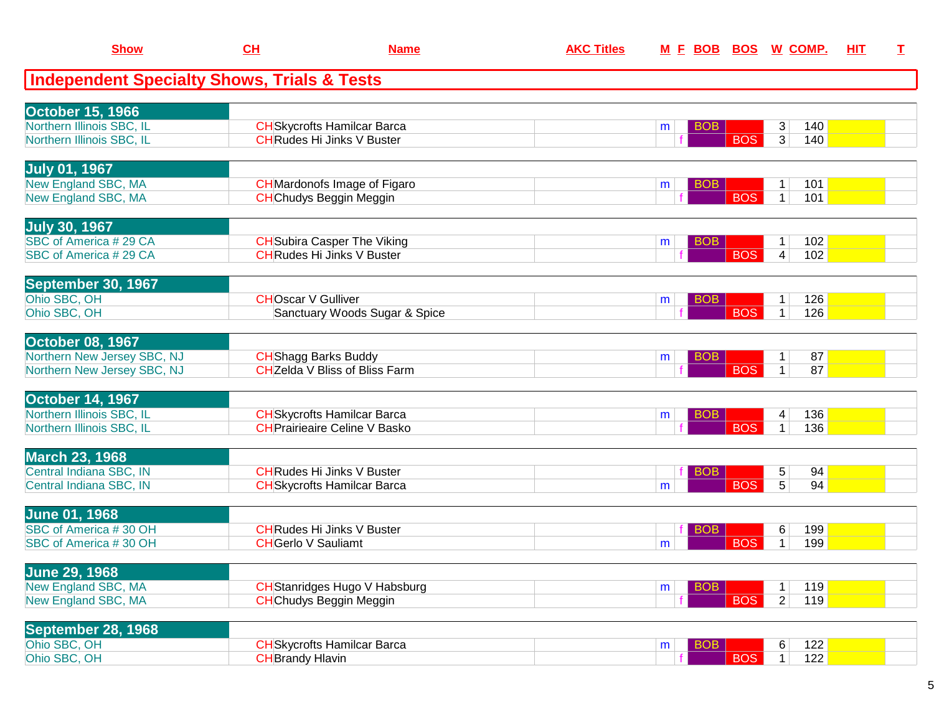| <b>Show</b>                                            | CH                         | <b>Name</b>                           | <b>AKC Titles</b> |                 |            | M E BOB BOS W COMP.       | HIT | $\mathbf I$ |
|--------------------------------------------------------|----------------------------|---------------------------------------|-------------------|-----------------|------------|---------------------------|-----|-------------|
| <b>Independent Specialty Shows, Trials &amp; Tests</b> |                            |                                       |                   |                 |            |                           |     |             |
| <b>October 15, 1966</b>                                |                            |                                       |                   |                 |            |                           |     |             |
| Northern Illinois SBC, IL                              |                            | <b>CH</b> Skycrofts Hamilcar Barca    |                   | BOB<br>m        |            | 3<br>140                  |     |             |
| Northern Illinois SBC, IL                              |                            | <b>CHRudes Hi Jinks V Buster</b>      |                   |                 | <b>BOS</b> | $\overline{3}$<br>140     |     |             |
| <b>July 01, 1967</b>                                   |                            |                                       |                   |                 |            |                           |     |             |
| New England SBC, MA                                    |                            | <b>CH</b> Mardonofs Image of Figaro   |                   | <b>BOB</b><br>m |            | 101<br>1                  |     |             |
| New England SBC, MA                                    |                            | <b>CH</b> Chudys Beggin Meggin        |                   |                 | <b>BOS</b> | $\mathbf{1}$<br>101       |     |             |
| <b>July 30, 1967</b>                                   |                            |                                       |                   |                 |            |                           |     |             |
| SBC of America #29 CA                                  |                            | <b>CH</b> Subira Casper The Viking    |                   | <b>BOB</b><br>m |            | 102<br>1                  |     |             |
| SBC of America #29 CA                                  |                            | <b>CH</b> Rudes Hi Jinks V Buster     |                   |                 | <b>BOS</b> | $\overline{4}$<br>102     |     |             |
| September 30, 1967                                     |                            |                                       |                   |                 |            |                           |     |             |
| Ohio SBC, OH                                           | <b>CHOscar V Gulliver</b>  |                                       |                   | <b>BOB</b><br>m |            | 126<br>-1                 |     |             |
| Ohio SBC, OH                                           |                            | Sanctuary Woods Sugar & Spice         |                   |                 | <b>BOS</b> | $\mathbf{1}$<br>126       |     |             |
| October 08, 1967                                       |                            |                                       |                   |                 |            |                           |     |             |
| Northern New Jersey SBC, NJ                            |                            | <b>CH</b> Shagg Barks Buddy           |                   | <b>BOB</b><br>m | <b>BOS</b> | 87<br>$\mathbf 1$         |     |             |
| Northern New Jersey SBC, NJ                            |                            | <b>CH</b> Zelda V Bliss of Bliss Farm |                   |                 |            | 87<br>$\mathbf 1$         |     |             |
| <b>October 14, 1967</b>                                |                            |                                       |                   |                 |            |                           |     |             |
| Northern Illinois SBC, IL                              |                            | <b>CH</b> Skycrofts Hamilcar Barca    |                   | <b>BOB</b><br>m |            | 136<br>4                  |     |             |
| Northern Illinois SBC, IL                              |                            | <b>CH</b> Prairieaire Celine V Basko  |                   |                 | <b>BOS</b> | 136<br>$\mathbf 1$        |     |             |
| <b>March 23, 1968</b>                                  |                            |                                       |                   |                 |            |                           |     |             |
| Central Indiana SBC, IN                                |                            | <b>CH</b> Rudes Hi Jinks V Buster     |                   | <b>BOB</b>      | <b>BOS</b> | 5<br>94<br>$\overline{5}$ |     |             |
| Central Indiana SBC, IN                                |                            | <b>CH</b> Skycrofts Hamilcar Barca    |                   | m               |            | 94                        |     |             |
| <b>June 01, 1968</b>                                   |                            |                                       |                   |                 |            |                           |     |             |
| SBC of America #30 OH                                  |                            | <b>CH</b> Rudes Hi Jinks V Buster     |                   | BO <sub>B</sub> |            | 6<br>199                  |     |             |
| SBC of America #30 OH                                  | <b>CH</b> Gerlo V Sauliamt |                                       |                   | m               | <b>BOS</b> | $\mathbf{1}$<br>199       |     |             |
| <b>June 29, 1968</b>                                   |                            |                                       |                   |                 |            |                           |     |             |
| New England SBC, MA                                    |                            | <b>CH</b> Stanridges Hugo V Habsburg  |                   | <b>BOB</b><br>m |            | 119<br>$\mathbf{1}$       |     |             |
| New England SBC, MA                                    |                            | <b>CH</b> Chudys Beggin Meggin        |                   |                 | <b>BOS</b> | $\overline{2}$<br>119     |     |             |
| <b>September 28, 1968</b>                              |                            |                                       |                   |                 |            |                           |     |             |
| Ohio SBC, OH                                           |                            | <b>CH</b> Skycrofts Hamilcar Barca    |                   | <b>BOB</b><br>m |            | 6<br>122                  |     |             |
| Ohio SBC, OH                                           | <b>CH</b> Brandy Hlavin    |                                       |                   |                 | <b>BOS</b> | 1<br>122                  |     |             |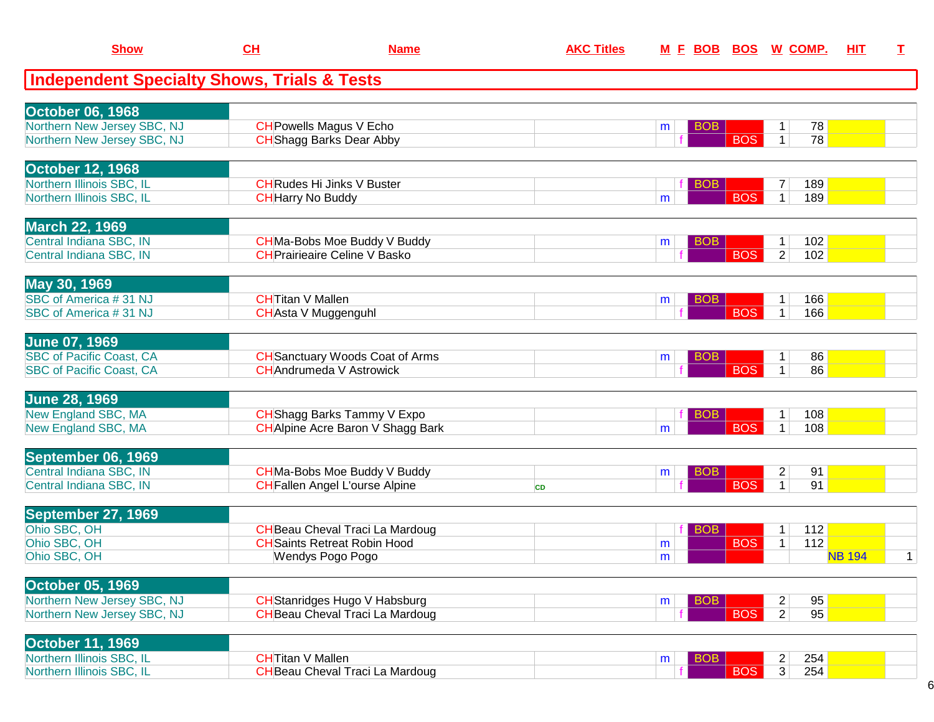| <b>Show</b>                                            | CH                       | <b>Name</b>                                                                   | <b>AKC Titles</b> | M F BOB              |            | <b>BOS W COMP.</b>                     | HIT           | $\mathbf I$  |
|--------------------------------------------------------|--------------------------|-------------------------------------------------------------------------------|-------------------|----------------------|------------|----------------------------------------|---------------|--------------|
| <b>Independent Specialty Shows, Trials &amp; Tests</b> |                          |                                                                               |                   |                      |            |                                        |               |              |
| <b>October 06, 1968</b>                                |                          |                                                                               |                   |                      |            |                                        |               |              |
| Northern New Jersey SBC, NJ                            |                          | <b>CH</b> Powells Magus V Echo                                                |                   | <b>BOB</b><br>m      |            | 78<br>1                                |               |              |
| Northern New Jersey SBC, NJ                            |                          | <b>CH</b> Shagg Barks Dear Abby                                               |                   |                      | <b>BOS</b> | 78<br>$\mathbf{1}$                     |               |              |
| <b>October 12, 1968</b>                                |                          |                                                                               |                   |                      |            |                                        |               |              |
| Northern Illinois SBC, IL                              |                          | <b>CH</b> Rudes Hi Jinks V Buster                                             |                   | <b>BOB</b>           |            | 189<br>7                               |               |              |
| Northern Illinois SBC, IL                              | <b>CH</b> Harry No Buddy |                                                                               |                   | m                    | <b>BOS</b> | $\mathbf 1$<br>189                     |               |              |
| <b>March 22, 1969</b>                                  |                          |                                                                               |                   |                      |            |                                        |               |              |
| Central Indiana SBC, IN                                |                          | CHMa-Bobs Moe Buddy V Buddy                                                   |                   | BO <sub>B</sub><br>m |            | 102                                    |               |              |
| Central Indiana SBC, IN                                |                          | <b>CHPrairieaire Celine V Basko</b>                                           |                   |                      | <b>BOS</b> | 2 <br>102                              |               |              |
| May 30, 1969                                           |                          |                                                                               |                   |                      |            |                                        |               |              |
| SBC of America #31 NJ                                  | <b>CHTitan V Mallen</b>  |                                                                               |                   | <b>BOB</b><br>m      |            | 166                                    |               |              |
| SBC of America #31 NJ                                  |                          | <b>CH</b> Asta V Muggenguhl                                                   |                   |                      | <b>BOS</b> | 166<br>1 <sup>1</sup>                  |               |              |
| <b>June 07, 1969</b>                                   |                          |                                                                               |                   |                      |            |                                        |               |              |
| <b>SBC of Pacific Coast, CA</b>                        |                          | <b>CH</b> Sanctuary Woods Coat of Arms                                        |                   | <b>BOB</b><br>m      |            | 86<br>$\mathbf 1$                      |               |              |
| <b>SBC of Pacific Coast, CA</b>                        |                          | <b>CH</b> Andrumeda V Astrowick                                               |                   |                      | <b>BOS</b> | 86<br>$\mathbf 1$                      |               |              |
| <b>June 28, 1969</b>                                   |                          |                                                                               |                   |                      |            |                                        |               |              |
| New England SBC, MA                                    |                          | CHShagg Barks Tammy V Expo                                                    |                   | <b>BOB</b>           | <b>BOS</b> | 108<br>1<br>$\mathbf{1}$<br>108        |               |              |
| New England SBC, MA                                    |                          | <b>CH</b> Alpine Acre Baron V Shagg Bark                                      |                   | m                    |            |                                        |               |              |
| September 06, 1969                                     |                          |                                                                               |                   |                      |            |                                        |               |              |
| Central Indiana SBC, IN<br>Central Indiana SBC, IN     |                          | CHMa-Bobs Moe Buddy V Buddy<br><b>CH</b> Fallen Angel L'ourse Alpine          |                   | <b>BOB</b><br>m      | <b>BOS</b> | $\overline{2}$<br>91<br>1<br>91        |               |              |
|                                                        |                          |                                                                               | <b>CD</b>         |                      |            |                                        |               |              |
| September 27, 1969                                     |                          |                                                                               |                   |                      |            |                                        |               |              |
| Ohio SBC, OH<br>Ohio SBC, OH                           |                          | <b>CH</b> Beau Cheval Traci La Mardoug<br><b>CH</b> Saints Retreat Robin Hood |                   | <b>BOB</b>           | <b>BOS</b> | 112<br>1<br>112<br>$\mathbf 1$         |               |              |
| Ohio SBC, OH                                           |                          | Wendys Pogo Pogo                                                              |                   | m<br>m               |            |                                        | <b>NB 194</b> | $\mathbf{1}$ |
|                                                        |                          |                                                                               |                   |                      |            |                                        |               |              |
| <b>October 05, 1969</b><br>Northern New Jersey SBC, NJ |                          | <b>CH</b> Stanridges Hugo V Habsburg                                          |                   |                      |            | 95                                     |               |              |
| Northern New Jersey SBC, NJ                            |                          | <b>CH</b> Beau Cheval Traci La Mardoug                                        |                   | <b>BOB</b><br>m      | <b>BOS</b> | $\overline{2}$<br>95<br>$\overline{2}$ |               |              |
|                                                        |                          |                                                                               |                   |                      |            |                                        |               |              |
| <b>October 11, 1969</b>                                |                          |                                                                               |                   |                      |            |                                        |               |              |
| Northern Illinois SBC, IL<br>Northern Illinois SBC, IL | <b>CH</b> Titan V Mallen | <b>CH</b> Beau Cheval Traci La Mardoug                                        |                   | <b>BOB</b><br>m      | <b>BOS</b> | 254<br>2<br>$\overline{3}$<br>254      |               |              |
|                                                        |                          |                                                                               |                   |                      |            |                                        |               |              |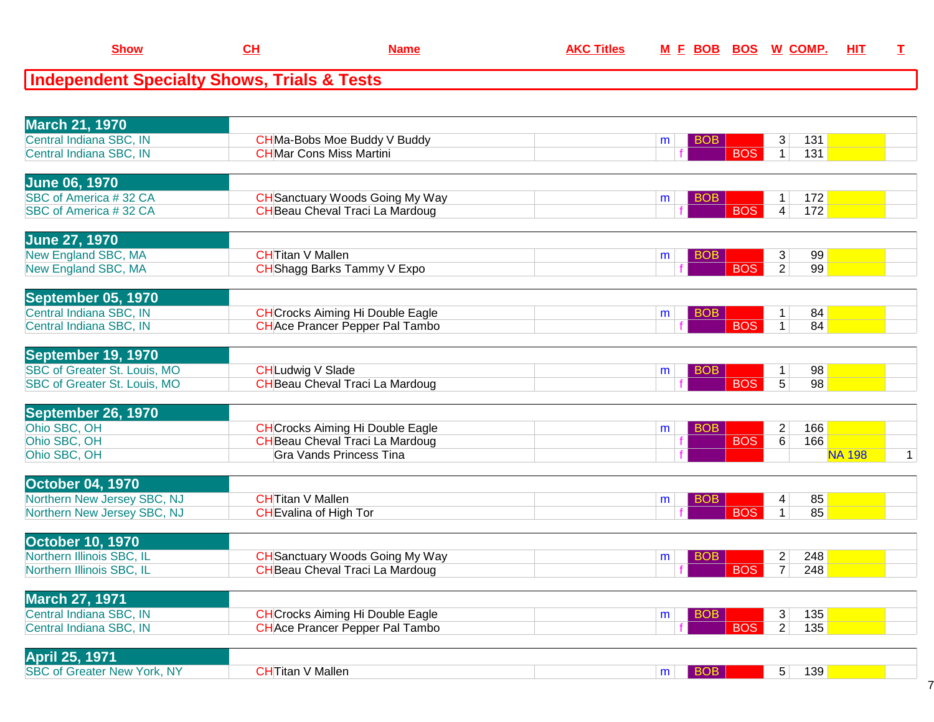| <b>Show</b>             | <u>СН</u>                                              | <b>Name</b>                         | <b>AKC Titles</b> |                 |            | M E BOB BOS W COMP. HIT |  |
|-------------------------|--------------------------------------------------------|-------------------------------------|-------------------|-----------------|------------|-------------------------|--|
|                         | <b>Independent Specialty Shows, Trials &amp; Tests</b> |                                     |                   |                 |            |                         |  |
|                         |                                                        |                                     |                   |                 |            |                         |  |
| <b>March 21, 1970</b>   |                                                        |                                     |                   |                 |            |                         |  |
| Central Indiana SBC, IN |                                                        | <b>CH</b> Ma-Bobs Moe Buddy V Buddy |                   | <b>BOB</b><br>m |            | 131<br>3 <sup>1</sup>   |  |
| Central Indiana SBC, IN |                                                        | <b>CHMar Cons Miss Martini</b>      |                   |                 | <b>BOS</b> | 131                     |  |
|                         |                                                        |                                     |                   |                 |            |                         |  |
| June 06, 1970           |                                                        |                                     |                   |                 |            |                         |  |

| <b>SBC of America #32 CA</b> | <b>CH</b> Sanctuary Woods Going My Way |  |  |  |
|------------------------------|----------------------------------------|--|--|--|
| <b>SBC of America #32 CA</b> | <b>CH</b> Beau Cheval Traci La Mardoug |  |  |  |
|                              |                                        |  |  |  |

| <b>June 27, 1970</b> |                           |  |  |    |  |
|----------------------|---------------------------|--|--|----|--|
| New England SBC, MA  | ITitan V Mallen           |  |  | 99 |  |
| New England SBC, MA  | HShagg Barks Tammy V Expo |  |  | 99 |  |
|                      |                           |  |  |    |  |

| September 05, 1970      |                                        |  |  |    |  |
|-------------------------|----------------------------------------|--|--|----|--|
| Central Indiana SBC, IN | <b>CHCrocks Aiming Hi Double Eagle</b> |  |  | 84 |  |
| Central Indiana SBC. IN | <b>CH</b> Ace Prancer Pepper Pal Tambo |  |  | 84 |  |
|                         |                                        |  |  |    |  |

| September 19, 1970                  |                                        |  |  |                |                 |  |
|-------------------------------------|----------------------------------------|--|--|----------------|-----------------|--|
| SBC of Greater St. Louis, MO        | CHLudwig V Slade                       |  |  |                | 98              |  |
| <b>SBC of Greater St. Louis, MO</b> | <b>CH</b> Beau Cheval Traci La Mardoug |  |  | 5 <sup>1</sup> | 98 <sub>1</sub> |  |
|                                     |                                        |  |  |                |                 |  |

| September 26, 1970 |                                         |   |            |   |     |        |  |
|--------------------|-----------------------------------------|---|------------|---|-----|--------|--|
| Ohio SBC, OH       | <b>CH</b> Crocks Aiming Hi Double Eagle | m |            |   | 166 |        |  |
| Ohio SBC, OH       | <b>CH</b> Beau Cheval Traci La Mardoug  |   | <b>BOS</b> | 6 | 166 |        |  |
| Ohio SBC, OH       | <b>Gra Vands Princess Tina</b>          |   |            |   |     | NA 198 |  |

| <b>October 04, 1970</b>     |                          |  |  |    |  |
|-----------------------------|--------------------------|--|--|----|--|
| Northern New Jersey SBC, NJ | <b>`H</b> Titan V Mallen |  |  | 85 |  |
| Northern New Jersey SBC, NJ | CHEvalina of High Tor    |  |  | 85 |  |
|                             |                          |  |  |    |  |

| <b>October 10, 1970</b>   |                                |  |  |     |  |
|---------------------------|--------------------------------|--|--|-----|--|
| Northern Illinois SBC, IL | CHSanctuary Woods Going My Way |  |  | 248 |  |
| Northern Illinois SBC, IL | CHBeau Cheval Traci La Mardoug |  |  | 248 |  |
|                           |                                |  |  |     |  |

| <b>March 27, 1971</b>   |                                         |  |             |     |  |
|-------------------------|-----------------------------------------|--|-------------|-----|--|
| Central Indiana SBC, IN | <b>CH</b> Crocks Aiming Hi Double Eagle |  |             | 135 |  |
| Central Indiana SBC, IN | <b>CH</b> Ace Prancer Pepper Pal Tambo  |  | <b>IBOS</b> | 135 |  |
|                         |                                         |  |             |     |  |

| <b>April 25, 1971</b>              |                    |  |   |     |  |
|------------------------------------|--------------------|--|---|-----|--|
| <b>SBC of Greater New York, NY</b> | `'Mallen<br>f∏itar |  | - | 139 |  |
|                                    |                    |  |   |     |  |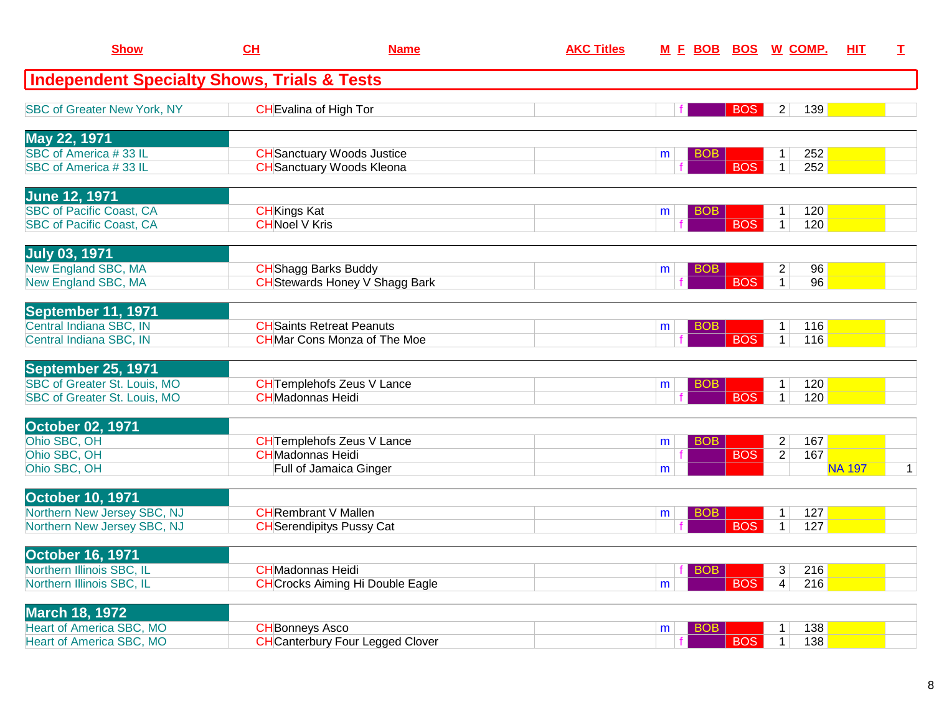| <b>Show</b>                                                        | CH                                          | <b>Name</b>                                                             | <b>AKC Titles</b> |                 |            | M E BOB BOS W COMP.                        | HIT           | I            |
|--------------------------------------------------------------------|---------------------------------------------|-------------------------------------------------------------------------|-------------------|-----------------|------------|--------------------------------------------|---------------|--------------|
| <b>Independent Specialty Shows, Trials &amp; Tests</b>             |                                             |                                                                         |                   |                 |            |                                            |               |              |
| <b>SBC of Greater New York, NY</b>                                 |                                             | <b>CH</b> Evalina of High Tor                                           |                   |                 | <b>BOS</b> | $\overline{c}$<br>139                      |               |              |
| May 22, 1971                                                       |                                             |                                                                         |                   |                 |            |                                            |               |              |
| SBC of America #33 IL<br>SBC of America #33 IL                     |                                             | <b>CH</b> Sanctuary Woods Justice<br><b>CH</b> Sanctuary Woods Kleona   |                   | <b>BOB</b><br>m | <b>BOS</b> | 252<br>1<br>$\mathbf{1}$<br>252            |               |              |
| <b>June 12, 1971</b>                                               |                                             |                                                                         |                   |                 |            |                                            |               |              |
| <b>SBC of Pacific Coast, CA</b><br><b>SBC of Pacific Coast, CA</b> | <b>CH</b> Kings Kat<br><b>CHNoel V Kris</b> |                                                                         |                   | <b>BOB</b><br>m | <b>BOS</b> | 120<br>1<br>$\mathbf{1}$<br>120            |               |              |
| <b>July 03, 1971</b>                                               |                                             |                                                                         |                   |                 |            |                                            |               |              |
| New England SBC, MA<br>New England SBC, MA                         |                                             | <b>CH</b> Shagg Barks Buddy<br>CH Stewards Honey V Shagg Bark           |                   | <b>BOB</b><br>m | <b>BOS</b> | $\overline{c}$<br>96<br>96<br>$\mathbf{1}$ |               |              |
| September 11, 1971                                                 |                                             |                                                                         |                   |                 |            |                                            |               |              |
| Central Indiana SBC, IN<br>Central Indiana SBC, IN                 |                                             | <b>CH</b> Saints Retreat Peanuts<br><b>CH</b> Mar Cons Monza of The Moe |                   | <b>BOB</b><br>m | <b>BOS</b> | 116<br>1<br>116<br>$\mathbf{1}$            |               |              |
| September 25, 1971                                                 |                                             |                                                                         |                   |                 |            |                                            |               |              |
| SBC of Greater St. Louis, MO<br>SBC of Greater St. Louis, MO       | <b>CHMadonnas Heidi</b>                     | <b>CH</b> Templehofs Zeus V Lance                                       |                   | <b>BOB</b><br>m | <b>BOS</b> | 120<br>1<br>$\mathbf{1}$<br>120            |               |              |
| <b>October 02, 1971</b>                                            |                                             |                                                                         |                   |                 |            |                                            |               |              |
| Ohio SBC, OH                                                       | <b>CHMadonnas Heidi</b>                     | <b>CH</b> Templehofs Zeus V Lance                                       |                   | <b>BOB</b><br>m |            | $\overline{c}$<br>167<br>167               |               |              |
| Ohio SBC, OH<br>Ohio SBC, OH                                       |                                             | Full of Jamaica Ginger                                                  |                   | m               | <b>BOS</b> | $\overline{2}$                             | <b>NA 197</b> | $\mathbf{1}$ |
| <b>October 10, 1971</b>                                            |                                             |                                                                         |                   |                 |            |                                            |               |              |
| Northern New Jersey SBC, NJ<br>Northern New Jersey SBC, NJ         |                                             | <b>CH</b> Rembrant V Mallen<br><b>CH</b> Serendipitys Pussy Cat         |                   | <b>BOB</b><br>m | <b>BOS</b> | 127<br>1<br>127<br>1                       |               |              |
| <b>October 16, 1971</b>                                            |                                             |                                                                         |                   |                 |            |                                            |               |              |
| Northern Illinois SBC, IL<br>Northern Illinois SBC, IL             | <b>CH</b> Madonnas Heidi                    | <b>CH</b> Crocks Aiming Hi Double Eagle                                 |                   | BOB<br>m        | <b>BOS</b> | 3<br>216<br>216<br>4                       |               |              |
|                                                                    |                                             |                                                                         |                   |                 |            |                                            |               |              |
| <b>March 18, 1972</b><br><b>Heart of America SBC, MO</b>           | <b>CH</b> Bonneys Asco                      |                                                                         |                   | <b>BOB</b>      |            | 138                                        |               |              |
| <b>Heart of America SBC, MO</b>                                    |                                             | <b>CH</b> Canterbury Four Legged Clover                                 |                   | m               | <b>BOS</b> | 1<br>$\overline{138}$<br>$\mathbf{1}$      |               |              |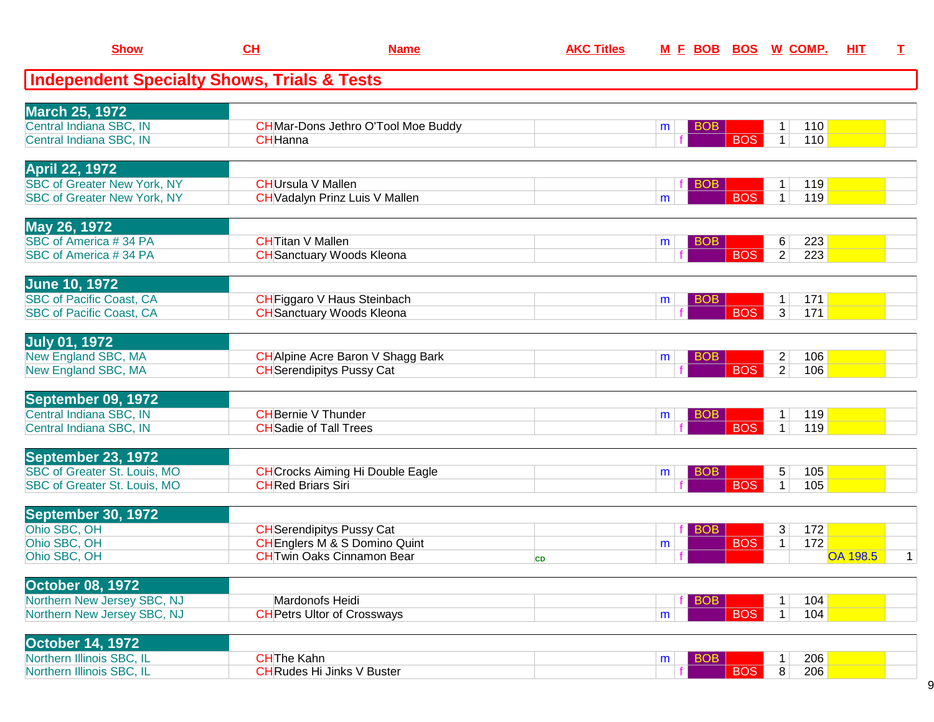| <b>Show</b>                                                 | CL                       | <b>Name</b>                                                                 | <b>AKC Titles</b> | <u>M E BOB</u>       |            | <b>BOS W COMP.</b>                             | HIT<br>I        |              |
|-------------------------------------------------------------|--------------------------|-----------------------------------------------------------------------------|-------------------|----------------------|------------|------------------------------------------------|-----------------|--------------|
| <b>Independent Specialty Shows, Trials &amp; Tests</b>      |                          |                                                                             |                   |                      |            |                                                |                 |              |
| <b>March 25, 1972</b>                                       |                          |                                                                             |                   |                      |            |                                                |                 |              |
| Central Indiana SBC, IN<br>Central Indiana SBC, IN          | <b>CH</b> Hanna          | <b>CH</b> Mar-Dons Jethro O'Tool Moe Buddy                                  |                   | <b>BOB</b><br>m      | <b>BOS</b> | 110<br>1<br>$\mathbf{1}$<br>110                |                 |              |
|                                                             |                          |                                                                             |                   |                      |            |                                                |                 |              |
| <b>April 22, 1972</b><br><b>SBC of Greater New York, NY</b> | <b>CHUrsula V Mallen</b> |                                                                             |                   | <b>BOB</b>           |            | 119<br>1                                       |                 |              |
| <b>SBC of Greater New York, NY</b>                          |                          | <b>CH</b> Vadalyn Prinz Luis V Mallen                                       |                   | m                    | <b>BOS</b> | 1<br>119                                       |                 |              |
| May 26, 1972                                                |                          |                                                                             |                   |                      |            |                                                |                 |              |
| SBC of America #34 PA<br>SBC of America #34 PA              | <b>CH</b> Titan V Mallen | <b>CH</b> Sanctuary Woods Kleona                                            |                   | <b>BOB</b><br>m      | <b>BOS</b> | 223<br>6<br>$\overline{a}$<br>223              |                 |              |
| <b>June 10, 1972</b>                                        |                          |                                                                             |                   |                      |            |                                                |                 |              |
| <b>SBC of Pacific Coast, CA</b>                             |                          | CHFiggaro V Haus Steinbach                                                  |                   | <b>BOB</b><br>m      |            | 171<br>$\mathbf 1$                             |                 |              |
| <b>SBC of Pacific Coast, CA</b>                             |                          | <b>CH</b> Sanctuary Woods Kleona                                            |                   |                      | <b>BOS</b> | 3 <sup>1</sup><br>171                          |                 |              |
| <b>July 01, 1972</b>                                        |                          |                                                                             |                   |                      |            |                                                |                 |              |
| New England SBC, MA<br>New England SBC, MA                  |                          | CH Alpine Acre Baron V Shagg Bark<br><b>CH</b> Serendipitys Pussy Cat       |                   | BO <sub>B</sub><br>m | <b>BOS</b> | $\overline{2}$<br>106<br>$\overline{2}$<br>106 |                 |              |
| September 09, 1972                                          |                          |                                                                             |                   |                      |            |                                                |                 |              |
| Central Indiana SBC, IN                                     |                          | <b>CH</b> Bernie V Thunder                                                  |                   | <b>BOB</b><br>m      |            | 119                                            |                 |              |
| Central Indiana SBC, IN                                     |                          | <b>CH</b> Sadie of Tall Trees                                               |                   |                      | <b>BOS</b> | 1 <sup>1</sup><br>119                          |                 |              |
| September 23, 1972<br>SBC of Greater St. Louis, MO          |                          | <b>CH</b> Crocks Aiming Hi Double Eagle                                     |                   | <b>BOB</b><br>m      |            | 5<br>105                                       |                 |              |
| SBC of Greater St. Louis, MO                                | <b>CHRed Briars Siri</b> |                                                                             |                   |                      | <b>BOS</b> | 105<br>$\mathbf 1$                             |                 |              |
| September 30, 1972                                          |                          |                                                                             |                   |                      |            |                                                |                 |              |
| Ohio SBC, OH<br>Ohio SBC, OH                                |                          | <b>CH</b> Serendipitys Pussy Cat<br><b>CHEnglers M &amp; S Domino Quint</b> |                   | <b>BOB</b><br>m      | <b>BOS</b> | 3<br>172<br>172<br>$\mathbf{1}$                |                 |              |
| Ohio SBC, OH                                                |                          | <b>CHTwin Oaks Cinnamon Bear</b>                                            | <b>CD</b>         |                      |            |                                                | <b>OA 198.5</b> | $\mathbf{1}$ |
| <b>October 08, 1972</b>                                     |                          |                                                                             |                   |                      |            |                                                |                 |              |
| Northern New Jersey SBC, NJ<br>Northern New Jersey SBC, NJ  |                          | Mardonofs Heidi<br><b>CH</b> Petrs Ultor of Crossways                       |                   | <b>BOB</b><br>m      | <b>BOS</b> | 104<br>$\mathbf{1}$<br>1<br>104                |                 |              |
|                                                             |                          |                                                                             |                   |                      |            |                                                |                 |              |
| <b>October 14, 1972</b><br>Northern Illinois SBC, IL        | <b>CHThe Kahn</b>        |                                                                             |                   | <b>BOB</b><br>m      |            | 206<br>1                                       |                 |              |
| Northern Illinois SBC, IL                                   |                          | <b>CH</b> Rudes Hi Jinks V Buster                                           |                   |                      | <b>BOS</b> | $\overline{8}$<br>206                          |                 |              |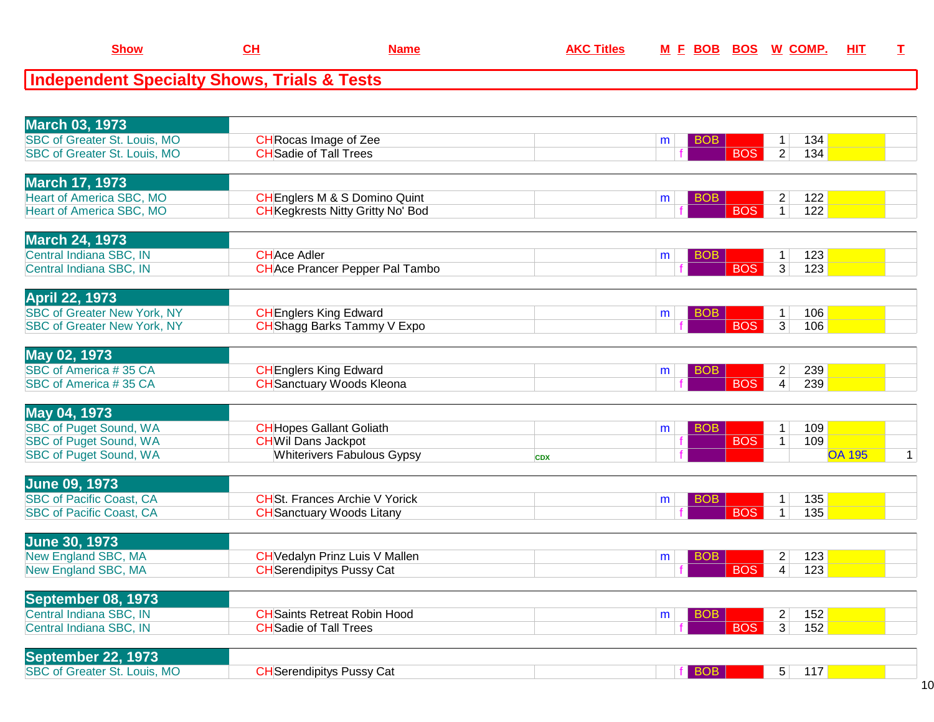| <b>Independent Specialty Shows, Trials &amp; Tests</b> |                                          |            |                 |                              |     |               |                |
|--------------------------------------------------------|------------------------------------------|------------|-----------------|------------------------------|-----|---------------|----------------|
|                                                        |                                          |            |                 |                              |     |               |                |
| <b>March 03, 1973</b>                                  |                                          |            |                 |                              |     |               |                |
| SBC of Greater St. Louis, MO                           | <b>CH</b> Rocas Image of Zee             |            | <b>BOB</b><br>m | $\mathbf{1}$                 | 134 |               |                |
| SBC of Greater St. Louis, MO                           | <b>CH</b> Sadie of Tall Trees            |            |                 | $\overline{2}$<br><b>BOS</b> | 134 |               |                |
| <b>March 17, 1973</b>                                  |                                          |            |                 |                              |     |               |                |
| <b>Heart of America SBC, MO</b>                        | <b>CH</b> Englers M & S Domino Quint     |            | <b>BOB</b><br>m | $\overline{\mathbf{c}}$      | 122 |               |                |
| <b>Heart of America SBC, MO</b>                        | <b>CH</b> Kegkrests Nitty Gritty No' Bod |            |                 | <b>BOS</b><br>$\overline{1}$ | 122 |               |                |
| <b>March 24, 1973</b>                                  |                                          |            |                 |                              |     |               |                |
| Central Indiana SBC, IN                                | <b>CHAce Adler</b>                       |            | <b>BOB</b><br>m | $\mathbf{1}$                 | 123 |               |                |
| Central Indiana SBC, IN                                | <b>CH</b> Ace Prancer Pepper Pal Tambo   |            |                 | <b>BOS</b><br>$\overline{3}$ | 123 |               |                |
| <b>April 22, 1973</b>                                  |                                          |            |                 |                              |     |               |                |
| <b>SBC of Greater New York, NY</b>                     | <b>CH</b> Englers King Edward            |            | <b>BOB</b><br>m | $\mathbf 1$                  | 106 |               |                |
| <b>SBC of Greater New York, NY</b>                     | CHShagg Barks Tammy V Expo               |            |                 | <b>BOS</b><br>3              | 106 |               |                |
| May 02, 1973                                           |                                          |            |                 |                              |     |               |                |
| SBC of America #35 CA                                  | <b>CH</b> Englers King Edward            |            | <b>BOB</b><br>m | $\overline{c}$               | 239 |               |                |
| SBC of America #35 CA                                  | <b>CH</b> Sanctuary Woods Kleona         |            |                 | <b>BOS</b><br>$\overline{4}$ | 239 |               |                |
| May 04, 1973                                           |                                          |            |                 |                              |     |               |                |
| <b>SBC of Puget Sound, WA</b>                          | <b>CH</b> Hopes Gallant Goliath          |            | <b>BOB</b><br>m | 1                            | 109 |               |                |
| <b>SBC of Puget Sound, WA</b>                          | <b>CHWil Dans Jackpot</b>                |            |                 | <b>BOS</b><br>$\mathbf{1}$   | 109 |               |                |
| <b>SBC of Puget Sound, WA</b>                          | <b>Whiterivers Fabulous Gypsy</b>        | <b>CDX</b> |                 |                              |     | <b>OA 195</b> | 1 <sup>1</sup> |
| <b>June 09, 1973</b>                                   |                                          |            |                 |                              |     |               |                |
| <b>SBC of Pacific Coast, CA</b>                        | <b>CHSt. Frances Archie V Yorick</b>     |            | <b>BOB</b><br>m | 1                            | 135 |               |                |
| <b>SBC of Pacific Coast, CA</b>                        | <b>CH</b> Sanctuary Woods Litany         |            |                 | <b>BOS</b><br>$\overline{1}$ | 135 |               |                |
| <b>June 30, 1973</b>                                   |                                          |            |                 |                              |     |               |                |
| <b>New England SBC, MA</b>                             | <b>CH</b> Vedalyn Prinz Luis V Mallen    |            | <b>BOB</b><br>m | $\overline{2}$               | 123 |               |                |
| New England SBC, MA                                    | <b>CH</b> Serendipitys Pussy Cat         |            |                 | <b>BOS</b><br>$\overline{4}$ | 123 |               |                |
| September 08, 1973                                     |                                          |            |                 |                              |     |               |                |

**CH Name AKC Titles <sup>M</sup> <sup>F</sup> BOB BOS <sup>W</sup> COMP. HIT <sup>T</sup>**

**Show**

| <b>INGNITINGI AN'I ININ</b> |                           |  |     |     |  |
|-----------------------------|---------------------------|--|-----|-----|--|
| Central Indiana SBC, IN     | Saints Retreat Robin Hood |  |     | 152 |  |
| Central Indiana SBC, IN     | 'Tall Trees<br>ilSadie of |  | ∍רו | 152 |  |
|                             |                           |  |     |     |  |

| <b>September</b><br>1973<br>722'                   |                                 |  |     |  |
|----------------------------------------------------|---------------------------------|--|-----|--|
| <b>SBC of Greater St.</b><br><b>MC</b><br>⊥ouis. 1 | <b>H</b> Serendipitys Pussy Cat |  | . . |  |
|                                                    |                                 |  |     |  |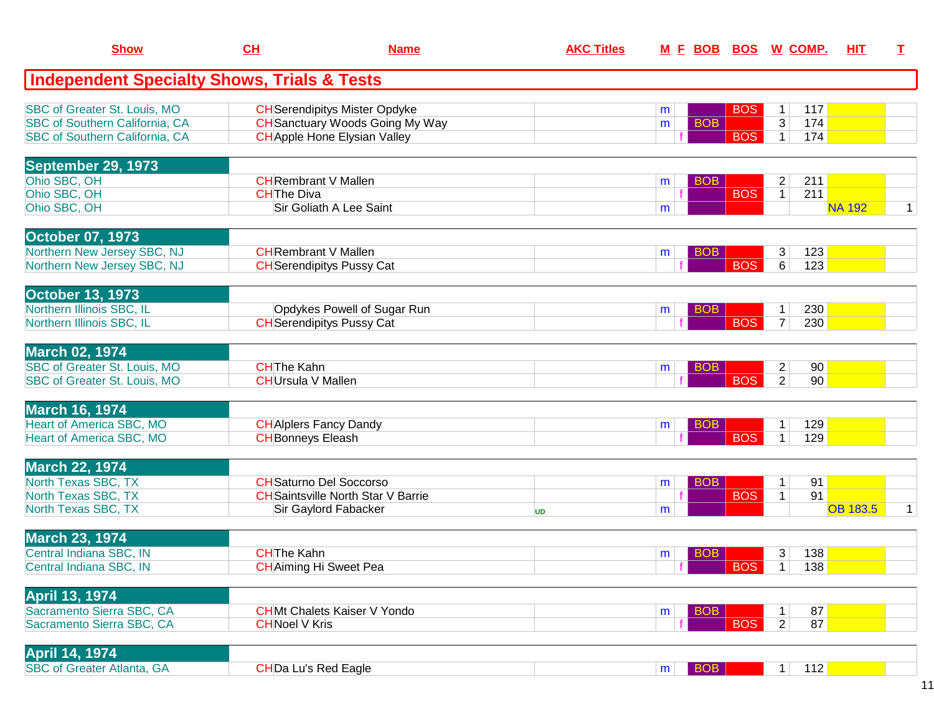| <b>Show</b>                                                                                                    | CL                                             | <b>Name</b>                                                                                                           | <b>AKC Titles</b> |                              |                          | M E BOB BOS W COMP.                                      | <b>HIT</b>      | T.           |
|----------------------------------------------------------------------------------------------------------------|------------------------------------------------|-----------------------------------------------------------------------------------------------------------------------|-------------------|------------------------------|--------------------------|----------------------------------------------------------|-----------------|--------------|
| <b>Independent Specialty Shows, Trials &amp; Tests</b>                                                         |                                                |                                                                                                                       |                   |                              |                          |                                                          |                 |              |
| <b>SBC of Greater St. Louis, MO</b><br><b>SBC of Southern California, CA</b><br>SBC of Southern California, CA |                                                | <b>CH</b> Serendipitys Mister Opdyke<br><b>CH</b> Sanctuary Woods Going My Way<br><b>CH</b> Apple Hone Elysian Valley |                   | m<br><b>BOB</b><br>m         | <b>BOS</b><br><b>BOS</b> | 117<br>1<br>$\overline{3}$<br>174<br>$\mathbf{1}$<br>174 |                 |              |
| <b>September 29, 1973</b><br>Ohio SBC, OH<br>Ohio SBC, OH<br>Ohio SBC, OH                                      | <b>CHThe Diva</b>                              | <b>CHRembrant V Mallen</b><br>Sir Goliath A Lee Saint                                                                 |                   | <b>BOB</b><br>m<br>m         | <b>BOS</b>               | $\overline{c}$<br>211<br>1 <br>211                       | <b>NA 192</b>   | $\mathbf{1}$ |
| <b>October 07, 1973</b><br>Northern New Jersey SBC, NJ<br>Northern New Jersey SBC, NJ                          |                                                | <b>CH</b> Rembrant V Mallen<br><b>CH</b> Serendipitys Pussy Cat                                                       |                   | <b>BOB</b><br>m              | <b>BOS</b>               | 123<br>3<br>6<br>123                                     |                 |              |
| <b>October 13, 1973</b><br>Northern Illinois SBC, IL<br>Northern Illinois SBC, IL                              |                                                | Opdykes Powell of Sugar Run<br><b>CH</b> Serendipitys Pussy Cat                                                       |                   | <b>BOB</b><br>m              | <b>BOS</b>               | 230<br>$\mathbf{1}$<br>230<br>$\overline{7}$             |                 |              |
| <b>March 02, 1974</b><br>SBC of Greater St. Louis, MO<br>SBC of Greater St. Louis, MO                          | <b>CHThe Kahn</b><br><b>CH</b> Ursula V Mallen |                                                                                                                       |                   | <b>BOB</b><br>m              | <b>BOS</b>               | $\overline{c}$<br>90<br>$\overline{2}$<br>90             |                 |              |
| <b>March 16, 1974</b><br><b>Heart of America SBC, MO</b><br>Heart of America SBC, MO                           | <b>CH</b> Bonneys Eleash                       | <b>CH</b> Alplers Fancy Dandy                                                                                         |                   | <b>BOB</b><br>m              | <b>BOS</b>               | 129<br>1<br>129<br>$\mathbf{1}$                          |                 |              |
| <b>March 22, 1974</b><br>North Texas SBC, TX<br>North Texas SBC, TX<br>North Texas SBC, TX                     |                                                | <b>CH</b> Saturno Del Soccorso<br><b>CH</b> Saintsville North Star V Barrie<br>Sir Gaylord Fabacker                   | <b>UD</b>         | <b>BOB</b><br>m<br>m         | <b>BOS</b>               | 91<br>1<br>91<br>$\mathbf{1}$                            | <b>OB 183.5</b> | $\mathbf 1$  |
| <b>March 23, 1974</b><br>Central Indiana SBC, IN<br>Central Indiana SBC, IN                                    | <b>CHThe Kahn</b>                              | <b>CH</b> Aiming Hi Sweet Pea                                                                                         |                   | <b>BOB</b><br>m              | BOS                      | 3 <br>138<br>138<br>1 <sup>1</sup>                       |                 |              |
| <b>April 13, 1974</b><br>Sacramento Sierra SBC, CA<br>Sacramento Sierra SBC, CA                                | <b>CHNoel V Kris</b>                           | <b>CHMt Chalets Kaiser V Yondo</b>                                                                                    |                   | <b>BOB</b><br>m              | <b>BOS</b>               | 87<br>1<br>87<br>$\overline{2}$                          |                 |              |
| <b>April 14, 1974</b><br><b>SBC of Greater Atlanta, GA</b>                                                     |                                                | <b>CHDa Lu's Red Eagle</b>                                                                                            |                   | <b>BOB</b><br>m <sub>1</sub> |                          | 112<br>1                                                 |                 |              |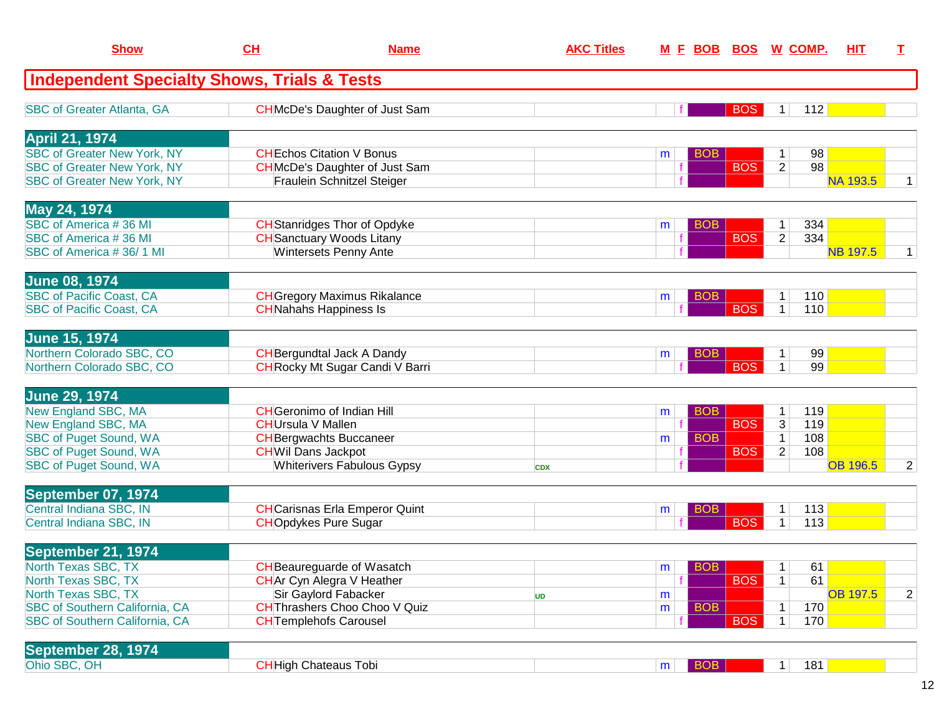| <b>Show</b>                                                    | CH                        | <b>Name</b>                                                    | <b>AKC Titles</b> |                 |            | <u>M E BOB BOS W COMP.</u> | HIT             | T.             |
|----------------------------------------------------------------|---------------------------|----------------------------------------------------------------|-------------------|-----------------|------------|----------------------------|-----------------|----------------|
| <b>Independent Specialty Shows, Trials &amp; Tests</b>         |                           |                                                                |                   |                 |            |                            |                 |                |
| <b>SBC of Greater Atlanta, GA</b>                              |                           | <b>CH</b> McDe's Daughter of Just Sam                          |                   |                 | <b>BOS</b> | 112<br>$\mathbf 1$         |                 |                |
| <b>April 21, 1974</b>                                          |                           |                                                                |                   |                 |            |                            |                 |                |
| <b>SBC of Greater New York, NY</b>                             |                           | <b>CHEchos Citation V Bonus</b>                                |                   | <b>BOB</b><br>m |            | 98<br>$\mathbf{1}$         |                 |                |
| <b>SBC of Greater New York, NY</b>                             |                           | <b>CH</b> McDe's Daughter of Just Sam                          |                   |                 | <b>BOS</b> | $\overline{2}$<br>98       |                 |                |
| <b>SBC of Greater New York, NY</b>                             |                           | <b>Fraulein Schnitzel Steiger</b>                              |                   |                 |            |                            | <b>NA 193.5</b> | 1              |
| May 24, 1974                                                   |                           |                                                                |                   |                 |            |                            |                 |                |
| SBC of America #36 MI                                          |                           | <b>CH</b> Stanridges Thor of Opdyke                            |                   | <b>BOB</b><br>m |            | 334<br>1                   |                 |                |
| SBC of America #36 MI                                          |                           | <b>CH</b> Sanctuary Woods Litany                               |                   |                 | <b>BOS</b> | $\overline{2}$<br>334      |                 |                |
| SBC of America #36/1 MI                                        |                           | <b>Wintersets Penny Ante</b>                                   |                   |                 |            |                            | <b>NB 197.5</b> | 1              |
| <b>June 08, 1974</b>                                           |                           |                                                                |                   |                 |            |                            |                 |                |
| <b>SBC of Pacific Coast, CA</b>                                |                           | <b>CH</b> Gregory Maximus Rikalance                            |                   | <b>BOB</b><br>m |            | 110<br>$\mathbf{1}$        |                 |                |
| <b>SBC of Pacific Coast, CA</b>                                |                           | <b>CH</b> Nahahs Happiness Is                                  |                   |                 | <b>BOS</b> | 110<br>$\mathbf{1}$        |                 |                |
| <b>June 15, 1974</b>                                           |                           |                                                                |                   |                 |            |                            |                 |                |
| Northern Colorado SBC, CO                                      |                           | <b>CH</b> Bergundtal Jack A Dandy                              |                   | <b>BOB</b><br>m |            | 99<br>1                    |                 |                |
| Northern Colorado SBC, CO                                      |                           | <b>CH</b> Rocky Mt Sugar Candi V Barri                         |                   |                 | <b>BOS</b> | 99<br>$\mathbf{1}$         |                 |                |
| <b>June 29, 1974</b>                                           |                           |                                                                |                   |                 |            |                            |                 |                |
| New England SBC, MA                                            |                           | <b>CH</b> Geronimo of Indian Hill                              |                   | <b>BOB</b><br>m |            | 119<br>1                   |                 |                |
| New England SBC, MA                                            | <b>CH</b> Ursula V Mallen |                                                                |                   |                 | <b>BOS</b> | 3<br>119                   |                 |                |
| <b>SBC of Puget Sound, WA</b>                                  |                           | <b>CH</b> Bergwachts Buccaneer                                 |                   | <b>BOB</b><br>m |            | $\mathbf{1}$<br>108        |                 |                |
| <b>SBC of Puget Sound, WA</b><br><b>SBC of Puget Sound, WA</b> |                           | <b>CHWil Dans Jackpot</b><br><b>Whiterivers Fabulous Gypsy</b> |                   |                 | <b>BOS</b> | $\overline{2}$<br>108      | <b>OB 196.5</b> | $\overline{2}$ |
|                                                                |                           |                                                                | <b>CDX</b>        |                 |            |                            |                 |                |
| September 07, 1974                                             |                           |                                                                |                   |                 |            |                            |                 |                |
| Central Indiana SBC, IN                                        |                           | <b>CH</b> Carisnas Erla Emperor Quint                          |                   | <b>BOB</b><br>m | <b>BOS</b> | 113<br>1                   |                 |                |
| Central Indiana SBC, IN                                        |                           | <b>CHOpdykes Pure Sugar</b>                                    |                   |                 |            | 113<br>1                   |                 |                |
| September 21, 1974                                             |                           |                                                                |                   |                 |            |                            |                 |                |
| North Texas SBC, TX                                            |                           | <b>CH</b> Beaureguarde of Wasatch                              |                   | <b>BOB</b><br>m |            | 61<br>1                    |                 |                |
| North Texas SBC, TX                                            |                           | <b>CH</b> Ar Cyn Alegra V Heather                              |                   |                 | <b>BOS</b> | 61<br>$\mathbf{1}$         |                 |                |
| North Texas SBC, TX<br>SBC of Southern California, CA          |                           | Sir Gaylord Fabacker<br>CH Thrashers Choo Choo V Quiz          | <b>UD</b>         | m<br><b>BOB</b> |            | 170<br>$\mathbf{1}$        | <b>OB 197.5</b> | $\overline{2}$ |
| <b>SBC of Southern California, CA</b>                          |                           | <b>CH</b> Templehofs Carousel                                  |                   | m               | <b>BOS</b> | $\mathbf{1}$<br>170        |                 |                |
|                                                                |                           |                                                                |                   |                 |            |                            |                 |                |
| September 28, 1974                                             |                           | <b>CH</b> High Chateaus Tobi                                   |                   |                 |            |                            |                 |                |
| Ohio SBC, OH                                                   |                           |                                                                |                   | <b>BOB</b><br>m |            | 181<br>1 <sup>1</sup>      |                 |                |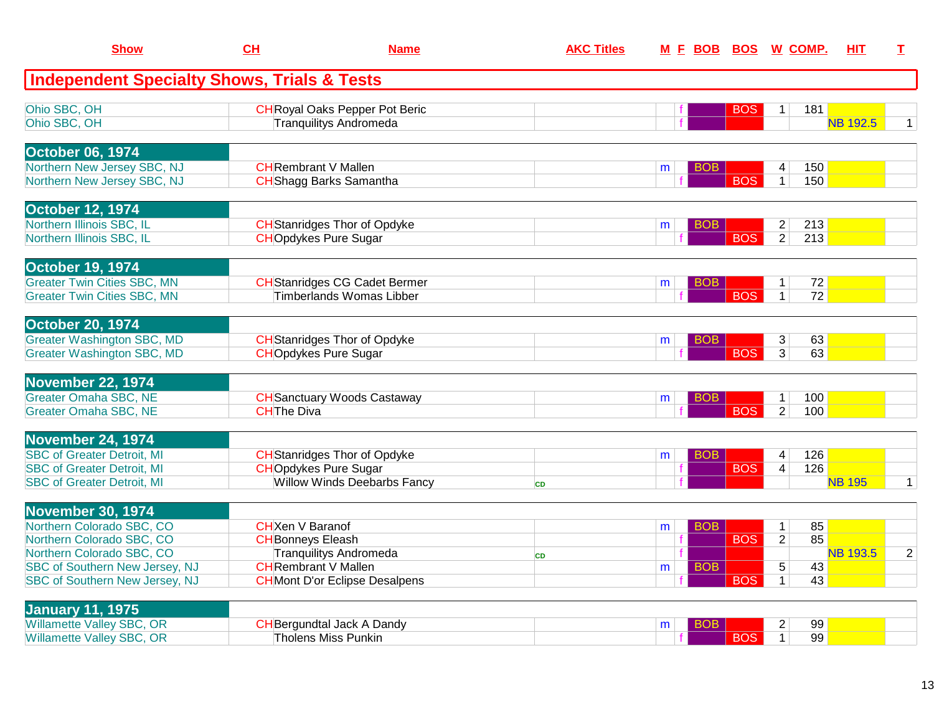| <b>Show</b>                                                            | CH                                                                 | <b>Name</b>                           |           | <b>AKC Titles</b> |   | M E BOB BOS W COMP. |                  |                                           |            | HIT.            | T.             |
|------------------------------------------------------------------------|--------------------------------------------------------------------|---------------------------------------|-----------|-------------------|---|---------------------|------------------|-------------------------------------------|------------|-----------------|----------------|
| <b>Independent Specialty Shows, Trials &amp; Tests</b>                 |                                                                    |                                       |           |                   |   |                     |                  |                                           |            |                 |                |
| Ohio SBC, OH                                                           |                                                                    | <b>CH</b> Royal Oaks Pepper Pot Beric |           |                   |   |                     | <b>BOS</b>       | $\mathbf{1}$                              | 181        |                 |                |
| Ohio SBC, OH                                                           | <b>Tranquilitys Andromeda</b>                                      |                                       |           |                   |   |                     |                  |                                           |            | <b>NB 192.5</b> | 1 <sup>1</sup> |
| <b>October 06, 1974</b>                                                |                                                                    |                                       |           |                   |   |                     |                  |                                           |            |                 |                |
| Northern New Jersey SBC, NJ<br>Northern New Jersey SBC, NJ             | <b>CH</b> Rembrant V Mallen<br><b>CH</b> Shagg Barks Samantha      |                                       |           |                   | m | <b>BOB</b>          | <b>BOS</b>       | 4<br>$\mathbf{1}$                         | 150<br>150 |                 |                |
|                                                                        |                                                                    |                                       |           |                   |   |                     |                  |                                           |            |                 |                |
| <b>October 12, 1974</b><br>Northern Illinois SBC, IL                   | <b>CH</b> Stanridges Thor of Opdyke                                |                                       |           |                   |   |                     |                  |                                           | 213        |                 |                |
| Northern Illinois SBC, IL                                              | <b>CHOpdykes Pure Sugar</b>                                        |                                       |           |                   | m | <b>BOB</b>          | <b>BOS</b>       | $\overline{2}$<br>$\overline{2}$          | 213        |                 |                |
|                                                                        |                                                                    |                                       |           |                   |   |                     |                  |                                           |            |                 |                |
| <b>October 19, 1974</b><br><b>Greater Twin Cities SBC, MN</b>          |                                                                    | <b>CH</b> Stanridges CG Cadet Bermer  |           |                   | m | BOB                 |                  | $\mathbf{1}$                              | 72         |                 |                |
| <b>Greater Twin Cities SBC, MN</b>                                     |                                                                    | <b>Timberlands Womas Libber</b>       |           |                   |   |                     | <b>BOS</b>       | $\mathbf{1}$                              | 72         |                 |                |
| <b>October 20, 1974</b>                                                |                                                                    |                                       |           |                   |   |                     |                  |                                           |            |                 |                |
| <b>Greater Washington SBC, MD</b>                                      | <b>CH</b> Stanridges Thor of Opdyke                                |                                       |           |                   | m | BOB.                |                  | 3                                         | 63         |                 |                |
| <b>Greater Washington SBC, MD</b>                                      | <b>CHOpdykes Pure Sugar</b>                                        |                                       |           |                   |   |                     | <b>BOS</b>       | 3                                         | 63         |                 |                |
| <b>November 22, 1974</b>                                               |                                                                    |                                       |           |                   |   |                     |                  |                                           |            |                 |                |
| <b>Greater Omaha SBC, NE</b><br><b>Greater Omaha SBC, NE</b>           | <b>CHThe Diva</b>                                                  | <b>CH</b> Sanctuary Woods Castaway    |           |                   | m | <b>BOB</b>          | $\overline{BOS}$ | $\overline{1}$<br>$\overline{2}$          | 100<br>100 |                 |                |
|                                                                        |                                                                    |                                       |           |                   |   |                     |                  |                                           |            |                 |                |
| November 24, 1974                                                      |                                                                    |                                       |           |                   |   |                     |                  |                                           |            |                 |                |
| <b>SBC of Greater Detroit, MI</b><br><b>SBC of Greater Detroit, MI</b> | <b>CH</b> Stanridges Thor of Opdyke<br><b>CHOpdykes Pure Sugar</b> |                                       |           |                   | m | <b>BOB</b>          | <b>BOS</b>       | $\overline{\mathbf{4}}$<br>$\overline{4}$ | 126<br>126 |                 |                |
| <b>SBC of Greater Detroit, MI</b>                                      |                                                                    | <b>Willow Winds Deebarbs Fancy</b>    | CD        |                   |   |                     |                  |                                           |            | <b>NB 195</b>   | 1 <sup>1</sup> |
| <b>November 30, 1974</b>                                               |                                                                    |                                       |           |                   |   |                     |                  |                                           |            |                 |                |
| Northern Colorado SBC, CO                                              | <b>CH</b> Xen V Baranof                                            |                                       |           |                   | m | <b>BOB</b>          |                  | $\mathbf{1}$                              | 85         |                 |                |
| Northern Colorado SBC, CO                                              | <b>CH</b> Bonneys Eleash                                           |                                       |           |                   |   |                     | <b>BOS</b>       | $\overline{2}$                            | 85         | <b>NB 193.5</b> |                |
| Northern Colorado SBC, CO<br><b>SBC of Southern New Jersey, NJ</b>     | <b>Tranquilitys Andromeda</b><br><b>CH</b> Rembrant V Mallen       |                                       | <b>CD</b> |                   | m | <b>BOB</b>          |                  | 5                                         | 43         |                 | $\overline{2}$ |
| <b>SBC of Southern New Jersey, NJ</b>                                  |                                                                    | <b>CH</b> Mont D'or Eclipse Desalpens |           |                   |   |                     | <b>BOS</b>       | $\mathbf{1}$                              | 43         |                 |                |
| <b>January 11, 1975</b>                                                |                                                                    |                                       |           |                   |   |                     |                  |                                           |            |                 |                |
| <b>Willamette Valley SBC, OR</b>                                       | <b>CH</b> Bergundtal Jack A Dandy                                  |                                       |           |                   | m | <b>BOB</b>          |                  | $\overline{2}$                            | 99         |                 |                |
| <b>Willamette Valley SBC, OR</b>                                       | <b>Tholens Miss Punkin</b>                                         |                                       |           |                   |   |                     | <b>BOS</b>       | $\mathbf{1}$                              | 99         |                 |                |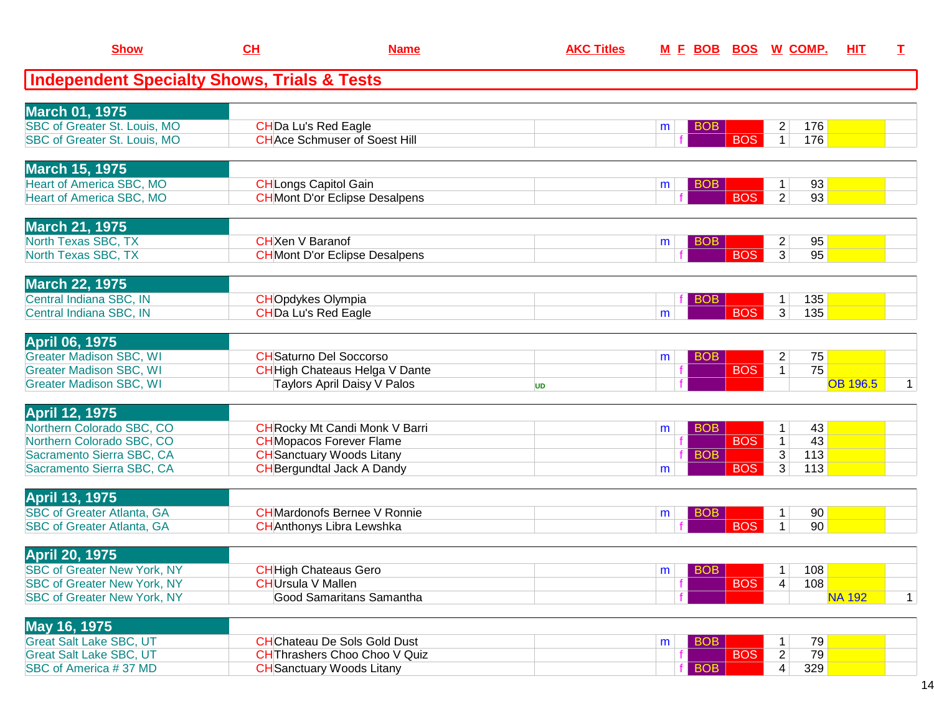| <b>Show</b>                                                              | CH                        | <b>Name</b>                                                                 | <b>AKC Titles</b> |                         |            | M E BOB BOS W COMP.                          | HIT             | $\mathbf I$  |
|--------------------------------------------------------------------------|---------------------------|-----------------------------------------------------------------------------|-------------------|-------------------------|------------|----------------------------------------------|-----------------|--------------|
| <b>Independent Specialty Shows, Trials &amp; Tests</b>                   |                           |                                                                             |                   |                         |            |                                              |                 |              |
| <b>March 01, 1975</b>                                                    |                           |                                                                             |                   |                         |            |                                              |                 |              |
| SBC of Greater St. Louis, MO<br>SBC of Greater St. Louis, MO             |                           | <b>CHDa Lu's Red Eagle</b><br><b>CHAce Schmuser of Soest Hill</b>           |                   | <b>BOB</b><br>m         | <b>BOS</b> | 176<br>2<br>$\mathbf{1}$<br>176              |                 |              |
| <b>March 15, 1975</b>                                                    |                           |                                                                             |                   |                         |            |                                              |                 |              |
| <b>Heart of America SBC, MO</b><br><b>Heart of America SBC, MO</b>       |                           | <b>CH</b> Longs Capitol Gain<br><b>CH</b> Mont D'or Eclipse Desalpens       |                   | <b>BOB</b><br>m         | <b>BOS</b> | 93<br>$\mathbf{1}$<br>$\overline{2}$<br>93   |                 |              |
| <b>March 21, 1975</b>                                                    |                           |                                                                             |                   |                         |            |                                              |                 |              |
| North Texas SBC, TX<br>North Texas SBC, TX                               | <b>CH</b> Xen V Baranof   | <b>CH</b> Mont D'or Eclipse Desalpens                                       |                   | <b>BOB</b><br>m         | <b>BOS</b> | 95<br>$\overline{2}$<br>3 <sup>1</sup><br>95 |                 |              |
| <b>March 22, 1975</b>                                                    |                           |                                                                             |                   |                         |            |                                              |                 |              |
| Central Indiana SBC, IN<br>Central Indiana SBC, IN                       |                           | <b>CHOpdykes Olympia</b><br>CHDa Lu's Red Eagle                             |                   | <b>BOB</b><br>m         | <b>BOS</b> | 135<br>1<br>$\overline{3}$<br>135            |                 |              |
| <b>April 06, 1975</b>                                                    |                           |                                                                             |                   |                         |            |                                              |                 |              |
| <b>Greater Madison SBC, WI</b><br><b>Greater Madison SBC, WI</b>         |                           | <b>CH</b> Saturno Del Soccorso<br>CHHigh Chateaus Helga V Dante             |                   | <b>BOB</b><br>m         | <b>BOS</b> | $\overline{2}$<br>75<br>75<br>$\mathbf{1}$   |                 |              |
| <b>Greater Madison SBC, WI</b>                                           |                           | Taylors April Daisy V Palos                                                 | <b>UD</b>         |                         |            |                                              | <b>OB 196.5</b> | $\mathbf{1}$ |
| <b>April 12, 1975</b><br>Northern Colorado SBC, CO                       |                           | <b>CH</b> Rocky Mt Candi Monk V Barri                                       |                   | <b>BOB</b><br>m         |            | 43<br>$\mathbf{1}$                           |                 |              |
| Northern Colorado SBC, CO                                                |                           | <b>CH</b> Mopacos Forever Flame                                             |                   |                         | <b>BOS</b> | 43<br>$\mathbf{1}$                           |                 |              |
| Sacramento Sierra SBC, CA<br>Sacramento Sierra SBC, CA                   |                           | <b>CH</b> Sanctuary Woods Litany<br><b>CH</b> Bergundtal Jack A Dandy       |                   | <b>BOB</b><br>m         | <b>BOS</b> | 3<br>113<br>3<br>113                         |                 |              |
| <b>April 13, 1975</b>                                                    |                           |                                                                             |                   |                         |            |                                              |                 |              |
| <b>SBC of Greater Atlanta, GA</b><br><b>SBC of Greater Atlanta, GA</b>   |                           | <b>CH</b> Mardonofs Bernee V Ronnie<br><b>CH</b> Anthonys Libra Lewshka     |                   | <b>BOB</b><br>m         | <b>BOS</b> | 90<br>1<br>$\mathbf{1}$<br>90                |                 |              |
| <b>April 20, 1975</b>                                                    |                           |                                                                             |                   |                         |            |                                              |                 |              |
| <b>SBC of Greater New York, NY</b>                                       |                           | <b>CH</b> High Chateaus Gero                                                |                   | BOB  <br>m <sub>1</sub> |            | 108<br>1 <sup>1</sup>                        |                 |              |
| <b>SBC of Greater New York, NY</b><br><b>SBC of Greater New York, NY</b> | <b>CH</b> Ursula V Mallen | <b>Good Samaritans Samantha</b>                                             |                   |                         | <b>BOS</b> | 108<br>4                                     | <b>NA 192</b>   | $\mathbf{1}$ |
| May 16, 1975                                                             |                           |                                                                             |                   |                         |            |                                              |                 |              |
| <b>Great Salt Lake SBC, UT</b><br><b>Great Salt Lake SBC, UT</b>         |                           | <b>CH</b> Chateau De Sols Gold Dust<br><b>CH</b> Thrashers Choo Choo V Quiz |                   | <b>BOB</b><br>m         | <b>BOS</b> | 79<br>$\overline{c}$<br>79                   |                 |              |
| SBC of America #37 MD                                                    |                           | <b>CH</b> Sanctuary Woods Litany                                            |                   | <b>BOB</b>              |            | 4<br>329                                     |                 |              |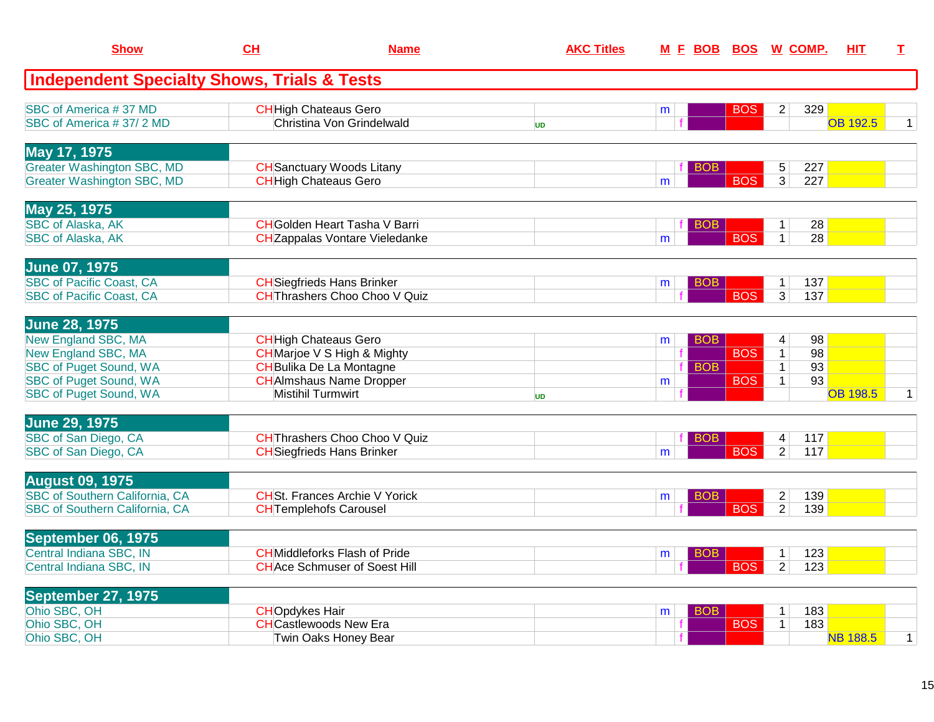| <b>Show</b>                                                            | CH                    | <b>Name</b>                                                      | <b>AKC Titles</b> |   |            |            | M E BOB BOS W COMP.               | HIT             | T.           |
|------------------------------------------------------------------------|-----------------------|------------------------------------------------------------------|-------------------|---|------------|------------|-----------------------------------|-----------------|--------------|
| <b>Independent Specialty Shows, Trials &amp; Tests</b>                 |                       |                                                                  |                   |   |            |            |                                   |                 |              |
| SBC of America #37 MD                                                  |                       | <b>CH</b> High Chateaus Gero                                     |                   | m |            | <b>BOS</b> | 329<br>2                          |                 |              |
| SBC of America #37/2 MD                                                |                       | Christina Von Grindelwald                                        | <b>UD</b>         |   |            |            |                                   | <b>OB 192.5</b> | $\mathbf{1}$ |
| May 17, 1975                                                           |                       |                                                                  |                   |   |            |            |                                   |                 |              |
| <b>Greater Washington SBC, MD</b><br><b>Greater Washington SBC, MD</b> |                       | <b>CH</b> Sanctuary Woods Litany<br><b>CH</b> High Chateaus Gero |                   | m | BOB.       | <b>BOS</b> | 227<br>5<br>$\overline{3}$<br>227 |                 |              |
|                                                                        |                       |                                                                  |                   |   |            |            |                                   |                 |              |
| May 25, 1975<br><b>SBC of Alaska, AK</b>                               |                       | <b>CH</b> Golden Heart Tasha V Barri                             |                   |   |            |            |                                   | 28              |              |
| <b>SBC of Alaska, AK</b>                                               |                       | <b>CH</b> Zappalas Vontare Vieledanke                            |                   | m | <b>BOB</b> | <b>BOS</b> | $\mathbf{1}$<br>$\mathbf{1}$      | 28              |              |
|                                                                        |                       |                                                                  |                   |   |            |            |                                   |                 |              |
| <b>June 07, 1975</b><br><b>SBC of Pacific Coast, CA</b>                |                       | <b>CH</b> Siegfrieds Hans Brinker                                |                   | m | BOB.       |            | 137<br>$\mathbf{1}$               |                 |              |
| <b>SBC of Pacific Coast, CA</b>                                        |                       | CHThrashers Choo Choo V Quiz                                     |                   |   |            | <b>BOS</b> | $\overline{3}$<br>137             |                 |              |
| <b>June 28, 1975</b>                                                   |                       |                                                                  |                   |   |            |            |                                   |                 |              |
| <b>New England SBC, MA</b>                                             |                       | <b>CH</b> High Chateaus Gero                                     |                   | m | BOB.       |            | 4                                 | 98              |              |
| <b>New England SBC, MA</b>                                             |                       | <b>CH</b> Marjoe V S High & Mighty                               |                   |   |            | <b>BOS</b> | $\mathbf{1}$                      | 98              |              |
| <b>SBC of Puget Sound, WA</b>                                          |                       | <b>CH</b> Bulika De La Montagne                                  |                   |   | <b>BOB</b> |            | $\mathbf{1}$                      | 93              |              |
| <b>SBC of Puget Sound, WA</b>                                          |                       | <b>CH</b> Almshaus Name Dropper                                  |                   | m |            | <b>BOS</b> | $\mathbf{1}$                      | 93              |              |
| <b>SBC of Puget Sound, WA</b>                                          |                       | <b>Mistihil Turmwirt</b>                                         | <b>UD</b>         |   |            |            |                                   | <b>OB 198.5</b> | $\mathbf{1}$ |
| <b>June 29, 1975</b>                                                   |                       |                                                                  |                   |   |            |            |                                   |                 |              |
| SBC of San Diego, CA                                                   |                       | <b>CHThrashers Choo Choo V Quiz</b>                              |                   |   | BOB        |            | 117<br>4                          |                 |              |
| SBC of San Diego, CA                                                   |                       | <b>CH</b> Siegfrieds Hans Brinker                                |                   | m |            | <b>BOS</b> | $\overline{2}$<br>117             |                 |              |
| <b>August 09, 1975</b>                                                 |                       |                                                                  |                   |   |            |            |                                   |                 |              |
| <b>SBC of Southern California, CA</b>                                  |                       | <b>CHSt. Frances Archie V Yorick</b>                             |                   | m | BOB        |            | $\overline{2}$<br>139             |                 |              |
| SBC of Southern California, CA                                         |                       | <b>CH</b> Templehofs Carousel                                    |                   |   |            | <b>BOS</b> | $\overline{2}$<br>139             |                 |              |
| September 06, 1975                                                     |                       |                                                                  |                   |   |            |            |                                   |                 |              |
| Central Indiana SBC, IN                                                |                       | <b>CHMiddleforks Flash of Pride</b>                              |                   | m | <b>BOB</b> |            | 123<br>$\mathbf{1}$               |                 |              |
| Central Indiana SBC, IN                                                |                       | <b>CH</b> Ace Schmuser of Soest Hill                             |                   |   |            | <b>BOS</b> | $\overline{2}$<br>123             |                 |              |
| <b>September 27, 1975</b>                                              |                       |                                                                  |                   |   |            |            |                                   |                 |              |
| Ohio SBC, OH                                                           | <b>CHOpdykes Hair</b> |                                                                  |                   | m | BOB.       |            | 183<br>$\mathbf{1}$               |                 |              |
| Ohio SBC, OH                                                           |                       | <b>CHCastlewoods New Era</b>                                     |                   |   |            | <b>BOS</b> | 183<br>1                          |                 |              |
| Ohio SBC, OH                                                           |                       | Twin Oaks Honey Bear                                             |                   |   |            |            |                                   | <b>NB 188.5</b> | $\mathbf{1}$ |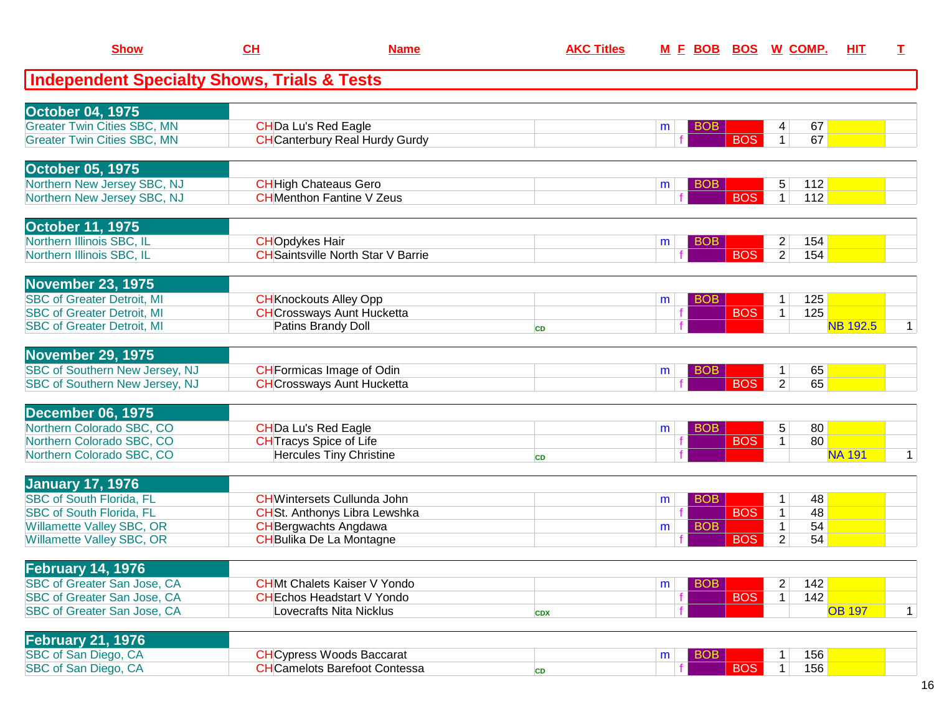| <b>Show</b>                                                              | CL                    | <b>Name</b>                                                               | <b>AKC Titles</b> |                 |            | M E BOB BOS W COMP.          |            | HIT             | I.           |
|--------------------------------------------------------------------------|-----------------------|---------------------------------------------------------------------------|-------------------|-----------------|------------|------------------------------|------------|-----------------|--------------|
| <b>Independent Specialty Shows, Trials &amp; Tests</b>                   |                       |                                                                           |                   |                 |            |                              |            |                 |              |
| <b>October 04, 1975</b>                                                  |                       |                                                                           |                   |                 |            |                              |            |                 |              |
| <b>Greater Twin Cities SBC, MN</b><br><b>Greater Twin Cities SBC, MN</b> |                       | <b>CHDa Lu's Red Eagle</b><br><b>CH</b> Canterbury Real Hurdy Gurdy       |                   | BOB<br>m        | <b>BOS</b> | 4<br>$\mathbf{1}$            | 67<br>67   |                 |              |
|                                                                          |                       |                                                                           |                   |                 |            |                              |            |                 |              |
| October 05, 1975<br>Northern New Jersey SBC, NJ                          |                       | <b>CH</b> High Chateaus Gero                                              |                   | <b>BOB</b><br>m |            | 5                            | 112        |                 |              |
| Northern New Jersey SBC, NJ                                              |                       | <b>CH</b> Menthon Fantine V Zeus                                          |                   |                 | <b>BOS</b> | $\mathbf{1}$                 | 112        |                 |              |
| <b>October 11, 1975</b>                                                  |                       |                                                                           |                   |                 |            |                              |            |                 |              |
| Northern Illinois SBC, IL                                                | <b>CHOpdykes Hair</b> |                                                                           |                   | <b>BOB</b><br>m |            | $\overline{c}$               | 154        |                 |              |
| Northern Illinois SBC, IL                                                |                       | <b>CH</b> Saintsville North Star V Barrie                                 |                   |                 | <b>BOS</b> | $\overline{2}$               | 154        |                 |              |
| <b>November 23, 1975</b>                                                 |                       |                                                                           |                   |                 |            |                              |            |                 |              |
| <b>SBC of Greater Detroit, MI</b><br><b>SBC of Greater Detroit, MI</b>   |                       | <b>CH</b> Knockouts Alley Opp<br><b>CH</b> Crossways Aunt Hucketta        |                   | <b>BOB</b><br>m | <b>BOS</b> | 1<br>$\mathbf 1$             | 125<br>125 |                 |              |
| <b>SBC of Greater Detroit, MI</b>                                        |                       | Patins Brandy Doll                                                        | <b>CD</b>         |                 |            |                              |            | <b>NB 192.5</b> | 1            |
| <b>November 29, 1975</b>                                                 |                       |                                                                           |                   |                 |            |                              |            |                 |              |
| <b>SBC of Southern New Jersey, NJ</b>                                    |                       | <b>CH</b> Formicas Image of Odin                                          |                   | <b>BOB</b><br>m |            | 1.                           | 65         |                 |              |
| <b>SBC of Southern New Jersey, NJ</b>                                    |                       | <b>CH</b> Crossways Aunt Hucketta                                         |                   |                 | <b>BOS</b> | $\overline{2}$               | 65         |                 |              |
| <b>December 06, 1975</b>                                                 |                       |                                                                           |                   |                 |            |                              |            |                 |              |
| Northern Colorado SBC, CO                                                |                       | <b>CHDa Lu's Red Eagle</b>                                                |                   | <b>BOB</b><br>m |            | 5                            | 80         |                 |              |
| Northern Colorado SBC, CO                                                |                       | <b>CH</b> Tracys Spice of Life                                            |                   |                 | <b>BOS</b> | $\mathbf{1}$                 | 80         |                 |              |
| Northern Colorado SBC, CO                                                |                       | <b>Hercules Tiny Christine</b>                                            | <b>CD</b>         |                 |            |                              |            | <b>NA 191</b>   | $\mathbf{1}$ |
| <b>January 17, 1976</b>                                                  |                       |                                                                           |                   |                 |            |                              |            |                 |              |
| <b>SBC of South Florida, FL</b><br><b>SBC of South Florida, FL</b>       |                       | <b>CH</b> Wintersets Cullunda John<br><b>CHSt. Anthonys Libra Lewshka</b> |                   | <b>BOB</b><br>m | <b>BOS</b> | $\mathbf{1}$<br>$\mathbf{1}$ | 48<br>48   |                 |              |
| <b>Willamette Valley SBC, OR</b>                                         |                       | <b>CH</b> Bergwachts Angdawa                                              |                   | <b>BOB</b><br>m |            | $\mathbf 1$                  | 54         |                 |              |
| Willamette Valley SBC, OR                                                |                       | CHBulika De La Montagne                                                   |                   |                 | <b>BOS</b> | $\overline{2}$               | 54         |                 |              |
| <b>February 14, 1976</b>                                                 |                       |                                                                           |                   |                 |            |                              |            |                 |              |
| SBC of Greater San Jose, CA                                              |                       | <b>CHMt Chalets Kaiser V Yondo</b>                                        |                   | <b>BOB</b><br>m |            | 2                            | 142        |                 |              |
| SBC of Greater San Jose, CA                                              |                       | <b>CHEchos Headstart V Yondo</b>                                          |                   |                 | <b>BOS</b> | $\mathbf 1$                  | 142        |                 |              |
| <b>SBC of Greater San Jose, CA</b>                                       |                       | Lovecrafts Nita Nicklus                                                   | <b>CDX</b>        |                 |            |                              |            | <b>OB 197</b>   | $\mathbf{1}$ |
| <b>February 21, 1976</b>                                                 |                       |                                                                           |                   |                 |            |                              |            |                 |              |
| SBC of San Diego, CA                                                     |                       | <b>CH</b> Cypress Woods Baccarat                                          |                   | <b>BOB</b><br>m |            | 1                            | 156        |                 |              |
| SBC of San Diego, CA                                                     |                       | <b>CH</b> Camelots Barefoot Contessa                                      | CD                |                 | <b>BOS</b> | $\mathbf{1}$                 | 156        |                 |              |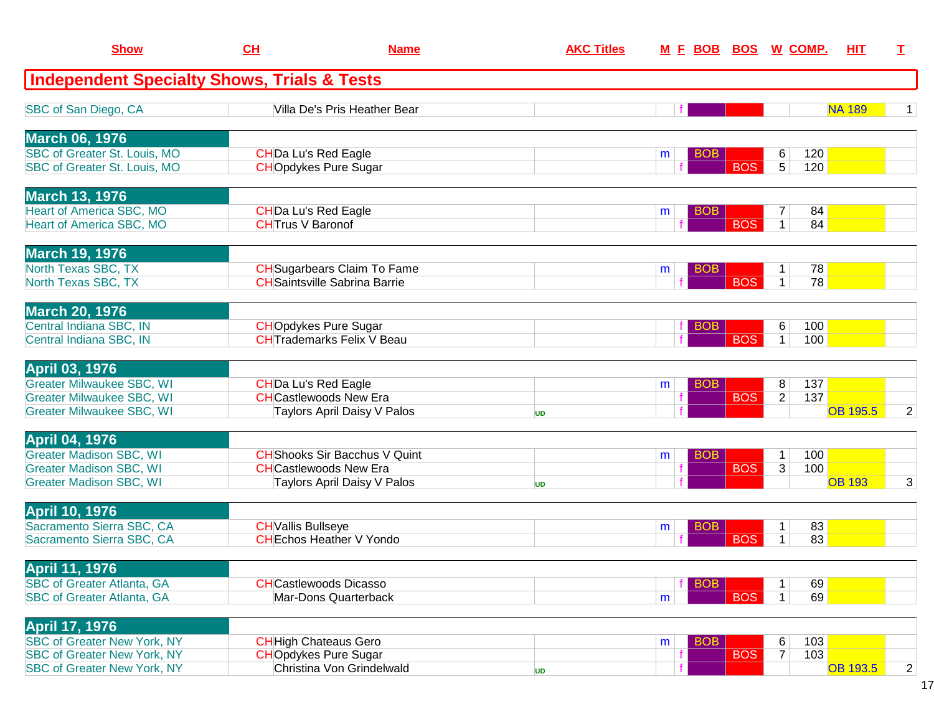| <b>Show</b>                                                          | CH                                                    | <b>Name</b>                                                                | <b>AKC Titles</b> |   | <u>M F BOB</u> | <u>BOS</u> |                   | <u>W_COMP.</u> | HIT             | I              |
|----------------------------------------------------------------------|-------------------------------------------------------|----------------------------------------------------------------------------|-------------------|---|----------------|------------|-------------------|----------------|-----------------|----------------|
| <b>Independent Specialty Shows, Trials &amp; Tests</b>               |                                                       |                                                                            |                   |   |                |            |                   |                |                 |                |
| SBC of San Diego, CA                                                 |                                                       | Villa De's Pris Heather Bear                                               |                   |   |                |            |                   |                | <b>NA 189</b>   | $\mathbf{1}$   |
| <b>March 06, 1976</b>                                                |                                                       |                                                                            |                   |   |                |            |                   |                |                 |                |
| SBC of Greater St. Louis, MO<br>SBC of Greater St. Louis, MO         | <b>CHDa Lu's Red Eagle</b>                            | <b>CHOpdykes Pure Sugar</b>                                                |                   | m | <b>BOB</b>     | <b>BOS</b> | $\,6$<br>5        | 120<br>120     |                 |                |
| <b>March 13, 1976</b>                                                |                                                       |                                                                            |                   |   |                |            |                   |                |                 |                |
| <b>Heart of America SBC, MO</b><br>Heart of America SBC, MO          | <b>CHDa Lu's Red Eagle</b><br><b>CHTrus V Baronof</b> |                                                                            |                   | m | <b>BOB</b>     | <b>BOS</b> | 7                 | 84<br>84       |                 |                |
| <b>March 19, 1976</b><br>North Texas SBC, TX                         |                                                       |                                                                            |                   |   |                |            |                   |                |                 |                |
| North Texas SBC, TX                                                  |                                                       | <b>CH</b> Sugarbears Claim To Fame<br><b>CH</b> Saintsville Sabrina Barrie |                   | m | <b>BOB</b>     | <b>BOS</b> | 1<br>$\mathbf{1}$ | 78<br>78       |                 |                |
| <b>March 20, 1976</b><br>Central Indiana SBC, IN                     |                                                       | <b>CHOpdykes Pure Sugar</b>                                                |                   |   | BOB            |            | 6                 | 100            |                 |                |
| Central Indiana SBC, IN                                              |                                                       | <b>CHTrademarks Felix V Beau</b>                                           |                   |   |                | <b>BOS</b> | $\mathbf 1$       | 100            |                 |                |
| <b>April 03, 1976</b><br><b>Greater Milwaukee SBC, WI</b>            | <b>CHDa Lu's Red Eagle</b>                            |                                                                            |                   | m | <b>BOB</b>     |            | 8                 | 137            |                 |                |
| <b>Greater Milwaukee SBC, WI</b><br><b>Greater Milwaukee SBC, WI</b> |                                                       | <b>CH</b> Castlewoods New Era<br>Taylors April Daisy V Palos               | <b>UD</b>         |   |                | <b>BOS</b> | $\overline{2}$    | 137            | <b>OB 195.5</b> | $\overline{2}$ |
| <b>April 04, 1976</b>                                                |                                                       |                                                                            |                   |   |                |            |                   |                |                 |                |
| <b>Greater Madison SBC, WI</b><br><b>Greater Madison SBC, WI</b>     |                                                       | <b>CH</b> Shooks Sir Bacchus V Quint<br><b>CH</b> Castlewoods New Era      |                   | m | <b>BOB</b>     | <b>BOS</b> | $\mathbf 1$<br>3  | 100<br>100     |                 |                |
| <b>Greater Madison SBC, WI</b>                                       |                                                       | Taylors April Daisy V Palos                                                | <b>UD</b>         |   |                |            |                   |                | <b>OB 193</b>   | $\overline{3}$ |
| <b>April 10, 1976</b><br>Sacramento Sierra SBC, CA                   | <b>CH</b> Vallis Bullseye                             |                                                                            |                   | m | <b>BOB</b>     |            | 1                 | 83             |                 |                |
| Sacramento Sierra SBC, CA                                            |                                                       | <b>CHEchos Heather V Yondo</b>                                             |                   |   |                | <b>BOS</b> | 1                 | 83             |                 |                |
| <b>April 11, 1976</b><br><b>SBC of Greater Atlanta, GA</b>           |                                                       | <b>CH</b> Castlewoods Dicasso                                              |                   |   | <b>BOB</b>     |            | 1                 | 69             |                 |                |
| <b>SBC of Greater Atlanta, GA</b>                                    |                                                       | Mar-Dons Quarterback                                                       |                   | m |                | <b>BOS</b> | $\mathbf 1$       | 69             |                 |                |
| <b>April 17, 1976</b><br><b>SBC of Greater New York, NY</b>          |                                                       | <b>CH</b> High Chateaus Gero                                               |                   | m | <b>BOB</b>     |            | 6                 | 103            |                 |                |
| <b>SBC of Greater New York, NY</b>                                   |                                                       | <b>CHOpdykes Pure Sugar</b>                                                |                   |   |                | <b>BOS</b> | $\overline{7}$    | 103            |                 |                |
| <b>SBC of Greater New York, NY</b>                                   |                                                       | Christina Von Grindelwald                                                  | <b>UD</b>         |   |                |            |                   |                | <b>OB 193.5</b> | $\overline{2}$ |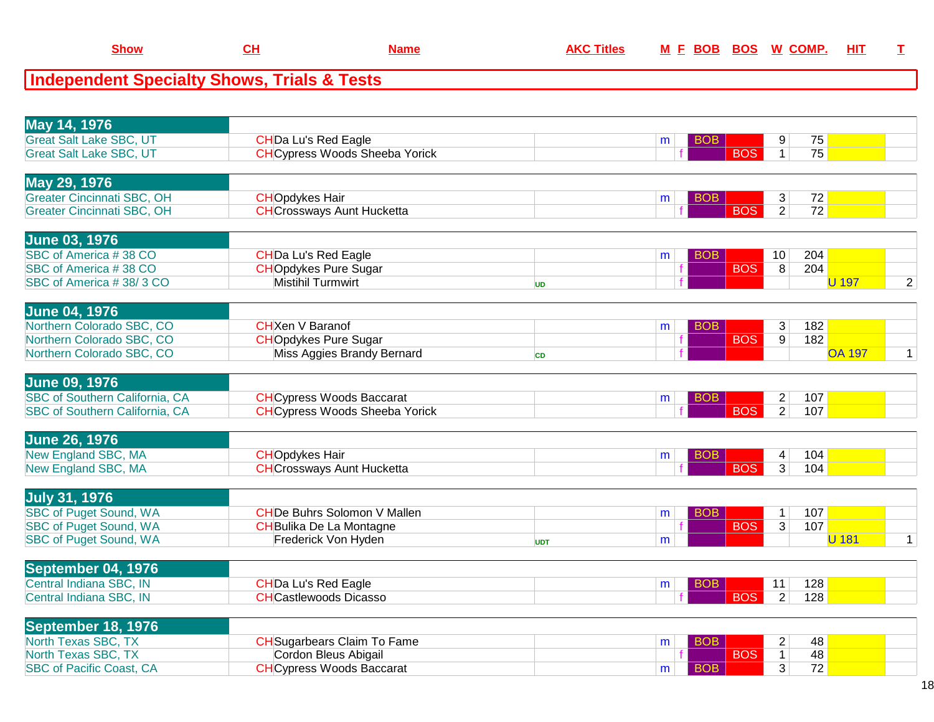| <b>Show</b>                                            | CH<br><b>Name</b>                     |           | <b>AKC Titles</b> |   | <u>M F BOB BOS</u> | <u>W_COMP.</u>          |                 | HIT           |                |
|--------------------------------------------------------|---------------------------------------|-----------|-------------------|---|--------------------|-------------------------|-----------------|---------------|----------------|
| <b>Independent Specialty Shows, Trials &amp; Tests</b> |                                       |           |                   |   |                    |                         |                 |               |                |
|                                                        |                                       |           |                   |   |                    |                         |                 |               |                |
| May 14, 1976                                           |                                       |           |                   |   |                    |                         |                 |               |                |
| <b>Great Salt Lake SBC, UT</b>                         | <b>CHDa Lu's Red Eagle</b>            |           |                   | m | <b>BOB</b>         | 9                       | 75              |               |                |
| <b>Great Salt Lake SBC, UT</b>                         | <b>CH</b> Cypress Woods Sheeba Yorick |           |                   |   | <b>BOS</b>         | $\mathbf{1}$            | 75              |               |                |
| May 29, 1976                                           |                                       |           |                   |   |                    |                         |                 |               |                |
| <b>Greater Cincinnati SBC, OH</b>                      | <b>CHOpdykes Hair</b>                 |           |                   | m | <b>BOB</b>         | 3                       | 72              |               |                |
| <b>Greater Cincinnati SBC, OH</b>                      | <b>CH</b> Crossways Aunt Hucketta     |           |                   |   | <b>BOS</b>         | $\overline{2}$          | $\overline{72}$ |               |                |
| <b>June 03, 1976</b>                                   |                                       |           |                   |   |                    |                         |                 |               |                |
| SBC of America #38 CO                                  | CHDa Lu's Red Eagle                   |           |                   | m | <b>BOB</b>         | 10                      | 204             |               |                |
| SBC of America #38 CO                                  | <b>CHOpdykes Pure Sugar</b>           |           |                   |   | <b>BOS</b>         | 8                       | 204             |               |                |
| SBC of America #38/3 CO                                | <b>Mistihil Turmwirt</b>              | <b>UD</b> |                   |   |                    |                         |                 | <b>U</b> 197  | $\overline{2}$ |
| <b>June 04, 1976</b>                                   |                                       |           |                   |   |                    |                         |                 |               |                |
| Northern Colorado SBC, CO                              | <b>CH</b> Xen V Baranof               |           |                   | m | <b>BOB</b>         | 3                       | 182             |               |                |
| Northern Colorado SBC, CO                              | <b>CHOpdykes Pure Sugar</b>           |           |                   |   | <b>BOS</b>         | 9                       | 182             |               |                |
| Northern Colorado SBC, CO                              | Miss Aggies Brandy Bernard            | <b>CD</b> |                   |   |                    |                         |                 | <b>OA 197</b> | $\mathbf 1$    |
| <b>June 09, 1976</b>                                   |                                       |           |                   |   |                    |                         |                 |               |                |
| <b>SBC of Southern California, CA</b>                  | <b>CH</b> Cypress Woods Baccarat      |           |                   | m | <b>BOB</b>         | $\overline{\mathbf{c}}$ | 107             |               |                |
| SBC of Southern California, CA                         | <b>CH</b> Cypress Woods Sheeba Yorick |           |                   |   | <b>BOS</b>         | $\overline{2}$          | 107             |               |                |
| <b>June 26, 1976</b>                                   |                                       |           |                   |   |                    |                         |                 |               |                |
| New England SBC, MA                                    | <b>CHOpdykes Hair</b>                 |           |                   | m | <b>BOB</b>         | 4                       | 104             |               |                |
| New England SBC, MA                                    | <b>CH</b> Crossways Aunt Hucketta     |           |                   |   | <b>BOS</b>         | $\overline{3}$          | 104             |               |                |

**Show**

| <b>July 31, 1976</b>          |                                    |            |   |            |   |     |  |
|-------------------------------|------------------------------------|------------|---|------------|---|-----|--|
| <b>SBC of Puget Sound, WA</b> | <b>CHDe Buhrs Solomon V Mallen</b> |            |   |            |   | 107 |  |
| <b>SBC of Puget Sound, WA</b> | CHBulika De La Montagne            |            |   | <b>BOS</b> | າ | 107 |  |
| <b>SBC of Puget Sound, WA</b> | Frederick Von Hyden                | <b>UDT</b> | m |            |   |     |  |

A **CHCrossways Aunt Hucketta f** BOS 3 104

| September 04, 1976      |                              |  |        |     |  |
|-------------------------|------------------------------|--|--------|-----|--|
| Central Indiana SBC, IN | <b>CHDa Lu's Red Eagle</b>   |  | 11     | 128 |  |
| Central Indiana SBC, IN | <b>CHCastlewoods Dicasso</b> |  | $\sim$ | 128 |  |

| September 18, 1976              |                                    |  |  |                 |  |
|---------------------------------|------------------------------------|--|--|-----------------|--|
| North Texas SBC, TX             | <b>CH</b> Sugarbears Claim To Fame |  |  | 48 <sub>1</sub> |  |
| North Texas SBC, TX             | Cordon Bleus Abigail               |  |  | 48              |  |
| <b>SBC of Pacific Coast, CA</b> | <b>CHCypress Woods Baccarat</b>    |  |  | 72 <sub>h</sub> |  |
|                                 |                                    |  |  |                 |  |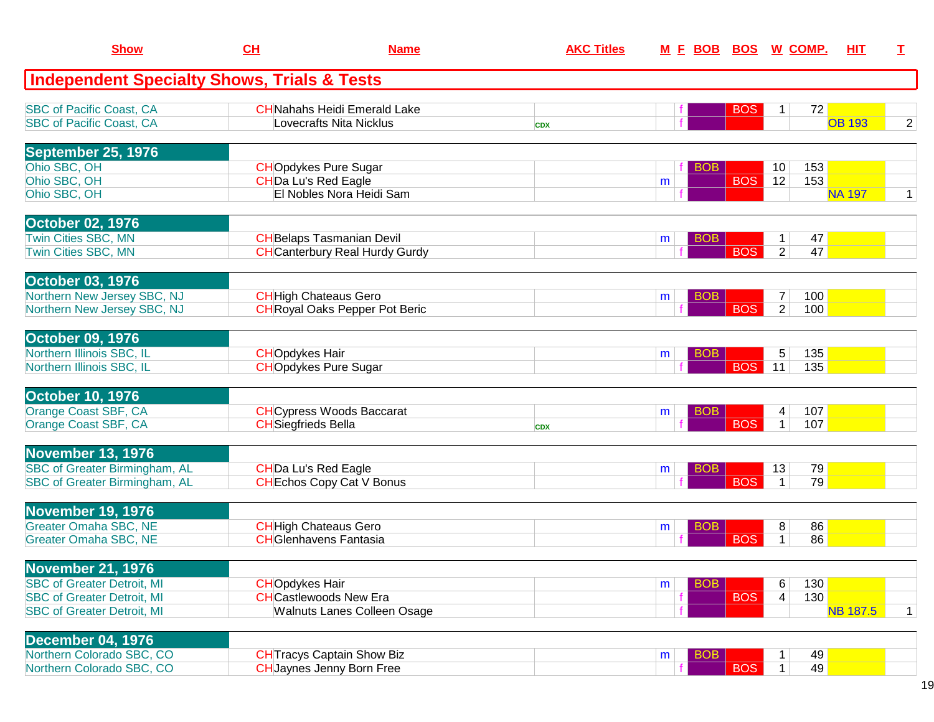| <b>Show</b>                                                                                                 | CH                         | <b>Name</b>                                                                           | <b>AKC Titles</b> |   | <u>M E BOB</u> | <u>BOS</u> |                                  | <u>W_COMP.</u> | <b>HIT</b>      | I.             |
|-------------------------------------------------------------------------------------------------------------|----------------------------|---------------------------------------------------------------------------------------|-------------------|---|----------------|------------|----------------------------------|----------------|-----------------|----------------|
| <b>Independent Specialty Shows, Trials &amp; Tests</b>                                                      |                            |                                                                                       |                   |   |                |            |                                  |                |                 |                |
| <b>SBC of Pacific Coast, CA</b><br><b>SBC of Pacific Coast, CA</b>                                          |                            | <b>CH</b> Nahahs Heidi Emerald Lake<br><b>Lovecrafts Nita Nicklus</b>                 | <b>CDX</b>        |   |                | <b>BOS</b> | 1                                | 72             | <b>OB 193</b>   | $\overline{2}$ |
| September 25, 1976                                                                                          |                            |                                                                                       |                   |   |                |            |                                  |                |                 |                |
| Ohio SBC, OH<br>Ohio SBC, OH<br>Ohio SBC, OH                                                                |                            | <b>CHOpdykes Pure Sugar</b><br><b>CHDa Lu's Red Eagle</b><br>El Nobles Nora Heidi Sam |                   | m | <b>BOB</b>     | <b>BOS</b> | 10<br>12                         | 153<br>153     | <b>NA 197</b>   | $\mathbf{1}$   |
| <b>October 02, 1976</b><br><b>Twin Cities SBC, MN</b>                                                       |                            | <b>CH</b> Belaps Tasmanian Devil                                                      |                   |   | <b>BOB</b>     |            | 1                                | 47             |                 |                |
| Twin Cities SBC, MN                                                                                         |                            | <b>CH</b> Canterbury Real Hurdy Gurdy                                                 |                   | m |                | <b>BOS</b> | $\overline{2}$                   | 47             |                 |                |
| <b>October 03, 1976</b><br>Northern New Jersey SBC, NJ<br>Northern New Jersey SBC, NJ                       |                            | <b>CH</b> High Chateaus Gero<br><b>CH</b> Royal Oaks Pepper Pot Beric                 |                   | m | <b>BOB</b>     | <b>BOS</b> | $\overline{7}$<br>$\overline{2}$ | 100<br>100     |                 |                |
| October 09, 1976                                                                                            |                            |                                                                                       |                   |   |                |            |                                  |                |                 |                |
| Northern Illinois SBC, IL<br>Northern Illinois SBC, IL                                                      | <b>CHOpdykes Hair</b>      | <b>CHOpdykes Pure Sugar</b>                                                           |                   | m | <b>BOB</b>     | <b>BOS</b> | $\sqrt{5}$<br>11                 | 135<br>135     |                 |                |
| <b>October 10, 1976</b><br>Orange Coast SBF, CA                                                             |                            | <b>CH</b> Cypress Woods Baccarat                                                      |                   | m | <b>BOB</b>     |            | 4                                | 107            |                 |                |
| Orange Coast SBF, CA                                                                                        | <b>CH</b> Siegfrieds Bella |                                                                                       | <b>CDX</b>        |   |                | <b>BOS</b> | $\mathbf{1}$                     | 107            |                 |                |
| <b>November 13, 1976</b><br><b>SBC of Greater Birmingham, AL</b><br><b>SBC of Greater Birmingham, AL</b>    |                            | <b>CHDa Lu's Red Eagle</b><br><b>CH</b> Echos Copy Cat V Bonus                        |                   | m | <b>BOB</b>     | <b>BOS</b> | 13                               | 79<br>79       |                 |                |
| <b>November 19, 1976</b>                                                                                    |                            |                                                                                       |                   |   |                |            |                                  |                |                 |                |
| <b>Greater Omaha SBC, NE</b><br><b>Greater Omaha SBC, NE</b>                                                |                            | <b>CH</b> High Chateaus Gero<br><b>CH</b> Glenhavens Fantasia                         |                   | m | <b>BOB</b>     | <b>BOS</b> | 8<br>1                           | 86<br>86       |                 |                |
| <b>November 21, 1976</b>                                                                                    |                            |                                                                                       |                   |   |                |            |                                  |                |                 |                |
| <b>SBC of Greater Detroit, MI</b><br><b>SBC of Greater Detroit, MI</b><br><b>SBC of Greater Detroit, MI</b> | <b>CHOpdykes Hair</b>      | <b>CHCastlewoods New Era</b><br><b>Walnuts Lanes Colleen Osage</b>                    |                   | m | <b>BOB</b>     | <b>BOS</b> | 6<br>4                           | 130<br>130     | <b>NB 187.5</b> | $\mathbf{1}$   |
| <b>December 04, 1976</b><br>Northern Colorado SBC, CO                                                       |                            | <b>CH</b> Tracys Captain Show Biz                                                     |                   |   |                |            |                                  | 49             |                 |                |
| Northern Colorado SBC, CO                                                                                   |                            | <b>CH</b> Jaynes Jenny Born Free                                                      |                   | m | <b>BOB</b>     | <b>BOS</b> | $\mathbf 1$                      | 49             |                 |                |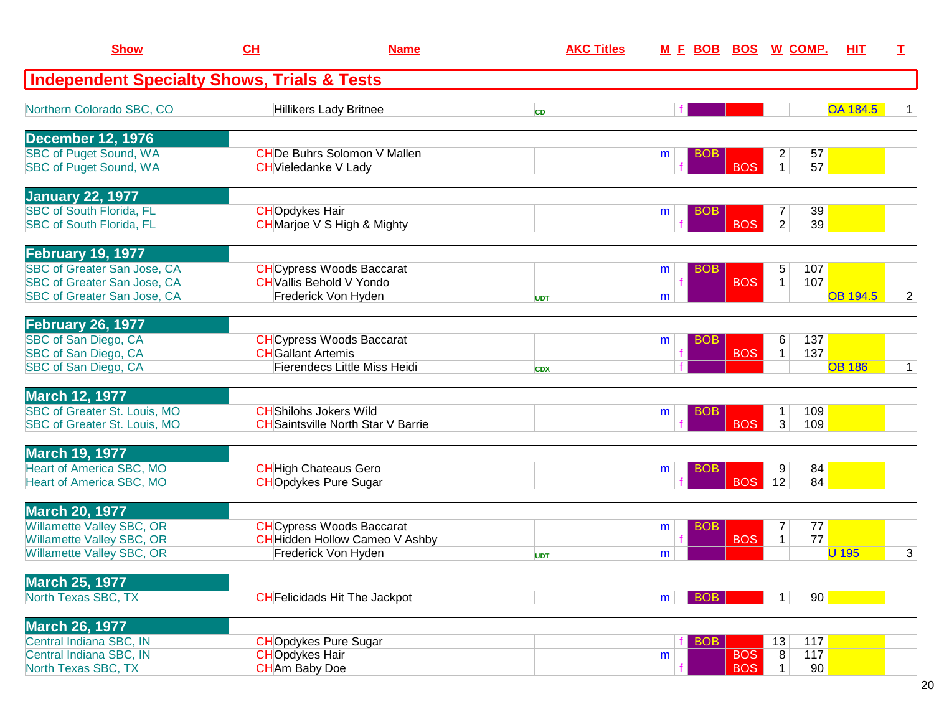| <b>Show</b>                                                        | CH                        | <b>Name</b>                                                                | <b>AKC Titles</b> |   | M E BOB BOS W COMP. |            |                                  |            | HIT             | I              |
|--------------------------------------------------------------------|---------------------------|----------------------------------------------------------------------------|-------------------|---|---------------------|------------|----------------------------------|------------|-----------------|----------------|
| <b>Independent Specialty Shows, Trials &amp; Tests</b>             |                           |                                                                            |                   |   |                     |            |                                  |            |                 |                |
| Northern Colorado SBC, CO                                          |                           | <b>Hillikers Lady Britnee</b>                                              | <b>CD</b>         |   |                     |            |                                  |            | <b>OA 184.5</b> |                |
| December 12, 1976                                                  |                           |                                                                            |                   |   |                     |            |                                  |            |                 |                |
| <b>SBC of Puget Sound, WA</b><br><b>SBC of Puget Sound, WA</b>     |                           | <b>CHDe Buhrs Solomon V Mallen</b><br><b>CH</b> Vieledanke V Lady          |                   | m | <b>BOB</b>          | <b>BOS</b> | $\overline{c}$<br>$\mathbf{1}$   | 57<br>57   |                 |                |
|                                                                    |                           |                                                                            |                   |   |                     |            |                                  |            |                 |                |
| <b>January 22, 1977</b>                                            |                           |                                                                            |                   |   |                     |            |                                  |            |                 |                |
| <b>SBC of South Florida, FL</b><br><b>SBC of South Florida, FL</b> | <b>CHOpdykes Hair</b>     | <b>CH</b> Marjoe V S High & Mighty                                         |                   | m | <b>BOB</b>          | <b>BOS</b> | $\overline{7}$<br>$\overline{2}$ | 39<br>39   |                 |                |
|                                                                    |                           |                                                                            |                   |   |                     |            |                                  |            |                 |                |
| <b>February 19, 1977</b>                                           |                           |                                                                            |                   |   |                     |            |                                  |            |                 |                |
| SBC of Greater San Jose, CA<br><b>SBC of Greater San Jose, CA</b>  |                           | <b>CH</b> Cypress Woods Baccarat<br><b>CH</b> Vallis Behold V Yondo        |                   | m | BOB                 | <b>BOS</b> | 5<br>1                           | 107<br>107 |                 |                |
| SBC of Greater San Jose, CA                                        |                           | Frederick Von Hyden                                                        | <b>UDT</b>        | m |                     |            |                                  |            | <b>OB 194.5</b> | $\overline{2}$ |
| <b>February 26, 1977</b>                                           |                           |                                                                            |                   |   |                     |            |                                  |            |                 |                |
| SBC of San Diego, CA                                               |                           | <b>CH</b> Cypress Woods Baccarat                                           |                   | m | <b>BOB</b>          |            | 6                                | 137        |                 |                |
| SBC of San Diego, CA                                               | <b>CH</b> Gallant Artemis |                                                                            |                   |   |                     | <b>BOS</b> | $\mathbf 1$                      | 137        | <b>OB 186</b>   |                |
| SBC of San Diego, CA                                               |                           | <b>Fierendecs Little Miss Heidi</b>                                        | <b>CDX</b>        |   |                     |            |                                  |            |                 | 1              |
| <b>March 12, 1977</b>                                              |                           |                                                                            |                   |   |                     |            |                                  |            |                 |                |
| SBC of Greater St. Louis, MO<br>SBC of Greater St. Louis, MO       |                           | <b>CH</b> Shilohs Jokers Wild<br><b>CH</b> Saintsville North Star V Barrie |                   | m | BOB.                | <b>BOS</b> | 1<br>$\overline{3}$              | 109<br>109 |                 |                |
|                                                                    |                           |                                                                            |                   |   |                     |            |                                  |            |                 |                |
| <b>March 19, 1977</b>                                              |                           |                                                                            |                   |   |                     |            |                                  |            |                 |                |
| <b>Heart of America SBC, MO</b><br>Heart of America SBC, MO        |                           | <b>CH</b> High Chateaus Gero<br><b>CHOpdykes Pure Sugar</b>                |                   | m | <b>BOB</b>          | <b>BOS</b> | 9<br>12                          | 84<br>84   |                 |                |
|                                                                    |                           |                                                                            |                   |   |                     |            |                                  |            |                 |                |
| <b>March 20, 1977</b>                                              |                           |                                                                            |                   |   |                     |            |                                  |            |                 |                |
| Willamette Valley SBC, OR<br><b>Willamette Valley SBC, OR</b>      |                           | <b>CH</b> Cypress Woods Baccarat<br><b>CH</b> Hidden Hollow Cameo V Ashby  |                   | m | <b>BOB</b>          | <b>BOS</b> | $\overline{7}$<br>1              | 77<br>77   |                 |                |
| Willamette Valley SBC, OR                                          |                           | Frederick Von Hyden                                                        | <b>UDT</b>        | m |                     |            |                                  |            | <b>U</b> 195    | 3              |
|                                                                    |                           |                                                                            |                   |   |                     |            |                                  |            |                 |                |
| <b>March 25, 1977</b><br>North Texas SBC, TX                       |                           | <b>CH</b> Felicidads Hit The Jackpot                                       |                   |   | BOB                 |            | 1                                | 90         |                 |                |
|                                                                    |                           |                                                                            |                   | m |                     |            |                                  |            |                 |                |
| <b>March 26, 1977</b>                                              |                           |                                                                            |                   |   |                     |            |                                  |            |                 |                |
| Central Indiana SBC, IN<br>Central Indiana SBC, IN                 | <b>CHOpdykes Hair</b>     | <b>CHOpdykes Pure Sugar</b>                                                |                   |   | BOB                 | <b>BOS</b> | 13<br>$\overline{\bf 8}$         | 117<br>117 |                 |                |
| North Texas SBC, TX                                                | <b>CH</b> Am Baby Doe     |                                                                            |                   | m |                     | <b>BOS</b> | $\mathbf 1$                      | 90         |                 |                |
|                                                                    |                           |                                                                            |                   |   |                     |            |                                  |            |                 |                |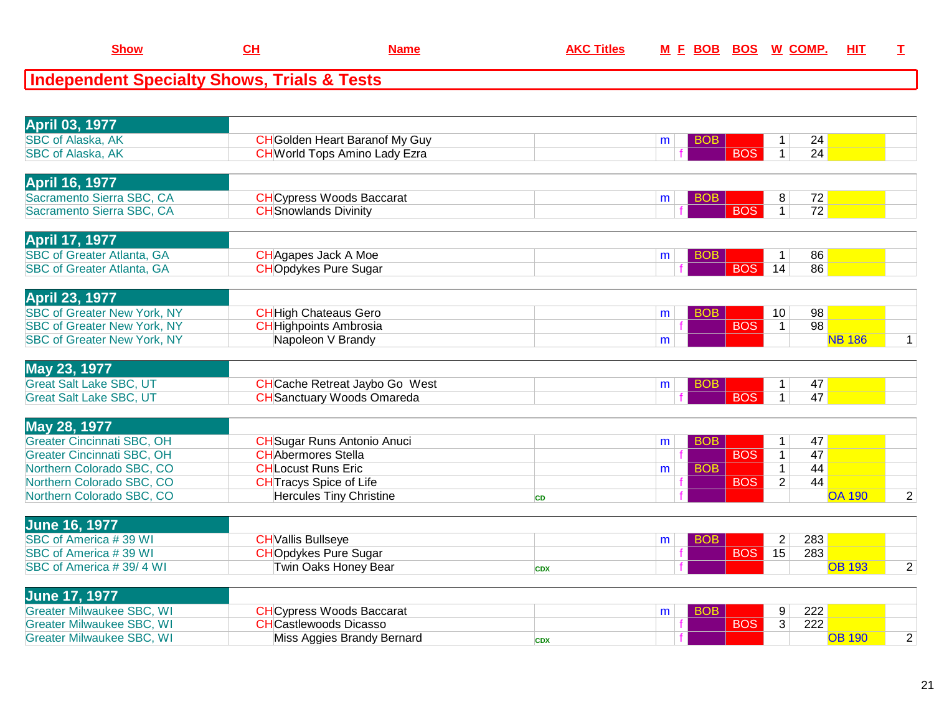| <b>April 03, 1977</b><br><b>SBC of Alaska, AK</b><br><b>CH</b> Golden Heart Baranof My Guy<br><b>BOB</b><br>24<br>$\mathbf 1$<br>m<br>$\overline{24}$<br><b>BOS</b><br>$\mathbf{1}$<br><b>SBC of Alaska, AK</b><br><b>CH</b> World Tops Amino Lady Ezra<br><b>April 16, 1977</b><br>Sacramento Sierra SBC, CA<br><b>CH</b> Cypress Woods Baccarat<br>8<br>72<br><b>BOB</b><br>m<br><b>BOS</b><br>$\overline{72}$<br>$\overline{1}$<br>Sacramento Sierra SBC, CA<br><b>CH</b> Snowlands Divinity<br><b>April 17, 1977</b><br><b>SBC of Greater Atlanta, GA</b><br><b>CH</b> Agapes Jack A Moe<br>86<br><b>BOB</b><br>$\mathbf{1}$<br>m<br><b>BOS</b><br>14<br>86<br><b>SBC of Greater Atlanta, GA</b><br><b>CHOpdykes Pure Sugar</b><br><b>April 23, 1977</b><br><b>SBC of Greater New York, NY</b><br>98<br><b>CH</b> High Chateaus Gero<br><b>BOB</b><br>10 <sup>°</sup><br>m<br><b>BOS</b><br>98<br><b>SBC of Greater New York, NY</b><br><b>CH</b> Highpoints Ambrosia<br>$\mathbf{1}$<br>Napoleon V Brandy<br><b>SBC of Greater New York, NY</b><br><b>NB 186</b><br>m<br>May 23, 1977<br><b>Great Salt Lake SBC, UT</b><br><b>CH</b> Cache Retreat Jaybo Go West<br>47<br><b>BOB</b><br>$\mathbf{1}$<br>m<br><b>BOS</b><br><b>CH</b> Sanctuary Woods Omareda<br>$\overline{1}$<br>47<br><b>Great Salt Lake SBC, UT</b><br>May 28, 1977<br><b>Greater Cincinnati SBC, OH</b><br>47<br><b>CH</b> Sugar Runs Antonio Anuci<br><b>BOB</b><br>$\mathbf{1}$<br>m<br><b>Greater Cincinnati SBC, OH</b><br><b>CH</b> Abermores Stella<br><b>BOS</b><br>$\mathbf{1}$<br>47<br><b>BOB</b><br>44<br>Northern Colorado SBC, CO<br><b>CHLocust Runs Eric</b><br>$\mathbf{1}$<br>m<br>Northern Colorado SBC, CO<br><b>CH</b> Tracys Spice of Life<br><b>BOS</b><br>$\overline{2}$<br>44<br>Northern Colorado SBC, CO<br><b>Hercules Tiny Christine</b><br><b>OA 190</b><br><b>CD</b> |  |
|-----------------------------------------------------------------------------------------------------------------------------------------------------------------------------------------------------------------------------------------------------------------------------------------------------------------------------------------------------------------------------------------------------------------------------------------------------------------------------------------------------------------------------------------------------------------------------------------------------------------------------------------------------------------------------------------------------------------------------------------------------------------------------------------------------------------------------------------------------------------------------------------------------------------------------------------------------------------------------------------------------------------------------------------------------------------------------------------------------------------------------------------------------------------------------------------------------------------------------------------------------------------------------------------------------------------------------------------------------------------------------------------------------------------------------------------------------------------------------------------------------------------------------------------------------------------------------------------------------------------------------------------------------------------------------------------------------------------------------------------------------------------------------------------------------------------------------------------------------------------------------|--|
|                                                                                                                                                                                                                                                                                                                                                                                                                                                                                                                                                                                                                                                                                                                                                                                                                                                                                                                                                                                                                                                                                                                                                                                                                                                                                                                                                                                                                                                                                                                                                                                                                                                                                                                                                                                                                                                                             |  |
|                                                                                                                                                                                                                                                                                                                                                                                                                                                                                                                                                                                                                                                                                                                                                                                                                                                                                                                                                                                                                                                                                                                                                                                                                                                                                                                                                                                                                                                                                                                                                                                                                                                                                                                                                                                                                                                                             |  |
|                                                                                                                                                                                                                                                                                                                                                                                                                                                                                                                                                                                                                                                                                                                                                                                                                                                                                                                                                                                                                                                                                                                                                                                                                                                                                                                                                                                                                                                                                                                                                                                                                                                                                                                                                                                                                                                                             |  |
|                                                                                                                                                                                                                                                                                                                                                                                                                                                                                                                                                                                                                                                                                                                                                                                                                                                                                                                                                                                                                                                                                                                                                                                                                                                                                                                                                                                                                                                                                                                                                                                                                                                                                                                                                                                                                                                                             |  |
|                                                                                                                                                                                                                                                                                                                                                                                                                                                                                                                                                                                                                                                                                                                                                                                                                                                                                                                                                                                                                                                                                                                                                                                                                                                                                                                                                                                                                                                                                                                                                                                                                                                                                                                                                                                                                                                                             |  |
|                                                                                                                                                                                                                                                                                                                                                                                                                                                                                                                                                                                                                                                                                                                                                                                                                                                                                                                                                                                                                                                                                                                                                                                                                                                                                                                                                                                                                                                                                                                                                                                                                                                                                                                                                                                                                                                                             |  |
|                                                                                                                                                                                                                                                                                                                                                                                                                                                                                                                                                                                                                                                                                                                                                                                                                                                                                                                                                                                                                                                                                                                                                                                                                                                                                                                                                                                                                                                                                                                                                                                                                                                                                                                                                                                                                                                                             |  |
|                                                                                                                                                                                                                                                                                                                                                                                                                                                                                                                                                                                                                                                                                                                                                                                                                                                                                                                                                                                                                                                                                                                                                                                                                                                                                                                                                                                                                                                                                                                                                                                                                                                                                                                                                                                                                                                                             |  |
|                                                                                                                                                                                                                                                                                                                                                                                                                                                                                                                                                                                                                                                                                                                                                                                                                                                                                                                                                                                                                                                                                                                                                                                                                                                                                                                                                                                                                                                                                                                                                                                                                                                                                                                                                                                                                                                                             |  |
|                                                                                                                                                                                                                                                                                                                                                                                                                                                                                                                                                                                                                                                                                                                                                                                                                                                                                                                                                                                                                                                                                                                                                                                                                                                                                                                                                                                                                                                                                                                                                                                                                                                                                                                                                                                                                                                                             |  |
|                                                                                                                                                                                                                                                                                                                                                                                                                                                                                                                                                                                                                                                                                                                                                                                                                                                                                                                                                                                                                                                                                                                                                                                                                                                                                                                                                                                                                                                                                                                                                                                                                                                                                                                                                                                                                                                                             |  |
|                                                                                                                                                                                                                                                                                                                                                                                                                                                                                                                                                                                                                                                                                                                                                                                                                                                                                                                                                                                                                                                                                                                                                                                                                                                                                                                                                                                                                                                                                                                                                                                                                                                                                                                                                                                                                                                                             |  |
|                                                                                                                                                                                                                                                                                                                                                                                                                                                                                                                                                                                                                                                                                                                                                                                                                                                                                                                                                                                                                                                                                                                                                                                                                                                                                                                                                                                                                                                                                                                                                                                                                                                                                                                                                                                                                                                                             |  |
|                                                                                                                                                                                                                                                                                                                                                                                                                                                                                                                                                                                                                                                                                                                                                                                                                                                                                                                                                                                                                                                                                                                                                                                                                                                                                                                                                                                                                                                                                                                                                                                                                                                                                                                                                                                                                                                                             |  |
|                                                                                                                                                                                                                                                                                                                                                                                                                                                                                                                                                                                                                                                                                                                                                                                                                                                                                                                                                                                                                                                                                                                                                                                                                                                                                                                                                                                                                                                                                                                                                                                                                                                                                                                                                                                                                                                                             |  |
|                                                                                                                                                                                                                                                                                                                                                                                                                                                                                                                                                                                                                                                                                                                                                                                                                                                                                                                                                                                                                                                                                                                                                                                                                                                                                                                                                                                                                                                                                                                                                                                                                                                                                                                                                                                                                                                                             |  |
|                                                                                                                                                                                                                                                                                                                                                                                                                                                                                                                                                                                                                                                                                                                                                                                                                                                                                                                                                                                                                                                                                                                                                                                                                                                                                                                                                                                                                                                                                                                                                                                                                                                                                                                                                                                                                                                                             |  |
|                                                                                                                                                                                                                                                                                                                                                                                                                                                                                                                                                                                                                                                                                                                                                                                                                                                                                                                                                                                                                                                                                                                                                                                                                                                                                                                                                                                                                                                                                                                                                                                                                                                                                                                                                                                                                                                                             |  |
|                                                                                                                                                                                                                                                                                                                                                                                                                                                                                                                                                                                                                                                                                                                                                                                                                                                                                                                                                                                                                                                                                                                                                                                                                                                                                                                                                                                                                                                                                                                                                                                                                                                                                                                                                                                                                                                                             |  |
|                                                                                                                                                                                                                                                                                                                                                                                                                                                                                                                                                                                                                                                                                                                                                                                                                                                                                                                                                                                                                                                                                                                                                                                                                                                                                                                                                                                                                                                                                                                                                                                                                                                                                                                                                                                                                                                                             |  |
|                                                                                                                                                                                                                                                                                                                                                                                                                                                                                                                                                                                                                                                                                                                                                                                                                                                                                                                                                                                                                                                                                                                                                                                                                                                                                                                                                                                                                                                                                                                                                                                                                                                                                                                                                                                                                                                                             |  |
|                                                                                                                                                                                                                                                                                                                                                                                                                                                                                                                                                                                                                                                                                                                                                                                                                                                                                                                                                                                                                                                                                                                                                                                                                                                                                                                                                                                                                                                                                                                                                                                                                                                                                                                                                                                                                                                                             |  |
|                                                                                                                                                                                                                                                                                                                                                                                                                                                                                                                                                                                                                                                                                                                                                                                                                                                                                                                                                                                                                                                                                                                                                                                                                                                                                                                                                                                                                                                                                                                                                                                                                                                                                                                                                                                                                                                                             |  |
|                                                                                                                                                                                                                                                                                                                                                                                                                                                                                                                                                                                                                                                                                                                                                                                                                                                                                                                                                                                                                                                                                                                                                                                                                                                                                                                                                                                                                                                                                                                                                                                                                                                                                                                                                                                                                                                                             |  |
|                                                                                                                                                                                                                                                                                                                                                                                                                                                                                                                                                                                                                                                                                                                                                                                                                                                                                                                                                                                                                                                                                                                                                                                                                                                                                                                                                                                                                                                                                                                                                                                                                                                                                                                                                                                                                                                                             |  |
| <b>June 16, 1977</b>                                                                                                                                                                                                                                                                                                                                                                                                                                                                                                                                                                                                                                                                                                                                                                                                                                                                                                                                                                                                                                                                                                                                                                                                                                                                                                                                                                                                                                                                                                                                                                                                                                                                                                                                                                                                                                                        |  |
| SBC of America #39 WI<br><b>CH</b> Vallis Bullseye<br>$\mathbf 2$<br>283<br><b>BOB</b><br>m                                                                                                                                                                                                                                                                                                                                                                                                                                                                                                                                                                                                                                                                                                                                                                                                                                                                                                                                                                                                                                                                                                                                                                                                                                                                                                                                                                                                                                                                                                                                                                                                                                                                                                                                                                                 |  |
| SBC of America #39 WI<br><b>CHOpdykes Pure Sugar</b><br>BOS  <br>283<br>15                                                                                                                                                                                                                                                                                                                                                                                                                                                                                                                                                                                                                                                                                                                                                                                                                                                                                                                                                                                                                                                                                                                                                                                                                                                                                                                                                                                                                                                                                                                                                                                                                                                                                                                                                                                                  |  |
| SBC of America #39/4 WI<br>Twin Oaks Honey Bear<br><b>OB 193</b><br><b>CDX</b>                                                                                                                                                                                                                                                                                                                                                                                                                                                                                                                                                                                                                                                                                                                                                                                                                                                                                                                                                                                                                                                                                                                                                                                                                                                                                                                                                                                                                                                                                                                                                                                                                                                                                                                                                                                              |  |
| <b>June 17, 1977</b>                                                                                                                                                                                                                                                                                                                                                                                                                                                                                                                                                                                                                                                                                                                                                                                                                                                                                                                                                                                                                                                                                                                                                                                                                                                                                                                                                                                                                                                                                                                                                                                                                                                                                                                                                                                                                                                        |  |
| <b>Greater Milwaukee SBC, WI</b><br><b>CH</b> Cypress Woods Baccarat<br>9<br>222<br><b>BOB</b><br>m                                                                                                                                                                                                                                                                                                                                                                                                                                                                                                                                                                                                                                                                                                                                                                                                                                                                                                                                                                                                                                                                                                                                                                                                                                                                                                                                                                                                                                                                                                                                                                                                                                                                                                                                                                         |  |

**CH Name AKC Titles <sup>M</sup>**

**Show**

**<sup>F</sup> BOB BOS <sup>W</sup> COMP. HIT <sup>T</sup>**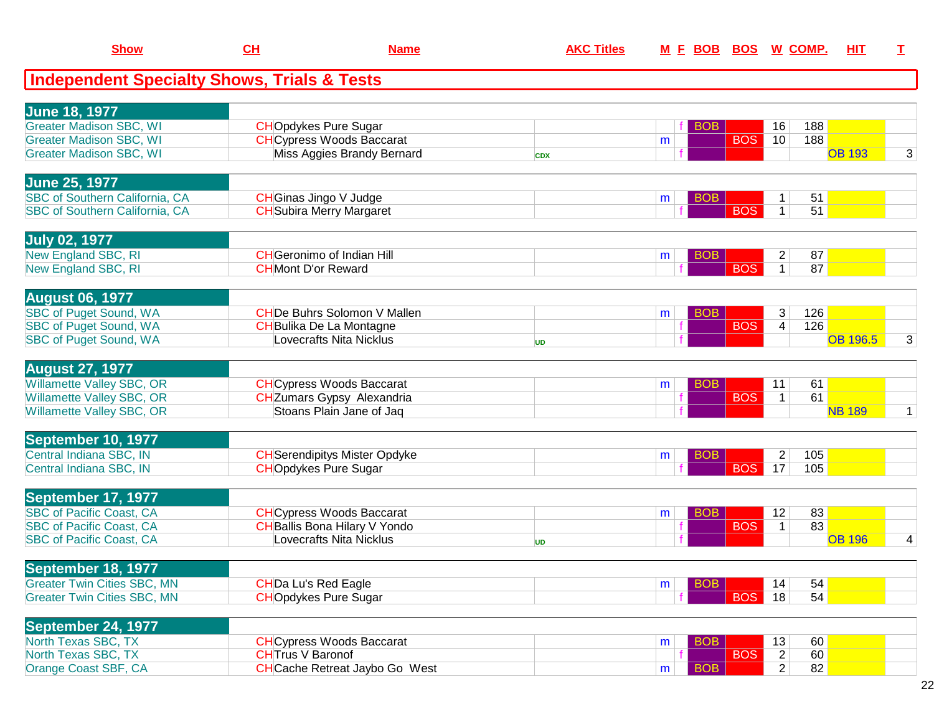| <b>Show</b>                                                                    | CL                         | <b>Name</b>                                                           | <b>AKC Titles</b> | M E BOB         |            | <b>BOS W COMP.</b>                 | HIT             | I            |
|--------------------------------------------------------------------------------|----------------------------|-----------------------------------------------------------------------|-------------------|-----------------|------------|------------------------------------|-----------------|--------------|
| <b>Independent Specialty Shows, Trials &amp; Tests</b>                         |                            |                                                                       |                   |                 |            |                                    |                 |              |
| <b>June 18, 1977</b><br><b>Greater Madison SBC, WI</b>                         |                            | <b>CHOpdykes Pure Sugar</b>                                           |                   | <b>BOB</b>      |            | 188<br>16                          |                 |              |
| <b>Greater Madison SBC, WI</b><br><b>Greater Madison SBC, WI</b>               |                            | <b>CH</b> Cypress Woods Baccarat<br>Miss Aggies Brandy Bernard        | <b>CDX</b>        | m               | <b>BOS</b> | 188<br>10                          | <b>OB 193</b>   | 3            |
| June 25, 1977                                                                  |                            |                                                                       |                   |                 |            |                                    |                 |              |
| <b>SBC of Southern California, CA</b><br><b>SBC of Southern California, CA</b> |                            | CHGinas Jingo V Judge<br><b>CH</b> Subira Merry Margaret              |                   | BOB<br>m        | <b>BOS</b> | 51<br>51<br>$\mathbf{1}$           |                 |              |
| <b>July 02, 1977</b><br>New England SBC, RI                                    |                            | <b>CH</b> Geronimo of Indian Hill                                     |                   | <b>BOB</b>      |            | 87<br>$\overline{2}$               |                 |              |
| New England SBC, RI                                                            | <b>CH</b> Mont D'or Reward |                                                                       |                   | m               | <b>BOS</b> | 87<br>$\mathbf{1}$                 |                 |              |
| <b>August 06, 1977</b><br><b>SBC of Puget Sound, WA</b>                        |                            | <b>CHDe Buhrs Solomon V Mallen</b>                                    |                   | <b>BOB</b><br>m |            | 3<br>126                           |                 |              |
| <b>SBC of Puget Sound, WA</b><br><b>SBC of Puget Sound, WA</b>                 |                            | <b>CH</b> Bulika De La Montagne<br>Lovecrafts Nita Nicklus            | <b>UD</b>         |                 | <b>BOS</b> | 126<br>$\overline{4}$              | <b>OB 196.5</b> | 3            |
| <b>August 27, 1977</b>                                                         |                            |                                                                       |                   |                 |            |                                    |                 |              |
| <b>Willamette Valley SBC, OR</b><br><b>Willamette Valley SBC, OR</b>           |                            | <b>CH</b> Cypress Woods Baccarat<br><b>CH</b> Zumars Gypsy Alexandria |                   | <b>BOB</b><br>m | <b>BOS</b> | 11<br>61<br>$\mathbf{1}$<br>61     |                 |              |
| <b>Willamette Valley SBC, OR</b>                                               |                            | Stoans Plain Jane of Jaq                                              |                   |                 |            |                                    | <b>NB 189</b>   | $\mathbf{1}$ |
| September 10, 1977<br>Central Indiana SBC, IN<br>Central Indiana SBC, IN       |                            | <b>CH</b> Serendipitys Mister Opdyke<br><b>CHOpdykes Pure Sugar</b>   |                   | <b>BOB</b><br>m | <b>BOS</b> | $\overline{2}$<br>105<br>17<br>105 |                 |              |
| September 17, 1977<br><b>SBC of Pacific Coast, CA</b>                          |                            | <b>CHCypress Woods Baccarat</b>                                       |                   | <b>BOB</b>      |            | 83<br>12                           |                 |              |
| <b>SBC of Pacific Coast, CA</b><br><b>SBC of Pacific Coast, CA</b>             |                            | <b>CH</b> Ballis Bona Hilary V Yondo<br>Lovecrafts Nita Nicklus       | UD                | m               | <b>BOS</b> | 83<br>$\mathbf{1}$                 | <b>OB 196</b>   | 4            |
| September 18, 1977                                                             |                            |                                                                       |                   |                 |            |                                    |                 |              |
| <b>Greater Twin Cities SBC, MN</b><br><b>Greater Twin Cities SBC, MN</b>       | <b>CHDa Lu's Red Eagle</b> | <b>CHOpdykes Pure Sugar</b>                                           |                   | <b>BOB</b><br>m | <b>BOS</b> | 54<br>14<br>54<br>18               |                 |              |
| <b>September 24, 1977</b>                                                      |                            |                                                                       |                   |                 |            |                                    |                 |              |
| North Texas SBC, TX<br>North Texas SBC, TX                                     | <b>CHTrus V Baronof</b>    | <b>CH</b> Cypress Woods Baccarat                                      |                   | <b>BOB</b><br>m | <b>BOS</b> | 13<br>60<br>60<br>$\overline{2}$   |                 |              |
| Orange Coast SBF, CA                                                           |                            | <b>CH</b> Cache Retreat Jaybo Go West                                 |                   | <b>BOB</b><br>m |            | $\overline{2}$<br>82               |                 |              |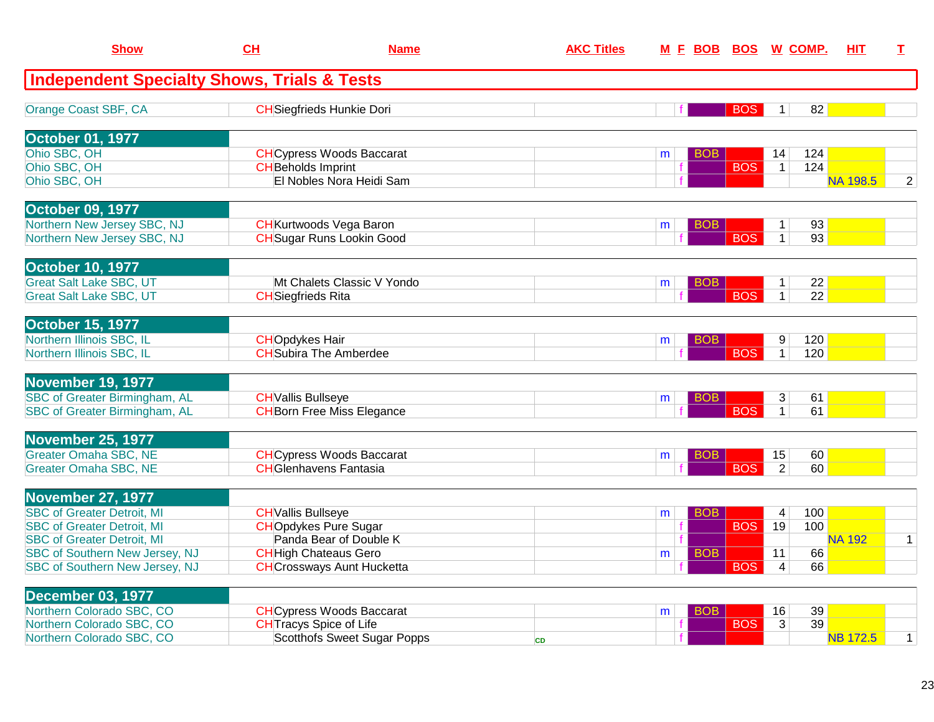| <b>Show</b>                                            | CH                        | <b>Name</b>                       | <b>AKC Titles</b> | M F BOB         | <b>BOS</b> |                         | W COMP.         | <b>HIT</b>      | I              |
|--------------------------------------------------------|---------------------------|-----------------------------------|-------------------|-----------------|------------|-------------------------|-----------------|-----------------|----------------|
| <b>Independent Specialty Shows, Trials &amp; Tests</b> |                           |                                   |                   |                 |            |                         |                 |                 |                |
| Orange Coast SBF, CA                                   |                           | <b>CH</b> Siegfrieds Hunkie Dori  |                   |                 | <b>BOS</b> | $\mathbf{1}$            | 82              |                 |                |
| <b>October 01, 1977</b>                                |                           |                                   |                   |                 |            |                         |                 |                 |                |
| Ohio SBC, OH                                           |                           | <b>CH</b> Cypress Woods Baccarat  |                   | <b>BOB</b><br>m |            | 14                      | 124             |                 |                |
| Ohio SBC, OH                                           | <b>CH</b> Beholds Imprint |                                   |                   |                 | <b>BOS</b> | $\mathbf{1}$            | 124             |                 |                |
| Ohio SBC, OH                                           |                           | El Nobles Nora Heidi Sam          |                   |                 |            |                         |                 | <b>NA 198.5</b> | $\overline{2}$ |
| <b>October 09, 1977</b>                                |                           |                                   |                   |                 |            |                         |                 |                 |                |
| Northern New Jersey SBC, NJ                            |                           | <b>CH</b> Kurtwoods Vega Baron    |                   | BOB<br>m        |            | $\mathbf{1}$            | 93              |                 |                |
| Northern New Jersey SBC, NJ                            |                           | <b>CH</b> Sugar Runs Lookin Good  |                   |                 | <b>BOS</b> | $\mathbf{1}$            | 93              |                 |                |
| <b>October 10, 1977</b>                                |                           |                                   |                   |                 |            |                         |                 |                 |                |
| <b>Great Salt Lake SBC, UT</b>                         |                           | Mt Chalets Classic V Yondo        |                   | BOB<br>m        |            | 1                       | 22              |                 |                |
| <b>Great Salt Lake SBC, UT</b>                         | <b>CH</b> Siegfrieds Rita |                                   |                   |                 | <b>BOS</b> | $\mathbf{1}$            | $\overline{22}$ |                 |                |
| <b>October 15, 1977</b>                                |                           |                                   |                   |                 |            |                         |                 |                 |                |
| Northern Illinois SBC, IL                              | <b>CHOpdykes Hair</b>     |                                   |                   | BOB<br>m        |            | 9                       | 120             |                 |                |
| Northern Illinois SBC, IL                              |                           | <b>CH</b> Subira The Amberdee     |                   |                 | <b>BOS</b> | $\mathbf{1}$            | 120             |                 |                |
| November 19, 1977                                      |                           |                                   |                   |                 |            |                         |                 |                 |                |
| <b>SBC of Greater Birmingham, AL</b>                   | <b>CH</b> Vallis Bullseye |                                   |                   | BOB<br>m        |            | 3                       | 61              |                 |                |
| <b>SBC of Greater Birmingham, AL</b>                   |                           | <b>CH</b> Born Free Miss Elegance |                   |                 | <b>BOS</b> | $\overline{1}$          | 61              |                 |                |
| November 25, 1977                                      |                           |                                   |                   |                 |            |                         |                 |                 |                |
| Greater Omaha SBC, NE                                  |                           | <b>CH</b> Cypress Woods Baccarat  |                   | BOB.<br>m       |            | 15                      | 60              |                 |                |
| <b>Greater Omaha SBC, NE</b>                           |                           | <b>CHGlenhavens Fantasia</b>      |                   |                 | <b>BOS</b> | $\overline{2}$          | 60              |                 |                |
| November 27, 1977                                      |                           |                                   |                   |                 |            |                         |                 |                 |                |
| <b>SBC of Greater Detroit, MI</b>                      | <b>CH</b> Vallis Bullseye |                                   |                   | BOB<br>m        |            | 4                       | 100             |                 |                |
| <b>SBC of Greater Detroit, MI</b>                      |                           | <b>CHOpdykes Pure Sugar</b>       |                   |                 | <b>BOS</b> | 19                      | 100             |                 |                |
| <b>SBC of Greater Detroit, MI</b>                      |                           | Panda Bear of Double K            |                   |                 |            |                         |                 | <b>NA 192</b>   | $\mathbf{1}$   |
| SBC of Southern New Jersey, NJ                         |                           | <b>CH</b> High Chateaus Gero      |                   | <b>BOB</b><br>m |            | 11                      | 66              |                 |                |
| SBC of Southern New Jersey, NJ                         |                           | <b>CH</b> Crossways Aunt Hucketta |                   |                 | <b>BOS</b> | $\overline{\mathbf{4}}$ | 66              |                 |                |
| <b>December 03, 1977</b>                               |                           |                                   |                   |                 |            |                         |                 |                 |                |
| Northern Colorado SBC, CO                              |                           | <b>CH</b> Cypress Woods Baccarat  |                   | <b>BOB</b><br>m |            | 16                      | 39              |                 |                |
| Northern Colorado SBC, CO                              |                           | <b>CH</b> Tracys Spice of Life    |                   |                 | <b>BOS</b> | $\overline{3}$          | 39              |                 |                |
| Northern Colorado SBC, CO                              |                           | Scotthofs Sweet Sugar Popps       | <b>CD</b>         |                 |            |                         |                 | <b>NB 172.5</b> | $\mathbf{1}$   |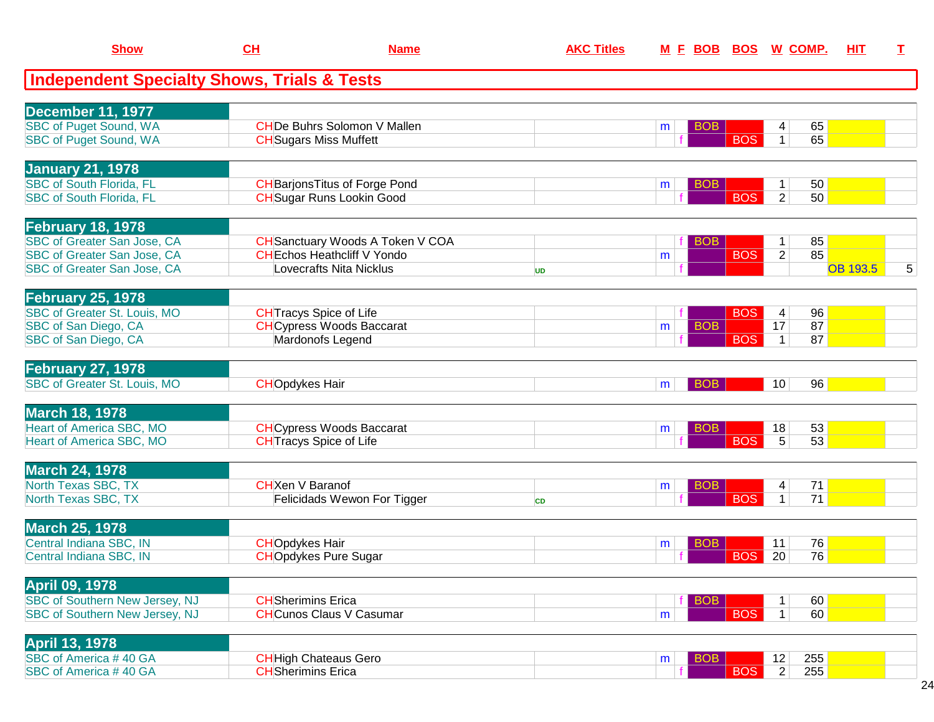| <b>Show</b>                                            | CL                        | <b>Name</b>                             | <b>AKC Titles</b> | M E BOB         |            | <b>BOS W COMP.</b>    | HIT             | I              |
|--------------------------------------------------------|---------------------------|-----------------------------------------|-------------------|-----------------|------------|-----------------------|-----------------|----------------|
| <b>Independent Specialty Shows, Trials &amp; Tests</b> |                           |                                         |                   |                 |            |                       |                 |                |
| <b>December 11, 1977</b>                               |                           |                                         |                   |                 |            |                       |                 |                |
| <b>SBC of Puget Sound, WA</b>                          |                           | <b>CHDe Buhrs Solomon V Mallen</b>      |                   | <b>BOB</b><br>m |            | 65<br>4               |                 |                |
| <b>SBC of Puget Sound, WA</b>                          |                           | <b>CH</b> Sugars Miss Muffett           |                   |                 | <b>BOS</b> | 65<br>$\mathbf{1}$    |                 |                |
| <b>January 21, 1978</b>                                |                           |                                         |                   |                 |            |                       |                 |                |
| <b>SBC of South Florida, FL</b>                        |                           | <b>CH</b> BarjonsTitus of Forge Pond    |                   | <b>BOB</b><br>m |            | 50<br>1               |                 |                |
| <b>SBC of South Florida, FL</b>                        |                           | <b>CH</b> Sugar Runs Lookin Good        |                   |                 | <b>BOS</b> | $\overline{2}$<br>50  |                 |                |
| <b>February 18, 1978</b>                               |                           |                                         |                   |                 |            |                       |                 |                |
| <b>SBC of Greater San Jose, CA</b>                     |                           | <b>CH</b> Sanctuary Woods A Token V COA |                   | <b>BOB</b>      |            | 85<br>$\mathbf 1$     |                 |                |
| <b>SBC of Greater San Jose, CA</b>                     |                           | <b>CH</b> Echos Heathcliff V Yondo      |                   | m               | <b>BOS</b> | 85<br>$\overline{2}$  |                 |                |
| <b>SBC of Greater San Jose, CA</b>                     |                           | Lovecrafts Nita Nicklus                 | <b>UD</b>         |                 |            |                       | <b>OB 193.5</b> | $\overline{5}$ |
| <b>February 25, 1978</b>                               |                           |                                         |                   |                 |            |                       |                 |                |
| <b>SBC of Greater St. Louis, MO</b>                    |                           | <b>CH</b> Tracys Spice of Life          |                   |                 | <b>BOS</b> | 96<br>4               |                 |                |
| SBC of San Diego, CA                                   |                           | <b>CH</b> Cypress Woods Baccarat        |                   | <b>BOB</b><br>m |            | 87<br>17              |                 |                |
| SBC of San Diego, CA                                   |                           | Mardonofs Legend                        |                   |                 | <b>BOS</b> | 87<br>$\mathbf{1}$    |                 |                |
| <b>February 27, 1978</b>                               |                           |                                         |                   |                 |            |                       |                 |                |
| <b>SBC of Greater St. Louis, MO</b>                    | <b>CHOpdykes Hair</b>     |                                         |                   | <b>BOB</b><br>m |            | 96<br>10 <sup>°</sup> |                 |                |
| <b>March 18, 1978</b>                                  |                           |                                         |                   |                 |            |                       |                 |                |
| <b>Heart of America SBC, MO</b>                        |                           | <b>CH</b> Cypress Woods Baccarat        |                   | <b>BOB</b><br>m |            | 53<br>18              |                 |                |
| Heart of America SBC, MO                               |                           | <b>CH</b> Tracys Spice of Life          |                   |                 | <b>BOS</b> | $\overline{5}$<br>53  |                 |                |
| <b>March 24, 1978</b>                                  |                           |                                         |                   |                 |            |                       |                 |                |
| North Texas SBC, TX                                    | <b>CH</b> Xen V Baranof   |                                         |                   | <b>BOB</b><br>m |            | 71<br>4               |                 |                |
| North Texas SBC, TX                                    |                           | Felicidads Wewon For Tigger             | <b>CD</b>         |                 | <b>BOS</b> | 71<br>1 <sup>1</sup>  |                 |                |
| <b>March 25, 1978</b>                                  |                           |                                         |                   |                 |            |                       |                 |                |
| Central Indiana SBC, IN                                | <b>CHOpdykes Hair</b>     |                                         |                   | <b>BOB</b><br>m |            | 76<br>11              |                 |                |
| Central Indiana SBC, IN                                |                           | <b>CHOpdykes Pure Sugar</b>             |                   |                 | <b>BOS</b> | 20<br>76              |                 |                |
| <b>April 09, 1978</b>                                  |                           |                                         |                   |                 |            |                       |                 |                |
| <b>SBC of Southern New Jersey, NJ</b>                  | <b>CH</b> Sherimins Erica |                                         |                   | <b>BOB</b>      |            | 60<br>1               |                 |                |
| SBC of Southern New Jersey, NJ                         |                           | <b>CHCunos Claus V Casumar</b>          |                   | m               | <b>BOS</b> | 60<br>1               |                 |                |
| <b>April 13, 1978</b>                                  |                           |                                         |                   |                 |            |                       |                 |                |
| SBC of America #40 GA                                  |                           | <b>CH</b> High Chateaus Gero            |                   | <b>BOB</b><br>m |            | 12<br>255             |                 |                |
| SBC of America #40 GA                                  | <b>CH</b> Sherimins Erica |                                         |                   |                 | <b>BOS</b> | $\overline{2}$<br>255 |                 |                |
|                                                        |                           |                                         |                   |                 |            |                       |                 |                |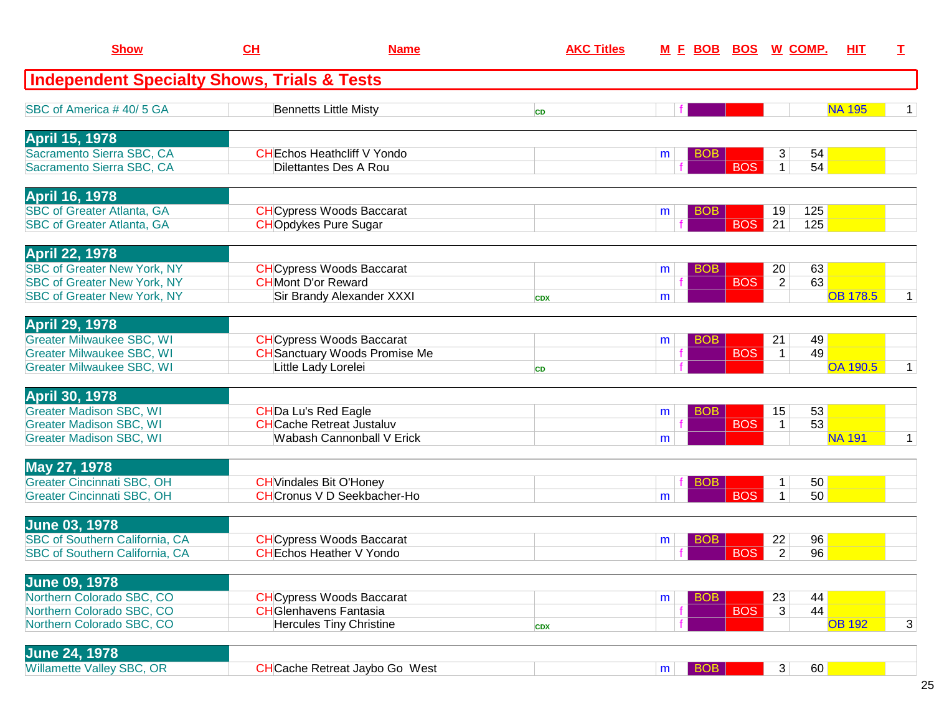| <b>Show</b>                                                              | CH                         | <b>Name</b>                                                         | <b>AKC Titles</b> |   | <u>M F BOB</u> | <b>BOS</b> |                      | <u>W_COMP.</u> | HIT             | т            |
|--------------------------------------------------------------------------|----------------------------|---------------------------------------------------------------------|-------------------|---|----------------|------------|----------------------|----------------|-----------------|--------------|
| <b>Independent Specialty Shows, Trials &amp; Tests</b>                   |                            |                                                                     |                   |   |                |            |                      |                |                 |              |
| SBC of America #40/5 GA                                                  |                            | <b>Bennetts Little Misty</b>                                        | <b>CD</b>         |   |                |            |                      |                | <b>NA 195</b>   | 1.           |
| <b>April 15, 1978</b>                                                    |                            |                                                                     |                   |   |                |            |                      |                |                 |              |
| Sacramento Sierra SBC, CA<br>Sacramento Sierra SBC, CA                   |                            | <b>CHEchos Heathcliff V Yondo</b><br>Dilettantes Des A Rou          |                   | m | <b>BOB</b>     | <b>BOS</b> | 3<br>$\mathbf{1}$    | 54<br>54       |                 |              |
|                                                                          |                            |                                                                     |                   |   |                |            |                      |                |                 |              |
| <b>April 16, 1978</b><br><b>SBC of Greater Atlanta, GA</b>               |                            | <b>CH</b> Cypress Woods Baccarat                                    |                   | m | <b>BOB</b>     |            | 19                   | 125            |                 |              |
| <b>SBC of Greater Atlanta, GA</b>                                        |                            | <b>CHOpdykes Pure Sugar</b>                                         |                   |   |                | <b>BOS</b> | 21                   | 125            |                 |              |
| <b>April 22, 1978</b>                                                    |                            |                                                                     |                   |   |                |            |                      |                |                 |              |
| <b>SBC of Greater New York, NY</b>                                       |                            | <b>CH</b> Cypress Woods Baccarat                                    |                   | m | <b>BOB</b>     |            | 20                   | 63             |                 |              |
| <b>SBC of Greater New York, NY</b><br><b>SBC of Greater New York, NY</b> | <b>CH</b> Mont D'or Reward | Sir Brandy Alexander XXXI                                           | <b>CDX</b>        | m |                | <b>BOS</b> | $\overline{2}$       | 63             | <b>OB 178.5</b> | $\mathbf 1$  |
|                                                                          |                            |                                                                     |                   |   |                |            |                      |                |                 |              |
| <b>April 29, 1978</b><br><b>Greater Milwaukee SBC, WI</b>                |                            | <b>CH</b> Cypress Woods Baccarat                                    |                   |   | <b>BOB</b>     |            | 21                   | 49             |                 |              |
| <b>Greater Milwaukee SBC, WI</b>                                         |                            | <b>CH</b> Sanctuary Woods Promise Me                                |                   | m |                | <b>BOS</b> | $\mathbf{1}$         | 49             |                 |              |
| <b>Greater Milwaukee SBC, WI</b>                                         |                            | Little Lady Lorelei                                                 | <b>CD</b>         |   |                |            |                      |                | <b>OA 190.5</b> | $\mathbf 1$  |
| <b>April 30, 1978</b>                                                    |                            |                                                                     |                   |   |                |            |                      |                |                 |              |
| <b>Greater Madison SBC, WI</b>                                           | <b>CHDa Lu's Red Eagle</b> |                                                                     |                   | m | BOB            |            | 15                   | 53             |                 |              |
| <b>Greater Madison SBC, WI</b>                                           |                            | <b>CHCache Retreat Justaluv</b>                                     |                   |   |                | <b>BOS</b> | $\mathbf 1$          | 53             |                 |              |
| <b>Greater Madison SBC, WI</b>                                           |                            | <b>Wabash Cannonball V Erick</b>                                    |                   | m |                |            |                      |                | <b>NA 191</b>   | $\mathbf{1}$ |
| May 27, 1978                                                             |                            |                                                                     |                   |   |                |            |                      |                |                 |              |
| <b>Greater Cincinnati SBC, OH</b><br><b>Greater Cincinnati SBC, OH</b>   |                            | <b>CH</b> Vindales Bit O'Honey<br><b>CHCronus V D Seekbacher-Ho</b> |                   | m | BOB            | <b>BOS</b> | 1                    | 50<br>50       |                 |              |
|                                                                          |                            |                                                                     |                   |   |                |            |                      |                |                 |              |
| <b>June 03, 1978</b>                                                     |                            |                                                                     |                   |   |                |            |                      |                |                 |              |
| SBC of Southern California, CA                                           |                            | <b>CH</b> Cypress Woods Baccarat<br><b>CH</b> Echos Heather V Yondo |                   | m | BOB            | <b>BOS</b> | 22<br>$\overline{2}$ | 96<br>96       |                 |              |
| SBC of Southern California, CA                                           |                            |                                                                     |                   |   |                |            |                      |                |                 |              |
| <b>June 09, 1978</b>                                                     |                            |                                                                     |                   |   |                |            |                      |                |                 |              |
| Northern Colorado SBC, CO                                                |                            | <b>CH</b> Cypress Woods Baccarat                                    |                   | m | <b>BOB</b>     |            | 23                   | 44             |                 |              |
| Northern Colorado SBC, CO<br>Northern Colorado SBC, CO                   |                            | <b>CH</b> Glenhavens Fantasia<br><b>Hercules Tiny Christine</b>     | <b>CDX</b>        |   |                | <b>BOS</b> | 3                    | 44             | <b>OB 192</b>   | 3            |
|                                                                          |                            |                                                                     |                   |   |                |            |                      |                |                 |              |
| <b>June 24, 1978</b>                                                     |                            |                                                                     |                   |   |                |            |                      |                |                 |              |
| Willamette Valley SBC, OR                                                |                            | <b>CH</b> Cache Retreat Jaybo Go West                               |                   | m | <b>BOB</b>     |            | 3 <sup>1</sup>       | 60             |                 |              |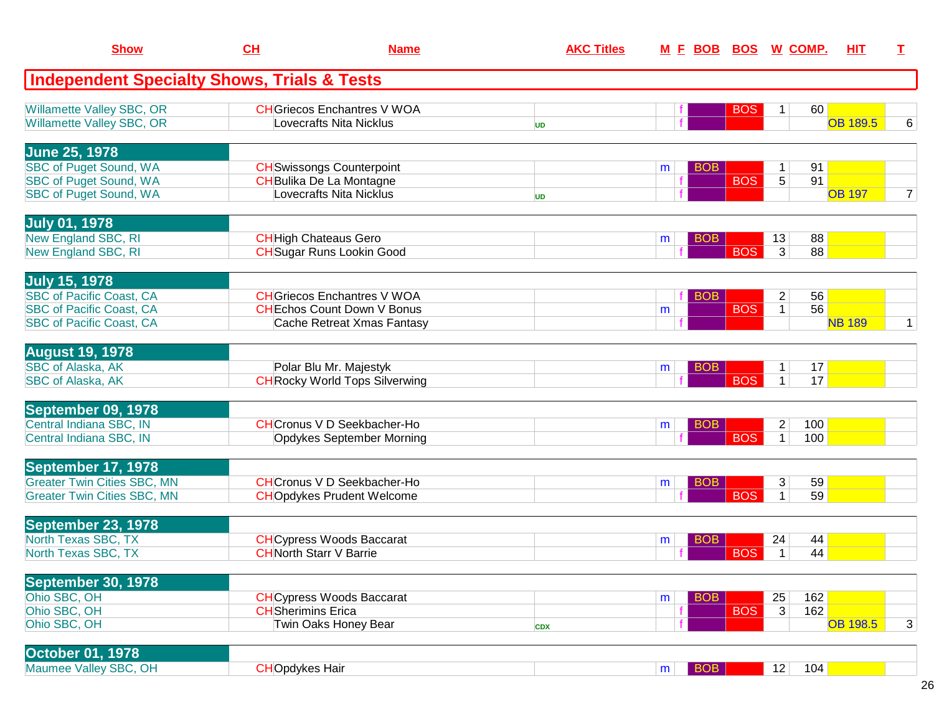| <b>Show</b>                                                          | CH                             | <b>Name</b>                                                   | <b>AKC Titles</b> | <u>M F BOB</u>  | <u>BOS W COMP.</u> |                |     | <b>HIT</b>      | T              |
|----------------------------------------------------------------------|--------------------------------|---------------------------------------------------------------|-------------------|-----------------|--------------------|----------------|-----|-----------------|----------------|
| <b>Independent Specialty Shows, Trials &amp; Tests</b>               |                                |                                                               |                   |                 |                    |                |     |                 |                |
| <b>Willamette Valley SBC, OR</b><br><b>Willamette Valley SBC, OR</b> |                                | <b>CH</b> Griecos Enchantres V WOA<br>Lovecrafts Nita Nicklus | <b>UD</b>         |                 | <b>BOS</b>         | 1              | 60  | <b>OB 189.5</b> | 6              |
| <b>June 25, 1978</b>                                                 |                                |                                                               |                   |                 |                    |                |     |                 |                |
| <b>SBC of Puget Sound, WA</b>                                        |                                | <b>CH</b> Swissongs Counterpoint                              |                   | <b>BOB</b><br>m |                    | $\mathbf{1}$   | 91  |                 |                |
| <b>SBC of Puget Sound, WA</b>                                        |                                | <b>CH</b> Bulika De La Montagne                               |                   |                 | <b>BOS</b>         | $\overline{5}$ | 91  |                 |                |
| <b>SBC of Puget Sound, WA</b>                                        |                                | Lovecrafts Nita Nicklus                                       | <b>UD</b>         |                 |                    |                |     | <b>OB 197</b>   | $\overline{7}$ |
| <b>July 01, 1978</b>                                                 |                                |                                                               |                   |                 |                    |                |     |                 |                |
| <b>New England SBC, RI</b>                                           | <b>CH</b> High Chateaus Gero   |                                                               |                   | <b>BOB</b><br>m |                    | 13             | 88  |                 |                |
| New England SBC, RI                                                  |                                | <b>CH</b> Sugar Runs Lookin Good                              |                   |                 | <b>BOS</b>         | 3              | 88  |                 |                |
| <b>July 15, 1978</b>                                                 |                                |                                                               |                   |                 |                    |                |     |                 |                |
| <b>SBC of Pacific Coast, CA</b>                                      |                                | <b>CH</b> Griecos Enchantres V WOA                            |                   | <b>BOB</b>      |                    | $\overline{2}$ | 56  |                 |                |
| <b>SBC of Pacific Coast, CA</b>                                      |                                | <b>CHEchos Count Down V Bonus</b>                             |                   | m               | <b>BOS</b>         | $\mathbf{1}$   | 56  |                 |                |
| <b>SBC of Pacific Coast, CA</b>                                      |                                | Cache Retreat Xmas Fantasy                                    |                   |                 |                    |                |     | <b>NB 189</b>   | $\mathbf 1$    |
| <b>August 19, 1978</b>                                               |                                |                                                               |                   |                 |                    |                |     |                 |                |
| <b>SBC of Alaska, AK</b>                                             |                                | Polar Blu Mr. Majestyk                                        |                   | <b>BOB</b><br>m |                    | $\mathbf{1}$   | 17  |                 |                |
| <b>SBC of Alaska, AK</b>                                             |                                | <b>CH</b> Rocky World Tops Silverwing                         |                   |                 | <b>BOS</b>         | $\mathbf{1}$   | 17  |                 |                |
| September 09, 1978                                                   |                                |                                                               |                   |                 |                    |                |     |                 |                |
| Central Indiana SBC, IN                                              |                                | <b>CH</b> Cronus V D Seekbacher-Ho                            |                   | <b>BOB</b><br>m |                    | $\overline{c}$ | 100 |                 |                |
| Central Indiana SBC, IN                                              |                                | Opdykes September Morning                                     |                   |                 | <b>BOS</b>         | $\mathbf{1}$   | 100 |                 |                |
| September 17, 1978                                                   |                                |                                                               |                   |                 |                    |                |     |                 |                |
| <b>Greater Twin Cities SBC, MN</b>                                   |                                | <b>CH</b> Cronus V D Seekbacher-Ho                            |                   | <b>BOB</b><br>m |                    | 3              | 59  |                 |                |
| <b>Greater Twin Cities SBC, MN</b>                                   |                                | <b>CHOpdykes Prudent Welcome</b>                              |                   |                 | <b>BOS</b>         | $\mathbf 1$    | 59  |                 |                |
| <b>September 23, 1978</b>                                            |                                |                                                               |                   |                 |                    |                |     |                 |                |
| North Texas SBC, TX                                                  |                                | <b>CH</b> Cypress Woods Baccarat                              |                   | BOB<br>m        |                    | 24             | 44  |                 |                |
| North Texas SBC, TX                                                  | <b>CH</b> North Starr V Barrie |                                                               |                   |                 | <b>BOS</b>         | $\mathbf{1}$   | 44  |                 |                |
| <b>September 30, 1978</b>                                            |                                |                                                               |                   |                 |                    |                |     |                 |                |
| Ohio SBC, OH                                                         |                                | <b>CH</b> Cypress Woods Baccarat                              |                   | <b>BOB</b><br>m |                    | 25             | 162 |                 |                |
| Ohio SBC, OH                                                         | <b>CH</b> Sherimins Erica      |                                                               |                   |                 | <b>BOS</b>         | $\overline{3}$ | 162 |                 |                |
| Ohio SBC, OH                                                         |                                | Twin Oaks Honey Bear                                          | <b>CDX</b>        |                 |                    |                |     | <b>OB 198.5</b> | 3              |
| <b>October 01, 1978</b>                                              |                                |                                                               |                   |                 |                    |                |     |                 |                |
| Maumee Valley SBC, OH                                                | <b>CHOpdykes Hair</b>          |                                                               |                   | <b>BOB</b><br>m |                    | 12             | 104 |                 |                |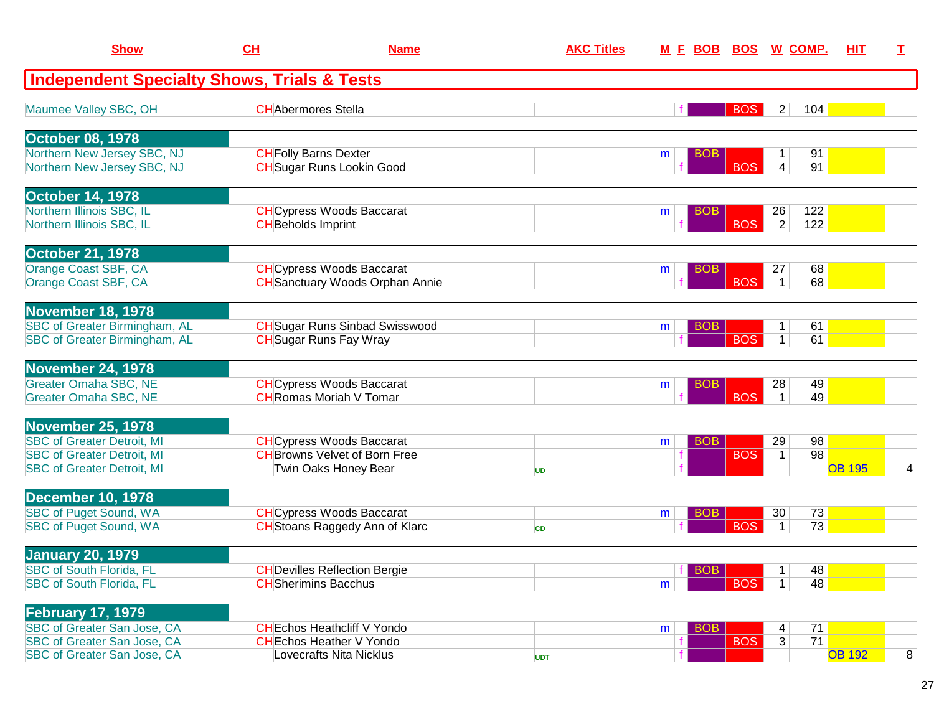| <b>Show</b>                                                            | CH                        | <b>Name</b>                                                                | <b>AKC Titles</b> | <u>M F BOB</u>  | <b>BOS</b> | <u>W_COMP.</u>                          | <u>HIT</u>    | T. |
|------------------------------------------------------------------------|---------------------------|----------------------------------------------------------------------------|-------------------|-----------------|------------|-----------------------------------------|---------------|----|
| <b>Independent Specialty Shows, Trials &amp; Tests</b>                 |                           |                                                                            |                   |                 |            |                                         |               |    |
| Maumee Valley SBC, OH                                                  | <b>CHAbermores Stella</b> |                                                                            |                   |                 | <b>BOS</b> | 104<br>$\overline{2}$                   |               |    |
| <b>October 08, 1978</b>                                                |                           |                                                                            |                   |                 |            |                                         |               |    |
| Northern New Jersey SBC, NJ<br>Northern New Jersey SBC, NJ             |                           | <b>CH</b> Folly Barns Dexter<br><b>CH</b> Sugar Runs Lookin Good           |                   | <b>BOB</b><br>m | <b>BOS</b> | 91<br>$1 \mid$<br>$\vert 4 \vert$<br>91 |               |    |
| <b>October 14, 1978</b>                                                |                           |                                                                            |                   |                 |            |                                         |               |    |
| Northern Illinois SBC, IL<br>Northern Illinois SBC, IL                 | <b>CH</b> Beholds Imprint | <b>CH</b> Cypress Woods Baccarat                                           |                   | <b>BOB</b><br>m | <b>BOS</b> | 122<br>26<br>$\overline{2}$<br>122      |               |    |
| <b>October 21, 1978</b>                                                |                           |                                                                            |                   |                 |            |                                         |               |    |
| Orange Coast SBF, CA<br>Orange Coast SBF, CA                           |                           | <b>CH</b> Cypress Woods Baccarat<br><b>CH</b> Sanctuary Woods Orphan Annie |                   | <b>BOB</b><br>m | <b>BOS</b> | 68<br>27<br>68<br>$\overline{1}$        |               |    |
| <b>November 18, 1978</b>                                               |                           |                                                                            |                   |                 |            |                                         |               |    |
| SBC of Greater Birmingham, AL<br>SBC of Greater Birmingham, AL         |                           | <b>CH</b> Sugar Runs Sinbad Swisswood<br><b>CH</b> Sugar Runs Fay Wray     |                   | <b>BOB</b><br>m | <b>BOS</b> | 61<br>1<br>61<br>$\mathbf{1}$           |               |    |
| <b>November 24, 1978</b>                                               |                           |                                                                            |                   |                 |            |                                         |               |    |
| <b>Greater Omaha SBC, NE</b><br><b>Greater Omaha SBC, NE</b>           |                           | <b>CH</b> Cypress Woods Baccarat<br><b>CH</b> Romas Moriah V Tomar         |                   | <b>BOB</b><br>m | <b>BOS</b> | 49<br>28<br>49<br>$\mathbf 1$           |               |    |
| <b>November 25, 1978</b>                                               |                           |                                                                            |                   |                 |            |                                         |               |    |
| <b>SBC of Greater Detroit, MI</b>                                      |                           | <b>CH</b> Cypress Woods Baccarat                                           |                   | <b>BOB</b><br>m |            | 29<br>98                                |               |    |
| <b>SBC of Greater Detroit, MI</b><br><b>SBC of Greater Detroit, MI</b> |                           | <b>CH</b> Browns Velvet of Born Free<br>Twin Oaks Honey Bear               | <b>UD</b>         |                 | <b>BOS</b> | 98<br>$\mathbf{1}$                      | <b>OB 195</b> | 4  |
| <b>December 10, 1978</b>                                               |                           |                                                                            |                   |                 |            |                                         |               |    |
| <b>SBC of Puget Sound, WA</b><br>SBC of Puget Sound, WA                |                           | <b>CH</b> Cypress Woods Baccarat<br><b>CH</b> Stoans Raggedy Ann of Klarc  | <b>CD</b>         | <b>BOB</b><br>m | <b>BOS</b> | 73<br>30<br>$\mathbf{1}$<br>73          |               |    |
| <b>January 20, 1979</b>                                                |                           |                                                                            |                   |                 |            |                                         |               |    |
| <b>SBC of South Florida, FL</b><br><b>SBC of South Florida, FL</b>     |                           | <b>CH</b> Devilles Reflection Bergie<br><b>CH</b> Sherimins Bacchus        |                   | <b>BOB</b><br>m | <b>BOS</b> | 48<br>1<br>48<br>$\mathbf{1}$           |               |    |
| <b>February 17, 1979</b>                                               |                           |                                                                            |                   |                 |            |                                         |               |    |
| SBC of Greater San Jose, CA<br>SBC of Greater San Jose, CA             |                           | <b>CHEchos Heathcliff V Yondo</b><br><b>CH</b> Echos Heather V Yondo       |                   | <b>BOB</b><br>m | <b>BOS</b> | 71<br>4<br>71<br>$\overline{3}$         |               |    |
| SBC of Greater San Jose, CA                                            |                           | Lovecrafts Nita Nicklus                                                    | <b>UDT</b>        |                 |            |                                         | <b>OB 192</b> | 8  |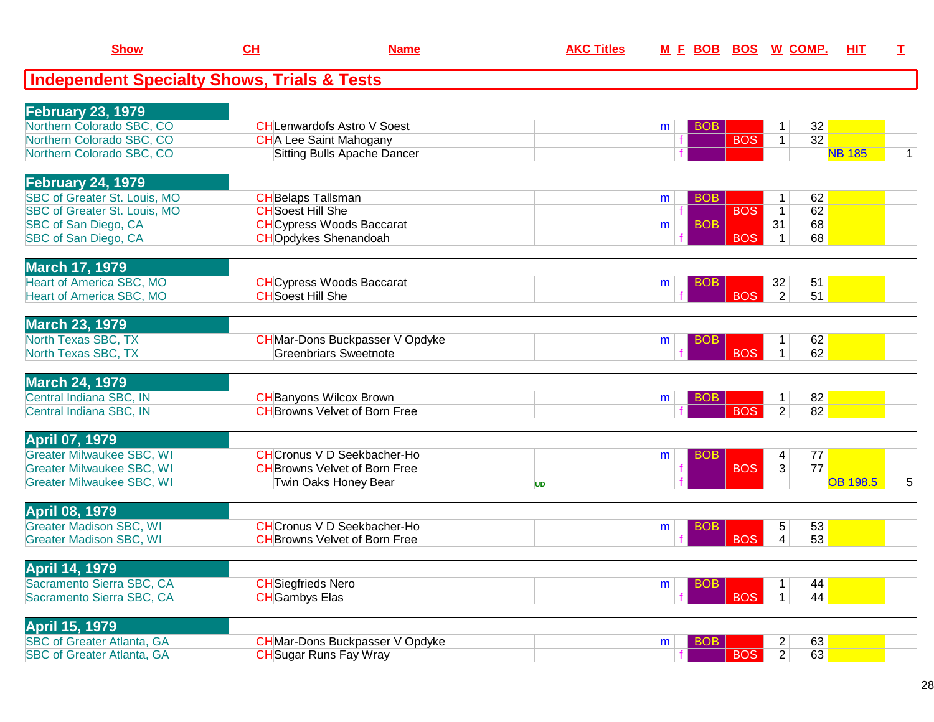| <b>Show</b>                                            | CH                        | <b>Name</b>                            | <b>AKC Titles</b> |                 |            | M E BOB BOS W COMP.             | HIT             | $\mathbf I$  |
|--------------------------------------------------------|---------------------------|----------------------------------------|-------------------|-----------------|------------|---------------------------------|-----------------|--------------|
| <b>Independent Specialty Shows, Trials &amp; Tests</b> |                           |                                        |                   |                 |            |                                 |                 |              |
| <b>February 23, 1979</b>                               |                           |                                        |                   |                 |            |                                 |                 |              |
| Northern Colorado SBC, CO                              |                           | <b>CHLenwardofs Astro V Soest</b>      |                   | <b>BOB</b><br>m |            | 32<br>1                         |                 |              |
| Northern Colorado SBC, CO                              |                           | <b>CHA Lee Saint Mahogany</b>          |                   |                 | <b>BOS</b> | $\overline{32}$<br>$\mathbf{1}$ |                 |              |
| Northern Colorado SBC, CO                              |                           | Sitting Bulls Apache Dancer            |                   |                 |            |                                 | <b>NB 185</b>   | $\mathbf{1}$ |
| <b>February 24, 1979</b>                               |                           |                                        |                   |                 |            |                                 |                 |              |
| SBC of Greater St. Louis, MO                           | <b>CH</b> Belaps Tallsman |                                        |                   | <b>BOB</b><br>m |            | 62<br>1                         |                 |              |
| SBC of Greater St. Louis, MO                           | <b>CH</b> Soest Hill She  |                                        |                   |                 | <b>BOS</b> | 62<br>$\mathbf{1}$              |                 |              |
| SBC of San Diego, CA                                   |                           | <b>CH</b> Cypress Woods Baccarat       |                   | <b>BOB</b><br>m |            | 68<br>31                        |                 |              |
| SBC of San Diego, CA                                   |                           | <b>CHOpdykes Shenandoah</b>            |                   |                 | <b>BOS</b> | 68<br>$\mathbf{1}$              |                 |              |
| <b>March 17, 1979</b>                                  |                           |                                        |                   |                 |            |                                 |                 |              |
| <b>Heart of America SBC, MO</b>                        |                           | <b>CH</b> Cypress Woods Baccarat       |                   | <b>BOB</b><br>m |            | 32<br>51                        |                 |              |
| Heart of America SBC, MO                               | <b>CH</b> Soest Hill She  |                                        |                   |                 | <b>BOS</b> | $\overline{2}$<br>51            |                 |              |
| <b>March 23, 1979</b>                                  |                           |                                        |                   |                 |            |                                 |                 |              |
| North Texas SBC, TX                                    |                           | <b>CH</b> Mar-Dons Buckpasser V Opdyke |                   | BOB<br>m        |            | 62                              |                 |              |
| North Texas SBC, TX                                    |                           | <b>Greenbriars Sweetnote</b>           |                   |                 | <b>BOS</b> | 62<br>$\mathbf 1$               |                 |              |
| <b>March 24, 1979</b>                                  |                           |                                        |                   |                 |            |                                 |                 |              |
| Central Indiana SBC, IN                                |                           | <b>CH</b> Banyons Wilcox Brown         |                   | BOB<br>m        |            | 82                              |                 |              |
| Central Indiana SBC, IN                                |                           | <b>CH</b> Browns Velvet of Born Free   |                   |                 | <b>BOS</b> | 82<br>2 <sup>1</sup>            |                 |              |
| <b>April 07, 1979</b>                                  |                           |                                        |                   |                 |            |                                 |                 |              |
| <b>Greater Milwaukee SBC, WI</b>                       |                           | <b>CH</b> Cronus V D Seekbacher-Ho     |                   | <b>BOB</b><br>m |            | 77<br>4                         |                 |              |
| <b>Greater Milwaukee SBC, WI</b>                       |                           | <b>CH</b> Browns Velvet of Born Free   |                   |                 | <b>BOS</b> | 77<br>3 <sup>1</sup>            |                 |              |
| <b>Greater Milwaukee SBC, WI</b>                       |                           | Twin Oaks Honey Bear                   | <b>UD</b>         |                 |            |                                 | <b>OB 198.5</b> | 5            |
| <b>April 08, 1979</b>                                  |                           |                                        |                   |                 |            |                                 |                 |              |
| <b>Greater Madison SBC, WI</b>                         |                           | <b>CH</b> Cronus V D Seekbacher-Ho     |                   | <b>BOB</b><br>m |            | 53<br>5                         |                 |              |
| <b>Greater Madison SBC, WI</b>                         |                           | <b>CH</b> Browns Velvet of Born Free   |                   |                 | <b>BOS</b> | 53<br>$\overline{4}$            |                 |              |
| <b>April 14, 1979</b>                                  |                           |                                        |                   |                 |            |                                 |                 |              |
| Sacramento Sierra SBC, CA                              | <b>CH</b> Siegfrieds Nero |                                        |                   | <b>BOB</b><br>m |            | 44<br>1                         |                 |              |
| Sacramento Sierra SBC, CA                              | <b>CH</b> Gambys Elas     |                                        |                   |                 | <b>BOS</b> | 44<br>$\mathbf{1}$              |                 |              |
| <b>April 15, 1979</b>                                  |                           |                                        |                   |                 |            |                                 |                 |              |
| <b>SBC of Greater Atlanta, GA</b>                      |                           | <b>CH</b> Mar-Dons Buckpasser V Opdyke |                   | <b>BOB</b><br>m |            | 63<br>$\overline{a}$            |                 |              |
| <b>SBC of Greater Atlanta, GA</b>                      |                           | <b>CH</b> Sugar Runs Fay Wray          |                   |                 | <b>BOS</b> | $\overline{2}$<br>63            |                 |              |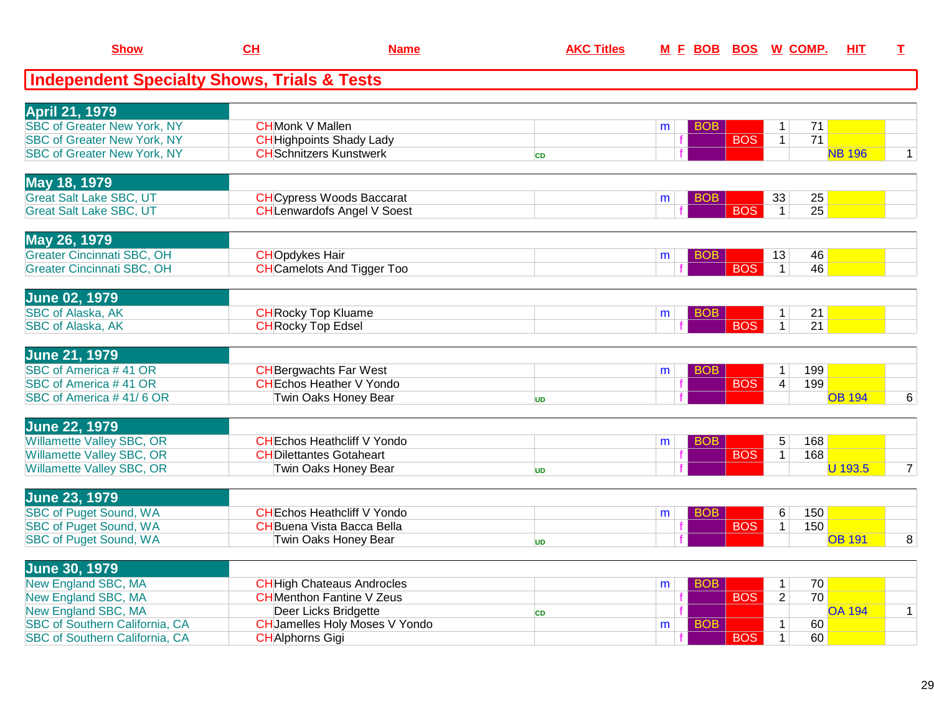| <b>Show</b>                                                          | CH                                                                    | <b>Name</b>                           | <b>AKC Titles</b> |                   |            |            | M E BOB BOS W COMP.             | <b>HIT</b>      | I.             |
|----------------------------------------------------------------------|-----------------------------------------------------------------------|---------------------------------------|-------------------|-------------------|------------|------------|---------------------------------|-----------------|----------------|
| <b>Independent Specialty Shows, Trials &amp; Tests</b>               |                                                                       |                                       |                   |                   |            |            |                                 |                 |                |
| <b>April 21, 1979</b>                                                |                                                                       |                                       |                   |                   |            |            |                                 |                 |                |
| <b>SBC of Greater New York, NY</b>                                   | <b>CHMonk V Mallen</b>                                                |                                       |                   | m                 | <b>BOB</b> |            | $\mathbf 1$                     | 71              |                |
| <b>SBC of Greater New York, NY</b>                                   | <b>CH</b> Highpoints Shady Lady                                       |                                       |                   |                   |            | <b>BOS</b> | $\mathbf{1}$                    | 71              |                |
| <b>SBC of Greater New York, NY</b>                                   | <b>CH</b> Schnitzers Kunstwerk                                        |                                       | <b>CD</b>         |                   |            |            |                                 | <b>NB 196</b>   | $\mathbf{1}$   |
| May 18, 1979                                                         |                                                                       |                                       |                   |                   |            |            |                                 |                 |                |
| <b>Great Salt Lake SBC, UT</b>                                       | <b>CH</b> Cypress Woods Baccarat                                      |                                       |                   | m                 | <b>BOB</b> |            | 33                              | 25              |                |
| <b>Great Salt Lake SBC, UT</b>                                       | <b>CH</b> Lenwardofs Angel V Soest                                    |                                       |                   |                   |            | <b>BOS</b> | $\vert$ 1                       | $\overline{25}$ |                |
| May 26, 1979                                                         |                                                                       |                                       |                   |                   |            |            |                                 |                 |                |
| <b>Greater Cincinnati SBC, OH</b>                                    | <b>CHOpdykes Hair</b>                                                 |                                       |                   | m                 | <b>BOB</b> |            | 13                              | 46              |                |
| <b>Greater Cincinnati SBC, OH</b>                                    | <b>CH</b> Camelots And Tigger Too                                     |                                       |                   |                   |            | <b>BOS</b> | $\mathbf{1}$                    | 46              |                |
| <b>June 02, 1979</b>                                                 |                                                                       |                                       |                   |                   |            |            |                                 |                 |                |
| <b>SBC of Alaska, AK</b>                                             | <b>CH</b> Rocky Top Kluame                                            |                                       |                   | m                 | <b>BOB</b> |            | $\mathbf{1}$                    | 21              |                |
| <b>SBC of Alaska, AK</b>                                             | <b>CH</b> Rocky Top Edsel                                             |                                       |                   |                   |            | <b>BOS</b> | $\mathbf{1}$                    | 21              |                |
| <b>June 21, 1979</b>                                                 |                                                                       |                                       |                   |                   |            |            |                                 |                 |                |
| SBC of America #41 OR                                                | <b>CH</b> Bergwachts Far West                                         |                                       |                   | m                 | <b>BOB</b> |            | 199<br>$\mathbf{1}$             |                 |                |
| SBC of America #41 OR                                                | <b>CHEchos Heather V Yondo</b>                                        |                                       |                   |                   |            | <b>BOS</b> | $\overline{\mathcal{A}}$<br>199 |                 |                |
| SBC of America #41/6 OR                                              | Twin Oaks Honey Bear                                                  |                                       | UD                |                   |            |            |                                 | <b>OB 194</b>   | 6              |
| <b>June 22, 1979</b>                                                 |                                                                       |                                       |                   |                   |            |            |                                 |                 |                |
| <b>Willamette Valley SBC, OR</b>                                     | <b>CHEchos Heathcliff V Yondo</b>                                     |                                       |                   | m                 | BOB        |            | 5<br>168                        |                 |                |
| <b>Willamette Valley SBC, OR</b><br><b>Willamette Valley SBC, OR</b> | <b>CHDilettantes Gotaheart</b><br><b>Twin Oaks Honey Bear</b>         |                                       |                   | f                 |            | <b>BOS</b> | 168<br>1                        | <b>U</b> 193.5  | $\overline{7}$ |
|                                                                      |                                                                       |                                       | UD                |                   |            |            |                                 |                 |                |
| <b>June 23, 1979</b><br><b>SBC of Puget Sound, WA</b>                | <b>CHEchos Heathcliff V Yondo</b>                                     |                                       |                   |                   |            |            | 150                             |                 |                |
| <b>SBC of Puget Sound, WA</b>                                        | <b>CH</b> Buena Vista Bacca Bella                                     |                                       |                   | m<br>$\mathbf{f}$ | <b>BOB</b> | <b>BOS</b> | 6<br>150<br>$\mathbf{1}$        |                 |                |
| <b>SBC of Puget Sound, WA</b>                                        | Twin Oaks Honey Bear                                                  |                                       |                   |                   |            |            |                                 | <b>OB 191</b>   | $\overline{8}$ |
|                                                                      |                                                                       |                                       | UD                |                   |            |            |                                 |                 |                |
| <b>June 30, 1979</b>                                                 |                                                                       |                                       |                   |                   |            |            |                                 |                 |                |
| <b>New England SBC, MA</b>                                           | <b>CH</b> High Chateaus Androcles<br><b>CH</b> Menthon Fantine V Zeus |                                       |                   | m                 | <b>BOB</b> | <b>BOS</b> | $\mathbf{1}$<br>$\overline{2}$  | 70<br>70        |                |
| New England SBC, MA<br>New England SBC, MA                           | Deer Licks Bridgette                                                  |                                       |                   |                   |            |            |                                 | <b>OA 194</b>   | $\mathbf{1}$   |
| <b>SBC of Southern California, CA</b>                                |                                                                       | <b>CH</b> Jamelles Holy Moses V Yondo | <b>CD</b>         | m                 | <b>BOB</b> |            | $\mathbf{1}$                    | 60              |                |
| SBC of Southern California, CA                                       | <b>CHAlphorns Gigi</b>                                                |                                       |                   |                   |            | <b>BOS</b> | $\mathbf{1}$                    | 60              |                |
|                                                                      |                                                                       |                                       |                   |                   |            |            |                                 |                 |                |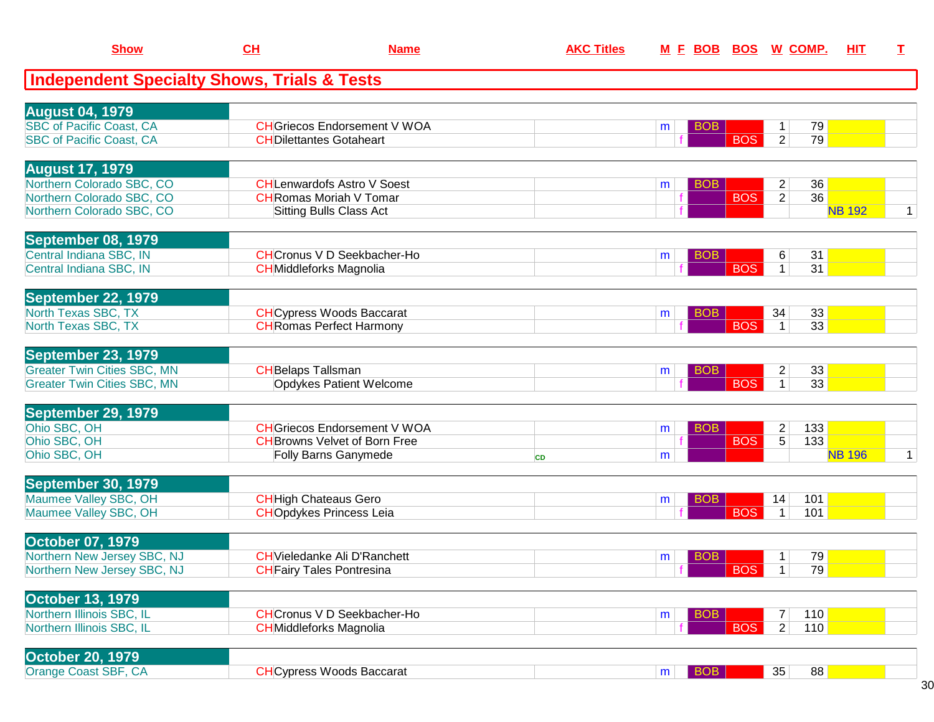| <b>Show</b>                                               | CL                        | <b>Name</b>                                                                 | <b>AKC Titles</b> |   |            | M E BOB BOS W COMP. |                                  |            | HIT           | I            |
|-----------------------------------------------------------|---------------------------|-----------------------------------------------------------------------------|-------------------|---|------------|---------------------|----------------------------------|------------|---------------|--------------|
| <b>Independent Specialty Shows, Trials &amp; Tests</b>    |                           |                                                                             |                   |   |            |                     |                                  |            |               |              |
|                                                           |                           |                                                                             |                   |   |            |                     |                                  |            |               |              |
| <b>August 04, 1979</b><br><b>SBC of Pacific Coast, CA</b> |                           | <b>CH</b> Griecos Endorsement V WOA                                         |                   | m | <b>BOB</b> |                     | 1                                | 79         |               |              |
| <b>SBC of Pacific Coast, CA</b>                           |                           | <b>CHDilettantes Gotaheart</b>                                              |                   |   |            | <b>BOS</b>          | $\overline{2}$                   | 79         |               |              |
|                                                           |                           |                                                                             |                   |   |            |                     |                                  |            |               |              |
| <b>August 17, 1979</b>                                    |                           |                                                                             |                   |   |            |                     |                                  |            |               |              |
| Northern Colorado SBC, CO<br>Northern Colorado SBC, CO    |                           | <b>CHLenwardofs Astro V Soest</b><br><b>CH</b> Romas Moriah V Tomar         |                   | m | <b>BOB</b> | <b>BOS</b>          | $\overline{c}$<br>$\overline{2}$ | 36<br>36   |               |              |
| Northern Colorado SBC, CO                                 |                           | <b>Sitting Bulls Class Act</b>                                              |                   |   |            |                     |                                  |            | <b>NB 192</b> | $\mathbf{1}$ |
|                                                           |                           |                                                                             |                   |   |            |                     |                                  |            |               |              |
| September 08, 1979                                        |                           |                                                                             |                   |   |            |                     |                                  |            |               |              |
| Central Indiana SBC, IN                                   |                           | <b>CH</b> Cronus V D Seekbacher-Ho                                          |                   | m | <b>BOB</b> |                     | 6                                | 31         |               |              |
| Central Indiana SBC, IN                                   |                           | <b>CH</b> Middleforks Magnolia                                              |                   |   |            | <b>BOS</b>          | $\mathbf{1}$                     | 31         |               |              |
| September 22, 1979                                        |                           |                                                                             |                   |   |            |                     |                                  |            |               |              |
| North Texas SBC, TX                                       |                           | <b>CH</b> Cypress Woods Baccarat                                            |                   | m | <b>BOB</b> |                     | 34                               | 33         |               |              |
| North Texas SBC, TX                                       |                           | <b>CH</b> Romas Perfect Harmony                                             |                   |   |            | <b>BOS</b>          |                                  | 33         |               |              |
|                                                           |                           |                                                                             |                   |   |            |                     |                                  |            |               |              |
| September 23, 1979<br><b>Greater Twin Cities SBC, MN</b>  | <b>CH</b> Belaps Tallsman |                                                                             |                   | m | <b>BOB</b> |                     | $\overline{c}$                   | 33         |               |              |
| <b>Greater Twin Cities SBC, MN</b>                        |                           | Opdykes Patient Welcome                                                     |                   |   |            | <b>BOS</b>          | 1                                | 33         |               |              |
|                                                           |                           |                                                                             |                   |   |            |                     |                                  |            |               |              |
| September 29, 1979                                        |                           |                                                                             |                   |   |            |                     |                                  |            |               |              |
| Ohio SBC, OH<br>Ohio SBC, OH                              |                           | <b>CH</b> Griecos Endorsement V WOA<br><b>CH</b> Browns Velvet of Born Free |                   | m | <b>BOB</b> | <b>BOS</b>          | $\overline{c}$<br>$\overline{5}$ | 133<br>133 |               |              |
| Ohio SBC, OH                                              |                           | <b>Folly Barns Ganymede</b>                                                 | <b>CD</b>         | m |            |                     |                                  |            | <b>NB 196</b> | 1            |
|                                                           |                           |                                                                             |                   |   |            |                     |                                  |            |               |              |
| September 30, 1979                                        |                           |                                                                             |                   |   |            |                     |                                  |            |               |              |
| Maumee Valley SBC, OH                                     |                           | <b>CH</b> High Chateaus Gero                                                |                   | m | <b>BOB</b> |                     | 14                               | 101        |               |              |
| Maumee Valley SBC, OH                                     |                           | <b>CHOpdykes Princess Leia</b>                                              |                   |   |            | <b>BOS</b>          | $\mathbf{1}$                     | 101        |               |              |
| <b>October 07, 1979</b>                                   |                           |                                                                             |                   |   |            |                     |                                  |            |               |              |
| Northern New Jersey SBC, NJ                               |                           | <b>CH</b> Vieledanke Ali D'Ranchett                                         |                   | m | <b>BOB</b> |                     |                                  | 79         |               |              |
| Northern New Jersey SBC, NJ                               |                           | <b>CH</b> Fairy Tales Pontresina                                            |                   |   |            | <b>BOS</b>          | $\mathbf{1}$                     | 79         |               |              |
|                                                           |                           |                                                                             |                   |   |            |                     |                                  |            |               |              |
| <b>October 13, 1979</b><br>Northern Illinois SBC, IL      |                           | <b>CH</b> Cronus V D Seekbacher-Ho                                          |                   | m | <b>BOB</b> |                     | $\overline{7}$                   | 110        |               |              |
| Northern Illinois SBC, IL                                 |                           | <b>CH</b> Middleforks Magnolia                                              |                   |   |            | <b>BOS</b>          | $\overline{2}$                   | 110        |               |              |
|                                                           |                           |                                                                             |                   |   |            |                     |                                  |            |               |              |
| <b>October 20, 1979</b>                                   |                           |                                                                             |                   |   |            |                     |                                  |            |               |              |
| Orange Coast SBF, CA                                      |                           | <b>CHCypress Woods Baccarat</b>                                             |                   | m | <b>BOB</b> |                     | 35                               | 88         |               |              |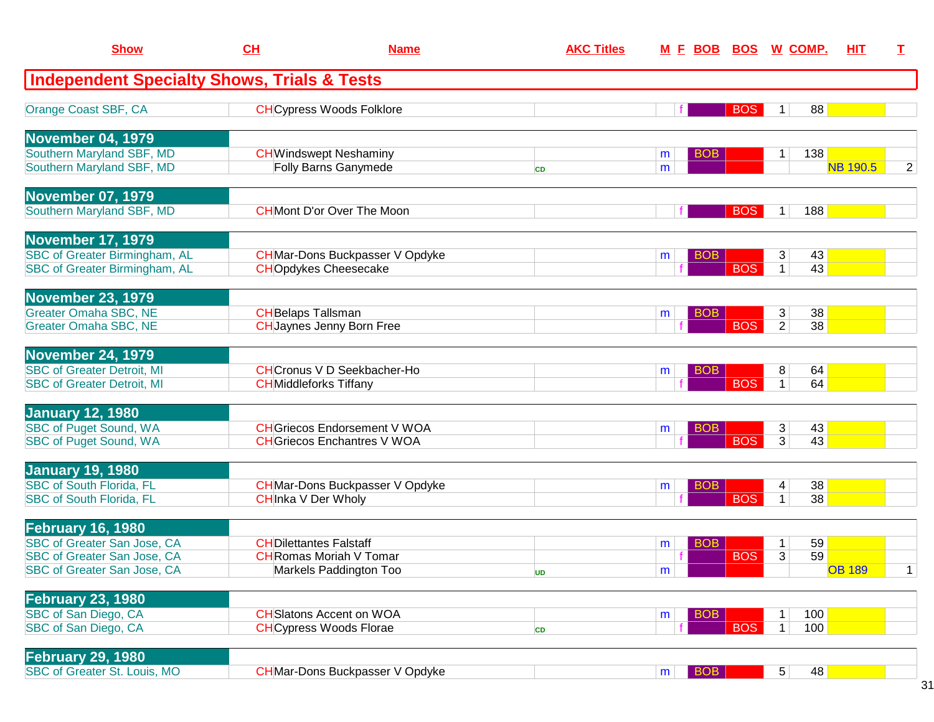| <b>Show</b>                                                                                                                  | CH                        | <b>Name</b>                                                                               | <b>AKC Titles</b> |        | <u>M E BOB BOS W COMP.</u> |            |                     |            | <b>HIT</b>      | T.             |
|------------------------------------------------------------------------------------------------------------------------------|---------------------------|-------------------------------------------------------------------------------------------|-------------------|--------|----------------------------|------------|---------------------|------------|-----------------|----------------|
| <b>Independent Specialty Shows, Trials &amp; Tests</b>                                                                       |                           |                                                                                           |                   |        |                            |            |                     |            |                 |                |
| Orange Coast SBF, CA                                                                                                         |                           | <b>CH</b> Cypress Woods Folklore                                                          |                   |        |                            | <b>BOS</b> | 1                   | 88         |                 |                |
| <b>November 04, 1979</b><br>Southern Maryland SBF, MD<br>Southern Maryland SBF, MD                                           |                           | <b>CHWindswept Neshaminy</b><br>Folly Barns Ganymede                                      | <b>CD</b>         | m<br>m | <b>BOB</b>                 |            | 1                   | 138        | <b>NB 190.5</b> | $\overline{2}$ |
| <b>November 07, 1979</b><br>Southern Maryland SBF, MD                                                                        |                           | <b>CH</b> Mont D'or Over The Moon                                                         |                   |        |                            | <b>BOS</b> | 1                   | 188        |                 |                |
| <b>November 17, 1979</b><br><b>SBC of Greater Birmingham, AL</b><br><b>SBC of Greater Birmingham, AL</b>                     |                           | <b>CH</b> Mar-Dons Buckpasser V Opdyke<br><b>CHOpdykes Cheesecake</b>                     |                   | m      | <b>BOB</b>                 | <b>BOS</b> | 3<br>$\mathbf{1}$   | 43<br>43   |                 |                |
| <b>November 23, 1979</b><br><b>Greater Omaha SBC, NE</b><br><b>Greater Omaha SBC, NE</b>                                     | <b>CH</b> Belaps Tallsman | <b>CHJaynes Jenny Born Free</b>                                                           |                   | m      | <b>BOB</b>                 | <b>BOS</b> | 3<br>$\overline{2}$ | 38<br>38   |                 |                |
| <b>November 24, 1979</b><br><b>SBC of Greater Detroit, MI</b><br><b>SBC of Greater Detroit, MI</b>                           |                           | <b>CH</b> Cronus V D Seekbacher-Ho<br><b>CH</b> Middleforks Tiffany                       |                   | m      | BOB                        | <b>BOS</b> | 8<br>$\mathbf{1}$   | 64<br>64   |                 |                |
| <b>January 12, 1980</b><br><b>SBC of Puget Sound, WA</b><br><b>SBC of Puget Sound, WA</b>                                    |                           | <b>CH</b> Griecos Endorsement V WOA<br><b>CH</b> Griecos Enchantres V WOA                 |                   | m      | <b>BOB</b>                 | <b>BOS</b> | 3<br>3              | 43<br>43   |                 |                |
| <b>January 19, 1980</b><br><b>SBC of South Florida, FL</b><br><b>SBC of South Florida, FL</b>                                |                           | <b>CH</b> Mar-Dons Buckpasser V Opdyke<br><b>CHInka V Der Wholy</b>                       |                   | m      | <b>BOB</b>                 | <b>BOS</b> | 4<br>1              | 38<br>38   |                 |                |
| <b>February 16, 1980</b><br><b>SBC of Greater San Jose, CA</b><br>SBC of Greater San Jose, CA<br>SBC of Greater San Jose, CA |                           | <b>CHDilettantes Falstaff</b><br><b>CH</b> Romas Moriah V Tomar<br>Markels Paddington Too | <b>UD</b>         | m<br>m | <b>BOB</b>                 | <b>BOS</b> | 1<br>3              | 59<br>59   | <b>OB 189</b>   | $\mathbf{1}$   |
| <b>February 23, 1980</b><br>SBC of San Diego, CA<br>SBC of San Diego, CA                                                     |                           | <b>CH</b> Slatons Accent on WOA<br><b>CH</b> Cypress Woods Florae                         | <b>CD</b>         | m      | <b>BOB</b>                 | <b>BOS</b> | 1<br>$\mathbf{1}$   | 100<br>100 |                 |                |
| <b>February 29, 1980</b><br>SBC of Greater St. Louis, MO                                                                     |                           | <b>CH</b> Mar-Dons Buckpasser V Opdyke                                                    |                   | m      | $ $ BOB                    |            | 5 <sup>2</sup>      | 48         |                 |                |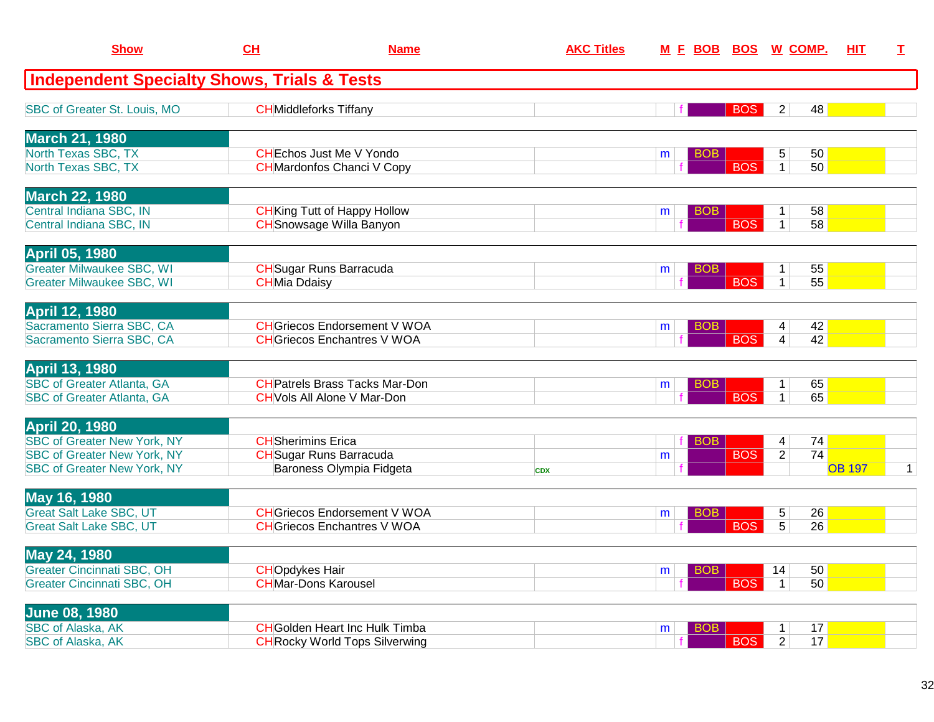| <b>Show</b>                                                                                                                             | <b>CH</b>                 | <b>Name</b>                                                                    | <b>AKC Titles</b> |   |                          | M E BOB BOS W COMP.                                       | HIT.          | I.           |
|-----------------------------------------------------------------------------------------------------------------------------------------|---------------------------|--------------------------------------------------------------------------------|-------------------|---|--------------------------|-----------------------------------------------------------|---------------|--------------|
| <b>Independent Specialty Shows, Trials &amp; Tests</b>                                                                                  |                           |                                                                                |                   |   |                          |                                                           |               |              |
| SBC of Greater St. Louis, MO                                                                                                            |                           | <b>CH</b> Middleforks Tiffany                                                  |                   |   | <b>BOS</b>               | $\overline{2}$<br>48                                      |               |              |
| <b>March 21, 1980</b><br>North Texas SBC, TX<br>North Texas SBC, TX                                                                     |                           | <b>CHEchos Just Me V Yondo</b><br><b>CH</b> Mardonfos Chanci V Copy            |                   | m | BOB<br><b>BOS</b>        | 5<br>50 <br>$\mathbf{1}$<br>50                            |               |              |
| <b>March 22, 1980</b>                                                                                                                   |                           |                                                                                |                   |   |                          |                                                           |               |              |
| Central Indiana SBC, IN<br>Central Indiana SBC, IN                                                                                      |                           | <b>CH</b> King Tutt of Happy Hollow<br><b>CH</b> Snowsage Willa Banyon         |                   | m | BOB<br><b>BOS</b>        | 58<br>1<br>58<br>$\mathbf{1}$                             |               |              |
| <b>April 05, 1980</b><br><b>Greater Milwaukee SBC, WI</b><br><b>Greater Milwaukee SBC, WI</b>                                           | <b>CHMia Ddaisy</b>       | <b>CH</b> Sugar Runs Barracuda                                                 |                   | m | BOB<br><b>BOS</b>        | 55<br>1<br>$\overline{55}$<br>$\mathbf{1}$                |               |              |
| <b>April 12, 1980</b><br>Sacramento Sierra SBC, CA<br>Sacramento Sierra SBC, CA                                                         |                           | <b>CH</b> Griecos Endorsement V WOA<br><b>CH</b> Griecos Enchantres V WOA      |                   | m | BOB.<br><b>BOS</b>       | 42<br>4<br>42<br>$\overline{4}$                           |               |              |
| <b>April 13, 1980</b><br><b>SBC of Greater Atlanta, GA</b><br><b>SBC of Greater Atlanta, GA</b>                                         |                           | <b>CH</b> Patrels Brass Tacks Mar-Don<br><b>CH</b> Vols All Alone V Mar-Don    |                   | m | BOB<br><b>BOS</b>        | 65<br>$\mathbf{1}$<br>65<br>$\mathbf{1}$                  |               |              |
| <b>April 20, 1980</b><br><b>SBC of Greater New York, NY</b><br><b>SBC of Greater New York, NY</b><br><b>SBC of Greater New York, NY</b> | <b>CH</b> Sherimins Erica | <b>CH</b> Sugar Runs Barracuda<br>Baroness Olympia Fidgeta                     | <b>CDX</b>        | m | BOB<br><b>BOS</b>        | $\overline{4}$<br>74<br>$\overline{74}$<br>$\overline{2}$ | <b>OB 197</b> | $\mathbf{1}$ |
| May 16, 1980<br><b>Great Salt Lake SBC, UT</b><br><b>Great Salt Lake SBC, UT</b>                                                        |                           | <b>CH</b> Griecos Endorsement V WOA<br><b>CH</b> Griecos Enchantres V WOA      |                   | m | BOB<br><b>BOS</b>        | 26<br>5<br>5<br>26                                        |               |              |
| May 24, 1980<br><b>Greater Cincinnati SBC, OH</b><br><b>Greater Cincinnati SBC, OH</b>                                                  | <b>CHOpdykes Hair</b>     | <b>CHMar-Dons Karousel</b>                                                     |                   | m | <b>BOB</b><br><b>BOS</b> | 50<br>14<br>50<br>$\mathbf{1}$                            |               |              |
| <b>June 08, 1980</b><br><b>SBC of Alaska, AK</b><br><b>SBC of Alaska, AK</b>                                                            |                           | <b>CH</b> Golden Heart Inc Hulk Timba<br><b>CH</b> Rocky World Tops Silverwing |                   | m | BOB<br><b>BOS</b>        | 17<br>$\mathbf 1$<br>$\overline{2}$<br>17                 |               |              |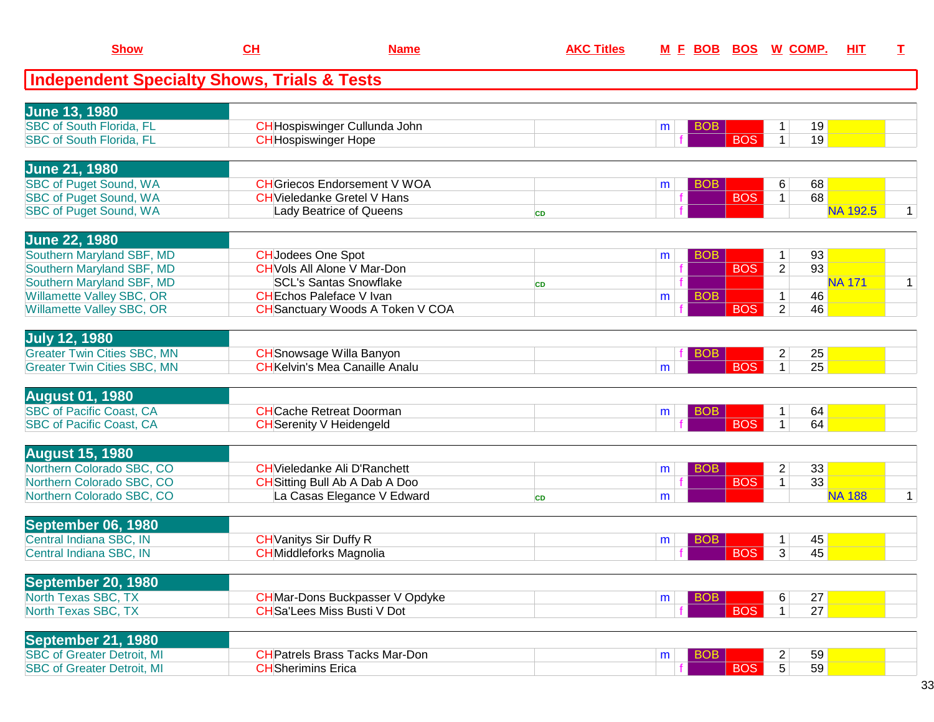| <b>Show</b>                                                            | CL                        | <b>Name</b>                                                                  | <b>AKC Titles</b> | M E BOB              |            | <b>BOS W COMP.</b>               |                 | <b>HIT</b> | $\mathbf I$  |
|------------------------------------------------------------------------|---------------------------|------------------------------------------------------------------------------|-------------------|----------------------|------------|----------------------------------|-----------------|------------|--------------|
| <b>Independent Specialty Shows, Trials &amp; Tests</b>                 |                           |                                                                              |                   |                      |            |                                  |                 |            |              |
| <b>June 13, 1980</b>                                                   |                           |                                                                              |                   |                      |            |                                  |                 |            |              |
| <b>SBC of South Florida, FL</b>                                        |                           | CH Hospiswinger Cullunda John                                                |                   | BOB<br>m             |            |                                  | 19              |            |              |
| <b>SBC of South Florida, FL</b>                                        |                           | <b>CH</b> Hospiswinger Hope                                                  |                   |                      | <b>BOS</b> | $\mathbf{1}$                     | 19              |            |              |
|                                                                        |                           |                                                                              |                   |                      |            |                                  |                 |            |              |
| <b>June 21, 1980</b>                                                   |                           |                                                                              |                   |                      |            |                                  |                 |            |              |
| <b>SBC of Puget Sound, WA</b>                                          |                           | <b>CH</b> Griecos Endorsement V WOA                                          |                   | <b>BOB</b><br>m      | <b>BOS</b> | 6                                | 68<br>68        |            |              |
| <b>SBC of Puget Sound, WA</b><br><b>SBC of Puget Sound, WA</b>         |                           | <b>CH</b> Vieledanke Gretel V Hans<br>Lady Beatrice of Queens                |                   |                      |            | $\mathbf{1}$                     | <b>NA 192.5</b> |            | $\mathbf 1$  |
|                                                                        |                           |                                                                              | <b>CD</b>         |                      |            |                                  |                 |            |              |
| <b>June 22, 1980</b>                                                   |                           |                                                                              |                   |                      |            |                                  |                 |            |              |
| Southern Maryland SBF, MD                                              | <b>CH</b> Jodees One Spot |                                                                              |                   | <b>BOB</b><br>m      |            | 1                                | 93              |            |              |
| Southern Maryland SBF, MD                                              |                           | <b>CH</b> Vols All Alone V Mar-Don                                           |                   |                      | <b>BOS</b> | $\overline{2}$                   | 93              |            |              |
| Southern Maryland SBF, MD                                              |                           | <b>SCL's Santas Snowflake</b>                                                | <b>CD</b>         |                      |            |                                  | <b>NA 171</b>   |            | $\mathbf{1}$ |
| Willamette Valley SBC, OR<br>Willamette Valley SBC, OR                 |                           | <b>CH</b> Echos Paleface V Ivan<br><b>CH</b> Sanctuary Woods A Token V COA   |                   | <b>BOB</b><br>m      | <b>BOS</b> | 1<br>$\overline{2}$              | 46<br>46        |            |              |
|                                                                        |                           |                                                                              |                   |                      |            |                                  |                 |            |              |
| <b>July 12, 1980</b>                                                   |                           |                                                                              |                   |                      |            |                                  |                 |            |              |
| <b>Greater Twin Cities SBC, MN</b>                                     |                           | <b>CH</b> Snowsage Willa Banyon                                              |                   | BOB                  |            | $\overline{2}$                   | 25              |            |              |
| <b>Greater Twin Cities SBC, MN</b>                                     |                           | <b>CH</b> Kelvin's Mea Canaille Analu                                        |                   | m                    | <b>BOS</b> | $\mathbf{1}$                     | 25              |            |              |
| <b>August 01, 1980</b>                                                 |                           |                                                                              |                   |                      |            |                                  |                 |            |              |
| <b>SBC</b> of Pacific Coast, CA                                        |                           | <b>CH</b> Cache Retreat Doorman                                              |                   | BOB<br>m             |            | 1                                | 64              |            |              |
| <b>SBC of Pacific Coast, CA</b>                                        |                           | <b>CH</b> Serenity V Heidengeld                                              |                   |                      | <b>BOS</b> | $\mathbf 1$                      | 64              |            |              |
|                                                                        |                           |                                                                              |                   |                      |            |                                  |                 |            |              |
| <b>August 15, 1980</b><br>Northern Colorado SBC, CO                    |                           |                                                                              |                   |                      |            |                                  |                 |            |              |
| Northern Colorado SBC, CO                                              |                           | <b>CH</b> Vieledanke Ali D'Ranchett<br><b>CH</b> Sitting Bull Ab A Dab A Doo |                   | BOB<br>m             | <b>BOS</b> | $\overline{2}$<br>$\mathbf{1}$   | 33<br>33        |            |              |
| Northern Colorado SBC, CO                                              |                           | La Casas Elegance V Edward                                                   | <b>CD</b>         | m                    |            |                                  | <b>NA 188</b>   |            | $\mathbf{1}$ |
|                                                                        |                           |                                                                              |                   |                      |            |                                  |                 |            |              |
| September 06, 1980                                                     |                           |                                                                              |                   |                      |            |                                  |                 |            |              |
| Central Indiana SBC, IN                                                |                           | <b>CH</b> Vanitys Sir Duffy R                                                |                   | BOB<br>m             |            | 1                                | 45              |            |              |
| Central Indiana SBC, IN                                                |                           | <b>CH</b> Middleforks Magnolia                                               |                   |                      | <b>BOS</b> | $\overline{3}$                   | 45              |            |              |
| September 20, 1980                                                     |                           |                                                                              |                   |                      |            |                                  |                 |            |              |
| North Texas SBC, TX                                                    |                           | <b>CH</b> Mar-Dons Buckpasser V Opdyke                                       |                   | <b>BOB</b><br>m      |            | 6                                | 27              |            |              |
| North Texas SBC, TX                                                    |                           | <b>CH</b> Sa'Lees Miss Busti V Dot                                           |                   |                      | <b>BOS</b> | 1 <sup>1</sup>                   | 27              |            |              |
|                                                                        |                           |                                                                              |                   |                      |            |                                  |                 |            |              |
| September 21, 1980                                                     |                           |                                                                              |                   |                      |            |                                  |                 |            |              |
| <b>SBC of Greater Detroit, MI</b><br><b>SBC of Greater Detroit, MI</b> | <b>CH</b> Sherimins Erica | <b>CH</b> Patrels Brass Tacks Mar-Don                                        |                   | <b>BOB</b><br>m<br>f |            | $\overline{c}$<br>5 <sup>1</sup> | 59<br>59        |            |              |
|                                                                        |                           |                                                                              |                   |                      | <b>BOS</b> |                                  |                 |            |              |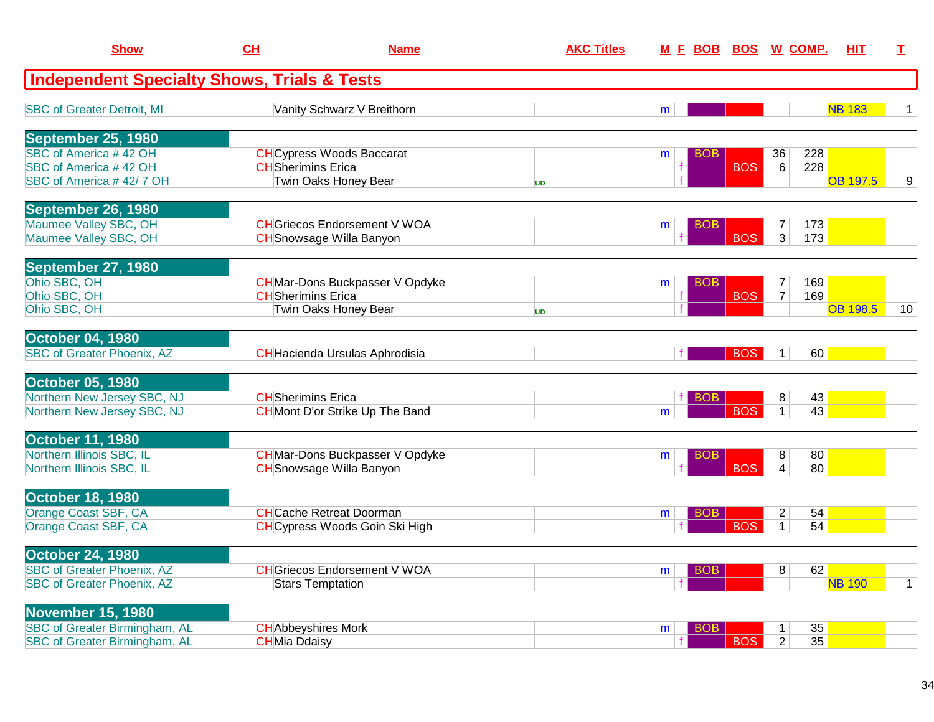| <b>Show</b>                                                      | CH                        | <b>Name</b>                                                         | <b>AKC Titles</b> | <u>M F BOB</u>  | BOS        |                     | <u>W_COMP.</u> | HIT             | I            |
|------------------------------------------------------------------|---------------------------|---------------------------------------------------------------------|-------------------|-----------------|------------|---------------------|----------------|-----------------|--------------|
| <b>Independent Specialty Shows, Trials &amp; Tests</b>           |                           |                                                                     |                   |                 |            |                     |                |                 |              |
| <b>SBC of Greater Detroit, MI</b>                                |                           | Vanity Schwarz V Breithorn                                          |                   | m               |            |                     |                | <b>NB 183</b>   | 1            |
| September 25, 1980                                               |                           |                                                                     |                   |                 |            |                     |                |                 |              |
| SBC of America #42 OH<br>SBC of America #42 OH                   | <b>CH</b> Sherimins Erica | <b>CH</b> Cypress Woods Baccarat                                    |                   | <b>BOB</b><br>m | <b>BOS</b> | 36                  | 228<br>228     |                 |              |
| SBC of America #42/7 OH                                          |                           | Twin Oaks Honey Bear                                                | <b>UD</b>         |                 |            | 6                   |                | <b>OB 197.5</b> | 9            |
| September 26, 1980                                               |                           |                                                                     |                   |                 |            |                     |                |                 |              |
| Maumee Valley SBC, OH                                            |                           | <b>CH</b> Griecos Endorsement V WOA                                 |                   | <b>BOB</b><br>m |            | $\overline{7}$      | 173            |                 |              |
| Maumee Valley SBC, OH                                            |                           | <b>CH</b> Snowsage Willa Banyon                                     |                   |                 | <b>BOS</b> | $\overline{3}$      | 173            |                 |              |
| September 27, 1980<br>Ohio SBC, OH                               |                           | <b>CH</b> Mar-Dons Buckpasser V Opdyke                              |                   | <b>BOB</b>      |            |                     | 169            |                 |              |
| Ohio SBC, OH                                                     |                           | <b>CH</b> Sherimins Erica                                           |                   | m               | <b>BOS</b> | 7<br>$\overline{7}$ | 169            |                 |              |
| Ohio SBC, OH                                                     |                           | Twin Oaks Honey Bear                                                | <b>UD</b>         |                 |            |                     |                | <b>OB 198.5</b> | 10           |
| <b>October 04, 1980</b>                                          |                           |                                                                     |                   |                 |            |                     |                |                 |              |
| <b>SBC of Greater Phoenix, AZ</b>                                |                           | CHHacienda Ursulas Aphrodisia                                       |                   |                 | <b>BOS</b> | $\mathbf{1}$        | 60             |                 |              |
| <b>October 05, 1980</b>                                          |                           |                                                                     |                   |                 |            |                     |                |                 |              |
| Northern New Jersey SBC, NJ<br>Northern New Jersey SBC, NJ       |                           | <b>CH</b> Sherimins Erica<br><b>CH</b> Mont D'or Strike Up The Band |                   | BOB<br>m        | <b>BOS</b> | 8<br>$\mathbf{1}$   | 43<br>43       |                 |              |
|                                                                  |                           |                                                                     |                   |                 |            |                     |                |                 |              |
| October 11, 1980<br>Northern Illinois SBC, IL                    |                           | <b>CH</b> Mar-Dons Buckpasser V Opdyke                              |                   | <b>BOB</b><br>m |            | 8                   | 80             |                 |              |
| Northern Illinois SBC, IL                                        |                           | <b>CH</b> Snowsage Willa Banyon                                     |                   |                 | <b>BOS</b> | 4                   | 80             |                 |              |
| <b>October 18, 1980</b>                                          |                           |                                                                     |                   |                 |            |                     |                |                 |              |
| Orange Coast SBF, CA                                             |                           | <b>CH</b> Cache Retreat Doorman                                     |                   | <b>BOB</b><br>m |            | $\overline{c}$      | 54             |                 |              |
| Orange Coast SBF, CA                                             |                           | <b>CH</b> Cypress Woods Goin Ski High                               |                   |                 | <b>BOS</b> | $\mathbf 1$         | 54             |                 |              |
| <b>October 24, 1980</b><br><b>SBC of Greater Phoenix, AZ</b>     |                           | <b>CH</b> Griecos Endorsement V WOA                                 |                   | <b>BOB</b>      |            | 8                   | 62             |                 |              |
| <b>SBC of Greater Phoenix, AZ</b>                                |                           | <b>Stars Temptation</b>                                             |                   | m               |            |                     |                | <b>NB 190</b>   | $\mathbf{1}$ |
|                                                                  |                           |                                                                     |                   |                 |            |                     |                |                 |              |
| <b>November 15, 1980</b><br><b>SBC of Greater Birmingham, AL</b> |                           | <b>CH</b> Abbeyshires Mork                                          |                   | <b>BOB</b><br>m |            | $\mathbf{1}$        | 35             |                 |              |
| <b>SBC of Greater Birmingham, AL</b>                             | <b>CHMia Ddaisy</b>       |                                                                     |                   |                 | <b>BOS</b> | $\overline{2}$      | 35             |                 |              |
|                                                                  |                           |                                                                     |                   |                 |            |                     |                |                 |              |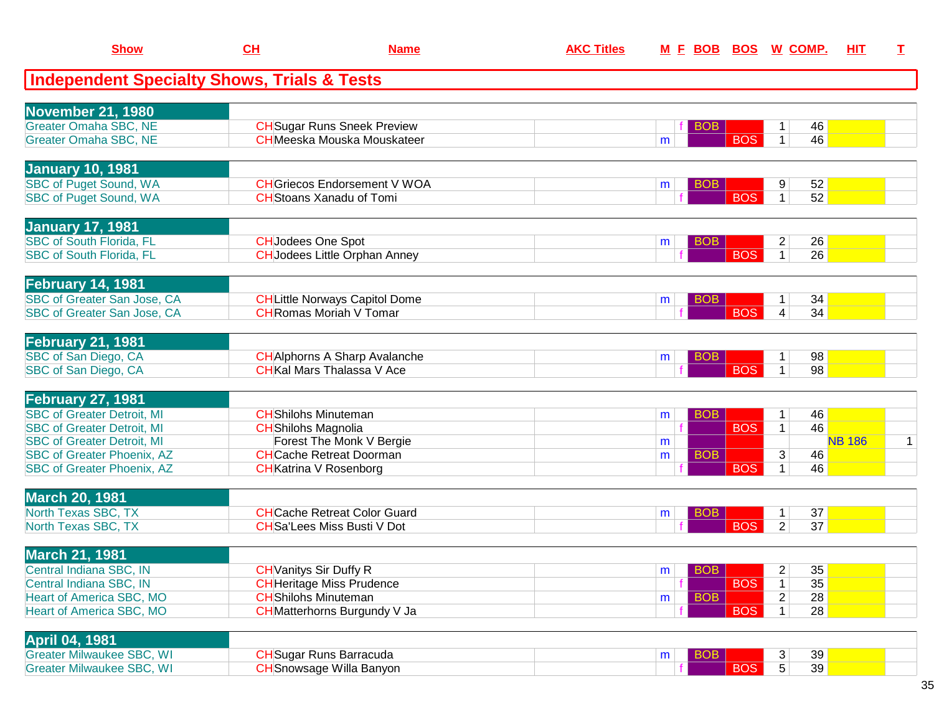| <b>Show</b>                                            | CH | <b>Name</b>                           | <b>AKC Titles</b> |                 |            | M E BOB BOS W COMP.  | HIT           | $\mathbf I$  |
|--------------------------------------------------------|----|---------------------------------------|-------------------|-----------------|------------|----------------------|---------------|--------------|
| <b>Independent Specialty Shows, Trials &amp; Tests</b> |    |                                       |                   |                 |            |                      |               |              |
| <b>November 21, 1980</b>                               |    |                                       |                   |                 |            |                      |               |              |
| Greater Omaha SBC, NE                                  |    | <b>CH</b> Sugar Runs Sneek Preview    |                   | BOB             |            | 46<br>1              |               |              |
| <b>Greater Omaha SBC, NE</b>                           |    | <b>CH</b> Meeska Mouska Mouskateer    |                   | m               | <b>BOS</b> | 46<br>$\mathbf{1}$   |               |              |
| <b>January 10, 1981</b>                                |    |                                       |                   |                 |            |                      |               |              |
| <b>SBC of Puget Sound, WA</b>                          |    | <b>CH</b> Griecos Endorsement V WOA   |                   | <b>BOB</b><br>m |            | 9<br>52              |               |              |
| <b>SBC of Puget Sound, WA</b>                          |    | <b>CH</b> Stoans Xanadu of Tomi       |                   |                 | <b>BOS</b> | 52<br>$\mathbf{1}$   |               |              |
| <b>January 17, 1981</b>                                |    |                                       |                   |                 |            |                      |               |              |
| <b>SBC of South Florida, FL</b>                        |    | <b>CH</b> Jodees One Spot             |                   | <b>BOB</b><br>m |            | 26<br>$\overline{2}$ |               |              |
| <b>SBC of South Florida, FL</b>                        |    | <b>CH</b> Jodees Little Orphan Anney  |                   |                 | <b>BOS</b> | 26<br>$\mathbf 1$    |               |              |
| <b>February 14, 1981</b>                               |    |                                       |                   |                 |            |                      |               |              |
| SBC of Greater San Jose, CA                            |    | <b>CH</b> Little Norways Capitol Dome |                   | <b>BOB</b><br>m |            | 34                   |               |              |
| SBC of Greater San Jose, CA                            |    | <b>CHRomas Moriah V Tomar</b>         |                   |                 | <b>BOS</b> | 34<br>4              |               |              |
| <b>February 21, 1981</b>                               |    |                                       |                   |                 |            |                      |               |              |
| SBC of San Diego, CA                                   |    | <b>CH</b> Alphorns A Sharp Avalanche  |                   | <b>BOB</b><br>m |            | 98<br>$\mathbf 1$    |               |              |
| SBC of San Diego, CA                                   |    | <b>CH</b> Kal Mars Thalassa V Ace     |                   |                 | <b>BOS</b> | 98<br>$\mathbf 1$    |               |              |
| <b>February 27, 1981</b>                               |    |                                       |                   |                 |            |                      |               |              |
| <b>SBC of Greater Detroit, MI</b>                      |    | <b>CH</b> Shilohs Minuteman           |                   | <b>BOB</b><br>m |            | 46<br>$\mathbf{1}$   |               |              |
| <b>SBC of Greater Detroit, MI</b>                      |    | <b>CH</b> Shilohs Magnolia            |                   |                 | <b>BOS</b> | 46<br>$\mathbf{1}$   |               |              |
| <b>SBC of Greater Detroit, MI</b>                      |    | Forest The Monk V Bergie              |                   | m               |            |                      | <b>NB 186</b> | $\mathbf{1}$ |
| <b>SBC of Greater Phoenix, AZ</b>                      |    | <b>CH</b> Cache Retreat Doorman       |                   | <b>BOB</b><br>m |            | 3<br>46              |               |              |
| <b>SBC of Greater Phoenix, AZ</b>                      |    | <b>CH</b> Katrina V Rosenborg         |                   |                 | <b>BOS</b> | 46<br>$\mathbf 1$    |               |              |
| <b>March 20, 1981</b>                                  |    |                                       |                   |                 |            |                      |               |              |
| North Texas SBC, TX                                    |    | <b>CHCache Retreat Color Guard</b>    |                   | <b>BOB</b><br>m |            | 37<br>$\mathbf{1}$   |               |              |
| North Texas SBC, TX                                    |    | <b>CH</b> Sa'Lees Miss Busti V Dot    |                   |                 | <b>BOS</b> | $\overline{2}$<br>37 |               |              |
| <b>March 21, 1981</b>                                  |    |                                       |                   |                 |            |                      |               |              |
| Central Indiana SBC, IN                                |    | <b>CH</b> Vanitys Sir Duffy R         |                   | BOB<br>m        |            | 35<br>$\overline{c}$ |               |              |
| Central Indiana SBC, IN                                |    | <b>CH</b> Heritage Miss Prudence      |                   |                 | <b>BOS</b> | 35<br>$\mathbf 1$    |               |              |
| Heart of America SBC, MO                               |    | <b>CH</b> Shilohs Minuteman           |                   | <b>BOB</b><br>m |            | 28<br>2              |               |              |
| <b>Heart of America SBC, MO</b>                        |    | CHMatterhorns Burgundy V Ja           |                   |                 | <b>BOS</b> | 28<br>1 <sup>1</sup> |               |              |
| <b>April 04, 1981</b>                                  |    |                                       |                   |                 |            |                      |               |              |
| <b>Greater Milwaukee SBC, WI</b>                       |    | <b>CH</b> Sugar Runs Barracuda        |                   | <b>BOB</b><br>m |            | 39<br>3              |               |              |
| <b>Greater Milwaukee SBC, WI</b>                       |    | <b>CH</b> Snowsage Willa Banyon       |                   |                 | <b>BOS</b> | 5<br>39              |               |              |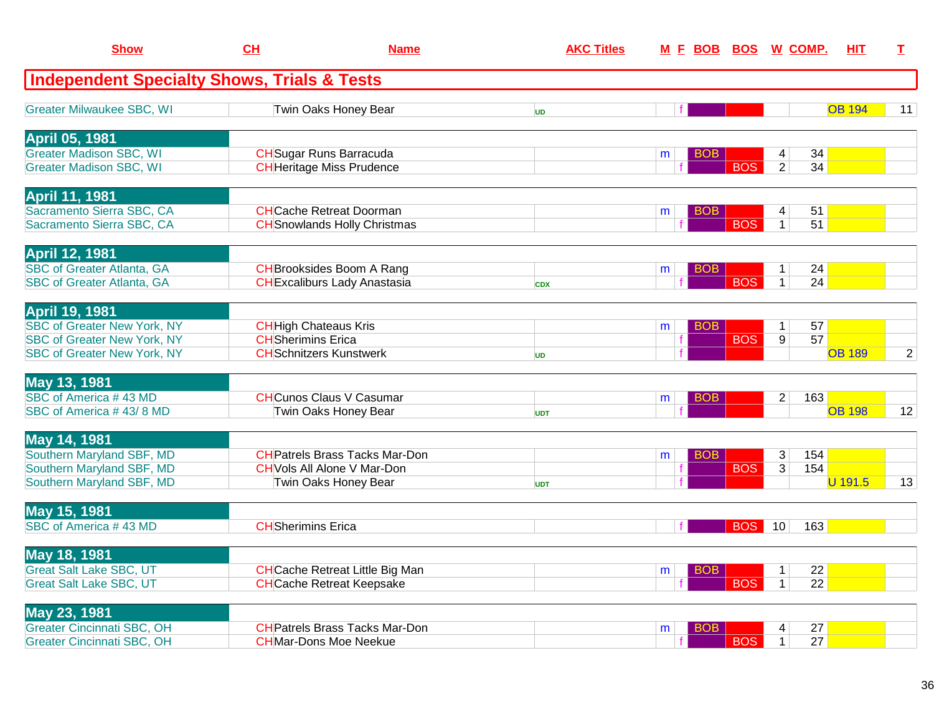| <b>Show</b>                                                                                                                             | CH                                                        | <b>Name</b>                                                                                         | <b>AKC Titles</b> | <u>M E BOB BOS</u> |            | <u>W_COMP.</u>                           | HIT           | I              |
|-----------------------------------------------------------------------------------------------------------------------------------------|-----------------------------------------------------------|-----------------------------------------------------------------------------------------------------|-------------------|--------------------|------------|------------------------------------------|---------------|----------------|
| <b>Independent Specialty Shows, Trials &amp; Tests</b>                                                                                  |                                                           |                                                                                                     |                   |                    |            |                                          |               |                |
| <b>Greater Milwaukee SBC, WI</b>                                                                                                        |                                                           | Twin Oaks Honey Bear                                                                                | <b>UD</b>         |                    |            |                                          | <b>OB 194</b> | 11             |
| <b>April 05, 1981</b><br><b>Greater Madison SBC, WI</b><br><b>Greater Madison SBC, WI</b>                                               |                                                           | <b>CH</b> Sugar Runs Barracuda<br><b>CH</b> Heritage Miss Prudence                                  |                   | <b>BOB</b><br>m    | <b>BOS</b> | 34<br>4<br>$\overline{2}$<br>34          |               |                |
| <b>April 11, 1981</b><br>Sacramento Sierra SBC, CA<br>Sacramento Sierra SBC, CA                                                         |                                                           | <b>CH</b> Cache Retreat Doorman<br><b>CH</b> Snowlands Holly Christmas                              |                   | <b>BOB</b><br>m    | <b>BOS</b> | 51<br>4<br>51<br>$\mathbf{1}$            |               |                |
| <b>April 12, 1981</b><br><b>SBC of Greater Atlanta, GA</b><br><b>SBC of Greater Atlanta, GA</b>                                         |                                                           | <b>CH</b> Brooksides Boom A Rang<br><b>CHExcaliburs Lady Anastasia</b>                              | <b>CDX</b>        | <b>BOB</b><br>m    | <b>BOS</b> | 24<br>$\mathbf{1}$<br>24<br>$\mathbf{1}$ |               |                |
| <b>April 19, 1981</b><br><b>SBC of Greater New York, NY</b><br><b>SBC of Greater New York, NY</b><br><b>SBC of Greater New York, NY</b> | <b>CH</b> High Chateaus Kris<br><b>CH</b> Sherimins Erica | <b>CH</b> Schnitzers Kunstwerk                                                                      | <b>UD</b>         | <b>BOB</b><br>m    | <b>BOS</b> | 57<br>1<br>$\overline{9}$<br>57          | <b>OB 189</b> | $\overline{2}$ |
| May 13, 1981<br>SBC of America #43 MD<br>SBC of America #43/8 MD                                                                        |                                                           | <b>CHCunos Claus V Casumar</b><br>Twin Oaks Honey Bear                                              | <b>UDT</b>        | <b>BOB</b><br>m    |            | 2<br>163                                 | <b>OB 198</b> | 12             |
| May 14, 1981<br>Southern Maryland SBF, MD<br>Southern Maryland SBF, MD<br>Southern Maryland SBF, MD                                     |                                                           | <b>CH</b> Patrels Brass Tacks Mar-Don<br><b>CH</b> Vols All Alone V Mar-Don<br>Twin Oaks Honey Bear | <b>UDT</b>        | <b>BOB</b><br>m    | <b>BOS</b> | 3<br>154<br>3<br>154                     | U 191.5       | 13             |
| May 15, 1981<br>SBC of America #43 MD                                                                                                   | <b>CH</b> Sherimins Erica                                 |                                                                                                     |                   |                    | <b>BOS</b> | 163<br>10                                |               |                |
| <b>May 18, 1981</b><br><b>Great Salt Lake SBC, UT</b><br><b>Great Salt Lake SBC, UT</b>                                                 |                                                           | <b>CH</b> Cache Retreat Little Big Man<br><b>CH</b> Cache Retreat Keepsake                          |                   | <b>BOB</b><br>m    | <b>BOS</b> | 22<br>$1\vert$<br>22<br>$\mathbf{1}$     |               |                |
| May 23, 1981<br><b>Greater Cincinnati SBC, OH</b><br><b>Greater Cincinnati SBC, OH</b>                                                  |                                                           | <b>CH</b> Patrels Brass Tacks Mar-Don<br><b>CHMar-Dons Moe Neekue</b>                               |                   | <b>BOB</b><br>m    | <b>BOS</b> | 27<br>4<br>27<br>1                       |               |                |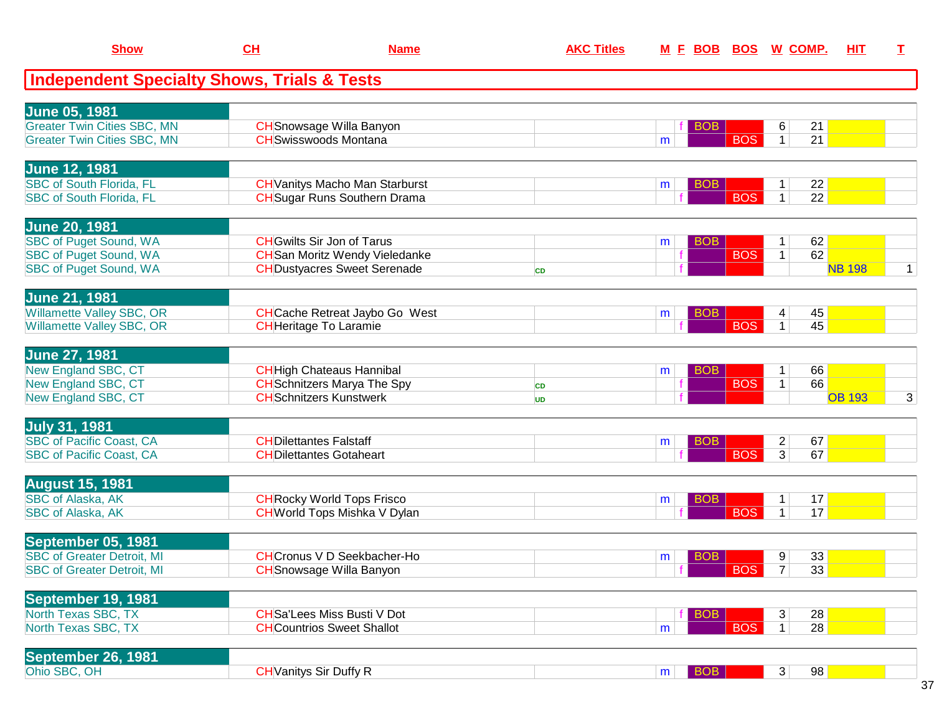| <b>Show</b>                                            | CL                            | <b>Name</b>                           | <b>AKC Titles</b> | <u>M E BOB</u>  |            | <b>BOS W COMP.</b>   | <u>ніт</u>    | I              |
|--------------------------------------------------------|-------------------------------|---------------------------------------|-------------------|-----------------|------------|----------------------|---------------|----------------|
| <b>Independent Specialty Shows, Trials &amp; Tests</b> |                               |                                       |                   |                 |            |                      |               |                |
| <b>June 05, 1981</b>                                   |                               |                                       |                   |                 |            |                      |               |                |
| <b>Greater Twin Cities SBC, MN</b>                     |                               | <b>CH</b> Snowsage Willa Banyon       |                   | <b>BOB</b>      |            | 21<br>6              |               |                |
| <b>Greater Twin Cities SBC, MN</b>                     |                               | <b>CH</b> Swisswoods Montana          |                   | m               | <b>BOS</b> | 21<br>1 <sup>1</sup> |               |                |
| <b>June 12, 1981</b>                                   |                               |                                       |                   |                 |            |                      |               |                |
| SBC of South Florida, FL                               |                               | <b>CH</b> Vanitys Macho Man Starburst |                   | <b>BOB</b><br>m |            | 22<br>1              |               |                |
| <b>SBC of South Florida, FL</b>                        |                               | <b>CH</b> Sugar Runs Southern Drama   |                   |                 | <b>BOS</b> | $\mathbf{1}$<br>22   |               |                |
| <b>June 20, 1981</b>                                   |                               |                                       |                   |                 |            |                      |               |                |
| <b>SBC of Puget Sound, WA</b>                          |                               | <b>CH</b> Gwilts Sir Jon of Tarus     |                   | <b>BOB</b><br>m |            | 62<br>$\mathbf{1}$   |               |                |
| <b>SBC of Puget Sound, WA</b>                          |                               | <b>CH</b> San Moritz Wendy Vieledanke |                   | f               | <b>BOS</b> | 62<br>1              |               |                |
| <b>SBC of Puget Sound, WA</b>                          |                               | <b>CH</b> Dustyacres Sweet Serenade   | <b>CD</b>         |                 |            |                      | <b>NB 198</b> | $\mathbf{1}$   |
| <b>June 21, 1981</b>                                   |                               |                                       |                   |                 |            |                      |               |                |
| Willamette Valley SBC, OR                              |                               | <b>CH</b> Cache Retreat Jaybo Go West |                   | <b>BOB</b><br>m |            | 45<br>4              |               |                |
| Willamette Valley SBC, OR                              |                               | <b>CH</b> Heritage To Laramie         |                   |                 | <b>BOS</b> | 45<br>$\mathbf{1}$   |               |                |
| <b>June 27, 1981</b>                                   |                               |                                       |                   |                 |            |                      |               |                |
| New England SBC, CT                                    |                               | <b>CH</b> High Chateaus Hannibal      |                   | <b>BOB</b><br>m |            | 66<br>$\mathbf{1}$   |               |                |
| New England SBC, CT                                    |                               | <b>CH</b> Schnitzers Marya The Spy    | <b>CD</b>         |                 | <b>BOS</b> | 66<br>$\mathbf{1}$   |               |                |
| New England SBC, CT                                    |                               | <b>CH</b> Schnitzers Kunstwerk        | UD                |                 |            |                      | <b>OB 193</b> | $\overline{3}$ |
| <b>July 31, 1981</b>                                   |                               |                                       |                   |                 |            |                      |               |                |
| <b>SBC of Pacific Coast, CA</b>                        | <b>CHDilettantes Falstaff</b> |                                       |                   | BOB<br>m        |            | $\overline{a}$<br>67 |               |                |
| <b>SBC of Pacific Coast, CA</b>                        |                               | <b>CHDilettantes Gotaheart</b>        |                   |                 | <b>BOS</b> | $\overline{3}$<br>67 |               |                |
| <b>August 15, 1981</b>                                 |                               |                                       |                   |                 |            |                      |               |                |
| <b>SBC of Alaska, AK</b>                               |                               | <b>CH</b> Rocky World Tops Frisco     |                   | BOB<br>m        |            | 17                   |               |                |
| SBC of Alaska, AK                                      |                               | <b>CH</b> World Tops Mishka V Dylan   |                   |                 | <b>BOS</b> | $\mathbf{1}$<br>17   |               |                |
| September 05, 1981                                     |                               |                                       |                   |                 |            |                      |               |                |
| <b>SBC of Greater Detroit, MI</b>                      |                               | <b>CHCronus V D Seekbacher-Ho</b>     |                   | <b>BOB</b><br>m |            | 33<br>9              |               |                |
| <b>SBC of Greater Detroit, MI</b>                      |                               | <b>CH</b> Snowsage Willa Banyon       |                   |                 | <b>BOS</b> | 33<br>7 <sup>1</sup> |               |                |
| September 19, 1981                                     |                               |                                       |                   |                 |            |                      |               |                |
| North Texas SBC, TX                                    |                               | <b>CH</b> Sa'Lees Miss Busti V Dot    |                   | <b>BOB</b>      |            | 28<br>3              |               |                |
| North Texas SBC, TX                                    |                               | <b>CH</b> Countrios Sweet Shallot     |                   | m               | <b>BOS</b> | 28<br>1 <sup>1</sup> |               |                |
| September 26, 1981                                     |                               |                                       |                   |                 |            |                      |               |                |
| Ohio SBC, OH                                           | <b>CH</b> Vanitys Sir Duffy R |                                       |                   | <b>BOB</b><br>m |            | 98<br>$3\vert$       |               |                |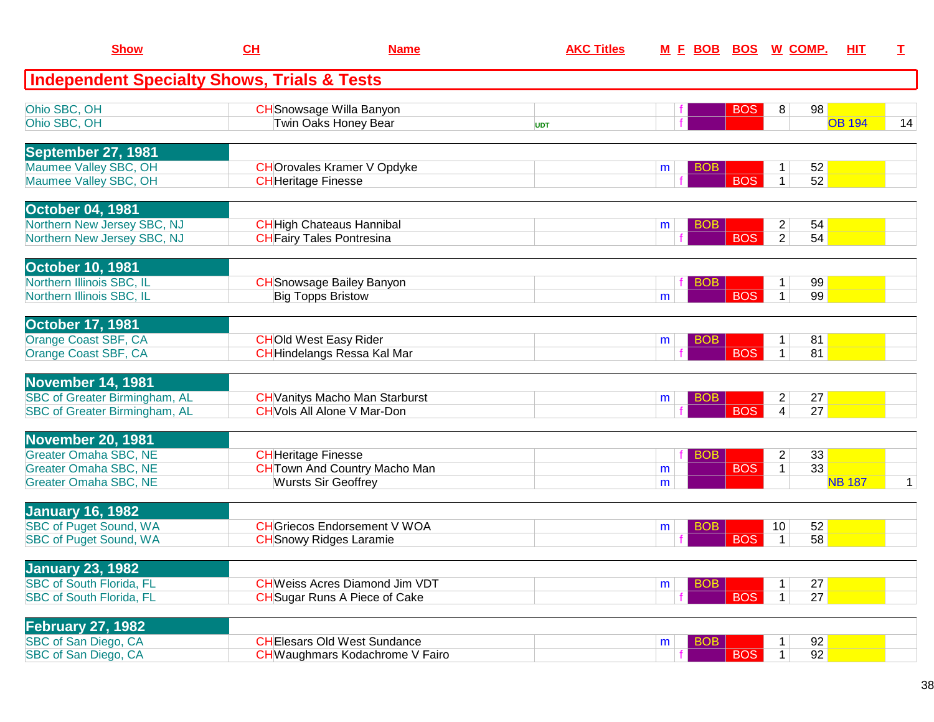| <b>Show</b>                                                                                                              | CH                         | <b>Name</b>                                                                  | <b>AKC Titles</b> |        | <u>M F BOB BOS W COMP.</u> |            |                                  |          | <b>HIT</b>    | T.          |
|--------------------------------------------------------------------------------------------------------------------------|----------------------------|------------------------------------------------------------------------------|-------------------|--------|----------------------------|------------|----------------------------------|----------|---------------|-------------|
| Independent Specialty Shows, Trials & Tests                                                                              |                            |                                                                              |                   |        |                            |            |                                  |          |               |             |
| Ohio SBC, OH<br>Ohio SBC, OH                                                                                             |                            | <b>CH</b> Snowsage Willa Banyon<br>Twin Oaks Honey Bear                      | <b>UDT</b>        |        |                            | <b>BOS</b> | 8                                | 98       | <b>OB 194</b> | 14          |
| September 27, 1981<br>Maumee Valley SBC, OH<br>Maumee Valley SBC, OH                                                     | <b>CH</b> Heritage Finesse | <b>CHOrovales Kramer V Opdyke</b>                                            |                   | m      | <b>BOB</b>                 | <b>BOS</b> | $\mathbf 1$<br>$\mathbf 1$       | 52<br>52 |               |             |
| <b>October 04, 1981</b><br>Northern New Jersey SBC, NJ<br>Northern New Jersey SBC, NJ                                    |                            | <b>CH</b> High Chateaus Hannibal<br><b>CH</b> Fairy Tales Pontresina         |                   | m      | <b>BOB</b>                 | <b>BOS</b> | $\overline{c}$<br>$\overline{2}$ | 54<br>54 |               |             |
| <b>October 10, 1981</b><br>Northern Illinois SBC, IL<br>Northern Illinois SBC, IL                                        |                            | <b>CH</b> Snowsage Bailey Banyon<br><b>Big Topps Bristow</b>                 |                   | m      | <b>BOB</b>                 | <b>BOS</b> | 1<br>$\mathbf{1}$                | 99<br>99 |               |             |
| <b>October 17, 1981</b><br><b>Orange Coast SBF, CA</b><br><b>Orange Coast SBF, CA</b>                                    |                            | <b>CHOld West Easy Rider</b><br><b>CH</b> Hindelangs Ressa Kal Mar           |                   | m      | <b>BOB</b>                 | <b>BOS</b> | $\mathbf{1}$<br>$\mathbf{1}$     | 81<br>81 |               |             |
| November 14, 1981<br>SBC of Greater Birmingham, AL<br>SBC of Greater Birmingham, AL                                      |                            | <b>CH</b> Vanitys Macho Man Starburst<br><b>CH</b> Vols All Alone V Mar-Don  |                   | m      | <b>BOB</b>                 | <b>BOS</b> | $\overline{c}$<br>4              | 27<br>27 |               |             |
| <b>November 20, 1981</b><br><b>Greater Omaha SBC, NE</b><br><b>Greater Omaha SBC, NE</b><br><b>Greater Omaha SBC, NE</b> | <b>CH</b> Heritage Finesse | <b>CH</b> Town And Country Macho Man<br><b>Wursts Sir Geoffrey</b>           |                   | m<br>m | <b>BOB</b>                 | <b>BOS</b> | $\overline{c}$<br>$\mathbf{1}$   | 33<br>33 | <b>NB 187</b> | $\mathbf 1$ |
| <b>January 16, 1982</b><br><b>SBC of Puget Sound, WA</b><br><b>SBC of Puget Sound, WA</b>                                |                            | <b>CH</b> Griecos Endorsement V WOA<br><b>CH</b> Snowy Ridges Laramie        |                   | m      | BOB                        | <b>BOS</b> | 10<br>$\mathbf{1}$               | 52<br>58 |               |             |
| <b>January 23, 1982</b><br><b>SBC of South Florida, FL</b><br><b>SBC of South Florida, FL</b>                            |                            | <b>CHWeiss Acres Diamond Jim VDT</b><br><b>CH</b> Sugar Runs A Piece of Cake |                   | m      | <b>BOB</b>                 | <b>BOS</b> | 1 <sup>1</sup>                   | 27<br>27 |               |             |
| <b>February 27, 1982</b><br>SBC of San Diego, CA<br>SBC of San Diego, CA                                                 |                            | <b>CHEIesars Old West Sundance</b><br>CHWaughmars Kodachrome V Fairo         |                   | m      | <b>BOB</b>                 | <b>BOS</b> | 1<br>$\mathbf{1}$                | 92<br>92 |               |             |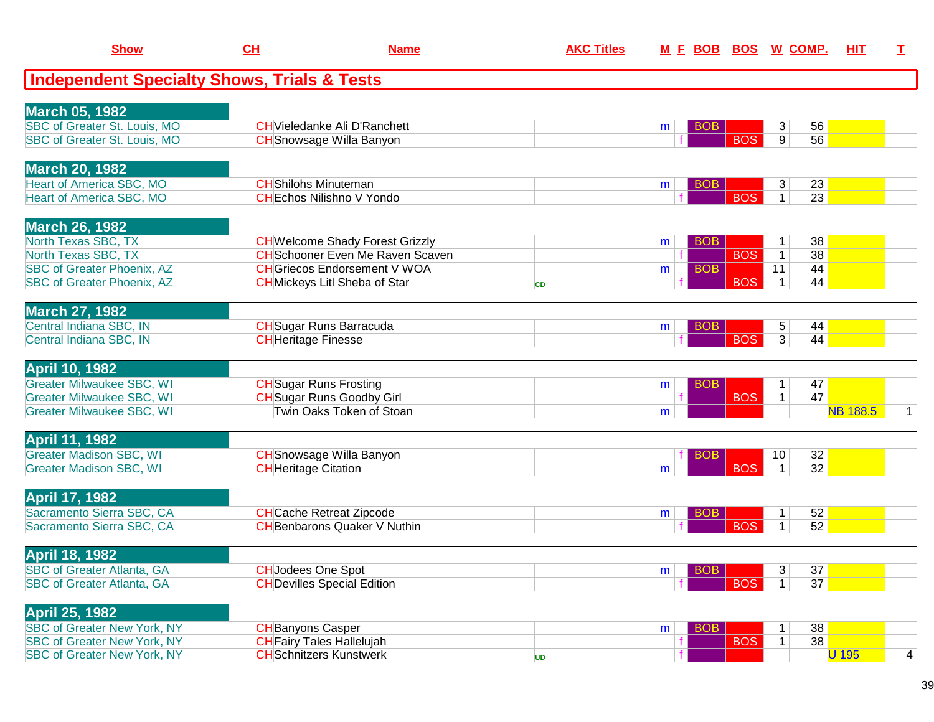| <b>Show</b>                                                              | CH                          | <b>Name</b>                                                        | <b>AKC Titles</b> | M E BOB BOS W COMP.  |            |                          | HIT             | $\mathbf I$  |
|--------------------------------------------------------------------------|-----------------------------|--------------------------------------------------------------------|-------------------|----------------------|------------|--------------------------|-----------------|--------------|
| <b>Independent Specialty Shows, Trials &amp; Tests</b>                   |                             |                                                                    |                   |                      |            |                          |                 |              |
| <b>March 05, 1982</b>                                                    |                             |                                                                    |                   |                      |            |                          |                 |              |
| SBC of Greater St. Louis, MO                                             |                             | <b>CH</b> Vieledanke Ali D'Ranchett                                |                   | <b>BOB</b><br>m      |            | 3 <sup>1</sup><br>56     |                 |              |
| SBC of Greater St. Louis, MO                                             |                             | <b>CH</b> Snowsage Willa Banyon                                    |                   |                      | <b>BOS</b> | $\overline{9}$<br>56     |                 |              |
| <b>March 20, 1982</b>                                                    |                             |                                                                    |                   |                      |            |                          |                 |              |
| <b>Heart of America SBC, MO</b>                                          | <b>CH</b> Shilohs Minuteman |                                                                    |                   | BOB<br>m             |            | 23<br>3                  |                 |              |
| <b>Heart of America SBC, MO</b>                                          |                             | <b>CHEchos Nilishno V Yondo</b>                                    |                   |                      | <b>BOS</b> | 23<br>$\mathbf{1}$       |                 |              |
| <b>March 26, 1982</b>                                                    |                             |                                                                    |                   |                      |            |                          |                 |              |
| North Texas SBC, TX                                                      |                             | <b>CH</b> Welcome Shady Forest Grizzly                             |                   | <b>BOB</b><br>m      |            | 38<br>1                  |                 |              |
| North Texas SBC, TX                                                      |                             | <b>CH</b> Schooner Even Me Raven Scaven                            |                   |                      | <b>BOS</b> | 38<br>$\mathbf{1}$       |                 |              |
| <b>SBC of Greater Phoenix, AZ</b>                                        |                             | <b>CHGriecos Endorsement V WOA</b>                                 |                   | <b>BOB</b><br>m      |            | 11<br>44                 |                 |              |
| <b>SBC of Greater Phoenix, AZ</b>                                        |                             | <b>CH</b> Mickeys Litl Sheba of Star                               | <b>CD</b>         |                      | <b>BOS</b> | 44<br>$\mathbf 1$        |                 |              |
| <b>March 27, 1982</b>                                                    |                             |                                                                    |                   |                      |            |                          |                 |              |
| Central Indiana SBC, IN                                                  |                             | <b>CH</b> Sugar Runs Barracuda                                     |                   | <b>BOB</b><br>m      |            | 44<br>5                  |                 |              |
| Central Indiana SBC, IN                                                  | <b>CH</b> Heritage Finesse  |                                                                    |                   |                      | <b>BOS</b> | $\overline{3}$<br>44     |                 |              |
| <b>April 10, 1982</b>                                                    |                             |                                                                    |                   |                      |            |                          |                 |              |
| <b>Greater Milwaukee SBC, WI</b>                                         |                             | <b>CH</b> Sugar Runs Frosting                                      |                   | <b>BOB</b><br>m      |            | 47<br>1                  |                 |              |
| <b>Greater Milwaukee SBC, WI</b>                                         |                             | <b>CH</b> Sugar Runs Goodby Girl                                   |                   |                      | <b>BOS</b> | 47<br>$\mathbf{1}$       |                 |              |
| <b>Greater Milwaukee SBC, WI</b>                                         |                             | Twin Oaks Token of Stoan                                           |                   | m                    |            |                          | <b>NB 188.5</b> | $\mathbf{1}$ |
| <b>April 11, 1982</b>                                                    |                             |                                                                    |                   |                      |            |                          |                 |              |
| <b>Greater Madison SBC, WI</b>                                           |                             | <b>CH</b> Snowsage Willa Banyon                                    |                   | <b>BOB</b>           |            | 32<br>10 <sup>°</sup>    |                 |              |
| <b>Greater Madison SBC, WI</b>                                           | <b>CH</b> Heritage Citation |                                                                    |                   | m                    | <b>BOS</b> | 32<br>$\mathbf 1$        |                 |              |
| <b>April 17, 1982</b>                                                    |                             |                                                                    |                   |                      |            |                          |                 |              |
| Sacramento Sierra SBC, CA                                                |                             | <b>CH</b> Cache Retreat Zipcode                                    |                   | BO <sub>B</sub><br>m | <b>BOS</b> | 52<br>52<br>$\mathbf{1}$ |                 |              |
| Sacramento Sierra SBC, CA                                                |                             | <b>CH</b> Benbarons Quaker V Nuthin                                |                   |                      |            |                          |                 |              |
| <b>April 18, 1982</b>                                                    |                             |                                                                    |                   | <b>BOB</b>           |            |                          |                 |              |
| <b>SBC of Greater Atlanta, GA</b>                                        | <b>CHJodees One Spot</b>    |                                                                    |                   | m                    |            | 3 <sup>1</sup><br>37     |                 |              |
| <b>SBC of Greater Atlanta, GA</b>                                        |                             | <b>CH</b> Devilles Special Edition                                 |                   |                      | <b>BOS</b> | 37<br>1                  |                 |              |
| <b>April 25, 1982</b>                                                    |                             |                                                                    |                   |                      |            |                          |                 |              |
| <b>SBC of Greater New York, NY</b><br><b>SBC of Greater New York, NY</b> | <b>CH</b> Banyons Casper    |                                                                    |                   | <b>BOB</b><br>m      |            | 38<br>38                 |                 |              |
|                                                                          |                             | <b>CH</b> Fairy Tales Hallelujah<br><b>CH</b> Schnitzers Kunstwerk |                   |                      | <b>BOS</b> | $\mathbf{1}$             | <b>U</b> 195    |              |
| <b>SBC of Greater New York, NY</b>                                       |                             |                                                                    | <b>UD</b>         |                      |            |                          |                 | 4            |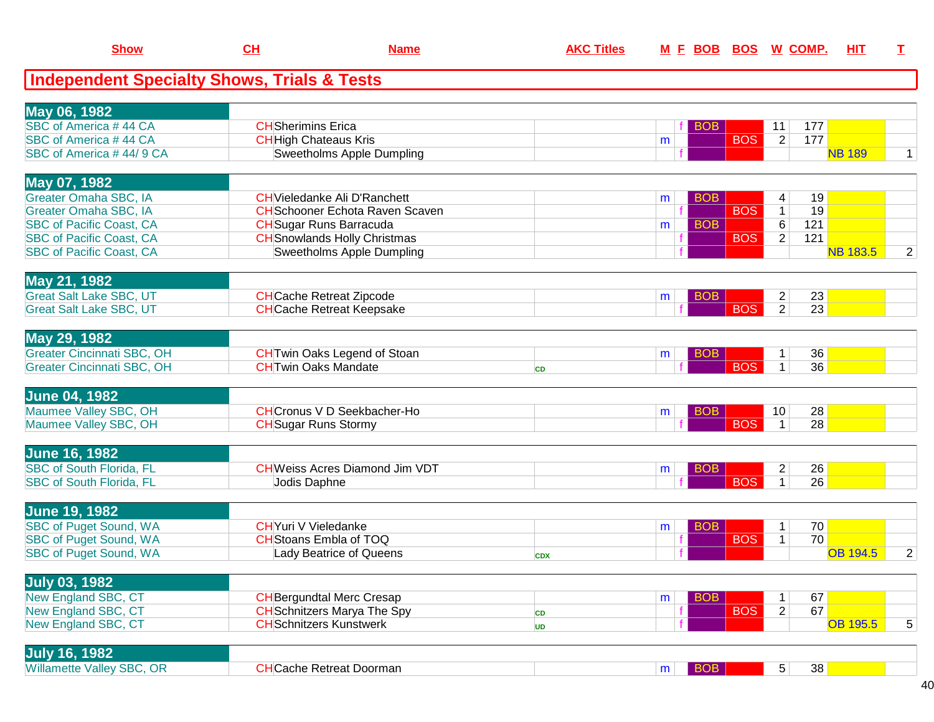| <b>Show</b>                                              | CH                           | <b>Name</b>                                                         | <b>AKC Titles</b> |    | M E BOB BOS W COMP. |            |                                |                 | <b>HIT</b> | I              |
|----------------------------------------------------------|------------------------------|---------------------------------------------------------------------|-------------------|----|---------------------|------------|--------------------------------|-----------------|------------|----------------|
| <b>Independent Specialty Shows, Trials &amp; Tests</b>   |                              |                                                                     |                   |    |                     |            |                                |                 |            |                |
| May 06, 1982                                             |                              |                                                                     |                   |    |                     |            |                                |                 |            |                |
| SBC of America #44 CA                                    | <b>CH</b> Sherimins Erica    |                                                                     |                   |    | <b>BOB</b>          |            | 11                             | 177             |            |                |
| SBC of America #44 CA                                    | <b>CH</b> High Chateaus Kris |                                                                     |                   | m  |                     | <b>BOS</b> | $\overline{2}$                 | 177             |            |                |
| SBC of America #44/9 CA                                  |                              | Sweetholms Apple Dumpling                                           |                   |    |                     |            |                                | <b>NB 189</b>   |            | 1              |
| May 07, 1982                                             |                              |                                                                     |                   |    |                     |            |                                |                 |            |                |
| Greater Omaha SBC, IA                                    |                              | <b>CH</b> Vieledanke Ali D'Ranchett                                 |                   | m  | <b>BOB</b>          |            | 4                              | 19              |            |                |
| Greater Omaha SBC, IA                                    |                              | <b>CH</b> Schooner Echota Raven Scaven                              |                   |    |                     | <b>BOS</b> | $\overline{1}$                 | $\overline{19}$ |            |                |
| <b>SBC of Pacific Coast, CA</b>                          |                              | <b>CH</b> Sugar Runs Barracuda                                      |                   | m  | <b>BOB</b>          |            | $6\overline{6}$                | 121             |            |                |
| <b>SBC of Pacific Coast, CA</b>                          |                              | <b>CH</b> Snowlands Holly Christmas                                 |                   |    |                     | <b>BOS</b> | $\overline{2}$                 | 121             |            |                |
| <b>SBC of Pacific Coast, CA</b>                          |                              | <b>Sweetholms Apple Dumpling</b>                                    |                   |    |                     |            |                                | <b>NB 183.5</b> |            | $\overline{2}$ |
| May 21, 1982                                             |                              |                                                                     |                   |    |                     |            |                                |                 |            |                |
| <b>Great Salt Lake SBC, UT</b>                           |                              | <b>CH</b> Cache Retreat Zipcode                                     |                   | m  | <b>BOB</b>          |            | $\overline{c}$                 | 23              |            |                |
| <b>Great Salt Lake SBC, UT</b>                           |                              | <b>CHCache Retreat Keepsake</b>                                     |                   |    |                     | <b>BOS</b> | $\overline{2}$                 | $\overline{23}$ |            |                |
| May 29, 1982                                             |                              |                                                                     |                   |    |                     |            |                                |                 |            |                |
| <b>Greater Cincinnati SBC, OH</b>                        |                              | <b>CH</b> Twin Oaks Legend of Stoan                                 |                   | m  | <b>BOB</b>          |            | $\mathbf{1}$                   | 36              |            |                |
| <b>Greater Cincinnati SBC, OH</b>                        | <b>CHTwin Oaks Mandate</b>   |                                                                     | CD                |    |                     | <b>BOS</b> | $\overline{1}$                 | $\overline{36}$ |            |                |
| <b>June 04, 1982</b>                                     |                              |                                                                     |                   |    |                     |            |                                |                 |            |                |
| Maumee Valley SBC, OH                                    |                              | <b>CHCronus V D Seekbacher-Ho</b>                                   |                   | m  | <b>BOB</b>          |            | 10                             | 28              |            |                |
| Maumee Valley SBC, OH                                    | <b>CH</b> Sugar Runs Stormy  |                                                                     |                   |    |                     | <b>BOS</b> | $\overline{1}$                 | $\overline{28}$ |            |                |
| <b>June 16, 1982</b>                                     |                              |                                                                     |                   |    |                     |            |                                |                 |            |                |
| <b>SBC of South Florida, FL</b>                          |                              | <b>CHWeiss Acres Diamond Jim VDT</b>                                |                   | m  | <b>BOB</b>          |            | $\overline{2}$                 | 26              |            |                |
| <b>SBC of South Florida, FL</b>                          | Jodis Daphne                 |                                                                     |                   |    |                     | <b>BOS</b> | $\overline{1}$                 | $\overline{26}$ |            |                |
| <b>June 19, 1982</b>                                     |                              |                                                                     |                   |    |                     |            |                                |                 |            |                |
| <b>SBC of Puget Sound, WA</b>                            | <b>CH</b> Yuri V Vieledanke  |                                                                     |                   | m  | BOB                 |            | $\mathbf{1}$                   | 70              |            |                |
| <b>SBC of Puget Sound, WA</b>                            |                              | <b>CH</b> Stoans Embla of TOQ                                       |                   |    |                     | <b>BOS</b> | $\overline{1}$                 | $\overline{70}$ |            |                |
| <b>SBC of Puget Sound, WA</b>                            |                              | Lady Beatrice of Queens                                             | <b>CDX</b>        |    |                     |            |                                | <b>OB 194.5</b> |            | $\overline{2}$ |
|                                                          |                              |                                                                     |                   |    |                     |            |                                |                 |            |                |
| <b>July 03, 1982</b>                                     |                              |                                                                     |                   |    |                     |            |                                |                 |            |                |
| New England SBC, CT                                      |                              | <b>CH</b> Bergundtal Merc Cresap                                    |                   | m  | <b>BOB</b>          |            | $\mathbf{1}$<br>$\overline{2}$ | 67<br>67        |            |                |
| <b>New England SBC, CT</b><br><b>New England SBC, CT</b> |                              | <b>CH</b> Schnitzers Marya The Spy<br><b>CHSchnitzers Kunstwerk</b> | <b>CD</b>         | f. |                     | <b>BOS</b> |                                | <b>OB 195.5</b> |            |                |
|                                                          |                              |                                                                     | <b>UD</b>         |    |                     |            |                                |                 |            | 5              |
| link 46 4002                                             |                              |                                                                     |                   |    |                     |            |                                |                 |            |                |

| --<br>1982<br><b>July</b>             |                            |  |    |  |
|---------------------------------------|----------------------------|--|----|--|
| <b>Willamette Valley SBC.</b><br>. OR | e Retreat Doorman<br>شche. |  | 38 |  |
|                                       |                            |  |    |  |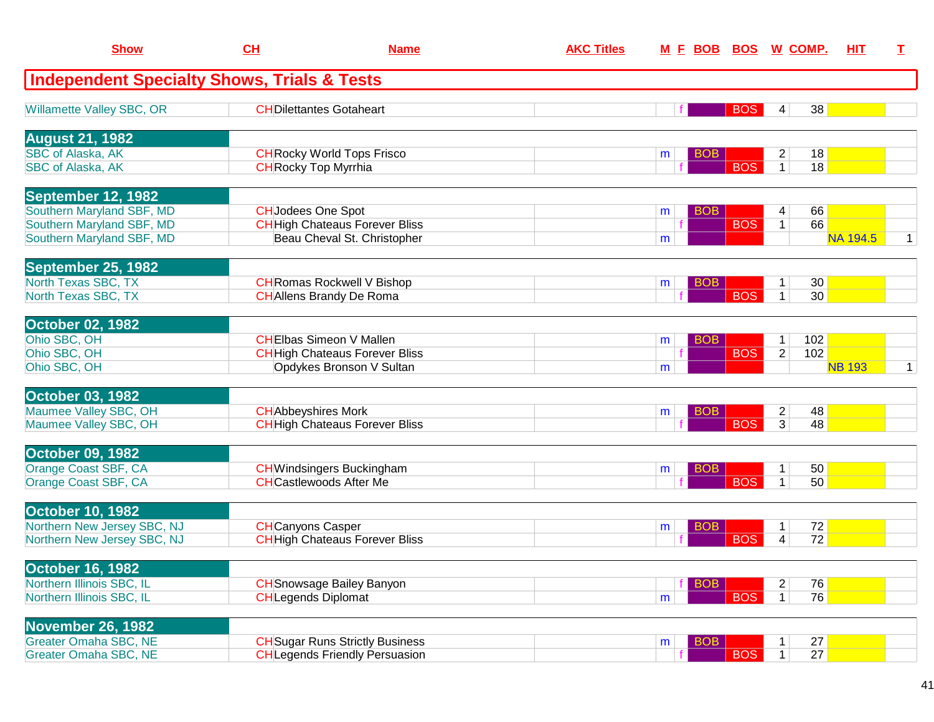| <b>Show</b>                                                                         | CH                          | <b>Name</b>                                                                     | <b>AKC Titles</b> | <u>M F BOB</u>       | <b>BOS</b> | <u>W_COMP.</u>                   | <u>HIT</u>                  | T.          |
|-------------------------------------------------------------------------------------|-----------------------------|---------------------------------------------------------------------------------|-------------------|----------------------|------------|----------------------------------|-----------------------------|-------------|
| <b>Independent Specialty Shows, Trials &amp; Tests</b>                              |                             |                                                                                 |                   |                      |            |                                  |                             |             |
| Willamette Valley SBC, OR                                                           |                             | <b>CHDilettantes Gotaheart</b>                                                  |                   |                      | <b>BOS</b> | 4                                | 38                          |             |
| <b>August 21, 1982</b>                                                              |                             |                                                                                 |                   |                      |            |                                  |                             |             |
| <b>SBC of Alaska, AK</b><br><b>SBC of Alaska, AK</b>                                | <b>CH</b> Rocky Top Myrrhia | <b>CH</b> Rocky World Tops Frisco                                               |                   | <b>BOB</b><br>m      | <b>BOS</b> | $\overline{c}$<br>1 <sup>1</sup> | 18<br>18                    |             |
| September 12, 1982                                                                  |                             |                                                                                 |                   |                      |            |                                  |                             |             |
| Southern Maryland SBF, MD<br>Southern Maryland SBF, MD<br>Southern Maryland SBF, MD | <b>CH</b> Jodees One Spot   | <b>CH</b> High Chateaus Forever Bliss<br>Beau Cheval St. Christopher            |                   | <b>BOB</b><br>m<br>m | <b>BOS</b> | 4<br>$\mathbf{1}$                | 66<br>66<br><b>NA 194.5</b> | 1           |
| September 25, 1982                                                                  |                             |                                                                                 |                   |                      |            |                                  |                             |             |
| North Texas SBC, TX<br>North Texas SBC, TX                                          |                             | <b>CH</b> Romas Rockwell V Bishop<br><b>CH</b> Allens Brandy De Roma            |                   | <b>BOB</b><br>m      | <b>BOS</b> | 1<br>$\mathbf{1}$                | 30<br>30 <sup>2</sup>       |             |
| <b>October 02, 1982</b>                                                             |                             |                                                                                 |                   |                      |            |                                  |                             |             |
| Ohio SBC, OH<br>Ohio SBC, OH                                                        |                             | <b>CHEIbas Simeon V Mallen</b><br><b>CH</b> High Chateaus Forever Bliss         |                   | <b>BOB</b><br>m      | <b>BOS</b> | 1<br>$\overline{2}$              | 102<br>102                  |             |
| Ohio SBC, OH                                                                        |                             | Opdykes Bronson V Sultan                                                        |                   | m                    |            |                                  | <b>NB 193</b>               | $\mathbf 1$ |
| <b>October 03, 1982</b>                                                             |                             |                                                                                 |                   |                      |            |                                  |                             |             |
| Maumee Valley SBC, OH<br>Maumee Valley SBC, OH                                      | <b>CH</b> Abbeyshires Mork  | <b>CH</b> High Chateaus Forever Bliss                                           |                   | BOB<br>m             | <b>BOS</b> | $\overline{c}$<br>3              | 48<br>48                    |             |
| <b>October 09, 1982</b>                                                             |                             |                                                                                 |                   |                      |            |                                  |                             |             |
| Orange Coast SBF, CA<br>Orange Coast SBF, CA                                        |                             | <b>CH</b> Windsingers Buckingham<br><b>CHCastlewoods After Me</b>               |                   | <b>BOB</b><br>m      | <b>BOS</b> | 1<br>1                           | 50<br>50                    |             |
| <b>October 10, 1982</b>                                                             |                             |                                                                                 |                   |                      |            |                                  |                             |             |
| Northern New Jersey SBC, NJ<br>Northern New Jersey SBC, NJ                          | <b>CH</b> Canyons Casper    | <b>CH</b> High Chateaus Forever Bliss                                           |                   | <b>BOB</b><br>m      | <b>BOS</b> | 1<br>4                           | 72<br>72                    |             |
| <b>October 16, 1982</b>                                                             |                             |                                                                                 |                   |                      |            |                                  |                             |             |
| Northern Illinois SBC, IL<br>Northern Illinois SBC, IL                              | <b>CH</b> Legends Diplomat  | <b>CH</b> Snowsage Bailey Banyon                                                |                   | <b>BOB</b><br>m      | <b>BOS</b> | $\overline{2}$<br>$\mathbf{1}$   | 76<br>76                    |             |
| <b>November 26, 1982</b>                                                            |                             |                                                                                 |                   |                      |            |                                  |                             |             |
| <b>Greater Omaha SBC, NE</b><br><b>Greater Omaha SBC, NE</b>                        |                             | <b>CH</b> Sugar Runs Strictly Business<br><b>CH</b> Legends Friendly Persuasion |                   | <b>BOB</b><br>m      | <b>BOS</b> | 1<br>1                           | 27<br>27                    |             |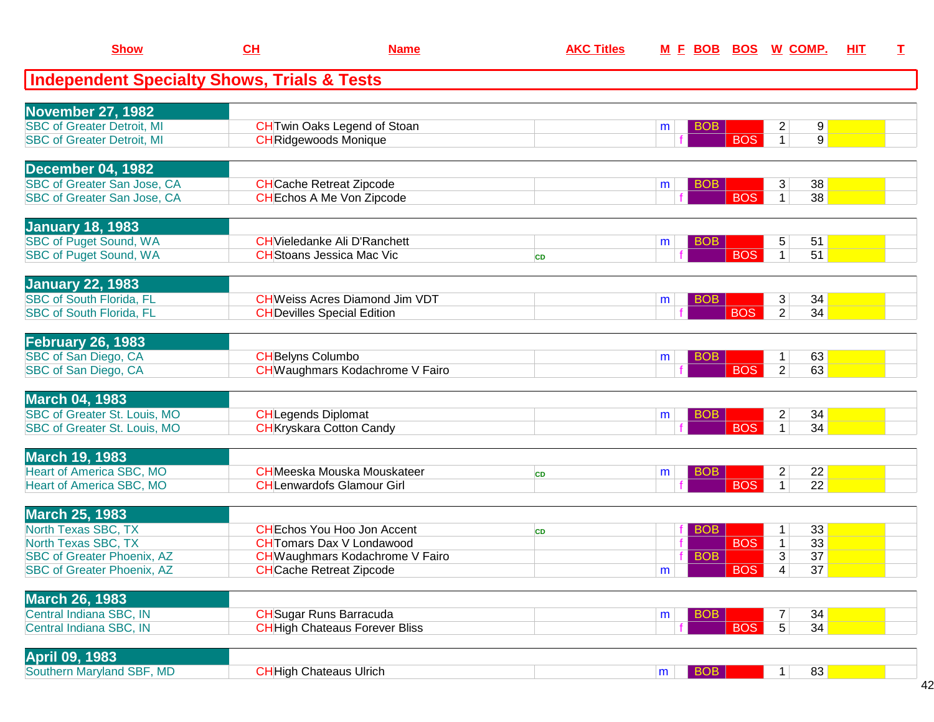| <b>Show</b>                                                                                                                                   | CH                         | <b>Name</b>                                                                                                                                | <b>AKC Titles</b> |                               |                           | M E BOB BOS W COMP.                                                                                               | HIT | $\mathbf I$ |
|-----------------------------------------------------------------------------------------------------------------------------------------------|----------------------------|--------------------------------------------------------------------------------------------------------------------------------------------|-------------------|-------------------------------|---------------------------|-------------------------------------------------------------------------------------------------------------------|-----|-------------|
| <b>Independent Specialty Shows, Trials &amp; Tests</b>                                                                                        |                            |                                                                                                                                            |                   |                               |                           |                                                                                                                   |     |             |
| <b>November 27, 1982</b><br><b>SBC of Greater Detroit, MI</b><br><b>SBC of Greater Detroit, MI</b>                                            |                            | <b>CH</b> Twin Oaks Legend of Stoan<br><b>CH</b> Ridgewoods Monique                                                                        |                   | BOB<br>m                      | <b>BOS</b>                | $\overline{c}$<br>$9 \mid$<br>9<br>$\mathbf{1}$                                                                   |     |             |
| December 04, 1982<br>SBC of Greater San Jose, CA<br>SBC of Greater San Jose, CA                                                               |                            | <b>CH</b> Cache Retreat Zipcode<br><b>CH</b> Echos A Me Von Zipcode                                                                        |                   | <b>BOB</b><br>m               | <b>BOS</b>                | 3<br>38<br>$\mathbf{1}$<br>38                                                                                     |     |             |
| <b>January 18, 1983</b><br><b>SBC of Puget Sound, WA</b><br>SBC of Puget Sound, WA                                                            |                            | <b>CH</b> Vieledanke Ali D'Ranchett<br><b>CH</b> Stoans Jessica Mac Vic                                                                    | <b>CD</b>         | <b>BOB</b><br>m               | <b>BOS</b>                | 51<br>5<br>51<br>$\mathbf{1}$                                                                                     |     |             |
| <b>January 22, 1983</b><br><b>SBC of South Florida, FL</b><br><b>SBC of South Florida, FL</b>                                                 |                            | <b>CH</b> Weiss Acres Diamond Jim VDT<br><b>CH</b> Devilles Special Edition                                                                |                   | <b>BOB</b><br>m               | <b>BOS</b>                | 34<br>3<br>$\overline{2}$<br>34                                                                                   |     |             |
| <b>February 26, 1983</b><br>SBC of San Diego, CA<br>SBC of San Diego, CA                                                                      | <b>CH</b> Belyns Columbo   | <b>CH</b> Waughmars Kodachrome V Fairo                                                                                                     |                   | <b>BOB</b><br>m               | <b>BOS</b>                | 63<br>1<br>$\overline{2}$<br>63                                                                                   |     |             |
| <b>March 04, 1983</b><br>SBC of Greater St. Louis, MO<br>SBC of Greater St. Louis, MO                                                         | <b>CH</b> Legends Diplomat | <b>CH</b> Kryskara Cotton Candy                                                                                                            |                   | <b>BOB</b><br>m               | <b>BOS</b>                | $\overline{c}$<br>34<br>$\mathbf{1}$<br>34                                                                        |     |             |
| <b>March 19, 1983</b><br><b>Heart of America SBC, MO</b><br>Heart of America SBC, MO                                                          |                            | <b>CH</b> Meeska Mouska Mouskateer<br><b>CHLenwardofs Glamour Girl</b>                                                                     | <b>CD</b>         | <b>BOB</b><br>m               | <b>BOS</b>                | 22<br>$\overline{2}$<br>22<br>$\mathbf{1}$                                                                        |     |             |
| <b>March 25, 1983</b><br>North Texas SBC, TX<br>North Texas SBC, TX<br><b>SBC of Greater Phoenix, AZ</b><br><b>SBC of Greater Phoenix, AZ</b> |                            | <b>CHEchos You Hoo Jon Accent</b><br><b>CH</b> Tomars Dax V Londawood<br>CH Waughmars Kodachrome V Fairo<br><b>CHCache Retreat Zipcode</b> | <b>CD</b>         | <b>BOB</b><br><b>BOB</b><br>m | <b>BOS</b><br>$\sqrt{18}$ | 33<br>$\mathbf 1$<br>33 <sup>°</sup><br>$\mathbf{1}$<br>$\overline{3}$<br>37<br>$\overline{37}$<br>$\overline{4}$ |     |             |
| <b>March 26, 1983</b><br>Central Indiana SBC, IN<br>Central Indiana SBC, IN                                                                   |                            | <b>CH</b> Sugar Runs Barracuda<br><b>CHHigh Chateaus Forever Bliss</b>                                                                     |                   | <b>BOB</b><br>m               | <b>BOS</b>                | 34<br>7<br>5 <sup>5</sup><br>34                                                                                   |     |             |
| <b>April 09, 1983</b><br>Southern Maryland SBF, MD                                                                                            |                            | <b>CH</b> High Chateaus Ulrich                                                                                                             |                   | BOB<br>m                      |                           | 83<br>$\mathbf 1$                                                                                                 |     |             |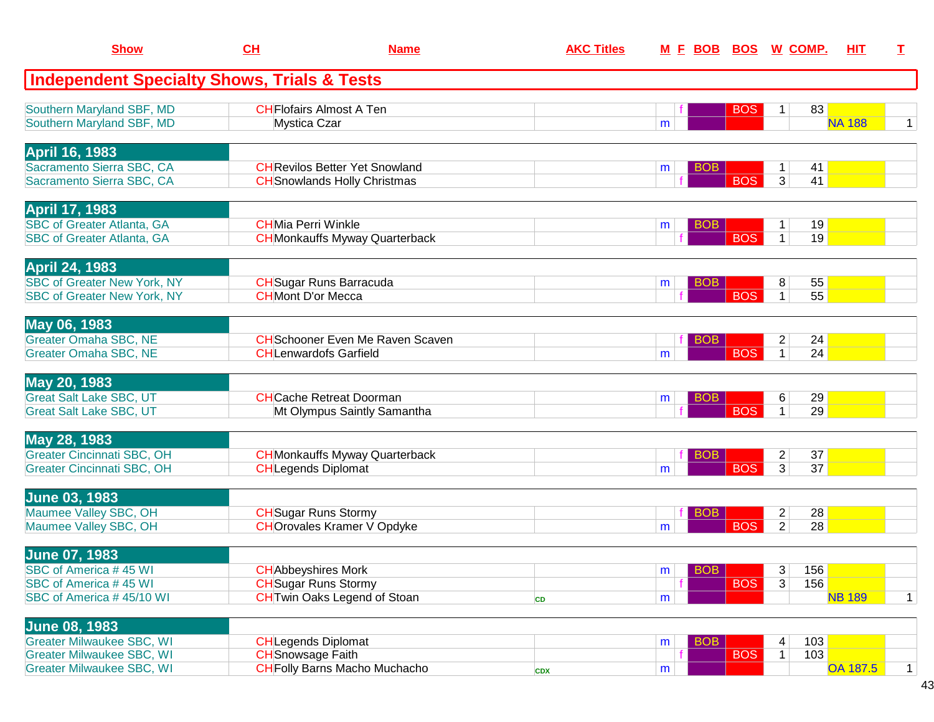| <b>Show</b>                                                                                                                      | CH                                                        | <b>Name</b>                                                                  | <b>AKC Titles</b> |                       | <u>M F BOB BOS</u> | <u>W_COMP.</u>                               | <b>HIT</b>      | I |
|----------------------------------------------------------------------------------------------------------------------------------|-----------------------------------------------------------|------------------------------------------------------------------------------|-------------------|-----------------------|--------------------|----------------------------------------------|-----------------|---|
| <b>Independent Specialty Shows, Trials &amp; Tests</b>                                                                           |                                                           |                                                                              |                   |                       |                    |                                              |                 |   |
| Southern Maryland SBF, MD<br>Southern Maryland SBF, MD                                                                           | Mystica Czar                                              | <b>CHFlofairs Almost A Ten</b>                                               |                   | m                     | <b>BOS</b>         | 83<br>1                                      | <b>NA 188</b>   | 1 |
| <b>April 16, 1983</b><br>Sacramento Sierra SBC, CA<br>Sacramento Sierra SBC, CA                                                  |                                                           | <b>CH</b> Revilos Better Yet Snowland<br><b>CH</b> Snowlands Holly Christmas |                   | <b>BOB</b><br>m       | <b>BOS</b>         | 41<br>$\mathbf{1}$<br>3<br>41                |                 |   |
| <b>April 17, 1983</b><br><b>SBC of Greater Atlanta, GA</b><br><b>SBC of Greater Atlanta, GA</b>                                  | <b>CHMia Perri Winkle</b>                                 | <b>CH</b> Monkauffs Myway Quarterback                                        |                   | <b>BOB</b><br>m       | <b>BOS</b>         | 19<br>$\mathbf{1}$<br>$\mathbf{1}$<br>19     |                 |   |
| <b>April 24, 1983</b><br><b>SBC of Greater New York, NY</b><br><b>SBC of Greater New York, NY</b>                                | <b>CH</b> Mont D'or Mecca                                 | <b>CH</b> Sugar Runs Barracuda                                               |                   | <b>BOB</b><br>m       | <b>BOS</b>         | 8<br>55<br>$\mathbf{1}$<br>55                |                 |   |
| May 06, 1983<br><b>Greater Omaha SBC, NE</b><br><b>Greater Omaha SBC, NE</b>                                                     |                                                           | <b>CH</b> Schooner Even Me Raven Scaven<br><b>CHLenwardofs Garfield</b>      |                   | <b>BOB</b><br>m       | <b>BOS</b>         | $\overline{c}$<br>24<br>$\overline{1}$<br>24 |                 |   |
| May 20, 1983<br><b>Great Salt Lake SBC, UT</b><br><b>Great Salt Lake SBC, UT</b>                                                 |                                                           | <b>CH</b> Cache Retreat Doorman<br>Mt Olympus Saintly Samantha               |                   | <b>BOB</b><br>m       | <b>BOS</b>         | 6<br>29<br>29<br>$\mathbf{1}$                |                 |   |
| May 28, 1983<br><b>Greater Cincinnati SBC, OH</b><br>Greater Cincinnati SBC, OH                                                  | <b>CHLegends Diplomat</b>                                 | <b>CH</b> Monkauffs Myway Quarterback                                        |                   | <b>BOB</b><br>m       | <b>BOS</b>         | $\overline{c}$<br>37<br>3<br>37              |                 |   |
| <b>June 03, 1983</b><br>Maumee Valley SBC, OH<br>Maumee Valley SBC, OH                                                           | <b>CH</b> Sugar Runs Stormy                               | <b>CHOrovales Kramer V Opdyke</b>                                            |                   | <b>BOB</b><br>m       | <b>BOS</b>         | $\overline{2}$<br>28<br>$\overline{2}$<br>28 |                 |   |
| <b>June 07, 1983</b><br>SBC of America #45 WI<br>SBC of America #45 WI<br>SBC of America #45/10 WI                               | <b>CH</b> Abbeyshires Mork<br><b>CH</b> Sugar Runs Stormy | <b>CH</b> Twin Oaks Legend of Stoan                                          | CD                | $ $ BOB $ $<br>m<br>m | <b>BOS</b>         | 3<br>156<br>3<br>156                         | <b>NB 189</b>   | 1 |
| <b>June 08, 1983</b><br><b>Greater Milwaukee SBC, WI</b><br><b>Greater Milwaukee SBC, WI</b><br><b>Greater Milwaukee SBC, WI</b> | <b>CH</b> Legends Diplomat<br><b>CH</b> Snowsage Faith    | <b>CH</b> Folly Barns Macho Muchacho                                         | <b>CDX</b>        | <b>BOB</b><br>m<br>m  | <b>BOS</b>         | 103<br>4<br>103<br>$\mathbf{1}$              | <b>OA 187.5</b> | 1 |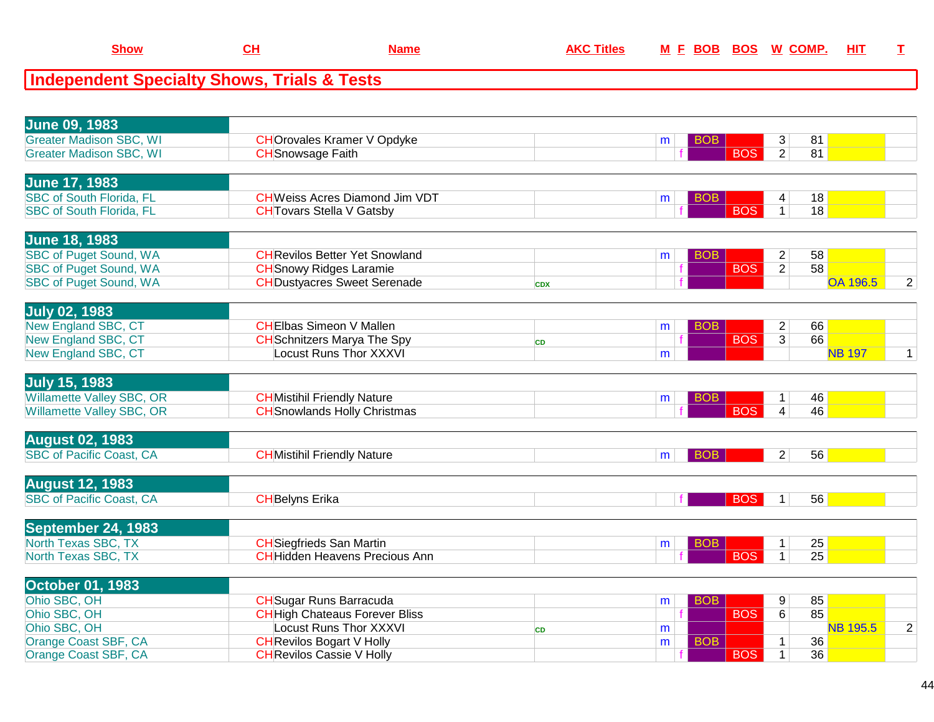| <b>June 09, 1983</b>             |                                       |            |                 |                |                 |                |
|----------------------------------|---------------------------------------|------------|-----------------|----------------|-----------------|----------------|
| <b>Greater Madison SBC, WI</b>   | <b>CHOrovales Kramer V Opdyke</b>     |            | BOB<br>m        | 3              | 81              |                |
| <b>Greater Madison SBC, WI</b>   | <b>CH</b> Snowsage Faith              |            | <b>BOS</b>      | $\overline{2}$ | 81              |                |
|                                  |                                       |            |                 |                |                 |                |
| <b>June 17, 1983</b>             |                                       |            |                 |                |                 |                |
| <b>SBC of South Florida, FL</b>  | <b>CHWeiss Acres Diamond Jim VDT</b>  |            | BOB<br>m        | 4              | 18              |                |
| <b>SBC of South Florida, FL</b>  | <b>CH</b> Tovars Stella V Gatsby      |            | <b>BOS</b>      | $\mathbf{1}$   | 18              |                |
|                                  |                                       |            |                 |                |                 |                |
| <b>June 18, 1983</b>             |                                       |            |                 |                |                 |                |
| <b>SBC of Puget Sound, WA</b>    | <b>CH</b> Revilos Better Yet Snowland |            | <b>BOB</b><br>m | $\overline{c}$ | 58              |                |
| <b>SBC of Puget Sound, WA</b>    | <b>CH</b> Snowy Ridges Laramie        |            | <b>BOS</b>      | $\overline{2}$ | 58              |                |
| <b>SBC of Puget Sound, WA</b>    | <b>CH</b> Dustyacres Sweet Serenade   | <b>CDX</b> |                 |                | <b>OA 196.5</b> | $\overline{2}$ |
|                                  |                                       |            |                 |                |                 |                |
| <b>July 02, 1983</b>             |                                       |            |                 |                |                 |                |
| New England SBC, CT              | <b>CHEIbas Simeon V Mallen</b>        |            | <b>BOB</b><br>m | $\overline{c}$ | 66              |                |
| <b>New England SBC, CT</b>       | <b>CH</b> Schnitzers Marya The Spy    | <b>CD</b>  | <b>BOS</b>      | $\overline{3}$ | 66              |                |
| <b>New England SBC, CT</b>       | <b>Locust Runs Thor XXXVI</b>         |            | m               |                | <b>NB 197</b>   | $\mathbf{1}$   |
|                                  |                                       |            |                 |                |                 |                |
| <b>July 15, 1983</b>             |                                       |            |                 |                |                 |                |
| <b>Willamette Valley SBC, OR</b> | <b>CH</b> Mistihil Friendly Nature    |            | <b>BOB</b><br>m | $\mathbf{1}$   | 46              |                |
| Willamette Valley SBC, OR        | <b>CH</b> Snowlands Holly Christmas   |            | <b>BOS</b>      | $\overline{4}$ | 46              |                |
|                                  |                                       |            |                 |                |                 |                |
| <b>August 02, 1983</b>           |                                       |            |                 |                |                 |                |
| <b>SBC of Pacific Coast, CA</b>  | <b>CH</b> Mistihil Friendly Nature    |            | <b>BOB</b><br>m | 2 <sup>2</sup> | 56              |                |
|                                  |                                       |            |                 |                |                 |                |
| <b>August 12, 1983</b>           |                                       |            |                 |                |                 |                |
| <b>SBC of Pacific Coast, CA</b>  | <b>CHBelyns Erika</b>                 |            | <b>BOS</b>      | 1 <sup>1</sup> | 56              |                |
|                                  |                                       |            |                 |                |                 |                |
| <b>September 24, 1983</b>        |                                       |            |                 |                |                 |                |
| North Texas SBC, TX              | <b>CH</b> Siegfrieds San Martin       |            | BOB<br>m        | $\mathbf{1}$   | 25              |                |
| North Texas SBC, TX              | <b>CHHidden Heavens Precious Ann</b>  |            | <b>BOS</b>      | $\mathbf{1}$   | 25              |                |
|                                  |                                       |            |                 |                |                 |                |
| <b>October 01, 1983</b>          |                                       |            |                 |                |                 |                |
| Ohio SBC, OH                     | <b>CH</b> Sugar Runs Barracuda        |            | <b>BOB</b><br>m | 9              | 85              |                |
| Ohio SBC, OH                     | <b>CH</b> High Chateaus Forever Bliss |            | <b>BOS</b>      | 6              | 85              |                |
| Ohio SBC, OH                     | <b>Locust Runs Thor XXXVI</b>         | <b>CD</b>  | m               |                | <b>NB 195.5</b> | $\overline{2}$ |
| Orange Coast SBF, CA             | <b>CH</b> Revilos Bogart V Holly      |            | <b>BOB</b><br>m | $\mathbf{1}$   | 36              |                |
| Orange Coast SBF, CA             | <b>CH</b> Revilos Cassie V Holly      |            | <b>BOS</b>      | $\mathbf{1}$   | 36              |                |
|                                  |                                       |            |                 |                |                 |                |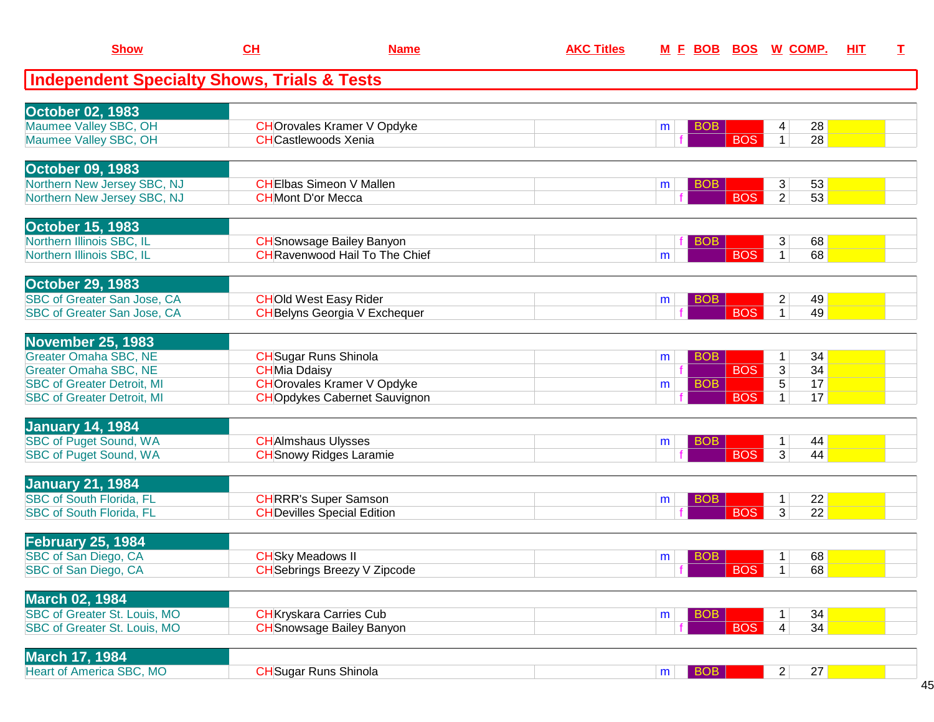| <b>Show</b>                                            | CL                        | <b>Name</b>                                                              | <b>AKC Titles</b> |                 |            | M E BOB BOS W COMP.                        | HIT | $\mathbf I$ |
|--------------------------------------------------------|---------------------------|--------------------------------------------------------------------------|-------------------|-----------------|------------|--------------------------------------------|-----|-------------|
| <b>Independent Specialty Shows, Trials &amp; Tests</b> |                           |                                                                          |                   |                 |            |                                            |     |             |
| <b>October 02, 1983</b>                                |                           |                                                                          |                   |                 |            |                                            |     |             |
| Maumee Valley SBC, OH                                  |                           | <b>CHOrovales Kramer V Opdyke</b>                                        |                   | BOB<br>m        |            | 28<br>4                                    |     |             |
| Maumee Valley SBC, OH                                  |                           | <b>CH</b> Castlewoods Xenia                                              |                   |                 | <b>BOS</b> | 28<br>$\mathbf{1}$                         |     |             |
|                                                        |                           |                                                                          |                   |                 |            |                                            |     |             |
| <b>October 09, 1983</b><br>Northern New Jersey SBC, NJ |                           | <b>CHEIbas Simeon V Mallen</b>                                           |                   | <b>BOB</b><br>m |            | 53<br>3                                    |     |             |
| Northern New Jersey SBC, NJ                            | <b>CH</b> Mont D'or Mecca |                                                                          |                   |                 | <b>BOS</b> | $\overline{2}$<br>53                       |     |             |
|                                                        |                           |                                                                          |                   |                 |            |                                            |     |             |
| <b>October 15, 1983</b>                                |                           |                                                                          |                   |                 |            |                                            |     |             |
| Northern Illinois SBC, IL<br>Northern Illinois SBC, IL |                           | <b>CH</b> Snowsage Bailey Banyon<br><b>CHRavenwood Hail To The Chief</b> |                   | <b>BOB</b><br>m | <b>BOS</b> | 3 <sup>2</sup><br>68<br>$\mathbf{1}$<br>68 |     |             |
|                                                        |                           |                                                                          |                   |                 |            |                                            |     |             |
| <b>October 29, 1983</b>                                |                           |                                                                          |                   |                 |            |                                            |     |             |
| SBC of Greater San Jose, CA                            |                           | <b>CHOld West Easy Rider</b>                                             |                   | BOB<br>m        |            | $\overline{2}$<br>49                       |     |             |
| SBC of Greater San Jose, CA                            |                           | <b>CH</b> Belyns Georgia V Exchequer                                     |                   |                 | <b>BOS</b> | $\mathbf{1}$<br>49                         |     |             |
| <b>November 25, 1983</b>                               |                           |                                                                          |                   |                 |            |                                            |     |             |
| <b>Greater Omaha SBC, NE</b>                           |                           | <b>CH</b> Sugar Runs Shinola                                             |                   | <b>BOB</b><br>m |            | 34<br>1                                    |     |             |
| <b>Greater Omaha SBC, NE</b>                           | <b>CHMia Ddaisy</b>       |                                                                          |                   |                 | <b>BOS</b> | 34<br>3                                    |     |             |
| <b>SBC of Greater Detroit, MI</b>                      |                           | <b>CHOrovales Kramer V Opdyke</b>                                        |                   | <b>BOB</b><br>m |            | 5<br>17                                    |     |             |
| <b>SBC of Greater Detroit, MI</b>                      |                           | <b>CHO</b> pdykes Cabernet Sauvignon                                     |                   |                 | <b>BOS</b> | 17<br>$\mathbf 1$                          |     |             |
| <b>January 14, 1984</b>                                |                           |                                                                          |                   |                 |            |                                            |     |             |
| <b>SBC of Puget Sound, WA</b>                          |                           | <b>CHAImshaus Ulysses</b>                                                |                   | <b>BOB</b><br>m |            | 44<br>1                                    |     |             |
| <b>SBC of Puget Sound, WA</b>                          |                           | <b>CH</b> Snowy Ridges Laramie                                           |                   |                 | <b>BOS</b> | 3 <sup>1</sup><br>44                       |     |             |
|                                                        |                           |                                                                          |                   |                 |            |                                            |     |             |
| <b>January 21, 1984</b>                                |                           |                                                                          |                   |                 |            |                                            |     |             |
| <b>SBC of South Florida, FL</b>                        |                           | <b>CHRRR's Super Samson</b>                                              |                   | <b>BOB</b><br>m |            | 22<br>$\mathbf{1}$                         |     |             |
| <b>SBC of South Florida, FL</b>                        |                           | <b>CH</b> Devilles Special Edition                                       |                   |                 | <b>BOS</b> | 3 <sup>1</sup><br>22                       |     |             |
| February 25, 1984                                      |                           |                                                                          |                   |                 |            |                                            |     |             |
| SBC of San Diego, CA                                   | <b>CH</b> Sky Meadows II  |                                                                          |                   | <b>BOB</b><br>m |            | 68<br>1                                    |     |             |
| SBC of San Diego, CA                                   |                           | <b>CH</b> Sebrings Breezy V Zipcode                                      |                   |                 | <b>BOS</b> | 68<br>1                                    |     |             |
| <b>March 02, 1984</b>                                  |                           |                                                                          |                   |                 |            |                                            |     |             |
| SBC of Greater St. Louis, MO                           |                           | <b>CH</b> Kryskara Carries Cub                                           |                   | <b>BOB</b><br>m |            | 34<br>1                                    |     |             |
| SBC of Greater St. Louis, MO                           |                           | <b>CH</b> Snowsage Bailey Banyon                                         |                   |                 | <b>BOS</b> | 4 <sup>1</sup><br>34                       |     |             |
|                                                        |                           |                                                                          |                   |                 |            |                                            |     |             |
| <b>March 17, 1984</b>                                  |                           |                                                                          |                   |                 |            |                                            |     |             |
| <b>Heart of America SBC, MO</b>                        |                           | <b>CH</b> Sugar Runs Shinola                                             |                   | BOB<br>m        |            | 27<br>2                                    |     |             |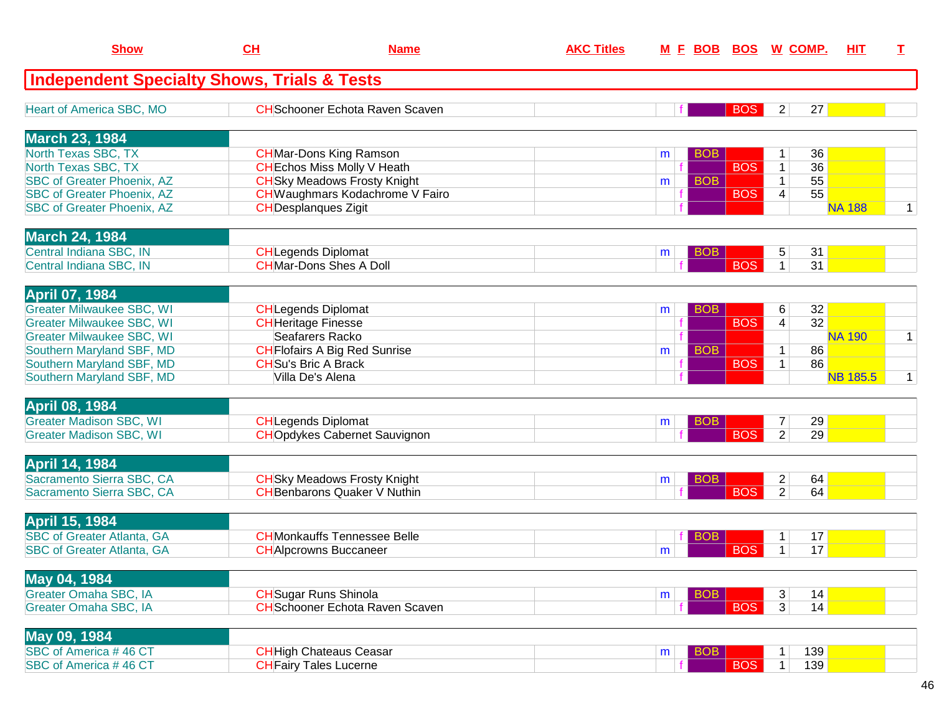| <b>Show</b>                                            | CH                          | <b>Name</b>                            | <b>AKC Titles</b> | <u>M E BOB BOS W COMP.</u> |            |                |                 | <b>HIT</b>      | T            |
|--------------------------------------------------------|-----------------------------|----------------------------------------|-------------------|----------------------------|------------|----------------|-----------------|-----------------|--------------|
| <b>Independent Specialty Shows, Trials &amp; Tests</b> |                             |                                        |                   |                            |            |                |                 |                 |              |
| Heart of America SBC, MO                               |                             | <b>CH</b> Schooner Echota Raven Scaven |                   |                            | <b>BOS</b> | $\mathbf{2}$   | 27              |                 |              |
| <b>March 23, 1984</b>                                  |                             |                                        |                   |                            |            |                |                 |                 |              |
| North Texas SBC, TX                                    |                             | <b>CH</b> Mar-Dons King Ramson         |                   | <b>BOB</b><br>m            |            | 1              | 36              |                 |              |
| North Texas SBC, TX                                    |                             | <b>CH</b> Echos Miss Molly V Heath     |                   |                            | <b>BOS</b> | $\mathbf{1}$   | 36              |                 |              |
| <b>SBC of Greater Phoenix, AZ</b>                      |                             | <b>CH</b> Sky Meadows Frosty Knight    |                   | <b>BOB</b><br>m            |            | $\mathbf{1}$   | 55              |                 |              |
| <b>SBC of Greater Phoenix, AZ</b>                      |                             | CH Waughmars Kodachrome V Fairo        |                   |                            | <b>BOS</b> | 4              | $\overline{55}$ |                 |              |
| <b>SBC of Greater Phoenix, AZ</b>                      | <b>CH</b> Desplangues Zigit |                                        |                   |                            |            |                |                 | <b>NA 188</b>   | $\mathbf 1$  |
| <b>March 24, 1984</b>                                  |                             |                                        |                   |                            |            |                |                 |                 |              |
| Central Indiana SBC, IN                                | <b>CH</b> Legends Diplomat  |                                        |                   | <b>BOB</b><br>m            |            | 5              | 31              |                 |              |
| Central Indiana SBC, IN                                |                             | <b>CHMar-Dons Shes A Doll</b>          |                   |                            | <b>BOS</b> | $\mathbf{1}$   | 31              |                 |              |
| <b>April 07, 1984</b>                                  |                             |                                        |                   |                            |            |                |                 |                 |              |
| <b>Greater Milwaukee SBC, WI</b>                       | <b>CHLegends Diplomat</b>   |                                        |                   | <b>BOB</b><br>m            |            | 6              | 32              |                 |              |
| <b>Greater Milwaukee SBC, WI</b>                       | <b>CH</b> Heritage Finesse  |                                        |                   |                            | <b>BOS</b> | 4              | $\overline{32}$ |                 |              |
| <b>Greater Milwaukee SBC, WI</b>                       |                             | Seafarers Racko                        |                   |                            |            |                |                 | <b>NA 190</b>   | $\mathbf{1}$ |
| Southern Maryland SBF, MD                              |                             | <b>CH</b> Flofairs A Big Red Sunrise   |                   | <b>BOB</b><br>m            |            | $\mathbf{1}$   | 86              |                 |              |
| Southern Maryland SBF, MD                              | <b>CH</b> Su's Bric A Brack |                                        |                   |                            | <b>BOS</b> | $\mathbf{1}$   | 86              |                 |              |
| Southern Maryland SBF, MD                              | Villa De's Alena            |                                        |                   |                            |            |                |                 | <b>NB 185.5</b> | $\mathbf 1$  |
| <b>April 08, 1984</b>                                  |                             |                                        |                   |                            |            |                |                 |                 |              |
| <b>Greater Madison SBC, WI</b>                         | <b>CH</b> Legends Diplomat  |                                        |                   | <b>BOB</b><br>m            |            | 7              | 29              |                 |              |
| <b>Greater Madison SBC, WI</b>                         |                             | <b>CHOpdykes Cabernet Sauvignon</b>    |                   |                            | <b>BOS</b> | $\overline{2}$ | 29              |                 |              |
| <b>April 14, 1984</b>                                  |                             |                                        |                   |                            |            |                |                 |                 |              |
| Sacramento Sierra SBC, CA                              |                             | <b>CH</b> Sky Meadows Frosty Knight    |                   | <b>BOB</b><br>m            |            | $\overline{c}$ | 64              |                 |              |
| Sacramento Sierra SBC, CA                              |                             | <b>CH</b> Benbarons Quaker V Nuthin    |                   |                            | <b>BOS</b> | $\overline{2}$ | 64              |                 |              |
| <b>April 15, 1984</b>                                  |                             |                                        |                   |                            |            |                |                 |                 |              |
| <b>SBC of Greater Atlanta, GA</b>                      |                             | <b>CHMonkauffs Tennessee Belle</b>     |                   | вов                        |            |                | 17              |                 |              |
| <b>SBC of Greater Atlanta, GA</b>                      |                             | <b>CH</b> Alpcrowns Buccaneer          |                   | m                          | <b>BOS</b> | $\mathbf 1$    | 17              |                 |              |
| May 04, 1984                                           |                             |                                        |                   |                            |            |                |                 |                 |              |
| Greater Omaha SBC, IA                                  |                             | <b>CH</b> Sugar Runs Shinola           |                   | <b>BOB</b><br>m            |            | 3              | 14              |                 |              |
| Greater Omaha SBC, IA                                  |                             | <b>CH</b> Schooner Echota Raven Scaven |                   |                            | <b>BOS</b> | $\overline{3}$ | 14              |                 |              |
| May 09, 1984                                           |                             |                                        |                   |                            |            |                |                 |                 |              |
| SBC of America #46 CT                                  |                             | <b>CH</b> High Chateaus Ceasar         |                   | <b>BOB</b><br>m            |            | 1              | 139             |                 |              |
| SBC of America #46 CT                                  |                             | <b>CH</b> Fairy Tales Lucerne          |                   |                            | <b>BOS</b> | 1 <sup>1</sup> | 139             |                 |              |
|                                                        |                             |                                        |                   |                            |            |                |                 |                 |              |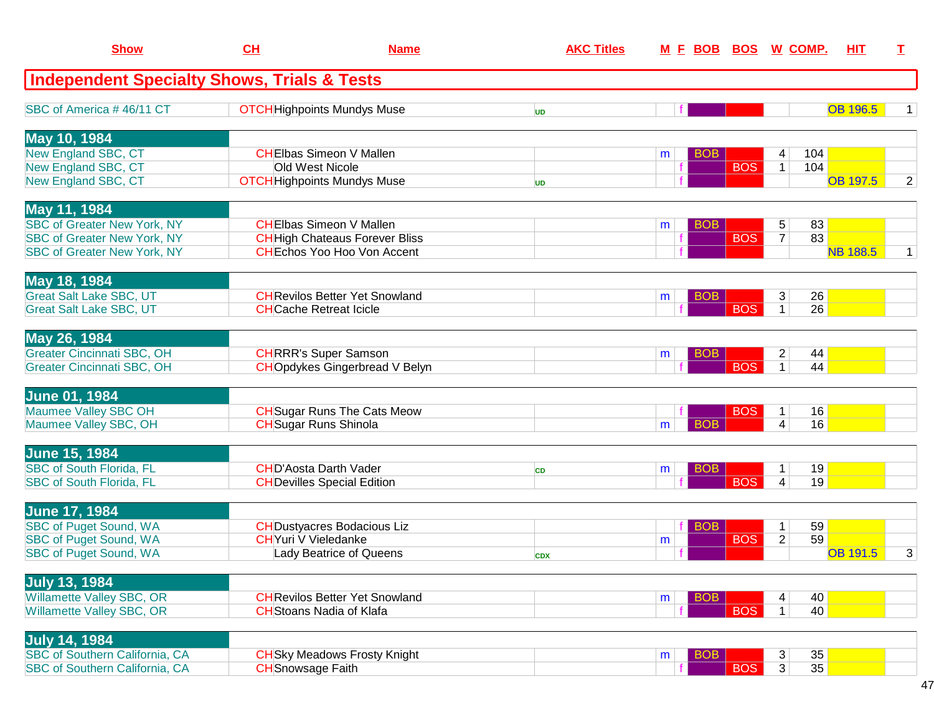| <b>Show</b>                                            | CH                         | <b>Name</b>                           |            | <b>AKC Titles</b> |   | <u>M E BOB BOS W COMP.</u> |            |                |                 | <b>HIT</b>      | T.             |
|--------------------------------------------------------|----------------------------|---------------------------------------|------------|-------------------|---|----------------------------|------------|----------------|-----------------|-----------------|----------------|
| <b>Independent Specialty Shows, Trials &amp; Tests</b> |                            |                                       |            |                   |   |                            |            |                |                 |                 |                |
| SBC of America #46/11 CT                               |                            | <b>OTCH</b> Highpoints Mundys Muse    | UD         |                   |   |                            |            |                |                 | <b>OB 196.5</b> | 1              |
| May 10, 1984                                           |                            |                                       |            |                   |   |                            |            |                |                 |                 |                |
| New England SBC, CT                                    |                            | <b>CHEIbas Simeon V Mallen</b>        |            |                   | m | <b>BOB</b>                 |            | 4              | 104             |                 |                |
| New England SBC, CT                                    |                            | Old West Nicole                       |            |                   |   |                            | <b>BOS</b> | $\mathbf{1}$   | 104             |                 |                |
| New England SBC, CT                                    |                            | <b>OTCH</b> Highpoints Mundys Muse    | <b>UD</b>  |                   |   |                            |            |                |                 | <b>OB 197.5</b> | $\overline{2}$ |
| May 11, 1984                                           |                            |                                       |            |                   |   |                            |            |                |                 |                 |                |
| <b>SBC of Greater New York, NY</b>                     |                            | <b>CHEIbas Simeon V Mallen</b>        |            |                   | m | <b>BOB</b>                 |            | 5              | 83              |                 |                |
| <b>SBC of Greater New York, NY</b>                     |                            | <b>CH</b> High Chateaus Forever Bliss |            |                   |   |                            | <b>BOS</b> | $\overline{7}$ | 83              |                 |                |
| <b>SBC of Greater New York, NY</b>                     |                            | <b>CHEchos Yoo Hoo Von Accent</b>     |            |                   |   |                            |            |                |                 | <b>NB 188.5</b> | 1              |
| May 18, 1984                                           |                            |                                       |            |                   |   |                            |            |                |                 |                 |                |
| <b>Great Salt Lake SBC, UT</b>                         |                            | <b>CH</b> Revilos Better Yet Snowland |            |                   | m | <b>BOB</b>                 |            | $\mathbf{3}$   | 26              |                 |                |
| <b>Great Salt Lake SBC, UT</b>                         |                            | <b>CHCache Retreat Icicle</b>         |            |                   |   |                            | <b>BOS</b> | $\mathbf{1}$   | $\overline{26}$ |                 |                |
| May 26, 1984                                           |                            |                                       |            |                   |   |                            |            |                |                 |                 |                |
| <b>Greater Cincinnati SBC, OH</b>                      |                            | <b>CHRRR's Super Samson</b>           |            |                   | m | <b>BOB</b>                 |            | $\overline{2}$ | 44              |                 |                |
| <b>Greater Cincinnati SBC, OH</b>                      |                            | <b>CHOpdykes Gingerbread V Belyn</b>  |            |                   |   |                            | <b>BOS</b> | $\mathbf{1}$   | 44              |                 |                |
| <b>June 01, 1984</b>                                   |                            |                                       |            |                   |   |                            |            |                |                 |                 |                |
| Maumee Valley SBC OH                                   |                            | <b>CH</b> Sugar Runs The Cats Meow    |            |                   |   |                            | <b>BOS</b> | $\mathbf{1}$   | 16              |                 |                |
| Maumee Valley SBC, OH                                  |                            | <b>CH</b> Sugar Runs Shinola          |            |                   | m | <b>BOB</b>                 |            | $\overline{4}$ | 16              |                 |                |
| <b>June 15, 1984</b>                                   |                            |                                       |            |                   |   |                            |            |                |                 |                 |                |
| <b>SBC of South Florida, FL</b>                        |                            | <b>CHD'Aosta Darth Vader</b>          | <b>CD</b>  |                   | m | <b>BOB</b>                 |            | 1              | 19              |                 |                |
| <b>SBC of South Florida, FL</b>                        |                            | <b>CH</b> Devilles Special Edition    |            |                   |   |                            | <b>BOS</b> | $\overline{4}$ | 19              |                 |                |
| <b>June 17, 1984</b>                                   |                            |                                       |            |                   |   |                            |            |                |                 |                 |                |
| <b>SBC of Puget Sound, WA</b>                          |                            | <b>CH</b> Dustyacres Bodacious Liz    |            |                   |   | <b>BOB</b>                 |            | $\mathbf 1$    | 59              |                 |                |
| <b>SBC of Puget Sound, WA</b>                          | <b>CHYuri V Vieledanke</b> |                                       |            |                   | m |                            | <b>BOS</b> | $\overline{2}$ | 59              |                 |                |
| <b>SBC of Puget Sound, WA</b>                          |                            | Lady Beatrice of Queens               | <b>CDX</b> |                   |   |                            |            |                |                 | <b>OB 191.5</b> | 3              |
| <b>July 13, 1984</b>                                   |                            |                                       |            |                   |   |                            |            |                |                 |                 |                |
| Willamette Valley SBC, OR                              |                            | <b>CH</b> Revilos Better Yet Snowland |            |                   | m | <b>BOB</b>                 |            | 4              | 40              |                 |                |
| Willamette Valley SBC, OR                              |                            | <b>CH</b> Stoans Nadia of Klafa       |            |                   |   |                            | <b>BOS</b> | 1 <sup>1</sup> | 40              |                 |                |
| July 14, 1984                                          |                            |                                       |            |                   |   |                            |            |                |                 |                 |                |
| SBC of Southern California, CA                         |                            | <b>CH</b> Sky Meadows Frosty Knight   |            |                   | m | <b>BOB</b>                 |            | 3              | 35              |                 |                |
| <b>SBC of Southern California, CA</b>                  | <b>CH</b> Snowsage Faith   |                                       |            |                   |   |                            | <b>BOS</b> | 3              | 35              |                 |                |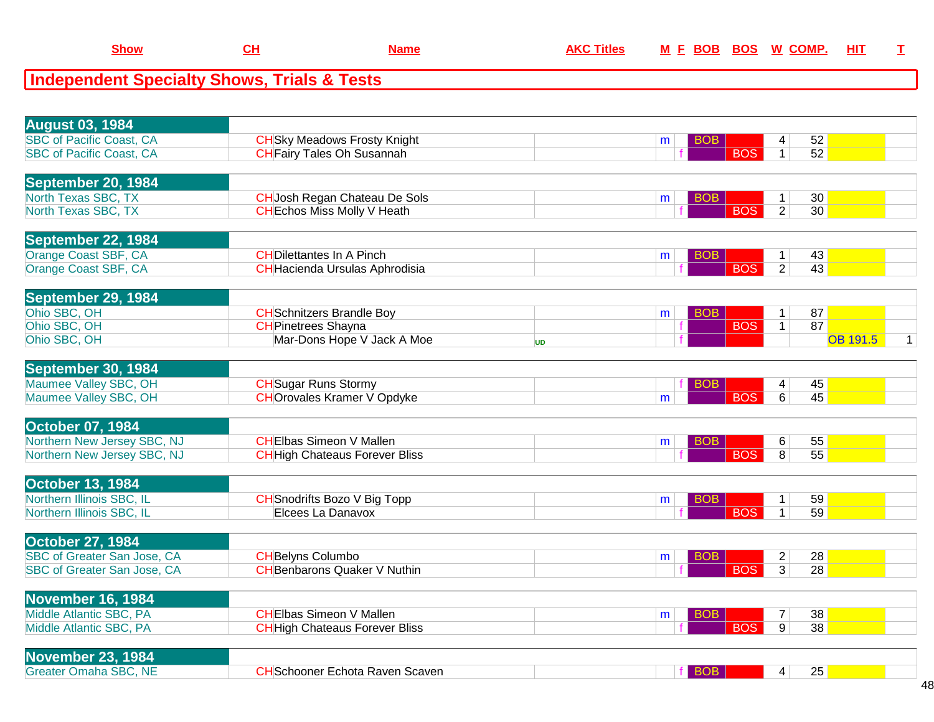| <b>August 03, 1984</b>          |                                        |           |                 |                |                 |              |
|---------------------------------|----------------------------------------|-----------|-----------------|----------------|-----------------|--------------|
| <b>SBC</b> of Pacific Coast, CA | <b>CH</b> Sky Meadows Frosty Knight    |           | BOB<br>m        | 4              | 52              |              |
| <b>SBC of Pacific Coast, CA</b> | <b>CH</b> Fairy Tales Oh Susannah      |           | <b>BOS</b>      | $\mathbf{1}$   | 52              |              |
|                                 |                                        |           |                 |                |                 |              |
| September 20, 1984              |                                        |           |                 |                |                 |              |
| North Texas SBC, TX             | <b>CH</b> Josh Regan Chateau De Sols   |           | BOB<br>m        | $\mathbf{1}$   | 30              |              |
| North Texas SBC, TX             | <b>CH</b> Echos Miss Molly V Heath     |           | <b>BOS</b>      | $\overline{2}$ | 30              |              |
|                                 |                                        |           |                 |                |                 |              |
| September 22, 1984              |                                        |           |                 |                |                 |              |
| Orange Coast SBF, CA            | <b>CHDilettantes In A Pinch</b>        |           | <b>BOB</b><br>m | $\mathbf{1}$   | 43              |              |
| Orange Coast SBF, CA            | <b>CH</b> Hacienda Ursulas Aphrodisia  |           | <b>BOS</b>      | $\overline{2}$ | 43              |              |
|                                 |                                        |           |                 |                |                 |              |
| September 29, 1984              |                                        |           |                 |                |                 |              |
| Ohio SBC, OH                    | <b>CH</b> Schnitzers Brandle Boy       |           | <b>BOB</b><br>m | $\mathbf{1}$   | 87              |              |
| Ohio SBC, OH                    | <b>CH</b> Pinetrees Shayna             |           | <b>BOS</b>      | 1 <sup>1</sup> | 87              |              |
| Ohio SBC, OH                    | Mar-Dons Hope V Jack A Moe             | <b>UD</b> |                 |                | <b>OB 191.5</b> | $\mathbf{1}$ |
|                                 |                                        |           |                 |                |                 |              |
| <b>September 30, 1984</b>       |                                        |           |                 |                |                 |              |
| Maumee Valley SBC, OH           | <b>CH</b> Sugar Runs Stormy            |           | <b>BOB</b>      | 4              | 45              |              |
| Maumee Valley SBC, OH           | <b>CHOrovales Kramer V Opdyke</b>      |           | <b>BOS</b><br>m | 6              | 45              |              |
|                                 |                                        |           |                 |                |                 |              |
| October 07, 1984                |                                        |           |                 |                |                 |              |
| Northern New Jersey SBC, NJ     | <b>CHEIbas Simeon V Mallen</b>         |           | BOB<br>m        | 6              | 55              |              |
| Northern New Jersey SBC, NJ     | <b>CH</b> High Chateaus Forever Bliss  |           | <b>BOS</b>      | 8              | $\overline{55}$ |              |
|                                 |                                        |           |                 |                |                 |              |
| <b>October 13, 1984</b>         |                                        |           |                 |                |                 |              |
| Northern Illinois SBC, IL       | <b>CH</b> Snodrifts Bozo V Big Topp    |           | BOB<br>m        | $1 \vert$      | 59              |              |
| Northern Illinois SBC, IL       | Elcees La Danavox                      |           | <b>BOS</b>      | $\mathbf{1}$   | 59              |              |
|                                 |                                        |           |                 |                |                 |              |
| <b>October 27, 1984</b>         |                                        |           |                 |                |                 |              |
| SBC of Greater San Jose, CA     | <b>CH</b> Belyns Columbo               |           | BOB<br>m        | $\overline{2}$ | 28              |              |
| SBC of Greater San Jose, CA     | <b>CH</b> Benbarons Quaker V Nuthin    |           | <b>BOS</b>      | $\overline{3}$ | 28              |              |
|                                 |                                        |           |                 |                |                 |              |
| November 16, 1984               |                                        |           |                 |                |                 |              |
| Middle Atlantic SBC, PA         | <b>CHEIbas Simeon V Mallen</b>         |           | BOB<br>m        | $\overline{7}$ | 38              |              |
| Middle Atlantic SBC, PA         | <b>CH</b> High Chateaus Forever Bliss  |           | <b>BOS</b>      | $\overline{9}$ | 38              |              |
|                                 |                                        |           |                 |                |                 |              |
| <b>November 23, 1984</b>        |                                        |           |                 |                |                 |              |
| <b>Greater Omaha SBC, NE</b>    | <b>CH</b> Schooner Echota Raven Scaven |           | BOB.            | 4              | 25              |              |
|                                 |                                        |           |                 |                |                 |              |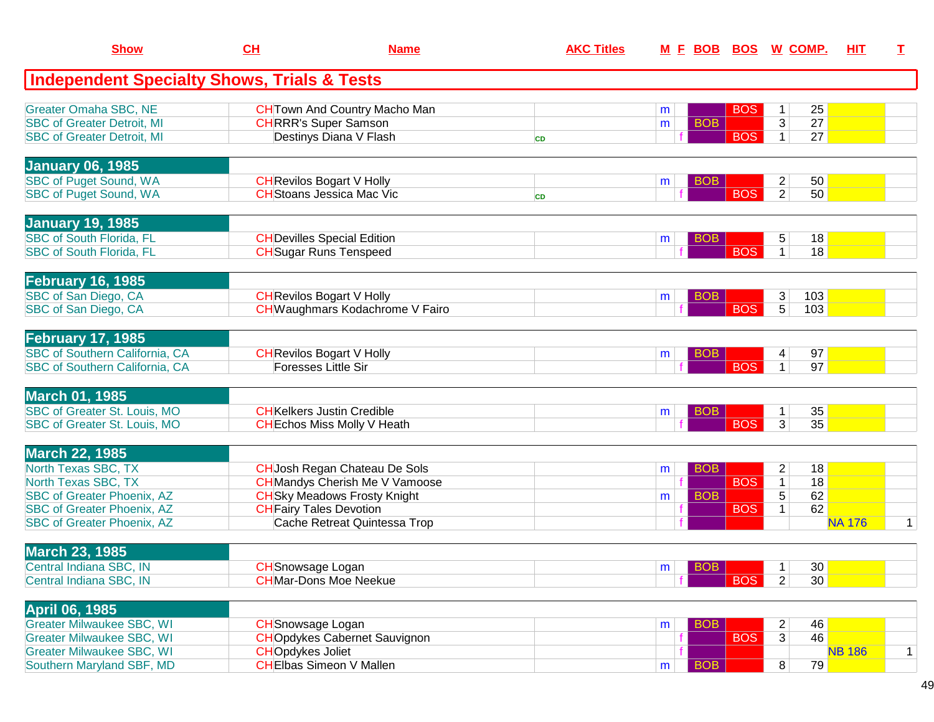| <b>Show</b>                                                                                                                                                                        | CH                                                  | <b>Name</b>                                                                                                                                                                     | <b>AKC Titles</b> |                                    |                          | <u>M E BOB BOS W COMP.</u>                                                               | HIT           | T.           |
|------------------------------------------------------------------------------------------------------------------------------------------------------------------------------------|-----------------------------------------------------|---------------------------------------------------------------------------------------------------------------------------------------------------------------------------------|-------------------|------------------------------------|--------------------------|------------------------------------------------------------------------------------------|---------------|--------------|
| <b>Independent Specialty Shows, Trials &amp; Tests</b>                                                                                                                             |                                                     |                                                                                                                                                                                 |                   |                                    |                          |                                                                                          |               |              |
| <b>Greater Omaha SBC, NE</b><br><b>SBC of Greater Detroit, MI</b><br><b>SBC of Greater Detroit, MI</b>                                                                             |                                                     | <b>CH</b> Town And Country Macho Man<br><b>CHRRR's Super Samson</b><br>Destinys Diana V Flash                                                                                   | <b>CD</b>         | m<br><b>BOB</b><br>m               | <b>BOS</b><br><b>BOS</b> | 25<br>1<br>$\overline{3}$<br>27<br>27<br>1 <sup>1</sup>                                  |               |              |
| <b>January 06, 1985</b><br><b>SBC of Puget Sound, WA</b><br><b>SBC of Puget Sound, WA</b>                                                                                          |                                                     | <b>CH</b> Revilos Bogart V Holly<br><b>CH</b> Stoans Jessica Mac Vic                                                                                                            | <b>CD</b>         | <b>BOB</b><br>m                    | <b>BOS</b>               | 50<br>$\overline{c}$<br>$\overline{2}$<br>50                                             |               |              |
| <b>January 19, 1985</b><br><b>SBC of South Florida, FL</b><br><b>SBC of South Florida, FL</b>                                                                                      |                                                     | <b>CH</b> Devilles Special Edition<br><b>CH</b> Sugar Runs Tenspeed                                                                                                             |                   | <b>BOB</b><br>m                    | <b>BOS</b>               | 5<br>18<br>$\mathbf{1}$<br>18                                                            |               |              |
| <b>February 16, 1985</b><br>SBC of San Diego, CA<br>SBC of San Diego, CA                                                                                                           |                                                     | <b>CH</b> Revilos Bogart V Holly<br>CH Waughmars Kodachrome V Fairo                                                                                                             |                   | <b>BOB</b><br>m                    | <b>BOS</b>               | 3<br>103<br>$\overline{5}$<br>103                                                        |               |              |
| <b>February 17, 1985</b><br><b>SBC of Southern California, CA</b><br><b>SBC of Southern California, CA</b>                                                                         |                                                     | <b>CH</b> Revilos Bogart V Holly<br>Foresses Little Sir                                                                                                                         |                   | <b>BOB</b><br>m                    | <b>BOS</b>               | 97<br>4<br>97<br>$\mathbf{1}$                                                            |               |              |
| <b>March 01, 1985</b><br>SBC of Greater St. Louis, MO<br>SBC of Greater St. Louis, MO                                                                                              |                                                     | <b>CH</b> Kelkers Justin Credible<br><b>CH</b> Echos Miss Molly V Heath                                                                                                         |                   | <b>BOB</b><br>m                    | <b>BOS</b>               | 35<br>$\mathbf{1}$<br>35<br>3                                                            |               |              |
| <b>March 22, 1985</b><br>North Texas SBC, TX<br>North Texas SBC, TX<br><b>SBC of Greater Phoenix, AZ</b><br><b>SBC of Greater Phoenix, AZ</b><br><b>SBC of Greater Phoenix, AZ</b> |                                                     | CH Josh Regan Chateau De Sols<br><b>CH</b> Mandys Cherish Me V Vamoose<br><b>CH</b> Sky Meadows Frosty Knight<br><b>CH</b> Fairy Tales Devotion<br>Cache Retreat Quintessa Trop |                   | <b>BOB</b><br>m<br><b>BOB</b><br>m | <b>BOS</b><br><b>BOS</b> | $\overline{c}$<br>18<br>$\mathbf{1}$<br>18<br>$\overline{5}$<br>62<br>62<br>$\mathbf{1}$ | <b>NA 176</b> | $\mathbf{1}$ |
| <b>March 23, 1985</b><br>Central Indiana SBC, IN<br>Central Indiana SBC, IN                                                                                                        | <b>CH</b> Snowsage Logan                            | <b>CHMar-Dons Moe Neekue</b>                                                                                                                                                    |                   | BOB<br>m                           | <b>BOS</b>               | 30<br>$\overline{1}$<br>$\overline{2}$<br>30                                             |               |              |
| <b>April 06, 1985</b><br><b>Greater Milwaukee SBC, WI</b><br><b>Greater Milwaukee SBC, WI</b><br><b>Greater Milwaukee SBC, WI</b><br>Southern Maryland SBF, MD                     | <b>CH</b> Snowsage Logan<br><b>CHOpdykes Joliet</b> | <b>CHO</b> pdykes Cabernet Sauvignon<br><b>CHEIbas Simeon V Mallen</b>                                                                                                          |                   | <b>BOB</b><br>m<br><b>BOB</b><br>m | <b>BOS</b>               | 46<br>$\overline{2}$<br>46<br>3<br>79<br>8 <sup>1</sup>                                  | <b>NB 186</b> | $\mathbf{1}$ |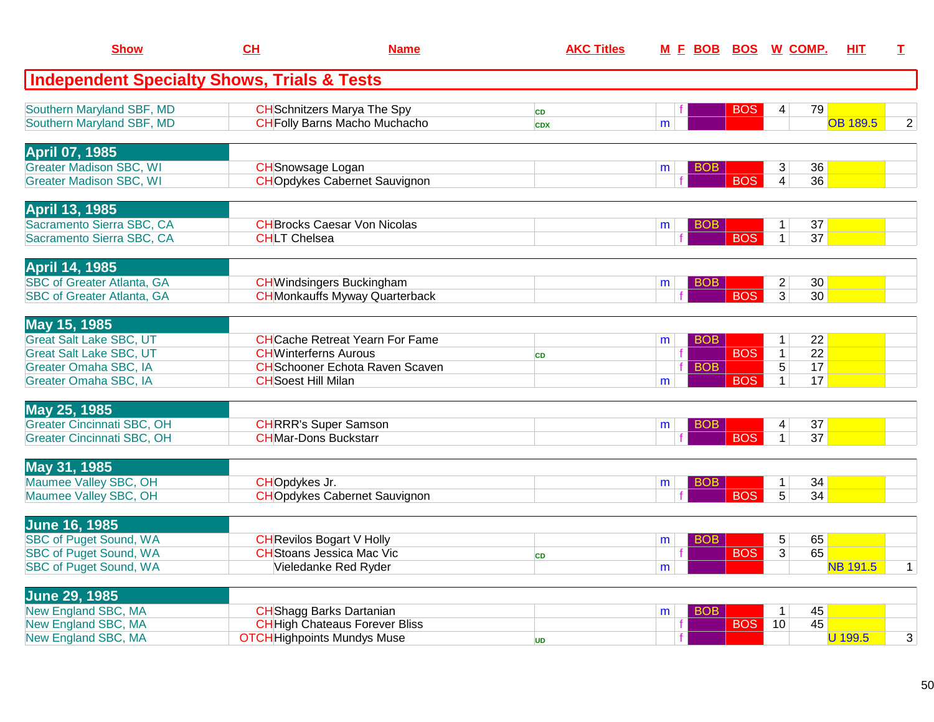| <b>Show</b>                                            | CH                                     | <b>Name</b> | <b>AKC Titles</b> |                 |            | M E BOB BOS W COMP.             | HIT.            | T.           |
|--------------------------------------------------------|----------------------------------------|-------------|-------------------|-----------------|------------|---------------------------------|-----------------|--------------|
| <b>Independent Specialty Shows, Trials &amp; Tests</b> |                                        |             |                   |                 |            |                                 |                 |              |
| Southern Maryland SBF, MD                              | <b>CH</b> Schnitzers Marya The Spy     |             | <b>CD</b>         |                 | <b>BOS</b> | 79<br>4                         |                 |              |
| Southern Maryland SBF, MD                              | <b>CH</b> Folly Barns Macho Muchacho   |             | <b>CDX</b>        | m               |            |                                 | <b>OB 189.5</b> | 2            |
| <b>April 07, 1985</b>                                  |                                        |             |                   |                 |            |                                 |                 |              |
| <b>Greater Madison SBC, WI</b>                         | <b>CH</b> Snowsage Logan               |             |                   | BOB.<br>m       |            | 36<br>3                         |                 |              |
| <b>Greater Madison SBC, WI</b>                         | <b>CHOpdykes Cabernet Sauvignon</b>    |             |                   |                 | <b>BOS</b> | $\overline{4}$<br>36            |                 |              |
| <b>April 13, 1985</b>                                  |                                        |             |                   |                 |            |                                 |                 |              |
| Sacramento Sierra SBC, CA                              | <b>CH</b> Brocks Caesar Von Nicolas    |             |                   | BOB<br>m        |            | 37<br>$\mathbf{1}$              |                 |              |
| Sacramento Sierra SBC, CA                              | <b>CHLT</b> Chelsea                    |             |                   |                 | <b>BOS</b> | 37<br>$\mathbf{1}$              |                 |              |
| <b>April 14, 1985</b>                                  |                                        |             |                   |                 |            |                                 |                 |              |
| <b>SBC of Greater Atlanta, GA</b>                      | <b>CH</b> Windsingers Buckingham       |             |                   | BOB.<br>m       |            | $\overline{2}$<br>30            |                 |              |
| <b>SBC of Greater Atlanta, GA</b>                      | <b>CH</b> Monkauffs Myway Quarterback  |             |                   |                 | <b>BOS</b> | 3<br>30 <sup>°</sup>            |                 |              |
| May 15, 1985                                           |                                        |             |                   |                 |            |                                 |                 |              |
| <b>Great Salt Lake SBC, UT</b>                         | <b>CHCache Retreat Yearn For Fame</b>  |             |                   | BOB<br>m        |            | 22<br>$\mathbf{1}$              |                 |              |
| <b>Great Salt Lake SBC, UT</b>                         | <b>CH</b> Winterferns Aurous           |             | <b>CD</b>         |                 | <b>BOS</b> | $\overline{22}$<br>$\mathbf{1}$ |                 |              |
| Greater Omaha SBC, IA                                  | <b>CH</b> Schooner Echota Raven Scaven |             |                   | <b>BOB</b>      |            | $\overline{5}$<br>17            |                 |              |
| Greater Omaha SBC, IA                                  | <b>CH</b> Soest Hill Milan             |             |                   | m               | <b>BOS</b> | $\overline{1}$<br>17            |                 |              |
| May 25, 1985                                           |                                        |             |                   |                 |            |                                 |                 |              |
| <b>Greater Cincinnati SBC, OH</b>                      | <b>CHRRR's Super Samson</b>            |             |                   | BOB<br>m        |            | 37<br>4                         |                 |              |
| <b>Greater Cincinnati SBC, OH</b>                      | <b>CHMar-Dons Buckstarr</b>            |             |                   |                 | <b>BOS</b> | $\mathbf{1}$<br>37              |                 |              |
| May 31, 1985                                           |                                        |             |                   |                 |            |                                 |                 |              |
| Maumee Valley SBC, OH                                  | CHOpdykes Jr.                          |             |                   | <b>BOB</b><br>m |            | 34<br>$\mathbf{1}$              |                 |              |
| Maumee Valley SBC, OH                                  | <b>CHOpdykes Cabernet Sauvignon</b>    |             |                   |                 | <b>BOS</b> | $\overline{5}$<br>34            |                 |              |
| <b>June 16, 1985</b>                                   |                                        |             |                   |                 |            |                                 |                 |              |
| <b>SBC of Puget Sound, WA</b>                          | <b>CH</b> Revilos Bogart V Holly       |             |                   | <b>BOB</b><br>m |            | 5<br>65                         |                 |              |
| <b>SBC of Puget Sound, WA</b>                          | <b>CH</b> Stoans Jessica Mac Vic       |             | <b>CD</b>         |                 | <b>BOS</b> | 65<br>$\overline{3}$            |                 |              |
| <b>SBC of Puget Sound, WA</b>                          | Vieledanke Red Ryder                   |             |                   | m               |            |                                 | <b>NB 191.5</b> | $\mathbf{1}$ |
| <b>June 29, 1985</b>                                   |                                        |             |                   |                 |            |                                 |                 |              |
| New England SBC, MA                                    | <b>CH</b> Shagg Barks Dartanian        |             |                   | BOB<br>m        |            | 45<br>$\overline{1}$            |                 |              |
| New England SBC, MA                                    | <b>CH</b> High Chateaus Forever Bliss  |             |                   |                 | <b>BOS</b> | 45<br>10                        |                 |              |
| New England SBC, MA                                    | <b>OTCH</b> Highpoints Mundys Muse     |             | <b>UD</b>         |                 |            |                                 | U 199.5         | 3            |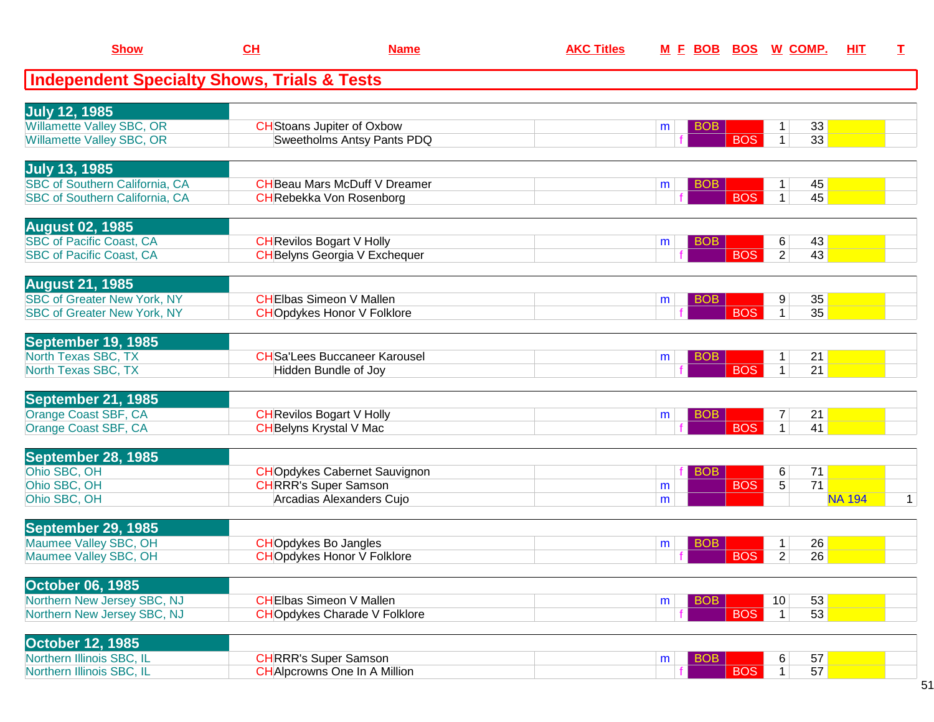| <b>Show</b>                                                | <u>CH</u> | <b>Name</b>                                                      | <b>AKC Titles</b> |   | <u>M F BOB BOS</u>       | <u>W_COMP.</u>      |                       | <u>ніт</u>    | т |
|------------------------------------------------------------|-----------|------------------------------------------------------------------|-------------------|---|--------------------------|---------------------|-----------------------|---------------|---|
| <b>Independent Specialty Shows, Trials &amp; Tests</b>     |           |                                                                  |                   |   |                          |                     |                       |               |   |
| <b>July 12, 1985</b>                                       |           |                                                                  |                   |   |                          |                     |                       |               |   |
| <b>Willamette Valley SBC, OR</b>                           |           | <b>CH</b> Stoans Jupiter of Oxbow                                |                   | m | <b>BOB</b>               | 1                   | 33                    |               |   |
| Willamette Valley SBC, OR                                  |           | Sweetholms Antsy Pants PDQ                                       |                   |   | <b>BOS</b>               | $\mathbf{1}$        | 33                    |               |   |
| <b>July 13, 1985</b>                                       |           |                                                                  |                   |   |                          |                     |                       |               |   |
| <b>SBC of Southern California, CA</b>                      |           | <b>CH</b> Beau Mars McDuff V Dreamer                             |                   | m | <b>BOB</b>               | $\mathbf{1}$        | 45                    |               |   |
| <b>SBC of Southern California, CA</b>                      |           | <b>CH</b> Rebekka Von Rosenborg                                  |                   |   | <b>BOS</b>               | $\mathbf 1$         | 45                    |               |   |
| <b>August 02, 1985</b>                                     |           |                                                                  |                   |   |                          |                     |                       |               |   |
| <b>SBC of Pacific Coast, CA</b>                            |           | <b>CH</b> Revilos Bogart V Holly                                 |                   | m | <b>BOB</b>               | 6                   | 43                    |               |   |
| <b>SBC of Pacific Coast, CA</b>                            |           | <b>CH</b> Belyns Georgia V Exchequer                             |                   |   | <b>BOS</b>               | $\overline{2}$      | 43                    |               |   |
| <b>August 21, 1985</b>                                     |           |                                                                  |                   |   |                          |                     |                       |               |   |
| <b>SBC of Greater New York, NY</b>                         |           | <b>CHEIbas Simeon V Mallen</b>                                   |                   | m | <b>BOB</b>               | 9                   | 35                    |               |   |
| <b>SBC of Greater New York, NY</b>                         |           | <b>CHOpdykes Honor V Folklore</b>                                |                   |   | <b>BOS</b>               | $\mathbf{1}$        | 35                    |               |   |
| September 19, 1985                                         |           |                                                                  |                   |   |                          |                     |                       |               |   |
| North Texas SBC, TX                                        |           | <b>CH</b> Sa'Lees Buccaneer Karousel                             |                   | m | <b>BOB</b>               | $\mathbf{1}$        | 21                    |               |   |
| North Texas SBC, TX                                        |           | Hidden Bundle of Joy                                             |                   |   | <b>BOS</b>               | $\mathbf{1}$        | 21                    |               |   |
| September 21, 1985                                         |           |                                                                  |                   |   |                          |                     |                       |               |   |
| Orange Coast SBF, CA                                       |           | <b>CH</b> Revilos Bogart V Holly                                 |                   | m | <b>BOB</b>               | $\boldsymbol{7}$    | 21                    |               |   |
| Orange Coast SBF, CA                                       |           | <b>CH</b> Belyns Krystal V Mac                                   |                   |   | <b>BOS</b>               | $\mathbf{1}$        | 41                    |               |   |
| September 28, 1985                                         |           |                                                                  |                   |   |                          |                     |                       |               |   |
| Ohio SBC, OH                                               |           | <b>CHO</b> pdykes Cabernet Sauvignon                             |                   |   | <b>BOB</b>               | 6                   | 71                    |               |   |
| Ohio SBC, OH<br>Ohio SBC, OH                               |           | <b>CHRRR's Super Samson</b><br>Arcadias Alexanders Cujo          |                   | m | <b>BOS</b>               | 5                   | 71                    | <b>NA 194</b> | 1 |
|                                                            |           |                                                                  |                   | m |                          |                     |                       |               |   |
| September 29, 1985                                         |           |                                                                  |                   |   |                          |                     |                       |               |   |
| Maumee Valley SBC, OH<br>Maumee Valley SBC, OH             |           | <b>CHOpdykes Bo Jangles</b><br><b>CHOpdykes Honor V Folklore</b> |                   | m | <b>BOB</b><br><b>BOS</b> | 1<br>$\overline{2}$ | 26<br>$\overline{26}$ |               |   |
|                                                            |           |                                                                  |                   |   |                          |                     |                       |               |   |
| <b>October 06, 1985</b>                                    |           |                                                                  |                   |   |                          |                     |                       |               |   |
| Northern New Jersey SBC, NJ<br>Northern New Jersey SBC, NJ |           | <b>CHEIbas Simeon V Mallen</b>                                   |                   | m | <b>BOB</b><br><b>BOS</b> | 10                  | 53<br>53              |               |   |
|                                                            |           | <b>CHOpdykes Charade V Folklore</b>                              |                   |   |                          | $\mathbf{1}$        |                       |               |   |
| <b>October 12, 1985</b>                                    |           |                                                                  |                   |   |                          |                     |                       |               |   |
| Northern Illinois SBC, IL                                  |           | <b>CHRRR's Super Samson</b>                                      |                   | m | <b>BOB</b><br><b>BOS</b> | 6<br>$\mathbf{1}$   | 57<br>57              |               |   |
| Northern Illinois SBC, IL                                  |           | <b>CH</b> Alpcrowns One In A Million                             |                   |   |                          |                     |                       |               |   |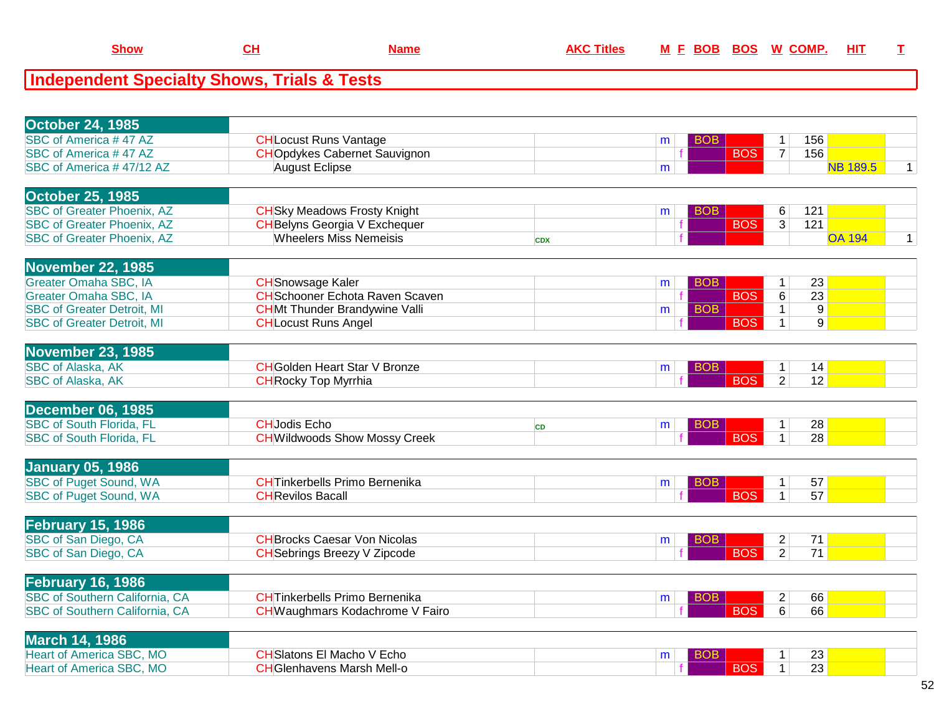| <b>October 24, 1985</b>                                           |                                        |            |   |            |                                                         |                 |                 |              |
|-------------------------------------------------------------------|----------------------------------------|------------|---|------------|---------------------------------------------------------|-----------------|-----------------|--------------|
| SBC of America #47 AZ                                             | <b>CH</b> Locust Runs Vantage          |            | m | <b>BOB</b> | 1                                                       | 156             |                 |              |
| SBC of America #47 AZ                                             | <b>CHO</b> pdykes Cabernet Sauvignon   |            |   |            | <b>BOS</b><br>$\overline{7}$                            | 156             |                 |              |
| SBC of America #47/12 AZ                                          | <b>August Eclipse</b>                  |            | m |            |                                                         |                 | <b>NB 189.5</b> | $\mathbf{1}$ |
| <b>October 25, 1985</b>                                           |                                        |            |   |            |                                                         |                 |                 |              |
| <b>SBC of Greater Phoenix, AZ</b>                                 | <b>CH</b> Sky Meadows Frosty Knight    |            | m | <b>BOB</b> | 6                                                       | 121             |                 |              |
| <b>SBC of Greater Phoenix, AZ</b>                                 | <b>CH</b> Belyns Georgia V Exchequer   |            |   |            | <b>BOS</b><br>3                                         | 121             |                 |              |
| <b>SBC of Greater Phoenix, AZ</b>                                 | <b>Wheelers Miss Nemeisis</b>          | <b>CDX</b> |   |            |                                                         |                 | <b>OA 194</b>   | $\mathbf{1}$ |
|                                                                   |                                        |            |   |            |                                                         |                 |                 |              |
| <b>November 22, 1985</b>                                          |                                        |            |   |            |                                                         |                 |                 |              |
| Greater Omaha SBC, IA                                             | <b>CH</b> Snowsage Kaler               |            | m | <b>BOB</b> | 1                                                       | 23              |                 |              |
| <b>Greater Omaha SBC, IA</b>                                      | <b>CH</b> Schooner Echota Raven Scaven |            |   |            | $\overline{6}$<br><b>BOS</b>                            | 23              |                 |              |
| <b>SBC of Greater Detroit, MI</b>                                 | <b>CHMt Thunder Brandywine Valli</b>   |            | m | <b>BOB</b> | 1                                                       | 9               |                 |              |
| <b>SBC of Greater Detroit, MI</b>                                 | <b>CH</b> Locust Runs Angel            |            |   |            | <b>BOS</b><br>$\mathbf{1}$                              | 9               |                 |              |
| <b>November 23, 1985</b>                                          |                                        |            |   |            |                                                         |                 |                 |              |
| <b>SBC of Alaska, AK</b>                                          | <b>CH</b> Golden Heart Star V Bronze   |            | m | <b>BOB</b> | 1                                                       | 14              |                 |              |
| <b>SBC of Alaska, AK</b>                                          | <b>CH</b> Rocky Top Myrrhia            |            |   |            | <b>BOS</b><br>$\overline{2}$                            | $\overline{12}$ |                 |              |
|                                                                   |                                        |            |   |            |                                                         |                 |                 |              |
| December 06, 1985                                                 |                                        |            |   |            |                                                         |                 |                 |              |
| <b>SBC of South Florida, FL</b>                                   | <b>CHJodis Echo</b>                    | <b>CD</b>  | m | <b>BOB</b> | 1                                                       | 28              |                 |              |
| <b>SBC of South Florida, FL</b>                                   | <b>CH</b> Wildwoods Show Mossy Creek   |            |   |            | <b>BOS</b><br>$\mathbf{1}$                              | 28              |                 |              |
| <b>January 05, 1986</b>                                           |                                        |            |   |            |                                                         |                 |                 |              |
| <b>SBC of Puget Sound, WA</b>                                     | <b>CHTinkerbells Primo Bernenika</b>   |            | m | BOB        | 1                                                       | 57              |                 |              |
| <b>SBC of Puget Sound, WA</b>                                     | <b>CH</b> Revilos Bacall               |            |   |            | <b>BOS</b><br>$\mathbf{1}$                              | 57              |                 |              |
|                                                                   |                                        |            |   |            |                                                         |                 |                 |              |
| <b>February 15, 1986</b>                                          |                                        |            |   |            |                                                         |                 |                 |              |
| SBC of San Diego, CA                                              | <b>CH</b> Brocks Caesar Von Nicolas    |            | m | BOB.       | $\overline{c}$                                          | 71              |                 |              |
| SBC of San Diego, CA                                              | <b>CH</b> Sebrings Breezy V Zipcode    |            |   |            | <b>BOS</b><br>$\overline{2}$                            | $\overline{71}$ |                 |              |
|                                                                   |                                        |            |   |            |                                                         |                 |                 |              |
| <b>February 16, 1986</b><br><b>SBC of Southern California, CA</b> |                                        |            |   |            |                                                         |                 |                 |              |
|                                                                   | <b>CHTinkerbells Primo Bernenika</b>   |            | m | <b>BOB</b> | $\overline{\mathbf{c}}$<br><b>BOS</b><br>$\overline{6}$ | 66<br>66        |                 |              |
| <b>SBC of Southern California, CA</b>                             | CH Waughmars Kodachrome V Fairo        |            |   |            |                                                         |                 |                 |              |
| <b>March 14, 1986</b>                                             |                                        |            |   |            |                                                         |                 |                 |              |
| <b>Heart of America SBC, MO</b>                                   | <b>CH</b> Slatons El Macho V Echo      |            | m | <b>BOB</b> | 1                                                       | 23              |                 |              |
| <b>Heart of America SBC, MO</b>                                   | <b>CH</b> Glenhavens Marsh Mell-o      |            |   |            | <b>BOS</b><br>$\mathbf{1}$                              | 23              |                 |              |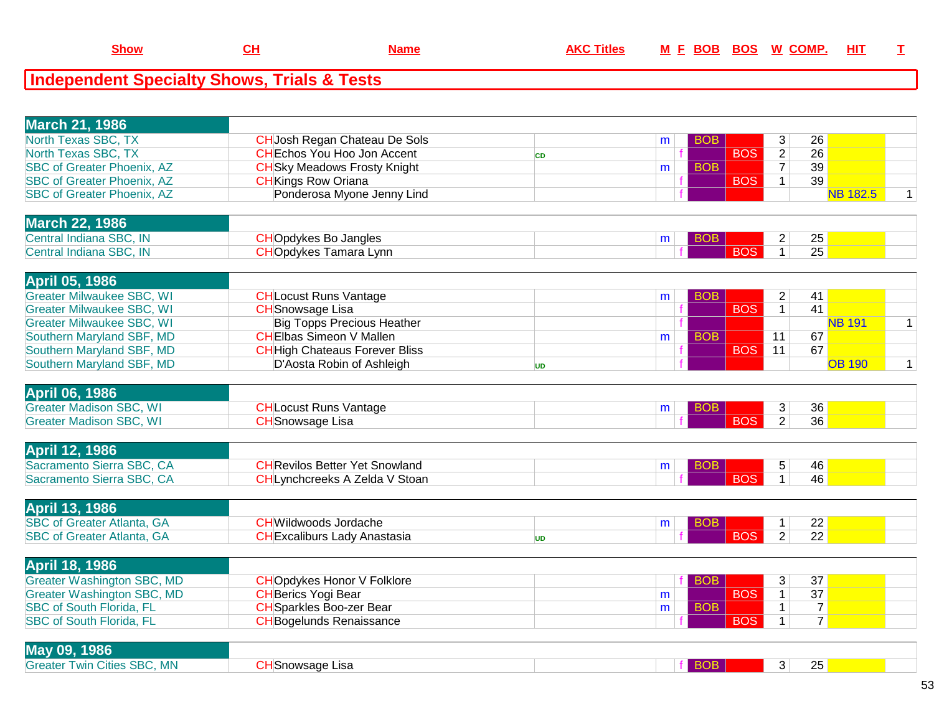| <b>March 21, 1986</b>             |                                      |   |            |    |                 |  |
|-----------------------------------|--------------------------------------|---|------------|----|-----------------|--|
| North Texas SBC, TX               | <b>CH</b> Josh Regan Chateau De Sols | m |            | 26 |                 |  |
| North Texas SBC, TX               | <b>CHEchos You Hoo Jon Accent</b>    |   | <b>BOS</b> | 26 |                 |  |
| <b>SBC of Greater Phoenix, AZ</b> | <b>CH</b> Sky Meadows Frosty Knight  | m |            | 39 |                 |  |
| <b>SBC of Greater Phoenix, AZ</b> | <b>CH</b> Kings Row Oriana           |   | <b>BOS</b> | 39 |                 |  |
| <b>SBC of Greater Phoenix, AZ</b> | Ponderosa Myone Jenny Lind           |   |            |    | <b>NB 182.5</b> |  |
|                                   |                                      |   |            |    |                 |  |
| March 22, 1986                    |                                      |   |            |    |                 |  |

| $\blacksquare$                                  |                          |  |                |  |
|-------------------------------------------------|--------------------------|--|----------------|--|
| $\mathsf{IN}$<br>Central<br>lindiana k<br>ג טמר | 'Jpdvkes Bo Jangles I    |  | $\Omega$<br>∠ວ |  |
| IN<br>Central<br>⊡ ndiana                       | Tamara Lynn<br>. pdvkes' |  | 25             |  |
|                                                 |                          |  |                |  |

| <b>April 05, 1986</b>            |                                       |    |                |            |            |     |               |  |
|----------------------------------|---------------------------------------|----|----------------|------------|------------|-----|---------------|--|
| Greater Milwaukee SBC, WI        | <b>CHLocust Runs Vantage</b>          |    | m <sub>1</sub> | <b>BOB</b> |            | -41 |               |  |
| <b>Greater Milwaukee SBC, WI</b> | <b>CH</b> Snowsage Lisa               |    |                |            | <b>BOS</b> | 41  |               |  |
| <b>Greater Milwaukee SBC, WI</b> | <b>Big Topps Precious Heather</b>     |    |                |            |            |     | <b>NB 191</b> |  |
| Southern Maryland SBF, MD        | CHElbas Simeon V Mallen               |    | m              |            |            | 67  |               |  |
| Southern Maryland SBF, MD        | <b>CH</b> High Chateaus Forever Bliss |    |                |            | <b>BOS</b> | 67  |               |  |
| Southern Maryland SBF, MD        | D'Aosta Robin of Ashleigh             | UD |                |            |            |     | <b>OB 190</b> |  |
|                                  |                                       |    |                |            |            |     |               |  |

| <b>April 06, 1986</b>          |                             |  |     |    |  |
|--------------------------------|-----------------------------|--|-----|----|--|
| <b>Greater Madison SBC, WI</b> | Locust Runs Vantage         |  |     | 36 |  |
| <b>Greater Madison SBC, WI</b> | <del>-</del> ISnowsaɑe Lisa |  | R∪G | 36 |  |
|                                |                             |  |     |    |  |

| <b>April 12, 1986</b>     |                                       |  |  |    |  |
|---------------------------|---------------------------------------|--|--|----|--|
| Sacramento Sierra SBC, CA | <b>CH</b> Revilos Better Yet Snowland |  |  | 46 |  |
| Sacramento Sierra SBC, CA | Lynchcreeks A Zelda V Stoan           |  |  | 46 |  |
|                           |                                       |  |  |    |  |

| <b>April 13, 1986</b>                  |                                 |  |  |          |  |
|----------------------------------------|---------------------------------|--|--|----------|--|
| <b>SBC of Greater Atlanta, GA</b>      | <del>.</del> Wildwoods Jordache |  |  | ററ<br>∠∠ |  |
| <b>SBC of Greater Atlanta, '</b><br>GA | HExcaliburs Lady Anastasia      |  |  | ററ<br>∠∠ |  |
|                                        |                                 |  |  |          |  |

| April 18, 1986                  |                                    |                |            |    |  |
|---------------------------------|------------------------------------|----------------|------------|----|--|
| Greater Washington SBC, MD      | <b>CHO</b> pdykes Honor V Folklore |                |            | 37 |  |
| Greater Washington SBC, MD      | <b>CHBerics Yogi Bear</b>          | m <sub>1</sub> | <b>BOS</b> | 37 |  |
| <b>SBC of South Florida, FL</b> | <b>CH</b> Sparkles Boo-zer Bear    | m              |            |    |  |
| <b>SBC of South Florida, FL</b> | <b>CHBogelunds Renaissance</b>     |                | <b>BOS</b> |    |  |

| $\sim$ $\sim$ $\sim$<br><b>May</b><br>1986                              |                    |  |                |  |
|-------------------------------------------------------------------------|--------------------|--|----------------|--|
| <b>MN</b><br><b>SBC</b><br>Greate <sup>®</sup><br><b>Twin</b><br>Cities | ⊧ Lısa<br>Snowsage |  | $\Omega$<br>∠∪ |  |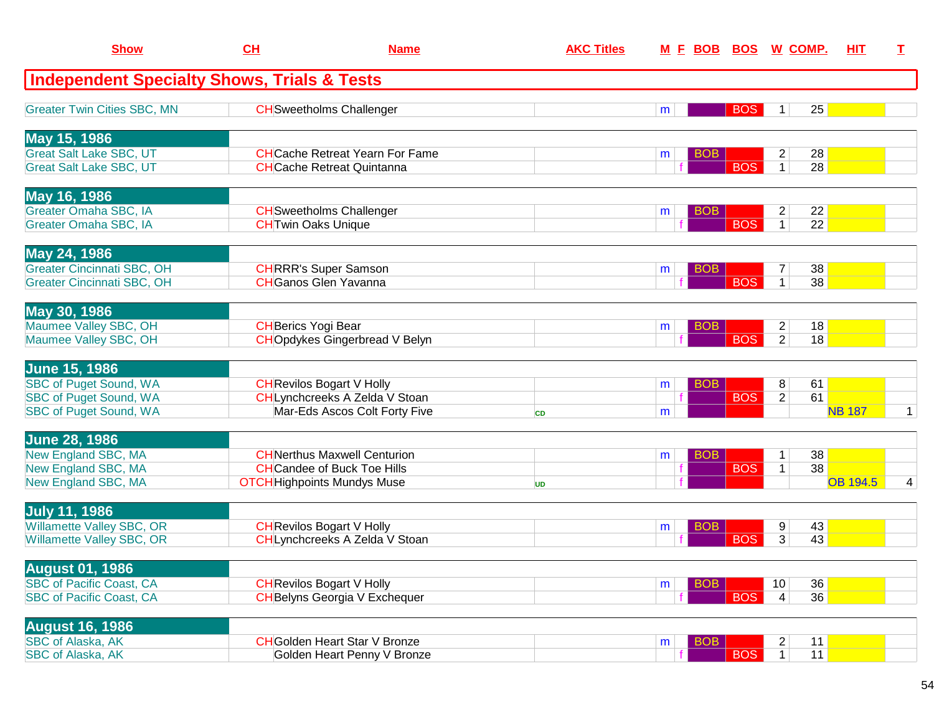| <b>Show</b>                                            | CH                         | <b>Name</b>                            | <b>AKC Titles</b> | <u>M F BOB</u>  | <b>BOS</b> | <u>W COMP.</u>                  | HIT             | T.           |
|--------------------------------------------------------|----------------------------|----------------------------------------|-------------------|-----------------|------------|---------------------------------|-----------------|--------------|
| <b>Independent Specialty Shows, Trials &amp; Tests</b> |                            |                                        |                   |                 |            |                                 |                 |              |
| <b>Greater Twin Cities SBC, MN</b>                     |                            | <b>CH</b> Sweetholms Challenger        |                   | m               | <b>BOS</b> | 25<br>1                         |                 |              |
| May 15, 1986                                           |                            |                                        |                   |                 |            |                                 |                 |              |
| <b>Great Salt Lake SBC, UT</b>                         |                            | <b>CH</b> Cache Retreat Yearn For Fame |                   | <b>BOB</b><br>m |            | 28<br>$\overline{c}$            |                 |              |
| <b>Great Salt Lake SBC, UT</b>                         |                            | <b>CH</b> Cache Retreat Quintanna      |                   |                 | <b>BOS</b> | 28<br>$\mathbf{1}$              |                 |              |
| May 16, 1986                                           |                            |                                        |                   |                 |            |                                 |                 |              |
| <b>Greater Omaha SBC, IA</b>                           |                            | <b>CH</b> Sweetholms Challenger        |                   | <b>BOB</b><br>m |            | 22<br>$\overline{c}$            |                 |              |
| Greater Omaha SBC, IA                                  | <b>CHTwin Oaks Unique</b>  |                                        |                   |                 | <b>BOS</b> | $\overline{22}$<br>$\mathbf{1}$ |                 |              |
| May 24, 1986                                           |                            |                                        |                   |                 |            |                                 |                 |              |
| <b>Greater Cincinnati SBC, OH</b>                      |                            | <b>CHRRR's Super Samson</b>            |                   | <b>BOB</b><br>m |            | 38<br>7                         |                 |              |
| Greater Cincinnati SBC, OH                             |                            | <b>CH</b> Ganos Glen Yavanna           |                   |                 | <b>BOS</b> | 38<br>$\mathbf 1$               |                 |              |
| May 30, 1986                                           |                            |                                        |                   |                 |            |                                 |                 |              |
| Maumee Valley SBC, OH                                  | <b>CH</b> Berics Yogi Bear |                                        |                   | BOB<br>m        |            | $\overline{2}$<br>18            |                 |              |
| Maumee Valley SBC, OH                                  |                            | <b>CHOpdykes Gingerbread V Belyn</b>   |                   |                 | <b>BOS</b> | $\overline{2}$<br>18            |                 |              |
| <b>June 15, 1986</b>                                   |                            |                                        |                   |                 |            |                                 |                 |              |
| <b>SBC of Puget Sound, WA</b>                          |                            | <b>CH</b> Revilos Bogart V Holly       |                   | <b>BOB</b><br>m |            | 8<br>61                         |                 |              |
| <b>SBC of Puget Sound, WA</b>                          |                            | CHLynchcreeks A Zelda V Stoan          |                   |                 | <b>BOS</b> | 61<br>$\overline{2}$            |                 |              |
| <b>SBC of Puget Sound, WA</b>                          |                            | Mar-Eds Ascos Colt Forty Five          | <b>CD</b>         | m               |            |                                 | <b>NB 187</b>   | $\mathbf{1}$ |
| <b>June 28, 1986</b>                                   |                            |                                        |                   |                 |            |                                 |                 |              |
| New England SBC, MA                                    |                            | <b>CH</b> Nerthus Maxwell Centurion    |                   | <b>BOB</b><br>m |            | 38<br>1                         |                 |              |
| New England SBC, MA                                    |                            | <b>CH</b> Candee of Buck Toe Hills     |                   |                 | <b>BOS</b> | 38<br>$\mathbf{1}$              |                 |              |
| New England SBC, MA                                    |                            | <b>OTCH</b> Highpoints Mundys Muse     | <b>UD</b>         |                 |            |                                 | <b>OB 194.5</b> | 4            |
| <b>July 11, 1986</b>                                   |                            |                                        |                   |                 |            |                                 |                 |              |
| Willamette Valley SBC, OR                              |                            | <b>CH</b> Revilos Bogart V Holly       |                   | BOB<br>m        |            | 43<br>9                         |                 |              |
| <b>Willamette Valley SBC, OR</b>                       |                            | CHLynchcreeks A Zelda V Stoan          |                   |                 | <b>BOS</b> | 3<br>43                         |                 |              |
| <b>August 01, 1986</b>                                 |                            |                                        |                   |                 |            |                                 |                 |              |
| <b>SBC of Pacific Coast, CA</b>                        |                            | <b>CH</b> Revilos Bogart V Holly       |                   | <b>BOB</b><br>m |            | 36<br>10 <sup>°</sup>           |                 |              |
| <b>SBC of Pacific Coast, CA</b>                        |                            | <b>CH</b> Belyns Georgia V Exchequer   |                   |                 | <b>BOS</b> | 36<br>$\overline{4}$            |                 |              |
| <b>August 16, 1986</b>                                 |                            |                                        |                   |                 |            |                                 |                 |              |
| <b>SBC of Alaska, AK</b>                               |                            | <b>CH</b> Golden Heart Star V Bronze   |                   | <b>BOB</b><br>m |            | $\overline{2}$<br>11            |                 |              |
| <b>SBC of Alaska, AK</b>                               |                            | Golden Heart Penny V Bronze            |                   |                 | <b>BOS</b> | $\overline{1}$<br>11            |                 |              |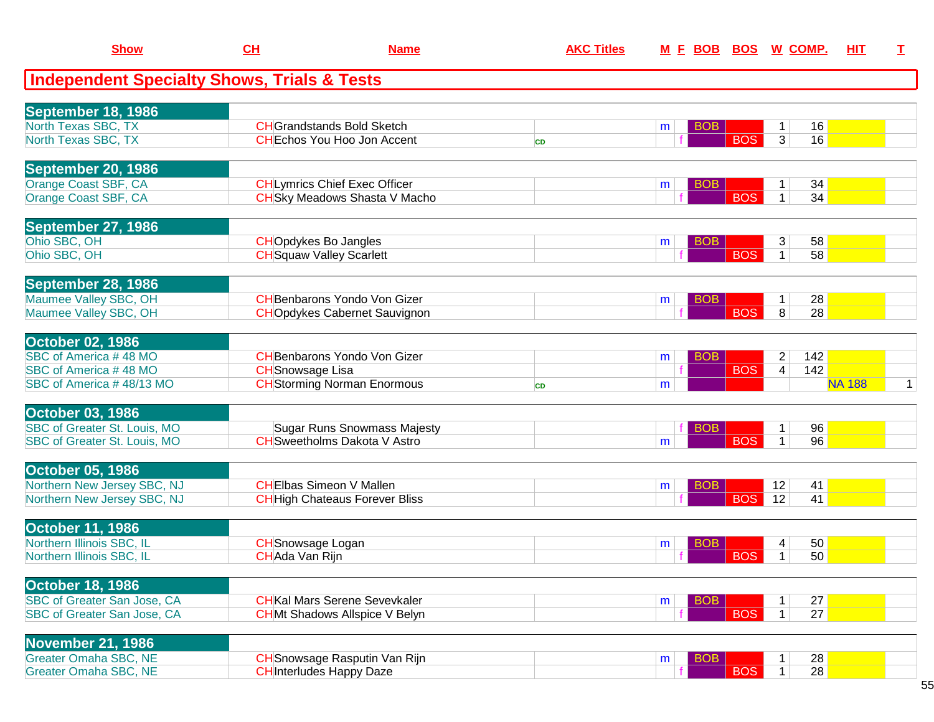| <b>Show</b>                                            | CH                       | <b>Name</b>                           | <b>AKC Titles</b> |                 |            | M E BOB BOS W COMP.            | <b>HIT</b>    | I.           |
|--------------------------------------------------------|--------------------------|---------------------------------------|-------------------|-----------------|------------|--------------------------------|---------------|--------------|
| <b>Independent Specialty Shows, Trials &amp; Tests</b> |                          |                                       |                   |                 |            |                                |               |              |
| <b>September 18, 1986</b>                              |                          |                                       |                   |                 |            |                                |               |              |
| <b>North Texas SBC, TX</b>                             |                          | <b>CH</b> Grandstands Bold Sketch     |                   | BOB<br>m        |            | 16<br>$\mathbf 1$              |               |              |
| North Texas SBC, TX                                    |                          | <b>CHEchos You Hoo Jon Accent</b>     | <b>CD</b>         |                 | <b>BOS</b> | $\overline{3}$<br>16           |               |              |
| <b>September 20, 1986</b>                              |                          |                                       |                   |                 |            |                                |               |              |
| Orange Coast SBF, CA                                   |                          | <b>CHLymrics Chief Exec Officer</b>   |                   | <b>BOB</b><br>m |            | 34<br>1                        |               |              |
| Orange Coast SBF, CA                                   |                          | <b>CH</b> Sky Meadows Shasta V Macho  |                   |                 | <b>BOS</b> | 34<br>$\mathbf{1}$             |               |              |
| September 27, 1986                                     |                          |                                       |                   |                 |            |                                |               |              |
| Ohio SBC, OH                                           |                          | <b>CHO</b> pdykes Bo Jangles          |                   | <b>BOB</b><br>m |            | 58<br>3                        |               |              |
| Ohio SBC, OH                                           |                          | <b>CH</b> Squaw Valley Scarlett       |                   |                 | <b>BOS</b> | $\mathbf{1}$<br>58             |               |              |
| September 28, 1986                                     |                          |                                       |                   |                 |            |                                |               |              |
| Maumee Valley SBC, OH                                  |                          | <b>CH</b> Benbarons Yondo Von Gizer   |                   | <b>BOB</b><br>m |            | 28<br>1.                       |               |              |
| Maumee Valley SBC, OH                                  |                          | <b>CHO</b> pdykes Cabernet Sauvignon  |                   |                 | <b>BOS</b> | 8<br>28                        |               |              |
| <b>October 02, 1986</b>                                |                          |                                       |                   |                 |            |                                |               |              |
| SBC of America #48 MO                                  |                          | <b>CH</b> Benbarons Yondo Von Gizer   |                   | <b>BOB</b><br>m |            | 142<br>2                       |               |              |
| SBC of America #48 MO                                  | <b>CH</b> Snowsage Lisa  |                                       |                   |                 | <b>BOS</b> | 142<br>4                       |               |              |
| SBC of America #48/13 MO                               |                          | <b>CH</b> Storming Norman Enormous    | <b>CD</b>         | m               |            |                                | <b>NA 188</b> | $\mathbf{1}$ |
| <b>October 03, 1986</b>                                |                          |                                       |                   |                 |            |                                |               |              |
| <b>SBC of Greater St. Louis, MO</b>                    |                          | <b>Sugar Runs Snowmass Majesty</b>    |                   | <b>BOB</b>      |            | 96<br>$\mathbf{1}$             |               |              |
| SBC of Greater St. Louis, MO                           |                          | <b>CH</b> Sweetholms Dakota V Astro   |                   | m               | <b>BOS</b> | 96<br>$\mathbf{1}$             |               |              |
| <b>October 05, 1986</b>                                |                          |                                       |                   |                 |            |                                |               |              |
| Northern New Jersey SBC, NJ                            |                          | <b>CHEIbas Simeon V Mallen</b>        |                   | <b>BOB</b><br>m |            | 12<br>41                       |               |              |
| Northern New Jersey SBC, NJ                            |                          | <b>CH</b> High Chateaus Forever Bliss |                   |                 | <b>BOS</b> | 12<br>41                       |               |              |
| <b>October 11, 1986</b>                                |                          |                                       |                   |                 |            |                                |               |              |
| Northern Illinois SBC, IL                              | <b>CH</b> Snowsage Logan |                                       |                   | <b>BOB</b><br>m |            | 50<br>4                        |               |              |
| Northern Illinois SBC, IL                              | CHAda Van Rijn           |                                       |                   |                 | <b>BOS</b> | 50<br>$\mathbf{1}$             |               |              |
| <b>October 18, 1986</b>                                |                          |                                       |                   |                 |            |                                |               |              |
| SBC of Greater San Jose, CA                            |                          | <b>CH</b> Kal Mars Serene Sevevkaler  |                   | <b>BOB</b><br>m |            | 27<br>1                        |               |              |
| <b>SBC of Greater San Jose, CA</b>                     |                          | <b>CHMt Shadows Allspice V Belyn</b>  |                   |                 | <b>BOS</b> | 27<br>$\mathbf{1}$             |               |              |
| <b>November 21, 1986</b>                               |                          |                                       |                   |                 |            |                                |               |              |
| <b>Greater Omaha SBC, NE</b>                           |                          | <b>CH</b> Snowsage Rasputin Van Rijn  |                   | <b>BOB</b><br>m |            | 28<br>$\mathbf 1$              |               |              |
| <b>Greater Omaha SBC, NE</b>                           |                          | <b>CH</b> Interludes Happy Daze       |                   |                 | <b>BOS</b> | $\overline{28}$<br>$\mathbf 1$ |               |              |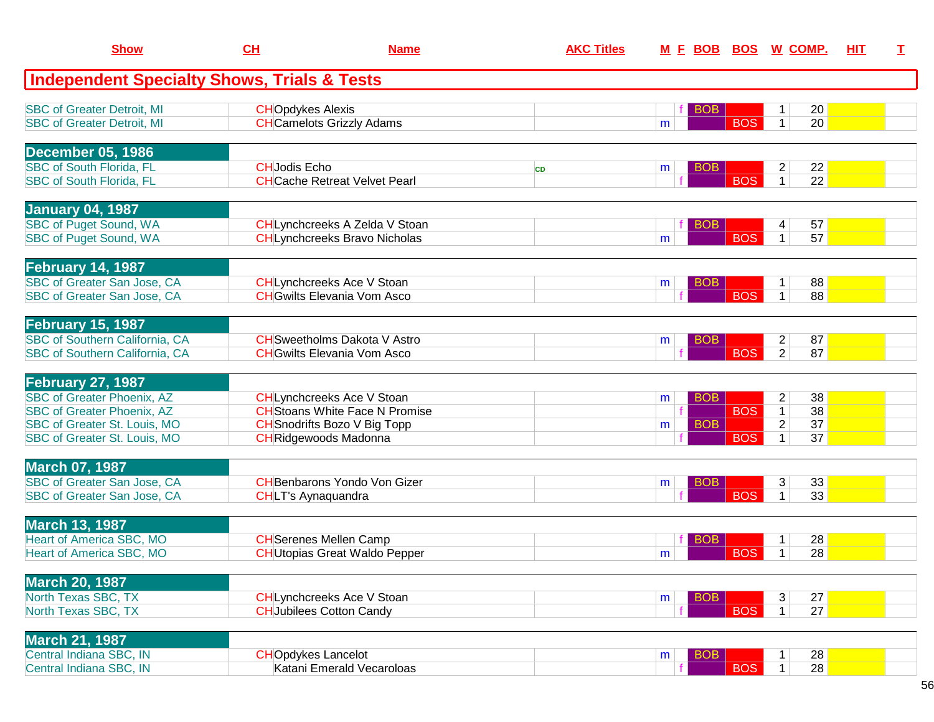| <b>Show</b>                                                                                                                                                        | CH                        | <b>Name</b>                                                                                                                               | <b>AKC Titles</b> | M E BOB BOS W COMP.                |                          |                                                                                                         | HIT | T. |
|--------------------------------------------------------------------------------------------------------------------------------------------------------------------|---------------------------|-------------------------------------------------------------------------------------------------------------------------------------------|-------------------|------------------------------------|--------------------------|---------------------------------------------------------------------------------------------------------|-----|----|
| <b>Independent Specialty Shows, Trials &amp; Tests</b>                                                                                                             |                           |                                                                                                                                           |                   |                                    |                          |                                                                                                         |     |    |
| <b>SBC of Greater Detroit, MI</b><br><b>SBC of Greater Detroit, MI</b>                                                                                             | <b>CHOpdykes Alexis</b>   | <b>CH</b> Camelots Grizzly Adams                                                                                                          |                   | <b>BOB</b><br>m                    | <b>BOS</b>               | 20<br>20<br>$\mathbf{1}$                                                                                |     |    |
| <b>December 05, 1986</b><br><b>SBC of South Florida, FL</b><br><b>SBC of South Florida, FL</b>                                                                     | <b>CHJodis Echo</b>       | <b>CHCache Retreat Velvet Pearl</b>                                                                                                       | <b>CD</b>         | <b>BOB</b><br>m                    | <b>BOS</b>               | 22<br>2<br>22<br>1 <sup>1</sup>                                                                         |     |    |
| <b>January 04, 1987</b><br><b>SBC of Puget Sound, WA</b><br><b>SBC of Puget Sound, WA</b>                                                                          |                           | CHLynchcreeks A Zelda V Stoan<br><b>CHLynchcreeks Bravo Nicholas</b>                                                                      |                   | <b>BOB</b><br>m                    | <b>BOS</b>               | 57<br>$\vert 4 \vert$<br>57<br>$\mathbf 1$                                                              |     |    |
| February 14, 1987<br><b>SBC of Greater San Jose, CA</b><br>SBC of Greater San Jose, CA                                                                             |                           | <b>CHLynchcreeks Ace V Stoan</b><br><b>CH</b> Gwilts Elevania Vom Asco                                                                    |                   | <b>BOB</b><br>m                    | <b>BOS</b>               | 88<br>$\mathbf 1$<br>$\mathbf{1}$<br>88                                                                 |     |    |
| <b>February 15, 1987</b><br><b>SBC of Southern California, CA</b><br>SBC of Southern California, CA                                                                |                           | <b>CH</b> Sweetholms Dakota V Astro<br><b>CH</b> Gwilts Elevania Vom Asco                                                                 |                   | <b>BOB</b><br>m                    | <b>BOS</b>               | $\overline{2}$<br>87<br>$\overline{2}$<br>87                                                            |     |    |
| <b>February 27, 1987</b><br><b>SBC of Greater Phoenix, AZ</b><br><b>SBC of Greater Phoenix, AZ</b><br>SBC of Greater St. Louis, MO<br>SBC of Greater St. Louis, MO |                           | CHLynchcreeks Ace V Stoan<br><b>CH</b> Stoans White Face N Promise<br><b>CH</b> Snodrifts Bozo V Big Topp<br><b>CH</b> Ridgewoods Madonna |                   | <b>BOB</b><br>m<br><b>BOB</b><br>m | <b>BOS</b><br><b>BOS</b> | 38<br>$\overline{c}$<br>$\overline{38}$<br>$\overline{1}$<br>$\overline{2}$<br>37<br>37<br>$\mathbf{1}$ |     |    |
| <b>March 07, 1987</b><br>SBC of Greater San Jose, CA<br>SBC of Greater San Jose, CA                                                                                | <b>CHLT's Aynaquandra</b> | <b>CH</b> Benbarons Yondo Von Gizer                                                                                                       |                   | <b>BOB</b><br>m                    | <b>BOS</b>               | 33<br>$\mathbf{3}$<br>$\overline{33}$<br>$\mathbf{1}$                                                   |     |    |
| <b>March 13, 1987</b><br><b>Heart of America SBC, MO</b><br>Heart of America SBC, MO                                                                               |                           | <b>CH</b> Serenes Mellen Camp<br><b>CHUtopias Great Waldo Pepper</b>                                                                      |                   | BOB<br>m                           | <b>BOS</b>               | 28<br>1<br>$\overline{28}$<br>$\mathbf{1}$                                                              |     |    |
| <b>March 20, 1987</b><br>North Texas SBC, TX<br>North Texas SBC, TX                                                                                                |                           | <b>CHLynchcreeks Ace V Stoan</b><br><b>CH</b> Jubilees Cotton Candy                                                                       |                   | <b>BOB</b><br>m                    | <b>BOS</b>               | 3<br>27<br>27<br>$\vert$ 1                                                                              |     |    |
| <b>March 21, 1987</b><br>Central Indiana SBC, IN<br>Central Indiana SBC, IN                                                                                        | <b>CHOpdykes Lancelot</b> | Katani Emerald Vecaroloas                                                                                                                 |                   | <b>BOB</b><br>m                    | <b>BOS</b>               | 28<br>28<br>1 <sup>1</sup>                                                                              |     |    |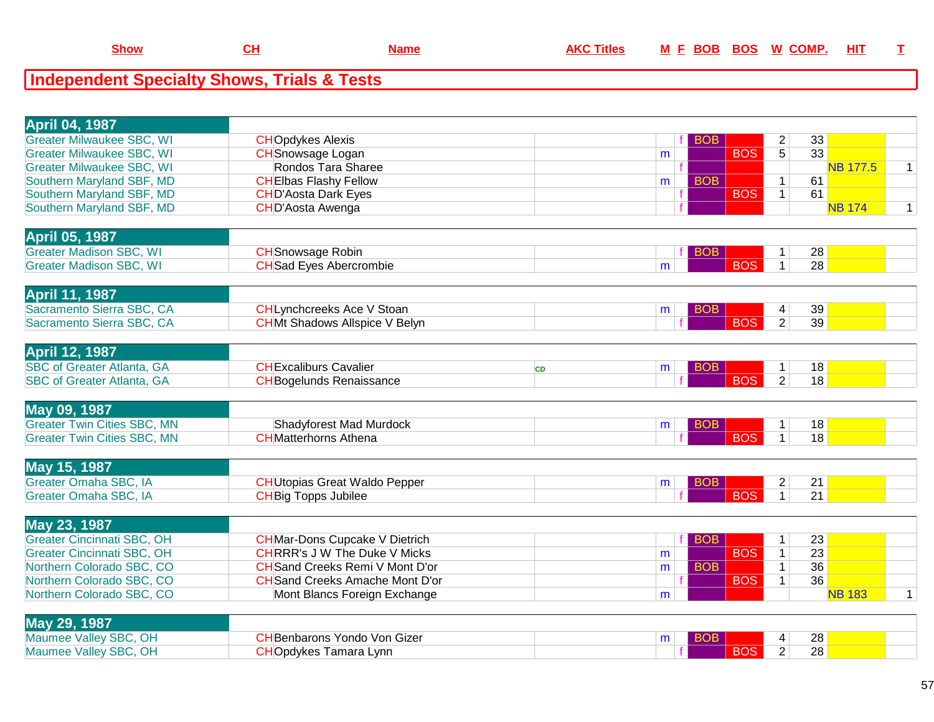#### **Independent Specialty Shows, Trials & Tests**

| <b>April 04, 1987</b>              |                                        |           |   |            |                  |                                |                       |                 |   |
|------------------------------------|----------------------------------------|-----------|---|------------|------------------|--------------------------------|-----------------------|-----------------|---|
| <b>Greater Milwaukee SBC, WI</b>   | <b>CHOpdykes Alexis</b>                |           |   | <b>BOB</b> |                  | 2                              | 33                    |                 |   |
| <b>Greater Milwaukee SBC, WI</b>   | <b>CH</b> Snowsage Logan               |           | m |            | <b>BOS</b>       | $\overline{5}$                 | $\overline{33}$       |                 |   |
| <b>Greater Milwaukee SBC, WI</b>   | Rondos Tara Sharee                     |           |   |            |                  |                                |                       | <b>NB 177.5</b> | 1 |
| Southern Maryland SBF, MD          | <b>CHEIbas Flashy Fellow</b>           |           | m | <b>BOB</b> |                  | $\mathbf{1}$                   | 61                    |                 |   |
| Southern Maryland SBF, MD          | <b>CHD'Aosta Dark Eyes</b>             |           |   |            | <b>BOS</b>       | $\mathbf{1}$                   | 61                    |                 |   |
| Southern Maryland SBF, MD          | CHD'Aosta Awenga                       |           |   |            |                  |                                |                       | <b>NB 174</b>   | 1 |
|                                    |                                        |           |   |            |                  |                                |                       |                 |   |
| <b>April 05, 1987</b>              |                                        |           |   |            |                  |                                |                       |                 |   |
| <b>Greater Madison SBC, WI</b>     | <b>CH</b> Snowsage Robin               |           |   | <b>BOB</b> |                  | 1                              | 28                    |                 |   |
| <b>Greater Madison SBC, WI</b>     | <b>CH</b> Sad Eyes Abercrombie         |           | m |            | <b>BOS</b>       | $\mathbf{1}$                   | 28                    |                 |   |
|                                    |                                        |           |   |            |                  |                                |                       |                 |   |
| <b>April 11, 1987</b>              |                                        |           |   |            |                  |                                |                       |                 |   |
| Sacramento Sierra SBC, CA          | CHLynchcreeks Ace V Stoan              |           | m | BOB.       |                  | 4                              | 39                    |                 |   |
| Sacramento Sierra SBC, CA          | <b>CHMt Shadows Allspice V Belyn</b>   |           |   |            | <b>BOS</b>       | $\overline{2}$                 | 39                    |                 |   |
|                                    |                                        |           |   |            |                  |                                |                       |                 |   |
| <b>April 12, 1987</b>              |                                        |           |   |            |                  |                                |                       |                 |   |
|                                    |                                        |           |   |            |                  |                                |                       |                 |   |
| <b>SBC of Greater Atlanta, GA</b>  | <b>CHExcaliburs Cavalier</b>           | <b>CD</b> | m | <b>BOB</b> | <b>BOS</b>       | $\mathbf{1}$<br>$\overline{2}$ | 18<br>$\overline{18}$ |                 |   |
| <b>SBC of Greater Atlanta, GA</b>  | <b>CH</b> Bogelunds Renaissance        |           |   |            |                  |                                |                       |                 |   |
|                                    |                                        |           |   |            |                  |                                |                       |                 |   |
| May 09, 1987                       |                                        |           |   |            |                  |                                |                       |                 |   |
| <b>Greater Twin Cities SBC, MN</b> | Shadyforest Mad Murdock                |           | m | <b>BOB</b> |                  | 1                              | 18                    |                 |   |
| <b>Greater Twin Cities SBC, MN</b> | <b>CH</b> Matterhorns Athena           |           |   |            | <b>BOS</b>       | $\mathbf{1}$                   | 18                    |                 |   |
|                                    |                                        |           |   |            |                  |                                |                       |                 |   |
| May 15, 1987                       |                                        |           |   |            |                  |                                |                       |                 |   |
| Greater Omaha SBC, IA              | <b>CH</b> Utopias Great Waldo Pepper   |           | m | <b>BOB</b> |                  | $\overline{2}$                 | 21                    |                 |   |
| Greater Omaha SBC, IA              | <b>CH</b> Big Topps Jubilee            |           |   |            | $\overline{BOS}$ | $\mathbf{1}$                   | 21                    |                 |   |
|                                    |                                        |           |   |            |                  |                                |                       |                 |   |
| May 23, 1987                       |                                        |           |   |            |                  |                                |                       |                 |   |
| <b>Greater Cincinnati SBC, OH</b>  | <b>CH</b> Mar-Dons Cupcake V Dietrich  |           |   | <b>BOB</b> |                  | $\mathbf{1}$                   | 23                    |                 |   |
| <b>Greater Cincinnati SBC, OH</b>  | <b>CHRRR's J W The Duke V Micks</b>    |           | m |            | <b>BOS</b>       | $\mathbf{1}$                   | 23                    |                 |   |
| Northern Colorado SBC, CO          | <b>CH</b> Sand Creeks Remi V Mont D'or |           | m | <b>BOB</b> |                  | $\mathbf{1}$                   | 36                    |                 |   |
| Northern Colorado SBC, CO          | <b>CH</b> Sand Creeks Amache Mont D'or |           |   |            | <b>BOS</b>       | $\mathbf{1}$                   | 36                    |                 |   |
| Northern Colorado SBC, CO          | Mont Blancs Foreign Exchange           |           | m |            |                  |                                |                       | <b>NB 183</b>   | 1 |
|                                    |                                        |           |   |            |                  |                                |                       |                 |   |
| May 29, 1987                       |                                        |           |   |            |                  |                                |                       |                 |   |
| Maumee Valley SBC, OH              | <b>CH</b> Benbarons Yondo Von Gizer    |           | m | <b>BOB</b> |                  | 4                              | 28                    |                 |   |
| Maumee Valley SBC, OH              | <b>CHOpdykes Tamara Lynn</b>           |           |   |            | <b>BOS</b>       | $\overline{2}$                 | $\overline{28}$       |                 |   |

H CHOpdykes Tamara Lynn f BOS 2 28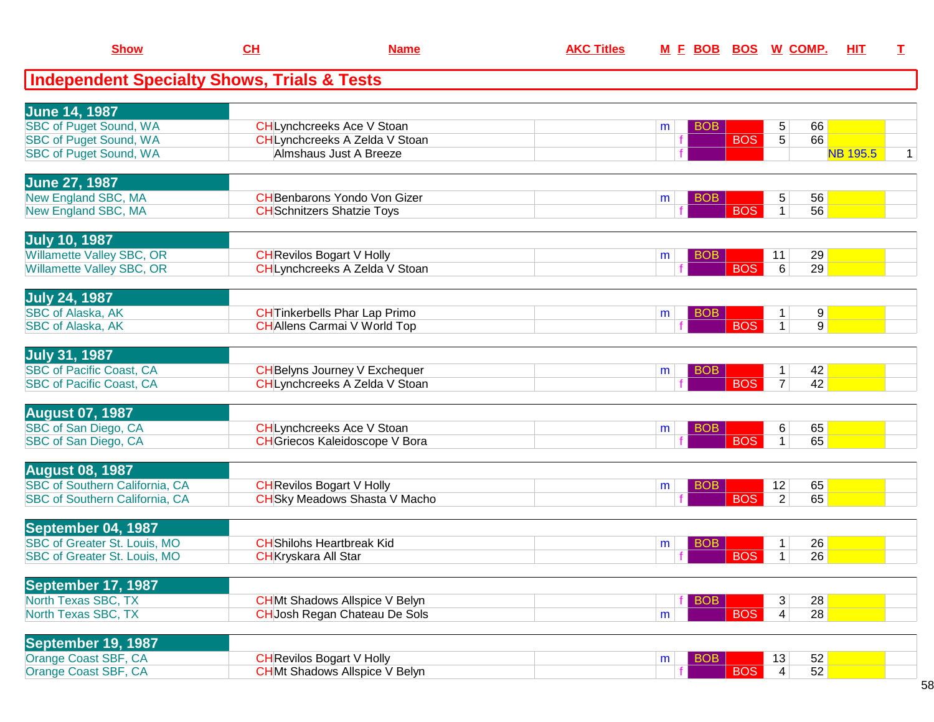| <b>Show</b>                                            | <u>CH</u>                   | <b>Name</b>                           | <b>AKC Titles</b> |   | <u>M F BOB BOS</u> |            |                 | <u>W_COMP.</u> | <u>ніт</u>      | т |
|--------------------------------------------------------|-----------------------------|---------------------------------------|-------------------|---|--------------------|------------|-----------------|----------------|-----------------|---|
| <b>Independent Specialty Shows, Trials &amp; Tests</b> |                             |                                       |                   |   |                    |            |                 |                |                 |   |
| <b>June 14, 1987</b>                                   |                             |                                       |                   |   |                    |            |                 |                |                 |   |
| <b>SBC of Puget Sound, WA</b>                          |                             | <b>CHLynchcreeks Ace V Stoan</b>      |                   | m | <b>BOB</b>         |            | 5               | 66             |                 |   |
| <b>SBC of Puget Sound, WA</b>                          |                             | CHLynchcreeks A Zelda V Stoan         |                   |   |                    | <b>BOS</b> | $\overline{5}$  | 66             |                 |   |
| SBC of Puget Sound, WA                                 |                             | Almshaus Just A Breeze                |                   |   |                    |            |                 |                | <b>NB 195.5</b> | 1 |
| <b>June 27, 1987</b>                                   |                             |                                       |                   |   |                    |            |                 |                |                 |   |
| New England SBC, MA                                    |                             | <b>CH</b> Benbarons Yondo Von Gizer   |                   | m | <b>BOB</b>         |            | 5               | 56             |                 |   |
| New England SBC, MA                                    |                             | <b>CH</b> Schnitzers Shatzie Toys     |                   |   |                    | <b>BOS</b> | $\mathbf{1}$    | 56             |                 |   |
| <b>July 10, 1987</b>                                   |                             |                                       |                   |   |                    |            |                 |                |                 |   |
| Willamette Valley SBC, OR                              |                             | <b>CH</b> Revilos Bogart V Holly      |                   | m | <b>BOB</b>         |            | 11              | 29             |                 |   |
| Willamette Valley SBC, OR                              |                             | CHLynchcreeks A Zelda V Stoan         |                   |   |                    | <b>BOS</b> | 6               | 29             |                 |   |
| <b>July 24, 1987</b>                                   |                             |                                       |                   |   |                    |            |                 |                |                 |   |
| SBC of Alaska, AK                                      |                             | <b>CH</b> Tinkerbells Phar Lap Primo  |                   | m | <b>BOB</b>         |            | $\mathbf{1}$    | 9              |                 |   |
| SBC of Alaska, AK                                      |                             | <b>CHAllens Carmai V World Top</b>    |                   |   |                    | <b>BOS</b> | $\mathbf{1}$    | 9              |                 |   |
| <b>July 31, 1987</b>                                   |                             |                                       |                   |   |                    |            |                 |                |                 |   |
| <b>SBC of Pacific Coast, CA</b>                        |                             | <b>CH</b> Belyns Journey V Exchequer  |                   | m | <b>BOB</b>         |            | $\mathbf{1}$    | 42             |                 |   |
| <b>SBC of Pacific Coast, CA</b>                        |                             | CHLynchcreeks A Zelda V Stoan         |                   |   |                    | <b>BOS</b> | $\overline{7}$  | 42             |                 |   |
| <b>August 07, 1987</b>                                 |                             |                                       |                   |   |                    |            |                 |                |                 |   |
| SBC of San Diego, CA                                   |                             | <b>CHLynchcreeks Ace V Stoan</b>      |                   | m | BOB                |            | 6               | 65             |                 |   |
| SBC of San Diego, CA                                   |                             | <b>CH</b> Griecos Kaleidoscope V Bora |                   |   |                    | <b>BOS</b> | $\mathbf{1}$    | 65             |                 |   |
| <b>August 08, 1987</b>                                 |                             |                                       |                   |   |                    |            |                 |                |                 |   |
| SBC of Southern California, CA                         |                             | <b>CH</b> Revilos Bogart V Holly      |                   | m | <b>BOB</b>         |            | 12              | 65             |                 |   |
| SBC of Southern California, CA                         |                             | <b>CH</b> Sky Meadows Shasta V Macho  |                   |   |                    | <b>BOS</b> | $\overline{2}$  | 65             |                 |   |
| September 04, 1987                                     |                             |                                       |                   |   |                    |            |                 |                |                 |   |
| SBC of Greater St. Louis, MO                           |                             | <b>CH</b> Shilohs Heartbreak Kid      |                   | m | <b>BOB</b>         |            | 1               | 26             |                 |   |
| SBC of Greater St. Louis, MO                           | <b>CH</b> Kryskara All Star |                                       |                   |   |                    | <b>BOS</b> | 1               | 26             |                 |   |
| September 17, 1987                                     |                             |                                       |                   |   |                    |            |                 |                |                 |   |
| North Texas SBC, TX                                    |                             | <b>CHMt Shadows Allspice V Belyn</b>  |                   |   | <b>BOB</b>         |            | 3               | 28             |                 |   |
| North Texas SBC, TX                                    |                             | <b>CHJosh Regan Chateau De Sols</b>   |                   | m |                    | <b>BOS</b> | $\vert 4 \vert$ | 28             |                 |   |
| September 19, 1987                                     |                             |                                       |                   |   |                    |            |                 |                |                 |   |
| Orange Coast SBF, CA                                   |                             | <b>CH</b> Revilos Bogart V Holly      |                   | m | <b>BOB</b>         |            | 13              | 52             |                 |   |
| Orange Coast SBF, CA                                   |                             | <b>CHMt Shadows Allspice V Belyn</b>  |                   |   |                    | <b>BOS</b> | $\overline{4}$  | 52             |                 |   |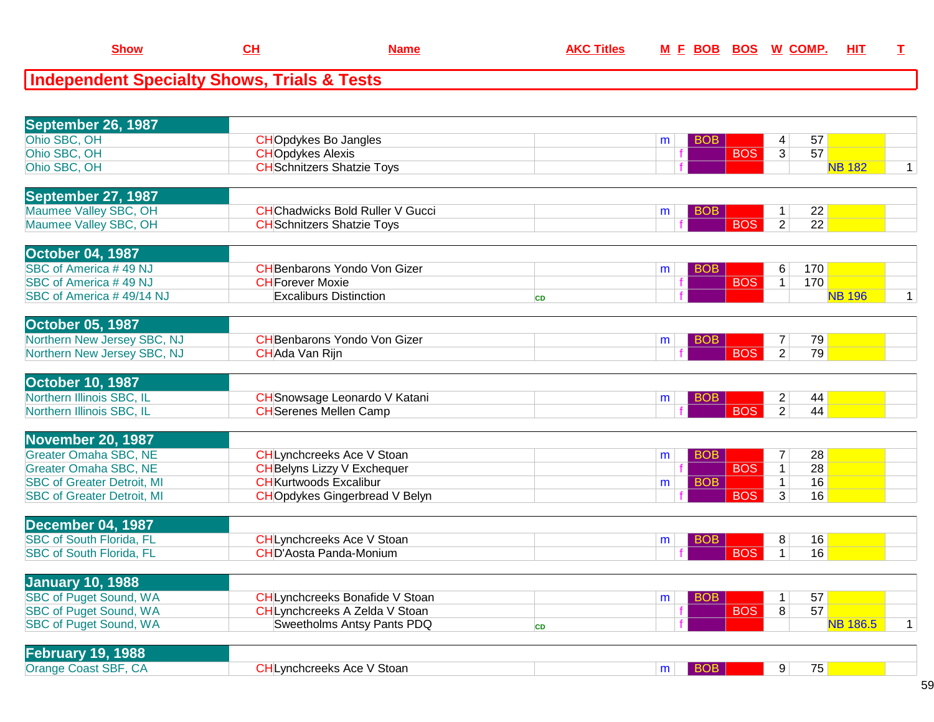| September 26, 1987                                          |                                                                       |           |                               |                                |                 |              |
|-------------------------------------------------------------|-----------------------------------------------------------------------|-----------|-------------------------------|--------------------------------|-----------------|--------------|
| Ohio SBC, OH                                                | <b>CHOpdykes Bo Jangles</b>                                           |           | <b>BOB</b><br>m               | 4                              | 57              |              |
| Ohio SBC, OH                                                | <b>CHOpdykes Alexis</b>                                               |           | <b>BOS</b>                    | $\overline{3}$                 | 57              |              |
| Ohio SBC, OH                                                | <b>CH</b> Schnitzers Shatzie Toys                                     |           |                               |                                | <b>NB 182</b>   | $\mathbf{1}$ |
|                                                             |                                                                       |           |                               |                                |                 |              |
| September 27, 1987                                          |                                                                       |           |                               |                                |                 |              |
| Maumee Valley SBC, OH                                       | <b>CH</b> Chadwicks Bold Ruller V Gucci                               |           | <b>BOB</b><br>m               | 1.                             | 22              |              |
| Maumee Valley SBC, OH                                       | <b>CH</b> Schnitzers Shatzie Toys                                     |           | <b>BOS</b>                    | 2                              | 22              |              |
| <b>October 04, 1987</b>                                     |                                                                       |           |                               |                                |                 |              |
| SBC of America #49 NJ                                       | <b>CH</b> Benbarons Yondo Von Gizer                                   |           | <b>BOB</b><br>m               | 6                              | 170             |              |
| SBC of America #49 NJ                                       | <b>CH</b> Forever Moxie                                               |           | <b>BOS</b>                    | 1                              | 170             |              |
| SBC of America #49/14 NJ                                    | <b>Excaliburs Distinction</b>                                         | <b>CD</b> |                               |                                | <b>NB 196</b>   | $\mathbf{1}$ |
|                                                             |                                                                       |           |                               |                                |                 |              |
| <b>October 05, 1987</b>                                     |                                                                       |           |                               |                                |                 |              |
| Northern New Jersey SBC, NJ                                 | <b>CH</b> Benbarons Yondo Von Gizer                                   |           | <b>BOB</b><br>m               | 7                              | 79              |              |
| Northern New Jersey SBC, NJ                                 | CHAda Van Rijn                                                        |           | <b>BOS</b>                    | $\overline{2}$                 | 79              |              |
| <b>October 10, 1987</b>                                     |                                                                       |           |                               |                                |                 |              |
| Northern Illinois SBC, IL                                   |                                                                       |           |                               |                                |                 |              |
| Northern Illinois SBC, IL                                   | <b>CH</b> Snowsage Leonardo V Katani<br><b>CH</b> Serenes Mellen Camp |           | <b>BOB</b><br>m<br><b>BOS</b> | $\mathbf{2}$<br>$\overline{2}$ | 44<br>44        |              |
|                                                             |                                                                       |           |                               |                                |                 |              |
| November 20, 1987                                           |                                                                       |           |                               |                                |                 |              |
| <b>Greater Omaha SBC, NE</b>                                | <b>CHLynchcreeks Ace V Stoan</b>                                      |           | <b>BOB</b><br>m               | $\overline{7}$                 | 28              |              |
| <b>Greater Omaha SBC, NE</b>                                | <b>CH</b> Belyns Lizzy V Exchequer                                    |           | <b>BOS</b>                    | $\overline{1}$                 | 28              |              |
| <b>SBC of Greater Detroit, MI</b>                           | <b>CH</b> Kurtwoods Excalibur                                         |           | <b>BOB</b><br>m               | $\mathbf{1}$                   | 16              |              |
| <b>SBC of Greater Detroit, MI</b>                           | <b>CHOpdykes Gingerbread V Belyn</b>                                  |           | <b>BOS</b>                    | $\overline{3}$                 | 16              |              |
|                                                             |                                                                       |           |                               |                                |                 |              |
| <b>December 04, 1987</b><br><b>SBC of South Florida, FL</b> | <b>CH</b> Lynchcreeks Ace V Stoan                                     |           | BOB                           | 8                              | 16              |              |
| <b>SBC of South Florida, FL</b>                             | <b>CHD'Aosta Panda-Monium</b>                                         |           | m<br><b>BOS</b>               | $\mathbf{1}$                   | 16              |              |
|                                                             |                                                                       |           |                               |                                |                 |              |
| <b>January 10, 1988</b>                                     |                                                                       |           |                               |                                |                 |              |
| <b>SBC of Puget Sound, WA</b>                               | CHLynchcreeks Bonafide V Stoan                                        |           | <b>BOB</b><br>m               | $\mathbf{1}$                   | 57              |              |
| <b>SBC of Puget Sound, WA</b>                               | CHLynchcreeks A Zelda V Stoan                                         |           | <b>BOS</b>                    | 8                              | 57              |              |
| <b>SBC of Puget Sound, WA</b>                               | Sweetholms Antsy Pants PDQ                                            | <b>CD</b> |                               |                                | <b>NB 186.5</b> | $\mathbf{1}$ |
|                                                             |                                                                       |           |                               |                                |                 |              |
| <b>February 19, 1988</b>                                    |                                                                       |           |                               |                                |                 |              |
| Orange Coast SBF, CA                                        | <b>CHLynchcreeks Ace V Stoan</b>                                      |           | <b>BOB</b><br>m               | 9                              | 75              |              |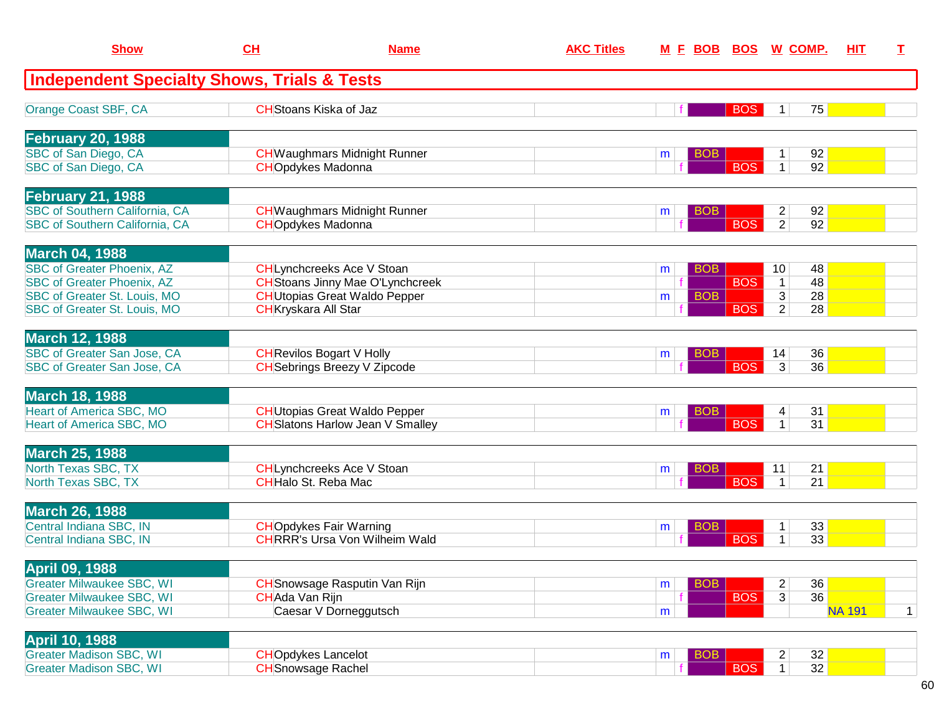| <b>Show</b>                                            | CH                          | <b>Name</b>                             | <b>AKC Titles</b> |   | <u>M F BOB</u> | BOS        | <u>W_COMP.</u>          |    | HIT.          | T.          |
|--------------------------------------------------------|-----------------------------|-----------------------------------------|-------------------|---|----------------|------------|-------------------------|----|---------------|-------------|
| <b>Independent Specialty Shows, Trials &amp; Tests</b> |                             |                                         |                   |   |                |            |                         |    |               |             |
| Orange Coast SBF, CA                                   |                             | <b>CH</b> Stoans Kiska of Jaz           |                   |   |                | <b>BOS</b> | 1                       | 75 |               |             |
| <b>February 20, 1988</b>                               |                             |                                         |                   |   |                |            |                         |    |               |             |
| SBC of San Diego, CA                                   |                             | <b>CH</b> Waughmars Midnight Runner     |                   | m | <b>BOB</b>     |            | 1                       | 92 |               |             |
| SBC of San Diego, CA                                   |                             | <b>CHOpdykes Madonna</b>                |                   |   |                | <b>BOS</b> | $\mathbf{1}$            | 92 |               |             |
| <b>February 21, 1988</b>                               |                             |                                         |                   |   |                |            |                         |    |               |             |
| <b>SBC of Southern California, CA</b>                  |                             | <b>CH</b> Waughmars Midnight Runner     |                   | m | <b>BOB</b>     |            | $\overline{c}$          | 92 |               |             |
| <b>SBC of Southern California, CA</b>                  |                             | <b>CHOpdykes Madonna</b>                |                   |   |                | <b>BOS</b> | $\overline{2}$          | 92 |               |             |
| <b>March 04, 1988</b>                                  |                             |                                         |                   |   |                |            |                         |    |               |             |
| <b>SBC of Greater Phoenix, AZ</b>                      |                             | CHLynchcreeks Ace V Stoan               |                   | m | <b>BOB</b>     |            | 10 <sup>°</sup>         | 48 |               |             |
| <b>SBC of Greater Phoenix, AZ</b>                      |                             | <b>CH</b> Stoans Jinny Mae O'Lynchcreek |                   |   |                | <b>BOS</b> | $\mathbf{1}$            | 48 |               |             |
| SBC of Greater St. Louis, MO                           |                             | <b>CH</b> Utopias Great Waldo Pepper    |                   | m | <b>BOB</b>     |            | 3                       | 28 |               |             |
| SBC of Greater St. Louis, MO                           | <b>CH</b> Kryskara All Star |                                         |                   |   |                | <b>BOS</b> | $\overline{2}$          | 28 |               |             |
| <b>March 12, 1988</b>                                  |                             |                                         |                   |   |                |            |                         |    |               |             |
| SBC of Greater San Jose, CA                            |                             | <b>CH</b> Revilos Bogart V Holly        |                   | m | <b>BOB</b>     |            | 14                      | 36 |               |             |
| SBC of Greater San Jose, CA                            |                             | <b>CH</b> Sebrings Breezy V Zipcode     |                   |   |                | <b>BOS</b> | 3                       | 36 |               |             |
| <b>March 18, 1988</b>                                  |                             |                                         |                   |   |                |            |                         |    |               |             |
| <b>Heart of America SBC, MO</b>                        |                             | <b>CH</b> Utopias Great Waldo Pepper    |                   | m | <b>BOB</b>     |            | 4                       | 31 |               |             |
| Heart of America SBC, MO                               |                             | <b>CH</b> Slatons Harlow Jean V Smalley |                   |   |                | <b>BOS</b> | 1                       | 31 |               |             |
|                                                        |                             |                                         |                   |   |                |            |                         |    |               |             |
| <b>March 25, 1988</b>                                  |                             |                                         |                   |   |                |            |                         |    |               |             |
| North Texas SBC, TX                                    |                             | CHLynchcreeks Ace V Stoan               |                   | m | BOB            |            | 11                      | 21 |               |             |
| North Texas SBC, TX                                    |                             | <b>CH</b> Halo St. Reba Mac             |                   |   |                | <b>BOS</b> | $\mathbf 1$             | 21 |               |             |
| <b>March 26, 1988</b>                                  |                             |                                         |                   |   |                |            |                         |    |               |             |
| Central Indiana SBC, IN                                |                             | <b>CHOpdykes Fair Warning</b>           |                   | m | <b>BOB</b>     |            | 1                       | 33 |               |             |
| Central Indiana SBC, IN                                |                             | <b>CHRRR's Ursa Von Wilheim Wald</b>    |                   |   |                | <b>BOS</b> | 1                       | 33 |               |             |
| April 09, 1988                                         |                             |                                         |                   |   |                |            |                         |    |               |             |
| <b>Greater Milwaukee SBC, WI</b>                       |                             | <b>CH</b> Snowsage Rasputin Van Rijn    |                   | m | <b>BOB</b>     |            | $\overline{c}$          | 36 |               |             |
| <b>Greater Milwaukee SBC, WI</b>                       | CHAda Van Rijn              |                                         |                   |   |                | <b>BOS</b> | 3                       | 36 |               |             |
| <b>Greater Milwaukee SBC, WI</b>                       |                             | Caesar V Dorneggutsch                   |                   | m |                |            |                         |    | <b>NA 191</b> | $\mathbf 1$ |
| <b>April 10, 1988</b>                                  |                             |                                         |                   |   |                |            |                         |    |               |             |
| <b>Greater Madison SBC, WI</b>                         | <b>CHOpdykes Lancelot</b>   |                                         |                   | m | <b>BOB</b>     |            | $\overline{\mathbf{c}}$ | 32 |               |             |
| <b>Greater Madison SBC, WI</b>                         | <b>CH</b> Snowsage Rachel   |                                         |                   |   |                | <b>BOS</b> | 1                       | 32 |               |             |
|                                                        |                             |                                         |                   |   |                |            |                         |    |               |             |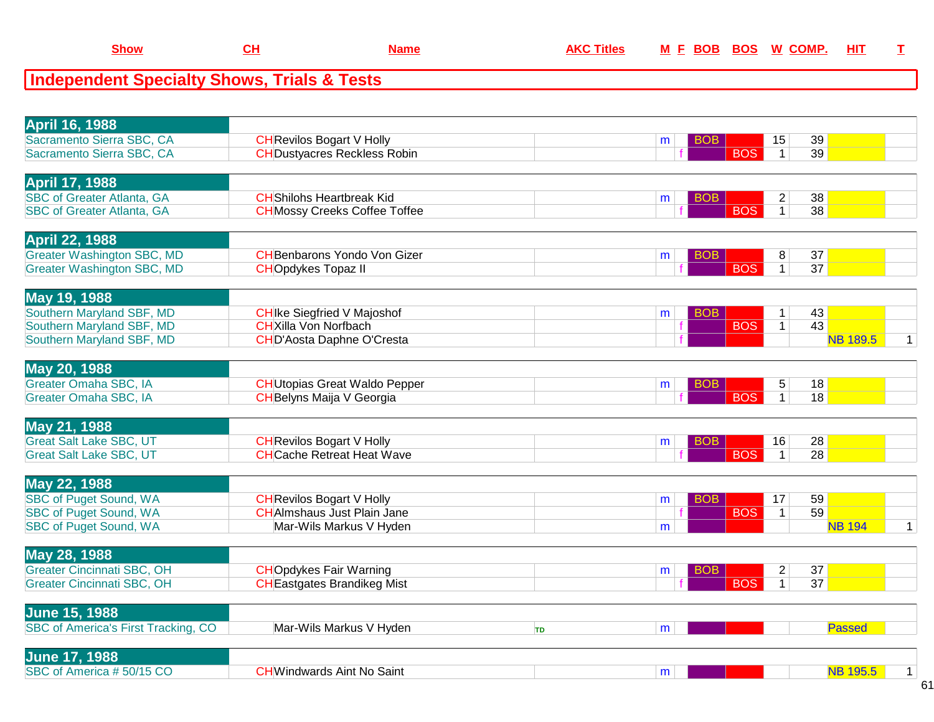| мм | . . | <b>AVC THE</b><br>лне | - -<br>IV |
|----|-----|-----------------------|-----------|
|    |     |                       |           |

| <b>April 16, 1988</b>                      |                                      |           |                 |                   |                 |              |
|--------------------------------------------|--------------------------------------|-----------|-----------------|-------------------|-----------------|--------------|
| Sacramento Sierra SBC, CA                  | <b>CH</b> Revilos Bogart V Holly     |           | вов<br>m        | 15                | 39              |              |
| Sacramento Sierra SBC, CA                  | <b>CH</b> Dustyacres Reckless Robin  |           | <b>BOS</b>      | $\mathbf{1}$      | 39              |              |
| <b>April 17, 1988</b>                      |                                      |           |                 |                   |                 |              |
| <b>SBC of Greater Atlanta, GA</b>          | <b>CH</b> Shilohs Heartbreak Kid     |           | BOB<br>m        | $\overline{c}$    | 38              |              |
| <b>SBC of Greater Atlanta, GA</b>          | <b>CH</b> Mossy Creeks Coffee Toffee |           | <b>BOS</b>      | $\mathbf{1}$      | 38              |              |
|                                            |                                      |           |                 |                   |                 |              |
| <b>April 22, 1988</b>                      |                                      |           |                 |                   |                 |              |
| <b>Greater Washington SBC, MD</b>          | <b>CH</b> Benbarons Yondo Von Gizer  |           | BOB.<br>m       | 8                 | 37              |              |
| <b>Greater Washington SBC, MD</b>          | <b>CHOpdykes Topaz II</b>            |           | <b>BOS</b>      | $\mathbf{1}$      | $\overline{37}$ |              |
| May 19, 1988                               |                                      |           |                 |                   |                 |              |
| Southern Maryland SBF, MD                  | <b>CH</b> Ike Siegfried V Majoshof   |           | BOB             |                   | 43              |              |
| Southern Maryland SBF, MD                  | <b>CH</b> Xilla Von Norfbach         |           | m<br><b>BOS</b> | 1<br>$\mathbf{1}$ | 43              |              |
| Southern Maryland SBF, MD                  | <b>CHD'Aosta Daphne O'Cresta</b>     |           |                 |                   | <b>NB 189.5</b> | $\mathbf 1$  |
|                                            |                                      |           |                 |                   |                 |              |
| May 20, 1988                               |                                      |           |                 |                   |                 |              |
| <b>Greater Omaha SBC, IA</b>               | <b>CH</b> Utopias Great Waldo Pepper |           | <b>BOB</b><br>m | 5                 | 18              |              |
| Greater Omaha SBC, IA                      | <b>CH</b> Belyns Maija V Georgia     |           | <b>BOS</b>      | $\mathbf{1}$      | 18              |              |
|                                            |                                      |           |                 |                   |                 |              |
| May 21, 1988                               |                                      |           |                 |                   |                 |              |
| <b>Great Salt Lake SBC, UT</b>             | <b>CH</b> Revilos Bogart V Holly     |           | BOB<br>m        | 16                | 28              |              |
| <b>Great Salt Lake SBC, UT</b>             | <b>CHCache Retreat Heat Wave</b>     |           | <b>BOS</b>      | $\mathbf{1}$      | 28              |              |
| May 22, 1988                               |                                      |           |                 |                   |                 |              |
| <b>SBC of Puget Sound, WA</b>              | <b>CH</b> Revilos Bogart V Holly     |           | <b>BOB</b><br>m | 17                | 59              |              |
| <b>SBC of Puget Sound, WA</b>              | <b>CH</b> Almshaus Just Plain Jane   |           | <b>BOS</b>      | $\mathbf{1}$      | 59              |              |
| <b>SBC of Puget Sound, WA</b>              | Mar-Wils Markus V Hyden              |           | m               |                   | <b>NB 194</b>   | $\mathbf{1}$ |
|                                            |                                      |           |                 |                   |                 |              |
| May 28, 1988                               |                                      |           |                 |                   |                 |              |
| <b>Greater Cincinnati SBC, OH</b>          | <b>CHOpdykes Fair Warning</b>        |           | BOB<br>m        | $\overline{c}$    | 37              |              |
| <b>Greater Cincinnati SBC, OH</b>          | <b>CH</b> Eastgates Brandikeg Mist   |           | <b>BOS</b>      | $\mathbf{1}$      | $\overline{37}$ |              |
| <b>June 15, 1988</b>                       |                                      |           |                 |                   |                 |              |
| <b>SBC of America's First Tracking, CO</b> |                                      |           |                 |                   | <b>Passed</b>   |              |
|                                            | Mar-Wils Markus V Hyden              | <b>TD</b> | m               |                   |                 |              |
| <b>June 17, 1988</b>                       |                                      |           |                 |                   |                 |              |
| SBC of America #50/15 CO                   | <b>CHWindwards Aint No Saint</b>     |           | m               |                   | <b>NB 195.5</b> | $\mathbf{1}$ |
|                                            |                                      |           |                 |                   |                 |              |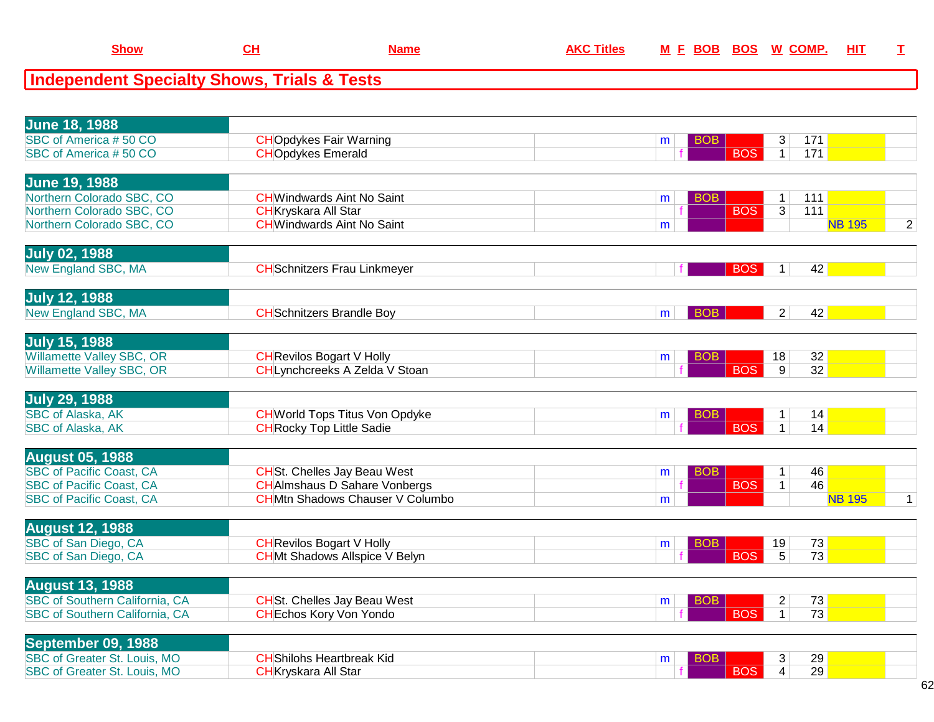| <b>Independent Specialty Shows, Trials &amp; Tests</b>       |                                        |   |                          |                     |                 |                |
|--------------------------------------------------------------|----------------------------------------|---|--------------------------|---------------------|-----------------|----------------|
|                                                              |                                        |   |                          |                     |                 |                |
| <b>June 18, 1988</b>                                         |                                        |   |                          |                     |                 |                |
| SBC of America #50 CO                                        | <b>CHOpdykes Fair Warning</b>          | m | <b>BOB</b>               | 3                   | $171$           |                |
| SBC of America #50 CO                                        | <b>CHOpdykes Emerald</b>               |   | <b>BOS</b>               | $\mathbf{1}$        | $171$           |                |
|                                                              |                                        |   |                          |                     |                 |                |
| <b>June 19, 1988</b>                                         |                                        |   |                          |                     |                 |                |
| Northern Colorado SBC, CO                                    | <b>CH</b> Windwards Aint No Saint      | m | <b>BOB</b>               | $\mathbf{1}$        | 111             |                |
| Northern Colorado SBC, CO                                    | <b>CH</b> Kryskara All Star            |   | <b>BOS</b>               | $\overline{3}$      | 111             |                |
| Northern Colorado SBC, CO                                    | <b>CH</b> Windwards Aint No Saint      | m |                          |                     | <b>NB 195</b>   | $\overline{2}$ |
| <b>July 02, 1988</b>                                         |                                        |   |                          |                     |                 |                |
| New England SBC, MA                                          | <b>CH</b> Schnitzers Frau Linkmeyer    |   | <b>BOS</b>               | $\mathbf{1}$        | 42              |                |
|                                                              |                                        |   |                          |                     |                 |                |
| July 12, 1988                                                |                                        |   |                          |                     |                 |                |
| New England SBC, MA                                          | <b>CH</b> Schnitzers Brandle Boy       | m | <b>BOB</b>               | 2                   | 42              |                |
|                                                              |                                        |   |                          |                     |                 |                |
| <b>July 15, 1988</b>                                         |                                        |   |                          |                     |                 |                |
| <b>Willamette Valley SBC, OR</b>                             | <b>CH</b> Revilos Bogart V Holly       | m | <b>BOB</b>               | 18                  | 32              |                |
| <b>Willamette Valley SBC, OR</b>                             | CHLynchcreeks A Zelda V Stoan          |   | <b>BOS</b>               | $\overline{9}$      | $\overline{32}$ |                |
| <b>July 29, 1988</b>                                         |                                        |   |                          |                     |                 |                |
| <b>SBC of Alaska, AK</b>                                     | <b>CH</b> World Tops Titus Von Opdyke  | m | <b>BOB</b>               | $\mathbf{1}$        | 14              |                |
| <b>SBC of Alaska, AK</b>                                     | <b>CH</b> Rocky Top Little Sadie       |   | <b>BOS</b>               | $\mathbf{1}$        | 14              |                |
|                                                              |                                        |   |                          |                     |                 |                |
| <b>August 05, 1988</b>                                       |                                        |   |                          |                     |                 |                |
| <b>SBC of Pacific Coast, CA</b>                              | <b>CH</b> St. Chelles Jay Beau West    | m | <b>BOB</b>               | $\mathbf{1}$        | 46              |                |
| <b>SBC of Pacific Coast, CA</b>                              | <b>CH</b> Almshaus D Sahare Vonbergs   |   | <b>BOS</b>               | $\mathbf{1}$        | 46              |                |
| <b>SBC of Pacific Coast, CA</b>                              | <b>CHMtn Shadows Chauser V Columbo</b> | m |                          |                     | <b>NB 195</b>   | $\mathbf{1}$   |
| <b>August 12, 1988</b>                                       |                                        |   |                          |                     |                 |                |
| SBC of San Diego, CA                                         | <b>CH</b> Revilos Bogart V Holly       | m | BO <sub>B</sub>          | 19                  | 73              |                |
| SBC of San Diego, CA                                         | <b>CHMt Shadows Allspice V Belyn</b>   |   | <b>BOS</b>               | $\overline{5}$      | $\overline{73}$ |                |
|                                                              |                                        |   |                          |                     |                 |                |
| <b>August 13, 1988</b>                                       |                                        |   |                          |                     |                 |                |
| <b>SBC of Southern California, CA</b>                        | <b>CH</b> St. Chelles Jay Beau West    | m | <b>BOB</b>               | $\overline{c}$      | 73              |                |
| SBC of Southern California, CA                               | <b>CH</b> Echos Kory Von Yondo         |   | <b>BOS</b>               | $\mathbf{1}$        | $\overline{73}$ |                |
|                                                              |                                        |   |                          |                     |                 |                |
| September 09, 1988                                           |                                        |   |                          |                     |                 |                |
| SBC of Greater St. Louis, MO<br>SBC of Greater St. Louis, MO | <b>CH</b> Shilohs Heartbreak Kid       | m | <b>BOB</b><br><b>BOS</b> | 3<br>$\overline{4}$ | 29<br>29        |                |
|                                                              | <b>CH</b> Kryskara All Star            |   |                          |                     |                 |                |

**CH Name AKC Titles <sup>M</sup>**

**Show**

**<sup>F</sup> BOB BOS <sup>W</sup> COMP. HIT <sup>T</sup>**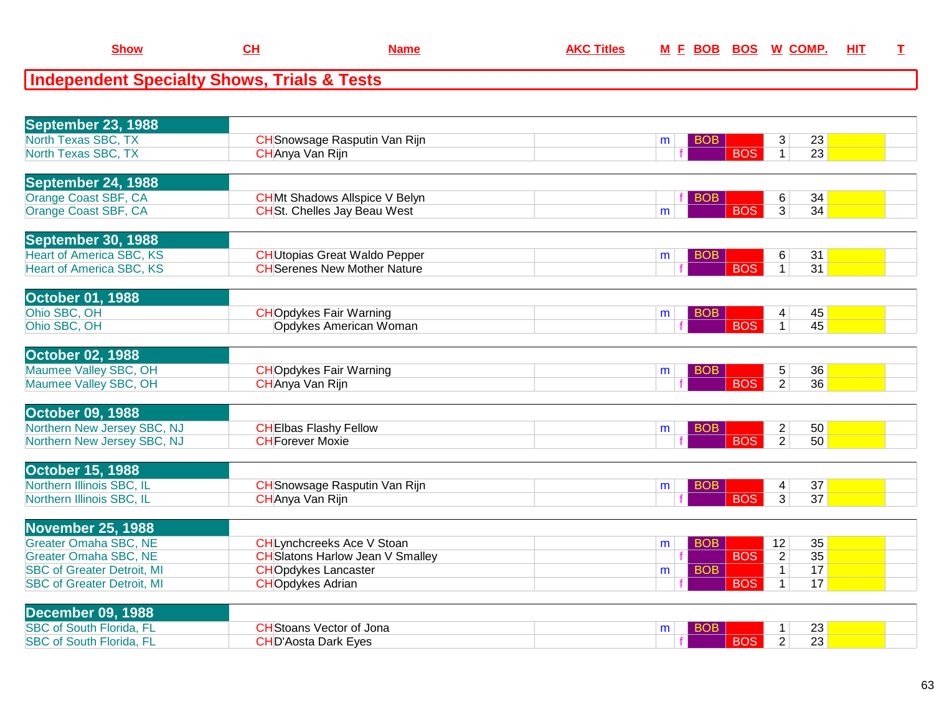| September 23, 1988                |                                         |                 |                                   |                 |
|-----------------------------------|-----------------------------------------|-----------------|-----------------------------------|-----------------|
| North Texas SBC, TX               | <b>CH</b> Snowsage Rasputin Van Rijn    | <b>BOB</b><br>m | 3                                 | 23              |
| North Texas SBC, TX               | CHAnya Van Rijn                         | <b>BOS</b>      | $\mathbf{1}$                      | 23              |
|                                   |                                         |                 |                                   |                 |
| <b>September 24, 1988</b>         |                                         |                 |                                   |                 |
| Orange Coast SBF, CA              | <b>CHMt Shadows Allspice V Belyn</b>    | <b>BOB</b>      | 6                                 | 34              |
| Orange Coast SBF, CA              | <b>CHSt.</b> Chelles Jay Beau West      | <b>BOS</b><br>m | $\overline{3}$                    | 34              |
|                                   |                                         |                 |                                   |                 |
| September 30, 1988                |                                         |                 |                                   |                 |
| <b>Heart of America SBC, KS</b>   | <b>CH</b> Utopias Great Waldo Pepper    | <b>BOB</b><br>m | 6                                 | 31              |
| <b>Heart of America SBC, KS</b>   | <b>CH</b> Serenes New Mother Nature     | <b>BOS</b>      | $\mathbf{1}$                      | 31              |
|                                   |                                         |                 |                                   |                 |
| <b>October 01, 1988</b>           |                                         |                 |                                   |                 |
| Ohio SBC, OH                      | <b>CHOpdykes Fair Warning</b>           | <b>BOB</b><br>m | 45<br>4                           |                 |
| Ohio SBC, OH                      | Opdykes American Woman                  | <b>BOS</b>      | 45<br>$\mathbf{1}$                |                 |
|                                   |                                         |                 |                                   |                 |
| <b>October 02, 1988</b>           |                                         |                 |                                   |                 |
| Maumee Valley SBC, OH             | <b>CHOpdykes Fair Warning</b>           | <b>BOB</b><br>m | 5                                 | 36              |
| Maumee Valley SBC, OH             | CHAnya Van Rijn                         | <b>BOS</b>      | $\overline{2}$<br>36              |                 |
|                                   |                                         |                 |                                   |                 |
| <b>October 09, 1988</b>           |                                         |                 |                                   |                 |
| Northern New Jersey SBC, NJ       | <b>CHEIbas Flashy Fellow</b>            | <b>BOB</b><br>m | $\overline{c}$                    | 50              |
| Northern New Jersey SBC, NJ       | <b>CHForever Moxie</b>                  | <b>BOS</b>      | $\overline{2}$                    | 50              |
|                                   |                                         |                 |                                   |                 |
| <b>October 15, 1988</b>           |                                         |                 |                                   |                 |
| Northern Illinois SBC, IL         | <b>CH</b> Snowsage Rasputin Van Rijn    | <b>BOB</b><br>m | 37<br>4                           |                 |
| Northern Illinois SBC, IL         | <b>CHAnya Van Rijn</b>                  | <b>BOS</b>      | $\overline{3}$<br>$\overline{37}$ |                 |
|                                   |                                         |                 |                                   |                 |
| <b>November 25, 1988</b>          |                                         |                 |                                   |                 |
| <b>Greater Omaha SBC, NE</b>      | <b>CHLynchcreeks Ace V Stoan</b>        | <b>BOB</b><br>m | 35<br>12                          |                 |
| <b>Greater Omaha SBC, NE</b>      | <b>CH</b> Slatons Harlow Jean V Smalley | <b>BOS</b>      | $\overline{2}$<br>35              |                 |
| <b>SBC of Greater Detroit, MI</b> | <b>CHOpdykes Lancaster</b>              | <b>BOB</b><br>m | 17<br>$\mathbf{1}$                |                 |
| <b>SBC of Greater Detroit, MI</b> | <b>CHOpdykes Adrian</b>                 | <b>BOS</b>      | $\mathbf{1}$                      | 17              |
|                                   |                                         |                 |                                   |                 |
| <b>December 09, 1988</b>          |                                         |                 |                                   |                 |
| <b>SBC of South Florida, FL</b>   | <b>CH</b> Stoans Vector of Jona         | BOB<br>m        | 1                                 | 23              |
| <b>SBC of South Florida, FL</b>   | <b>CHD'Aosta Dark Eyes</b>              | <b>BOS</b>      | $\overline{2}$                    | $\overline{23}$ |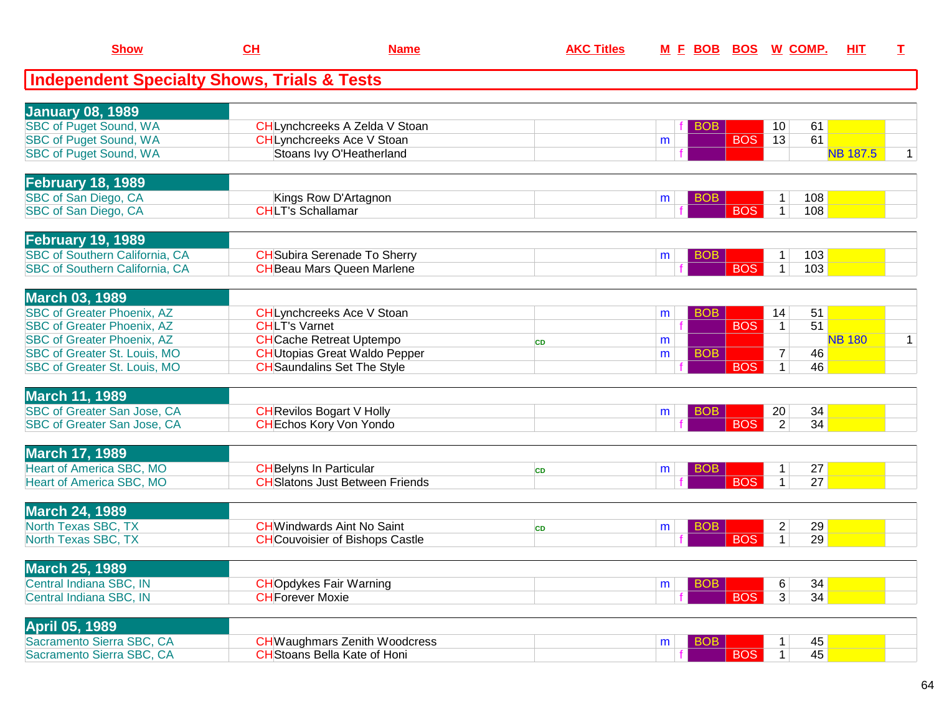| <b>Show</b>                                            | <u>CH</u>                | <b>Name</b>                            | <b>AKC Titles</b> | <u>M E BOB</u> | <u>BOS</u> | <u>W_COMP.</u>       | <u>ніт</u>      | I            |
|--------------------------------------------------------|--------------------------|----------------------------------------|-------------------|----------------|------------|----------------------|-----------------|--------------|
| <b>Independent Specialty Shows, Trials &amp; Tests</b> |                          |                                        |                   |                |            |                      |                 |              |
|                                                        |                          |                                        |                   |                |            |                      |                 |              |
| <b>January 08, 1989</b>                                |                          |                                        |                   |                |            |                      |                 |              |
| <b>SBC of Puget Sound, WA</b>                          |                          | CHLynchcreeks A Zelda V Stoan          |                   |                | <b>BOB</b> | 10<br>61             |                 |              |
| <b>SBC of Puget Sound, WA</b>                          |                          | <b>CHLynchcreeks Ace V Stoan</b>       |                   | m              | <b>BOS</b> | 13<br>61             |                 |              |
| SBC of Puget Sound, WA                                 |                          | Stoans Ivy O'Heatherland               |                   |                |            |                      | <b>NB 187.5</b> | $\mathbf{1}$ |
| <b>February 18, 1989</b>                               |                          |                                        |                   |                |            |                      |                 |              |
| SBC of San Diego, CA                                   |                          | Kings Row D'Artagnon                   |                   | m              | <b>BOB</b> | 108<br>1             |                 |              |
| SBC of San Diego, CA                                   | <b>CHLT's Schallamar</b> |                                        |                   |                | <b>BOS</b> | 108<br>$\mathbf 1$   |                 |              |
|                                                        |                          |                                        |                   |                |            |                      |                 |              |
| <b>February 19, 1989</b>                               |                          |                                        |                   |                |            |                      |                 |              |
| SBC of Southern California, CA                         |                          | <b>CH</b> Subira Serenade To Sherry    |                   | m              | <b>BOB</b> | 103<br>1             |                 |              |
| <b>SBC of Southern California, CA</b>                  |                          | <b>CH</b> Beau Mars Queen Marlene      |                   |                | <b>BOS</b> | $\mathbf{1}$<br>103  |                 |              |
| <b>March 03, 1989</b>                                  |                          |                                        |                   |                |            |                      |                 |              |
| <b>SBC of Greater Phoenix, AZ</b>                      |                          | CHLynchcreeks Ace V Stoan              |                   | m              | <b>BOB</b> | 14<br>51             |                 |              |
| <b>SBC of Greater Phoenix, AZ</b>                      | <b>CHLT's Varnet</b>     |                                        |                   | $\mathbf f$    | <b>BOS</b> | 51<br>$\mathbf{1}$   |                 |              |
| <b>SBC of Greater Phoenix, AZ</b>                      |                          | <b>CH</b> Cache Retreat Uptempo        | <b>CD</b>         | m              |            |                      | <b>NB 180</b>   | $\mathbf{1}$ |
| SBC of Greater St. Louis, MO                           |                          | <b>CH</b> Utopias Great Waldo Pepper   |                   | m              | <b>BOB</b> | $\overline{7}$<br>46 |                 |              |
| <b>SBC of Greater St. Louis, MO</b>                    |                          | <b>CH</b> Saundalins Set The Style     |                   |                | <b>BOS</b> | 46<br>$\mathbf{1}$   |                 |              |
|                                                        |                          |                                        |                   |                |            |                      |                 |              |
| <b>March 11, 1989</b>                                  |                          |                                        |                   |                |            |                      |                 |              |
| SBC of Greater San Jose, CA                            |                          | <b>CH</b> Revilos Bogart V Holly       |                   | m              | <b>BOB</b> | 20<br>34             |                 |              |
| SBC of Greater San Jose, CA                            |                          | <b>CH</b> Echos Kory Von Yondo         |                   |                | <b>BOS</b> | $\overline{2}$<br>34 |                 |              |
| <b>March 17, 1989</b>                                  |                          |                                        |                   |                |            |                      |                 |              |
| <b>Heart of America SBC, MO</b>                        |                          | <b>CH</b> Belyns In Particular         | <b>CD</b>         | m              | BOB        | 27<br>$\mathbf 1$    |                 |              |
| Heart of America SBC, MO                               |                          | <b>CH</b> Slatons Just Between Friends |                   |                | <b>BOS</b> | 27<br>$\mathbf{1}$   |                 |              |
|                                                        |                          |                                        |                   |                |            |                      |                 |              |
| <b>March 24, 1989</b>                                  |                          |                                        |                   |                |            |                      |                 |              |
| North Texas SBC, TX                                    |                          | <b>CH</b> Windwards Aint No Saint      | <b>CD</b>         | m              | BOB        | 29<br>$\overline{2}$ |                 |              |
| North Texas SBC, TX                                    |                          | <b>CH</b> Couvoisier of Bishops Castle |                   |                | <b>BOS</b> | 29<br>$\mathbf{1}$   |                 |              |
| <b>March 25, 1989</b>                                  |                          |                                        |                   |                |            |                      |                 |              |
| Central Indiana SBC, IN                                |                          | <b>CHOpdykes Fair Warning</b>          |                   | m              | <b>BOB</b> | 34<br>6              |                 |              |
| Central Indiana SBC, IN                                | <b>CH</b> Forever Moxie  |                                        |                   |                | <b>BOS</b> | 34<br>3              |                 |              |
|                                                        |                          |                                        |                   |                |            |                      |                 |              |
| <b>April 05, 1989</b>                                  |                          |                                        |                   |                |            |                      |                 |              |
| Sacramento Sierra SBC, CA                              |                          | <b>CH</b> Waughmars Zenith Woodcress   |                   | m              | <b>BOB</b> | 45                   |                 |              |
| Sacramento Sierra SBC, CA                              |                          | <b>CH</b> Stoans Bella Kate of Honi    |                   |                | <b>BOS</b> | 45<br>1 <sup>1</sup> |                 |              |
|                                                        |                          |                                        |                   |                |            |                      |                 |              |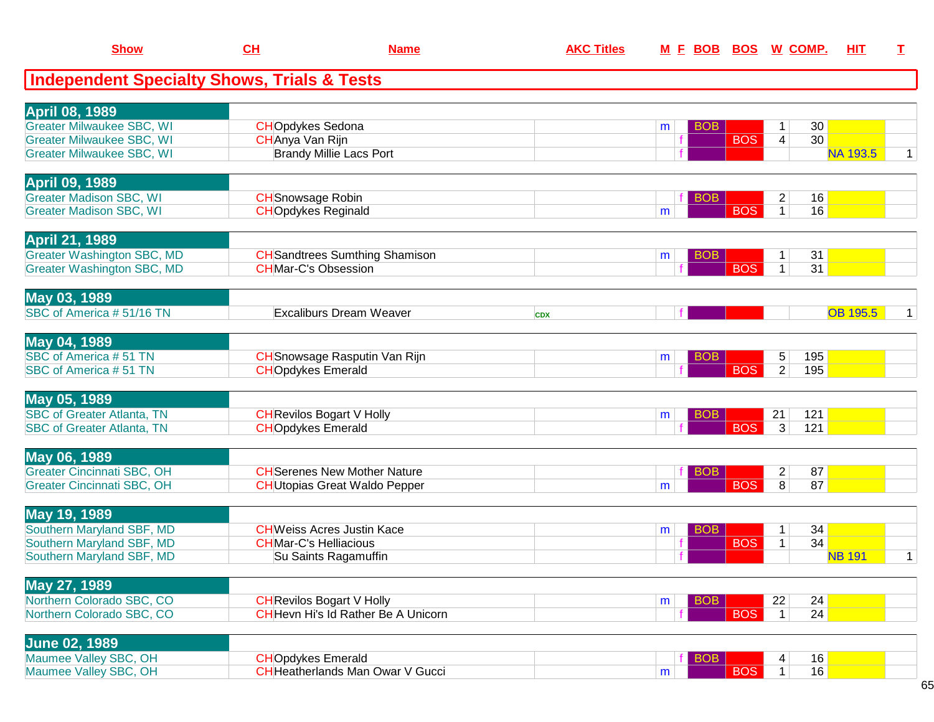| <b>Show</b>                                                            | CH                                                    | <b>Name</b>                                                                 | <b>AKC Titles</b> | <u>M F BOB</u>  |            | <b>BOS W COMP.</b>                         | HIT             | I            |
|------------------------------------------------------------------------|-------------------------------------------------------|-----------------------------------------------------------------------------|-------------------|-----------------|------------|--------------------------------------------|-----------------|--------------|
| <b>Independent Specialty Shows, Trials &amp; Tests</b>                 |                                                       |                                                                             |                   |                 |            |                                            |                 |              |
| <b>April 08, 1989</b>                                                  |                                                       |                                                                             |                   |                 |            |                                            |                 |              |
| <b>Greater Milwaukee SBC, WI</b>                                       | <b>CHOpdykes Sedona</b>                               |                                                                             |                   | <b>BOB</b><br>m |            | 30<br>1                                    |                 |              |
| <b>Greater Milwaukee SBC, WI</b><br><b>Greater Milwaukee SBC, WI</b>   | CHAnya Van Rijn                                       | <b>Brandy Millie Lacs Port</b>                                              |                   |                 | <b>BOS</b> | 30<br>4                                    | <b>NA 193.5</b> | $\mathbf{1}$ |
|                                                                        |                                                       |                                                                             |                   |                 |            |                                            |                 |              |
| <b>April 09, 1989</b>                                                  |                                                       |                                                                             |                   |                 |            |                                            |                 |              |
| <b>Greater Madison SBC, WI</b><br><b>Greater Madison SBC, WI</b>       | <b>CH</b> Snowsage Robin<br><b>CHOpdykes Reginald</b> |                                                                             |                   | <b>BOB</b><br>m | <b>BOS</b> | 16<br>$\overline{c}$<br>$\mathbf{1}$<br>16 |                 |              |
|                                                                        |                                                       |                                                                             |                   |                 |            |                                            |                 |              |
| <b>April 21, 1989</b><br><b>Greater Washington SBC, MD</b>             |                                                       | <b>CH</b> Sandtrees Sumthing Shamison                                       |                   | <b>BOB</b>      |            | 31                                         |                 |              |
| <b>Greater Washington SBC, MD</b>                                      |                                                       | <b>CHMar-C's Obsession</b>                                                  |                   | m               | <b>BOS</b> | 1<br>31<br>$\mathbf{1}$                    |                 |              |
|                                                                        |                                                       |                                                                             |                   |                 |            |                                            |                 |              |
| May 03, 1989<br>SBC of America #51/16 TN                               |                                                       | <b>Excaliburs Dream Weaver</b>                                              |                   |                 |            |                                            | <b>OB 195.5</b> | 1            |
|                                                                        |                                                       |                                                                             | <b>CDX</b>        |                 |            |                                            |                 |              |
| May 04, 1989                                                           |                                                       |                                                                             |                   |                 |            |                                            |                 |              |
| SBC of America #51 TN<br>SBC of America #51 TN                         | <b>CHOpdykes Emerald</b>                              | CH Snowsage Rasputin Van Rijn                                               |                   | <b>BOB</b><br>m | <b>BOS</b> | 5<br>195<br>$\overline{2}$<br>195          |                 |              |
|                                                                        |                                                       |                                                                             |                   |                 |            |                                            |                 |              |
| May 05, 1989                                                           |                                                       |                                                                             |                   |                 |            |                                            |                 |              |
| <b>SBC of Greater Atlanta, TN</b><br><b>SBC of Greater Atlanta, TN</b> | <b>CHOpdykes Emerald</b>                              | <b>CH</b> Revilos Bogart V Holly                                            |                   | <b>BOB</b><br>m | <b>BOS</b> | 21<br>121<br>3<br>121                      |                 |              |
|                                                                        |                                                       |                                                                             |                   |                 |            |                                            |                 |              |
| May 06, 1989                                                           |                                                       |                                                                             |                   |                 |            |                                            |                 |              |
| <b>Greater Cincinnati SBC, OH</b><br><b>Greater Cincinnati SBC, OH</b> |                                                       | <b>CH</b> Serenes New Mother Nature<br><b>CH</b> Utopias Great Waldo Pepper |                   | <b>BOB</b><br>m | <b>BOS</b> | 87<br>$\overline{c}$<br>87<br>8            |                 |              |
|                                                                        |                                                       |                                                                             |                   |                 |            |                                            |                 |              |
| May 19, 1989<br>Southern Maryland SBF, MD                              |                                                       | <b>CH</b> Weiss Acres Justin Kace                                           |                   | <b>BOB</b>      |            | 34<br>1                                    |                 |              |
| Southern Maryland SBF, MD                                              |                                                       | <b>CHMar-C's Helliacious</b>                                                |                   | m               | <b>BOS</b> | 34<br>$\mathbf 1$                          |                 |              |
| Southern Maryland SBF, MD                                              |                                                       | Su Saints Ragamuffin                                                        |                   |                 |            |                                            | <b>NB 191</b>   | $\mathbf{1}$ |
| <b>May 27, 1989</b>                                                    |                                                       |                                                                             |                   |                 |            |                                            |                 |              |
| Northern Colorado SBC, CO                                              |                                                       | <b>CH</b> Revilos Bogart V Holly                                            |                   | <b>BOB</b><br>m |            | 22<br>24                                   |                 |              |
| Northern Colorado SBC, CO                                              |                                                       | <b>CH</b> Hevn Hi's Id Rather Be A Unicorn                                  |                   |                 | <b>BOS</b> | 24<br>$\vert$ 1                            |                 |              |
| <b>June 02, 1989</b>                                                   |                                                       |                                                                             |                   |                 |            |                                            |                 |              |
| Maumee Valley SBC, OH                                                  | <b>CHOpdykes Emerald</b>                              |                                                                             |                   | <b>BOB</b>      |            | 16                                         |                 |              |
| Maumee Valley SBC, OH                                                  |                                                       | <b>CH</b> Heatherlands Man Owar V Gucci                                     |                   | m               | <b>BOS</b> | 16<br>1 <sup>1</sup>                       |                 |              |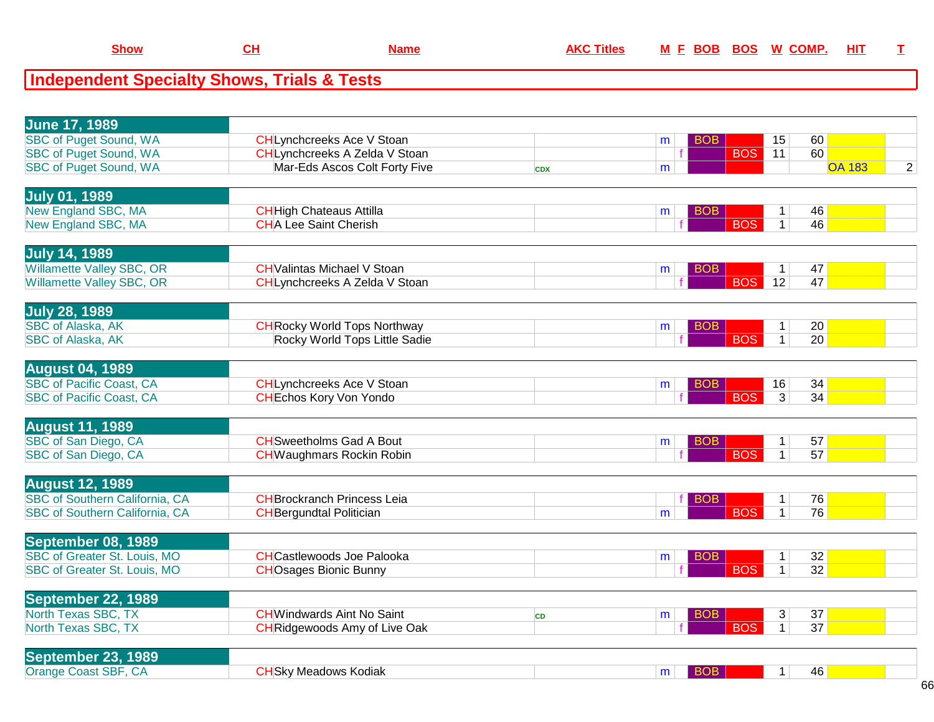| <b>Show</b>                                                         | <u>CH</u>                       | <b>Name</b>                                                        | <b>AKC Titles</b> |   | <u>M F BOB BOS</u> |            | <u>W_COMP.</u>               |                       | <u>ніт</u>    | I              |
|---------------------------------------------------------------------|---------------------------------|--------------------------------------------------------------------|-------------------|---|--------------------|------------|------------------------------|-----------------------|---------------|----------------|
| <b>Independent Specialty Shows, Trials &amp; Tests</b>              |                                 |                                                                    |                   |   |                    |            |                              |                       |               |                |
|                                                                     |                                 |                                                                    |                   |   |                    |            |                              |                       |               |                |
| <b>June 17, 1989</b>                                                |                                 |                                                                    |                   |   |                    |            |                              |                       |               |                |
| <b>SBC of Puget Sound, WA</b>                                       |                                 | <b>CHLynchcreeks Ace V Stoan</b>                                   |                   | m | <b>BOB</b>         |            | 15                           | 60                    |               |                |
| <b>SBC of Puget Sound, WA</b>                                       |                                 | <b>CHLynchcreeks A Zelda V Stoan</b>                               |                   |   |                    | <b>BOS</b> | 11                           | 60                    |               |                |
| <b>SBC of Puget Sound, WA</b>                                       |                                 | Mar-Eds Ascos Colt Forty Five                                      | <b>CDX</b>        | m |                    |            |                              |                       | <b>OA 183</b> | $\overline{2}$ |
|                                                                     |                                 |                                                                    |                   |   |                    |            |                              |                       |               |                |
| <b>July 01, 1989</b><br><b>New England SBC, MA</b>                  | <b>CH</b> High Chateaus Attilla |                                                                    |                   |   | <b>BOB</b>         |            | $\mathbf{1}$                 | 46                    |               |                |
| New England SBC, MA                                                 | <b>CHA Lee Saint Cherish</b>    |                                                                    |                   | m |                    | <b>BOS</b> | $\mathbf{1}$                 | 46                    |               |                |
|                                                                     |                                 |                                                                    |                   |   |                    |            |                              |                       |               |                |
| <b>July 14, 1989</b>                                                |                                 |                                                                    |                   |   |                    |            |                              |                       |               |                |
| <b>Willamette Valley SBC, OR</b>                                    |                                 | <b>CH</b> Valintas Michael V Stoan                                 |                   | m | BOB.               |            | $\mathbf{1}$                 | 47                    |               |                |
| Willamette Valley SBC, OR                                           |                                 | CHLynchcreeks A Zelda V Stoan                                      |                   |   |                    | <b>BOS</b> | $\overline{12}$              | 47                    |               |                |
| <b>July 28, 1989</b>                                                |                                 |                                                                    |                   |   |                    |            |                              |                       |               |                |
| <b>SBC of Alaska, AK</b>                                            |                                 | <b>CH</b> Rocky World Tops Northway                                |                   | m | <b>BOB</b>         |            | $\mathbf{1}$                 | 20                    |               |                |
| <b>SBC of Alaska, AK</b>                                            |                                 | Rocky World Tops Little Sadie                                      |                   |   |                    | <b>BOS</b> | $\overline{1}$               | $\overline{20}$       |               |                |
|                                                                     |                                 |                                                                    |                   |   |                    |            |                              |                       |               |                |
| <b>August 04, 1989</b>                                              |                                 |                                                                    |                   |   |                    |            |                              |                       |               |                |
| <b>SBC of Pacific Coast, CA</b><br><b>SBC of Pacific Coast, CA</b>  |                                 | <b>CHLynchcreeks Ace V Stoan</b><br><b>CH</b> Echos Kory Von Yondo |                   | m | <b>BOB</b>         | <b>BOS</b> | 16<br>$\overline{3}$         | 34<br>34              |               |                |
|                                                                     |                                 |                                                                    |                   |   |                    |            |                              |                       |               |                |
| <b>August 11, 1989</b>                                              |                                 |                                                                    |                   |   |                    |            |                              |                       |               |                |
| SBC of San Diego, CA                                                |                                 | <b>CH</b> Sweetholms Gad A Bout                                    |                   | m | <b>BOB</b>         |            | $\mathbf{1}$                 | 57                    |               |                |
| SBC of San Diego, CA                                                |                                 | <b>CH</b> Waughmars Rockin Robin                                   |                   |   |                    | <b>BOS</b> | $\mathbf{1}$                 | 57                    |               |                |
| <b>August 12, 1989</b>                                              |                                 |                                                                    |                   |   |                    |            |                              |                       |               |                |
| <b>SBC</b> of Southern California, CA                               |                                 | <b>CHBrockranch Princess Leia</b>                                  |                   |   | <b>BOB</b>         |            | $\mathbf{1}$                 | 76                    |               |                |
| <b>SBC of Southern California, CA</b>                               | <b>CH</b> Bergundtal Politician |                                                                    |                   | m |                    | <b>BOS</b> | $\mathbf{1}$                 | 76                    |               |                |
|                                                                     |                                 |                                                                    |                   |   |                    |            |                              |                       |               |                |
| September 08, 1989                                                  |                                 |                                                                    |                   |   |                    |            |                              |                       |               |                |
| <b>SBC of Greater St. Louis, MO</b><br>SBC of Greater St. Louis, MO |                                 | <b>CHCastlewoods Joe Palooka</b><br><b>CHOsages Bionic Bunny</b>   |                   | m | BO <sub>B</sub>    | <b>BOS</b> | $\mathbf{1}$<br>$\mathbf{1}$ | 32<br>$\overline{32}$ |               |                |
|                                                                     |                                 |                                                                    |                   |   |                    |            |                              |                       |               |                |
| <b>September 22, 1989</b>                                           |                                 |                                                                    |                   |   |                    |            |                              |                       |               |                |
| North Texas SBC, TX                                                 |                                 | <b>CH</b> Windwards Aint No Saint                                  | <b>CD</b>         | m | <b>BOB</b>         |            | 3                            | 37                    |               |                |
| North Texas SBC, TX                                                 |                                 | <b>CH</b> Ridgewoods Amy of Live Oak                               |                   |   |                    | <b>BOS</b> | $\overline{1}$               | $\overline{37}$       |               |                |

**CH Name AKC Titles** 

**Show**

| <b>September 23, 1989</b>                        |                     |  |    |
|--------------------------------------------------|---------------------|--|----|
| Orange Coast SBF, C<br>$\mathbf{C}^{\mathbf{P}}$ | HSky Meadows Kodiak |  | 46 |
|                                                  |                     |  |    |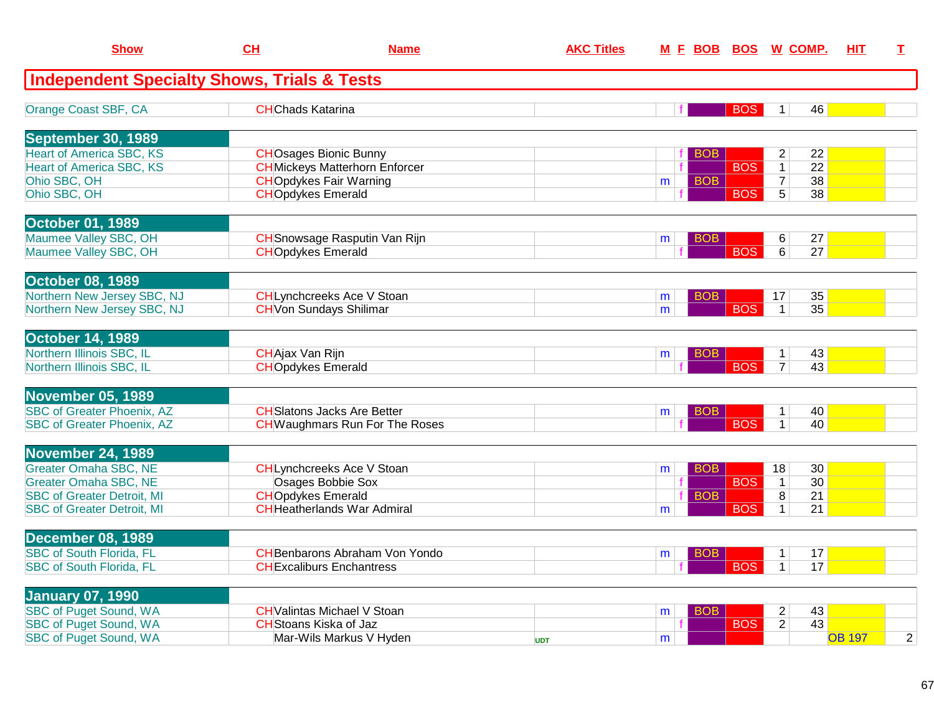| <b>Show</b>                                              | CH                       | <b>Name</b>                                                            | <b>AKC Titles</b> |                 |            | <u>M F BOB BOS W COMP.</u>                                | HIT.          | I |
|----------------------------------------------------------|--------------------------|------------------------------------------------------------------------|-------------------|-----------------|------------|-----------------------------------------------------------|---------------|---|
| <b>Independent Specialty Shows, Trials &amp; Tests</b>   |                          |                                                                        |                   |                 |            |                                                           |               |   |
| Orange Coast SBF, CA                                     | <b>CHChads Katarina</b>  |                                                                        |                   | $\mathbf{f}$    | <b>BOS</b> | 46<br>1                                                   |               |   |
| <b>September 30, 1989</b>                                |                          |                                                                        |                   |                 |            |                                                           |               |   |
| <b>Heart of America SBC, KS</b>                          |                          | <b>CHOsages Bionic Bunny</b>                                           |                   | <b>BOB</b>      |            | $\overline{c}$<br>22                                      |               |   |
| <b>Heart of America SBC, KS</b><br>Ohio SBC, OH          |                          | <b>CH</b> Mickeys Matterhorn Enforcer<br><b>CHOpdykes Fair Warning</b> |                   | <b>BOB</b>      | <b>BOS</b> | $\overline{22}$<br>1<br>$\overline{38}$<br>$\overline{7}$ |               |   |
| Ohio SBC, OH                                             | <b>CHOpdykes Emerald</b> |                                                                        |                   | m               | <b>BOS</b> | $\overline{5}$<br>38                                      |               |   |
|                                                          |                          |                                                                        |                   |                 |            |                                                           |               |   |
| <b>October 01, 1989</b>                                  |                          |                                                                        |                   |                 |            |                                                           |               |   |
| Maumee Valley SBC, OH                                    |                          | <b>CH</b> Snowsage Rasputin Van Rijn                                   |                   | BOB<br>m        |            | 27<br>6                                                   |               |   |
| Maumee Valley SBC, OH                                    | <b>CHOpdykes Emerald</b> |                                                                        |                   |                 | <b>BOS</b> | 27<br>6 <sup>1</sup>                                      |               |   |
| <b>October 08, 1989</b>                                  |                          |                                                                        |                   |                 |            |                                                           |               |   |
| Northern New Jersey SBC, NJ                              |                          | <b>CHLynchcreeks Ace V Stoan</b>                                       |                   | BOB<br>m        |            | 35<br>17                                                  |               |   |
| Northern New Jersey SBC, NJ                              |                          | <b>CH</b> Von Sundays Shilimar                                         |                   | m               | <b>BOS</b> | 35<br>1                                                   |               |   |
|                                                          |                          |                                                                        |                   |                 |            |                                                           |               |   |
| <b>October 14, 1989</b>                                  |                          |                                                                        |                   |                 |            |                                                           |               |   |
| Northern Illinois SBC, IL                                | <b>CHAjax Van Rijn</b>   |                                                                        |                   | BOB<br>m        |            | 43<br>1                                                   |               |   |
| Northern Illinois SBC, IL                                | <b>CHOpdykes Emerald</b> |                                                                        |                   |                 | <b>BOS</b> | $\overline{7}$<br>43                                      |               |   |
| <b>November 05, 1989</b>                                 |                          |                                                                        |                   |                 |            |                                                           |               |   |
| <b>SBC of Greater Phoenix, AZ</b>                        |                          | <b>CH</b> Slatons Jacks Are Better                                     |                   | <b>BOB</b><br>m |            | 40<br>1 <sup>1</sup>                                      |               |   |
| <b>SBC of Greater Phoenix, AZ</b>                        |                          | <b>CH</b> Waughmars Run For The Roses                                  |                   |                 | <b>BOS</b> | 40<br>$\mathbf{1}$                                        |               |   |
|                                                          |                          |                                                                        |                   |                 |            |                                                           |               |   |
| <b>November 24, 1989</b>                                 |                          |                                                                        |                   |                 |            |                                                           |               |   |
| <b>Greater Omaha SBC, NE</b>                             |                          | <b>CHLynchcreeks Ace V Stoan</b>                                       |                   | <b>BOB</b><br>m |            | 30<br>18                                                  |               |   |
| <b>Greater Omaha SBC, NE</b>                             |                          | Osages Bobbie Sox                                                      |                   |                 | <b>BOS</b> | 30<br>$\mathbf{1}$                                        |               |   |
| <b>SBC of Greater Detroit, MI</b>                        | <b>CHOpdykes Emerald</b> |                                                                        |                   | <b>BOB</b>      |            | 8<br>21                                                   |               |   |
| <b>SBC of Greater Detroit, MI</b>                        |                          | <b>CHHeatherlands War Admiral</b>                                      |                   | m               | <b>BOS</b> | 21<br>$\mathbf{1}$                                        |               |   |
| <b>December 08, 1989</b>                                 |                          |                                                                        |                   |                 |            |                                                           |               |   |
| <b>SBC of South Florida, FL</b>                          |                          | <b>CH</b> Benbarons Abraham Von Yondo                                  |                   | <b>BOB</b><br>m |            | 17<br>$\mathbf{1}$                                        |               |   |
| <b>SBC of South Florida, FL</b>                          |                          | <b>CHExcaliburs Enchantress</b>                                        |                   |                 | <b>BOS</b> | 17<br>1 <sup>1</sup>                                      |               |   |
|                                                          |                          |                                                                        |                   |                 |            |                                                           |               |   |
| <b>January 07, 1990</b><br><b>SBC of Puget Sound, WA</b> |                          | <b>CH</b> Valintas Michael V Stoan                                     |                   | <b>BOB</b>      |            | 43                                                        |               |   |
| <b>SBC of Puget Sound, WA</b>                            |                          | <b>CH</b> Stoans Kiska of Jaz                                          |                   | m               | <b>BOS</b> | $\overline{2}$<br>$\overline{2}$<br>43                    |               |   |
| <b>SBC of Puget Sound, WA</b>                            |                          | Mar-Wils Markus V Hyden                                                | <b>UDT</b>        | m               |            |                                                           | <b>OB 197</b> | 2 |
|                                                          |                          |                                                                        |                   |                 |            |                                                           |               |   |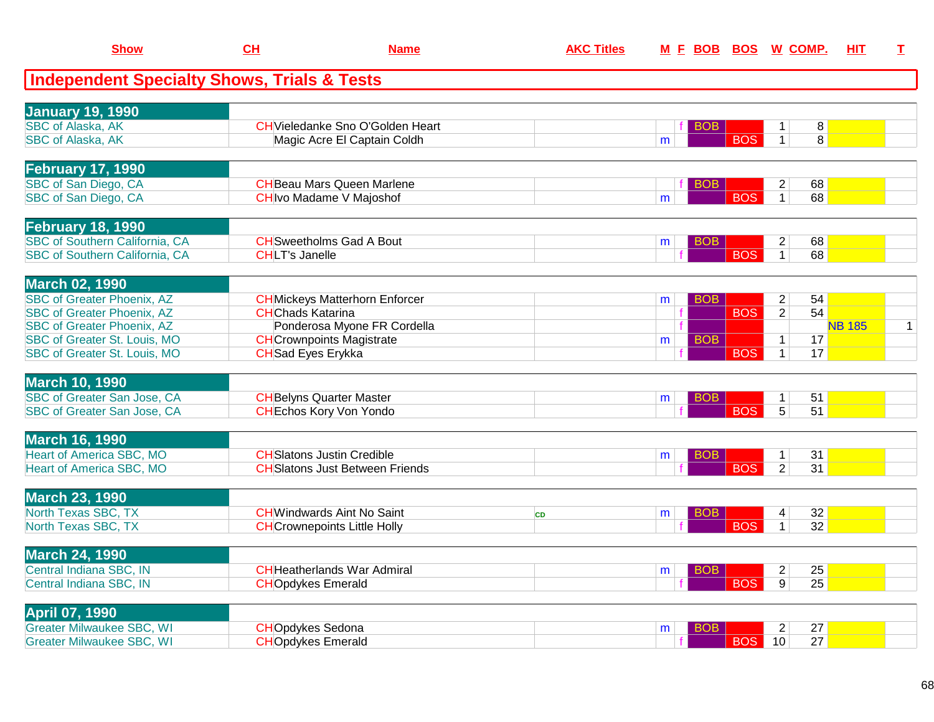| <b>Show</b>                                                                    | CH                        | <b>Name</b>                             | <b>AKC Titles</b> | <u>M E BOB</u> |                               | <b>BOS W COMP.</b>                           | HIT           | I.             |
|--------------------------------------------------------------------------------|---------------------------|-----------------------------------------|-------------------|----------------|-------------------------------|----------------------------------------------|---------------|----------------|
| <b>Independent Specialty Shows, Trials &amp; Tests</b>                         |                           |                                         |                   |                |                               |                                              |               |                |
| <b>January 19, 1990</b>                                                        |                           |                                         |                   |                |                               |                                              |               |                |
| <b>SBC of Alaska, AK</b>                                                       |                           | <b>CH</b> Vieledanke Sno O'Golden Heart |                   |                | BOB                           | 8 <sup>1</sup><br>$\mathbf 1$                |               |                |
| <b>SBC of Alaska, AK</b>                                                       |                           | Magic Acre El Captain Coldh             |                   | m              | <b>BOS</b>                    | $\overline{8}$<br>$\mathbf{1}$               |               |                |
| <b>February 17, 1990</b>                                                       |                           |                                         |                   |                |                               |                                              |               |                |
| SBC of San Diego, CA                                                           |                           | <b>CH</b> Beau Mars Queen Marlene       |                   |                | BO <sub>B</sub>               | 68<br>$\overline{2}$                         |               |                |
| SBC of San Diego, CA                                                           |                           | <b>CH</b> Ivo Madame V Majoshof         |                   | m              | <b>BOS</b>                    | 68<br>$\overline{1}$                         |               |                |
| <b>February 18, 1990</b>                                                       |                           |                                         |                   |                |                               |                                              |               |                |
| <b>SBC of Southern California, CA</b><br><b>SBC of Southern California, CA</b> |                           | <b>CH</b> Sweetholms Gad A Bout         |                   | m              | <b>BOB</b><br><b>BOS</b>      | $\overline{2}$<br>68                         |               |                |
|                                                                                | <b>CHLT's Janelle</b>     |                                         |                   |                |                               | 68<br>$\mathbf{1}$                           |               |                |
| <b>March 02, 1990</b>                                                          |                           |                                         |                   |                |                               |                                              |               |                |
| <b>SBC of Greater Phoenix, AZ</b><br><b>SBC of Greater Phoenix, AZ</b>         | <b>CH</b> Chads Katarina  | <b>CH</b> Mickeys Matterhorn Enforcer   |                   | m              | BO <sub>B</sub><br><b>BOS</b> | 54<br>$\overline{2}$<br>$\overline{2}$<br>54 |               |                |
| <b>SBC of Greater Phoenix, AZ</b>                                              |                           | Ponderosa Myone FR Cordella             |                   |                |                               |                                              | <b>NB 185</b> | $\overline{1}$ |
| SBC of Greater St. Louis, MO                                                   |                           | <b>CH</b> Crownpoints Magistrate        |                   | m              | <b>BOB</b>                    | 17<br>$\mathbf 1$                            |               |                |
| SBC of Greater St. Louis, MO                                                   | <b>CH</b> Sad Eyes Erykka |                                         |                   |                | <b>BOS</b>                    | $\mathbf{1}$<br>17                           |               |                |
| <b>March 10, 1990</b>                                                          |                           |                                         |                   |                |                               |                                              |               |                |
| <b>SBC of Greater San Jose, CA</b>                                             |                           | <b>CH</b> Belyns Quarter Master         |                   | m              | <b>BOB</b>                    | 51<br>$\mathbf 1$                            |               |                |
| <b>SBC of Greater San Jose, CA</b>                                             |                           | <b>CHEchos Kory Von Yondo</b>           |                   |                | <b>BOS</b>                    | $\overline{5}$<br>$\overline{51}$            |               |                |
| <b>March 16, 1990</b>                                                          |                           |                                         |                   |                |                               |                                              |               |                |
| <b>Heart of America SBC, MO</b>                                                |                           | <b>CH</b> Slatons Justin Credible       |                   | m              | <b>BOB</b>                    | $\mathbf{1}$<br>31                           |               |                |
| <b>Heart of America SBC, MO</b>                                                |                           | <b>CH</b> Slatons Just Between Friends  |                   |                | <b>BOS</b>                    | $\overline{2}$<br>31                         |               |                |
| <b>March 23, 1990</b>                                                          |                           |                                         |                   |                |                               |                                              |               |                |
| North Texas SBC, TX                                                            |                           | <b>CHWindwards Aint No Saint</b>        | <b>CD</b>         | m              | <b>BOB</b>                    | 32<br>4                                      |               |                |
| North Texas SBC, TX                                                            |                           | <b>CH</b> Crownepoints Little Holly     |                   |                | <b>BOS</b>                    | 32<br>$\mathbf{1}$                           |               |                |
| <b>March 24, 1990</b>                                                          |                           |                                         |                   |                |                               |                                              |               |                |
| Central Indiana SBC, IN                                                        |                           | <b>CH</b> Heatherlands War Admiral      |                   | m              | <b>BOB</b>                    | 25<br>$\overline{2}$                         |               |                |
| Central Indiana SBC, IN                                                        | <b>CHOpdykes Emerald</b>  |                                         |                   |                | <b>BOS</b>                    | $\overline{9}$<br>$\overline{25}$            |               |                |
| <b>April 07, 1990</b>                                                          |                           |                                         |                   |                |                               |                                              |               |                |
| <b>Greater Milwaukee SBC, WI</b>                                               | <b>CHOpdykes Sedona</b>   |                                         |                   | m              | <b>BOB</b>                    | $\overline{2}$<br>27                         |               |                |
| <b>Greater Milwaukee SBC, WI</b>                                               | <b>CHOpdykes Emerald</b>  |                                         |                   |                | <b>BOS</b>                    | 27<br>10                                     |               |                |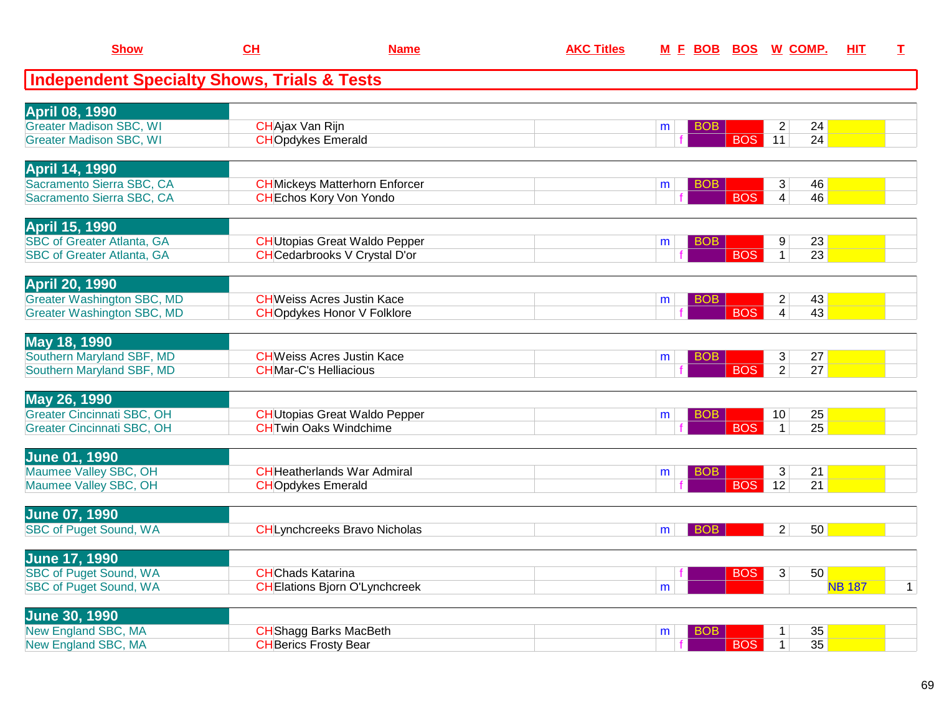| <b>Show</b>                                                            | $CH$                          | <b>Name</b>                                                           | <b>AKC Titles</b> | <u>M F BOB</u>  |            | <u>BOS W COMP.</u>                            | <u>HIT</u>    | I            |
|------------------------------------------------------------------------|-------------------------------|-----------------------------------------------------------------------|-------------------|-----------------|------------|-----------------------------------------------|---------------|--------------|
| <b>Independent Specialty Shows, Trials &amp; Tests</b>                 |                               |                                                                       |                   |                 |            |                                               |               |              |
| <b>April 08, 1990</b>                                                  |                               |                                                                       |                   |                 |            |                                               |               |              |
| <b>Greater Madison SBC, WI</b>                                         | <b>CHAjax Van Rijn</b>        |                                                                       |                   | BOB<br>m        |            | 24<br>$\overline{2}$                          |               |              |
| <b>Greater Madison SBC, WI</b>                                         | <b>CHOpdykes Emerald</b>      |                                                                       |                   |                 | <b>BOS</b> | 24<br>11                                      |               |              |
| <b>April 14, 1990</b>                                                  |                               |                                                                       |                   |                 |            |                                               |               |              |
| Sacramento Sierra SBC, CA                                              |                               | <b>CH</b> Mickeys Matterhorn Enforcer                                 |                   | BOB.<br>m       |            | 46<br>3                                       |               |              |
| Sacramento Sierra SBC, CA                                              |                               | <b>CH</b> Echos Kory Von Yondo                                        |                   |                 | <b>BOS</b> | $\overline{4}$<br>46                          |               |              |
| <b>April 15, 1990</b>                                                  |                               |                                                                       |                   |                 |            |                                               |               |              |
| <b>SBC of Greater Atlanta, GA</b>                                      |                               | <b>CH</b> Utopias Great Waldo Pepper                                  |                   | BOB<br>m        |            | 23<br>9 <sup>°</sup>                          |               |              |
| <b>SBC of Greater Atlanta, GA</b>                                      |                               | <b>CH</b> Cedarbrooks V Crystal D'or                                  |                   |                 | <b>BOS</b> | $\mathbf{1}$<br>$\overline{23}$               |               |              |
| <b>April 20, 1990</b>                                                  |                               |                                                                       |                   |                 |            |                                               |               |              |
| <b>Greater Washington SBC, MD</b><br><b>Greater Washington SBC, MD</b> |                               | <b>CHWeiss Acres Justin Kace</b><br><b>CHOpdykes Honor V Folklore</b> |                   | BOB<br>m        | <b>BOS</b> | 43<br>2<br>$\overline{4}$<br>43               |               |              |
|                                                                        |                               |                                                                       |                   |                 |            |                                               |               |              |
| May 18, 1990<br>Southern Maryland SBF, MD                              |                               | <b>CHWeiss Acres Justin Kace</b>                                      |                   |                 |            |                                               |               |              |
| Southern Maryland SBF, MD                                              | <b>CHMar-C's Helliacious</b>  |                                                                       |                   | BOB.<br>m       | <b>BOS</b> | 27<br>3 <br>$\overline{2}$<br>$\overline{27}$ |               |              |
|                                                                        |                               |                                                                       |                   |                 |            |                                               |               |              |
| May 26, 1990<br><b>Greater Cincinnati SBC, OH</b>                      |                               | <b>CH</b> Utopias Great Waldo Pepper                                  |                   | BOB             |            | 25<br>10 <sup>1</sup>                         |               |              |
| <b>Greater Cincinnati SBC, OH</b>                                      |                               | <b>CHTwin Oaks Windchime</b>                                          |                   | m               | <b>BOS</b> | 25<br>1                                       |               |              |
|                                                                        |                               |                                                                       |                   |                 |            |                                               |               |              |
| <b>June 01, 1990</b><br>Maumee Valley SBC, OH                          |                               | <b>CH</b> Heatherlands War Admiral                                    |                   | <b>BOB</b><br>m |            | 21<br>3                                       |               |              |
| Maumee Valley SBC, OH                                                  | <b>CHOpdykes Emerald</b>      |                                                                       |                   |                 | <b>BOS</b> | 12<br>21                                      |               |              |
|                                                                        |                               |                                                                       |                   |                 |            |                                               |               |              |
| <b>June 07, 1990</b>                                                   |                               |                                                                       |                   |                 |            |                                               |               |              |
| <b>SBC of Puget Sound, WA</b>                                          |                               | <b>CH</b> Lynchcreeks Bravo Nicholas                                  |                   | <b>BOB</b><br>m |            | 50<br>2                                       |               |              |
| <b>June 17, 1990</b>                                                   |                               |                                                                       |                   |                 |            |                                               |               |              |
| <b>SBC of Puget Sound, WA</b>                                          | <b>CHChads Katarina</b>       |                                                                       |                   | f               | <b>BOS</b> | 50<br>3                                       |               |              |
| <b>SBC of Puget Sound, WA</b>                                          |                               | <b>CHElations Bjorn O'Lynchcreek</b>                                  |                   | m               |            |                                               | <b>NB 187</b> | $\mathbf{1}$ |
| <b>June 30, 1990</b>                                                   |                               |                                                                       |                   |                 |            |                                               |               |              |
| New England SBC, MA                                                    | <b>CH</b> Shagg Barks MacBeth |                                                                       |                   | <b>BOB</b><br>m |            | 35<br>$\mathbf 1$                             |               |              |
| New England SBC, MA                                                    | <b>CH</b> Berics Frosty Bear  |                                                                       |                   |                 | <b>BOS</b> | $\mathbf{1}$<br>35                            |               |              |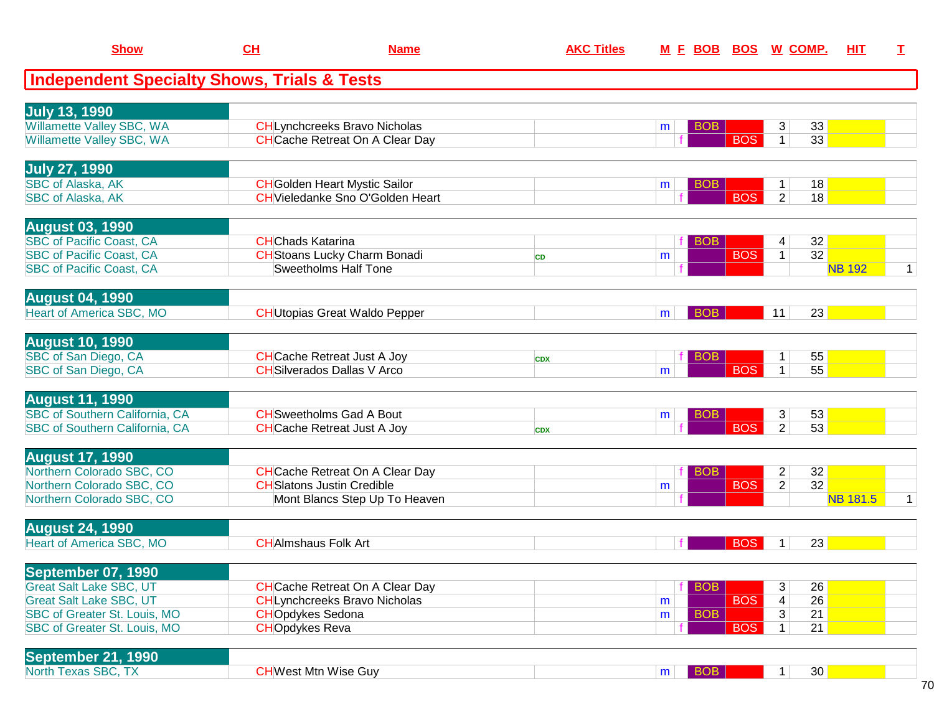| <b>Show</b>                                            | CL                       | <b>Name</b>                             | <b>AKC Titles</b> |                      |            | M E BOB BOS W COMP.           | HIT             | I            |
|--------------------------------------------------------|--------------------------|-----------------------------------------|-------------------|----------------------|------------|-------------------------------|-----------------|--------------|
| <b>Independent Specialty Shows, Trials &amp; Tests</b> |                          |                                         |                   |                      |            |                               |                 |              |
| <b>July 13, 1990</b>                                   |                          |                                         |                   |                      |            |                               |                 |              |
| Willamette Valley SBC, WA                              |                          | <b>CHLynchcreeks Bravo Nicholas</b>     |                   | <b>BOB</b><br>m      |            | 3<br>33                       |                 |              |
| Willamette Valley SBC, WA                              |                          | <b>CH</b> Cache Retreat On A Clear Day  |                   |                      | <b>BOS</b> | $\mathbf{1}$<br>33            |                 |              |
| <b>July 27, 1990</b>                                   |                          |                                         |                   |                      |            |                               |                 |              |
| SBC of Alaska, AK                                      |                          | <b>CH</b> Golden Heart Mystic Sailor    |                   | <b>BOB</b><br>m      |            | 18<br>$\mathbf{1}$            |                 |              |
| <b>SBC of Alaska, AK</b>                               |                          | <b>CH</b> Vieledanke Sno O'Golden Heart |                   |                      | <b>BOS</b> | $\overline{2}$<br>18          |                 |              |
| <b>August 03, 1990</b>                                 |                          |                                         |                   |                      |            |                               |                 |              |
| <b>SBC of Pacific Coast, CA</b>                        | <b>CH</b> Chads Katarina |                                         |                   | <b>BOB</b>           |            | 32<br>4                       |                 |              |
| <b>SBC of Pacific Coast, CA</b>                        |                          | <b>CH</b> Stoans Lucky Charm Bonadi     | <b>CD</b>         | m                    | <b>BOS</b> | 32<br>$\mathbf{1}$            |                 |              |
| <b>SBC of Pacific Coast, CA</b>                        |                          | <b>Sweetholms Half Tone</b>             |                   |                      |            |                               | <b>NB 192</b>   | $\mathbf{1}$ |
| <b>August 04, 1990</b>                                 |                          |                                         |                   |                      |            |                               |                 |              |
| Heart of America SBC, MO                               |                          | <b>CH</b> Utopias Great Waldo Pepper    |                   | <b>BOB</b><br>m      |            | 11<br>23                      |                 |              |
| <b>August 10, 1990</b>                                 |                          |                                         |                   |                      |            |                               |                 |              |
| SBC of San Diego, CA                                   |                          | <b>CH</b> Cache Retreat Just A Joy      | <b>CDX</b>        | <b>BOB</b>           |            | 55<br>1                       |                 |              |
| SBC of San Diego, CA                                   |                          | <b>CH</b> Silverados Dallas V Arco      |                   | m                    | <b>BOS</b> | 55<br>$\mathbf{1}$            |                 |              |
| <b>August 11, 1990</b>                                 |                          |                                         |                   |                      |            |                               |                 |              |
| SBC of Southern California, CA                         |                          | <b>CH</b> Sweetholms Gad A Bout         |                   | BO <sub>B</sub><br>m |            | 3<br>53                       |                 |              |
| SBC of Southern California, CA                         |                          | <b>CH</b> Cache Retreat Just A Joy      | <b>CDX</b>        |                      | <b>BOS</b> | 53<br>$\overline{2}$          |                 |              |
| <b>August 17, 1990</b>                                 |                          |                                         |                   |                      |            |                               |                 |              |
| Northern Colorado SBC, CO                              |                          | <b>CH</b> Cache Retreat On A Clear Day  |                   | <b>BOB</b>           |            | $\overline{c}$<br>32          |                 |              |
| Northern Colorado SBC, CO                              |                          | <b>CH</b> Slatons Justin Credible       |                   | m                    | <b>BOS</b> | 32<br>$\overline{2}$          |                 |              |
| Northern Colorado SBC, CO                              |                          | Mont Blancs Step Up To Heaven           |                   |                      |            |                               | <b>NB 181.5</b> | $\mathbf{1}$ |
| <b>August 24, 1990</b>                                 |                          |                                         |                   |                      |            |                               |                 |              |
| <b>Heart of America SBC, MO</b>                        |                          | <b>CH</b> AImshaus Folk Art             |                   |                      | <b>BOS</b> | 23<br>$\mathbf{1}$            |                 |              |
| <b>September 07, 1990</b>                              |                          |                                         |                   |                      |            |                               |                 |              |
| <b>Great Salt Lake SBC, UT</b>                         |                          | <b>CH</b> Cache Retreat On A Clear Day  |                   | <b>BOB</b>           |            | 26<br>3                       |                 |              |
| <b>Great Salt Lake SBC, UT</b>                         |                          | <b>CHLynchcreeks Bravo Nicholas</b>     |                   | m                    | <b>BOS</b> | 26<br>$\overline{\mathbf{4}}$ |                 |              |
| SBC of Greater St. Louis, MO                           | <b>CHOpdykes Sedona</b>  |                                         |                   | <b>BOB</b><br>m      |            | 3<br>21                       |                 |              |
| SBC of Greater St. Louis, MO                           | <b>CHOpdykes Reva</b>    |                                         |                   |                      | <b>BOS</b> | $\mathbf{1}$<br>21            |                 |              |
| <b>September 21, 1990</b>                              |                          |                                         |                   |                      |            |                               |                 |              |
| North Texas SBC, TX                                    |                          | <b>CHWest Mtn Wise Guy</b>              |                   | BOB<br>m             |            | 30<br>1                       |                 |              |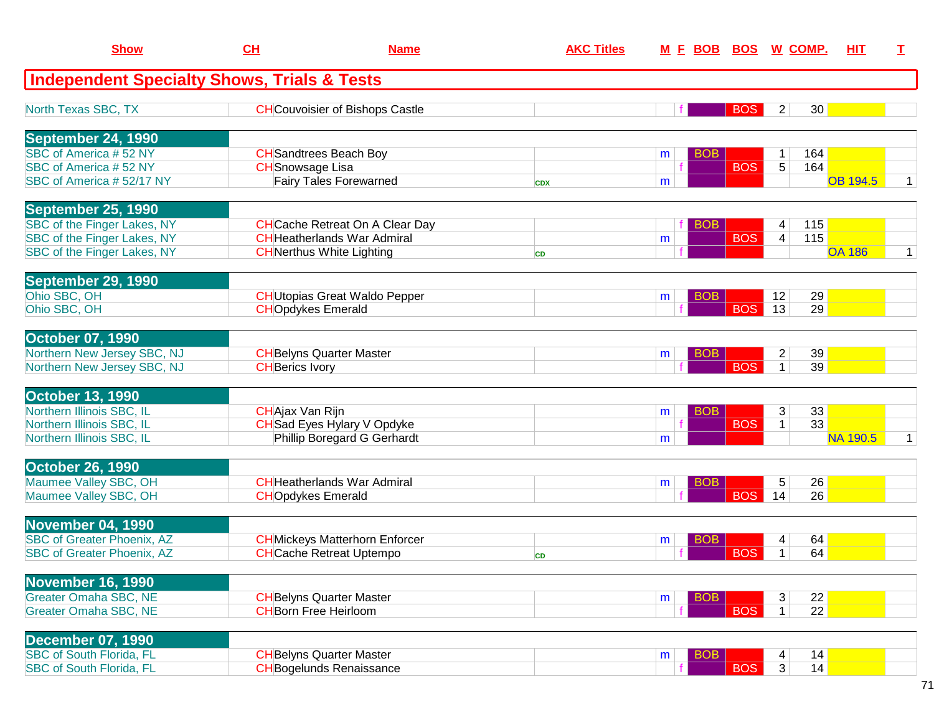| <b>Show</b>                                            | CH                       | <b>Name</b>                            | <b>AKC Titles</b> | <u>M F BOB</u>  | <b>BOS</b> | <u>W_COMP.</u> | <b>HIT</b>      | T.          |
|--------------------------------------------------------|--------------------------|----------------------------------------|-------------------|-----------------|------------|----------------|-----------------|-------------|
| <b>Independent Specialty Shows, Trials &amp; Tests</b> |                          |                                        |                   |                 |            |                |                 |             |
| North Texas SBC, TX                                    |                          | <b>CH</b> Couvoisier of Bishops Castle |                   |                 | <b>BOS</b> | $\overline{2}$ | 30              |             |
| September 24, 1990                                     |                          |                                        |                   |                 |            |                |                 |             |
| SBC of America #52 NY                                  |                          | <b>CH</b> Sandtrees Beach Boy          |                   | <b>BOB</b><br>m |            | 1              | 164             |             |
| SBC of America #52 NY                                  | <b>CH</b> Snowsage Lisa  |                                        |                   |                 | <b>BOS</b> | $\overline{5}$ | 164             |             |
| SBC of America #52/17 NY                               |                          | <b>Fairy Tales Forewarned</b>          | <b>CDX</b>        | m               |            |                | <b>OB 194.5</b> | 1           |
| September 25, 1990                                     |                          |                                        |                   |                 |            |                |                 |             |
| SBC of the Finger Lakes, NY                            |                          | <b>CH</b> Cache Retreat On A Clear Day |                   | <b>BOB</b>      |            | 4              | 115             |             |
| SBC of the Finger Lakes, NY                            |                          | <b>CH</b> Heatherlands War Admiral     |                   | m               | <b>BOS</b> | $\overline{4}$ | 115             |             |
| SBC of the Finger Lakes, NY                            |                          | <b>CH</b> Nerthus White Lighting       | <b>CD</b>         |                 |            |                | <b>OA 186</b>   | $\mathbf 1$ |
| September 29, 1990                                     |                          |                                        |                   |                 |            |                |                 |             |
| Ohio SBC, OH                                           |                          | <b>CH</b> Utopias Great Waldo Pepper   |                   | <b>BOB</b><br>m |            | 12             | 29              |             |
| Ohio SBC, OH                                           | <b>CHOpdykes Emerald</b> |                                        |                   |                 | <b>BOS</b> | 13             | 29              |             |
| <b>October 07, 1990</b>                                |                          |                                        |                   |                 |            |                |                 |             |
| Northern New Jersey SBC, NJ                            |                          | <b>CH</b> Belyns Quarter Master        |                   | <b>BOB</b><br>m |            | $\overline{2}$ | 39              |             |
| Northern New Jersey SBC, NJ                            | <b>CH</b> Berics Ivory   |                                        |                   |                 | <b>BOS</b> | $\mathbf{1}$   | 39              |             |
| <b>October 13, 1990</b>                                |                          |                                        |                   |                 |            |                |                 |             |
| Northern Illinois SBC, IL                              | CHAjax Van Rijn          |                                        |                   | <b>BOB</b><br>m |            | 3              | 33              |             |
| Northern Illinois SBC, IL                              |                          | <b>CH</b> Sad Eyes Hylary V Opdyke     |                   |                 | <b>BOS</b> | $\mathbf{1}$   | $\overline{33}$ |             |
| Northern Illinois SBC, IL                              |                          | Phillip Boregard G Gerhardt            |                   | m               |            |                | <b>NA 190.5</b> | $\mathbf 1$ |
| <b>October 26, 1990</b>                                |                          |                                        |                   |                 |            |                |                 |             |
| Maumee Valley SBC, OH                                  |                          | <b>CH</b> Heatherlands War Admiral     |                   | <b>BOB</b><br>m |            | 5              | 26              |             |
| Maumee Valley SBC, OH                                  | <b>CHOpdykes Emerald</b> |                                        |                   |                 | <b>BOS</b> | 14             | 26              |             |
| November 04, 1990                                      |                          |                                        |                   |                 |            |                |                 |             |
| <b>SBC of Greater Phoenix, AZ</b>                      |                          | <b>CH</b> Mickeys Matterhorn Enforcer  |                   | BOB<br>m        |            | 4              | 64              |             |
| <b>SBC of Greater Phoenix, AZ</b>                      |                          | <b>CH</b> Cache Retreat Uptempo        | <b>CD</b>         |                 | <b>BOS</b> | 1              | 64              |             |
| <b>November 16, 1990</b>                               |                          |                                        |                   |                 |            |                |                 |             |
| <b>Greater Omaha SBC, NE</b>                           |                          | <b>CH</b> Belyns Quarter Master        |                   | <b>BOB</b><br>m |            | 3              | 22              |             |
| <b>Greater Omaha SBC, NE</b>                           |                          | <b>CHBorn Free Heirloom</b>            |                   |                 | <b>BOS</b> | 1 <sup>1</sup> | 22              |             |
| <b>December 07, 1990</b>                               |                          |                                        |                   |                 |            |                |                 |             |
| <b>SBC of South Florida, FL</b>                        |                          | <b>CH</b> Belyns Quarter Master        |                   | <b>BOB</b><br>m |            | 4              | 14              |             |
| <b>SBC of South Florida, FL</b>                        |                          | <b>CH</b> Bogelunds Renaissance        |                   |                 | <b>BOS</b> | 3              | 14              |             |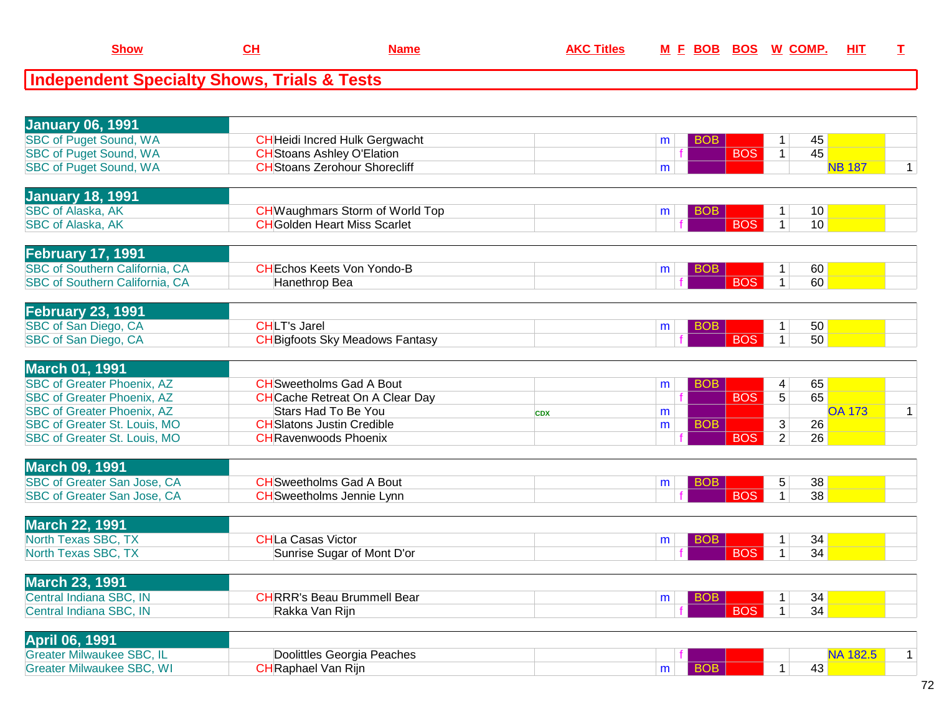| <b>January 06, 1991</b>               |                                        |            |                 |                         |                 |                |
|---------------------------------------|----------------------------------------|------------|-----------------|-------------------------|-----------------|----------------|
| <b>SBC of Puget Sound, WA</b>         | <b>CH</b> Heidi Incred Hulk Gergwacht  |            | <b>BOB</b><br>m | 1                       | 45              |                |
| <b>SBC of Puget Sound, WA</b>         | <b>CH</b> Stoans Ashley O'Elation      |            | <b>BOS</b>      | $\mathbf{1}$            | 45              |                |
| <b>SBC of Puget Sound, WA</b>         | <b>CH</b> Stoans Zerohour Shorecliff   |            | m               |                         | <b>NB 187</b>   | $\mathbf{1}$   |
| <b>January 18, 1991</b>               |                                        |            |                 |                         |                 |                |
| <b>SBC of Alaska, AK</b>              | <b>CH</b> Waughmars Storm of World Top |            | <b>BOB</b><br>m | 1                       | 10              |                |
| <b>SBC of Alaska, AK</b>              | <b>CH</b> Golden Heart Miss Scarlet    |            | <b>BOS</b>      | 1 <sup>1</sup>          | 10              |                |
| <b>February 17, 1991</b>              |                                        |            |                 |                         |                 |                |
| <b>SBC of Southern California, CA</b> | <b>CHEchos Keets Von Yondo-B</b>       |            | <b>BOB</b><br>m | $\mathbf{1}$            | 60              |                |
| <b>SBC of Southern California, CA</b> | Hanethrop Bea                          |            | <b>BOS</b>      | $\mathbf{1}$            | 60              |                |
| <b>February 23, 1991</b>              |                                        |            |                 |                         |                 |                |
| SBC of San Diego, CA                  | <b>CHLT's Jarel</b>                    |            | <b>BOB</b><br>m | $\mathbf{1}$            | 50              |                |
| SBC of San Diego, CA                  | <b>CH</b> Bigfoots Sky Meadows Fantasy |            | <b>BOS</b>      | $\mathbf{1}$            | 50              |                |
| <b>March 01, 1991</b>                 |                                        |            |                 |                         |                 |                |
| <b>SBC of Greater Phoenix, AZ</b>     | <b>CH</b> Sweetholms Gad A Bout        |            | <b>BOB</b><br>m | $\overline{\mathbf{4}}$ | 65              |                |
| <b>SBC of Greater Phoenix, AZ</b>     | <b>CH</b> Cache Retreat On A Clear Day |            | <b>BOS</b>      | $\overline{5}$          | 65              |                |
| <b>SBC of Greater Phoenix, AZ</b>     | <b>Stars Had To Be You</b>             | <b>CDX</b> | m               |                         | <b>OA 173</b>   | $\overline{1}$ |
| SBC of Greater St. Louis, MO          | <b>CH</b> Slatons Justin Credible      |            | <b>BOB</b><br>m | 3                       | 26              |                |
| SBC of Greater St. Louis, MO          | <b>CH</b> Ravenwoods Phoenix           |            | <b>BOS</b>      | $\overline{2}$          | 26              |                |
| <b>March 09, 1991</b>                 |                                        |            |                 |                         |                 |                |
| <b>SBC of Greater San Jose, CA</b>    | <b>CH</b> Sweetholms Gad A Bout        |            | <b>BOB</b><br>m | 5                       | 38              |                |
| SBC of Greater San Jose, CA           | <b>CH</b> Sweetholms Jennie Lynn       |            | <b>BOS</b>      | $\mathbf{1}$            | $\overline{38}$ |                |
| <b>March 22, 1991</b>                 |                                        |            |                 |                         |                 |                |
| North Texas SBC, TX                   | <b>CHLa Casas Victor</b>               |            | <b>BOB</b><br>m | $\mathbf{1}$            | 34              |                |
| North Texas SBC, TX                   | Sunrise Sugar of Mont D'or             |            | <b>BOS</b>      | $\mathbf{1}$            | 34              |                |
| <b>March 23, 1991</b>                 |                                        |            |                 |                         |                 |                |
| Central Indiana SBC, IN               | <b>CHRRR's Beau Brummell Bear</b>      |            | <b>BOB</b><br>m | $\mathbf{1}$            | 34              |                |
| Central Indiana SBC, IN               | Rakka Van Rijn                         |            | <b>BOS</b>      | $\mathbf{1}$            | 34              |                |
| <b>April 06, 1991</b>                 |                                        |            |                 |                         |                 |                |
| <b>Greater Milwaukee SBC, IL</b>      | Doolittles Georgia Peaches             |            |                 |                         | <b>NA 182.5</b> | $\mathbf{1}$   |
| <b>Greater Milwaukee SBC, WI</b>      | <b>CH</b> Raphael Van Rijn             |            | <b>BOB</b><br>m | $\mathbf{1}$            | 43              |                |
|                                       |                                        |            |                 |                         |                 |                |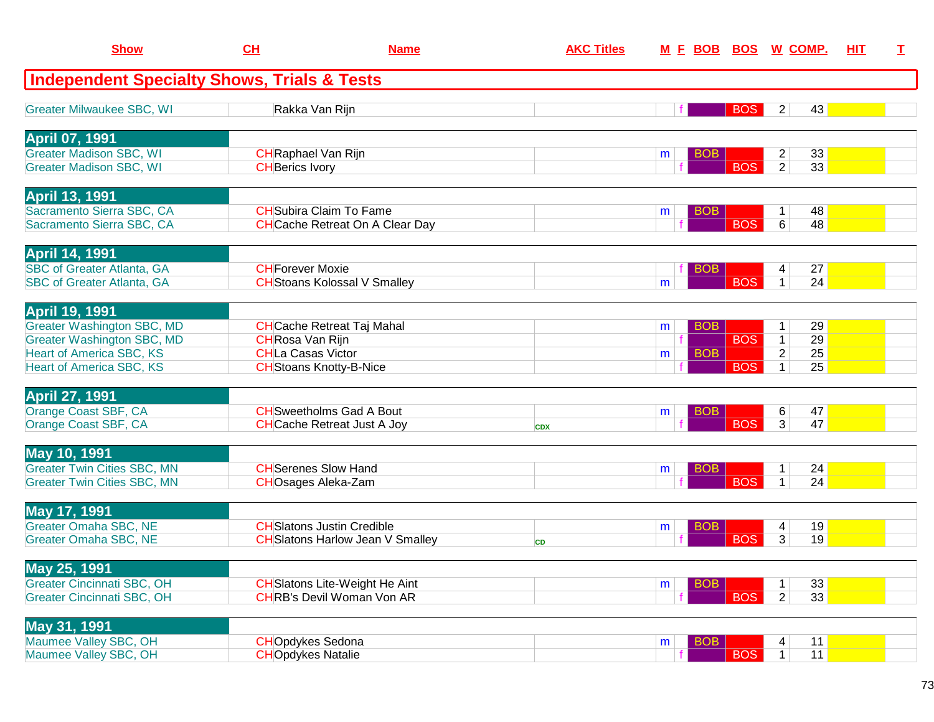| <b>Show</b>                                                            | CL                                                   | <b>Name</b>                                                               | <b>AKC Titles</b> |                 |            | M E BOB BOS W COMP.                                                  | HIT | T. |
|------------------------------------------------------------------------|------------------------------------------------------|---------------------------------------------------------------------------|-------------------|-----------------|------------|----------------------------------------------------------------------|-----|----|
| <b>Independent Specialty Shows, Trials &amp; Tests</b>                 |                                                      |                                                                           |                   |                 |            |                                                                      |     |    |
| <b>Greater Milwaukee SBC, WI</b>                                       |                                                      | Rakka Van Rijn                                                            |                   |                 | <b>BOS</b> | 43<br>$\overline{2}$                                                 |     |    |
| <b>April 07, 1991</b>                                                  |                                                      |                                                                           |                   |                 |            |                                                                      |     |    |
| <b>Greater Madison SBC, WI</b><br><b>Greater Madison SBC, WI</b>       | <b>CH</b> Raphael Van Rijn<br><b>CH</b> Berics Ivory |                                                                           |                   | <b>BOB</b><br>m | <b>BOS</b> | $\overline{2}$<br>33<br>$\overline{2}$<br>33                         |     |    |
| <b>April 13, 1991</b>                                                  |                                                      |                                                                           |                   |                 |            |                                                                      |     |    |
| Sacramento Sierra SBC, CA<br>Sacramento Sierra SBC, CA                 |                                                      | <b>CH</b> Subira Claim To Fame<br><b>CH</b> Cache Retreat On A Clear Day  |                   | <b>BOB</b><br>m | <b>BOS</b> | 48<br>1<br>48<br>6                                                   |     |    |
| <b>April 14, 1991</b>                                                  |                                                      |                                                                           |                   |                 |            |                                                                      |     |    |
| <b>SBC of Greater Atlanta, GA</b><br><b>SBC of Greater Atlanta, GA</b> | <b>CH</b> Forever Moxie                              | <b>CH</b> Stoans Kolossal V Smalley                                       |                   | вов<br>m        | <b>BOS</b> | 27<br>4<br>$\mathbf{1}$<br>24                                        |     |    |
| <b>April 19, 1991</b>                                                  |                                                      |                                                                           |                   |                 |            |                                                                      |     |    |
| <b>Greater Washington SBC, MD</b>                                      |                                                      | <b>CH</b> Cache Retreat Taj Mahal                                         |                   | <b>BOB</b><br>m |            | 29<br>1                                                              |     |    |
| <b>Greater Washington SBC, MD</b><br><b>Heart of America SBC, KS</b>   | CHRosa Van Rijn<br><b>CHLa Casas Victor</b>          |                                                                           |                   | <b>BOB</b><br>m | <b>BOS</b> | $\overline{29}$<br>$\mathbf{1}$<br>$\overline{2}$<br>$\overline{25}$ |     |    |
| <b>Heart of America SBC, KS</b>                                        |                                                      | <b>CH</b> Stoans Knotty-B-Nice                                            |                   |                 | <b>BOS</b> | 25<br>$\mathbf{1}$                                                   |     |    |
| <b>April 27, 1991</b>                                                  |                                                      |                                                                           |                   |                 |            |                                                                      |     |    |
| Orange Coast SBF, CA                                                   |                                                      | <b>CH</b> Sweetholms Gad A Bout                                           |                   | BOB.<br>m       |            | 47<br>6                                                              |     |    |
| Orange Coast SBF, CA                                                   |                                                      | <b>CH</b> Cache Retreat Just A Joy                                        | <b>CDX</b>        |                 | <b>BOS</b> | 47<br>3 <sup>1</sup>                                                 |     |    |
| May 10, 1991<br><b>Greater Twin Cities SBC, MN</b>                     |                                                      | <b>CH</b> Serenes Slow Hand                                               |                   | BOB<br>m        |            | 24<br>1                                                              |     |    |
| <b>Greater Twin Cities SBC, MN</b>                                     |                                                      | <b>CHOsages Aleka-Zam</b>                                                 |                   |                 | <b>BOS</b> | 24<br>$\mathbf 1$                                                    |     |    |
| May 17, 1991                                                           |                                                      |                                                                           |                   |                 |            |                                                                      |     |    |
| <b>Greater Omaha SBC, NE</b>                                           |                                                      | <b>CH</b> Slatons Justin Credible                                         |                   | <b>BOB</b><br>m |            | 19<br>4                                                              |     |    |
| <b>Greater Omaha SBC, NE</b>                                           |                                                      | <b>CH</b> Slatons Harlow Jean V Smalley                                   | <b>CD</b>         |                 | <b>BOS</b> | 3<br>19                                                              |     |    |
| May 25, 1991                                                           |                                                      |                                                                           |                   |                 |            |                                                                      |     |    |
| <b>Greater Cincinnati SBC, OH</b><br><b>Greater Cincinnati SBC, OH</b> |                                                      | <b>CH</b> Slatons Lite-Weight He Aint<br><b>CHRB's Devil Woman Von AR</b> |                   | <b>BOB</b><br>m | <b>BOS</b> | 33<br>2 <sup>1</sup><br>33 <sup>°</sup>                              |     |    |
|                                                                        |                                                      |                                                                           |                   |                 |            |                                                                      |     |    |
| May 31, 1991<br>Maumee Valley SBC, OH                                  | <b>CHOpdykes Sedona</b>                              |                                                                           |                   | <b>BOB</b><br>m |            | 11<br>4                                                              |     |    |
| Maumee Valley SBC, OH                                                  | <b>CHOpdykes Natalie</b>                             |                                                                           |                   |                 | <b>BOS</b> | 11<br>$\overline{1}$                                                 |     |    |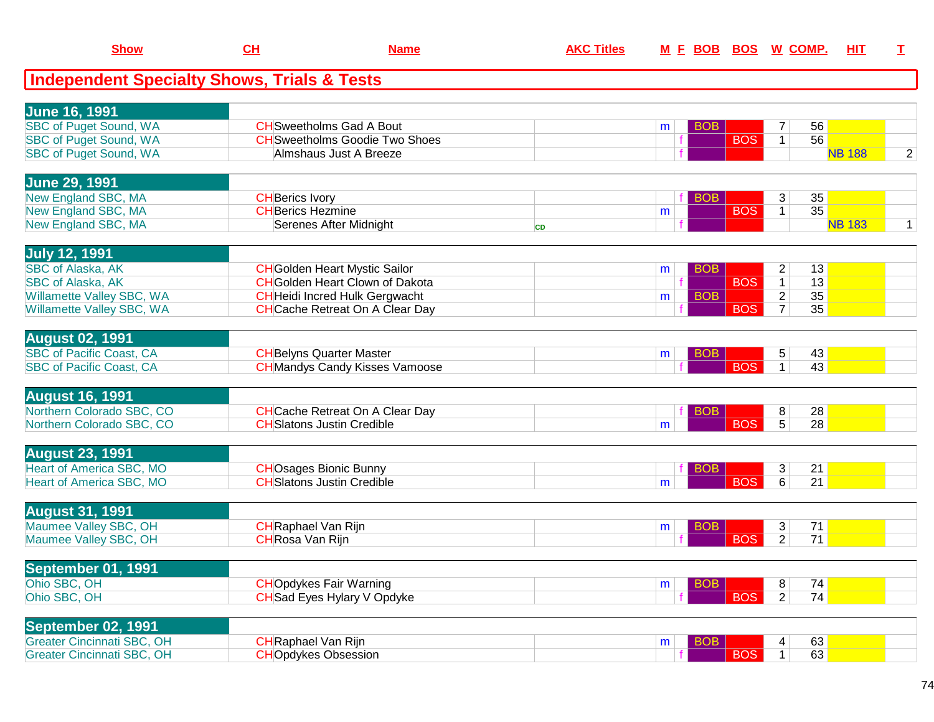| <b>Show</b>                                            | CH                         | <b>Name</b>                            | <b>AKC Titles</b> |   | M E BOB BOS W COMP. |                | HIT             | $\mathbf I$    |
|--------------------------------------------------------|----------------------------|----------------------------------------|-------------------|---|---------------------|----------------|-----------------|----------------|
| <b>Independent Specialty Shows, Trials &amp; Tests</b> |                            |                                        |                   |   |                     |                |                 |                |
| <b>June 16, 1991</b>                                   |                            |                                        |                   |   |                     |                |                 |                |
| <b>SBC of Puget Sound, WA</b>                          |                            | <b>CH</b> Sweetholms Gad A Bout        |                   | m | <b>BOB</b>          | 7              | 56              |                |
| <b>SBC of Puget Sound, WA</b>                          |                            | <b>CH</b> Sweetholms Goodie Two Shoes  |                   |   | <b>BOS</b>          | $\mathbf{1}$   | 56              |                |
| SBC of Puget Sound, WA                                 |                            | Almshaus Just A Breeze                 |                   |   |                     |                | <b>NB 188</b>   | $\overline{2}$ |
| <b>June 29, 1991</b>                                   |                            |                                        |                   |   |                     |                |                 |                |
| New England SBC, MA                                    | <b>CH</b> Berics Ivory     |                                        |                   |   | <b>BOB</b>          | 3              | 35              |                |
| New England SBC, MA                                    | <b>CH</b> Berics Hezmine   |                                        |                   | m | <b>BOS</b>          | $\overline{1}$ | 35              |                |
| New England SBC, MA                                    |                            | Serenes After Midnight                 | <b>CD</b>         |   |                     |                | <b>NB 183</b>   | $\mathbf{1}$   |
| <b>July 12, 1991</b>                                   |                            |                                        |                   |   |                     |                |                 |                |
| <b>SBC of Alaska, AK</b>                               |                            | <b>CH</b> Golden Heart Mystic Sailor   |                   | m | <b>BOB</b>          | $\overline{c}$ | 13              |                |
| <b>SBC of Alaska, AK</b>                               |                            | <b>CH</b> Golden Heart Clown of Dakota |                   |   | <b>BOS</b>          | $\overline{1}$ | 13              |                |
| Willamette Valley SBC, WA                              |                            | <b>CH</b> Heidi Incred Hulk Gergwacht  |                   | m | <b>BOB</b>          | $\overline{2}$ | 35              |                |
| Willamette Valley SBC, WA                              |                            | <b>CH</b> Cache Retreat On A Clear Day |                   |   | <b>BOS</b>          | $\overline{7}$ | 35              |                |
| <b>August 02, 1991</b>                                 |                            |                                        |                   |   |                     |                |                 |                |
| <b>SBC of Pacific Coast, CA</b>                        |                            | <b>CH</b> Belyns Quarter Master        |                   | m | <b>BOB</b>          | 5              | 43              |                |
| <b>SBC of Pacific Coast, CA</b>                        |                            | <b>CH</b> Mandys Candy Kisses Vamoose  |                   |   | <b>BOS</b>          | $\mathbf{1}$   | 43              |                |
| <b>August 16, 1991</b>                                 |                            |                                        |                   |   |                     |                |                 |                |
| Northern Colorado SBC, CO                              |                            | <b>CH</b> Cache Retreat On A Clear Day |                   |   | <b>BOB</b>          | 8              | 28              |                |
| Northern Colorado SBC, CO                              |                            | <b>CH</b> Slatons Justin Credible      |                   | m | <b>BOS</b>          | $\overline{5}$ | $\overline{28}$ |                |
| <b>August 23, 1991</b>                                 |                            |                                        |                   |   |                     |                |                 |                |
| <b>Heart of America SBC, MO</b>                        |                            | <b>CHOsages Bionic Bunny</b>           |                   |   | <b>BOB</b>          | 3              | 21              |                |
| Heart of America SBC, MO                               |                            | <b>CH</b> Slatons Justin Credible      |                   | m | <b>BOS</b>          | $\overline{6}$ | 21              |                |
| <b>August 31, 1991</b>                                 |                            |                                        |                   |   |                     |                |                 |                |
| Maumee Valley SBC, OH                                  | <b>CH</b> Raphael Van Rijn |                                        |                   | m | <b>BOB</b>          | 3              | 71              |                |
| Maumee Valley SBC, OH                                  | CHRosa Van Rijn            |                                        |                   |   | <b>BOS</b>          | $\overline{2}$ | 71              |                |
| <b>September 01, 1991</b>                              |                            |                                        |                   |   |                     |                |                 |                |
| Ohio SBC, OH                                           |                            | <b>CHOpdykes Fair Warning</b>          |                   | m | <b>BOB</b>          | 8              | 74              |                |
| Ohio SBC, OH                                           |                            | CHSad Eyes Hylary V Opdyke             |                   |   | <b>BOS</b>          | $\overline{2}$ | 74              |                |
| September 02, 1991                                     |                            |                                        |                   |   |                     |                |                 |                |
| <b>Greater Cincinnati SBC, OH</b>                      | <b>CH</b> Raphael Van Rijn |                                        |                   | m | <b>BOB</b>          | 4              | 63              |                |
| <b>Greater Cincinnati SBC, OH</b>                      |                            | <b>CHOpdykes Obsession</b>             |                   |   | <b>BOS</b>          | $\mathbf{1}$   | 63              |                |
|                                                        |                            |                                        |                   |   |                     |                |                 |                |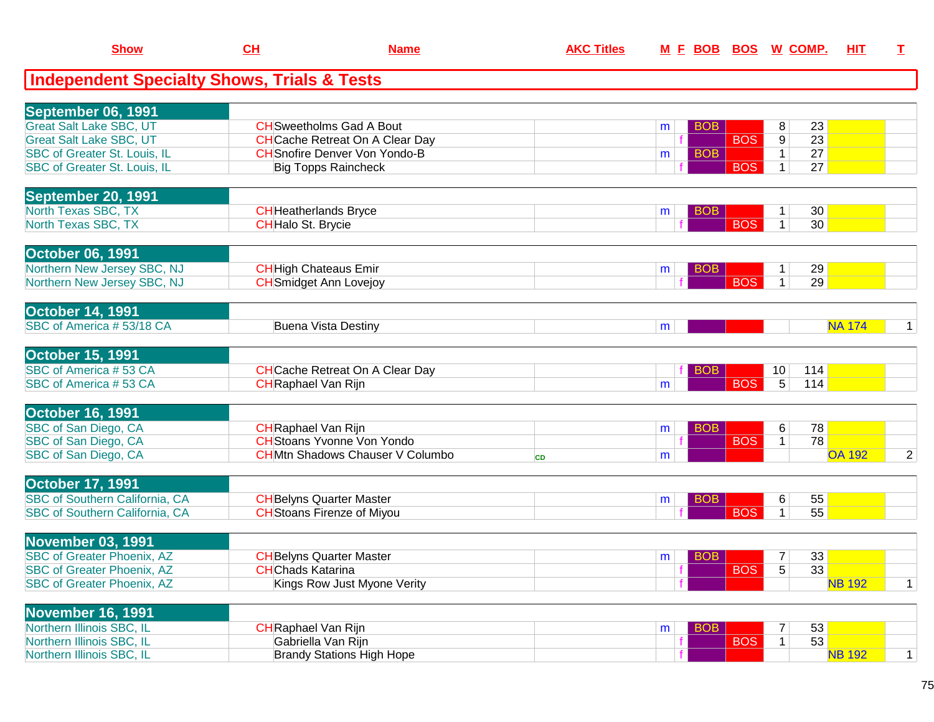| <b>Show</b>                                            | CH                         | <b>Name</b>                            | <b>AKC Titles</b> |              | M E BOB BOS W COMP. |            |                 |                 | <u>НIТ</u>    | I.             |
|--------------------------------------------------------|----------------------------|----------------------------------------|-------------------|--------------|---------------------|------------|-----------------|-----------------|---------------|----------------|
| <b>Independent Specialty Shows, Trials &amp; Tests</b> |                            |                                        |                   |              |                     |            |                 |                 |               |                |
| September 06, 1991                                     |                            |                                        |                   |              |                     |            |                 |                 |               |                |
| <b>Great Salt Lake SBC, UT</b>                         |                            | <b>CH</b> Sweetholms Gad A Bout        |                   | m            | <b>BOB</b>          |            | 8               | 23              |               |                |
| <b>Great Salt Lake SBC, UT</b>                         |                            | <b>CH</b> Cache Retreat On A Clear Day |                   |              |                     | <b>BOS</b> | $\overline{9}$  | $\overline{23}$ |               |                |
| SBC of Greater St. Louis, IL                           |                            | <b>CH</b> Snofire Denver Von Yondo-B   |                   | m            | <b>BOB</b>          |            | $\mathbf{1}$    | 27              |               |                |
| SBC of Greater St. Louis, IL                           |                            | <b>Big Topps Raincheck</b>             |                   |              |                     | <b>BOS</b> | $\mathbf{1}$    | 27              |               |                |
| September 20, 1991                                     |                            |                                        |                   |              |                     |            |                 |                 |               |                |
| North Texas SBC, TX                                    |                            | <b>CH</b> Heatherlands Bryce           |                   | m            | <b>BOB</b>          |            | $\mathbf 1$     | 30              |               |                |
| North Texas SBC, TX                                    | <b>CH</b> Halo St. Brycie  |                                        |                   |              |                     | <b>BOS</b> | $\mathbf{1}$    | 30              |               |                |
| <b>October 06, 1991</b>                                |                            |                                        |                   |              |                     |            |                 |                 |               |                |
| Northern New Jersey SBC, NJ                            |                            | <b>CH</b> High Chateaus Emir           |                   | m            | <b>BOB</b>          |            | $\overline{1}$  | 29              |               |                |
| Northern New Jersey SBC, NJ                            |                            | <b>CH</b> Smidget Ann Lovejoy          |                   |              |                     | <b>BOS</b> | $\mathbf{1}$    | 29              |               |                |
| <b>October 14, 1991</b>                                |                            |                                        |                   |              |                     |            |                 |                 |               |                |
| SBC of America #53/18 CA                               |                            | <b>Buena Vista Destiny</b>             |                   | m            |                     |            |                 |                 | <b>NA 174</b> | $\mathbf 1$    |
| <b>October 15, 1991</b>                                |                            |                                        |                   |              |                     |            |                 |                 |               |                |
| SBC of America #53 CA                                  |                            | <b>CH</b> Cache Retreat On A Clear Day |                   |              | <b>BOB</b>          |            | 10 <sup>°</sup> | 114             |               |                |
| SBC of America #53 CA                                  | <b>CH</b> Raphael Van Rijn |                                        |                   | m            |                     | <b>BOS</b> | 5               | 114             |               |                |
| <b>October 16, 1991</b>                                |                            |                                        |                   |              |                     |            |                 |                 |               |                |
| SBC of San Diego, CA                                   | <b>CH</b> Raphael Van Rijn |                                        |                   | m            | <b>BOB</b>          |            | 6               | 78              |               |                |
| SBC of San Diego, CA                                   |                            | <b>CH</b> Stoans Yvonne Von Yondo      |                   |              |                     | <b>BOS</b> | $\overline{1}$  | 78              |               |                |
| SBC of San Diego, CA                                   |                            | <b>CHMtn Shadows Chauser V Columbo</b> | <b>CD</b>         | m            |                     |            |                 |                 | <b>OA 192</b> | $\overline{2}$ |
| <b>October 17, 1991</b>                                |                            |                                        |                   |              |                     |            |                 |                 |               |                |
| <b>SBC of Southern California, CA</b>                  |                            | <b>CH</b> Belyns Quarter Master        |                   | m            | <b>BOB</b>          |            | 6               | 55              |               |                |
| SBC of Southern California, CA                         |                            | <b>CH</b> Stoans Firenze of Miyou      |                   |              |                     | <b>BOS</b> | $\mathbf{1}$    | 55              |               |                |
| <b>November 03, 1991</b>                               |                            |                                        |                   |              |                     |            |                 |                 |               |                |
| <b>SBC</b> of Greater Phoenix, AZ                      |                            | <b>CH</b> Belyns Quarter Master        |                   | m            | <b>BOB</b>          |            | 7               | 33              |               |                |
| <b>SBC of Greater Phoenix, AZ</b>                      | <b>CH</b> Chads Katarina   |                                        |                   | $\mathbf{f}$ |                     | <b>BOS</b> | $\overline{5}$  | 33              |               |                |
| <b>SBC of Greater Phoenix, AZ</b>                      |                            | Kings Row Just Myone Verity            |                   |              |                     |            |                 |                 | <b>NB 192</b> | $\mathbf{1}$   |
| <b>November 16, 1991</b>                               |                            |                                        |                   |              |                     |            |                 |                 |               |                |
| Northern Illinois SBC, IL                              | <b>CH</b> Raphael Van Rijn |                                        |                   | m            | <b>BOB</b>          |            |                 | 53              |               |                |
| Northern Illinois SBC, IL                              |                            | Gabriella Van Rijn                     |                   |              |                     | <b>BOS</b> | $\mathbf{1}$    | $\overline{53}$ |               |                |
| Northern Illinois SBC, IL                              |                            | <b>Brandy Stations High Hope</b>       |                   |              |                     |            |                 |                 | <b>NB 192</b> | $\mathbf{1}$   |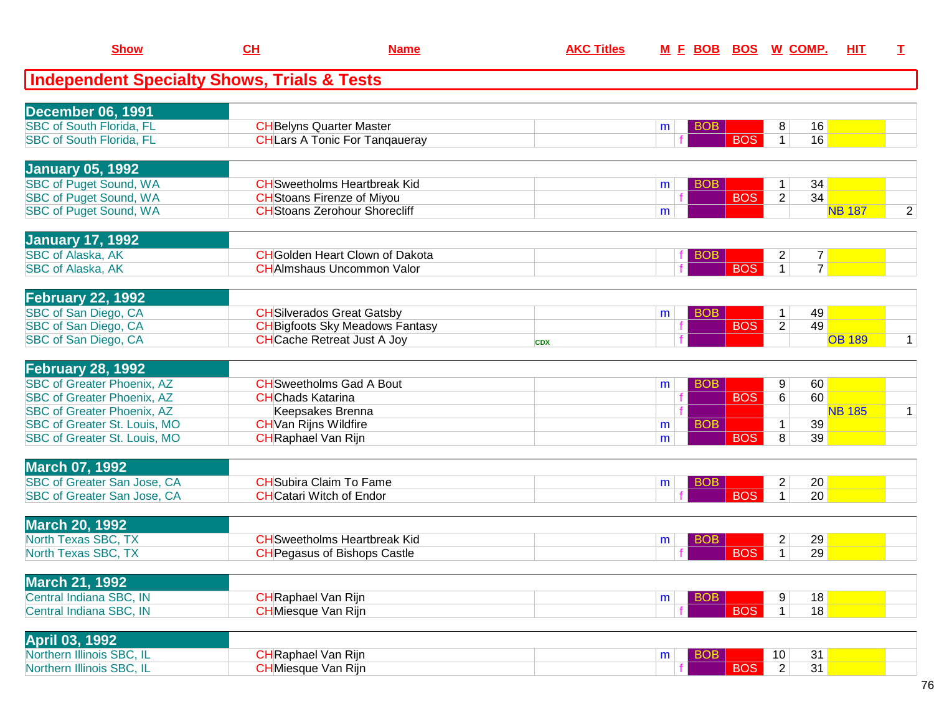| <b>Show</b>                                            | CH                              | <b>Name</b>                            | <b>AKC Titles</b> |                 |            | M E BOB BOS W COMP.                     | <b>HIT</b>    | I.             |
|--------------------------------------------------------|---------------------------------|----------------------------------------|-------------------|-----------------|------------|-----------------------------------------|---------------|----------------|
| <b>Independent Specialty Shows, Trials &amp; Tests</b> |                                 |                                        |                   |                 |            |                                         |               |                |
| <b>December 06, 1991</b>                               |                                 |                                        |                   |                 |            |                                         |               |                |
| <b>SBC of South Florida, FL</b>                        |                                 | <b>CH</b> Belyns Quarter Master        |                   | m               | <b>BOB</b> | 16<br>8                                 |               |                |
| <b>SBC of South Florida, FL</b>                        |                                 | <b>CH</b> Lars A Tonic For Tangaueray  |                   |                 | <b>BOS</b> | $\mathbf{1}$<br>16                      |               |                |
| <b>January 05, 1992</b>                                |                                 |                                        |                   |                 |            |                                         |               |                |
| SBC of Puget Sound, WA                                 |                                 | <b>CH</b> Sweetholms Heartbreak Kid    |                   | <b>BOB</b><br>m |            | 34<br>1                                 |               |                |
| <b>SBC of Puget Sound, WA</b>                          |                                 | <b>CH</b> Stoans Firenze of Miyou      |                   |                 | <b>BOS</b> | $\overline{2}$<br>34                    |               |                |
| <b>SBC of Puget Sound, WA</b>                          |                                 | <b>CH</b> Stoans Zerohour Shorecliff   |                   | m               |            |                                         | <b>NB 187</b> | $\overline{2}$ |
| <b>January 17, 1992</b>                                |                                 |                                        |                   |                 |            |                                         |               |                |
| <b>SBC of Alaska, AK</b>                               |                                 | <b>CH</b> Golden Heart Clown of Dakota |                   | BOB             |            | $\overline{7}$<br>2                     |               |                |
| SBC of Alaska, AK                                      |                                 | <b>CH</b> AImshaus Uncommon Valor      |                   |                 | <b>BOS</b> | $\overline{7}$<br>$\mathbf{1}$          |               |                |
| <b>February 22, 1992</b>                               |                                 |                                        |                   |                 |            |                                         |               |                |
| SBC of San Diego, CA                                   |                                 | <b>CH</b> Silverados Great Gatsby      |                   | <b>BOB</b><br>m |            | 49<br>$\mathbf{1}$                      |               |                |
| SBC of San Diego, CA                                   |                                 | <b>CH</b> Bigfoots Sky Meadows Fantasy |                   |                 | <b>BOS</b> | $\overline{2}$<br>49                    |               |                |
| SBC of San Diego, CA                                   |                                 | <b>CH</b> Cache Retreat Just A Joy     | <b>CDX</b>        |                 |            |                                         | <b>OB 189</b> | $\mathbf{1}$   |
| February 28, 1992                                      |                                 |                                        |                   |                 |            |                                         |               |                |
| <b>SBC of Greater Phoenix, AZ</b>                      |                                 | <b>CH</b> Sweetholms Gad A Bout        |                   | m               | <b>BOB</b> | 60<br>9                                 |               |                |
| <b>SBC of Greater Phoenix, AZ</b>                      | <b>CHChads Katarina</b>         |                                        |                   |                 | <b>BOS</b> | 60<br>6                                 |               |                |
| <b>SBC of Greater Phoenix, AZ</b>                      |                                 | Keepsakes Brenna                       |                   |                 |            |                                         | <b>NB 185</b> | $\mathbf{1}$   |
| SBC of Greater St. Louis, MO                           | <b>CH</b> Van Rijns Wildfire    |                                        |                   | m               | <b>BOB</b> | 39<br>$\mathbf 1$                       |               |                |
| SBC of Greater St. Louis, MO                           | <b>CH</b> Raphael Van Rijn      |                                        |                   | m               | <b>BOS</b> | 8<br>39                                 |               |                |
| <b>March 07, 1992</b>                                  |                                 |                                        |                   |                 |            |                                         |               |                |
| <b>SBC of Greater San Jose, CA</b>                     |                                 | <b>CH</b> Subira Claim To Fame         |                   | <b>BOB</b><br>m |            | $\overline{c}$<br>20                    |               |                |
| SBC of Greater San Jose, CA                            | <b>CH</b> Catari Witch of Endor |                                        |                   |                 | <b>BOS</b> | $\mathbf{1}$<br>20                      |               |                |
| <b>March 20, 1992</b>                                  |                                 |                                        |                   |                 |            |                                         |               |                |
| North Texas SBC, TX                                    |                                 | <b>CH</b> Sweetholms Heartbreak Kid    |                   | m               | <b>BOB</b> | $\overline{\mathbf{c}}$<br>29           |               |                |
| North Texas SBC, TX                                    |                                 | <b>CH</b> Pegasus of Bishops Castle    |                   |                 | <b>BOS</b> | 29<br>$\mathbf{1}$                      |               |                |
| <b>March 21, 1992</b>                                  |                                 |                                        |                   |                 |            |                                         |               |                |
| Central Indiana SBC, IN                                | <b>CH</b> Raphael Van Rijn      |                                        |                   | m               | <b>BOB</b> | 18<br>9 <sup>°</sup>                    |               |                |
| Central Indiana SBC, IN                                | <b>CH</b> Miesque Van Rijn      |                                        |                   |                 | <b>BOS</b> | $\overline{1}$<br>18                    |               |                |
| <b>April 03, 1992</b>                                  |                                 |                                        |                   |                 |            |                                         |               |                |
| Northern Illinois SBC, IL<br>Northern Illinois SBC, IL | <b>CH</b> Raphael Van Rijn      |                                        |                   | m               | <b>BOB</b> | 10 <sup>°</sup><br>31<br>$\overline{2}$ |               |                |
|                                                        | <b>CH</b> Miesque Van Rijn      |                                        |                   |                 | <b>BOS</b> | 31                                      |               |                |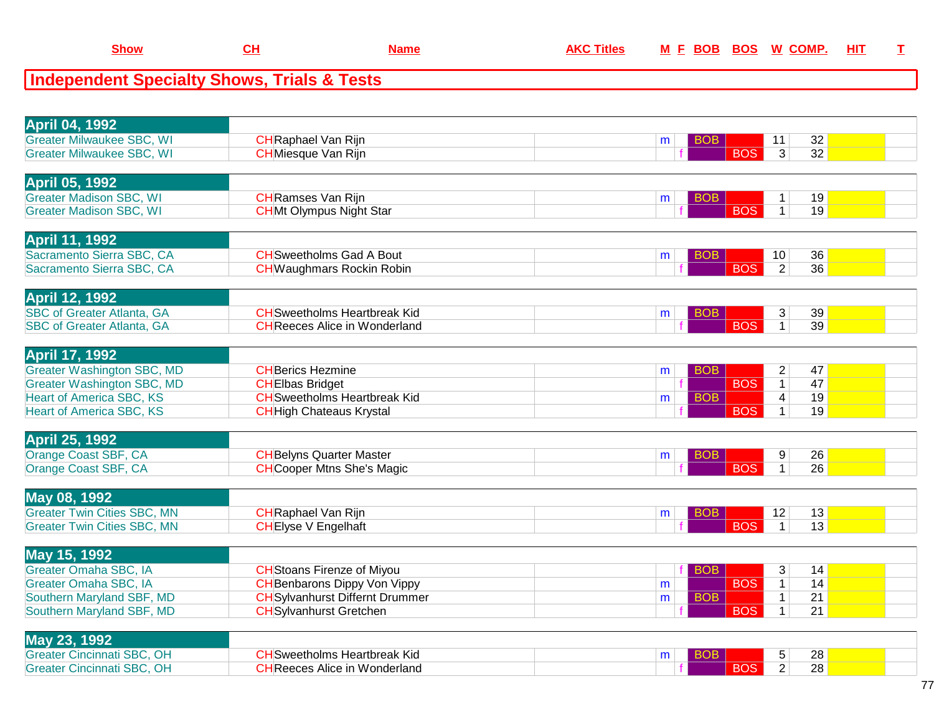## **Independent Specialty Shows, Trials & Tests**

| <b>April 04, 1992</b>                                                |                                                               |   |            |                                      |  |
|----------------------------------------------------------------------|---------------------------------------------------------------|---|------------|--------------------------------------|--|
| <b>Greater Milwaukee SBC, WI</b>                                     | <b>CH</b> Raphael Van Rijn                                    | m | <b>BOB</b> | 32<br>11                             |  |
| <b>Greater Milwaukee SBC, WI</b>                                     | <b>CH</b> Miesque Van Rijn                                    |   | <b>BOS</b> | 32<br>3                              |  |
|                                                                      |                                                               |   |            |                                      |  |
| <b>April 05, 1992</b>                                                |                                                               |   |            |                                      |  |
| <b>Greater Madison SBC, WI</b>                                       | <b>CH</b> Ramses Van Rijn                                     | m | <b>BOB</b> | 19<br>$\mathbf 1$                    |  |
| <b>Greater Madison SBC, WI</b>                                       | <b>CHMt Olympus Night Star</b>                                |   | <b>BOS</b> | 19<br>$\mathbf{1}$                   |  |
|                                                                      |                                                               |   |            |                                      |  |
| <b>April 11, 1992</b>                                                |                                                               |   |            |                                      |  |
| Sacramento Sierra SBC, CA                                            | <b>CH</b> Sweetholms Gad A Bout                               | m | <b>BOB</b> | 10<br>36                             |  |
| Sacramento Sierra SBC, CA                                            | <b>CH</b> Waughmars Rockin Robin                              |   | <b>BOS</b> | $\overline{2}$<br>$\overline{36}$    |  |
|                                                                      |                                                               |   |            |                                      |  |
| April 12, 1992                                                       |                                                               |   |            |                                      |  |
| <b>SBC of Greater Atlanta, GA</b>                                    | <b>CH</b> Sweetholms Heartbreak Kid                           | m | <b>BOB</b> | $\sqrt{3}$<br>39                     |  |
| <b>SBC of Greater Atlanta, GA</b>                                    | <b>CH</b> Reeces Alice in Wonderland                          |   | <b>BOS</b> | 39<br>$\mathbf{1}$                   |  |
|                                                                      |                                                               |   |            |                                      |  |
| <b>April 17, 1992</b>                                                |                                                               |   |            |                                      |  |
| <b>Greater Washington SBC, MD</b>                                    | <b>CHBerics Hezmine</b>                                       |   | <b>BOB</b> | 47                                   |  |
|                                                                      |                                                               | m | <b>BOS</b> | $\overline{2}$<br>$\mathbf{1}$<br>47 |  |
| <b>Greater Washington SBC, MD</b><br><b>Heart of America SBC, KS</b> | <b>CHEIbas Bridget</b><br><b>CH</b> Sweetholms Heartbreak Kid |   | <b>BOB</b> | 19                                   |  |
| <b>Heart of America SBC, KS</b>                                      |                                                               | m | <b>BOS</b> | 4<br>$\overline{1}$<br>19            |  |
|                                                                      | <b>CH</b> High Chateaus Krystal                               |   |            |                                      |  |
|                                                                      |                                                               |   |            |                                      |  |
| <b>April 25, 1992</b>                                                |                                                               |   |            |                                      |  |
| Orange Coast SBF, CA                                                 | <b>CH</b> Belyns Quarter Master                               | m | <b>BOB</b> | 9<br>26                              |  |
| Orange Coast SBF, CA                                                 | <b>CH</b> Cooper Mtns She's Magic                             |   | <b>BOS</b> | $\mathbf{1}$<br>26                   |  |
|                                                                      |                                                               |   |            |                                      |  |
| May 08, 1992                                                         |                                                               |   |            |                                      |  |
| <b>Greater Twin Cities SBC, MN</b>                                   | <b>CH</b> Raphael Van Rijn                                    | m | <b>BOB</b> | 13<br>12                             |  |
| <b>Greater Twin Cities SBC, MN</b>                                   | <b>CHEIyse V Engelhaft</b>                                    |   | <b>BOS</b> | $\mathbf{1}$<br>13                   |  |
|                                                                      |                                                               |   |            |                                      |  |
| May 15, 1992                                                         |                                                               |   |            |                                      |  |
| Greater Omaha SBC, IA                                                | <b>CH</b> Stoans Firenze of Miyou                             |   | <b>BOB</b> | 3<br>14                              |  |
| <b>Greater Omaha SBC, IA</b>                                         | <b>CH</b> Benbarons Dippy Von Vippy                           | m | <b>BOS</b> | $\overline{1}$<br>14                 |  |
| Southern Maryland SBF, MD                                            | <b>CH</b> Sylvanhurst Differnt Drummer                        | m | <b>BOB</b> | 21<br>$\mathbf{1}$                   |  |
| Southern Maryland SBF, MD                                            | <b>CH</b> Sylvanhurst Gretchen                                |   | <b>BOS</b> | $\mathbf{1}$<br>21                   |  |
|                                                                      |                                                               |   |            |                                      |  |
| May 23, 1992                                                         |                                                               |   |            |                                      |  |
| <b>Greater Cincinnati SBC, OH</b>                                    | <b>CH</b> Sweetholms Heartbreak Kid                           | m | BOB        | 5<br>28                              |  |
| <b>Greater Cincinnati SBC, OH</b>                                    | <b>CH</b> Reeces Alice in Wonderland                          |   | <b>BOS</b> | $\overline{2}$<br>28                 |  |
|                                                                      |                                                               |   |            |                                      |  |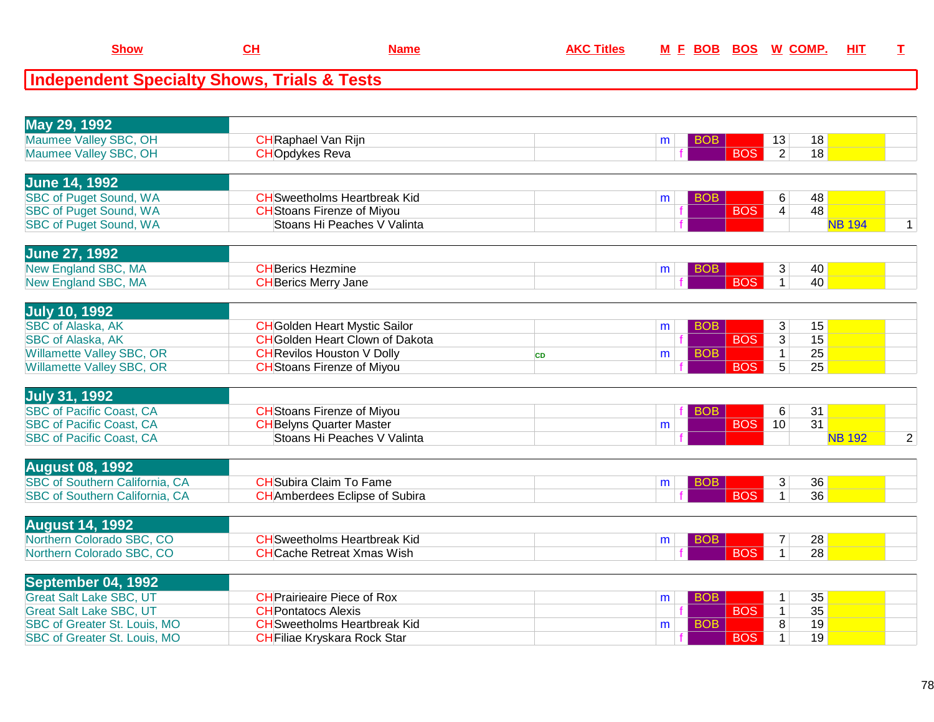## **Independent Specialty Shows, Trials & Tests**

| May 29, 1992                                                 |                                                                    |           |                 |                                              |                 |              |
|--------------------------------------------------------------|--------------------------------------------------------------------|-----------|-----------------|----------------------------------------------|-----------------|--------------|
| Maumee Valley SBC, OH                                        | <b>CH</b> Raphael Van Rijn                                         |           | <b>BOB</b><br>m | 13                                           | 18              |              |
| Maumee Valley SBC, OH                                        | <b>CHOpdykes Reva</b>                                              |           |                 | <b>BOS</b><br>$\overline{2}$                 | 18              |              |
|                                                              |                                                                    |           |                 |                                              |                 |              |
| <b>June 14, 1992</b>                                         |                                                                    |           |                 |                                              |                 |              |
| <b>SBC of Puget Sound, WA</b>                                | <b>CH</b> Sweetholms Heartbreak Kid                                |           | <b>BOB</b><br>m | 6                                            | 48              |              |
| <b>SBC of Puget Sound, WA</b>                                | <b>CH</b> Stoans Firenze of Miyou                                  |           |                 | <b>BOS</b><br>$\overline{4}$                 | 48              |              |
| <b>SBC of Puget Sound, WA</b>                                | Stoans Hi Peaches V Valinta                                        |           |                 |                                              | <b>NB 194</b>   | $\mathbf{1}$ |
|                                                              |                                                                    |           |                 |                                              |                 |              |
| <b>June 27, 1992</b>                                         |                                                                    |           |                 |                                              |                 |              |
| New England SBC, MA                                          | <b>CHBerics Hezmine</b>                                            |           | <b>BOB</b><br>m | 3                                            | 40              |              |
| New England SBC, MA                                          | <b>CH</b> Berics Merry Jane                                        |           |                 | <b>BOS</b><br>$\mathbf{1}$                   | 40              |              |
|                                                              |                                                                    |           |                 |                                              |                 |              |
| <b>July 10, 1992</b>                                         |                                                                    |           |                 |                                              |                 |              |
| <b>SBC of Alaska, AK</b>                                     | <b>CH</b> Golden Heart Mystic Sailor                               |           | <b>BOB</b><br>m | 3                                            | 15              |              |
| <b>SBC of Alaska, AK</b>                                     | <b>CH</b> Golden Heart Clown of Dakota                             |           |                 | <b>BOS</b><br>$\overline{3}$                 | 15              |              |
| <b>Willamette Valley SBC, OR</b>                             | <b>CH</b> Revilos Houston V Dolly                                  | <b>CD</b> | <b>BOB</b><br>m | $\mathbf{1}$                                 | 25              |              |
| Willamette Valley SBC, OR                                    | <b>CH</b> Stoans Firenze of Miyou                                  |           |                 | <b>BOS</b><br>$\overline{5}$                 | 25              |              |
|                                                              |                                                                    |           |                 |                                              |                 |              |
| <b>July 31, 1992</b>                                         |                                                                    |           |                 |                                              |                 |              |
| <b>SBC of Pacific Coast, CA</b>                              | <b>CH</b> Stoans Firenze of Miyou                                  |           | <b>BOB</b>      | 6                                            | 31              |              |
| <b>SBC of Pacific Coast, CA</b>                              | <b>CH</b> Belyns Quarter Master                                    |           | m               | <b>BOS</b><br>10                             | $\overline{31}$ |              |
| <b>SBC of Pacific Coast, CA</b>                              | Stoans Hi Peaches V Valinta                                        |           |                 |                                              | <b>NB 192</b>   | 2            |
|                                                              |                                                                    |           |                 |                                              |                 |              |
| <b>August 08, 1992</b>                                       |                                                                    |           |                 |                                              |                 |              |
| <b>SBC of Southern California, CA</b>                        | <b>CH</b> Subira Claim To Fame                                     |           | BOB<br>m        | 3                                            | 36              |              |
| SBC of Southern California, CA                               | <b>CH</b> Amberdees Eclipse of Subira                              |           |                 | <b>BOS</b><br>$\mathbf{1}$                   | $\overline{36}$ |              |
|                                                              |                                                                    |           |                 |                                              |                 |              |
| <b>August 14, 1992</b>                                       |                                                                    |           |                 |                                              |                 |              |
| Northern Colorado SBC, CO                                    | <b>CH</b> Sweetholms Heartbreak Kid                                |           | BOB<br>m        | 7                                            | 28              |              |
| Northern Colorado SBC, CO                                    | <b>CHCache Retreat Xmas Wish</b>                                   |           |                 | <b>BOS</b><br>$\mathbf 1$                    | 28              |              |
|                                                              |                                                                    |           |                 |                                              |                 |              |
| September 04, 1992                                           |                                                                    |           |                 |                                              |                 |              |
|                                                              |                                                                    |           |                 |                                              |                 |              |
| <b>Great Salt Lake SBC, UT</b>                               | <b>CHPrairieaire Piece of Rox</b>                                  |           | <b>BOB</b><br>m | 1                                            | 35              |              |
| <b>Great Salt Lake SBC, UT</b>                               | <b>CH</b> Pontatocs Alexis                                         |           |                 | <b>BOS</b><br>$\mathbf 1$                    | 35              |              |
| SBC of Greater St. Louis, MO<br>SBC of Greater St. Louis, MO | <b>CH</b> Sweetholms Heartbreak Kid<br>CHFiliae Kryskara Rock Star |           | <b>BOB</b><br>m | $\overline{8}$<br><b>BOS</b><br>$\mathbf{1}$ | 19<br>19        |              |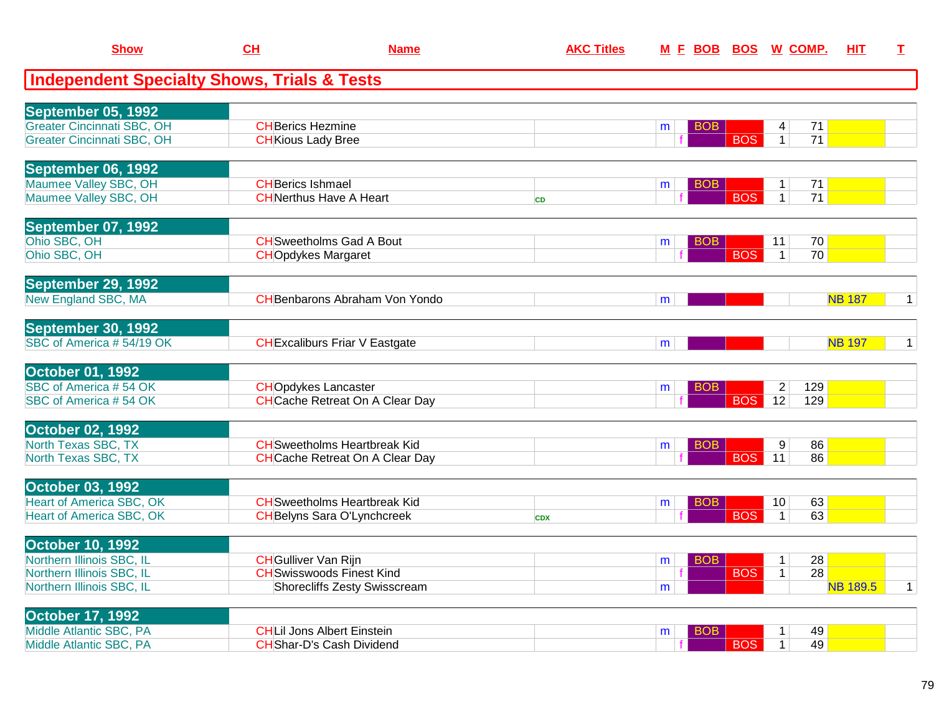| <b>Show</b>                                                            | CL                          | <b>Name</b>                            | <b>AKC Titles</b> | M E BOB BOS W COMP. |            |                   |                 | HIT             | $\mathbf I$  |
|------------------------------------------------------------------------|-----------------------------|----------------------------------------|-------------------|---------------------|------------|-------------------|-----------------|-----------------|--------------|
| <b>Independent Specialty Shows, Trials &amp; Tests</b>                 |                             |                                        |                   |                     |            |                   |                 |                 |              |
| September 05, 1992                                                     |                             |                                        |                   |                     |            |                   |                 |                 |              |
| <b>Greater Cincinnati SBC, OH</b><br><b>Greater Cincinnati SBC, OH</b> | <b>CH</b> Berics Hezmine    |                                        |                   | <b>BOB</b><br>m     | <b>BOS</b> | 4<br>$\mathbf{1}$ | 71<br>71        |                 |              |
|                                                                        | <b>CH</b> Kious Lady Bree   |                                        |                   |                     |            |                   |                 |                 |              |
| September 06, 1992                                                     |                             |                                        |                   |                     |            |                   |                 |                 |              |
| Maumee Valley SBC, OH                                                  | <b>CH</b> Berics Ishmael    |                                        |                   | BOB<br>m            |            | $\mathbf 1$       | 71              |                 |              |
| Maumee Valley SBC, OH                                                  |                             | <b>CHNerthus Have A Heart</b>          | <b>CD</b>         |                     | <b>BOS</b> | 1 <sup>1</sup>    | $\overline{71}$ |                 |              |
| September 07, 1992                                                     |                             |                                        |                   |                     |            |                   |                 |                 |              |
| Ohio SBC, OH                                                           |                             | <b>CH</b> Sweetholms Gad A Bout        |                   | BOB.<br>m           |            | 11                | 70              |                 |              |
| Ohio SBC, OH                                                           | <b>CHO</b> pdykes Margaret  |                                        |                   |                     | <b>BOS</b> | $\overline{1}$    | 70              |                 |              |
| September 29, 1992                                                     |                             |                                        |                   |                     |            |                   |                 |                 |              |
| <b>New England SBC, MA</b>                                             |                             | <b>CH</b> Benbarons Abraham Von Yondo  |                   | m                   |            |                   |                 | <b>NB 187</b>   | $\mathbf{1}$ |
| September 30, 1992                                                     |                             |                                        |                   |                     |            |                   |                 |                 |              |
| SBC of America #54/19 OK                                               |                             | <b>CH</b> Excaliburs Friar V Eastgate  |                   | m                   |            |                   |                 | <b>NB 197</b>   | $\mathbf{1}$ |
| <b>October 01, 1992</b>                                                |                             |                                        |                   |                     |            |                   |                 |                 |              |
| SBC of America #54 OK                                                  | <b>CHOpdykes Lancaster</b>  |                                        |                   | BOB<br>m            |            | $\overline{2}$    | 129             |                 |              |
| SBC of America #54 OK                                                  |                             | <b>CHCache Retreat On A Clear Day</b>  |                   |                     | <b>BOS</b> | 12                | 129             |                 |              |
| <b>October 02, 1992</b>                                                |                             |                                        |                   |                     |            |                   |                 |                 |              |
| North Texas SBC, TX                                                    |                             | <b>CH</b> Sweetholms Heartbreak Kid    |                   | BOB<br>m            |            | 9                 | 86              |                 |              |
| North Texas SBC, TX                                                    |                             | <b>CH</b> Cache Retreat On A Clear Day |                   |                     | <b>BOS</b> | 11                | 86              |                 |              |
| <b>October 03, 1992</b>                                                |                             |                                        |                   |                     |            |                   |                 |                 |              |
| <b>Heart of America SBC, OK</b>                                        |                             | <b>CH</b> Sweetholms Heartbreak Kid    |                   | BOB<br>m            |            | 10                | 63              |                 |              |
| <b>Heart of America SBC, OK</b>                                        |                             | <b>CH</b> Belyns Sara O'Lynchcreek     | <b>CDX</b>        |                     | <b>BOS</b> | $\mathbf 1$       | 63              |                 |              |
| <b>October 10, 1992</b>                                                |                             |                                        |                   |                     |            |                   |                 |                 |              |
| Northern Illinois SBC, IL                                              | <b>CH</b> Gulliver Van Rijn |                                        |                   | <b>BOB</b><br>m     |            | $\mathbf{1}$      | 28              |                 |              |
| Northern Illinois SBC, IL                                              |                             | <b>CH</b> Swisswoods Finest Kind       |                   | ÷                   | <b>BOS</b> | 1                 | $\overline{28}$ |                 |              |
| Northern Illinois SBC, IL                                              |                             | <b>Shorecliffs Zesty Swisscream</b>    |                   | m                   |            |                   |                 | <b>NB 189.5</b> | $\mathbf{1}$ |
| <b>October 17, 1992</b>                                                |                             |                                        |                   |                     |            |                   |                 |                 |              |
| Middle Atlantic SBC, PA                                                |                             | <b>CHLil Jons Albert Einstein</b>      |                   | BOB<br>m            |            | $\mathbf 1$       | 49              |                 |              |
| Middle Atlantic SBC, PA                                                |                             | <b>CH</b> Shar-D's Cash Dividend       |                   |                     | <b>BOS</b> | $\mathbf{1}$      | 49              |                 |              |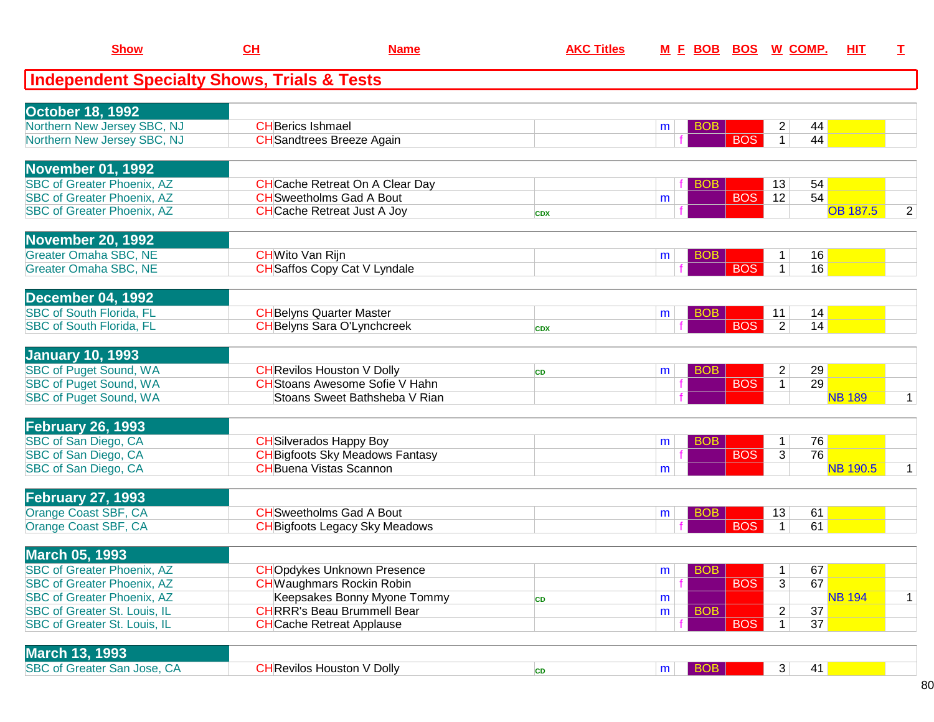| <b>Show</b>                                            | CH                      | <b>Name</b>                            | <b>AKC Titles</b> |   |            | M E BOB BOS W COMP. |                |    | <b>HIT</b>      | $\mathbf{I}$   |
|--------------------------------------------------------|-------------------------|----------------------------------------|-------------------|---|------------|---------------------|----------------|----|-----------------|----------------|
| <b>Independent Specialty Shows, Trials &amp; Tests</b> |                         |                                        |                   |   |            |                     |                |    |                 |                |
| October 18, 1992                                       |                         |                                        |                   |   |            |                     |                |    |                 |                |
| Northern New Jersey SBC, NJ                            | <b>CHBerics Ishmael</b> |                                        |                   | m | <b>BOB</b> |                     | $\overline{2}$ | 44 |                 |                |
| Northern New Jersey SBC, NJ                            |                         | <b>CH</b> Sandtrees Breeze Again       |                   |   |            | <b>BOS</b>          | $\mathbf{1}$   | 44 |                 |                |
| <b>November 01, 1992</b>                               |                         |                                        |                   |   |            |                     |                |    |                 |                |
| <b>SBC of Greater Phoenix, AZ</b>                      |                         | <b>CH</b> Cache Retreat On A Clear Day |                   |   | <b>BOB</b> |                     | 13             | 54 |                 |                |
| <b>SBC of Greater Phoenix, AZ</b>                      |                         | <b>CH</b> Sweetholms Gad A Bout        |                   | m |            | <b>BOS</b>          | 12             | 54 |                 |                |
| <b>SBC of Greater Phoenix, AZ</b>                      |                         | <b>CHCache Retreat Just A Joy</b>      | <b>CDX</b>        |   |            |                     |                |    | <b>OB 187.5</b> | $\overline{2}$ |
| <b>November 20, 1992</b>                               |                         |                                        |                   |   |            |                     |                |    |                 |                |
| <b>Greater Omaha SBC, NE</b>                           | <b>CH</b> Wito Van Rijn |                                        |                   | m | <b>BOB</b> |                     |                | 16 |                 |                |
| <b>Greater Omaha SBC, NE</b>                           |                         | <b>CH</b> Saffos Copy Cat V Lyndale    |                   |   |            | <b>BOS</b>          | 1 <sup>1</sup> | 16 |                 |                |
| <b>December 04, 1992</b>                               |                         |                                        |                   |   |            |                     |                |    |                 |                |
| <b>SBC of South Florida, FL</b>                        |                         | <b>CH</b> Belyns Quarter Master        |                   | m | <b>BOB</b> |                     | 11             | 14 |                 |                |
| <b>SBC of South Florida, FL</b>                        |                         | <b>CH</b> Belyns Sara O'Lynchcreek     | <b>CDX</b>        |   |            | <b>BOS</b>          | $\overline{2}$ | 14 |                 |                |
| <b>January 10, 1993</b>                                |                         |                                        |                   |   |            |                     |                |    |                 |                |
| <b>SBC of Puget Sound, WA</b>                          |                         | <b>CH</b> Revilos Houston V Dolly      | <b>CD</b>         | m | <b>BOB</b> |                     | $\overline{c}$ | 29 |                 |                |
| <b>SBC of Puget Sound, WA</b>                          |                         | <b>CH</b> Stoans Awesome Sofie V Hahn  |                   |   |            | <b>BOS</b>          | $\mathbf{1}$   | 29 |                 |                |
| <b>SBC of Puget Sound, WA</b>                          |                         | Stoans Sweet Bathsheba V Rian          |                   |   |            |                     |                |    | <b>NB 189</b>   | $\mathbf 1$    |
| <b>February 26, 1993</b>                               |                         |                                        |                   |   |            |                     |                |    |                 |                |
| SBC of San Diego, CA                                   |                         | <b>CH</b> Silverados Happy Boy         |                   | m | <b>BOB</b> |                     | $\mathbf{1}$   | 76 |                 |                |
| SBC of San Diego, CA                                   |                         | <b>CH</b> Bigfoots Sky Meadows Fantasy |                   |   |            | <b>BOS</b>          | 3              | 76 |                 |                |
| SBC of San Diego, CA                                   |                         | <b>CH</b> Buena Vistas Scannon         |                   | m |            |                     |                |    | <b>NB 190.5</b> | $\mathbf 1$    |
| <b>February 27, 1993</b>                               |                         |                                        |                   |   |            |                     |                |    |                 |                |
| Orange Coast SBF, CA                                   |                         | <b>CH</b> Sweetholms Gad A Bout        |                   | m | <b>BOB</b> |                     | 13             | 61 |                 |                |
| Orange Coast SBF, CA                                   |                         | <b>CH</b> Bigfoots Legacy Sky Meadows  |                   |   |            | <b>BOS</b>          | $\mathbf{1}$   | 61 |                 |                |
| <b>March 05, 1993</b>                                  |                         |                                        |                   |   |            |                     |                |    |                 |                |
| <b>SBC of Greater Phoenix, AZ</b>                      |                         | <b>CHO</b> pdykes Unknown Presence     |                   | m | BOB        |                     | 1              | 67 |                 |                |
| <b>SBC of Greater Phoenix, AZ</b>                      |                         | <b>CH</b> Waughmars Rockin Robin       |                   |   |            | <b>BOS</b>          | 3              | 67 |                 |                |
| <b>SBC of Greater Phoenix, AZ</b>                      |                         | Keepsakes Bonny Myone Tommy            | <b>CD</b>         | m |            |                     |                |    | <b>NB 194</b>   | $\mathbf{1}$   |
| <b>SBC of Greater St. Louis, IL</b>                    |                         | <b>CHRRR's Beau Brummell Bear</b>      |                   | m | <b>BOB</b> |                     | 2              | 37 |                 |                |
| <b>SBC of Greater St. Louis, IL</b>                    |                         | <b>CH</b> Cache Retreat Applause       |                   |   |            | <b>BOS</b>          | $\mathbf{1}$   | 37 |                 |                |
| <b>March 13, 1993</b>                                  |                         |                                        |                   |   |            |                     |                |    |                 |                |
| SBC of Greater San Jose, CA                            |                         | <b>CH</b> Revilos Houston V Dolly      | CD                | m | <b>BOB</b> |                     | 3 <sup>2</sup> | 41 |                 |                |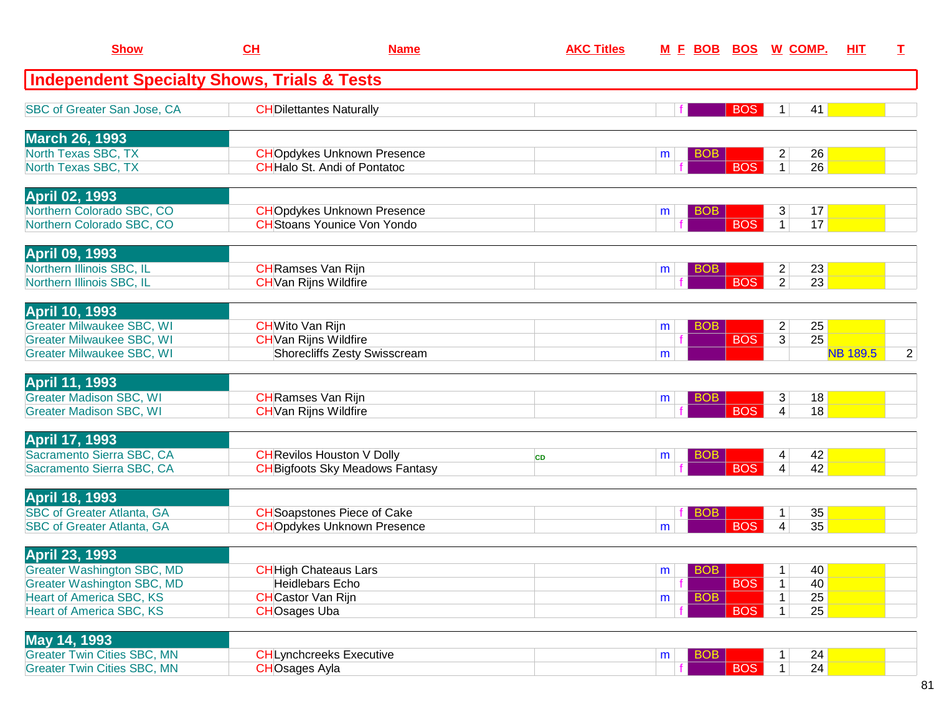| <b>Show</b>                                            | CH                           | <b>Name</b>                            | <b>AKC Titles</b> | <u>M E BOB</u>  | BOS        | <u>W_COMP.</u> | HIT             | I |
|--------------------------------------------------------|------------------------------|----------------------------------------|-------------------|-----------------|------------|----------------|-----------------|---|
| <b>Independent Specialty Shows, Trials &amp; Tests</b> |                              |                                        |                   |                 |            |                |                 |   |
| SBC of Greater San Jose, CA                            |                              | <b>CH</b> Dilettantes Naturally        |                   |                 | <b>BOS</b> | $\mathbf 1$    | 41              |   |
| <b>March 26, 1993</b>                                  |                              |                                        |                   |                 |            |                |                 |   |
| North Texas SBC, TX                                    |                              | <b>CHO</b> pdykes Unknown Presence     |                   | <b>BOB</b><br>m |            | $\overline{a}$ | 26              |   |
| North Texas SBC, TX                                    |                              | <b>CH</b> Halo St. Andi of Pontatoc    |                   |                 | <b>BOS</b> | $\mathbf{1}$   | 26              |   |
| <b>April 02, 1993</b>                                  |                              |                                        |                   |                 |            |                |                 |   |
| Northern Colorado SBC, CO                              |                              | <b>CHO</b> pdykes Unknown Presence     |                   | <b>BOB</b><br>m |            | 3              | 17              |   |
| Northern Colorado SBC, CO                              |                              | <b>CH</b> Stoans Younice Von Yondo     |                   |                 | <b>BOS</b> | $\mathbf{1}$   | 17              |   |
| <b>April 09, 1993</b>                                  |                              |                                        |                   |                 |            |                |                 |   |
| Northern Illinois SBC, IL                              | <b>CH</b> Ramses Van Rijn    |                                        |                   | <b>BOB</b><br>m |            | $\overline{c}$ | 23              |   |
| Northern Illinois SBC, IL                              | <b>CH</b> Van Rijns Wildfire |                                        |                   |                 | <b>BOS</b> | $\overline{2}$ | $\overline{23}$ |   |
| <b>April 10, 1993</b>                                  |                              |                                        |                   |                 |            |                |                 |   |
| <b>Greater Milwaukee SBC, WI</b>                       | <b>CH</b> Wito Van Rijn      |                                        |                   | <b>BOB</b><br>m |            | $\overline{c}$ | 25              |   |
| <b>Greater Milwaukee SBC, WI</b>                       | <b>CH</b> Van Rijns Wildfire |                                        |                   |                 | <b>BOS</b> | $\overline{3}$ | 25              |   |
| <b>Greater Milwaukee SBC, WI</b>                       |                              | <b>Shorecliffs Zesty Swisscream</b>    |                   | m               |            |                | <b>NB 189.5</b> | 2 |
| <b>April 11, 1993</b>                                  |                              |                                        |                   |                 |            |                |                 |   |
| <b>Greater Madison SBC, WI</b>                         | <b>CH</b> Ramses Van Rijn    |                                        |                   | BOB<br>m        |            | 3              | 18              |   |
| <b>Greater Madison SBC, WI</b>                         | <b>CH</b> Van Rijns Wildfire |                                        |                   |                 | <b>BOS</b> | $\overline{4}$ | 18              |   |
| <b>April 17, 1993</b>                                  |                              |                                        |                   |                 |            |                |                 |   |
| Sacramento Sierra SBC, CA                              |                              | <b>CH</b> Revilos Houston V Dolly      | <b>CD</b>         | <b>BOB</b><br>m |            | 4              | 42              |   |
| Sacramento Sierra SBC, CA                              |                              | <b>CH</b> Bigfoots Sky Meadows Fantasy |                   |                 | <b>BOS</b> | 4              | 42              |   |
| <b>April 18, 1993</b>                                  |                              |                                        |                   |                 |            |                |                 |   |
| <b>SBC of Greater Atlanta, GA</b>                      |                              | <b>CH</b> Soapstones Piece of Cake     |                   | <b>BOB</b>      |            | $\mathbf 1$    | 35              |   |
| <b>SBC of Greater Atlanta, GA</b>                      |                              | <b>CHOpdykes Unknown Presence</b>      |                   | m               | <b>BOS</b> | 4              | 35              |   |
| <b>April 23, 1993</b>                                  |                              |                                        |                   |                 |            |                |                 |   |
| <b>Greater Washington SBC, MD</b>                      |                              | <b>CH</b> High Chateaus Lars           |                   | <b>BOB</b><br>m |            | $\mathbf{1}$   | 40              |   |
| <b>Greater Washington SBC, MD</b>                      |                              | <b>Heidlebars Echo</b>                 |                   |                 | <b>BOS</b> | $\mathbf{1}$   | 40              |   |
| <b>Heart of America SBC, KS</b>                        | <b>CH</b> Castor Van Rijn    |                                        |                   | <b>BOB</b><br>m |            | $\mathbf 1$    | 25              |   |
| <b>Heart of America SBC, KS</b>                        | <b>CHOsages Uba</b>          |                                        |                   |                 | <b>BOS</b> | $\mathbf{1}$   | 25              |   |
| May 14, 1993                                           |                              |                                        |                   |                 |            |                |                 |   |
| <b>Greater Twin Cities SBC, MN</b>                     |                              | <b>CHLynchcreeks Executive</b>         |                   | <b>BOB</b><br>m |            | $\mathbf{1}$   | 24              |   |
| <b>Greater Twin Cities SBC, MN</b>                     | <b>CHOsages Ayla</b>         |                                        |                   |                 | <b>BOS</b> | 1              | 24              |   |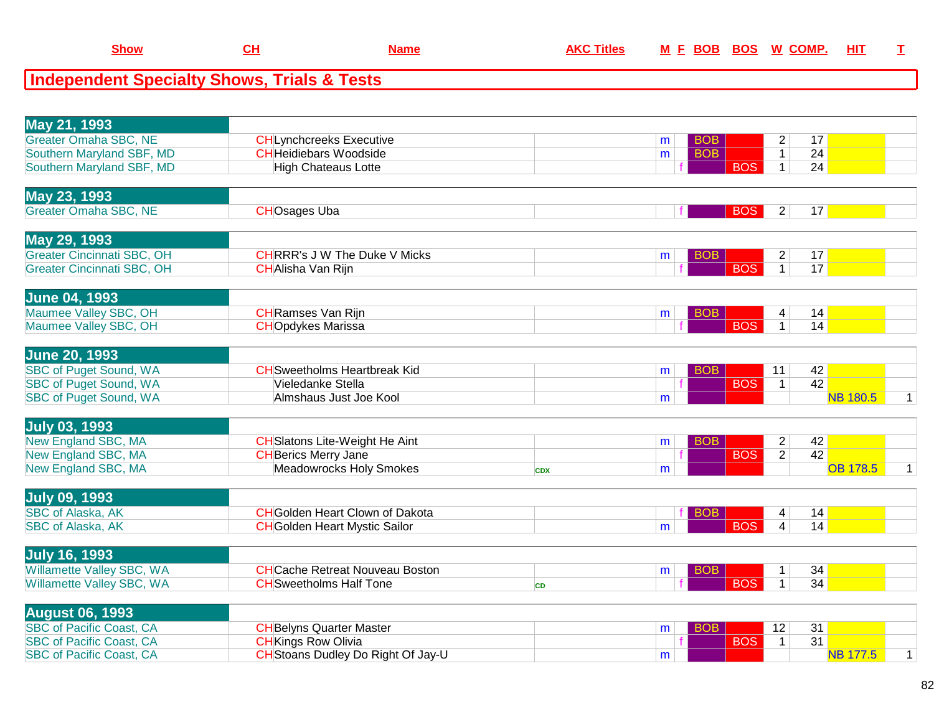| <u>Show</u>                                            |  | Name | AKC Titles | <b>MFBOBBOS</b> | <b>W COMP.</b> | HIT |  |
|--------------------------------------------------------|--|------|------------|-----------------|----------------|-----|--|
| <b>Independent Specialty Shows, Trials &amp; Tests</b> |  |      |            |                 |                |     |  |

| May 21, 1993<br><b>Greater Omaha SBC, NE</b><br>Southern Maryland SBF, MD<br>Southern Maryland SBF, MD                          | <b>CH</b> Lynchcreeks Executive<br><b>CH</b> Heidiebars Woodside<br><b>High Chateaus Lotte</b>         |            | <b>BOB</b><br>m<br><b>BOB</b><br>m | $\overline{2}$<br>$\mathbf{1}$<br><b>BOS</b><br>$\mathbf{1}$ | 17<br>24<br>24                                           |
|---------------------------------------------------------------------------------------------------------------------------------|--------------------------------------------------------------------------------------------------------|------------|------------------------------------|--------------------------------------------------------------|----------------------------------------------------------|
| May 23, 1993<br><b>Greater Omaha SBC, NE</b>                                                                                    | <b>CHOsages Uba</b>                                                                                    |            |                                    | <b>BOS</b><br>$\overline{2}$                                 | 17                                                       |
| May 29, 1993<br><b>Greater Cincinnati SBC, OH</b><br>Greater Cincinnati SBC, OH                                                 | <b>CHRRR's J W The Duke V Micks</b><br><b>CHAlisha Van Rijn</b>                                        |            | <b>BOB</b><br>m                    | $\overline{c}$<br>$\overline{1}$<br><b>BOS</b>               | 17<br>17                                                 |
| June 04, 1993<br>Maumee Valley SBC, OH<br>Maumee Valley SBC, OH                                                                 | <b>CH</b> Ramses Van Rijn<br><b>CHOpdykes Marissa</b>                                                  |            | <b>BOB</b><br>m                    | 4<br><b>BOS</b><br>$\overline{1}$                            | 14<br>14                                                 |
| <b>June 20, 1993</b><br><b>SBC of Puget Sound, WA</b><br><b>SBC of Puget Sound, WA</b><br><b>SBC of Puget Sound, WA</b>         | <b>CH</b> Sweetholms Heartbreak Kid<br>Vieledanke Stella<br>Almshaus Just Joe Kool                     |            | <b>BOB</b><br>m<br>m               | 11<br><b>BOS</b><br>$\overline{1}$                           | 42<br>42<br><b>NB 180.5</b><br>$\mathbf{1}$              |
| <b>July 03, 1993</b><br>New England SBC, MA<br>New England SBC, MA<br>New England SBC, MA                                       | <b>CH</b> Slatons Lite-Weight He Aint<br><b>CH</b> Berics Merry Jane<br><b>Meadowrocks Holy Smokes</b> | <b>CDX</b> | BOB<br>m<br>m                      | $\overline{c}$<br>$\overline{2}$<br><b>BOS</b>               | 42<br>42<br><b>OB 178.5</b><br>$\mathbf{1}$              |
| <b>July 09, 1993</b><br><b>SBC of Alaska, AK</b><br><b>SBC of Alaska, AK</b>                                                    | <b>CH</b> Golden Heart Clown of Dakota<br><b>CH</b> Golden Heart Mystic Sailor                         |            | <b>BOB</b><br>m                    | 4<br><b>BOS</b><br>$\overline{4}$                            | 14<br>14                                                 |
| <b>July 16, 1993</b><br><b>Willamette Valley SBC, WA</b><br><b>Willamette Valley SBC, WA</b>                                    | <b>CHCache Retreat Nouveau Boston</b><br><b>CH</b> Sweetholms Half Tone                                | <b>CD</b>  | <b>BOB</b><br>m                    | $\mathbf{1}$<br><b>BOS</b><br>$\mathbf{1}$                   | 34<br>34                                                 |
| <b>August 06, 1993</b><br><b>SBC of Pacific Coast, CA</b><br><b>SBC of Pacific Coast, CA</b><br><b>SBC of Pacific Coast, CA</b> | <b>CH</b> Belyns Quarter Master<br><b>CHKings Row Olivia</b><br>CH Stoans Dudley Do Right Of Jay-U     |            | <b>BOB</b><br>m<br>m               | 12<br><b>BOS</b><br>$\mathbf{1}$                             | 31<br>$\overline{31}$<br><b>NB 177.5</b><br>$\mathbf{1}$ |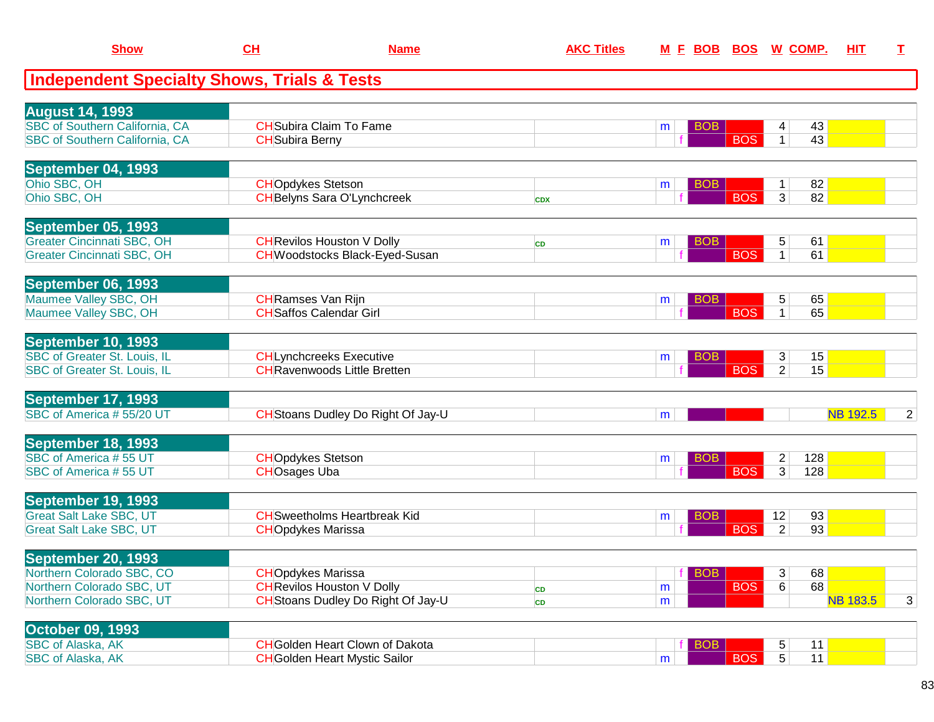| <b>Show</b>                                                                                               | CL                                              | <b>Name</b>                                                                    | <b>AKC Titles</b> |                   |            | M E BOB BOS W COMP.                          | HIT             | I              |
|-----------------------------------------------------------------------------------------------------------|-------------------------------------------------|--------------------------------------------------------------------------------|-------------------|-------------------|------------|----------------------------------------------|-----------------|----------------|
| <b>Independent Specialty Shows, Trials &amp; Tests</b>                                                    |                                                 |                                                                                |                   |                   |            |                                              |                 |                |
| <b>August 14, 1993</b><br><b>SBC of Southern California, CA</b><br>SBC of Southern California, CA         | <b>CH</b> Subira Berny                          | <b>CH</b> Subira Claim To Fame                                                 |                   | <b>BOB</b><br>m   | <b>BOS</b> | 43<br>4<br>43<br>1 <sup>1</sup>              |                 |                |
| September 04, 1993<br>Ohio SBC, OH<br>Ohio SBC, OH                                                        | <b>CHOpdykes Stetson</b>                        | <b>CH</b> Belyns Sara O'Lynchcreek                                             | <b>CDX</b>        | <b>BOB</b><br>m   | <b>BOS</b> | 82<br>$\mathbf{1}$<br>$\overline{3}$<br>82   |                 |                |
| <b>September 05, 1993</b><br><b>Greater Cincinnati SBC, OH</b><br><b>Greater Cincinnati SBC, OH</b>       |                                                 | <b>CH</b> Revilos Houston V Dolly<br><b>CH</b> Woodstocks Black-Eyed-Susan     | <b>CD</b>         | <b>BOB</b><br>m   | <b>BOS</b> | 5<br>61<br>$\mathbf{1}$<br>61                |                 |                |
| September 06, 1993<br>Maumee Valley SBC, OH<br>Maumee Valley SBC, OH                                      | <b>CH</b> Ramses Van Rijn                       | <b>CH</b> Saffos Calendar Girl                                                 |                   | <b>BOB</b><br>m   | <b>BOS</b> | 65<br>5<br>65<br>$\mathbf{1}$                |                 |                |
| September 10, 1993<br><b>SBC of Greater St. Louis, IL</b><br>SBC of Greater St. Louis, IL                 |                                                 | <b>CHLynchcreeks Executive</b><br><b>CH</b> Ravenwoods Little Bretten          |                   | <b>BOB</b><br>m   | <b>BOS</b> | 3 <sup>1</sup><br>15<br>$\overline{2}$<br>15 |                 |                |
| September 17, 1993<br>SBC of America #55/20 UT                                                            |                                                 | CH Stoans Dudley Do Right Of Jay-U                                             |                   | m                 |            |                                              | <b>NB 192.5</b> | $\overline{2}$ |
| September 18, 1993<br>SBC of America #55 UT<br>SBC of America #55 UT                                      | <b>CHOpdykes Stetson</b><br><b>CHOsages Uba</b> |                                                                                |                   | <b>BOB</b><br>m   | <b>BOS</b> | 128<br>2<br>3 <sup>1</sup><br>128            |                 |                |
| September 19, 1993<br><b>Great Salt Lake SBC, UT</b><br><b>Great Salt Lake SBC, UT</b>                    | <b>CHOpdykes Marissa</b>                        | <b>CH</b> Sweetholms Heartbreak Kid                                            |                   | <b>BOB</b><br>m   | <b>BOS</b> | 93<br>12<br>$\overline{2}$<br>93             |                 |                |
| September 20, 1993<br>Northern Colorado SBC, CO<br>Northern Colorado SBC, UT<br>Northern Colorado SBC, UT | <b>CHOpdykes Marissa</b>                        | <b>CH</b> Revilos Houston V Dolly<br>CH Stoans Dudley Do Right Of Jay-U        | CD<br>CD          | $f$ BOB<br>m<br>m | <b>BOS</b> | 3 <br>68<br>68<br>6                          | <b>NB 183.5</b> | 3              |
| <b>October 09, 1993</b><br>SBC of Alaska, AK<br>SBC of Alaska, AK                                         |                                                 | <b>CH</b> Golden Heart Clown of Dakota<br><b>CH</b> Golden Heart Mystic Sailor |                   | <b>BOB</b><br>m   | <b>BOS</b> | 5<br>11<br>5 <sup>1</sup><br>11              |                 |                |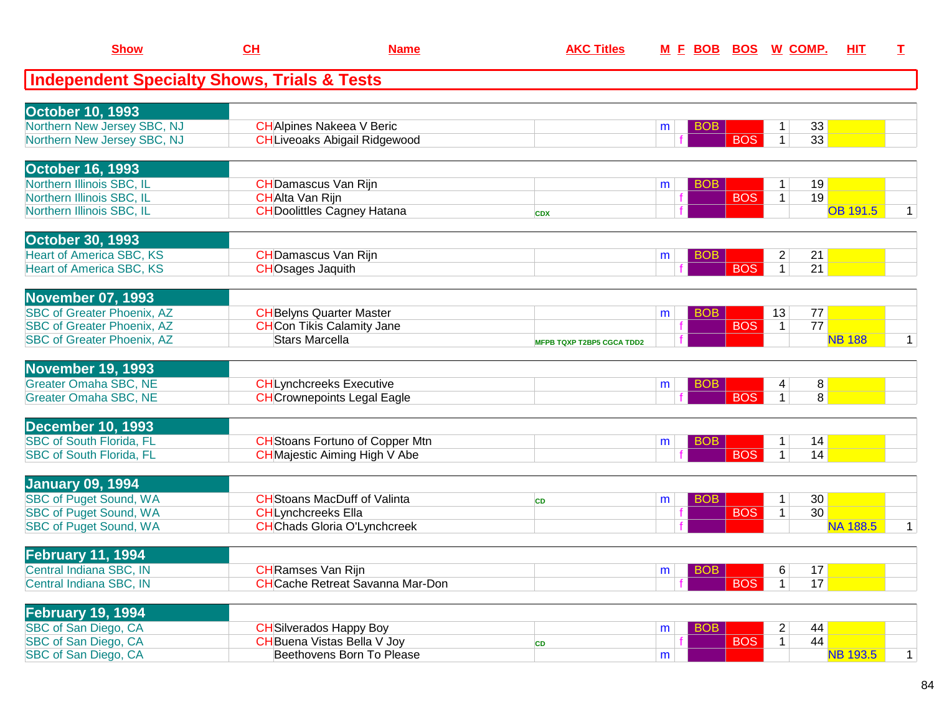| <b>Show</b>                                            | CH                        | <b>Name</b>                             | <b>AKC Titles</b>                |   | M E BOB         | <b>BOS</b> | W COMP.        |                | HIT             | $\mathbf I$  |
|--------------------------------------------------------|---------------------------|-----------------------------------------|----------------------------------|---|-----------------|------------|----------------|----------------|-----------------|--------------|
| <b>Independent Specialty Shows, Trials &amp; Tests</b> |                           |                                         |                                  |   |                 |            |                |                |                 |              |
| <b>October 10, 1993</b>                                |                           |                                         |                                  |   |                 |            |                |                |                 |              |
| Northern New Jersey SBC, NJ                            |                           | <b>CH</b> Alpines Nakeea V Beric        |                                  | m | <b>BOB</b>      |            | 1              | 33             |                 |              |
| Northern New Jersey SBC, NJ                            |                           | <b>CHLiveoaks Abigail Ridgewood</b>     |                                  |   |                 | <b>BOS</b> | $\mathbf{1}$   | 33             |                 |              |
| <b>October 16, 1993</b>                                |                           |                                         |                                  |   |                 |            |                |                |                 |              |
| Northern Illinois SBC, IL                              |                           | <b>CH</b> Damascus Van Rijn             |                                  | m | <b>BOB</b>      |            | 1              | 19             |                 |              |
| Northern Illinois SBC, IL                              | CHAlta Van Rijn           |                                         |                                  |   |                 | <b>BOS</b> | $\mathbf{1}$   | 19             |                 |              |
| Northern Illinois SBC, IL                              |                           | <b>CH</b> Doolittles Cagney Hatana      | <b>CDX</b>                       |   |                 |            |                |                | <b>OB 191.5</b> | 1            |
| <b>October 30, 1993</b>                                |                           |                                         |                                  |   |                 |            |                |                |                 |              |
| <b>Heart of America SBC, KS</b>                        |                           | <b>CHDamascus Van Rijn</b>              |                                  | m | <b>BOB</b>      |            | $\overline{2}$ | 21             |                 |              |
| <b>Heart of America SBC, KS</b>                        | <b>CHOsages Jaquith</b>   |                                         |                                  |   |                 | <b>BOS</b> | $\mathbf{1}$   | 21             |                 |              |
| <b>November 07, 1993</b>                               |                           |                                         |                                  |   |                 |            |                |                |                 |              |
| <b>SBC of Greater Phoenix, AZ</b>                      |                           | <b>CH</b> Belyns Quarter Master         |                                  | m | <b>BOB</b>      |            | 13             | 77             |                 |              |
| <b>SBC of Greater Phoenix, AZ</b>                      |                           | <b>CHCon Tikis Calamity Jane</b>        |                                  |   |                 | <b>BOS</b> | $\mathbf{1}$   | 77             |                 |              |
| <b>SBC of Greater Phoenix, AZ</b>                      | <b>Stars Marcella</b>     |                                         | <b>MFPB TQXP T2BP5 CGCA TDD2</b> |   |                 |            |                |                | <b>NB 188</b>   | $\mathbf{1}$ |
| <b>November 19, 1993</b>                               |                           |                                         |                                  |   |                 |            |                |                |                 |              |
| <b>Greater Omaha SBC, NE</b>                           |                           | <b>CHLynchcreeks Executive</b>          |                                  | m | BO <sub>B</sub> |            | 4              | 8 <sup>1</sup> |                 |              |
| <b>Greater Omaha SBC, NE</b>                           |                           | <b>CH</b> Crownepoints Legal Eagle      |                                  |   |                 | <b>BOS</b> | 1              | 8              |                 |              |
| <b>December 10, 1993</b>                               |                           |                                         |                                  |   |                 |            |                |                |                 |              |
| <b>SBC of South Florida, FL</b>                        |                           | <b>CH</b> Stoans Fortuno of Copper Mtn  |                                  | m | <b>BOB</b>      |            | $\mathbf 1$    | 14             |                 |              |
| <b>SBC of South Florida, FL</b>                        |                           | <b>CH</b> Majestic Aiming High V Abe    |                                  |   |                 | <b>BOS</b> | $\mathbf{1}$   | 14             |                 |              |
| <b>January 09, 1994</b>                                |                           |                                         |                                  |   |                 |            |                |                |                 |              |
| <b>SBC of Puget Sound, WA</b>                          |                           | <b>CH</b> Stoans MacDuff of Valinta     | <b>CD</b>                        | m | <b>BOB</b>      |            | 1              | 30             |                 |              |
| <b>SBC of Puget Sound, WA</b>                          | <b>CHLynchcreeks Ella</b> |                                         |                                  | f |                 | <b>BOS</b> | $\mathbf{1}$   | 30             |                 |              |
| SBC of Puget Sound, WA                                 |                           | <b>CH</b> Chads Gloria O'Lynchcreek     |                                  |   |                 |            |                |                | <b>NA 188.5</b> | $\mathbf{1}$ |
| <b>February 11, 1994</b>                               |                           |                                         |                                  |   |                 |            |                |                |                 |              |
| Central Indiana SBC, IN                                | CHRamses Van Rijn         |                                         |                                  | m | BOB             |            | 6              | 17             |                 |              |
| Central Indiana SBC, IN                                |                           | <b>CH</b> Cache Retreat Savanna Mar-Don |                                  |   |                 | <b>BOS</b> | $\mathbf{1}$   | 17             |                 |              |
| <b>February 19, 1994</b>                               |                           |                                         |                                  |   |                 |            |                |                |                 |              |
| SBC of San Diego, CA                                   |                           | <b>CH</b> Silverados Happy Boy          |                                  | m | <b>BOB</b>      |            | $\overline{2}$ | 44             |                 |              |
| SBC of San Diego, CA                                   |                           | CH Buena Vistas Bella V Joy             | CD                               |   |                 | <b>BOS</b> | 1              | 44             |                 |              |
| SBC of San Diego, CA                                   |                           | Beethovens Born To Please               |                                  | m |                 |            |                |                | <b>NB 193.5</b> | $\mathbf{1}$ |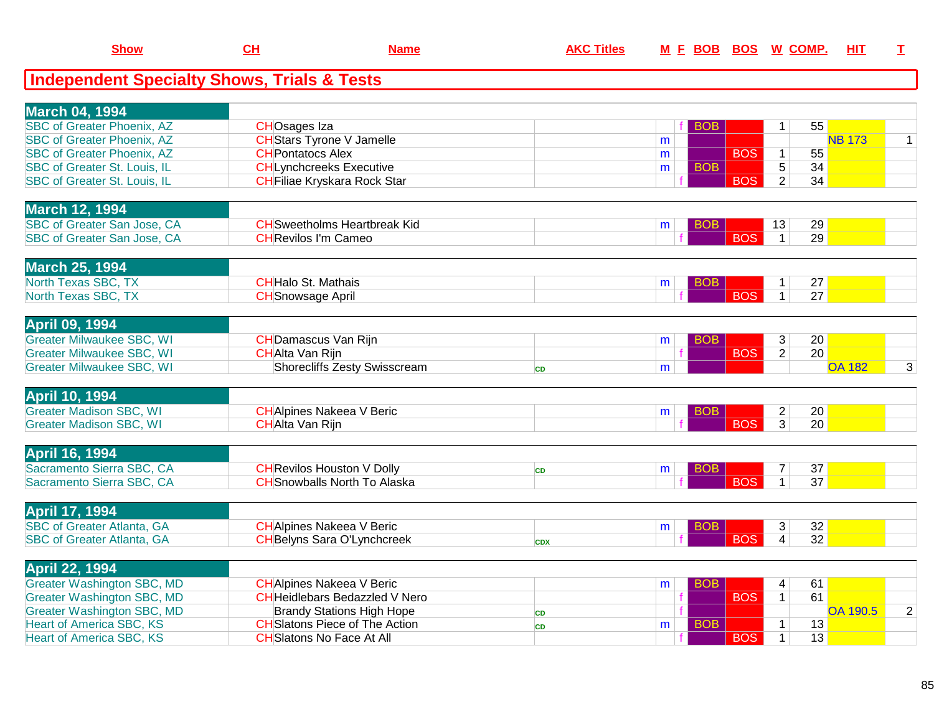| <b>Show</b>                                            | <u>CH</u>                           | <u>Name</u> | <b>AKC Titles</b> |   | <u>M E BOB</u> | <u>BOS</u> |                | <u>W COMP.</u> | <u>ніт</u>    |              |
|--------------------------------------------------------|-------------------------------------|-------------|-------------------|---|----------------|------------|----------------|----------------|---------------|--------------|
| <b>Independent Specialty Shows, Trials &amp; Tests</b> |                                     |             |                   |   |                |            |                |                |               |              |
|                                                        |                                     |             |                   |   |                |            |                |                |               |              |
| <b>March 04, 1994</b>                                  |                                     |             |                   |   |                |            |                |                |               |              |
| <b>SBC of Greater Phoenix, AZ</b>                      | <b>CHOsages Iza</b>                 |             |                   |   | <b>BOB</b>     |            | 1              | 55             |               |              |
| <b>SBC of Greater Phoenix, AZ</b>                      | <b>CH</b> Stars Tyrone V Jamelle    |             |                   | m |                |            |                |                | <b>NB 173</b> | $\mathbf{1}$ |
| <b>SBC of Greater Phoenix, AZ</b>                      | <b>CH</b> Pontatocs Alex            |             |                   | m |                | <b>BOS</b> | $\mathbf{1}$   | 55             |               |              |
| <b>SBC of Greater St. Louis, IL</b>                    | <b>CHLynchcreeks Executive</b>      |             |                   | m | <b>BOB</b>     |            | $\overline{5}$ | 34             |               |              |
| SBC of Greater St. Louis, IL                           | CHFiliae Kryskara Rock Star         |             |                   |   |                | <b>BOS</b> | $\overline{2}$ | 34             |               |              |
| <b>March 12, 1994</b>                                  |                                     |             |                   |   |                |            |                |                |               |              |
| SBC of Greater San Jose, CA                            | <b>CH</b> Sweetholms Heartbreak Kid |             |                   | m | <b>BOB</b>     |            | 13             | 29             |               |              |
| SBC of Greater San Jose, CA                            | <b>CH</b> Revilos I'm Cameo         |             |                   |   |                | <b>BOS</b> | $\mathbf{1}$   | 29             |               |              |
| <b>March 25, 1994</b>                                  |                                     |             |                   |   |                |            |                |                |               |              |
| North Texas SBC, TX                                    | <b>CHHalo St. Mathais</b>           |             |                   |   | <b>BOB</b>     |            | $\mathbf 1$    | 27             |               |              |
| North Texas SBC, TX                                    | <b>CH</b> Snowsage April            |             |                   | m |                | <b>BOS</b> | $\mathbf{1}$   | 27             |               |              |
|                                                        |                                     |             |                   |   |                |            |                |                |               |              |
| <b>April 09, 1994</b>                                  |                                     |             |                   |   |                |            |                |                |               |              |
| <b>Greater Milwaukee SBC, WI</b>                       | <b>CH</b> Damascus Van Rijn         |             |                   | m | BOB            |            | 3              | 20             |               |              |
| <b>Greater Milwaukee SBC, WI</b>                       | <b>CHAlta Van Rijn</b>              |             |                   |   |                | <b>BOS</b> | $\overline{2}$ | 20             |               |              |
| <b>Greater Milwaukee SBC, WI</b>                       | Shorecliffs Zesty Swisscream        |             | <b>CD</b>         | m |                |            |                |                | <b>OA 182</b> | 3            |
| <b>April 10, 1994</b>                                  |                                     |             |                   |   |                |            |                |                |               |              |
| <b>Greater Madison SBC, WI</b>                         | <b>CH</b> Alpines Nakeea V Beric    |             |                   | m | BOB            |            | $\overline{c}$ | 20             |               |              |
| <b>Greater Madison SBC, WI</b>                         | <b>CHAlta Van Rijn</b>              |             |                   |   |                | <b>BOS</b> | $\overline{3}$ | 20             |               |              |
| <b>April 16, 1994</b>                                  |                                     |             |                   |   |                |            |                |                |               |              |
| Sacramento Sierra SBC, CA                              | <b>CH</b> Revilos Houston V Dolly   |             | <b>CD</b>         | m | <b>BOB</b>     |            | 7              | 37             |               |              |
| Sacramento Sierra SBC, CA                              | <b>CH</b> Snowballs North To Alaska |             |                   |   |                | <b>BOS</b> | $\mathbf{1}$   | 37             |               |              |
|                                                        |                                     |             |                   |   |                |            |                |                |               |              |
| <b>April 17, 1994</b>                                  |                                     |             |                   |   |                |            |                |                |               |              |
| <b>SBC of Greater Atlanta, GA</b>                      | <b>CH</b> Alpines Nakeea V Beric    |             |                   | m | <b>BOB</b>     |            | 3              | 32             |               |              |
| <b>SBC of Greater Atlanta, GA</b>                      | <b>CH</b> Belyns Sara O'Lynchcreek  |             | <b>CDX</b>        |   |                | <b>BOS</b> | $\overline{4}$ | 32             |               |              |
| <b>April 22, 1994</b>                                  |                                     |             |                   |   |                |            |                |                |               |              |
|                                                        |                                     |             |                   |   |                |            |                |                |               |              |

**Show**

| IAPHI 44, 1994                    |                                       |  |            |    |                 |          |
|-----------------------------------|---------------------------------------|--|------------|----|-----------------|----------|
| Greater Washington SBC, MD        | CHAlpines Nakeea V Beric              |  |            | 61 |                 |          |
| <b>Greater Washington SBC, MD</b> | CHHeidlebars Bedazzled V Nero         |  | <b>BOS</b> | 61 |                 |          |
| Greater Washington SBC, MD        | <b>Brandy Stations High Hope</b>      |  |            |    | <b>OA 190.5</b> | $\Omega$ |
| Heart of America SBC, KS          | <b>CH</b> Slatons Piece of The Action |  |            | 13 |                 |          |
| Heart of America SBC, KS          | CHSlatons No Face At All              |  | <b>BOS</b> | 13 |                 |          |
|                                   |                                       |  |            |    |                 |          |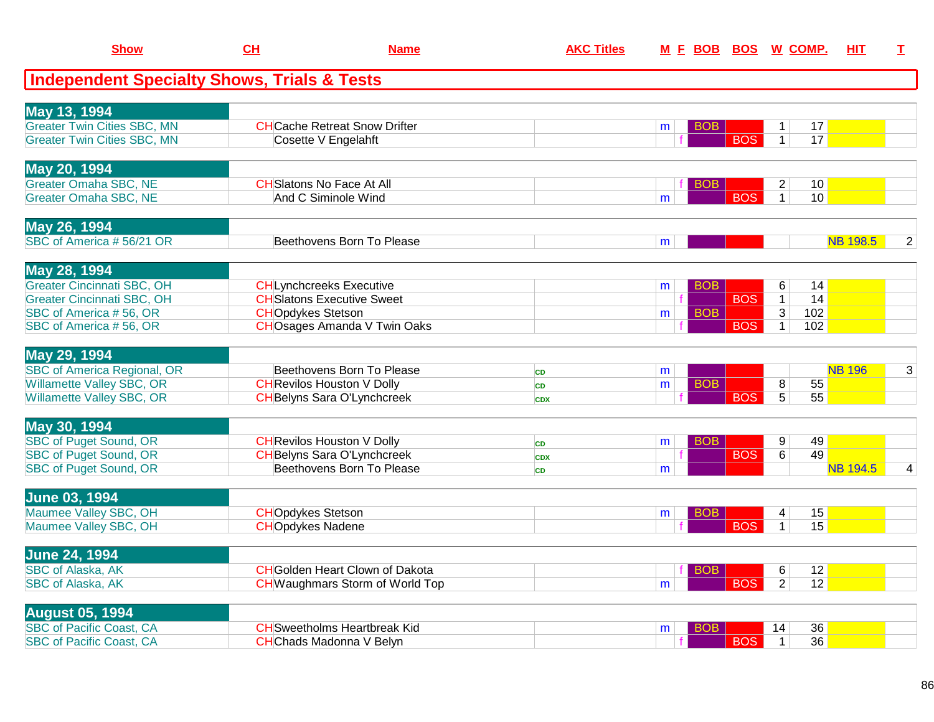| <b>Show</b>                                            | CH                       | <b>Name</b>                            | <b>AKC Titles</b> |   |                 | M E BOB BOS W COMP. |                |     | <b>HIT</b>      | I              |
|--------------------------------------------------------|--------------------------|----------------------------------------|-------------------|---|-----------------|---------------------|----------------|-----|-----------------|----------------|
| <b>Independent Specialty Shows, Trials &amp; Tests</b> |                          |                                        |                   |   |                 |                     |                |     |                 |                |
| May 13, 1994                                           |                          |                                        |                   |   |                 |                     |                |     |                 |                |
| <b>Greater Twin Cities SBC, MN</b>                     |                          | <b>CHCache Retreat Snow Drifter</b>    |                   | m | BOB             |                     | $\mathbf 1$    | 17  |                 |                |
| <b>Greater Twin Cities SBC, MN</b>                     |                          | Cosette V Engelahft                    |                   |   |                 | <b>BOS</b>          | $\overline{1}$ | 17  |                 |                |
| May 20, 1994                                           |                          |                                        |                   |   |                 |                     |                |     |                 |                |
| <b>Greater Omaha SBC, NE</b>                           |                          | <b>CH</b> Slatons No Face At All       |                   |   | <b>BOB</b>      |                     | $\overline{2}$ | 10  |                 |                |
| <b>Greater Omaha SBC, NE</b>                           |                          | And C Siminole Wind                    |                   | m |                 | <b>BOS</b>          | $\overline{1}$ | 10  |                 |                |
| May 26, 1994                                           |                          |                                        |                   |   |                 |                     |                |     |                 |                |
| SBC of America #56/21 OR                               |                          | Beethovens Born To Please              |                   | m |                 |                     |                |     | <b>NB 198.5</b> | $\overline{2}$ |
| May 28, 1994                                           |                          |                                        |                   |   |                 |                     |                |     |                 |                |
| <b>Greater Cincinnati SBC, OH</b>                      |                          | <b>CHLynchcreeks Executive</b>         |                   | m | BO <sub>B</sub> |                     | 6              | 14  |                 |                |
| <b>Greater Cincinnati SBC, OH</b>                      |                          | <b>CH</b> Slatons Executive Sweet      |                   |   |                 | <b>BOS</b>          | $\overline{1}$ | 14  |                 |                |
| SBC of America #56, OR                                 | <b>CHOpdykes Stetson</b> |                                        |                   | m | <b>BOB</b>      |                     | $\overline{3}$ | 102 |                 |                |
| SBC of America #56, OR                                 |                          | <b>CHO</b> sages Amanda V Twin Oaks    |                   |   |                 | <b>BOS</b>          | $\mathbf{1}$   | 102 |                 |                |
| May 29, 1994                                           |                          |                                        |                   |   |                 |                     |                |     |                 |                |
| SBC of America Regional, OR                            |                          | Beethovens Born To Please              | <b>CD</b>         | m |                 |                     |                |     | <b>NB 196</b>   | 3              |
| <b>Willamette Valley SBC, OR</b>                       |                          | <b>CH</b> Revilos Houston V Dolly      | CD                | m | <b>BOB</b>      |                     | 8              | 55  |                 |                |
| <b>Willamette Valley SBC, OR</b>                       |                          | <b>CH</b> Belyns Sara O'Lynchcreek     | <b>CDX</b>        |   |                 | <b>BOS</b>          | $\overline{5}$ | 55  |                 |                |
| May 30, 1994                                           |                          |                                        |                   |   |                 |                     |                |     |                 |                |
| <b>SBC of Puget Sound, OR</b>                          |                          | <b>CH</b> Revilos Houston V Dolly      | CD                | m | <b>BOB</b>      |                     | 9              | 49  |                 |                |
| <b>SBC of Puget Sound, OR</b>                          |                          | <b>CH</b> Belyns Sara O'Lynchcreek     | <b>CDX</b>        |   |                 | <b>BOS</b>          | 6              | 49  |                 |                |
| <b>SBC of Puget Sound, OR</b>                          |                          | Beethovens Born To Please              | <b>CD</b>         | m |                 |                     |                |     | <b>NB 194.5</b> | 4              |
| <b>June 03, 1994</b>                                   |                          |                                        |                   |   |                 |                     |                |     |                 |                |
| Maumee Valley SBC, OH                                  | <b>CHOpdykes Stetson</b> |                                        |                   | m | <b>BOB</b>      |                     | 4              | 15  |                 |                |
| Maumee Valley SBC, OH                                  | <b>CHOpdykes Nadene</b>  |                                        |                   |   |                 | <b>BOS</b>          | $\mathbf{1}$   | 15  |                 |                |
| <b>June 24, 1994</b>                                   |                          |                                        |                   |   |                 |                     |                |     |                 |                |
| <b>SBC of Alaska, AK</b>                               |                          | <b>CH</b> Golden Heart Clown of Dakota |                   |   | <b>BOB</b>      |                     | 6              | 12  |                 |                |
| <b>SBC of Alaska, AK</b>                               |                          | <b>CH</b> Waughmars Storm of World Top |                   | m |                 | <b>BOS</b>          | $\overline{2}$ | 12  |                 |                |
| <b>August 05, 1994</b>                                 |                          |                                        |                   |   |                 |                     |                |     |                 |                |
| <b>SBC of Pacific Coast, CA</b>                        |                          | <b>CH</b> Sweetholms Heartbreak Kid    |                   | m | BOB.            |                     | 14             | 36  |                 |                |
| <b>SBC of Pacific Coast, CA</b>                        |                          | <b>CHChads Madonna V Belyn</b>         |                   |   |                 | <b>BOS</b>          | $\mathbf{1}$   | 36  |                 |                |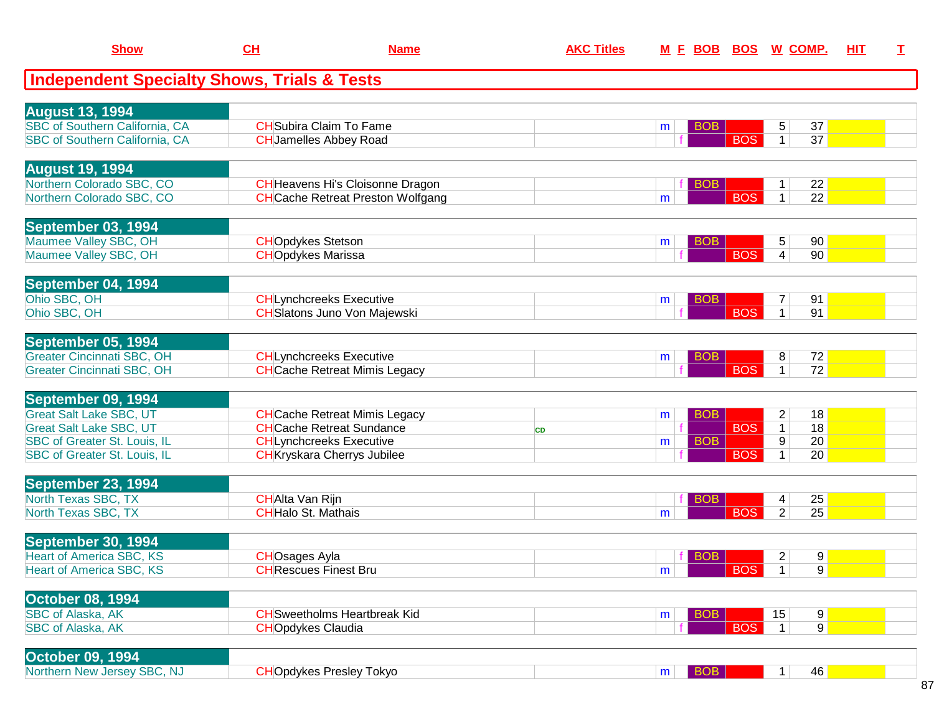| <b>Show</b>                                            | CH                         | <b>Name</b>                              | <b>AKC Titles</b> | M E BOB BOS W COMP. |                              |                                                         | HIT | $\mathbf I$ |
|--------------------------------------------------------|----------------------------|------------------------------------------|-------------------|---------------------|------------------------------|---------------------------------------------------------|-----|-------------|
| <b>Independent Specialty Shows, Trials &amp; Tests</b> |                            |                                          |                   |                     |                              |                                                         |     |             |
| <b>August 13, 1994</b>                                 |                            |                                          |                   |                     |                              |                                                         |     |             |
| <b>SBC of Southern California, CA</b>                  |                            | <b>CH</b> Subira Claim To Fame           |                   | <b>BOB</b><br>m     |                              | 5<br>37                                                 |     |             |
| SBC of Southern California, CA                         |                            | <b>CH</b> Jamelles Abbey Road            |                   |                     | <b>BOS</b>                   | $\overline{37}$<br>$\mathbf{1}$                         |     |             |
| <b>August 19, 1994</b>                                 |                            |                                          |                   |                     |                              |                                                         |     |             |
| Northern Colorado SBC, CO                              |                            | <b>CH</b> Heavens Hi's Cloisonne Dragon  |                   | <b>BOB</b>          |                              | 22                                                      |     |             |
| Northern Colorado SBC, CO                              |                            | <b>CH</b> Cache Retreat Preston Wolfgang |                   | m                   | <b>BOS</b>                   | $\overline{22}$<br>$\mathbf{1}$                         |     |             |
| September 03, 1994                                     |                            |                                          |                   |                     |                              |                                                         |     |             |
| Maumee Valley SBC, OH                                  | <b>CHOpdykes Stetson</b>   |                                          |                   | <b>BOB</b><br>m     |                              | 90<br>5                                                 |     |             |
| Maumee Valley SBC, OH                                  | <b>CHOpdykes Marissa</b>   |                                          |                   |                     | <b>BOS</b>                   | $\vert 4 \vert$<br>90                                   |     |             |
| September 04, 1994                                     |                            |                                          |                   |                     |                              |                                                         |     |             |
| Ohio SBC, OH                                           |                            | <b>CHLynchcreeks Executive</b>           |                   | <b>BOB</b><br>m     |                              | 91                                                      |     |             |
| Ohio SBC, OH                                           |                            | <b>CH</b> Slatons Juno Von Majewski      |                   |                     | <b>BOS</b>                   | $\mathbf{1}$<br>91                                      |     |             |
| September 05, 1994                                     |                            |                                          |                   |                     |                              |                                                         |     |             |
| <b>Greater Cincinnati SBC, OH</b>                      |                            | <b>CHLynchcreeks Executive</b>           |                   | <b>BOB</b><br>m     |                              | 72<br>8                                                 |     |             |
| <b>Greater Cincinnati SBC, OH</b>                      |                            | <b>CH</b> Cache Retreat Mimis Legacy     |                   |                     | <b>BOS</b>                   | $\overline{72}$<br>$\mathbf{1}$                         |     |             |
| September 09, 1994                                     |                            |                                          |                   |                     |                              |                                                         |     |             |
| <b>Great Salt Lake SBC, UT</b>                         |                            | <b>CH</b> Cache Retreat Mimis Legacy     |                   | <b>BOB</b><br>m     |                              | 18<br>$\overline{c}$                                    |     |             |
| <b>Great Salt Lake SBC, UT</b>                         |                            | <b>CHCache Retreat Sundance</b>          | <b>CD</b>         |                     | <b>BOS</b>                   | 18<br>$\mathbf{1}$                                      |     |             |
| <b>SBC of Greater St. Louis, IL</b>                    |                            | <b>CHLynchcreeks Executive</b>           |                   | <b>BOB</b><br>m     | <b>BOS</b>                   | 9<br>20<br>$\mathbf 1$                                  |     |             |
| SBC of Greater St. Louis, IL                           |                            | <b>CH</b> Kryskara Cherrys Jubilee       |                   |                     |                              | 20                                                      |     |             |
| September 23, 1994<br>North Texas SBC, TX              | <b>CHAlta Van Rijn</b>     |                                          |                   | <b>BOB</b>          |                              |                                                         |     |             |
| North Texas SBC, TX                                    | <b>CH</b> Halo St. Mathais |                                          |                   | m                   | <b>BOS</b>                   | 25<br>4<br>25<br>$\overline{2}$                         |     |             |
|                                                        |                            |                                          |                   |                     |                              |                                                         |     |             |
| September 30, 1994<br><b>Heart of America SBC, KS</b>  | <b>CHOsages Ayla</b>       |                                          |                   | <b>BOB</b>          |                              |                                                         |     |             |
| <b>Heart of America SBC, KS</b>                        |                            | <b>CH</b> Rescues Finest Bru             |                   | m                   | $\overline{\phantom{a}}$ BOS | 9<br>$\overline{2}$<br>$\overline{9}$<br>$\overline{1}$ |     |             |
|                                                        |                            |                                          |                   |                     |                              |                                                         |     |             |
| <b>October 08, 1994</b>                                |                            |                                          |                   |                     |                              |                                                         |     |             |
| <b>SBC of Alaska, AK</b><br><b>SBC of Alaska, AK</b>   | <b>CHOpdykes Claudia</b>   | <b>CH</b> Sweetholms Heartbreak Kid      |                   | <b>BOB</b><br>m     | <b>BOS</b>                   | 9 <sup>°</sup><br>15<br>9 <br>$\vert$ 1                 |     |             |
|                                                        |                            |                                          |                   |                     |                              |                                                         |     |             |
| <b>October 09, 1994</b><br>Northern New Jersey SBC, NJ |                            |                                          |                   |                     |                              |                                                         |     |             |
|                                                        |                            | <b>CHOpdykes Presley Tokyo</b>           |                   | BOB<br>m            |                              | 46<br>1                                                 |     |             |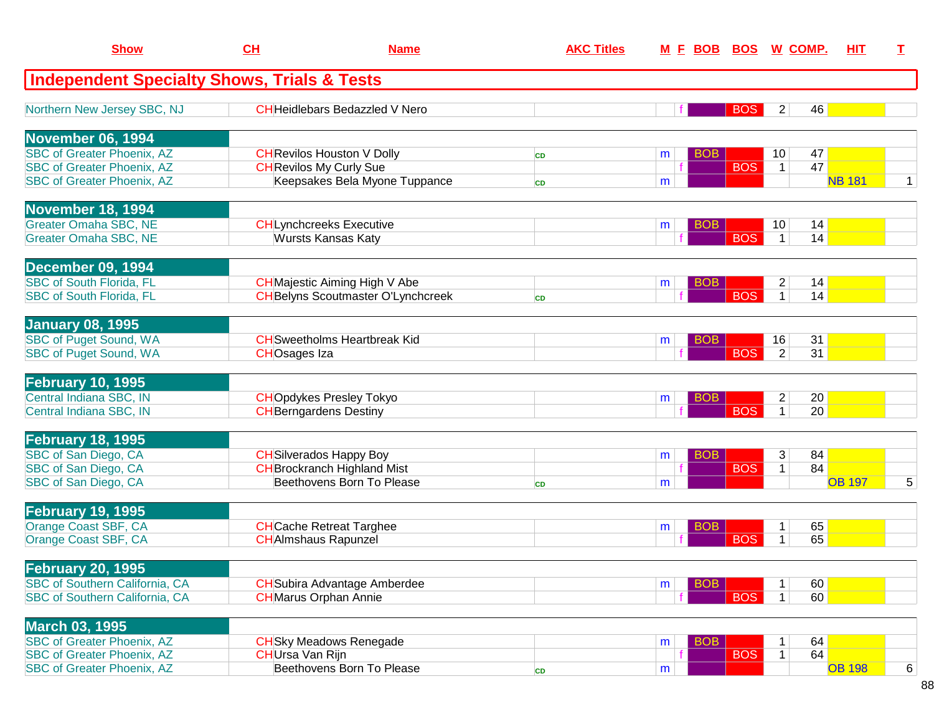| <b>Show</b>                                            | CL<br><b>Name</b>       |                                           | <b>AKC Titles</b> |   | <u>M F BOB</u> | BOS        | <u>W COMP.</u>  | <u>HIT</u>    | T.             |
|--------------------------------------------------------|-------------------------|-------------------------------------------|-------------------|---|----------------|------------|-----------------|---------------|----------------|
| <b>Independent Specialty Shows, Trials &amp; Tests</b> |                         |                                           |                   |   |                |            |                 |               |                |
| Northern New Jersey SBC, NJ                            |                         | <b>CH</b> Heidlebars Bedazzled V Nero     |                   |   |                | <b>BOS</b> | $\overline{2}$  | 46            |                |
| November 06, 1994                                      |                         |                                           |                   |   |                |            |                 |               |                |
| <b>SBC of Greater Phoenix, AZ</b>                      |                         | <b>CH</b> Revilos Houston V Dolly         | <b>CD</b>         | m | <b>BOB</b>     |            | 10 <sup>°</sup> | 47            |                |
| <b>SBC of Greater Phoenix, AZ</b>                      |                         | <b>CH</b> Revilos My Curly Sue            |                   |   |                | <b>BOS</b> | $\mathbf{1}$    | 47            |                |
| <b>SBC of Greater Phoenix, AZ</b>                      |                         | Keepsakes Bela Myone Tuppance             | <b>CD</b>         | m |                |            |                 | <b>NB 181</b> | $\mathbf{1}$   |
| <b>November 18, 1994</b>                               |                         |                                           |                   |   |                |            |                 |               |                |
| <b>Greater Omaha SBC, NE</b>                           |                         | <b>CHLynchcreeks Executive</b>            |                   | m | <b>BOB</b>     |            | 10              | 14            |                |
| <b>Greater Omaha SBC, NE</b>                           |                         | <b>Wursts Kansas Katy</b>                 |                   |   |                | <b>BOS</b> | $\mathbf{1}$    | 14            |                |
| December 09, 1994                                      |                         |                                           |                   |   |                |            |                 |               |                |
| <b>SBC of South Florida, FL</b>                        |                         | <b>CH</b> Majestic Aiming High V Abe      |                   | m | <b>BOB</b>     |            | $\overline{c}$  | 14            |                |
| <b>SBC of South Florida, FL</b>                        |                         | <b>CH</b> Belyns Scoutmaster O'Lynchcreek | <b>CD</b>         |   |                | <b>BOS</b> | $\mathbf{1}$    | 14            |                |
| <b>January 08, 1995</b>                                |                         |                                           |                   |   |                |            |                 |               |                |
| <b>SBC of Puget Sound, WA</b>                          |                         | <b>CH</b> Sweetholms Heartbreak Kid       |                   | m | <b>BOB</b>     |            | 16              | 31            |                |
| <b>SBC of Puget Sound, WA</b>                          | <b>CHOsages Iza</b>     |                                           |                   |   |                | <b>BOS</b> | $\overline{2}$  | 31            |                |
| <b>February 10, 1995</b>                               |                         |                                           |                   |   |                |            |                 |               |                |
| Central Indiana SBC, IN                                |                         | <b>CHOpdykes Presley Tokyo</b>            |                   | m | BOB            |            | $\overline{c}$  | 20            |                |
| Central Indiana SBC, IN                                |                         | <b>CH</b> Berngardens Destiny             |                   |   |                | <b>BOS</b> | $\mathbf{1}$    | 20            |                |
| <b>February 18, 1995</b>                               |                         |                                           |                   |   |                |            |                 |               |                |
| SBC of San Diego, CA                                   |                         | <b>CH</b> Silverados Happy Boy            |                   | m | <b>BOB</b>     |            | 3               | 84            |                |
| SBC of San Diego, CA                                   |                         | <b>CH</b> Brockranch Highland Mist        |                   |   |                | <b>BOS</b> | $\mathbf 1$     | 84            |                |
| SBC of San Diego, CA                                   |                         | Beethovens Born To Please                 | <b>CD</b>         | m |                |            |                 | <b>OB 197</b> | $\overline{5}$ |
| <b>February 19, 1995</b>                               |                         |                                           |                   |   |                |            |                 |               |                |
| Orange Coast SBF, CA                                   |                         | <b>CH</b> Cache Retreat Targhee           |                   | m | BOB            |            | 1               | 65            |                |
| Orange Coast SBF, CA                                   |                         | <b>CH</b> AImshaus Rapunzel               |                   |   |                | <b>BOS</b> | 1               | 65            |                |
| <b>February 20, 1995</b>                               |                         |                                           |                   |   |                |            |                 |               |                |
| <b>SBC of Southern California, CA</b>                  |                         | <b>CH</b> Subira Advantage Amberdee       |                   | m | <b>BOB</b>     |            | 1               | 60            |                |
| SBC of Southern California, CA                         |                         | <b>CH</b> Marus Orphan Annie              |                   |   |                | <b>BOS</b> | $\mathbf{1}$    | 60            |                |
| <b>March 03, 1995</b>                                  |                         |                                           |                   |   |                |            |                 |               |                |
| <b>SBC of Greater Phoenix, AZ</b>                      |                         | <b>CH</b> Sky Meadows Renegade            |                   | m | <b>BOB</b>     |            | 1               | 64            |                |
| <b>SBC of Greater Phoenix, AZ</b>                      | <b>CH</b> Ursa Van Rijn |                                           |                   |   |                | <b>BOS</b> | $\mathbf 1$     | 64            |                |
| <b>SBC of Greater Phoenix, AZ</b>                      |                         | Beethovens Born To Please                 | <b>CD</b>         | m |                |            |                 | <b>OB 198</b> | 6              |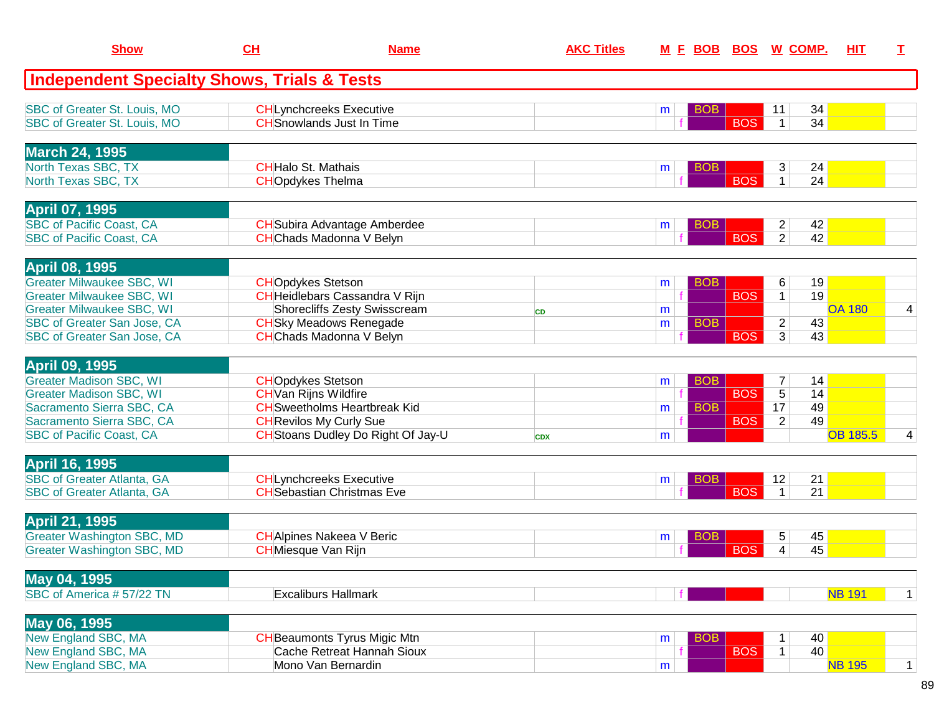| <b>Show</b>                                            | CH                           | <b>Name</b>                               | <b>AKC Titles</b> | <u>M F BOB</u>       |            | <b>BOS W COMP.</b>   | <b>HIT</b>      | T.           |
|--------------------------------------------------------|------------------------------|-------------------------------------------|-------------------|----------------------|------------|----------------------|-----------------|--------------|
| <b>Independent Specialty Shows, Trials &amp; Tests</b> |                              |                                           |                   |                      |            |                      |                 |              |
| SBC of Greater St. Louis, MO                           |                              | <b>CH</b> Lynchcreeks Executive           |                   | <b>BOB</b><br>m      |            | 34<br>11             |                 |              |
| SBC of Greater St. Louis, MO                           |                              | <b>CH</b> Snowlands Just In Time          |                   |                      | <b>BOS</b> | 34<br>$\mathbf 1$    |                 |              |
| <b>March 24, 1995</b>                                  |                              |                                           |                   |                      |            |                      |                 |              |
| North Texas SBC, TX                                    | <b>CHHalo St. Mathais</b>    |                                           |                   | <b>BOB</b><br>m      |            | 24<br>3              |                 |              |
| North Texas SBC, TX                                    | <b>CHOpdykes Thelma</b>      |                                           |                   |                      | <b>BOS</b> | $\mathbf{1}$<br>24   |                 |              |
| <b>April 07, 1995</b>                                  |                              |                                           |                   |                      |            |                      |                 |              |
| <b>SBC</b> of Pacific Coast, CA                        |                              | <b>CH</b> Subira Advantage Amberdee       |                   | <b>BOB</b><br>m      |            | $\overline{2}$<br>42 |                 |              |
| <b>SBC of Pacific Coast, CA</b>                        |                              | <b>CH</b> Chads Madonna V Belyn           |                   |                      | <b>BOS</b> | $\overline{2}$<br>42 |                 |              |
| April 08, 1995                                         |                              |                                           |                   |                      |            |                      |                 |              |
| <b>Greater Milwaukee SBC, WI</b>                       | <b>CHOpdykes Stetson</b>     |                                           |                   | BO <sub>B</sub><br>m |            | 19<br>6              |                 |              |
| <b>Greater Milwaukee SBC, WI</b>                       |                              | CHHeidlebars Cassandra V Rijn             |                   |                      | <b>BOS</b> | 19<br>$\mathbf{1}$   |                 |              |
| <b>Greater Milwaukee SBC, WI</b>                       |                              | Shorecliffs Zesty Swisscream              | <b>CD</b>         | m                    |            |                      | <b>OA 180</b>   | 4            |
| SBC of Greater San Jose, CA                            |                              | <b>CH</b> Sky Meadows Renegade            |                   | <b>BOB</b><br>m      |            | 43<br>$\overline{c}$ |                 |              |
| SBC of Greater San Jose, CA                            |                              | <b>CH</b> Chads Madonna V Belyn           |                   |                      | <b>BOS</b> | $\overline{3}$<br>43 |                 |              |
| <b>April 09, 1995</b>                                  |                              |                                           |                   |                      |            |                      |                 |              |
| <b>Greater Madison SBC, WI</b>                         | <b>CHOpdykes Stetson</b>     |                                           |                   | <b>BOB</b><br>m      |            | $\overline{7}$<br>14 |                 |              |
| <b>Greater Madison SBC, WI</b>                         | <b>CH</b> Van Rijns Wildfire |                                           |                   |                      | <b>BOS</b> | $\overline{5}$<br>14 |                 |              |
| Sacramento Sierra SBC, CA                              |                              | <b>CH</b> Sweetholms Heartbreak Kid       |                   | <b>BOB</b><br>m      |            | 17<br>49             |                 |              |
| Sacramento Sierra SBC, CA                              |                              | <b>CH</b> Revilos My Curly Sue            |                   |                      | <b>BOS</b> | $\overline{2}$<br>49 |                 |              |
| <b>SBC of Pacific Coast, CA</b>                        |                              | <b>CH</b> Stoans Dudley Do Right Of Jay-U | <b>CDX</b>        | m                    |            |                      | <b>OB 185.5</b> | 4            |
| <b>April 16, 1995</b>                                  |                              |                                           |                   |                      |            |                      |                 |              |
| <b>SBC of Greater Atlanta, GA</b>                      |                              | <b>CHLynchcreeks Executive</b>            |                   | <b>BOB</b><br>m      |            | 21<br>12             |                 |              |
| <b>SBC of Greater Atlanta, GA</b>                      |                              | <b>CH</b> Sebastian Christmas Eve         |                   |                      | <b>BOS</b> | 21<br>$\mathbf 1$    |                 |              |
| <b>April 21, 1995</b>                                  |                              |                                           |                   |                      |            |                      |                 |              |
| <b>Greater Washington SBC, MD</b>                      |                              | <b>CH</b> Alpines Nakeea V Beric          |                   | <b>BOB</b><br>m      |            | 45<br>5              |                 |              |
| <b>Greater Washington SBC, MD</b>                      | <b>CH</b> Miesque Van Rijn   |                                           |                   |                      | <b>BOS</b> | 45<br>4              |                 |              |
| May 04, 1995                                           |                              |                                           |                   |                      |            |                      |                 |              |
| SBC of America #57/22 TN                               |                              | <b>Excaliburs Hallmark</b>                |                   |                      |            |                      | <b>NB 191</b>   | $\mathbf 1$  |
| May 06, 1995                                           |                              |                                           |                   |                      |            |                      |                 |              |
| New England SBC, MA                                    |                              | <b>CH</b> Beaumonts Tyrus Migic Mtn       |                   | <b>BOB</b><br>m      |            | 40                   |                 |              |
| New England SBC, MA                                    |                              | Cache Retreat Hannah Sioux                |                   |                      | <b>BOS</b> | 40<br>$\mathbf{1}$   |                 |              |
| New England SBC, MA                                    |                              | Mono Van Bernardin                        |                   | m                    |            |                      | <b>NB 195</b>   | $\mathbf{1}$ |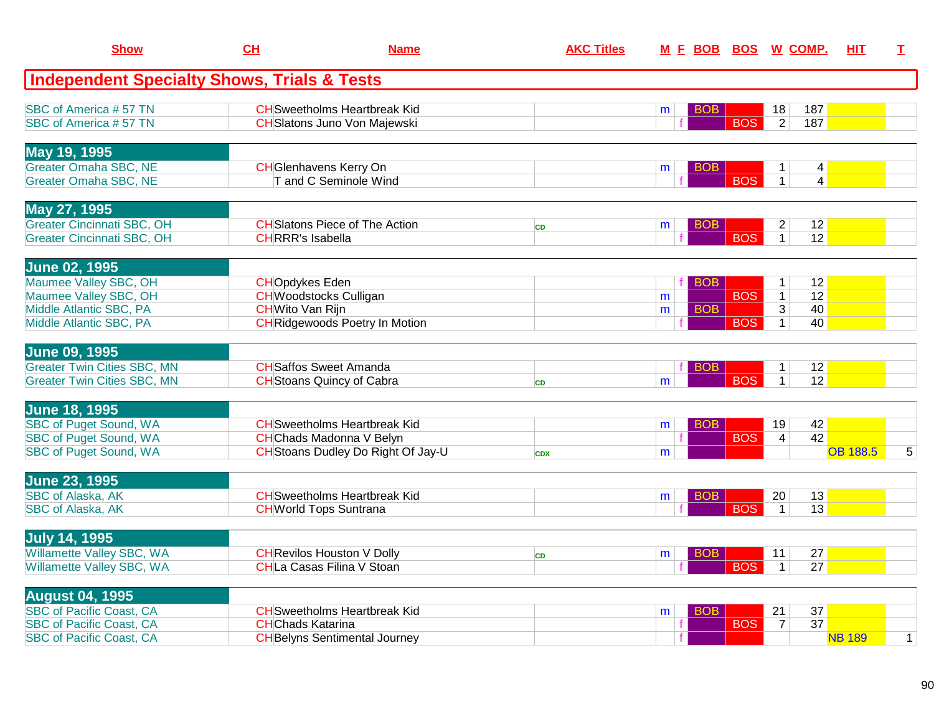| <b>Show</b>                                            | CH                      | <b>Name</b>                                            | <b>AKC Titles</b> |                 |            | M E BOB BOS W COMP.                                                 | <u>HIT</u>      | I            |
|--------------------------------------------------------|-------------------------|--------------------------------------------------------|-------------------|-----------------|------------|---------------------------------------------------------------------|-----------------|--------------|
| <b>Independent Specialty Shows, Trials &amp; Tests</b> |                         |                                                        |                   |                 |            |                                                                     |                 |              |
| SBC of America #57 TN                                  |                         | <b>CH</b> Sweetholms Heartbreak Kid                    |                   | <b>BOB</b><br>m |            | 187<br>18                                                           |                 |              |
| SBC of America #57 TN                                  |                         | <b>CH</b> Slatons Juno Von Majewski                    |                   |                 | <b>BOS</b> | $\overline{2}$<br>187                                               |                 |              |
| May 19, 1995                                           |                         |                                                        |                   |                 |            |                                                                     |                 |              |
| <b>Greater Omaha SBC, NE</b><br>Greater Omaha SBC, NE  |                         | <b>CH</b> Glenhavens Kerry On<br>T and C Seminole Wind |                   | BOB.<br>m       | <b>BOS</b> | $\vert 4 \vert$<br>$\mathbf{1}$<br>$\overline{1}$<br>$\overline{4}$ |                 |              |
|                                                        |                         |                                                        |                   |                 |            |                                                                     |                 |              |
| May 27, 1995<br><b>Greater Cincinnati SBC, OH</b>      |                         | <b>CH</b> Slatons Piece of The Action                  |                   | <b>BOB</b><br>m |            | 12<br>2                                                             |                 |              |
| <b>Greater Cincinnati SBC, OH</b>                      | <b>CHRRR's Isabella</b> |                                                        | <b>CD</b>         |                 | <b>BOS</b> | $\overline{1}$<br>12                                                |                 |              |
| <b>June 02, 1995</b>                                   |                         |                                                        |                   |                 |            |                                                                     |                 |              |
| Maumee Valley SBC, OH                                  | <b>CHOpdykes Eden</b>   |                                                        |                   | <b>BOB</b>      |            | 12<br>$\mathbf{1}$                                                  |                 |              |
| Maumee Valley SBC, OH                                  |                         | <b>CH</b> Woodstocks Culligan                          |                   | m               | <b>BOS</b> | $\mathbf{1}$<br>12                                                  |                 |              |
| Middle Atlantic SBC, PA                                | <b>CH</b> Wito Van Rijn |                                                        |                   | <b>BOB</b><br>m |            | $\overline{3}$<br>40                                                |                 |              |
| Middle Atlantic SBC, PA                                |                         | <b>CH</b> Ridgewoods Poetry In Motion                  |                   |                 | <b>BOS</b> | 40<br>$\mathbf{1}$                                                  |                 |              |
| <b>June 09, 1995</b>                                   |                         |                                                        |                   |                 |            |                                                                     |                 |              |
| <b>Greater Twin Cities SBC, MN</b>                     |                         | <b>CH</b> Saffos Sweet Amanda                          |                   | <b>BOB</b>      |            | 12<br>1                                                             |                 |              |
| <b>Greater Twin Cities SBC, MN</b>                     |                         | <b>CH</b> Stoans Quincy of Cabra                       | <b>CD</b>         | m               | <b>BOS</b> | 12<br>$\mathbf{1}$                                                  |                 |              |
| <b>June 18, 1995</b>                                   |                         |                                                        |                   |                 |            |                                                                     |                 |              |
| <b>SBC of Puget Sound, WA</b>                          |                         | <b>CH</b> Sweetholms Heartbreak Kid                    |                   | BOB<br>m        |            | 42<br>19                                                            |                 |              |
| <b>SBC of Puget Sound, WA</b>                          |                         | <b>CH</b> Chads Madonna V Belyn                        |                   |                 | <b>BOS</b> | 42<br>$\overline{4}$                                                |                 | 5            |
| <b>SBC of Puget Sound, WA</b>                          |                         | CH Stoans Dudley Do Right Of Jay-U                     | <b>CDX</b>        | m               |            |                                                                     | <b>OB 188.5</b> |              |
| <b>June 23, 1995</b>                                   |                         |                                                        |                   |                 |            |                                                                     |                 |              |
| <b>SBC of Alaska, AK</b>                               |                         | <b>CH</b> Sweetholms Heartbreak Kid                    |                   | <b>BOB</b><br>m |            | 13<br>20                                                            |                 |              |
| <b>SBC of Alaska, AK</b>                               |                         | <b>CH</b> World Tops Suntrana                          |                   |                 | <b>BOS</b> | 13<br>$\overline{1}$                                                |                 |              |
| <b>July 14, 1995</b>                                   |                         |                                                        |                   |                 |            |                                                                     |                 |              |
| Willamette Valley SBC, WA                              |                         | <b>CH</b> Revilos Houston V Dolly                      | <b>CD</b>         | BOB<br>m        |            | 27<br>11                                                            |                 |              |
| Willamette Valley SBC, WA                              |                         | <b>CHLa Casas Filina V Stoan</b>                       |                   |                 | <b>BOS</b> | $\overline{27}$<br>$\mathbf{1}$                                     |                 |              |
| <b>August 04, 1995</b>                                 |                         |                                                        |                   |                 |            |                                                                     |                 |              |
| <b>SBC</b> of Pacific Coast, CA                        |                         | <b>CH</b> Sweetholms Heartbreak Kid                    |                   | <b>BOB</b><br>m |            | 37<br>21                                                            |                 |              |
| <b>SBC of Pacific Coast, CA</b>                        | <b>CHChads Katarina</b> |                                                        |                   | f               | <b>BOS</b> | $\overline{37}$<br>$\overline{7}$                                   | <b>NB 189</b>   |              |
| <b>SBC of Pacific Coast, CA</b>                        |                         | <b>CH</b> Belyns Sentimental Journey                   |                   |                 |            |                                                                     |                 | $\mathbf{1}$ |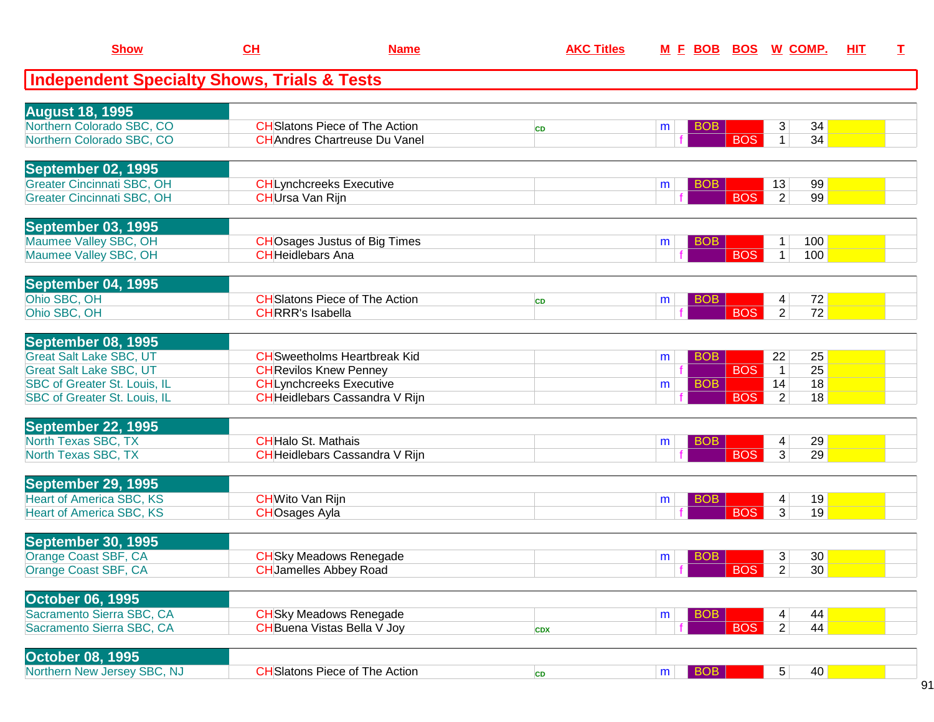| <b>Show</b>                                                                                                                                                   | CL                                              | <b>Name</b>                                                                                                                             | <b>AKC Titles</b> | M E BOB BOS W COMP.                |                          |                                                                      | HIT | $\mathbf I$ |
|---------------------------------------------------------------------------------------------------------------------------------------------------------------|-------------------------------------------------|-----------------------------------------------------------------------------------------------------------------------------------------|-------------------|------------------------------------|--------------------------|----------------------------------------------------------------------|-----|-------------|
| <b>Independent Specialty Shows, Trials &amp; Tests</b>                                                                                                        |                                                 |                                                                                                                                         |                   |                                    |                          |                                                                      |     |             |
| <b>August 18, 1995</b><br>Northern Colorado SBC, CO<br>Northern Colorado SBC, CO                                                                              |                                                 | <b>CH</b> Slatons Piece of The Action<br><b>CH</b> Andres Chartreuse Du Vanel                                                           | <b>CD</b>         | <b>BOB</b><br>m                    | <b>BOS</b>               | 34<br>3<br>34<br>$\mathbf{1}$                                        |     |             |
| September 02, 1995<br><b>Greater Cincinnati SBC, OH</b><br><b>Greater Cincinnati SBC, OH</b>                                                                  | CHUrsa Van Rijn                                 | <b>CHLynchcreeks Executive</b>                                                                                                          |                   | <b>BOB</b><br>m                    | <b>BOS</b>               | 99<br>13<br>99<br>2 <sup>1</sup>                                     |     |             |
| September 03, 1995<br>Maumee Valley SBC, OH<br>Maumee Valley SBC, OH                                                                                          | <b>CHHeidlebars Ana</b>                         | <b>CHO</b> sages Justus of Big Times                                                                                                    |                   | <b>BOB</b><br>m                    | <b>BOS</b>               | 100<br>1<br>100<br>1 <sup>1</sup>                                    |     |             |
| September 04, 1995<br>Ohio SBC, OH<br>Ohio SBC, OH                                                                                                            | <b>CHRRR's Isabella</b>                         | <b>CH</b> Slatons Piece of The Action                                                                                                   | <b>CD</b>         | <b>BOB</b><br>m                    | <b>BOS</b>               | 72<br>4<br>$\overline{2}$<br>72                                      |     |             |
| September 08, 1995<br><b>Great Salt Lake SBC, UT</b><br><b>Great Salt Lake SBC, UT</b><br><b>SBC of Greater St. Louis, IL</b><br>SBC of Greater St. Louis, IL |                                                 | <b>CH</b> Sweetholms Heartbreak Kid<br><b>CH</b> Revilos Knew Penney<br><b>CHLynchcreeks Executive</b><br>CHHeidlebars Cassandra V Rijn |                   | <b>BOB</b><br>m<br><b>BOB</b><br>m | <b>BOS</b><br><b>BOS</b> | 22<br>25<br>25<br>$\overline{1}$<br>18<br>14<br>$\overline{2}$<br>18 |     |             |
| September 22, 1995<br>North Texas SBC, TX<br>North Texas SBC, TX                                                                                              | <b>CHHalo St. Mathais</b>                       | CHHeidlebars Cassandra V Rijn                                                                                                           |                   | <b>BOB</b><br>m                    | <b>BOS</b>               | 29<br>4<br>3<br>29                                                   |     |             |
| September 29, 1995<br><b>Heart of America SBC, KS</b><br><b>Heart of America SBC, KS</b>                                                                      | <b>CH</b> Wito Van Rijn<br><b>CHOsages Ayla</b> |                                                                                                                                         |                   | <b>BOB</b><br>m                    | <b>BOS</b>               | 19<br>4<br>3 <sup>1</sup><br>19                                      |     |             |
| <b>September 30, 1995</b><br>Orange Coast SBF, CA<br>Orange Coast SBF, CA                                                                                     |                                                 | <b>CH</b> Sky Meadows Renegade<br><b>CH</b> Jamelles Abbey Road                                                                         |                   | <b>BOB</b><br>m                    | $ $ BOS $ $              | 30 <br>3 <sup>1</sup><br>$\overline{2}$<br>30                        |     |             |
| <b>October 06, 1995</b><br>Sacramento Sierra SBC, CA<br>Sacramento Sierra SBC, CA                                                                             |                                                 | <b>CH</b> Sky Meadows Renegade<br><b>CH</b> Buena Vistas Bella V Joy                                                                    | <b>CDX</b>        | <b>BOB</b><br>m                    | <b>BOS</b>               | 44<br>4<br>$\overline{2}$<br>44                                      |     |             |
| <b>October 08, 1995</b><br>Northern New Jersey SBC, NJ                                                                                                        |                                                 | <b>CH</b> Slatons Piece of The Action                                                                                                   | CD                | <b>BOB</b><br>m <sub>1</sub>       |                          | 5 <sup>2</sup><br>40                                                 |     |             |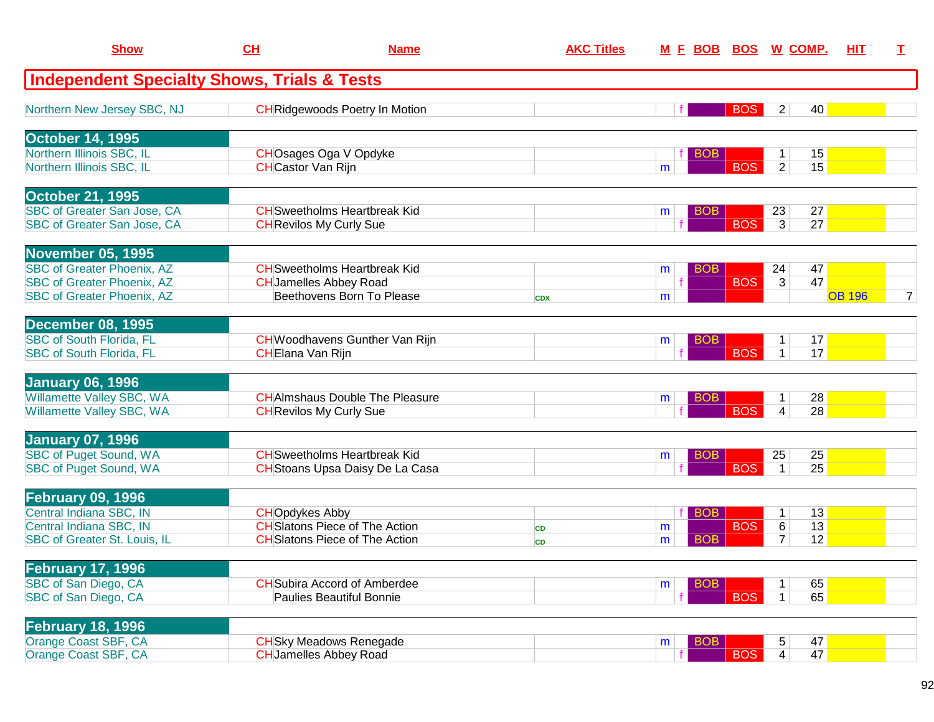| <b>Show</b>                                                            | CH                        | <b>Name</b>                                                                   | <b>AKC Titles</b> |                 |                               | <u>M E BOB BOS W COMP.</u>                 | <b>HIT</b>    | T.             |
|------------------------------------------------------------------------|---------------------------|-------------------------------------------------------------------------------|-------------------|-----------------|-------------------------------|--------------------------------------------|---------------|----------------|
| <b>Independent Specialty Shows, Trials &amp; Tests</b>                 |                           |                                                                               |                   |                 |                               |                                            |               |                |
| Northern New Jersey SBC, NJ                                            |                           | <b>CH</b> Ridgewoods Poetry In Motion                                         |                   |                 | <b>BOS</b>                    | 40<br>$\overline{2}$                       |               |                |
| <b>October 14, 1995</b>                                                |                           |                                                                               |                   |                 |                               |                                            |               |                |
| Northern Illinois SBC, IL<br>Northern Illinois SBC, IL                 | <b>CH</b> Castor Van Rijn | CHOsages Oga V Opdyke                                                         |                   | <b>BOB</b><br>m | <b>BOS</b>                    | 15<br>$\mathbf{1}$<br>$\overline{2}$<br>15 |               |                |
| <b>October 21, 1995</b>                                                |                           |                                                                               |                   |                 |                               |                                            |               |                |
| SBC of Greater San Jose, CA<br><b>SBC of Greater San Jose, CA</b>      |                           | <b>CH</b> Sweetholms Heartbreak Kid<br><b>CH</b> Revilos My Curly Sue         |                   | m               | BO <sub>B</sub><br><b>BOS</b> | 23<br>27<br>3<br>27                        |               |                |
| <b>November 05, 1995</b>                                               |                           |                                                                               |                   |                 |                               |                                            |               |                |
| <b>SBC of Greater Phoenix, AZ</b>                                      |                           | <b>CH</b> Sweetholms Heartbreak Kid                                           |                   | <b>BOB</b><br>m |                               | 47<br>24                                   |               |                |
| <b>SBC of Greater Phoenix, AZ</b><br><b>SBC of Greater Phoenix, AZ</b> |                           | <b>CH</b> Jamelles Abbey Road<br>Beethovens Born To Please                    | <b>CDX</b>        | m               | <b>BOS</b>                    | 47<br>3                                    | <b>OB 196</b> | $\overline{7}$ |
| <b>December 08, 1995</b>                                               |                           |                                                                               |                   |                 |                               |                                            |               |                |
| <b>SBC of South Florida, FL</b>                                        |                           | <b>CH</b> Woodhavens Gunther Van Rijn                                         |                   | m               | BOB                           | 17<br>$\mathbf 1$                          |               |                |
| <b>SBC of South Florida, FL</b>                                        | CHElana Van Rijn          |                                                                               |                   |                 | <b>BOS</b>                    | 17<br>$\mathbf{1}$                         |               |                |
| <b>January 06, 1996</b>                                                |                           |                                                                               |                   |                 |                               |                                            |               |                |
| Willamette Valley SBC, WA<br>Willamette Valley SBC, WA                 |                           | <b>CHAImshaus Double The Pleasure</b><br><b>CH</b> Revilos My Curly Sue       |                   | m               | BOB<br><b>BOS</b>             | 28<br>1<br>28<br>4                         |               |                |
|                                                                        |                           |                                                                               |                   |                 |                               |                                            |               |                |
| <b>January 07, 1996</b>                                                |                           |                                                                               |                   |                 |                               |                                            |               |                |
| <b>SBC of Puget Sound, WA</b><br><b>SBC of Puget Sound, WA</b>         |                           | <b>CH</b> Sweetholms Heartbreak Kid<br><b>CH</b> Stoans Upsa Daisy De La Casa |                   | m               | <b>BOB</b><br><b>BOS</b>      | 25<br>25<br>25<br>$\mathbf{1}$             |               |                |
|                                                                        |                           |                                                                               |                   |                 |                               |                                            |               |                |
| <b>February 09, 1996</b><br>Central Indiana SBC, IN                    |                           |                                                                               |                   |                 |                               |                                            |               |                |
| Central Indiana SBC, IN                                                | <b>CHOpdykes Abby</b>     | <b>CH</b> Slatons Piece of The Action                                         | <b>CD</b>         | <b>BOB</b><br>m | <b>BOS</b>                    | 13<br>1<br>13<br>6                         |               |                |
| <b>SBC of Greater St. Louis, IL</b>                                    |                           | <b>CH</b> Slatons Piece of The Action                                         | <b>CD</b>         | <b>BOB</b><br>m |                               | 12<br>$\overline{7}$                       |               |                |
| <b>February 17, 1996</b>                                               |                           |                                                                               |                   |                 |                               |                                            |               |                |
| SBC of San Diego, CA                                                   |                           | <b>CH</b> Subira Accord of Amberdee                                           |                   | m               | <b>BOB</b>                    | 65<br>1                                    |               |                |
| SBC of San Diego, CA                                                   |                           | <b>Paulies Beautiful Bonnie</b>                                               |                   |                 | <b>BOS</b>                    | 65<br>$\mathbf{1}$                         |               |                |
| <b>February 18, 1996</b>                                               |                           |                                                                               |                   |                 |                               |                                            |               |                |
| <b>Orange Coast SBF, CA</b>                                            |                           | <b>CH</b> Sky Meadows Renegade                                                |                   | m               | <b>BOB</b>                    | 47<br>5                                    |               |                |
| Orange Coast SBF, CA                                                   |                           | <b>CH</b> Jamelles Abbey Road                                                 |                   |                 | <b>BOS</b>                    | 47<br>4                                    |               |                |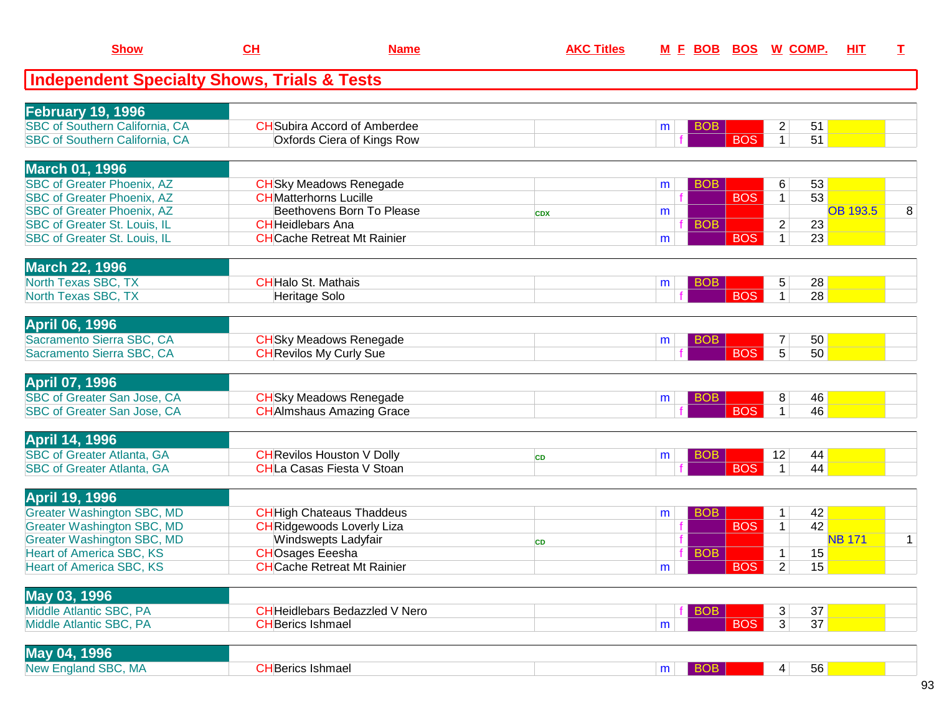| <b>Show</b>                                                       | <u>CH</u>                     | <b>Name</b>                           | <b>AKC Titles</b> |   | <u>M F BOB BOS</u> |            | <u>W_COMP.</u>          |          | <u>ніт</u>      | т |
|-------------------------------------------------------------------|-------------------------------|---------------------------------------|-------------------|---|--------------------|------------|-------------------------|----------|-----------------|---|
| <b>Independent Specialty Shows, Trials &amp; Tests</b>            |                               |                                       |                   |   |                    |            |                         |          |                 |   |
| <b>February 19, 1996</b>                                          |                               |                                       |                   |   |                    |            |                         |          |                 |   |
| <b>SBC of Southern California, CA</b>                             |                               | <b>CH</b> Subira Accord of Amberdee   |                   | m | <b>BOB</b>         |            | $\overline{\mathbf{c}}$ | 51       |                 |   |
| <b>SBC of Southern California, CA</b>                             |                               | Oxfords Ciera of Kings Row            |                   |   |                    | <b>BOS</b> | $\mathbf{1}$            | 51       |                 |   |
|                                                                   |                               |                                       |                   |   |                    |            |                         |          |                 |   |
| <b>March 01, 1996</b>                                             |                               |                                       |                   |   |                    |            |                         |          |                 |   |
| <b>SBC of Greater Phoenix, AZ</b>                                 |                               | <b>CH</b> Sky Meadows Renegade        |                   | m | <b>BOB</b>         |            | 6                       | 53       |                 |   |
| <b>SBC of Greater Phoenix, AZ</b>                                 | <b>CH</b> Matterhorns Lucille |                                       |                   |   |                    | <b>BOS</b> | $\mathbf{1}$            | 53       |                 |   |
| <b>SBC of Greater Phoenix, AZ</b>                                 |                               | Beethovens Born To Please             | <b>CDX</b>        | m |                    |            |                         |          | <b>OB 193.5</b> | 8 |
| <b>SBC of Greater St. Louis, IL</b>                               | <b>CH</b> Heidlebars Ana      |                                       |                   |   | <b>BOB</b>         |            | $\overline{\mathbf{c}}$ | 23       |                 |   |
| <b>SBC of Greater St. Louis, IL</b>                               |                               | <b>CH</b> Cache Retreat Mt Rainier    |                   | m |                    | <b>BOS</b> | $\mathbf{1}$            | 23       |                 |   |
| <b>March 22, 1996</b>                                             |                               |                                       |                   |   |                    |            |                         |          |                 |   |
| <b>North Texas SBC, TX</b>                                        | <b>CHHalo St. Mathais</b>     |                                       |                   | m | <b>BOB</b>         |            | 5                       | 28       |                 |   |
| <b>North Texas SBC, TX</b>                                        | Heritage Solo                 |                                       |                   |   |                    | <b>BOS</b> | $\mathbf 1$             | 28       |                 |   |
|                                                                   |                               |                                       |                   |   |                    |            |                         |          |                 |   |
| <b>April 06, 1996</b>                                             |                               |                                       |                   |   |                    |            |                         |          |                 |   |
| Sacramento Sierra SBC, CA                                         |                               | <b>CH</b> Sky Meadows Renegade        |                   | m | <b>BOB</b>         |            | $\overline{7}$          | 50       |                 |   |
| Sacramento Sierra SBC, CA                                         |                               | <b>CH</b> Revilos My Curly Sue        |                   |   |                    | <b>BOS</b> | $\overline{5}$          | 50       |                 |   |
|                                                                   |                               |                                       |                   |   |                    |            |                         |          |                 |   |
| <b>April 07, 1996</b>                                             |                               |                                       |                   |   |                    |            |                         |          |                 |   |
| <b>SBC of Greater San Jose, CA</b><br>SBC of Greater San Jose, CA |                               | <b>CH</b> Sky Meadows Renegade        |                   | m | <b>BOB</b>         | <b>BOS</b> | 8<br>$\overline{1}$     | 46<br>46 |                 |   |
|                                                                   |                               | <b>CH</b> Almshaus Amazing Grace      |                   |   |                    |            |                         |          |                 |   |
| <b>April 14, 1996</b>                                             |                               |                                       |                   |   |                    |            |                         |          |                 |   |
| <b>SBC of Greater Atlanta, GA</b>                                 |                               | <b>CH</b> Revilos Houston V Dolly     | <b>CD</b>         | m | <b>BOB</b>         |            | 12                      | 44       |                 |   |
| <b>SBC of Greater Atlanta, GA</b>                                 |                               | <b>CHLa Casas Fiesta V Stoan</b>      |                   |   |                    | <b>BOS</b> | $\mathbf{1}$            | 44       |                 |   |
|                                                                   |                               |                                       |                   |   |                    |            |                         |          |                 |   |
| <b>April 19, 1996</b>                                             |                               |                                       |                   |   |                    |            |                         |          |                 |   |
| <b>Greater Washington SBC, MD</b>                                 |                               | <b>CH</b> High Chateaus Thaddeus      |                   | m | <b>BOB</b>         |            | $\mathbf 1$             | 42       |                 |   |
| <b>Greater Washington SBC, MD</b>                                 |                               | <b>CH</b> Ridgewoods Loverly Liza     |                   |   |                    | <b>BOS</b> | $\mathbf{1}$            | 42       |                 |   |
| <b>Greater Washington SBC, MD</b>                                 |                               | Windswepts Ladyfair                   | <b>CD</b>         |   |                    |            |                         |          | <b>NB 171</b>   | 1 |
| <b>Heart of America SBC, KS</b>                                   | <b>CHOsages Eeesha</b>        |                                       |                   |   | <b>BOB</b>         |            | $\mathbf{1}$            | 15       |                 |   |
| <b>Heart of America SBC, KS</b>                                   |                               | <b>CHCache Retreat Mt Rainier</b>     |                   | m |                    | <b>BOS</b> | $\overline{2}$          | 15       |                 |   |
| May 03, 1996                                                      |                               |                                       |                   |   |                    |            |                         |          |                 |   |
| Middle Atlantic SBC, PA                                           |                               | <b>CH</b> Heidlebars Bedazzled V Nero |                   |   | <b>BOB</b>         |            | 3                       | 37       |                 |   |
| Middle Atlantic SBC, PA                                           | <b>CH</b> Berics Ishmael      |                                       |                   | m |                    | <b>BOS</b> | 3                       | 37       |                 |   |
|                                                                   |                               |                                       |                   |   |                    |            |                         |          |                 |   |
| May 04, 1996                                                      |                               |                                       |                   |   |                    |            |                         |          |                 |   |
| New England SBC, MA                                               | <b>CHBerics Ishmael</b>       |                                       |                   | m | $ $ BOB            |            | $\vert 4 \vert$         | 56       |                 |   |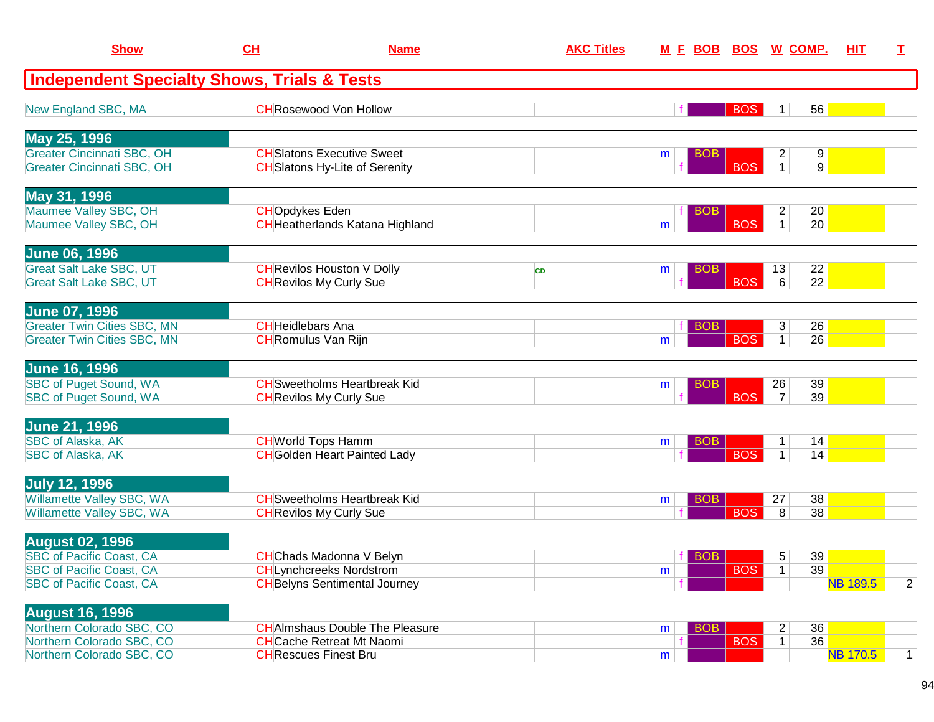| <b>Show</b>                                                              | CH                                                                         | <b>Name</b>                            | <b>AKC Titles</b> |                 |            | <u>M E BOB BOS W COMP.</u>                            | <b>HIT</b><br>T. |                |
|--------------------------------------------------------------------------|----------------------------------------------------------------------------|----------------------------------------|-------------------|-----------------|------------|-------------------------------------------------------|------------------|----------------|
| <b>Independent Specialty Shows, Trials &amp; Tests</b>                   |                                                                            |                                        |                   |                 |            |                                                       |                  |                |
| New England SBC, MA                                                      | <b>CH</b> Rosewood Von Hollow                                              |                                        |                   |                 | <b>BOS</b> | 56<br>1                                               |                  |                |
| May 25, 1996                                                             |                                                                            |                                        |                   |                 |            |                                                       |                  |                |
| <b>Greater Cincinnati SBC, OH</b><br><b>Greater Cincinnati SBC, OH</b>   | <b>CH</b> Slatons Executive Sweet<br><b>CH</b> Slatons Hy-Lite of Serenity |                                        |                   | <b>BOB</b><br>m | <b>BOS</b> | $\overline{2}$<br>9<br>$\mathbf{1}$<br>9 <sup>1</sup> |                  |                |
| May 31, 1996                                                             |                                                                            |                                        |                   |                 |            |                                                       |                  |                |
| Maumee Valley SBC, OH<br>Maumee Valley SBC, OH                           | <b>CHOpdykes Eden</b>                                                      | <b>CH</b> Heatherlands Katana Highland |                   | <b>BOB</b><br>m | <b>BOS</b> | 20<br>$\overline{a}$<br>$\mathbf{1}$<br>20            |                  |                |
| <b>June 06, 1996</b>                                                     |                                                                            |                                        |                   |                 |            |                                                       |                  |                |
| <b>Great Salt Lake SBC, UT</b><br><b>Great Salt Lake SBC, UT</b>         | <b>CH</b> Revilos Houston V Dolly<br><b>CH</b> Revilos My Curly Sue        |                                        | <b>CD</b>         | <b>BOB</b><br>m | <b>BOS</b> | 22<br>13<br>$\overline{22}$<br>6                      |                  |                |
| <b>June 07, 1996</b>                                                     |                                                                            |                                        |                   |                 |            |                                                       |                  |                |
| <b>Greater Twin Cities SBC, MN</b><br><b>Greater Twin Cities SBC, MN</b> | <b>CH</b> Heidlebars Ana<br><b>CH</b> Romulus Van Rijn                     |                                        |                   | <b>BOB</b><br>m | <b>BOS</b> | 3<br>26<br>$\overline{26}$<br>$\mathbf{1}$            |                  |                |
| <b>June 16, 1996</b>                                                     |                                                                            |                                        |                   |                 |            |                                                       |                  |                |
| SBC of Puget Sound, WA<br><b>SBC of Puget Sound, WA</b>                  | <b>CH</b> Sweetholms Heartbreak Kid<br><b>CH</b> Revilos My Curly Sue      |                                        |                   | <b>BOB</b><br>m | <b>BOS</b> | 26<br>39<br>39<br>$\overline{7}$                      |                  |                |
| <b>June 21, 1996</b>                                                     |                                                                            |                                        |                   |                 |            |                                                       |                  |                |
| <b>SBC of Alaska, AK</b><br><b>SBC of Alaska, AK</b>                     | <b>CH</b> World Tops Hamm<br><b>CH</b> Golden Heart Painted Lady           |                                        |                   | <b>BOB</b><br>m | <b>BOS</b> | 14<br>1<br>$\mathbf{1}$<br>14                         |                  |                |
| <b>July 12, 1996</b>                                                     |                                                                            |                                        |                   |                 |            |                                                       |                  |                |
| Willamette Valley SBC, WA<br>Willamette Valley SBC, WA                   | <b>CH</b> Sweetholms Heartbreak Kid<br><b>CH</b> Revilos My Curly Sue      |                                        |                   | <b>BOB</b><br>m | <b>BOS</b> | 38<br>27<br>38<br>8                                   |                  |                |
| <b>August 02, 1996</b>                                                   |                                                                            |                                        |                   |                 |            |                                                       |                  |                |
| <b>SBC of Pacific Coast, CA</b><br><b>SBC of Pacific Coast, CA</b>       | <b>CH</b> Chads Madonna V Belyn<br><b>CHLynchcreeks Nordstrom</b>          |                                        |                   | <b>BOB</b>      | <b>BOS</b> | 39<br>5<br>39<br>$\mathbf 1$                          |                  |                |
| <b>SBC of Pacific Coast, CA</b>                                          | <b>CH</b> Belyns Sentimental Journey                                       |                                        |                   | m               |            |                                                       | <b>NB 189.5</b>  | $\overline{2}$ |
| <b>August 16, 1996</b>                                                   |                                                                            |                                        |                   |                 |            |                                                       |                  |                |
| Northern Colorado SBC, CO<br>Northern Colorado SBC, CO                   | <b>CH</b> Cache Retreat Mt Naomi                                           | <b>CHAImshaus Double The Pleasure</b>  |                   | <b>BOB</b><br>m | <b>BOS</b> | $\overline{c}$<br>36<br>36<br>$\mathbf{1}$            |                  |                |
| Northern Colorado SBC, CO                                                | <b>CH</b> Rescues Finest Bru                                               |                                        |                   | m               |            |                                                       | <b>NB 170.5</b>  | $\mathbf{1}$   |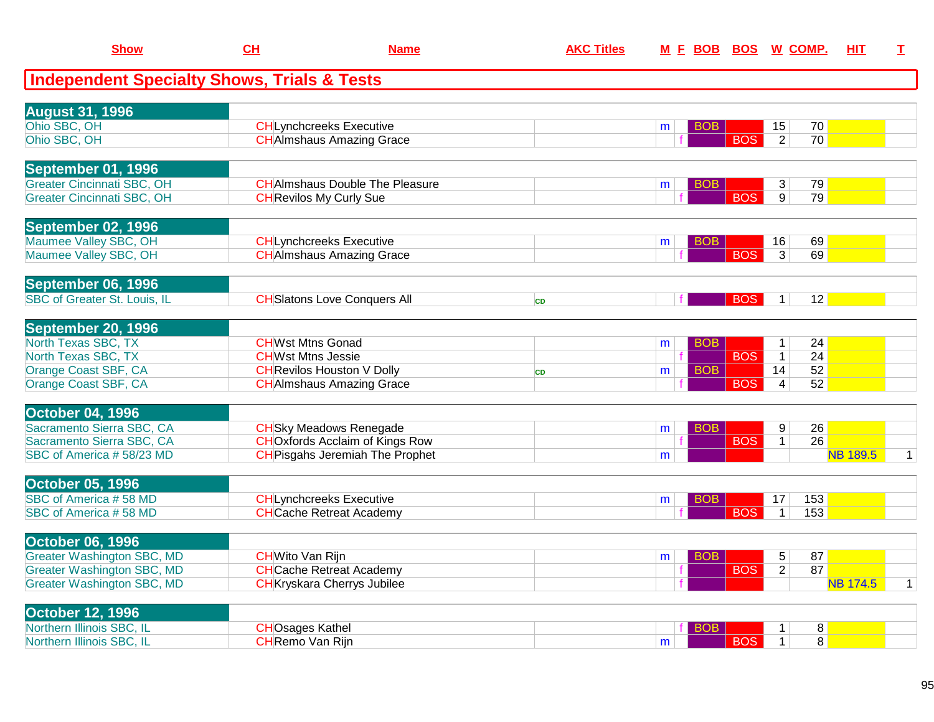| <b>Show</b>                                            | CL                                                  | <b>Name</b> | <b>AKC Titles</b> | <u>M F BOB</u>       |            | <b>BOS W COMP.</b>                         | <b>HIT</b>      | I.           |
|--------------------------------------------------------|-----------------------------------------------------|-------------|-------------------|----------------------|------------|--------------------------------------------|-----------------|--------------|
| <b>Independent Specialty Shows, Trials &amp; Tests</b> |                                                     |             |                   |                      |            |                                            |                 |              |
| <b>August 31, 1996</b>                                 |                                                     |             |                   |                      |            |                                            |                 |              |
| Ohio SBC, OH                                           | <b>CHLynchcreeks Executive</b>                      |             |                   | <b>BOB</b><br>m      |            | 15<br>70                                   |                 |              |
| Ohio SBC, OH                                           | <b>CH</b> Almshaus Amazing Grace                    |             |                   |                      | <b>BOS</b> | $\overline{2}$<br>70                       |                 |              |
|                                                        |                                                     |             |                   |                      |            |                                            |                 |              |
| <b>September 01, 1996</b>                              |                                                     |             |                   |                      |            |                                            |                 |              |
| <b>Greater Cincinnati SBC, OH</b>                      | <b>CHAImshaus Double The Pleasure</b>               |             |                   | <b>BOB</b><br>m      |            | 79<br>3                                    |                 |              |
| <b>Greater Cincinnati SBC, OH</b>                      | <b>CH</b> Revilos My Curly Sue                      |             |                   |                      | <b>BOS</b> | 9<br>79                                    |                 |              |
|                                                        |                                                     |             |                   |                      |            |                                            |                 |              |
| September 02, 1996                                     |                                                     |             |                   |                      |            |                                            |                 |              |
| Maumee Valley SBC, OH                                  | <b>CHLynchcreeks Executive</b>                      |             |                   | <b>BOB</b><br>m      |            | 69<br>16                                   |                 |              |
| Maumee Valley SBC, OH                                  | <b>CH</b> Almshaus Amazing Grace                    |             |                   |                      | <b>BOS</b> | $\overline{3}$<br>69                       |                 |              |
|                                                        |                                                     |             |                   |                      |            |                                            |                 |              |
| September 06, 1996                                     |                                                     |             |                   |                      |            |                                            |                 |              |
| <b>SBC of Greater St. Louis, IL</b>                    | <b>CH</b> Slatons Love Conquers All                 |             | <b>CD</b>         | f.                   | <b>BOS</b> | 12<br>1                                    |                 |              |
|                                                        |                                                     |             |                   |                      |            |                                            |                 |              |
| September 20, 1996<br>North Texas SBC, TX              |                                                     |             |                   |                      |            |                                            |                 |              |
| North Texas SBC, TX                                    | <b>CHWst Mtns Gonad</b><br><b>CHWst Mtns Jessie</b> |             |                   | BO <sub>B</sub><br>m | <b>BOS</b> | 24<br>$\mathbf{1}$<br>24<br>$\overline{1}$ |                 |              |
| Orange Coast SBF, CA                                   | <b>CH</b> Revilos Houston V Dolly                   |             | <b>CD</b>         | <b>BOB</b><br>m      |            | 52<br>14                                   |                 |              |
| Orange Coast SBF, CA                                   | <b>CH</b> Almshaus Amazing Grace                    |             |                   |                      | <b>BOS</b> | $\overline{\mathbf{4}}$<br>52              |                 |              |
|                                                        |                                                     |             |                   |                      |            |                                            |                 |              |
| <b>October 04, 1996</b>                                |                                                     |             |                   |                      |            |                                            |                 |              |
| Sacramento Sierra SBC, CA                              | <b>CH</b> Sky Meadows Renegade                      |             |                   | <b>BOB</b><br>m      |            | 9<br>26                                    |                 |              |
| Sacramento Sierra SBC, CA                              | <b>CHOxfords Acclaim of Kings Row</b>               |             |                   |                      | <b>BOS</b> | $\overline{26}$<br>$\mathbf{1}$            |                 |              |
| SBC of America #58/23 MD                               | <b>CH</b> Pisgahs Jeremiah The Prophet              |             |                   | m                    |            |                                            | <b>NB 189.5</b> | $\mathbf{1}$ |
|                                                        |                                                     |             |                   |                      |            |                                            |                 |              |
| <b>October 05, 1996</b>                                |                                                     |             |                   |                      |            |                                            |                 |              |
| SBC of America #58 MD                                  | <b>CHLynchcreeks Executive</b>                      |             |                   | BOB<br>m             |            | 153<br>17                                  |                 |              |
| SBC of America #58 MD                                  | <b>CH</b> Cache Retreat Academy                     |             |                   |                      | <b>BOS</b> | 153<br>$\mathbf{1}$                        |                 |              |
| <b>October 06, 1996</b>                                |                                                     |             |                   |                      |            |                                            |                 |              |
| <b>Greater Washington SBC, MD</b>                      | <b>CH</b> Wito Van Rijn                             |             |                   | <b>BOB</b><br>m      |            | 5<br>87                                    |                 |              |
| <b>Greater Washington SBC, MD</b>                      | <b>CHCache Retreat Academy</b>                      |             |                   |                      | <b>BOS</b> | 87<br>$\overline{2}$                       |                 |              |
| <b>Greater Washington SBC, MD</b>                      | <b>CH</b> Kryskara Cherrys Jubilee                  |             |                   |                      |            |                                            | <b>NB 174.5</b> | $\mathbf 1$  |
|                                                        |                                                     |             |                   |                      |            |                                            |                 |              |
| <b>October 12, 1996</b>                                |                                                     |             |                   |                      |            |                                            |                 |              |
| Northern Illinois SBC, IL                              | <b>CHOsages Kathel</b>                              |             |                   | BOB                  |            | 8<br>1                                     |                 |              |
| Northern Illinois SBC, IL                              | <b>CH</b> Remo Van Rijn                             |             |                   | m                    | <b>BOS</b> | $\overline{8}$<br>$\mathbf{1}$             |                 |              |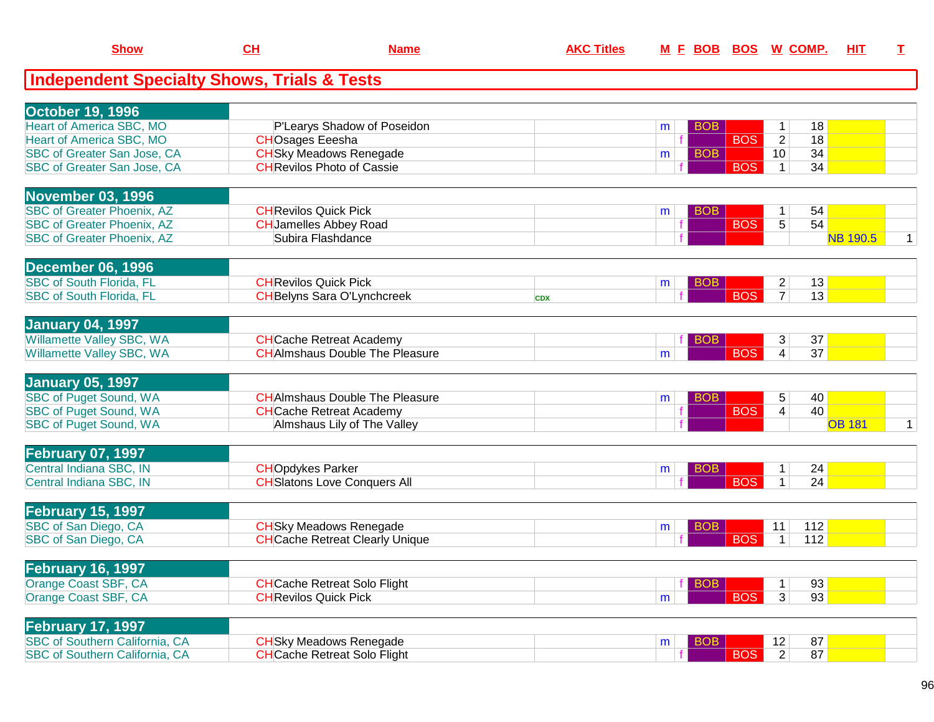| <b>Show</b>                                            | CH                           | <b>Name</b>                            | <b>AKC Titles</b> |                 |            | M E BOB BOS W COMP.               | HIT             | $\mathbf I$  |
|--------------------------------------------------------|------------------------------|----------------------------------------|-------------------|-----------------|------------|-----------------------------------|-----------------|--------------|
| <b>Independent Specialty Shows, Trials &amp; Tests</b> |                              |                                        |                   |                 |            |                                   |                 |              |
| <b>October 19, 1996</b>                                |                              |                                        |                   |                 |            |                                   |                 |              |
| <b>Heart of America SBC, MO</b>                        |                              | P'Learys Shadow of Poseidon            |                   | <b>BOB</b><br>m |            | 18<br>1                           |                 |              |
| <b>Heart of America SBC, MO</b>                        | <b>CHOsages Eeesha</b>       |                                        |                   |                 | <b>BOS</b> | $\overline{18}$<br>$\overline{2}$ |                 |              |
| SBC of Greater San Jose, CA                            |                              | <b>CH</b> Sky Meadows Renegade         |                   | <b>BOB</b><br>m |            | 34<br>10 <sup>°</sup>             |                 |              |
| SBC of Greater San Jose, CA                            |                              | <b>CHRevilos Photo of Cassie</b>       |                   |                 | <b>BOS</b> | 34<br>$\mathbf{1}$                |                 |              |
| <b>November 03, 1996</b>                               |                              |                                        |                   |                 |            |                                   |                 |              |
| <b>SBC of Greater Phoenix, AZ</b>                      | <b>CH</b> Revilos Quick Pick |                                        |                   | <b>BOB</b><br>m |            | 54<br>1                           |                 |              |
| <b>SBC of Greater Phoenix, AZ</b>                      |                              | <b>CH</b> Jamelles Abbey Road          |                   |                 | <b>BOS</b> | 5<br>54                           |                 |              |
| <b>SBC of Greater Phoenix, AZ</b>                      |                              | Subira Flashdance                      |                   |                 |            |                                   | <b>NB 190.5</b> | $\mathbf{1}$ |
| December 06, 1996                                      |                              |                                        |                   |                 |            |                                   |                 |              |
| <b>SBC of South Florida, FL</b>                        | <b>CH</b> Revilos Quick Pick |                                        |                   | <b>BOB</b><br>m |            | 13<br>$\overline{2}$              |                 |              |
| <b>SBC of South Florida, FL</b>                        |                              | <b>CH</b> Belyns Sara O'Lynchcreek     | <b>CDX</b>        |                 | <b>BOS</b> | 13<br>$\overline{7}$              |                 |              |
| <b>January 04, 1997</b>                                |                              |                                        |                   |                 |            |                                   |                 |              |
| Willamette Valley SBC, WA                              |                              | <b>CH</b> Cache Retreat Academy        |                   | <b>BOB</b>      |            | 37<br>3                           |                 |              |
| Willamette Valley SBC, WA                              |                              | <b>CH</b> AImshaus Double The Pleasure |                   | m               | <b>BOS</b> | 37<br>$\overline{4}$              |                 |              |
| <b>January 05, 1997</b>                                |                              |                                        |                   |                 |            |                                   |                 |              |
| <b>SBC of Puget Sound, WA</b>                          |                              | <b>CHAImshaus Double The Pleasure</b>  |                   | <b>BOB</b><br>m |            | 5<br>40                           |                 |              |
| <b>SBC of Puget Sound, WA</b>                          |                              | <b>CH</b> Cache Retreat Academy        |                   |                 | <b>BOS</b> | 40<br>4                           |                 |              |
| <b>SBC of Puget Sound, WA</b>                          |                              | Almshaus Lily of The Valley            |                   |                 |            |                                   | <b>OB 181</b>   | $\mathbf{1}$ |
| <b>February 07, 1997</b>                               |                              |                                        |                   |                 |            |                                   |                 |              |
| Central Indiana SBC, IN                                | <b>CHO</b> pdykes Parker     |                                        |                   | <b>BOB</b><br>m |            | 24<br>1                           |                 |              |
| Central Indiana SBC, IN                                |                              | <b>CH</b> Slatons Love Conquers All    |                   |                 | <b>BOS</b> | 24<br>$\mathbf{1}$                |                 |              |
| <b>February 15, 1997</b>                               |                              |                                        |                   |                 |            |                                   |                 |              |
| SBC of San Diego, CA                                   |                              | <b>CH</b> Sky Meadows Renegade         |                   | <b>BOB</b><br>m |            | 112<br>11                         |                 |              |
| SBC of San Diego, CA                                   |                              | <b>CH</b> Cache Retreat Clearly Unique |                   |                 | <b>BOS</b> | 112<br>$\mathbf{1}$               |                 |              |
| <b>February 16, 1997</b>                               |                              |                                        |                   |                 |            |                                   |                 |              |
| Orange Coast SBF, CA                                   |                              | <b>CH</b> Cache Retreat Solo Flight    |                   | <b>BOB</b>      |            | 93<br>$\mathbf{1}$                |                 |              |
| Orange Coast SBF, CA                                   | <b>CH</b> Revilos Quick Pick |                                        |                   | m               | <b>BOS</b> | 3<br>93                           |                 |              |
| <b>February 17, 1997</b>                               |                              |                                        |                   |                 |            |                                   |                 |              |
| SBC of Southern California, CA                         |                              | <b>CH</b> Sky Meadows Renegade         |                   | <b>BOB</b><br>m |            | 87<br>12                          |                 |              |
| <b>SBC of Southern California, CA</b>                  |                              | <b>CH</b> Cache Retreat Solo Flight    |                   |                 | <b>BOS</b> | $\overline{2}$<br>87              |                 |              |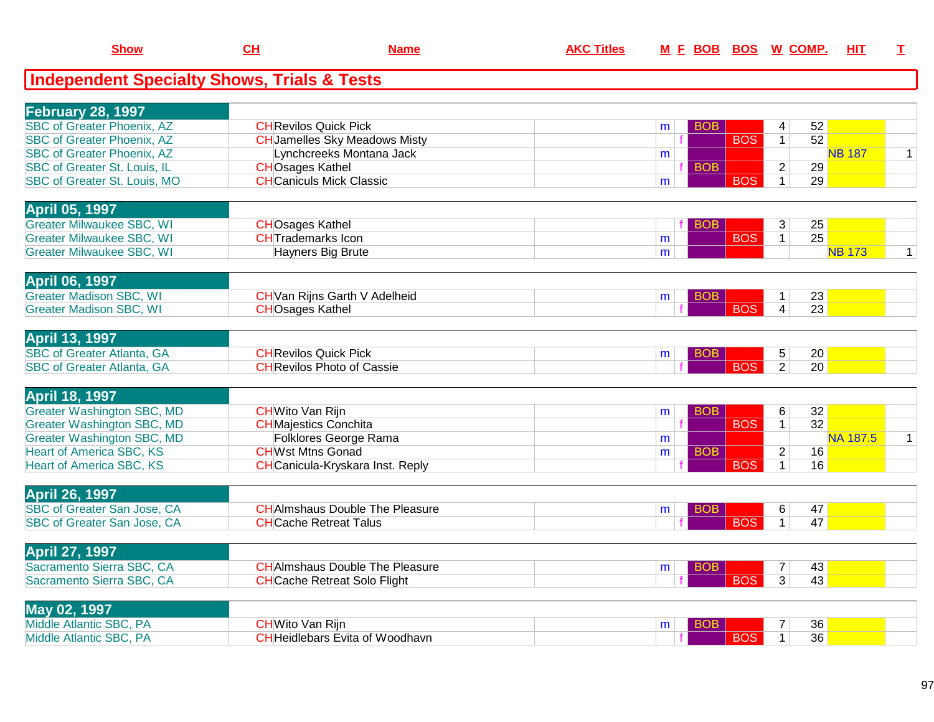| <b>Show</b>                                            | $CH$                         | <b>Name</b>                             | <b>AKC Titles</b> | <u>M F BOB</u>  |            | <u>BOS W COMP.</u> | HIT             | I            |
|--------------------------------------------------------|------------------------------|-----------------------------------------|-------------------|-----------------|------------|--------------------|-----------------|--------------|
| <b>Independent Specialty Shows, Trials &amp; Tests</b> |                              |                                         |                   |                 |            |                    |                 |              |
| <b>February 28, 1997</b>                               |                              |                                         |                   |                 |            |                    |                 |              |
| <b>SBC</b> of Greater Phoenix, AZ                      | <b>CHRevilos Quick Pick</b>  |                                         |                   | <b>BOB</b><br>m |            | 4                  | 52              |              |
| <b>SBC of Greater Phoenix, AZ</b>                      |                              | <b>CHJamelles Sky Meadows Misty</b>     |                   |                 | <b>BOS</b> | $\overline{1}$     | 52              |              |
| <b>SBC of Greater Phoenix, AZ</b>                      |                              | Lynchcreeks Montana Jack                |                   | m               |            |                    | <b>NB 187</b>   | $\mathbf{1}$ |
| <b>SBC of Greater St. Louis, IL</b>                    | <b>CHOsages Kathel</b>       |                                         |                   | <b>BOB</b>      |            | $\overline{c}$     | 29              |              |
| SBC of Greater St. Louis, MO                           |                              | <b>CH</b> Caniculs Mick Classic         |                   | m               | <b>BOS</b> | $\mathbf{1}$       | 29              |              |
| <b>April 05, 1997</b>                                  |                              |                                         |                   |                 |            |                    |                 |              |
| <b>Greater Milwaukee SBC, WI</b>                       | <b>CHOsages Kathel</b>       |                                         |                   | <b>BOB</b>      |            | 3                  | 25              |              |
| <b>Greater Milwaukee SBC, WI</b>                       | <b>CHTrademarks Icon</b>     |                                         |                   | m               | <b>BOS</b> | 1                  | $\overline{25}$ |              |
| <b>Greater Milwaukee SBC, WI</b>                       |                              | <b>Hayners Big Brute</b>                |                   | m               |            |                    | <b>NB 173</b>   | $\mathbf{1}$ |
|                                                        |                              |                                         |                   |                 |            |                    |                 |              |
| <b>April 06, 1997</b>                                  |                              |                                         |                   |                 |            |                    |                 |              |
| <b>Greater Madison SBC, WI</b>                         |                              | <b>CH</b> Van Rijns Garth V Adelheid    |                   | <b>BOB</b><br>m |            | $\mathbf{1}$       | 23              |              |
| <b>Greater Madison SBC, WI</b>                         | <b>CHOsages Kathel</b>       |                                         |                   |                 | <b>BOS</b> | $\overline{4}$     | 23              |              |
|                                                        |                              |                                         |                   |                 |            |                    |                 |              |
| <b>April 13, 1997</b>                                  |                              |                                         |                   |                 |            |                    |                 |              |
| <b>SBC of Greater Atlanta, GA</b>                      | <b>CH</b> Revilos Quick Pick |                                         |                   | <b>BOB</b><br>m |            | 5                  | 20              |              |
| <b>SBC of Greater Atlanta, GA</b>                      |                              | <b>CH</b> Revilos Photo of Cassie       |                   |                 | <b>BOS</b> | $\overline{2}$     | 20              |              |
|                                                        |                              |                                         |                   |                 |            |                    |                 |              |
| <b>April 18, 1997</b>                                  |                              |                                         |                   |                 |            |                    |                 |              |
| <b>Greater Washington SBC, MD</b>                      | <b>CHWito Van Rijn</b>       |                                         |                   | <b>BOB</b><br>m |            | 6                  | 32              |              |
| <b>Greater Washington SBC, MD</b>                      | <b>CH</b> Majestics Conchita |                                         |                   |                 | <b>BOS</b> | $\mathbf 1$        | $\overline{32}$ |              |
| <b>Greater Washington SBC, MD</b>                      |                              | Folklores George Rama                   |                   | m               |            |                    | <b>NA 187.5</b> | $\mathbf{1}$ |
| <b>Heart of America SBC, KS</b>                        | <b>CHWst Mtns Gonad</b>      |                                         |                   | <b>BOB</b><br>m |            | $\overline{2}$     | 16              |              |
| <b>Heart of America SBC, KS</b>                        |                              | <b>CH</b> Canicula-Kryskara Inst. Reply |                   |                 | <b>BOS</b> | $\mathbf{1}$       | 16              |              |
|                                                        |                              |                                         |                   |                 |            |                    |                 |              |
| <b>April 26, 1997</b>                                  |                              |                                         |                   |                 |            |                    |                 |              |
| SBC of Greater San Jose, CA                            |                              | <b>CH</b> AImshaus Double The Pleasure  |                   | BOB<br>m        |            | 6                  | 47              |              |
| SBC of Greater San Jose, CA                            |                              | <b>CHCache Retreat Talus</b>            |                   |                 | <b>BOS</b> | $\mathbf{1}$       | 47              |              |
|                                                        |                              |                                         |                   |                 |            |                    |                 |              |
| <b>April 27, 1997</b>                                  |                              |                                         |                   |                 |            |                    |                 |              |
| Sacramento Sierra SBC, CA                              |                              | <b>CH</b> AImshaus Double The Pleasure  |                   | BOB<br>m        |            | $\overline{7}$     | 43              |              |
| Sacramento Sierra SBC, CA                              |                              | <b>CH</b> Cache Retreat Solo Flight     |                   |                 | <b>BOS</b> | $\overline{3}$     | 43              |              |
|                                                        |                              |                                         |                   |                 |            |                    |                 |              |
| May 02, 1997                                           |                              |                                         |                   |                 |            |                    |                 |              |
| Middle Atlantic SBC, PA                                | <b>CH</b> Wito Van Rijn      |                                         |                   | BOB<br>m        |            | 7                  | 36              |              |
| Middle Atlantic SBC, PA                                |                              | <b>CH</b> Heidlebars Evita of Woodhavn  |                   | $\mathbf f$     | <b>BOS</b> | $\mathbf{1}$       | 36              |              |

A CHHeidlebars Evita of Woodhavn F BOS 1 36

**Show**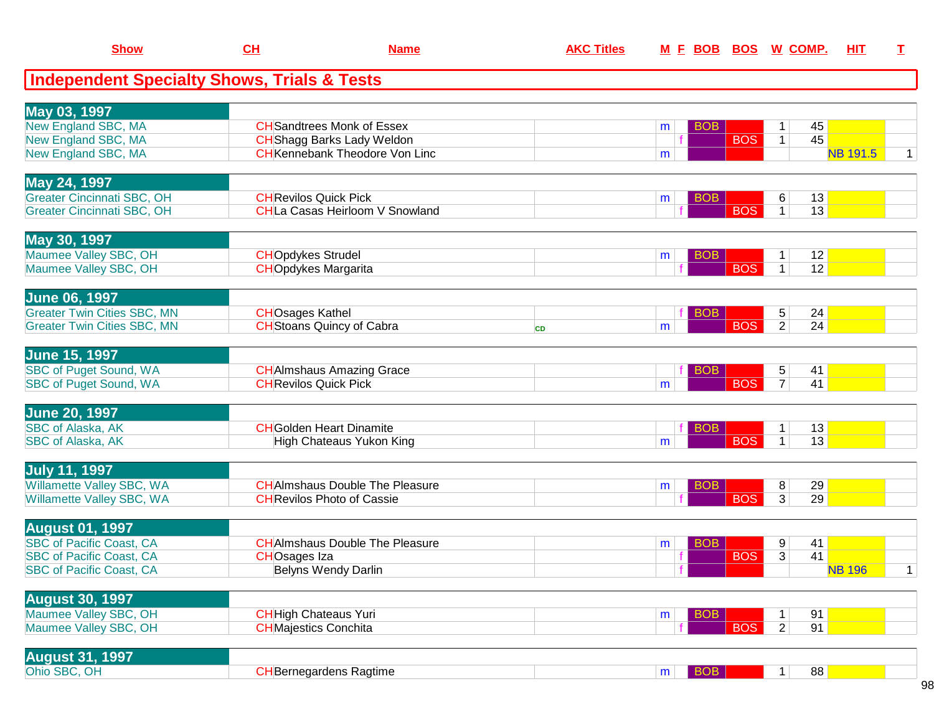| <b>Show</b>                                            | CL                           | <b>Name</b>                            | <b>AKC Titles</b> | M E BOB BOS W COMP. |            |                      | HIT             | $\mathbf I$  |
|--------------------------------------------------------|------------------------------|----------------------------------------|-------------------|---------------------|------------|----------------------|-----------------|--------------|
| <b>Independent Specialty Shows, Trials &amp; Tests</b> |                              |                                        |                   |                     |            |                      |                 |              |
| May 03, 1997                                           |                              |                                        |                   |                     |            |                      |                 |              |
| New England SBC, MA                                    |                              | <b>CH</b> Sandtrees Monk of Essex      |                   | <b>BOB</b><br>m     |            | 45<br>$\mathbf 1$    |                 |              |
| New England SBC, MA                                    |                              | <b>CH</b> Shagg Barks Lady Weldon      |                   | f.                  | <b>BOS</b> | 45<br>$\mathbf{1}$   |                 |              |
| <b>New England SBC, MA</b>                             |                              | <b>CH</b> Kennebank Theodore Von Linc  |                   | m                   |            |                      | <b>NB 191.5</b> | $\mathbf{1}$ |
| May 24, 1997                                           |                              |                                        |                   |                     |            |                      |                 |              |
| <b>Greater Cincinnati SBC, OH</b>                      | <b>CH</b> Revilos Quick Pick |                                        |                   | BOB<br>m            |            | 6<br>13              |                 |              |
| <b>Greater Cincinnati SBC, OH</b>                      |                              | <b>CHLa Casas Heirloom V Snowland</b>  |                   |                     | <b>BOS</b> | 13<br>$\mathbf{1}$   |                 |              |
| May 30, 1997                                           |                              |                                        |                   |                     |            |                      |                 |              |
| Maumee Valley SBC, OH                                  | <b>CHOpdykes Strudel</b>     |                                        |                   | <b>BOB</b><br>m     |            | 12<br>$\mathbf 1$    |                 |              |
| Maumee Valley SBC, OH                                  | <b>CHOpdykes Margarita</b>   |                                        |                   |                     | <b>BOS</b> | 12<br>$\mathbf{1}$   |                 |              |
| <b>June 06, 1997</b>                                   |                              |                                        |                   |                     |            |                      |                 |              |
| <b>Greater Twin Cities SBC, MN</b>                     | <b>CHOsages Kathel</b>       |                                        |                   | <b>BOB</b>          |            | 24<br>5 <sup>5</sup> |                 |              |
| <b>Greater Twin Cities SBC, MN</b>                     |                              | <b>CH</b> Stoans Quincy of Cabra       | <b>CD</b>         | m                   | <b>BOS</b> | 24<br>$\overline{2}$ |                 |              |
| <b>June 15, 1997</b>                                   |                              |                                        |                   |                     |            |                      |                 |              |
| <b>SBC of Puget Sound, WA</b>                          |                              | <b>CH</b> AImshaus Amazing Grace       |                   | <b>BOB</b>          |            | 41<br>5              |                 |              |
| SBC of Puget Sound, WA                                 | <b>CH</b> Revilos Quick Pick |                                        |                   | m                   | <b>BOS</b> | 41<br>$\overline{7}$ |                 |              |
| <b>June 20, 1997</b>                                   |                              |                                        |                   |                     |            |                      |                 |              |
| <b>SBC of Alaska, AK</b>                               |                              | <b>CH</b> Golden Heart Dinamite        |                   | <b>BOB</b>          |            | 13                   |                 |              |
| SBC of Alaska, AK                                      |                              | High Chateaus Yukon King               |                   | m                   | <b>BOS</b> | 13<br>1 <sup>1</sup> |                 |              |
| <b>July 11, 1997</b>                                   |                              |                                        |                   |                     |            |                      |                 |              |
| Willamette Valley SBC, WA                              |                              | <b>CH</b> AImshaus Double The Pleasure |                   | <b>BOB</b><br>m     |            | 29<br>8              |                 |              |
| Willamette Valley SBC, WA                              |                              | <b>CH</b> Revilos Photo of Cassie      |                   |                     | <b>BOS</b> | $\overline{3}$<br>29 |                 |              |
| <b>August 01, 1997</b>                                 |                              |                                        |                   |                     |            |                      |                 |              |
| <b>SBC of Pacific Coast, CA</b>                        |                              | <b>CH</b> AImshaus Double The Pleasure |                   | <b>BOB</b><br>m     |            | 9<br>41              |                 |              |
| <b>SBC of Pacific Coast, CA</b>                        | <b>CHOsages Iza</b>          |                                        |                   | f                   | <b>BOS</b> | $\overline{3}$<br>41 |                 |              |
| <b>SBC of Pacific Coast, CA</b>                        |                              | <b>Belyns Wendy Darlin</b>             |                   |                     |            |                      | <b>NB 196</b>   | $\mathbf{1}$ |
| <b>August 30, 1997</b>                                 |                              |                                        |                   |                     |            |                      |                 |              |
| Maumee Valley SBC, OH                                  | <b>CH</b> High Chateaus Yuri |                                        |                   | <b>BOB</b><br>m     |            | 91<br>$\mathbf{1}$   |                 |              |
| Maumee Valley SBC, OH                                  | <b>CHMajestics Conchita</b>  |                                        |                   |                     | <b>BOS</b> | $\overline{2}$<br>91 |                 |              |
| <b>August 31, 1997</b>                                 |                              |                                        |                   |                     |            |                      |                 |              |
| Ohio SBC, OH                                           |                              | <b>CH</b> Bernegardens Ragtime         |                   | BOB<br>m            |            | 88<br>1 <sup>1</sup> |                 |              |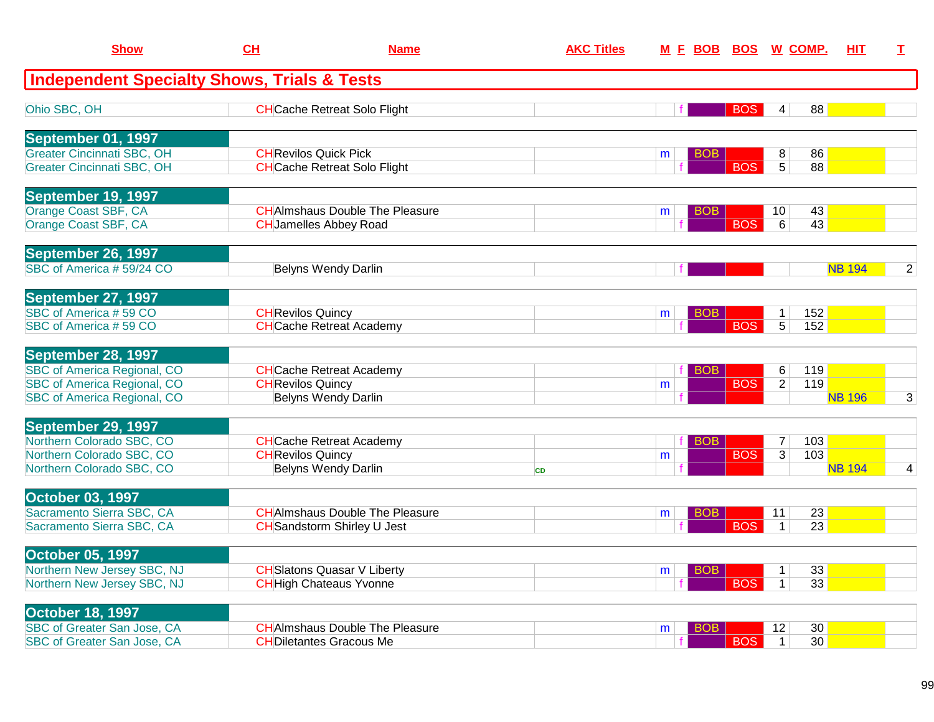| <b>Show</b>                                                              | CH                       | <b>Name</b>                                                             | <b>AKC Titles</b> |                      |            | M E BOB BOS W COMP.             | HIT.          | T.             |
|--------------------------------------------------------------------------|--------------------------|-------------------------------------------------------------------------|-------------------|----------------------|------------|---------------------------------|---------------|----------------|
| <b>Independent Specialty Shows, Trials &amp; Tests</b>                   |                          |                                                                         |                   |                      |            |                                 |               |                |
| Ohio SBC, OH                                                             |                          | <b>CH</b> Cache Retreat Solo Flight                                     |                   |                      | <b>BOS</b> | 88<br>4                         |               |                |
| September 01, 1997                                                       |                          |                                                                         |                   |                      |            |                                 |               |                |
| <b>Greater Cincinnati SBC, OH</b><br><b>Greater Cincinnati SBC, OH</b>   |                          | <b>CH</b> Revilos Quick Pick<br><b>CH</b> Cache Retreat Solo Flight     |                   | BO <sub>B</sub><br>m | <b>BOS</b> | 8<br>86<br>88<br>5 <sup>1</sup> |               |                |
| September 19, 1997                                                       |                          |                                                                         |                   |                      |            |                                 |               |                |
| Orange Coast SBF, CA                                                     |                          | <b>CHAImshaus Double The Pleasure</b>                                   |                   | BOB.<br>m            |            | 43<br>10 <sup>°</sup>           |               |                |
| Orange Coast SBF, CA                                                     |                          | <b>CH</b> Jamelles Abbey Road                                           |                   |                      | <b>BOS</b> | 43<br>6                         |               |                |
| September 26, 1997                                                       |                          |                                                                         |                   |                      |            |                                 |               |                |
| SBC of America #59/24 CO                                                 |                          | <b>Belyns Wendy Darlin</b>                                              |                   |                      |            |                                 | <b>NB 194</b> | $\overline{2}$ |
| September 27, 1997                                                       |                          |                                                                         |                   |                      |            |                                 |               |                |
| SBC of America #59 CO<br>SBC of America #59 CO                           | <b>CH</b> Revilos Quincy | <b>CH</b> Cache Retreat Academy                                         |                   | <b>BOB</b><br>m      | <b>BOS</b> | 152<br>$\mathbf 1$<br>5<br>152  |               |                |
| September 28, 1997                                                       |                          |                                                                         |                   |                      |            |                                 |               |                |
| <b>SBC of America Regional, CO</b>                                       |                          | <b>CH</b> Cache Retreat Academy                                         |                   | <b>BOB</b>           |            | 119<br>6                        |               |                |
| <b>SBC of America Regional, CO</b><br><b>SBC of America Regional, CO</b> | <b>CH</b> Revilos Quincy | <b>Belyns Wendy Darlin</b>                                              |                   | m                    | <b>BOS</b> | 119<br>2                        | <b>NB 196</b> | 3              |
|                                                                          |                          |                                                                         |                   |                      |            |                                 |               |                |
| September 29, 1997<br>Northern Colorado SBC, CO                          |                          | <b>CH</b> Cache Retreat Academy                                         |                   | <b>BOB</b>           |            | 103<br>$\overline{7}$           |               |                |
| Northern Colorado SBC, CO                                                | <b>CH</b> Revilos Quincy |                                                                         |                   | m                    | <b>BOS</b> | 103<br>3 <sup>1</sup>           |               |                |
| Northern Colorado SBC, CO                                                |                          | <b>Belyns Wendy Darlin</b>                                              | <b>CD</b>         |                      |            |                                 | <b>NB 194</b> | 4              |
| October 03, 1997<br>Sacramento Sierra SBC, CA                            |                          | <b>CHAImshaus Double The Pleasure</b>                                   |                   |                      |            | 23<br>11                        |               |                |
| Sacramento Sierra SBC, CA                                                |                          | <b>CH</b> Sandstorm Shirley U Jest                                      |                   | BOB<br>m             | <b>BOS</b> | 23<br>$\mathbf{1}$              |               |                |
| <b>October 05, 1997</b>                                                  |                          |                                                                         |                   |                      |            |                                 |               |                |
| Northern New Jersey SBC, NJ                                              |                          | <b>CH</b> Slatons Quasar V Liberty                                      |                   | <b>BOB</b><br>m      |            | 33<br>$\mathbf 1$               |               |                |
| Northern New Jersey SBC, NJ                                              |                          | <b>CH</b> High Chateaus Yvonne                                          |                   |                      | <b>BOS</b> | $\mathbf{1}$<br>33              |               |                |
| <b>October 18, 1997</b>                                                  |                          |                                                                         |                   |                      |            |                                 |               |                |
| SBC of Greater San Jose, CA<br>SBC of Greater San Jose, CA               |                          | <b>CHAImshaus Double The Pleasure</b><br><b>CHDiletantes Gracous Me</b> |                   | BOB<br>m             | <b>BOS</b> | 30<br>12<br>30<br>$\mathbf{1}$  |               |                |
|                                                                          |                          |                                                                         |                   |                      |            |                                 |               |                |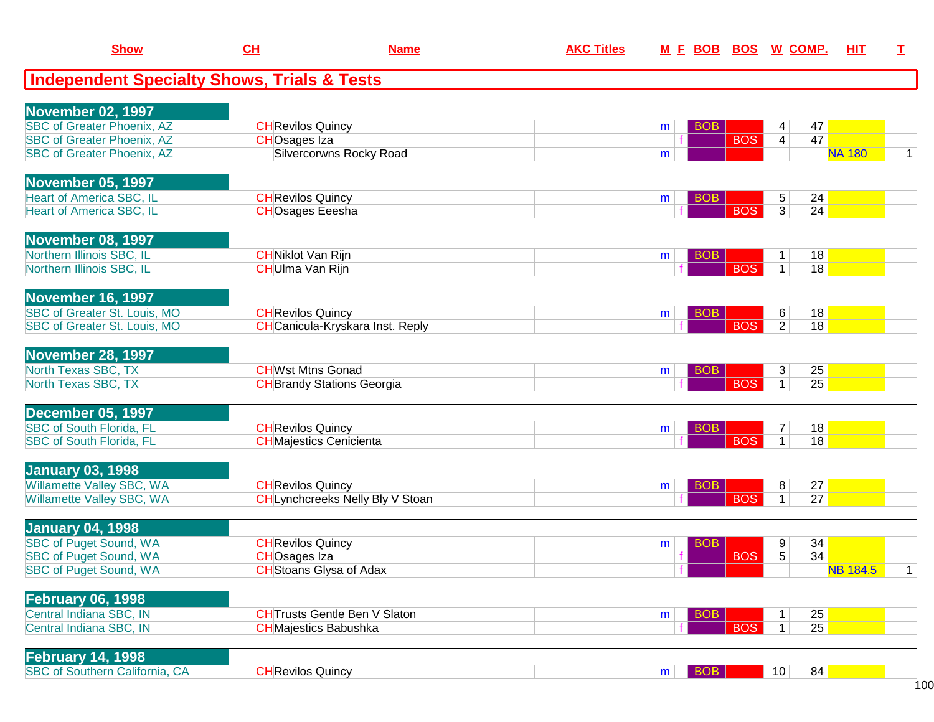| <b>Show</b>                                                        | CL                                                 | <b>Name</b>                             | <b>AKC Titles</b> | M E BOB BOS W COMP. |            |                                | HIT                   | I            |
|--------------------------------------------------------------------|----------------------------------------------------|-----------------------------------------|-------------------|---------------------|------------|--------------------------------|-----------------------|--------------|
| <b>Independent Specialty Shows, Trials &amp; Tests</b>             |                                                    |                                         |                   |                     |            |                                |                       |              |
|                                                                    |                                                    |                                         |                   |                     |            |                                |                       |              |
| November 02, 1997<br><b>SBC</b> of Greater Phoenix, AZ             | <b>CH</b> Revilos Quincy                           |                                         |                   | <b>BOB</b><br>m     |            | 4                              | 47                    |              |
| <b>SBC of Greater Phoenix, AZ</b>                                  | <b>CHOsages Iza</b>                                |                                         |                   |                     | <b>BOS</b> | $\overline{4}$                 | 47                    |              |
| <b>SBC of Greater Phoenix, AZ</b>                                  |                                                    | <b>Silvercorwns Rocky Road</b>          |                   | m                   |            |                                | <b>NA 180</b>         | $\mathbf 1$  |
|                                                                    |                                                    |                                         |                   |                     |            |                                |                       |              |
| <b>November 05, 1997</b>                                           |                                                    |                                         |                   |                     |            |                                |                       |              |
| <b>Heart of America SBC, IL</b><br><b>Heart of America SBC, IL</b> | <b>CH</b> Revilos Quincy<br><b>CHOsages Eeesha</b> |                                         |                   | <b>BOB</b><br>m     | <b>BOS</b> | 5<br>$\overline{3}$            | 24<br>24              |              |
|                                                                    |                                                    |                                         |                   |                     |            |                                |                       |              |
| November 08, 1997                                                  |                                                    |                                         |                   |                     |            |                                |                       |              |
| Northern Illinois SBC, IL                                          | <b>CHNiklot Van Rijn</b>                           |                                         |                   | <b>BOB</b><br>m     |            | $\mathbf{1}$                   | 18                    |              |
| Northern Illinois SBC, IL                                          | <b>CH</b> Ulma Van Rijn                            |                                         |                   |                     | <b>BOS</b> | $\mathbf{1}$                   | 18                    |              |
| November 16, 1997                                                  |                                                    |                                         |                   |                     |            |                                |                       |              |
| SBC of Greater St. Louis, MO                                       | <b>CH</b> Revilos Quincy                           |                                         |                   | <b>BOB</b><br>m     |            | 6                              | 18                    |              |
| SBC of Greater St. Louis, MO                                       |                                                    | <b>CH</b> Canicula-Kryskara Inst. Reply |                   |                     | <b>BOS</b> | 2 <sup>1</sup>                 | 18                    |              |
|                                                                    |                                                    |                                         |                   |                     |            |                                |                       |              |
| November 28, 1997                                                  |                                                    |                                         |                   |                     |            |                                |                       |              |
| North Texas SBC, TX                                                | <b>CHWst Mtns Gonad</b>                            |                                         |                   | <b>BOB</b><br>m     |            | 3 <sup>1</sup><br>$\mathbf{1}$ | 25<br>25              |              |
| North Texas SBC, TX                                                |                                                    | <b>CH</b> Brandy Stations Georgia       |                   |                     | <b>BOS</b> |                                |                       |              |
| December 05, 1997                                                  |                                                    |                                         |                   |                     |            |                                |                       |              |
| <b>SBC of South Florida, FL</b>                                    | <b>CH</b> Revilos Quincy                           |                                         |                   | BOB<br>m            |            | 7                              | 18                    |              |
| <b>SBC of South Florida, FL</b>                                    |                                                    | <b>CH</b> Majestics Cenicienta          |                   |                     | <b>BOS</b> | $\mathbf{1}$                   | 18                    |              |
|                                                                    |                                                    |                                         |                   |                     |            |                                |                       |              |
| <b>January 03, 1998</b><br>Willamette Valley SBC, WA               | <b>CH</b> Revilos Quincy                           |                                         |                   | <b>BOB</b><br>m     |            | 8                              | 27                    |              |
| Willamette Valley SBC, WA                                          |                                                    | CHLynchcreeks Nelly Bly V Stoan         |                   |                     | <b>BOS</b> | 1 <sup>1</sup>                 | 27                    |              |
|                                                                    |                                                    |                                         |                   |                     |            |                                |                       |              |
| <b>January 04, 1998</b>                                            |                                                    |                                         |                   |                     |            |                                |                       |              |
| <b>SBC of Puget Sound, WA</b>                                      | <b>CH</b> Revilos Quincy                           |                                         |                   | <b>BOB</b><br>m     |            | 9                              | 34                    |              |
| <b>SBC of Puget Sound, WA</b>                                      | <b>CHOsages Iza</b>                                | <b>CH</b> Stoans Glysa of Adax          |                   |                     | <b>BOS</b> | $\overline{5}$                 | 34<br><b>NB 184.5</b> |              |
| <b>SBC of Puget Sound, WA</b>                                      |                                                    |                                         |                   |                     |            |                                |                       | $\mathbf{1}$ |
| <b>February 06, 1998</b>                                           |                                                    |                                         |                   |                     |            |                                |                       |              |
| Central Indiana SBC, IN                                            |                                                    | <b>CHTrusts Gentle Ben V Slaton</b>     |                   | <b>BOB</b><br>m     |            | 1                              | 25                    |              |
| Central Indiana SBC, IN                                            |                                                    | <b>CH</b> Majestics Babushka            |                   |                     | <b>BOS</b> | 1 <sup>1</sup>                 | 25                    |              |
| <b>February 14, 1998</b>                                           |                                                    |                                         |                   |                     |            |                                |                       |              |
| <b>SBC of Southern California, CA</b>                              | <b>CH</b> Revilos Quincy                           |                                         |                   | <b>BOB</b><br>m     |            | 10                             | 84                    |              |
|                                                                    |                                                    |                                         |                   |                     |            |                                |                       |              |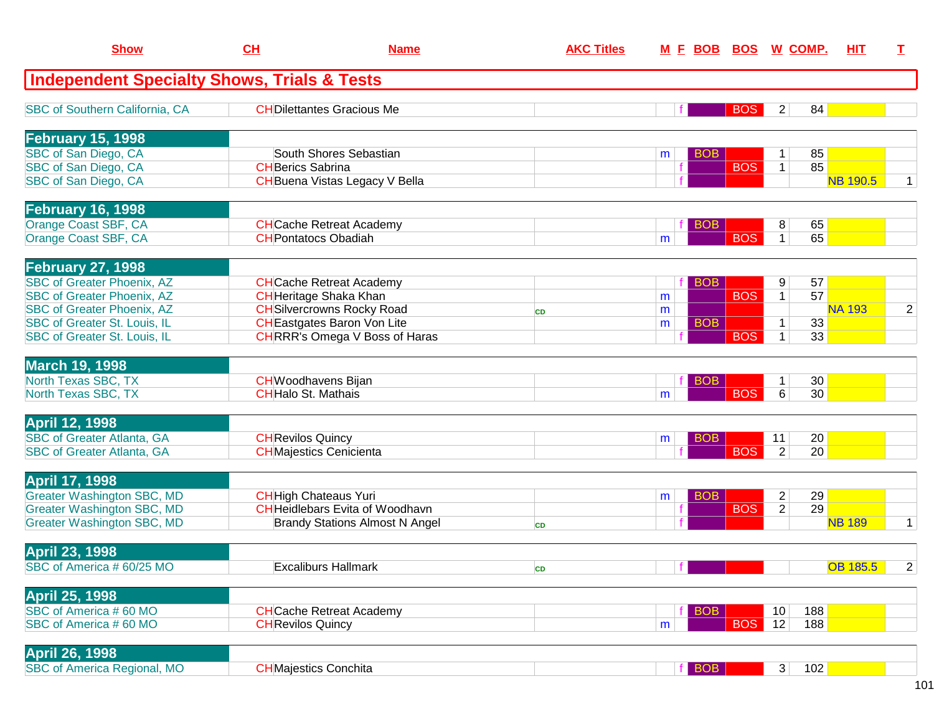| <b>Show</b>                                                            | CH                        | <b>Name</b>                                                            | <b>AKC Titles</b> |   | <u>M F BOB</u> | <b>BOS W COMP.</b> |                                           |          | <b>HIT</b>      | T.             |
|------------------------------------------------------------------------|---------------------------|------------------------------------------------------------------------|-------------------|---|----------------|--------------------|-------------------------------------------|----------|-----------------|----------------|
| <b>Independent Specialty Shows, Trials &amp; Tests</b>                 |                           |                                                                        |                   |   |                |                    |                                           |          |                 |                |
| <b>SBC of Southern California, CA</b>                                  |                           | <b>CHDilettantes Gracious Me</b>                                       |                   |   |                | <b>BOS</b>         | $\overline{2}$                            | 84       |                 |                |
| <b>February 15, 1998</b>                                               |                           |                                                                        |                   |   |                |                    |                                           |          |                 |                |
| SBC of San Diego, CA                                                   |                           | South Shores Sebastian                                                 |                   | m | <b>BOB</b>     |                    | 1                                         | 85       |                 |                |
| SBC of San Diego, CA                                                   | <b>CHBerics Sabrina</b>   |                                                                        |                   |   |                | <b>BOS</b>         | $\mathbf{1}$                              | 85       |                 |                |
| SBC of San Diego, CA                                                   |                           | <b>CH</b> Buena Vistas Legacy V Bella                                  |                   |   |                |                    |                                           |          | <b>NB 190.5</b> | $\mathbf 1$    |
| <b>February 16, 1998</b>                                               |                           |                                                                        |                   |   |                |                    |                                           |          |                 |                |
| Orange Coast SBF, CA                                                   |                           | <b>CH</b> Cache Retreat Academy                                        |                   |   | <b>BOB</b>     |                    | 8                                         | 65       |                 |                |
| Orange Coast SBF, CA                                                   |                           | <b>CHPontatocs Obadiah</b>                                             |                   | m |                | <b>BOS</b>         | $\mathbf{1}$                              | 65       |                 |                |
| <b>February 27, 1998</b>                                               |                           |                                                                        |                   |   |                |                    |                                           |          |                 |                |
| <b>SBC of Greater Phoenix, AZ</b>                                      |                           | <b>CH</b> Cache Retreat Academy                                        |                   |   | <b>BOB</b>     |                    | 9                                         | 57       |                 |                |
| <b>SBC of Greater Phoenix, AZ</b>                                      |                           | <b>CH</b> Heritage Shaka Khan                                          |                   | m |                | <b>BOS</b>         | $\mathbf{1}$                              | 57       |                 |                |
| <b>SBC of Greater Phoenix, AZ</b>                                      |                           | <b>CH</b> Silvercrowns Rocky Road                                      | <b>CD</b>         | m |                |                    |                                           |          | <b>NA 193</b>   | $\overline{2}$ |
| <b>SBC of Greater St. Louis, IL</b>                                    |                           | <b>CH</b> Eastgates Baron Von Lite                                     |                   | m | <b>BOB</b>     |                    | $\mathbf 1$                               | 33       |                 |                |
| SBC of Greater St. Louis, IL                                           |                           | <b>CHRRR's Omega V Boss of Haras</b>                                   |                   |   |                | <b>BOS</b>         | 1                                         | 33       |                 |                |
| <b>March 19, 1998</b>                                                  |                           |                                                                        |                   |   |                |                    |                                           |          |                 |                |
| North Texas SBC, TX                                                    | <b>CHHalo St. Mathais</b> | <b>CH</b> Woodhavens Bijan                                             |                   |   | <b>BOB</b>     | <b>BOS</b>         | 1                                         | 30<br>30 |                 |                |
| North Texas SBC, TX                                                    |                           |                                                                        |                   | m |                |                    | 6                                         |          |                 |                |
| <b>April 12, 1998</b>                                                  |                           |                                                                        |                   |   |                |                    |                                           |          |                 |                |
| <b>SBC of Greater Atlanta, GA</b>                                      | <b>CH</b> Revilos Quincy  |                                                                        |                   | m | <b>BOB</b>     | <b>BOS</b>         | 11<br>2                                   | 20<br>20 |                 |                |
| <b>SBC of Greater Atlanta, GA</b>                                      |                           | <b>CH</b> Majestics Cenicienta                                         |                   |   |                |                    |                                           |          |                 |                |
| <b>April 17, 1998</b>                                                  |                           |                                                                        |                   |   |                |                    |                                           |          |                 |                |
| <b>Greater Washington SBC, MD</b>                                      |                           | <b>CH</b> High Chateaus Yuri<br><b>CH</b> Heidlebars Evita of Woodhavn |                   | m | <b>BOB</b>     |                    | $\overline{\mathbf{c}}$<br>$\overline{2}$ | 29<br>29 |                 |                |
| <b>Greater Washington SBC, MD</b><br><b>Greater Washington SBC, MD</b> |                           | <b>Brandy Stations Almost N Angel</b>                                  |                   |   |                | <b>BOS</b>         |                                           |          | <b>NB 189</b>   | $\mathbf{1}$   |
|                                                                        |                           |                                                                        | <b>CD</b>         |   |                |                    |                                           |          |                 |                |
| <b>April 23, 1998</b>                                                  |                           |                                                                        |                   |   |                |                    |                                           |          |                 |                |
| SBC of America #60/25 MO                                               |                           | <b>Excaliburs Hallmark</b>                                             | CD                |   |                |                    |                                           |          | <b>OB 185.5</b> | $\mathbf{z}$   |
| <b>April 25, 1998</b>                                                  |                           |                                                                        |                   |   |                |                    |                                           |          |                 |                |
| SBC of America #60 MO                                                  |                           | <b>CH</b> Cache Retreat Academy                                        |                   |   | BOB            |                    | 10                                        | 188      |                 |                |
| SBC of America #60 MO                                                  | <b>CH</b> Revilos Quincy  |                                                                        |                   | m |                | <b>BOS</b>         | 12                                        | 188      |                 |                |
| <b>April 26, 1998</b>                                                  |                           |                                                                        |                   |   |                |                    |                                           |          |                 |                |
| <b>SBC of America Regional, MO</b>                                     |                           | <b>CH</b> Majestics Conchita                                           |                   |   | <b>BOB</b>     |                    | 3 <sup>1</sup>                            | 102      |                 |                |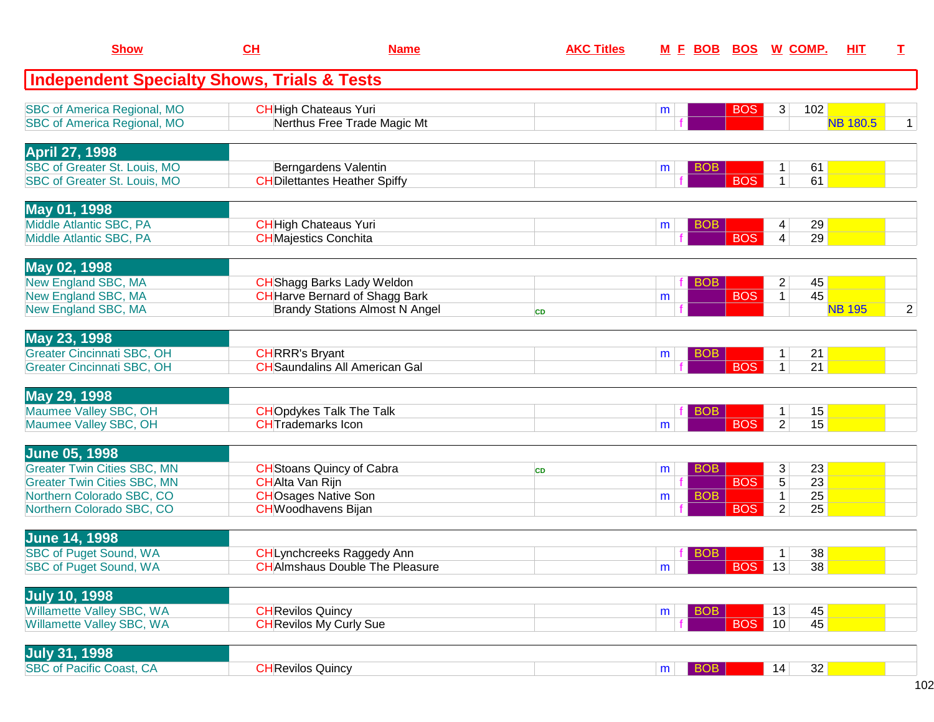| <b>Show</b>                                                                                                                                                | CH                                                   | <b>Name</b>                                                                                                         | <b>AKC Titles</b> |                 | M E BOB BOS W COMP.      |                          |                               |                      | <b>HIT</b>      | I              |
|------------------------------------------------------------------------------------------------------------------------------------------------------------|------------------------------------------------------|---------------------------------------------------------------------------------------------------------------------|-------------------|-----------------|--------------------------|--------------------------|-------------------------------|----------------------|-----------------|----------------|
| <b>Independent Specialty Shows, Trials &amp; Tests</b>                                                                                                     |                                                      |                                                                                                                     |                   |                 |                          |                          |                               |                      |                 |                |
| <b>SBC of America Regional, MO</b><br><b>SBC of America Regional, MO</b>                                                                                   |                                                      | <b>CH</b> High Chateaus Yuri<br>Nerthus Free Trade Magic Mt                                                         |                   | m               |                          | <b>BOS</b>               | 3                             | 102                  | <b>NB 180.5</b> | $\mathbf 1$    |
| <b>April 27, 1998</b><br>SBC of Greater St. Louis, MO<br>SBC of Greater St. Louis, MO                                                                      |                                                      | Berngardens Valentin<br><b>CH</b> Dilettantes Heather Spiffy                                                        |                   | m               | <b>BOB</b>               | <b>BOS</b>               | 1<br>$\mathbf{1}$             | 61<br>61             |                 |                |
| May 01, 1998<br>Middle Atlantic SBC, PA<br>Middle Atlantic SBC, PA                                                                                         | <b>CH</b> Majestics Conchita                         | <b>CH</b> High Chateaus Yuri                                                                                        |                   | m               | <b>BOB</b>               | <b>BOS</b>               | 4<br>4                        | 29<br>29             |                 |                |
| May 02, 1998<br>New England SBC, MA<br>New England SBC, MA<br>New England SBC, MA                                                                          |                                                      | <b>CH</b> Shagg Barks Lady Weldon<br><b>CH</b> Harve Bernard of Shagg Bark<br><b>Brandy Stations Almost N Angel</b> | <b>CD</b>         | m               | <b>BOB</b>               | <b>BOS</b>               | $\overline{2}$<br>1           | 45<br>45             | <b>NB 195</b>   | $\overline{2}$ |
| May 23, 1998<br><b>Greater Cincinnati SBC, OH</b><br><b>Greater Cincinnati SBC, OH</b>                                                                     | <b>CHRRR's Bryant</b>                                | <b>CH</b> Saundalins All American Gal                                                                               |                   | m               | <b>BOB</b>               | <b>BOS</b>               | 1<br>$\mathbf{1}$             | 21<br>21             |                 |                |
| May 29, 1998<br>Maumee Valley SBC, OH<br>Maumee Valley SBC, OH                                                                                             | <b>CHT</b> rademarks Icon                            | <b>CHOpdykes Talk The Talk</b>                                                                                      |                   | m               | <b>BOB</b>               | <b>BOS</b>               | 1<br>$\overline{2}$           | 15<br>15             |                 |                |
| <b>June 05, 1998</b><br><b>Greater Twin Cities SBC, MN</b><br><b>Greater Twin Cities SBC, MN</b><br>Northern Colorado SBC, CO<br>Northern Colorado SBC, CO | <b>CHAlta Van Rijn</b><br><b>CH</b> Woodhavens Bijan | <b>CH</b> Stoans Quincy of Cabra<br><b>CHOsages Native Son</b>                                                      | <b>CD</b>         | m<br>m          | <b>BOB</b><br><b>BOB</b> | <b>BOS</b><br><b>BOS</b> | 3<br>5<br>1<br>$\overline{2}$ | 23<br>23<br>25<br>25 |                 |                |
| <b>June 14, 1998</b><br><b>SBC of Puget Sound, WA</b><br><b>SBC of Puget Sound, WA</b>                                                                     |                                                      | CHLynchcreeks Raggedy Ann<br><b>CH</b> AImshaus Double The Pleasure                                                 |                   | $m_{\parallel}$ | <b>BOB</b>               | <b>BOS</b> 13            | 1                             | 38<br>38             |                 |                |
| <b>July 10, 1998</b><br>Willamette Valley SBC, WA<br>Willamette Valley SBC, WA                                                                             | <b>CH</b> Revilos Quincy                             | <b>CH</b> Revilos My Curly Sue                                                                                      |                   | m               | <b>BOB</b>               | <b>BOS</b>               | 13<br>10                      | 45<br>45             |                 |                |
| <b>July 31, 1998</b><br><b>SBC of Pacific Coast, CA</b>                                                                                                    | <b>CH</b> Revilos Quincy                             |                                                                                                                     |                   | m               | $ $ BOB                  |                          | 14                            | 32                   |                 |                |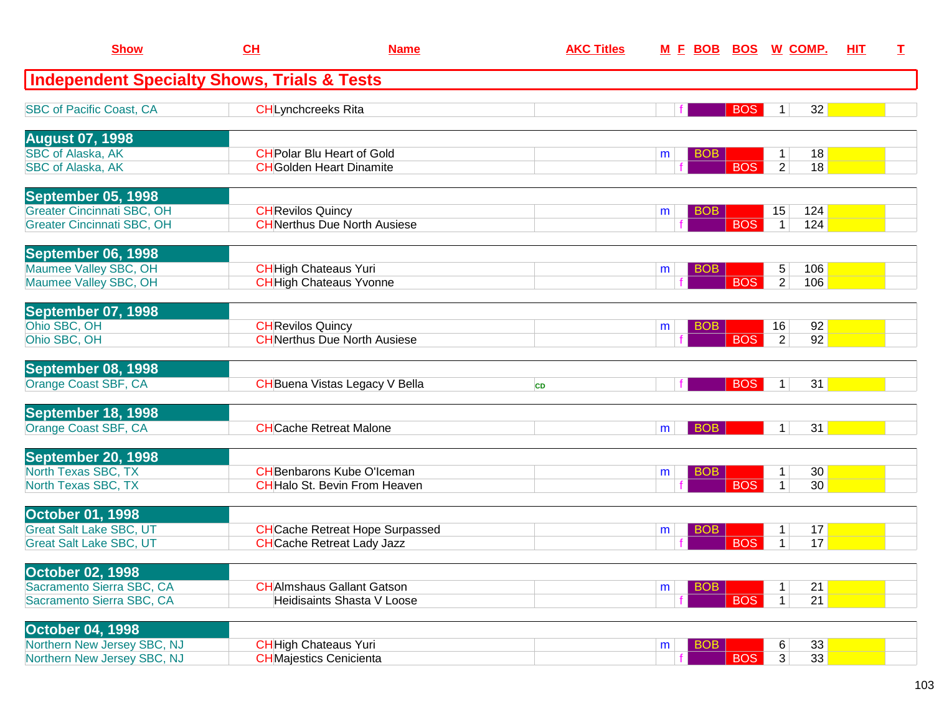| <b>Show</b>                                                            | CH                        | <b>Name</b>                                                                 | <b>AKC Titles</b> | <u>M F BOB</u>  | <u>BOS</u> | <u>W COMP.</u>                                                    | <b>HIT</b> | I. |
|------------------------------------------------------------------------|---------------------------|-----------------------------------------------------------------------------|-------------------|-----------------|------------|-------------------------------------------------------------------|------------|----|
| <b>Independent Specialty Shows, Trials &amp; Tests</b>                 |                           |                                                                             |                   |                 |            |                                                                   |            |    |
| <b>SBC of Pacific Coast, CA</b>                                        | <b>CHLynchcreeks Rita</b> |                                                                             |                   |                 | <b>BOS</b> | 32<br>$\mathbf 1$                                                 |            |    |
| <b>August 07, 1998</b>                                                 |                           |                                                                             |                   |                 |            |                                                                   |            |    |
| <b>SBC of Alaska, AK</b><br><b>SBC of Alaska, AK</b>                   |                           | <b>CH</b> Polar Blu Heart of Gold<br><b>CH</b> Golden Heart Dinamite        |                   | <b>BOB</b><br>m | <b>BOS</b> | 18<br>$\mathbf 1$<br>2 <sup>1</sup><br>18                         |            |    |
| <b>September 05, 1998</b>                                              |                           |                                                                             |                   |                 |            |                                                                   |            |    |
| <b>Greater Cincinnati SBC, OH</b><br><b>Greater Cincinnati SBC, OH</b> | <b>CH</b> Revilos Quincy  | <b>CH</b> Nerthus Due North Ausiese                                         |                   | <b>BOB</b><br>m | <b>BOS</b> | 124<br>15<br>124<br>$\mathbf{1}$                                  |            |    |
| September 06, 1998                                                     |                           |                                                                             |                   |                 |            |                                                                   |            |    |
| Maumee Valley SBC, OH<br>Maumee Valley SBC, OH                         |                           | <b>CH</b> High Chateaus Yuri<br><b>CH</b> High Chateaus Yvonne              |                   | <b>BOB</b><br>m | <b>BOS</b> | 5<br>106<br>$\overline{2}$<br>106                                 |            |    |
| September 07, 1998                                                     |                           |                                                                             |                   |                 |            |                                                                   |            |    |
| Ohio SBC, OH<br>Ohio SBC, OH                                           | <b>CH</b> Revilos Quincy  | <b>CH</b> Nerthus Due North Ausiese                                         |                   | <b>BOB</b><br>m | <b>BOS</b> | 16<br>92<br>92<br>$\overline{2}$                                  |            |    |
| September 08, 1998                                                     |                           |                                                                             |                   |                 |            |                                                                   |            |    |
| Orange Coast SBF, CA                                                   |                           | <b>CH</b> Buena Vistas Legacy V Bella                                       | <b>CD</b>         |                 | <b>BOS</b> | 31<br>1 <sup>1</sup>                                              |            |    |
| September 18, 1998                                                     |                           |                                                                             |                   |                 |            |                                                                   |            |    |
| Orange Coast SBF, CA                                                   |                           | <b>CHCache Retreat Malone</b>                                               |                   | <b>BOB</b><br>m |            | 31<br>1                                                           |            |    |
| September 20, 1998                                                     |                           |                                                                             |                   |                 |            |                                                                   |            |    |
| North Texas SBC, TX<br>North Texas SBC, TX                             |                           | <b>CH</b> Benbarons Kube O'Iceman<br><b>CH</b> Halo St. Bevin From Heaven   |                   | <b>BOB</b><br>m | <b>BOS</b> | 30 <sup>°</sup><br>$\mathbf 1$<br>$\mathbf{1}$<br>30 <sup>°</sup> |            |    |
| <b>October 01, 1998</b>                                                |                           |                                                                             |                   |                 |            |                                                                   |            |    |
| <b>Great Salt Lake SBC, UT</b><br><b>Great Salt Lake SBC, UT</b>       |                           | <b>CH</b> Cache Retreat Hope Surpassed<br><b>CH</b> Cache Retreat Lady Jazz |                   | <b>BOB</b><br>m | <b>BOS</b> | 17<br>1<br>17<br>$\mathbf 1$                                      |            |    |
|                                                                        |                           |                                                                             |                   |                 |            |                                                                   |            |    |
| <b>October 02, 1998</b><br>Sacramento Sierra SBC, CA                   |                           | <b>CH</b> Almshaus Gallant Gatson                                           |                   | <b>BOB</b><br>m |            | 21                                                                |            |    |
| Sacramento Sierra SBC, CA                                              |                           | <b>Heidisaints Shasta V Loose</b>                                           |                   |                 | <b>BOS</b> | 21<br>$\mathbf{1}$                                                |            |    |
| October 04, 1998                                                       |                           |                                                                             |                   |                 |            |                                                                   |            |    |
| Northern New Jersey SBC, NJ<br>Northern New Jersey SBC, NJ             |                           | <b>CH</b> High Chateaus Yuri<br><b>CH</b> Majestics Cenicienta              |                   | <b>BOB</b><br>m | <b>BOS</b> | 33<br>6<br>3 <sup>1</sup><br>33                                   |            |    |
|                                                                        |                           |                                                                             |                   |                 |            |                                                                   |            |    |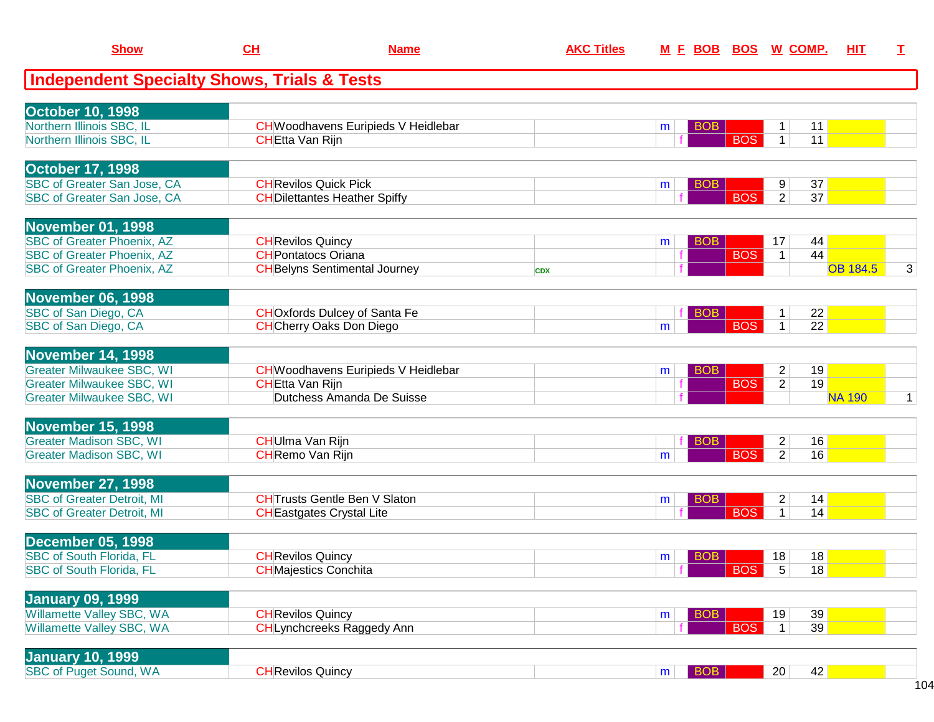| <b>Show</b>                                            | CL                           | <b>Name</b>                               | <b>AKC Titles</b> |                 |            | M E BOB BOS W COMP.            | HIT             | $\mathbf I$  |
|--------------------------------------------------------|------------------------------|-------------------------------------------|-------------------|-----------------|------------|--------------------------------|-----------------|--------------|
| <b>Independent Specialty Shows, Trials &amp; Tests</b> |                              |                                           |                   |                 |            |                                |                 |              |
| <b>October 10, 1998</b>                                |                              |                                           |                   |                 |            |                                |                 |              |
| Northern Illinois SBC, IL                              |                              | CHWoodhavens Euripieds V Heidlebar        |                   | BOB<br>m        |            | 11<br>$\mathbf 1$              |                 |              |
| Northern Illinois SBC, IL                              | <b>CHEtta Van Rijn</b>       |                                           |                   |                 | <b>BOS</b> | $\mathbf{1}$<br>11             |                 |              |
| <b>October 17, 1998</b>                                |                              |                                           |                   |                 |            |                                |                 |              |
| <b>SBC of Greater San Jose, CA</b>                     | <b>CH</b> Revilos Quick Pick |                                           |                   | <b>BOB</b><br>m |            | 37<br>9                        |                 |              |
| <b>SBC of Greater San Jose, CA</b>                     |                              | <b>CH</b> Dilettantes Heather Spiffy      |                   |                 | <b>BOS</b> | $\overline{2}$<br>37           |                 |              |
| <b>November 01, 1998</b>                               |                              |                                           |                   |                 |            |                                |                 |              |
| <b>SBC of Greater Phoenix, AZ</b>                      | <b>CH</b> Revilos Quincy     |                                           |                   | <b>BOB</b><br>m |            | 44<br>17                       |                 |              |
| <b>SBC of Greater Phoenix, AZ</b>                      | <b>CH</b> Pontatocs Oriana   |                                           |                   |                 | <b>BOS</b> | 44<br>$\mathbf{1}$             |                 |              |
| <b>SBC of Greater Phoenix, AZ</b>                      |                              | <b>CH</b> Belyns Sentimental Journey      | <b>CDX</b>        |                 |            |                                | <b>OB 184.5</b> | 3            |
| <b>November 06, 1998</b>                               |                              |                                           |                   |                 |            |                                |                 |              |
| SBC of San Diego, CA                                   |                              | <b>CHO</b> xfords Dulcey of Santa Fe      |                   | <b>BOB</b>      |            | 22                             |                 |              |
| SBC of San Diego, CA                                   |                              | <b>CH</b> Cherry Oaks Don Diego           |                   | m               | <b>BOS</b> | $\overline{22}$<br>$\mathbf 1$ |                 |              |
| <b>November 14, 1998</b>                               |                              |                                           |                   |                 |            |                                |                 |              |
| <b>Greater Milwaukee SBC, WI</b>                       |                              | <b>CHWoodhavens Euripieds V Heidlebar</b> |                   | <b>BOB</b><br>m |            | 19<br>$\overline{2}$           |                 |              |
| <b>Greater Milwaukee SBC, WI</b>                       | <b>CHEtta Van Rijn</b>       |                                           |                   |                 | <b>BOS</b> | $\overline{2}$<br>19           |                 |              |
| <b>Greater Milwaukee SBC, WI</b>                       |                              | Dutchess Amanda De Suisse                 |                   |                 |            |                                | <b>NA 190</b>   | $\mathbf{1}$ |
| <b>November 15, 1998</b>                               |                              |                                           |                   |                 |            |                                |                 |              |
| <b>Greater Madison SBC, WI</b>                         | <b>CH</b> Ulma Van Rijn      |                                           |                   | <b>BOB</b>      |            | $\mathbf{2}$<br>16             |                 |              |
| <b>Greater Madison SBC, WI</b>                         | <b>CH</b> Remo Van Rijn      |                                           |                   | m               | <b>BOS</b> | 2 <sup>1</sup><br>16           |                 |              |
| <b>November 27, 1998</b>                               |                              |                                           |                   |                 |            |                                |                 |              |
| <b>SBC of Greater Detroit, MI</b>                      |                              | <b>CHTrusts Gentle Ben V Slaton</b>       |                   | <b>BOB</b><br>m |            | 14<br>$\overline{2}$           |                 |              |
| <b>SBC of Greater Detroit, MI</b>                      |                              | <b>CH</b> Eastgates Crystal Lite          |                   |                 | <b>BOS</b> | 14<br>1 <sup>1</sup>           |                 |              |
| <b>December 05, 1998</b>                               |                              |                                           |                   |                 |            |                                |                 |              |
| <b>SBC of South Florida, FL</b>                        | <b>CH</b> Revilos Quincy     |                                           |                   | <b>BOB</b><br>m |            | 18<br>18                       |                 |              |
| <b>SBC of South Florida, FL</b>                        | <b>CHMajestics Conchita</b>  |                                           |                   |                 | <b>BOS</b> | 18<br>5                        |                 |              |
| <b>January 09, 1999</b>                                |                              |                                           |                   |                 |            |                                |                 |              |
| Willamette Valley SBC, WA                              | <b>CH</b> Revilos Quincy     |                                           |                   | <b>BOB</b><br>m |            | 39<br>19                       |                 |              |
| Willamette Valley SBC, WA                              |                              | <b>CHLynchcreeks Raggedy Ann</b>          |                   |                 | <b>BOS</b> | 39<br>$\mathbf{1}$             |                 |              |
| <b>January 10, 1999</b>                                |                              |                                           |                   |                 |            |                                |                 |              |
| <b>SBC of Puget Sound, WA</b>                          | <b>CH</b> Revilos Quincy     |                                           |                   | BOB<br>m        |            | 42<br>20                       |                 |              |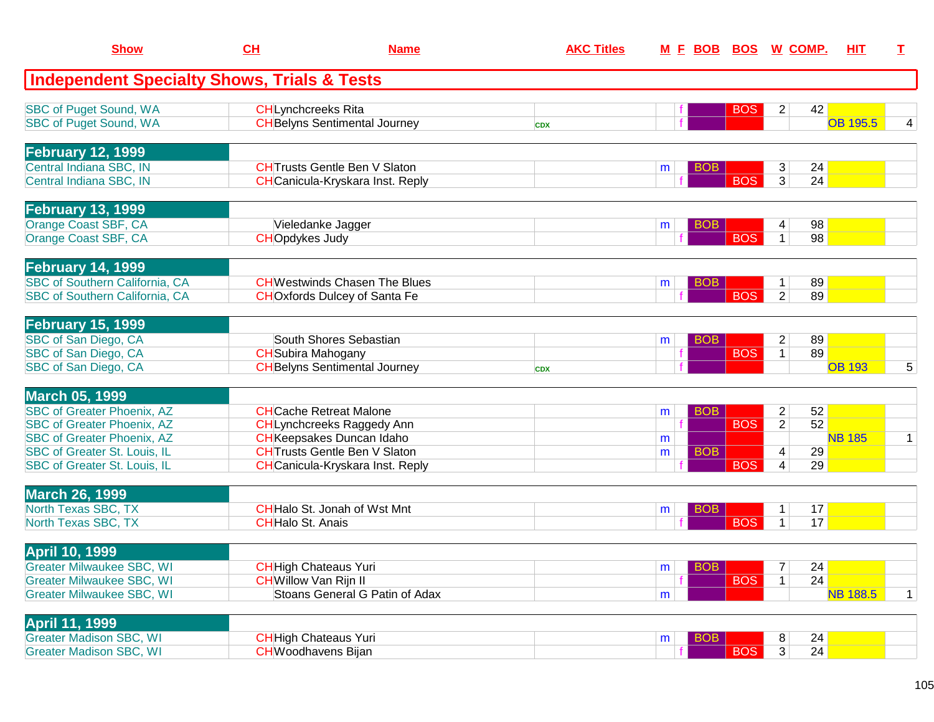| <b>Show</b>                                            | CH                           | <b>Name</b>                             | <b>AKC Titles</b> |   | <u>M E BOB BOS W COMP.</u> |            |                         |                 | <b>HIT</b>      | T.           |
|--------------------------------------------------------|------------------------------|-----------------------------------------|-------------------|---|----------------------------|------------|-------------------------|-----------------|-----------------|--------------|
| <b>Independent Specialty Shows, Trials &amp; Tests</b> |                              |                                         |                   |   |                            |            |                         |                 |                 |              |
| <b>SBC of Puget Sound, WA</b>                          | <b>CHLynchcreeks Rita</b>    |                                         |                   |   |                            | <b>BOS</b> | 2                       | 42              |                 |              |
| <b>SBC of Puget Sound, WA</b>                          |                              | <b>CH</b> Belyns Sentimental Journey    | <b>CDX</b>        |   |                            |            |                         |                 | <b>OB 195.5</b> |              |
| <b>February 12, 1999</b>                               |                              |                                         |                   |   |                            |            |                         |                 |                 |              |
| Central Indiana SBC, IN                                |                              | <b>CHT</b> rusts Gentle Ben V Slaton    |                   | m | <b>BOB</b>                 |            | 3                       | 24              |                 |              |
| Central Indiana SBC, IN                                |                              | <b>CH</b> Canicula-Kryskara Inst. Reply |                   |   |                            | <b>BOS</b> | $\overline{3}$          | 24              |                 |              |
| <b>February 13, 1999</b>                               |                              |                                         |                   |   |                            |            |                         |                 |                 |              |
| Orange Coast SBF, CA                                   |                              | Vieledanke Jagger                       |                   | m | <b>BOB</b>                 |            | 4                       | 98              |                 |              |
| Orange Coast SBF, CA                                   | <b>CHOpdykes Judy</b>        |                                         |                   |   |                            | <b>BOS</b> | $\mathbf{1}$            | 98              |                 |              |
| <b>February 14, 1999</b>                               |                              |                                         |                   |   |                            |            |                         |                 |                 |              |
| SBC of Southern California, CA                         |                              | <b>CHWestwinds Chasen The Blues</b>     |                   | m | <b>BOB</b>                 |            | $\mathbf{1}$            | 89              |                 |              |
| SBC of Southern California, CA                         |                              | <b>CHO</b> xfords Dulcey of Santa Fe    |                   |   |                            | <b>BOS</b> | 2                       | 89              |                 |              |
| <b>February 15, 1999</b>                               |                              |                                         |                   |   |                            |            |                         |                 |                 |              |
| SBC of San Diego, CA                                   |                              | South Shores Sebastian                  |                   | m | <b>BOB</b>                 |            | $\overline{\mathbf{c}}$ | 89              |                 |              |
| SBC of San Diego, CA                                   | <b>CH</b> Subira Mahogany    |                                         |                   |   |                            | <b>BOS</b> | $\overline{1}$          | 89              |                 |              |
| SBC of San Diego, CA                                   |                              | <b>CH</b> Belyns Sentimental Journey    | <b>CDX</b>        |   |                            |            |                         |                 | <b>OB 193</b>   | 5            |
| <b>March 05, 1999</b>                                  |                              |                                         |                   |   |                            |            |                         |                 |                 |              |
| <b>SBC of Greater Phoenix, AZ</b>                      |                              | <b>CH</b> Cache Retreat Malone          |                   | m | <b>BOB</b>                 |            | $\overline{\mathbf{c}}$ | 52              |                 |              |
| <b>SBC of Greater Phoenix, AZ</b>                      |                              | <b>CHLynchcreeks Raggedy Ann</b>        |                   |   |                            | <b>BOS</b> | $\overline{2}$          | $\overline{52}$ |                 |              |
| <b>SBC of Greater Phoenix, AZ</b>                      |                              | <b>CH</b> Keepsakes Duncan Idaho        |                   | m |                            |            |                         |                 | <b>NB 185</b>   | $\mathbf{1}$ |
| SBC of Greater St. Louis, IL                           |                              | <b>CHTrusts Gentle Ben V Slaton</b>     |                   | m | <b>BOB</b>                 |            | 4                       | 29              |                 |              |
| SBC of Greater St. Louis, IL                           |                              | <b>CH</b> Canicula-Kryskara Inst. Reply |                   |   |                            | <b>BOS</b> | 4                       | 29              |                 |              |
| <b>March 26, 1999</b>                                  |                              |                                         |                   |   |                            |            |                         |                 |                 |              |
| North Texas SBC, TX                                    |                              | <b>CH</b> Halo St. Jonah of Wst Mnt     |                   | m | <b>BOB</b>                 |            | $\mathbf{1}$            | 17              |                 |              |
| North Texas SBC, TX                                    | <b>CH</b> Halo St. Anais     |                                         |                   |   |                            | <b>BOS</b> | $\mathbf{1}$            | 17              |                 |              |
| <b>April 10, 1999</b>                                  |                              |                                         |                   |   |                            |            |                         |                 |                 |              |
| <b>Greater Milwaukee SBC, WI</b>                       |                              | <b>CH</b> High Chateaus Yuri            |                   | m | <b>BOB</b>                 |            | 7                       | 24              |                 |              |
| <b>Greater Milwaukee SBC, WI</b>                       | <b>CH</b> Willow Van Rijn II |                                         |                   |   |                            | <b>BOS</b> | 1                       | 24              |                 |              |
| <b>Greater Milwaukee SBC, WI</b>                       |                              | Stoans General G Patin of Adax          |                   | m |                            |            |                         |                 | <b>NB 188.5</b> | $\mathbf{1}$ |
| <b>April 11, 1999</b>                                  |                              |                                         |                   |   |                            |            |                         |                 |                 |              |
| <b>Greater Madison SBC, WI</b>                         |                              | <b>CH</b> High Chateaus Yuri            |                   | m | <b>BOB</b>                 |            | 8                       | 24              |                 |              |
| <b>Greater Madison SBC, WI</b>                         | <b>CH</b> Woodhavens Bijan   |                                         |                   |   |                            | <b>BOS</b> | 3                       | 24              |                 |              |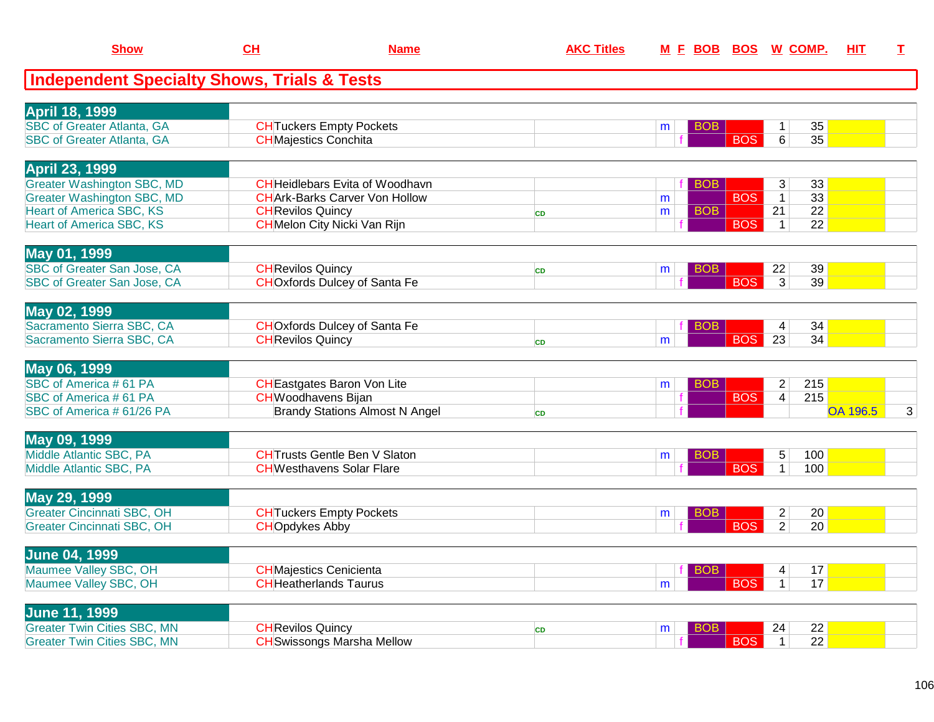| <b>Show</b>                                            | CH                             | <b>Name</b>                            | <b>AKC Titles</b> | M E BOB BOS W COMP. |            |                        | HIT             | I              |
|--------------------------------------------------------|--------------------------------|----------------------------------------|-------------------|---------------------|------------|------------------------|-----------------|----------------|
| <b>Independent Specialty Shows, Trials &amp; Tests</b> |                                |                                        |                   |                     |            |                        |                 |                |
| <b>April 18, 1999</b>                                  |                                |                                        |                   |                     |            |                        |                 |                |
| <b>SBC of Greater Atlanta, GA</b>                      |                                | <b>CH</b> Tuckers Empty Pockets        |                   | BOB<br>m            |            | 35<br>$\mathbf{1}$     |                 |                |
| <b>SBC of Greater Atlanta, GA</b>                      | <b>CH</b> Majestics Conchita   |                                        |                   |                     | <b>BOS</b> | $\overline{35}$<br>6   |                 |                |
| <b>April 23, 1999</b>                                  |                                |                                        |                   |                     |            |                        |                 |                |
| <b>Greater Washington SBC, MD</b>                      |                                | <b>CH</b> Heidlebars Evita of Woodhavn |                   | <b>BOB</b>          |            | 33<br>3                |                 |                |
| <b>Greater Washington SBC, MD</b>                      |                                | <b>CHArk-Barks Carver Von Hollow</b>   |                   | m                   | <b>BOS</b> | 33<br>$\overline{1}$   |                 |                |
| <b>Heart of America SBC, KS</b>                        | <b>CH</b> Revilos Quincy       |                                        | <b>CD</b>         | <b>BOB</b><br>m     |            | $\overline{22}$<br>21  |                 |                |
| <b>Heart of America SBC, KS</b>                        |                                | <b>CH</b> Melon City Nicki Van Rijn    |                   |                     | <b>BOS</b> | 22<br>$\mathbf{1}$     |                 |                |
| May 01, 1999                                           |                                |                                        |                   |                     |            |                        |                 |                |
| <b>SBC of Greater San Jose, CA</b>                     | <b>CH</b> Revilos Quincy       |                                        | CD                | BOB.<br>m           |            | 39<br>22               |                 |                |
| <b>SBC of Greater San Jose, CA</b>                     |                                | <b>CHOxfords Dulcey of Santa Fe</b>    |                   |                     | <b>BOS</b> | $\overline{3}$<br>39   |                 |                |
| May 02, 1999                                           |                                |                                        |                   |                     |            |                        |                 |                |
| Sacramento Sierra SBC, CA                              |                                | <b>CHO</b> xfords Dulcey of Santa Fe   |                   | <b>BOB</b>          |            | 34<br>$\overline{4}$   |                 |                |
| Sacramento Sierra SBC, CA                              | <b>CH</b> Revilos Quincy       |                                        | <b>CD</b>         | m                   | <b>BOS</b> | $\overline{23}$<br>34  |                 |                |
| May 06, 1999                                           |                                |                                        |                   |                     |            |                        |                 |                |
| SBC of America #61 PA                                  |                                | <b>CH</b> Eastgates Baron Von Lite     |                   | <b>BOB</b><br>m     |            | 215<br>$\overline{2}$  |                 |                |
| SBC of America #61 PA                                  | <b>CH</b> Woodhavens Bijan     |                                        |                   | f                   | <b>BOS</b> | $\vert 4 \vert$<br>215 |                 |                |
| SBC of America # 61/26 PA                              |                                | <b>Brandy Stations Almost N Angel</b>  | <b>CD</b>         |                     |            |                        | <b>OA 196.5</b> | $\overline{3}$ |
| May 09, 1999                                           |                                |                                        |                   |                     |            |                        |                 |                |
| Middle Atlantic SBC, PA                                |                                | <b>CH</b> Trusts Gentle Ben V Slaton   |                   | <b>BOB</b><br>m     |            | 100<br>5               |                 |                |
| Middle Atlantic SBC, PA                                |                                | <b>CHWesthavens Solar Flare</b>        |                   |                     | <b>BOS</b> | 1 <sup>1</sup><br>100  |                 |                |
| May 29, 1999                                           |                                |                                        |                   |                     |            |                        |                 |                |
| <b>Greater Cincinnati SBC, OH</b>                      |                                | <b>CHTuckers Empty Pockets</b>         |                   | <b>BOB</b><br>m     |            | $\overline{2}$<br>20   |                 |                |
| <b>Greater Cincinnati SBC, OH</b>                      | <b>CHOpdykes Abby</b>          |                                        |                   |                     | <b>BOS</b> | $\overline{2}$<br>20   |                 |                |
| <b>June 04, 1999</b>                                   |                                |                                        |                   |                     |            |                        |                 |                |
| Maumee Valley SBC, OH                                  | <b>CH</b> Majestics Cenicienta |                                        |                   | <b>BOB</b>          |            | 17<br>4                |                 |                |
| Maumee Valley SBC, OH                                  |                                | <b>CHHeatherlands Taurus</b>           |                   | m                   | <b>BOS</b> | 17<br>1 <sup>1</sup>   |                 |                |
| <b>June 11, 1999</b>                                   |                                |                                        |                   |                     |            |                        |                 |                |
| <b>Greater Twin Cities SBC, MN</b>                     | <b>CH</b> Revilos Quincy       |                                        | <b>CD</b>         | <b>BOB</b><br>m     |            | 22<br>24               |                 |                |
| <b>Greater Twin Cities SBC, MN</b>                     |                                | <b>CH</b> Swissongs Marsha Mellow      |                   |                     | <b>BOS</b> | $\overline{22}$<br>1   |                 |                |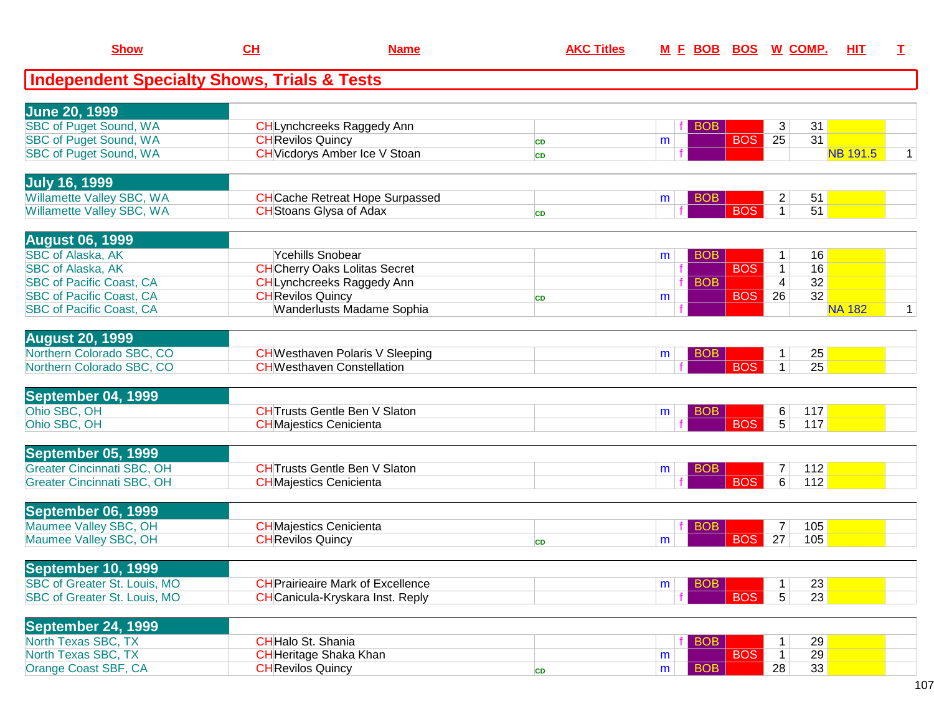| <b>Show</b>                                            | $CH$                     | <b>Name</b>                              | <b>AKC Titles</b> | <u>M E BOB</u>  |            | <b>BOS W COMP.</b>    | HIT             | I            |
|--------------------------------------------------------|--------------------------|------------------------------------------|-------------------|-----------------|------------|-----------------------|-----------------|--------------|
| <b>Independent Specialty Shows, Trials &amp; Tests</b> |                          |                                          |                   |                 |            |                       |                 |              |
| <b>June 20, 1999</b>                                   |                          |                                          |                   |                 |            |                       |                 |              |
| <b>SBC of Puget Sound, WA</b>                          |                          | CHLynchcreeks Raggedy Ann                |                   | <b>BOB</b>      |            | 3<br>31               |                 |              |
| <b>SBC of Puget Sound, WA</b>                          | <b>CH</b> Revilos Quincy |                                          | <b>CD</b>         | m               | <b>BOS</b> | 25<br>31              |                 |              |
| SBC of Puget Sound, WA                                 |                          | <b>CH</b> Vicdorys Amber Ice V Stoan     | <b>CD</b>         |                 |            |                       | <b>NB 191.5</b> | 1            |
| <b>July 16, 1999</b>                                   |                          |                                          |                   |                 |            |                       |                 |              |
| Willamette Valley SBC, WA                              |                          | <b>CH</b> Cache Retreat Hope Surpassed   |                   | <b>BOB</b><br>m |            | $\overline{c}$<br>51  |                 |              |
| Willamette Valley SBC, WA                              |                          | <b>CH</b> Stoans Glysa of Adax           | <b>CD</b>         |                 | <b>BOS</b> | 51<br>$\mathbf{1}$    |                 |              |
| <b>August 06, 1999</b>                                 |                          |                                          |                   |                 |            |                       |                 |              |
| <b>SBC of Alaska, AK</b>                               |                          | Ycehills Snobear                         |                   | <b>BOB</b><br>m |            | 16<br>$\mathbf{1}$    |                 |              |
| <b>SBC of Alaska, AK</b>                               |                          | <b>CH</b> Cherry Oaks Lolitas Secret     |                   |                 | <b>BOS</b> | 16<br>$\mathbf{1}$    |                 |              |
| <b>SBC of Pacific Coast, CA</b>                        |                          | <b>CHLynchcreeks Raggedy Ann</b>         |                   | <b>BOB</b>      |            | 32<br>$\overline{4}$  |                 |              |
| <b>SBC of Pacific Coast, CA</b>                        | <b>CH</b> Revilos Quincy |                                          | <b>CD</b>         | m               | <b>BOS</b> | 32<br>26              |                 |              |
| <b>SBC of Pacific Coast, CA</b>                        |                          | <b>Wanderlusts Madame Sophia</b>         |                   |                 |            |                       | <b>NA 182</b>   | $\mathbf{1}$ |
| <b>August 20, 1999</b>                                 |                          |                                          |                   |                 |            |                       |                 |              |
| Northern Colorado SBC, CO                              |                          | <b>CH</b> Westhaven Polaris V Sleeping   |                   | <b>BOB</b><br>m |            | 25<br>1               |                 |              |
| Northern Colorado SBC, CO                              |                          | <b>CHWesthaven Constellation</b>         |                   |                 | <b>BOS</b> | $\mathbf{1}$<br>25    |                 |              |
| September 04, 1999                                     |                          |                                          |                   |                 |            |                       |                 |              |
| Ohio SBC, OH                                           |                          | <b>CHTrusts Gentle Ben V Slaton</b>      |                   | <b>BOB</b><br>m |            | 117<br>6              |                 |              |
| Ohio SBC, OH                                           |                          | <b>CH</b> Majestics Cenicienta           |                   |                 | <b>BOS</b> | $\overline{5}$<br>117 |                 |              |
| September 05, 1999                                     |                          |                                          |                   |                 |            |                       |                 |              |
| <b>Greater Cincinnati SBC, OH</b>                      |                          | <b>CHTrusts Gentle Ben V Slaton</b>      |                   | <b>BOB</b><br>m |            | 112<br>7              |                 |              |
| <b>Greater Cincinnati SBC, OH</b>                      |                          | <b>CH</b> Majestics Cenicienta           |                   |                 | <b>BOS</b> | 6<br>112              |                 |              |
| <b>September 06, 1999</b>                              |                          |                                          |                   |                 |            |                       |                 |              |
| Maumee Valley SBC, OH                                  |                          | <b>CH</b> Majestics Cenicienta           |                   | <b>BOB</b>      |            | 105<br>7              |                 |              |
| Maumee Valley SBC, OH                                  | <b>CH</b> Revilos Quincy |                                          | <b>CD</b>         | m               | <b>BOS</b> | 105<br>27             |                 |              |
| September 10, 1999                                     |                          |                                          |                   |                 |            |                       |                 |              |
| SBC of Greater St. Louis, MO                           |                          | <b>CH</b> Prairieaire Mark of Excellence |                   | <b>BOB</b><br>m |            | 23<br>1               |                 |              |
| SBC of Greater St. Louis, MO                           |                          | <b>CH</b> Canicula-Kryskara Inst. Reply  |                   |                 | <b>BOS</b> | 23<br>5               |                 |              |
| September 24, 1999                                     |                          |                                          |                   |                 |            |                       |                 |              |
| North Texas SBC, TX                                    | <b>CHHalo St. Shania</b> |                                          |                   | BOB             |            | 29                    |                 |              |
| North Texas SBC, TX                                    |                          | <b>CH</b> Heritage Shaka Khan            |                   | m               | <b>BOS</b> | 29<br>$\mathbf{1}$    |                 |              |
| Orange Coast SBF, CA                                   | <b>CH</b> Revilos Quincy |                                          | <b>CD</b>         | <b>BOB</b><br>m |            | 33<br>28              |                 |              |
|                                                        |                          |                                          |                   |                 |            |                       |                 |              |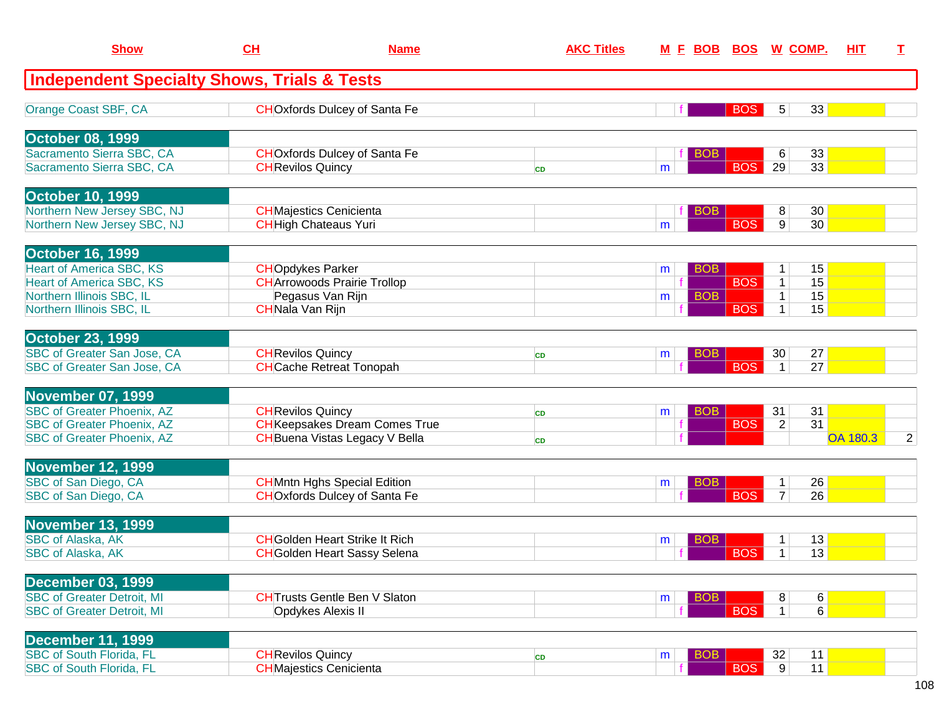| <b>Show</b>                                                        | CH                           | <b>Name</b>                           | <b>AKC Titles</b> |                 |            | <u>M F BOB BOS W COMP.</u>        | <b>HIT</b>      | T. |
|--------------------------------------------------------------------|------------------------------|---------------------------------------|-------------------|-----------------|------------|-----------------------------------|-----------------|----|
| <b>Independent Specialty Shows, Trials &amp; Tests</b>             |                              |                                       |                   |                 |            |                                   |                 |    |
| Orange Coast SBF, CA                                               |                              | <b>CHOxfords Dulcey of Santa Fe</b>   |                   |                 | <b>BOS</b> | 33<br>5                           |                 |    |
| <b>October 08, 1999</b>                                            |                              |                                       |                   |                 |            |                                   |                 |    |
| Sacramento Sierra SBC, CA                                          |                              | <b>CHO</b> xfords Dulcey of Santa Fe  |                   | <b>BOB</b>      |            | 33<br>6                           |                 |    |
| Sacramento Sierra SBC, CA                                          | <b>CH</b> Revilos Quincy     |                                       | <b>CD</b>         | m               | <b>BOS</b> | 29<br>33                          |                 |    |
| <b>October 10, 1999</b>                                            |                              |                                       |                   |                 |            |                                   |                 |    |
| Northern New Jersey SBC, NJ                                        |                              | <b>CH</b> Majestics Cenicienta        |                   | <b>BOB</b>      |            | 8<br>30                           |                 |    |
| Northern New Jersey SBC, NJ                                        | <b>CH</b> High Chateaus Yuri |                                       |                   | m               | <b>BOS</b> | 9<br>30                           |                 |    |
| <b>October 16, 1999</b>                                            |                              |                                       |                   |                 |            |                                   |                 |    |
| <b>Heart of America SBC, KS</b><br><b>Heart of America SBC, KS</b> | <b>CHOpdykes Parker</b>      | <b>CHArrowoods Prairie Trollop</b>    |                   | <b>BOB</b><br>m | <b>BOS</b> | 15<br>$\mathbf{1}$<br>15<br>1     |                 |    |
| Northern Illinois SBC, IL                                          |                              | Pegasus Van Rijn                      |                   | <b>BOB</b><br>m |            | 15<br>$\mathbf 1$                 |                 |    |
| Northern Illinois SBC, IL                                          | <b>CHNala Van Rijn</b>       |                                       |                   |                 | <b>BOS</b> | 15<br>$\mathbf{1}$                |                 |    |
| <b>October 23, 1999</b>                                            |                              |                                       |                   |                 |            |                                   |                 |    |
| SBC of Greater San Jose, CA                                        | <b>CH</b> Revilos Quincy     |                                       | <b>CD</b>         | <b>BOB</b><br>m |            | 27<br>30                          |                 |    |
| SBC of Greater San Jose, CA                                        |                              | <b>CH</b> Cache Retreat Tonopah       |                   |                 | <b>BOS</b> | 27<br>$\vert$ 1                   |                 |    |
| <b>November 07, 1999</b>                                           |                              |                                       |                   |                 |            |                                   |                 |    |
| <b>SBC of Greater Phoenix, AZ</b>                                  | <b>CH</b> Revilos Quincy     |                                       | <b>CD</b>         | <b>BOB</b><br>m |            | 31<br>31                          |                 |    |
| <b>SBC of Greater Phoenix, AZ</b>                                  |                              | <b>CH</b> Keepsakes Dream Comes True  |                   |                 | <b>BOS</b> | 31<br>$\overline{2}$              |                 |    |
| <b>SBC</b> of Greater Phoenix, AZ                                  |                              | <b>CH</b> Buena Vistas Legacy V Bella | <b>CD</b>         |                 |            |                                   | <b>OA 180.3</b> | 2  |
| <b>November 12, 1999</b>                                           |                              |                                       |                   |                 |            |                                   |                 |    |
| SBC of San Diego, CA                                               |                              | <b>CH</b> Mntn Hghs Special Edition   |                   | <b>BOB</b><br>m |            | 26<br>$\mathbf{1}$                |                 |    |
| SBC of San Diego, CA                                               |                              | <b>CHOxfords Dulcey of Santa Fe</b>   |                   |                 | <b>BOS</b> | $\overline{26}$<br>$\overline{7}$ |                 |    |
| <b>November 13, 1999</b>                                           |                              |                                       |                   |                 |            |                                   |                 |    |
| <b>SBC of Alaska, AK</b>                                           |                              | <b>CH</b> Golden Heart Strike It Rich |                   | BOB<br>m        |            | 13                                |                 |    |
| <b>SBC of Alaska, AK</b>                                           |                              | <b>CH</b> Golden Heart Sassy Selena   |                   |                 | <b>BOS</b> | 13<br>$\mathbf{1}$                |                 |    |
| <b>December 03, 1999</b>                                           |                              |                                       |                   |                 |            |                                   |                 |    |
| <b>SBC of Greater Detroit, MI</b>                                  |                              | <b>CHTrusts Gentle Ben V Slaton</b>   |                   | <b>BOB</b><br>m |            | $6 \mid$<br>8                     |                 |    |
| <b>SBC of Greater Detroit, MI</b>                                  |                              | Opdykes Alexis II                     |                   |                 | <b>BOS</b> | 6<br>1 <sup>1</sup>               |                 |    |
| <b>December 11, 1999</b>                                           |                              |                                       |                   |                 |            |                                   |                 |    |
| <b>SBC of South Florida, FL</b>                                    | <b>CH</b> Revilos Quincy     |                                       | CD                | <b>BOB</b><br>m |            | 32<br>11                          |                 |    |
| <b>SBC of South Florida, FL</b>                                    |                              | <b>CHMajestics Cenicienta</b>         |                   |                 | <b>BOS</b> | 11<br> 9                          |                 |    |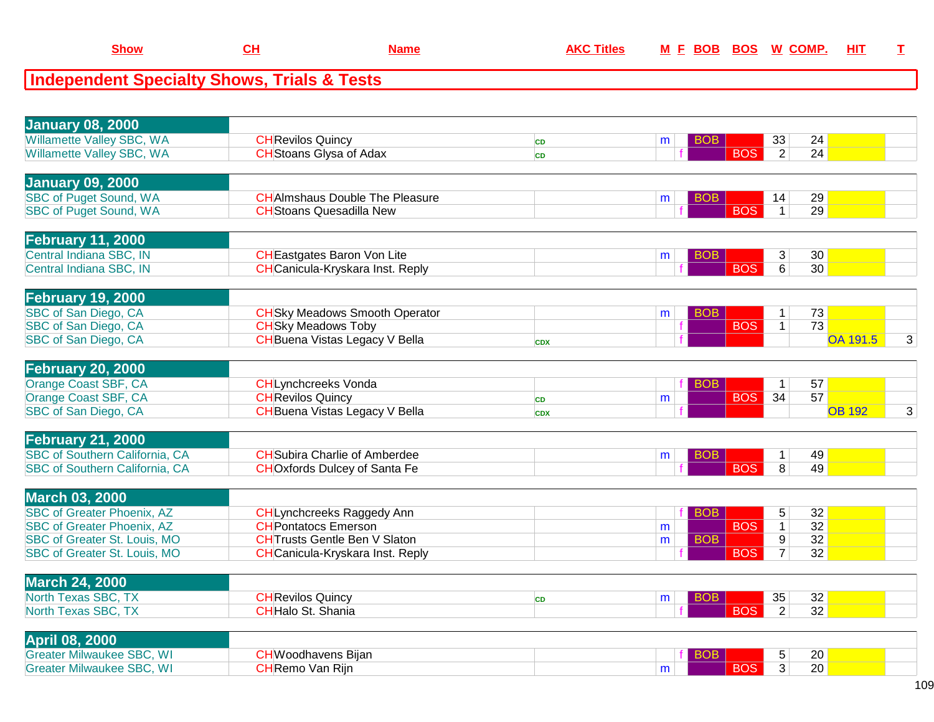| <b>Independent Specialty Shows, Trials &amp; Tests</b> |                                                                               |            |   |                          |                   |                 |   |
|--------------------------------------------------------|-------------------------------------------------------------------------------|------------|---|--------------------------|-------------------|-----------------|---|
|                                                        |                                                                               |            |   |                          |                   |                 |   |
| <b>January 08, 2000</b>                                |                                                                               |            |   |                          |                   |                 |   |
| Willamette Valley SBC, WA                              | <b>CH</b> Revilos Quincy                                                      | <b>CD</b>  | m | <b>BOB</b>               | 33                | 24              |   |
| Willamette Valley SBC, WA                              | <b>CH</b> Stoans Glysa of Adax                                                | <b>CD</b>  |   | <b>BOS</b>               | $\overline{2}$    | 24              |   |
|                                                        |                                                                               |            |   |                          |                   |                 |   |
| <b>January 09, 2000</b>                                |                                                                               |            |   |                          |                   |                 |   |
| <b>SBC of Puget Sound, WA</b>                          | <b>CHAImshaus Double The Pleasure</b>                                         |            | m | <b>BOB</b>               | 14                | 29              |   |
| <b>SBC of Puget Sound, WA</b>                          | <b>CH</b> Stoans Quesadilla New                                               |            |   | <b>BOS</b>               | $\overline{1}$    | 29              |   |
|                                                        |                                                                               |            |   |                          |                   |                 |   |
| <b>February 11, 2000</b>                               |                                                                               |            |   |                          |                   |                 |   |
| Central Indiana SBC, IN<br>Central Indiana SBC, IN     | <b>CH</b> Eastgates Baron Von Lite<br><b>CH</b> Canicula-Kryskara Inst. Reply |            | m | <b>BOB</b><br><b>BOS</b> | $\mathbf{3}$<br>6 | 30<br>30        |   |
|                                                        |                                                                               |            |   |                          |                   |                 |   |
| <b>February 19, 2000</b>                               |                                                                               |            |   |                          |                   |                 |   |
| SBC of San Diego, CA                                   | <b>CH</b> Sky Meadows Smooth Operator                                         |            | m | <b>BOB</b>               | $\mathbf{1}$      | 73              |   |
| SBC of San Diego, CA                                   | <b>CH</b> Sky Meadows Toby                                                    |            |   | <b>BOS</b>               | $\mathbf{1}$      | $\overline{73}$ |   |
| SBC of San Diego, CA                                   | <b>CH</b> Buena Vistas Legacy V Bella                                         | <b>CDX</b> |   |                          |                   | <b>OA 191.5</b> | 3 |
|                                                        |                                                                               |            |   |                          |                   |                 |   |
| <b>February 20, 2000</b>                               |                                                                               |            |   |                          |                   |                 |   |
| Orange Coast SBF, CA                                   | <b>CHLynchcreeks Vonda</b>                                                    |            |   | <b>BOB</b>               | $\mathbf{1}$      | 57              |   |
| Orange Coast SBF, CA                                   | <b>CHRevilos Quincy</b>                                                       | <b>CD</b>  | m | <b>BOS</b>               | 34                | 57              |   |
| SBC of San Diego, CA                                   | <b>CH</b> Buena Vistas Legacy V Bella                                         | <b>CDX</b> |   |                          |                   | <b>OB 192</b>   | 3 |
| <b>February 21, 2000</b>                               |                                                                               |            |   |                          |                   |                 |   |
| <b>SBC of Southern California, CA</b>                  | <b>CH</b> Subira Charlie of Amberdee                                          |            | m | <b>BOB</b>               | $\mathbf{1}$      | 49              |   |
| <b>SBC of Southern California, CA</b>                  | <b>CHO</b> xfords Dulcey of Santa Fe                                          |            |   | <b>BOS</b>               | $\overline{8}$    | 49              |   |
|                                                        |                                                                               |            |   |                          |                   |                 |   |
| <b>March 03, 2000</b>                                  |                                                                               |            |   |                          |                   |                 |   |
| <b>SBC of Greater Phoenix, AZ</b>                      | <b>CHLynchcreeks Raggedy Ann</b>                                              |            |   | <b>BOB</b>               | 5                 | 32              |   |
| <b>SBC of Greater Phoenix, AZ</b>                      | <b>CHPontatocs Emerson</b>                                                    |            | m | <b>BOS</b>               | $\mathbf{1}$      | 32              |   |
| <b>SBC of Greater St. Louis, MO</b>                    | <b>CH</b> Trusts Gentle Ben V Slaton                                          |            | m | <b>BOB</b>               | $\overline{9}$    | 32              |   |
| <b>SBC of Greater St. Louis, MO</b>                    | <b>CH</b> Canicula-Kryskara Inst. Reply                                       |            |   | <b>BOS</b>               | $\overline{7}$    | 32              |   |
| <b>March 24, 2000</b>                                  |                                                                               |            |   |                          |                   |                 |   |
| North Texas SBC, TX                                    | <b>CH</b> Revilos Quincy                                                      | <b>CD</b>  | m | <b>BOB</b>               | 35                | 32              |   |
| North Texas SBC, TX                                    | <b>CHHalo St. Shania</b>                                                      |            |   | <b>BOS</b>               | $\overline{2}$    | $\overline{32}$ |   |
|                                                        |                                                                               |            |   |                          |                   |                 |   |
| April 08, 2000                                         |                                                                               |            |   |                          |                   |                 |   |
| <b>Greater Milwaukee SBC, WI</b>                       | <b>CHWoodhavens Bijan</b>                                                     |            |   | <b>BOB</b>               | 5                 | 20              |   |
| <b>Greater Milwaukee SBC, WI</b>                       | <b>CH</b> Remo Van Rijn                                                       |            | m | <b>BOS</b>               | 3                 | 20              |   |

n m

**CH Name AKC Titles <sup>M</sup>**

**Show**

**<sup>F</sup> BOB BOS <sup>W</sup> COMP. HIT <sup>T</sup>**

**m BOS** 3 20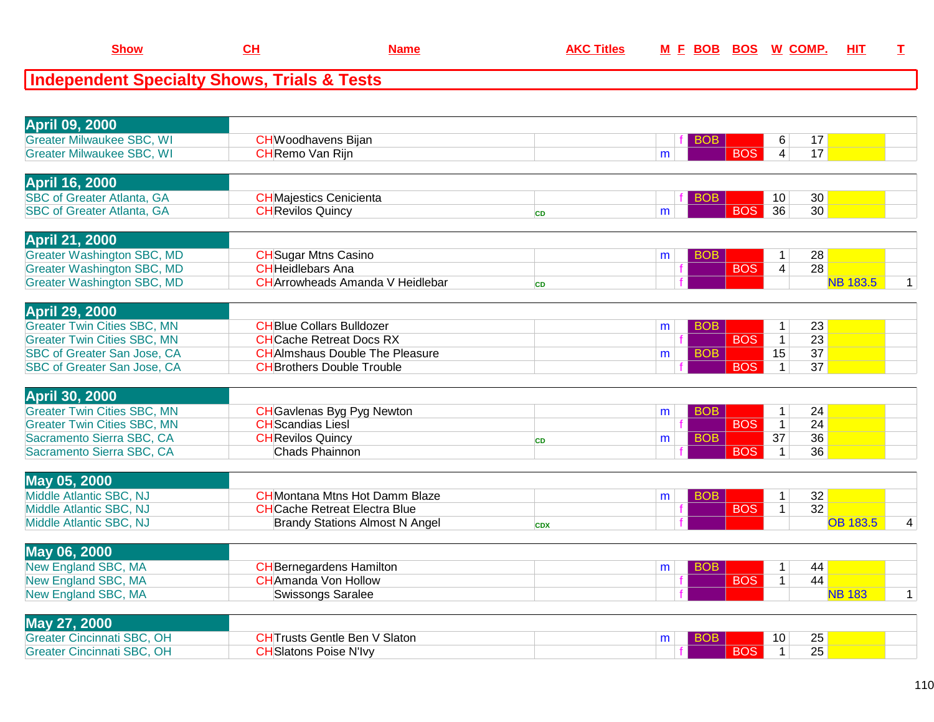## **Independent Specialty Shows, Trials & Tests**

| <b>April 09, 2000</b>              |                                        |            |   |            |                 |                 |                 |   |
|------------------------------------|----------------------------------------|------------|---|------------|-----------------|-----------------|-----------------|---|
| <b>Greater Milwaukee SBC, WI</b>   | <b>CHWoodhavens Bijan</b>              |            |   | <b>BOB</b> | 6               | 17              |                 |   |
| <b>Greater Milwaukee SBC, WI</b>   | <b>CH</b> Remo Van Rijn                |            | m | <b>BOS</b> | $\overline{4}$  | 17              |                 |   |
|                                    |                                        |            |   |            |                 |                 |                 |   |
| <b>April 16, 2000</b>              |                                        |            |   |            |                 |                 |                 |   |
| <b>SBC of Greater Atlanta, GA</b>  | <b>CH</b> Majestics Cenicienta         |            |   | <b>BOB</b> | 10              | 30              |                 |   |
| <b>SBC of Greater Atlanta, GA</b>  | <b>CH</b> Revilos Quincy               | <b>CD</b>  | m | <b>BOS</b> | $\overline{36}$ | 30              |                 |   |
|                                    |                                        |            |   |            |                 |                 |                 |   |
| <b>April 21, 2000</b>              |                                        |            |   |            |                 |                 |                 |   |
| <b>Greater Washington SBC, MD</b>  | <b>CH</b> Sugar Mtns Casino            |            | m | <b>BOB</b> | $\mathbf{1}$    | 28              |                 |   |
| <b>Greater Washington SBC, MD</b>  | <b>CH</b> Heidlebars Ana               |            |   | <b>BOS</b> | $\overline{4}$  | 28              |                 |   |
| <b>Greater Washington SBC, MD</b>  | <b>CHArrowheads Amanda V Heidlebar</b> | <b>CD</b>  |   |            |                 |                 | <b>NB 183.5</b> | 1 |
|                                    |                                        |            |   |            |                 |                 |                 |   |
| <b>April 29, 2000</b>              |                                        |            |   |            |                 |                 |                 |   |
| <b>Greater Twin Cities SBC, MN</b> | <b>CHBlue Collars Bulldozer</b>        |            | m | <b>BOB</b> | $\mathbf{1}$    | 23              |                 |   |
| <b>Greater Twin Cities SBC, MN</b> | <b>CHCache Retreat Docs RX</b>         |            |   | <b>BOS</b> | $\mathbf{1}$    | 23              |                 |   |
| SBC of Greater San Jose, CA        | <b>CHAImshaus Double The Pleasure</b>  |            | m | <b>BOB</b> | 15              | $\overline{37}$ |                 |   |
| SBC of Greater San Jose, CA        | <b>CH</b> Brothers Double Trouble      |            |   | <b>BOS</b> | $\mathbf{1}$    | 37              |                 |   |
|                                    |                                        |            |   |            |                 |                 |                 |   |
| <b>April 30, 2000</b>              |                                        |            |   |            |                 |                 |                 |   |
| <b>Greater Twin Cities SBC, MN</b> | <b>CH</b> Gavlenas Byg Pyg Newton      |            | m | <b>BOB</b> | $\mathbf{1}$    | 24              |                 |   |
| <b>Greater Twin Cities SBC, MN</b> | <b>CH</b> Scandias Liesl               |            |   | <b>BOS</b> | $\overline{1}$  | 24              |                 |   |
| Sacramento Sierra SBC, CA          | <b>CH</b> Revilos Quincy               | <b>CD</b>  | m | <b>BOB</b> | 37              | 36              |                 |   |
| Sacramento Sierra SBC, CA          | <b>Chads Phainnon</b>                  |            |   | <b>BOS</b> | $\mathbf{1}$    | 36              |                 |   |
|                                    |                                        |            |   |            |                 |                 |                 |   |
| May 05, 2000                       |                                        |            |   |            |                 |                 |                 |   |
| Middle Atlantic SBC, NJ            | <b>CHMontana Mtns Hot Damm Blaze</b>   |            | m | <b>BOB</b> | $\mathbf{1}$    | 32              |                 |   |
| Middle Atlantic SBC, NJ            | <b>CH</b> Cache Retreat Electra Blue   |            |   | <b>BOS</b> | $\mathbf{1}$    | 32              |                 |   |
| Middle Atlantic SBC, NJ            | <b>Brandy Stations Almost N Angel</b>  | <b>CDX</b> |   |            |                 |                 | <b>OB 183.5</b> | 4 |
|                                    |                                        |            |   |            |                 |                 |                 |   |
| May 06, 2000                       |                                        |            |   |            |                 |                 |                 |   |
| New England SBC, MA                | <b>CH</b> Bernegardens Hamilton        |            | m | <b>BOB</b> | $\mathbf{1}$    | 44              |                 |   |
| New England SBC, MA                | <b>CH</b> Amanda Von Hollow            |            |   | <b>BOS</b> | $\mathbf 1$     | 44              |                 |   |
| New England SBC, MA                | <b>Swissongs Saralee</b>               |            |   |            |                 |                 | <b>NB 183</b>   | 1 |
|                                    |                                        |            |   |            |                 |                 |                 |   |
| May 27, 2000                       |                                        |            |   |            |                 |                 |                 |   |
| <b>Greater Cincinnati SBC, OH</b>  | <b>CHTrusts Gentle Ben V Slaton</b>    |            | m | <b>BOB</b> | 10              | 25              |                 |   |
| <b>Greater Cincinnati SBC, OH</b>  | <b>CH</b> Slatons Poise N'Ivy          |            |   | <b>BOS</b> | $\mathbf{1}$    | $\overline{25}$ |                 |   |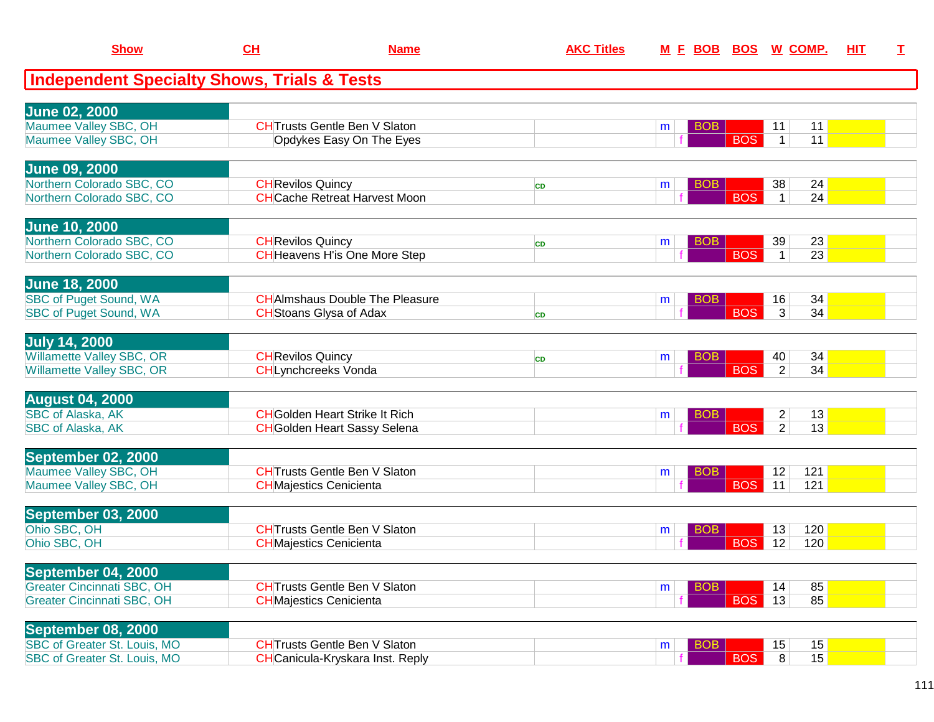| <b>Show</b>                                             | <u>CH</u>                | <b>Name</b>                                                              | <b>AKC Titles</b> | <u>M F BOB BOS</u> |            | <u>W_COMP.</u>                   | HIT | т |
|---------------------------------------------------------|--------------------------|--------------------------------------------------------------------------|-------------------|--------------------|------------|----------------------------------|-----|---|
| <b>Independent Specialty Shows, Trials &amp; Tests</b>  |                          |                                                                          |                   |                    |            |                                  |     |   |
|                                                         |                          |                                                                          |                   |                    |            |                                  |     |   |
| <b>June 02, 2000</b><br>Maumee Valley SBC, OH           |                          | <b>CHTrusts Gentle Ben V Slaton</b>                                      |                   | <b>BOB</b><br>m    |            | 11<br>11                         |     |   |
| Maumee Valley SBC, OH                                   |                          | Opdykes Easy On The Eyes                                                 |                   |                    | <b>BOS</b> | 11<br>1                          |     |   |
| <b>June 09, 2000</b>                                    |                          |                                                                          |                   |                    |            |                                  |     |   |
| Northern Colorado SBC, CO                               | <b>CH</b> Revilos Quincy |                                                                          | <b>CD</b>         | <b>BOB</b><br>m    |            | 38<br>24                         |     |   |
| Northern Colorado SBC, CO                               |                          | <b>CHCache Retreat Harvest Moon</b>                                      |                   |                    | <b>BOS</b> | 24<br>$\mathbf{1}$               |     |   |
| <b>June 10, 2000</b>                                    |                          |                                                                          |                   |                    |            |                                  |     |   |
| Northern Colorado SBC, CO                               | <b>CH</b> Revilos Quincy |                                                                          | <b>CD</b>         | <b>BOB</b><br>m    | <b>BOS</b> | 39<br>23                         |     |   |
| Northern Colorado SBC, CO                               |                          | <b>CH</b> Heavens H'is One More Step                                     |                   |                    |            | 23<br>$\mathbf{1}$               |     |   |
| <b>June 18, 2000</b>                                    |                          |                                                                          |                   |                    |            |                                  |     |   |
| <b>SBC of Puget Sound, WA</b><br>SBC of Puget Sound, WA |                          | <b>CH</b> AImshaus Double The Pleasure<br><b>CH</b> Stoans Glysa of Adax |                   | BOB<br>m           | <b>BOS</b> | 34<br>16<br>3<br>34              |     |   |
|                                                         |                          |                                                                          | <b>CD</b>         |                    |            |                                  |     |   |
| <b>July 14, 2000</b>                                    |                          |                                                                          |                   |                    |            |                                  |     |   |
| Willamette Valley SBC, OR<br>Willamette Valley SBC, OR  | <b>CH</b> Revilos Quincy | <b>CHLynchcreeks Vonda</b>                                               | <b>CD</b>         | <b>BOB</b><br>m    | <b>BOS</b> | 34<br>40<br>$\overline{2}$<br>34 |     |   |
|                                                         |                          |                                                                          |                   |                    |            |                                  |     |   |
| <b>August 04, 2000</b><br><b>SBC of Alaska, AK</b>      |                          | <b>CH</b> Golden Heart Strike It Rich                                    |                   | <b>BOB</b><br>m    |            | $\overline{2}$<br>13             |     |   |
| SBC of Alaska, AK                                       |                          | <b>CH</b> Golden Heart Sassy Selena                                      |                   |                    | <b>BOS</b> | $\overline{2}$<br>13             |     |   |
|                                                         |                          |                                                                          |                   |                    |            |                                  |     |   |
| September 02, 2000<br>Maumee Valley SBC, OH             |                          | <b>CHT</b> rusts Gentle Ben V Slaton                                     |                   | <b>BOB</b><br>m    |            | 12<br>121                        |     |   |
| Maumee Valley SBC, OH                                   |                          | <b>CH</b> Majestics Cenicienta                                           |                   |                    | <b>BOS</b> | 121<br>11                        |     |   |
| <b>September 03, 2000</b>                               |                          |                                                                          |                   |                    |            |                                  |     |   |
| Ohio SBC, OH                                            |                          | <b>CHTrusts Gentle Ben V Slaton</b>                                      |                   | <b>BOB</b><br>m    |            | 120<br>13                        |     |   |
| Ohio SBC, OH                                            |                          | <b>CHMajestics Cenicienta</b>                                            |                   |                    | <b>BOS</b> | 12<br>120                        |     |   |
| September 04, 2000                                      |                          |                                                                          |                   |                    |            |                                  |     |   |
| <b>Greater Cincinnati SBC, OH</b>                       |                          | <b>CHTrusts Gentle Ben V Slaton</b>                                      |                   | <b>BOB</b><br>m    |            | 85<br>14                         |     |   |
| <b>Greater Cincinnati SBC, OH</b>                       |                          | <b>CH</b> Majestics Cenicienta                                           |                   |                    | <b>BOS</b> | 85<br>13                         |     |   |
| September 08, 2000                                      |                          |                                                                          |                   |                    |            |                                  |     |   |
| SBC of Greater St. Louis, MO                            |                          | <b>CHT</b> rusts Gentle Ben V Slaton                                     |                   | <b>BOB</b><br>m    |            | 15<br>15                         |     |   |
| SBC of Greater St. Louis, MO                            |                          | <b>CH</b> Canicula-Kryskara Inst. Reply                                  |                   |                    | <b>BOS</b> | 8<br>15                          |     |   |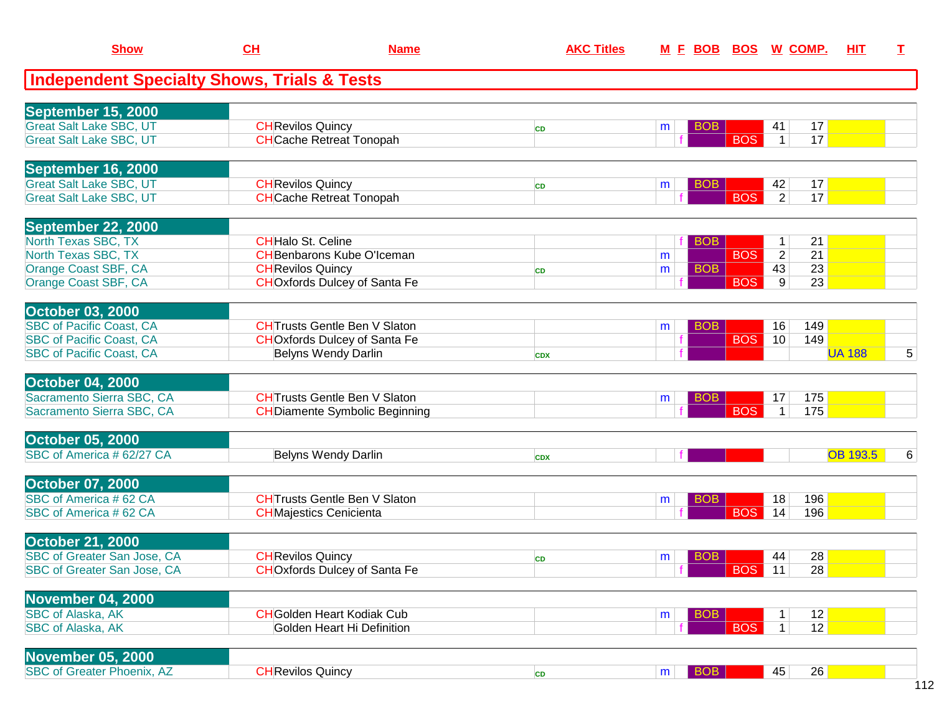| <b>Show</b>                                            | CL                            | <b>Name</b>                           | <b>AKC Titles</b> | M E BOB BOS W COMP.          |            |                |                 | HIT             | $\mathbf I$ |
|--------------------------------------------------------|-------------------------------|---------------------------------------|-------------------|------------------------------|------------|----------------|-----------------|-----------------|-------------|
| <b>Independent Specialty Shows, Trials &amp; Tests</b> |                               |                                       |                   |                              |            |                |                 |                 |             |
| September 15, 2000                                     |                               |                                       |                   |                              |            |                |                 |                 |             |
| <b>Great Salt Lake SBC, UT</b>                         | <b>CH</b> Revilos Quincy      |                                       | <b>CD</b>         | <b>BOB</b><br>m              |            | 41             | 17              |                 |             |
| <b>Great Salt Lake SBC, UT</b>                         |                               | <b>CH</b> Cache Retreat Tonopah       |                   |                              | <b>BOS</b> | $\vert$ 1      | 17              |                 |             |
| September 16, 2000                                     |                               |                                       |                   |                              |            |                |                 |                 |             |
| <b>Great Salt Lake SBC, UT</b>                         | <b>CH</b> Revilos Quincy      |                                       | <b>CD</b>         | <b>BOB</b><br>m              |            | 42             | 17              |                 |             |
| <b>Great Salt Lake SBC, UT</b>                         |                               | <b>CH</b> Cache Retreat Tonopah       |                   |                              | <b>BOS</b> | $\overline{2}$ | 17              |                 |             |
| <b>September 22, 2000</b>                              |                               |                                       |                   |                              |            |                |                 |                 |             |
| North Texas SBC, TX                                    | <b>CHHalo St. Celine</b>      |                                       |                   | <b>BOB</b>                   |            | 1              | 21              |                 |             |
| North Texas SBC, TX                                    |                               | <b>CH</b> Benbarons Kube O'Iceman     |                   | m                            | <b>BOS</b> | $\overline{2}$ | 21              |                 |             |
| Orange Coast SBF, CA                                   | <b>CH</b> Revilos Quincy      |                                       | <b>CD</b>         | <b>BOB</b><br>m              |            | 43             | 23              |                 |             |
| Orange Coast SBF, CA                                   |                               | <b>CHO</b> xfords Dulcey of Santa Fe  |                   |                              | <b>BOS</b> | 9              | $\overline{23}$ |                 |             |
| <b>October 03, 2000</b>                                |                               |                                       |                   |                              |            |                |                 |                 |             |
| <b>SBC of Pacific Coast, CA</b>                        |                               | <b>CHTrusts Gentle Ben V Slaton</b>   |                   | <b>BOB</b><br>m              |            | 16             | 149             |                 |             |
| <b>SBC of Pacific Coast, CA</b>                        |                               | <b>CHO</b> xfords Dulcey of Santa Fe  |                   |                              | <b>BOS</b> | 10             | 149             |                 |             |
| <b>SBC of Pacific Coast, CA</b>                        |                               | <b>Belyns Wendy Darlin</b>            | <b>CDX</b>        |                              |            |                |                 | <b>UA 188</b>   | 5           |
| <b>October 04, 2000</b>                                |                               |                                       |                   |                              |            |                |                 |                 |             |
| Sacramento Sierra SBC, CA                              |                               | <b>CHTrusts Gentle Ben V Slaton</b>   |                   | <b>BOB</b><br>m              |            | 17             | 175             |                 |             |
| Sacramento Sierra SBC, CA                              |                               | <b>CH</b> Diamente Symbolic Beginning |                   |                              | <b>BOS</b> | $\mathbf 1$    | 175             |                 |             |
| <b>October 05, 2000</b>                                |                               |                                       |                   |                              |            |                |                 |                 |             |
| SBC of America # 62/27 CA                              |                               | Belyns Wendy Darlin                   | <b>CDX</b>        |                              |            |                |                 | <b>OB 193.5</b> | 6           |
| <b>October 07, 2000</b>                                |                               |                                       |                   |                              |            |                |                 |                 |             |
| SBC of America #62 CA                                  |                               | <b>CHTrusts Gentle Ben V Slaton</b>   |                   | <b>BOB</b><br>m              |            | 18             | 196             |                 |             |
| SBC of America #62 CA                                  | <b>CHMajestics Cenicienta</b> |                                       |                   |                              | <b>BOS</b> | 14             | 196             |                 |             |
| <b>October 21, 2000</b>                                |                               |                                       |                   |                              |            |                |                 |                 |             |
| <b>SBC of Greater San Jose, CA</b>                     | <b>CH</b> Revilos Quincy      |                                       | <b>CD</b>         | <b>BOB</b><br>m              |            | 44             | 28              |                 |             |
| SBC of Greater San Jose, CA                            |                               | <b>CHOxfords Dulcey of Santa Fe</b>   |                   |                              | <b>BOS</b> | 11             | 28              |                 |             |
| November 04, 2000                                      |                               |                                       |                   |                              |            |                |                 |                 |             |
| <b>SBC of Alaska, AK</b>                               |                               | <b>CH</b> Golden Heart Kodiak Cub     |                   | <b>BOB</b><br>m              |            | 1              | 12              |                 |             |
| <b>SBC of Alaska, AK</b>                               |                               | <b>Golden Heart Hi Definition</b>     |                   |                              | <b>BOS</b> | 1              | 12              |                 |             |
| November 05, 2000                                      |                               |                                       |                   |                              |            |                |                 |                 |             |
| <b>SBC of Greater Phoenix, AZ</b>                      | <b>CH</b> Revilos Quincy      |                                       | CD                | <b>BOB</b><br>m <sub>1</sub> |            | 45             | 26              |                 |             |
|                                                        |                               |                                       |                   |                              |            |                |                 |                 |             |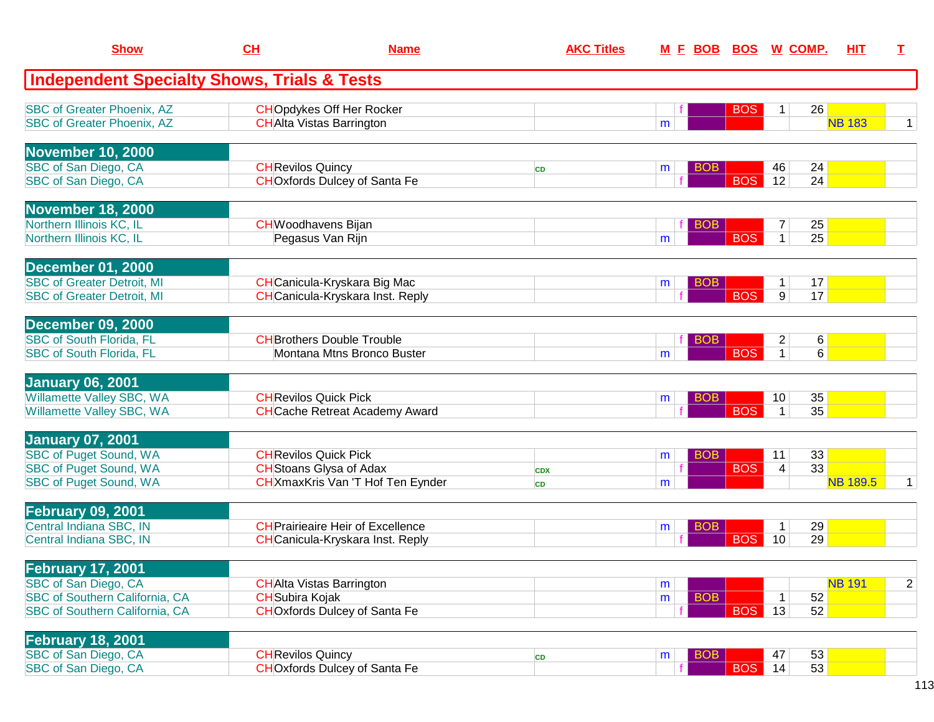| <b>Show</b>                                                            | CH                           |                                                                     | <b>AKC Titles</b> |   |            | <u>M F BOB BOS W COMP.</u> |                  |    | нıт             | T.             |
|------------------------------------------------------------------------|------------------------------|---------------------------------------------------------------------|-------------------|---|------------|----------------------------|------------------|----|-----------------|----------------|
| <b>Independent Specialty Shows, Trials &amp; Tests</b>                 |                              |                                                                     |                   |   |            |                            |                  |    |                 |                |
| <b>SBC of Greater Phoenix, AZ</b><br><b>SBC of Greater Phoenix, AZ</b> |                              | <b>CHOpdykes Off Her Rocker</b><br><b>CH</b> Alta Vistas Barrington |                   | m |            | <b>BOS</b>                 | 1                | 26 | <b>NB 183</b>   | 1 <sup>1</sup> |
|                                                                        |                              |                                                                     |                   |   |            |                            |                  |    |                 |                |
| <b>November 10, 2000</b>                                               |                              |                                                                     |                   |   |            |                            |                  |    |                 |                |
| SBC of San Diego, CA                                                   | <b>CH</b> Revilos Quincy     |                                                                     | <b>CD</b>         | m | <b>BOB</b> |                            | 46               | 24 |                 |                |
| SBC of San Diego, CA                                                   |                              | <b>CHOxfords Dulcey of Santa Fe</b>                                 |                   |   |            | <b>BOS</b>                 | 12               | 24 |                 |                |
| <b>November 18, 2000</b>                                               |                              |                                                                     |                   |   |            |                            |                  |    |                 |                |
| Northern Illinois KC, IL                                               |                              | <b>CH</b> Woodhavens Bijan                                          |                   |   | <b>BOB</b> |                            | $\boldsymbol{7}$ | 25 |                 |                |
| Northern Illinois KC, IL                                               |                              | Pegasus Van Rijn                                                    |                   | m |            | <b>BOS</b>                 | $\mathbf{1}$     | 25 |                 |                |
| <b>December 01, 2000</b>                                               |                              |                                                                     |                   |   |            |                            |                  |    |                 |                |
| <b>SBC of Greater Detroit, MI</b>                                      |                              | <b>CH</b> Canicula-Kryskara Big Mac                                 |                   | m | <b>BOB</b> |                            | $\mathbf{1}$     | 17 |                 |                |
| <b>SBC of Greater Detroit, MI</b>                                      |                              | <b>CH</b> Canicula-Kryskara Inst. Reply                             |                   |   |            | <b>BOS</b>                 | 9                | 17 |                 |                |
| <b>December 09, 2000</b>                                               |                              |                                                                     |                   |   |            |                            |                  |    |                 |                |
| <b>SBC of South Florida, FL</b>                                        |                              | <b>CH</b> Brothers Double Trouble                                   |                   |   | <b>BOB</b> |                            | $\overline{c}$   | 6  |                 |                |
| <b>SBC of South Florida, FL</b>                                        |                              | Montana Mtns Bronco Buster                                          |                   | m |            | <b>BOS</b>                 | $\mathbf{1}$     | 6  |                 |                |
| <b>January 06, 2001</b>                                                |                              |                                                                     |                   |   |            |                            |                  |    |                 |                |
| Willamette Valley SBC, WA                                              | <b>CH</b> Revilos Quick Pick |                                                                     |                   | m | <b>BOB</b> |                            | 10               | 35 |                 |                |
| Willamette Valley SBC, WA                                              |                              | <b>CH</b> Cache Retreat Academy Award                               |                   |   |            | <b>BOS</b>                 | $\mathbf{1}$     | 35 |                 |                |
| <b>January 07, 2001</b>                                                |                              |                                                                     |                   |   |            |                            |                  |    |                 |                |
| <b>SBC of Puget Sound, WA</b>                                          | <b>CH</b> Revilos Quick Pick |                                                                     |                   | m | <b>BOB</b> |                            | 11               | 33 |                 |                |
| <b>SBC of Puget Sound, WA</b>                                          |                              | <b>CH</b> Stoans Glysa of Adax                                      | <b>CDX</b>        |   |            | <b>BOS</b>                 | 4                | 33 |                 |                |
| <b>SBC of Puget Sound, WA</b>                                          |                              | CHXmaxKris Van 'T Hof Ten Eynder                                    | <b>CD</b>         | m |            |                            |                  |    | <b>NB 189.5</b> | 1 <sup>1</sup> |
| <b>February 09, 2001</b>                                               |                              |                                                                     |                   |   |            |                            |                  |    |                 |                |
| Central Indiana SBC, IN                                                |                              | <b>CH</b> Prairieaire Heir of Excellence                            |                   | m | <b>BOB</b> |                            | $\mathbf 1$      | 29 |                 |                |
| Central Indiana SBC, IN                                                |                              | <b>CH</b> Canicula-Kryskara Inst. Reply                             |                   |   |            | <b>BOS</b>                 | 10               | 29 |                 |                |
| <b>February 17, 2001</b>                                               |                              |                                                                     |                   |   |            |                            |                  |    |                 |                |
| SBC of San Diego, CA                                                   |                              | <b>CHAIta Vistas Barrington</b>                                     |                   | m |            |                            |                  |    | <b>NB 191</b>   | 2 <sup>1</sup> |
| <b>SBC of Southern California, CA</b>                                  | <b>CH</b> Subira Kojak       |                                                                     |                   | m | <b>BOB</b> |                            | $\mathbf 1$      | 52 |                 |                |
| <b>SBC of Southern California, CA</b>                                  |                              | <b>CHOxfords Dulcey of Santa Fe</b>                                 |                   |   |            | <b>BOS</b>                 | 13               | 52 |                 |                |
| <b>February 18, 2001</b>                                               |                              |                                                                     |                   |   |            |                            |                  |    |                 |                |
| SBC of San Diego, CA                                                   | <b>CH</b> Revilos Quincy     |                                                                     | CD                | m | BOB        |                            | 47               | 53 |                 |                |
| SBC of San Diego, CA                                                   |                              | <b>CHOxfords Dulcey of Santa Fe</b>                                 |                   |   |            | BOS                        | 14               | 53 |                 |                |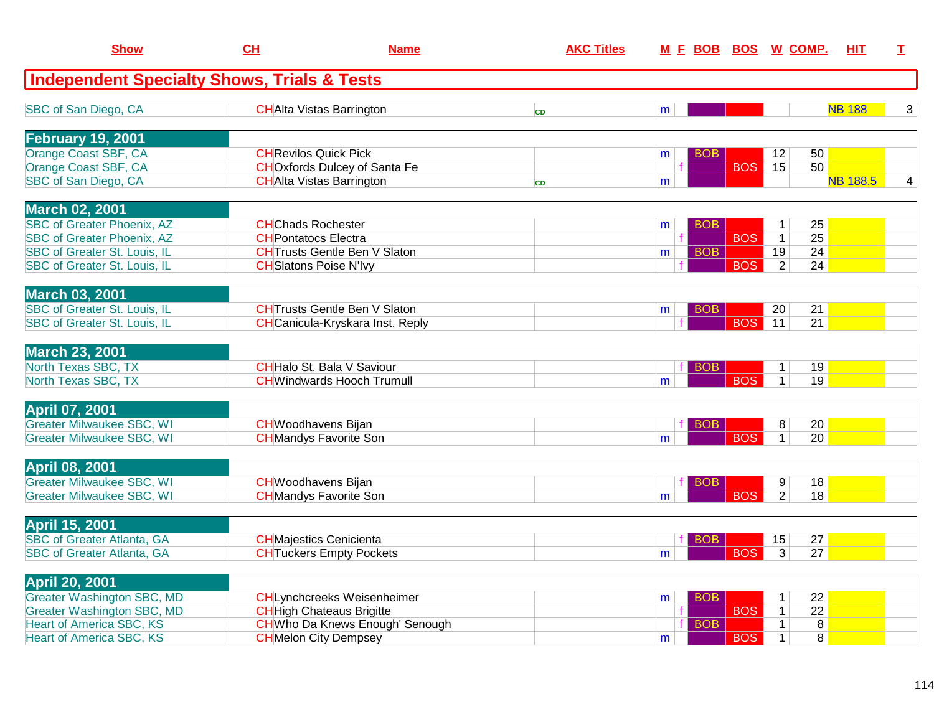| <b>Show</b>                                            | CH                         | <b>Name</b>                             | <b>AKC Titles</b> | M E BOB BOS W COMP. |            |            |                | <b>HIT</b>      | I              |
|--------------------------------------------------------|----------------------------|-----------------------------------------|-------------------|---------------------|------------|------------|----------------|-----------------|----------------|
| <b>Independent Specialty Shows, Trials &amp; Tests</b> |                            |                                         |                   |                     |            |            |                |                 |                |
| SBC of San Diego, CA                                   |                            | <b>CHAIta Vistas Barrington</b>         | <b>CD</b>         | m                   |            |            |                | <b>NB 188</b>   | 3              |
| February 19, 2001                                      |                            |                                         |                   |                     |            |            |                |                 |                |
| Orange Coast SBF, CA                                   |                            | <b>CH</b> Revilos Quick Pick            |                   | m                   | <b>BOB</b> |            | 12             | 50              |                |
| Orange Coast SBF, CA                                   |                            | <b>CHO</b> xfords Dulcey of Santa Fe    |                   |                     |            | <b>BOS</b> | 15             | 50              |                |
| SBC of San Diego, CA                                   |                            | <b>CHAlta Vistas Barrington</b>         | <b>CD</b>         | m                   |            |            |                | <b>NB 188.5</b> | $\overline{4}$ |
| <b>March 02, 2001</b>                                  |                            |                                         |                   |                     |            |            |                |                 |                |
| <b>SBC of Greater Phoenix, AZ</b>                      | <b>CHChads Rochester</b>   |                                         |                   | m                   | <b>BOB</b> |            | $\mathbf{1}$   | 25              |                |
| <b>SBC of Greater Phoenix, AZ</b>                      | <b>CHPontatocs Electra</b> |                                         |                   |                     |            | <b>BOS</b> | $\mathbf{1}$   | $\overline{25}$ |                |
| <b>SBC of Greater St. Louis, IL</b>                    |                            | <b>CH</b> Trusts Gentle Ben V Slaton    |                   | m                   | <b>BOB</b> |            | 19             | 24              |                |
| SBC of Greater St. Louis, IL                           |                            | <b>CH</b> Slatons Poise N'Ivy           |                   |                     |            | <b>BOS</b> | $\overline{2}$ | 24              |                |
| <b>March 03, 2001</b>                                  |                            |                                         |                   |                     |            |            |                |                 |                |
| <b>SBC of Greater St. Louis, IL</b>                    |                            | <b>CHTrusts Gentle Ben V Slaton</b>     |                   | m                   | <b>BOB</b> |            | 20             | 21              |                |
| <b>SBC of Greater St. Louis, IL</b>                    |                            | <b>CH</b> Canicula-Kryskara Inst. Reply |                   |                     |            | <b>BOS</b> | 11             | 21              |                |
|                                                        |                            |                                         |                   |                     |            |            |                |                 |                |
| <b>March 23, 2001</b>                                  |                            |                                         |                   |                     |            |            |                |                 |                |
| North Texas SBC, TX                                    |                            | <b>CH</b> Halo St. Bala V Saviour       |                   |                     | <b>BOB</b> |            | $\mathbf 1$    | 19              |                |
| North Texas SBC, TX                                    |                            | <b>CHWindwards Hooch Trumull</b>        |                   | m                   |            | <b>BOS</b> | $\mathbf{1}$   | 19              |                |
| <b>April 07, 2001</b>                                  |                            |                                         |                   |                     |            |            |                |                 |                |
| <b>Greater Milwaukee SBC, WI</b>                       |                            | <b>CH</b> Woodhavens Bijan              |                   |                     | BOB        |            | 8              | 20              |                |
| <b>Greater Milwaukee SBC, WI</b>                       |                            | <b>CH</b> Mandys Favorite Son           |                   | m                   |            | <b>BOS</b> | $\mathbf{1}$   | 20              |                |
|                                                        |                            |                                         |                   |                     |            |            |                |                 |                |
| <b>April 08, 2001</b>                                  |                            |                                         |                   |                     |            |            |                |                 |                |
| <b>Greater Milwaukee SBC, WI</b>                       |                            | <b>CHWoodhavens Bijan</b>               |                   |                     | BOB        |            | 9 <sup>°</sup> | 18              |                |
| <b>Greater Milwaukee SBC, WI</b>                       |                            | <b>CH</b> Mandys Favorite Son           |                   | m                   |            | <b>BOS</b> | $\overline{2}$ | 18              |                |
| <b>April 15, 2001</b>                                  |                            |                                         |                   |                     |            |            |                |                 |                |
| <b>SBC of Greater Atlanta, GA</b>                      |                            | <b>CH</b> Majestics Cenicienta          |                   |                     | BOB        |            | 15             | 27              |                |
| <b>SBC of Greater Atlanta, GA</b>                      |                            | <b>CHTuckers Empty Pockets</b>          |                   | m                   |            | <b>BOS</b> | $\overline{3}$ | 27              |                |
|                                                        |                            |                                         |                   |                     |            |            |                |                 |                |
| <b>April 20, 2001</b>                                  |                            |                                         |                   |                     |            |            |                |                 |                |
| <b>Greater Washington SBC, MD</b>                      |                            | <b>CHLynchcreeks Weisenheimer</b>       |                   | m                   | <b>BOB</b> |            | $\mathbf{1}$   | 22              |                |
| <b>Greater Washington SBC, MD</b>                      |                            | <b>CH</b> High Chateaus Brigitte        |                   |                     |            | <b>BOS</b> | $\mathbf{1}$   | $\overline{22}$ |                |
| <b>Heart of America SBC, KS</b>                        |                            | <b>CH</b> Who Da Knews Enough' Senough  |                   |                     | <b>BOB</b> |            | $\mathbf{1}$   | $\overline{8}$  |                |
| <b>Heart of America SBC, KS</b>                        |                            | <b>CH</b> Melon City Dempsey            |                   | m                   |            | <b>BOS</b> | $\mathbf{1}$   | 8               |                |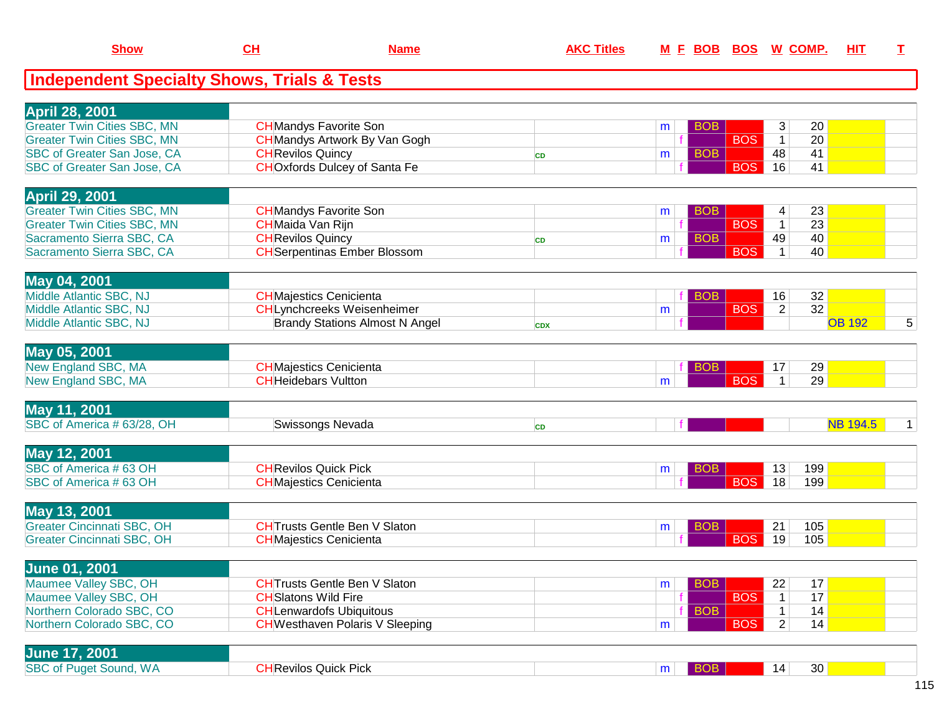| <b>Show</b>                                            | <u>CH</u>                    | <b>Name</b>                            | <b>AKC Titles</b> |   | <u>M F BOB BOS</u> |            |                | <u>W_COMP.</u> | <u>НІТ</u>      | т |
|--------------------------------------------------------|------------------------------|----------------------------------------|-------------------|---|--------------------|------------|----------------|----------------|-----------------|---|
| <b>Independent Specialty Shows, Trials &amp; Tests</b> |                              |                                        |                   |   |                    |            |                |                |                 |   |
| <b>April 28, 2001</b>                                  |                              |                                        |                   |   |                    |            |                |                |                 |   |
| <b>Greater Twin Cities SBC, MN</b>                     |                              | <b>CH</b> Mandys Favorite Son          |                   | m | <b>BOB</b>         |            | 3              | 20             |                 |   |
| <b>Greater Twin Cities SBC, MN</b>                     |                              | <b>CH</b> Mandys Artwork By Van Gogh   |                   |   |                    | <b>BOS</b> | $\mathbf{1}$   | 20             |                 |   |
| SBC of Greater San Jose, CA                            | <b>CH</b> Revilos Quincy     |                                        | CD                | m | <b>BOB</b>         |            | 48             | 41             |                 |   |
| SBC of Greater San Jose, CA                            |                              | <b>CHOxfords Dulcey of Santa Fe</b>    |                   |   |                    | <b>BOS</b> | 16             | 41             |                 |   |
| <b>April 29, 2001</b>                                  |                              |                                        |                   |   |                    |            |                |                |                 |   |
| <b>Greater Twin Cities SBC, MN</b>                     |                              | <b>CH</b> Mandys Favorite Son          |                   | m | <b>BOB</b>         |            | 4              | 23             |                 |   |
| <b>Greater Twin Cities SBC, MN</b>                     | <b>CH</b> Maida Van Rijn     |                                        |                   |   |                    | <b>BOS</b> | $\mathbf{1}$   | 23             |                 |   |
| Sacramento Sierra SBC, CA                              | <b>CH</b> Revilos Quincy     |                                        | CD                | m | <b>BOB</b>         |            | 49             | 40             |                 |   |
| Sacramento Sierra SBC, CA                              |                              | <b>CH</b> Serpentinas Ember Blossom    |                   |   |                    | <b>BOS</b> | $\mathbf{1}$   | 40             |                 |   |
| May 04, 2001                                           |                              |                                        |                   |   |                    |            |                |                |                 |   |
| Middle Atlantic SBC, NJ                                |                              | <b>CHMajestics Cenicienta</b>          |                   |   | <b>BOB</b>         |            | 16             | 32             |                 |   |
| Middle Atlantic SBC, NJ                                |                              | <b>CHLynchcreeks Weisenheimer</b>      |                   | m |                    | <b>BOS</b> | $\overline{2}$ | 32             |                 |   |
| Middle Atlantic SBC, NJ                                |                              | <b>Brandy Stations Almost N Angel</b>  | <b>CDX</b>        |   |                    |            |                |                | <b>OB 192</b>   | 5 |
| May 05, 2001                                           |                              |                                        |                   |   |                    |            |                |                |                 |   |
| New England SBC, MA                                    |                              | <b>CH</b> Majestics Cenicienta         |                   |   | <b>BOB</b>         |            | 17             | 29             |                 |   |
| New England SBC, MA                                    | <b>CH</b> Heidebars Vultton  |                                        |                   | m |                    | <b>BOS</b> | $\mathbf{1}$   | 29             |                 |   |
| May 11, 2001                                           |                              |                                        |                   |   |                    |            |                |                |                 |   |
| SBC of America # 63/28, OH                             |                              | Swissongs Nevada                       | <b>CD</b>         |   |                    |            |                |                | <b>NB 194.5</b> | 1 |
|                                                        |                              |                                        |                   |   |                    |            |                |                |                 |   |
| <b>May 12, 2001</b>                                    |                              |                                        |                   |   |                    |            |                |                |                 |   |
| SBC of America #63 OH                                  | <b>CH</b> Revilos Quick Pick |                                        |                   | m | <b>BOB</b>         |            | 13             | 199            |                 |   |
| SBC of America #63 OH                                  |                              | <b>CHMajestics Cenicienta</b>          |                   |   |                    | <b>BOS</b> | 18             | 199            |                 |   |
| May 13, 2001                                           |                              |                                        |                   |   |                    |            |                |                |                 |   |
| <b>Greater Cincinnati SBC, OH</b>                      |                              | <b>CHTrusts Gentle Ben V Slaton</b>    |                   | m | <b>BOB</b>         |            | 21             | 105            |                 |   |
| <b>Greater Cincinnati SBC, OH</b>                      |                              | <b>CHMajestics Cenicienta</b>          |                   |   |                    | <b>BOS</b> | 19             | 105            |                 |   |
| <b>June 01, 2001</b>                                   |                              |                                        |                   |   |                    |            |                |                |                 |   |
| Maumee Valley SBC, OH                                  |                              | <b>CHTrusts Gentle Ben V Slaton</b>    |                   | m | <b>BOB</b>         |            | 22             | 17             |                 |   |
| Maumee Valley SBC, OH                                  | <b>CH</b> Slatons Wild Fire  |                                        |                   |   |                    | <b>BOS</b> | $\mathbf{1}$   | 17             |                 |   |
| Northern Colorado SBC, CO                              |                              | <b>CHLenwardofs Ubiquitous</b>         |                   |   | <b>BOB</b>         |            | $\mathbf{1}$   | 14             |                 |   |
| Northern Colorado SBC, CO                              |                              | <b>CH</b> Westhaven Polaris V Sleeping |                   | m |                    | <b>BOS</b> | $\overline{2}$ | 14             |                 |   |
|                                                        |                              |                                        |                   |   |                    |            |                |                |                 |   |
| <b>June 17, 2001</b><br><b>SBC of Puget Sound, WA</b>  |                              |                                        |                   |   |                    |            |                |                |                 |   |
|                                                        | <b>CH</b> Revilos Quick Pick |                                        |                   | m | BOB                |            | 14             | 30             |                 |   |

**Show**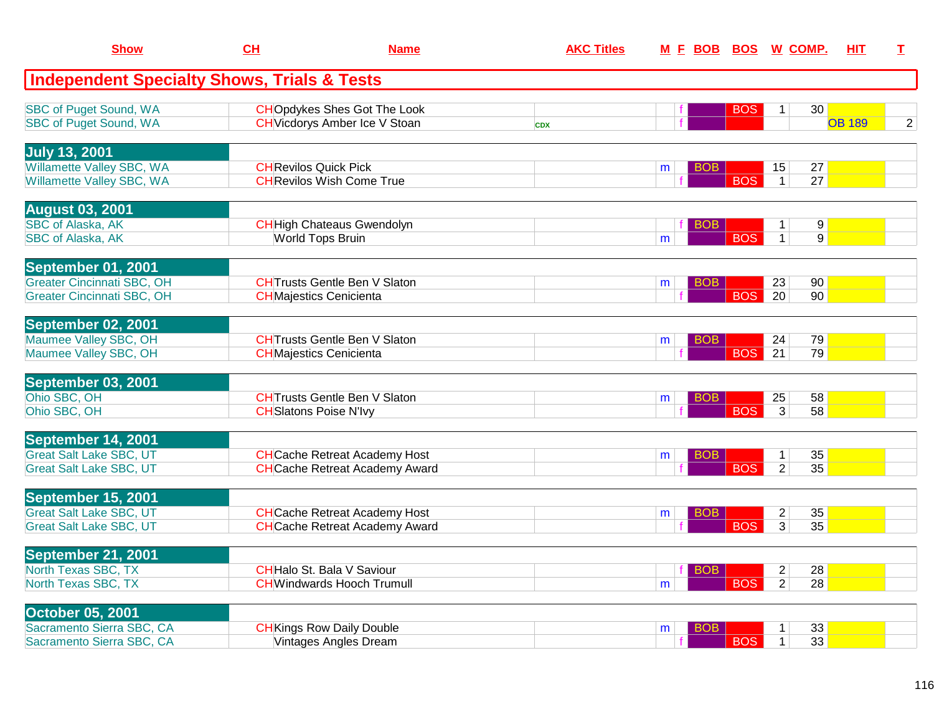| <b>Show</b>                                                      | CH                             | <b>Name</b>                           | <b>AKC Titles</b> | <u>M E BOB</u>  |            | <b>BOS W COMP.</b>               |                 | <b>HIT</b>    | I.             |
|------------------------------------------------------------------|--------------------------------|---------------------------------------|-------------------|-----------------|------------|----------------------------------|-----------------|---------------|----------------|
| <b>Independent Specialty Shows, Trials &amp; Tests</b>           |                                |                                       |                   |                 |            |                                  |                 |               |                |
| <b>SBC of Puget Sound, WA</b>                                    |                                | <b>CHOpdykes Shes Got The Look</b>    |                   |                 | <b>BOS</b> | 1 <sup>1</sup>                   | 30 <sup>°</sup> |               |                |
| <b>SBC of Puget Sound, WA</b>                                    |                                | <b>CH</b> Vicdorys Amber Ice V Stoan  | <b>CDX</b>        |                 |            |                                  |                 | <b>OB 189</b> | $\overline{2}$ |
| <b>July 13, 2001</b>                                             |                                |                                       |                   |                 |            |                                  |                 |               |                |
| Willamette Valley SBC, WA                                        | <b>CH</b> Revilos Quick Pick   |                                       |                   | BOB<br>m        |            | 15                               | 27              |               |                |
| Willamette Valley SBC, WA                                        |                                | <b>CH</b> Revilos Wish Come True      |                   |                 | <b>BOS</b> | 1                                | 27              |               |                |
| <b>August 03, 2001</b>                                           |                                |                                       |                   |                 |            |                                  |                 |               |                |
| <b>SBC of Alaska, AK</b>                                         |                                | <b>CH</b> High Chateaus Gwendolyn     |                   | <b>BOB</b>      |            | $\mathbf{1}$                     | 9 <sup>°</sup>  |               |                |
| <b>SBC of Alaska, AK</b>                                         | <b>World Tops Bruin</b>        |                                       |                   | m               | <b>BOS</b> | $\mathbf{1}$                     | 9               |               |                |
| September 01, 2001                                               |                                |                                       |                   |                 |            |                                  |                 |               |                |
| <b>Greater Cincinnati SBC, OH</b>                                |                                | <b>CHTrusts Gentle Ben V Slaton</b>   |                   | BOB<br>m        |            | 23                               | 90              |               |                |
| Greater Cincinnati SBC, OH                                       | <b>CH</b> Majestics Cenicienta |                                       |                   |                 | <b>BOS</b> | 20                               | 90              |               |                |
| September 02, 2001                                               |                                |                                       |                   |                 |            |                                  |                 |               |                |
| Maumee Valley SBC, OH                                            |                                | <b>CHTrusts Gentle Ben V Slaton</b>   |                   | <b>BOB</b><br>m |            | 24                               | 79              |               |                |
| Maumee Valley SBC, OH                                            | <b>CH</b> Majestics Cenicienta |                                       |                   |                 | <b>BOS</b> | 21                               | 79              |               |                |
| September 03, 2001                                               |                                |                                       |                   |                 |            |                                  |                 |               |                |
| Ohio SBC, OH                                                     |                                | <b>CHTrusts Gentle Ben V Slaton</b>   |                   | BOB<br>m        |            | 25                               | 58              |               |                |
| Ohio SBC, OH                                                     | <b>CH</b> Slatons Poise N'Ivy  |                                       |                   |                 | <b>BOS</b> | $\overline{3}$                   | 58              |               |                |
| September 14, 2001                                               |                                |                                       |                   |                 |            |                                  |                 |               |                |
| <b>Great Salt Lake SBC, UT</b><br><b>Great Salt Lake SBC, UT</b> |                                | <b>CH</b> Cache Retreat Academy Host  |                   | <b>BOB</b><br>m | <b>BOS</b> | $\mathbf{1}$<br>$\overline{2}$   | 35<br>35        |               |                |
|                                                                  |                                | <b>CH</b> Cache Retreat Academy Award |                   |                 |            |                                  |                 |               |                |
| September 15, 2001                                               |                                |                                       |                   |                 |            |                                  |                 |               |                |
| <b>Great Salt Lake SBC, UT</b>                                   |                                | <b>CH</b> Cache Retreat Academy Host  |                   | BOB<br>m        | <b>BOS</b> | $\overline{2}$<br>$\overline{3}$ | 35              |               |                |
| <b>Great Salt Lake SBC, UT</b>                                   |                                | <b>CH</b> Cache Retreat Academy Award |                   |                 |            |                                  | 35              |               |                |
| September 21, 2001                                               |                                |                                       |                   |                 |            |                                  |                 |               |                |
| North Texas SBC, TX                                              |                                | <b>CHHalo St. Bala V Saviour</b>      |                   | <b>BOB</b>      |            | $\overline{c}$                   | 28              |               |                |
| North Texas SBC, TX                                              |                                | <b>CH</b> Windwards Hooch Trumull     |                   | m               | <b>BOS</b> | $\overline{2}$                   | 28              |               |                |
| <b>October 05, 2001</b>                                          |                                |                                       |                   |                 |            |                                  |                 |               |                |
| Sacramento Sierra SBC, CA                                        |                                | <b>CH</b> Kings Row Daily Double      |                   | BOB<br>m        |            | $\mathbf 1$                      | 33              |               |                |
| Sacramento Sierra SBC, CA                                        |                                | <b>Vintages Angles Dream</b>          |                   |                 | <b>BOS</b> | $\mathbf{1}$                     | 33              |               |                |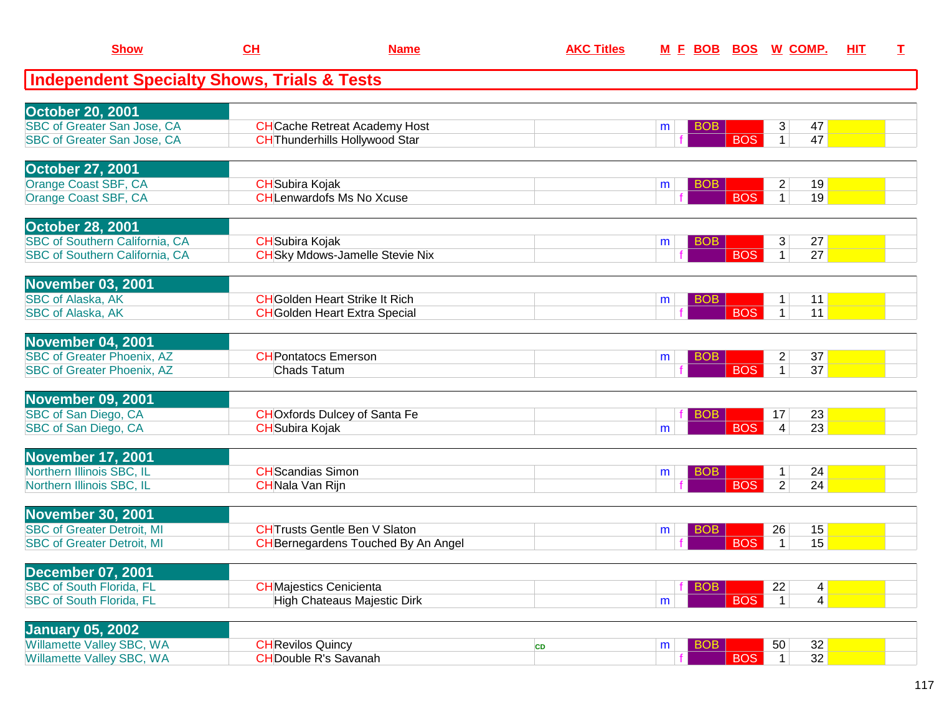| <b>Show</b>                                                                                        | CL                                                | <b>Name</b>                                                                        | <b>AKC Titles</b> |                      |            | M E BOB BOS W COMP.                                     | HIT | $\mathbf I$ |
|----------------------------------------------------------------------------------------------------|---------------------------------------------------|------------------------------------------------------------------------------------|-------------------|----------------------|------------|---------------------------------------------------------|-----|-------------|
| <b>Independent Specialty Shows, Trials &amp; Tests</b>                                             |                                                   |                                                                                    |                   |                      |            |                                                         |     |             |
| <b>October 20, 2001</b><br><b>SBC of Greater San Jose, CA</b><br>SBC of Greater San Jose, CA       |                                                   | <b>CH</b> Cache Retreat Academy Host<br><b>CH</b> Thunderhills Hollywood Star      |                   | BOB<br>m             | <b>BOS</b> | 3<br>47<br>47<br>$\mathbf{1}$                           |     |             |
| <b>October 27, 2001</b><br>Orange Coast SBF, CA<br>Orange Coast SBF, CA                            | <b>CH</b> Subira Kojak                            | <b>CHLenwardofs Ms No Xcuse</b>                                                    |                   | <b>BOB</b><br>m      | <b>BOS</b> | 19<br>2<br>$\mathbf{1}$<br>19                           |     |             |
| <b>October 28, 2001</b><br><b>SBC of Southern California, CA</b><br>SBC of Southern California, CA | <b>CH</b> Subira Kojak                            | <b>CH</b> Sky Mdows-Jamelle Stevie Nix                                             |                   | <b>BOB</b><br>m      | <b>BOS</b> | 27<br>3<br>27<br>1 <sup>1</sup>                         |     |             |
| November 03, 2001<br><b>SBC of Alaska, AK</b><br>SBC of Alaska, AK                                 |                                                   | <b>CH</b> Golden Heart Strike It Rich<br><b>CH</b> Golden Heart Extra Special      |                   | <b>BOB</b><br>m      | <b>BOS</b> | 11<br>1<br>11<br>1 <sup>1</sup>                         |     |             |
| November 04, 2001<br><b>SBC of Greater Phoenix, AZ</b><br><b>SBC of Greater Phoenix, AZ</b>        | <b>CH</b> Pontatocs Emerson<br><b>Chads Tatum</b> |                                                                                    |                   | <b>BOB</b><br>m      | <b>BOS</b> | 37<br>$\overline{c}$<br>$\overline{37}$<br>$\mathbf{1}$ |     |             |
| <b>November 09, 2001</b><br>SBC of San Diego, CA<br>SBC of San Diego, CA                           | <b>CH</b> Subira Kojak                            | <b>CHO</b> xfords Dulcey of Santa Fe                                               |                   | <b>BOB</b><br>m      | <b>BOS</b> | 23<br>17<br>23<br>$\overline{\mathbf{4}}$               |     |             |
| November 17, 2001<br>Northern Illinois SBC, IL<br>Northern Illinois SBC, IL                        | <b>CH</b> Scandias Simon<br>CHNala Van Rijn       |                                                                                    |                   | BO <sub>B</sub><br>m | <b>BOS</b> | 24<br>1<br>$\overline{2}$<br>24                         |     |             |
| November 30, 2001<br><b>SBC of Greater Detroit, MI</b><br><b>SBC of Greater Detroit, MI</b>        |                                                   | <b>CH</b> Trusts Gentle Ben V Slaton<br><b>CH</b> Bernegardens Touched By An Angel |                   | BOB<br>m             | <b>BOS</b> | 26<br>15<br>15<br>$\mathbf{1}$                          |     |             |
| <b>December 07, 2001</b><br><b>SBC of South Florida, FL</b><br><b>SBC of South Florida, FL</b>     |                                                   | <b>CH</b> Majestics Cenicienta<br>High Chateaus Majestic Dirk                      |                   | <b>BOB</b><br>m      | <b>BOS</b> | 22<br>4 <br>4<br>$\vert$ 1                              |     |             |
| <b>January 05, 2002</b><br>Willamette Valley SBC, WA<br>Willamette Valley SBC, WA                  | <b>CH</b> Revilos Quincy                          | <b>CHDouble R's Savanah</b>                                                        | CD                | <b>BOB</b><br>m      | <b>BOS</b> | 32 <br>50<br>32<br>1 <sup>1</sup>                       |     |             |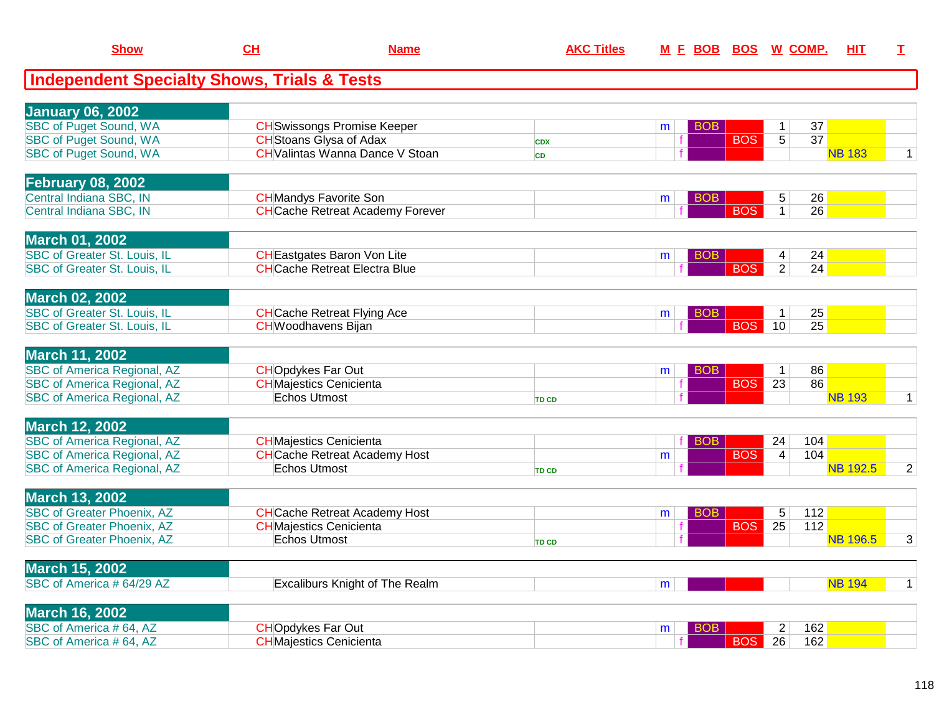| <b>Show</b>                                            | CH                             | <b>Name</b>                             | <b>AKC Titles</b> | <u>M E BOB</u>  |                  | <b>BOS W COMP.</b>                | HIT             | $\mathbf I$    |
|--------------------------------------------------------|--------------------------------|-----------------------------------------|-------------------|-----------------|------------------|-----------------------------------|-----------------|----------------|
| <b>Independent Specialty Shows, Trials &amp; Tests</b> |                                |                                         |                   |                 |                  |                                   |                 |                |
| <b>January 06, 2002</b>                                |                                |                                         |                   |                 |                  |                                   |                 |                |
| <b>SBC of Puget Sound, WA</b>                          |                                | <b>CH</b> Swissongs Promise Keeper      |                   | BOB.<br>m       |                  | 37<br>$\mathbf 1$                 |                 |                |
| <b>SBC of Puget Sound, WA</b>                          | <b>CH</b> Stoans Glysa of Adax |                                         | <b>CDX</b>        | $\mathbf f$     | $\overline{BOS}$ | $\overline{37}$<br>$\overline{5}$ |                 |                |
| <b>SBC of Puget Sound, WA</b>                          |                                | <b>CH</b> Valintas Wanna Dance V Stoan  | <b>CD</b>         |                 |                  |                                   | <b>NB 183</b>   | $\mathbf{1}$   |
| February 08, 2002                                      |                                |                                         |                   |                 |                  |                                   |                 |                |
| Central Indiana SBC, IN                                | <b>CH</b> Mandys Favorite Son  |                                         |                   | <b>BOB</b><br>m |                  | 26<br>$\sqrt{5}$                  |                 |                |
| Central Indiana SBC, IN                                |                                | <b>CH</b> Cache Retreat Academy Forever |                   |                 | <b>BOS</b>       | 26<br>$\mathbf{1}$                |                 |                |
| <b>March 01, 2002</b>                                  |                                |                                         |                   |                 |                  |                                   |                 |                |
| <b>SBC of Greater St. Louis, IL</b>                    |                                | <b>CH</b> Eastgates Baron Von Lite      |                   | BOB<br>m        |                  | 24<br>4                           |                 |                |
| <b>SBC of Greater St. Louis, IL</b>                    |                                | <b>CHCache Retreat Electra Blue</b>     |                   |                 | <b>BOS</b>       | $\overline{2}$<br>24              |                 |                |
| <b>March 02, 2002</b>                                  |                                |                                         |                   |                 |                  |                                   |                 |                |
| SBC of Greater St. Louis, IL                           |                                | <b>CH</b> Cache Retreat Flying Ace      |                   | <b>BOB</b><br>m |                  | 25<br>$\mathbf{1}$                |                 |                |
| <b>SBC of Greater St. Louis, IL</b>                    | <b>CH</b> Woodhavens Bijan     |                                         |                   |                 | <b>BOS</b>       | 10<br>25                          |                 |                |
| <b>March 11, 2002</b>                                  |                                |                                         |                   |                 |                  |                                   |                 |                |
| <b>SBC of America Regional, AZ</b>                     | <b>CHOpdykes Far Out</b>       |                                         |                   | BOB<br>m        |                  | 86<br>$\mathbf{1}$                |                 |                |
| <b>SBC of America Regional, AZ</b>                     | <b>CH</b> Majestics Cenicienta |                                         |                   | f               | <b>BOS</b>       | 86<br>23                          |                 |                |
| <b>SBC of America Regional, AZ</b>                     | <b>Echos Utmost</b>            |                                         | <b>TD CD</b>      |                 |                  |                                   | <b>NB 193</b>   | $\mathbf{1}$   |
| <b>March 12, 2002</b>                                  |                                |                                         |                   |                 |                  |                                   |                 |                |
| <b>SBC of America Regional, AZ</b>                     | <b>CH</b> Majestics Cenicienta |                                         |                   | <b>BOB</b>      |                  | 104<br>24                         |                 |                |
| <b>SBC of America Regional, AZ</b>                     |                                | <b>CH</b> Cache Retreat Academy Host    |                   | m               | <b>BOS</b>       | 104<br>$\overline{4}$             |                 |                |
| SBC of America Regional, AZ                            | <b>Echos Utmost</b>            |                                         | <b>TD CD</b>      |                 |                  |                                   | <b>NB 192.5</b> | $\overline{2}$ |
| <b>March 13, 2002</b>                                  |                                |                                         |                   |                 |                  |                                   |                 |                |
| <b>SBC of Greater Phoenix, AZ</b>                      |                                | <b>CH</b> Cache Retreat Academy Host    |                   | <b>BOB</b><br>m |                  | 112<br>5                          |                 |                |
| <b>SBC of Greater Phoenix, AZ</b>                      | <b>CH</b> Majestics Cenicienta |                                         |                   |                 | <b>BOS</b>       | 25<br>112                         |                 |                |
| <b>SBC</b> of Greater Phoenix, AZ                      | <b>Echos Utmost</b>            |                                         | <b>TD CD</b>      |                 |                  |                                   | <b>NB 196.5</b> | 3              |
| <b>March 15, 2002</b>                                  |                                |                                         |                   |                 |                  |                                   |                 |                |
| SBC of America # 64/29 AZ                              |                                | <b>Excaliburs Knight of The Realm</b>   |                   | m               |                  |                                   | <b>NB 194</b>   | $\mathbf 1$    |
| <b>March 16, 2002</b>                                  |                                |                                         |                   |                 |                  |                                   |                 |                |
| SBC of America #64, AZ                                 | <b>CHOpdykes Far Out</b>       |                                         |                   | <b>BOB</b><br>m |                  | $\overline{2}$<br>162             |                 |                |
| SBC of America #64, AZ                                 | <b>CHMajestics Cenicienta</b>  |                                         |                   |                 | <b>BOS</b>       | $\overline{26}$<br>162            |                 |                |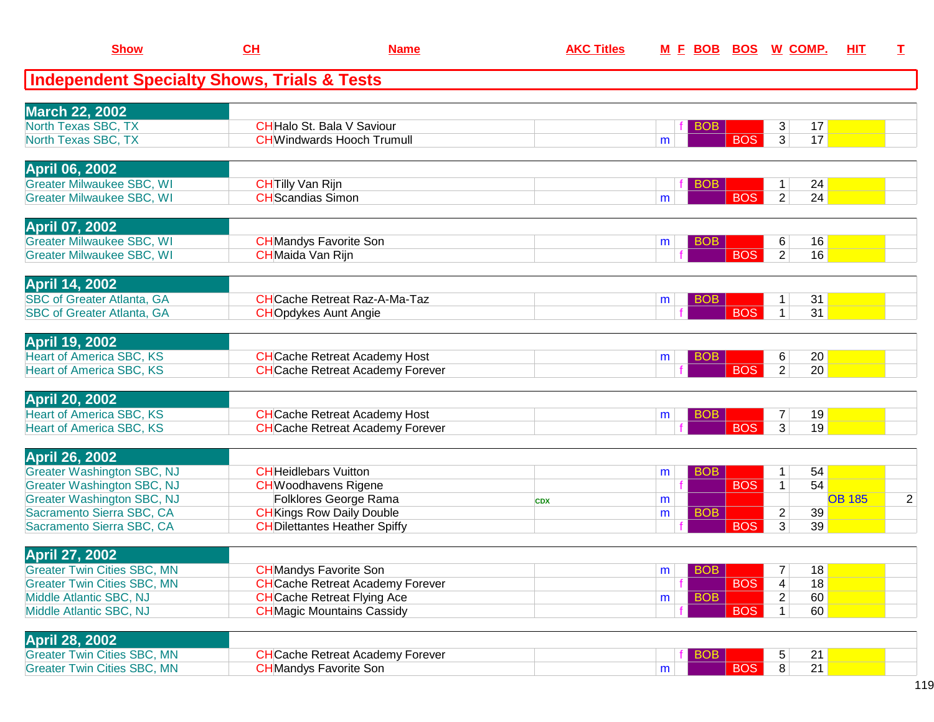| <b>Show</b>                                                            | CL                       | <b>Name</b>                                               | <b>AKC Titles</b> | M E BOB BOS W COMP.  |            |                |    | <u>НIТ</u>    | I              |
|------------------------------------------------------------------------|--------------------------|-----------------------------------------------------------|-------------------|----------------------|------------|----------------|----|---------------|----------------|
| <b>Independent Specialty Shows, Trials &amp; Tests</b>                 |                          |                                                           |                   |                      |            |                |    |               |                |
| <b>March 22, 2002</b>                                                  |                          |                                                           |                   |                      |            |                |    |               |                |
| North Texas SBC, TX                                                    |                          | <b>CHHalo St. Bala V Saviour</b>                          |                   | <b>BOB</b>           |            | 3              | 17 |               |                |
| North Texas SBC, TX                                                    |                          | <b>CH</b> Windwards Hooch Trumull                         |                   | m                    | <b>BOS</b> | $\overline{3}$ | 17 |               |                |
| <b>April 06, 2002</b>                                                  |                          |                                                           |                   |                      |            |                |    |               |                |
| <b>Greater Milwaukee SBC, WI</b>                                       | <b>CH</b> Tilly Van Rijn |                                                           |                   | <b>BOB</b>           |            | 1              | 24 |               |                |
| <b>Greater Milwaukee SBC, WI</b>                                       | <b>CH</b> Scandias Simon |                                                           |                   | m                    | <b>BOS</b> | $\overline{2}$ | 24 |               |                |
| <b>April 07, 2002</b>                                                  |                          |                                                           |                   |                      |            |                |    |               |                |
| <b>Greater Milwaukee SBC, WI</b>                                       |                          | <b>CH</b> Mandys Favorite Son                             |                   | <b>BOB</b><br>m      |            | 6              | 16 |               |                |
| <b>Greater Milwaukee SBC, WI</b>                                       | <b>CH</b> Maida Van Rijn |                                                           |                   |                      | <b>BOS</b> | $\overline{2}$ | 16 |               |                |
| <b>April 14, 2002</b>                                                  |                          |                                                           |                   |                      |            |                |    |               |                |
| <b>SBC of Greater Atlanta, GA</b>                                      |                          | <b>CH</b> Cache Retreat Raz-A-Ma-Taz                      |                   | <b>BOB</b><br>m      |            | 1              | 31 |               |                |
| <b>SBC of Greater Atlanta, GA</b>                                      |                          | <b>CHOpdykes Aunt Angie</b>                               |                   |                      | <b>BOS</b> | $\mathbf{1}$   | 31 |               |                |
| <b>April 19, 2002</b>                                                  |                          |                                                           |                   |                      |            |                |    |               |                |
| <b>Heart of America SBC, KS</b>                                        |                          | <b>CH</b> Cache Retreat Academy Host                      |                   | <b>BOB</b><br>m      |            | 6              | 20 |               |                |
| <b>Heart of America SBC, KS</b>                                        |                          | <b>CH</b> Cache Retreat Academy Forever                   |                   |                      | <b>BOS</b> | $\overline{2}$ | 20 |               |                |
| <b>April 20, 2002</b>                                                  |                          |                                                           |                   |                      |            |                |    |               |                |
| <b>Heart of America SBC, KS</b>                                        |                          | <b>CH</b> Cache Retreat Academy Host                      |                   | <b>BOB</b><br>m      |            | $\overline{7}$ | 19 |               |                |
| <b>Heart of America SBC, KS</b>                                        |                          | <b>CH</b> Cache Retreat Academy Forever                   |                   |                      | <b>BOS</b> | $\overline{3}$ | 19 |               |                |
| <b>April 26, 2002</b>                                                  |                          |                                                           |                   |                      |            |                |    |               |                |
| <b>Greater Washington SBC, NJ</b>                                      |                          | <b>CHHeidlebars Vuitton</b>                               |                   | <b>BOB</b><br>m      |            | 1              | 54 |               |                |
| <b>Greater Washington SBC, NJ</b><br><b>Greater Washington SBC, NJ</b> |                          | <b>CH</b> Woodhavens Rigene                               |                   | f                    | <b>BOS</b> | 1              | 54 | <b>OB 185</b> | $\overline{2}$ |
| Sacramento Sierra SBC, CA                                              |                          | Folklores George Rama<br><b>CH</b> Kings Row Daily Double | <b>CDX</b>        | m<br><b>BOB</b><br>m |            | $\overline{c}$ | 39 |               |                |
| Sacramento Sierra SBC, CA                                              |                          | <b>CH</b> Dilettantes Heather Spiffy                      |                   |                      | <b>BOS</b> | 3              | 39 |               |                |
| April 27, 2002                                                         |                          |                                                           |                   |                      |            |                |    |               |                |
| <b>Greater Twin Cities SBC, MN</b>                                     |                          | <b>CH</b> Mandys Favorite Son                             |                   | BOB<br>m             |            | 7              | 18 |               |                |
| <b>Greater Twin Cities SBC, MN</b>                                     |                          | <b>CH</b> Cache Retreat Academy Forever                   |                   |                      | <b>BOS</b> | 4              | 18 |               |                |
| Middle Atlantic SBC, NJ                                                |                          | <b>CH</b> Cache Retreat Flying Ace                        |                   | <b>BOB</b><br>m      |            | 2              | 60 |               |                |
| Middle Atlantic SBC, NJ                                                |                          | <b>CH</b> Magic Mountains Cassidy                         |                   |                      | <b>BOS</b> | 1              | 60 |               |                |
| <b>April 28, 2002</b>                                                  |                          |                                                           |                   |                      |            |                |    |               |                |
| <b>Greater Twin Cities SBC, MN</b>                                     |                          | <b>CH</b> Cache Retreat Academy Forever                   |                   | <b>BOB</b>           |            | 5              | 21 |               |                |
| <b>Greater Twin Cities SBC, MN</b>                                     |                          | <b>CH</b> Mandys Favorite Son                             |                   | m                    | <b>BOS</b> | 8              | 21 |               |                |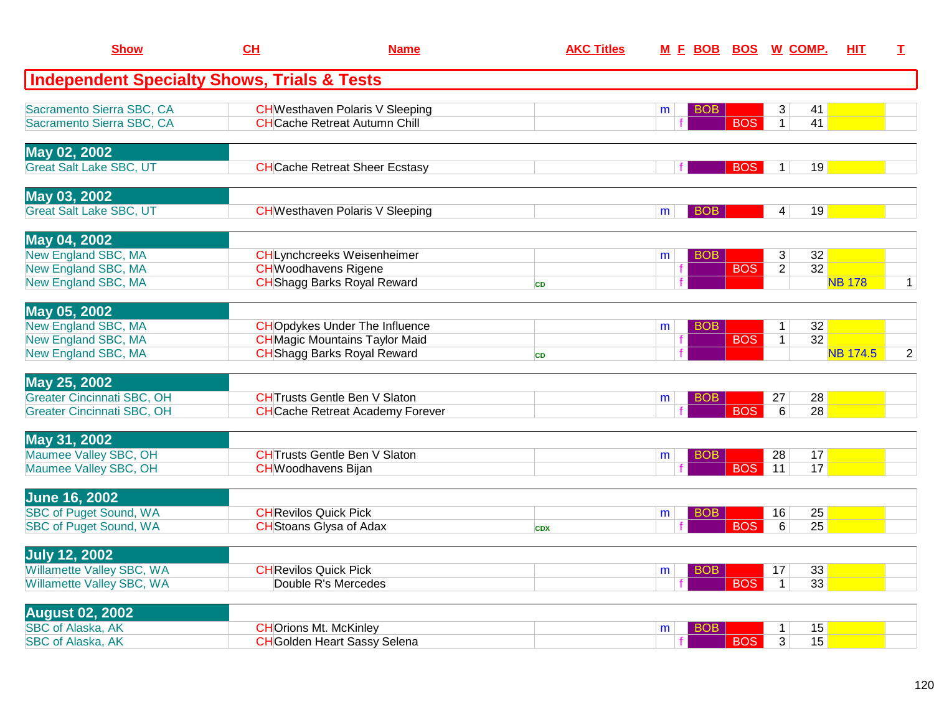| <b>Show</b>                                            | CH                                  | <b>Name</b>                             | <b>AKC Titles</b> |   |            |            | M E BOB BOS W COMP. | HIT             | $\mathbf{I}$   |
|--------------------------------------------------------|-------------------------------------|-----------------------------------------|-------------------|---|------------|------------|---------------------|-----------------|----------------|
| <b>Independent Specialty Shows, Trials &amp; Tests</b> |                                     |                                         |                   |   |            |            |                     |                 |                |
| Sacramento Sierra SBC, CA                              |                                     | <b>CH</b> Westhaven Polaris V Sleeping  |                   | m | <b>BOB</b> |            | 3                   | 41              |                |
| Sacramento Sierra SBC, CA                              |                                     | <b>CHCache Retreat Autumn Chill</b>     |                   |   |            | <b>BOS</b> | $\mathbf{1}$        | 41              |                |
| May 02, 2002                                           |                                     |                                         |                   |   |            |            |                     |                 |                |
| <b>Great Salt Lake SBC, UT</b>                         |                                     | <b>CH</b> Cache Retreat Sheer Ecstasy   |                   |   | f          | <b>BOS</b> | 1                   | 19              |                |
| May 03, 2002                                           |                                     |                                         |                   |   |            |            |                     |                 |                |
| <b>Great Salt Lake SBC, UT</b>                         |                                     | <b>CH</b> Westhaven Polaris V Sleeping  |                   | m | BOB        |            | 4                   | 19              |                |
| May 04, 2002                                           |                                     |                                         |                   |   |            |            |                     |                 |                |
| <b>New England SBC, MA</b>                             | <b>CHLynchcreeks Weisenheimer</b>   |                                         |                   | m | <b>BOB</b> |            | 3                   | 32              |                |
| <b>New England SBC, MA</b>                             | <b>CHWoodhavens Rigene</b>          |                                         |                   |   |            | <b>BOS</b> | $\overline{2}$      | 32              |                |
| <b>New England SBC, MA</b>                             | <b>CH</b> Shagg Barks Royal Reward  |                                         | <b>CD</b>         |   |            |            |                     | <b>NB 178</b>   | $\mathbf{1}$   |
| May 05, 2002                                           |                                     |                                         |                   |   |            |            |                     |                 |                |
| New England SBC, MA                                    |                                     | <b>CHO</b> pdykes Under The Influence   |                   | m | <b>BOB</b> |            | $\mathbf{1}$        | 32              |                |
| <b>New England SBC, MA</b>                             |                                     | <b>CH</b> Magic Mountains Taylor Maid   |                   |   |            | <b>BOS</b> | 1                   | $\overline{32}$ |                |
| New England SBC, MA                                    | <b>CH</b> Shagg Barks Royal Reward  |                                         | <b>CD</b>         |   |            |            |                     | <b>NB 174.5</b> | $\overline{2}$ |
| May 25, 2002                                           |                                     |                                         |                   |   |            |            |                     |                 |                |
| <b>Greater Cincinnati SBC, OH</b>                      | <b>CHTrusts Gentle Ben V Slaton</b> |                                         |                   | m | BOB.       |            | 27                  | 28              |                |
| <b>Greater Cincinnati SBC, OH</b>                      |                                     | <b>CH</b> Cache Retreat Academy Forever |                   |   |            | <b>BOS</b> | 6                   | 28              |                |
| May 31, 2002                                           |                                     |                                         |                   |   |            |            |                     |                 |                |
| Maumee Valley SBC, OH                                  | <b>CHTrusts Gentle Ben V Slaton</b> |                                         |                   | m | BOB        |            | 28                  | 17              |                |
| Maumee Valley SBC, OH                                  | <b>CH</b> Woodhavens Bijan          |                                         |                   |   |            | <b>BOS</b> | 11                  | 17              |                |
| <b>June 16, 2002</b>                                   |                                     |                                         |                   |   |            |            |                     |                 |                |
| <b>SBC of Puget Sound, WA</b>                          | <b>CH</b> Revilos Quick Pick        |                                         |                   | m | BOB        |            | 16                  | 25              |                |
| <b>SBC of Puget Sound, WA</b>                          | <b>CH</b> Stoans Glysa of Adax      |                                         | <b>CDX</b>        |   |            | <b>BOS</b> | 6                   | 25              |                |
| <b>July 12, 2002</b>                                   |                                     |                                         |                   |   |            |            |                     |                 |                |
| Willamette Valley SBC, WA                              | <b>CH</b> Revilos Quick Pick        |                                         |                   | m | <b>BOB</b> |            | 17                  | 33              |                |
| Willamette Valley SBC, WA                              | Double R's Mercedes                 |                                         |                   |   |            | <b>BOS</b> | $\mathbf{1}$        | 33              |                |
| <b>August 02, 2002</b>                                 |                                     |                                         |                   |   |            |            |                     |                 |                |
| <b>SBC of Alaska, AK</b>                               | <b>CHOrions Mt. McKinley</b>        |                                         |                   | m | BOB        |            | $\mathbf{1}$        | 15              |                |
| <b>SBC of Alaska, AK</b>                               | <b>CH</b> Golden Heart Sassy Selena |                                         |                   |   |            | <b>BOS</b> | $\overline{3}$      | 15              |                |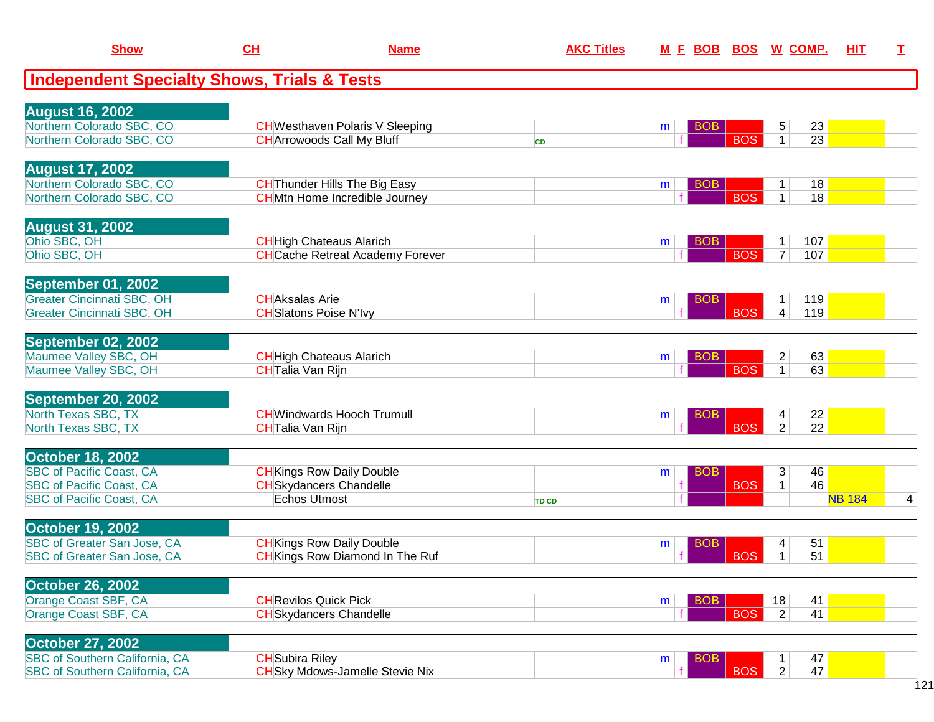| <b>Show</b>                                                      | CL                     | <b>Name</b>                             | <b>AKC Titles</b> |   | M E BOB    | <b>BOS W COMP.</b> |                         |                 | HIT           | I |
|------------------------------------------------------------------|------------------------|-----------------------------------------|-------------------|---|------------|--------------------|-------------------------|-----------------|---------------|---|
| <b>Independent Specialty Shows, Trials &amp; Tests</b>           |                        |                                         |                   |   |            |                    |                         |                 |               |   |
| <b>August 16, 2002</b>                                           |                        |                                         |                   |   |            |                    |                         |                 |               |   |
| Northern Colorado SBC, CO                                        |                        | <b>CH</b> Westhaven Polaris V Sleeping  |                   | m | <b>BOB</b> |                    | 5                       | 23              |               |   |
| Northern Colorado SBC, CO                                        |                        | <b>CH</b> Arrowoods Call My Bluff       | <b>CD</b>         |   |            | <b>BOS</b>         | $\mathbf{1}$            | $\overline{23}$ |               |   |
| <b>August 17, 2002</b>                                           |                        |                                         |                   |   |            |                    |                         |                 |               |   |
| Northern Colorado SBC, CO                                        |                        | <b>CH</b> Thunder Hills The Big Easy    |                   | m | <b>BOB</b> |                    | 1                       | 18              |               |   |
| Northern Colorado SBC, CO                                        |                        | <b>CHMtn Home Incredible Journey</b>    |                   |   |            | <b>BOS</b>         | $\mathbf{1}$            | 18              |               |   |
| <b>August 31, 2002</b>                                           |                        |                                         |                   |   |            |                    |                         |                 |               |   |
| Ohio SBC, OH                                                     |                        | <b>CH</b> High Chateaus Alarich         |                   | m | <b>BOB</b> |                    | 1                       | 107             |               |   |
| Ohio SBC, OH                                                     |                        | <b>CH</b> Cache Retreat Academy Forever |                   |   |            | <b>BOS</b>         | $\overline{7}$          | 107             |               |   |
| September 01, 2002                                               |                        |                                         |                   |   |            |                    |                         |                 |               |   |
| <b>Greater Cincinnati SBC, OH</b>                                |                        | <b>CHAksalas Arie</b>                   |                   | m | <b>BOB</b> |                    |                         | 119             |               |   |
| <b>Greater Cincinnati SBC, OH</b>                                |                        | <b>CH</b> Slatons Poise N'Ivy           |                   |   |            | <b>BOS</b>         | 4                       | 119             |               |   |
| September 02, 2002                                               |                        |                                         |                   |   |            |                    |                         |                 |               |   |
| Maumee Valley SBC, OH                                            |                        | <b>CH</b> High Chateaus Alarich         |                   | m | <b>BOB</b> |                    | $\overline{\mathbf{c}}$ | 63              |               |   |
| Maumee Valley SBC, OH                                            |                        | <b>CH</b> Talia Van Rijn                |                   |   |            | <b>BOS</b>         | 1                       | 63              |               |   |
|                                                                  |                        |                                         |                   |   |            |                    |                         |                 |               |   |
| September 20, 2002<br>North Texas SBC, TX                        |                        | <b>CH</b> Windwards Hooch Trumull       |                   | m | <b>BOB</b> |                    | 4                       | 22              |               |   |
| North Texas SBC, TX                                              |                        | <b>CHTalia Van Rijn</b>                 |                   |   |            | <b>BOS</b>         | $\overline{2}$          | 22              |               |   |
|                                                                  |                        |                                         |                   |   |            |                    |                         |                 |               |   |
| <b>October 18, 2002</b><br><b>SBC of Pacific Coast, CA</b>       |                        | <b>CH</b> Kings Row Daily Double        |                   | m | <b>BOB</b> |                    | 3                       | 46              |               |   |
| <b>SBC of Pacific Coast, CA</b>                                  |                        | <b>CH</b> Skydancers Chandelle          |                   |   |            | <b>BOS</b>         | $\mathbf{1}$            | 46              |               |   |
| <b>SBC of Pacific Coast, CA</b>                                  |                        | Echos Utmost                            | <b>TD CD</b>      |   |            |                    |                         |                 | <b>NB 184</b> | 4 |
| October 19, 2002                                                 |                        |                                         |                   |   |            |                    |                         |                 |               |   |
| SBC of Greater San Jose, CA                                      |                        | <b>CH</b> Kings Row Daily Double        |                   | m | <b>BOB</b> |                    | 4                       | 51              |               |   |
| <b>SBC of Greater San Jose, CA</b>                               |                        | <b>CH</b> Kings Row Diamond In The Ruf  |                   |   |            | <b>BOS</b>         | 1                       | 51              |               |   |
| <b>October 26, 2002</b>                                          |                        |                                         |                   |   |            |                    |                         |                 |               |   |
| Orange Coast SBF, CA                                             |                        | <b>CH</b> Revilos Quick Pick            |                   | m | <b>BOB</b> |                    | 18                      | 41              |               |   |
| Orange Coast SBF, CA                                             |                        | <b>CH</b> Skydancers Chandelle          |                   |   |            | <b>BOS</b>         | $\overline{2}$          | 41              |               |   |
|                                                                  |                        |                                         |                   |   |            |                    |                         |                 |               |   |
| <b>October 27, 2002</b><br><b>SBC of Southern California, CA</b> | <b>CH</b> Subira Riley |                                         |                   | m | <b>BOB</b> |                    |                         | 47              |               |   |
| SBC of Southern California, CA                                   |                        | <b>CH</b> Sky Mdows-Jamelle Stevie Nix  |                   |   |            | <b>BOS</b>         | $\overline{2}$          | 47              |               |   |
|                                                                  |                        |                                         |                   |   |            |                    |                         |                 |               |   |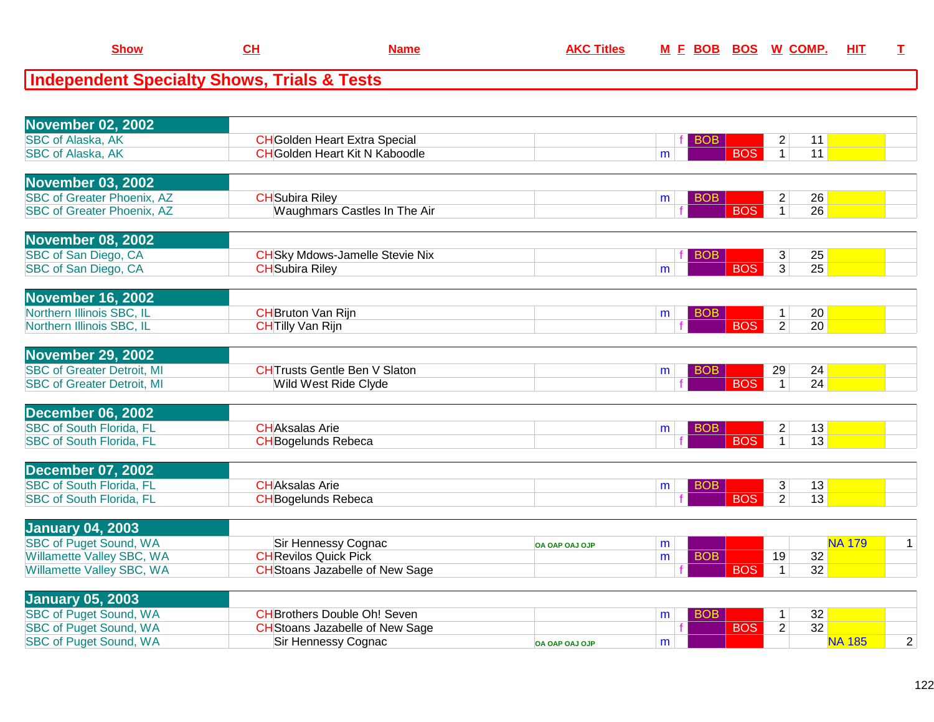| <b>Independent Specialty Shows, Trials &amp; Tests</b>      |                                                                  |                |                 |                                   |                       |  |
|-------------------------------------------------------------|------------------------------------------------------------------|----------------|-----------------|-----------------------------------|-----------------------|--|
|                                                             |                                                                  |                |                 |                                   |                       |  |
| <b>November 02, 2002</b>                                    |                                                                  |                |                 |                                   |                       |  |
| <b>SBC of Alaska, AK</b>                                    | <b>CH</b> Golden Heart Extra Special                             |                | <b>BOB</b>      | $\overline{c}$                    | 11                    |  |
| <b>SBC of Alaska, AK</b>                                    | <b>CH</b> Golden Heart Kit N Kaboodle                            |                | m               | $\overline{1}$<br><b>BOS</b>      | 11                    |  |
|                                                             |                                                                  |                |                 |                                   |                       |  |
| <b>November 03, 2002</b>                                    |                                                                  |                |                 |                                   |                       |  |
| <b>SBC of Greater Phoenix, AZ</b>                           | <b>CH</b> Subira Riley                                           |                | <b>BOB</b><br>m | $\overline{c}$                    | 26                    |  |
| <b>SBC of Greater Phoenix, AZ</b>                           | Waughmars Castles In The Air                                     |                |                 | <b>BOS</b><br>$\overline{1}$      | $\overline{26}$       |  |
|                                                             |                                                                  |                |                 |                                   |                       |  |
| <b>November 08, 2002</b>                                    |                                                                  |                |                 |                                   |                       |  |
| SBC of San Diego, CA<br>SBC of San Diego, CA                | <b>CH</b> Sky Mdows-Jamelle Stevie Nix<br><b>CH</b> Subira Riley |                | <b>BOB</b>      | 3<br><b>BOS</b><br>$\overline{3}$ | 25<br>$\overline{25}$ |  |
|                                                             |                                                                  |                | m               |                                   |                       |  |
| <b>November 16, 2002</b>                                    |                                                                  |                |                 |                                   |                       |  |
| Northern Illinois SBC, IL                                   | <b>CH</b> Bruton Van Rijn                                        |                | <b>BOB</b><br>m | $\mathbf{1}$                      | 20                    |  |
| Northern Illinois SBC, IL                                   | <b>CHTilly Van Rijn</b>                                          |                |                 | <b>BOS</b><br>$\overline{2}$      | 20                    |  |
|                                                             |                                                                  |                |                 |                                   |                       |  |
| <b>November 29, 2002</b>                                    |                                                                  |                |                 |                                   |                       |  |
| <b>SBC of Greater Detroit, MI</b>                           | <b>CHTrusts Gentle Ben V Slaton</b>                              |                | <b>BOB</b><br>m | 29                                | 24                    |  |
| <b>SBC of Greater Detroit, MI</b>                           | Wild West Ride Clyde                                             |                |                 | <b>BOS</b><br>$\mathbf{1}$        | 24                    |  |
|                                                             |                                                                  |                |                 |                                   |                       |  |
| <b>December 06, 2002</b><br><b>SBC of South Florida, FL</b> | <b>CHAksalas Arie</b>                                            |                | <b>BOB</b>      | $\overline{c}$                    | 13                    |  |
| <b>SBC of South Florida, FL</b>                             | <b>CH</b> Bogelunds Rebeca                                       |                | m               | $\overline{BOS}$<br>$\mathbf{1}$  | $\overline{13}$       |  |
|                                                             |                                                                  |                |                 |                                   |                       |  |
| <b>December 07, 2002</b>                                    |                                                                  |                |                 |                                   |                       |  |
| <b>SBC of South Florida, FL</b>                             | <b>CHAksalas Arie</b>                                            |                | <b>BOB</b><br>m | 3                                 | 13                    |  |
| <b>SBC of South Florida, FL</b>                             | <b>CH</b> Bogelunds Rebeca                                       |                |                 | $\overline{2}$<br><b>BOS</b>      | 13                    |  |
|                                                             |                                                                  |                |                 |                                   |                       |  |
| <b>January 04, 2003</b>                                     |                                                                  |                |                 |                                   |                       |  |
| <b>SBC of Puget Sound, WA</b>                               | Sir Hennessy Cognac                                              | OA OAP OAJ OJP | m               |                                   | <b>NA 179</b>         |  |
| Willamette Valley SBC, WA                                   | <b>CH</b> Revilos Quick Pick                                     |                | <b>BOB</b><br>m | 19                                | 32                    |  |
| Willamette Valley SBC, WA                                   | <b>CH</b> Stoans Jazabelle of New Sage                           |                |                 | <b>BOS</b><br>$\mathbf{1}$        | 32                    |  |
| <b>January 05, 2003</b>                                     |                                                                  |                |                 |                                   |                       |  |
| SBC of Puget Sound MA                                       | CHRrothere Double Obl Seven                                      |                | ROR I<br>m      |                                   | つつ                    |  |

**CH Name AKC Titles <sup>M</sup>**

**Show**

| <u> Letter Letter III. – Letter Letter II.</u> |                                        |                       |   |     |                 |  |
|------------------------------------------------|----------------------------------------|-----------------------|---|-----|-----------------|--|
| <b>SBC of Puget Sound, WA</b>                  | <b>CH</b> Brothers Double Oh! Seven    |                       |   |     | 32 <sub>1</sub> |  |
| <b>SBC of Puget Sound, WA</b>                  | <b>CH</b> Stoans Jazabelle of New Sage |                       |   | BOS | 32              |  |
| <b>SBC of Puget Sound, WA</b>                  | Sir Hennessy Cognac                    | <b>OA OAP OAJ OJP</b> | m |     | .185            |  |
|                                                |                                        |                       |   |     |                 |  |

**<sup>F</sup> BOB BOS <sup>W</sup> COMP. HIT <sup>T</sup>**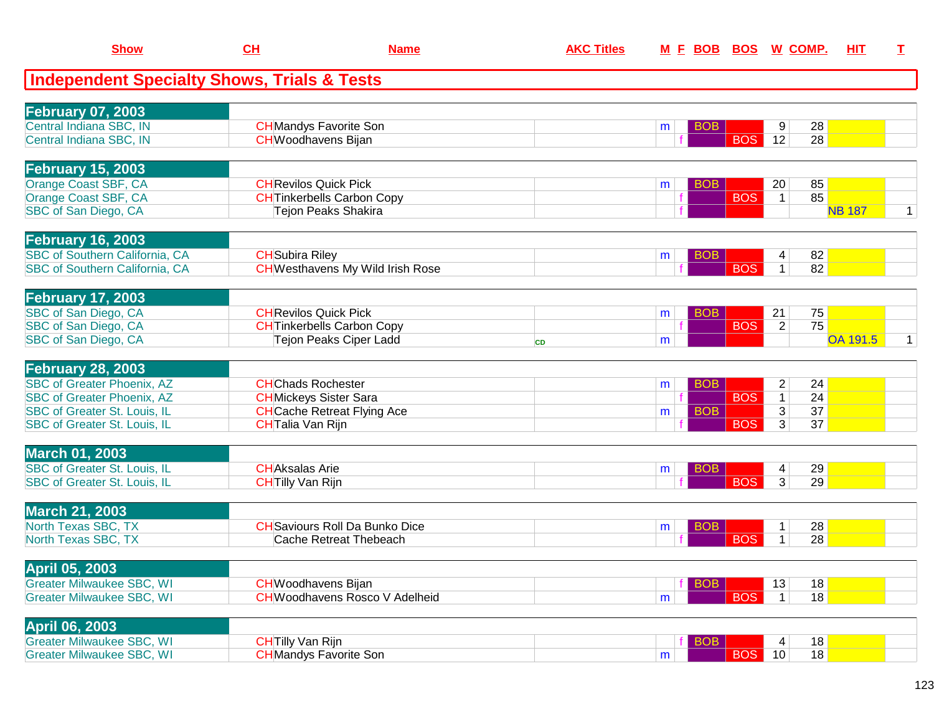| <b>Show</b>                                                  | CH                           | <b>Name</b>                                             | <b>AKC Titles</b> |   | M E BOB BOS W COMP.      |                |    | <b>HIT</b>      | I           |
|--------------------------------------------------------------|------------------------------|---------------------------------------------------------|-------------------|---|--------------------------|----------------|----|-----------------|-------------|
| <b>Independent Specialty Shows, Trials &amp; Tests</b>       |                              |                                                         |                   |   |                          |                |    |                 |             |
| <b>February 07, 2003</b>                                     |                              |                                                         |                   |   |                          |                |    |                 |             |
| Central Indiana SBC, IN                                      |                              | <b>CH</b> Mandys Favorite Son                           |                   | m | <b>BOB</b>               | 9              | 28 |                 |             |
| Central Indiana SBC, IN                                      | <b>CH</b> Woodhavens Bijan   |                                                         |                   |   | <b>BOS</b>               | 12             | 28 |                 |             |
| <b>February 15, 2003</b>                                     |                              |                                                         |                   |   |                          |                |    |                 |             |
| Orange Coast SBF, CA                                         | <b>CHRevilos Quick Pick</b>  |                                                         |                   | m | <b>BOB</b>               | 20             | 85 |                 |             |
| Orange Coast SBF, CA<br>SBC of San Diego, CA                 |                              | <b>CHTinkerbells Carbon Copy</b><br>Tejon Peaks Shakira |                   |   | <b>BOS</b>               | $\mathbf 1$    | 85 | <b>NB 187</b>   | 1.          |
| <b>February 16, 2003</b>                                     |                              |                                                         |                   |   |                          |                |    |                 |             |
| SBC of Southern California, CA                               | <b>CH</b> Subira Riley       |                                                         |                   | m | <b>BOB</b>               | 4              | 82 |                 |             |
| SBC of Southern California, CA                               |                              | <b>CH</b> Westhavens My Wild Irish Rose                 |                   |   | <b>BOS</b>               | 1              | 82 |                 |             |
| <b>February 17, 2003</b>                                     |                              |                                                         |                   |   |                          |                |    |                 |             |
| SBC of San Diego, CA                                         | <b>CH</b> Revilos Quick Pick |                                                         |                   | m | <b>BOB</b>               | 21             | 75 |                 |             |
| SBC of San Diego, CA                                         |                              | <b>CH</b> Tinkerbells Carbon Copy                       |                   |   | <b>BOS</b>               | $\overline{2}$ | 75 |                 |             |
| SBC of San Diego, CA                                         |                              | <b>Tejon Peaks Ciper Ladd</b>                           | <b>CD</b>         | m |                          |                |    | <b>OA 191.5</b> | $\mathbf 1$ |
| <b>February 28, 2003</b>                                     |                              |                                                         |                   |   |                          |                |    |                 |             |
| <b>SBC of Greater Phoenix, AZ</b>                            | <b>CHChads Rochester</b>     |                                                         |                   | m | <b>BOB</b>               | $\overline{c}$ | 24 |                 |             |
| <b>SBC of Greater Phoenix, AZ</b>                            |                              | <b>CH</b> Mickeys Sister Sara                           |                   |   | <b>BOS</b>               | $\mathbf 1$    | 24 |                 |             |
| <b>SBC of Greater St. Louis, IL</b>                          |                              | <b>CH</b> Cache Retreat Flying Ace                      |                   | m | <b>BOB</b><br><b>BOS</b> | $\overline{3}$ | 37 |                 |             |
| SBC of Greater St. Louis, IL                                 | <b>CH</b> Talia Van Rijn     |                                                         |                   |   |                          | 3              | 37 |                 |             |
| <b>March 01, 2003</b><br><b>SBC of Greater St. Louis, IL</b> | <b>CHAksalas Arie</b>        |                                                         |                   |   | <b>BOB</b>               | 4              | 29 |                 |             |
| SBC of Greater St. Louis, IL                                 | <b>CHTilly Van Rijn</b>      |                                                         |                   | m | <b>BOS</b>               | $\overline{3}$ | 29 |                 |             |
|                                                              |                              |                                                         |                   |   |                          |                |    |                 |             |
| <b>March 21, 2003</b><br>North Texas SBC, TX                 |                              | <b>CH</b> Saviours Roll Da Bunko Dice                   |                   |   | <b>BOB</b>               | $\mathbf{1}$   | 28 |                 |             |
| North Texas SBC, TX                                          |                              | Cache Retreat Thebeach                                  |                   | m | <b>BOS</b>               | 1              | 28 |                 |             |
|                                                              |                              |                                                         |                   |   |                          |                |    |                 |             |
| April 05, 2003<br><b>Greater Milwaukee SBC, WI</b>           | <b>CH</b> Woodhavens Bijan   |                                                         |                   |   | <b>BOB</b>               | 13             | 18 |                 |             |
| <b>Greater Milwaukee SBC, WI</b>                             |                              | <b>CH</b> Woodhavens Rosco V Adelheid                   |                   |   | <b>BOS</b>               | $\mathbf{1}$   | 18 |                 |             |
|                                                              |                              |                                                         |                   | m |                          |                |    |                 |             |
| <b>April 06, 2003</b><br><b>Greater Milwaukee SBC, WI</b>    | <b>CH</b> Tilly Van Rijn     |                                                         |                   |   |                          |                | 18 |                 |             |
| <b>Greater Milwaukee SBC, WI</b>                             |                              | <b>CH</b> Mandys Favorite Son                           |                   | m | <b>BOB</b><br><b>BOS</b> | 4<br>10        | 18 |                 |             |
|                                                              |                              |                                                         |                   |   |                          |                |    |                 |             |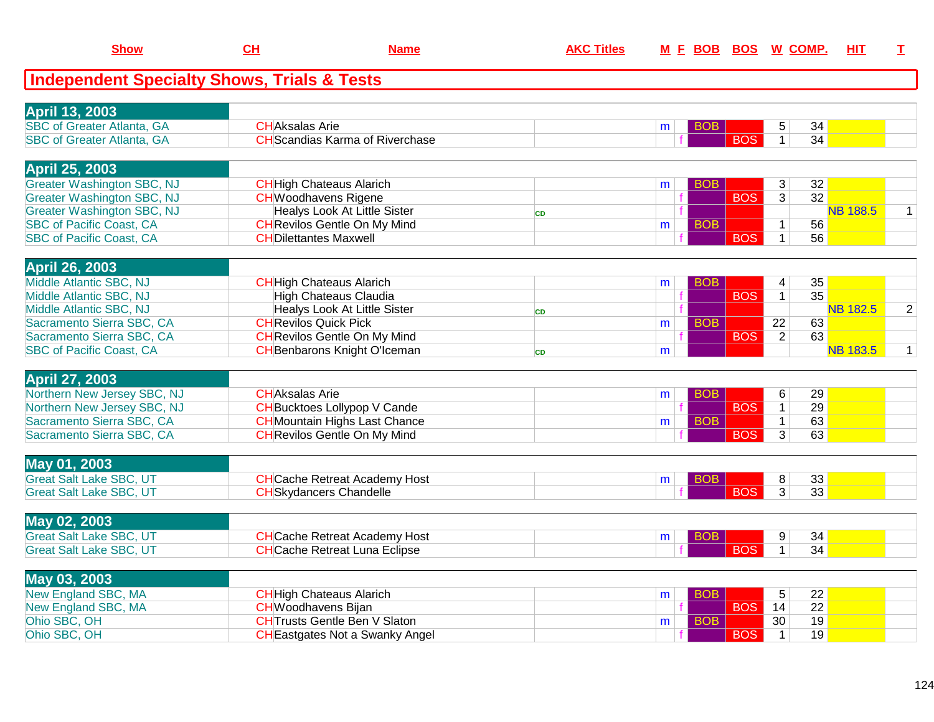| <b>Show</b>                                                            | CH                           | <b>Name</b>                            | <b>AKC Titles</b> |   | M E BOB BOS W COMP. |            |                 |                 | HIT             | $\mathbf{T}$   |
|------------------------------------------------------------------------|------------------------------|----------------------------------------|-------------------|---|---------------------|------------|-----------------|-----------------|-----------------|----------------|
| <b>Independent Specialty Shows, Trials &amp; Tests</b>                 |                              |                                        |                   |   |                     |            |                 |                 |                 |                |
|                                                                        |                              |                                        |                   |   |                     |            |                 |                 |                 |                |
| <b>April 13, 2003</b>                                                  |                              |                                        |                   |   |                     |            |                 |                 |                 |                |
| <b>SBC of Greater Atlanta, GA</b><br><b>SBC of Greater Atlanta, GA</b> | <b>CHAksalas Arie</b>        | <b>CH</b> Scandias Karma of Riverchase |                   | m | <b>BOB</b>          | <b>BOS</b> | 5               | 34              |                 |                |
|                                                                        |                              |                                        |                   |   |                     |            | $\mathbf{1}$    | 34              |                 |                |
| April 25, 2003                                                         |                              |                                        |                   |   |                     |            |                 |                 |                 |                |
| <b>Greater Washington SBC, NJ</b>                                      |                              | <b>CH</b> High Chateaus Alarich        |                   | m | <b>BOB</b>          |            | 3               | 32              |                 |                |
| <b>Greater Washington SBC, NJ</b>                                      | <b>CH</b> Woodhavens Rigene  |                                        |                   |   |                     | <b>BOS</b> | $\overline{3}$  | $\overline{32}$ |                 |                |
| <b>Greater Washington SBC, NJ</b>                                      |                              | <b>Healys Look At Little Sister</b>    | <b>CD</b>         |   |                     |            |                 |                 | <b>NB 188.5</b> | 1              |
| <b>SBC of Pacific Coast, CA</b>                                        |                              | <b>CH</b> Revilos Gentle On My Mind    |                   | m | <b>BOB</b>          |            | $\mathbf{1}$    | 56              |                 |                |
| <b>SBC of Pacific Coast, CA</b>                                        | <b>CHDilettantes Maxwell</b> |                                        |                   |   |                     | <b>BOS</b> | $\mathbf{1}$    | 56              |                 |                |
| <b>April 26, 2003</b>                                                  |                              |                                        |                   |   |                     |            |                 |                 |                 |                |
| Middle Atlantic SBC, NJ                                                |                              | <b>CH</b> High Chateaus Alarich        |                   | m | <b>BOB</b>          |            | 4               | 35              |                 |                |
| Middle Atlantic SBC, NJ                                                |                              | <b>High Chateaus Claudia</b>           |                   |   |                     | <b>BOS</b> | $\mathbf{1}$    | $\overline{35}$ |                 |                |
| Middle Atlantic SBC, NJ                                                |                              | Healys Look At Little Sister           | <b>CD</b>         |   |                     |            |                 |                 | <b>NB 182.5</b> | $\overline{c}$ |
| Sacramento Sierra SBC, CA                                              | <b>CH</b> Revilos Quick Pick |                                        |                   | m | <b>BOB</b>          |            | $\overline{22}$ | 63              |                 |                |
| Sacramento Sierra SBC, CA                                              |                              | <b>CH</b> Revilos Gentle On My Mind    |                   |   |                     | <b>BOS</b> | $\overline{2}$  | 63              |                 |                |
| <b>SBC of Pacific Coast, CA</b>                                        |                              | <b>CH</b> Benbarons Knight O'Iceman    | <b>CD</b>         | m |                     |            |                 |                 | <b>NB 183.5</b> | $\mathbf{1}$   |
|                                                                        |                              |                                        |                   |   |                     |            |                 |                 |                 |                |
| <b>April 27, 2003</b>                                                  |                              |                                        |                   |   |                     |            |                 |                 |                 |                |
| Northern New Jersey SBC, NJ                                            | <b>CHAksalas Arie</b>        |                                        |                   | m | <b>BOB</b>          |            | 6               | 29              |                 |                |
| Northern New Jersey SBC, NJ                                            |                              | <b>CH</b> Bucktoes Lollypop V Cande    |                   |   |                     | <b>BOS</b> | $\overline{1}$  | 29              |                 |                |
| Sacramento Sierra SBC, CA                                              |                              | <b>CH</b> Mountain Highs Last Chance   |                   | m | <b>BOB</b>          |            | $\mathbf{1}$    | 63              |                 |                |
| Sacramento Sierra SBC, CA                                              |                              | <b>CH</b> Revilos Gentle On My Mind    |                   |   |                     | <b>BOS</b> | $\overline{3}$  | 63              |                 |                |
| May 01, 2003                                                           |                              |                                        |                   |   |                     |            |                 |                 |                 |                |
| <b>Great Salt Lake SBC, UT</b>                                         |                              | <b>CH</b> Cache Retreat Academy Host   |                   | m | <b>BOB</b>          |            | 8               | 33              |                 |                |
| <b>Great Salt Lake SBC, UT</b>                                         |                              | <b>CH</b> Skydancers Chandelle         |                   |   |                     | <b>BOS</b> | 3               | 33              |                 |                |
|                                                                        |                              |                                        |                   |   |                     |            |                 |                 |                 |                |
| May 02, 2003                                                           |                              |                                        |                   |   |                     |            |                 |                 |                 |                |
| <b>Great Salt Lake SBC, UT</b>                                         |                              | <b>CH</b> Cache Retreat Academy Host   |                   | m | <b>BOB</b>          |            | 9               | 34              |                 |                |
| <b>Great Salt Lake SBC, UT</b>                                         |                              | <b>CH</b> Cache Retreat Luna Eclipse   |                   |   |                     | <b>BOS</b> | $\mathbf{1}$    | 34              |                 |                |
| May 03, 2003                                                           |                              |                                        |                   |   |                     |            |                 |                 |                 |                |
| <b>New England SBC, MA</b>                                             |                              | <b>CH</b> High Chateaus Alarich        |                   | m | <b>BOB</b>          |            | $5\phantom{.0}$ | 22              |                 |                |
| New England SBC, MA                                                    | <b>CHWoodhavens Bijan</b>    |                                        |                   |   |                     | <b>BOS</b> | 14              | $\overline{22}$ |                 |                |
| Ohio SBC, OH                                                           |                              | <b>CHTrusts Gentle Ben V Slaton</b>    |                   | m | <b>BOB</b>          |            | 30              | 19              |                 |                |
| Ohio SBC, OH                                                           |                              | <b>CH</b> Eastgates Not a Swanky Angel |                   |   |                     | <b>BOS</b> | $\mathbf{1}$    | 19              |                 |                |

H REAL REAST REAST THE STATE STATE STATE STATE STATE STATE STATE STATE STATE STATE STATE STATE STATE STATE STA<br>Here is a state of the state of the state of the state of the state of the state of the state of the state of t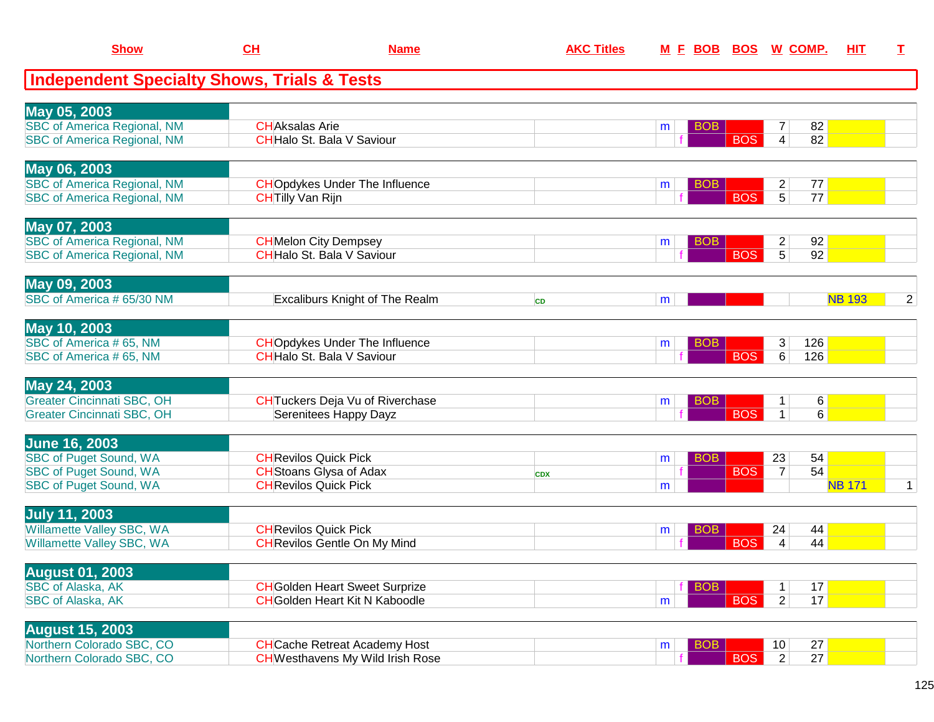| <b>Show</b>                                            | <u>CH</u>                    | <b>Name</b>                             | <b>AKC Titles</b> | <u>M E BOB</u>  | <u>BOS</u> | <u>W_COMP.</u>       | HIT           | I              |
|--------------------------------------------------------|------------------------------|-----------------------------------------|-------------------|-----------------|------------|----------------------|---------------|----------------|
| <b>Independent Specialty Shows, Trials &amp; Tests</b> |                              |                                         |                   |                 |            |                      |               |                |
| May 05, 2003                                           |                              |                                         |                   |                 |            |                      |               |                |
| <b>SBC of America Regional, NM</b>                     | <b>CHAksalas Arie</b>        |                                         |                   | <b>BOB</b><br>m |            | 82<br>7              |               |                |
| <b>SBC of America Regional, NM</b>                     |                              | CHHalo St. Bala V Saviour               |                   |                 | <b>BOS</b> | 82<br>4              |               |                |
| May 06, 2003                                           |                              |                                         |                   |                 |            |                      |               |                |
| <b>SBC of America Regional, NM</b>                     |                              | <b>CHO</b> pdykes Under The Influence   |                   | <b>BOB</b><br>m |            | $\overline{c}$<br>77 |               |                |
| <b>SBC of America Regional, NM</b>                     | <b>CHTilly Van Rijn</b>      |                                         |                   |                 | <b>BOS</b> | 5<br>77              |               |                |
| May 07, 2003                                           |                              |                                         |                   |                 |            |                      |               |                |
| <b>SBC of America Regional, NM</b>                     |                              | <b>CH</b> Melon City Dempsey            |                   | <b>BOB</b><br>m |            | 92<br>$\overline{a}$ |               |                |
| <b>SBC of America Regional, NM</b>                     |                              | <b>CH</b> Halo St. Bala V Saviour       |                   |                 | <b>BOS</b> | $\overline{5}$<br>92 |               |                |
| May 09, 2003                                           |                              |                                         |                   |                 |            |                      |               |                |
| SBC of America # 65/30 NM                              |                              | <b>Excaliburs Knight of The Realm</b>   | <b>CD</b>         | m               |            |                      | <b>NB 193</b> | $\overline{2}$ |
| May 10, 2003                                           |                              |                                         |                   |                 |            |                      |               |                |
| SBC of America #65, NM                                 |                              | <b>CHO</b> pdykes Under The Influence   |                   | <b>BOB</b><br>m |            | 3<br>126             |               |                |
| SBC of America #65, NM                                 |                              | <b>CH</b> Halo St. Bala V Saviour       |                   |                 | <b>BOS</b> | 6<br>126             |               |                |
| May 24, 2003                                           |                              |                                         |                   |                 |            |                      |               |                |
| <b>Greater Cincinnati SBC, OH</b>                      |                              | <b>CH</b> Tuckers Deja Vu of Riverchase |                   | <b>BOB</b><br>m |            | 6<br>1               |               |                |
| <b>Greater Cincinnati SBC, OH</b>                      |                              | Serenitees Happy Dayz                   |                   |                 | <b>BOS</b> | $\mathbf{1}$<br>6    |               |                |
| <b>June 16, 2003</b>                                   |                              |                                         |                   |                 |            |                      |               |                |
| <b>SBC of Puget Sound, WA</b>                          | <b>CH</b> Revilos Quick Pick |                                         |                   | <b>BOB</b><br>m |            | 23<br>54             |               |                |
| <b>SBC of Puget Sound, WA</b>                          |                              | <b>CH</b> Stoans Glysa of Adax          | <b>CDX</b>        |                 | <b>BOS</b> | 54<br>$\overline{7}$ |               |                |
| <b>SBC of Puget Sound, WA</b>                          | <b>CHRevilos Quick Pick</b>  |                                         |                   | m               |            |                      | <b>NB 171</b> | $\mathbf{1}$   |
| <b>July 11, 2003</b>                                   |                              |                                         |                   |                 |            |                      |               |                |
| Willamette Valley SBC, WA                              |                              | <b>CH</b> Revilos Quick Pick            |                   | <b>BOB</b><br>m |            | 24<br>44             |               |                |
| Willamette Valley SBC, WA                              |                              | <b>CH</b> Revilos Gentle On My Mind     |                   |                 | <b>BOS</b> | 44<br>4              |               |                |
| <b>August 01, 2003</b>                                 |                              |                                         |                   |                 |            |                      |               |                |
| <b>SBC of Alaska, AK</b>                               |                              | <b>CH</b> Golden Heart Sweet Surprize   |                   | <b>BOB</b>      |            | 17<br>1              |               |                |
| SBC of Alaska, AK                                      |                              | <b>CH</b> Golden Heart Kit N Kaboodle   |                   | m               | <b>BOS</b> | 17<br>$\overline{2}$ |               |                |
| <b>August 15, 2003</b>                                 |                              |                                         |                   |                 |            |                      |               |                |
| Northern Colorado SBC, CO                              |                              | <b>CH</b> Cache Retreat Academy Host    |                   | <b>BOB</b><br>m |            | 27<br>10             |               |                |
| Northern Colorado SBC, CO                              |                              | <b>CH</b> Westhavens My Wild Irish Rose |                   |                 | <b>BOS</b> | $\overline{2}$<br>27 |               |                |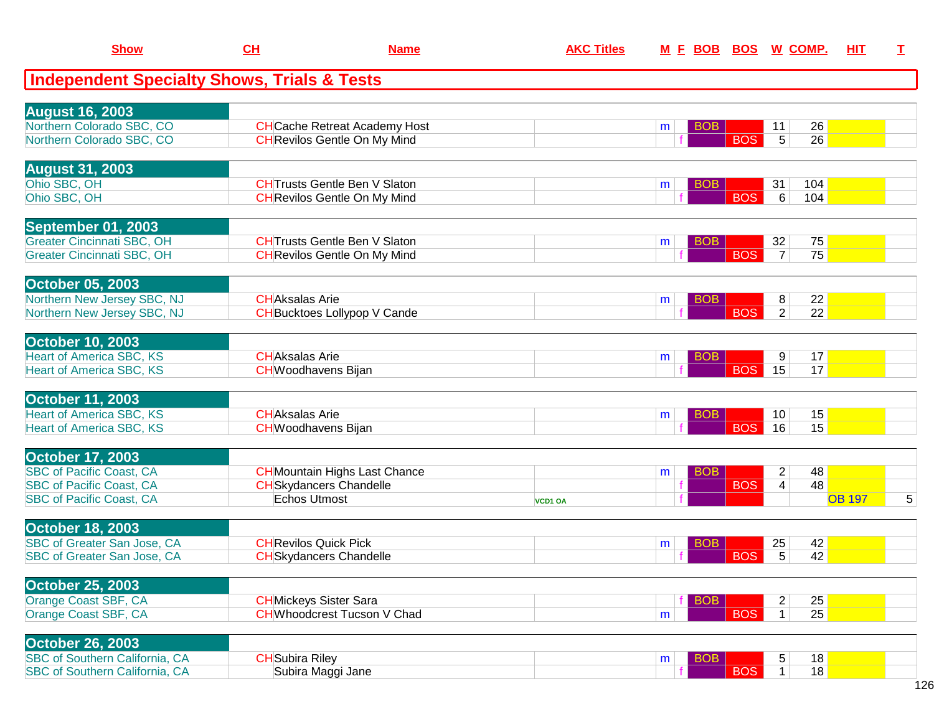| <b>Show</b>                                                        | CH                                                   | <b>Name</b>                          | <b>AKC Titles</b> | M E BOB BOS W COMP.  |            |                         |                 | <b>HIT</b>    | I. |
|--------------------------------------------------------------------|------------------------------------------------------|--------------------------------------|-------------------|----------------------|------------|-------------------------|-----------------|---------------|----|
| <b>Independent Specialty Shows, Trials &amp; Tests</b>             |                                                      |                                      |                   |                      |            |                         |                 |               |    |
| <b>August 16, 2003</b>                                             |                                                      |                                      |                   |                      |            |                         |                 |               |    |
| Northern Colorado SBC, CO                                          |                                                      | <b>CH</b> Cache Retreat Academy Host |                   | BOB<br>m             |            | 11                      | 26              |               |    |
| Northern Colorado SBC, CO                                          |                                                      | <b>CH</b> Revilos Gentle On My Mind  |                   |                      | <b>BOS</b> | $5\overline{)}$         | 26              |               |    |
| <b>August 31, 2003</b>                                             |                                                      |                                      |                   |                      |            |                         |                 |               |    |
| Ohio SBC, OH                                                       |                                                      | <b>CHTrusts Gentle Ben V Slaton</b>  |                   | <b>BOB</b><br>m      |            | 31                      | 104             |               |    |
| Ohio SBC, OH                                                       |                                                      | <b>CH</b> Revilos Gentle On My Mind  |                   |                      | <b>BOS</b> | 6                       | 104             |               |    |
| September 01, 2003                                                 |                                                      |                                      |                   |                      |            |                         |                 |               |    |
| <b>Greater Cincinnati SBC, OH</b>                                  |                                                      | <b>CHTrusts Gentle Ben V Slaton</b>  |                   | <b>BOB</b><br>m      |            | 32                      | 75              |               |    |
| <b>Greater Cincinnati SBC, OH</b>                                  |                                                      | <b>CH</b> Revilos Gentle On My Mind  |                   |                      | <b>BOS</b> | $\overline{7}$          | 75              |               |    |
| <b>October 05, 2003</b>                                            |                                                      |                                      |                   |                      |            |                         |                 |               |    |
| Northern New Jersey SBC, NJ                                        | <b>CHAksalas Arie</b>                                |                                      |                   | BO <sub>B</sub><br>m |            | 8                       | 22              |               |    |
| Northern New Jersey SBC, NJ                                        |                                                      | <b>CH</b> Bucktoes Lollypop V Cande  |                   |                      | <b>BOS</b> | $\overline{2}$          | $\overline{22}$ |               |    |
| <b>October 10, 2003</b>                                            |                                                      |                                      |                   |                      |            |                         |                 |               |    |
| <b>Heart of America SBC, KS</b>                                    | <b>CHAksalas Arie</b>                                |                                      |                   | <b>BOB</b><br>m      |            | 9                       | 17              |               |    |
| <b>Heart of America SBC, KS</b>                                    | <b>CH</b> Woodhavens Bijan                           |                                      |                   |                      | <b>BOS</b> | 15                      | 17              |               |    |
| <b>October 11, 2003</b>                                            |                                                      |                                      |                   |                      |            |                         |                 |               |    |
| <b>Heart of America SBC, KS</b><br><b>Heart of America SBC, KS</b> | <b>CH</b> Aksalas Arie<br><b>CH</b> Woodhavens Bijan |                                      |                   | <b>BOB</b><br>m      | <b>BOS</b> | 10 <sup>°</sup><br>16   | 15<br>15        |               |    |
|                                                                    |                                                      |                                      |                   |                      |            |                         |                 |               |    |
| <b>October 17, 2003</b><br><b>SBC of Pacific Coast, CA</b>         |                                                      | <b>CH</b> Mountain Highs Last Chance |                   | <b>BOB</b><br>m      |            | $\overline{2}$          | 48              |               |    |
| <b>SBC of Pacific Coast, CA</b>                                    |                                                      | <b>CH</b> Skydancers Chandelle       |                   |                      | <b>BOS</b> | $\overline{\mathbf{4}}$ | 48              |               |    |
| <b>SBC of Pacific Coast, CA</b>                                    | <b>Echos Utmost</b>                                  |                                      | VCD1 OA           |                      |            |                         |                 | <b>OB 197</b> | 5  |
| <b>October 18, 2003</b>                                            |                                                      |                                      |                   |                      |            |                         |                 |               |    |
| SBC of Greater San Jose, CA                                        | <b>CH</b> Revilos Quick Pick                         |                                      |                   | <b>BOB</b><br>m      |            | 25                      | 42              |               |    |
| SBC of Greater San Jose, CA                                        |                                                      | <b>CH</b> Skydancers Chandelle       |                   |                      | <b>BOS</b> | 5                       | 42              |               |    |
|                                                                    |                                                      |                                      |                   |                      |            |                         |                 |               |    |
| <b>October 25, 2003</b><br>Orange Coast SBF, CA                    |                                                      | <b>CH</b> Mickeys Sister Sara        |                   | <b>BOB</b>           |            | $\overline{2}$          | 25              |               |    |
| Orange Coast SBF, CA                                               |                                                      | <b>CHWhoodcrest Tucson V Chad</b>    |                   | m                    | <b>BOS</b> | 1                       | 25              |               |    |
|                                                                    |                                                      |                                      |                   |                      |            |                         |                 |               |    |
| <b>October 26, 2003</b>                                            |                                                      |                                      |                   |                      |            |                         |                 |               |    |
| <b>SBC of Southern California, CA</b>                              | <b>CH</b> Subira Riley                               |                                      |                   | <b>BOB</b><br>m      |            | 5                       | 18<br>18        |               |    |
| <b>SBC of Southern California, CA</b>                              |                                                      | Subira Maggi Jane                    |                   |                      | <b>BOS</b> | 1                       |                 |               |    |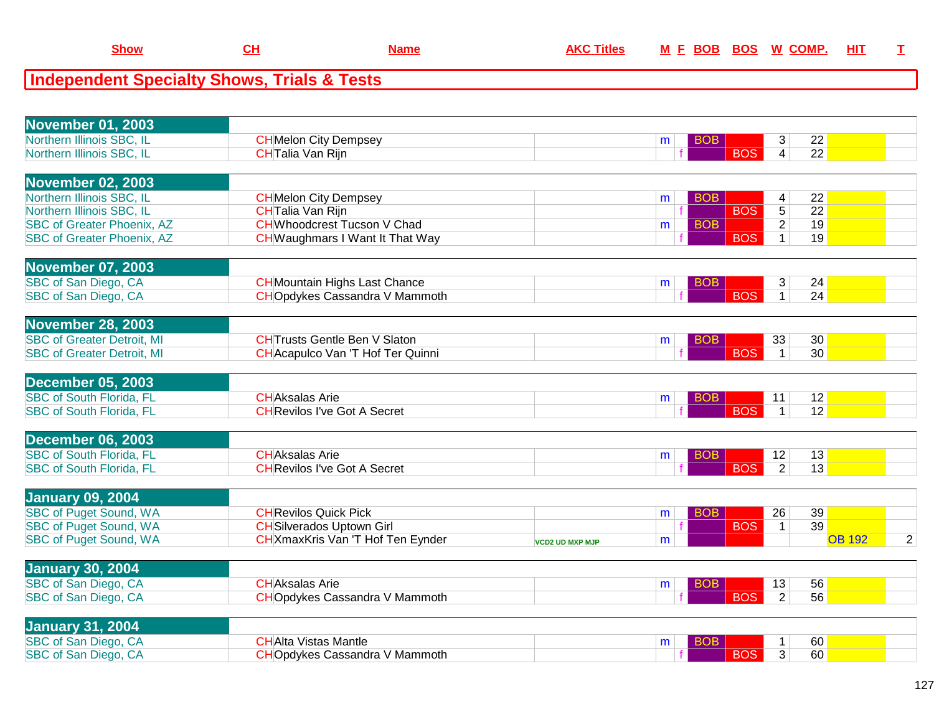## **Independent Specialty Shows, Trials & Tests**

| Northern Illinois SBC, IL<br><b>CH</b> Melon City Dempsey<br>22<br>3<br><b>BOB</b><br>m<br>$\overline{4}$<br>$\overline{22}$<br>Northern Illinois SBC, IL<br><b>CH</b> Talia Van Rijn<br><b>BOS</b><br><b>November 02, 2003</b><br>Northern Illinois SBC, IL<br><b>CH</b> Melon City Dempsey<br>22<br><b>BOB</b><br>4<br>m<br>$\overline{5}$<br>$\overline{22}$<br>Northern Illinois SBC, IL<br><b>BOS</b><br>CHTalia Van Rijn<br>$\overline{2}$<br><b>CH</b> Whoodcrest Tucson V Chad<br>19<br><b>SBC of Greater Phoenix, AZ</b><br><b>BOB</b><br>m<br><b>BOS</b><br>$\overline{1}$<br><b>SBC of Greater Phoenix, AZ</b><br><b>CH</b> Waughmars I Want It That Way<br>19<br><b>November 07, 2003</b><br>SBC of San Diego, CA<br><b>CH</b> Mountain Highs Last Chance<br>3<br>24<br><b>BOB</b><br>m<br><b>BOS</b><br>$\mathbf{1}$<br>24<br>SBC of San Diego, CA<br><b>CHO</b> pdykes Cassandra V Mammoth<br><b>November 28, 2003</b><br><b>SBC of Greater Detroit, MI</b><br><b>CHTrusts Gentle Ben V Slaton</b><br>33<br>30<br><b>BOB</b><br>m<br><b>BOS</b><br><b>SBC of Greater Detroit, MI</b><br>30<br><b>CH</b> Acapulco Van 'T Hof Ter Quinni<br>$\overline{1}$<br><b>December 05, 2003</b><br><b>SBC of South Florida, FL</b><br><b>CHAksalas Arie</b><br>12<br>11<br><b>BOB</b><br>m<br><b>BOS</b><br>12<br><b>SBC of South Florida, FL</b><br><b>CH</b> Revilos I've Got A Secret<br>$\mathbf{1}$<br><b>December 06, 2003</b><br><b>SBC of South Florida, FL</b><br><b>CHAksalas Arie</b><br>12<br>13<br><b>BOB</b><br>m<br><b>BOS</b><br>$\overline{2}$<br><b>SBC of South Florida, FL</b><br><b>CH</b> Revilos I've Got A Secret<br>13<br><b>January 09, 2004</b><br><b>SBC of Puget Sound, WA</b><br><b>CH</b> Revilos Quick Pick<br>26<br>39<br><b>BOB</b><br>m<br>39<br><b>SBC of Puget Sound, WA</b><br><b>CH</b> Silverados Uptown Girl<br><b>BOS</b><br>$\mathbf{1}$<br><b>SBC of Puget Sound, WA</b><br>$\overline{2}$<br><b>CH</b> XmaxKris Van 'T Hof Ten Eynder<br><b>OB 192</b><br>m<br><b>VCD2 UD MXP MJP</b><br><b>January 30, 2004</b><br>SBC of San Diego, CA<br><b>CHAksalas Arie</b><br>56<br>13<br><b>BOB</b><br>m<br>SBC of San Diego, CA<br><b>CHO</b> pdykes Cassandra V Mammoth<br><b>BOS</b><br>2<br>56<br><b>January 31, 2004</b><br>SBC of San Diego, CA<br><b>CHAlta Vistas Mantle</b><br>60<br>$\mathbf 1$<br>m<br>60<br>SBC of San Diego, CA<br><b>CHOpdykes Cassandra V Mammoth</b><br><b>BOS</b><br>3 | <b>November 01, 2003</b> |  |  |  |
|-------------------------------------------------------------------------------------------------------------------------------------------------------------------------------------------------------------------------------------------------------------------------------------------------------------------------------------------------------------------------------------------------------------------------------------------------------------------------------------------------------------------------------------------------------------------------------------------------------------------------------------------------------------------------------------------------------------------------------------------------------------------------------------------------------------------------------------------------------------------------------------------------------------------------------------------------------------------------------------------------------------------------------------------------------------------------------------------------------------------------------------------------------------------------------------------------------------------------------------------------------------------------------------------------------------------------------------------------------------------------------------------------------------------------------------------------------------------------------------------------------------------------------------------------------------------------------------------------------------------------------------------------------------------------------------------------------------------------------------------------------------------------------------------------------------------------------------------------------------------------------------------------------------------------------------------------------------------------------------------------------------------------------------------------------------------------------------------------------------------------------------------------------------------------------------------------------------------------------------------------------------------------------------------------------------------------------------------------------------------------------------------------------------------------------------------------|--------------------------|--|--|--|
|                                                                                                                                                                                                                                                                                                                                                                                                                                                                                                                                                                                                                                                                                                                                                                                                                                                                                                                                                                                                                                                                                                                                                                                                                                                                                                                                                                                                                                                                                                                                                                                                                                                                                                                                                                                                                                                                                                                                                                                                                                                                                                                                                                                                                                                                                                                                                                                                                                                 |                          |  |  |  |
|                                                                                                                                                                                                                                                                                                                                                                                                                                                                                                                                                                                                                                                                                                                                                                                                                                                                                                                                                                                                                                                                                                                                                                                                                                                                                                                                                                                                                                                                                                                                                                                                                                                                                                                                                                                                                                                                                                                                                                                                                                                                                                                                                                                                                                                                                                                                                                                                                                                 |                          |  |  |  |
|                                                                                                                                                                                                                                                                                                                                                                                                                                                                                                                                                                                                                                                                                                                                                                                                                                                                                                                                                                                                                                                                                                                                                                                                                                                                                                                                                                                                                                                                                                                                                                                                                                                                                                                                                                                                                                                                                                                                                                                                                                                                                                                                                                                                                                                                                                                                                                                                                                                 |                          |  |  |  |
|                                                                                                                                                                                                                                                                                                                                                                                                                                                                                                                                                                                                                                                                                                                                                                                                                                                                                                                                                                                                                                                                                                                                                                                                                                                                                                                                                                                                                                                                                                                                                                                                                                                                                                                                                                                                                                                                                                                                                                                                                                                                                                                                                                                                                                                                                                                                                                                                                                                 |                          |  |  |  |
|                                                                                                                                                                                                                                                                                                                                                                                                                                                                                                                                                                                                                                                                                                                                                                                                                                                                                                                                                                                                                                                                                                                                                                                                                                                                                                                                                                                                                                                                                                                                                                                                                                                                                                                                                                                                                                                                                                                                                                                                                                                                                                                                                                                                                                                                                                                                                                                                                                                 |                          |  |  |  |
|                                                                                                                                                                                                                                                                                                                                                                                                                                                                                                                                                                                                                                                                                                                                                                                                                                                                                                                                                                                                                                                                                                                                                                                                                                                                                                                                                                                                                                                                                                                                                                                                                                                                                                                                                                                                                                                                                                                                                                                                                                                                                                                                                                                                                                                                                                                                                                                                                                                 |                          |  |  |  |
|                                                                                                                                                                                                                                                                                                                                                                                                                                                                                                                                                                                                                                                                                                                                                                                                                                                                                                                                                                                                                                                                                                                                                                                                                                                                                                                                                                                                                                                                                                                                                                                                                                                                                                                                                                                                                                                                                                                                                                                                                                                                                                                                                                                                                                                                                                                                                                                                                                                 |                          |  |  |  |
|                                                                                                                                                                                                                                                                                                                                                                                                                                                                                                                                                                                                                                                                                                                                                                                                                                                                                                                                                                                                                                                                                                                                                                                                                                                                                                                                                                                                                                                                                                                                                                                                                                                                                                                                                                                                                                                                                                                                                                                                                                                                                                                                                                                                                                                                                                                                                                                                                                                 |                          |  |  |  |
|                                                                                                                                                                                                                                                                                                                                                                                                                                                                                                                                                                                                                                                                                                                                                                                                                                                                                                                                                                                                                                                                                                                                                                                                                                                                                                                                                                                                                                                                                                                                                                                                                                                                                                                                                                                                                                                                                                                                                                                                                                                                                                                                                                                                                                                                                                                                                                                                                                                 |                          |  |  |  |
|                                                                                                                                                                                                                                                                                                                                                                                                                                                                                                                                                                                                                                                                                                                                                                                                                                                                                                                                                                                                                                                                                                                                                                                                                                                                                                                                                                                                                                                                                                                                                                                                                                                                                                                                                                                                                                                                                                                                                                                                                                                                                                                                                                                                                                                                                                                                                                                                                                                 |                          |  |  |  |
|                                                                                                                                                                                                                                                                                                                                                                                                                                                                                                                                                                                                                                                                                                                                                                                                                                                                                                                                                                                                                                                                                                                                                                                                                                                                                                                                                                                                                                                                                                                                                                                                                                                                                                                                                                                                                                                                                                                                                                                                                                                                                                                                                                                                                                                                                                                                                                                                                                                 |                          |  |  |  |
|                                                                                                                                                                                                                                                                                                                                                                                                                                                                                                                                                                                                                                                                                                                                                                                                                                                                                                                                                                                                                                                                                                                                                                                                                                                                                                                                                                                                                                                                                                                                                                                                                                                                                                                                                                                                                                                                                                                                                                                                                                                                                                                                                                                                                                                                                                                                                                                                                                                 |                          |  |  |  |
|                                                                                                                                                                                                                                                                                                                                                                                                                                                                                                                                                                                                                                                                                                                                                                                                                                                                                                                                                                                                                                                                                                                                                                                                                                                                                                                                                                                                                                                                                                                                                                                                                                                                                                                                                                                                                                                                                                                                                                                                                                                                                                                                                                                                                                                                                                                                                                                                                                                 |                          |  |  |  |
|                                                                                                                                                                                                                                                                                                                                                                                                                                                                                                                                                                                                                                                                                                                                                                                                                                                                                                                                                                                                                                                                                                                                                                                                                                                                                                                                                                                                                                                                                                                                                                                                                                                                                                                                                                                                                                                                                                                                                                                                                                                                                                                                                                                                                                                                                                                                                                                                                                                 |                          |  |  |  |
|                                                                                                                                                                                                                                                                                                                                                                                                                                                                                                                                                                                                                                                                                                                                                                                                                                                                                                                                                                                                                                                                                                                                                                                                                                                                                                                                                                                                                                                                                                                                                                                                                                                                                                                                                                                                                                                                                                                                                                                                                                                                                                                                                                                                                                                                                                                                                                                                                                                 |                          |  |  |  |
|                                                                                                                                                                                                                                                                                                                                                                                                                                                                                                                                                                                                                                                                                                                                                                                                                                                                                                                                                                                                                                                                                                                                                                                                                                                                                                                                                                                                                                                                                                                                                                                                                                                                                                                                                                                                                                                                                                                                                                                                                                                                                                                                                                                                                                                                                                                                                                                                                                                 |                          |  |  |  |
|                                                                                                                                                                                                                                                                                                                                                                                                                                                                                                                                                                                                                                                                                                                                                                                                                                                                                                                                                                                                                                                                                                                                                                                                                                                                                                                                                                                                                                                                                                                                                                                                                                                                                                                                                                                                                                                                                                                                                                                                                                                                                                                                                                                                                                                                                                                                                                                                                                                 |                          |  |  |  |
|                                                                                                                                                                                                                                                                                                                                                                                                                                                                                                                                                                                                                                                                                                                                                                                                                                                                                                                                                                                                                                                                                                                                                                                                                                                                                                                                                                                                                                                                                                                                                                                                                                                                                                                                                                                                                                                                                                                                                                                                                                                                                                                                                                                                                                                                                                                                                                                                                                                 |                          |  |  |  |
|                                                                                                                                                                                                                                                                                                                                                                                                                                                                                                                                                                                                                                                                                                                                                                                                                                                                                                                                                                                                                                                                                                                                                                                                                                                                                                                                                                                                                                                                                                                                                                                                                                                                                                                                                                                                                                                                                                                                                                                                                                                                                                                                                                                                                                                                                                                                                                                                                                                 |                          |  |  |  |
|                                                                                                                                                                                                                                                                                                                                                                                                                                                                                                                                                                                                                                                                                                                                                                                                                                                                                                                                                                                                                                                                                                                                                                                                                                                                                                                                                                                                                                                                                                                                                                                                                                                                                                                                                                                                                                                                                                                                                                                                                                                                                                                                                                                                                                                                                                                                                                                                                                                 |                          |  |  |  |
|                                                                                                                                                                                                                                                                                                                                                                                                                                                                                                                                                                                                                                                                                                                                                                                                                                                                                                                                                                                                                                                                                                                                                                                                                                                                                                                                                                                                                                                                                                                                                                                                                                                                                                                                                                                                                                                                                                                                                                                                                                                                                                                                                                                                                                                                                                                                                                                                                                                 |                          |  |  |  |
|                                                                                                                                                                                                                                                                                                                                                                                                                                                                                                                                                                                                                                                                                                                                                                                                                                                                                                                                                                                                                                                                                                                                                                                                                                                                                                                                                                                                                                                                                                                                                                                                                                                                                                                                                                                                                                                                                                                                                                                                                                                                                                                                                                                                                                                                                                                                                                                                                                                 |                          |  |  |  |
|                                                                                                                                                                                                                                                                                                                                                                                                                                                                                                                                                                                                                                                                                                                                                                                                                                                                                                                                                                                                                                                                                                                                                                                                                                                                                                                                                                                                                                                                                                                                                                                                                                                                                                                                                                                                                                                                                                                                                                                                                                                                                                                                                                                                                                                                                                                                                                                                                                                 |                          |  |  |  |
|                                                                                                                                                                                                                                                                                                                                                                                                                                                                                                                                                                                                                                                                                                                                                                                                                                                                                                                                                                                                                                                                                                                                                                                                                                                                                                                                                                                                                                                                                                                                                                                                                                                                                                                                                                                                                                                                                                                                                                                                                                                                                                                                                                                                                                                                                                                                                                                                                                                 |                          |  |  |  |
|                                                                                                                                                                                                                                                                                                                                                                                                                                                                                                                                                                                                                                                                                                                                                                                                                                                                                                                                                                                                                                                                                                                                                                                                                                                                                                                                                                                                                                                                                                                                                                                                                                                                                                                                                                                                                                                                                                                                                                                                                                                                                                                                                                                                                                                                                                                                                                                                                                                 |                          |  |  |  |
|                                                                                                                                                                                                                                                                                                                                                                                                                                                                                                                                                                                                                                                                                                                                                                                                                                                                                                                                                                                                                                                                                                                                                                                                                                                                                                                                                                                                                                                                                                                                                                                                                                                                                                                                                                                                                                                                                                                                                                                                                                                                                                                                                                                                                                                                                                                                                                                                                                                 |                          |  |  |  |
|                                                                                                                                                                                                                                                                                                                                                                                                                                                                                                                                                                                                                                                                                                                                                                                                                                                                                                                                                                                                                                                                                                                                                                                                                                                                                                                                                                                                                                                                                                                                                                                                                                                                                                                                                                                                                                                                                                                                                                                                                                                                                                                                                                                                                                                                                                                                                                                                                                                 |                          |  |  |  |
|                                                                                                                                                                                                                                                                                                                                                                                                                                                                                                                                                                                                                                                                                                                                                                                                                                                                                                                                                                                                                                                                                                                                                                                                                                                                                                                                                                                                                                                                                                                                                                                                                                                                                                                                                                                                                                                                                                                                                                                                                                                                                                                                                                                                                                                                                                                                                                                                                                                 |                          |  |  |  |
|                                                                                                                                                                                                                                                                                                                                                                                                                                                                                                                                                                                                                                                                                                                                                                                                                                                                                                                                                                                                                                                                                                                                                                                                                                                                                                                                                                                                                                                                                                                                                                                                                                                                                                                                                                                                                                                                                                                                                                                                                                                                                                                                                                                                                                                                                                                                                                                                                                                 |                          |  |  |  |
|                                                                                                                                                                                                                                                                                                                                                                                                                                                                                                                                                                                                                                                                                                                                                                                                                                                                                                                                                                                                                                                                                                                                                                                                                                                                                                                                                                                                                                                                                                                                                                                                                                                                                                                                                                                                                                                                                                                                                                                                                                                                                                                                                                                                                                                                                                                                                                                                                                                 |                          |  |  |  |
|                                                                                                                                                                                                                                                                                                                                                                                                                                                                                                                                                                                                                                                                                                                                                                                                                                                                                                                                                                                                                                                                                                                                                                                                                                                                                                                                                                                                                                                                                                                                                                                                                                                                                                                                                                                                                                                                                                                                                                                                                                                                                                                                                                                                                                                                                                                                                                                                                                                 |                          |  |  |  |
|                                                                                                                                                                                                                                                                                                                                                                                                                                                                                                                                                                                                                                                                                                                                                                                                                                                                                                                                                                                                                                                                                                                                                                                                                                                                                                                                                                                                                                                                                                                                                                                                                                                                                                                                                                                                                                                                                                                                                                                                                                                                                                                                                                                                                                                                                                                                                                                                                                                 |                          |  |  |  |
|                                                                                                                                                                                                                                                                                                                                                                                                                                                                                                                                                                                                                                                                                                                                                                                                                                                                                                                                                                                                                                                                                                                                                                                                                                                                                                                                                                                                                                                                                                                                                                                                                                                                                                                                                                                                                                                                                                                                                                                                                                                                                                                                                                                                                                                                                                                                                                                                                                                 |                          |  |  |  |
|                                                                                                                                                                                                                                                                                                                                                                                                                                                                                                                                                                                                                                                                                                                                                                                                                                                                                                                                                                                                                                                                                                                                                                                                                                                                                                                                                                                                                                                                                                                                                                                                                                                                                                                                                                                                                                                                                                                                                                                                                                                                                                                                                                                                                                                                                                                                                                                                                                                 |                          |  |  |  |
|                                                                                                                                                                                                                                                                                                                                                                                                                                                                                                                                                                                                                                                                                                                                                                                                                                                                                                                                                                                                                                                                                                                                                                                                                                                                                                                                                                                                                                                                                                                                                                                                                                                                                                                                                                                                                                                                                                                                                                                                                                                                                                                                                                                                                                                                                                                                                                                                                                                 |                          |  |  |  |
|                                                                                                                                                                                                                                                                                                                                                                                                                                                                                                                                                                                                                                                                                                                                                                                                                                                                                                                                                                                                                                                                                                                                                                                                                                                                                                                                                                                                                                                                                                                                                                                                                                                                                                                                                                                                                                                                                                                                                                                                                                                                                                                                                                                                                                                                                                                                                                                                                                                 |                          |  |  |  |
|                                                                                                                                                                                                                                                                                                                                                                                                                                                                                                                                                                                                                                                                                                                                                                                                                                                                                                                                                                                                                                                                                                                                                                                                                                                                                                                                                                                                                                                                                                                                                                                                                                                                                                                                                                                                                                                                                                                                                                                                                                                                                                                                                                                                                                                                                                                                                                                                                                                 |                          |  |  |  |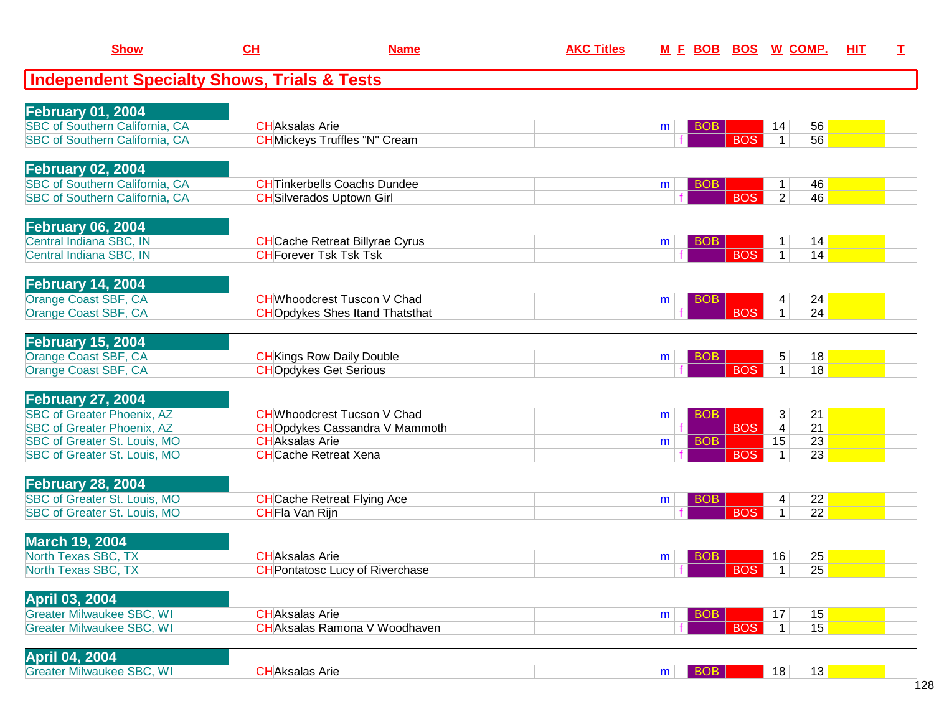| <b>Show</b>                                                  | $CH$                  | <b>Name</b>                            | <b>AKC Titles</b> |   |                          | M E BOB BOS W COMP.                     | HIT | $\mathbf I$ |
|--------------------------------------------------------------|-----------------------|----------------------------------------|-------------------|---|--------------------------|-----------------------------------------|-----|-------------|
| <b>Independent Specialty Shows, Trials &amp; Tests</b>       |                       |                                        |                   |   |                          |                                         |     |             |
| <b>February 01, 2004</b>                                     |                       |                                        |                   |   |                          |                                         |     |             |
| SBC of Southern California, CA                               | <b>CHAksalas Arie</b> |                                        |                   | m | <b>BOB</b>               | 56<br>14                                |     |             |
| SBC of Southern California, CA                               |                       | <b>CH</b> Mickeys Truffles "N" Cream   |                   |   | <b>BOS</b>               | 56<br>$\mathbf{1}$                      |     |             |
| <b>February 02, 2004</b>                                     |                       |                                        |                   |   |                          |                                         |     |             |
| SBC of Southern California, CA                               |                       | <b>CHTinkerbells Coachs Dundee</b>     |                   | m | <b>BOB</b>               | 46                                      |     |             |
| SBC of Southern California, CA                               |                       | <b>CH</b> Silverados Uptown Girl       |                   |   | <b>BOS</b>               | $\overline{2}$<br>46                    |     |             |
| <b>February 06, 2004</b>                                     |                       |                                        |                   |   |                          |                                         |     |             |
| Central Indiana SBC, IN                                      |                       | <b>CH</b> Cache Retreat Billyrae Cyrus |                   | m | <b>BOB</b>               | 14                                      |     |             |
| Central Indiana SBC, IN                                      |                       | <b>CH</b> Forever Tsk Tsk Tsk          |                   |   | <b>BOS</b>               | $\mathbf{1}$<br>14                      |     |             |
| February 14, 2004                                            |                       |                                        |                   |   |                          |                                         |     |             |
| Orange Coast SBF, CA                                         |                       | <b>CH</b> Whoodcrest Tuscon V Chad     |                   | m | BO <sub>B</sub>          | 24<br>4                                 |     |             |
| Orange Coast SBF, CA                                         |                       | <b>CHO</b> pdykes Shes Itand Thatsthat |                   |   | <b>BOS</b>               | 24<br>$\mathbf{1}$                      |     |             |
| <b>February 15, 2004</b>                                     |                       |                                        |                   |   |                          |                                         |     |             |
| Orange Coast SBF, CA                                         |                       | <b>CH</b> Kings Row Daily Double       |                   | m | BO <sub>B</sub>          | 18<br>5                                 |     |             |
| Orange Coast SBF, CA                                         |                       | <b>CHOpdykes Get Serious</b>           |                   |   | <b>BOS</b>               | 18<br>1 <sup>1</sup>                    |     |             |
| February 27, 2004                                            |                       |                                        |                   |   |                          |                                         |     |             |
| <b>SBC of Greater Phoenix, AZ</b>                            |                       | <b>CH</b> Whoodcrest Tucson V Chad     |                   | m | <b>BOB</b>               | 3<br>21                                 |     |             |
| <b>SBC of Greater Phoenix, AZ</b>                            |                       | <b>CHO</b> pdykes Cassandra V Mammoth  |                   |   | <b>BOS</b>               | $\overline{4}$<br>21                    |     |             |
| SBC of Greater St. Louis, MO<br>SBC of Greater St. Louis, MO | <b>CHAksalas Arie</b> | <b>CH</b> Cache Retreat Xena           |                   | m | <b>BOB</b><br><b>BOS</b> | 23<br>15<br>$\overline{23}$<br>1        |     |             |
|                                                              |                       |                                        |                   |   |                          |                                         |     |             |
| February 28, 2004<br>SBC of Greater St. Louis, MO            |                       | <b>CH</b> Cache Retreat Flying Ace     |                   | m | <b>BOB</b>               | 22<br>4                                 |     |             |
| SBC of Greater St. Louis, MO                                 | CHFIa Van Rijn        |                                        |                   |   | <b>BOS</b>               | 22<br>1                                 |     |             |
|                                                              |                       |                                        |                   |   |                          |                                         |     |             |
| <b>March 19, 2004</b><br>North Texas SBC, TX                 | <b>CHAksalas Arie</b> |                                        |                   |   | <b>BOB</b>               | 25                                      |     |             |
| North Texas SBC, TX                                          |                       | <b>CH</b> Pontatosc Lucy of Riverchase |                   | m | <b>BOS</b>               | 16<br>$\overline{25}$<br>1 <sup>1</sup> |     |             |
|                                                              |                       |                                        |                   |   |                          |                                         |     |             |
| <b>April 03, 2004</b><br><b>Greater Milwaukee SBC, WI</b>    | <b>CHAksalas Arie</b> |                                        |                   |   | <b>BOB</b>               | 15<br>17                                |     |             |
| <b>Greater Milwaukee SBC, WI</b>                             |                       | <b>CHAksalas Ramona V Woodhaven</b>    |                   | m | <b>BOS</b>               | 15<br>1 <sup>1</sup>                    |     |             |
|                                                              |                       |                                        |                   |   |                          |                                         |     |             |
| <b>April 04, 2004</b><br><b>Greater Milwaukee SBC, WI</b>    | <b>CHAksalas Arie</b> |                                        |                   |   | <b>BOB</b>               | 13<br>18                                |     |             |
|                                                              |                       |                                        |                   | m |                          |                                         |     |             |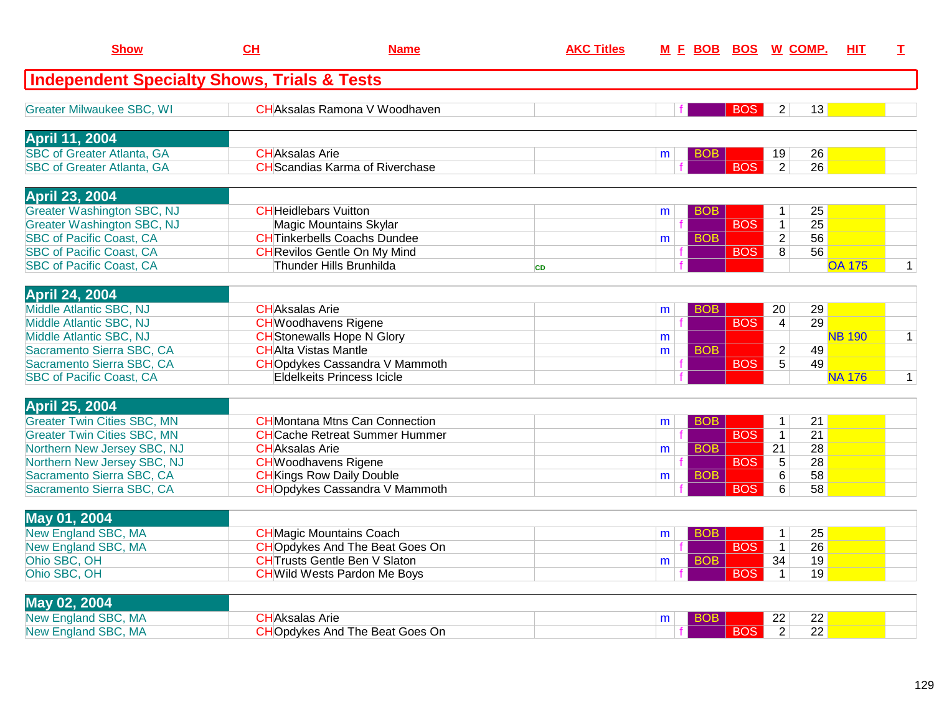| Show                                                   | <b>CH</b>                    | <b>Name</b>                            | <b>AKC Titles</b> |   |            | M F BOB BOS W COMP. |                |                 | HIT.          | T.           |
|--------------------------------------------------------|------------------------------|----------------------------------------|-------------------|---|------------|---------------------|----------------|-----------------|---------------|--------------|
| <b>Independent Specialty Shows, Trials &amp; Tests</b> |                              |                                        |                   |   |            |                     |                |                 |               |              |
| <b>Greater Milwaukee SBC, WI</b>                       |                              | <b>CHAksalas Ramona V Woodhaven</b>    |                   |   |            | <b>BOS</b>          | 2              | 13              |               |              |
| <b>April 11, 2004</b>                                  |                              |                                        |                   |   |            |                     |                |                 |               |              |
| <b>SBC of Greater Atlanta, GA</b>                      | <b>CHAksalas Arie</b>        |                                        |                   | m | <b>BOB</b> |                     | 19             | 26              |               |              |
| <b>SBC of Greater Atlanta, GA</b>                      |                              | <b>CH</b> Scandias Karma of Riverchase |                   |   |            | <b>BOS</b>          | $\overline{2}$ | 26              |               |              |
| <b>April 23, 2004</b>                                  |                              |                                        |                   |   |            |                     |                |                 |               |              |
| <b>Greater Washington SBC, NJ</b>                      | <b>CH</b> Heidlebars Vuitton |                                        |                   | m | <b>BOB</b> |                     | 1              | 25              |               |              |
| <b>Greater Washington SBC, NJ</b>                      |                              | <b>Magic Mountains Skylar</b>          |                   |   |            | <b>BOS</b>          | $\mathbf{1}$   | 25              |               |              |
| <b>SBC of Pacific Coast, CA</b>                        |                              | <b>CHTinkerbells Coachs Dundee</b>     |                   | m | <b>BOB</b> |                     | $\overline{2}$ | 56              |               |              |
| <b>SBC of Pacific Coast, CA</b>                        |                              | <b>CH</b> Revilos Gentle On My Mind    |                   |   |            | <b>BOS</b>          | $\overline{8}$ | $\overline{56}$ |               |              |
| <b>SBC of Pacific Coast, CA</b>                        |                              | Thunder Hills Brunhilda                | <b>CD</b>         |   |            |                     |                |                 | <b>OA 175</b> | $\mathbf{1}$ |
| <b>April 24, 2004</b>                                  |                              |                                        |                   |   |            |                     |                |                 |               |              |
| Middle Atlantic SBC, NJ                                | <b>CHAksalas Arie</b>        |                                        |                   | m | <b>BOB</b> |                     | 20             | 29              |               |              |
| Middle Atlantic SBC, NJ                                |                              | <b>CH</b> Woodhavens Rigene            |                   |   |            | <b>BOS</b>          | $\overline{4}$ | 29              |               |              |
| Middle Atlantic SBC, NJ                                |                              | <b>CH</b> Stonewalls Hope N Glory      |                   | m |            |                     |                |                 | <b>NB 190</b> | $\mathbf{1}$ |
| Sacramento Sierra SBC, CA                              | <b>CHAlta Vistas Mantle</b>  |                                        |                   | m | <b>BOB</b> |                     | $\overline{2}$ | 49              |               |              |
| Sacramento Sierra SBC, CA                              |                              | <b>CHO</b> pdykes Cassandra V Mammoth  |                   |   |            | <b>BOS</b>          | $\overline{5}$ | 49              |               |              |
| <b>SBC of Pacific Coast, CA</b>                        |                              | Eldelkeits Princess Icicle             |                   |   |            |                     |                |                 | <b>NA 176</b> | $\mathbf{1}$ |
| <b>April 25, 2004</b>                                  |                              |                                        |                   |   |            |                     |                |                 |               |              |
| <b>Greater Twin Cities SBC, MN</b>                     |                              | <b>CH</b> Montana Mtns Can Connection  |                   | m | <b>BOB</b> |                     | $\mathbf{1}$   | 21              |               |              |
| <b>Greater Twin Cities SBC, MN</b>                     |                              | <b>CHCache Retreat Summer Hummer</b>   |                   |   |            | <b>BOS</b>          | $\mathbf{1}$   | 21              |               |              |
| Northern New Jersey SBC, NJ                            | <b>CHAksalas Arie</b>        |                                        |                   | m | <b>BOB</b> |                     | 21             | $\overline{28}$ |               |              |
| Northern New Jersey SBC, NJ                            |                              | <b>CH</b> Woodhavens Rigene            |                   |   |            | <b>BOS</b>          | 5              | 28              |               |              |
| Sacramento Sierra SBC, CA                              |                              | <b>CH</b> Kings Row Daily Double       |                   | m | <b>BOB</b> |                     | 6              | 58              |               |              |
| Sacramento Sierra SBC, CA                              |                              | <b>CHOpdykes Cassandra V Mammoth</b>   |                   |   |            | <b>BOS</b>          | 6              | 58              |               |              |
| <b>May 01, 2004</b>                                    |                              |                                        |                   |   |            |                     |                |                 |               |              |
| New England SBC, MA                                    |                              | <b>CH</b> Magic Mountains Coach        |                   | m | <b>BOB</b> |                     | $\mathbf{1}$   | 25              |               |              |
| <b>New England SBC, MA</b>                             |                              | <b>CHO</b> pdykes And The Beat Goes On |                   |   |            | <b>BOS</b>          | $\mathbf{1}$   | $\overline{26}$ |               |              |
| Ohio SBC, OH                                           |                              | <b>CHTrusts Gentle Ben V Slaton</b>    |                   | m | <b>BOB</b> |                     | 34             | 19              |               |              |
| Ohio SBC, OH                                           |                              | <b>CH</b> Wild Wests Pardon Me Boys    |                   |   |            | <b>BOS</b>          | $\mathbf{1}$   | 19              |               |              |
|                                                        |                              |                                        |                   |   |            |                     |                |                 |               |              |
| <b>May 02, 2004</b>                                    |                              |                                        |                   |   |            |                     |                |                 |               |              |
| <b>New England SBC, MA</b>                             | <b>CHAksalas Arie</b>        |                                        |                   | m | BOB        |                     | 22             | 22              |               |              |
| <b>New England SBC, MA</b>                             |                              | <b>CHO</b> pdykes And The Beat Goes On |                   |   |            | <b>BOS</b>          | $\overline{2}$ | $\overline{22}$ |               |              |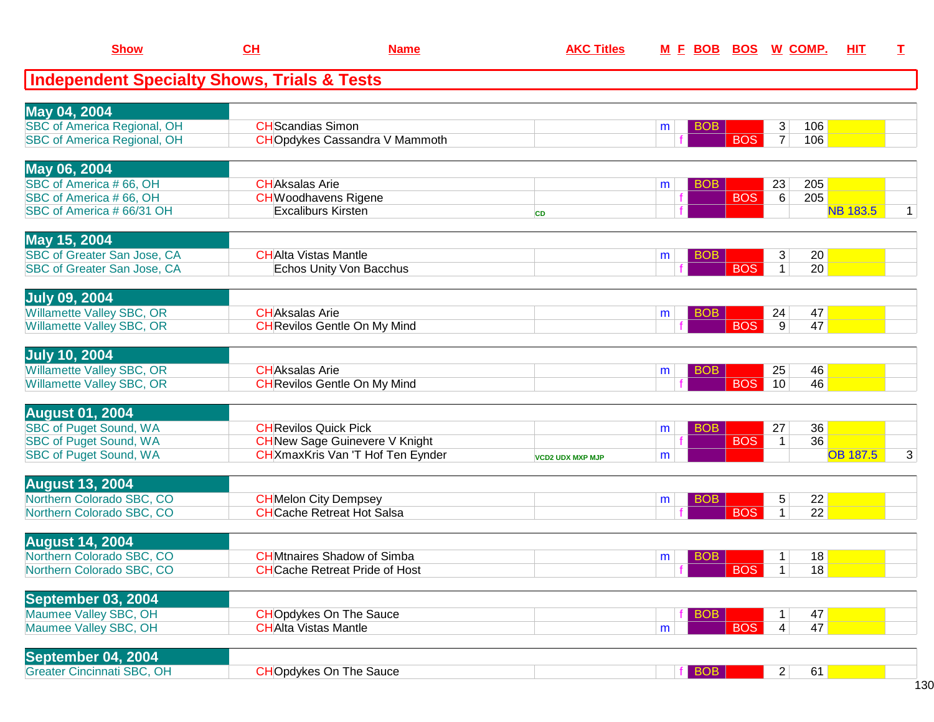| <b>Show</b>                                                | CL                       | <b>AKC Titles</b><br><b>Name</b>                         |                         | M E BOB BOS W COMP. |            |            | HIT<br>I          |          |                 |   |
|------------------------------------------------------------|--------------------------|----------------------------------------------------------|-------------------------|---------------------|------------|------------|-------------------|----------|-----------------|---|
| <b>Independent Specialty Shows, Trials &amp; Tests</b>     |                          |                                                          |                         |                     |            |            |                   |          |                 |   |
| May 04, 2004                                               |                          |                                                          |                         |                     |            |            |                   |          |                 |   |
| <b>SBC of America Regional, OH</b>                         | <b>CH</b> Scandias Simon |                                                          |                         | m                   | <b>BOB</b> |            | 3                 | 106      |                 |   |
| <b>SBC of America Regional, OH</b>                         |                          | <b>CHO</b> pdykes Cassandra V Mammoth                    |                         |                     |            | <b>BOS</b> | $\overline{7}$    | 106      |                 |   |
| May 06, 2004                                               |                          |                                                          |                         |                     |            |            |                   |          |                 |   |
| SBC of America #66, OH                                     | <b>CH</b> Aksalas Arie   |                                                          |                         | m                   | <b>BOB</b> |            | 23                | 205      |                 |   |
| SBC of America #66, OH<br>SBC of America # 66/31 OH        |                          | <b>CH</b> Woodhavens Rigene<br><b>Excaliburs Kirsten</b> |                         |                     |            | <b>BOS</b> | $6\overline{6}$   | 205      | <b>NB 183.5</b> | 1 |
|                                                            |                          |                                                          | <b>CD</b>               |                     |            |            |                   |          |                 |   |
| May 15, 2004                                               |                          |                                                          |                         |                     |            |            |                   |          |                 |   |
| SBC of Greater San Jose, CA<br>SBC of Greater San Jose, CA |                          | <b>CHAlta Vistas Mantle</b><br>Echos Unity Von Bacchus   |                         | m                   | <b>BOB</b> | <b>BOS</b> | 3<br>$\mathbf{1}$ | 20<br>20 |                 |   |
|                                                            |                          |                                                          |                         |                     |            |            |                   |          |                 |   |
| <b>July 09, 2004</b>                                       |                          |                                                          |                         |                     |            |            |                   |          |                 |   |
| Willamette Valley SBC, OR                                  | <b>CHAksalas Arie</b>    |                                                          |                         | m                   | <b>BOB</b> |            | 24                | 47       |                 |   |
| Willamette Valley SBC, OR                                  |                          | <b>CH</b> Revilos Gentle On My Mind                      |                         |                     |            | <b>BOS</b> | 9                 | 47       |                 |   |
| <b>July 10, 2004</b>                                       |                          |                                                          |                         |                     |            |            |                   |          |                 |   |
| <b>Willamette Valley SBC, OR</b>                           | <b>CHAksalas Arie</b>    |                                                          |                         | m                   | <b>BOB</b> |            | 25                | 46       |                 |   |
| Willamette Valley SBC, OR                                  |                          | <b>CH</b> Revilos Gentle On My Mind                      |                         |                     |            | <b>BOS</b> | 10                | 46       |                 |   |
| <b>August 01, 2004</b>                                     |                          |                                                          |                         |                     |            |            |                   |          |                 |   |
| <b>SBC of Puget Sound, WA</b>                              |                          | <b>CH</b> Revilos Quick Pick                             |                         | m                   | <b>BOB</b> |            | 27                | 36       |                 |   |
| <b>SBC of Puget Sound, WA</b>                              |                          | <b>CH</b> New Sage Guinevere V Knight                    |                         |                     |            | <b>BOS</b> | $\mathbf{1}$      | 36       | <b>OB 187.5</b> |   |
| SBC of Puget Sound, WA                                     |                          | CH XmaxKris Van 'T Hof Ten Eynder                        | <b>VCD2 UDX MXP MJP</b> | m                   |            |            |                   |          |                 | 3 |
| <b>August 13, 2004</b>                                     |                          |                                                          |                         |                     |            |            |                   |          |                 |   |
| Northern Colorado SBC, CO                                  |                          | <b>CH</b> Melon City Dempsey                             |                         | m                   | <b>BOB</b> |            | 5                 | 22       |                 |   |
| Northern Colorado SBC, CO                                  |                          | <b>CH</b> Cache Retreat Hot Salsa                        |                         |                     |            | <b>BOS</b> | 1                 | 22       |                 |   |
| <b>August 14, 2004</b>                                     |                          |                                                          |                         |                     |            |            |                   |          |                 |   |
| Northern Colorado SBC, CO                                  |                          | <b>CH</b> Mtnaires Shadow of Simba                       |                         | m                   | <b>BOB</b> |            | 1                 | 18       |                 |   |
| Northern Colorado SBC, CO                                  |                          | <b>CH</b> Cache Retreat Pride of Host                    |                         |                     |            | <b>BOS</b> | 1                 | 18       |                 |   |
| September 03, 2004                                         |                          |                                                          |                         |                     |            |            |                   |          |                 |   |
| Maumee Valley SBC, OH                                      |                          | <b>CHOpdykes On The Sauce</b>                            |                         |                     | <b>BOB</b> |            | $\mathbf{1}$      | 47       |                 |   |
| Maumee Valley SBC, OH                                      |                          | <b>CHAlta Vistas Mantle</b>                              |                         | m                   |            | <b>BOS</b> | $\vert 4 \vert$   | 47       |                 |   |
| September 04, 2004                                         |                          |                                                          |                         |                     |            |            |                   |          |                 |   |
| <b>Greater Cincinnati SBC, OH</b>                          |                          | <b>CHOpdykes On The Sauce</b>                            |                         |                     | $f$ BOB    |            | 2                 | 61       |                 |   |
|                                                            |                          |                                                          |                         |                     |            |            |                   |          |                 |   |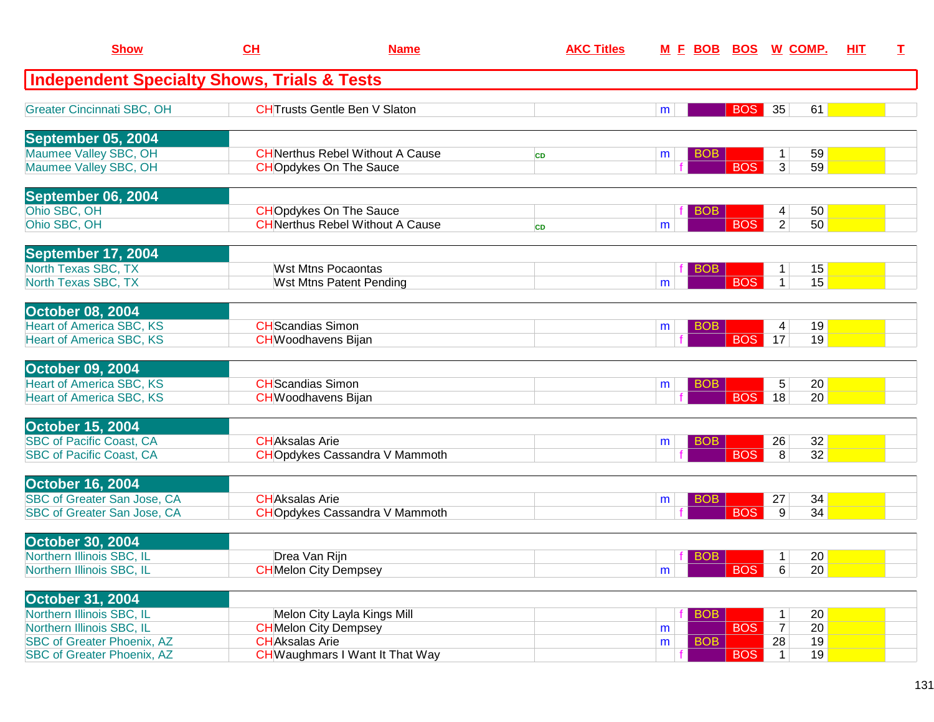| <b>Show</b>                                                            | CH                       | <b>Name</b>                                                              | <b>AKC Titles</b> | <u>M E BOB BOS W COMP.</u> |                                    |                       | <b>HIT</b> | $\mathbf{T}$ |
|------------------------------------------------------------------------|--------------------------|--------------------------------------------------------------------------|-------------------|----------------------------|------------------------------------|-----------------------|------------|--------------|
| <b>Independent Specialty Shows, Trials &amp; Tests</b>                 |                          |                                                                          |                   |                            |                                    |                       |            |              |
| <b>Greater Cincinnati SBC, OH</b>                                      |                          | <b>CHTrusts Gentle Ben V Slaton</b>                                      |                   | m                          | <b>BOS</b><br>35                   | 61                    |            |              |
| September 05, 2004                                                     |                          |                                                                          |                   |                            |                                    |                       |            |              |
| Maumee Valley SBC, OH<br>Maumee Valley SBC, OH                         |                          | <b>CHNerthus Rebel Without A Cause</b><br><b>CHOpdykes On The Sauce</b>  | <b>CD</b>         | <b>BOB</b><br>m            | $\mathbf 1$<br><b>BOS</b><br>3     | 59<br>59              |            |              |
| September 06, 2004                                                     |                          |                                                                          |                   |                            |                                    |                       |            |              |
| Ohio SBC, OH<br>Ohio SBC, OH                                           |                          | <b>CHOpdykes On The Sauce</b><br><b>CH</b> Nerthus Rebel Without A Cause | <b>CD</b>         | <b>BOB</b><br>m            | 4<br><b>BOS</b><br>$\overline{2}$  | 50<br>50              |            |              |
| September 17, 2004                                                     |                          |                                                                          |                   |                            |                                    |                       |            |              |
| North Texas SBC, TX<br>North Texas SBC, TX                             |                          | <b>Wst Mtns Pocaontas</b><br>Wst Mtns Patent Pending                     |                   | BOB<br>m                   | 1<br><b>BOS</b><br>$\mathbf{1}$    | 15<br>15              |            |              |
| <b>October 08, 2004</b>                                                |                          |                                                                          |                   |                            |                                    |                       |            |              |
| <b>Heart of America SBC, KS</b><br><b>Heart of America SBC, KS</b>     | <b>CH</b> Scandias Simon | <b>CH</b> Woodhavens Bijan                                               |                   | BO <sub>B</sub><br>m       | 4<br><b>BOS</b><br>17              | 19<br>19              |            |              |
| <b>October 09, 2004</b>                                                |                          |                                                                          |                   |                            |                                    |                       |            |              |
| <b>Heart of America SBC, KS</b><br><b>Heart of America SBC, KS</b>     | <b>CH</b> Scandias Simon | <b>CH</b> Woodhavens Bijan                                               |                   | BOB.<br>m                  | $\sqrt{5}$<br><b>BOS</b><br>18     | 20<br>20              |            |              |
| <b>October 15, 2004</b>                                                |                          |                                                                          |                   |                            |                                    |                       |            |              |
| <b>SBC of Pacific Coast, CA</b><br><b>SBC of Pacific Coast, CA</b>     | <b>CHAksalas Arie</b>    | <b>CHO</b> pdykes Cassandra V Mammoth                                    |                   | <b>BOB</b><br>m            | 26<br><b>BOS</b><br>8              | 32<br>32              |            |              |
| <b>October 16, 2004</b>                                                |                          |                                                                          |                   |                            |                                    |                       |            |              |
| SBC of Greater San Jose, CA<br>SBC of Greater San Jose, CA             | <b>CHAksalas Arie</b>    | <b>CHO</b> pdykes Cassandra V Mammoth                                    |                   | <b>BOB</b><br>m            | 27<br><b>BOS</b><br>9              | 34<br>34              |            |              |
| <b>October 30, 2004</b>                                                |                          |                                                                          |                   |                            |                                    |                       |            |              |
| Northern Illinois SBC, IL<br>Northern Illinois SBC, IL                 | Drea Van Rijn            | <b>CH</b> Melon City Dempsey                                             |                   | <b>BOB</b><br>fΙ<br>m      | 1<br><b>BOS</b><br>$6\overline{6}$ | 20<br>20              |            |              |
| <b>October 31, 2004</b>                                                |                          |                                                                          |                   |                            |                                    |                       |            |              |
| Northern Illinois SBC, IL<br>Northern Illinois SBC, IL                 |                          | Melon City Layla Kings Mill<br><b>CH</b> Melon City Dempsey              |                   | <b>BOB</b><br>m            | 1<br><b>BOS</b><br>$\overline{7}$  | 20<br>$\overline{20}$ |            |              |
| <b>SBC of Greater Phoenix, AZ</b><br><b>SBC of Greater Phoenix, AZ</b> | <b>CHAksalas Arie</b>    | <b>CH</b> Waughmars I Want It That Way                                   |                   | <b>BOB</b><br>m            | 28<br><b>BOS</b><br>$\mathbf{1}$   | 19<br>19              |            |              |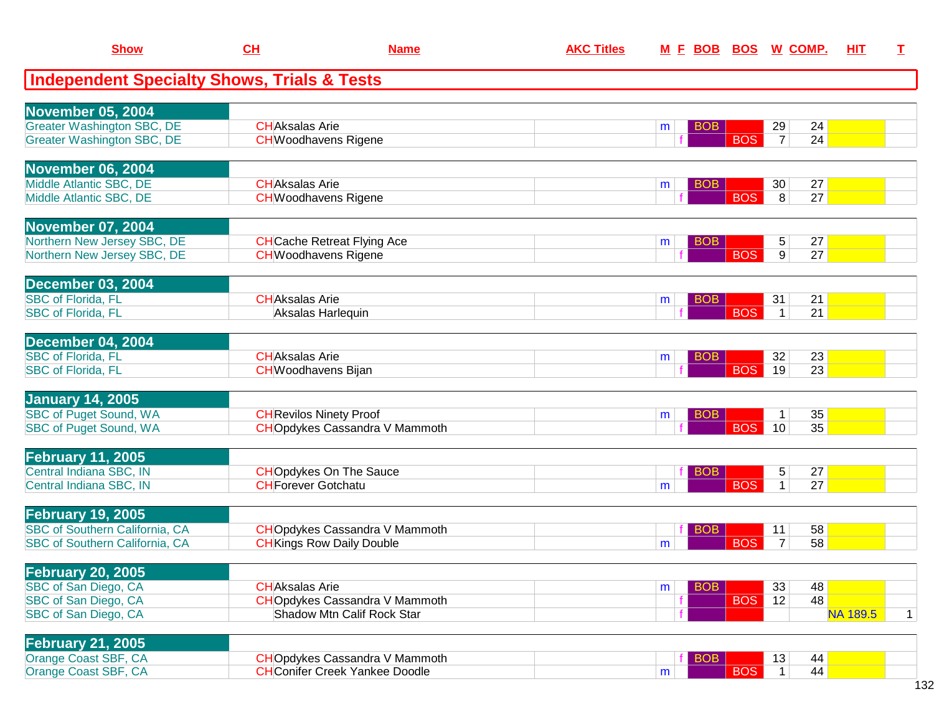| <b>Show</b>                                                             | CL                     | <b>Name</b>                                                                    | <b>AKC Titles</b> |                 |            | M E BOB BOS W COMP.                        | HIT      | I            |
|-------------------------------------------------------------------------|------------------------|--------------------------------------------------------------------------------|-------------------|-----------------|------------|--------------------------------------------|----------|--------------|
| <b>Independent Specialty Shows, Trials &amp; Tests</b>                  |                        |                                                                                |                   |                 |            |                                            |          |              |
| November 05, 2004                                                       |                        |                                                                                |                   |                 |            |                                            |          |              |
| <b>Greater Washington SBC, DE</b><br><b>Greater Washington SBC, DE</b>  | <b>CHAksalas Arie</b>  | <b>CH</b> Woodhavens Rigene                                                    |                   | <b>BOB</b><br>m | <b>BOS</b> | 29<br>24<br>24<br>$\overline{7}$           |          |              |
| November 06, 2004                                                       |                        |                                                                                |                   |                 |            |                                            |          |              |
| Middle Atlantic SBC, DE<br>Middle Atlantic SBC, DE                      | <b>CH</b> Aksalas Arie | <b>CH</b> Woodhavens Rigene                                                    |                   | <b>BOB</b><br>m | <b>BOS</b> | 27<br>30<br>27<br>8                        |          |              |
| <b>November 07, 2004</b>                                                |                        |                                                                                |                   |                 |            |                                            |          |              |
| Northern New Jersey SBC, DE<br>Northern New Jersey SBC, DE              |                        | <b>CH</b> Cache Retreat Flying Ace<br><b>CH</b> Woodhavens Rigene              |                   | <b>BOB</b><br>m | <b>BOS</b> | 27<br>5<br>27<br>9 <sup>°</sup>            |          |              |
| December 03, 2004                                                       |                        |                                                                                |                   |                 |            |                                            |          |              |
| <b>SBC of Florida, FL</b><br><b>SBC of Florida, FL</b>                  | <b>CHAksalas Arie</b>  | Aksalas Harlequin                                                              |                   | <b>BOB</b><br>m | <b>BOS</b> | 31<br>21<br>21<br>$\mathbf{1}$             |          |              |
| December 04, 2004                                                       |                        |                                                                                |                   |                 |            |                                            |          |              |
| <b>SBC</b> of Florida, FL<br><b>SBC</b> of Florida, FL                  | <b>CH</b> Aksalas Arie | <b>CH</b> Woodhavens Bijan                                                     |                   | <b>BOB</b><br>m | <b>BOS</b> | 32<br>23<br>$\overline{23}$<br>19          |          |              |
| <b>January 14, 2005</b>                                                 |                        |                                                                                |                   |                 |            |                                            |          |              |
| <b>SBC of Puget Sound, WA</b><br><b>SBC of Puget Sound, WA</b>          |                        | <b>CH</b> Revilos Ninety Proof<br><b>CHO</b> pdykes Cassandra V Mammoth        |                   | <b>BOB</b><br>m | <b>BOS</b> | 35<br>$\mathbf 1$<br>35<br>10 <sup>°</sup> |          |              |
| <b>February 11, 2005</b>                                                |                        |                                                                                |                   |                 |            |                                            |          |              |
| Central Indiana SBC, IN<br>Central Indiana SBC, IN                      |                        | <b>CHOpdykes On The Sauce</b><br><b>CH</b> Forever Gotchatu                    |                   | <b>BOB</b><br>m | <b>BOS</b> | 27<br>5<br>$\mathbf{1}$<br>27              |          |              |
| <b>February 19, 2005</b>                                                |                        |                                                                                |                   |                 |            |                                            |          |              |
| <b>SBC of Southern California, CA</b><br>SBC of Southern California, CA |                        | <b>CHO</b> pdykes Cassandra V Mammoth<br><b>CH</b> Kings Row Daily Double      |                   | <b>BOB</b><br>m | <b>BOS</b> | 58<br>11<br>58<br>$\overline{7}$           |          |              |
| <b>February 20, 2005</b>                                                |                        |                                                                                |                   |                 |            |                                            |          |              |
| SBC of San Diego, CA                                                    | <b>CH</b> Aksalas Arie |                                                                                |                   | <b>BOB</b><br>m |            | 33<br>48                                   |          |              |
| SBC of San Diego, CA<br>SBC of San Diego, CA                            |                        | <b>CHO</b> pdykes Cassandra V Mammoth<br>Shadow Mtn Calif Rock Star            |                   |                 | <b>BOS</b> | 48<br>$\overline{12}$                      | NA 189.5 | $\mathbf{1}$ |
| <b>February 21, 2005</b>                                                |                        |                                                                                |                   |                 |            |                                            |          |              |
| Orange Coast SBF, CA                                                    |                        | <b>CHO</b> pdykes Cassandra V Mammoth<br><b>CH</b> Conifer Creek Yankee Doodle |                   | <b>BOB</b>      | <b>BOS</b> | 44<br>13<br>44<br>$\vert$ 1                |          |              |
| Orange Coast SBF, CA                                                    |                        |                                                                                |                   | m               |            |                                            |          |              |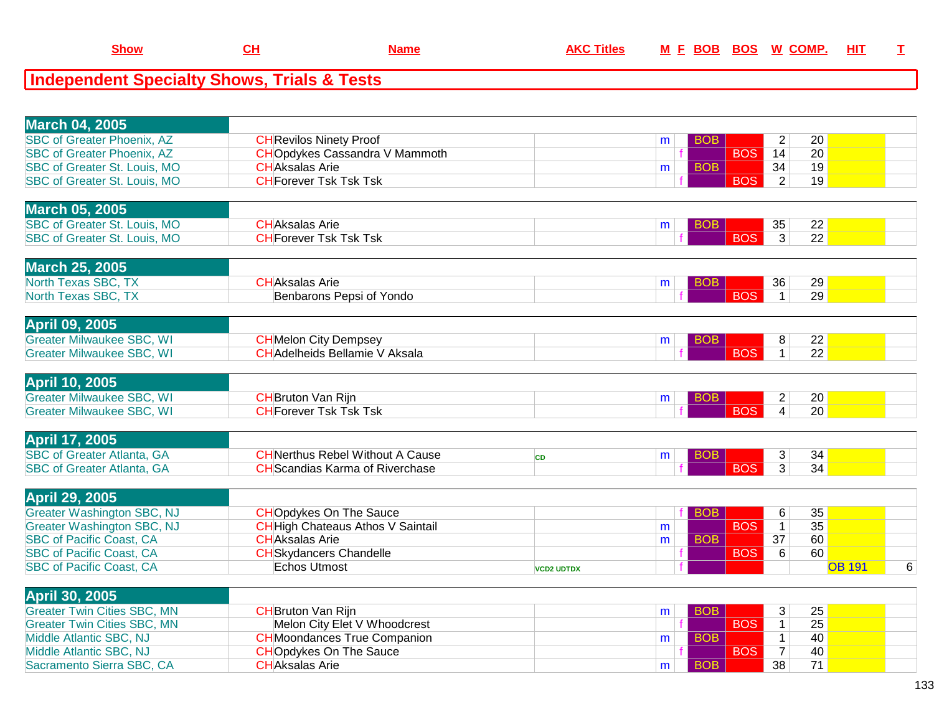| <b>Show</b> |  | M<br>нке |
|-------------|--|----------|
|             |  |          |

## **Independent Specialty Shows, Trials & Tests**

| <b>March 04, 2005</b>                                       |                                          |                   |   |            |                |                 |               |   |
|-------------------------------------------------------------|------------------------------------------|-------------------|---|------------|----------------|-----------------|---------------|---|
| <b>SBC of Greater Phoenix, AZ</b>                           | <b>CH</b> Revilos Ninety Proof           |                   | m | <b>BOB</b> | $\overline{2}$ | 20              |               |   |
| <b>SBC of Greater Phoenix, AZ</b>                           | <b>CHO</b> pdykes Cassandra V Mammoth    |                   |   | <b>BOS</b> | 14             | 20              |               |   |
| SBC of Greater St. Louis, MO                                | <b>CHAksalas Arie</b>                    |                   | m | <b>BOB</b> | 34             | 19              |               |   |
| SBC of Greater St. Louis, MO                                | <b>CH</b> Forever Tsk Tsk Tsk            |                   |   | <b>BOS</b> | 2              | 19              |               |   |
|                                                             |                                          |                   |   |            |                |                 |               |   |
| <b>March 05, 2005</b>                                       |                                          |                   |   |            |                |                 |               |   |
| <b>SBC of Greater St. Louis, MO</b>                         | <b>CHAksalas Arie</b>                    |                   | m | <b>BOB</b> | 35             | 22              |               |   |
| SBC of Greater St. Louis, MO                                | <b>CH</b> Forever Tsk Tsk Tsk            |                   |   | <b>BOS</b> | $\overline{3}$ | $\overline{22}$ |               |   |
| <b>March 25, 2005</b>                                       |                                          |                   |   |            |                |                 |               |   |
| North Texas SBC, TX                                         | <b>CHAksalas Arie</b>                    |                   | m | <b>BOB</b> | 36             | 29              |               |   |
| North Texas SBC, TX                                         | Benbarons Pepsi of Yondo                 |                   |   | <b>BOS</b> | $\mathbf{1}$   | 29              |               |   |
|                                                             |                                          |                   |   |            |                |                 |               |   |
| <b>April 09, 2005</b>                                       |                                          |                   |   |            |                |                 |               |   |
| <b>Greater Milwaukee SBC, WI</b>                            | <b>CH</b> Melon City Dempsey             |                   | m | BOB        | 8              | 22              |               |   |
| <b>Greater Milwaukee SBC, WI</b>                            | <b>CH</b> Adelheids Bellamie V Aksala    |                   |   | <b>BOS</b> | $\mathbf{1}$   | $\overline{22}$ |               |   |
|                                                             |                                          |                   |   |            |                |                 |               |   |
| <b>April 10, 2005</b>                                       |                                          |                   |   |            |                |                 |               |   |
| <b>Greater Milwaukee SBC, WI</b>                            | <b>CH</b> Bruton Van Rijn                |                   | m | <b>BOB</b> | $\overline{2}$ | 20              |               |   |
| <b>Greater Milwaukee SBC, WI</b>                            | <b>CH</b> Forever Tsk Tsk Tsk            |                   |   | <b>BOS</b> | $\overline{4}$ | 20              |               |   |
| <b>April 17, 2005</b>                                       |                                          |                   |   |            |                |                 |               |   |
| <b>SBC of Greater Atlanta, GA</b>                           | <b>CHNerthus Rebel Without A Cause</b>   | <b>CD</b>         | m | <b>BOB</b> | 3              | 34              |               |   |
| <b>SBC of Greater Atlanta, GA</b>                           | <b>CH</b> Scandias Karma of Riverchase   |                   |   | <b>BOS</b> | $\overline{3}$ | 34              |               |   |
|                                                             |                                          |                   |   |            |                |                 |               |   |
| <b>April 29, 2005</b>                                       |                                          |                   |   |            |                |                 |               |   |
| <b>Greater Washington SBC, NJ</b>                           | <b>CHOpdykes On The Sauce</b>            |                   |   | <b>BOB</b> | 6              | 35              |               |   |
| <b>Greater Washington SBC, NJ</b>                           | <b>CH</b> High Chateaus Athos V Saintail |                   | m | <b>BOS</b> | $\overline{1}$ | 35              |               |   |
| <b>SBC of Pacific Coast, CA</b>                             | <b>CHAksalas Arie</b>                    |                   | m | <b>BOB</b> | 37             | 60              |               |   |
| <b>SBC of Pacific Coast, CA</b>                             | <b>CH</b> Skydancers Chandelle           |                   |   | <b>BOS</b> | 6              | 60              |               |   |
| <b>SBC of Pacific Coast, CA</b>                             | <b>Echos Utmost</b>                      | <b>VCD2 UDTDX</b> |   |            |                |                 | <b>OB 191</b> | 6 |
|                                                             |                                          |                   |   |            |                |                 |               |   |
| <b>April 30, 2005</b><br><b>Greater Twin Cities SBC, MN</b> | <b>CH</b> Bruton Van Rijn                |                   |   | <b>BOB</b> | $\mathbf{3}$   | 25              |               |   |
| <b>Greater Twin Cities SBC, MN</b>                          | Melon City Elet V Whoodcrest             |                   | m | <b>BOS</b> | $\overline{1}$ | $\overline{25}$ |               |   |
| Middle Atlantic SBC, NJ                                     | <b>CH</b> Moondances True Companion      |                   | m | <b>BOB</b> | $\mathbf 1$    | 40              |               |   |
| Middle Atlantic SBC, NJ                                     | <b>CHOpdykes On The Sauce</b>            |                   |   | <b>BOS</b> | $\overline{7}$ | 40              |               |   |
| Sacramento Sierra SBC, CA                                   | <b>CHAksalas Arie</b>                    |                   | m | <b>BOB</b> | 38             | 71              |               |   |
|                                                             |                                          |                   |   |            |                |                 |               |   |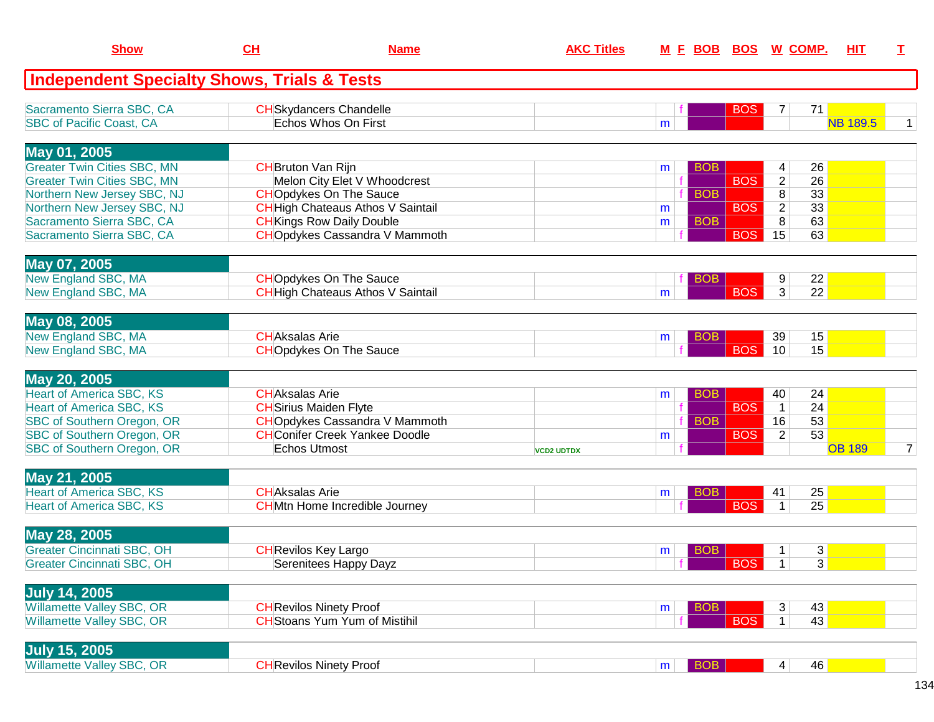| <b>Show</b>                                            | CL                          | <b>Name</b>                              | <b>AKC Titles</b> |                | M E BOB BOS W COMP. |            |                 |    | <b>HIT</b>      | T.             |
|--------------------------------------------------------|-----------------------------|------------------------------------------|-------------------|----------------|---------------------|------------|-----------------|----|-----------------|----------------|
| <b>Independent Specialty Shows, Trials &amp; Tests</b> |                             |                                          |                   |                |                     |            |                 |    |                 |                |
| Sacramento Sierra SBC, CA                              |                             | <b>CH</b> Skydancers Chandelle           |                   |                |                     | <b>BOS</b> | 7               | 71 |                 |                |
| <b>SBC of Pacific Coast, CA</b>                        |                             | Echos Whos On First                      |                   | m              |                     |            |                 |    | <b>NB 189.5</b> | $\mathbf{1}$   |
| May 01, 2005                                           |                             |                                          |                   |                |                     |            |                 |    |                 |                |
| <b>Greater Twin Cities SBC, MN</b>                     | <b>CH</b> Bruton Van Rijn   |                                          |                   | m              | <b>BOB</b>          |            | 4               | 26 |                 |                |
| <b>Greater Twin Cities SBC, MN</b>                     |                             | Melon City Elet V Whoodcrest             |                   |                |                     | <b>BOS</b> | $\overline{c}$  | 26 |                 |                |
| Northern New Jersey SBC, NJ                            |                             | <b>CHOpdykes On The Sauce</b>            |                   |                | <b>BOB</b>          |            | 8               | 33 |                 |                |
| Northern New Jersey SBC, NJ                            |                             | <b>CH</b> High Chateaus Athos V Saintail |                   | m              |                     | <b>BOS</b> | $\overline{2}$  | 33 |                 |                |
| Sacramento Sierra SBC, CA                              |                             | <b>CH</b> Kings Row Daily Double         |                   | m              | <b>BOB</b>          |            | 8               | 63 |                 |                |
| Sacramento Sierra SBC, CA                              |                             | <b>CHO</b> pdykes Cassandra V Mammoth    |                   |                |                     | <b>BOS</b> | 15              | 63 |                 |                |
| May 07, 2005                                           |                             |                                          |                   |                |                     |            |                 |    |                 |                |
| New England SBC, MA                                    |                             | <b>CHOpdykes On The Sauce</b>            |                   |                | <b>BOB</b>          |            | 9               | 22 |                 |                |
| New England SBC, MA                                    |                             | <b>CH</b> High Chateaus Athos V Saintail |                   | m              |                     | <b>BOS</b> | 3               | 22 |                 |                |
| May 08, 2005                                           |                             |                                          |                   |                |                     |            |                 |    |                 |                |
| New England SBC, MA                                    | <b>CHAksalas Arie</b>       |                                          |                   |                | <b>BOB</b>          |            | 39              | 15 |                 |                |
| New England SBC, MA                                    |                             | <b>CHOpdykes On The Sauce</b>            |                   | m              |                     | <b>BOS</b> | 10              | 15 |                 |                |
|                                                        |                             |                                          |                   |                |                     |            |                 |    |                 |                |
| May 20, 2005                                           |                             |                                          |                   |                |                     |            |                 |    |                 |                |
| <b>Heart of America SBC, KS</b>                        | <b>CHAksalas Arie</b>       |                                          |                   | m              | <b>BOB</b>          |            | 40              | 24 |                 |                |
| <b>Heart of America SBC, KS</b>                        |                             | <b>CH</b> Sirius Maiden Flyte            |                   |                |                     | <b>BOS</b> | $\overline{1}$  | 24 |                 |                |
| SBC of Southern Oregon, OR                             |                             | <b>CHO</b> pdykes Cassandra V Mammoth    |                   |                | <b>BOB</b>          |            | 16              | 53 |                 |                |
| SBC of Southern Oregon, OR                             |                             | <b>CH</b> Conifer Creek Yankee Doodle    |                   | m              |                     | <b>BOS</b> | $\overline{2}$  | 53 |                 |                |
| SBC of Southern Oregon, OR                             | Echos Utmost                |                                          | <b>VCD2 UDTDX</b> |                |                     |            |                 |    | <b>OB 189</b>   | $\overline{7}$ |
| May 21, 2005                                           |                             |                                          |                   |                |                     |            |                 |    |                 |                |
| <b>Heart of America SBC, KS</b>                        | <b>CHAksalas Arie</b>       |                                          |                   | m              | <b>BOB</b>          |            | 41              | 25 |                 |                |
| <b>Heart of America SBC, KS</b>                        |                             | <b>CH</b> Mtn Home Incredible Journey    |                   |                |                     | <b>BOS</b> | $\mathbf{1}$    | 25 |                 |                |
| May 28, 2005                                           |                             |                                          |                   |                |                     |            |                 |    |                 |                |
| <b>Greater Cincinnati SBC, OH</b>                      | <b>CH</b> Revilos Key Largo |                                          |                   | m              | BOB                 |            | 1               | 3  |                 |                |
| <b>Greater Cincinnati SBC, OH</b>                      |                             | Serenitees Happy Dayz                    |                   |                |                     | $ $ BOS    | $\overline{1}$  | 3  |                 |                |
| <b>July 14, 2005</b>                                   |                             |                                          |                   |                |                     |            |                 |    |                 |                |
| Willamette Valley SBC, OR                              |                             | <b>CH</b> Revilos Ninety Proof           |                   | m              | <b>BOB</b>          |            | 3 <sup>2</sup>  | 43 |                 |                |
| <b>Willamette Valley SBC, OR</b>                       |                             | <b>CH</b> Stoans Yum Yum of Mistihil     |                   |                |                     | <b>BOS</b> | $\mathbf{1}$    | 43 |                 |                |
|                                                        |                             |                                          |                   |                |                     |            |                 |    |                 |                |
| <b>July 15, 2005</b>                                   |                             |                                          |                   |                |                     |            |                 |    |                 |                |
| <b>Willamette Valley SBC, OR</b>                       |                             | <b>CH</b> Revilos Ninety Proof           |                   | m <sub>1</sub> | <b>BOB</b>          |            | $\vert 4 \vert$ | 46 |                 |                |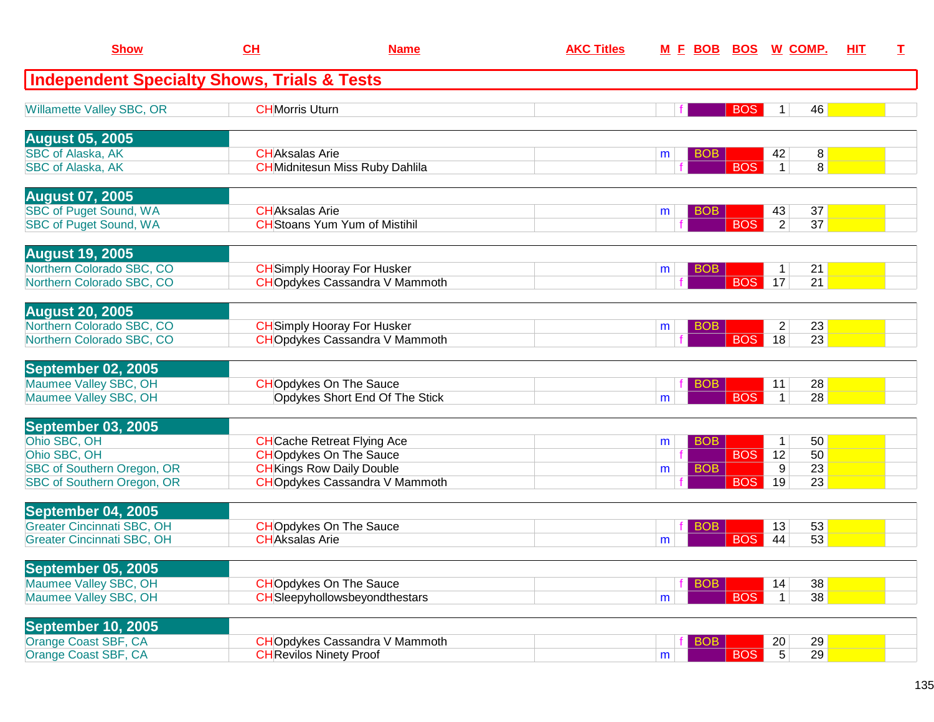| <b>Show</b>                                                            | CH                    | <b>Name</b>                                                                 | <b>AKC Titles</b> | <u>M F BOB</u>  | <b>BOS</b>         | <u>W_COMP.</u>                   | HIT | T. |
|------------------------------------------------------------------------|-----------------------|-----------------------------------------------------------------------------|-------------------|-----------------|--------------------|----------------------------------|-----|----|
| <b>Independent Specialty Shows, Trials &amp; Tests</b>                 |                       |                                                                             |                   |                 |                    |                                  |     |    |
| <b>Willamette Valley SBC, OR</b>                                       | <b>CHMorris Uturn</b> |                                                                             |                   |                 | <b>BOS</b>         | 46<br>1                          |     |    |
| <b>August 05, 2005</b>                                                 |                       |                                                                             |                   |                 |                    |                                  |     |    |
| <b>SBC of Alaska, AK</b><br><b>SBC of Alaska, AK</b>                   | <b>CHAksalas Arie</b> | <b>CH</b> Midnitesun Miss Ruby Dahlila                                      |                   | <b>BOB</b><br>m | <b>BOS</b>         | 42<br>8<br>8<br>$\mathbf{1}$     |     |    |
| <b>August 07, 2005</b>                                                 |                       |                                                                             |                   |                 |                    |                                  |     |    |
| <b>SBC of Puget Sound, WA</b><br><b>SBC of Puget Sound, WA</b>         | <b>CHAksalas Arie</b> | <b>CH</b> Stoans Yum Yum of Mistihil                                        |                   | <b>BOB</b><br>m | <b>BOS</b>         | 37<br>43<br>2<br>37              |     |    |
| <b>August 19, 2005</b>                                                 |                       |                                                                             |                   |                 |                    |                                  |     |    |
| Northern Colorado SBC, CO<br>Northern Colorado SBC, CO                 |                       | <b>CH</b> Simply Hooray For Husker<br><b>CHO</b> pdykes Cassandra V Mammoth |                   | <b>BOB</b><br>m | <b>BOS</b>         | 21<br>1<br>21<br>17              |     |    |
| <b>August 20, 2005</b>                                                 |                       |                                                                             |                   |                 |                    |                                  |     |    |
| Northern Colorado SBC, CO<br>Northern Colorado SBC, CO                 |                       | <b>CH</b> Simply Hooray For Husker<br><b>CHO</b> pdykes Cassandra V Mammoth |                   | m               | BOB.<br><b>BOS</b> | $\overline{c}$<br>23<br>23<br>18 |     |    |
| September 02, 2005                                                     |                       |                                                                             |                   |                 |                    |                                  |     |    |
| Maumee Valley SBC, OH<br>Maumee Valley SBC, OH                         |                       | <b>CHOpdykes On The Sauce</b><br>Opdykes Short End Of The Stick             |                   | m               | BOB.<br><b>BOS</b> | 28<br>11<br>28<br>$\mathbf{1}$   |     |    |
| September 03, 2005                                                     |                       |                                                                             |                   |                 |                    |                                  |     |    |
| Ohio SBC, OH                                                           |                       | <b>CH</b> Cache Retreat Flying Ace                                          |                   | <b>BOB</b><br>m |                    | 50<br>$\mathbf 1$                |     |    |
| Ohio SBC, OH                                                           |                       | <b>CHOpdykes On The Sauce</b>                                               |                   |                 | <b>BOS</b>         | 50<br>12                         |     |    |
| SBC of Southern Oregon, OR<br>SBC of Southern Oregon, OR               |                       | <b>CH</b> Kings Row Daily Double<br><b>CHO</b> pdykes Cassandra V Mammoth   |                   | <b>BOB</b><br>m | <b>BOS</b>         | 9<br>23<br>23<br>19              |     |    |
| September 04, 2005                                                     |                       |                                                                             |                   |                 |                    |                                  |     |    |
| <b>Greater Cincinnati SBC, OH</b><br><b>Greater Cincinnati SBC, OH</b> | <b>CHAksalas Arie</b> | <b>CHOpdykes On The Sauce</b>                                               |                   | <b>BOB</b><br>m | <b>BOS</b>         | 53<br>13<br>53<br>44             |     |    |
| <b>September 05, 2005</b>                                              |                       |                                                                             |                   |                 |                    |                                  |     |    |
| Maumee Valley SBC, OH                                                  |                       | <b>CHOpdykes On The Sauce</b>                                               |                   | <b>BOB</b>      |                    | 38<br>14                         |     |    |
| Maumee Valley SBC, OH                                                  |                       | CHSIeepyhollowsbeyondthestars                                               |                   | m               | <b>BOS</b>         | 38<br>$\mathbf{1}$               |     |    |
| September 10, 2005                                                     |                       |                                                                             |                   |                 |                    |                                  |     |    |
| Orange Coast SBF, CA                                                   |                       | <b>CHO</b> pdykes Cassandra V Mammoth                                       |                   | <b>BOB</b>      |                    | 29<br>20                         |     |    |
| Orange Coast SBF, CA                                                   |                       | <b>CH</b> Revilos Ninety Proof                                              |                   | m               | <b>BOS</b>         | $5\overline{)}$<br>29            |     |    |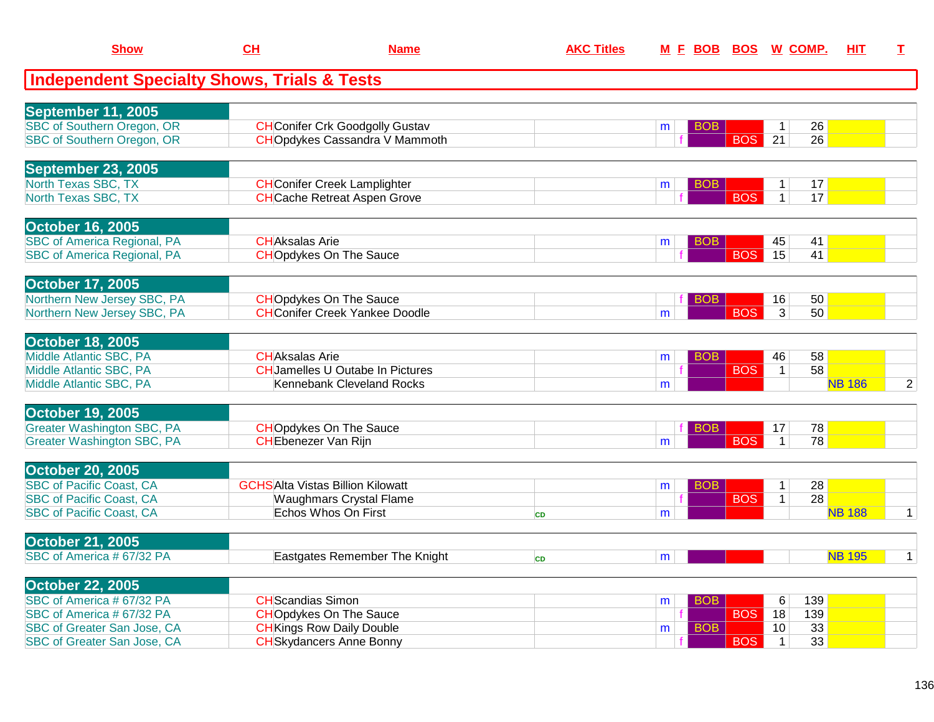| <b>Show</b>                                                        | CH                       | <b>Name</b>                                                               | <b>AKC Titles</b> | M E BOB |                          | <b>BOS W COMP.</b>                                     | HIT           | I.             |
|--------------------------------------------------------------------|--------------------------|---------------------------------------------------------------------------|-------------------|---------|--------------------------|--------------------------------------------------------|---------------|----------------|
| <b>Independent Specialty Shows, Trials &amp; Tests</b>             |                          |                                                                           |                   |         |                          |                                                        |               |                |
| September 11, 2005                                                 |                          |                                                                           |                   |         |                          |                                                        |               |                |
| <b>SBC of Southern Oregon, OR</b>                                  |                          | <b>CH</b> Conifer Crk Goodgolly Gustav                                    |                   | m       | BOB                      | 26<br>$\mathbf 1$                                      |               |                |
| <b>SBC of Southern Oregon, OR</b>                                  |                          | <b>CHOpdykes Cassandra V Mammoth</b>                                      |                   |         | <b>BOS</b>               | $\overline{26}$<br>$\overline{21}$                     |               |                |
| <b>September 23, 2005</b>                                          |                          |                                                                           |                   |         |                          |                                                        |               |                |
| North Texas SBC, TX                                                |                          | <b>CH</b> Conifer Creek Lamplighter                                       |                   | m       | BOB                      | 17<br>$\mathbf 1$                                      |               |                |
| North Texas SBC, TX                                                |                          | <b>CH</b> Cache Retreat Aspen Grove                                       |                   |         | <b>BOS</b>               | 17<br>1                                                |               |                |
| <b>October 16, 2005</b>                                            |                          |                                                                           |                   |         |                          |                                                        |               |                |
| <b>SBC of America Regional, PA</b>                                 | <b>CHAksalas Arie</b>    |                                                                           |                   | m       | <b>BOB</b>               | 41<br>45                                               |               |                |
| <b>SBC of America Regional, PA</b>                                 |                          | <b>CHOpdykes On The Sauce</b>                                             |                   |         | <b>BOS</b>               | 15<br>41                                               |               |                |
| <b>October 17, 2005</b>                                            |                          |                                                                           |                   |         |                          |                                                        |               |                |
| Northern New Jersey SBC, PA<br>Northern New Jersey SBC, PA         |                          | <b>CHOpdykes On The Sauce</b><br><b>CH</b> Conifer Creek Yankee Doodle    |                   | m       | <b>BOB</b><br><b>BOS</b> | 50<br>16<br>3<br>50                                    |               |                |
|                                                                    |                          |                                                                           |                   |         |                          |                                                        |               |                |
| <b>October 18, 2005</b>                                            |                          |                                                                           |                   |         |                          |                                                        |               |                |
| Middle Atlantic SBC, PA<br>Middle Atlantic SBC, PA                 | <b>CHAksalas Arie</b>    | <b>CHJamelles U Outabe In Pictures</b>                                    |                   | m       | <b>BOB</b><br><b>BOS</b> | 58<br>46<br>58<br>$\mathbf{1}$                         |               |                |
| Middle Atlantic SBC, PA                                            |                          | Kennebank Cleveland Rocks                                                 |                   | m       |                          |                                                        | <b>NB 186</b> | $\overline{2}$ |
|                                                                    |                          |                                                                           |                   |         |                          |                                                        |               |                |
| <b>October 19, 2005</b><br><b>Greater Washington SBC, PA</b>       |                          |                                                                           |                   |         |                          |                                                        |               |                |
| <b>Greater Washington SBC, PA</b>                                  |                          | <b>CHOpdykes On The Sauce</b><br><b>CHEbenezer Van Rijn</b>               |                   | m       | BOB.<br><b>BOS</b>       | 78<br>17<br>$\overline{78}$<br>$\mathbf{1}$            |               |                |
|                                                                    |                          |                                                                           |                   |         |                          |                                                        |               |                |
| <b>October 20, 2005</b>                                            |                          |                                                                           |                   |         |                          |                                                        |               |                |
| <b>SBC of Pacific Coast, CA</b><br><b>SBC of Pacific Coast, CA</b> |                          | <b>GCHSAlta Vistas Billion Kilowatt</b><br><b>Waughmars Crystal Flame</b> |                   | m       | BOB<br><b>BOS</b>        | 28<br>$\mathbf 1$<br>$\overline{28}$<br>$\overline{1}$ |               |                |
| <b>SBC of Pacific Coast, CA</b>                                    |                          | Echos Whos On First                                                       | CD                | m       |                          |                                                        | <b>NB 188</b> | $\mathbf{1}$   |
|                                                                    |                          |                                                                           |                   |         |                          |                                                        |               |                |
| <b>October 21, 2005</b>                                            |                          |                                                                           |                   |         |                          |                                                        |               |                |
| SBC of America # 67/32 PA                                          |                          | Eastgates Remember The Knight                                             | <b>CD</b>         | m       |                          |                                                        | <b>NB 195</b> | $\mathbf{1}$   |
| <b>October 22, 2005</b>                                            |                          |                                                                           |                   |         |                          |                                                        |               |                |
| SBC of America # 67/32 PA                                          | <b>CH</b> Scandias Simon |                                                                           |                   | m       | <b>BOB</b>               | 139<br>6                                               |               |                |
| SBC of America # 67/32 PA<br>SBC of Greater San Jose, CA           |                          | <b>CHOpdykes On The Sauce</b><br><b>CH</b> Kings Row Daily Double         |                   |         | <b>BOS</b><br><b>BOB</b> | 139<br>18<br>33<br>10                                  |               |                |
| SBC of Greater San Jose, CA                                        |                          | <b>CH</b> Skydancers Anne Bonny                                           |                   | m       | <b>BOS</b>               | 33<br>$\mathbf{1}$                                     |               |                |
|                                                                    |                          |                                                                           |                   |         |                          |                                                        |               |                |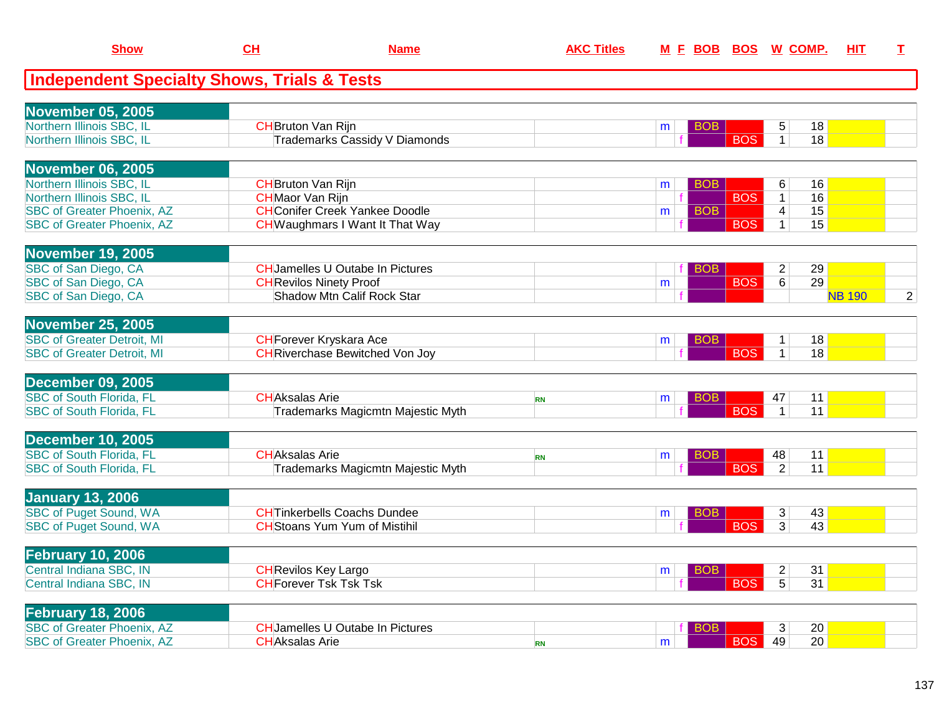| <b>Show</b>                                            | CH                        | <b>Name</b>                            | <b>AKC Titles</b> |   | M E BOB BOS W COMP. |            |                |    | <u>HIT</u>    | I              |
|--------------------------------------------------------|---------------------------|----------------------------------------|-------------------|---|---------------------|------------|----------------|----|---------------|----------------|
| <b>Independent Specialty Shows, Trials &amp; Tests</b> |                           |                                        |                   |   |                     |            |                |    |               |                |
| <b>November 05, 2005</b>                               |                           |                                        |                   |   |                     |            |                |    |               |                |
| Northern Illinois SBC, IL                              | <b>CH</b> Bruton Van Rijn |                                        |                   | m | <b>BOB</b>          |            | 5              | 18 |               |                |
| Northern Illinois SBC, IL                              |                           | <b>Trademarks Cassidy V Diamonds</b>   |                   |   |                     | <b>BOS</b> | $\mathbf{1}$   | 18 |               |                |
| <b>November 06, 2005</b>                               |                           |                                        |                   |   |                     |            |                |    |               |                |
| Northern Illinois SBC, IL                              | <b>CH</b> Bruton Van Rijn |                                        |                   | m | <b>BOB</b>          |            | 6              | 16 |               |                |
| Northern Illinois SBC, IL                              | <b>CH</b> Maor Van Rijn   |                                        |                   |   |                     | <b>BOS</b> | $\overline{1}$ | 16 |               |                |
| <b>SBC of Greater Phoenix, AZ</b>                      |                           | <b>CHConifer Creek Yankee Doodle</b>   |                   | m | <b>BOB</b>          |            | 4              | 15 |               |                |
| <b>SBC of Greater Phoenix, AZ</b>                      |                           | <b>CH</b> Waughmars I Want It That Way |                   |   |                     | <b>BOS</b> | $\mathbf{1}$   | 15 |               |                |
| <b>November 19, 2005</b>                               |                           |                                        |                   |   |                     |            |                |    |               |                |
| SBC of San Diego, CA                                   |                           | <b>CHJamelles U Outabe In Pictures</b> |                   |   | <b>BOB</b>          |            | $\overline{c}$ | 29 |               |                |
| SBC of San Diego, CA                                   |                           | <b>CH</b> Revilos Ninety Proof         |                   | m |                     | <b>BOS</b> | 6              | 29 |               |                |
| SBC of San Diego, CA                                   |                           | Shadow Mtn Calif Rock Star             |                   |   |                     |            |                |    | <b>NB 190</b> | $\overline{2}$ |
| <b>November 25, 2005</b>                               |                           |                                        |                   |   |                     |            |                |    |               |                |
| <b>SBC of Greater Detroit, MI</b>                      |                           | <b>CH</b> Forever Kryskara Ace         |                   | m | <b>BOB</b>          |            | $\mathbf{1}$   | 18 |               |                |
| <b>SBC of Greater Detroit, MI</b>                      |                           | <b>CH</b> Riverchase Bewitched Von Joy |                   |   |                     | <b>BOS</b> | $\mathbf{1}$   | 18 |               |                |
| <b>December 09, 2005</b>                               |                           |                                        |                   |   |                     |            |                |    |               |                |
| <b>SBC of South Florida, FL</b>                        | <b>CHAksalas Arie</b>     |                                        | <b>RN</b>         | m | <b>BOB</b>          |            | 47             | 11 |               |                |
| <b>SBC of South Florida, FL</b>                        |                           | Trademarks Magicmtn Majestic Myth      |                   |   |                     | <b>BOS</b> | $\mathbf{1}$   | 11 |               |                |
| <b>December 10, 2005</b>                               |                           |                                        |                   |   |                     |            |                |    |               |                |
| <b>SBC of South Florida, FL</b>                        | <b>CHAksalas Arie</b>     |                                        | <b>RN</b>         | m | <b>BOB</b>          |            | 48             | 11 |               |                |
| <b>SBC of South Florida, FL</b>                        |                           | Trademarks Magicmtn Majestic Myth      |                   |   |                     | <b>BOS</b> | $\overline{2}$ | 11 |               |                |
| <b>January 13, 2006</b>                                |                           |                                        |                   |   |                     |            |                |    |               |                |
| <b>SBC of Puget Sound, WA</b>                          |                           | <b>CHTinkerbells Coachs Dundee</b>     |                   | m | <b>BOB</b>          |            | 3              | 43 |               |                |
| <b>SBC of Puget Sound, WA</b>                          |                           | <b>CH</b> Stoans Yum Yum of Mistihil   |                   |   |                     | <b>BOS</b> | 3              | 43 |               |                |
| <b>February 10, 2006</b>                               |                           |                                        |                   |   |                     |            |                |    |               |                |
| Central Indiana SBC, IN                                |                           | <b>CH</b> Revilos Key Largo            |                   | m | <b>BOB</b>          |            | $\overline{c}$ | 31 |               |                |
| Central Indiana SBC, IN                                |                           | <b>CH</b> Forever Tsk Tsk Tsk          |                   |   |                     | <b>BOS</b> | $\overline{5}$ | 31 |               |                |
| <b>February 18, 2006</b>                               |                           |                                        |                   |   |                     |            |                |    |               |                |
| <b>SBC of Greater Phoenix, AZ</b>                      |                           | <b>CHJamelles U Outabe In Pictures</b> |                   |   | BOB                 |            | 3              | 20 |               |                |
| <b>SBC of Greater Phoenix, AZ</b>                      | <b>CHAksalas Arie</b>     |                                        | <b>RN</b>         | m |                     | <b>BOS</b> | 49             | 20 |               |                |
|                                                        |                           |                                        |                   |   |                     |            |                |    |               |                |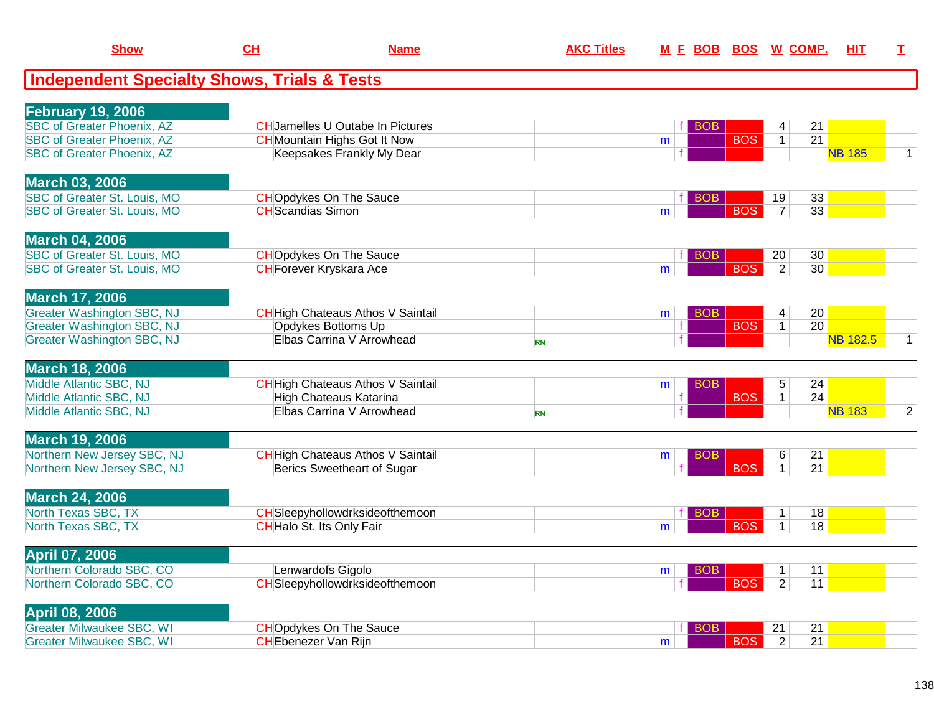| <b>Show</b>                                                   | CH                       | <b>Name</b>                                                     | <b>AKC Titles</b> |    |                          | M E BOB BOS W COMP.               | <b>HIT</b>      | $\mathbf{T}$   |
|---------------------------------------------------------------|--------------------------|-----------------------------------------------------------------|-------------------|----|--------------------------|-----------------------------------|-----------------|----------------|
| <b>Independent Specialty Shows, Trials &amp; Tests</b>        |                          |                                                                 |                   |    |                          |                                   |                 |                |
|                                                               |                          |                                                                 |                   |    |                          |                                   |                 |                |
| <b>February 19, 2006</b><br><b>SBC of Greater Phoenix, AZ</b> |                          | <b>CHJamelles U Outabe In Pictures</b>                          |                   |    |                          |                                   |                 |                |
| <b>SBC of Greater Phoenix, AZ</b>                             |                          | <b>CH</b> Mountain Highs Got It Now                             |                   | m  | <b>BOB</b><br><b>BOS</b> | 21<br>4<br>21<br>1                |                 |                |
| <b>SBC of Greater Phoenix, AZ</b>                             |                          | Keepsakes Frankly My Dear                                       |                   |    |                          |                                   | <b>NB 185</b>   | $\mathbf{1}$   |
|                                                               |                          |                                                                 |                   |    |                          |                                   |                 |                |
| <b>March 03, 2006</b>                                         |                          |                                                                 |                   |    |                          |                                   |                 |                |
| <b>SBC of Greater St. Louis, MO</b>                           |                          | <b>CHOpdykes On The Sauce</b>                                   |                   |    | <b>BOB</b>               | 33<br>19                          |                 |                |
| <b>SBC of Greater St. Louis, MO</b>                           | <b>CH</b> Scandias Simon |                                                                 |                   | m  | <b>BOS</b>               | 33<br>$\overline{7}$              |                 |                |
|                                                               |                          |                                                                 |                   |    |                          |                                   |                 |                |
| <b>March 04, 2006</b><br><b>SBC of Greater St. Louis, MO</b>  |                          |                                                                 |                   |    |                          | 30                                |                 |                |
| SBC of Greater St. Louis, MO                                  |                          | <b>CHOpdykes On The Sauce</b><br><b>CH</b> Forever Kryskara Ace |                   | m  | <b>BOB</b><br><b>BOS</b> | 20<br>$\overline{2}$<br>30        |                 |                |
|                                                               |                          |                                                                 |                   |    |                          |                                   |                 |                |
| <b>March 17, 2006</b>                                         |                          |                                                                 |                   |    |                          |                                   |                 |                |
| <b>Greater Washington SBC, NJ</b>                             |                          | <b>CH</b> High Chateaus Athos V Saintail                        |                   | m  | BOB                      | 20<br>4                           |                 |                |
| <b>Greater Washington SBC, NJ</b>                             |                          | Opdykes Bottoms Up                                              |                   | f. | <b>BOS</b>               | 20<br>1                           |                 |                |
| <b>Greater Washington SBC, NJ</b>                             |                          | Elbas Carrina V Arrowhead                                       | <b>RN</b>         |    |                          |                                   | <b>NB 182.5</b> | $\mathbf{1}$   |
|                                                               |                          |                                                                 |                   |    |                          |                                   |                 |                |
| <b>March 18, 2006</b>                                         |                          |                                                                 |                   |    |                          |                                   |                 |                |
| Middle Atlantic SBC, NJ                                       |                          | <b>CH</b> High Chateaus Athos V Saintail                        |                   | m  | BOB                      | 5<br>24                           |                 |                |
| Middle Atlantic SBC, NJ<br>Middle Atlantic SBC, NJ            |                          | <b>High Chateaus Katarina</b><br>Elbas Carrina V Arrowhead      |                   |    | <b>BOS</b>               | 24<br>$\mathbf{1}$                | <b>NB 183</b>   | $\overline{2}$ |
|                                                               |                          |                                                                 | <b>RN</b>         |    |                          |                                   |                 |                |
| <b>March 19, 2006</b>                                         |                          |                                                                 |                   |    |                          |                                   |                 |                |
| Northern New Jersey SBC, NJ                                   |                          | <b>CH</b> High Chateaus Athos V Saintail                        |                   | m  | <b>BOB</b>               | 21<br>6                           |                 |                |
| Northern New Jersey SBC, NJ                                   |                          | Berics Sweetheart of Sugar                                      |                   |    | <b>BOS</b>               | $\overline{21}$<br>$\mathbf{1}$   |                 |                |
|                                                               |                          |                                                                 |                   |    |                          |                                   |                 |                |
| <b>March 24, 2006</b>                                         |                          |                                                                 |                   |    |                          |                                   |                 |                |
| North Texas SBC, TX                                           |                          | CHSleepyhollowdrksideofthemoon                                  |                   |    | <b>BOB</b>               | 18<br>$\mathbf 1$                 |                 |                |
| North Texas SBC, TX                                           |                          | CHHalo St. Its Only Fair                                        |                   | m  | <b>BOS</b>               | $\mathbf{1}$<br>18                |                 |                |
| <b>April 07, 2006</b>                                         |                          |                                                                 |                   |    |                          |                                   |                 |                |
| Northern Colorado SBC, CO                                     |                          | Lenwardofs Gigolo                                               |                   | m  | <b>BOB</b>               | 11<br>$\mathbf{1}$                |                 |                |
| Northern Colorado SBC, CO                                     |                          | CHSleepyhollowdrksideofthemoon                                  |                   |    | <b>BOS</b>               | $\overline{2}$<br>11              |                 |                |
|                                                               |                          |                                                                 |                   |    |                          |                                   |                 |                |
| <b>April 08, 2006</b>                                         |                          |                                                                 |                   |    |                          |                                   |                 |                |
| <b>Greater Milwaukee SBC, WI</b>                              |                          | <b>CHOpdykes On The Sauce</b>                                   |                   |    | BOB                      | 21<br>21                          |                 |                |
| <b>Greater Milwaukee SBC, WI</b>                              |                          | <b>CH</b> Ebenezer Van Rijn                                     |                   | m  | <b>BOS</b>               | $\overline{21}$<br>$\overline{2}$ |                 |                |
|                                                               |                          |                                                                 |                   |    |                          |                                   |                 |                |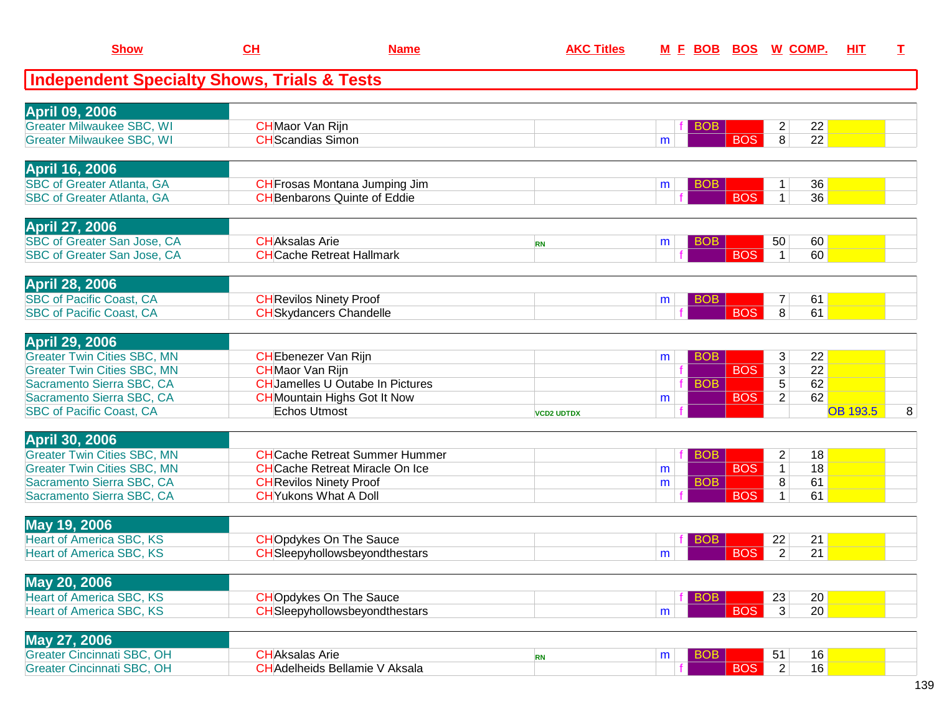| <b>Show</b>                                            | $CH$                                  | <b>Name</b>                             | <b>AKC Titles</b> |                 | M E BOB BOS W COMP. |                    | <u>ніт</u>      | I |
|--------------------------------------------------------|---------------------------------------|-----------------------------------------|-------------------|-----------------|---------------------|--------------------|-----------------|---|
| <b>Independent Specialty Shows, Trials &amp; Tests</b> |                                       |                                         |                   |                 |                     |                    |                 |   |
| <b>April 09, 2006</b>                                  |                                       |                                         |                   |                 |                     |                    |                 |   |
| <b>Greater Milwaukee SBC, WI</b>                       | <b>CH</b> Maor Van Rijn               |                                         |                   | <b>BOB</b>      |                     | $\overline{2}$     | 22              |   |
| <b>Greater Milwaukee SBC, WI</b>                       | <b>CH</b> Scandias Simon              |                                         |                   | m               | <b>BOS</b>          | 8                  | 22              |   |
| <b>April 16, 2006</b>                                  |                                       |                                         |                   |                 |                     |                    |                 |   |
| <b>SBC of Greater Atlanta, GA</b>                      |                                       | CH Frosas Montana Jumping Jim           |                   | <b>BOB</b><br>m |                     | 1                  | 36              |   |
| <b>SBC of Greater Atlanta, GA</b>                      | <b>CH</b> Benbarons Quinte of Eddie   |                                         |                   |                 | <b>BOS</b>          | $\mathbf{1}$       | 36              |   |
| <b>April 27, 2006</b>                                  |                                       |                                         |                   |                 |                     |                    |                 |   |
| SBC of Greater San Jose, CA                            | <b>CHAksalas Arie</b>                 |                                         | <b>RN</b>         | <b>BOB</b><br>m |                     | 50                 | 60              |   |
| SBC of Greater San Jose, CA                            | <b>CHCache Retreat Hallmark</b>       |                                         |                   |                 | <b>BOS</b>          | $\overline{1}$     | 60              |   |
| <b>April 28, 2006</b>                                  |                                       |                                         |                   |                 |                     |                    |                 |   |
| <b>SBC of Pacific Coast, CA</b>                        | <b>CH</b> Revilos Ninety Proof        |                                         |                   | <b>BOB</b><br>m |                     | 7                  | 61              |   |
| <b>SBC of Pacific Coast, CA</b>                        | <b>CH</b> Skydancers Chandelle        |                                         |                   |                 | <b>BOS</b>          | 8                  | 61              |   |
| <b>April 29, 2006</b>                                  |                                       |                                         |                   |                 |                     |                    |                 |   |
| <b>Greater Twin Cities SBC, MN</b>                     | <b>CH</b> Ebenezer Van Rijn           |                                         |                   | <b>BOB</b><br>m |                     | 3                  | 22              |   |
| <b>Greater Twin Cities SBC, MN</b>                     | <b>CH</b> Maor Van Rijn               |                                         |                   |                 | <b>BOS</b>          | $\overline{3}$     | $\overline{22}$ |   |
| Sacramento Sierra SBC, CA                              |                                       | <b>CH</b> Jamelles U Outabe In Pictures |                   | <b>BOB</b>      |                     | $\overline{5}$     | 62              |   |
| Sacramento Sierra SBC, CA                              | <b>CH</b> Mountain Highs Got It Now   |                                         |                   | m               | <b>BOS</b>          | $\overline{2}$     | 62              |   |
| <b>SBC of Pacific Coast, CA</b>                        | Echos Utmost                          |                                         | <b>VCD2 UDTDX</b> |                 |                     |                    | <b>OB 193.5</b> | 8 |
| <b>April 30, 2006</b>                                  |                                       |                                         |                   |                 |                     |                    |                 |   |
| <b>Greater Twin Cities SBC, MN</b>                     |                                       | <b>CH</b> Cache Retreat Summer Hummer   |                   | <b>BOB</b>      |                     | $\overline{2}$     | 18              |   |
| <b>Greater Twin Cities SBC, MN</b>                     |                                       | <b>CH</b> Cache Retreat Miracle On Ice  |                   | m               | <b>BOS</b>          | $\mathbf{1}$       | 18              |   |
| Sacramento Sierra SBC, CA                              | <b>CH</b> Revilos Ninety Proof        |                                         |                   | <b>BOB</b><br>m |                     | $\overline{\bf 8}$ | 61              |   |
| Sacramento Sierra SBC, CA                              | <b>CH</b> Yukons What A Doll          |                                         |                   |                 | <b>BOS</b>          | $\mathbf 1$        | 61              |   |
| May 19, 2006                                           |                                       |                                         |                   |                 |                     |                    |                 |   |
| <b>Heart of America SBC, KS</b>                        | <b>CHOpdykes On The Sauce</b>         |                                         |                   | <b>BOB</b>      |                     | 22                 | 21              |   |
| <b>Heart of America SBC, KS</b>                        |                                       | CHSleepyhollowsbeyondthestars           |                   | m               | <b>BOS</b>          | $\overline{2}$     | 21              |   |
| May 20, 2006                                           |                                       |                                         |                   |                 |                     |                    |                 |   |
| <b>Heart of America SBC, KS</b>                        | <b>CHOpdykes On The Sauce</b>         |                                         |                   | <b>BOB</b>      |                     | 23                 | 20              |   |
| <b>Heart of America SBC, KS</b>                        |                                       | CHSleepyhollowsbeyondthestars           |                   | m               | <b>BOS</b>          | $\overline{3}$     | 20              |   |
| May 27, 2006                                           |                                       |                                         |                   |                 |                     |                    |                 |   |
| <b>Greater Cincinnati SBC, OH</b>                      | <b>CHAksalas Arie</b>                 |                                         | <b>RN</b>         | <b>BOB</b><br>m |                     | 51                 | 16              |   |
| <b>Greater Cincinnati SBC, OH</b>                      | <b>CH</b> Adelheids Bellamie V Aksala |                                         |                   |                 | <b>BOS</b>          | 2                  | 16              |   |
|                                                        |                                       |                                         |                   |                 |                     |                    |                 |   |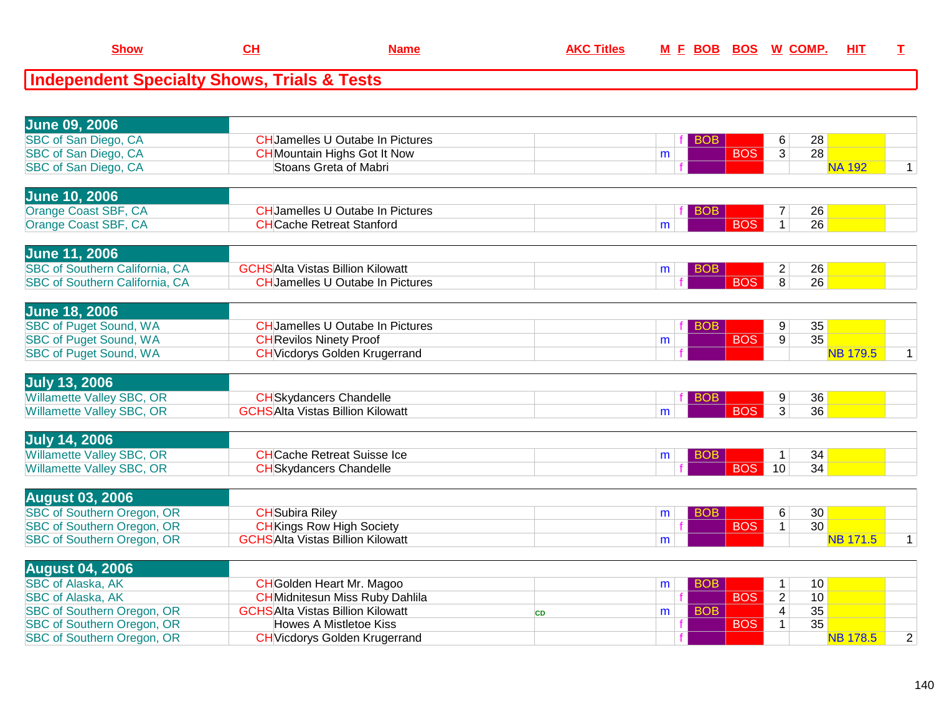| <b>Show</b>                                            | CH                                  | <b>Name</b>                             | <b>AKC Titles</b> |   |            | M E BOB BOS W COMP. |                |                 | HIT           |  |
|--------------------------------------------------------|-------------------------------------|-----------------------------------------|-------------------|---|------------|---------------------|----------------|-----------------|---------------|--|
| <b>Independent Specialty Shows, Trials &amp; Tests</b> |                                     |                                         |                   |   |            |                     |                |                 |               |  |
|                                                        |                                     |                                         |                   |   |            |                     |                |                 |               |  |
| <b>June 09, 2006</b>                                   |                                     |                                         |                   |   |            |                     |                |                 |               |  |
| SBC of San Diego, CA                                   |                                     | <b>CH</b> Jamelles U Outabe In Pictures |                   |   | <b>BOB</b> |                     | 6              | 28              |               |  |
| SBC of San Diego, CA                                   | <b>CH</b> Mountain Highs Got It Now |                                         |                   | m |            | <b>BOS</b>          | 3 <sup>1</sup> | 28 <sub>1</sub> |               |  |
| SBC of San Diego, CA                                   | Stoans Greta of Mabri               |                                         |                   |   |            |                     |                |                 | <b>NA 192</b> |  |
| <b>June 10, 2006</b>                                   |                                     |                                         |                   |   |            |                     |                |                 |               |  |
| Orange Coast SBF, CA                                   |                                     | <b>CH</b> Jamelles U Outabe In Pictures |                   |   | <b>BOB</b> |                     |                | 26              |               |  |
| Orange Coast SBF, CA                                   | <b>CH</b> Cache Retreat Stanford    |                                         |                   | m |            | <b>BOS</b>          |                | 26              |               |  |

| <b>June 11, 2006</b>                  |                                             |  |     |    |  |
|---------------------------------------|---------------------------------------------|--|-----|----|--|
| <b>SBC of Southern California, CA</b> | SAlta Vistas Billion Kilowatt<br><b>GCH</b> |  |     | 26 |  |
| <b>SBC of Southern California, CA</b> | HJamelles U Outabe In Pictures              |  | R∩⊂ | 26 |  |

| 35<br><b>SBC of Puget Sound, WA</b><br>CHUamelles U Outabe In Pictures<br>Ω<br>$\Omega$ | <b>June 18, 2006</b>          |                               |   |            |                 |  |
|-----------------------------------------------------------------------------------------|-------------------------------|-------------------------------|---|------------|-----------------|--|
|                                                                                         |                               |                               |   |            |                 |  |
|                                                                                         | <b>SBC of Puget Sound, WA</b> | <b>CHRevilos Ninety Proof</b> | m | <b>BOS</b> | 35 <sub>1</sub> |  |
| <b>SBC of Puget Sound, WA</b><br><b>CH</b> Vicdorys Golden Krugerrand                   |                               |                               |   |            |                 |  |

| <b>July 13, 2006</b>      |                                              |  |  |                 |  |
|---------------------------|----------------------------------------------|--|--|-----------------|--|
| Willamette Valley SBC, OR | HSkvdancers Chandelle                        |  |  | 36 <sub>1</sub> |  |
| Willamette Valley SBC, OR | <mark>IS</mark> Alta Vistas Billion Kilowatt |  |  | 36              |  |
|                           |                                              |  |  |                 |  |

| <b>July 14, 2006</b>             |                                    |  |  |    |    |  |
|----------------------------------|------------------------------------|--|--|----|----|--|
| <b>Willamette Valley SBC, OR</b> | <b>H</b> Cache Retreat Suisse Ice⊹ |  |  |    | 34 |  |
| Willamette Valley SBC, OR        | Skydancers Chandelle               |  |  | 10 | 34 |  |
|                                  |                                    |  |  |    |    |  |

| <b>August 03, 2006</b>            |                                         |  |            |                 |  |
|-----------------------------------|-----------------------------------------|--|------------|-----------------|--|
| <b>SBC of Southern Oregon, OR</b> | CHlSubira Rilev                         |  |            | 30 <sub>1</sub> |  |
| <b>SBC of Southern Oregon, OR</b> | <b>CHKings Row High Society</b>         |  | <b>BOS</b> | 30              |  |
| <b>SBC of Southern Oregon, OR</b> | <b>GCHSAlta Vistas Billion Kilowatt</b> |  |            |                 |  |
|                                   |                                         |  |            |                 |  |

| <b>August 04, 2006</b>            |                                         |  |            |                 |  |
|-----------------------------------|-----------------------------------------|--|------------|-----------------|--|
| <b>SBC of Alaska, AK</b>          | <b>CH</b> Golden Heart Mr. Magoo        |  |            | 10              |  |
| <b>SBC of Alaska, AK</b>          | <b>CH</b> Midnitesun Miss Ruby Dahlila  |  | <b>BOS</b> | 10              |  |
| <b>SBC of Southern Oregon, OR</b> | <b>GCHSAlta Vistas Billion Kilowatt</b> |  |            | 35              |  |
| <b>SBC of Southern Oregon, OR</b> | Howes A Mistletoe Kiss                  |  | <b>BOS</b> | 35              |  |
| <b>SBC of Southern Oregon, OR</b> | <b>CH</b> Vicdorys Golden Krugerrand    |  |            | <b>NB 178.5</b> |  |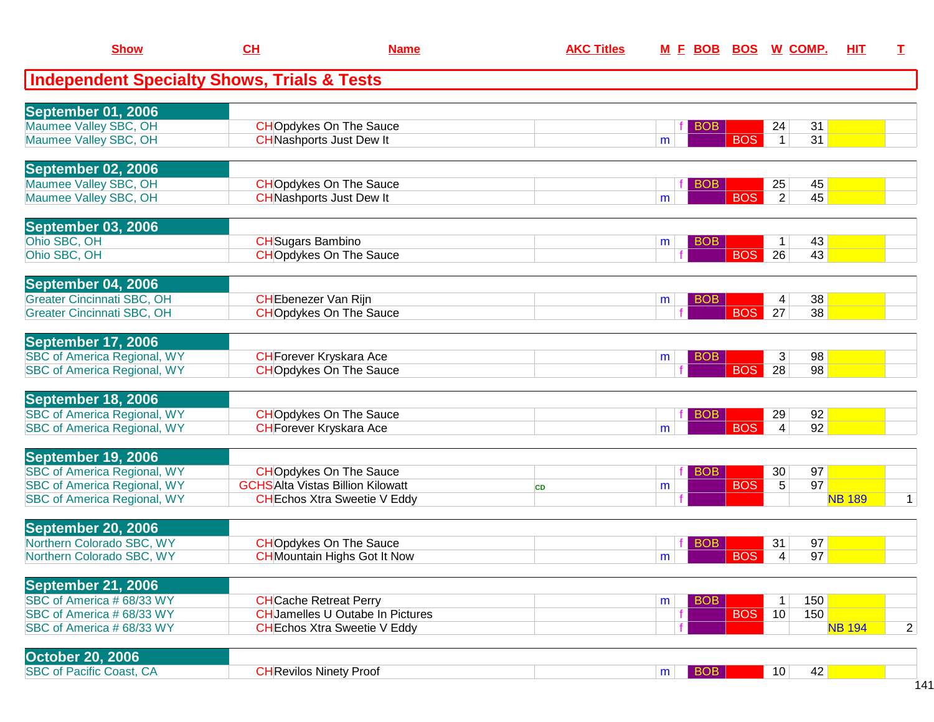| <b>Show</b>                                                              | CL                       | <b>Name</b>                                                                    | <b>AKC Titles</b> | M E BOB              |            | <b>BOS W COMP.</b>    | <b>HIT</b>    | I              |
|--------------------------------------------------------------------------|--------------------------|--------------------------------------------------------------------------------|-------------------|----------------------|------------|-----------------------|---------------|----------------|
| <b>Independent Specialty Shows, Trials &amp; Tests</b>                   |                          |                                                                                |                   |                      |            |                       |               |                |
| September 01, 2006                                                       |                          |                                                                                |                   |                      |            |                       |               |                |
| Maumee Valley SBC, OH                                                    |                          | <b>CHOpdykes On The Sauce</b>                                                  |                   | BO <sub>B</sub>      |            | 31<br>24              |               |                |
| Maumee Valley SBC, OH                                                    |                          | <b>CH</b> Nashports Just Dew It                                                |                   | m                    | <b>BOS</b> | 31<br>$\mathbf 1$     |               |                |
| September 02, 2006                                                       |                          |                                                                                |                   |                      |            |                       |               |                |
| Maumee Valley SBC, OH                                                    |                          | <b>CHO</b> pdykes On The Sauce                                                 |                   | <b>BOB</b>           |            | 25<br>45              |               |                |
| Maumee Valley SBC, OH                                                    |                          | <b>CH</b> Nashports Just Dew It                                                |                   | m                    | <b>BOS</b> | $\overline{2}$<br>45  |               |                |
| September 03, 2006                                                       |                          |                                                                                |                   |                      |            |                       |               |                |
| Ohio SBC, OH                                                             | <b>CH</b> Sugars Bambino |                                                                                |                   | <b>BOB</b><br>m      |            | 43<br>1               |               |                |
| Ohio SBC, OH                                                             |                          | <b>CHOpdykes On The Sauce</b>                                                  |                   |                      | <b>BOS</b> | 26<br>43              |               |                |
|                                                                          |                          |                                                                                |                   |                      |            |                       |               |                |
| September 04, 2006                                                       |                          |                                                                                |                   |                      |            |                       |               |                |
| <b>Greater Cincinnati SBC, OH</b>                                        |                          | <b>CH</b> Ebenezer Van Rijn                                                    |                   | BO <sub>B</sub><br>m |            | 38<br>4               |               |                |
| <b>Greater Cincinnati SBC, OH</b>                                        |                          | <b>CHOpdykes On The Sauce</b>                                                  |                   |                      | <b>BOS</b> | 38<br>27              |               |                |
| September 17, 2006                                                       |                          |                                                                                |                   |                      |            |                       |               |                |
| <b>SBC of America Regional, WY</b>                                       |                          | <b>CH</b> Forever Kryskara Ace                                                 |                   | <b>BOB</b><br>m      |            | 98<br>3               |               |                |
| <b>SBC</b> of America Regional, WY                                       |                          | <b>CHOpdykes On The Sauce</b>                                                  |                   |                      | <b>BOS</b> | 98<br>28              |               |                |
| September 18, 2006                                                       |                          |                                                                                |                   |                      |            |                       |               |                |
| <b>SBC of America Regional, WY</b>                                       |                          | <b>CHOpdykes On The Sauce</b>                                                  |                   | <b>BOB</b>           |            | 92<br>29              |               |                |
| <b>SBC of America Regional, WY</b>                                       |                          | <b>CH</b> Forever Kryskara Ace                                                 |                   | m                    | <b>BOS</b> | 92<br>4               |               |                |
|                                                                          |                          |                                                                                |                   |                      |            |                       |               |                |
| September 19, 2006                                                       |                          |                                                                                |                   |                      |            |                       |               |                |
| <b>SBC of America Regional, WY</b>                                       |                          | <b>CHOpdykes On The Sauce</b>                                                  |                   | <b>BOB</b>           |            | 97<br>30              |               |                |
| <b>SBC of America Regional, WY</b><br><b>SBC of America Regional, WY</b> |                          | <b>GCHSAlta Vistas Billion Kilowatt</b><br><b>CH</b> Echos Xtra Sweetie V Eddy | <b>CD</b>         | m                    | <b>BOS</b> | 97<br>5               | <b>NB 189</b> | $\mathbf{1}$   |
|                                                                          |                          |                                                                                |                   |                      |            |                       |               |                |
| September 20, 2006                                                       |                          |                                                                                |                   |                      |            |                       |               |                |
| Northern Colorado SBC, WY                                                |                          | <b>CHOpdykes On The Sauce</b>                                                  |                   | <b>BOB</b>           |            | 97<br>31              |               |                |
| Northern Colorado SBC, WY                                                |                          | <b>CH</b> Mountain Highs Got It Now                                            |                   | m                    | <b>BOS</b> | 97<br>4               |               |                |
| <b>September 21, 2006</b>                                                |                          |                                                                                |                   |                      |            |                       |               |                |
| SBC of America # 68/33 WY                                                |                          | <b>CH</b> Cache Retreat Perry                                                  |                   | <b>BOB</b><br>m      |            | 150<br>$\mathbf 1$    |               |                |
| SBC of America # 68/33 WY                                                |                          | <b>CH</b> Jamelles U Outabe In Pictures                                        |                   | f                    | <b>BOS</b> | 150<br>10             |               |                |
| SBC of America # 68/33 WY                                                |                          | <b>CH</b> Echos Xtra Sweetie V Eddy                                            |                   |                      |            |                       | <b>NB 194</b> | $\overline{2}$ |
| <b>October 20, 2006</b>                                                  |                          |                                                                                |                   |                      |            |                       |               |                |
| <b>SBC of Pacific Coast, CA</b>                                          |                          | <b>CH</b> Revilos Ninety Proof                                                 |                   | BOB<br>m             |            | 42<br>10 <sup>1</sup> |               |                |
|                                                                          |                          |                                                                                |                   |                      |            |                       |               |                |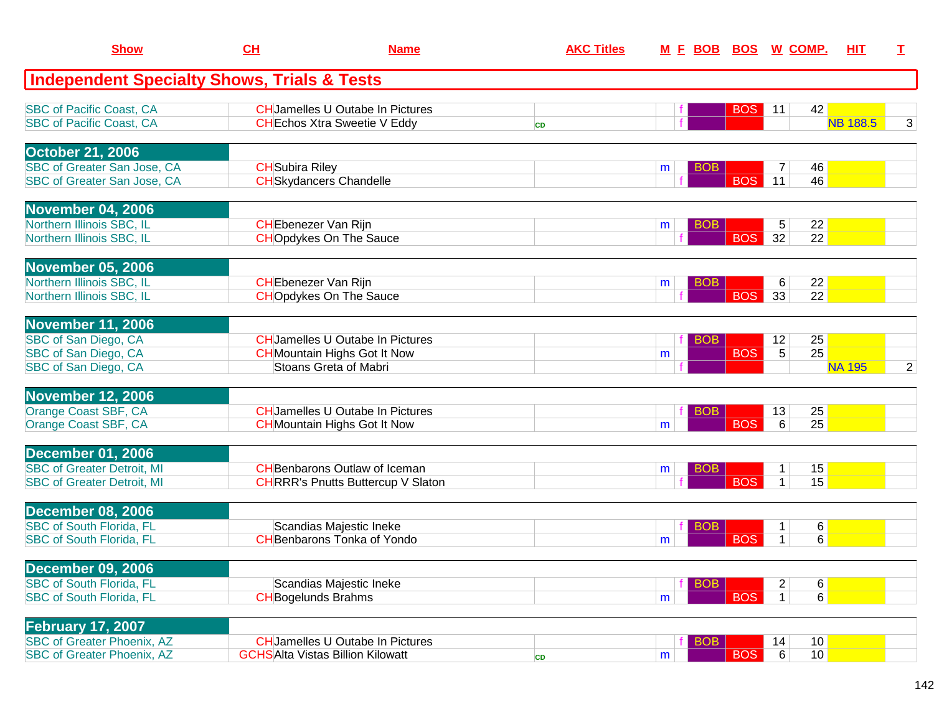| <b>Show</b>                                            | CH                          | <b>Name</b>                               | <b>AKC Titles</b> |   | <u>M E BOB BOS W COMP.</u> |                                   | HIT             | T.             |
|--------------------------------------------------------|-----------------------------|-------------------------------------------|-------------------|---|----------------------------|-----------------------------------|-----------------|----------------|
| <b>Independent Specialty Shows, Trials &amp; Tests</b> |                             |                                           |                   |   |                            |                                   |                 |                |
| <b>SBC of Pacific Coast, CA</b>                        |                             | <b>CHJamelles U Outabe In Pictures</b>    |                   |   | BOS                        | 42<br>11                          |                 |                |
| <b>SBC of Pacific Coast, CA</b>                        |                             | <b>CH</b> Echos Xtra Sweetie V Eddy       | <b>CD</b>         |   |                            |                                   | <b>NB 188.5</b> | 3              |
| <b>October 21, 2006</b>                                |                             |                                           |                   |   |                            |                                   |                 |                |
| SBC of Greater San Jose, CA                            | <b>CH</b> Subira Riley      |                                           |                   | m | <b>BOB</b>                 | 46<br>7                           |                 |                |
| SBC of Greater San Jose, CA                            |                             | <b>CH</b> Skydancers Chandelle            |                   |   | <b>BOS</b>                 | 11<br>46                          |                 |                |
| <b>November 04, 2006</b>                               |                             |                                           |                   |   |                            |                                   |                 |                |
| Northern Illinois SBC, IL                              | <b>CH</b> Ebenezer Van Rijn |                                           |                   | m | <b>BOB</b>                 | 22<br>5                           |                 |                |
| Northern Illinois SBC, IL                              |                             | <b>CHOpdykes On The Sauce</b>             |                   |   | <b>BOS</b>                 | 32<br>$\overline{22}$             |                 |                |
| <b>November 05, 2006</b>                               |                             |                                           |                   |   |                            |                                   |                 |                |
| Northern Illinois SBC, IL                              | <b>CH</b> Ebenezer Van Rijn |                                           |                   | m | <b>BOB</b>                 | 22<br>6                           |                 |                |
| Northern Illinois SBC, IL                              |                             | <b>CHOpdykes On The Sauce</b>             |                   |   | <b>BOS</b>                 | 33<br>22                          |                 |                |
| <b>November 11, 2006</b>                               |                             |                                           |                   |   |                            |                                   |                 |                |
| SBC of San Diego, CA                                   |                             | <b>CHJamelles U Outabe In Pictures</b>    |                   |   | <b>BOB</b>                 | 12<br>25                          |                 |                |
| SBC of San Diego, CA                                   |                             | <b>CH</b> Mountain Highs Got It Now       |                   | m | <b>BOS</b>                 | $\overline{25}$<br>$\overline{5}$ |                 |                |
| SBC of San Diego, CA                                   |                             | Stoans Greta of Mabri                     |                   |   |                            |                                   | <b>NA 195</b>   | $\overline{2}$ |
| <b>November 12, 2006</b>                               |                             |                                           |                   |   |                            |                                   |                 |                |
| <b>Orange Coast SBF, CA</b>                            |                             | <b>CH</b> Jamelles U Outabe In Pictures   |                   |   | BOB                        | 25<br>13                          |                 |                |
| Orange Coast SBF, CA                                   |                             | <b>CH</b> Mountain Highs Got It Now       |                   | m | <b>BOS</b>                 | 25<br>6                           |                 |                |
| <b>December 01, 2006</b>                               |                             |                                           |                   |   |                            |                                   |                 |                |
| <b>SBC of Greater Detroit, MI</b>                      |                             | <b>CH</b> Benbarons Outlaw of Iceman      |                   | m | BOB                        | 15<br>1                           |                 |                |
| <b>SBC of Greater Detroit, MI</b>                      |                             | <b>CH</b> RRR's Pnutts Buttercup V Slaton |                   |   | <b>BOS</b>                 | $\mathbf{1}$<br>15                |                 |                |
| <b>December 08, 2006</b>                               |                             |                                           |                   |   |                            |                                   |                 |                |
| <b>SBC of South Florida, FL</b>                        |                             | Scandias Majestic Ineke                   |                   |   | <b>BOB</b>                 | 1                                 | 6               |                |
| <b>SBC of South Florida, FL</b>                        |                             | <b>CH</b> Benbarons Tonka of Yondo        |                   | m | <b>BOS</b>                 | $\mathbf{1}$                      | 6               |                |
| <b>December 09, 2006</b>                               |                             |                                           |                   |   |                            |                                   |                 |                |
| <b>SBC of South Florida, FL</b>                        |                             | Scandias Majestic Ineke                   |                   |   | <b>BOB</b>                 | 2                                 | 6               |                |
| <b>SBC of South Florida, FL</b>                        | <b>CH</b> Bogelunds Brahms  |                                           |                   | m | <b>BOS</b>                 | $\mathbf 1$                       | 6               |                |
| <b>February 17, 2007</b>                               |                             |                                           |                   |   |                            |                                   |                 |                |
| <b>SBC of Greater Phoenix, AZ</b>                      |                             | <b>CH</b> Jamelles U Outabe In Pictures   |                   |   | <b>BOB</b>                 | 10<br>14                          |                 |                |
| <b>SBC of Greater Phoenix, AZ</b>                      |                             | <b>GCHSAIta Vistas Billion Kilowatt</b>   | CD                | m | <b>BOS</b>                 | 6<br>10                           |                 |                |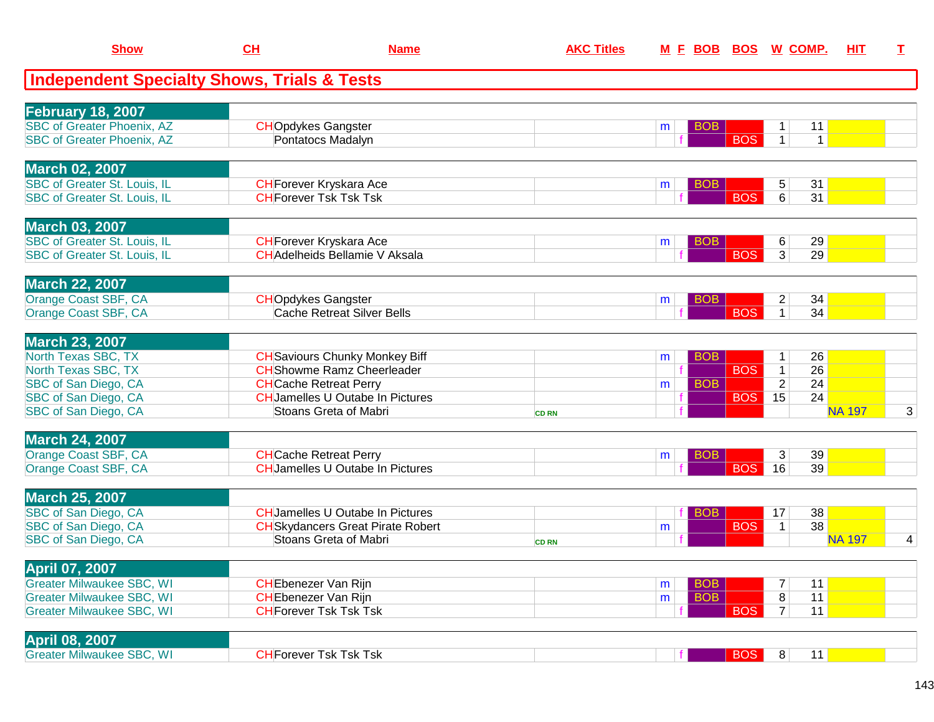|                          | <b>Show</b>                       | CL                                                     | <b>Name</b>                              | <b>AKC Titles</b> | M E BOB BOS     |            | W COMP.                      | HIT           | $\mathbf I$ |
|--------------------------|-----------------------------------|--------------------------------------------------------|------------------------------------------|-------------------|-----------------|------------|------------------------------|---------------|-------------|
|                          |                                   | <b>Independent Specialty Shows, Trials &amp; Tests</b> |                                          |                   |                 |            |                              |               |             |
| <b>February 18, 2007</b> |                                   |                                                        |                                          |                   |                 |            |                              |               |             |
|                          | <b>SBC of Greater Phoenix, AZ</b> | <b>CHOpdykes Gangster</b>                              |                                          |                   | <b>BOB</b><br>m |            | 11<br>1                      |               |             |
|                          | <b>SBC of Greater Phoenix, AZ</b> |                                                        | Pontatocs Madalyn                        |                   |                 | <b>BOS</b> | $\mathbf{1}$<br>$\mathbf{1}$ |               |             |
| <b>March 02, 2007</b>    |                                   |                                                        |                                          |                   |                 |            |                              |               |             |
|                          | SBC of Greater St. Louis, IL      |                                                        | <b>CH</b> Forever Kryskara Ace           |                   | <b>BOB</b><br>m |            | 5<br>31                      |               |             |
|                          | SBC of Greater St. Louis, IL      |                                                        | <b>CHForever Tsk Tsk Tsk</b>             |                   |                 | <b>BOS</b> | 6<br>31                      |               |             |
| <b>March 03, 2007</b>    |                                   |                                                        |                                          |                   |                 |            |                              |               |             |
|                          | SBC of Greater St. Louis, IL      |                                                        | <b>CH</b> Forever Kryskara Ace           |                   | <b>BOB</b><br>m |            | 29<br>6                      |               |             |
|                          | SBC of Greater St. Louis, IL      |                                                        | <b>CH</b> Adelheids Bellamie V Aksala    |                   |                 | <b>BOS</b> | 3 <sup>1</sup><br>29         |               |             |
| <b>March 22, 2007</b>    |                                   |                                                        |                                          |                   |                 |            |                              |               |             |
| Orange Coast SBF, CA     |                                   | <b>CHOpdykes Gangster</b>                              |                                          |                   | <b>BOB</b><br>m |            | 34<br>2                      |               |             |
| Orange Coast SBF, CA     |                                   |                                                        | Cache Retreat Silver Bells               |                   |                 | <b>BOS</b> | 34<br>$\mathbf 1$            |               |             |
| <b>March 23, 2007</b>    |                                   |                                                        |                                          |                   |                 |            |                              |               |             |
| North Texas SBC, TX      |                                   |                                                        | <b>CH</b> Saviours Chunky Monkey Biff    |                   | <b>BOB</b><br>m |            | 26<br>$\mathbf{1}$           |               |             |
| North Texas SBC, TX      |                                   |                                                        | <b>CH</b> Showme Ramz Cheerleader        |                   |                 | <b>BOS</b> | 26<br>$\mathbf{1}$           |               |             |
| SBC of San Diego, CA     |                                   | <b>CH</b> Cache Retreat Perry                          |                                          |                   | <b>BOB</b><br>m |            | $\overline{2}$<br>24         |               |             |
| SBC of San Diego, CA     |                                   |                                                        | <b>CH</b> Jamelles U Outabe In Pictures  |                   |                 | <b>BOS</b> | 15<br>24                     |               |             |
| SBC of San Diego, CA     |                                   |                                                        | Stoans Greta of Mabri                    | <b>CD RN</b>      |                 |            |                              | <b>NA 197</b> | 3           |
| <b>March 24, 2007</b>    |                                   |                                                        |                                          |                   |                 |            |                              |               |             |
| Orange Coast SBF, CA     |                                   | <b>CH</b> Cache Retreat Perry                          |                                          |                   | <b>BOB</b><br>m |            | 39<br>3                      |               |             |
| Orange Coast SBF, CA     |                                   |                                                        | <b>CH</b> Jamelles U Outabe In Pictures  |                   |                 | <b>BOS</b> | 16<br>39                     |               |             |
| <b>March 25, 2007</b>    |                                   |                                                        |                                          |                   |                 |            |                              |               |             |
| SBC of San Diego, CA     |                                   |                                                        | <b>CHJamelles U Outabe In Pictures</b>   |                   | <b>BOB</b>      |            | 38<br>17                     |               |             |
| SBC of San Diego, CA     |                                   |                                                        | <b>CH</b> Skydancers Great Pirate Robert |                   | m               | <b>BOS</b> | 38<br>$\mathbf{1}$           |               |             |
| SBC of San Diego, CA     |                                   |                                                        | Stoans Greta of Mabri                    | <b>CD RN</b>      |                 |            |                              | <b>NA 197</b> | 4           |
| <b>April 07, 2007</b>    |                                   |                                                        |                                          |                   |                 |            |                              |               |             |
|                          | <b>Greater Milwaukee SBC, WI</b>  | <b>CH</b> Ebenezer Van Rijn                            |                                          |                   | <b>BOB</b><br>m |            | 11<br>7                      |               |             |
|                          | <b>Greater Milwaukee SBC, WI</b>  | <b>CHEbenezer Van Rijn</b>                             |                                          |                   | <b>BOB</b><br>m |            | 11<br>8                      |               |             |
|                          | <b>Greater Milwaukee SBC, WI</b>  | <b>CH</b> Forever Tsk Tsk Tsk                          |                                          |                   |                 | <b>BOS</b> | $\overline{7}$<br>11         |               |             |
| April 08, 2007           |                                   |                                                        |                                          |                   |                 |            |                              |               |             |
|                          | <b>Greater Milwaukee SBC, WI</b>  | <b>CH</b> Forever Tsk Tsk Tsk                          |                                          |                   |                 | <b>BOS</b> | 8 <sup>1</sup><br>11         |               |             |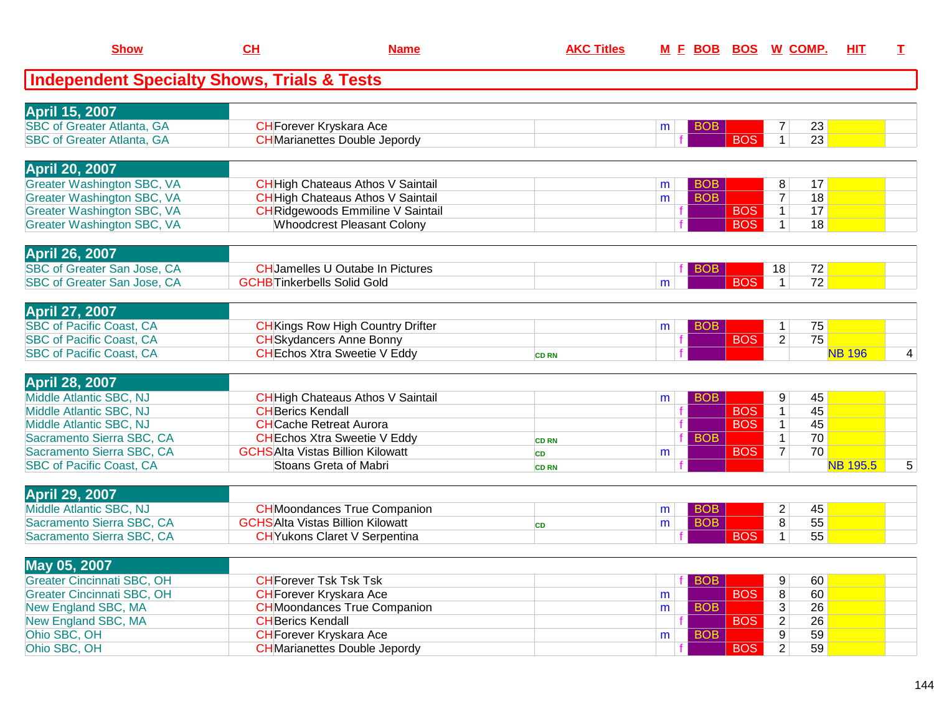| CH<br><b>Show</b><br><b>Name</b>                                       |                                         | <b>AKC Titles</b>                        |              |   |            | M E BOB BOS W COMP. | <b>HIT</b>        | $\mathbf I$     |   |
|------------------------------------------------------------------------|-----------------------------------------|------------------------------------------|--------------|---|------------|---------------------|-------------------|-----------------|---|
| Independent Specialty Shows, Trials & Tests                            |                                         |                                          |              |   |            |                     |                   |                 |   |
|                                                                        |                                         |                                          |              |   |            |                     |                   |                 |   |
| <b>April 15, 2007</b>                                                  |                                         |                                          |              |   |            |                     |                   |                 |   |
| <b>SBC of Greater Atlanta, GA</b><br><b>SBC of Greater Atlanta, GA</b> | <b>CH</b> Forever Kryskara Ace          | <b>CH</b> Marianettes Double Jepordy     |              | m | <b>BOB</b> | <b>BOS</b>          | 7<br>$\mathbf{1}$ | 23<br>23        |   |
|                                                                        |                                         |                                          |              |   |            |                     |                   |                 |   |
| <b>April 20, 2007</b>                                                  |                                         |                                          |              |   |            |                     |                   |                 |   |
| <b>Greater Washington SBC, VA</b>                                      |                                         | <b>CH</b> High Chateaus Athos V Saintail |              | m | <b>BOB</b> |                     | 8                 | 17              |   |
| <b>Greater Washington SBC, VA</b>                                      |                                         | <b>CH</b> High Chateaus Athos V Saintail |              | m | <b>BOB</b> |                     | $\overline{7}$    | 18              |   |
| <b>Greater Washington SBC, VA</b>                                      |                                         | <b>CH</b> Ridgewoods Emmiline V Saintail |              |   |            | <b>BOS</b>          | $\mathbf{1}$      | 17              |   |
| <b>Greater Washington SBC, VA</b>                                      |                                         | <b>Whoodcrest Pleasant Colony</b>        |              |   |            | <b>BOS</b>          | $\mathbf{1}$      | 18              |   |
|                                                                        |                                         |                                          |              |   |            |                     |                   |                 |   |
| <b>April 26, 2007</b>                                                  |                                         |                                          |              |   |            |                     |                   |                 |   |
| SBC of Greater San Jose, CA                                            |                                         | <b>CHJamelles U Outabe In Pictures</b>   |              |   | <b>BOB</b> |                     | 18                | 72              |   |
| <b>SBC of Greater San Jose, CA</b>                                     | <b>GCHB</b> Tinkerbells Solid Gold      |                                          |              | m |            | <b>BOS</b>          | $\mathbf{1}$      | 72              |   |
|                                                                        |                                         |                                          |              |   |            |                     |                   |                 |   |
| <b>April 27, 2007</b>                                                  |                                         |                                          |              |   |            |                     |                   |                 |   |
| <b>SBC of Pacific Coast, CA</b>                                        |                                         | <b>CH</b> Kings Row High Country Drifter |              | m | <b>BOB</b> |                     | 1                 | 75              |   |
| <b>SBC of Pacific Coast, CA</b>                                        |                                         | <b>CH</b> Skydancers Anne Bonny          |              |   |            | <b>BOS</b>          | $\overline{2}$    | 75              |   |
| <b>SBC of Pacific Coast, CA</b>                                        |                                         | <b>CH</b> Echos Xtra Sweetie V Eddy      | <b>CD RN</b> |   |            |                     |                   | <b>NB 196</b>   | 4 |
|                                                                        |                                         |                                          |              |   |            |                     |                   |                 |   |
| <b>April 28, 2007</b>                                                  |                                         |                                          |              |   |            |                     |                   |                 |   |
| Middle Atlantic SBC, NJ                                                |                                         | <b>CH</b> High Chateaus Athos V Saintail |              | m | <b>BOB</b> |                     | 9                 | 45              |   |
| Middle Atlantic SBC, NJ                                                | <b>CHBerics Kendall</b>                 |                                          |              |   |            | <b>BOS</b>          | $\mathbf{1}$      | 45              |   |
| Middle Atlantic SBC, NJ                                                | <b>CH</b> Cache Retreat Aurora          |                                          |              |   |            | <b>BOS</b>          | $\mathbf{1}$      | 45              |   |
| Sacramento Sierra SBC, CA                                              |                                         | <b>CH</b> Echos Xtra Sweetie V Eddy      | <b>CD RN</b> |   | <b>BOB</b> |                     | $\mathbf{1}$      | 70              |   |
| Sacramento Sierra SBC, CA                                              | <b>GCHSAlta Vistas Billion Kilowatt</b> |                                          | CD           | m |            | <b>BOS</b>          | $\overline{7}$    | 70              |   |
| <b>SBC of Pacific Coast, CA</b>                                        |                                         | Stoans Greta of Mabri                    | <b>CD RN</b> |   |            |                     |                   | <b>NB 195.5</b> | 5 |
|                                                                        |                                         |                                          |              |   |            |                     |                   |                 |   |
| <b>April 29, 2007</b>                                                  |                                         |                                          |              |   |            |                     |                   |                 |   |
| Middle Atlantic SBC, NJ                                                |                                         | <b>CH</b> Moondances True Companion      |              | m | <b>BOB</b> |                     | $\overline{a}$    | 45              |   |
| Sacramento Sierra SBC, CA                                              | <b>GCHSAlta Vistas Billion Kilowatt</b> |                                          | <b>CD</b>    | m | <b>BOB</b> |                     | $\overline{8}$    | $\overline{55}$ |   |
| Sacramento Sierra SBC, CA                                              |                                         | <b>CH</b> Yukons Claret V Serpentina     |              |   |            | <b>BOS</b>          | 1                 | 55              |   |
|                                                                        |                                         |                                          |              |   |            |                     |                   |                 |   |
| May 05, 2007                                                           |                                         |                                          |              |   |            |                     |                   |                 |   |
| <b>Greater Cincinnati SBC, OH</b>                                      | <b>CH</b> Forever Tsk Tsk Tsk           |                                          |              |   | <b>BOB</b> |                     | 9                 | 60              |   |
| <b>Greater Cincinnati SBC, OH</b>                                      | <b>CH</b> Forever Kryskara Ace          |                                          |              | m |            | <b>BOS</b>          | 8                 | 60              |   |
| New England SBC, MA                                                    |                                         | <b>CH</b> Moondances True Companion      |              | m | <b>BOB</b> |                     | $\overline{3}$    | 26              |   |
| New England SBC, MA                                                    | <b>CH</b> Berics Kendall                |                                          |              |   |            | <b>BOS</b>          | $\overline{c}$    | 26              |   |
| Ohio SBC, OH                                                           | <b>CH</b> Forever Kryskara Ace          |                                          |              | m | <b>BOB</b> |                     | 9                 | 59              |   |
| Ohio SBC, OH                                                           |                                         | <b>CH</b> Marianettes Double Jepordy     |              |   |            | <b>BOS</b>          | $\overline{2}$    | 59              |   |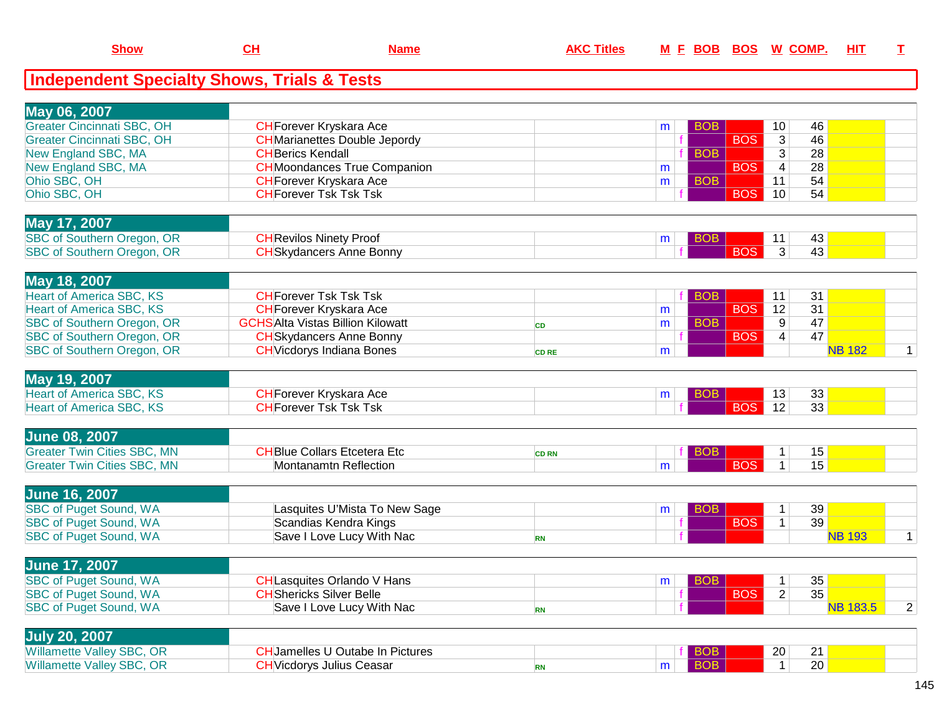| May 06, 2007               |                                      |   |            |            |    |    |  |
|----------------------------|--------------------------------------|---|------------|------------|----|----|--|
| Greater Cincinnati SBC, OH | <b>CH</b> Forever Kryskara Ace       | m | <b>BOB</b> |            | 10 | 46 |  |
| Greater Cincinnati SBC, OH | <b>CH</b> Marianettes Double Jepordy |   |            | <b>BOS</b> | ົ  | 46 |  |
| New England SBC, MA        | <b>CHBerics Kendall</b>              |   | <b>BOB</b> |            |    | 28 |  |
| New England SBC, MA        | <b>CH</b> Moondances True Companion  | m |            | <b>BOS</b> |    | 28 |  |
| Ohio SBC, OH               | <b>CH</b> Forever Kryskara Ace       | m | <b>BOB</b> |            |    | 54 |  |
| Ohio SBC, OH               | <b>CHForever Tsk Tsk Tsk</b>         |   |            | <b>BOS</b> | 10 | 54 |  |

| <b>May 17,</b><br>2007                      |                               |  |  |                       |  |
|---------------------------------------------|-------------------------------|--|--|-----------------------|--|
| <b>SBC</b> of<br>. OR<br>t Southern Oregon, | <u> HRevilos Ninety Proof</u> |  |  | 40                    |  |
| OR<br><b>SBC</b> of<br>: Southern Oregon,   | wdancers Anne Bonnv           |  |  | $\overline{ }$<br>40. |  |
|                                             |                               |  |  |                       |  |

| May 18, 2007                      |                                         |              |   |            |                 |    |               |  |
|-----------------------------------|-----------------------------------------|--------------|---|------------|-----------------|----|---------------|--|
| Heart of America SBC, KS          | <b>CH</b> Forever Tsk Tsk Tsk           |              |   |            |                 | 31 |               |  |
| Heart of America SBC, KS          | <b>CH</b> Forever Kryskara Ace          |              | m | <b>BOS</b> | 12 <sup>1</sup> | 31 |               |  |
| SBC of Southern Oregon, OR        | <b>GCHSAlta Vistas Billion Kilowatt</b> |              | m |            |                 | 47 |               |  |
| SBC of Southern Oregon, OR        | <b>CH</b> Skydancers Anne Bonny         |              |   | <b>BOS</b> |                 | 47 |               |  |
| <b>SBC of Southern Oregon, OR</b> | <b>CH</b> Vicdorys Indiana Bones        | <b>CD RE</b> | m |            |                 |    | <b>NB 182</b> |  |
|                                   |                                         |              |   |            |                 |    |               |  |

| <b>May</b><br>2007                    |                                  |   |  |                     |    |  |
|---------------------------------------|----------------------------------|---|--|---------------------|----|--|
| SBC, KS<br>Hear<br>$0.4$ maric $\sim$ | orever Krvskara Ace              | m |  | $\overline{a}$<br>C | 33 |  |
| <b>SBC, KS</b><br>Hear                | <b>Tsk Tsk Tsk</b><br>HForever 1 |   |  |                     | 33 |  |
|                                       |                                  |   |  |                     |    |  |

| <b>June 08, 2007</b>               |                            |              |   |  |     |  |
|------------------------------------|----------------------------|--------------|---|--|-----|--|
| <b>Greater Twin Cities SBC, MN</b> | HBlue Collars Etcetera Etc | <b>CD RN</b> |   |  | ט ו |  |
| <b>Greater Twin Cities SBC, MN</b> | Montanamtn Reflection      |              | m |  | J J |  |
|                                    |                            |              |   |  |     |  |

| <b>June 16, 2007</b>          |                               |   |            |                 |        |  |
|-------------------------------|-------------------------------|---|------------|-----------------|--------|--|
| <b>SBC of Puget Sound, WA</b> | Lasquites U'Mista To New Sage | m |            | 39 <sub>1</sub> |        |  |
| <b>SBC of Puget Sound, WA</b> | Scandias Kendra Kings         |   | <b>BOS</b> | 39              |        |  |
| <b>SBC of Puget Sound, WA</b> | Save I Love Lucy With Nac     |   |            |                 | NR 193 |  |

| <b>June 17, 2007</b>          |                                   |  |            |       |  |
|-------------------------------|-----------------------------------|--|------------|-------|--|
| <b>SBC of Puget Sound, WA</b> | <b>CHLasquites Orlando V Hans</b> |  |            | 35    |  |
| <b>SBC of Puget Sound, WA</b> | <b>CH</b> Shericks Silver Belle   |  | <b>BOS</b> | 35    |  |
| <b>SBC of Puget Sound, WA</b> | Save I Love Lucy With Nac         |  |            | .1835 |  |

| <b>July 20,</b><br>2007          |                                         |  |    |                 |  |
|----------------------------------|-----------------------------------------|--|----|-----------------|--|
| <b>Willamette Valley SBC, OR</b> | <b>CH</b> Jamelles U Outabe In Pictures |  | 20 | ົ<br><u>.</u>   |  |
| <b>Willamette Valley SBC, OR</b> | <b>HVicdorvs Julius Ceasar</b>          |  |    | 20 <sub>1</sub> |  |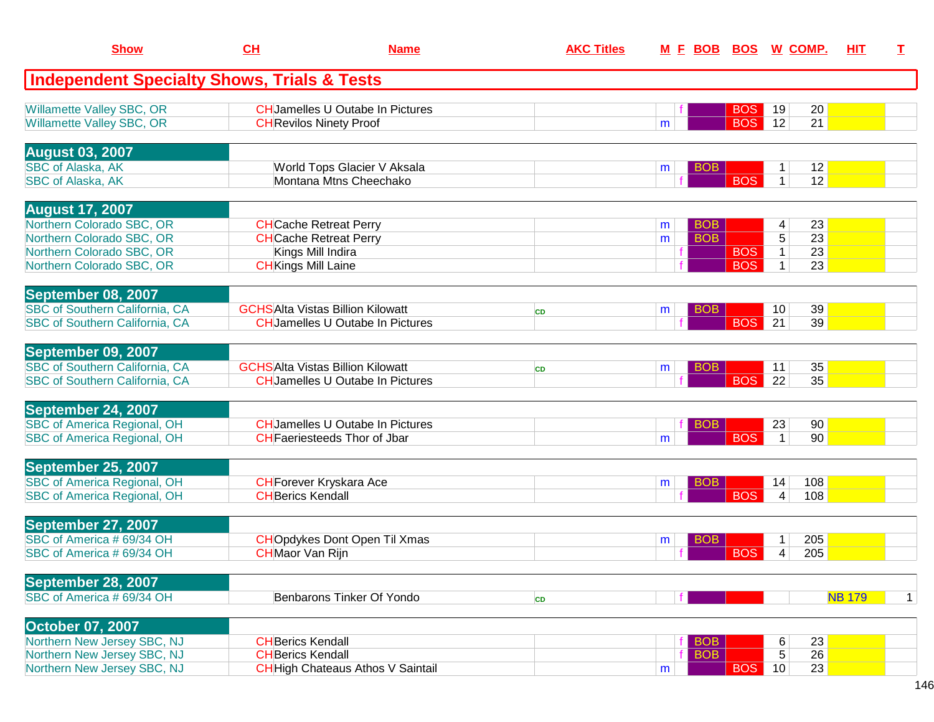| <b>Show</b>                                                   | CH                         | <b>Name</b>                                                              | <b>AKC Titles</b> |                 | <u>M E BOB BOS W COMP.</u> |                 |               | <b>HIT</b> | I.          |
|---------------------------------------------------------------|----------------------------|--------------------------------------------------------------------------|-------------------|-----------------|----------------------------|-----------------|---------------|------------|-------------|
| <b>Independent Specialty Shows, Trials &amp; Tests</b>        |                            |                                                                          |                   |                 |                            |                 |               |            |             |
| Willamette Valley SBC, OR<br><b>Willamette Valley SBC, OR</b> |                            | <b>CHJamelles U Outabe In Pictures</b><br><b>CH</b> Revilos Ninety Proof |                   | m               | <b>BOS</b><br><b>BOS</b>   | 19<br>12        | 20<br>21      |            |             |
| <b>August 03, 2007</b>                                        |                            |                                                                          |                   |                 |                            |                 |               |            |             |
| <b>SBC of Alaska, AK</b>                                      |                            | World Tops Glacier V Aksala                                              |                   | <b>BOB</b><br>m |                            | 1               | 12            |            |             |
| <b>SBC of Alaska, AK</b>                                      |                            | Montana Mtns Cheechako                                                   |                   |                 | <b>BOS</b>                 | 1 <sup>1</sup>  | 12            |            |             |
| <b>August 17, 2007</b>                                        |                            |                                                                          |                   |                 |                            |                 |               |            |             |
| Northern Colorado SBC, OR                                     |                            | <b>CH</b> Cache Retreat Perry                                            |                   | <b>BOB</b><br>m |                            | 4               | 23            |            |             |
| Northern Colorado SBC, OR                                     |                            | <b>CH</b> Cache Retreat Perry                                            |                   | <b>BOB</b><br>m |                            | 5               | 23            |            |             |
| Northern Colorado SBC, OR                                     |                            | Kings Mill Indira                                                        |                   |                 | <b>BOS</b>                 | $\mathbf 1$     | 23            |            |             |
| Northern Colorado SBC, OR                                     | <b>CH</b> Kings Mill Laine |                                                                          |                   |                 | <b>BOS</b>                 | $\mathbf{1}$    | 23            |            |             |
| September 08, 2007                                            |                            |                                                                          |                   |                 |                            |                 |               |            |             |
| <b>SBC of Southern California, CA</b>                         |                            | <b>GCHSAlta Vistas Billion Kilowatt</b>                                  | <b>CD</b>         | <b>BOB</b><br>m |                            | 10 <sup>°</sup> | 39            |            |             |
| <b>SBC of Southern California, CA</b>                         |                            | <b>CH</b> Jamelles U Outabe In Pictures                                  |                   |                 | <b>BOS</b>                 | 21              | 39            |            |             |
| September 09, 2007                                            |                            |                                                                          |                   |                 |                            |                 |               |            |             |
| <b>SBC of Southern California, CA</b>                         |                            | <b>GCHSAIta Vistas Billion Kilowatt</b>                                  | <b>CD</b>         | <b>BOB</b><br>m |                            | 11              | 35            |            |             |
| SBC of Southern California, CA                                |                            | <b>CH</b> Jamelles U Outabe In Pictures                                  |                   |                 | <b>BOS</b>                 | 22              | 35            |            |             |
| September 24, 2007                                            |                            |                                                                          |                   |                 |                            |                 |               |            |             |
| <b>SBC of America Regional, OH</b>                            |                            | <b>CHJamelles U Outabe In Pictures</b>                                   |                   | <b>BOB</b>      |                            | 23              | 90            |            |             |
| <b>SBC of America Regional, OH</b>                            |                            | <b>CH</b> Faeriesteeds Thor of Jbar                                      |                   | m               | <b>BOS</b>                 | $\mathbf{1}$    | 90            |            |             |
| September 25, 2007                                            |                            |                                                                          |                   |                 |                            |                 |               |            |             |
| <b>SBC of America Regional, OH</b>                            |                            | <b>CH</b> Forever Kryskara Ace                                           |                   | <b>BOB</b><br>m |                            | 14              | 108           |            |             |
| <b>SBC of America Regional, OH</b>                            | <b>CH</b> Berics Kendall   |                                                                          |                   |                 | <b>BOS</b>                 | 4               | 108           |            |             |
| September 27, 2007                                            |                            |                                                                          |                   |                 |                            |                 |               |            |             |
| SBC of America # 69/34 OH                                     |                            | <b>CHO</b> pdykes Dont Open Til Xmas                                     |                   | BOB<br>m        |                            | 1               | 205           |            |             |
| SBC of America # 69/34 OH                                     | <b>CH</b> Maor Van Rijn    |                                                                          |                   |                 | <b>BOS</b>                 | 4               | 205           |            |             |
| September 28, 2007                                            |                            |                                                                          |                   |                 |                            |                 |               |            |             |
| SBC of America # 69/34 OH                                     |                            | Benbarons Tinker Of Yondo                                                | CD                |                 |                            |                 | <b>NB 179</b> |            | $\mathbf 1$ |
|                                                               |                            |                                                                          |                   |                 |                            |                 |               |            |             |
| <b>October 07, 2007</b>                                       |                            |                                                                          |                   |                 |                            |                 |               |            |             |
| Northern New Jersey SBC, NJ                                   | <b>CHBerics Kendall</b>    |                                                                          |                   | <b>BOB</b>      |                            | 6               | 23            |            |             |
| Northern New Jersey SBC, NJ                                   | <b>CH</b> Berics Kendall   |                                                                          |                   | <b>BOB</b>      |                            | 5               | 26            |            |             |
| Northern New Jersey SBC, NJ                                   |                            | <b>CH</b> High Chateaus Athos V Saintail                                 |                   | m               | <b>BOS</b>                 | 10              | 23            |            |             |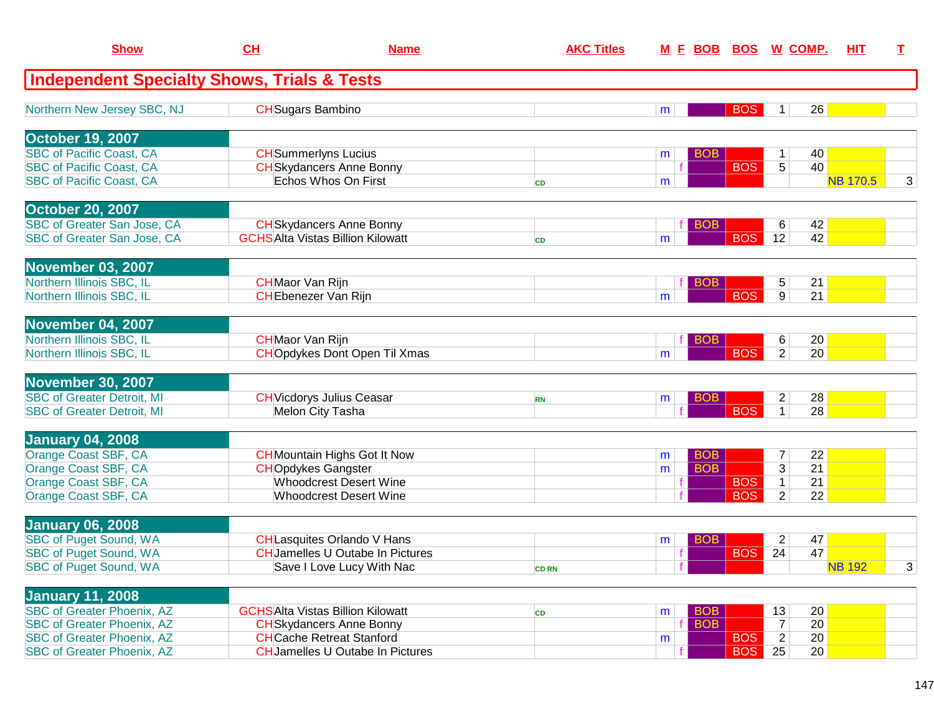| <b>Show</b>                                                            | CH                                                     | <b>Name</b>                                                                 | <b>AKC Titles</b> |   | <u>M E BOB BOS W COMP.</u> |                      | HIT             | T. |
|------------------------------------------------------------------------|--------------------------------------------------------|-----------------------------------------------------------------------------|-------------------|---|----------------------------|----------------------|-----------------|----|
| <b>Independent Specialty Shows, Trials &amp; Tests</b>                 |                                                        |                                                                             |                   |   |                            |                      |                 |    |
| Northern New Jersey SBC, NJ                                            | <b>CH</b> Sugars Bambino                               |                                                                             |                   | m | <b>BOS</b>                 | 1 <sup>1</sup>       | 26              |    |
| <b>October 19, 2007</b>                                                |                                                        |                                                                             |                   |   |                            |                      |                 |    |
| <b>SBC of Pacific Coast, CA</b>                                        |                                                        | <b>CH</b> Summerlyns Lucius                                                 |                   | m | <b>BOB</b><br><b>BOS</b>   | 1<br>5               | 40<br>40        |    |
| <b>SBC of Pacific Coast, CA</b><br><b>SBC of Pacific Coast, CA</b>     |                                                        | <b>CH</b> Skydancers Anne Bonny<br>Echos Whos On First                      | <b>CD</b>         | m |                            |                      | <b>NB 170.5</b> | 3  |
| <b>October 20, 2007</b>                                                |                                                        |                                                                             |                   |   |                            |                      |                 |    |
| SBC of Greater San Jose, CA                                            |                                                        | <b>CH</b> Skydancers Anne Bonny                                             |                   |   | <b>BOB</b>                 | 6                    | 42              |    |
| SBC of Greater San Jose, CA                                            |                                                        | <b>GCHSAlta Vistas Billion Kilowatt</b>                                     | <b>CD</b>         | m | <b>BOS</b>                 | 12                   | 42              |    |
| <b>November 03, 2007</b>                                               |                                                        |                                                                             |                   |   |                            |                      |                 |    |
| Northern Illinois SBC, IL<br>Northern Illinois SBC, IL                 | <b>CH</b> Maor Van Rijn<br><b>CH</b> Ebenezer Van Rijn |                                                                             |                   | m | <b>BOB</b><br><b>BOS</b>   | 5<br>9 <sup>1</sup>  | 21<br>21        |    |
|                                                                        |                                                        |                                                                             |                   |   |                            |                      |                 |    |
| November 04, 2007                                                      |                                                        |                                                                             |                   |   |                            |                      |                 |    |
| Northern Illinois SBC, IL<br>Northern Illinois SBC, IL                 | <b>CH</b> Maor Van Rijn                                | <b>CHO</b> pdykes Dont Open Til Xmas                                        |                   | m | BOB<br><b>BOS</b>          | 6<br>2               | 20<br>20        |    |
|                                                                        |                                                        |                                                                             |                   |   |                            |                      |                 |    |
| <b>November 30, 2007</b><br><b>SBC of Greater Detroit, MI</b>          |                                                        | <b>CH</b> Vicdorys Julius Ceasar                                            | <b>RN</b>         | m | <b>BOB</b>                 | $\overline{c}$       | 28              |    |
| <b>SBC of Greater Detroit, MI</b>                                      |                                                        | Melon City Tasha                                                            |                   |   | <b>BOS</b>                 | $\mathbf 1$          | 28              |    |
|                                                                        |                                                        |                                                                             |                   |   |                            |                      |                 |    |
| <b>January 04, 2008</b><br>Orange Coast SBF, CA                        |                                                        | <b>CH</b> Mountain Highs Got It Now                                         |                   | m | <b>BOB</b>                 | $\overline{7}$       | 22              |    |
| Orange Coast SBF, CA                                                   | <b>CHOpdykes Gangster</b>                              |                                                                             |                   | m | <b>BOB</b>                 | $\overline{3}$       | 21              |    |
| Orange Coast SBF, CA                                                   |                                                        | <b>Whoodcrest Desert Wine</b>                                               |                   |   | <b>BOS</b>                 | 1                    | 21              |    |
| Orange Coast SBF, CA                                                   |                                                        | <b>Whoodcrest Desert Wine</b>                                               |                   |   | <b>BOS</b>                 | $\overline{2}$       | 22              |    |
| <b>January 06, 2008</b>                                                |                                                        |                                                                             |                   |   |                            |                      |                 |    |
| <b>SBC of Puget Sound, WA</b>                                          |                                                        | <b>CHLasquites Orlando V Hans</b>                                           |                   | m | <b>BOB</b>                 | $\overline{2}$       | 47              |    |
| <b>SBC of Puget Sound, WA</b>                                          |                                                        | <b>CH</b> Jamelles U Outabe In Pictures                                     |                   |   | <b>BOS</b>                 | 24                   | 47              |    |
| <b>SBC of Puget Sound, WA</b>                                          |                                                        | Save I Love Lucy With Nac                                                   | <b>CD RN</b>      |   |                            |                      | <b>NB 192</b>   | 3  |
| <b>January 11, 2008</b>                                                |                                                        |                                                                             |                   |   |                            |                      |                 |    |
| <b>SBC of Greater Phoenix, AZ</b>                                      |                                                        | <b>GCHSAlta Vistas Billion Kilowatt</b>                                     | CD                | m | <b>BOB</b>                 | 13                   | 20              |    |
| <b>SBC of Greater Phoenix, AZ</b>                                      |                                                        | <b>CH</b> Skydancers Anne Bonny                                             |                   |   | <b>BOB</b>                 | $\overline{7}$       | $\overline{20}$ |    |
| <b>SBC of Greater Phoenix, AZ</b><br><b>SBC of Greater Phoenix, AZ</b> |                                                        | <b>CH</b> Cache Retreat Stanford<br><b>CH</b> Jamelles U Outabe In Pictures |                   | m | <b>BOS</b><br><b>BOS</b>   | $\overline{2}$<br>25 | 20<br>20        |    |
|                                                                        |                                                        |                                                                             |                   |   |                            |                      |                 |    |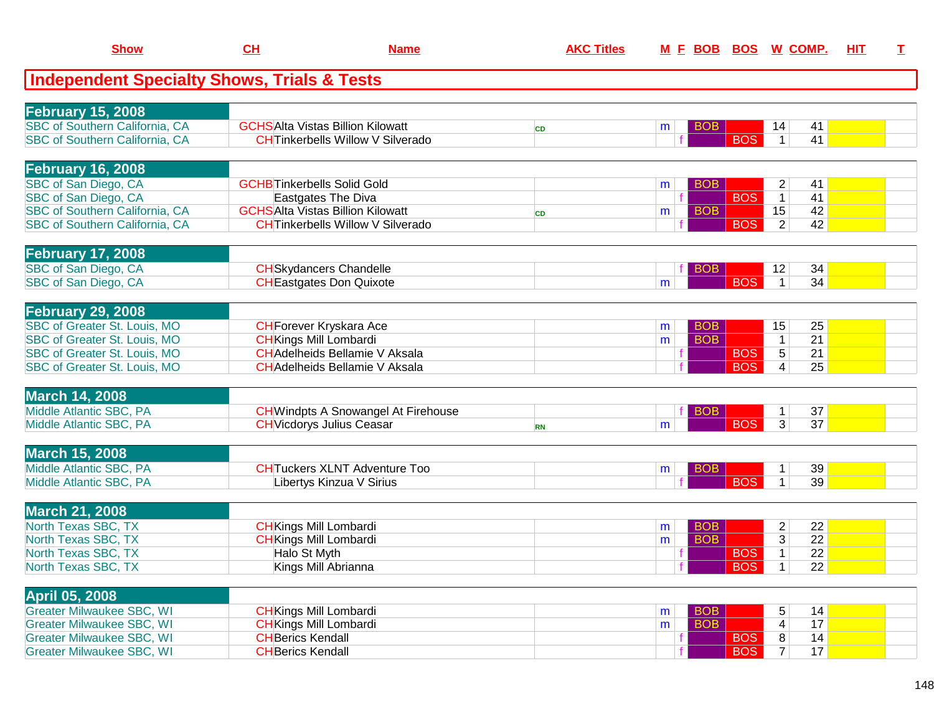| <b>Show</b>                                            | CH                                 | <b>Name</b>                                | <b>AKC Titles</b> |   |            |            | M E BOB BOS W COMP.            | HIT | $\mathbf{T}$ |
|--------------------------------------------------------|------------------------------------|--------------------------------------------|-------------------|---|------------|------------|--------------------------------|-----|--------------|
| <b>Independent Specialty Shows, Trials &amp; Tests</b> |                                    |                                            |                   |   |            |            |                                |     |              |
| <b>February 15, 2008</b>                               |                                    |                                            |                   |   |            |            |                                |     |              |
| SBC of Southern California, CA                         |                                    | <b>GCHSAlta Vistas Billion Kilowatt</b>    | <b>CD</b>         | m | <b>BOB</b> |            | 41<br>14                       |     |              |
| SBC of Southern California, CA                         |                                    | <b>CH</b> Tinkerbells Willow V Silverado   |                   |   |            | <b>BOS</b> | 41<br>$\mathbf{1}$             |     |              |
| <b>February 16, 2008</b>                               |                                    |                                            |                   |   |            |            |                                |     |              |
| SBC of San Diego, CA                                   | <b>GCHB</b> Tinkerbells Solid Gold |                                            |                   | m | <b>BOB</b> |            | $\overline{c}$<br>41           |     |              |
| SBC of San Diego, CA                                   |                                    | Eastgates The Diva                         |                   |   |            | <b>BOS</b> | 41<br>$\mathbf{1}$             |     |              |
| SBC of Southern California, CA                         |                                    | <b>GCHSAlta Vistas Billion Kilowatt</b>    | <b>CD</b>         | m | <b>BOB</b> |            | 15<br>42                       |     |              |
| <b>SBC of Southern California, CA</b>                  |                                    | <b>CH</b> Tinkerbells Willow V Silverado   |                   |   |            | <b>BOS</b> | $\overline{2}$<br>42           |     |              |
| <b>February 17, 2008</b>                               |                                    |                                            |                   |   |            |            |                                |     |              |
| SBC of San Diego, CA                                   |                                    | <b>CH</b> Skydancers Chandelle             |                   |   | <b>BOB</b> |            | 12<br>34                       |     |              |
| SBC of San Diego, CA                                   |                                    | <b>CH</b> Eastgates Don Quixote            |                   | m |            | <b>BOS</b> | 34<br>$\mathbf{1}$             |     |              |
| <b>February 29, 2008</b>                               |                                    |                                            |                   |   |            |            |                                |     |              |
| SBC of Greater St. Louis, MO                           |                                    | <b>CH</b> Forever Kryskara Ace             |                   | m | <b>BOB</b> |            | 15<br>25                       |     |              |
| SBC of Greater St. Louis, MO                           | <b>CH</b> Kings Mill Lombardi      |                                            |                   | m | <b>BOB</b> |            | $\overline{21}$<br>$\mathbf 1$ |     |              |
| SBC of Greater St. Louis, MO                           |                                    | <b>CH</b> Adelheids Bellamie V Aksala      |                   |   |            | <b>BOS</b> | $\overline{5}$<br>21           |     |              |
| <b>SBC of Greater St. Louis, MO</b>                    |                                    | <b>CH</b> Adelheids Bellamie V Aksala      |                   |   |            | <b>BOS</b> | $\overline{4}$<br>25           |     |              |
| <b>March 14, 2008</b>                                  |                                    |                                            |                   |   |            |            |                                |     |              |
| Middle Atlantic SBC, PA                                |                                    | <b>CH</b> Windpts A Snowangel At Firehouse |                   |   | <b>BOB</b> |            | 37                             |     |              |
| Middle Atlantic SBC, PA                                |                                    | <b>CH</b> Vicdorys Julius Ceasar           | <b>RN</b>         | m |            | <b>BOS</b> | $\overline{3}$<br>37           |     |              |
| <b>March 15, 2008</b>                                  |                                    |                                            |                   |   |            |            |                                |     |              |
| Middle Atlantic SBC, PA                                |                                    | <b>CHTuckers XLNT Adventure Too</b>        |                   | m | <b>BOB</b> |            | 39<br>1                        |     |              |
| Middle Atlantic SBC, PA                                |                                    | Libertys Kinzua V Sirius                   |                   |   |            | <b>BOS</b> | 39                             |     |              |
| <b>March 21, 2008</b>                                  |                                    |                                            |                   |   |            |            |                                |     |              |
| North Texas SBC, TX                                    | <b>CH</b> Kings Mill Lombardi      |                                            |                   | m | <b>BOB</b> |            | $\overline{c}$<br>22           |     |              |
| North Texas SBC, TX                                    | <b>CH</b> Kings Mill Lombardi      |                                            |                   | m | <b>BOB</b> |            | $\overline{3}$<br>22           |     |              |
| North Texas SBC, TX                                    | Halo St Myth                       |                                            |                   |   |            | <b>BOS</b> | $\overline{22}$<br>1           |     |              |
| North Texas SBC, TX                                    |                                    | Kings Mill Abrianna                        |                   |   |            | <b>BOS</b> | $\mathbf{1}$<br>22             |     |              |
| <b>April 05, 2008</b>                                  |                                    |                                            |                   |   |            |            |                                |     |              |
| <b>Greater Milwaukee SBC, WI</b>                       | <b>CH</b> Kings Mill Lombardi      |                                            |                   | m | <b>BOB</b> |            | 5<br>14                        |     |              |
| <b>Greater Milwaukee SBC, WI</b>                       | <b>CH</b> Kings Mill Lombardi      |                                            |                   | m | <b>BOB</b> |            | 17<br>$\overline{4}$           |     |              |
| <b>Greater Milwaukee SBC, WI</b>                       | <b>CH</b> Berics Kendall           |                                            |                   |   |            | <b>BOS</b> | 8<br>14                        |     |              |
| <b>Greater Milwaukee SBC, WI</b>                       | <b>CH</b> Berics Kendall           |                                            |                   |   |            | <b>BOS</b> | 7 <sup>1</sup><br>17           |     |              |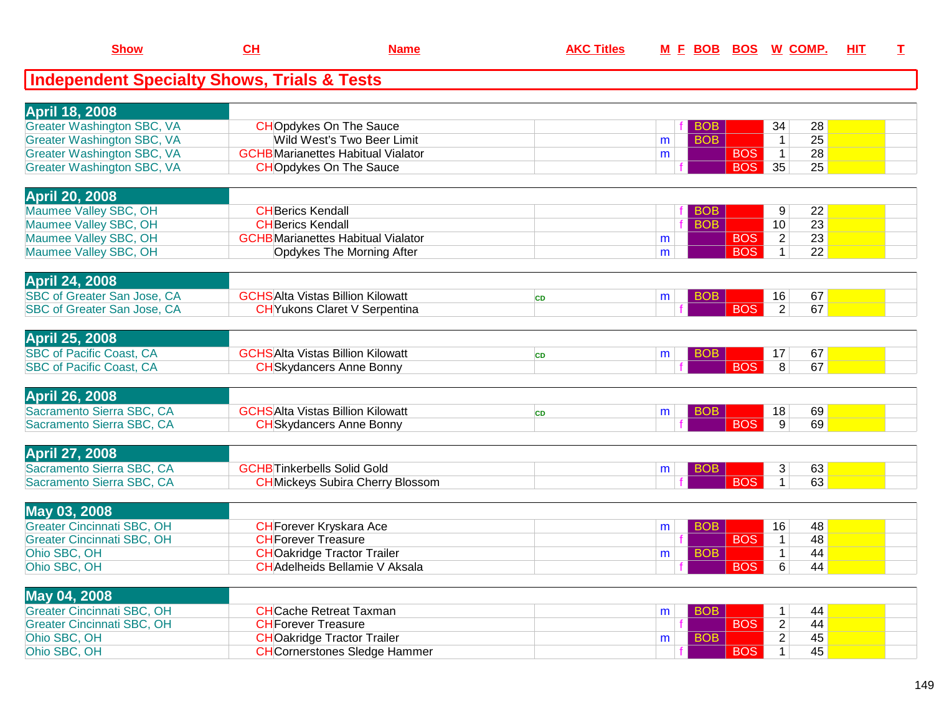| <b>Show</b>                                            | <u>CH</u>                  | <u>Name</u>                               | <b>AKC Titles</b> |   | <u>M E BOB BOS W COMP.</u> |            |                |                 | <u>HIT</u> | I |
|--------------------------------------------------------|----------------------------|-------------------------------------------|-------------------|---|----------------------------|------------|----------------|-----------------|------------|---|
| <b>Independent Specialty Shows, Trials &amp; Tests</b> |                            |                                           |                   |   |                            |            |                |                 |            |   |
| <b>April 18, 2008</b>                                  |                            |                                           |                   |   |                            |            |                |                 |            |   |
| <b>Greater Washington SBC, VA</b>                      |                            | <b>CHOpdykes On The Sauce</b>             |                   |   | <b>BOB</b>                 |            | 34             | 28              |            |   |
| <b>Greater Washington SBC, VA</b>                      |                            | Wild West's Two Beer Limit                |                   | m | <b>BOB</b>                 |            | $\mathbf{1}$   | 25              |            |   |
| <b>Greater Washington SBC, VA</b>                      |                            | <b>GCHB</b> Marianettes Habitual Vialator |                   | m |                            | <b>BOS</b> | $\mathbf{1}$   | 28              |            |   |
| <b>Greater Washington SBC, VA</b>                      |                            | <b>CHOpdykes On The Sauce</b>             |                   |   |                            | <b>BOS</b> | 35             | 25              |            |   |
| <b>April 20, 2008</b>                                  |                            |                                           |                   |   |                            |            |                |                 |            |   |
| Maumee Valley SBC, OH                                  | <b>CH</b> Berics Kendall   |                                           |                   |   | BOB                        |            | 9              | 22              |            |   |
| Maumee Valley SBC, OH                                  | <b>CH</b> Berics Kendall   |                                           |                   |   | <b>BOB</b>                 |            | 10             | $\overline{23}$ |            |   |
| Maumee Valley SBC, OH                                  |                            | <b>GCHB</b> Marianettes Habitual Vialator |                   | m |                            | <b>BOS</b> | $\overline{2}$ | 23              |            |   |
| Maumee Valley SBC, OH                                  |                            | <b>Opdykes The Morning After</b>          |                   | m |                            | <b>BOS</b> | $\mathbf{1}$   | $\overline{22}$ |            |   |
|                                                        |                            |                                           |                   |   |                            |            |                |                 |            |   |
| <b>April 24, 2008</b>                                  |                            |                                           |                   |   |                            |            |                |                 |            |   |
| SBC of Greater San Jose, CA                            |                            | <b>GCHSAIta Vistas Billion Kilowatt</b>   | <b>CD</b>         | m | <b>BOB</b>                 |            | 16             | 67              |            |   |
| SBC of Greater San Jose, CA                            |                            | <b>CH</b> Yukons Claret V Serpentina      |                   |   |                            | <b>BOS</b> | $\overline{2}$ | 67              |            |   |
|                                                        |                            |                                           |                   |   |                            |            |                |                 |            |   |
| <b>April 25, 2008</b>                                  |                            |                                           |                   |   |                            |            |                |                 |            |   |
| <b>SBC of Pacific Coast, CA</b>                        |                            | <b>GCHSAIta Vistas Billion Kilowatt</b>   | <b>CD</b>         | m | <b>BOB</b>                 |            | 17             | 67              |            |   |
| <b>SBC of Pacific Coast, CA</b>                        |                            | <b>CH</b> Skydancers Anne Bonny           |                   |   |                            | <b>BOS</b> | 8              | 67              |            |   |
|                                                        |                            |                                           |                   |   |                            |            |                |                 |            |   |
| <b>April 26, 2008</b>                                  |                            |                                           |                   |   |                            |            |                |                 |            |   |
| Sacramento Sierra SBC, CA                              |                            | <b>GCHSAIta Vistas Billion Kilowatt</b>   | <b>CD</b>         | m | <b>BOB</b>                 |            | 18             | 69              |            |   |
| Sacramento Sierra SBC, CA                              |                            | <b>CH</b> Skydancers Anne Bonny           |                   |   |                            | <b>BOS</b> | $\overline{9}$ | 69              |            |   |
|                                                        |                            |                                           |                   |   |                            |            |                |                 |            |   |
| April 27, 2008                                         |                            |                                           |                   |   |                            |            |                |                 |            |   |
| Sacramento Sierra SBC, CA                              |                            | <b>GCHB</b> Tinkerbells Solid Gold        |                   | m | <b>BOB</b>                 |            | 3              | 63              |            |   |
| Sacramento Sierra SBC, CA                              |                            | <b>CH</b> Mickeys Subira Cherry Blossom   |                   |   |                            | <b>BOS</b> | $\mathbf{1}$   | 63              |            |   |
|                                                        |                            |                                           |                   |   |                            |            |                |                 |            |   |
| May 03, 2008                                           |                            |                                           |                   |   |                            |            |                |                 |            |   |
| Greater Cincinnati SBC, OH                             |                            | <b>CH</b> Forever Kryskara Ace            |                   | m | <b>BOB</b>                 |            | 16             | 48              |            |   |
| <b>Greater Cincinnati SBC, OH</b>                      | <b>CH</b> Forever Treasure |                                           |                   |   |                            | <b>BOS</b> | $\mathbf{1}$   | 48              |            |   |
| Ohio SBC, OH                                           |                            | <b>CHOakridge Tractor Trailer</b>         |                   | m | <b>BOB</b>                 |            | $\mathbf{1}$   | 44              |            |   |
| Ohio SBC, OH                                           |                            | <b>CH</b> Adelheids Bellamie V Aksala     |                   |   |                            | <b>BOS</b> | $\overline{6}$ | 44              |            |   |
|                                                        |                            |                                           |                   |   |                            |            |                |                 |            |   |
| May 04, 2008                                           |                            |                                           |                   |   |                            |            |                |                 |            |   |
| <b>Greater Cincinnati SBC, OH</b>                      |                            | <b>CH</b> Cache Retreat Taxman            |                   | m | <b>BOB</b>                 |            | $\mathbf{1}$   | 44              |            |   |
| <b>Greater Cincinnati SBC, OH</b>                      | <b>CHForever Treasure</b>  |                                           |                   |   |                            | <b>BOS</b> | $\overline{2}$ | 44              |            |   |
| Ohio SBC, OH                                           |                            | <b>CHOakridge Tractor Trailer</b>         |                   | m | <b>BOB</b>                 |            | $\overline{2}$ | 45              |            |   |
| Ohio SBC, OH                                           |                            | <b>CH</b> Cornerstones Sledge Hammer      |                   |   |                            | <b>BOS</b> | $\mathbf{1}$   | 45              |            |   |

**Show**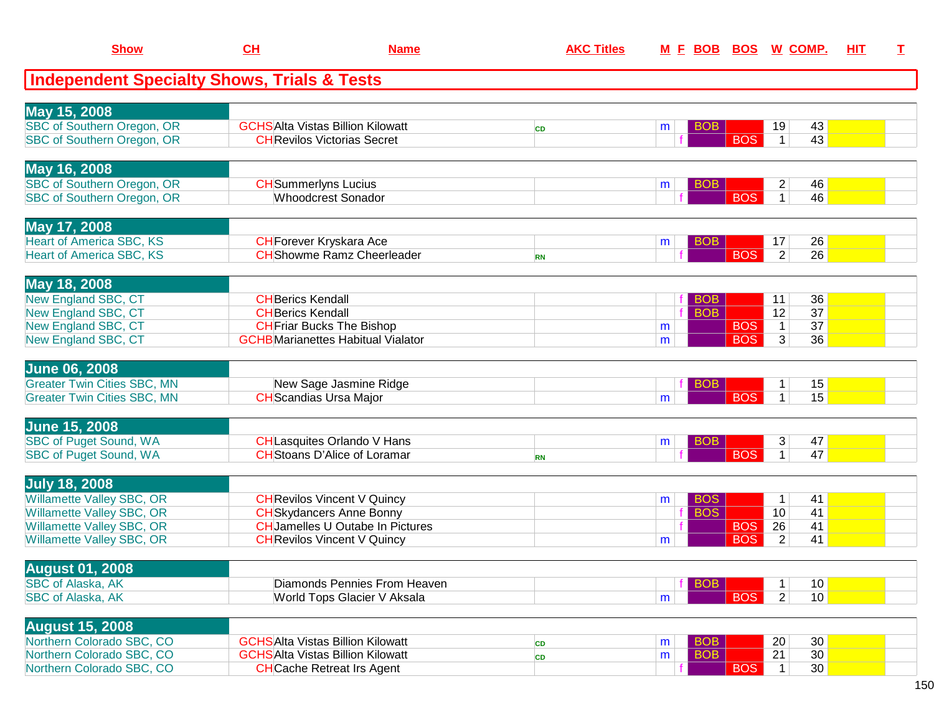| <b>Show</b>                                                              | CH                                                   | <b>Name</b>                                                                        | <b>AKC Titles</b> |        | M E BOB                  | <b>BOS</b>               | W COMP.                                                | HIT | I. |
|--------------------------------------------------------------------------|------------------------------------------------------|------------------------------------------------------------------------------------|-------------------|--------|--------------------------|--------------------------|--------------------------------------------------------|-----|----|
| <b>Independent Specialty Shows, Trials &amp; Tests</b>                   |                                                      |                                                                                    |                   |        |                          |                          |                                                        |     |    |
| May 15, 2008                                                             |                                                      |                                                                                    |                   |        |                          |                          |                                                        |     |    |
| <b>SBC of Southern Oregon, OR</b><br><b>SBC of Southern Oregon, OR</b>   |                                                      | <b>GCHSAlta Vistas Billion Kilowatt</b><br><b>CH</b> Revilos Victorias Secret      | <b>CD</b>         | m      | <b>BOB</b>               | <b>BOS</b>               | 43<br>19<br>43<br>$\mathbf{1}$                         |     |    |
| May 16, 2008                                                             |                                                      |                                                                                    |                   |        |                          |                          |                                                        |     |    |
| SBC of Southern Oregon, OR<br>SBC of Southern Oregon, OR                 | <b>CH</b> Summerlyns Lucius                          | <b>Whoodcrest Sonador</b>                                                          |                   | m      | <b>BOB</b>               | <b>BOS</b>               | $\overline{c}$<br>46<br>46<br>$\mathbf{1}$             |     |    |
| May 17, 2008                                                             |                                                      |                                                                                    |                   |        |                          |                          |                                                        |     |    |
| <b>Heart of America SBC, KS</b><br><b>Heart of America SBC, KS</b>       |                                                      | <b>CH</b> Forever Kryskara Ace<br><b>CH</b> Showme Ramz Cheerleader                | <b>RN</b>         | m      | <b>BOB</b>               | <b>BOS</b>               | 26<br>17<br>$\overline{2}$<br>26                       |     |    |
| May 18, 2008                                                             |                                                      |                                                                                    |                   |        |                          |                          |                                                        |     |    |
| New England SBC, CT<br>New England SBC, CT                               | <b>CH</b> Berics Kendall<br><b>CH</b> Berics Kendall |                                                                                    |                   |        | <b>BOB</b><br><b>BOB</b> |                          | 36<br>11<br>37<br>12                                   |     |    |
| New England SBC, CT<br>New England SBC, CT                               |                                                      | <b>CH</b> Friar Bucks The Bishop<br><b>GCHB</b> Marianettes Habitual Vialator      |                   | m<br>m |                          | <b>BOS</b><br><b>BOS</b> | 37<br>$\mathbf 1$<br>$\overline{3}$<br>36              |     |    |
| <b>June 06, 2008</b>                                                     |                                                      |                                                                                    |                   |        |                          |                          |                                                        |     |    |
| <b>Greater Twin Cities SBC, MN</b><br><b>Greater Twin Cities SBC, MN</b> |                                                      | New Sage Jasmine Ridge<br><b>CH</b> Scandias Ursa Major                            |                   | m      | <b>BOB</b>               | <b>BOS</b>               | 15<br>$\mathbf 1$<br>15<br>$\mathbf{1}$                |     |    |
| <b>June 15, 2008</b>                                                     |                                                      |                                                                                    |                   |        |                          |                          |                                                        |     |    |
| <b>SBC of Puget Sound, WA</b><br>SBC of Puget Sound, WA                  |                                                      | <b>CH</b> Lasquites Orlando V Hans<br><b>CH</b> Stoans D'Alice of Loramar          | <b>RN</b>         | m      | <b>BOB</b>               | <b>BOS</b>               | 3<br>47<br>47<br>$\mathbf{1}$                          |     |    |
| <b>July 18, 2008</b>                                                     |                                                      |                                                                                    |                   |        |                          |                          |                                                        |     |    |
| Willamette Valley SBC, OR<br>Willamette Valley SBC, OR                   |                                                      | <b>CH</b> Revilos Vincent V Quincy<br><b>CH</b> Skydancers Anne Bonny              |                   | m<br>f | <b>BOS</b><br><b>BOS</b> |                          | 41<br>$\mathbf{1}$<br>10<br>41                         |     |    |
| <b>Willamette Valley SBC, OR</b><br>Willamette Valley SBC, OR            |                                                      | <b>CH</b> Jamelles U Outabe In Pictures<br><b>CH</b> Revilos Vincent V Quincy      |                   | m      |                          | <b>BOS</b><br><b>BOS</b> | 26<br>41<br>$\overline{2}$<br>41                       |     |    |
| <b>August 01, 2008</b>                                                   |                                                      |                                                                                    |                   |        |                          |                          |                                                        |     |    |
| SBC of Alaska, AK<br>SBC of Alaska, AK                                   |                                                      | Diamonds Pennies From Heaven<br>World Tops Glacier V Aksala                        |                   | m      | <b>BOB</b>               | <b>BOS</b>               | 10<br>$\mathbf 1$<br>$\overline{2}$<br>10 <sup>1</sup> |     |    |
| <b>August 15, 2008</b>                                                   |                                                      |                                                                                    |                   |        |                          |                          |                                                        |     |    |
| Northern Colorado SBC, CO<br>Northern Colorado SBC, CO                   |                                                      | <b>GCHSAlta Vistas Billion Kilowatt</b><br><b>GCHSAlta Vistas Billion Kilowatt</b> | CD<br>CD          | m<br>m | <b>BOB</b><br><b>BOB</b> |                          | 20<br>30<br>30<br>21                                   |     |    |
| Northern Colorado SBC, CO                                                |                                                      | <b>CH</b> Cache Retreat Irs Agent                                                  |                   |        |                          | <b>BOS</b>               | 30<br>$\mathbf{1}$                                     |     |    |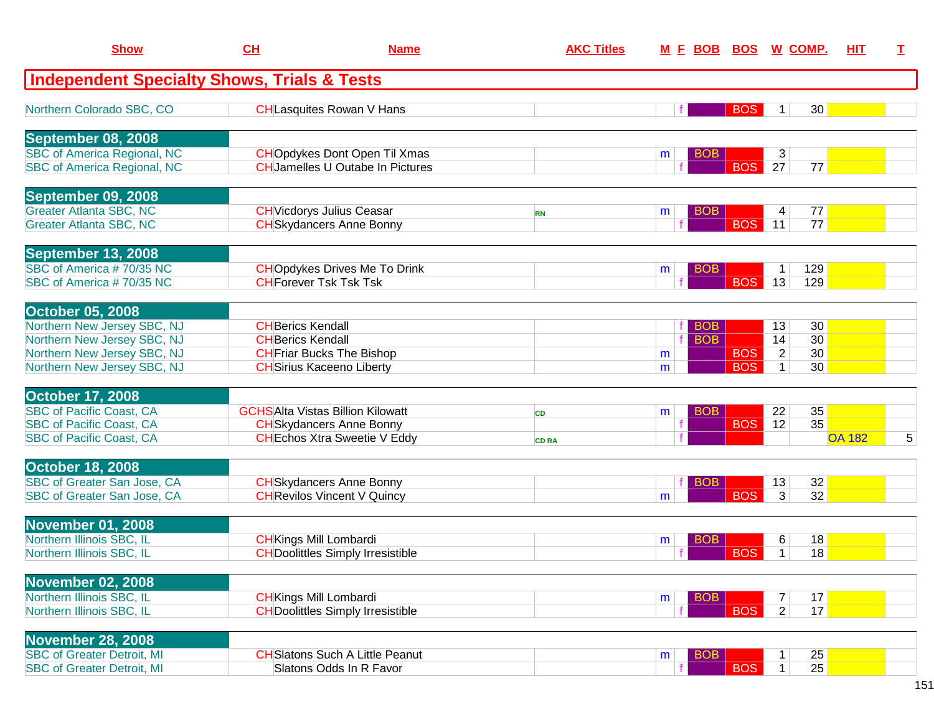| <b>Show</b>                                                              | <b>CH</b>                                            | <b>Name</b>                                                                     | <b>AKC Titles</b> |   | <b>MFBOB</b>             | <b>BOS</b> |                     | <u>W_COMP.</u>  | HIT.          | T |
|--------------------------------------------------------------------------|------------------------------------------------------|---------------------------------------------------------------------------------|-------------------|---|--------------------------|------------|---------------------|-----------------|---------------|---|
| <b>Independent Specialty Shows, Trials &amp; Tests</b>                   |                                                      |                                                                                 |                   |   |                          |            |                     |                 |               |   |
| Northern Colorado SBC, CO                                                |                                                      | <b>CHLasquites Rowan V Hans</b>                                                 |                   |   |                          | <b>BOS</b> | 1                   | 30 <sup>°</sup> |               |   |
| September 08, 2008                                                       |                                                      |                                                                                 |                   |   |                          |            |                     |                 |               |   |
| <b>SBC of America Regional, NC</b><br><b>SBC of America Regional, NC</b> |                                                      | <b>CHO</b> pdykes Dont Open Til Xmas<br><b>CH</b> Jamelles U Outabe In Pictures |                   | m | <b>BOB</b>               | <b>BOS</b> | 3<br>27             | 77              |               |   |
| September 09, 2008                                                       |                                                      |                                                                                 |                   |   |                          |            |                     |                 |               |   |
| <b>Greater Atlanta SBC, NC</b><br><b>Greater Atlanta SBC, NC</b>         |                                                      | <b>CH</b> Vicdorys Julius Ceasar<br><b>CH</b> Skydancers Anne Bonny             | <b>RN</b>         | m | <b>BOB</b>               | <b>BOS</b> | 4<br>11             | 77<br>77        |               |   |
| September 13, 2008                                                       |                                                      |                                                                                 |                   |   |                          |            |                     |                 |               |   |
| SBC of America #70/35 NC<br>SBC of America #70/35 NC                     |                                                      | <b>CHO</b> pdykes Drives Me To Drink<br><b>CH</b> Forever Tsk Tsk Tsk           |                   | m | <b>BOB</b>               | <b>BOS</b> | $\mathbf{1}$<br>13  | 129<br>129      |               |   |
| <b>October 05, 2008</b>                                                  |                                                      |                                                                                 |                   |   |                          |            |                     |                 |               |   |
| Northern New Jersey SBC, NJ<br>Northern New Jersey SBC, NJ               | <b>CH</b> Berics Kendall<br><b>CH</b> Berics Kendall |                                                                                 |                   |   | <b>BOB</b><br><b>BOB</b> |            | 13<br>14            | 30<br>30        |               |   |
| Northern New Jersey SBC, NJ                                              |                                                      | <b>CH</b> Friar Bucks The Bishop                                                |                   | m |                          | <b>BOS</b> | $\overline{2}$      | 30              |               |   |
| Northern New Jersey SBC, NJ                                              |                                                      | <b>CH</b> Sirius Kaceeno Liberty                                                |                   | m |                          | <b>BOS</b> |                     | 30              |               |   |
| <b>October 17, 2008</b>                                                  |                                                      |                                                                                 |                   |   |                          |            |                     |                 |               |   |
| <b>SBC of Pacific Coast, CA</b>                                          |                                                      | <b>GCHSAlta Vistas Billion Kilowatt</b>                                         | <b>CD</b>         | m | <b>BOB</b>               |            | 22                  | 35              |               |   |
| <b>SBC of Pacific Coast, CA</b><br><b>SBC of Pacific Coast, CA</b>       |                                                      | <b>CH</b> Skydancers Anne Bonny<br><b>CH</b> Echos Xtra Sweetie V Eddy          | <b>CD RA</b>      |   |                          | <b>BOS</b> | 12                  | 35              | <b>OA 182</b> | 5 |
|                                                                          |                                                      |                                                                                 |                   |   |                          |            |                     |                 |               |   |
| <b>October 18, 2008</b><br>SBC of Greater San Jose, CA                   |                                                      | <b>CH</b> Skydancers Anne Bonny                                                 |                   |   | BOB                      |            | 13                  | 32              |               |   |
| SBC of Greater San Jose, CA                                              |                                                      | <b>CH</b> Revilos Vincent V Quincy                                              |                   | m |                          | <b>BOS</b> | 3                   | 32              |               |   |
| <b>November 01, 2008</b>                                                 |                                                      |                                                                                 |                   |   |                          |            |                     |                 |               |   |
| Northern Illinois SBC, IL                                                |                                                      | <b>CH</b> Kings Mill Lombardi                                                   |                   | m | BOB                      |            | 6                   | 18              |               |   |
| Northern Illinois SBC, IL                                                |                                                      | <b>CH</b> Doolittles Simply Irresistible                                        |                   |   |                          | <b>BOS</b> | 1                   | 18              |               |   |
| <b>November 02, 2008</b>                                                 |                                                      |                                                                                 |                   |   |                          |            |                     |                 |               |   |
| Northern Illinois SBC, IL<br>Northern Illinois SBC, IL                   |                                                      | <b>CH</b> Kings Mill Lombardi<br><b>CHDoolittles Simply Irresistible</b>        |                   | m | <b>BOB</b>               | <b>BOS</b> | 7<br>2 <sup>1</sup> | 17<br>17        |               |   |
|                                                                          |                                                      |                                                                                 |                   |   |                          |            |                     |                 |               |   |
| <b>November 28, 2008</b>                                                 |                                                      | <b>CH</b> Slatons Such A Little Peanut                                          |                   |   |                          |            |                     |                 |               |   |
| <b>SBC of Greater Detroit, MI</b><br><b>SBC of Greater Detroit, MI</b>   |                                                      | Slatons Odds In R Favor                                                         |                   | m | <b>BOB</b>               | <b>BOS</b> | 1<br>$\mathbf{1}$   | 25<br>25        |               |   |
|                                                                          |                                                      |                                                                                 |                   |   |                          |            |                     |                 |               |   |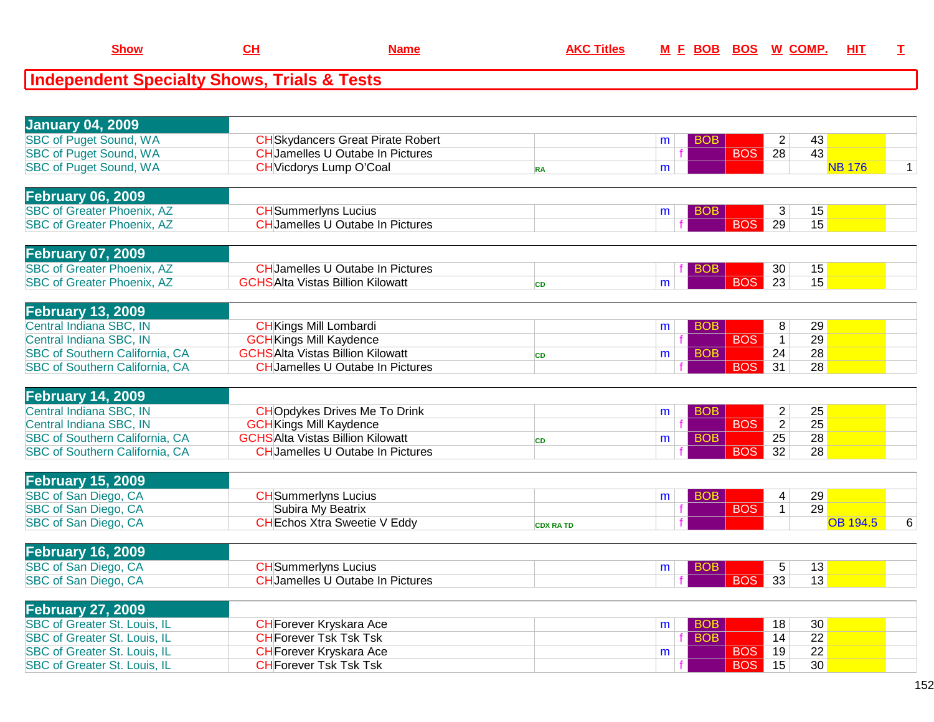| <b>January 04, 2009</b>               |                                          |                 |   |            |                                   |                 |              |
|---------------------------------------|------------------------------------------|-----------------|---|------------|-----------------------------------|-----------------|--------------|
| <b>SBC of Puget Sound, WA</b>         | <b>CH</b> Skydancers Great Pirate Robert |                 | m | BOB        | 43<br>2                           |                 |              |
| <b>SBC of Puget Sound, WA</b>         | <b>CH</b> Jamelles U Outabe In Pictures  |                 |   | <b>BOS</b> | $\overline{28}$<br>43             |                 |              |
| <b>SBC of Puget Sound, WA</b>         | <b>CH</b> Vicdorys Lump O'Coal           | <b>RA</b>       | m |            |                                   | <b>NB 176</b>   | $\mathbf{1}$ |
|                                       |                                          |                 |   |            |                                   |                 |              |
| <b>February 06, 2009</b>              |                                          |                 |   |            |                                   |                 |              |
| <b>SBC of Greater Phoenix, AZ</b>     | <b>CH</b> Summerlyns Lucius              |                 |   | BOB        | 15<br>3                           |                 |              |
| <b>SBC of Greater Phoenix, AZ</b>     | <b>CHJamelles U Outabe In Pictures</b>   |                 | m | <b>BOS</b> | 29<br>15                          |                 |              |
|                                       |                                          |                 |   |            |                                   |                 |              |
|                                       |                                          |                 |   |            |                                   |                 |              |
| <b>February 07, 2009</b>              |                                          |                 |   |            |                                   |                 |              |
| <b>SBC of Greater Phoenix, AZ</b>     | <b>CHJamelles U Outabe In Pictures</b>   |                 |   | <b>BOB</b> | 15<br>30                          |                 |              |
| <b>SBC of Greater Phoenix, AZ</b>     | <b>GCHSAlta Vistas Billion Kilowatt</b>  | <b>CD</b>       | m | <b>BOS</b> | 15<br>$\overline{23}$             |                 |              |
|                                       |                                          |                 |   |            |                                   |                 |              |
| <b>February 13, 2009</b>              |                                          |                 |   |            |                                   |                 |              |
| Central Indiana SBC, IN               | <b>CH</b> Kings Mill Lombardi            |                 | m | <b>BOB</b> | 8<br>29                           |                 |              |
| Central Indiana SBC, IN               | <b>GCH</b> Kings Mill Kaydence           |                 |   | <b>BOS</b> | 29<br>$\mathbf{1}$                |                 |              |
| SBC of Southern California, CA        | <b>GCHSAlta Vistas Billion Kilowatt</b>  | <b>CD</b>       | m | <b>BOB</b> | 28<br>24                          |                 |              |
| <b>SBC of Southern California, CA</b> | <b>CH</b> Jamelles U Outabe In Pictures  |                 |   | <b>BOS</b> | 31<br>28                          |                 |              |
|                                       |                                          |                 |   |            |                                   |                 |              |
| <b>February 14, 2009</b>              |                                          |                 |   |            |                                   |                 |              |
| Central Indiana SBC, IN               | <b>CHOpdykes Drives Me To Drink</b>      |                 | m | <b>BOB</b> | $\overline{c}$<br>25              |                 |              |
| Central Indiana SBC, IN               | <b>GCH</b> Kings Mill Kaydence           |                 |   | <b>BOS</b> | $\overline{2}$<br>$\overline{25}$ |                 |              |
|                                       | <b>GCHSAlta Vistas Billion Kilowatt</b>  |                 |   |            | 25                                |                 |              |
| <b>SBC of Southern California, CA</b> |                                          | <b>CD</b>       | m | <b>BOB</b> | 28<br>32                          |                 |              |
| <b>SBC of Southern California, CA</b> | <b>CHJamelles U Outabe In Pictures</b>   |                 |   | <b>BOS</b> | 28                                |                 |              |
|                                       |                                          |                 |   |            |                                   |                 |              |
| <b>February 15, 2009</b>              |                                          |                 |   |            |                                   |                 |              |
| SBC of San Diego, CA                  | <b>CH</b> Summerlyns Lucius              |                 | m | BOB.       | 29<br>$\overline{4}$              |                 |              |
| SBC of San Diego, CA                  | Subira My Beatrix                        |                 |   | <b>BOS</b> | 29<br>$\mathbf{1}$                |                 |              |
| SBC of San Diego, CA                  | <b>CH</b> Echos Xtra Sweetie V Eddy      | <b>CDX RATD</b> |   |            |                                   | <b>OB 194.5</b> | 6            |
|                                       |                                          |                 |   |            |                                   |                 |              |
| <b>February 16, 2009</b>              |                                          |                 |   |            |                                   |                 |              |
| SBC of San Diego, CA                  | <b>CH</b> Summerlyns Lucius              |                 | m | BOB        | 13<br>5                           |                 |              |
| SBC of San Diego, CA                  | <b>CH</b> Jamelles U Outabe In Pictures  |                 |   | <b>BOS</b> | 33<br>13                          |                 |              |
|                                       |                                          |                 |   |            |                                   |                 |              |
| <b>February 27, 2009</b>              |                                          |                 |   |            |                                   |                 |              |
| SBC of Greater St. Louis, IL          | <b>CH</b> Forever Kryskara Ace           |                 | m | <b>BOB</b> | 18<br>30                          |                 |              |
| SBC of Greater St. Louis, IL          | <b>CH</b> Forever Tsk Tsk Tsk            |                 |   | <b>BOB</b> | 14<br>22                          |                 |              |
| SBC of Greater St. Louis, IL          | <b>CH</b> Forever Kryskara Ace           |                 |   | <b>BOS</b> | 19<br>22                          |                 |              |
|                                       |                                          |                 | m |            | 15<br>30                          |                 |              |
| <b>SBC of Greater St. Louis, IL</b>   | <b>CH</b> Forever Tsk Tsk Tsk            |                 |   | <b>BOS</b> |                                   |                 |              |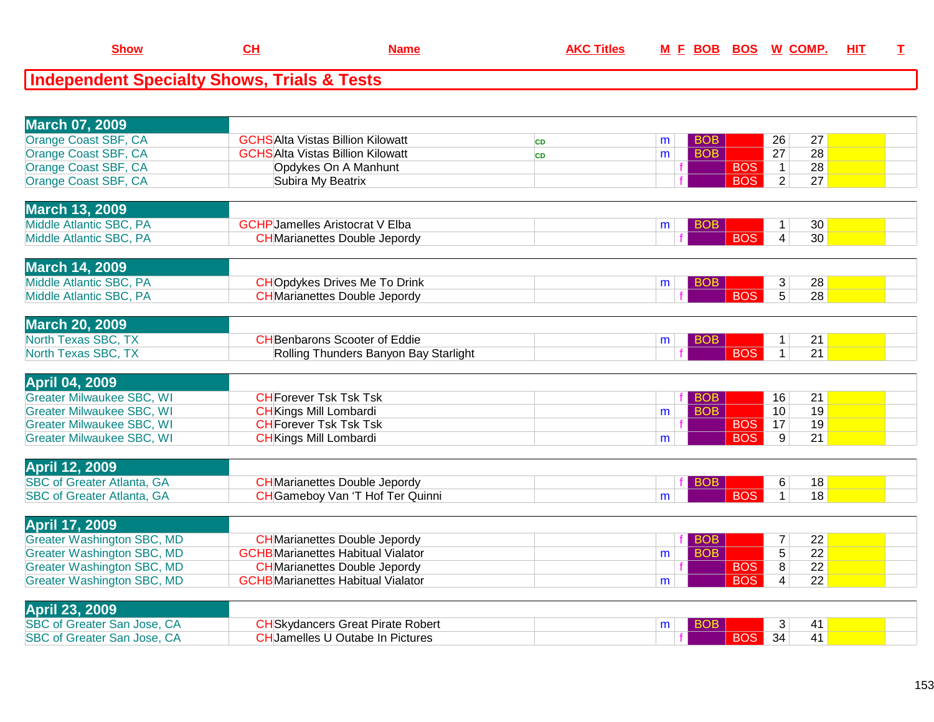| <b>Show</b>                                 | Name | <b>AKC Titles</b> | F BOB BOS W COMP.<br>M | HIT |  |
|---------------------------------------------|------|-------------------|------------------------|-----|--|
| Independent Specialty Shows, Trials & Tests |      |                   |                        |     |  |

| <b>March 07, 2009</b>             |                                           |           |   |            |            |                 |                 |  |
|-----------------------------------|-------------------------------------------|-----------|---|------------|------------|-----------------|-----------------|--|
| Orange Coast SBF, CA              | <b>GCHSAlta Vistas Billion Kilowatt</b>   | <b>CD</b> | m | <b>BOB</b> |            | 26              | 27              |  |
| Orange Coast SBF, CA              | <b>GCHSAlta Vistas Billion Kilowatt</b>   | CD        | m | <b>BOB</b> |            | $\overline{27}$ | 28              |  |
| Orange Coast SBF, CA              | Opdykes On A Manhunt                      |           |   |            | <b>BOS</b> | $\mathbf{1}$    | 28              |  |
| Orange Coast SBF, CA              | Subira My Beatrix                         |           |   |            | <b>BOS</b> | $\overline{2}$  | 27              |  |
|                                   |                                           |           |   |            |            |                 |                 |  |
| <b>March 13, 2009</b>             |                                           |           |   |            |            |                 |                 |  |
| Middle Atlantic SBC, PA           | <b>GCHP</b> Jamelles Aristocrat V Elba    |           | m | <b>BOB</b> |            | 1               | 30              |  |
| Middle Atlantic SBC, PA           | <b>CH</b> Marianettes Double Jepordy      |           |   |            | <b>BOS</b> | $\overline{4}$  | 30              |  |
|                                   |                                           |           |   |            |            |                 |                 |  |
| <b>March 14, 2009</b>             |                                           |           |   |            |            |                 |                 |  |
| Middle Atlantic SBC, PA           | <b>CHOpdykes Drives Me To Drink</b>       |           | m | <b>BOB</b> |            | 3               | 28              |  |
| Middle Atlantic SBC, PA           | <b>CH</b> Marianettes Double Jepordy      |           |   |            | <b>BOS</b> | $\overline{5}$  | 28              |  |
|                                   |                                           |           |   |            |            |                 |                 |  |
| <b>March 20, 2009</b>             |                                           |           |   |            |            |                 |                 |  |
| North Texas SBC, TX               | <b>CH</b> Benbarons Scooter of Eddie      |           | m | <b>BOB</b> |            | 1               | 21              |  |
| North Texas SBC, TX               | Rolling Thunders Banyon Bay Starlight     |           |   |            | <b>BOS</b> | $\mathbf 1$     | 21              |  |
|                                   |                                           |           |   |            |            |                 |                 |  |
| <b>April 04, 2009</b>             |                                           |           |   |            |            |                 |                 |  |
| <b>Greater Milwaukee SBC, WI</b>  | <b>CH</b> Forever Tsk Tsk Tsk             |           |   | <b>BOB</b> |            | 16              | 21              |  |
| <b>Greater Milwaukee SBC, WI</b>  | <b>CH</b> Kings Mill Lombardi             |           | m | <b>BOB</b> |            | 10              | $\overline{19}$ |  |
| <b>Greater Milwaukee SBC, WI</b>  | <b>CHForever Tsk Tsk Tsk</b>              |           |   |            | <b>BOS</b> | $\overline{17}$ | 19              |  |
| <b>Greater Milwaukee SBC, WI</b>  | <b>CH</b> Kings Mill Lombardi             |           | m |            | <b>BOS</b> | 9               | 21              |  |
|                                   |                                           |           |   |            |            |                 |                 |  |
| <b>April 12, 2009</b>             |                                           |           |   |            |            |                 |                 |  |
| <b>SBC of Greater Atlanta, GA</b> | <b>CH</b> Marianettes Double Jepordy      |           |   |            |            | 6               | 18              |  |
| <b>SBC of Greater Atlanta, GA</b> | <b>CH</b> Gameboy Van 'T Hof Ter Quinni   |           | m |            | <b>BOS</b> | $\mathbf{1}$    | 18              |  |
|                                   |                                           |           |   |            |            |                 |                 |  |
| <b>April 17, 2009</b>             |                                           |           |   |            |            |                 |                 |  |
| <b>Greater Washington SBC, MD</b> | <b>CH</b> Marianettes Double Jepordy      |           |   | <b>BOB</b> |            | 7               | 22              |  |
| <b>Greater Washington SBC, MD</b> | <b>GCHB</b> Marianettes Habitual Vialator |           | m | <b>BOB</b> |            | $\overline{5}$  | $\overline{22}$ |  |
| <b>Greater Washington SBC, MD</b> | <b>CH</b> Marianettes Double Jepordy      |           |   |            | <b>BOS</b> | $\overline{8}$  | $\overline{22}$ |  |
| <b>Greater Washington SBC, MD</b> | <b>GCHB</b> Marianettes Habitual Vialator |           | m |            | <b>BOS</b> | $\overline{4}$  | 22              |  |
|                                   |                                           |           |   |            |            |                 |                 |  |
| <b>April 23, 2009</b>             |                                           |           |   |            |            |                 |                 |  |
| SBC of Greater San Jose, CA       | <b>CH</b> Skydancers Great Pirate Robert  |           | m | BOB        |            | 3               | 41              |  |
| SBC of Greater San Jose, CA       | <b>CH</b> Jamelles U Outabe In Pictures   |           |   |            | <b>BOS</b> | 34              | 41              |  |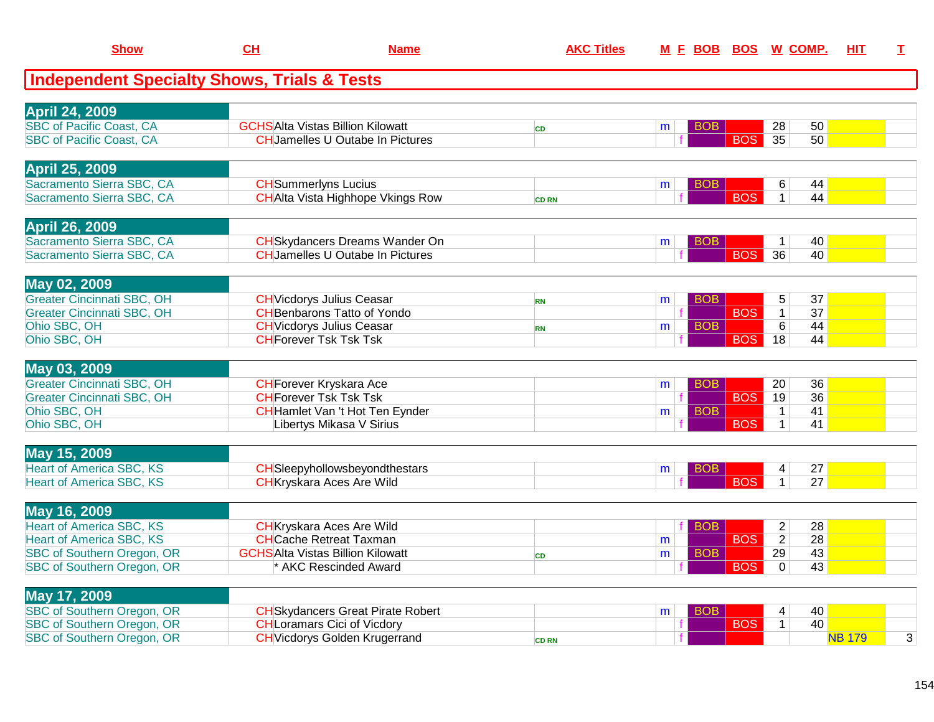| <b>Show</b>                                       | CL                            | <b>Name</b>                                                            | <b>AKC Titles</b> |   | M E BOB    | <b>BOS</b> | <u>W_COMP.</u>                                          | HIT           | $\mathbf I$ |
|---------------------------------------------------|-------------------------------|------------------------------------------------------------------------|-------------------|---|------------|------------|---------------------------------------------------------|---------------|-------------|
| Independent Specialty Shows, Trials & Tests       |                               |                                                                        |                   |   |            |            |                                                         |               |             |
| <b>April 24, 2009</b>                             |                               |                                                                        |                   |   |            |            |                                                         |               |             |
| <b>SBC of Pacific Coast, CA</b>                   |                               | <b>GCHSAlta Vistas Billion Kilowatt</b>                                | <b>CD</b>         | m | BOB        |            | 28<br>50                                                |               |             |
| <b>SBC of Pacific Coast, CA</b>                   |                               | <b>CHJamelles U Outabe In Pictures</b>                                 |                   |   |            | <b>BOS</b> | $\overline{35}$<br>50                                   |               |             |
| <b>April 25, 2009</b>                             |                               |                                                                        |                   |   |            |            |                                                         |               |             |
| Sacramento Sierra SBC, CA                         | <b>CH</b> Summerlyns Lucius   |                                                                        |                   | m | <b>BOB</b> |            | 44<br>6                                                 |               |             |
| Sacramento Sierra SBC, CA                         |                               | <b>CH</b> Alta Vista Highhope Vkings Row                               | <b>CD RN</b>      |   |            | <b>BOS</b> | 44<br>$\mathbf{1}$                                      |               |             |
| <b>April 26, 2009</b>                             |                               |                                                                        |                   |   |            |            |                                                         |               |             |
| Sacramento Sierra SBC, CA                         |                               | <b>CH</b> Skydancers Dreams Wander On                                  |                   | m | BOB        |            | 40<br>$\mathbf{1}$                                      |               |             |
| Sacramento Sierra SBC, CA                         |                               | <b>CHJamelles U Outabe In Pictures</b>                                 |                   |   |            | <b>BOS</b> | 36<br>40                                                |               |             |
| May 02, 2009                                      |                               |                                                                        |                   |   |            |            |                                                         |               |             |
| <b>Greater Cincinnati SBC, OH</b>                 |                               | <b>CH</b> Vicdorys Julius Ceasar                                       | <b>RN</b>         | m | BOB        |            | 5<br>37                                                 |               |             |
| <b>Greater Cincinnati SBC, OH</b><br>Ohio SBC, OH |                               | <b>CH</b> Benbarons Tatto of Yondo<br><b>CH</b> Vicdorys Julius Ceasar |                   |   | <b>BOB</b> | <b>BOS</b> | $\overline{37}$<br>$\mathbf 1$<br>$6\overline{6}$<br>44 |               |             |
| Ohio SBC, OH                                      | <b>CHForever Tsk Tsk Tsk</b>  |                                                                        | <b>RN</b>         | m |            | <b>BOS</b> | 18<br>44                                                |               |             |
|                                                   |                               |                                                                        |                   |   |            |            |                                                         |               |             |
| May 03, 2009                                      |                               |                                                                        |                   |   |            |            |                                                         |               |             |
| <b>Greater Cincinnati SBC, OH</b>                 |                               | <b>CH</b> Forever Kryskara Ace                                         |                   | m | <b>BOB</b> |            | 36<br>20                                                |               |             |
| <b>Greater Cincinnati SBC, OH</b>                 | <b>CH</b> Forever Tsk Tsk Tsk |                                                                        |                   | f |            | <b>BOS</b> | 36<br>19                                                |               |             |
| Ohio SBC, OH                                      |                               | <b>CH</b> Hamlet Van 't Hot Ten Eynder                                 |                   | m | <b>BOB</b> |            | 41<br>$\mathbf{1}$                                      |               |             |
| Ohio SBC, OH                                      |                               | Libertys Mikasa V Sirius                                               |                   |   |            | <b>BOS</b> | 41<br>$\mathbf{1}$                                      |               |             |
| May 15, 2009                                      |                               |                                                                        |                   |   |            |            |                                                         |               |             |
| <b>Heart of America SBC, KS</b>                   |                               | CHSleepyhollowsbeyondthestars                                          |                   | m | <b>BOB</b> |            | 27<br>4                                                 |               |             |
| <b>Heart of America SBC, KS</b>                   |                               | <b>CH</b> Kryskara Aces Are Wild                                       |                   |   |            | <b>BOS</b> | $\overline{27}$<br>$\mathbf{1}$                         |               |             |
| May 16, 2009                                      |                               |                                                                        |                   |   |            |            |                                                         |               |             |
| <b>Heart of America SBC, KS</b>                   |                               | <b>CH</b> Kryskara Aces Are Wild                                       |                   |   | <b>BOB</b> |            | $\overline{2}$<br>28                                    |               |             |
| <b>Heart of America SBC, KS</b>                   |                               | <b>CHCache Retreat Taxman</b>                                          |                   | m |            | <b>BOS</b> | $\overline{28}$<br>$\overline{2}$                       |               |             |
| <b>SBC of Southern Oregon, OR</b>                 |                               | <b>GCHSAlta Vistas Billion Kilowatt</b>                                | CD                | m | <b>BOB</b> |            | 43<br>29                                                |               |             |
| <b>SBC of Southern Oregon, OR</b>                 |                               | * AKC Rescinded Award                                                  |                   |   |            | <b>BOS</b> | $\mathbf 0$<br>43                                       |               |             |
| May 17, 2009                                      |                               |                                                                        |                   |   |            |            |                                                         |               |             |
| <b>SBC of Southern Oregon, OR</b>                 |                               | <b>CH</b> Skydancers Great Pirate Robert                               |                   | m | <b>BOB</b> |            | 40<br>$\overline{\mathbf{4}}$                           |               |             |
| <b>SBC of Southern Oregon, OR</b>                 |                               | <b>CHLoramars Cici of Vicdory</b>                                      |                   |   | f          | <b>BOS</b> | 40<br>$\mathbf{1}$                                      |               |             |
| SBC of Southern Oregon, OR                        |                               | <b>CH</b> Vicdorys Golden Krugerrand                                   | <b>CD RN</b>      |   |            |            |                                                         | <b>NB 179</b> | 3           |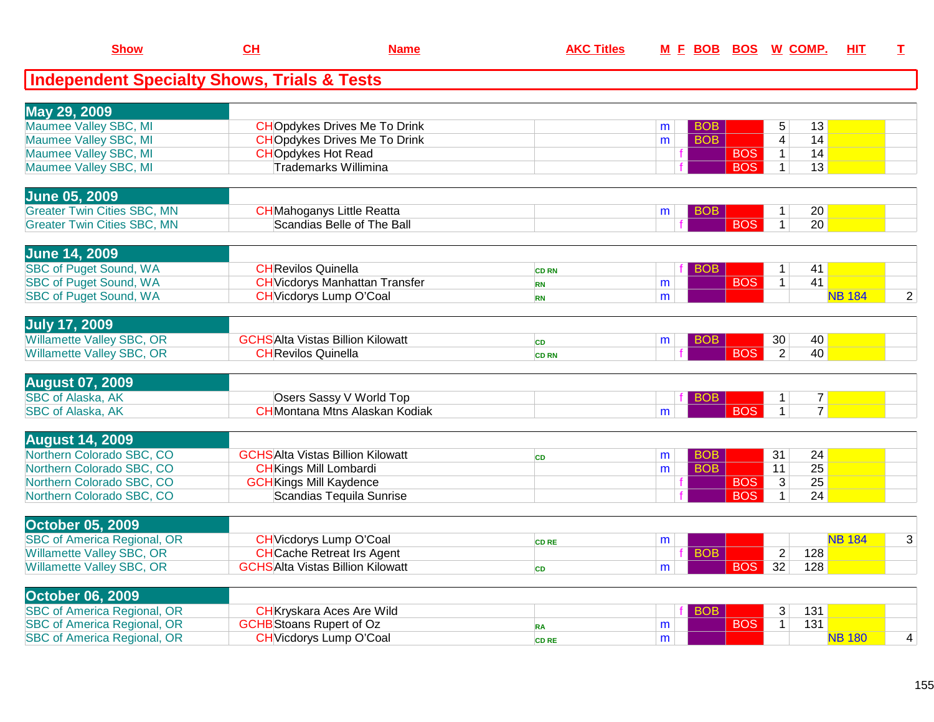| <b>Show</b>                                            | CH                                      | <b>Name</b> | <b>AKC Titles</b> |   | M E BOB BOS W COMP. |            |                |                | HIT           | I              |
|--------------------------------------------------------|-----------------------------------------|-------------|-------------------|---|---------------------|------------|----------------|----------------|---------------|----------------|
| <b>Independent Specialty Shows, Trials &amp; Tests</b> |                                         |             |                   |   |                     |            |                |                |               |                |
| May 29, 2009                                           |                                         |             |                   |   |                     |            |                |                |               |                |
| Maumee Valley SBC, MI                                  | <b>CHOpdykes Drives Me To Drink</b>     |             |                   | m | <b>BOB</b>          |            | 5              | 13             |               |                |
| Maumee Valley SBC, MI                                  | <b>CHO</b> pdykes Drives Me To Drink    |             |                   | m | <b>BOB</b>          |            | $\overline{4}$ | 14             |               |                |
| Maumee Valley SBC, MI                                  | <b>CHOpdykes Hot Read</b>               |             |                   | f |                     | <b>BOS</b> | $\mathbf{1}$   | 14             |               |                |
| Maumee Valley SBC, MI                                  | Trademarks Willimina                    |             |                   |   |                     | <b>BOS</b> | $\mathbf{1}$   | 13             |               |                |
| <b>June 05, 2009</b>                                   |                                         |             |                   |   |                     |            |                |                |               |                |
| <b>Greater Twin Cities SBC, MN</b>                     | <b>CH</b> Mahoganys Little Reatta       |             |                   | m | <b>BOB</b>          |            | $\mathbf{1}$   | 20             |               |                |
| <b>Greater Twin Cities SBC, MN</b>                     | Scandias Belle of The Ball              |             |                   |   |                     | <b>BOS</b> | $\mathbf{1}$   | 20             |               |                |
| <b>June 14, 2009</b>                                   |                                         |             |                   |   |                     |            |                |                |               |                |
| <b>SBC of Puget Sound, WA</b>                          | <b>CHRevilos Quinella</b>               |             | <b>CD RN</b>      |   | <b>BOB</b><br>fΙ    |            | $\mathbf{1}$   | 41             |               |                |
| <b>SBC of Puget Sound, WA</b>                          | <b>CH</b> Vicdorys Manhattan Transfer   |             | <b>RN</b>         | m |                     | <b>BOS</b> | $\overline{1}$ | 41             |               |                |
| <b>SBC of Puget Sound, WA</b>                          | <b>CH</b> Vicdorys Lump O'Coal          |             | <b>RN</b>         | m |                     |            |                |                | <b>NB 184</b> | $\overline{2}$ |
| <b>July 17, 2009</b>                                   |                                         |             |                   |   |                     |            |                |                |               |                |
| <b>Willamette Valley SBC, OR</b>                       | <b>GCHSAlta Vistas Billion Kilowatt</b> |             | <b>CD</b>         | m | <b>BOB</b>          |            | 30             | 40             |               |                |
| <b>Willamette Valley SBC, OR</b>                       | <b>CH</b> Revilos Quinella              |             | <b>CD RN</b>      |   |                     | <b>BOS</b> | $\overline{2}$ | 40             |               |                |
| <b>August 07, 2009</b>                                 |                                         |             |                   |   |                     |            |                |                |               |                |
| <b>SBC</b> of Alaska, AK                               | Osers Sassy V World Top                 |             |                   |   | <b>BOB</b>          |            | $\mathbf{1}$   | 7 <sup>1</sup> |               |                |
| <b>SBC of Alaska, AK</b>                               | <b>CH</b> Montana Mtns Alaskan Kodiak   |             |                   | m |                     | <b>BOS</b> | $\mathbf{1}$   | $\overline{7}$ |               |                |
| <b>August 14, 2009</b>                                 |                                         |             |                   |   |                     |            |                |                |               |                |
| Northern Colorado SBC, CO                              | <b>GCHSAlta Vistas Billion Kilowatt</b> |             | CD                | m | <b>BOB</b>          |            | 31             | 24             |               |                |
| Northern Colorado SBC, CO                              | <b>CH</b> Kings Mill Lombardi           |             |                   | m | <b>BOB</b>          |            | 11             | 25             |               |                |
| Northern Colorado SBC, CO                              | <b>GCH</b> Kings Mill Kaydence          |             |                   |   |                     | <b>BOS</b> | $\overline{3}$ | 25             |               |                |
| Northern Colorado SBC, CO                              | Scandias Tequila Sunrise                |             |                   |   |                     | <b>BOS</b> | $\overline{1}$ | 24             |               |                |
| <b>October 05, 2009</b>                                |                                         |             |                   |   |                     |            |                |                |               |                |
| <b>SBC of America Regional, OR</b>                     | <b>CH</b> Vicdorys Lump O'Coal          |             | <b>CD RE</b>      | m |                     |            |                |                | <b>NB 184</b> | 3              |
| <b>Willamette Valley SBC, OR</b>                       | <b>CHCache Retreat Irs Agent</b>        |             |                   |   | <b>BOB</b>          |            | $\overline{2}$ | 128            |               |                |
| <b>Willamette Valley SBC, OR</b>                       | <b>GCHSAlta Vistas Billion Kilowatt</b> |             | CD                | m |                     | <b>BOS</b> | 32             | 128            |               |                |
| <b>October 06, 2009</b>                                |                                         |             |                   |   |                     |            |                |                |               |                |
| <b>SBC of America Regional, OR</b>                     | <b>CH</b> Kryskara Aces Are Wild        |             |                   |   | <b>BOB</b>          |            | 3              | 131            |               |                |
| <b>SBC of America Regional, OR</b>                     | <b>GCHB</b> Stoans Rupert of Oz         |             | <b>RA</b>         | m |                     | <b>BOS</b> | $\mathbf{1}$   | 131            |               |                |
| <b>SBC of America Regional, OR</b>                     | <b>CH</b> Vicdorys Lump O'Coal          |             | <b>CD RE</b>      | m |                     |            |                |                | <b>NB 180</b> | 4              |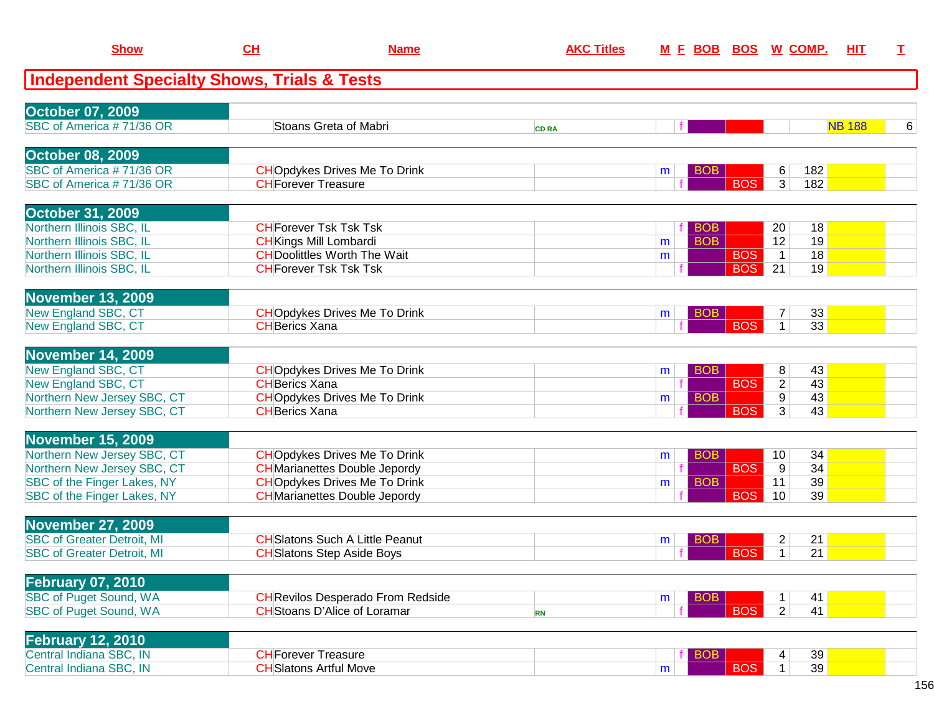| <b>Show</b>                                            | CH                         | <b>Name</b>                              | <b>AKC Titles</b> |   | <u>M F BOB BOS W COMP.</u> |                              |     | <b>HIT</b>    | Т |
|--------------------------------------------------------|----------------------------|------------------------------------------|-------------------|---|----------------------------|------------------------------|-----|---------------|---|
| <b>Independent Specialty Shows, Trials &amp; Tests</b> |                            |                                          |                   |   |                            |                              |     |               |   |
| <b>October 07, 2009</b>                                |                            |                                          |                   |   |                            |                              |     |               |   |
| SBC of America #71/36 OR                               |                            | Stoans Greta of Mabri                    | <b>CD RA</b>      |   |                            |                              |     | <b>NB 188</b> | 6 |
| <b>October 08, 2009</b>                                |                            |                                          |                   |   |                            |                              |     |               |   |
| SBC of America #71/36 OR                               |                            | <b>CHOpdykes Drives Me To Drink</b>      |                   | m | <b>BOB</b>                 | 6                            | 182 |               |   |
| SBC of America #71/36 OR                               | <b>CH</b> Forever Treasure |                                          |                   |   |                            | <b>BOS</b><br>3 <sup>2</sup> | 182 |               |   |
| <b>October 31, 2009</b>                                |                            |                                          |                   |   |                            |                              |     |               |   |
| Northern Illinois SBC, IL                              |                            | <b>CH</b> Forever Tsk Tsk Tsk            |                   |   | BOB                        | 20                           | 18  |               |   |
| Northern Illinois SBC, IL                              |                            | <b>CH</b> Kings Mill Lombardi            |                   | m | <b>BOB</b>                 | 12                           | 19  |               |   |
| Northern Illinois SBC, IL                              |                            | <b>CH</b> Doolittles Worth The Wait      |                   | m |                            | <b>BOS</b><br>$\mathbf{1}$   | 18  |               |   |
| Northern Illinois SBC, IL                              |                            | <b>CH</b> Forever Tsk Tsk Tsk            |                   |   |                            | <b>BOS</b><br>21             | 19  |               |   |
| <b>November 13, 2009</b>                               |                            |                                          |                   |   |                            |                              |     |               |   |
| New England SBC, CT                                    |                            | <b>CHO</b> pdykes Drives Me To Drink     |                   | m | <b>BOB</b>                 |                              | 33  |               |   |
| New England SBC, CT                                    | <b>CHBerics Xana</b>       |                                          |                   |   |                            | <b>BOS</b><br>$\mathbf 1$    | 33  |               |   |
| <b>November 14, 2009</b>                               |                            |                                          |                   |   |                            |                              |     |               |   |
| New England SBC, CT                                    |                            | <b>CHOpdykes Drives Me To Drink</b>      |                   | m | <b>BOB</b>                 | 8                            | 43  |               |   |
| New England SBC, CT                                    | <b>CH</b> Berics Xana      |                                          |                   |   |                            | <b>BOS</b><br>$\overline{c}$ | 43  |               |   |
| Northern New Jersey SBC, CT                            |                            | <b>CHOpdykes Drives Me To Drink</b>      |                   | m | <b>BOB</b>                 | $9\,$                        | 43  |               |   |
| Northern New Jersey SBC, CT                            | <b>CH</b> Berics Xana      |                                          |                   |   |                            | $\overline{3}$<br><b>BOS</b> | 43  |               |   |
| November 15, 2009                                      |                            |                                          |                   |   |                            |                              |     |               |   |
| Northern New Jersey SBC, CT                            |                            | <b>CHOpdykes Drives Me To Drink</b>      |                   | m | <b>BOB</b>                 | 10 <sup>°</sup>              | 34  |               |   |
| Northern New Jersey SBC, CT                            |                            | <b>CH</b> Marianettes Double Jepordy     |                   |   |                            | <b>BOS</b><br>9              | 34  |               |   |
| SBC of the Finger Lakes, NY                            |                            | <b>CHOpdykes Drives Me To Drink</b>      |                   | m | <b>BOB</b>                 | 11                           | 39  |               |   |
| SBC of the Finger Lakes, NY                            |                            | <b>CH</b> Marianettes Double Jepordy     |                   |   |                            | <b>BOS</b><br>10             | 39  |               |   |
| <b>November 27, 2009</b>                               |                            |                                          |                   |   |                            |                              |     |               |   |
| <b>SBC of Greater Detroit, MI</b>                      |                            | <b>CH</b> Slatons Such A Little Peanut   |                   | m | BOB                        | 2                            | 21  |               |   |
| <b>SBC of Greater Detroit, MI</b>                      |                            | <b>CH</b> Slatons Step Aside Boys        |                   |   |                            | <b>BOS</b><br>$\mathbf 1$    | 21  |               |   |
| <b>February 07, 2010</b>                               |                            |                                          |                   |   |                            |                              |     |               |   |
| SBC of Puget Sound, WA                                 |                            | <b>CH</b> Revilos Desperado From Redside |                   | m | <b>BOB</b>                 | 1                            | 41  |               |   |
| SBC of Puget Sound, WA                                 |                            | <b>CH</b> Stoans D'Alice of Loramar      | <b>RN</b>         |   |                            | <b>BOS</b><br>$\overline{2}$ | 41  |               |   |
| <b>February 12, 2010</b>                               |                            |                                          |                   |   |                            |                              |     |               |   |
| Central Indiana SBC, IN                                | <b>CH</b> Forever Treasure |                                          |                   |   | <b>BOB</b>                 | 4                            | 39  |               |   |
| Central Indiana SBC, IN                                |                            | <b>CH</b> Slatons Artful Move            |                   | m |                            | <b>BOS</b><br>$\mathbf{1}$   | 39  |               |   |
|                                                        |                            |                                          |                   |   |                            |                              |     |               |   |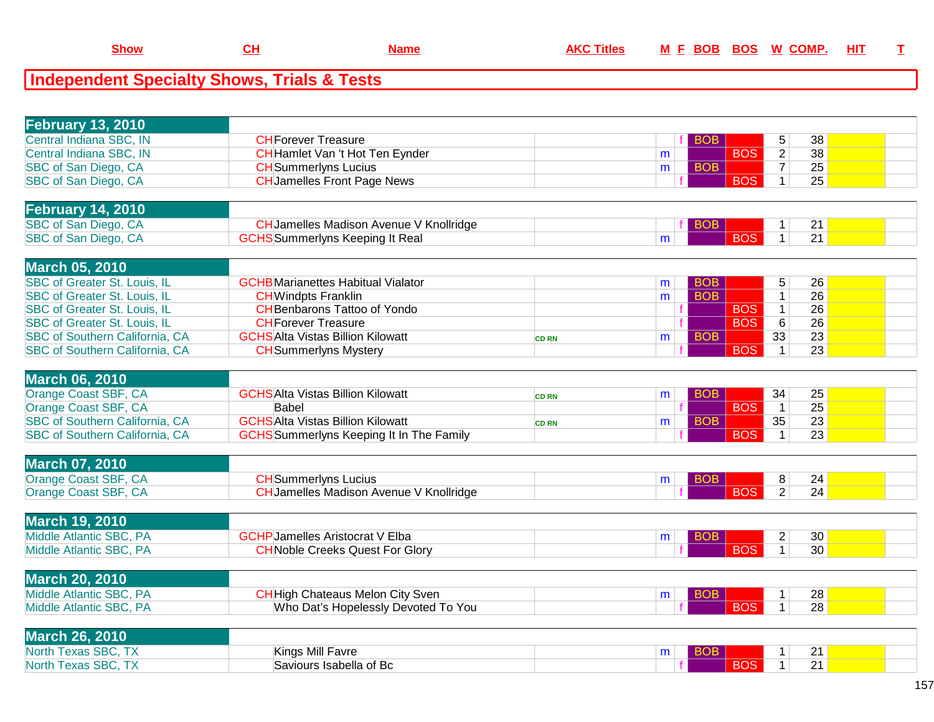| <b>February 13, 2010</b>              |                                                 |              |   |            |            |                |                 |  |
|---------------------------------------|-------------------------------------------------|--------------|---|------------|------------|----------------|-----------------|--|
| Central Indiana SBC, IN               | <b>CHForever Treasure</b>                       |              |   | <b>BOB</b> |            | 5              | 38              |  |
| Central Indiana SBC, IN               | CH Hamlet Van 't Hot Ten Eynder                 |              | m |            | <b>BOS</b> | $\overline{2}$ | 38              |  |
| SBC of San Diego, CA                  | <b>CH</b> Summerlyns Lucius                     |              | m | <b>BOB</b> |            | $\overline{7}$ | 25              |  |
| SBC of San Diego, CA                  | <b>CH</b> Jamelles Front Page News              |              |   |            | <b>BOS</b> | $\mathbf{1}$   | 25              |  |
|                                       |                                                 |              |   |            |            |                |                 |  |
| <b>February 14, 2010</b>              |                                                 |              |   |            |            |                |                 |  |
| SBC of San Diego, CA                  | <b>CH</b> Jamelles Madison Avenue V Knollridge  |              |   | <b>BOB</b> |            | 1              | 21              |  |
| SBC of San Diego, CA                  | <b>GCHS</b> Summerlyns Keeping It Real          |              | m |            | <b>BOS</b> | $\mathbf{1}$   | 21              |  |
|                                       |                                                 |              |   |            |            |                |                 |  |
| <b>March 05, 2010</b>                 |                                                 |              |   |            |            |                |                 |  |
| <b>SBC of Greater St. Louis, IL</b>   | <b>GCHB</b> Marianettes Habitual Vialator       |              | m | <b>BOB</b> |            | 5              | 26              |  |
| SBC of Greater St. Louis, IL          | <b>CH</b> Windpts Franklin                      |              | m | <b>BOB</b> |            | $\overline{1}$ | 26              |  |
| SBC of Greater St. Louis, IL          | <b>CH</b> Benbarons Tattoo of Yondo             |              |   |            | <b>BOS</b> | $\mathbf{1}$   | 26              |  |
| SBC of Greater St. Louis, IL          | <b>CHForever Treasure</b>                       |              |   |            | <b>BOS</b> | 6              | 26              |  |
| SBC of Southern California, CA        | <b>GCHSAlta Vistas Billion Kilowatt</b>         | <b>CD RN</b> | m | <b>BOB</b> |            | 33             | $\overline{23}$ |  |
| <b>SBC of Southern California, CA</b> | <b>CH</b> Summerlyns Mystery                    |              |   |            | <b>BOS</b> | $\mathbf{1}$   | 23              |  |
|                                       |                                                 |              |   |            |            |                |                 |  |
| <b>March 06, 2010</b>                 |                                                 |              |   |            |            |                |                 |  |
| Orange Coast SBF, CA                  | <b>GCHSAlta Vistas Billion Kilowatt</b>         | <b>CD RN</b> | m | <b>BOB</b> |            | 34             | 25              |  |
| Orange Coast SBF, CA                  | Babel                                           |              |   |            | <b>BOS</b> | $\overline{1}$ | $\overline{25}$ |  |
| SBC of Southern California, CA        | <b>GCHSAlta Vistas Billion Kilowatt</b>         | <b>CD RN</b> | m | <b>BOB</b> |            | 35             | 23              |  |
| SBC of Southern California, CA        | <b>GCHS</b> Summerlyns Keeping It In The Family |              |   |            | <b>BOS</b> | $\mathbf{1}$   | 23              |  |
|                                       |                                                 |              |   |            |            |                |                 |  |
| <b>March 07, 2010</b>                 |                                                 |              |   |            |            |                |                 |  |
| Orange Coast SBF, CA                  | <b>CH</b> Summerlyns Lucius                     |              | m | BOB.       |            | 8              | 24              |  |
| Orange Coast SBF, CA                  | <b>CH</b> Jamelles Madison Avenue V Knollridge  |              |   |            | <b>BOS</b> | $\overline{2}$ | 24              |  |
|                                       |                                                 |              |   |            |            |                |                 |  |
| <b>March 19, 2010</b>                 |                                                 |              |   |            |            |                |                 |  |
| Middle Atlantic SBC, PA               | <b>GCHP Jamelles Aristocrat V Elba</b>          |              | m | <b>BOB</b> |            | $\overline{c}$ | 30              |  |
| Middle Atlantic SBC, PA               | <b>CH</b> Noble Creeks Quest For Glory          |              |   |            | <b>BOS</b> | $\mathbf{1}$   | 30              |  |
|                                       |                                                 |              |   |            |            |                |                 |  |
| <b>March 20, 2010</b>                 |                                                 |              |   |            |            |                |                 |  |
| Middle Atlantic SBC, PA               | <b>CH</b> High Chateaus Melon City Sven         |              | m | <b>BOB</b> |            | 1              | 28              |  |
| Middle Atlantic SBC, PA               | Who Dat's Hopelessly Devoted To You             |              |   |            | <b>BOS</b> | $\mathbf{1}$   | 28              |  |
|                                       |                                                 |              |   |            |            |                |                 |  |
| <b>March 26, 2010</b>                 |                                                 |              |   |            |            |                |                 |  |
| North Texas SBC, TX                   | Kings Mill Favre                                |              |   | <b>BOB</b> |            | 1              |                 |  |
| North Texas SBC, TX                   | Saviours Isabella of Bc                         |              | m |            | <b>BOS</b> | $\mathbf{1}$   | 21<br>21        |  |
|                                       |                                                 |              |   |            |            |                |                 |  |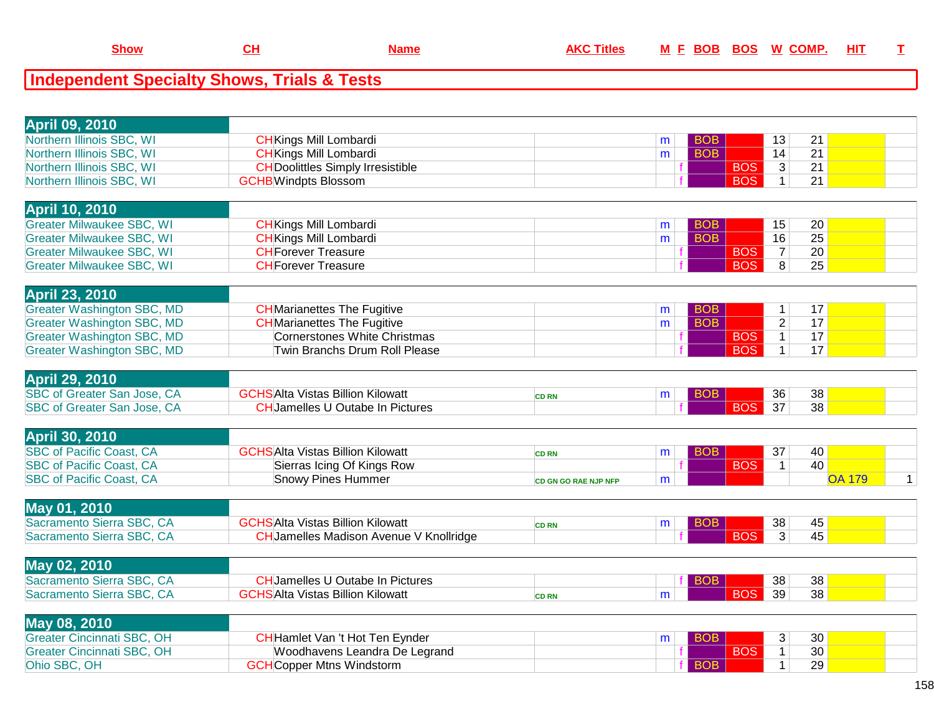| <b>April 09, 2010</b>                             |                                                                   |                             |   |            |            |                |                       |               |                |
|---------------------------------------------------|-------------------------------------------------------------------|-----------------------------|---|------------|------------|----------------|-----------------------|---------------|----------------|
| Northern Illinois SBC, WI                         | <b>CH</b> Kings Mill Lombardi                                     |                             | m | <b>BOB</b> |            | 13             | 21                    |               |                |
| Northern Illinois SBC, WI                         | <b>CH</b> Kings Mill Lombardi                                     |                             | m | <b>BOB</b> |            | 14             | 21                    |               |                |
| Northern Illinois SBC, WI                         | <b>CH</b> Doolittles Simply Irresistible                          |                             |   |            | <b>BOS</b> | $\mathbf{3}$   | 21                    |               |                |
| Northern Illinois SBC, WI                         | <b>GCHB</b> Windpts Blossom                                       |                             |   |            | <b>BOS</b> | $\mathbf 1$    | 21                    |               |                |
|                                                   |                                                                   |                             |   |            |            |                |                       |               |                |
| <b>April 10, 2010</b>                             |                                                                   |                             |   |            |            |                |                       |               |                |
| <b>Greater Milwaukee SBC, WI</b>                  | <b>CH</b> Kings Mill Lombardi                                     |                             | m | <b>BOB</b> |            | 15             | 20                    |               |                |
| <b>Greater Milwaukee SBC, WI</b>                  | <b>CH</b> Kings Mill Lombardi                                     |                             | m | <b>BOB</b> |            | 16             | $\overline{25}$       |               |                |
| <b>Greater Milwaukee SBC, WI</b>                  | <b>CHForever Treasure</b>                                         |                             |   |            | <b>BOS</b> | $\overline{7}$ | $\overline{20}$       |               |                |
| <b>Greater Milwaukee SBC, WI</b>                  | <b>CHForever Treasure</b>                                         |                             |   |            | <b>BOS</b> | $\overline{8}$ | 25                    |               |                |
|                                                   |                                                                   |                             |   |            |            |                |                       |               |                |
| <b>April 23, 2010</b>                             |                                                                   |                             |   |            |            |                |                       |               |                |
| <b>Greater Washington SBC, MD</b>                 | <b>CH</b> Marianettes The Fugitive                                |                             | m | <b>BOB</b> |            | $\mathbf{1}$   | 17                    |               |                |
| <b>Greater Washington SBC, MD</b>                 | <b>CH</b> Marianettes The Fugitive                                |                             | m | <b>BOB</b> |            | $\overline{2}$ | 17                    |               |                |
| <b>Greater Washington SBC, MD</b>                 | <b>Cornerstones White Christmas</b>                               |                             |   |            | <b>BOS</b> | $\overline{1}$ | 17                    |               |                |
| <b>Greater Washington SBC, MD</b>                 | Twin Branchs Drum Roll Please                                     |                             |   |            | <b>BOS</b> | $\mathbf{1}$   | 17                    |               |                |
|                                                   |                                                                   |                             |   |            |            |                |                       |               |                |
| <b>April 29, 2010</b>                             |                                                                   |                             |   |            |            |                |                       |               |                |
| SBC of Greater San Jose, CA                       | <b>GCHSAlta Vistas Billion Kilowatt</b>                           | <b>CD RN</b>                | m | <b>BOB</b> |            | 36             | 38                    |               |                |
| <b>SBC of Greater San Jose, CA</b>                | <b>CHJamelles U Outabe In Pictures</b>                            |                             |   |            | <b>BOS</b> | 37             | 38                    |               |                |
|                                                   |                                                                   |                             |   |            |            |                |                       |               |                |
| <b>April 30, 2010</b>                             |                                                                   |                             |   |            |            |                |                       |               |                |
| <b>SBC of Pacific Coast, CA</b>                   | <b>GCHSAlta Vistas Billion Kilowatt</b>                           | <b>CD RN</b>                | m | <b>BOB</b> |            | 37             | 40                    |               |                |
| <b>SBC of Pacific Coast, CA</b>                   | Sierras Icing Of Kings Row                                        |                             |   |            | <b>BOS</b> | $\mathbf{1}$   | 40                    |               |                |
| <b>SBC of Pacific Coast, CA</b>                   | <b>Snowy Pines Hummer</b>                                         | <b>CD GN GO RAE NJP NFP</b> | m |            |            |                |                       | <b>OA 179</b> | 1 <sup>1</sup> |
| May 01, 2010                                      |                                                                   |                             |   |            |            |                |                       |               |                |
| Sacramento Sierra SBC, CA                         | <b>GCHSAlta Vistas Billion Kilowatt</b>                           | <b>CD RN</b>                | m | <b>BOB</b> |            | 38             | 45                    |               |                |
| Sacramento Sierra SBC, CA                         | <b>CH</b> Jamelles Madison Avenue V Knollridge                    |                             |   |            | <b>BOS</b> | $\overline{3}$ | 45                    |               |                |
|                                                   |                                                                   |                             |   |            |            |                |                       |               |                |
| <b>May 02, 2010</b>                               |                                                                   |                             |   |            |            |                |                       |               |                |
| Sacramento Sierra SBC, CA                         | <b>CHJamelles U Outabe In Pictures</b>                            |                             |   | <b>BOB</b> |            | 38             | 38                    |               |                |
| Sacramento Sierra SBC, CA                         | <b>GCHSAlta Vistas Billion Kilowatt</b>                           | <b>CD RN</b>                | m |            | <b>BOS</b> | 39             | 38                    |               |                |
|                                                   |                                                                   |                             |   |            |            |                |                       |               |                |
| <b>May 08, 2010</b>                               |                                                                   |                             |   |            |            |                |                       |               |                |
| <b>Greater Cincinnati SBC, OH</b>                 | CH Hamlet Van 't Hot Ten Eynder                                   |                             | m | <b>BOB</b> |            | 3              | 30                    |               |                |
|                                                   |                                                                   |                             |   |            | <b>BOS</b> | $\mathbf{1}$   |                       |               |                |
| <b>Greater Cincinnati SBC, OH</b><br>Ohio SBC, OH | Woodhavens Leandra De Legrand<br><b>GCH</b> Copper Mtns Windstorm |                             |   | <b>BOB</b> |            | $\mathbf{1}$   | 30 <sup>2</sup><br>29 |               |                |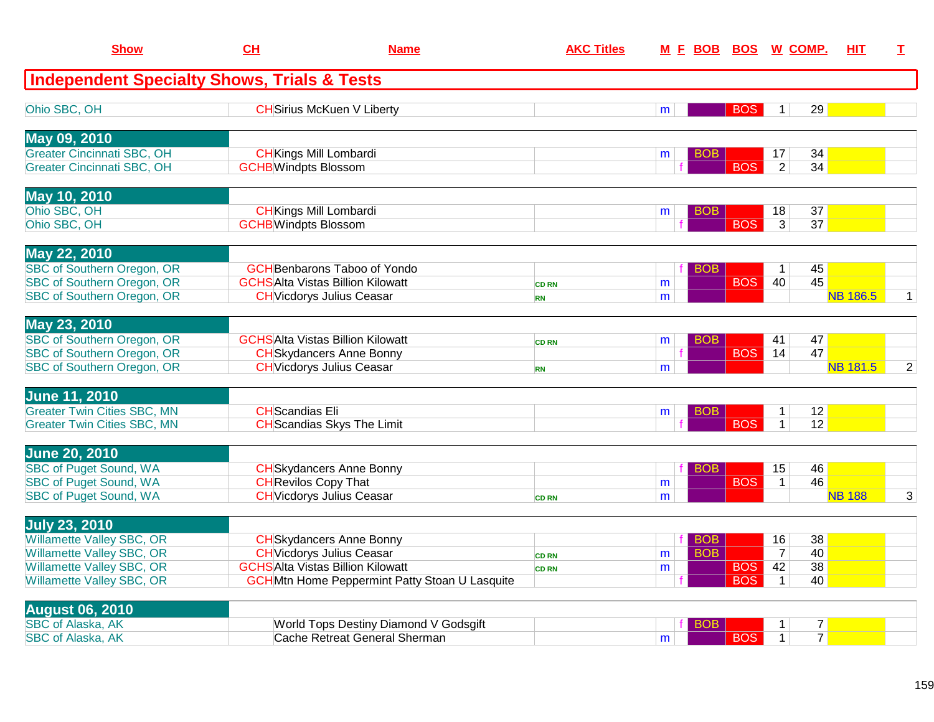| <b>Show</b>                                            | CH                          | <b>Name</b>                                           | <b>AKC Titles</b>            | <b>MFBOB</b> |                 | <b>BOS</b> | <b>W COMP.</b> |                      | <b>HIT</b>      | T.             |
|--------------------------------------------------------|-----------------------------|-------------------------------------------------------|------------------------------|--------------|-----------------|------------|----------------|----------------------|-----------------|----------------|
| <b>Independent Specialty Shows, Trials &amp; Tests</b> |                             |                                                       |                              |              |                 |            |                |                      |                 |                |
| Ohio SBC, OH                                           |                             | <b>CH</b> Sirius McKuen V Liberty                     |                              | m            |                 | <b>BOS</b> | $\mathbf{1}$   | 29                   |                 |                |
| May 09, 2010                                           |                             |                                                       |                              |              |                 |            |                |                      |                 |                |
| Greater Cincinnati SBC, OH                             |                             | <b>CH</b> Kings Mill Lombardi                         |                              | m            | <b>BOB</b>      |            | 17             | 34                   |                 |                |
| <b>Greater Cincinnati SBC, OH</b>                      | <b>GCHB</b> Windpts Blossom |                                                       |                              |              |                 | <b>BOS</b> | $\overline{2}$ | 34                   |                 |                |
| <b>May 10, 2010</b>                                    |                             |                                                       |                              |              |                 |            |                |                      |                 |                |
| Ohio SBC, OH                                           |                             | <b>CH</b> Kings Mill Lombardi                         |                              | m            | BOB             |            | 18             | 37                   |                 |                |
| Ohio SBC, OH                                           | <b>GCHB</b> Windpts Blossom |                                                       |                              |              |                 | <b>BOS</b> | $\overline{3}$ | $\overline{37}$      |                 |                |
| <b>May 22, 2010</b>                                    |                             |                                                       |                              |              |                 |            |                |                      |                 |                |
| <b>SBC of Southern Oregon, OR</b>                      |                             | <b>GCH</b> Benbarons Taboo of Yondo                   |                              |              | BO <sub>B</sub> |            | $\mathbf 1$    | 45                   |                 |                |
| <b>SBC of Southern Oregon, OR</b>                      |                             | <b>GCHSAlta Vistas Billion Kilowatt</b>               | <b>CD RN</b>                 | m            |                 | <b>BOS</b> | 40             | 45                   |                 |                |
| SBC of Southern Oregon, OR                             |                             | <b>CH</b> Vicdorys Julius Ceasar                      | <b>RN</b>                    | m            |                 |            |                |                      | <b>NB 186.5</b> | $\mathbf{1}$   |
| May 23, 2010                                           |                             |                                                       |                              |              |                 |            |                |                      |                 |                |
| SBC of Southern Oregon, OR                             |                             | <b>GCHSAlta Vistas Billion Kilowatt</b>               | <b>CD RN</b>                 | m            | BOB.            |            | 41             | 47                   |                 |                |
| <b>SBC of Southern Oregon, OR</b>                      |                             | <b>CH</b> Skydancers Anne Bonny                       |                              |              |                 | <b>BOS</b> | 14             | 47                   |                 |                |
| SBC of Southern Oregon, OR                             |                             | <b>CH</b> Vicdorys Julius Ceasar                      | <b>RN</b>                    | m            |                 |            |                |                      | <b>NB 181.5</b> | $\overline{2}$ |
| <b>June 11, 2010</b>                                   |                             |                                                       |                              |              |                 |            |                |                      |                 |                |
| <b>Greater Twin Cities SBC, MN</b>                     | <b>CH</b> Scandias Eli      |                                                       |                              | m            | <b>BOB</b>      |            | $\mathbf{1}$   | 12                   |                 |                |
| <b>Greater Twin Cities SBC, MN</b>                     |                             | <b>CH</b> Scandias Skys The Limit                     |                              |              |                 | <b>BOS</b> | $\mathbf{1}$   | 12                   |                 |                |
| <b>June 20, 2010</b>                                   |                             |                                                       |                              |              |                 |            |                |                      |                 |                |
| <b>SBC of Puget Sound, WA</b>                          |                             | <b>CH</b> Skydancers Anne Bonny                       |                              |              | <b>BOB</b>      |            | 15             | 46                   |                 |                |
| <b>SBC of Puget Sound, WA</b>                          | <b>CH</b> Revilos Copy That |                                                       |                              | m            |                 | <b>BOS</b> | $\mathbf{1}$   | 46                   |                 |                |
| <b>SBC of Puget Sound, WA</b>                          |                             | <b>CH</b> Vicdorys Julius Ceasar                      | <b>CD RN</b>                 | m            |                 |            |                |                      | <b>NB 188</b>   | 3              |
| <b>July 23, 2010</b>                                   |                             |                                                       |                              |              |                 |            |                |                      |                 |                |
| <b>Willamette Valley SBC, OR</b>                       |                             | <b>CH</b> Skydancers Anne Bonny                       |                              |              | <b>BOB</b>      |            | 16             | 38                   |                 |                |
| <b>Willamette Valley SBC, OR</b>                       |                             | <b>CH</b> Vicdorys Julius Ceasar                      |                              | m            | <b>BOB</b>      |            | $\overline{7}$ | 40                   |                 |                |
| <b>Willamette Valley SBC, OR</b>                       |                             | <b>GCHSAlta Vistas Billion Kilowatt</b>               | <b>CD RN</b><br><b>CD RN</b> | m            |                 | <b>BOS</b> | 42             | $\overline{38}$      |                 |                |
| Willamette Valley SBC, OR                              |                             | <b>GCH</b> Mtn Home Peppermint Patty Stoan U Lasquite |                              |              |                 | <b>BOS</b> | $\mathbf{1}$   | 40                   |                 |                |
|                                                        |                             |                                                       |                              |              |                 |            |                |                      |                 |                |
| <b>August 06, 2010</b>                                 |                             |                                                       |                              |              |                 |            |                |                      |                 |                |
| <b>SBC of Alaska, AK</b>                               |                             | World Tops Destiny Diamond V Godsgift                 |                              |              | BOB             |            | 1              | 7 <br>$\overline{7}$ |                 |                |
| <b>SBC of Alaska, AK</b>                               |                             | Cache Retreat General Sherman                         |                              | m            |                 | <b>BOS</b> | $\mathbf{1}$   |                      |                 |                |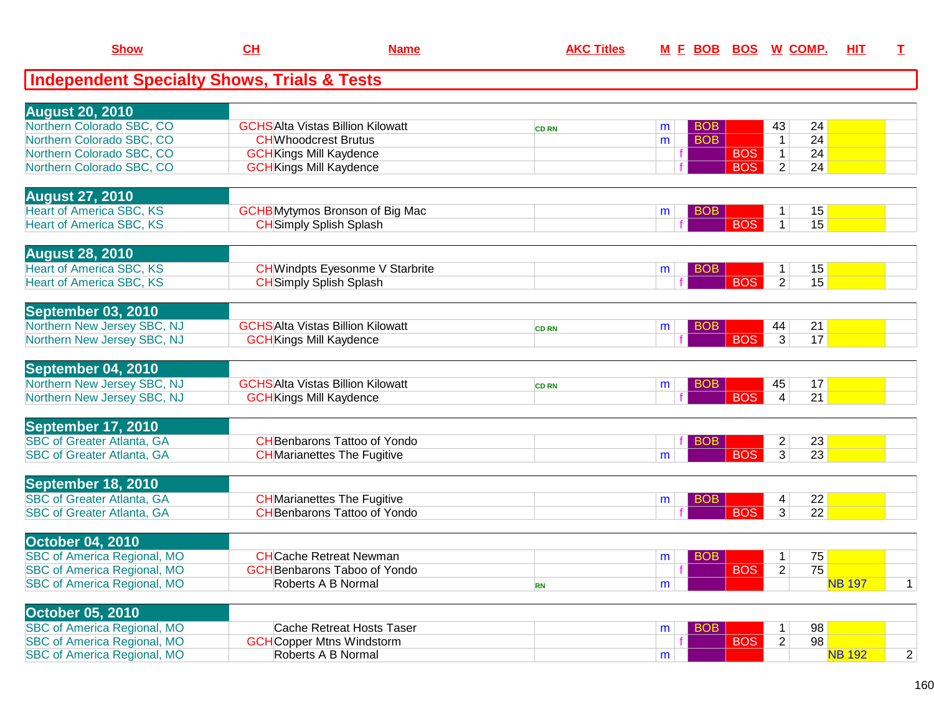| <b>Show</b>                                            | CL                             | <b>Name</b>                             | <b>AKC Titles</b> |   | <u>M F BOB</u> |            | <b>BOS W COMP.</b> |                 | HIT           | $\mathbf I$    |
|--------------------------------------------------------|--------------------------------|-----------------------------------------|-------------------|---|----------------|------------|--------------------|-----------------|---------------|----------------|
| <b>Independent Specialty Shows, Trials &amp; Tests</b> |                                |                                         |                   |   |                |            |                    |                 |               |                |
| <b>August 20, 2010</b>                                 |                                |                                         |                   |   |                |            |                    |                 |               |                |
| Northern Colorado SBC, CO                              |                                | <b>GCHSAIta Vistas Billion Kilowatt</b> | <b>CD RN</b>      | m | <b>BOB</b>     |            | 43                 | 24              |               |                |
| Northern Colorado SBC, CO                              | <b>CHWhoodcrest Brutus</b>     |                                         |                   | m | <b>BOB</b>     |            | $\mathbf{1}$       | 24              |               |                |
| Northern Colorado SBC, CO                              | <b>GCH</b> Kings Mill Kaydence |                                         |                   |   |                | <b>BOS</b> | $\mathbf{1}$       | 24              |               |                |
| Northern Colorado SBC, CO                              | <b>GCH</b> Kings Mill Kaydence |                                         |                   |   |                | <b>BOS</b> | $\overline{2}$     | 24              |               |                |
| <b>August 27, 2010</b>                                 |                                |                                         |                   |   |                |            |                    |                 |               |                |
| <b>Heart of America SBC, KS</b>                        |                                | <b>GCHB</b> Mytymos Bronson of Big Mac  |                   | m | <b>BOB</b>     |            | $\mathbf 1$        | 15              |               |                |
| <b>Heart of America SBC, KS</b>                        | <b>CH</b> Simply Splish Splash |                                         |                   |   |                | <b>BOS</b> | $\mathbf{1}$       | 15              |               |                |
| <b>August 28, 2010</b>                                 |                                |                                         |                   |   |                |            |                    |                 |               |                |
| <b>Heart of America SBC, KS</b>                        |                                | <b>CH</b> Windpts Eyesonme V Starbrite  |                   | m | <b>BOB</b>     |            | $\mathbf 1$        | 15              |               |                |
| <b>Heart of America SBC, KS</b>                        | <b>CH</b> Simply Splish Splash |                                         |                   |   |                | <b>BOS</b> | $\overline{2}$     | 15              |               |                |
| September 03, 2010                                     |                                |                                         |                   |   |                |            |                    |                 |               |                |
| Northern New Jersey SBC, NJ                            |                                | <b>GCHSAlta Vistas Billion Kilowatt</b> | <b>CD RN</b>      | m | <b>BOB</b>     |            | 44                 | 21              |               |                |
| Northern New Jersey SBC, NJ                            | <b>GCH</b> Kings Mill Kaydence |                                         |                   |   |                | <b>BOS</b> | $\overline{3}$     | 17              |               |                |
| September 04, 2010                                     |                                |                                         |                   |   |                |            |                    |                 |               |                |
| Northern New Jersey SBC, NJ                            |                                | <b>GCHSAIta Vistas Billion Kilowatt</b> | <b>CD RN</b>      | m | <b>BOB</b>     |            | 45                 | 17              |               |                |
| Northern New Jersey SBC, NJ                            | <b>GCH</b> Kings Mill Kaydence |                                         |                   |   |                | <b>BOS</b> | 4                  | 21              |               |                |
| September 17, 2010                                     |                                |                                         |                   |   |                |            |                    |                 |               |                |
| <b>SBC of Greater Atlanta, GA</b>                      |                                | <b>CH</b> Benbarons Tattoo of Yondo     |                   |   | BOB            |            | $\overline{2}$     | 23              |               |                |
| <b>SBC of Greater Atlanta, GA</b>                      |                                | <b>CH</b> Marianettes The Fugitive      |                   | m |                | <b>BOS</b> | 3                  | 23              |               |                |
| September 18, 2010                                     |                                |                                         |                   |   |                |            |                    |                 |               |                |
| <b>SBC of Greater Atlanta, GA</b>                      |                                | <b>CH</b> Marianettes The Fugitive      |                   | m | <b>BOB</b>     |            | 4                  | 22              |               |                |
| <b>SBC of Greater Atlanta, GA</b>                      |                                | <b>CH</b> Benbarons Tattoo of Yondo     |                   |   |                | <b>BOS</b> | 3                  | $\overline{22}$ |               |                |
| <b>October 04, 2010</b>                                |                                |                                         |                   |   |                |            |                    |                 |               |                |
| <b>SBC of America Regional, MO</b>                     |                                | <b>CHCache Retreat Newman</b>           |                   | m | <b>BOB</b>     |            | 1                  | 75              |               |                |
| <b>SBC of America Regional, MO</b>                     |                                | <b>GCHBenbarons Taboo of Yondo</b>      |                   |   |                | <b>BOS</b> | $\overline{2}$     | 75              |               |                |
| <b>SBC of America Regional, MO</b>                     |                                | Roberts A B Normal                      | <b>RN</b>         | m |                |            |                    |                 | <b>NB 197</b> | $\mathbf 1$    |
| <b>October 05, 2010</b>                                |                                |                                         |                   |   |                |            |                    |                 |               |                |
| <b>SBC of America Regional, MO</b>                     |                                | Cache Retreat Hosts Taser               |                   | m | <b>BOB</b>     |            | 1                  | 98              |               |                |
| <b>SBC of America Regional, MO</b>                     |                                | <b>GCH</b> Copper Mtns Windstorm        |                   |   |                | <b>BOS</b> | $\overline{2}$     | 98              |               |                |
| <b>SBC of America Regional, MO</b>                     |                                | Roberts A B Normal                      |                   | m |                |            |                    |                 | <b>NB 192</b> | $\overline{c}$ |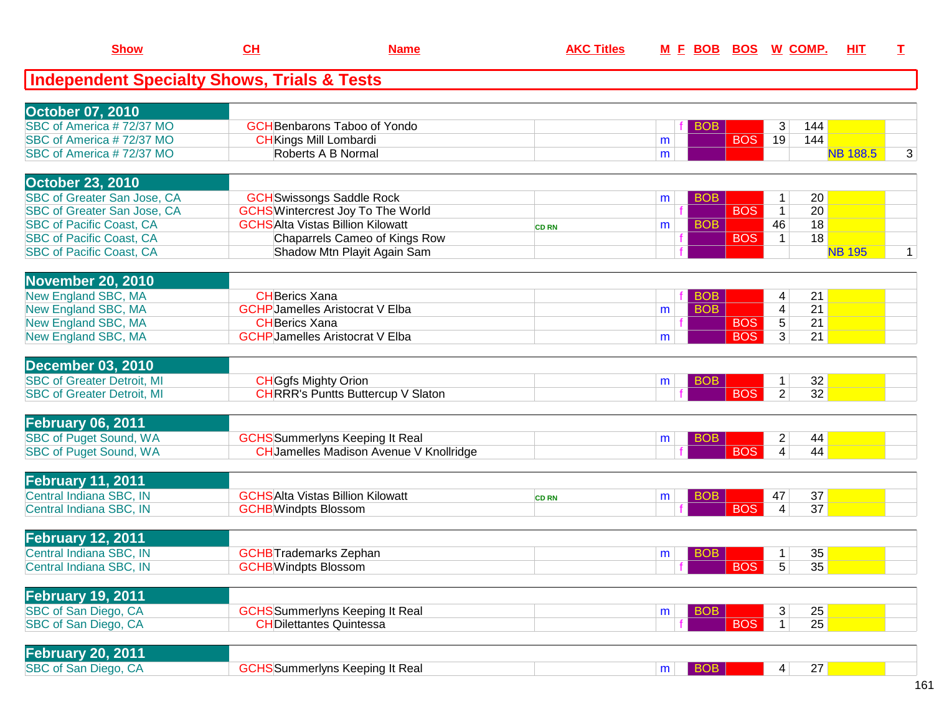| <b>Independent Specialty Shows, Trials &amp; Tests</b><br><b>October 07, 2010</b><br>SBC of America #72/37 MO<br><b>GCH</b> Benbarons Taboo of Yondo<br>144<br><b>BOB</b><br>3<br><b>BOS</b><br>SBC of America #72/37 MO<br>19<br>144<br><b>CH</b> Kings Mill Lombardi<br>m<br><b>NB 188.5</b><br>Roberts A B Normal<br>SBC of America #72/37 MO<br>m<br><b>October 23, 2010</b><br>SBC of Greater San Jose, CA<br><b>GCH</b> Swissongs Saddle Rock<br>20<br><b>BOB</b><br>$\mathbf 1$<br>m<br>20<br>SBC of Greater San Jose, CA<br><b>GCHS</b> Wintercrest Joy To The World<br><b>BOS</b><br>$\mathbf{1}$<br><b>GCHSAIta Vistas Billion Kilowatt</b><br><b>BOB</b><br>46<br>18<br><b>SBC of Pacific Coast, CA</b><br>m<br><b>CD RN</b><br><b>BOS</b><br>18<br><b>SBC of Pacific Coast, CA</b><br>Chaparrels Cameo of Kings Row<br>$\mathbf{1}$<br><b>SBC of Pacific Coast, CA</b><br>Shadow Mtn Playit Again Sam<br><b>NB 195</b><br><b>November 20, 2010</b><br>New England SBC, MA<br><b>CHBerics Xana</b><br><b>BOB</b><br>21<br>4<br><b>New England SBC, MA</b><br><b>BOB</b><br>21<br><b>GCHP</b> Jamelles Aristocrat V Elba<br>4<br>m<br><b>BOS</b><br>21<br>New England SBC, MA<br>5<br><b>CHBerics Xana</b><br>New England SBC, MA<br><b>BOS</b><br>3<br>21<br><b>GCHP</b> Jamelles Aristocrat V Elba<br>m<br><b>December 03, 2010</b><br><b>SBC of Greater Detroit, MI</b><br><b>CH</b> Ggfs Mighty Orion<br>32<br><b>BOB</b><br>1<br>m<br><b>BOS</b><br>32<br><b>SBC of Greater Detroit, MI</b><br><b>CHRRR's Puntts Buttercup V Slaton</b><br>$\overline{2}$<br><b>February 06, 2011</b><br><b>SBC of Puget Sound, WA</b><br><b>GCHS</b> Summerlyns Keeping It Real<br>$\overline{c}$<br>44<br><b>BOB</b><br>m<br><b>BOS</b><br>44<br><b>SBC of Puget Sound, WA</b><br><b>CH</b> Jamelles Madison Avenue V Knollridge<br>4<br><b>February 11, 2011</b><br>Central Indiana SBC, IN<br><b>GCHSAlta Vistas Billion Kilowatt</b><br>37<br><b>BOB</b><br>47<br>m<br><b>CD RN</b><br><b>BOS</b><br>Central Indiana SBC, IN<br>$\overline{\mathbf{4}}$<br>37<br><b>GCHB</b> Windpts Blossom<br><b>February 12, 2011</b><br>Central Indiana SBC, IN<br><b>GCHB</b> Trademarks Zephan<br>35<br>1<br>BOB<br>m<br><b>BOS</b><br>Central Indiana SBC, IN<br>5<br>35<br><b>GCHB</b> Windpts Blossom<br><b>February 19, 2011</b><br>SBC of San Diego, CA<br>25<br><b>GCHS</b> Summerlyns Keeping It Real<br><b>BOB</b><br>3<br>m<br><b>BOS</b><br>25<br>SBC of San Diego, CA<br>1<br><b>CHDilettantes Quintessa</b><br><b>February 20, 2011</b><br>SBC of San Diego, CA<br><b>GCHS</b> Summerlyns Keeping It Real<br>27<br><b>BOB</b><br>4 <br>m | <b>Show</b> | <u>CH</u> | <b>Name</b> | <b>AKC Titles</b> | <u>M E BOB</u> | <u>BOS</u> | <u>W_COMP.</u> | <u>ніт</u> | I            |
|------------------------------------------------------------------------------------------------------------------------------------------------------------------------------------------------------------------------------------------------------------------------------------------------------------------------------------------------------------------------------------------------------------------------------------------------------------------------------------------------------------------------------------------------------------------------------------------------------------------------------------------------------------------------------------------------------------------------------------------------------------------------------------------------------------------------------------------------------------------------------------------------------------------------------------------------------------------------------------------------------------------------------------------------------------------------------------------------------------------------------------------------------------------------------------------------------------------------------------------------------------------------------------------------------------------------------------------------------------------------------------------------------------------------------------------------------------------------------------------------------------------------------------------------------------------------------------------------------------------------------------------------------------------------------------------------------------------------------------------------------------------------------------------------------------------------------------------------------------------------------------------------------------------------------------------------------------------------------------------------------------------------------------------------------------------------------------------------------------------------------------------------------------------------------------------------------------------------------------------------------------------------------------------------------------------------------------------------------------------------------------------------------------------------------------------------------------------------------------------------------------------------------------------------------------------------------------------------------------------------------------------------|-------------|-----------|-------------|-------------------|----------------|------------|----------------|------------|--------------|
|                                                                                                                                                                                                                                                                                                                                                                                                                                                                                                                                                                                                                                                                                                                                                                                                                                                                                                                                                                                                                                                                                                                                                                                                                                                                                                                                                                                                                                                                                                                                                                                                                                                                                                                                                                                                                                                                                                                                                                                                                                                                                                                                                                                                                                                                                                                                                                                                                                                                                                                                                                                                                                                |             |           |             |                   |                |            |                |            |              |
|                                                                                                                                                                                                                                                                                                                                                                                                                                                                                                                                                                                                                                                                                                                                                                                                                                                                                                                                                                                                                                                                                                                                                                                                                                                                                                                                                                                                                                                                                                                                                                                                                                                                                                                                                                                                                                                                                                                                                                                                                                                                                                                                                                                                                                                                                                                                                                                                                                                                                                                                                                                                                                                |             |           |             |                   |                |            |                |            |              |
|                                                                                                                                                                                                                                                                                                                                                                                                                                                                                                                                                                                                                                                                                                                                                                                                                                                                                                                                                                                                                                                                                                                                                                                                                                                                                                                                                                                                                                                                                                                                                                                                                                                                                                                                                                                                                                                                                                                                                                                                                                                                                                                                                                                                                                                                                                                                                                                                                                                                                                                                                                                                                                                |             |           |             |                   |                |            |                |            |              |
|                                                                                                                                                                                                                                                                                                                                                                                                                                                                                                                                                                                                                                                                                                                                                                                                                                                                                                                                                                                                                                                                                                                                                                                                                                                                                                                                                                                                                                                                                                                                                                                                                                                                                                                                                                                                                                                                                                                                                                                                                                                                                                                                                                                                                                                                                                                                                                                                                                                                                                                                                                                                                                                |             |           |             |                   |                |            |                |            |              |
|                                                                                                                                                                                                                                                                                                                                                                                                                                                                                                                                                                                                                                                                                                                                                                                                                                                                                                                                                                                                                                                                                                                                                                                                                                                                                                                                                                                                                                                                                                                                                                                                                                                                                                                                                                                                                                                                                                                                                                                                                                                                                                                                                                                                                                                                                                                                                                                                                                                                                                                                                                                                                                                |             |           |             |                   |                |            |                |            | 3            |
|                                                                                                                                                                                                                                                                                                                                                                                                                                                                                                                                                                                                                                                                                                                                                                                                                                                                                                                                                                                                                                                                                                                                                                                                                                                                                                                                                                                                                                                                                                                                                                                                                                                                                                                                                                                                                                                                                                                                                                                                                                                                                                                                                                                                                                                                                                                                                                                                                                                                                                                                                                                                                                                |             |           |             |                   |                |            |                |            |              |
|                                                                                                                                                                                                                                                                                                                                                                                                                                                                                                                                                                                                                                                                                                                                                                                                                                                                                                                                                                                                                                                                                                                                                                                                                                                                                                                                                                                                                                                                                                                                                                                                                                                                                                                                                                                                                                                                                                                                                                                                                                                                                                                                                                                                                                                                                                                                                                                                                                                                                                                                                                                                                                                |             |           |             |                   |                |            |                |            |              |
|                                                                                                                                                                                                                                                                                                                                                                                                                                                                                                                                                                                                                                                                                                                                                                                                                                                                                                                                                                                                                                                                                                                                                                                                                                                                                                                                                                                                                                                                                                                                                                                                                                                                                                                                                                                                                                                                                                                                                                                                                                                                                                                                                                                                                                                                                                                                                                                                                                                                                                                                                                                                                                                |             |           |             |                   |                |            |                |            |              |
|                                                                                                                                                                                                                                                                                                                                                                                                                                                                                                                                                                                                                                                                                                                                                                                                                                                                                                                                                                                                                                                                                                                                                                                                                                                                                                                                                                                                                                                                                                                                                                                                                                                                                                                                                                                                                                                                                                                                                                                                                                                                                                                                                                                                                                                                                                                                                                                                                                                                                                                                                                                                                                                |             |           |             |                   |                |            |                |            |              |
|                                                                                                                                                                                                                                                                                                                                                                                                                                                                                                                                                                                                                                                                                                                                                                                                                                                                                                                                                                                                                                                                                                                                                                                                                                                                                                                                                                                                                                                                                                                                                                                                                                                                                                                                                                                                                                                                                                                                                                                                                                                                                                                                                                                                                                                                                                                                                                                                                                                                                                                                                                                                                                                |             |           |             |                   |                |            |                |            |              |
|                                                                                                                                                                                                                                                                                                                                                                                                                                                                                                                                                                                                                                                                                                                                                                                                                                                                                                                                                                                                                                                                                                                                                                                                                                                                                                                                                                                                                                                                                                                                                                                                                                                                                                                                                                                                                                                                                                                                                                                                                                                                                                                                                                                                                                                                                                                                                                                                                                                                                                                                                                                                                                                |             |           |             |                   |                |            |                |            | $\mathbf{1}$ |
|                                                                                                                                                                                                                                                                                                                                                                                                                                                                                                                                                                                                                                                                                                                                                                                                                                                                                                                                                                                                                                                                                                                                                                                                                                                                                                                                                                                                                                                                                                                                                                                                                                                                                                                                                                                                                                                                                                                                                                                                                                                                                                                                                                                                                                                                                                                                                                                                                                                                                                                                                                                                                                                |             |           |             |                   |                |            |                |            |              |
|                                                                                                                                                                                                                                                                                                                                                                                                                                                                                                                                                                                                                                                                                                                                                                                                                                                                                                                                                                                                                                                                                                                                                                                                                                                                                                                                                                                                                                                                                                                                                                                                                                                                                                                                                                                                                                                                                                                                                                                                                                                                                                                                                                                                                                                                                                                                                                                                                                                                                                                                                                                                                                                |             |           |             |                   |                |            |                |            |              |
|                                                                                                                                                                                                                                                                                                                                                                                                                                                                                                                                                                                                                                                                                                                                                                                                                                                                                                                                                                                                                                                                                                                                                                                                                                                                                                                                                                                                                                                                                                                                                                                                                                                                                                                                                                                                                                                                                                                                                                                                                                                                                                                                                                                                                                                                                                                                                                                                                                                                                                                                                                                                                                                |             |           |             |                   |                |            |                |            |              |
|                                                                                                                                                                                                                                                                                                                                                                                                                                                                                                                                                                                                                                                                                                                                                                                                                                                                                                                                                                                                                                                                                                                                                                                                                                                                                                                                                                                                                                                                                                                                                                                                                                                                                                                                                                                                                                                                                                                                                                                                                                                                                                                                                                                                                                                                                                                                                                                                                                                                                                                                                                                                                                                |             |           |             |                   |                |            |                |            |              |
|                                                                                                                                                                                                                                                                                                                                                                                                                                                                                                                                                                                                                                                                                                                                                                                                                                                                                                                                                                                                                                                                                                                                                                                                                                                                                                                                                                                                                                                                                                                                                                                                                                                                                                                                                                                                                                                                                                                                                                                                                                                                                                                                                                                                                                                                                                                                                                                                                                                                                                                                                                                                                                                |             |           |             |                   |                |            |                |            |              |
|                                                                                                                                                                                                                                                                                                                                                                                                                                                                                                                                                                                                                                                                                                                                                                                                                                                                                                                                                                                                                                                                                                                                                                                                                                                                                                                                                                                                                                                                                                                                                                                                                                                                                                                                                                                                                                                                                                                                                                                                                                                                                                                                                                                                                                                                                                                                                                                                                                                                                                                                                                                                                                                |             |           |             |                   |                |            |                |            |              |
|                                                                                                                                                                                                                                                                                                                                                                                                                                                                                                                                                                                                                                                                                                                                                                                                                                                                                                                                                                                                                                                                                                                                                                                                                                                                                                                                                                                                                                                                                                                                                                                                                                                                                                                                                                                                                                                                                                                                                                                                                                                                                                                                                                                                                                                                                                                                                                                                                                                                                                                                                                                                                                                |             |           |             |                   |                |            |                |            |              |
|                                                                                                                                                                                                                                                                                                                                                                                                                                                                                                                                                                                                                                                                                                                                                                                                                                                                                                                                                                                                                                                                                                                                                                                                                                                                                                                                                                                                                                                                                                                                                                                                                                                                                                                                                                                                                                                                                                                                                                                                                                                                                                                                                                                                                                                                                                                                                                                                                                                                                                                                                                                                                                                |             |           |             |                   |                |            |                |            |              |
|                                                                                                                                                                                                                                                                                                                                                                                                                                                                                                                                                                                                                                                                                                                                                                                                                                                                                                                                                                                                                                                                                                                                                                                                                                                                                                                                                                                                                                                                                                                                                                                                                                                                                                                                                                                                                                                                                                                                                                                                                                                                                                                                                                                                                                                                                                                                                                                                                                                                                                                                                                                                                                                |             |           |             |                   |                |            |                |            |              |
|                                                                                                                                                                                                                                                                                                                                                                                                                                                                                                                                                                                                                                                                                                                                                                                                                                                                                                                                                                                                                                                                                                                                                                                                                                                                                                                                                                                                                                                                                                                                                                                                                                                                                                                                                                                                                                                                                                                                                                                                                                                                                                                                                                                                                                                                                                                                                                                                                                                                                                                                                                                                                                                |             |           |             |                   |                |            |                |            |              |
|                                                                                                                                                                                                                                                                                                                                                                                                                                                                                                                                                                                                                                                                                                                                                                                                                                                                                                                                                                                                                                                                                                                                                                                                                                                                                                                                                                                                                                                                                                                                                                                                                                                                                                                                                                                                                                                                                                                                                                                                                                                                                                                                                                                                                                                                                                                                                                                                                                                                                                                                                                                                                                                |             |           |             |                   |                |            |                |            |              |
|                                                                                                                                                                                                                                                                                                                                                                                                                                                                                                                                                                                                                                                                                                                                                                                                                                                                                                                                                                                                                                                                                                                                                                                                                                                                                                                                                                                                                                                                                                                                                                                                                                                                                                                                                                                                                                                                                                                                                                                                                                                                                                                                                                                                                                                                                                                                                                                                                                                                                                                                                                                                                                                |             |           |             |                   |                |            |                |            |              |
|                                                                                                                                                                                                                                                                                                                                                                                                                                                                                                                                                                                                                                                                                                                                                                                                                                                                                                                                                                                                                                                                                                                                                                                                                                                                                                                                                                                                                                                                                                                                                                                                                                                                                                                                                                                                                                                                                                                                                                                                                                                                                                                                                                                                                                                                                                                                                                                                                                                                                                                                                                                                                                                |             |           |             |                   |                |            |                |            |              |
|                                                                                                                                                                                                                                                                                                                                                                                                                                                                                                                                                                                                                                                                                                                                                                                                                                                                                                                                                                                                                                                                                                                                                                                                                                                                                                                                                                                                                                                                                                                                                                                                                                                                                                                                                                                                                                                                                                                                                                                                                                                                                                                                                                                                                                                                                                                                                                                                                                                                                                                                                                                                                                                |             |           |             |                   |                |            |                |            |              |
|                                                                                                                                                                                                                                                                                                                                                                                                                                                                                                                                                                                                                                                                                                                                                                                                                                                                                                                                                                                                                                                                                                                                                                                                                                                                                                                                                                                                                                                                                                                                                                                                                                                                                                                                                                                                                                                                                                                                                                                                                                                                                                                                                                                                                                                                                                                                                                                                                                                                                                                                                                                                                                                |             |           |             |                   |                |            |                |            |              |
|                                                                                                                                                                                                                                                                                                                                                                                                                                                                                                                                                                                                                                                                                                                                                                                                                                                                                                                                                                                                                                                                                                                                                                                                                                                                                                                                                                                                                                                                                                                                                                                                                                                                                                                                                                                                                                                                                                                                                                                                                                                                                                                                                                                                                                                                                                                                                                                                                                                                                                                                                                                                                                                |             |           |             |                   |                |            |                |            |              |
|                                                                                                                                                                                                                                                                                                                                                                                                                                                                                                                                                                                                                                                                                                                                                                                                                                                                                                                                                                                                                                                                                                                                                                                                                                                                                                                                                                                                                                                                                                                                                                                                                                                                                                                                                                                                                                                                                                                                                                                                                                                                                                                                                                                                                                                                                                                                                                                                                                                                                                                                                                                                                                                |             |           |             |                   |                |            |                |            |              |
|                                                                                                                                                                                                                                                                                                                                                                                                                                                                                                                                                                                                                                                                                                                                                                                                                                                                                                                                                                                                                                                                                                                                                                                                                                                                                                                                                                                                                                                                                                                                                                                                                                                                                                                                                                                                                                                                                                                                                                                                                                                                                                                                                                                                                                                                                                                                                                                                                                                                                                                                                                                                                                                |             |           |             |                   |                |            |                |            |              |
|                                                                                                                                                                                                                                                                                                                                                                                                                                                                                                                                                                                                                                                                                                                                                                                                                                                                                                                                                                                                                                                                                                                                                                                                                                                                                                                                                                                                                                                                                                                                                                                                                                                                                                                                                                                                                                                                                                                                                                                                                                                                                                                                                                                                                                                                                                                                                                                                                                                                                                                                                                                                                                                |             |           |             |                   |                |            |                |            |              |
|                                                                                                                                                                                                                                                                                                                                                                                                                                                                                                                                                                                                                                                                                                                                                                                                                                                                                                                                                                                                                                                                                                                                                                                                                                                                                                                                                                                                                                                                                                                                                                                                                                                                                                                                                                                                                                                                                                                                                                                                                                                                                                                                                                                                                                                                                                                                                                                                                                                                                                                                                                                                                                                |             |           |             |                   |                |            |                |            |              |
|                                                                                                                                                                                                                                                                                                                                                                                                                                                                                                                                                                                                                                                                                                                                                                                                                                                                                                                                                                                                                                                                                                                                                                                                                                                                                                                                                                                                                                                                                                                                                                                                                                                                                                                                                                                                                                                                                                                                                                                                                                                                                                                                                                                                                                                                                                                                                                                                                                                                                                                                                                                                                                                |             |           |             |                   |                |            |                |            |              |
|                                                                                                                                                                                                                                                                                                                                                                                                                                                                                                                                                                                                                                                                                                                                                                                                                                                                                                                                                                                                                                                                                                                                                                                                                                                                                                                                                                                                                                                                                                                                                                                                                                                                                                                                                                                                                                                                                                                                                                                                                                                                                                                                                                                                                                                                                                                                                                                                                                                                                                                                                                                                                                                |             |           |             |                   |                |            |                |            |              |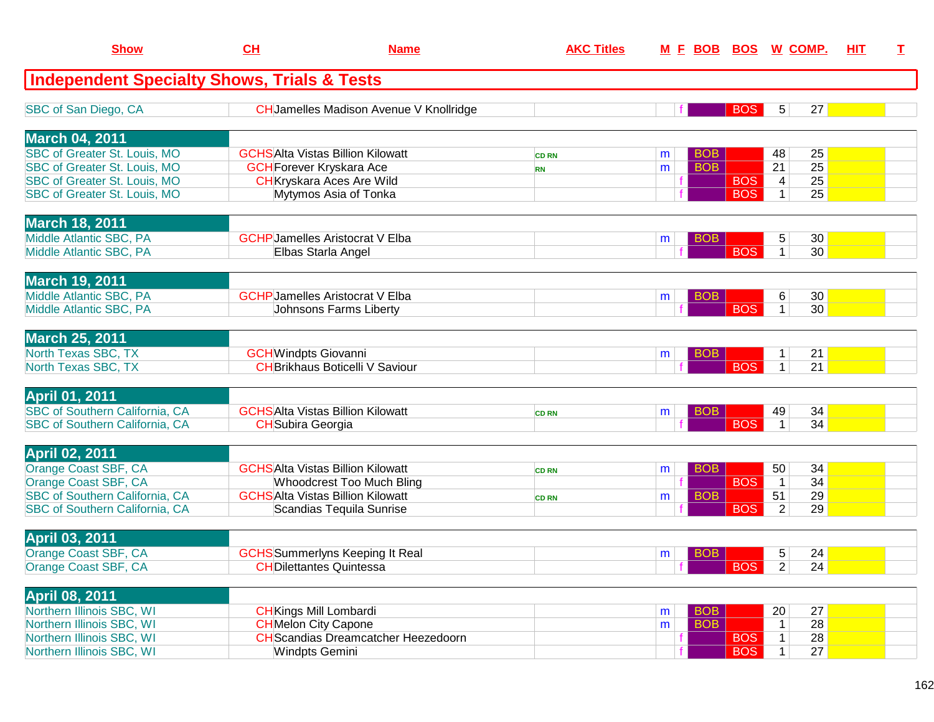| <b>Show</b>                                            | CH | <b>Name</b>                                    | <b>AKC Titles</b> | <u>M E BOB</u> |            | <b>BOS</b> | <u>W_COMP.</u>                | HIT | I |
|--------------------------------------------------------|----|------------------------------------------------|-------------------|----------------|------------|------------|-------------------------------|-----|---|
| <b>Independent Specialty Shows, Trials &amp; Tests</b> |    |                                                |                   |                |            |            |                               |     |   |
| SBC of San Diego, CA                                   |    | <b>CH</b> Jamelles Madison Avenue V Knollridge |                   |                |            | <b>BOS</b> | $5\phantom{.0}$<br>27         |     |   |
| <b>March 04, 2011</b>                                  |    |                                                |                   |                |            |            |                               |     |   |
| SBC of Greater St. Louis, MO                           |    | <b>GCHSAIta Vistas Billion Kilowatt</b>        | <b>CD RN</b>      | m              | <b>BOB</b> |            | 25<br>48                      |     |   |
| SBC of Greater St. Louis, MO                           |    | <b>GCH</b> Forever Kryskara Ace                | <b>RN</b>         | m              | <b>BOB</b> |            | $\overline{25}$<br>21         |     |   |
| SBC of Greater St. Louis, MO                           |    | <b>CH</b> Kryskara Aces Are Wild               |                   |                |            | <b>BOS</b> | 25<br>$\overline{\mathbf{4}}$ |     |   |
| SBC of Greater St. Louis, MO                           |    | Mytymos Asia of Tonka                          |                   |                |            | <b>BOS</b> | $\mathbf{1}$<br>25            |     |   |
| <b>March 18, 2011</b>                                  |    |                                                |                   |                |            |            |                               |     |   |
| Middle Atlantic SBC, PA                                |    | <b>GCHP</b> Jamelles Aristocrat V Elba         |                   | m              | <b>BOB</b> |            | $\sqrt{5}$<br>30              |     |   |
| Middle Atlantic SBC, PA                                |    | Elbas Starla Angel                             |                   |                |            | <b>BOS</b> | $\mathbf{1}$<br>30            |     |   |
| <b>March 19, 2011</b>                                  |    |                                                |                   |                |            |            |                               |     |   |
| Middle Atlantic SBC, PA                                |    | <b>GCHP</b> Jamelles Aristocrat V Elba         |                   | m              | <b>BOB</b> |            | 6<br>30                       |     |   |
| Middle Atlantic SBC, PA                                |    | Johnsons Farms Liberty                         |                   |                |            | <b>BOS</b> | 30<br>$\mathbf{1}$            |     |   |
| <b>March 25, 2011</b>                                  |    |                                                |                   |                |            |            |                               |     |   |
| North Texas SBC, TX                                    |    | <b>GCH</b> Windpts Giovanni                    |                   | m              | <b>BOB</b> |            | 21                            |     |   |
| North Texas SBC, TX                                    |    | <b>CH</b> Brikhaus Boticelli V Saviour         |                   |                |            | <b>BOS</b> | $\mathbf{1}$<br>21            |     |   |
| <b>April 01, 2011</b>                                  |    |                                                |                   |                |            |            |                               |     |   |
| SBC of Southern California, CA                         |    | <b>GCHSAIta Vistas Billion Kilowatt</b>        | <b>CD RN</b>      | m              | BOB        |            | 34<br>49                      |     |   |
| <b>SBC of Southern California, CA</b>                  |    | <b>CH</b> Subira Georgia                       |                   |                |            | <b>BOS</b> | 34<br>$\mathbf{1}$            |     |   |
| <b>April 02, 2011</b>                                  |    |                                                |                   |                |            |            |                               |     |   |
| Orange Coast SBF, CA                                   |    | <b>GCHSAIta Vistas Billion Kilowatt</b>        | <b>CD RN</b>      | m              | <b>BOB</b> |            | 50<br>34                      |     |   |
| Orange Coast SBF, CA                                   |    | <b>Whoodcrest Too Much Bling</b>               |                   |                |            | <b>BOS</b> | 34<br>$\mathbf{1}$            |     |   |
| SBC of Southern California, CA                         |    | <b>GCHSAlta Vistas Billion Kilowatt</b>        | <b>CD RN</b>      | m              | <b>BOB</b> |            | 29<br>51                      |     |   |
| SBC of Southern California, CA                         |    | Scandias Tequila Sunrise                       |                   |                |            | <b>BOS</b> | $\overline{2}$<br>29          |     |   |
| April 03, 2011                                         |    |                                                |                   |                |            |            |                               |     |   |
| Orange Coast SBF, CA                                   |    | <b>GCHS</b> Summerlyns Keeping It Real         |                   | m              | <b>BOB</b> |            | 5<br>24                       |     |   |
| Orange Coast SBF, CA                                   |    | <b>CHDilettantes Quintessa</b>                 |                   |                |            | BOS        | 2 <br>24                      |     |   |
| <b>April 08, 2011</b>                                  |    |                                                |                   |                |            |            |                               |     |   |
| Northern Illinois SBC, WI                              |    | <b>CH</b> Kings Mill Lombardi                  |                   | m              | <b>BOB</b> |            | 27<br>20                      |     |   |
| Northern Illinois SBC, WI                              |    | <b>CH</b> Melon City Capone                    |                   | m              | <b>BOB</b> |            | 28<br>$\mathbf{1}$            |     |   |
| Northern Illinois SBC, WI                              |    | <b>CH</b> Scandias Dreamcatcher Heezedoorn     |                   |                |            | <b>BOS</b> | 28<br>$\mathbf{1}$            |     |   |
| Northern Illinois SBC, WI                              |    | <b>Windpts Gemini</b>                          |                   |                |            | <b>BOS</b> | 27<br>1 <sup>1</sup>          |     |   |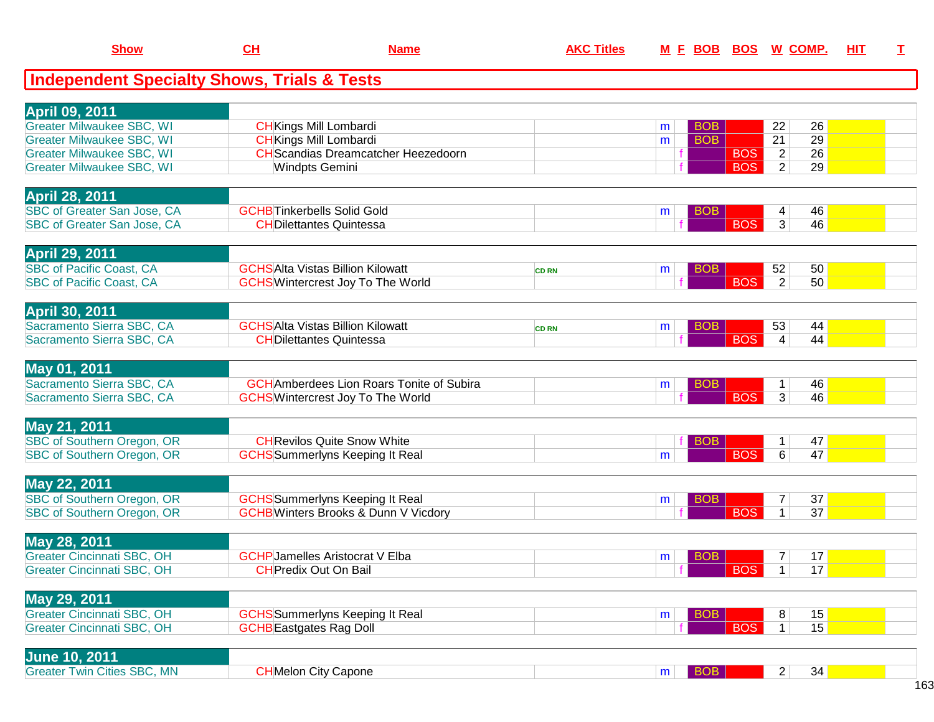| <b>Show</b>                                            | CL                                | <b>Name</b>                                      | <b>AKC Titles</b> |   |            |            | M E BOB BOS W COMP.                | HIT | I |
|--------------------------------------------------------|-----------------------------------|--------------------------------------------------|-------------------|---|------------|------------|------------------------------------|-----|---|
| <b>Independent Specialty Shows, Trials &amp; Tests</b> |                                   |                                                  |                   |   |            |            |                                    |     |   |
| <b>April 09, 2011</b>                                  |                                   |                                                  |                   |   |            |            |                                    |     |   |
| <b>Greater Milwaukee SBC, WI</b>                       | <b>CH</b> Kings Mill Lombardi     |                                                  |                   | m | BOB        |            | 22<br>26                           |     |   |
| <b>Greater Milwaukee SBC, WI</b>                       | <b>CH</b> Kings Mill Lombardi     |                                                  |                   | m | <b>BOB</b> |            | $\overline{21}$<br>$\overline{29}$ |     |   |
| <b>Greater Milwaukee SBC, WI</b>                       |                                   | <b>CH</b> Scandias Dreamcatcher Heezedoorn       |                   |   |            | <b>BOS</b> | $\overline{2}$<br>26               |     |   |
| <b>Greater Milwaukee SBC, WI</b>                       | <b>Windpts Gemini</b>             |                                                  |                   |   |            | <b>BOS</b> | $\overline{2}$<br>29               |     |   |
| <b>April 28, 2011</b>                                  |                                   |                                                  |                   |   |            |            |                                    |     |   |
| <b>SBC of Greater San Jose, CA</b>                     | <b>GCHBTinkerbells Solid Gold</b> |                                                  |                   | m | <b>BOB</b> |            | $\overline{4}$<br>46               |     |   |
| SBC of Greater San Jose, CA                            | <b>CHDilettantes Quintessa</b>    |                                                  |                   |   |            | <b>BOS</b> | $\overline{3}$<br>46               |     |   |
| <b>April 29, 2011</b>                                  |                                   |                                                  |                   |   |            |            |                                    |     |   |
| <b>SBC of Pacific Coast, CA</b>                        |                                   | <b>GCHSAlta Vistas Billion Kilowatt</b>          | <b>CD RN</b>      | m | <b>BOB</b> |            | 52<br>50                           |     |   |
| <b>SBC of Pacific Coast, CA</b>                        |                                   | <b>GCHS</b> Wintercrest Joy To The World         |                   |   |            | <b>BOS</b> | $\overline{2}$<br>50               |     |   |
| <b>April 30, 2011</b>                                  |                                   |                                                  |                   |   |            |            |                                    |     |   |
| Sacramento Sierra SBC, CA                              |                                   | <b>GCHSAIta Vistas Billion Kilowatt</b>          | <b>CD RN</b>      | m | <b>BOB</b> |            | 53<br>44                           |     |   |
| Sacramento Sierra SBC, CA                              | <b>CHDilettantes Quintessa</b>    |                                                  |                   |   |            | <b>BOS</b> | $\overline{4}$<br>44               |     |   |
| May 01, 2011                                           |                                   |                                                  |                   |   |            |            |                                    |     |   |
| Sacramento Sierra SBC, CA                              |                                   | <b>GCH</b> Amberdees Lion Roars Tonite of Subira |                   | m | <b>BOB</b> |            | 46<br>$\mathbf 1$                  |     |   |
| Sacramento Sierra SBC, CA                              |                                   | <b>GCHS</b> Wintercrest Joy To The World         |                   |   |            | <b>BOS</b> | $\overline{3}$<br>46               |     |   |
| May 21, 2011                                           |                                   |                                                  |                   |   |            |            |                                    |     |   |
| SBC of Southern Oregon, OR                             |                                   | <b>CH</b> Revilos Quite Snow White               |                   |   | <b>BOB</b> |            | 47<br>$\mathbf{1}$                 |     |   |
| SBC of Southern Oregon, OR                             |                                   | <b>GCHS</b> Summerlyns Keeping It Real           |                   | m |            | <b>BOS</b> | $\overline{6}$<br>47               |     |   |
| May 22, 2011                                           |                                   |                                                  |                   |   |            |            |                                    |     |   |
| SBC of Southern Oregon, OR                             |                                   | <b>GCHS</b> Summerlyns Keeping It Real           |                   | m | <b>BOB</b> |            | 37<br>7                            |     |   |
| SBC of Southern Oregon, OR                             |                                   | <b>GCHB</b> Winters Brooks & Dunn V Vicdory      |                   |   |            | <b>BOS</b> | $\overline{1}$<br>$\overline{37}$  |     |   |
| May 28, 2011                                           |                                   |                                                  |                   |   |            |            |                                    |     |   |
| <b>Greater Cincinnati SBC, OH</b>                      |                                   | <b>GCHP</b> Jamelles Aristocrat V Elba           |                   | m | <b>BOB</b> |            | 17<br>7                            |     |   |
| <b>Greater Cincinnati SBC, OH</b>                      | <b>CH</b> Predix Out On Bail      |                                                  |                   |   |            | <b>BOS</b> | $\overline{1}$<br>17               |     |   |
| May 29, 2011                                           |                                   |                                                  |                   |   |            |            |                                    |     |   |
| <b>Greater Cincinnati SBC, OH</b>                      |                                   | <b>GCHS</b> Summerlyns Keeping It Real           |                   | m | BOB        |            | 8<br>15                            |     |   |
| <b>Greater Cincinnati SBC, OH</b>                      | <b>GCHB</b> Eastgates Rag Doll    |                                                  |                   |   |            | <b>BOS</b> | $\overline{1}$<br>15               |     |   |
| June 10, 2011.                                         |                                   |                                                  |                   |   |            |            |                                    |     |   |

| <b>NUME IV, ZUI I</b>                             |                                   |  |                    |  |
|---------------------------------------------------|-----------------------------------|--|--------------------|--|
| Cities SBC, MN<br><b>S</b> reater T<br><b>WIN</b> | $\sim$<br>า City Capone<br>⊣Melon |  | <b>COM</b><br>- 34 |  |
|                                                   |                                   |  |                    |  |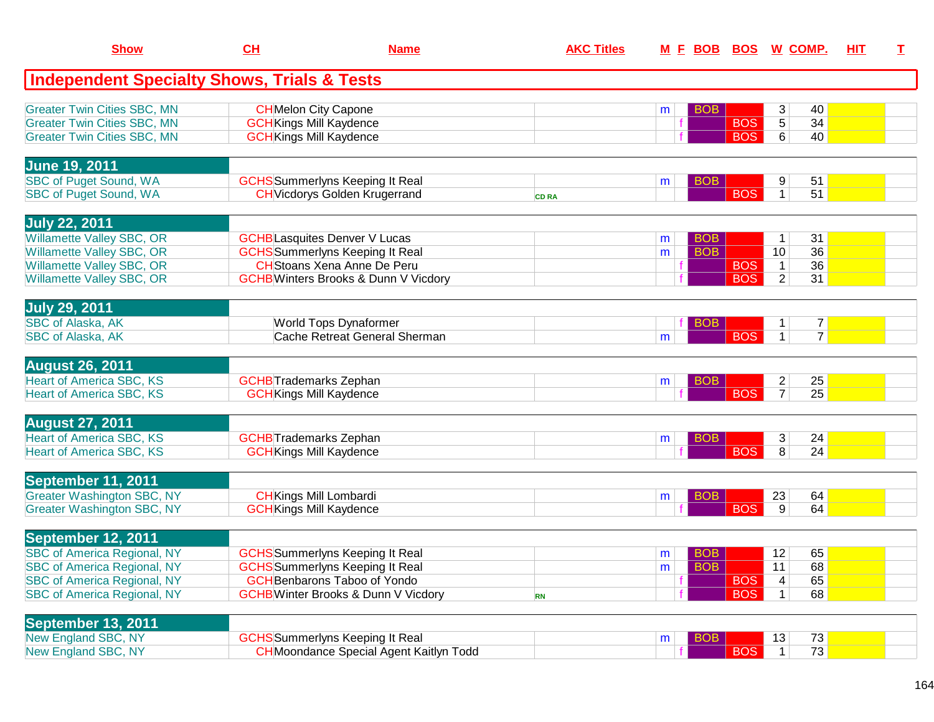| <b>Show</b>                                                                                                                                                                | CH                                                                                                                                                                    | <b>Name</b>                                    | <b>AKC Titles</b> |        | M E BOB BOS W COMP.      |                          |                                                      |                                  | <b>HIT</b> | I |
|----------------------------------------------------------------------------------------------------------------------------------------------------------------------------|-----------------------------------------------------------------------------------------------------------------------------------------------------------------------|------------------------------------------------|-------------------|--------|--------------------------|--------------------------|------------------------------------------------------|----------------------------------|------------|---|
| <b>Independent Specialty Shows, Trials &amp; Tests</b>                                                                                                                     |                                                                                                                                                                       |                                                |                   |        |                          |                          |                                                      |                                  |            |   |
| <b>Greater Twin Cities SBC, MN</b><br><b>Greater Twin Cities SBC, MN</b><br><b>Greater Twin Cities SBC, MN</b>                                                             | <b>CH</b> Melon City Capone<br><b>GCH</b> Kings Mill Kaydence<br><b>GCH</b> Kings Mill Kaydence                                                                       |                                                |                   | m      | <b>BOB</b>               | <b>BOS</b><br><b>BOS</b> | 3<br>5<br>6                                          | 40<br>34<br>40                   |            |   |
| <b>June 19, 2011</b><br><b>SBC of Puget Sound, WA</b><br><b>SBC of Puget Sound, WA</b>                                                                                     | <b>GCHS</b> Summerlyns Keeping It Real<br><b>CH</b> Vicdorys Golden Krugerrand                                                                                        |                                                | <b>CD RA</b>      | m      | <b>BOB</b>               | <b>BOS</b>               | 9<br>$\mathbf{1}$                                    | 51<br>51                         |            |   |
| <b>July 22, 2011</b><br>Willamette Valley SBC, OR<br><b>Willamette Valley SBC, OR</b><br><b>Willamette Valley SBC, OR</b><br>Willamette Valley SBC, OR                     | <b>GCHB</b> Lasquites Denver V Lucas<br><b>GCHS</b> Summerlyns Keeping It Real<br><b>CH</b> Stoans Xena Anne De Peru<br><b>GCHB</b> Winters Brooks & Dunn V Vicdory   |                                                |                   | m<br>m | <b>BOB</b><br><b>BOB</b> | <b>BOS</b><br><b>BOS</b> | $\mathbf{1}$<br>10<br>$\mathbf{1}$<br>$\overline{c}$ | 31<br>36<br>36<br>31             |            |   |
| <b>July 29, 2011</b><br><b>SBC of Alaska, AK</b><br>SBC of Alaska, AK                                                                                                      | <b>World Tops Dynaformer</b>                                                                                                                                          | Cache Retreat General Sherman                  |                   | m      | <b>BOB</b>               | <b>BOS</b>               | $\mathbf{1}$<br>$\mathbf{1}$                         | $\overline{7}$<br>$\overline{7}$ |            |   |
| <b>August 26, 2011</b><br><b>Heart of America SBC, KS</b><br><b>Heart of America SBC, KS</b>                                                                               | <b>GCHB</b> Trademarks Zephan<br><b>GCH</b> Kings Mill Kaydence                                                                                                       |                                                |                   | m      | <b>BOB</b>               | <b>BOS</b>               | $\overline{c}$<br>$\overline{7}$                     | 25<br>25                         |            |   |
| <b>August 27, 2011</b><br><b>Heart of America SBC, KS</b><br><b>Heart of America SBC, KS</b>                                                                               | <b>GCHB</b> Trademarks Zephan<br><b>GCH</b> Kings Mill Kaydence                                                                                                       |                                                |                   | m      | <b>BOB</b>               | <b>BOS</b>               | 3<br>8                                               | 24<br>24                         |            |   |
| September 11, 2011<br><b>Greater Washington SBC, NY</b><br><b>Greater Washington SBC, NY</b>                                                                               | <b>CH</b> Kings Mill Lombardi<br><b>GCH</b> Kings Mill Kaydence                                                                                                       |                                                |                   | m      | <b>BOB</b>               | <b>BOS</b>               | 23<br>9                                              | 64<br>64                         |            |   |
| September 12, 2011<br><b>SBC of America Regional, NY</b><br><b>SBC of America Regional, NY</b><br><b>SBC of America Regional, NY</b><br><b>SBC of America Regional, NY</b> | <b>GCHS</b> Summerlyns Keeping It Real<br><b>GCHS</b> Summerlyns Keeping It Real<br><b>GCH</b> Benbarons Taboo of Yondo<br><b>GCHB</b> Winter Brooks & Dunn V Vicdory |                                                | <b>RN</b>         | m<br>m | <b>BOB</b><br><b>BOB</b> | <b>BOS</b><br><b>BOS</b> | 12<br>11<br>$\overline{\mathbf{4}}$<br>1             | 65<br>68<br>65<br>68             |            |   |
| September 13, 2011<br>New England SBC, NY<br>New England SBC, NY                                                                                                           | <b>GCHS</b> Summerlyns Keeping It Real                                                                                                                                | <b>CH</b> Moondance Special Agent Kaitlyn Todd |                   | m      | <b>BOB</b>               | <b>BOS</b>               | 13<br>$\mathbf{1}$                                   | 73<br>73                         |            |   |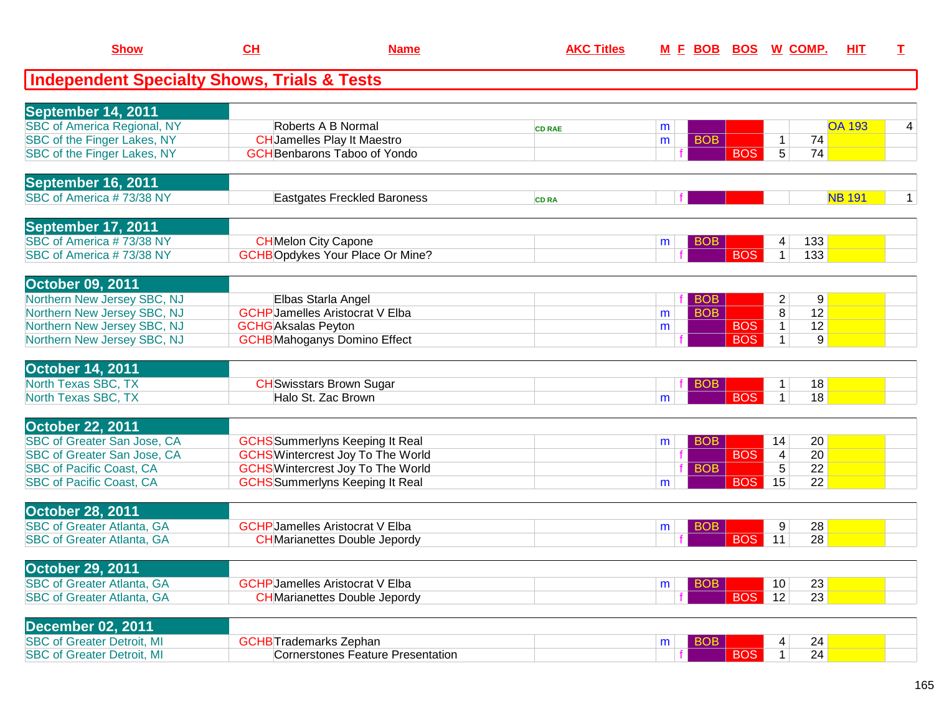| <b>Show</b>                                            | CH                            | <b>Name</b>                              | <b>AKC Titles</b> |   |            | M E BOB BOS W COMP. |                         |               | HIT | $\mathbf I$ |
|--------------------------------------------------------|-------------------------------|------------------------------------------|-------------------|---|------------|---------------------|-------------------------|---------------|-----|-------------|
| <b>Independent Specialty Shows, Trials &amp; Tests</b> |                               |                                          |                   |   |            |                     |                         |               |     |             |
| September 14, 2011                                     |                               |                                          |                   |   |            |                     |                         |               |     |             |
| <b>SBC of America Regional, NY</b>                     |                               | Roberts A B Normal                       | <b>CD RAE</b>     | m |            |                     |                         | <b>OA 193</b> |     | 4           |
| SBC of the Finger Lakes, NY                            |                               | <b>CH</b> Jamelles Play It Maestro       |                   | m | <b>BOB</b> |                     | 1                       | 74            |     |             |
| SBC of the Finger Lakes, NY                            |                               | <b>GCH</b> Benbarons Taboo of Yondo      |                   |   |            | <b>BOS</b>          | 5 <sup>5</sup>          | 74            |     |             |
| September 16, 2011                                     |                               |                                          |                   |   |            |                     |                         |               |     |             |
| SBC of America #73/38 NY                               |                               | Eastgates Freckled Baroness              | <b>CD RA</b>      |   |            |                     |                         | <b>NB 191</b> |     | 1           |
| September 17, 2011                                     |                               |                                          |                   |   |            |                     |                         |               |     |             |
| SBC of America #73/38 NY                               |                               | <b>CH</b> Melon City Capone              |                   | m | <b>BOB</b> |                     | 4                       | 133           |     |             |
| SBC of America #73/38 NY                               |                               | <b>GCHBOpdykes Your Place Or Mine?</b>   |                   |   |            | <b>BOS</b>          | $\mathbf{1}$            | 133           |     |             |
| October 09, 2011                                       |                               |                                          |                   |   |            |                     |                         |               |     |             |
| Northern New Jersey SBC, NJ                            |                               | Elbas Starla Angel                       |                   |   | <b>BOB</b> |                     | $\overline{2}$          | 9             |     |             |
| Northern New Jersey SBC, NJ                            |                               | <b>GCHP</b> Jamelles Aristocrat V Elba   |                   | m | <b>BOB</b> |                     | 8                       | 12            |     |             |
| Northern New Jersey SBC, NJ                            | <b>GCHG</b> Aksalas Peyton    |                                          |                   | m |            | <b>BOS</b>          | $\mathbf{1}$            | 12            |     |             |
| Northern New Jersey SBC, NJ                            |                               | <b>GCHB</b> Mahoganys Domino Effect      |                   |   |            | <b>BOS</b>          | $\mathbf{1}$            | 9             |     |             |
| <b>October 14, 2011</b>                                |                               |                                          |                   |   |            |                     |                         |               |     |             |
| North Texas SBC, TX                                    |                               | <b>CH</b> Swisstars Brown Sugar          |                   |   | <b>BOB</b> |                     | 1 <sup>1</sup>          | 18            |     |             |
| North Texas SBC, TX                                    |                               | Halo St. Zac Brown                       |                   | m |            | <b>BOS</b>          | $\mathbf{1}$            | 18            |     |             |
| <b>October 22, 2011</b>                                |                               |                                          |                   |   |            |                     |                         |               |     |             |
| SBC of Greater San Jose, CA                            |                               | <b>GCHS</b> Summerlyns Keeping It Real   |                   | m | <b>BOB</b> |                     | 14                      | 20            |     |             |
| SBC of Greater San Jose, CA                            |                               | <b>GCHS</b> Wintercrest Joy To The World |                   |   |            | <b>BOS</b>          | $\overline{\mathbf{4}}$ | 20            |     |             |
| <b>SBC of Pacific Coast, CA</b>                        |                               | <b>GCHS</b> Wintercrest Joy To The World |                   |   | <b>BOB</b> |                     | 5                       | 22            |     |             |
| <b>SBC of Pacific Coast, CA</b>                        |                               | <b>GCHS</b> Summerlyns Keeping It Real   |                   | m |            | <b>BOS</b>          | 15                      | 22            |     |             |
| <b>October 28, 2011</b>                                |                               |                                          |                   |   |            |                     |                         |               |     |             |
| <b>SBC of Greater Atlanta, GA</b>                      |                               | <b>GCHP</b> Jamelles Aristocrat V Elba   |                   | m | <b>BOB</b> |                     | 9                       | 28            |     |             |
| <b>SBC of Greater Atlanta, GA</b>                      |                               | <b>CH</b> Marianettes Double Jepordy     |                   |   |            | <b>BOS</b>          | 11                      | 28            |     |             |
| October 29, 2011                                       |                               |                                          |                   |   |            |                     |                         |               |     |             |
| <b>SBC of Greater Atlanta, GA</b>                      |                               | <b>GCHP</b> Jamelles Aristocrat V Elba   |                   | m | <b>BOB</b> |                     | 10                      | 23            |     |             |
| <b>SBC of Greater Atlanta, GA</b>                      |                               | <b>CH</b> Marianettes Double Jepordy     |                   |   |            | <b>BOS</b>          | 12                      | 23            |     |             |
| <b>December 02, 2011</b>                               |                               |                                          |                   |   |            |                     |                         |               |     |             |
| <b>SBC of Greater Detroit, MI</b>                      | <b>GCHB</b> Trademarks Zephan |                                          |                   | m | <b>BOB</b> |                     | 4                       | 24            |     |             |
| <b>SBC of Greater Detroit, MI</b>                      |                               | <b>Cornerstones Feature Presentation</b> |                   |   |            | <b>BOS</b>          | $\mathbf{1}$            | 24            |     |             |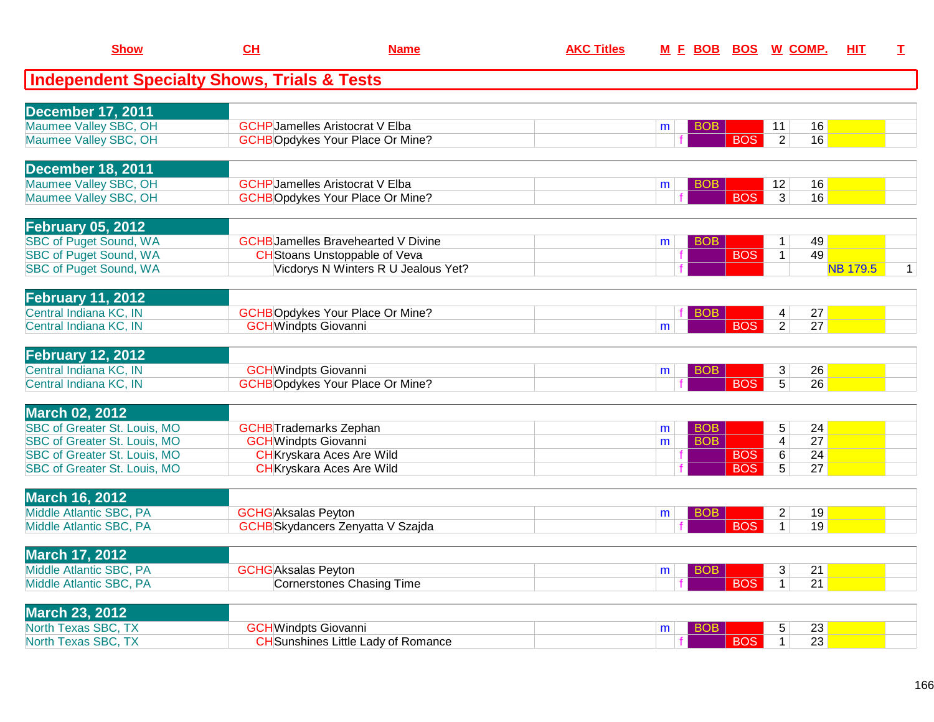| <b>Show</b>                                            | CH                            | <b>Name</b>                                | <b>AKC Titles</b> | M E BOB BOS W COMP. |            |                | <b>HIT</b>      | $\mathbf{T}$ |
|--------------------------------------------------------|-------------------------------|--------------------------------------------|-------------------|---------------------|------------|----------------|-----------------|--------------|
| <b>Independent Specialty Shows, Trials &amp; Tests</b> |                               |                                            |                   |                     |            |                |                 |              |
|                                                        |                               |                                            |                   |                     |            |                |                 |              |
| <b>December 17, 2011</b>                               |                               |                                            |                   |                     |            |                |                 |              |
| Maumee Valley SBC, OH                                  |                               | <b>GCHP</b> Jamelles Aristocrat V Elba     |                   | BOB<br>m            |            | 11             | 16              |              |
| Maumee Valley SBC, OH                                  |                               | <b>GCHBOpdykes Your Place Or Mine?</b>     |                   |                     | <b>BOS</b> | $\overline{2}$ | 16              |              |
| <b>December 18, 2011</b>                               |                               |                                            |                   |                     |            |                |                 |              |
| Maumee Valley SBC, OH                                  |                               | <b>GCHP</b> Jamelles Aristocrat V Elba     |                   | BOB<br>m            |            | 12             | 16              |              |
| Maumee Valley SBC, OH                                  |                               | <b>GCHBOpdykes Your Place Or Mine?</b>     |                   |                     | <b>BOS</b> | $\overline{3}$ | 16              |              |
| <b>February 05, 2012</b>                               |                               |                                            |                   |                     |            |                |                 |              |
| <b>SBC of Puget Sound, WA</b>                          |                               | <b>GCHB</b> Jamelles Bravehearted V Divine |                   | <b>BOB</b><br>m     |            | $\mathbf{1}$   | 49              |              |
| <b>SBC of Puget Sound, WA</b>                          |                               | <b>CH</b> Stoans Unstoppable of Veva       |                   |                     | <b>BOS</b> | 1              | 49              |              |
| <b>SBC of Puget Sound, WA</b>                          |                               | Vicdorys N Winters R U Jealous Yet?        |                   |                     |            |                | <b>NB 179.5</b> | $\mathbf{1}$ |
| <b>February 11, 2012</b>                               |                               |                                            |                   |                     |            |                |                 |              |
| Central Indiana KC, IN                                 |                               | <b>GCHBOpdykes Your Place Or Mine?</b>     |                   | BOB                 |            | 4              | 27              |              |
| Central Indiana KC, IN                                 | <b>GCH</b> Windpts Giovanni   |                                            |                   | m                   | <b>BOS</b> | $\overline{2}$ | $\overline{27}$ |              |
|                                                        |                               |                                            |                   |                     |            |                |                 |              |
| <b>February 12, 2012</b>                               |                               |                                            |                   |                     |            |                |                 |              |
| Central Indiana KC, IN                                 | <b>GCH</b> Windpts Giovanni   |                                            |                   | BOB.<br>m           |            | 3 <sup>1</sup> | 26              |              |
| Central Indiana KC, IN                                 |                               | <b>GCHBOpdykes Your Place Or Mine?</b>     |                   |                     | <b>BOS</b> | $\overline{5}$ | $\overline{26}$ |              |
| <b>March 02, 2012</b>                                  |                               |                                            |                   |                     |            |                |                 |              |
| <b>SBC of Greater St. Louis, MO</b>                    | <b>GCHB</b> Trademarks Zephan |                                            |                   | <b>BOB</b><br>m     |            | 5              | 24              |              |
| SBC of Greater St. Louis, MO                           | <b>GCH</b> Windpts Giovanni   |                                            |                   | <b>BOB</b><br>m     |            | $\overline{4}$ | $\overline{27}$ |              |
| SBC of Greater St. Louis, MO                           |                               | <b>CH</b> Kryskara Aces Are Wild           |                   | f                   | <b>BOS</b> | 6              | 24              |              |
| <b>SBC of Greater St. Louis, MO</b>                    |                               | <b>CH</b> Kryskara Aces Are Wild           |                   |                     | <b>BOS</b> | $\overline{5}$ | 27              |              |
| <b>March 16, 2012</b>                                  |                               |                                            |                   |                     |            |                |                 |              |
| Middle Atlantic SBC, PA                                | <b>GCHG</b> Aksalas Peyton    |                                            |                   | <b>BOB</b><br>m     |            | $\overline{c}$ | 19              |              |
| Middle Atlantic SBC, PA                                |                               | <b>GCHB</b> Skydancers Zenyatta V Szajda   |                   |                     | <b>BOS</b> | $\mathbf{1}$   | 19              |              |
| <b>March 17, 2012</b>                                  |                               |                                            |                   |                     |            |                |                 |              |
| Middle Atlantic SBC, PA                                | <b>GCHG</b> Aksalas Peyton    |                                            |                   | BOB<br>m            |            | 3              | 21              |              |
| Middle Atlantic SBC, PA                                |                               | <b>Cornerstones Chasing Time</b>           |                   |                     | <b>BOS</b> | $\mathbf{1}$   | $\overline{21}$ |              |
|                                                        |                               |                                            |                   |                     |            |                |                 |              |
| <b>March 23, 2012</b>                                  |                               |                                            |                   |                     |            |                |                 |              |
| North Texas SBC, TX                                    | <b>GCH</b> Windpts Giovanni   |                                            |                   | BOB.<br>m           |            | 5              | 23              |              |
| North Texas SBC, TX                                    |                               | <b>CH</b> Sunshines Little Lady of Romance |                   |                     | <b>BOS</b> | $\mathbf{1}$   | 23              |              |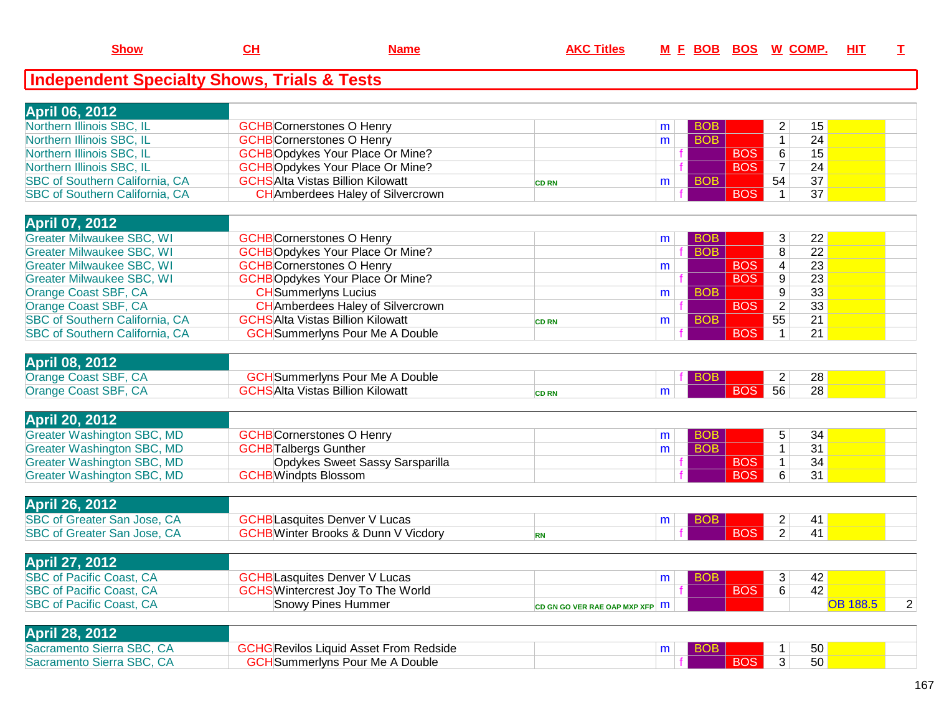| <b>April 06, 2012</b>                 |                                          |              |   |                 |            |    |    |  |
|---------------------------------------|------------------------------------------|--------------|---|-----------------|------------|----|----|--|
| Northern Illinois SBC, IL             | <b>GCHB</b> Cornerstones O Henry         |              | m | <b>BOB</b>      |            |    | 15 |  |
| Northern Illinois SBC, IL             | <b>GCHB</b> Cornerstones O Henry         |              | m | <b>BOB</b>      |            |    | 24 |  |
| Northern Illinois SBC, IL             | <b>GCHBOpdykes Your Place Or Mine?</b>   |              |   |                 | <b>BOS</b> | R. | 15 |  |
| Northern Illinois SBC, IL             | <b>GCHBOpdykes Your Place Or Mine?</b>   |              |   |                 | <b>BOS</b> |    | 24 |  |
| <b>SBC of Southern California, CA</b> | <b>GCHSAIta Vistas Billion Kilowatt</b>  | <b>CD RN</b> | m | BO <sub>B</sub> |            | 54 | 37 |  |
| <b>SBC of Southern California, CA</b> | <b>CH</b> Amberdees Haley of Silvercrown |              |   |                 | <b>BOS</b> |    | 37 |  |

| <b>April 07, 2012</b>                 |                                          |              |   |            |            |                |                 |  |
|---------------------------------------|------------------------------------------|--------------|---|------------|------------|----------------|-----------------|--|
| <b>Greater Milwaukee SBC, WI</b>      | <b>GCHB</b> Cornerstones O Henry         |              | m | <b>BOB</b> |            | 3.             | 22 <sub>1</sub> |  |
| <b>Greater Milwaukee SBC, WI</b>      | <b>GCHBOpdykes Your Place Or Mine?</b>   |              |   | BOB        |            | 8              | 22              |  |
| <b>Greater Milwaukee SBC, WI</b>      | <b>GCHB</b> Cornerstones O Henry         |              | m |            | <b>BOS</b> | 4              | 23              |  |
| <b>Greater Milwaukee SBC, WI</b>      | <b>GCHBOpdykes Your Place Or Mine?</b>   |              |   |            | <b>BOS</b> | 9              | 23              |  |
| Orange Coast SBF, CA                  | <b>CH</b> Summerlyns Lucius              |              | m | <b>BOB</b> |            | 9              | 33              |  |
| Orange Coast SBF, CA                  | <b>CH</b> Amberdees Haley of Silvercrown |              |   |            | <b>BOS</b> | 2 <sup>1</sup> | 33              |  |
| SBC of Southern California, CA        | <b>GCHSAlta Vistas Billion Kilowatt</b>  | <b>CD RN</b> | m | <b>BOB</b> |            | 55             | 21              |  |
| <b>SBC of Southern California, CA</b> | <b>GCH</b> Summerlyns Pour Me A Double   |              |   |            | <b>BOS</b> |                | 21              |  |

| <b>April 08, 2012</b> |                                              |       |  |    |    |  |
|-----------------------|----------------------------------------------|-------|--|----|----|--|
| Orange Coast SBF, CA  | HSummerlyns Pour Me A Double                 |       |  |    | 28 |  |
| Orange Coast SBF, CA  | <mark>IS</mark> Alta Vistas Billion Kilowatt | CD RN |  | 56 | 28 |  |
|                       |                                              |       |  |    |    |  |

| <b>April 20, 2012</b>      |                                  |            |            |                |    |  |
|----------------------------|----------------------------------|------------|------------|----------------|----|--|
| Greater Washington SBC, MD | <b>GCHB</b> Cornerstones O Henry | <b>BOB</b> |            |                | 34 |  |
| Greater Washington SBC, MD | <b>GCHBTalbergs Gunther</b>      |            |            |                | 31 |  |
| Greater Washington SBC, MD | Opdykes Sweet Sassy Sarsparilla  |            | <b>BOS</b> |                | 34 |  |
| Greater Washington SBC, MD | <b>GCHB</b> Windpts Blossom      |            | <b>BOS</b> | 6 <sup>1</sup> | 31 |  |
|                            |                                  |            |            |                |    |  |

| <b>April 26, 2012</b>              |                                            |  |  |  |  |
|------------------------------------|--------------------------------------------|--|--|--|--|
| SBC of Greater San Jose, CA        | <b>GCHBLasquites Denver V Lucas</b>        |  |  |  |  |
| <b>SBC of Greater San Jose, CA</b> | <b>GCHB</b> Winter Brooks & Dunn V Vicdory |  |  |  |  |
|                                    |                                            |  |  |  |  |

| <b>April 27, 2012</b>           |                                          |                                        |            |             |  |
|---------------------------------|------------------------------------------|----------------------------------------|------------|-------------|--|
| <b>SBC of Pacific Coast, CA</b> | <b>GCHBLasquites Denver V Lucas</b>      |                                        |            | 42          |  |
| <b>SBC of Pacific Coast, CA</b> | <b>GCHS</b> Wintercrest Joy To The World |                                        | <b>BOS</b> | 42          |  |
| <b>SBC of Pacific Coast, CA</b> | <b>Snowy Pines Hummer</b>                | CD GN GO VER RAE OAP MXP XFP $\vert$ M |            | OB 188. $F$ |  |

| <b>April 28, 2012</b>     |                                                    |  |  |    |  |
|---------------------------|----------------------------------------------------|--|--|----|--|
| Sacramento Sierra SBC, CA | <sup>6</sup> GCHGRevilos Liquid Asset From Redside |  |  | 50 |  |
| Sacramento Sierra SBC, CA | <b>`H</b> Summerlyns Pour Me A Double              |  |  | 50 |  |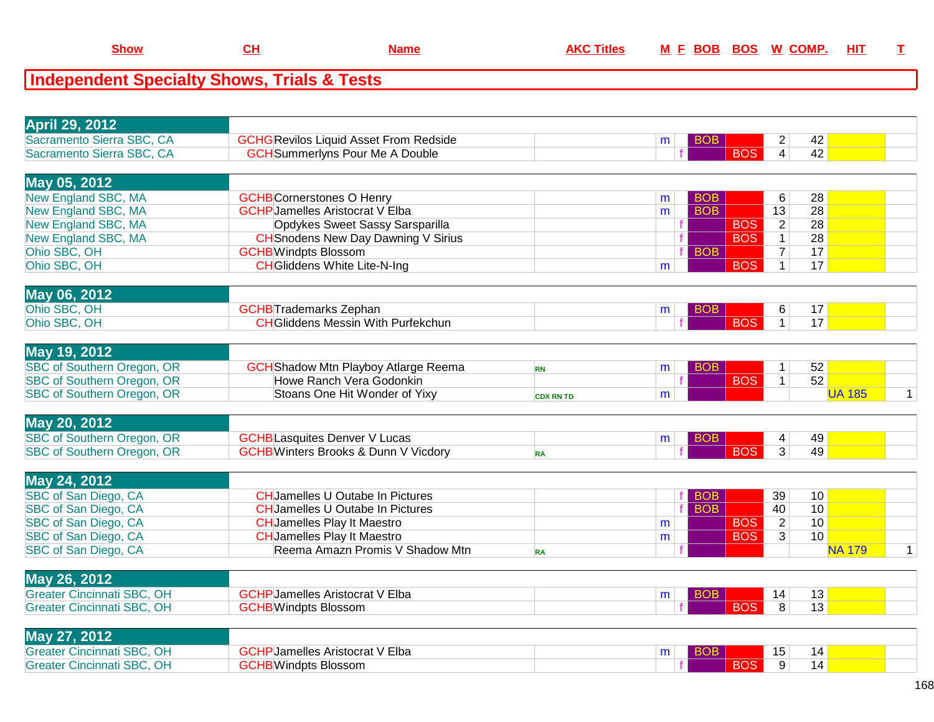| <b>Show</b> |  | M<br>ннэ |
|-------------|--|----------|
|             |  |          |

| <b>April 29, 2012</b>                                                  |                                                                           |                  |   |            |            |                                   |               |              |
|------------------------------------------------------------------------|---------------------------------------------------------------------------|------------------|---|------------|------------|-----------------------------------|---------------|--------------|
| Sacramento Sierra SBC, CA                                              | <b>GCHG</b> Revilos Liquid Asset From Redside                             |                  | m | <b>BOB</b> |            | 2                                 | 42            |              |
| Sacramento Sierra SBC, CA                                              | <b>GCH</b> Summerlyns Pour Me A Double                                    |                  |   |            | <b>BOS</b> | $\overline{4}$                    | 42            |              |
|                                                                        |                                                                           |                  |   |            |            |                                   |               |              |
| May 05, 2012                                                           |                                                                           |                  |   |            |            |                                   |               |              |
| New England SBC, MA                                                    | <b>GCHB</b> Cornerstones O Henry                                          |                  | m | <b>BOB</b> |            | 6                                 | 28            |              |
| New England SBC, MA<br>New England SBC, MA                             | <b>GCHP</b> Jamelles Aristocrat V Elba<br>Opdykes Sweet Sassy Sarsparilla |                  | m | <b>BOB</b> | <b>BOS</b> | $\overline{13}$<br>$\overline{2}$ | 28<br>28      |              |
| New England SBC, MA                                                    | <b>CH</b> Snodens New Day Dawning V Sirius                                |                  |   |            | <b>BOS</b> | $\mathbf{1}$                      | 28            |              |
| Ohio SBC, OH                                                           | <b>GCHB</b> Windpts Blossom                                               |                  |   | <b>BOB</b> |            | $\overline{7}$                    | 17            |              |
| Ohio SBC, OH                                                           | <b>CH</b> Gliddens White Lite-N-Ing                                       |                  | m |            | <b>BOS</b> | $\mathbf{1}$                      | 17            |              |
|                                                                        |                                                                           |                  |   |            |            |                                   |               |              |
| May 06, 2012                                                           |                                                                           |                  |   |            |            |                                   |               |              |
| Ohio SBC, OH                                                           | <b>GCHB</b> Trademarks Zephan                                             |                  | m | <b>BOB</b> |            | 6                                 | 17            |              |
| Ohio SBC, OH                                                           | <b>CH</b> Gliddens Messin With Purfekchun                                 |                  |   |            | <b>BOS</b> | $\overline{1}$                    | 17            |              |
|                                                                        |                                                                           |                  |   |            |            |                                   |               |              |
| May 19, 2012                                                           |                                                                           |                  |   |            |            |                                   |               |              |
| SBC of Southern Oregon, OR                                             | <b>GCH</b> Shadow Mtn Playboy Atlarge Reema                               | <b>RN</b>        | m | <b>BOB</b> |            | $\mathbf 1$                       | 52            |              |
| SBC of Southern Oregon, OR                                             | Howe Ranch Vera Godonkin                                                  |                  |   |            | <b>BOS</b> | $\mathbf{1}$                      | 52            |              |
| SBC of Southern Oregon, OR                                             | Stoans One Hit Wonder of Yixy                                             | <b>CDX RN TD</b> | m |            |            |                                   | <b>UA 185</b> | $\mathbf{1}$ |
| <b>May 20, 2012</b>                                                    |                                                                           |                  |   |            |            |                                   |               |              |
| SBC of Southern Oregon, OR                                             | <b>GCHB</b> Lasquites Denver V Lucas                                      |                  | m | <b>BOB</b> |            | 4                                 | 49            |              |
| SBC of Southern Oregon, OR                                             | <b>GCHB</b> Winters Brooks & Dunn V Vicdory                               | <b>RA</b>        |   |            | <b>BOS</b> | $\overline{3}$                    | 49            |              |
|                                                                        |                                                                           |                  |   |            |            |                                   |               |              |
| May 24, 2012                                                           |                                                                           |                  |   |            |            |                                   |               |              |
| SBC of San Diego, CA                                                   | <b>CHJamelles U Outabe In Pictures</b>                                    |                  |   | <b>BOB</b> |            | 39                                | 10            |              |
| SBC of San Diego, CA                                                   | <b>CH</b> Jamelles U Outabe In Pictures                                   |                  |   | <b>BOB</b> |            | 40                                | 10            |              |
| SBC of San Diego, CA                                                   | <b>CH</b> Jamelles Play It Maestro                                        |                  | m |            | <b>BOS</b> | $\overline{2}$                    | 10            |              |
| SBC of San Diego, CA                                                   | <b>CHJamelles Play It Maestro</b>                                         |                  | m |            | <b>BOS</b> | $\overline{3}$                    | 10            |              |
| SBC of San Diego, CA                                                   | Reema Amazn Promis V Shadow Mtn                                           | <b>RA</b>        |   |            |            |                                   | <b>NA 179</b> | $\mathbf{1}$ |
|                                                                        |                                                                           |                  |   |            |            |                                   |               |              |
|                                                                        |                                                                           |                  |   |            |            |                                   |               |              |
| May 26, 2012                                                           |                                                                           |                  |   |            |            |                                   |               |              |
| <b>Greater Cincinnati SBC, OH</b>                                      | <b>GCHP</b> Jamelles Aristocrat V Elba                                    |                  | m | <b>BOB</b> |            | 14                                | 13            |              |
| <b>Greater Cincinnati SBC, OH</b>                                      | <b>GCHB</b> Windpts Blossom                                               |                  |   |            | <b>BOS</b> | $\overline{8}$                    | 13            |              |
|                                                                        |                                                                           |                  |   |            |            |                                   |               |              |
| May 27, 2012                                                           | <b>GCHP</b> Jamelles Aristocrat V Elba                                    |                  | m | BOB        |            |                                   |               |              |
| <b>Greater Cincinnati SBC, OH</b><br><b>Greater Cincinnati SBC, OH</b> | <b>GCHB</b> Windpts Blossom                                               |                  |   |            | <b>BOS</b> | 15<br>9                           | 14<br>14      |              |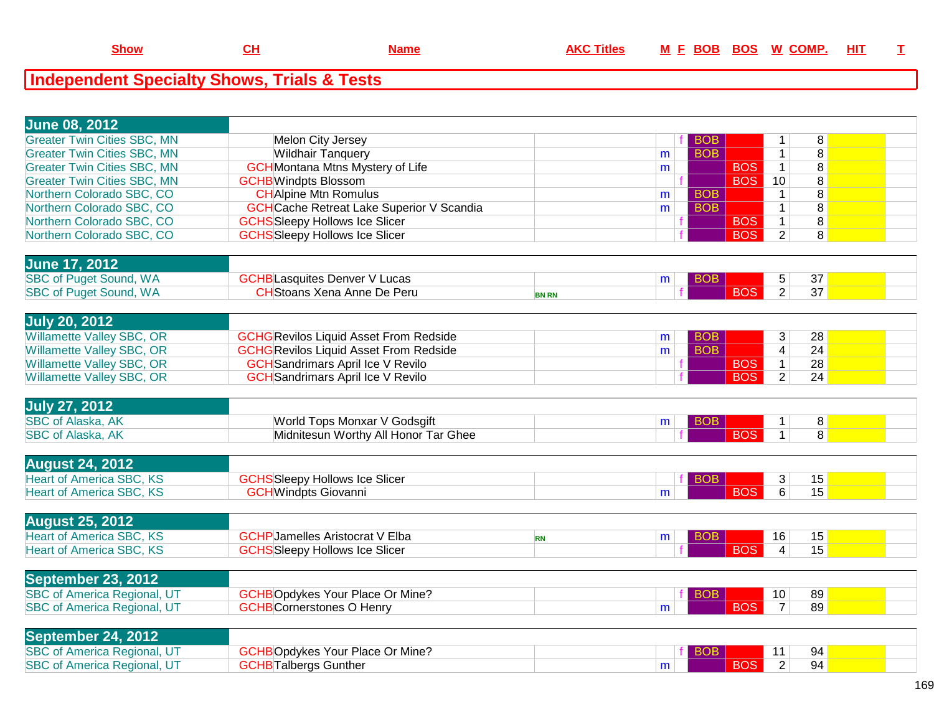| <b>June 08, 2012</b>               |                                                  |              |   |            |                         |                    |  |
|------------------------------------|--------------------------------------------------|--------------|---|------------|-------------------------|--------------------|--|
| <b>Greater Twin Cities SBC, MN</b> | Melon City Jersey                                |              |   | <b>BOB</b> | 1                       | 8                  |  |
| <b>Greater Twin Cities SBC, MN</b> | <b>Wildhair Tanquery</b>                         |              | m | <b>BOB</b> | $\mathbf 1$             | $\overline{\bf 8}$ |  |
| <b>Greater Twin Cities SBC, MN</b> | <b>GCH</b> Montana Mtns Mystery of Life          |              | m | <b>BOS</b> | $\mathbf{1}$            | 8                  |  |
| <b>Greater Twin Cities SBC, MN</b> | <b>GCHB</b> Windpts Blossom                      |              |   | <b>BOS</b> | 10                      | $\overline{8}$     |  |
| Northern Colorado SBC, CO          | <b>CHAlpine Mtn Romulus</b>                      |              | m | <b>BOB</b> | $\overline{1}$          | $\overline{8}$     |  |
| Northern Colorado SBC, CO          | <b>GCH</b> Cache Retreat Lake Superior V Scandia |              | m | <b>BOB</b> | $\mathbf{1}$            | $\overline{8}$     |  |
| Northern Colorado SBC, CO          | <b>GCHS</b> Sleepy Hollows Ice Slicer            |              |   | <b>BOS</b> | $\mathbf{1}$            | $\overline{8}$     |  |
| Northern Colorado SBC, CO          | <b>GCHS</b> Sleepy Hollows Ice Slicer            |              |   | <b>BOS</b> | $\overline{2}$          | $\overline{8}$     |  |
|                                    |                                                  |              |   |            |                         |                    |  |
| <b>June 17, 2012</b>               |                                                  |              |   |            |                         |                    |  |
| <b>SBC of Puget Sound, WA</b>      | <b>GCHB</b> Lasquites Denver V Lucas             |              | m | BOB        | 5                       | 37                 |  |
| <b>SBC of Puget Sound, WA</b>      | <b>CH</b> Stoans Xena Anne De Peru               | <b>BN RN</b> |   | <b>BOS</b> | $\overline{2}$          | 37                 |  |
|                                    |                                                  |              |   |            |                         |                    |  |
| <b>July 20, 2012</b>               |                                                  |              |   |            |                         |                    |  |
| <b>Willamette Valley SBC, OR</b>   | <b>GCHG</b> Revilos Liquid Asset From Redside    |              | m | <b>BOB</b> | 3                       | 28                 |  |
| Willamette Valley SBC, OR          | <b>GCHG</b> Revilos Liquid Asset From Redside    |              | m | <b>BOB</b> | $\overline{\mathbf{4}}$ | 24                 |  |
| Willamette Valley SBC, OR          | <b>GCH</b> Sandrimars April Ice V Revilo         |              |   | <b>BOS</b> | $\mathbf{1}$            | 28                 |  |
| Willamette Valley SBC, OR          | <b>GCH</b> Sandrimars April Ice V Revilo         |              |   | <b>BOS</b> | $\overline{2}$          | 24                 |  |
|                                    |                                                  |              |   |            |                         |                    |  |
| <b>July 27, 2012</b>               |                                                  |              |   |            |                         |                    |  |
| <b>SBC of Alaska, AK</b>           | World Tops Monxar V Godsgift                     |              | m | <b>BOB</b> | $\mathbf{1}$            | 8                  |  |
| <b>SBC of Alaska, AK</b>           | Midnitesun Worthy All Honor Tar Ghee             |              |   | <b>BOS</b> | $\mathbf{1}$            | $\overline{8}$     |  |
|                                    |                                                  |              |   |            |                         |                    |  |
| <b>August 24, 2012</b>             |                                                  |              |   |            |                         |                    |  |
| <b>Heart of America SBC, KS</b>    | <b>GCHS</b> Sleepy Hollows Ice Slicer            |              |   | <b>BOB</b> | 3                       | 15                 |  |
| <b>Heart of America SBC, KS</b>    | <b>GCH</b> Windpts Giovanni                      |              | m | <b>BOS</b> | 6                       | 15                 |  |
|                                    |                                                  |              |   |            |                         |                    |  |
| <b>August 25, 2012</b>             |                                                  |              |   |            |                         |                    |  |
| <b>Heart of America SBC, KS</b>    | <b>GCHP</b> Jamelles Aristocrat V Elba           | <b>RN</b>    | m | BOB        | 16                      | 15                 |  |
| <b>Heart of America SBC, KS</b>    | <b>GCHS</b> Sleepy Hollows Ice Slicer            |              |   | <b>BOS</b> | $\overline{4}$          | 15                 |  |
|                                    |                                                  |              |   |            |                         |                    |  |
| September 23, 2012                 |                                                  |              |   |            |                         |                    |  |
| <b>SBC of America Regional, UT</b> | <b>GCHBOpdykes Your Place Or Mine?</b>           |              |   | <b>BOB</b> | 10                      | 89                 |  |
| <b>SBC of America Regional, UT</b> | <b>GCHB</b> Cornerstones O Henry                 |              | m | <b>BOS</b> | $\overline{7}$          | 89                 |  |
|                                    |                                                  |              |   |            |                         |                    |  |
| September 24, 2012                 |                                                  |              |   |            |                         |                    |  |
| <b>SBC of America Regional, UT</b> | <b>GCHBOpdykes Your Place Or Mine?</b>           |              |   |            | 11                      | 94                 |  |
| <b>SBC of America Regional, UT</b> | <b>GCHB</b> Talbergs Gunther                     |              | m | <b>BOS</b> | $\overline{2}$          | 94                 |  |
|                                    |                                                  |              |   |            |                         |                    |  |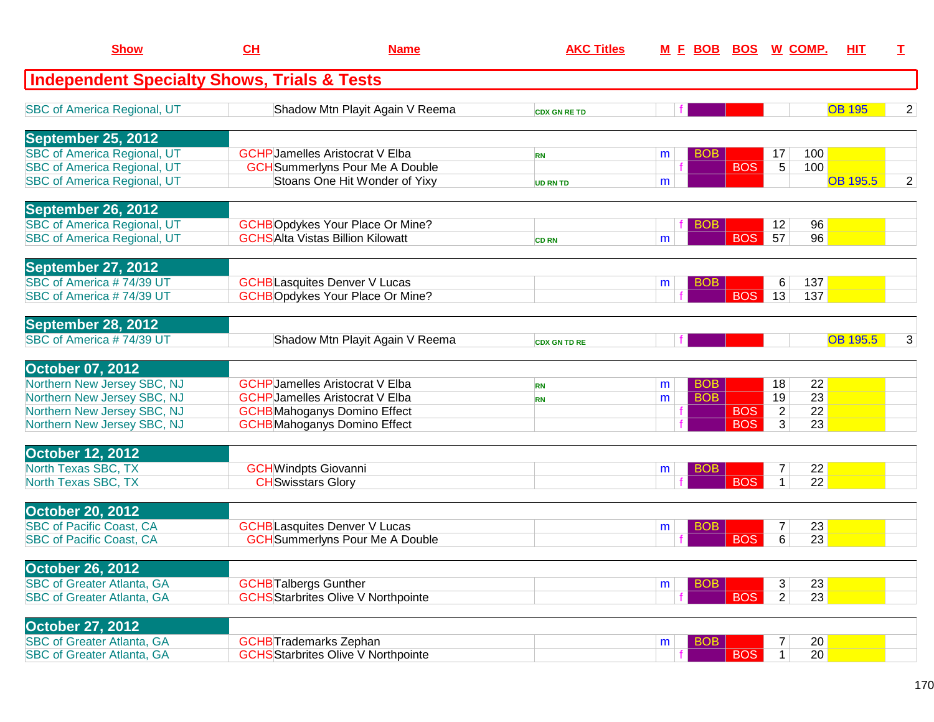| <b>Show</b>                                            | CH                            | <b>Name</b>                                | <b>AKC Titles</b>   |   | <u>M E BOB BOS W COMP.</u> |            |                |     | HIT             | T.             |
|--------------------------------------------------------|-------------------------------|--------------------------------------------|---------------------|---|----------------------------|------------|----------------|-----|-----------------|----------------|
| <b>Independent Specialty Shows, Trials &amp; Tests</b> |                               |                                            |                     |   |                            |            |                |     |                 |                |
| <b>SBC of America Regional, UT</b>                     |                               | Shadow Mtn Playit Again V Reema            | <b>CDX GN RE TD</b> |   |                            |            |                |     | <b>OB 195</b>   | 2              |
| September 25, 2012                                     |                               |                                            |                     |   |                            |            |                |     |                 |                |
| <b>SBC of America Regional, UT</b>                     |                               | <b>GCHP</b> Jamelles Aristocrat V Elba     | <b>RN</b>           | m | <b>BOB</b>                 |            | 17             | 100 |                 |                |
| <b>SBC of America Regional, UT</b>                     |                               | <b>GCH</b> Summerlyns Pour Me A Double     |                     |   |                            | <b>BOS</b> | 5              | 100 |                 |                |
| <b>SBC of America Regional, UT</b>                     |                               | Stoans One Hit Wonder of Yixy              | <b>UD RN TD</b>     | m |                            |            |                |     | <b>OB 195.5</b> | $\overline{2}$ |
| September 26, 2012                                     |                               |                                            |                     |   |                            |            |                |     |                 |                |
| <b>SBC of America Regional, UT</b>                     |                               | <b>GCHBOpdykes Your Place Or Mine?</b>     |                     |   | <b>BOB</b>                 |            | 12             | 96  |                 |                |
| <b>SBC of America Regional, UT</b>                     |                               | <b>GCHSAIta Vistas Billion Kilowatt</b>    | <b>CD RN</b>        | m |                            | <b>BOS</b> | 57             | 96  |                 |                |
| September 27, 2012                                     |                               |                                            |                     |   |                            |            |                |     |                 |                |
| SBC of America #74/39 UT                               |                               | <b>GCHB</b> Lasquites Denver V Lucas       |                     | m | <b>BOB</b>                 |            | 6              | 137 |                 |                |
| SBC of America #74/39 UT                               |                               | <b>GCHBOpdykes Your Place Or Mine?</b>     |                     |   |                            | <b>BOS</b> | 13             | 137 |                 |                |
| September 28, 2012                                     |                               |                                            |                     |   |                            |            |                |     |                 |                |
| SBC of America #74/39 UT                               |                               | Shadow Mtn Playit Again V Reema            | <b>CDX GN TD RE</b> |   |                            |            |                |     | <b>OB 195.5</b> | 3              |
| <b>October 07, 2012</b>                                |                               |                                            |                     |   |                            |            |                |     |                 |                |
| Northern New Jersey SBC, NJ                            |                               | <b>GCHP</b> Jamelles Aristocrat V Elba     | <b>RN</b>           | m | <b>BOB</b>                 |            | 18             | 22  |                 |                |
| Northern New Jersey SBC, NJ                            |                               | <b>GCHP</b> Jamelles Aristocrat V Elba     | <b>RN</b>           | m | <b>BOB</b>                 |            | 19             | 23  |                 |                |
| Northern New Jersey SBC, NJ                            |                               | <b>GCHB</b> Mahoganys Domino Effect        |                     |   |                            | <b>BOS</b> | $\overline{2}$ | 22  |                 |                |
| Northern New Jersey SBC, NJ                            |                               | <b>GCHB</b> Mahoganys Domino Effect        |                     |   |                            | <b>BOS</b> | 3              | 23  |                 |                |
| <b>October 12, 2012</b>                                |                               |                                            |                     |   |                            |            |                |     |                 |                |
| North Texas SBC, TX                                    | <b>GCHWindpts Giovanni</b>    |                                            |                     | m | BOB                        |            | 7              | 22  |                 |                |
| North Texas SBC, TX                                    | <b>CH</b> Swisstars Glory     |                                            |                     |   |                            | <b>BOS</b> | $\mathbf 1$    | 22  |                 |                |
| <b>October 20, 2012</b>                                |                               |                                            |                     |   |                            |            |                |     |                 |                |
| <b>SBC of Pacific Coast, CA</b>                        |                               | <b>GCHB</b> Lasquites Denver V Lucas       |                     | m | <b>BOB</b>                 |            | $\overline{7}$ | 23  |                 |                |
| <b>SBC of Pacific Coast, CA</b>                        |                               | <b>GCH</b> Summerlyns Pour Me A Double     |                     |   |                            | <b>BOS</b> | 6              | 23  |                 |                |
| <b>October 26, 2012</b>                                |                               |                                            |                     |   |                            |            |                |     |                 |                |
| <b>SBC of Greater Atlanta, GA</b>                      | <b>GCHB</b> Talbergs Gunther  |                                            |                     | m | <b>BOB</b>                 |            | 3              | 23  |                 |                |
| <b>SBC of Greater Atlanta, GA</b>                      |                               | <b>GCHS</b> Starbrites Olive V Northpointe |                     |   |                            | <b>BOS</b> | $\overline{2}$ | 23  |                 |                |
| <b>October 27, 2012</b>                                |                               |                                            |                     |   |                            |            |                |     |                 |                |
| <b>SBC of Greater Atlanta, GA</b>                      | <b>GCHB</b> Trademarks Zephan |                                            |                     | m | <b>BOB</b>                 |            | 7              | 20  |                 |                |
| <b>SBC of Greater Atlanta, GA</b>                      |                               | <b>GCHS</b> Starbrites Olive V Northpointe |                     |   |                            | <b>BOS</b> | 1              | 20  |                 |                |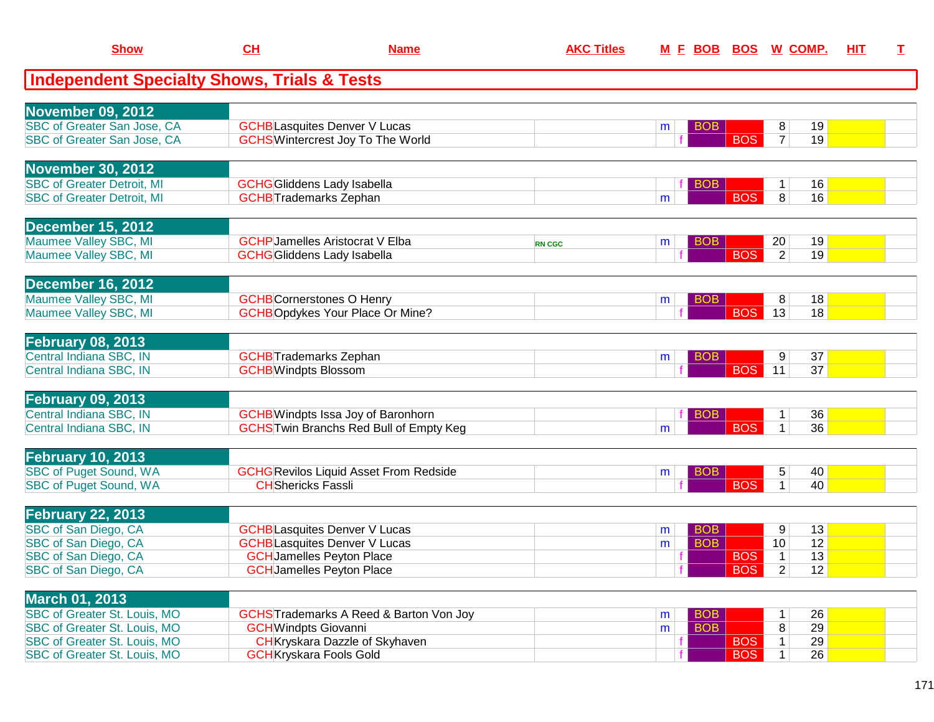| <b>Show</b>                                            | CL                                     | <b>Name</b>                                   | <b>AKC Titles</b> |   |            |                              | M E BOB BOS W COMP.  | HIT | $\mathbf{T}$ |
|--------------------------------------------------------|----------------------------------------|-----------------------------------------------|-------------------|---|------------|------------------------------|----------------------|-----|--------------|
| <b>Independent Specialty Shows, Trials &amp; Tests</b> |                                        |                                               |                   |   |            |                              |                      |     |              |
|                                                        |                                        |                                               |                   |   |            |                              |                      |     |              |
| <b>November 09, 2012</b>                               |                                        |                                               |                   |   |            |                              |                      |     |              |
| SBC of Greater San Jose, CA                            | <b>GCHB</b> Lasquites Denver V Lucas   |                                               |                   | m | <b>BOB</b> |                              | 19<br>8              |     |              |
| <b>SBC of Greater San Jose, CA</b>                     |                                        | <b>GCHS</b> Wintercrest Joy To The World      |                   |   |            | <b>BOS</b>                   | 19<br>$\overline{7}$ |     |              |
| <b>November 30, 2012</b>                               |                                        |                                               |                   |   |            |                              |                      |     |              |
| <b>SBC of Greater Detroit, MI</b>                      | <b>GCHG</b> Gliddens Lady Isabella     |                                               |                   |   | <b>BOB</b> |                              | 16                   |     |              |
| <b>SBC of Greater Detroit, MI</b>                      | <b>GCHB</b> Trademarks Zephan          |                                               |                   | m |            | <b>BOS</b>                   | 8 <br>16             |     |              |
| <b>December 15, 2012</b>                               |                                        |                                               |                   |   |            |                              |                      |     |              |
| Maumee Valley SBC, MI                                  | <b>GCHP</b> Jamelles Aristocrat V Elba |                                               | <b>RN CGC</b>     | m | <b>BOB</b> |                              | 19<br>20             |     |              |
| Maumee Valley SBC, MI                                  | <b>GCHG</b> Gliddens Lady Isabella     |                                               |                   |   |            | <b>BOS</b>                   | 2 <br>19             |     |              |
|                                                        |                                        |                                               |                   |   |            |                              |                      |     |              |
| <b>December 16, 2012</b>                               |                                        |                                               |                   |   |            |                              |                      |     |              |
| Maumee Valley SBC, MI                                  | <b>GCHB</b> Cornerstones O Henry       |                                               |                   | m | <b>BOB</b> |                              | 8<br>18              |     |              |
| Maumee Valley SBC, MI                                  |                                        | <b>GCHBOpdykes Your Place Or Mine?</b>        |                   |   |            | <b>BOS</b>                   | 13<br>18             |     |              |
| <b>February 08, 2013</b>                               |                                        |                                               |                   |   |            |                              |                      |     |              |
| Central Indiana SBC, IN                                | <b>GCHB</b> Trademarks Zephan          |                                               |                   | m | <b>BOB</b> |                              | 37<br>9              |     |              |
| Central Indiana SBC, IN                                | <b>GCHB</b> Windpts Blossom            |                                               |                   |   |            | <b>BOS</b>                   | 11<br>37             |     |              |
|                                                        |                                        |                                               |                   |   |            |                              |                      |     |              |
| <b>February 09, 2013</b>                               |                                        |                                               |                   |   |            |                              |                      |     |              |
| Central Indiana SBC, IN                                |                                        | <b>GCHB</b> Windpts Issa Joy of Baronhorn     |                   |   | <b>BOB</b> |                              | 36<br>1              |     |              |
| Central Indiana SBC, IN                                |                                        | <b>GCHSTwin Branchs Red Bull of Empty Keg</b> |                   | m |            | <b>BOS</b>                   | 36<br>$\mathbf{1}$   |     |              |
| <b>February 10, 2013</b>                               |                                        |                                               |                   |   |            |                              |                      |     |              |
| <b>SBC of Puget Sound, WA</b>                          |                                        | <b>GCHG Revilos Liquid Asset From Redside</b> |                   | m | <b>BOB</b> |                              | 40<br>5              |     |              |
| <b>SBC of Puget Sound, WA</b>                          | <b>CH</b> Shericks Fassli              |                                               |                   |   |            | <b>BOS</b>                   | 40<br>$-1$           |     |              |
| <b>February 22, 2013</b>                               |                                        |                                               |                   |   |            |                              |                      |     |              |
| SBC of San Diego, CA                                   | <b>GCHB</b> Lasquites Denver V Lucas   |                                               |                   | m | <b>BOB</b> |                              | 13<br>9              |     |              |
| SBC of San Diego, CA                                   | <b>GCHB</b> Lasquites Denver V Lucas   |                                               |                   | m | <b>BOB</b> |                              | 12<br>10             |     |              |
| SBC of San Diego, CA                                   | <b>GCHJamelles Peyton Place</b>        |                                               |                   |   |            | <b>BOS</b>                   | 13<br>$-1$           |     |              |
| SBC of San Diego, CA                                   | <b>GCH</b> Jamelles Peyton Place       |                                               |                   |   |            | $\overline{\phantom{a}}$ BOS | $\overline{2}$<br>12 |     |              |
|                                                        |                                        |                                               |                   |   |            |                              |                      |     |              |
| <b>March 01, 2013</b>                                  |                                        |                                               |                   |   |            |                              |                      |     |              |
| SBC of Greater St. Louis, MO                           |                                        | GCHS Trademarks A Reed & Barton Von Joy       |                   | m | <b>BOB</b> |                              | 26                   |     |              |
| SBC of Greater St. Louis, MO                           | <b>GCH</b> Windpts Giovanni            |                                               |                   | m | <b>BOB</b> |                              | 29<br>8              |     |              |
| SBC of Greater St. Louis, MO                           |                                        | CH Kryskara Dazzle of Skyhaven                |                   |   |            | <b>BOS</b>                   | 29<br>$\mathbf{1}$   |     |              |
| SBC of Greater St. Louis, MO                           | <b>GCH</b> Kryskara Fools Gold         |                                               |                   |   |            | <b>BOS</b>                   | 26                   |     |              |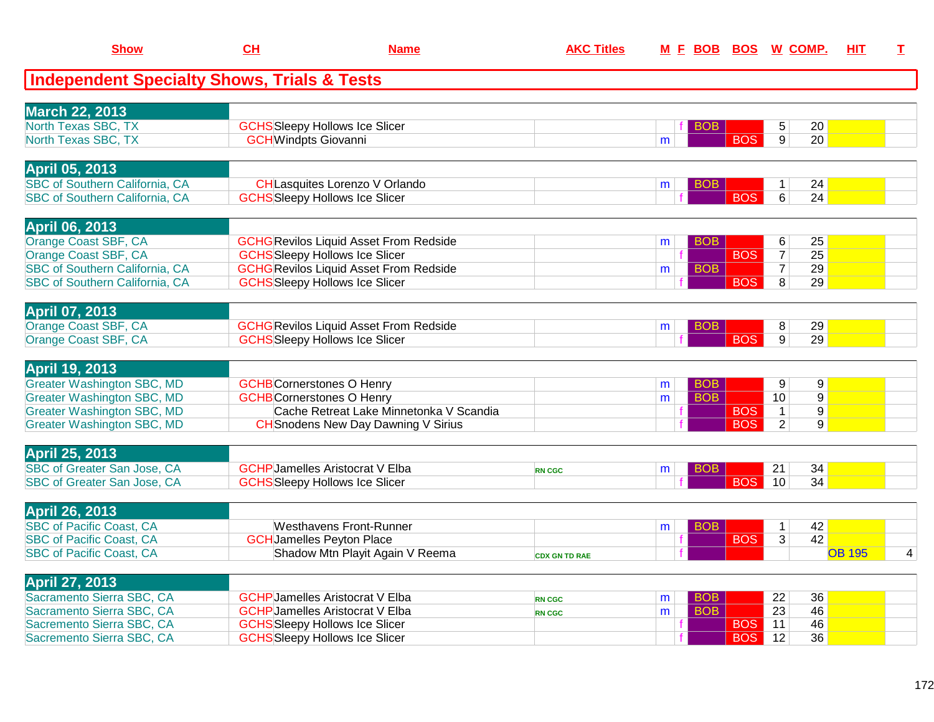| <b>Show</b>                                                                    | CH                          | <b>Name</b>                                                                            | <b>AKC Titles</b>    |   |            |                  | M E BOB BOS W COMP.                          | HIT           | I |
|--------------------------------------------------------------------------------|-----------------------------|----------------------------------------------------------------------------------------|----------------------|---|------------|------------------|----------------------------------------------|---------------|---|
| <b>Independent Specialty Shows, Trials &amp; Tests</b>                         |                             |                                                                                        |                      |   |            |                  |                                              |               |   |
| <b>March 22, 2013</b>                                                          |                             |                                                                                        |                      |   |            |                  |                                              |               |   |
| North Texas SBC, TX                                                            |                             | <b>GCHS</b> Sleepy Hollows Ice Slicer                                                  |                      |   | BOB.       |                  | 20<br>5                                      |               |   |
| North Texas SBC, TX                                                            | <b>GCH</b> Windpts Giovanni |                                                                                        |                      | m |            | $\overline{BOS}$ | $\overline{9}$<br>20                         |               |   |
| April 05, 2013                                                                 |                             |                                                                                        |                      |   |            |                  |                                              |               |   |
| <b>SBC of Southern California, CA</b>                                          |                             | CHLasquites Lorenzo V Orlando                                                          |                      | m | BOB        |                  | 24<br>$\mathbf 1$                            |               |   |
| <b>SBC of Southern California, CA</b>                                          |                             | <b>GCHS</b> Sleepy Hollows Ice Slicer                                                  |                      |   |            | <b>BOS</b>       | $\overline{6}$<br>$\overline{24}$            |               |   |
| <b>April 06, 2013</b>                                                          |                             |                                                                                        |                      |   |            |                  |                                              |               |   |
| Orange Coast SBF, CA                                                           |                             | <b>GCHG</b> Revilos Liquid Asset From Redside                                          |                      | m | BOB        |                  | 6<br>25                                      |               |   |
| Orange Coast SBF, CA                                                           |                             | <b>GCHS</b> Sleepy Hollows Ice Slicer                                                  |                      |   |            | <b>BOS</b>       | $\overline{25}$<br>$\overline{7}$            |               |   |
| <b>SBC of Southern California, CA</b><br><b>SBC of Southern California, CA</b> |                             | <b>GCHG</b> Revilos Liquid Asset From Redside<br><b>GCHS</b> Sleepy Hollows Ice Slicer |                      | m | <b>BOB</b> | <b>BOS</b>       | $\overline{7}$<br>29<br>$\overline{8}$<br>29 |               |   |
|                                                                                |                             |                                                                                        |                      |   |            |                  |                                              |               |   |
| <b>April 07, 2013</b>                                                          |                             |                                                                                        |                      |   |            |                  |                                              |               |   |
| Orange Coast SBF, CA                                                           |                             | <b>GCHG Revilos Liquid Asset From Redside</b>                                          |                      | m | BOB        |                  | 29<br>8                                      |               |   |
| Orange Coast SBF, CA                                                           |                             | <b>GCHS</b> Sleepy Hollows Ice Slicer                                                  |                      |   |            | <b>BOS</b>       | $\overline{9}$<br>29                         |               |   |
| <b>April 19, 2013</b>                                                          |                             |                                                                                        |                      |   |            |                  |                                              |               |   |
| <b>Greater Washington SBC, MD</b>                                              |                             | <b>GCHB</b> Cornerstones O Henry                                                       |                      | m | <b>BOB</b> |                  | 9<br>9                                       |               |   |
| <b>Greater Washington SBC, MD</b>                                              |                             | <b>GCHB</b> Cornerstones O Henry                                                       |                      | m | <b>BOB</b> |                  | $\overline{9}$<br>10                         |               |   |
| <b>Greater Washington SBC, MD</b>                                              |                             | Cache Retreat Lake Minnetonka V Scandia                                                |                      |   |            | <b>BOS</b>       | $\overline{1}$<br>$9\,$                      |               |   |
| <b>Greater Washington SBC, MD</b>                                              |                             | <b>CH</b> Snodens New Day Dawning V Sirius                                             |                      |   |            | <b>BOS</b>       | $\overline{2}$<br>$\overline{9}$             |               |   |
| <b>April 25, 2013</b>                                                          |                             |                                                                                        |                      |   |            |                  |                                              |               |   |
| SBC of Greater San Jose, CA                                                    |                             | <b>GCHP</b> Jamelles Aristocrat V Elba                                                 | <b>RN CGC</b>        | m | BOB.       |                  | 21<br>34                                     |               |   |
| <b>SBC of Greater San Jose, CA</b>                                             |                             | <b>GCHS</b> Sleepy Hollows Ice Slicer                                                  |                      |   |            | <b>BOS</b>       | $\overline{34}$<br>10                        |               |   |
| <b>April 26, 2013</b>                                                          |                             |                                                                                        |                      |   |            |                  |                                              |               |   |
| <b>SBC of Pacific Coast, CA</b>                                                |                             | <b>Westhavens Front-Runner</b>                                                         |                      | m | BOB.       |                  | 42<br>$\mathbf{1}$                           |               |   |
| <b>SBC of Pacific Coast, CA</b>                                                |                             | <b>GCH</b> Jamelles Peyton Place                                                       |                      |   |            | <b>BOS</b>       | 42<br>3                                      |               |   |
| <b>SBC of Pacific Coast, CA</b>                                                |                             | Shadow Mtn Playit Again V Reema                                                        | <b>CDX GN TD RAE</b> |   |            |                  |                                              | <b>OB 195</b> | 4 |
| April 27, 2013                                                                 |                             |                                                                                        |                      |   |            |                  |                                              |               |   |
| Sacramento Sierra SBC, CA                                                      |                             | <b>GCHP</b> Jamelles Aristocrat V Elba                                                 | <b>RN CGC</b>        | m | <b>BOB</b> |                  | 22<br>36                                     |               |   |
| Sacramento Sierra SBC, CA                                                      |                             | <b>GCHP</b> Jamelles Aristocrat V Elba                                                 | <b>RN CGC</b>        | m | <b>BOB</b> |                  | 23<br>46                                     |               |   |
| Sacremento Sierra SBC, CA                                                      |                             | <b>GCHS</b> Sleepy Hollows Ice Slicer                                                  |                      |   |            | <b>BOS</b>       | 46<br>11                                     |               |   |
| Sacremento Sierra SBC, CA                                                      |                             | <b>GCHS</b> Sleepy Hollows Ice Slicer                                                  |                      |   |            | <b>BOS</b>       | $\overline{36}$<br>12                        |               |   |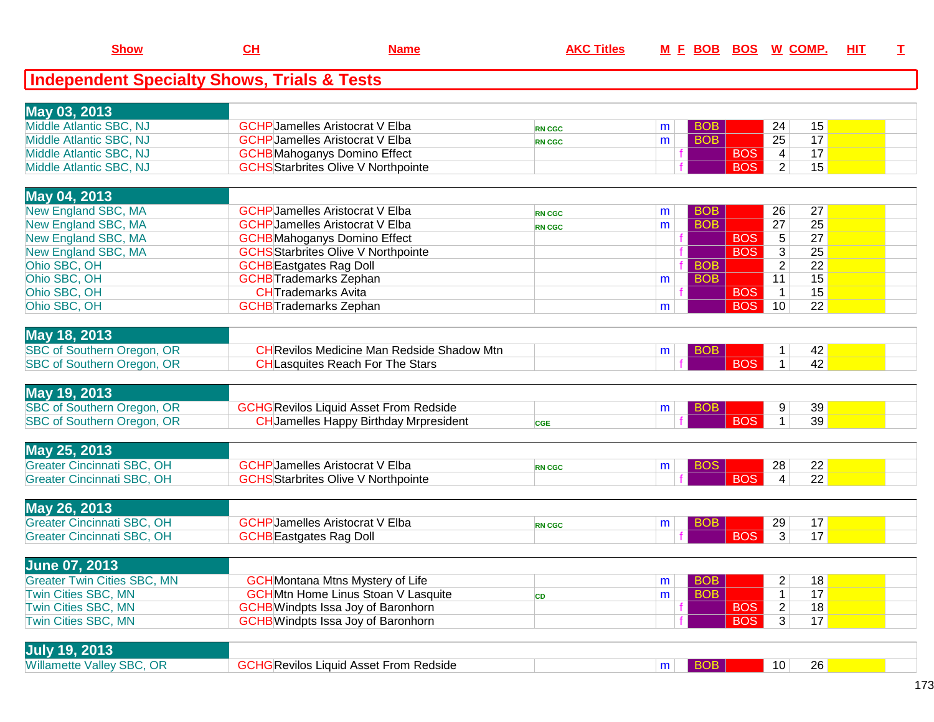| <b>Independent Specialty Shows, Trials &amp; Tests</b><br>May 03, 2013<br>Middle Atlantic SBC, NJ<br><b>GCHP</b> Jamelles Aristocrat V Elba<br><b>BOB</b><br>24<br>15<br>m<br><b>RN CGC</b><br>$\overline{25}$<br><b>BOB</b><br>17<br>Middle Atlantic SBC, NJ<br><b>GCHP</b> Jamelles Aristocrat V Elba<br>m<br><b>RN CGC</b><br>17<br>$\overline{4}$<br>Middle Atlantic SBC, NJ<br><b>GCHB</b> Mahoganys Domino Effect<br><b>BOS</b><br>15<br>Middle Atlantic SBC, NJ<br><b>GCHS</b> Starbrites Olive V Northpointe<br>$\overline{2}$<br><b>BOS</b><br>May 04, 2013<br>New England SBC, MA<br><b>GCHP</b> Jamelles Aristocrat V Elba<br>27<br><b>BOB</b><br>26<br>m<br><b>RN CGC</b><br><b>BOB</b><br>$\overline{27}$<br>25<br>New England SBC, MA<br><b>GCHP</b> Jamelles Aristocrat V Elba<br>m<br><b>RN CGC</b><br>27<br>$\overline{5}$<br><b>BOS</b><br>New England SBC, MA<br><b>GCHB</b> Mahoganys Domino Effect<br><b>BOS</b><br>$\overline{3}$<br>25<br>New England SBC, MA<br><b>GCHS</b> Starbrites Olive V Northpointe<br>Ohio SBC, OH<br>$\overline{2}$<br>$\overline{22}$<br><b>GCHB</b> Eastgates Rag Doll<br><b>BOB</b><br>Ohio SBC, OH<br><b>BOB</b><br>11<br>15<br><b>GCHB</b> Trademarks Zephan<br>m<br>Ohio SBC, OH<br><b>CH</b> Trademarks Avita<br><b>BOS</b><br>$\mathbf{1}$<br>15<br>Ohio SBC, OH<br><b>BOS</b><br>10<br><b>GCHB</b> Trademarks Zephan<br>22<br>m<br>May 18, 2013<br>SBC of Southern Oregon, OR<br><b>CHRevilos Medicine Man Redside Shadow Mtn</b><br>$\mathbf{1}$<br>42<br><b>BOB</b><br>m<br><b>BOS</b><br><b>SBC of Southern Oregon, OR</b><br>$\overline{1}$<br>42<br><b>CH</b> Lasquites Reach For The Stars<br>May 19, 2013<br><b>SBC of Southern Oregon, OR</b><br><b>GCHG</b> Revilos Liquid Asset From Redside<br>39<br><b>BOB</b><br>9<br>m<br><b>BOS</b><br>SBC of Southern Oregon, OR<br>$\mathbf{1}$<br>39<br><b>CH</b> Jamelles Happy Birthday Mrpresident<br><b>CGE</b><br>May 25, 2013<br><b>Greater Cincinnati SBC, OH</b><br><b>GCHP</b> Jamelles Aristocrat V Elba<br>28<br>22<br><b>BOS</b><br>m<br><b>RN CGC</b><br>22<br><b>BOS</b><br>$\overline{4}$<br><b>Greater Cincinnati SBC, OH</b><br><b>GCHS</b> Starbrites Olive V Northpointe<br>May 26, 2013<br><b>Greater Cincinnati SBC, OH</b><br><b>GCHP</b> Jamelles Aristocrat V Elba<br>29<br>17<br><b>BOB</b><br>m<br><b>RN CGC</b><br>17<br><b>BOS</b><br>3<br><b>Greater Cincinnati SBC, OH</b><br><b>GCHB</b> Eastgates Rag Doll<br><b>June 07, 2013</b><br>$\overline{c}$<br><b>Greater Twin Cities SBC, MN</b><br><b>GCH</b> Montana Mtns Mystery of Life<br>18<br><b>BOB</b><br>m<br>17<br><b>Twin Cities SBC, MN</b><br><b>BOB</b><br><b>GCHMtn Home Linus Stoan V Lasquite</b><br>1<br>m<br><b>CD</b><br>$\overline{2}$<br><b>GCHB</b> Windpts Issa Joy of Baronhorn<br>18<br>Twin Cities SBC, MN<br><b>BOS</b><br><b>GCHB</b> Windpts Issa Joy of Baronhorn<br>17<br><b>Twin Cities SBC, MN</b><br><b>BOS</b><br>3 <sup>1</sup><br><b>July 19, 2013</b><br>Willamette Valley SBC, OR<br><b>GCHG Revilos Liquid Asset From Redside</b><br>$ $ BOB<br>10<br>26<br>m <sub>1</sub> | <b>Show</b> | CL | <b>Name</b> | <b>AKC Titles</b> | M E BOB BOS W COMP. |  | HIT | I. |
|------------------------------------------------------------------------------------------------------------------------------------------------------------------------------------------------------------------------------------------------------------------------------------------------------------------------------------------------------------------------------------------------------------------------------------------------------------------------------------------------------------------------------------------------------------------------------------------------------------------------------------------------------------------------------------------------------------------------------------------------------------------------------------------------------------------------------------------------------------------------------------------------------------------------------------------------------------------------------------------------------------------------------------------------------------------------------------------------------------------------------------------------------------------------------------------------------------------------------------------------------------------------------------------------------------------------------------------------------------------------------------------------------------------------------------------------------------------------------------------------------------------------------------------------------------------------------------------------------------------------------------------------------------------------------------------------------------------------------------------------------------------------------------------------------------------------------------------------------------------------------------------------------------------------------------------------------------------------------------------------------------------------------------------------------------------------------------------------------------------------------------------------------------------------------------------------------------------------------------------------------------------------------------------------------------------------------------------------------------------------------------------------------------------------------------------------------------------------------------------------------------------------------------------------------------------------------------------------------------------------------------------------------------------------------------------------------------------------------------------------------------------------------------------------------------------------------------------------------------------------------------------------------------------------------------------------------------------------------------------------------------------------------------------------------------------------------------------------------------|-------------|----|-------------|-------------------|---------------------|--|-----|----|
|                                                                                                                                                                                                                                                                                                                                                                                                                                                                                                                                                                                                                                                                                                                                                                                                                                                                                                                                                                                                                                                                                                                                                                                                                                                                                                                                                                                                                                                                                                                                                                                                                                                                                                                                                                                                                                                                                                                                                                                                                                                                                                                                                                                                                                                                                                                                                                                                                                                                                                                                                                                                                                                                                                                                                                                                                                                                                                                                                                                                                                                                                                            |             |    |             |                   |                     |  |     |    |
|                                                                                                                                                                                                                                                                                                                                                                                                                                                                                                                                                                                                                                                                                                                                                                                                                                                                                                                                                                                                                                                                                                                                                                                                                                                                                                                                                                                                                                                                                                                                                                                                                                                                                                                                                                                                                                                                                                                                                                                                                                                                                                                                                                                                                                                                                                                                                                                                                                                                                                                                                                                                                                                                                                                                                                                                                                                                                                                                                                                                                                                                                                            |             |    |             |                   |                     |  |     |    |
|                                                                                                                                                                                                                                                                                                                                                                                                                                                                                                                                                                                                                                                                                                                                                                                                                                                                                                                                                                                                                                                                                                                                                                                                                                                                                                                                                                                                                                                                                                                                                                                                                                                                                                                                                                                                                                                                                                                                                                                                                                                                                                                                                                                                                                                                                                                                                                                                                                                                                                                                                                                                                                                                                                                                                                                                                                                                                                                                                                                                                                                                                                            |             |    |             |                   |                     |  |     |    |
|                                                                                                                                                                                                                                                                                                                                                                                                                                                                                                                                                                                                                                                                                                                                                                                                                                                                                                                                                                                                                                                                                                                                                                                                                                                                                                                                                                                                                                                                                                                                                                                                                                                                                                                                                                                                                                                                                                                                                                                                                                                                                                                                                                                                                                                                                                                                                                                                                                                                                                                                                                                                                                                                                                                                                                                                                                                                                                                                                                                                                                                                                                            |             |    |             |                   |                     |  |     |    |
|                                                                                                                                                                                                                                                                                                                                                                                                                                                                                                                                                                                                                                                                                                                                                                                                                                                                                                                                                                                                                                                                                                                                                                                                                                                                                                                                                                                                                                                                                                                                                                                                                                                                                                                                                                                                                                                                                                                                                                                                                                                                                                                                                                                                                                                                                                                                                                                                                                                                                                                                                                                                                                                                                                                                                                                                                                                                                                                                                                                                                                                                                                            |             |    |             |                   |                     |  |     |    |
|                                                                                                                                                                                                                                                                                                                                                                                                                                                                                                                                                                                                                                                                                                                                                                                                                                                                                                                                                                                                                                                                                                                                                                                                                                                                                                                                                                                                                                                                                                                                                                                                                                                                                                                                                                                                                                                                                                                                                                                                                                                                                                                                                                                                                                                                                                                                                                                                                                                                                                                                                                                                                                                                                                                                                                                                                                                                                                                                                                                                                                                                                                            |             |    |             |                   |                     |  |     |    |
|                                                                                                                                                                                                                                                                                                                                                                                                                                                                                                                                                                                                                                                                                                                                                                                                                                                                                                                                                                                                                                                                                                                                                                                                                                                                                                                                                                                                                                                                                                                                                                                                                                                                                                                                                                                                                                                                                                                                                                                                                                                                                                                                                                                                                                                                                                                                                                                                                                                                                                                                                                                                                                                                                                                                                                                                                                                                                                                                                                                                                                                                                                            |             |    |             |                   |                     |  |     |    |
|                                                                                                                                                                                                                                                                                                                                                                                                                                                                                                                                                                                                                                                                                                                                                                                                                                                                                                                                                                                                                                                                                                                                                                                                                                                                                                                                                                                                                                                                                                                                                                                                                                                                                                                                                                                                                                                                                                                                                                                                                                                                                                                                                                                                                                                                                                                                                                                                                                                                                                                                                                                                                                                                                                                                                                                                                                                                                                                                                                                                                                                                                                            |             |    |             |                   |                     |  |     |    |
|                                                                                                                                                                                                                                                                                                                                                                                                                                                                                                                                                                                                                                                                                                                                                                                                                                                                                                                                                                                                                                                                                                                                                                                                                                                                                                                                                                                                                                                                                                                                                                                                                                                                                                                                                                                                                                                                                                                                                                                                                                                                                                                                                                                                                                                                                                                                                                                                                                                                                                                                                                                                                                                                                                                                                                                                                                                                                                                                                                                                                                                                                                            |             |    |             |                   |                     |  |     |    |
|                                                                                                                                                                                                                                                                                                                                                                                                                                                                                                                                                                                                                                                                                                                                                                                                                                                                                                                                                                                                                                                                                                                                                                                                                                                                                                                                                                                                                                                                                                                                                                                                                                                                                                                                                                                                                                                                                                                                                                                                                                                                                                                                                                                                                                                                                                                                                                                                                                                                                                                                                                                                                                                                                                                                                                                                                                                                                                                                                                                                                                                                                                            |             |    |             |                   |                     |  |     |    |
|                                                                                                                                                                                                                                                                                                                                                                                                                                                                                                                                                                                                                                                                                                                                                                                                                                                                                                                                                                                                                                                                                                                                                                                                                                                                                                                                                                                                                                                                                                                                                                                                                                                                                                                                                                                                                                                                                                                                                                                                                                                                                                                                                                                                                                                                                                                                                                                                                                                                                                                                                                                                                                                                                                                                                                                                                                                                                                                                                                                                                                                                                                            |             |    |             |                   |                     |  |     |    |
|                                                                                                                                                                                                                                                                                                                                                                                                                                                                                                                                                                                                                                                                                                                                                                                                                                                                                                                                                                                                                                                                                                                                                                                                                                                                                                                                                                                                                                                                                                                                                                                                                                                                                                                                                                                                                                                                                                                                                                                                                                                                                                                                                                                                                                                                                                                                                                                                                                                                                                                                                                                                                                                                                                                                                                                                                                                                                                                                                                                                                                                                                                            |             |    |             |                   |                     |  |     |    |
|                                                                                                                                                                                                                                                                                                                                                                                                                                                                                                                                                                                                                                                                                                                                                                                                                                                                                                                                                                                                                                                                                                                                                                                                                                                                                                                                                                                                                                                                                                                                                                                                                                                                                                                                                                                                                                                                                                                                                                                                                                                                                                                                                                                                                                                                                                                                                                                                                                                                                                                                                                                                                                                                                                                                                                                                                                                                                                                                                                                                                                                                                                            |             |    |             |                   |                     |  |     |    |
|                                                                                                                                                                                                                                                                                                                                                                                                                                                                                                                                                                                                                                                                                                                                                                                                                                                                                                                                                                                                                                                                                                                                                                                                                                                                                                                                                                                                                                                                                                                                                                                                                                                                                                                                                                                                                                                                                                                                                                                                                                                                                                                                                                                                                                                                                                                                                                                                                                                                                                                                                                                                                                                                                                                                                                                                                                                                                                                                                                                                                                                                                                            |             |    |             |                   |                     |  |     |    |
|                                                                                                                                                                                                                                                                                                                                                                                                                                                                                                                                                                                                                                                                                                                                                                                                                                                                                                                                                                                                                                                                                                                                                                                                                                                                                                                                                                                                                                                                                                                                                                                                                                                                                                                                                                                                                                                                                                                                                                                                                                                                                                                                                                                                                                                                                                                                                                                                                                                                                                                                                                                                                                                                                                                                                                                                                                                                                                                                                                                                                                                                                                            |             |    |             |                   |                     |  |     |    |
|                                                                                                                                                                                                                                                                                                                                                                                                                                                                                                                                                                                                                                                                                                                                                                                                                                                                                                                                                                                                                                                                                                                                                                                                                                                                                                                                                                                                                                                                                                                                                                                                                                                                                                                                                                                                                                                                                                                                                                                                                                                                                                                                                                                                                                                                                                                                                                                                                                                                                                                                                                                                                                                                                                                                                                                                                                                                                                                                                                                                                                                                                                            |             |    |             |                   |                     |  |     |    |
|                                                                                                                                                                                                                                                                                                                                                                                                                                                                                                                                                                                                                                                                                                                                                                                                                                                                                                                                                                                                                                                                                                                                                                                                                                                                                                                                                                                                                                                                                                                                                                                                                                                                                                                                                                                                                                                                                                                                                                                                                                                                                                                                                                                                                                                                                                                                                                                                                                                                                                                                                                                                                                                                                                                                                                                                                                                                                                                                                                                                                                                                                                            |             |    |             |                   |                     |  |     |    |
|                                                                                                                                                                                                                                                                                                                                                                                                                                                                                                                                                                                                                                                                                                                                                                                                                                                                                                                                                                                                                                                                                                                                                                                                                                                                                                                                                                                                                                                                                                                                                                                                                                                                                                                                                                                                                                                                                                                                                                                                                                                                                                                                                                                                                                                                                                                                                                                                                                                                                                                                                                                                                                                                                                                                                                                                                                                                                                                                                                                                                                                                                                            |             |    |             |                   |                     |  |     |    |
|                                                                                                                                                                                                                                                                                                                                                                                                                                                                                                                                                                                                                                                                                                                                                                                                                                                                                                                                                                                                                                                                                                                                                                                                                                                                                                                                                                                                                                                                                                                                                                                                                                                                                                                                                                                                                                                                                                                                                                                                                                                                                                                                                                                                                                                                                                                                                                                                                                                                                                                                                                                                                                                                                                                                                                                                                                                                                                                                                                                                                                                                                                            |             |    |             |                   |                     |  |     |    |
|                                                                                                                                                                                                                                                                                                                                                                                                                                                                                                                                                                                                                                                                                                                                                                                                                                                                                                                                                                                                                                                                                                                                                                                                                                                                                                                                                                                                                                                                                                                                                                                                                                                                                                                                                                                                                                                                                                                                                                                                                                                                                                                                                                                                                                                                                                                                                                                                                                                                                                                                                                                                                                                                                                                                                                                                                                                                                                                                                                                                                                                                                                            |             |    |             |                   |                     |  |     |    |
|                                                                                                                                                                                                                                                                                                                                                                                                                                                                                                                                                                                                                                                                                                                                                                                                                                                                                                                                                                                                                                                                                                                                                                                                                                                                                                                                                                                                                                                                                                                                                                                                                                                                                                                                                                                                                                                                                                                                                                                                                                                                                                                                                                                                                                                                                                                                                                                                                                                                                                                                                                                                                                                                                                                                                                                                                                                                                                                                                                                                                                                                                                            |             |    |             |                   |                     |  |     |    |
|                                                                                                                                                                                                                                                                                                                                                                                                                                                                                                                                                                                                                                                                                                                                                                                                                                                                                                                                                                                                                                                                                                                                                                                                                                                                                                                                                                                                                                                                                                                                                                                                                                                                                                                                                                                                                                                                                                                                                                                                                                                                                                                                                                                                                                                                                                                                                                                                                                                                                                                                                                                                                                                                                                                                                                                                                                                                                                                                                                                                                                                                                                            |             |    |             |                   |                     |  |     |    |
|                                                                                                                                                                                                                                                                                                                                                                                                                                                                                                                                                                                                                                                                                                                                                                                                                                                                                                                                                                                                                                                                                                                                                                                                                                                                                                                                                                                                                                                                                                                                                                                                                                                                                                                                                                                                                                                                                                                                                                                                                                                                                                                                                                                                                                                                                                                                                                                                                                                                                                                                                                                                                                                                                                                                                                                                                                                                                                                                                                                                                                                                                                            |             |    |             |                   |                     |  |     |    |
|                                                                                                                                                                                                                                                                                                                                                                                                                                                                                                                                                                                                                                                                                                                                                                                                                                                                                                                                                                                                                                                                                                                                                                                                                                                                                                                                                                                                                                                                                                                                                                                                                                                                                                                                                                                                                                                                                                                                                                                                                                                                                                                                                                                                                                                                                                                                                                                                                                                                                                                                                                                                                                                                                                                                                                                                                                                                                                                                                                                                                                                                                                            |             |    |             |                   |                     |  |     |    |
|                                                                                                                                                                                                                                                                                                                                                                                                                                                                                                                                                                                                                                                                                                                                                                                                                                                                                                                                                                                                                                                                                                                                                                                                                                                                                                                                                                                                                                                                                                                                                                                                                                                                                                                                                                                                                                                                                                                                                                                                                                                                                                                                                                                                                                                                                                                                                                                                                                                                                                                                                                                                                                                                                                                                                                                                                                                                                                                                                                                                                                                                                                            |             |    |             |                   |                     |  |     |    |
|                                                                                                                                                                                                                                                                                                                                                                                                                                                                                                                                                                                                                                                                                                                                                                                                                                                                                                                                                                                                                                                                                                                                                                                                                                                                                                                                                                                                                                                                                                                                                                                                                                                                                                                                                                                                                                                                                                                                                                                                                                                                                                                                                                                                                                                                                                                                                                                                                                                                                                                                                                                                                                                                                                                                                                                                                                                                                                                                                                                                                                                                                                            |             |    |             |                   |                     |  |     |    |
|                                                                                                                                                                                                                                                                                                                                                                                                                                                                                                                                                                                                                                                                                                                                                                                                                                                                                                                                                                                                                                                                                                                                                                                                                                                                                                                                                                                                                                                                                                                                                                                                                                                                                                                                                                                                                                                                                                                                                                                                                                                                                                                                                                                                                                                                                                                                                                                                                                                                                                                                                                                                                                                                                                                                                                                                                                                                                                                                                                                                                                                                                                            |             |    |             |                   |                     |  |     |    |
|                                                                                                                                                                                                                                                                                                                                                                                                                                                                                                                                                                                                                                                                                                                                                                                                                                                                                                                                                                                                                                                                                                                                                                                                                                                                                                                                                                                                                                                                                                                                                                                                                                                                                                                                                                                                                                                                                                                                                                                                                                                                                                                                                                                                                                                                                                                                                                                                                                                                                                                                                                                                                                                                                                                                                                                                                                                                                                                                                                                                                                                                                                            |             |    |             |                   |                     |  |     |    |
|                                                                                                                                                                                                                                                                                                                                                                                                                                                                                                                                                                                                                                                                                                                                                                                                                                                                                                                                                                                                                                                                                                                                                                                                                                                                                                                                                                                                                                                                                                                                                                                                                                                                                                                                                                                                                                                                                                                                                                                                                                                                                                                                                                                                                                                                                                                                                                                                                                                                                                                                                                                                                                                                                                                                                                                                                                                                                                                                                                                                                                                                                                            |             |    |             |                   |                     |  |     |    |
|                                                                                                                                                                                                                                                                                                                                                                                                                                                                                                                                                                                                                                                                                                                                                                                                                                                                                                                                                                                                                                                                                                                                                                                                                                                                                                                                                                                                                                                                                                                                                                                                                                                                                                                                                                                                                                                                                                                                                                                                                                                                                                                                                                                                                                                                                                                                                                                                                                                                                                                                                                                                                                                                                                                                                                                                                                                                                                                                                                                                                                                                                                            |             |    |             |                   |                     |  |     |    |
|                                                                                                                                                                                                                                                                                                                                                                                                                                                                                                                                                                                                                                                                                                                                                                                                                                                                                                                                                                                                                                                                                                                                                                                                                                                                                                                                                                                                                                                                                                                                                                                                                                                                                                                                                                                                                                                                                                                                                                                                                                                                                                                                                                                                                                                                                                                                                                                                                                                                                                                                                                                                                                                                                                                                                                                                                                                                                                                                                                                                                                                                                                            |             |    |             |                   |                     |  |     |    |
|                                                                                                                                                                                                                                                                                                                                                                                                                                                                                                                                                                                                                                                                                                                                                                                                                                                                                                                                                                                                                                                                                                                                                                                                                                                                                                                                                                                                                                                                                                                                                                                                                                                                                                                                                                                                                                                                                                                                                                                                                                                                                                                                                                                                                                                                                                                                                                                                                                                                                                                                                                                                                                                                                                                                                                                                                                                                                                                                                                                                                                                                                                            |             |    |             |                   |                     |  |     |    |
|                                                                                                                                                                                                                                                                                                                                                                                                                                                                                                                                                                                                                                                                                                                                                                                                                                                                                                                                                                                                                                                                                                                                                                                                                                                                                                                                                                                                                                                                                                                                                                                                                                                                                                                                                                                                                                                                                                                                                                                                                                                                                                                                                                                                                                                                                                                                                                                                                                                                                                                                                                                                                                                                                                                                                                                                                                                                                                                                                                                                                                                                                                            |             |    |             |                   |                     |  |     |    |
|                                                                                                                                                                                                                                                                                                                                                                                                                                                                                                                                                                                                                                                                                                                                                                                                                                                                                                                                                                                                                                                                                                                                                                                                                                                                                                                                                                                                                                                                                                                                                                                                                                                                                                                                                                                                                                                                                                                                                                                                                                                                                                                                                                                                                                                                                                                                                                                                                                                                                                                                                                                                                                                                                                                                                                                                                                                                                                                                                                                                                                                                                                            |             |    |             |                   |                     |  |     |    |
|                                                                                                                                                                                                                                                                                                                                                                                                                                                                                                                                                                                                                                                                                                                                                                                                                                                                                                                                                                                                                                                                                                                                                                                                                                                                                                                                                                                                                                                                                                                                                                                                                                                                                                                                                                                                                                                                                                                                                                                                                                                                                                                                                                                                                                                                                                                                                                                                                                                                                                                                                                                                                                                                                                                                                                                                                                                                                                                                                                                                                                                                                                            |             |    |             |                   |                     |  |     |    |
|                                                                                                                                                                                                                                                                                                                                                                                                                                                                                                                                                                                                                                                                                                                                                                                                                                                                                                                                                                                                                                                                                                                                                                                                                                                                                                                                                                                                                                                                                                                                                                                                                                                                                                                                                                                                                                                                                                                                                                                                                                                                                                                                                                                                                                                                                                                                                                                                                                                                                                                                                                                                                                                                                                                                                                                                                                                                                                                                                                                                                                                                                                            |             |    |             |                   |                     |  |     |    |
|                                                                                                                                                                                                                                                                                                                                                                                                                                                                                                                                                                                                                                                                                                                                                                                                                                                                                                                                                                                                                                                                                                                                                                                                                                                                                                                                                                                                                                                                                                                                                                                                                                                                                                                                                                                                                                                                                                                                                                                                                                                                                                                                                                                                                                                                                                                                                                                                                                                                                                                                                                                                                                                                                                                                                                                                                                                                                                                                                                                                                                                                                                            |             |    |             |                   |                     |  |     |    |
|                                                                                                                                                                                                                                                                                                                                                                                                                                                                                                                                                                                                                                                                                                                                                                                                                                                                                                                                                                                                                                                                                                                                                                                                                                                                                                                                                                                                                                                                                                                                                                                                                                                                                                                                                                                                                                                                                                                                                                                                                                                                                                                                                                                                                                                                                                                                                                                                                                                                                                                                                                                                                                                                                                                                                                                                                                                                                                                                                                                                                                                                                                            |             |    |             |                   |                     |  |     |    |
|                                                                                                                                                                                                                                                                                                                                                                                                                                                                                                                                                                                                                                                                                                                                                                                                                                                                                                                                                                                                                                                                                                                                                                                                                                                                                                                                                                                                                                                                                                                                                                                                                                                                                                                                                                                                                                                                                                                                                                                                                                                                                                                                                                                                                                                                                                                                                                                                                                                                                                                                                                                                                                                                                                                                                                                                                                                                                                                                                                                                                                                                                                            |             |    |             |                   |                     |  |     |    |
|                                                                                                                                                                                                                                                                                                                                                                                                                                                                                                                                                                                                                                                                                                                                                                                                                                                                                                                                                                                                                                                                                                                                                                                                                                                                                                                                                                                                                                                                                                                                                                                                                                                                                                                                                                                                                                                                                                                                                                                                                                                                                                                                                                                                                                                                                                                                                                                                                                                                                                                                                                                                                                                                                                                                                                                                                                                                                                                                                                                                                                                                                                            |             |    |             |                   |                     |  |     |    |
|                                                                                                                                                                                                                                                                                                                                                                                                                                                                                                                                                                                                                                                                                                                                                                                                                                                                                                                                                                                                                                                                                                                                                                                                                                                                                                                                                                                                                                                                                                                                                                                                                                                                                                                                                                                                                                                                                                                                                                                                                                                                                                                                                                                                                                                                                                                                                                                                                                                                                                                                                                                                                                                                                                                                                                                                                                                                                                                                                                                                                                                                                                            |             |    |             |                   |                     |  |     |    |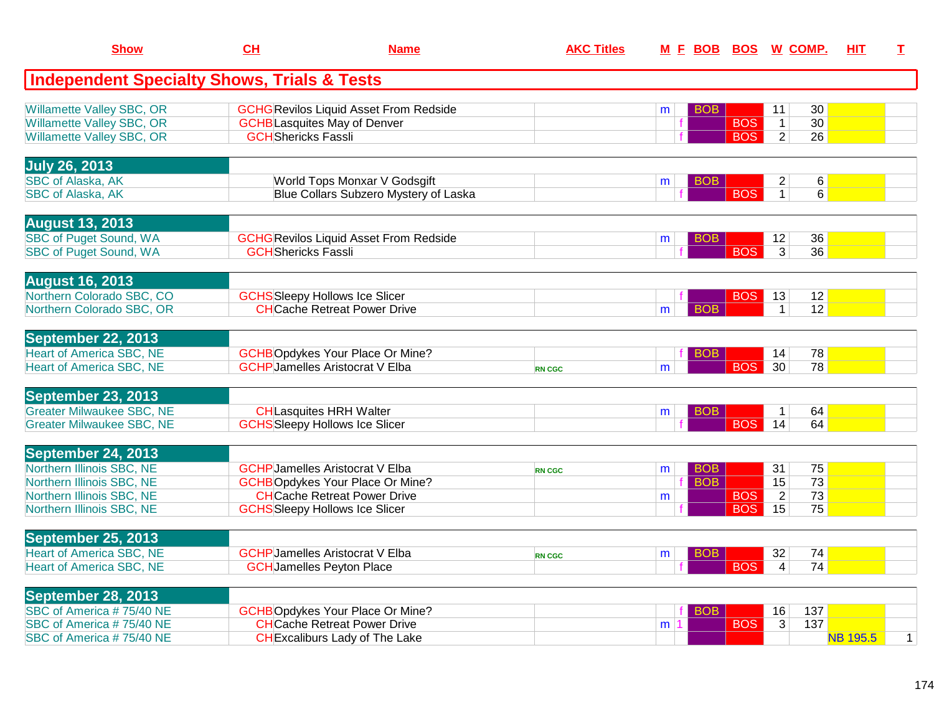| <b>Show</b>                                                          | CH                         | <b>Name</b>                                                                          | <b>AKC Titles</b> |                          |            | M E BOB BOS W COMP.                                        | <b>HIT</b>      | T.           |
|----------------------------------------------------------------------|----------------------------|--------------------------------------------------------------------------------------|-------------------|--------------------------|------------|------------------------------------------------------------|-----------------|--------------|
| <b>Independent Specialty Shows, Trials &amp; Tests</b>               |                            |                                                                                      |                   |                          |            |                                                            |                 |              |
| Willamette Valley SBC, OR<br><b>Willamette Valley SBC, OR</b>        |                            | <b>GCHG Revilos Liquid Asset From Redside</b><br><b>GCHB</b> Lasquites May of Denver |                   | BOB<br>m<br>$\mathbf{f}$ | <b>BOS</b> | 30<br>11<br>$\overline{30}$<br>$\overline{1}$              |                 |              |
| Willamette Valley SBC, OR                                            | <b>GCH</b> Shericks Fassli |                                                                                      |                   |                          | <b>BOS</b> | 2 <sup>1</sup><br>26                                       |                 |              |
| <b>July 26, 2013</b>                                                 |                            |                                                                                      |                   |                          |            |                                                            |                 |              |
| <b>SBC of Alaska, AK</b><br><b>SBC of Alaska, AK</b>                 |                            | World Tops Monxar V Godsgift<br>Blue Collars Subzero Mystery of Laska                |                   | BOB.<br>m                | <b>BOS</b> | 6<br>$\overline{2}$<br>$\overline{1}$<br>6                 |                 |              |
| <b>August 13, 2013</b>                                               |                            |                                                                                      |                   |                          |            |                                                            |                 |              |
| <b>SBC</b> of Puget Sound, WA<br><b>SBC of Puget Sound, WA</b>       | <b>GCH</b> Shericks Fassli | <b>GCHG</b> Revilos Liquid Asset From Redside                                        |                   | BOB<br>m                 | <b>BOS</b> | 36<br>12<br>$\overline{3}$<br>36                           |                 |              |
| <b>August 16, 2013</b>                                               |                            |                                                                                      |                   |                          |            |                                                            |                 |              |
| Northern Colorado SBC, CO<br>Northern Colorado SBC, OR               |                            | <b>GCHS</b> Sleepy Hollows Ice Slicer<br><b>CHCache Retreat Power Drive</b>          |                   | <b>BOB</b><br>m          | <b>BOS</b> | 12<br>13<br>12<br>1 <sup>1</sup>                           |                 |              |
| September 22, 2013                                                   |                            |                                                                                      |                   |                          |            |                                                            |                 |              |
| <b>Heart of America SBC, NE</b><br><b>Heart of America SBC, NE</b>   |                            | <b>GCHBOpdykes Your Place Or Mine?</b><br><b>GCHP</b> Jamelles Aristocrat V Elba     | <b>RN CGC</b>     | BOB<br>m                 | <b>BOS</b> | 78<br>14<br>30 <sup>°</sup><br>78                          |                 |              |
| September 23, 2013                                                   |                            |                                                                                      |                   |                          |            |                                                            |                 |              |
| <b>Greater Milwaukee SBC, NE</b><br><b>Greater Milwaukee SBC, NE</b> |                            | <b>CHLasquites HRH Walter</b><br><b>GCHS</b> Sleepy Hollows Ice Slicer               |                   | <b>BOB</b><br>m          | <b>BOS</b> | 64<br>$\mathbf 1$<br>14<br>64                              |                 |              |
| September 24, 2013                                                   |                            |                                                                                      |                   |                          |            |                                                            |                 |              |
| Northern Illinois SBC, NE                                            |                            | <b>GCHP Jamelles Aristocrat V Elba</b>                                               | <b>RN CGC</b>     | <b>BOB</b><br>m          |            | 75<br>31                                                   |                 |              |
| Northern Illinois SBC, NE<br>Northern Illinois SBC, NE               |                            | <b>GCHBOpdykes Your Place Or Mine?</b><br><b>CHCache Retreat Power Drive</b>         |                   | <b>BOB</b><br>m          | <b>BOS</b> | 15<br>$\overline{73}$<br>$\overline{2}$<br>$\overline{73}$ |                 |              |
| Northern Illinois SBC, NE                                            |                            | <b>GCHS</b> Sleepy Hollows Ice Slicer                                                |                   |                          | <b>BOS</b> | 75<br>15                                                   |                 |              |
| September 25, 2013<br><b>Heart of America SBC, NE</b>                |                            | <b>GCHP</b> Jamelles Aristocrat V Elba                                               |                   | BOB.                     |            | 32<br>74                                                   |                 |              |
| <b>Heart of America SBC, NE</b>                                      |                            | <b>GCH</b> Jamelles Peyton Place                                                     | <b>RN CGC</b>     | m                        | <b>BOS</b> | 74<br>$\overline{4}$                                       |                 |              |
| September 28, 2013                                                   |                            |                                                                                      |                   |                          |            |                                                            |                 |              |
| SBC of America #75/40 NE<br>SBC of America #75/40 NE                 |                            | <b>GCHBOpdykes Your Place Or Mine?</b><br><b>CHCache Retreat Power Drive</b>         |                   | <b>BOB</b><br>m 1        | <b>BOS</b> | 16<br>137<br>137<br>3                                      |                 |              |
| SBC of America #75/40 NE                                             |                            | <b>CH</b> Excaliburs Lady of The Lake                                                |                   |                          |            |                                                            | <b>NB 195.5</b> | $\mathbf{1}$ |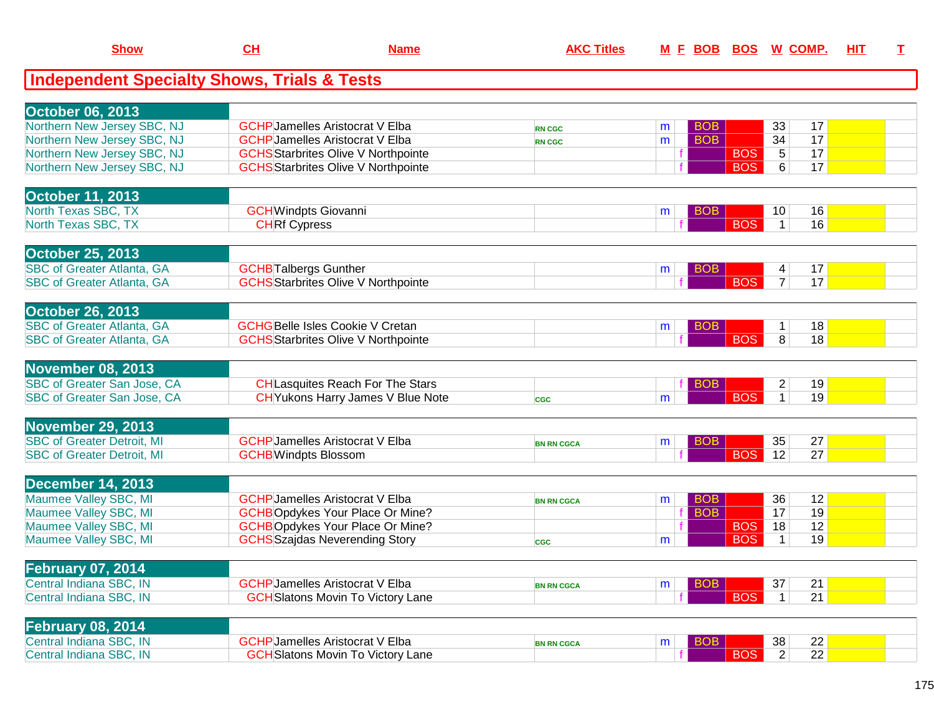| <b>Show</b>                                            | CL                                     | <b>Name</b>                                | <b>AKC Titles</b> |   |            |            | M E BOB BOS W COMP.               | HIT | I |
|--------------------------------------------------------|----------------------------------------|--------------------------------------------|-------------------|---|------------|------------|-----------------------------------|-----|---|
| <b>Independent Specialty Shows, Trials &amp; Tests</b> |                                        |                                            |                   |   |            |            |                                   |     |   |
| <b>October 06, 2013</b>                                |                                        |                                            |                   |   |            |            |                                   |     |   |
| Northern New Jersey SBC, NJ                            | <b>GCHP</b> Jamelles Aristocrat V Elba |                                            | <b>RN CGC</b>     | m | <b>BOB</b> |            | 33<br>17                          |     |   |
| Northern New Jersey SBC, NJ                            | <b>GCHP</b> Jamelles Aristocrat V Elba |                                            | <b>RN CGC</b>     | m | <b>BOB</b> |            | 34<br>17                          |     |   |
| Northern New Jersey SBC, NJ                            |                                        | <b>GCHS</b> Starbrites Olive V Northpointe |                   | f |            | <b>BOS</b> | 17<br>$5\phantom{.0}$             |     |   |
| Northern New Jersey SBC, NJ                            |                                        | <b>GCHS</b> Starbrites Olive V Northpointe |                   |   |            | <b>BOS</b> | 17<br>6                           |     |   |
| October 11, 2013                                       |                                        |                                            |                   |   |            |            |                                   |     |   |
| North Texas SBC, TX                                    | <b>GCH</b> Windpts Giovanni            |                                            |                   | m | <b>BOB</b> |            | 16<br>10                          |     |   |
| North Texas SBC, TX                                    | <b>CHRf Cypress</b>                    |                                            |                   |   |            | <b>BOS</b> | 16<br>$\overline{1}$              |     |   |
| <b>October 25, 2013</b>                                |                                        |                                            |                   |   |            |            |                                   |     |   |
| <b>SBC of Greater Atlanta, GA</b>                      | <b>GCHB</b> Talbergs Gunther           |                                            |                   | m | <b>BOB</b> |            | 17<br>4                           |     |   |
| <b>SBC of Greater Atlanta, GA</b>                      |                                        | <b>GCHS</b> Starbrites Olive V Northpointe |                   |   |            | <b>BOS</b> | 17<br>$\overline{7}$              |     |   |
| <b>October 26, 2013</b>                                |                                        |                                            |                   |   |            |            |                                   |     |   |
| <b>SBC of Greater Atlanta, GA</b>                      | <b>GCHGBelle Isles Cookie V Cretan</b> |                                            |                   | m | <b>BOB</b> |            | 18<br>$\mathbf{1}$                |     |   |
| <b>SBC of Greater Atlanta, GA</b>                      |                                        | <b>GCHS</b> Starbrites Olive V Northpointe |                   |   |            | <b>BOS</b> | 8<br>18                           |     |   |
| <b>November 08, 2013</b>                               |                                        |                                            |                   |   |            |            |                                   |     |   |
| SBC of Greater San Jose, CA                            |                                        | <b>CH</b> Lasquites Reach For The Stars    |                   |   | <b>BOB</b> |            | 19<br>$\overline{2}$              |     |   |
| SBC of Greater San Jose, CA                            |                                        | CH Yukons Harry James V Blue Note          | <b>CGC</b>        | m |            | <b>BOS</b> | 19<br>$\mathbf{1}$                |     |   |
| <b>November 29, 2013</b>                               |                                        |                                            |                   |   |            |            |                                   |     |   |
| <b>SBC of Greater Detroit, MI</b>                      | <b>GCHP</b> Jamelles Aristocrat V Elba |                                            | <b>BN RN CGCA</b> | m | <b>BOB</b> |            | 27<br>35                          |     |   |
| <b>SBC of Greater Detroit, MI</b>                      | <b>GCHB</b> Windpts Blossom            |                                            |                   |   |            | <b>BOS</b> | 12<br>27                          |     |   |
| <b>December 14, 2013</b>                               |                                        |                                            |                   |   |            |            |                                   |     |   |
| Maumee Valley SBC, MI                                  | <b>GCHP</b> Jamelles Aristocrat V Elba |                                            | <b>BN RN CGCA</b> | m | <b>BOB</b> |            | 12<br>36                          |     |   |
| Maumee Valley SBC, MI                                  |                                        | <b>GCHBOpdykes Your Place Or Mine?</b>     |                   |   | <b>BOB</b> |            | 19<br>17                          |     |   |
| Maumee Valley SBC, MI                                  |                                        | <b>GCHBOpdykes Your Place Or Mine?</b>     |                   |   |            | <b>BOS</b> | 12<br>18                          |     |   |
| Maumee Valley SBC, MI                                  | <b>GCHS</b> Szajdas Neverending Story  |                                            | <b>CGC</b>        | m |            | <b>BOS</b> | 19<br>$\mathbf{1}$                |     |   |
| <b>February 07, 2014</b>                               |                                        |                                            |                   |   |            |            |                                   |     |   |
| Central Indiana SBC, IN                                | <b>GCHP</b> Jamelles Aristocrat V Elba |                                            | <b>BN RN CGCA</b> | m | <b>BOB</b> |            | 21<br>37                          |     |   |
| Central Indiana SBC, IN                                |                                        | <b>GCH</b> Slatons Movin To Victory Lane   |                   |   |            | <b>BOS</b> | 21<br>$\mathbf{1}$                |     |   |
| <b>February 08, 2014</b>                               |                                        |                                            |                   |   |            |            |                                   |     |   |
| Central Indiana SBC, IN                                | <b>GCHP</b> Jamelles Aristocrat V Elba |                                            | <b>BN RN CGCA</b> | m | <b>BOB</b> |            | 22<br>38                          |     |   |
| Central Indiana SBC, IN                                |                                        | <b>GCH</b> Slatons Movin To Victory Lane   |                   |   |            | <b>BOS</b> | $\overline{22}$<br>$\overline{2}$ |     |   |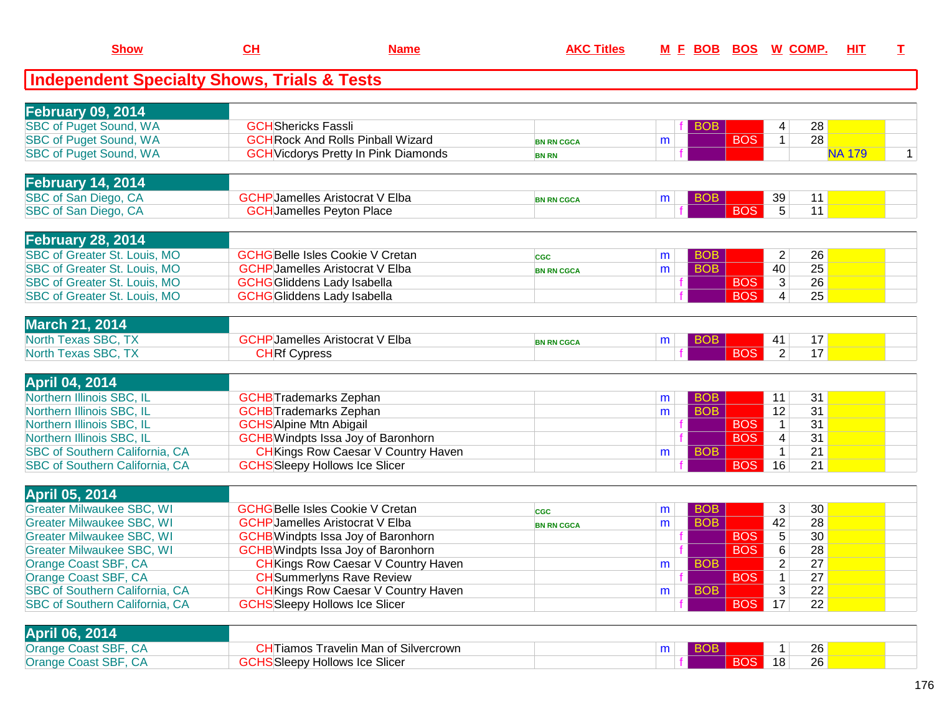| <b>Show</b>                                            | <u>CH</u>                      | <b>Name</b>                                 | <b>AKC Titles</b> |   | <u>M F BOB BOS</u> |            |                 | <u>W_COMP.</u>  | HIT           | т |
|--------------------------------------------------------|--------------------------------|---------------------------------------------|-------------------|---|--------------------|------------|-----------------|-----------------|---------------|---|
| <b>Independent Specialty Shows, Trials &amp; Tests</b> |                                |                                             |                   |   |                    |            |                 |                 |               |   |
| <b>February 09, 2014</b>                               |                                |                                             |                   |   |                    |            |                 |                 |               |   |
| <b>SBC of Puget Sound, WA</b>                          | <b>GCH</b> Shericks Fassli     |                                             |                   |   | <b>BOB</b>         |            | 4               | 28              |               |   |
| <b>SBC of Puget Sound, WA</b>                          |                                | <b>GCH Rock And Rolls Pinball Wizard</b>    | <b>BN RN CGCA</b> | m |                    | <b>BOS</b> | $\mathbf{1}$    | 28              |               |   |
| <b>SBC of Puget Sound, WA</b>                          |                                | <b>GCH</b> Vicdorys Pretty In Pink Diamonds | <b>BN RN</b>      |   |                    |            |                 |                 | <b>NA 179</b> | 1 |
|                                                        |                                |                                             |                   |   |                    |            |                 |                 |               |   |
| <b>February 14, 2014</b>                               |                                |                                             |                   |   |                    |            |                 |                 |               |   |
| SBC of San Diego, CA                                   |                                | <b>GCHP</b> Jamelles Aristocrat V Elba      | <b>BN RN CGCA</b> | m | <b>BOB</b>         |            | 39              | 11              |               |   |
| SBC of San Diego, CA                                   |                                | <b>GCH</b> Jamelles Peyton Place            |                   |   |                    | <b>BOS</b> | $5\overline{)}$ | 11              |               |   |
| <b>February 28, 2014</b>                               |                                |                                             |                   |   |                    |            |                 |                 |               |   |
| SBC of Greater St. Louis, MO                           |                                | <b>GCHGBelle Isles Cookie V Cretan</b>      | <b>CGC</b>        | m | <b>BOB</b>         |            | $\overline{2}$  | 26              |               |   |
| SBC of Greater St. Louis, MO                           |                                | <b>GCHP</b> Jamelles Aristocrat V Elba      | <b>BN RN CGCA</b> | m | <b>BOB</b>         |            | 40              | 25              |               |   |
| SBC of Greater St. Louis, MO                           |                                | <b>GCHG</b> Gliddens Lady Isabella          |                   |   |                    | <b>BOS</b> | 3               | 26              |               |   |
| <b>SBC of Greater St. Louis, MO</b>                    |                                | <b>GCHG</b> GIiddens Lady Isabella          |                   |   |                    | <b>BOS</b> | 4               | 25              |               |   |
|                                                        |                                |                                             |                   |   |                    |            |                 |                 |               |   |
| <b>March 21, 2014</b>                                  |                                | <b>GCHP</b> Jamelles Aristocrat V Elba      |                   |   |                    |            |                 |                 |               |   |
| North Texas SBC, TX<br>North Texas SBC, TX             | <b>CHRf Cypress</b>            |                                             | <b>BN RN CGCA</b> | m | <b>BOB</b>         | <b>BOS</b> | 41<br>2         | 17<br>17        |               |   |
|                                                        |                                |                                             |                   |   |                    |            |                 |                 |               |   |
| <b>April 04, 2014</b>                                  |                                |                                             |                   |   |                    |            |                 |                 |               |   |
| Northern Illinois SBC, IL                              |                                | <b>GCHB</b> Trademarks Zephan               |                   | m | <b>BOB</b>         |            | 11              | 31              |               |   |
| Northern Illinois SBC, IL                              |                                | <b>GCHB</b> Trademarks Zephan               |                   | m | <b>BOB</b>         |            | 12              | 31              |               |   |
| Northern Illinois SBC, IL                              | <b>GCHS</b> Alpine Mtn Abigail |                                             |                   |   |                    | <b>BOS</b> | $\mathbf{1}$    | 31              |               |   |
| Northern Illinois SBC, IL                              |                                | <b>GCHB</b> Windpts Issa Joy of Baronhorn   |                   |   |                    | <b>BOS</b> | $\overline{4}$  | 31              |               |   |
| SBC of Southern California, CA                         |                                | <b>CH</b> Kings Row Caesar V Country Haven  |                   | m | <b>BOB</b>         |            | $\mathbf{1}$    | 21              |               |   |
| SBC of Southern California, CA                         |                                | <b>GCHS</b> Sleepy Hollows Ice Slicer       |                   |   |                    | <b>BOS</b> | 16              | 21              |               |   |
| <b>April 05, 2014</b>                                  |                                |                                             |                   |   |                    |            |                 |                 |               |   |
| <b>Greater Milwaukee SBC, WI</b>                       |                                | <b>GCHGBelle Isles Cookie V Cretan</b>      | <b>CGC</b>        | m | <b>BOB</b>         |            | 3               | 30              |               |   |
| <b>Greater Milwaukee SBC, WI</b>                       |                                | <b>GCHP</b> Jamelles Aristocrat V Elba      | <b>BN RN CGCA</b> | m | <b>BOB</b>         |            | 42              | 28              |               |   |
| <b>Greater Milwaukee SBC, WI</b>                       |                                | <b>GCHB</b> Windpts Issa Joy of Baronhorn   |                   |   |                    | <b>BOS</b> | $\overline{5}$  | 30 <sup>2</sup> |               |   |
| <b>Greater Milwaukee SBC, WI</b>                       |                                | <b>GCHB</b> Windpts Issa Joy of Baronhorn   |                   |   |                    | <b>BOS</b> | 6               | 28              |               |   |
| Orange Coast SBF, CA                                   |                                | <b>CH</b> Kings Row Caesar V Country Haven  |                   | m | <b>BOB</b>         |            | $\overline{2}$  | 27              |               |   |
| Orange Coast SBF, CA                                   |                                | <b>CH</b> Summerlyns Rave Review            |                   |   |                    | <b>BOS</b> | 1               | 27              |               |   |
| SBC of Southern California, CA                         |                                | <b>CH</b> Kings Row Caesar V Country Haven  |                   | m | <b>BOB</b>         |            | 3               | 22              |               |   |
| <b>SBC of Southern California, CA</b>                  |                                | <b>GCHS</b> Sleepy Hollows Ice Slicer       |                   |   |                    | BOS        | 17              | 22              |               |   |
|                                                        |                                |                                             |                   |   |                    |            |                 |                 |               |   |
| <b>April 06, 2014</b>                                  |                                |                                             |                   |   |                    |            |                 |                 |               |   |
| Orange Coast SBF, CA                                   |                                | <b>CHTiamos Travelin Man of Silvercrown</b> |                   | m | <b>BOB</b>         |            |                 | 26              |               |   |
| Orange Coast SBF, CA                                   |                                | <b>GCHS</b> Sleepy Hollows Ice Slicer       |                   |   |                    | BOS        | 18              | 26              |               |   |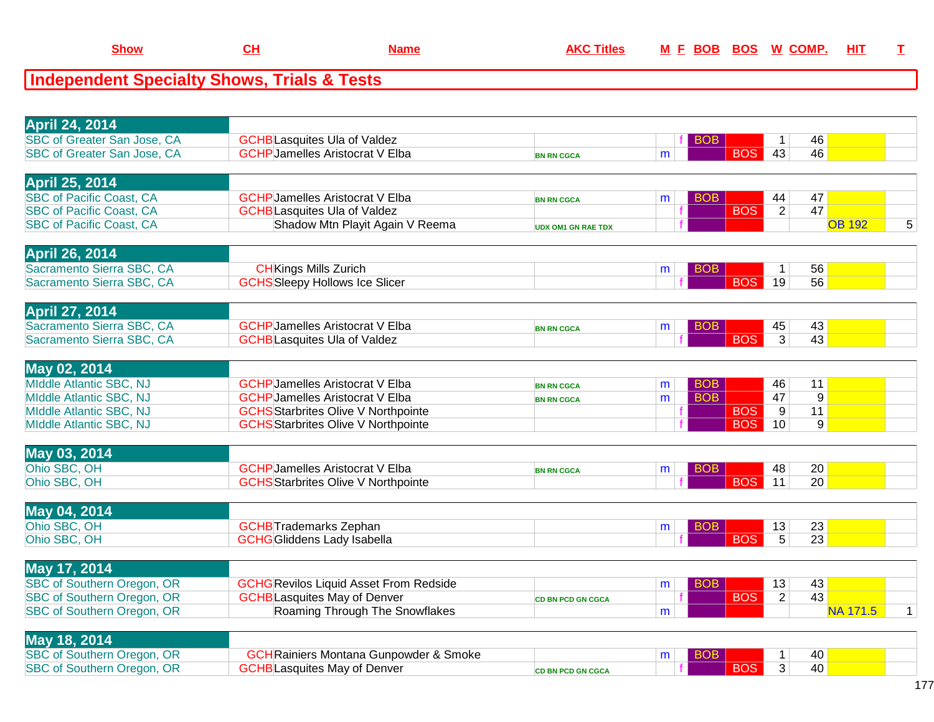**GCHBLasquites May of Denver** 

| <b>April 24, 2014</b>             |                                               |                           |   |            |                  |                 |                 |             |
|-----------------------------------|-----------------------------------------------|---------------------------|---|------------|------------------|-----------------|-----------------|-------------|
| SBC of Greater San Jose, CA       | <b>GCHB</b> Lasquites Ula of Valdez           |                           |   | <b>BOB</b> | $\mathbf 1$      | 46              |                 |             |
| SBC of Greater San Jose, CA       | <b>GCHP</b> Jamelles Aristocrat V Elba        | <b>BN RN CGCA</b>         | m | <b>BOS</b> | 43               | 46              |                 |             |
| <b>April 25, 2014</b>             |                                               |                           |   |            |                  |                 |                 |             |
|                                   |                                               |                           |   |            |                  |                 |                 |             |
| <b>SBC of Pacific Coast, CA</b>   | <b>GCHP</b> Jamelles Aristocrat V Elba        | <b>BN RN CGCA</b>         | m | <b>BOB</b> | 44               | 47              |                 |             |
| <b>SBC of Pacific Coast, CA</b>   | <b>GCHB</b> Lasquites Ula of Valdez           |                           |   | <b>BOS</b> | $\overline{2}$   | 47              |                 |             |
| <b>SBC of Pacific Coast, CA</b>   | Shadow Mtn Playit Again V Reema               | <b>UDX OM1 GN RAE TDX</b> |   |            |                  |                 | <b>OB 192</b>   | 5           |
| <b>April 26, 2014</b>             |                                               |                           |   |            |                  |                 |                 |             |
| Sacramento Sierra SBC, CA         | <b>CH</b> Kings Mills Zurich                  |                           | m | <b>BOB</b> | $\mathbf 1$      | 56              |                 |             |
| Sacramento Sierra SBC, CA         | <b>GCHS</b> Sleepy Hollows Ice Slicer         |                           |   | <b>BOS</b> | 19               | 56              |                 |             |
|                                   |                                               |                           |   |            |                  |                 |                 |             |
| <b>April 27, 2014</b>             |                                               |                           |   |            |                  |                 |                 |             |
| Sacramento Sierra SBC, CA         | <b>GCHP</b> Jamelles Aristocrat V Elba        | <b>BN RN CGCA</b>         | m | <b>BOB</b> | 45               | 43              |                 |             |
| Sacramento Sierra SBC, CA         | <b>GCHB</b> Lasquites Ula of Valdez           |                           |   | <b>BOS</b> | 3                | 43              |                 |             |
|                                   |                                               |                           |   |            |                  |                 |                 |             |
| May 02, 2014                      |                                               |                           |   |            |                  |                 |                 |             |
| MIddle Atlantic SBC, NJ           | <b>GCHP</b> Jamelles Aristocrat V Elba        | <b>BN RN CGCA</b>         | m | <b>BOB</b> | 46               | 11              |                 |             |
| MIddle Atlantic SBC, NJ           | <b>GCHP</b> Jamelles Aristocrat V Elba        | <b>BN RN CGCA</b>         | m | <b>BOB</b> | 47               | 9               |                 |             |
| <b>MIddle Atlantic SBC, NJ</b>    | <b>GCHS</b> Starbrites Olive V Northpointe    |                           |   | <b>BOS</b> | 9                | 11              |                 |             |
| MIddle Atlantic SBC, NJ           | <b>GCHS</b> Starbrites Olive V Northpointe    |                           |   | <b>BOS</b> | 10               | 9               |                 |             |
| May 03, 2014                      |                                               |                           |   |            |                  |                 |                 |             |
| Ohio SBC, OH                      | <b>GCHP</b> Jamelles Aristocrat V Elba        |                           | m | <b>BOB</b> | 48               | 20              |                 |             |
| Ohio SBC, OH                      | <b>GCHS</b> Starbrites Olive V Northpointe    | <b>BN RN CGCA</b>         |   | <b>BOS</b> | 11               | 20              |                 |             |
|                                   |                                               |                           |   |            |                  |                 |                 |             |
| May 04, 2014                      |                                               |                           |   |            |                  |                 |                 |             |
| Ohio SBC, OH                      | <b>GCHB</b> Trademarks Zephan                 |                           | m | <b>BOB</b> | 13               | 23              |                 |             |
| Ohio SBC, OH                      | <b>GCHG</b> Gliddens Lady Isabella            |                           |   | <b>BOS</b> | $\overline{5}$   | $\overline{23}$ |                 |             |
|                                   |                                               |                           |   |            |                  |                 |                 |             |
| May 17, 2014                      |                                               |                           |   |            |                  |                 |                 |             |
| <b>SBC of Southern Oregon, OR</b> | <b>GCHG</b> Revilos Liquid Asset From Redside |                           | m | <b>BOB</b> | 13               | 43              |                 |             |
| SBC of Southern Oregon, OR        | <b>GCHB</b> Lasquites May of Denver           | <b>CD BN PCD GN CGCA</b>  |   | <b>BOS</b> | $\overline{2}$   | 43              |                 |             |
| <b>SBC of Southern Oregon, OR</b> | Roaming Through The Snowflakes                |                           | m |            |                  |                 | <b>NA 171.5</b> | $\mathbf 1$ |
| May 18, 2014                      |                                               |                           |   |            |                  |                 |                 |             |
| <b>SBC of Southern Oregon, OR</b> | <b>GCH</b> Rainiers Montana Gunpowder & Smoke |                           |   | <b>BOB</b> |                  | 40              |                 |             |
| <b>SBC of Southern Oregon, OR</b> | <b>GCHB</b> Lasquites May of Denver           |                           | m | <b>BOS</b> | $\mathbf 1$<br>3 | 40              |                 |             |
|                                   |                                               | <b>CD BN PCD GN CGCA</b>  |   |            |                  |                 |                 |             |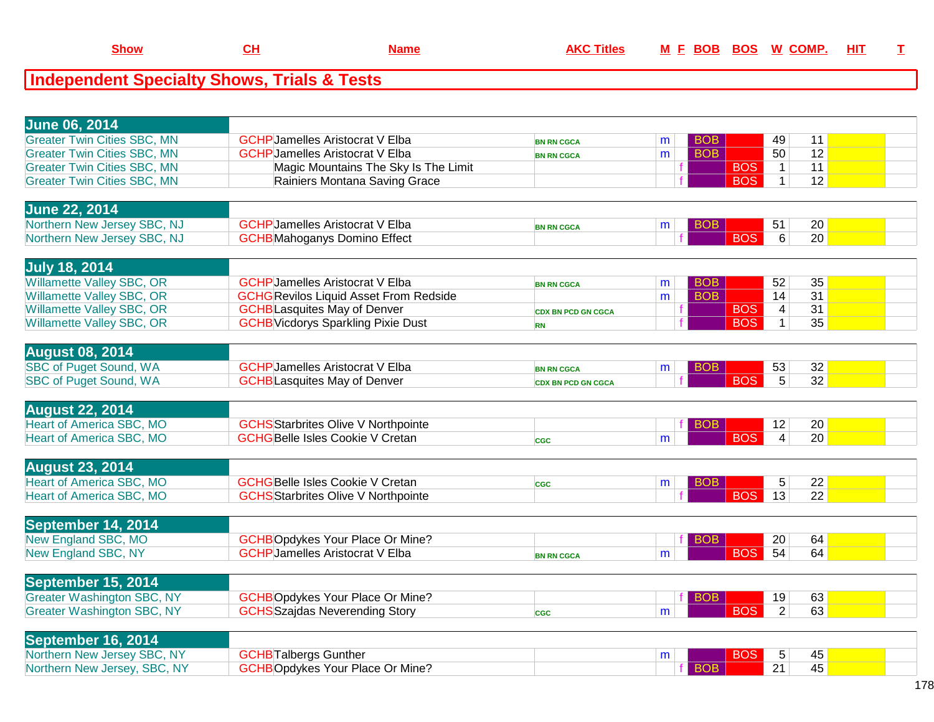| <b>June 06, 2014</b>               |                                               |                           |   |            |            |                 |                 |  |
|------------------------------------|-----------------------------------------------|---------------------------|---|------------|------------|-----------------|-----------------|--|
| <b>Greater Twin Cities SBC, MN</b> | <b>GCHP</b> Jamelles Aristocrat V Elba        | <b>BN RN CGCA</b>         | m | BOB        |            | 49              | 11              |  |
| <b>Greater Twin Cities SBC, MN</b> | <b>GCHP</b> Jamelles Aristocrat V Elba        | <b>BN RN CGCA</b>         | m | <b>BOB</b> |            | 50              | 12              |  |
| <b>Greater Twin Cities SBC, MN</b> | Magic Mountains The Sky Is The Limit          |                           |   |            | <b>BOS</b> | $\mathbf{1}$    | 11              |  |
| <b>Greater Twin Cities SBC, MN</b> | Rainiers Montana Saving Grace                 |                           |   |            | <b>BOS</b> | $\mathbf{1}$    | 12              |  |
|                                    |                                               |                           |   |            |            |                 |                 |  |
| <b>June 22, 2014</b>               |                                               |                           |   |            |            |                 |                 |  |
| Northern New Jersey SBC, NJ        | <b>GCHP</b> Jamelles Aristocrat V Elba        | <b>BN RN CGCA</b>         | m | <b>BOB</b> |            | 51              | 20              |  |
| Northern New Jersey SBC, NJ        | <b>GCHB</b> Mahoganys Domino Effect           |                           |   |            | <b>BOS</b> | 6               | 20              |  |
|                                    |                                               |                           |   |            |            |                 |                 |  |
| <b>July 18, 2014</b>               |                                               |                           |   |            |            |                 |                 |  |
| <b>Willamette Valley SBC, OR</b>   | <b>GCHP</b> Jamelles Aristocrat V Elba        | <b>BN RN CGCA</b>         | m | <b>BOB</b> |            | 52              | 35              |  |
| <b>Willamette Valley SBC, OR</b>   | <b>GCHG</b> Revilos Liquid Asset From Redside |                           | m | <b>BOB</b> |            | 14              | 31              |  |
| <b>Willamette Valley SBC, OR</b>   | <b>GCHB</b> Lasquites May of Denver           | <b>CDX BN PCD GN CGCA</b> |   |            | <b>BOS</b> | 4               | 31              |  |
| Willamette Valley SBC, OR          | <b>GCHB</b> Vicdorys Sparkling Pixie Dust     | <b>RN</b>                 |   |            | <b>BOS</b> | $\mathbf{1}$    | 35              |  |
|                                    |                                               |                           |   |            |            |                 |                 |  |
| <b>August 08, 2014</b>             |                                               |                           |   |            |            |                 |                 |  |
| <b>SBC of Puget Sound, WA</b>      | <b>GCHP</b> Jamelles Aristocrat V Elba        | <b>BN RN CGCA</b>         | m | <b>BOB</b> |            | 53              | 32              |  |
| <b>SBC of Puget Sound, WA</b>      | <b>GCHB</b> Lasquites May of Denver           | <b>CDX BN PCD GN CGCA</b> |   |            | <b>BOS</b> | $\overline{5}$  | 32              |  |
|                                    |                                               |                           |   |            |            |                 |                 |  |
| <b>August 22, 2014</b>             |                                               |                           |   |            |            |                 |                 |  |
| <b>Heart of America SBC, MO</b>    | <b>GCHS</b> Starbrites Olive V Northpointe    |                           |   | <b>BOB</b> |            | 12              | 20              |  |
| <b>Heart of America SBC, MO</b>    | <b>GCHGBelle Isles Cookie V Cretan</b>        | <b>CGC</b>                | m |            | <b>BOS</b> | $\overline{4}$  | 20              |  |
|                                    |                                               |                           |   |            |            |                 |                 |  |
| <b>August 23, 2014</b>             |                                               |                           |   |            |            |                 |                 |  |
| <b>Heart of America SBC, MO</b>    | <b>GCHGBelle Isles Cookie V Cretan</b>        | <b>CGC</b>                | m | <b>BOB</b> |            | 5               | 22              |  |
| <b>Heart of America SBC, MO</b>    | <b>GCHS</b> Starbrites Olive V Northpointe    |                           |   |            | <b>BOS</b> | $\overline{13}$ | $\overline{22}$ |  |
|                                    |                                               |                           |   |            |            |                 |                 |  |
| September 14, 2014                 |                                               |                           |   |            |            |                 |                 |  |
| New England SBC, MO                | <b>GCHBOpdykes Your Place Or Mine?</b>        |                           |   | <b>BOB</b> |            | 20              | 64              |  |
| <b>New England SBC, NY</b>         | <b>GCHP Jamelles Aristocrat V Elba</b>        | <b>BN RN CGCA</b>         | m |            | <b>BOS</b> | 54              | 64              |  |
|                                    |                                               |                           |   |            |            |                 |                 |  |
| September 15, 2014                 |                                               |                           |   |            |            |                 |                 |  |
| <b>Greater Washington SBC, NY</b>  | <b>GCHBOpdykes Your Place Or Mine?</b>        |                           |   | <b>BOB</b> |            | 19              | 63              |  |
| <b>Greater Washington SBC, NY</b>  | <b>GCHS</b> Szajdas Neverending Story         | <b>CGC</b>                | m |            | <b>BOS</b> | 2               | 63              |  |
|                                    |                                               |                           |   |            |            |                 |                 |  |
| September 16, 2014                 |                                               |                           |   |            |            |                 |                 |  |
| Northern New Jersey SBC, NY        | <b>GCHB</b> Talbergs Gunther                  |                           | m |            | <b>BOS</b> | 5               | 45              |  |
| Northern New Jersey, SBC, NY       | <b>GCHBOpdykes Your Place Or Mine?</b>        |                           |   | <b>BOB</b> |            | 21              | 45              |  |
|                                    |                                               |                           |   |            |            |                 |                 |  |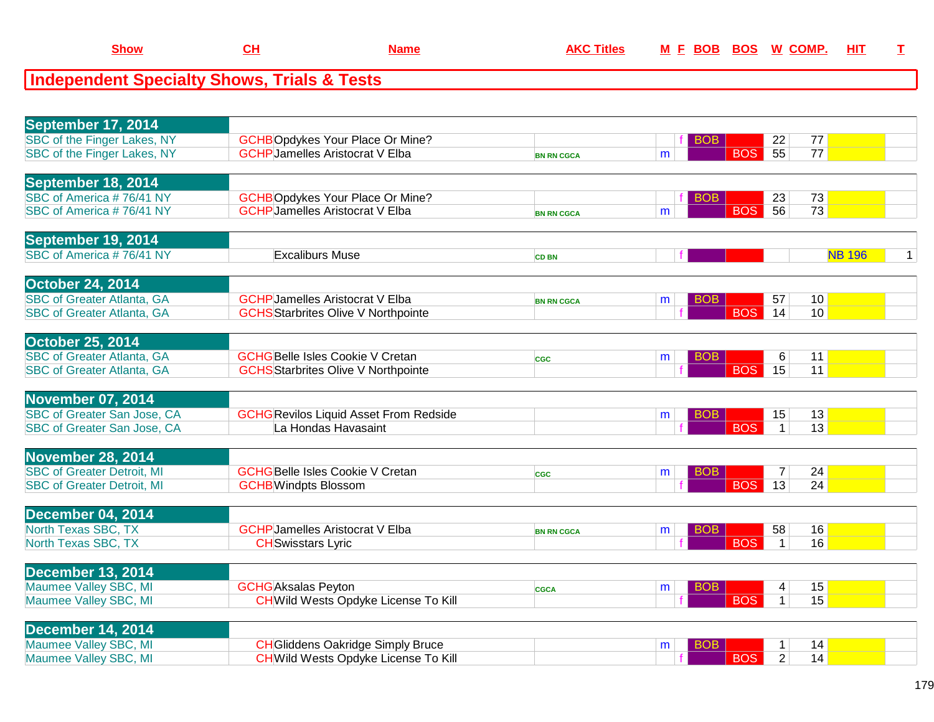| ⊶h∩w | . . | ш | ш | ROS<br>ROF | w | <u>HIT</u> |  |
|------|-----|---|---|------------|---|------------|--|
|      |     |   |   |            |   |            |  |

| September 17, 2014                 |                                               |                   |                 |                               |                 |              |
|------------------------------------|-----------------------------------------------|-------------------|-----------------|-------------------------------|-----------------|--------------|
| SBC of the Finger Lakes, NY        | <b>GCHBOpdykes Your Place Or Mine?</b>        |                   | <b>BOB</b>      | 22                            | 77              |              |
| SBC of the Finger Lakes, NY        | <b>GCHP</b> Jamelles Aristocrat V Elba        | <b>BN RN CGCA</b> | m               | $\overline{55}$<br><b>BOS</b> | $\overline{77}$ |              |
|                                    |                                               |                   |                 |                               |                 |              |
| September 18, 2014                 |                                               |                   |                 |                               |                 |              |
| SBC of America #76/41 NY           | <b>GCHBOpdykes Your Place Or Mine?</b>        |                   | <b>BOB</b>      | 23                            | 73              |              |
| SBC of America #76/41 NY           | <b>GCHP</b> Jamelles Aristocrat V Elba        | <b>BN RN CGCA</b> | m               | 56<br><b>BOS</b>              | 73              |              |
|                                    |                                               |                   |                 |                               |                 |              |
| September 19, 2014                 |                                               |                   |                 |                               |                 |              |
| SBC of America #76/41 NY           | <b>Excaliburs Muse</b>                        | <b>CD BN</b>      |                 |                               | <b>NB 196</b>   | $\mathbf{1}$ |
|                                    |                                               |                   |                 |                               |                 |              |
| <b>October 24, 2014</b>            |                                               |                   |                 |                               |                 |              |
| <b>SBC of Greater Atlanta, GA</b>  | <b>GCHP</b> Jamelles Aristocrat V Elba        | <b>BN RN CGCA</b> | <b>BOB</b><br>m | 57                            | 10 <sup>°</sup> |              |
| <b>SBC of Greater Atlanta, GA</b>  | <b>GCHS</b> Starbrites Olive V Northpointe    |                   |                 | <b>BOS</b><br>14              | 10              |              |
|                                    |                                               |                   |                 |                               |                 |              |
| <b>October 25, 2014</b>            |                                               |                   |                 |                               |                 |              |
| <b>SBC of Greater Atlanta, GA</b>  | <b>GCHGBelle Isles Cookie V Cretan</b>        | <b>CGC</b>        | <b>BOB</b><br>m | 6                             | 11              |              |
| <b>SBC of Greater Atlanta, GA</b>  | <b>GCHS</b> Starbrites Olive V Northpointe    |                   |                 | <b>BOS</b><br>15              | 11              |              |
|                                    |                                               |                   |                 |                               |                 |              |
| <b>November 07, 2014</b>           |                                               |                   |                 |                               |                 |              |
| <b>SBC of Greater San Jose, CA</b> | <b>GCHG</b> Revilos Liquid Asset From Redside |                   | <b>BOB</b><br>m | 15                            | 13              |              |
| SBC of Greater San Jose, CA        | La Hondas Havasaint                           |                   |                 | <b>BOS</b><br>$\mathbf{1}$    | 13              |              |
|                                    |                                               |                   |                 |                               |                 |              |
| <b>November 28, 2014</b>           |                                               |                   |                 |                               |                 |              |
| <b>SBC of Greater Detroit, MI</b>  | <b>GCHG</b> Belle Isles Cookie V Cretan       | <b>CGC</b>        | <b>BOB</b><br>m | 7                             | 24              |              |
| <b>SBC of Greater Detroit, MI</b>  | <b>GCHB</b> Windpts Blossom                   |                   |                 | <b>BOS</b><br>13              | 24              |              |
|                                    |                                               |                   |                 |                               |                 |              |
| <b>December 04, 2014</b>           |                                               |                   |                 |                               |                 |              |
| North Texas SBC, TX                | <b>GCHP</b> Jamelles Aristocrat V Elba        | <b>BN RN CGCA</b> | <b>BOB</b><br>m | 58                            | 16              |              |
| North Texas SBC, TX                | <b>CH</b> Swisstars Lyric                     |                   |                 | <b>BOS</b><br>$\mathbf{1}$    | 16              |              |
|                                    |                                               |                   |                 |                               |                 |              |
| <b>December 13, 2014</b>           |                                               |                   |                 |                               |                 |              |
| Maumee Valley SBC, MI              | <b>GCHG</b> Aksalas Peyton                    | <b>CGCA</b>       | <b>BOB</b><br>m | 4                             | 15              |              |
| Maumee Valley SBC, MI              | <b>CH</b> Wild Wests Opdyke License To Kill   |                   |                 | <b>BOS</b><br>$\mathbf{1}$    | 15              |              |
|                                    |                                               |                   |                 |                               |                 |              |
| <b>December 14, 2014</b>           |                                               |                   |                 |                               |                 |              |
| Maumee Valley SBC, MI              | <b>CH</b> Gliddens Oakridge Simply Bruce      |                   | <b>BOB</b><br>m | 1                             | 14              |              |
| Maumee Valley SBC, MI              | <b>CH</b> Wild Wests Opdyke License To Kill   |                   |                 | <b>BOS</b><br>$\overline{2}$  | 14              |              |
|                                    |                                               |                   |                 |                               |                 |              |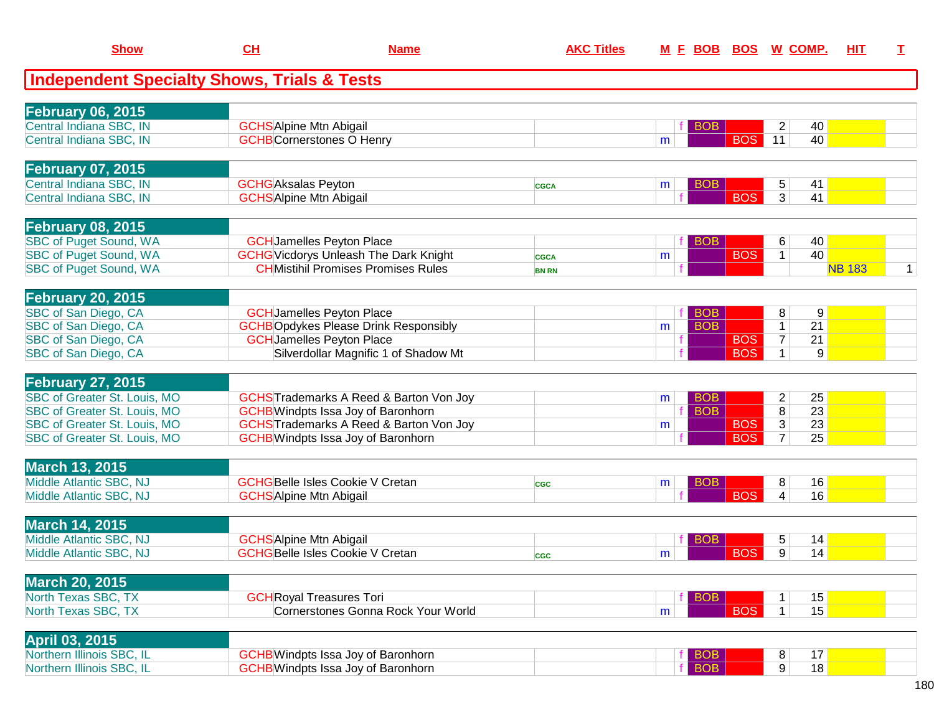| <b>Show</b>                                            | <u>CH</u>                                                    | <b>Name</b>                                       | <b>AKC Titles</b> | <u>M F</u> | <u>BOB</u> | <u>BOS</u> | <u>W_COMP.</u>               | <u>ніт</u>      | т            |
|--------------------------------------------------------|--------------------------------------------------------------|---------------------------------------------------|-------------------|------------|------------|------------|------------------------------|-----------------|--------------|
| <b>Independent Specialty Shows, Trials &amp; Tests</b> |                                                              |                                                   |                   |            |            |            |                              |                 |              |
| <b>February 06, 2015</b>                               |                                                              |                                                   |                   |            |            |            |                              |                 |              |
| Central Indiana SBC, IN                                | <b>GCHS</b> Alpine Mtn Abigail                               |                                                   |                   |            | <b>BOB</b> |            | 2                            | 40              |              |
| Central Indiana SBC, IN                                | <b>GCHB</b> Cornerstones O Henry                             |                                                   |                   | m          |            | <b>BOS</b> | 11                           | 40              |              |
|                                                        |                                                              |                                                   |                   |            |            |            |                              |                 |              |
| <b>February 07, 2015</b><br>Central Indiana SBC, IN    |                                                              |                                                   |                   |            |            |            |                              |                 |              |
| Central Indiana SBC, IN                                | <b>GCHG</b> Aksalas Peyton<br><b>GCHS</b> Alpine Mtn Abigail |                                                   | <b>CGCA</b>       | m          | <b>BOB</b> | <b>BOS</b> | $\sqrt{5}$<br>3 <sup>1</sup> | 41<br>41        |              |
|                                                        |                                                              |                                                   |                   |            |            |            |                              |                 |              |
| <b>February 08, 2015</b>                               |                                                              |                                                   |                   |            |            |            |                              |                 |              |
| <b>SBC of Puget Sound, WA</b>                          |                                                              | <b>GCH</b> Jamelles Peyton Place                  |                   |            | <b>BOB</b> |            | 6                            | 40              |              |
| <b>SBC of Puget Sound, WA</b>                          |                                                              | <b>GCHG</b> Vicdorys Unleash The Dark Knight      | <b>CGCA</b>       | m          |            | <b>BOS</b> | $\mathbf{1}$                 | 40              |              |
| <b>SBC of Puget Sound, WA</b>                          |                                                              | <b>CHMistihil Promises Promises Rules</b>         | <b>BN RN</b>      |            |            |            |                              | <b>NB 183</b>   | $\mathbf{1}$ |
| <b>February 20, 2015</b>                               |                                                              |                                                   |                   |            |            |            |                              |                 |              |
| SBC of San Diego, CA                                   |                                                              | <b>GCH</b> Jamelles Peyton Place                  |                   |            | <b>BOB</b> |            | 8                            | 9               |              |
| SBC of San Diego, CA                                   |                                                              | <b>GCHBOpdykes Please Drink Responsibly</b>       |                   | m          | <b>BOB</b> |            | $\mathbf{1}$                 | 21              |              |
| SBC of San Diego, CA                                   |                                                              | <b>GCHJamelles Peyton Place</b>                   |                   |            |            | <b>BOS</b> | $\overline{7}$               | 21              |              |
| SBC of San Diego, CA                                   |                                                              | Silverdollar Magnific 1 of Shadow Mt              |                   |            |            | <b>BOS</b> | $\mathbf{1}$                 | 9 <sup>°</sup>  |              |
| <b>February 27, 2015</b>                               |                                                              |                                                   |                   |            |            |            |                              |                 |              |
| SBC of Greater St. Louis, MO                           |                                                              | <b>GCHS</b> Trademarks A Reed & Barton Von Joy    |                   | m          | <b>BOB</b> |            | $\overline{2}$               | 25              |              |
| SBC of Greater St. Louis, MO                           |                                                              | <b>GCHB</b> Windpts Issa Joy of Baronhorn         |                   |            | <b>BOB</b> |            | $\overline{8}$               | $\overline{23}$ |              |
| SBC of Greater St. Louis, MO                           |                                                              | <b>GCHSTrademarks A Reed &amp; Barton Von Joy</b> |                   | m          |            | <b>BOS</b> | $\overline{3}$               | 23              |              |
| <b>SBC of Greater St. Louis, MO</b>                    |                                                              | <b>GCHB</b> Windpts Issa Joy of Baronhorn         |                   |            |            | <b>BOS</b> | $\overline{7}$               | 25              |              |
| <b>March 13, 2015</b>                                  |                                                              |                                                   |                   |            |            |            |                              |                 |              |
| Middle Atlantic SBC, NJ                                |                                                              | <b>GCHGBelle Isles Cookie V Cretan</b>            | <b>CGC</b>        | m          | <b>BOB</b> |            | 8                            | 16              |              |
| Middle Atlantic SBC, NJ                                | <b>GCHS</b> Alpine Mtn Abigail                               |                                                   |                   |            |            | <b>BOS</b> | $\overline{4}$               | 16              |              |
|                                                        |                                                              |                                                   |                   |            |            |            |                              |                 |              |
| <b>March 14, 2015</b>                                  |                                                              |                                                   |                   |            |            |            |                              |                 |              |
| Middle Atlantic SBC, NJ                                | <b>GCHS</b> Alpine Mtn Abigail                               |                                                   |                   |            | <b>BOB</b> |            | 5                            | 14              |              |
| Middle Atlantic SBC, NJ                                |                                                              | <b>GCHGBelle Isles Cookie V Cretan</b>            | <b>CGC</b>        | m          |            | <b>BOS</b> | $\overline{9}$               | 14              |              |
| <b>March 20, 2015</b>                                  |                                                              |                                                   |                   |            |            |            |                              |                 |              |
| North Texas SBC, TX                                    | <b>GCH</b> Royal Treasures Tori                              |                                                   |                   |            | <b>BOB</b> |            |                              | 15              |              |
| North Texas SBC, TX                                    |                                                              | Cornerstones Gonna Rock Your World                |                   | m          |            | <b>BOS</b> | 1 <sup>1</sup>               | 15              |              |
| April 03, 2015                                         |                                                              |                                                   |                   |            |            |            |                              |                 |              |
| Northern Illinois SBC, IL                              |                                                              | <b>GCHB</b> Windpts Issa Joy of Baronhorn         |                   |            | <b>BOB</b> |            | 8                            | 17              |              |
| Northern Illinois SBC, IL                              |                                                              | <b>GCHB</b> Windpts Issa Joy of Baronhorn         |                   |            | <b>BOB</b> |            | 9 <sup>°</sup>               | 18              |              |
|                                                        |                                                              |                                                   |                   |            |            |            |                              |                 |              |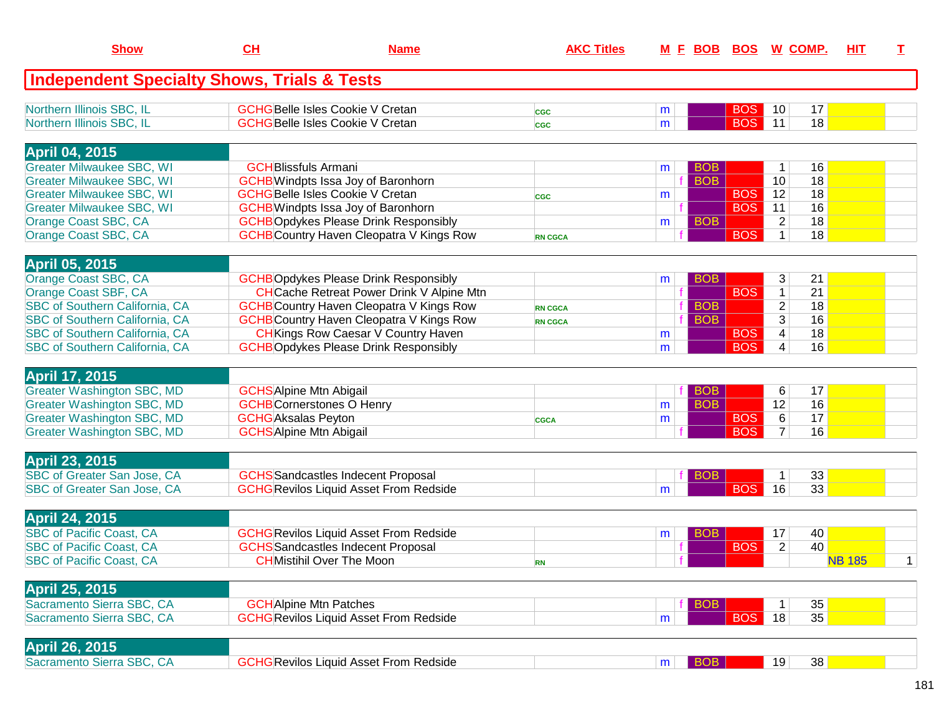| <b>Independent Specialty Shows, Trials &amp; Tests</b><br>Northern Illinois SBC, IL<br><b>GCHGBelle Isles Cookie V Cretan</b><br>17<br><b>BOS</b><br>10<br>m<br><b>CGC</b><br>Northern Illinois SBC, IL<br><b>BOS</b><br>11<br>18<br><b>GCHGBelle Isles Cookie V Cretan</b><br>m<br>CGC<br><b>April 04, 2015</b><br><b>Greater Milwaukee SBC, WI</b><br><b>GCH</b> Blissfuls Armani<br><b>BOB</b><br>16<br>$\mathbf{1}$<br>m<br><b>BOB</b><br><b>Greater Milwaukee SBC, WI</b><br>18<br><b>GCHB</b> Windpts Issa Joy of Baronhorn<br>10<br><b>Greater Milwaukee SBC, WI</b><br><b>GCHG</b> Belle Isles Cookie V Cretan<br><b>BOS</b><br>12<br>18<br>m<br><b>CGC</b><br><b>GCHB</b> Windpts Issa Joy of Baronhorn<br><b>BOS</b><br>16<br><b>Greater Milwaukee SBC, WI</b><br>11<br><b>GCHBOpdykes Please Drink Responsibly</b><br>Orange Coast SBC, CA<br><b>BOB</b><br>$\overline{c}$<br>18<br>m<br><b>BOS</b><br><b>GCHB</b> Country Haven Cleopatra V Kings Row<br>18<br>Orange Coast SBC, CA<br>$\mathbf 1$<br><b>RN CGCA</b><br><b>April 05, 2015</b><br>Orange Coast SBC, CA<br><b>GCHBOpdykes Please Drink Responsibly</b><br>3<br>21<br><b>BOB</b><br>m<br>Orange Coast SBF, CA<br><b>CH</b> Cache Retreat Power Drink V Alpine Mtn<br><b>BOS</b><br>21<br>$\mathbf{1}$<br>SBC of Southern California, CA<br><b>GCHB</b> Country Haven Cleopatra V Kings Row<br><b>BOB</b><br>$\overline{c}$<br>18<br><b>RN CGCA</b><br>3<br>SBC of Southern California, CA<br><b>GCHB</b> Country Haven Cleopatra V Kings Row<br><b>BOB</b><br>16<br><b>RN CGCA</b> | <b>Show</b>                           | CH | <b>Name</b> | <b>AKC Titles</b> | <u>M E BOB BOS W COMP.</u> |            |                         |    | <b>HIT</b> | $\mathbf I$  |
|-------------------------------------------------------------------------------------------------------------------------------------------------------------------------------------------------------------------------------------------------------------------------------------------------------------------------------------------------------------------------------------------------------------------------------------------------------------------------------------------------------------------------------------------------------------------------------------------------------------------------------------------------------------------------------------------------------------------------------------------------------------------------------------------------------------------------------------------------------------------------------------------------------------------------------------------------------------------------------------------------------------------------------------------------------------------------------------------------------------------------------------------------------------------------------------------------------------------------------------------------------------------------------------------------------------------------------------------------------------------------------------------------------------------------------------------------------------------------------------------------------------------------------------------------------------|---------------------------------------|----|-------------|-------------------|----------------------------|------------|-------------------------|----|------------|--------------|
|                                                                                                                                                                                                                                                                                                                                                                                                                                                                                                                                                                                                                                                                                                                                                                                                                                                                                                                                                                                                                                                                                                                                                                                                                                                                                                                                                                                                                                                                                                                                                             |                                       |    |             |                   |                            |            |                         |    |            |              |
|                                                                                                                                                                                                                                                                                                                                                                                                                                                                                                                                                                                                                                                                                                                                                                                                                                                                                                                                                                                                                                                                                                                                                                                                                                                                                                                                                                                                                                                                                                                                                             |                                       |    |             |                   |                            |            |                         |    |            |              |
|                                                                                                                                                                                                                                                                                                                                                                                                                                                                                                                                                                                                                                                                                                                                                                                                                                                                                                                                                                                                                                                                                                                                                                                                                                                                                                                                                                                                                                                                                                                                                             |                                       |    |             |                   |                            |            |                         |    |            |              |
|                                                                                                                                                                                                                                                                                                                                                                                                                                                                                                                                                                                                                                                                                                                                                                                                                                                                                                                                                                                                                                                                                                                                                                                                                                                                                                                                                                                                                                                                                                                                                             |                                       |    |             |                   |                            |            |                         |    |            |              |
|                                                                                                                                                                                                                                                                                                                                                                                                                                                                                                                                                                                                                                                                                                                                                                                                                                                                                                                                                                                                                                                                                                                                                                                                                                                                                                                                                                                                                                                                                                                                                             |                                       |    |             |                   |                            |            |                         |    |            |              |
|                                                                                                                                                                                                                                                                                                                                                                                                                                                                                                                                                                                                                                                                                                                                                                                                                                                                                                                                                                                                                                                                                                                                                                                                                                                                                                                                                                                                                                                                                                                                                             |                                       |    |             |                   |                            |            |                         |    |            |              |
|                                                                                                                                                                                                                                                                                                                                                                                                                                                                                                                                                                                                                                                                                                                                                                                                                                                                                                                                                                                                                                                                                                                                                                                                                                                                                                                                                                                                                                                                                                                                                             |                                       |    |             |                   |                            |            |                         |    |            |              |
|                                                                                                                                                                                                                                                                                                                                                                                                                                                                                                                                                                                                                                                                                                                                                                                                                                                                                                                                                                                                                                                                                                                                                                                                                                                                                                                                                                                                                                                                                                                                                             |                                       |    |             |                   |                            |            |                         |    |            |              |
|                                                                                                                                                                                                                                                                                                                                                                                                                                                                                                                                                                                                                                                                                                                                                                                                                                                                                                                                                                                                                                                                                                                                                                                                                                                                                                                                                                                                                                                                                                                                                             |                                       |    |             |                   |                            |            |                         |    |            |              |
|                                                                                                                                                                                                                                                                                                                                                                                                                                                                                                                                                                                                                                                                                                                                                                                                                                                                                                                                                                                                                                                                                                                                                                                                                                                                                                                                                                                                                                                                                                                                                             |                                       |    |             |                   |                            |            |                         |    |            |              |
|                                                                                                                                                                                                                                                                                                                                                                                                                                                                                                                                                                                                                                                                                                                                                                                                                                                                                                                                                                                                                                                                                                                                                                                                                                                                                                                                                                                                                                                                                                                                                             |                                       |    |             |                   |                            |            |                         |    |            |              |
|                                                                                                                                                                                                                                                                                                                                                                                                                                                                                                                                                                                                                                                                                                                                                                                                                                                                                                                                                                                                                                                                                                                                                                                                                                                                                                                                                                                                                                                                                                                                                             |                                       |    |             |                   |                            |            |                         |    |            |              |
|                                                                                                                                                                                                                                                                                                                                                                                                                                                                                                                                                                                                                                                                                                                                                                                                                                                                                                                                                                                                                                                                                                                                                                                                                                                                                                                                                                                                                                                                                                                                                             |                                       |    |             |                   |                            |            |                         |    |            |              |
|                                                                                                                                                                                                                                                                                                                                                                                                                                                                                                                                                                                                                                                                                                                                                                                                                                                                                                                                                                                                                                                                                                                                                                                                                                                                                                                                                                                                                                                                                                                                                             |                                       |    |             |                   |                            |            |                         |    |            |              |
|                                                                                                                                                                                                                                                                                                                                                                                                                                                                                                                                                                                                                                                                                                                                                                                                                                                                                                                                                                                                                                                                                                                                                                                                                                                                                                                                                                                                                                                                                                                                                             |                                       |    |             |                   |                            |            |                         |    |            |              |
| <b>CH</b> Kings Row Caesar V Country Haven<br>m                                                                                                                                                                                                                                                                                                                                                                                                                                                                                                                                                                                                                                                                                                                                                                                                                                                                                                                                                                                                                                                                                                                                                                                                                                                                                                                                                                                                                                                                                                             | <b>SBC of Southern California, CA</b> |    |             |                   |                            | <b>BOS</b> | $\overline{\mathbf{4}}$ | 18 |            |              |
| <b>BOS</b><br>16<br><b>SBC of Southern California, CA</b><br><b>GCHBOpdykes Please Drink Responsibly</b><br>4<br>m                                                                                                                                                                                                                                                                                                                                                                                                                                                                                                                                                                                                                                                                                                                                                                                                                                                                                                                                                                                                                                                                                                                                                                                                                                                                                                                                                                                                                                          |                                       |    |             |                   |                            |            |                         |    |            |              |
|                                                                                                                                                                                                                                                                                                                                                                                                                                                                                                                                                                                                                                                                                                                                                                                                                                                                                                                                                                                                                                                                                                                                                                                                                                                                                                                                                                                                                                                                                                                                                             |                                       |    |             |                   |                            |            |                         |    |            |              |
| <b>April 17, 2015</b>                                                                                                                                                                                                                                                                                                                                                                                                                                                                                                                                                                                                                                                                                                                                                                                                                                                                                                                                                                                                                                                                                                                                                                                                                                                                                                                                                                                                                                                                                                                                       |                                       |    |             |                   |                            |            |                         |    |            |              |
| <b>Greater Washington SBC, MD</b><br><b>GCHS</b> Alpine Mtn Abigail<br>6<br>17<br><b>BOB</b>                                                                                                                                                                                                                                                                                                                                                                                                                                                                                                                                                                                                                                                                                                                                                                                                                                                                                                                                                                                                                                                                                                                                                                                                                                                                                                                                                                                                                                                                |                                       |    |             |                   |                            |            |                         |    |            |              |
| <b>BOB</b><br>16<br><b>Greater Washington SBC, MD</b><br><b>GCHB</b> Cornerstones O Henry<br>12<br>m                                                                                                                                                                                                                                                                                                                                                                                                                                                                                                                                                                                                                                                                                                                                                                                                                                                                                                                                                                                                                                                                                                                                                                                                                                                                                                                                                                                                                                                        |                                       |    |             |                   |                            |            |                         |    |            |              |
| $6\overline{6}$<br>17<br><b>Greater Washington SBC, MD</b><br><b>GCHG</b> Aksalas Peyton<br><b>BOS</b><br>m<br><b>CGCA</b>                                                                                                                                                                                                                                                                                                                                                                                                                                                                                                                                                                                                                                                                                                                                                                                                                                                                                                                                                                                                                                                                                                                                                                                                                                                                                                                                                                                                                                  |                                       |    |             |                   |                            |            |                         |    |            |              |
| <b>Greater Washington SBC, MD</b><br><b>BOS</b><br>16<br><b>GCHS</b> Alpine Mtn Abigail<br>$\overline{7}$                                                                                                                                                                                                                                                                                                                                                                                                                                                                                                                                                                                                                                                                                                                                                                                                                                                                                                                                                                                                                                                                                                                                                                                                                                                                                                                                                                                                                                                   |                                       |    |             |                   |                            |            |                         |    |            |              |
| <b>April 23, 2015</b>                                                                                                                                                                                                                                                                                                                                                                                                                                                                                                                                                                                                                                                                                                                                                                                                                                                                                                                                                                                                                                                                                                                                                                                                                                                                                                                                                                                                                                                                                                                                       |                                       |    |             |                   |                            |            |                         |    |            |              |
| SBC of Greater San Jose, CA<br><b>GCHS</b> Sandcastles Indecent Proposal<br>33<br>1<br><b>BOB</b>                                                                                                                                                                                                                                                                                                                                                                                                                                                                                                                                                                                                                                                                                                                                                                                                                                                                                                                                                                                                                                                                                                                                                                                                                                                                                                                                                                                                                                                           |                                       |    |             |                   |                            |            |                         |    |            |              |
| 33<br>SBC of Greater San Jose, CA<br><b>GCHG</b> Revilos Liquid Asset From Redside<br><b>BOS</b><br>16<br>m                                                                                                                                                                                                                                                                                                                                                                                                                                                                                                                                                                                                                                                                                                                                                                                                                                                                                                                                                                                                                                                                                                                                                                                                                                                                                                                                                                                                                                                 |                                       |    |             |                   |                            |            |                         |    |            |              |
|                                                                                                                                                                                                                                                                                                                                                                                                                                                                                                                                                                                                                                                                                                                                                                                                                                                                                                                                                                                                                                                                                                                                                                                                                                                                                                                                                                                                                                                                                                                                                             |                                       |    |             |                   |                            |            |                         |    |            |              |
| <b>April 24, 2015</b>                                                                                                                                                                                                                                                                                                                                                                                                                                                                                                                                                                                                                                                                                                                                                                                                                                                                                                                                                                                                                                                                                                                                                                                                                                                                                                                                                                                                                                                                                                                                       |                                       |    |             |                   |                            |            |                         |    |            |              |
| <b>SBC of Pacific Coast, CA</b><br>40<br><b>GCHG</b> Revilos Liquid Asset From Redside<br><b>BOB</b><br>17<br>m                                                                                                                                                                                                                                                                                                                                                                                                                                                                                                                                                                                                                                                                                                                                                                                                                                                                                                                                                                                                                                                                                                                                                                                                                                                                                                                                                                                                                                             |                                       |    |             |                   |                            |            |                         |    |            |              |
| <b>BOS</b><br>$\overline{2}$<br><b>SBC of Pacific Coast, CA</b><br><b>GCHS</b> Sandcastles Indecent Proposal<br>40                                                                                                                                                                                                                                                                                                                                                                                                                                                                                                                                                                                                                                                                                                                                                                                                                                                                                                                                                                                                                                                                                                                                                                                                                                                                                                                                                                                                                                          |                                       |    |             |                   |                            |            |                         |    |            |              |
| <b>SBC of Pacific Coast, CA</b><br><b>CH</b> Mistihil Over The Moon<br><b>NB 185</b><br><b>RN</b>                                                                                                                                                                                                                                                                                                                                                                                                                                                                                                                                                                                                                                                                                                                                                                                                                                                                                                                                                                                                                                                                                                                                                                                                                                                                                                                                                                                                                                                           |                                       |    |             |                   |                            |            |                         |    |            | $\mathbf{1}$ |
| April 25, 2015                                                                                                                                                                                                                                                                                                                                                                                                                                                                                                                                                                                                                                                                                                                                                                                                                                                                                                                                                                                                                                                                                                                                                                                                                                                                                                                                                                                                                                                                                                                                              |                                       |    |             |                   |                            |            |                         |    |            |              |
| Sacramento Sierra SBC, CA<br>35<br><b>GCH</b> Alpine Mtn Patches<br><b>BOB</b><br>1                                                                                                                                                                                                                                                                                                                                                                                                                                                                                                                                                                                                                                                                                                                                                                                                                                                                                                                                                                                                                                                                                                                                                                                                                                                                                                                                                                                                                                                                         |                                       |    |             |                   |                            |            |                         |    |            |              |
| <b>GCHG Revilos Liquid Asset From Redside</b><br><b>BOS</b><br>Sacramento Sierra SBC, CA<br>18<br>35<br>m                                                                                                                                                                                                                                                                                                                                                                                                                                                                                                                                                                                                                                                                                                                                                                                                                                                                                                                                                                                                                                                                                                                                                                                                                                                                                                                                                                                                                                                   |                                       |    |             |                   |                            |            |                         |    |            |              |
|                                                                                                                                                                                                                                                                                                                                                                                                                                                                                                                                                                                                                                                                                                                                                                                                                                                                                                                                                                                                                                                                                                                                                                                                                                                                                                                                                                                                                                                                                                                                                             |                                       |    |             |                   |                            |            |                         |    |            |              |
| <b>April 26, 2015</b>                                                                                                                                                                                                                                                                                                                                                                                                                                                                                                                                                                                                                                                                                                                                                                                                                                                                                                                                                                                                                                                                                                                                                                                                                                                                                                                                                                                                                                                                                                                                       |                                       |    |             |                   |                            |            |                         |    |            |              |
| Sacramento Sierra SBC, CA<br><b>GCHG</b> Revilos Liquid Asset From Redside<br><b>BOB</b><br>19<br>38<br>m                                                                                                                                                                                                                                                                                                                                                                                                                                                                                                                                                                                                                                                                                                                                                                                                                                                                                                                                                                                                                                                                                                                                                                                                                                                                                                                                                                                                                                                   |                                       |    |             |                   |                            |            |                         |    |            |              |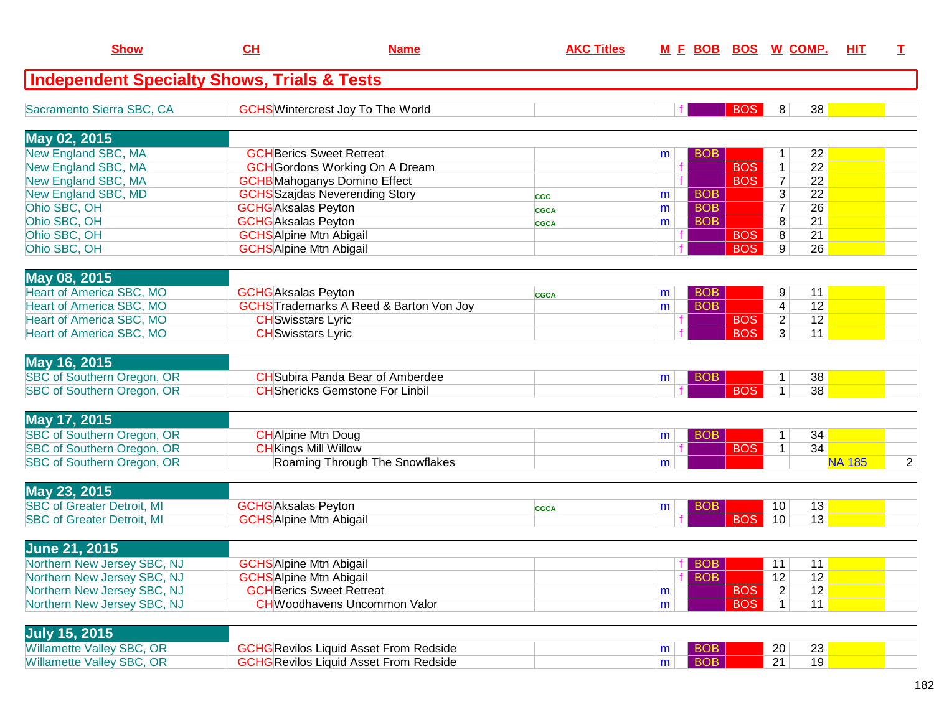| <b>Show</b>                                            | CL                             | <b>Name</b>                                       | <b>AKC Titles</b> |                 |            | M E BOB BOS W COMP.               | HIT           | T. |
|--------------------------------------------------------|--------------------------------|---------------------------------------------------|-------------------|-----------------|------------|-----------------------------------|---------------|----|
| <b>Independent Specialty Shows, Trials &amp; Tests</b> |                                |                                                   |                   |                 |            |                                   |               |    |
| Sacramento Sierra SBC, CA                              |                                | <b>GCHS</b> Wintercrest Joy To The World          |                   |                 | <b>BOS</b> | 38<br>8 <sup>1</sup>              |               |    |
| May 02, 2015                                           |                                |                                                   |                   |                 |            |                                   |               |    |
| New England SBC, MA                                    |                                | <b>GCH</b> Berics Sweet Retreat                   |                   | <b>BOB</b><br>m |            | 22<br>1                           |               |    |
| New England SBC, MA                                    |                                | <b>GCH</b> Gordons Working On A Dream             |                   |                 | <b>BOS</b> | $\overline{22}$<br>$\mathbf{1}$   |               |    |
| New England SBC, MA                                    |                                | <b>GCHB</b> Mahoganys Domino Effect               |                   |                 | <b>BOS</b> | $\overline{7}$<br>$\overline{22}$ |               |    |
| New England SBC, MD                                    |                                | <b>GCHS</b> Szajdas Neverending Story             | <b>CGC</b>        | <b>BOB</b><br>m |            | $\overline{3}$<br>$\overline{22}$ |               |    |
| Ohio SBC, OH                                           | <b>GCHG</b> Aksalas Peyton     |                                                   | <b>CGCA</b>       | <b>BOB</b><br>m |            | 7<br>26                           |               |    |
| Ohio SBC, OH                                           | <b>GCHG</b> Aksalas Peyton     |                                                   | <b>CGCA</b>       | <b>BOB</b><br>m |            | 8<br>21                           |               |    |
| Ohio SBC, OH                                           | <b>GCHS</b> Alpine Mtn Abigail |                                                   |                   |                 | <b>BOS</b> | 8<br>21                           |               |    |
| Ohio SBC, OH                                           | <b>GCHS</b> Alpine Mtn Abigail |                                                   |                   |                 | <b>BOS</b> | 9<br>26                           |               |    |
| May 08, 2015                                           |                                |                                                   |                   |                 |            |                                   |               |    |
| <b>Heart of America SBC, MO</b>                        | <b>GCHG</b> Aksalas Peyton     |                                                   |                   | <b>BOB</b><br>m |            | 9<br>11                           |               |    |
| <b>Heart of America SBC, MO</b>                        |                                | <b>GCHSTrademarks A Reed &amp; Barton Von Joy</b> | <b>CGCA</b>       | <b>BOB</b><br>m |            | 12<br>4                           |               |    |
| Heart of America SBC, MO                               | <b>CH</b> Swisstars Lyric      |                                                   |                   |                 | <b>BOS</b> | $\overline{c}$<br>12              |               |    |
| Heart of America SBC, MO                               | <b>CH</b> Swisstars Lyric      |                                                   |                   |                 | <b>BOS</b> | 3<br>11                           |               |    |
|                                                        |                                |                                                   |                   |                 |            |                                   |               |    |
| May 16, 2015                                           |                                |                                                   |                   |                 |            |                                   |               |    |
| <b>SBC of Southern Oregon, OR</b>                      |                                | <b>CH</b> Subira Panda Bear of Amberdee           |                   | <b>BOB</b><br>m |            | 38<br>$\mathbf{1}$                |               |    |
| SBC of Southern Oregon, OR                             |                                | <b>CH</b> Shericks Gemstone For Linbil            |                   |                 | <b>BOS</b> | 38<br>$\mathbf{1}$                |               |    |
| May 17, 2015                                           |                                |                                                   |                   |                 |            |                                   |               |    |
| <b>SBC of Southern Oregon, OR</b>                      | <b>CH</b> Alpine Mtn Doug      |                                                   |                   | <b>BOB</b>      |            | 34<br>$\mathbf 1$                 |               |    |
| SBC of Southern Oregon, OR                             | <b>CH</b> Kings Mill Willow    |                                                   |                   | m               | <b>BOS</b> | 34<br>$\mathbf 1$                 |               |    |
| SBC of Southern Oregon, OR                             |                                | Roaming Through The Snowflakes                    |                   | m               |            |                                   | <b>NA 185</b> | 2  |
|                                                        |                                |                                                   |                   |                 |            |                                   |               |    |
| May 23, 2015                                           |                                |                                                   |                   |                 |            |                                   |               |    |
| <b>SBC of Greater Detroit, MI</b>                      | <b>GCHG</b> Aksalas Peyton     |                                                   | <b>CGCA</b>       | <b>BOB</b><br>m |            | 13<br>10                          |               |    |
| <b>SBC of Greater Detroit, MI</b>                      | <b>GCHSAlpine Mtn Abigail</b>  |                                                   |                   |                 | <b>BOS</b> | 13<br>10                          |               |    |
| <b>June 21, 2015</b>                                   |                                |                                                   |                   |                 |            |                                   |               |    |
| Northern New Jersey SBC, NJ                            | <b>GCHS</b> Alpine Mtn Abigail |                                                   |                   | BOB             |            | $\vert$ 11<br>11                  |               |    |
| Northern New Jersey SBC, NJ                            | <b>GCHS</b> Alpine Mtn Abigail |                                                   |                   | <b>BOB</b>      |            | 12<br>12                          |               |    |
| Northern New Jersey SBC, NJ                            |                                | <b>GCH</b> Berics Sweet Retreat                   |                   | m               | <b>BOS</b> | 12<br>$\mathbf{2}$                |               |    |
| Northern New Jersey SBC, NJ                            |                                | <b>CHWoodhavens Uncommon Valor</b>                |                   | m               | <b>BOS</b> | 11<br>1                           |               |    |
|                                                        |                                |                                                   |                   |                 |            |                                   |               |    |
| <b>July 15, 2015</b>                                   |                                |                                                   |                   |                 |            |                                   |               |    |
| <b>Willamette Valley SBC, OR</b>                       |                                | <b>GCHG</b> Revilos Liquid Asset From Redside     |                   | <b>BOB</b><br>m |            | 23<br>20                          |               |    |
| <b>Willamette Valley SBC, OR</b>                       |                                | <b>GCHG</b> Revilos Liquid Asset From Redside     |                   | <b>BOB</b><br>m |            | $\overline{21}$<br>19             |               |    |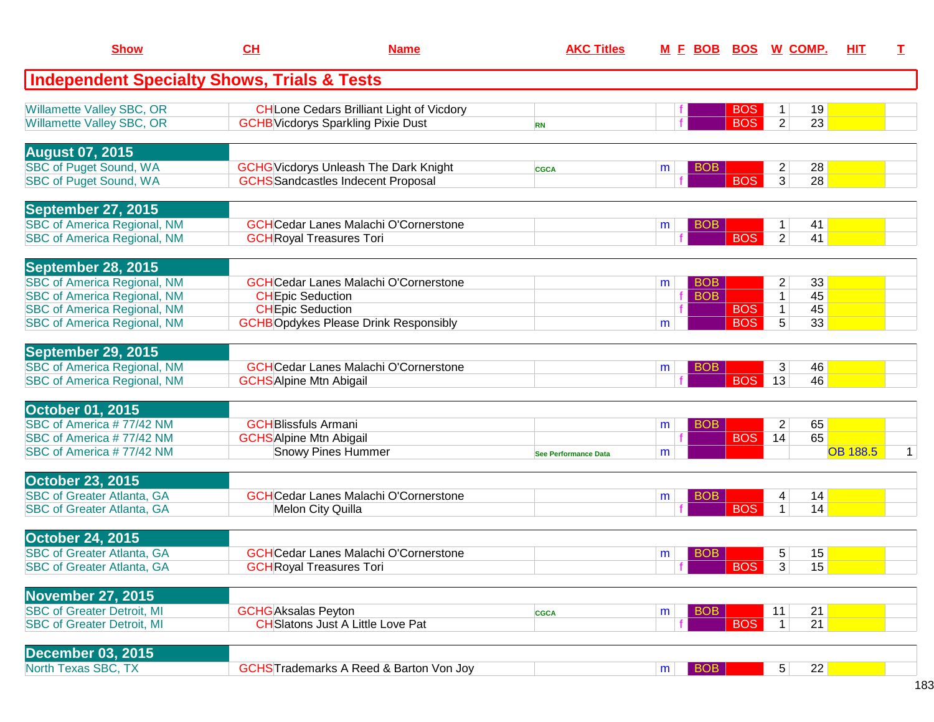| <b>Show</b>                                                                                                                                                                       | CH<br><b>Name</b>                                             |                                                                                               | <b>AKC Titles</b>           |        |                          | M F BOB BOS W COMP.      |                                                            |                      |                 | T. |
|-----------------------------------------------------------------------------------------------------------------------------------------------------------------------------------|---------------------------------------------------------------|-----------------------------------------------------------------------------------------------|-----------------------------|--------|--------------------------|--------------------------|------------------------------------------------------------|----------------------|-----------------|----|
| <b>Independent Specialty Shows, Trials &amp; Tests</b>                                                                                                                            |                                                               |                                                                                               |                             |        |                          |                          |                                                            |                      |                 |    |
| <b>Willamette Valley SBC, OR</b><br><b>Willamette Valley SBC, OR</b>                                                                                                              |                                                               | <b>CH</b> Lone Cedars Brilliant Light of Vicdory<br><b>GCHB</b> Vicdorys Sparkling Pixie Dust | <b>RN</b>                   |        |                          | <b>BOS</b><br><b>BOS</b> | 1<br>$\overline{2}$                                        | 19<br>23             |                 |    |
| <b>August 07, 2015</b><br><b>SBC of Puget Sound, WA</b><br><b>SBC of Puget Sound, WA</b>                                                                                          |                                                               | <b>GCHG</b> Vicdorys Unleash The Dark Knight<br><b>GCHS</b> Sandcastles Indecent Proposal     | <b>CGCA</b>                 | m      | <b>BOB</b>               | <b>BOS</b>               | $\overline{\mathbf{c}}$<br>3                               | 28<br>28             |                 |    |
| September 27, 2015<br><b>SBC of America Regional, NM</b><br><b>SBC of America Regional, NM</b>                                                                                    |                                                               | <b>GCH</b> Cedar Lanes Malachi O'Cornerstone<br><b>GCH</b> Royal Treasures Tori               |                             | m      | <b>BOB</b>               | <b>BOS</b>               | 1<br>$\overline{2}$                                        | 41<br>41             |                 |    |
| <b>September 28, 2015</b><br><b>SBC of America Regional, NM</b><br><b>SBC of America Regional, NM</b><br><b>SBC of America Regional, NM</b><br><b>SBC of America Regional, NM</b> | <b>CHEpic Seduction</b><br><b>CHEpic Seduction</b>            | <b>GCH</b> Cedar Lanes Malachi O'Cornerstone<br><b>GCHBOpdykes Please Drink Responsibly</b>   |                             | m<br>m | <b>BOB</b><br><b>BOB</b> | <b>BOS</b><br><b>BOS</b> | $\overline{\mathbf{c}}$<br>$\mathbf 1$<br>$\mathbf 1$<br>5 | 33<br>45<br>45<br>33 |                 |    |
| September 29, 2015<br><b>SBC of America Regional, NM</b><br><b>SBC of America Regional, NM</b>                                                                                    | <b>GCHS</b> Alpine Mtn Abigail                                | <b>GCH</b> Cedar Lanes Malachi O'Cornerstone                                                  |                             | m      | <b>BOB</b>               | <b>BOS</b>               | 3<br>13                                                    | 46<br>46             |                 |    |
| <b>October 01, 2015</b><br>SBC of America #77/42 NM<br>SBC of America #77/42 NM<br>SBC of America #77/42 NM                                                                       | <b>GCH</b> Blissfuls Armani<br><b>GCHS</b> Alpine Mtn Abigail | <b>Snowy Pines Hummer</b>                                                                     | <b>See Performance Data</b> | m<br>m | <b>BOB</b>               | <b>BOS</b>               | $\overline{2}$<br>14                                       | 65<br>65             | <b>OB 188.5</b> | 1  |
| <b>October 23, 2015</b><br><b>SBC of Greater Atlanta, GA</b><br><b>SBC of Greater Atlanta, GA</b>                                                                                 |                                                               | <b>GCH</b> Cedar Lanes Malachi O'Cornerstone<br>Melon City Quilla                             |                             | m      | <b>BOB</b>               | <b>BOS</b>               | 4<br>1                                                     | 14<br>14             |                 |    |
| <b>October 24, 2015</b><br><b>SBC of Greater Atlanta, GA</b><br><b>SBC of Greater Atlanta, GA</b>                                                                                 |                                                               | <b>GCHCedar Lanes Malachi O'Cornerstone</b><br><b>GCH</b> Royal Treasures Tori                |                             | m      | BOB                      | BOS                      | 5<br>$\overline{3}$                                        | 15<br>15             |                 |    |
| <b>November 27, 2015</b><br><b>SBC of Greater Detroit, MI</b><br><b>SBC of Greater Detroit, MI</b>                                                                                | <b>GCHG</b> Aksalas Peyton                                    | <b>CH</b> Slatons Just A Little Love Pat                                                      | <b>CGCA</b>                 | m      | <b>BOB</b>               | <b>BOS</b>               | 11<br>$\mathbf{1}$                                         | 21<br>21             |                 |    |
| <b>December 03, 2015</b><br>North Texas SBC, TX                                                                                                                                   |                                                               | <b>GCHSTrademarks A Reed &amp; Barton Von Joy</b>                                             |                             | m      | <b>BOB</b>               |                          | 5 <sup>5</sup>                                             | 22                   |                 |    |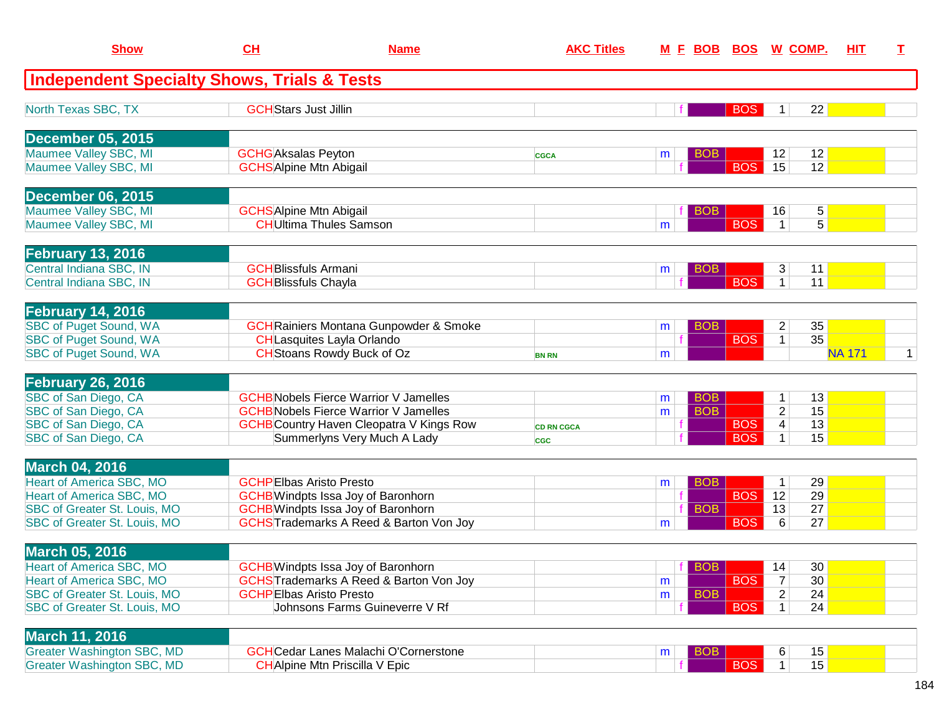| <b>Show</b>                                                         | CL                                                         | <b>Name</b>                                                                                    | <b>AKC Titles</b>               |        | <u>M F BOB</u>           |                          | <b>BOS W COMP.</b>            | <b>HIT</b>                       | Т            |
|---------------------------------------------------------------------|------------------------------------------------------------|------------------------------------------------------------------------------------------------|---------------------------------|--------|--------------------------|--------------------------|-------------------------------|----------------------------------|--------------|
| <b>Independent Specialty Shows, Trials &amp; Tests</b>              |                                                            |                                                                                                |                                 |        |                          |                          |                               |                                  |              |
| North Texas SBC, TX                                                 | <b>GCH</b> Stars Just Jillin                               |                                                                                                |                                 |        |                          | <b>BOS</b>               | 1 <sup>1</sup>                | 22                               |              |
| <b>December 05, 2015</b>                                            |                                                            |                                                                                                |                                 |        |                          |                          |                               |                                  |              |
| Maumee Valley SBC, MI<br>Maumee Valley SBC, MI                      | <b>GCHG</b> Aksalas Peyton                                 | <b>GCHS</b> Alpine Mtn Abigail                                                                 | <b>CGCA</b>                     | m      | <b>BOB</b>               | <b>BOS</b>               | 12<br>15                      | 12<br>12                         |              |
| December 06, 2015                                                   |                                                            |                                                                                                |                                 |        |                          |                          |                               |                                  |              |
| Maumee Valley SBC, MI<br>Maumee Valley SBC, MI                      |                                                            | <b>GCHS</b> Alpine Mtn Abigail<br><b>CH</b> Ultima Thules Samson                               |                                 | m      | <b>BOB</b>               | <b>BOS</b>               | 16<br>$\mathbf{1}$            | 5 <sup>2</sup><br>5 <sup>2</sup> |              |
| <b>February 13, 2016</b>                                            |                                                            |                                                                                                |                                 |        |                          |                          |                               |                                  |              |
| Central Indiana SBC, IN<br>Central Indiana SBC, IN                  | <b>GCH</b> Blissfuls Armani<br><b>GCH</b> Blissfuls Chayla |                                                                                                |                                 | m      | BOB.                     | <b>BOS</b>               | 3<br>1 <sup>1</sup>           | 11<br>11                         |              |
|                                                                     |                                                            |                                                                                                |                                 |        |                          |                          |                               |                                  |              |
| <b>February 14, 2016</b><br>SBC of Puget Sound, WA                  |                                                            | <b>GCH</b> Rainiers Montana Gunpowder & Smoke                                                  |                                 | m      | <b>BOB</b>               |                          | 2                             | 35                               |              |
| <b>SBC of Puget Sound, WA</b><br><b>SBC of Puget Sound, WA</b>      |                                                            | CHLasquites Layla Orlando<br><b>CH</b> Stoans Rowdy Buck of Oz                                 | <b>BN RN</b>                    | m      |                          | <b>BOS</b>               | $\mathbf{1}$                  | 35<br><b>NA 171</b>              | $\mathbf{1}$ |
| February 26, 2016                                                   |                                                            |                                                                                                |                                 |        |                          |                          |                               |                                  |              |
| SBC of San Diego, CA<br>SBC of San Diego, CA                        |                                                            | <b>GCHB</b> Nobels Fierce Warrior V Jamelles<br><b>GCHB</b> Nobels Fierce Warrior V Jamelles   |                                 | m<br>m | <b>BOB</b><br><b>BOB</b> |                          | $\mathbf 1$<br>$\overline{2}$ | 13<br>15                         |              |
| SBC of San Diego, CA<br>SBC of San Diego, CA                        |                                                            | <b>GCHB</b> Country Haven Cleopatra V Kings Row<br>Summerlyns Very Much A Lady                 | <b>CD RN CGCA</b><br><b>CGC</b> |        |                          | <b>BOS</b><br><b>BOS</b> | 4<br>$\mathbf 1$              | 13<br>15                         |              |
| <b>March 04, 2016</b>                                               |                                                            |                                                                                                |                                 |        |                          |                          |                               |                                  |              |
| <b>Heart of America SBC, MO</b>                                     |                                                            | <b>GCHPEIbas Aristo Presto</b>                                                                 |                                 | m      | <b>BOB</b>               |                          | $\mathbf 1$                   | 29                               |              |
| Heart of America SBC, MO<br><b>SBC of Greater St. Louis, MO</b>     |                                                            | <b>GCHB</b> Windpts Issa Joy of Baronhorn                                                      |                                 |        | <b>BOB</b>               | <b>BOS</b>               | 12<br>13                      | 29<br>27                         |              |
| SBC of Greater St. Louis, MO                                        |                                                            | <b>GCHB</b> Windpts Issa Joy of Baronhorn<br><b>GCHSTrademarks A Reed &amp; Barton Von Joy</b> |                                 | m      |                          | <b>BOS</b>               | 6                             | 27                               |              |
| <b>March 05, 2016</b>                                               |                                                            |                                                                                                |                                 |        |                          |                          |                               |                                  |              |
| Heart of America SBC, MO                                            |                                                            | <b>GCHB</b> Windpts Issa Joy of Baronhorn                                                      |                                 |        | BOB                      |                          | 14                            | 30                               |              |
| Heart of America SBC, MO                                            |                                                            | <b>GCHSTrademarks A Reed &amp; Barton Von Joy</b>                                              |                                 | m      |                          | <b>BOS</b>               | 7                             | 30                               |              |
| SBC of Greater St. Louis, MO<br><b>SBC of Greater St. Louis, MO</b> |                                                            | <b>GCHPEIbas Aristo Presto</b><br>Johnsons Farms Guineverre V Rf                               |                                 | m      | <b>BOB</b>               | <b>BOS</b>               | $\overline{2}$<br>1           | 24<br>24                         |              |
| <b>March 11, 2016</b>                                               |                                                            |                                                                                                |                                 |        |                          |                          |                               |                                  |              |
| <b>Greater Washington SBC, MD</b>                                   |                                                            | <b>GCHCedar Lanes Malachi O'Cornerstone</b>                                                    |                                 | m      | <b>BOB</b>               |                          | 6                             | 15                               |              |
| Greater Washington SBC, MD                                          |                                                            | <b>CH</b> Alpine Mtn Priscilla V Epic                                                          |                                 |        |                          | <b>BOS</b>               | 1 <sup>1</sup>                | 15                               |              |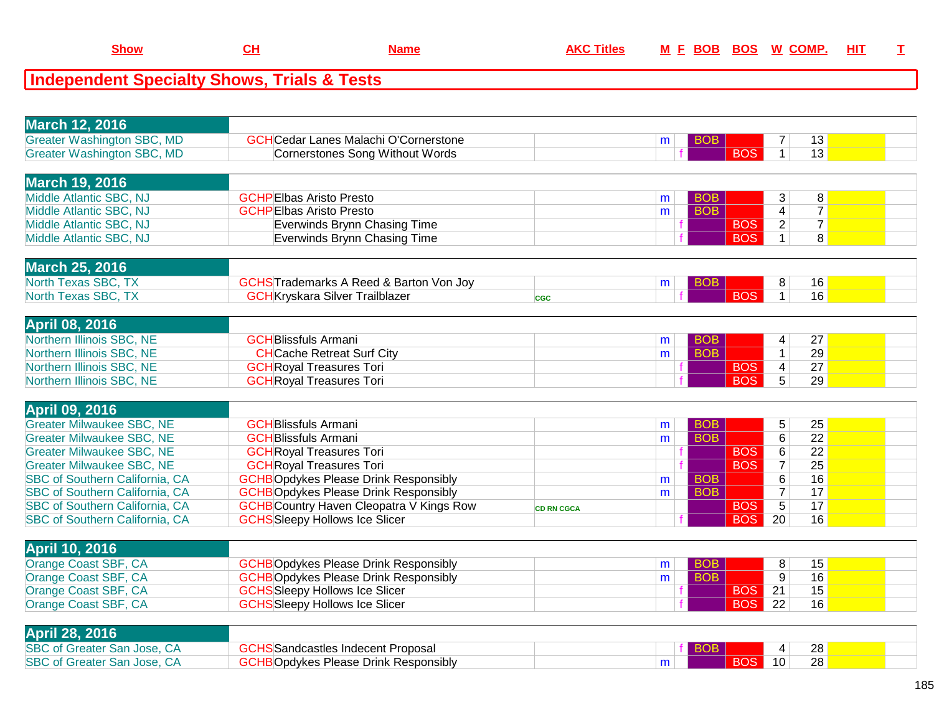|--|

| <b>March 12, 2016</b>                 |                                                   |                   |    |            |                         |                 |  |
|---------------------------------------|---------------------------------------------------|-------------------|----|------------|-------------------------|-----------------|--|
| <b>Greater Washington SBC, MD</b>     | <b>GCH</b> Cedar Lanes Malachi O'Cornerstone      |                   | m  | BOB.       | 7                       | 13              |  |
| <b>Greater Washington SBC, MD</b>     | <b>Cornerstones Song Without Words</b>            |                   |    | <b>BOS</b> | $\mathbf{1}$            | 13              |  |
|                                       |                                                   |                   |    |            |                         |                 |  |
| <b>March 19, 2016</b>                 |                                                   |                   |    |            |                         |                 |  |
| Middle Atlantic SBC, NJ               | <b>GCHPEIbas Aristo Presto</b>                    |                   | m  | <b>BOB</b> | 3                       | 8               |  |
| Middle Atlantic SBC, NJ               | <b>GCHPEIbas Aristo Presto</b>                    |                   | m  | <b>BOB</b> | 4                       | $\overline{7}$  |  |
| Middle Atlantic SBC, NJ               | Everwinds Brynn Chasing Time                      |                   |    | <b>BOS</b> | $\overline{2}$          | $\overline{7}$  |  |
| Middle Atlantic SBC, NJ               | Everwinds Brynn Chasing Time                      |                   |    | <b>BOS</b> | $\overline{1}$          | $\overline{8}$  |  |
|                                       |                                                   |                   |    |            |                         |                 |  |
| <b>March 25, 2016</b>                 |                                                   |                   |    |            |                         |                 |  |
| North Texas SBC, TX                   | <b>GCHSTrademarks A Reed &amp; Barton Von Joy</b> |                   | m  | <b>BOB</b> | 8                       | 16              |  |
| North Texas SBC, TX                   | <b>GCH</b> Kryskara Silver Trailblazer            | <b>CGC</b>        |    | <b>BOS</b> | $\mathbf{1}$            | 16              |  |
|                                       |                                                   |                   |    |            |                         |                 |  |
| <b>April 08, 2016</b>                 |                                                   |                   |    |            |                         |                 |  |
| Northern Illinois SBC, NE             | <b>GCH</b> Blissfuls Armani                       |                   | m  | <b>BOB</b> | 4                       | 27              |  |
| Northern Illinois SBC, NE             | <b>CH</b> Cache Retreat Surf City                 |                   | m. | <b>BOB</b> | $\mathbf 1$             | 29              |  |
| Northern Illinois SBC, NE             | <b>GCH</b> Royal Treasures Tori                   |                   |    | <b>BOS</b> | $\overline{\mathbf{4}}$ | 27              |  |
| Northern Illinois SBC, NE             | <b>GCH</b> Royal Treasures Tori                   |                   |    | <b>BOS</b> | $\overline{5}$          | 29              |  |
|                                       |                                                   |                   |    |            |                         |                 |  |
|                                       |                                                   |                   |    |            |                         |                 |  |
|                                       |                                                   |                   |    |            |                         |                 |  |
| <b>April 09, 2016</b>                 |                                                   |                   |    |            |                         |                 |  |
| <b>Greater Milwaukee SBC, NE</b>      | <b>GCH</b> Blissfuls Armani                       |                   | m  | <b>BOB</b> | 5                       | 25              |  |
| <b>Greater Milwaukee SBC, NE</b>      | <b>GCH</b> Blissfuls Armani                       |                   | m  | <b>BOB</b> | $\overline{6}$          | $\overline{22}$ |  |
| <b>Greater Milwaukee SBC, NE</b>      | <b>GCH</b> Royal Treasures Tori                   |                   |    | <b>BOS</b> | $\overline{6}$          | $\overline{22}$ |  |
| <b>Greater Milwaukee SBC, NE</b>      | <b>GCH</b> Royal Treasures Tori                   |                   |    | <b>BOS</b> | $\overline{7}$          | $\overline{25}$ |  |
| SBC of Southern California, CA        | <b>GCHBOpdykes Please Drink Responsibly</b>       |                   | m  | <b>BOB</b> | $6\,$                   | 16              |  |
| <b>SBC of Southern California, CA</b> | <b>GCHBOpdykes Please Drink Responsibly</b>       |                   | m  | <b>BOB</b> | $\overline{7}$          | 17              |  |
| SBC of Southern California, CA        | <b>GCHB</b> Country Haven Cleopatra V Kings Row   | <b>CD RN CGCA</b> |    | <b>BOS</b> | $\overline{5}$          | 17              |  |
| SBC of Southern California, CA        | <b>GCHS</b> Sleepy Hollows Ice Slicer             |                   |    | <b>BOS</b> | 20                      | 16              |  |
|                                       |                                                   |                   |    |            |                         |                 |  |
| <b>April 10, 2016</b>                 |                                                   |                   |    |            |                         |                 |  |
| Orange Coast SBF, CA                  | <b>GCHBOpdykes Please Drink Responsibly</b>       |                   | m  | <b>BOB</b> | 8                       | 15              |  |
| Orange Coast SBF, CA                  | <b>GCHBOpdykes Please Drink Responsibly</b>       |                   | m  | <b>BOB</b> | $\overline{9}$          | $\overline{16}$ |  |
| Orange Coast SBF, CA                  | <b>GCHS</b> Sleepy Hollows Ice Slicer             |                   |    | <b>BOS</b> | 21                      | $\overline{15}$ |  |
| Orange Coast SBF, CA                  | <b>GCHS</b> Sleepy Hollows Ice Slicer             |                   |    | <b>BOS</b> | 22                      | 16              |  |
|                                       |                                                   |                   |    |            |                         |                 |  |
| <b>April 28, 2016</b>                 |                                                   |                   |    |            |                         |                 |  |
| SBC of Greater San Jose, CA           | <b>GCHS</b> Sandcastles Indecent Proposal         |                   |    |            | 4                       | 28              |  |
| SBC of Greater San Jose, CA           | <b>GCHBOpdykes Please Drink Responsibly</b>       |                   | m  | <b>BOS</b> | 10                      | 28              |  |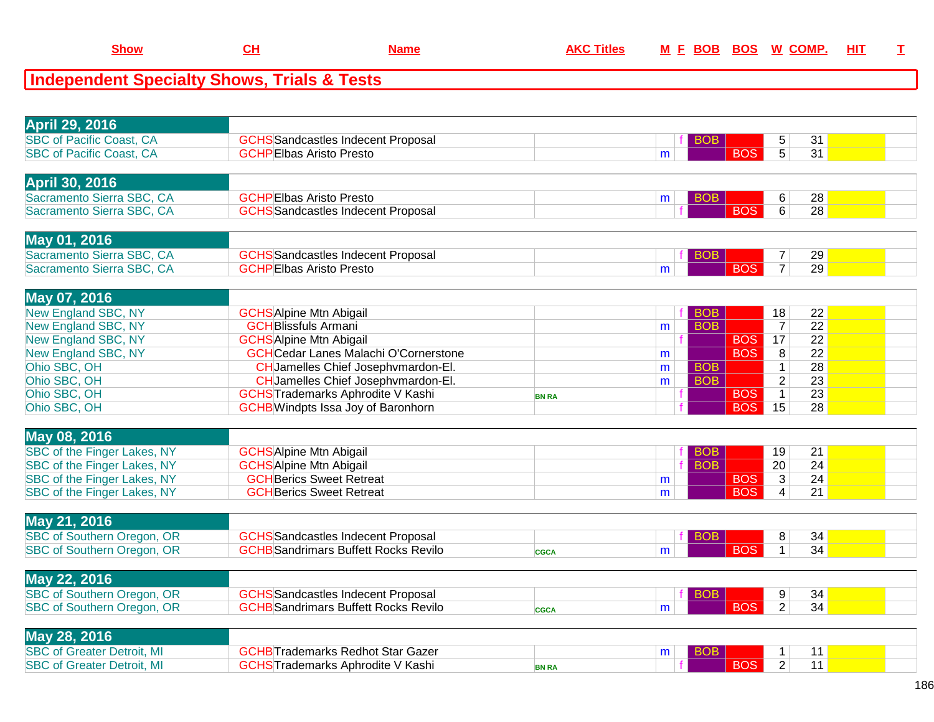| <b>April 29, 2016</b>                                              |                                                                             |              |   |            |            |                     |                 |  |
|--------------------------------------------------------------------|-----------------------------------------------------------------------------|--------------|---|------------|------------|---------------------|-----------------|--|
|                                                                    |                                                                             |              |   |            |            |                     |                 |  |
| <b>SBC of Pacific Coast, CA</b><br><b>SBC of Pacific Coast, CA</b> | <b>GCHS</b> Sandcastles Indecent Proposal<br><b>GCHPEIbas Aristo Presto</b> |              |   | <b>BOB</b> | <b>BOS</b> | 5<br>$\overline{5}$ | 31<br>31        |  |
|                                                                    |                                                                             |              | m |            |            |                     |                 |  |
|                                                                    |                                                                             |              |   |            |            |                     |                 |  |
| <b>April 30, 2016</b>                                              |                                                                             |              |   |            |            |                     |                 |  |
| Sacramento Sierra SBC, CA                                          | <b>GCHPEIbas Aristo Presto</b>                                              |              | m | <b>BOB</b> |            | 6                   | 28              |  |
| Sacramento Sierra SBC, CA                                          | <b>GCHS</b> Sandcastles Indecent Proposal                                   |              |   |            | <b>BOS</b> | 6                   | 28              |  |
|                                                                    |                                                                             |              |   |            |            |                     |                 |  |
| May 01, 2016                                                       |                                                                             |              |   |            |            |                     |                 |  |
| Sacramento Sierra SBC, CA                                          | <b>GCHS</b> Sandcastles Indecent Proposal                                   |              |   | <b>BOB</b> |            | $\boldsymbol{7}$    | 29              |  |
| Sacramento Sierra SBC, CA                                          | <b>GCHPEIbas Aristo Presto</b>                                              |              | m |            | <b>BOS</b> | $\overline{7}$      | 29              |  |
|                                                                    |                                                                             |              |   |            |            |                     |                 |  |
| May 07, 2016                                                       |                                                                             |              |   |            |            |                     |                 |  |
| New England SBC, NY                                                | <b>GCHS</b> Alpine Mtn Abigail                                              |              |   | <b>BOB</b> |            | 18                  | 22              |  |
| <b>New England SBC, NY</b>                                         | <b>GCH</b> Blissfuls Armani                                                 |              | m | <b>BOB</b> |            | $\overline{7}$      | 22              |  |
| New England SBC, NY                                                | <b>GCHS</b> Alpine Mtn Abigail                                              |              |   |            | <b>BOS</b> | 17                  | 22              |  |
| <b>New England SBC, NY</b>                                         | <b>GCHCedar Lanes Malachi O'Cornerstone</b>                                 |              | m |            | <b>BOS</b> | $\overline{8}$      | $\overline{22}$ |  |
| Ohio SBC, OH                                                       | CH Jamelles Chief Josephymardon-El.                                         |              | m | <b>BOB</b> |            | $\mathbf{1}$        | $\overline{28}$ |  |
| Ohio SBC, OH                                                       | CH Jamelles Chief Josephymardon-El.                                         |              | m | <b>BOB</b> |            | $\overline{2}$      | $\overline{23}$ |  |
| Ohio SBC, OH                                                       | <b>GCHSTrademarks Aphrodite V Kashi</b>                                     | <b>BN RA</b> |   |            | <b>BOS</b> | $\mathbf{1}$        | 23              |  |
| Ohio SBC, OH                                                       | <b>GCHB</b> Windpts Issa Joy of Baronhorn                                   |              |   |            | <b>BOS</b> | 15                  | 28              |  |
|                                                                    |                                                                             |              |   |            |            |                     |                 |  |
| May 08, 2016                                                       |                                                                             |              |   |            |            |                     |                 |  |
| SBC of the Finger Lakes, NY                                        | <b>GCHSAlpine Mtn Abigail</b>                                               |              |   | <b>BOB</b> |            | 19                  | 21              |  |
| SBC of the Finger Lakes, NY                                        | <b>GCHSAlpine Mtn Abigail</b>                                               |              |   | <b>BOB</b> |            | $\overline{20}$     | 24              |  |
| SBC of the Finger Lakes, NY                                        | <b>GCH</b> Berics Sweet Retreat                                             |              | m |            | <b>BOS</b> | $\overline{3}$      | 24              |  |
| SBC of the Finger Lakes, NY                                        | <b>GCH</b> Berics Sweet Retreat                                             |              | m |            | <b>BOS</b> | $\overline{4}$      | 21              |  |
|                                                                    |                                                                             |              |   |            |            |                     |                 |  |
| May 21, 2016                                                       |                                                                             |              |   |            |            |                     |                 |  |
| <b>SBC of Southern Oregon, OR</b>                                  | <b>GCHS</b> Sandcastles Indecent Proposal                                   |              |   | <b>BOB</b> |            | 8                   | 34              |  |
| <b>SBC of Southern Oregon, OR</b>                                  | <b>GCHB</b> Sandrimars Buffett Rocks Revilo                                 | CGCA         | m |            | <b>BOS</b> | $\mathbf{1}$        | 34              |  |
|                                                                    |                                                                             |              |   |            |            |                     |                 |  |
| May 22, 2016                                                       |                                                                             |              |   |            |            |                     |                 |  |
| <b>SBC of Southern Oregon, OR</b>                                  | <b>GCHS</b> Sandcastles Indecent Proposal                                   |              |   | <b>BOB</b> |            | 9                   | 34              |  |
| <b>SBC of Southern Oregon, OR</b>                                  | <b>GCHB</b> Sandrimars Buffett Rocks Revilo                                 | <b>CGCA</b>  | m |            | <b>BOS</b> | $\overline{2}$      | 34              |  |
|                                                                    |                                                                             |              |   |            |            |                     |                 |  |
| May 28, 2016                                                       |                                                                             |              |   |            |            |                     |                 |  |
| <b>SBC of Greater Detroit, MI</b>                                  | <b>GCHB</b> Trademarks Redhot Star Gazer                                    |              | m | <b>BOB</b> |            | $\mathbf{1}$        | 11              |  |
| <b>SBC of Greater Detroit, MI</b>                                  | <b>GCHS</b> Trademarks Aphrodite V Kashi                                    | <b>BN RA</b> |   |            | <b>BOS</b> | $\overline{2}$      | 11              |  |
|                                                                    |                                                                             |              |   |            |            |                     |                 |  |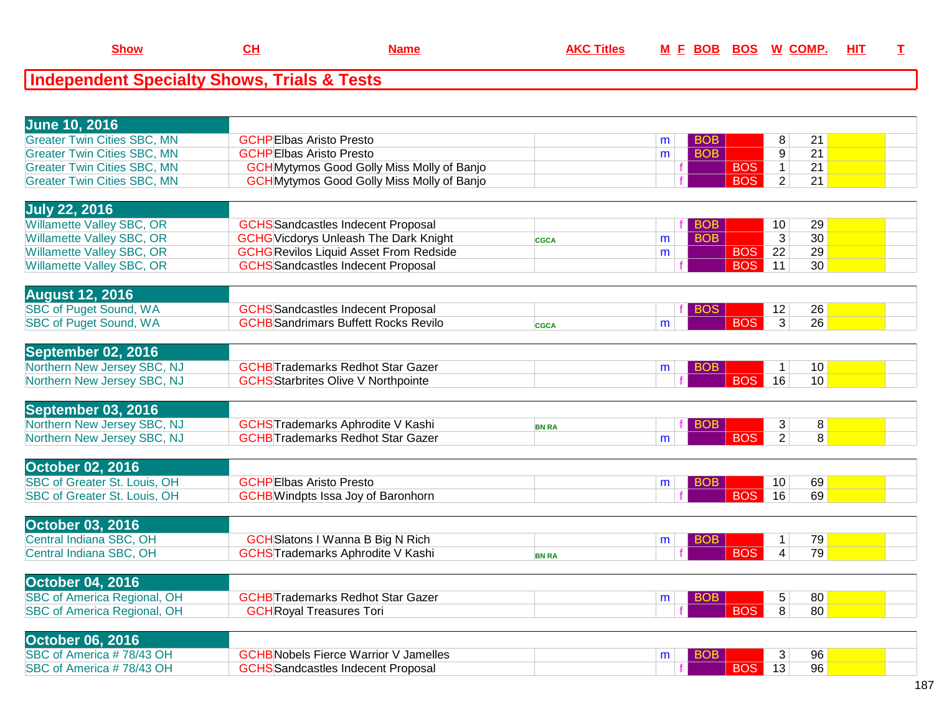| <b>June 10, 2016</b><br><b>Greater Twin Cities SBC, MN</b><br><b>GCHPEIbas Aristo Presto</b><br>8<br>21<br><b>BOB</b><br>m<br><b>Greater Twin Cities SBC, MN</b><br><b>BOB</b><br>9<br>21<br><b>GCHPEIbas Aristo Presto</b><br>m<br><b>Greater Twin Cities SBC, MN</b><br><b>GCH</b> Mytymos Good Golly Miss Molly of Banjo<br><b>BOS</b><br>$\mathbf{1}$<br>21<br><b>GCH</b> Mytymos Good Golly Miss Molly of Banjo<br>$\overline{2}$<br>21<br><b>Greater Twin Cities SBC, MN</b><br><b>BOS</b> |  |
|--------------------------------------------------------------------------------------------------------------------------------------------------------------------------------------------------------------------------------------------------------------------------------------------------------------------------------------------------------------------------------------------------------------------------------------------------------------------------------------------------|--|
|                                                                                                                                                                                                                                                                                                                                                                                                                                                                                                  |  |
|                                                                                                                                                                                                                                                                                                                                                                                                                                                                                                  |  |
|                                                                                                                                                                                                                                                                                                                                                                                                                                                                                                  |  |
|                                                                                                                                                                                                                                                                                                                                                                                                                                                                                                  |  |
|                                                                                                                                                                                                                                                                                                                                                                                                                                                                                                  |  |
|                                                                                                                                                                                                                                                                                                                                                                                                                                                                                                  |  |
| <b>July 22, 2016</b>                                                                                                                                                                                                                                                                                                                                                                                                                                                                             |  |
| <b>Willamette Valley SBC, OR</b><br><b>GCHS</b> Sandcastles Indecent Proposal<br>10<br>29<br><b>BOB</b>                                                                                                                                                                                                                                                                                                                                                                                          |  |
| <b>BOB</b><br>$\overline{3}$<br>30<br><b>Willamette Valley SBC, OR</b><br><b>GCHG</b> Vicdorys Unleash The Dark Knight<br>m<br><b>CGCA</b>                                                                                                                                                                                                                                                                                                                                                       |  |
| <b>Willamette Valley SBC, OR</b><br><b>GCHG Revilos Liquid Asset From Redside</b><br>BOS  <br>$\overline{22}$<br>29<br>m                                                                                                                                                                                                                                                                                                                                                                         |  |
| <b>Willamette Valley SBC, OR</b><br><b>GCHS</b> Sandcastles Indecent Proposal<br><b>BOS</b><br>11<br>30 <sup>7</sup>                                                                                                                                                                                                                                                                                                                                                                             |  |
|                                                                                                                                                                                                                                                                                                                                                                                                                                                                                                  |  |
| <b>August 12, 2016</b>                                                                                                                                                                                                                                                                                                                                                                                                                                                                           |  |
| <b>SBC of Puget Sound, WA</b><br><b>GCHS</b> Sandcastles Indecent Proposal<br>26<br>12<br><b>BOS</b>                                                                                                                                                                                                                                                                                                                                                                                             |  |
| <b>SBC of Puget Sound, WA</b><br>$\overline{26}$<br><b>GCHB</b> Sandrimars Buffett Rocks Revilo<br>$\overline{3}$<br><b>BOS</b><br>m<br><b>CGCA</b>                                                                                                                                                                                                                                                                                                                                              |  |
|                                                                                                                                                                                                                                                                                                                                                                                                                                                                                                  |  |
| <b>September 02, 2016</b>                                                                                                                                                                                                                                                                                                                                                                                                                                                                        |  |
| Northern New Jersey SBC, NJ<br><b>GCHBT</b> rademarks Redhot Star Gazer<br>10 <sup>1</sup><br><b>BOB</b><br>$\mathbf{1}$<br>m                                                                                                                                                                                                                                                                                                                                                                    |  |
| Northern New Jersey SBC, NJ<br><b>BOS</b><br>16<br>10<br><b>GCHS</b> Starbrites Olive V Northpointe                                                                                                                                                                                                                                                                                                                                                                                              |  |
|                                                                                                                                                                                                                                                                                                                                                                                                                                                                                                  |  |
| <b>September 03, 2016</b>                                                                                                                                                                                                                                                                                                                                                                                                                                                                        |  |
| Northern New Jersey SBC, NJ<br><b>GCHSTrademarks Aphrodite V Kashi</b><br>8<br><b>BOB</b><br>3<br><b>BN RA</b>                                                                                                                                                                                                                                                                                                                                                                                   |  |
| Northern New Jersey SBC, NJ<br>$\overline{2}$<br>$\overline{8}$<br><b>GCHB</b> Trademarks Redhot Star Gazer<br><b>BOS</b><br>m                                                                                                                                                                                                                                                                                                                                                                   |  |
|                                                                                                                                                                                                                                                                                                                                                                                                                                                                                                  |  |
| <b>October 02, 2016</b>                                                                                                                                                                                                                                                                                                                                                                                                                                                                          |  |
| SBC of Greater St. Louis, OH<br><b>GCHPEIbas Aristo Presto</b><br>69<br>10 <sup>°</sup><br><b>BOB</b><br>m                                                                                                                                                                                                                                                                                                                                                                                       |  |
| <b>BOS</b><br>16<br>69<br>SBC of Greater St. Louis, OH<br><b>GCHB</b> Windpts Issa Joy of Baronhorn                                                                                                                                                                                                                                                                                                                                                                                              |  |
|                                                                                                                                                                                                                                                                                                                                                                                                                                                                                                  |  |
| <b>October 03, 2016</b>                                                                                                                                                                                                                                                                                                                                                                                                                                                                          |  |
| Central Indiana SBC, OH<br><b>GCH</b> Slatons I Wanna B Big N Rich<br>79<br><b>BOB</b><br>$\mathbf{1}$<br>m                                                                                                                                                                                                                                                                                                                                                                                      |  |
| <b>BOS</b><br>$\overline{4}$<br>79<br>Central Indiana SBC, OH<br><b>GCHSTrademarks Aphrodite V Kashi</b><br><b>BN RA</b>                                                                                                                                                                                                                                                                                                                                                                         |  |
|                                                                                                                                                                                                                                                                                                                                                                                                                                                                                                  |  |
| <b>October 04, 2016</b>                                                                                                                                                                                                                                                                                                                                                                                                                                                                          |  |
| <b>SBC of America Regional, OH</b><br><b>GCHB</b> Trademarks Redhot Star Gazer<br>5<br>80<br><b>BOB</b><br>m                                                                                                                                                                                                                                                                                                                                                                                     |  |
| <b>BOS</b><br>80<br><b>SBC of America Regional, OH</b><br>8<br><b>GCH</b> Royal Treasures Tori                                                                                                                                                                                                                                                                                                                                                                                                   |  |
|                                                                                                                                                                                                                                                                                                                                                                                                                                                                                                  |  |
| <b>October 06, 2016</b>                                                                                                                                                                                                                                                                                                                                                                                                                                                                          |  |
| SBC of America #78/43 OH<br><b>GCHB</b> Nobels Fierce Warrior V Jamelles<br>96<br><b>BOB</b><br>3<br>m                                                                                                                                                                                                                                                                                                                                                                                           |  |
| BOS  <br>$\overline{13}$<br>96<br>SBC of America #78/43 OH<br><b>GCHS</b> Sandcastles Indecent Proposal                                                                                                                                                                                                                                                                                                                                                                                          |  |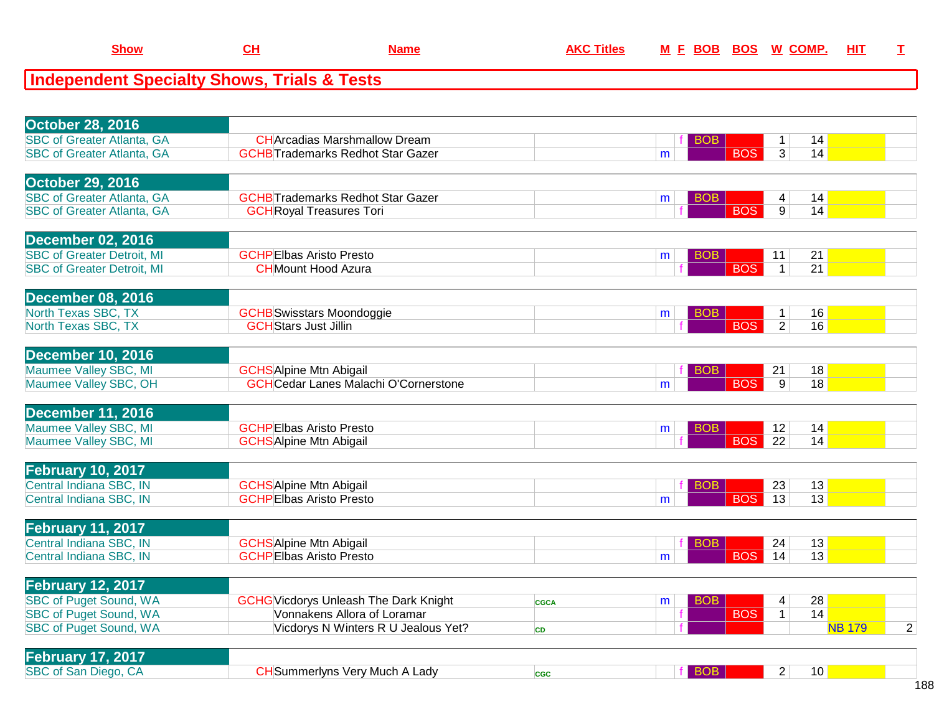| _how | AL. | ame | вов | <b>BOS</b> | M | - 1115<br>ш |  |
|------|-----|-----|-----|------------|---|-------------|--|
|      |     |     |     |            |   |             |  |

| <b>October 28, 2016</b>           |                                              |             |                 |                               |                 |                |
|-----------------------------------|----------------------------------------------|-------------|-----------------|-------------------------------|-----------------|----------------|
| <b>SBC of Greater Atlanta, GA</b> | <b>CH</b> Arcadias Marshmallow Dream         |             | BOB.            | 1                             | 14              |                |
| <b>SBC of Greater Atlanta, GA</b> | <b>GCHB</b> Trademarks Redhot Star Gazer     |             | m               | <b>BOS</b><br>3               | 14              |                |
|                                   |                                              |             |                 |                               |                 |                |
| <b>October 29, 2016</b>           |                                              |             |                 |                               |                 |                |
| <b>SBC of Greater Atlanta, GA</b> | <b>GCHB</b> Trademarks Redhot Star Gazer     |             | <b>BOB</b><br>m | 4                             | 14              |                |
| <b>SBC of Greater Atlanta, GA</b> | <b>GCH</b> Royal Treasures Tori              |             |                 | <b>BOS</b><br>$\overline{9}$  | 14              |                |
|                                   |                                              |             |                 |                               |                 |                |
| <b>December 02, 2016</b>          |                                              |             |                 |                               |                 |                |
| <b>SBC of Greater Detroit, MI</b> | <b>GCHPEIbas Aristo Presto</b>               |             | <b>BOB</b><br>m | 11                            | 21              |                |
| <b>SBC of Greater Detroit, MI</b> | <b>CH</b> Mount Hood Azura                   |             |                 | <b>BOS</b><br>$\mathbf{1}$    | 21              |                |
|                                   |                                              |             |                 |                               |                 |                |
| <b>December 08, 2016</b>          |                                              |             |                 |                               |                 |                |
|                                   |                                              |             |                 |                               |                 |                |
| North Texas SBC, TX               | <b>GCHB</b> Swisstars Moondoggie             |             | <b>BOB</b><br>m | $\mathbf{1}$                  | 16              |                |
| North Texas SBC, TX               | <b>GCH</b> Stars Just Jillin                 |             |                 | <b>BOS</b><br>$\overline{2}$  | 16              |                |
|                                   |                                              |             |                 |                               |                 |                |
| <b>December 10, 2016</b>          |                                              |             |                 |                               |                 |                |
| Maumee Valley SBC, MI             | <b>GCHS</b> Alpine Mtn Abigail               |             | <b>BOB</b>      | 21                            | 18              |                |
| Maumee Valley SBC, OH             | <b>GCH</b> Cedar Lanes Malachi O'Cornerstone |             | m               | <b>BOS</b><br>$\overline{9}$  | 18              |                |
|                                   |                                              |             |                 |                               |                 |                |
| <b>December 11, 2016</b>          |                                              |             |                 |                               |                 |                |
| Maumee Valley SBC, MI             | <b>GCHPEIbas Aristo Presto</b>               |             | <b>BOB</b><br>m | 12                            | 14              |                |
| Maumee Valley SBC, MI             | <b>GCHS</b> Alpine Mtn Abigail               |             |                 | <b>BOS</b><br>$\overline{22}$ | 14              |                |
|                                   |                                              |             |                 |                               |                 |                |
| <b>February 10, 2017</b>          |                                              |             |                 |                               |                 |                |
| Central Indiana SBC, IN           | <b>GCHS</b> Alpine Mtn Abigail               |             | <b>BOB</b>      | 23                            | 13              |                |
| Central Indiana SBC, IN           | <b>GCHPEIbas Aristo Presto</b>               |             | m               | <b>BOS</b><br>13              | 13              |                |
|                                   |                                              |             |                 |                               |                 |                |
| <b>February 11, 2017</b>          |                                              |             |                 |                               |                 |                |
| Central Indiana SBC, IN           | <b>GCHS</b> Alpine Mtn Abigail               |             | BOB.            | 24                            | 13              |                |
| Central Indiana SBC, IN           | <b>GCHPEIbas Aristo Presto</b>               |             | m               | <b>BOS</b><br>$\overline{14}$ | $\overline{13}$ |                |
|                                   |                                              |             |                 |                               |                 |                |
| <b>February 12, 2017</b>          |                                              |             |                 |                               |                 |                |
| <b>SBC of Puget Sound, WA</b>     | <b>GCHG</b> Vicdorys Unleash The Dark Knight | <b>CGCA</b> | <b>BOB</b><br>m | 4                             | 28              |                |
| <b>SBC of Puget Sound, WA</b>     | Vonnakens Allora of Loramar                  |             | <b>BOS</b>      | $\mathbf 1$                   | 14              |                |
| <b>SBC of Puget Sound, WA</b>     | Vicdorys N Winters R U Jealous Yet?          | <b>CD</b>   |                 |                               | <b>NB 179</b>   | $\overline{2}$ |
|                                   |                                              |             |                 |                               |                 |                |
| February 17, 2017                 |                                              |             |                 |                               |                 |                |
| SBC of San Diego, CA              | <b>CH</b> Summerlyns Very Much A Lady        | <b>CGC</b>  | f BOB           | $\overline{2}$                | 10              |                |
|                                   |                                              |             |                 |                               |                 |                |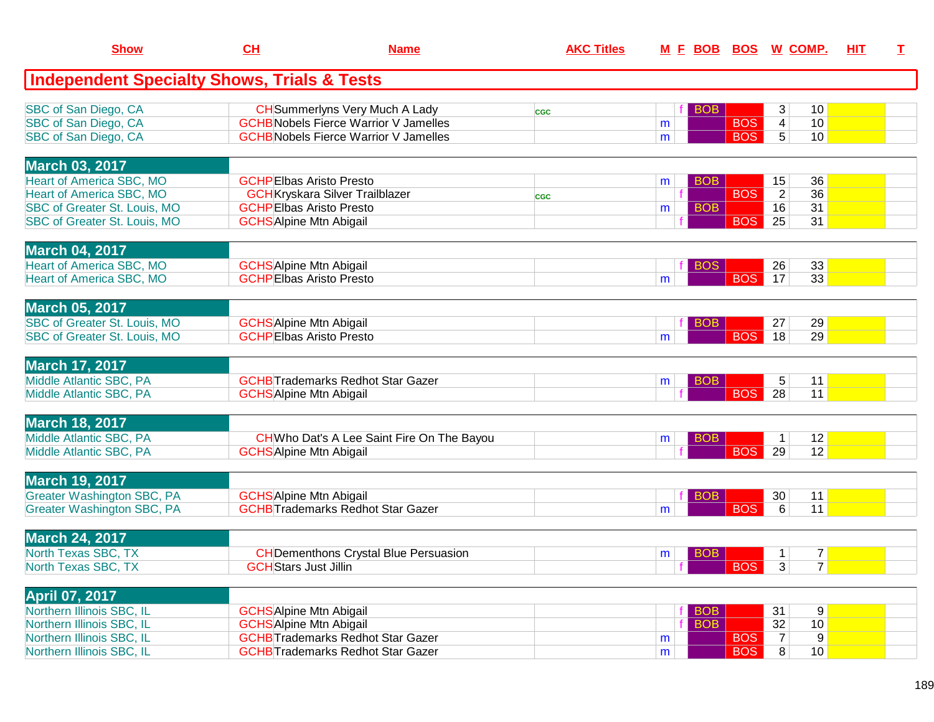| <b>Show</b>                                            | CL                                                               | <b>Name</b>                                  | <b>AKC Titles</b> | <u>M F BOB</u>  | <b>BOS</b>                  | <u>W_COMP.</u>                    | HIT | I |
|--------------------------------------------------------|------------------------------------------------------------------|----------------------------------------------|-------------------|-----------------|-----------------------------|-----------------------------------|-----|---|
| <b>Independent Specialty Shows, Trials &amp; Tests</b> |                                                                  |                                              |                   |                 |                             |                                   |     |   |
| SBC of San Diego, CA                                   |                                                                  | <b>CH</b> Summerlyns Very Much A Lady        | <b>CGC</b>        | <b>BOB</b>      |                             | 3<br>10                           |     |   |
| SBC of San Diego, CA                                   |                                                                  | <b>GCHB</b> Nobels Fierce Warrior V Jamelles |                   | m               | <b>BOS</b>                  | $\vert 4 \vert$<br>10             |     |   |
| SBC of San Diego, CA                                   |                                                                  | <b>GCHB</b> Nobels Fierce Warrior V Jamelles |                   | m               | <b>BOS</b>                  | 5 <sup>1</sup><br>10              |     |   |
| <b>March 03, 2017</b>                                  |                                                                  |                                              |                   |                 |                             |                                   |     |   |
| <b>Heart of America SBC, MO</b>                        | <b>GCHPEIbas Aristo Presto</b>                                   |                                              |                   | <b>BOB</b><br>m |                             | 36<br>15                          |     |   |
| <b>Heart of America SBC, MO</b>                        |                                                                  | <b>GCH</b> Kryskara Silver Trailblazer       | <b>CGC</b>        |                 | <b>BOS</b>                  | $\overline{2}$<br>36              |     |   |
| SBC of Greater St. Louis, MO                           | <b>GCHPEIbas Aristo Presto</b>                                   |                                              |                   | <b>BOB</b><br>m |                             | 31<br>16                          |     |   |
| SBC of Greater St. Louis, MO                           | <b>GCHS</b> Alpine Mtn Abigail                                   |                                              |                   |                 | <b>BOS</b>                  | 25<br>31                          |     |   |
| <b>March 04, 2017</b>                                  |                                                                  |                                              |                   |                 |                             |                                   |     |   |
| <b>Heart of America SBC, MO</b>                        | <b>GCHS</b> Alpine Mtn Abigail                                   |                                              |                   | <b>BOS</b>      |                             | 33<br>26                          |     |   |
| Heart of America SBC, MO                               | <b>GCHPEIbas Aristo Presto</b>                                   |                                              |                   | m               | <b>BOS</b>                  | 33<br>17                          |     |   |
|                                                        |                                                                  |                                              |                   |                 |                             |                                   |     |   |
| <b>March 05, 2017</b><br>SBC of Greater St. Louis, MO  |                                                                  |                                              |                   | <b>BOB</b>      |                             | 29<br>27                          |     |   |
| <b>SBC of Greater St. Louis, MO</b>                    | <b>GCHS</b> Alpine Mtn Abigail<br><b>GCHPElbas Aristo Presto</b> |                                              |                   | m               | <b>BOS</b>                  | 29<br>18                          |     |   |
|                                                        |                                                                  |                                              |                   |                 |                             |                                   |     |   |
| <b>March 17, 2017</b>                                  |                                                                  |                                              |                   |                 |                             |                                   |     |   |
| Middle Atlantic SBC, PA                                |                                                                  | <b>GCHB</b> Trademarks Redhot Star Gazer     |                   | <b>BOB</b><br>m |                             | 5<br>11                           |     |   |
| Middle Atlantic SBC, PA                                | <b>GCHS</b> Alpine Mtn Abigail                                   |                                              |                   |                 | <b>BOS</b>                  | 28<br>11                          |     |   |
| <b>March 18, 2017</b>                                  |                                                                  |                                              |                   |                 |                             |                                   |     |   |
| Middle Atlantic SBC, PA                                |                                                                  | CHWho Dat's A Lee Saint Fire On The Bayou    |                   | <b>BOB</b><br>m |                             | 12<br>$\mathbf{1}$                |     |   |
| Middle Atlantic SBC, PA                                | <b>GCHS</b> Alpine Mtn Abigail                                   |                                              |                   |                 | <b>BOS</b>                  | 12<br>29                          |     |   |
| <b>March 19, 2017</b>                                  |                                                                  |                                              |                   |                 |                             |                                   |     |   |
| <b>Greater Washington SBC, PA</b>                      | <b>GCHS</b> Alpine Mtn Abigail                                   |                                              |                   | <b>BOB</b>      |                             | 30 <sup>°</sup><br>11             |     |   |
| <b>Greater Washington SBC, PA</b>                      |                                                                  | <b>GCHBTrademarks Redhot Star Gazer</b>      |                   | m               | <b>BOS</b>                  | 11<br>6                           |     |   |
|                                                        |                                                                  |                                              |                   |                 |                             |                                   |     |   |
| <b>March 24, 2017</b>                                  |                                                                  |                                              |                   |                 |                             |                                   |     |   |
| North Texas SBC, TX                                    |                                                                  | <b>CH</b> Dementhons Crystal Blue Persuasion |                   | <b>BOB</b><br>m |                             | 7 <sup>1</sup><br>1               |     |   |
| North Texas SBC, TX                                    | <b>GCH</b> Stars Just Jillin                                     |                                              |                   |                 | $\parallel$ BOS $\parallel$ | 7 <sup>1</sup><br> 3              |     |   |
| <b>April 07, 2017</b>                                  |                                                                  |                                              |                   |                 |                             |                                   |     |   |
| Northern Illinois SBC, IL                              | <b>GCHS</b> Alpine Mtn Abigail                                   |                                              |                   | <b>BOB</b>      |                             | 9<br>31                           |     |   |
| Northern Illinois SBC, IL                              | <b>GCHS</b> Alpine Mtn Abigail                                   |                                              |                   | <b>BOB</b>      |                             | 32<br>10                          |     |   |
| Northern Illinois SBC, IL                              |                                                                  | <b>GCHBTrademarks Redhot Star Gazer</b>      |                   | m               | <b>BOS</b>                  | 9<br>$\overline{7}$               |     |   |
| Northern Illinois SBC, IL                              |                                                                  | <b>GCHB</b> Trademarks Redhot Star Gazer     |                   | m               | <b>BOS</b>                  | 8 <sup>1</sup><br>10 <sup>1</sup> |     |   |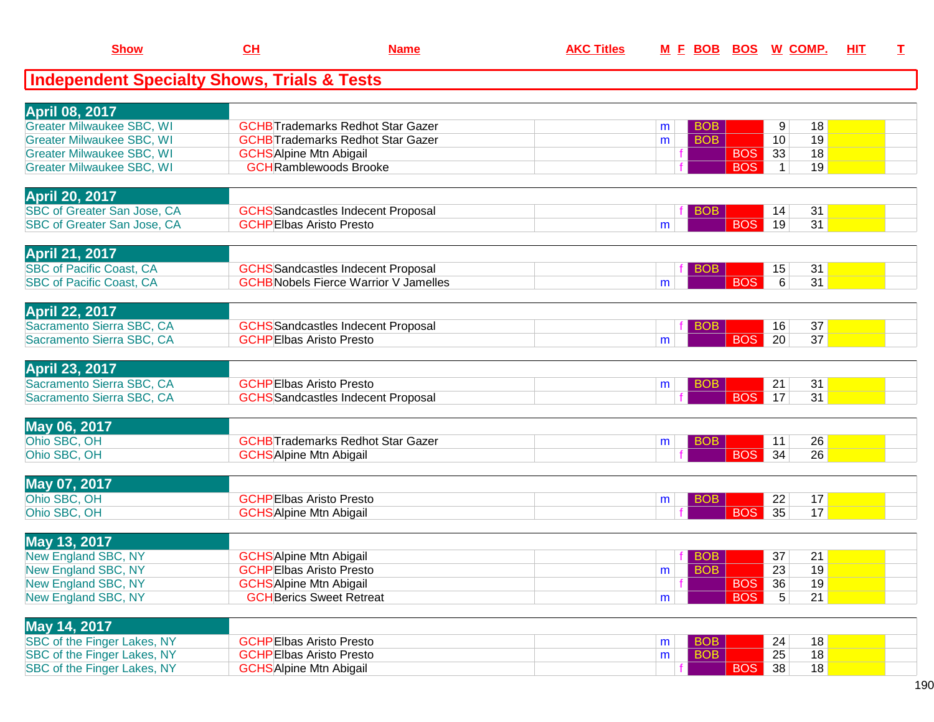| <b>Show</b>                                            | CH                              | <b>Name</b>                                  | <b>AKC Titles</b> |   | M E BOB BOS W COMP. |            |              |          | <b>HIT</b> | $\mathbf I$ |
|--------------------------------------------------------|---------------------------------|----------------------------------------------|-------------------|---|---------------------|------------|--------------|----------|------------|-------------|
| <b>Independent Specialty Shows, Trials &amp; Tests</b> |                                 |                                              |                   |   |                     |            |              |          |            |             |
| <b>April 08, 2017</b>                                  |                                 |                                              |                   |   |                     |            |              |          |            |             |
| <b>Greater Milwaukee SBC, WI</b>                       |                                 | <b>GCHB</b> Trademarks Redhot Star Gazer     |                   | m | <b>BOB</b>          |            | 9            | 18       |            |             |
| <b>Greater Milwaukee SBC, WI</b>                       |                                 | <b>GCHB</b> Trademarks Redhot Star Gazer     |                   | m | <b>BOB</b>          |            | 10           | 19       |            |             |
| <b>Greater Milwaukee SBC, WI</b>                       | <b>GCHS</b> Alpine Mtn Abigail  |                                              |                   |   |                     | <b>BOS</b> | 33           | 18       |            |             |
| <b>Greater Milwaukee SBC, WI</b>                       | <b>GCH</b> Ramblewoods Brooke   |                                              |                   |   |                     | <b>BOS</b> | $\mathbf{1}$ | 19       |            |             |
| <b>April 20, 2017</b>                                  |                                 |                                              |                   |   |                     |            |              |          |            |             |
| SBC of Greater San Jose, CA                            |                                 | <b>GCHS</b> Sandcastles Indecent Proposal    |                   |   | <b>BOB</b>          |            | 14           | 31       |            |             |
| <b>SBC of Greater San Jose, CA</b>                     | <b>GCHPEIbas Aristo Presto</b>  |                                              |                   | m |                     | <b>BOS</b> | 19           | 31       |            |             |
| <b>April 21, 2017</b>                                  |                                 |                                              |                   |   |                     |            |              |          |            |             |
| <b>SBC of Pacific Coast, CA</b>                        |                                 | <b>GCHS</b> Sandcastles Indecent Proposal    |                   |   | <b>BOB</b>          |            | 15           | 31       |            |             |
| <b>SBC of Pacific Coast, CA</b>                        |                                 | <b>GCHB</b> Nobels Fierce Warrior V Jamelles |                   | m |                     | <b>BOS</b> | 6            | 31       |            |             |
| <b>April 22, 2017</b>                                  |                                 |                                              |                   |   |                     |            |              |          |            |             |
| Sacramento Sierra SBC, CA                              |                                 | <b>GCHS</b> Sandcastles Indecent Proposal    |                   |   | <b>BOB</b>          |            | 16           | 37       |            |             |
| Sacramento Sierra SBC, CA                              | <b>GCHPEIbas Aristo Presto</b>  |                                              |                   | m |                     | <b>BOS</b> | 20           | 37       |            |             |
|                                                        |                                 |                                              |                   |   |                     |            |              |          |            |             |
| <b>April 23, 2017</b><br>Sacramento Sierra SBC, CA     | <b>GCHPEIbas Aristo Presto</b>  |                                              |                   |   |                     |            |              |          |            |             |
| Sacramento Sierra SBC, CA                              |                                 | <b>GCHS</b> Sandcastles Indecent Proposal    |                   | m | <b>BOB</b>          | <b>BOS</b> | 21<br>17     | 31<br>31 |            |             |
|                                                        |                                 |                                              |                   |   |                     |            |              |          |            |             |
| May 06, 2017                                           |                                 |                                              |                   |   |                     |            |              |          |            |             |
| Ohio SBC, OH                                           |                                 | <b>GCHB</b> Trademarks Redhot Star Gazer     |                   | m | <b>BOB</b>          |            | 11           | 26       |            |             |
| Ohio SBC, OH                                           | <b>GCHS</b> Alpine Mtn Abigail  |                                              |                   |   |                     | <b>BOS</b> | 34           | 26       |            |             |
| May 07, 2017                                           |                                 |                                              |                   |   |                     |            |              |          |            |             |
| Ohio SBC, OH                                           | <b>GCHPEIbas Aristo Presto</b>  |                                              |                   | m | <b>BOB</b>          |            | 22           | 17       |            |             |
| Ohio SBC, OH                                           | <b>GCHS</b> Alpine Mtn Abigail  |                                              |                   |   |                     | <b>BOS</b> | 35           | 17       |            |             |
| May 13, 2017                                           |                                 |                                              |                   |   |                     |            |              |          |            |             |
| New England SBC, NY                                    | <b>GCHS</b> Alpine Mtn Abigail  |                                              |                   |   | <b>BOB</b>          |            | 37           | 21       |            |             |
| <b>New England SBC, NY</b>                             | <b>GCHPEIbas Aristo Presto</b>  |                                              |                   | m | <b>BOB</b>          |            | 23           | 19       |            |             |
| New England SBC, NY                                    | <b>GCHS</b> Alpine Mtn Abigail  |                                              |                   |   |                     | BOS        | 36           | 19       |            |             |
| New England SBC, NY                                    | <b>GCH</b> Berics Sweet Retreat |                                              |                   | m |                     | <b>BOS</b> | 5            | 21       |            |             |
| May 14, 2017                                           |                                 |                                              |                   |   |                     |            |              |          |            |             |
| SBC of the Finger Lakes, NY                            | <b>GCHPEIbas Aristo Presto</b>  |                                              |                   | m | <b>BOB</b>          |            | 24           | 18       |            |             |
| SBC of the Finger Lakes, NY                            | <b>GCHPEIbas Aristo Presto</b>  |                                              |                   | m | <b>BOB</b>          |            | 25           | 18       |            |             |
| SBC of the Finger Lakes, NY                            | <b>GCHS</b> Alpine Mtn Abigail  |                                              |                   |   |                     | <b>BOS</b> | 38           | 18       |            |             |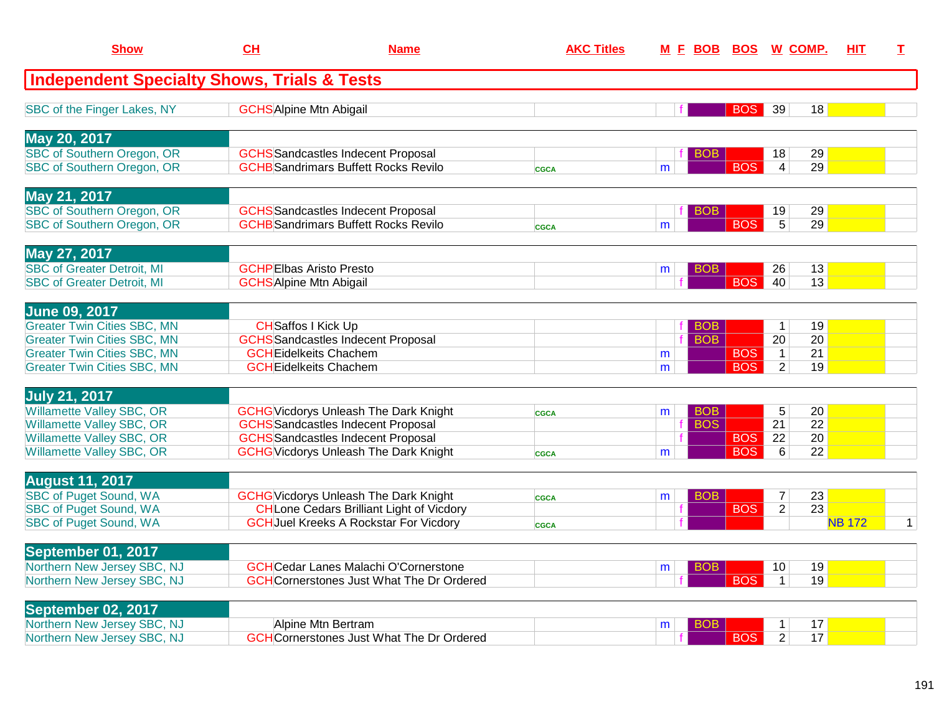| <b>Show</b>                                                   | <b>CH</b>                      | <b>Name</b>                                                                            | <b>AKC Titles</b> |   |            | M F BOB BOS W COMP.      |                                |                       | <b>HIT</b>    | T.           |
|---------------------------------------------------------------|--------------------------------|----------------------------------------------------------------------------------------|-------------------|---|------------|--------------------------|--------------------------------|-----------------------|---------------|--------------|
| <b>Independent Specialty Shows, Trials &amp; Tests</b>        |                                |                                                                                        |                   |   |            |                          |                                |                       |               |              |
| SBC of the Finger Lakes, NY                                   | <b>GCHS</b> Alpine Mtn Abigail |                                                                                        |                   |   |            | <b>BOS</b> 39            |                                | 18                    |               |              |
| May 20, 2017                                                  |                                |                                                                                        |                   |   |            |                          |                                |                       |               |              |
| SBC of Southern Oregon, OR                                    |                                | <b>GCHS</b> Sandcastles Indecent Proposal                                              |                   |   | <b>BOB</b> |                          | 18                             | 29                    |               |              |
| SBC of Southern Oregon, OR                                    |                                | <b>GCHB</b> Sandrimars Buffett Rocks Revilo                                            | <b>CGCA</b>       | m |            | <b>BOS</b>               | $\overline{4}$                 | 29                    |               |              |
| May 21, 2017                                                  |                                |                                                                                        |                   |   |            |                          |                                |                       |               |              |
| <b>SBC of Southern Oregon, OR</b>                             |                                | <b>GCHS</b> Sandcastles Indecent Proposal                                              |                   |   | BOB        |                          | 19                             | 29                    |               |              |
| SBC of Southern Oregon, OR                                    |                                | <b>GCHB</b> Sandrimars Buffett Rocks Revilo                                            | <b>CGCA</b>       | m |            | <b>BOS</b>               | $5\overline{)}$                | 29                    |               |              |
| May 27, 2017                                                  |                                |                                                                                        |                   |   |            |                          |                                |                       |               |              |
| <b>SBC of Greater Detroit, MI</b>                             |                                | <b>GCHPEIbas Aristo Presto</b>                                                         |                   | m | <b>BOB</b> |                          | 26                             | 13                    |               |              |
| <b>SBC of Greater Detroit, MI</b>                             | <b>GCHS</b> Alpine Mtn Abigail |                                                                                        |                   |   |            | <b>BOS</b>               | 40                             | 13                    |               |              |
| <b>June 09, 2017</b>                                          |                                |                                                                                        |                   |   |            |                          |                                |                       |               |              |
| <b>Greater Twin Cities SBC, MN</b>                            |                                | <b>CH</b> Saffos I Kick Up                                                             |                   |   | <b>BOB</b> |                          | $\mathbf{1}$                   | 19                    |               |              |
| <b>Greater Twin Cities SBC, MN</b>                            |                                | <b>GCHS</b> Sandcastles Indecent Proposal                                              |                   |   | <b>BOB</b> |                          | 20                             | 20                    |               |              |
| <b>Greater Twin Cities SBC, MN</b>                            |                                | <b>GCH</b> Eidelkeits Chachem<br><b>GCHEidelkeits Chachem</b>                          |                   | m |            | <b>BOS</b><br><b>BOS</b> | $\mathbf{1}$<br>$\overline{2}$ | 21<br>19              |               |              |
| <b>Greater Twin Cities SBC, MN</b>                            |                                |                                                                                        |                   | m |            |                          |                                |                       |               |              |
| <b>July 21, 2017</b>                                          |                                |                                                                                        |                   |   |            |                          |                                |                       |               |              |
| <b>Willamette Valley SBC, OR</b>                              |                                | <b>GCHG</b> Vicdorys Unleash The Dark Knight                                           | <b>CGCA</b>       | m | <b>BOB</b> |                          | 5                              | 20                    |               |              |
| <b>Willamette Valley SBC, OR</b><br>Willamette Valley SBC, OR |                                | <b>GCHS</b> Sandcastles Indecent Proposal<br><b>GCHS</b> Sandcastles Indecent Proposal |                   |   | <b>BOS</b> | <b>BOS</b>               | $\overline{21}$<br>22          | $\overline{22}$<br>20 |               |              |
| Willamette Valley SBC, OR                                     |                                | <b>GCHG</b> Vicdorys Unleash The Dark Knight                                           | <b>CGCA</b>       | m |            | <b>BOS</b>               | 6                              | $\overline{22}$       |               |              |
|                                                               |                                |                                                                                        |                   |   |            |                          |                                |                       |               |              |
| <b>August 11, 2017</b>                                        |                                |                                                                                        |                   |   |            |                          |                                |                       |               |              |
| <b>SBC of Puget Sound, WA</b>                                 |                                | <b>GCHG</b> Vicdorys Unleash The Dark Knight                                           | <b>CGCA</b>       | m | <b>BOB</b> |                          | $\overline{7}$                 | 23                    |               |              |
| <b>SBC of Puget Sound, WA</b>                                 |                                | <b>CH</b> Lone Cedars Brilliant Light of Vicdory                                       |                   | f |            | <b>BOS</b>               | $\overline{2}$                 | $\overline{23}$       |               |              |
| <b>SBC of Puget Sound, WA</b>                                 |                                | <b>GCH</b> Juel Kreeks A Rockstar For Vicdory                                          | <b>CGCA</b>       |   |            |                          |                                |                       | <b>NB 172</b> | $\mathbf{1}$ |
| September 01, 2017                                            |                                |                                                                                        |                   |   |            |                          |                                |                       |               |              |
| Northern New Jersey SBC, NJ                                   |                                | <b>GCH</b> Cedar Lanes Malachi O'Cornerstone                                           |                   | m | <b>BOB</b> |                          | 10 <sup>°</sup>                | 19                    |               |              |
| Northern New Jersey SBC, NJ                                   |                                | <b>GCH</b> Cornerstones Just What The Dr Ordered                                       |                   |   |            | <b>BOS</b>               | $\mathbf{1}$                   | 19                    |               |              |
| September 02, 2017                                            |                                |                                                                                        |                   |   |            |                          |                                |                       |               |              |
| Northern New Jersey SBC, NJ                                   |                                | Alpine Mtn Bertram                                                                     |                   | m | BOB        |                          | $\mathbf 1$                    | 17                    |               |              |
| Northern New Jersey SBC, NJ                                   |                                | <b>GCH</b> Cornerstones Just What The Dr Ordered                                       |                   |   |            | <b>BOS</b>               | $\overline{2}$                 | 17                    |               |              |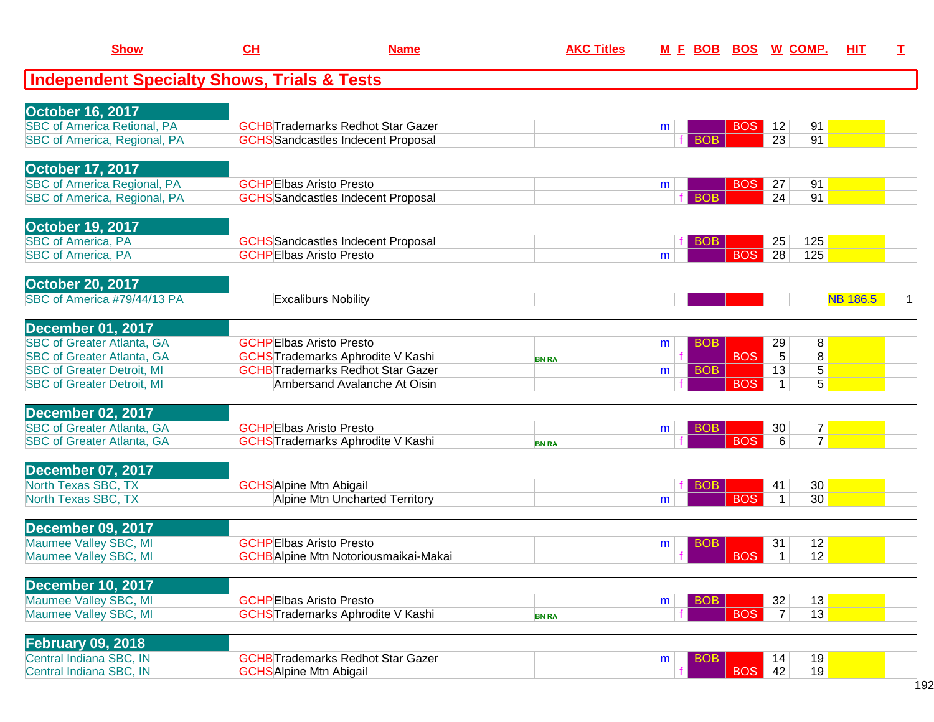| <b>Show</b>                                            | CH                             | <b>Name</b>                                  | <b>AKC Titles</b> | M E BOB BOS W COMP. |            |                 |                 | HIT             | I |
|--------------------------------------------------------|--------------------------------|----------------------------------------------|-------------------|---------------------|------------|-----------------|-----------------|-----------------|---|
| <b>Independent Specialty Shows, Trials &amp; Tests</b> |                                |                                              |                   |                     |            |                 |                 |                 |   |
| <b>October 16, 2017</b>                                |                                |                                              |                   |                     |            |                 |                 |                 |   |
| <b>SBC of America Retional, PA</b>                     |                                | <b>GCHB</b> Trademarks Redhot Star Gazer     |                   | m                   | <b>BOS</b> | 12              | 91              |                 |   |
| SBC of America, Regional, PA                           |                                | <b>GCHS</b> Sandcastles Indecent Proposal    |                   | <b>BOB</b>          |            | 23              | 91              |                 |   |
| <b>October 17, 2017</b>                                |                                |                                              |                   |                     |            |                 |                 |                 |   |
| <b>SBC of America Regional, PA</b>                     | <b>GCHPEIbas Aristo Presto</b> |                                              |                   | m                   | <b>BOS</b> | 27              | 91              |                 |   |
| SBC of America, Regional, PA                           |                                | <b>GCHS</b> Sandcastles Indecent Proposal    |                   | <b>BOB</b>          |            | 24              | 91              |                 |   |
| <b>October 19, 2017</b>                                |                                |                                              |                   |                     |            |                 |                 |                 |   |
| <b>SBC of America, PA</b>                              |                                | <b>GCHS</b> Sandcastles Indecent Proposal    |                   | <b>BOB</b>          |            | 25              | 125             |                 |   |
| <b>SBC of America, PA</b>                              | <b>GCHPEIbas Aristo Presto</b> |                                              |                   | m                   | <b>BOS</b> | 28              | 125             |                 |   |
| <b>October 20, 2017</b>                                |                                |                                              |                   |                     |            |                 |                 |                 |   |
| SBC of America #79/44/13 PA                            |                                | <b>Excaliburs Nobility</b>                   |                   |                     |            |                 |                 | <b>NB 186.5</b> | 1 |
| <b>December 01, 2017</b>                               |                                |                                              |                   |                     |            |                 |                 |                 |   |
| <b>SBC of Greater Atlanta, GA</b>                      | <b>GCHPEIbas Aristo Presto</b> |                                              |                   | <b>BOB</b><br>m     |            | 29              | 8               |                 |   |
| <b>SBC of Greater Atlanta, GA</b>                      |                                | <b>GCHS</b> Trademarks Aphrodite V Kashi     | <b>BN RA</b>      |                     | <b>BOS</b> | $\overline{5}$  | $\overline{8}$  |                 |   |
| <b>SBC of Greater Detroit, MI</b>                      |                                | <b>GCHBTrademarks Redhot Star Gazer</b>      |                   | <b>BOB</b><br>m     |            | 13              | $\overline{5}$  |                 |   |
| <b>SBC of Greater Detroit, MI</b>                      |                                | Ambersand Avalanche At Oisin                 |                   |                     | <b>BOS</b> | $\mathbf{1}$    | $\overline{5}$  |                 |   |
| <b>December 02, 2017</b>                               |                                |                                              |                   |                     |            |                 |                 |                 |   |
| <b>SBC of Greater Atlanta, GA</b>                      | <b>GCHPEIbas Aristo Presto</b> |                                              |                   | <b>BOB</b><br>m     |            | 30              | $\overline{7}$  |                 |   |
| <b>SBC of Greater Atlanta, GA</b>                      |                                | <b>GCHSTrademarks Aphrodite V Kashi</b>      | <b>BN RA</b>      |                     | <b>BOS</b> | 6               | $\overline{7}$  |                 |   |
| <b>December 07, 2017</b>                               |                                |                                              |                   |                     |            |                 |                 |                 |   |
| North Texas SBC, TX                                    | <b>GCHS</b> Alpine Mtn Abigail |                                              |                   | <b>BOB</b>          |            | 41              | 30              |                 |   |
| North Texas SBC, TX                                    |                                | <b>Alpine Mtn Uncharted Territory</b>        |                   | m                   | <b>BOS</b> | $\mathbf 1$     | 30 <sup>°</sup> |                 |   |
| <b>December 09, 2017</b>                               |                                |                                              |                   |                     |            |                 |                 |                 |   |
| Maumee Valley SBC, MI                                  | <b>GCHPEIbas Aristo Presto</b> |                                              |                   | <b>BOB</b><br>m     |            | 31              | 12              |                 |   |
| Maumee Valley SBC, MI                                  |                                | <b>GCHB</b> Alpine Mtn Notoriousmaikai-Makai |                   |                     | <b>BOS</b> | $\mathbf{1}$    | 12              |                 |   |
| <b>December 10, 2017</b>                               |                                |                                              |                   |                     |            |                 |                 |                 |   |
| Maumee Valley SBC, MI                                  | <b>GCHPEIbas Aristo Presto</b> |                                              |                   | <b>BOB</b><br>m     |            | 32              | 13              |                 |   |
| Maumee Valley SBC, MI                                  |                                | <b>GCHSTrademarks Aphrodite V Kashi</b>      | <b>BN RA</b>      |                     | <b>BOS</b> | $\vert 7 \vert$ | 13              |                 |   |
| <b>February 09, 2018</b>                               |                                |                                              |                   |                     |            |                 |                 |                 |   |
| Central Indiana SBC, IN                                |                                | <b>GCHBTrademarks Redhot Star Gazer</b>      |                   | <b>BOB</b><br>m     |            | 14              | 19              |                 |   |
| Central Indiana SBC, IN                                | <b>GCHS</b> Alpine Mtn Abigail |                                              |                   |                     | <b>BOS</b> | 42              | 19              |                 |   |
|                                                        |                                |                                              |                   |                     |            |                 |                 |                 |   |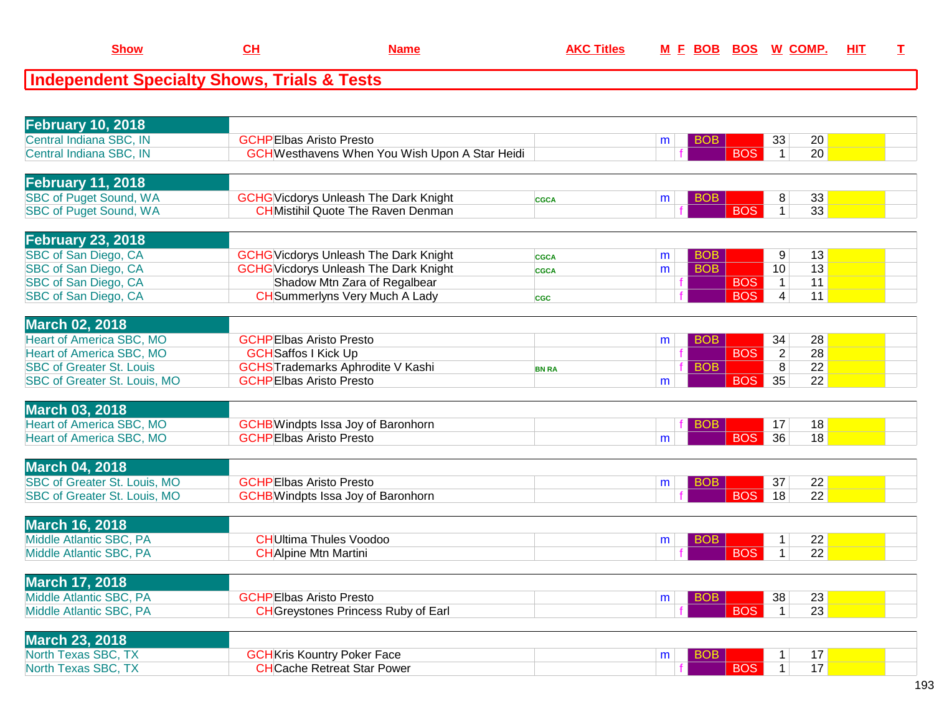| <b>February 10, 2018</b>        |                                                                           |              |   |                          |                |                 |  |
|---------------------------------|---------------------------------------------------------------------------|--------------|---|--------------------------|----------------|-----------------|--|
| Central Indiana SBC, IN         | <b>GCHPEIbas Aristo Presto</b>                                            |              | m | <b>BOB</b>               | 33             | 20              |  |
| Central Indiana SBC, IN         | <b>GCH</b> Westhavens When You Wish Upon A Star Heidi                     |              |   | <b>BOS</b>               | $\mathbf{1}$   | 20              |  |
|                                 |                                                                           |              |   |                          |                |                 |  |
| <b>February 11, 2018</b>        |                                                                           |              |   |                          |                |                 |  |
| <b>SBC of Puget Sound, WA</b>   | <b>GCHG</b> Vicdorys Unleash The Dark Knight                              | <b>CGCA</b>  | m | <b>BOB</b>               | 8              | 33              |  |
| <b>SBC of Puget Sound, WA</b>   | <b>CHMistihil Quote The Raven Denman</b>                                  |              |   | <b>BOS</b>               | $\overline{1}$ | 33              |  |
|                                 |                                                                           |              |   |                          |                |                 |  |
| <b>February 23, 2018</b>        |                                                                           |              |   |                          |                |                 |  |
| SBC of San Diego, CA            | <b>GCHG</b> Vicdorys Unleash The Dark Knight                              | <b>CGCA</b>  | m | <b>BOB</b>               | 9              | 13              |  |
| SBC of San Diego, CA            | <b>GCHG</b> Vicdorys Unleash The Dark Knight                              | <b>CGCA</b>  | m | <b>BOB</b>               | 10             | 13              |  |
| SBC of San Diego, CA            | Shadow Mtn Zara of Regalbear                                              |              |   | <b>BOS</b>               | $\mathbf{1}$   | 11              |  |
| SBC of San Diego, CA            | <b>CH</b> Summerlyns Very Much A Lady                                     | <b>CGC</b>   |   | <b>BOS</b>               | $\overline{4}$ | 11              |  |
|                                 |                                                                           |              |   |                          |                |                 |  |
| <b>March 02, 2018</b>           |                                                                           |              |   |                          |                |                 |  |
| <b>Heart of America SBC, MO</b> | <b>GCHPEIbas Aristo Presto</b>                                            |              |   | <b>BOB</b>               | 34             | 28              |  |
| <b>Heart of America SBC, MO</b> | <b>GCH</b> Saffos I Kick Up                                               |              | m | <b>BOS</b>               | $\overline{2}$ | 28              |  |
|                                 |                                                                           |              |   |                          |                |                 |  |
| <b>SBC of Greater St. Louis</b> | <b>GCHSTrademarks Aphrodite V Kashi</b><br><b>GCHPEIbas Aristo Presto</b> | <b>BN RA</b> |   | <b>BOB</b><br><b>BOS</b> | 8<br>35        | 22<br>22        |  |
| SBC of Greater St. Louis, MO    |                                                                           |              | m |                          |                |                 |  |
|                                 |                                                                           |              |   |                          |                |                 |  |
| <b>March 03, 2018</b>           |                                                                           |              |   |                          |                |                 |  |
| <b>Heart of America SBC, MO</b> | <b>GCHB</b> Windpts Issa Joy of Baronhorn                                 |              |   | <b>BOB</b>               | 17             | 18              |  |
| Heart of America SBC, MO        | <b>GCHPEIbas Aristo Presto</b>                                            |              | m | <b>BOS</b>               | 36             | 18              |  |
|                                 |                                                                           |              |   |                          |                |                 |  |
| <b>March 04, 2018</b>           |                                                                           |              |   |                          |                |                 |  |
| SBC of Greater St. Louis, MO    | <b>GCHPEIbas Aristo Presto</b>                                            |              | m | <b>BOB</b>               | 37             | 22              |  |
| SBC of Greater St. Louis, MO    | <b>GCHB</b> Windpts Issa Joy of Baronhorn                                 |              |   | <b>BOS</b>               | 18             | $\overline{22}$ |  |
|                                 |                                                                           |              |   |                          |                |                 |  |
| <b>March 16, 2018</b>           |                                                                           |              |   |                          |                |                 |  |
| Middle Atlantic SBC, PA         | <b>CH</b> Ultima Thules Voodoo                                            |              | m | <b>BOB</b>               | $\mathbf{1}$   | 22              |  |
| Middle Atlantic SBC, PA         | <b>CH</b> Alpine Mtn Martini                                              |              |   | $\overline{BOS}$         | $\mathbf{1}$   | $\overline{22}$ |  |
|                                 |                                                                           |              |   |                          |                |                 |  |
| <b>March 17, 2018</b>           |                                                                           |              |   |                          |                |                 |  |
| Middle Atlantic SBC, PA         | <b>GCHPEIbas Aristo Presto</b>                                            |              | m | <b>BOB</b>               | 38             | 23              |  |
| Middle Atlantic SBC, PA         | <b>CH</b> Greystones Princess Ruby of Earl                                |              |   | <b>BOS</b>               | $\mathbf{1}$   | $\overline{23}$ |  |
|                                 |                                                                           |              |   |                          |                |                 |  |
| <b>March 23, 2018</b>           |                                                                           |              |   |                          |                |                 |  |
| North Texas SBC, TX             | <b>GCH</b> Kris Kountry Poker Face                                        |              | m | <b>BOB</b>               | $\mathbf 1$    | 17              |  |
| North Texas SBC, TX             | <b>CH</b> Cache Retreat Star Power                                        |              |   | <b>BOS</b>               | $\mathbf{1}$   | 17              |  |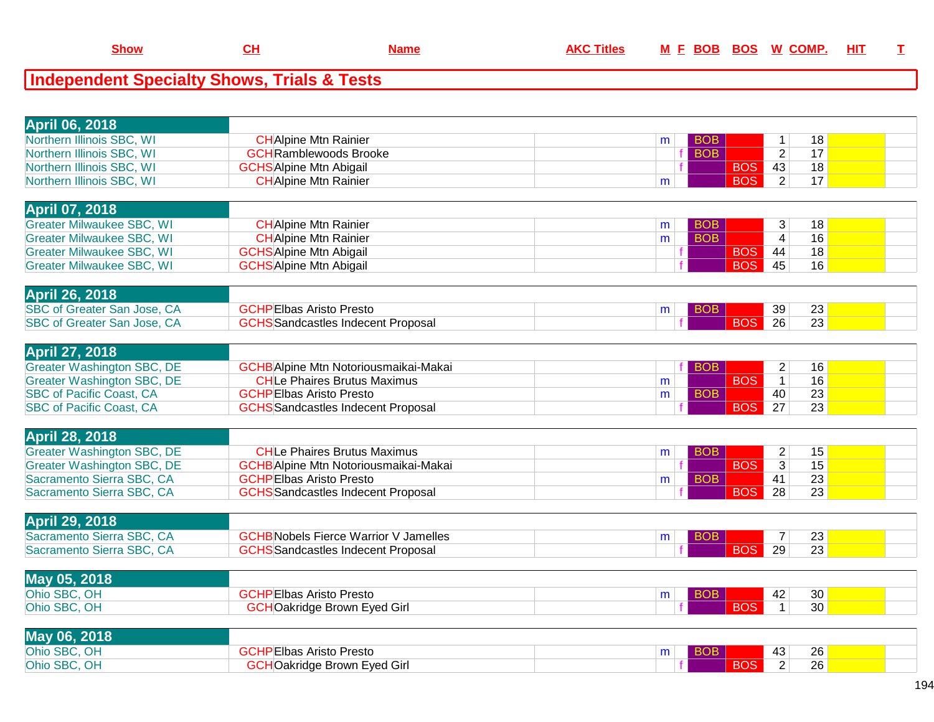| Northern Illinois SBC, WI<br><b>CH</b> Alpine Mtn Rainier<br><b>BOB</b><br>18<br>$\mathbf{1}$<br>m<br>$\overline{2}$<br>17<br>Northern Illinois SBC, WI<br><b>GCH</b> Ramblewoods Brooke<br><b>BOB</b><br>Northern Illinois SBC, WI<br><b>BOS</b><br>43<br>18<br><b>GCHS</b> Alpine Mtn Abigail<br><b>BOS</b><br>$\overline{2}$<br>17<br>Northern Illinois SBC, WI<br><b>CH</b> Alpine Mtn Rainier<br>m.<br><b>April 07, 2018</b><br><b>Greater Milwaukee SBC, WI</b><br><b>CH</b> Alpine Mtn Rainier<br>3<br>18<br><b>BOB</b><br>m<br><b>BOB</b><br>$\overline{4}$<br>16<br><b>Greater Milwaukee SBC, WI</b><br><b>CH</b> Alpine Mtn Rainier<br>m<br><b>Greater Milwaukee SBC, WI</b><br><b>GCHSAlpine Mtn Abigail</b><br><b>BOS</b><br>44<br>18<br><b>BOS</b><br>45<br><b>Greater Milwaukee SBC, WI</b><br><b>GCHSAlpine Mtn Abigail</b><br>16<br><b>April 26, 2018</b><br>SBC of Greater San Jose, CA<br><b>GCHPEIbas Aristo Presto</b><br>39<br>23<br><b>BOB</b><br>m<br>SBC of Greater San Jose, CA<br><b>BOS</b><br>26<br>23<br><b>GCHS</b> Sandcastles Indecent Proposal<br><b>April 27, 2018</b><br><b>Greater Washington SBC, DE</b><br><b>GCHB</b> Alpine Mtn Notoriousmaikai-Makai<br>$\overline{c}$<br>16<br><b>BOB</b><br><b>BOS</b><br>16<br><b>Greater Washington SBC, DE</b><br><b>CHLe Phaires Brutus Maximus</b><br>$\overline{1}$<br>m<br><b>SBC of Pacific Coast, CA</b><br><b>BOB</b><br>40<br>23<br><b>GCHPEIbas Aristo Presto</b><br>m<br><b>BOS</b><br><b>SBC of Pacific Coast, CA</b><br>$\overline{27}$<br>$\overline{23}$<br><b>GCHS</b> Sandcastles Indecent Proposal<br><b>April 28, 2018</b><br><b>Greater Washington SBC, DE</b><br><b>CHLe Phaires Brutus Maximus</b><br>$\overline{2}$<br>15<br><b>BOB</b><br>m<br><b>BOS</b><br>$\overline{3}$<br>15<br><b>Greater Washington SBC, DE</b><br><b>GCHB</b> Alpine Mtn Notoriousmaikai-Makai<br>$\overline{23}$<br>Sacramento Sierra SBC, CA<br>41<br><b>GCHPEIbas Aristo Presto</b><br><b>BOB</b><br>m<br>28<br>23<br>Sacramento Sierra SBC, CA<br><b>GCHS</b> Sandcastles Indecent Proposal<br><b>BOS</b><br>April 29, 2018 | <b>April 06, 2018</b> |  |  |  |
|--------------------------------------------------------------------------------------------------------------------------------------------------------------------------------------------------------------------------------------------------------------------------------------------------------------------------------------------------------------------------------------------------------------------------------------------------------------------------------------------------------------------------------------------------------------------------------------------------------------------------------------------------------------------------------------------------------------------------------------------------------------------------------------------------------------------------------------------------------------------------------------------------------------------------------------------------------------------------------------------------------------------------------------------------------------------------------------------------------------------------------------------------------------------------------------------------------------------------------------------------------------------------------------------------------------------------------------------------------------------------------------------------------------------------------------------------------------------------------------------------------------------------------------------------------------------------------------------------------------------------------------------------------------------------------------------------------------------------------------------------------------------------------------------------------------------------------------------------------------------------------------------------------------------------------------------------------------------------------------------------------------------------------------------------------------------------------------------------------------|-----------------------|--|--|--|
|                                                                                                                                                                                                                                                                                                                                                                                                                                                                                                                                                                                                                                                                                                                                                                                                                                                                                                                                                                                                                                                                                                                                                                                                                                                                                                                                                                                                                                                                                                                                                                                                                                                                                                                                                                                                                                                                                                                                                                                                                                                                                                              |                       |  |  |  |
|                                                                                                                                                                                                                                                                                                                                                                                                                                                                                                                                                                                                                                                                                                                                                                                                                                                                                                                                                                                                                                                                                                                                                                                                                                                                                                                                                                                                                                                                                                                                                                                                                                                                                                                                                                                                                                                                                                                                                                                                                                                                                                              |                       |  |  |  |
|                                                                                                                                                                                                                                                                                                                                                                                                                                                                                                                                                                                                                                                                                                                                                                                                                                                                                                                                                                                                                                                                                                                                                                                                                                                                                                                                                                                                                                                                                                                                                                                                                                                                                                                                                                                                                                                                                                                                                                                                                                                                                                              |                       |  |  |  |
|                                                                                                                                                                                                                                                                                                                                                                                                                                                                                                                                                                                                                                                                                                                                                                                                                                                                                                                                                                                                                                                                                                                                                                                                                                                                                                                                                                                                                                                                                                                                                                                                                                                                                                                                                                                                                                                                                                                                                                                                                                                                                                              |                       |  |  |  |
|                                                                                                                                                                                                                                                                                                                                                                                                                                                                                                                                                                                                                                                                                                                                                                                                                                                                                                                                                                                                                                                                                                                                                                                                                                                                                                                                                                                                                                                                                                                                                                                                                                                                                                                                                                                                                                                                                                                                                                                                                                                                                                              |                       |  |  |  |
|                                                                                                                                                                                                                                                                                                                                                                                                                                                                                                                                                                                                                                                                                                                                                                                                                                                                                                                                                                                                                                                                                                                                                                                                                                                                                                                                                                                                                                                                                                                                                                                                                                                                                                                                                                                                                                                                                                                                                                                                                                                                                                              |                       |  |  |  |
|                                                                                                                                                                                                                                                                                                                                                                                                                                                                                                                                                                                                                                                                                                                                                                                                                                                                                                                                                                                                                                                                                                                                                                                                                                                                                                                                                                                                                                                                                                                                                                                                                                                                                                                                                                                                                                                                                                                                                                                                                                                                                                              |                       |  |  |  |
|                                                                                                                                                                                                                                                                                                                                                                                                                                                                                                                                                                                                                                                                                                                                                                                                                                                                                                                                                                                                                                                                                                                                                                                                                                                                                                                                                                                                                                                                                                                                                                                                                                                                                                                                                                                                                                                                                                                                                                                                                                                                                                              |                       |  |  |  |
|                                                                                                                                                                                                                                                                                                                                                                                                                                                                                                                                                                                                                                                                                                                                                                                                                                                                                                                                                                                                                                                                                                                                                                                                                                                                                                                                                                                                                                                                                                                                                                                                                                                                                                                                                                                                                                                                                                                                                                                                                                                                                                              |                       |  |  |  |
|                                                                                                                                                                                                                                                                                                                                                                                                                                                                                                                                                                                                                                                                                                                                                                                                                                                                                                                                                                                                                                                                                                                                                                                                                                                                                                                                                                                                                                                                                                                                                                                                                                                                                                                                                                                                                                                                                                                                                                                                                                                                                                              |                       |  |  |  |
|                                                                                                                                                                                                                                                                                                                                                                                                                                                                                                                                                                                                                                                                                                                                                                                                                                                                                                                                                                                                                                                                                                                                                                                                                                                                                                                                                                                                                                                                                                                                                                                                                                                                                                                                                                                                                                                                                                                                                                                                                                                                                                              |                       |  |  |  |
|                                                                                                                                                                                                                                                                                                                                                                                                                                                                                                                                                                                                                                                                                                                                                                                                                                                                                                                                                                                                                                                                                                                                                                                                                                                                                                                                                                                                                                                                                                                                                                                                                                                                                                                                                                                                                                                                                                                                                                                                                                                                                                              |                       |  |  |  |
|                                                                                                                                                                                                                                                                                                                                                                                                                                                                                                                                                                                                                                                                                                                                                                                                                                                                                                                                                                                                                                                                                                                                                                                                                                                                                                                                                                                                                                                                                                                                                                                                                                                                                                                                                                                                                                                                                                                                                                                                                                                                                                              |                       |  |  |  |
|                                                                                                                                                                                                                                                                                                                                                                                                                                                                                                                                                                                                                                                                                                                                                                                                                                                                                                                                                                                                                                                                                                                                                                                                                                                                                                                                                                                                                                                                                                                                                                                                                                                                                                                                                                                                                                                                                                                                                                                                                                                                                                              |                       |  |  |  |
|                                                                                                                                                                                                                                                                                                                                                                                                                                                                                                                                                                                                                                                                                                                                                                                                                                                                                                                                                                                                                                                                                                                                                                                                                                                                                                                                                                                                                                                                                                                                                                                                                                                                                                                                                                                                                                                                                                                                                                                                                                                                                                              |                       |  |  |  |
|                                                                                                                                                                                                                                                                                                                                                                                                                                                                                                                                                                                                                                                                                                                                                                                                                                                                                                                                                                                                                                                                                                                                                                                                                                                                                                                                                                                                                                                                                                                                                                                                                                                                                                                                                                                                                                                                                                                                                                                                                                                                                                              |                       |  |  |  |
|                                                                                                                                                                                                                                                                                                                                                                                                                                                                                                                                                                                                                                                                                                                                                                                                                                                                                                                                                                                                                                                                                                                                                                                                                                                                                                                                                                                                                                                                                                                                                                                                                                                                                                                                                                                                                                                                                                                                                                                                                                                                                                              |                       |  |  |  |
|                                                                                                                                                                                                                                                                                                                                                                                                                                                                                                                                                                                                                                                                                                                                                                                                                                                                                                                                                                                                                                                                                                                                                                                                                                                                                                                                                                                                                                                                                                                                                                                                                                                                                                                                                                                                                                                                                                                                                                                                                                                                                                              |                       |  |  |  |
|                                                                                                                                                                                                                                                                                                                                                                                                                                                                                                                                                                                                                                                                                                                                                                                                                                                                                                                                                                                                                                                                                                                                                                                                                                                                                                                                                                                                                                                                                                                                                                                                                                                                                                                                                                                                                                                                                                                                                                                                                                                                                                              |                       |  |  |  |
|                                                                                                                                                                                                                                                                                                                                                                                                                                                                                                                                                                                                                                                                                                                                                                                                                                                                                                                                                                                                                                                                                                                                                                                                                                                                                                                                                                                                                                                                                                                                                                                                                                                                                                                                                                                                                                                                                                                                                                                                                                                                                                              |                       |  |  |  |
|                                                                                                                                                                                                                                                                                                                                                                                                                                                                                                                                                                                                                                                                                                                                                                                                                                                                                                                                                                                                                                                                                                                                                                                                                                                                                                                                                                                                                                                                                                                                                                                                                                                                                                                                                                                                                                                                                                                                                                                                                                                                                                              |                       |  |  |  |
|                                                                                                                                                                                                                                                                                                                                                                                                                                                                                                                                                                                                                                                                                                                                                                                                                                                                                                                                                                                                                                                                                                                                                                                                                                                                                                                                                                                                                                                                                                                                                                                                                                                                                                                                                                                                                                                                                                                                                                                                                                                                                                              |                       |  |  |  |
|                                                                                                                                                                                                                                                                                                                                                                                                                                                                                                                                                                                                                                                                                                                                                                                                                                                                                                                                                                                                                                                                                                                                                                                                                                                                                                                                                                                                                                                                                                                                                                                                                                                                                                                                                                                                                                                                                                                                                                                                                                                                                                              |                       |  |  |  |
|                                                                                                                                                                                                                                                                                                                                                                                                                                                                                                                                                                                                                                                                                                                                                                                                                                                                                                                                                                                                                                                                                                                                                                                                                                                                                                                                                                                                                                                                                                                                                                                                                                                                                                                                                                                                                                                                                                                                                                                                                                                                                                              |                       |  |  |  |
|                                                                                                                                                                                                                                                                                                                                                                                                                                                                                                                                                                                                                                                                                                                                                                                                                                                                                                                                                                                                                                                                                                                                                                                                                                                                                                                                                                                                                                                                                                                                                                                                                                                                                                                                                                                                                                                                                                                                                                                                                                                                                                              |                       |  |  |  |
|                                                                                                                                                                                                                                                                                                                                                                                                                                                                                                                                                                                                                                                                                                                                                                                                                                                                                                                                                                                                                                                                                                                                                                                                                                                                                                                                                                                                                                                                                                                                                                                                                                                                                                                                                                                                                                                                                                                                                                                                                                                                                                              |                       |  |  |  |
|                                                                                                                                                                                                                                                                                                                                                                                                                                                                                                                                                                                                                                                                                                                                                                                                                                                                                                                                                                                                                                                                                                                                                                                                                                                                                                                                                                                                                                                                                                                                                                                                                                                                                                                                                                                                                                                                                                                                                                                                                                                                                                              |                       |  |  |  |
| Sacramento Sierra SBC, CA<br><b>GCHB</b> Nobels Fierce Warrior V Jamelles<br>23<br>$\overline{7}$<br><b>BOB</b><br>m                                                                                                                                                                                                                                                                                                                                                                                                                                                                                                                                                                                                                                                                                                                                                                                                                                                                                                                                                                                                                                                                                                                                                                                                                                                                                                                                                                                                                                                                                                                                                                                                                                                                                                                                                                                                                                                                                                                                                                                         |                       |  |  |  |
| <b>BOS</b><br>29<br>Sacramento Sierra SBC, CA<br>23<br><b>GCHS</b> Sandcastles Indecent Proposal                                                                                                                                                                                                                                                                                                                                                                                                                                                                                                                                                                                                                                                                                                                                                                                                                                                                                                                                                                                                                                                                                                                                                                                                                                                                                                                                                                                                                                                                                                                                                                                                                                                                                                                                                                                                                                                                                                                                                                                                             |                       |  |  |  |
|                                                                                                                                                                                                                                                                                                                                                                                                                                                                                                                                                                                                                                                                                                                                                                                                                                                                                                                                                                                                                                                                                                                                                                                                                                                                                                                                                                                                                                                                                                                                                                                                                                                                                                                                                                                                                                                                                                                                                                                                                                                                                                              |                       |  |  |  |
| May 05, 2018                                                                                                                                                                                                                                                                                                                                                                                                                                                                                                                                                                                                                                                                                                                                                                                                                                                                                                                                                                                                                                                                                                                                                                                                                                                                                                                                                                                                                                                                                                                                                                                                                                                                                                                                                                                                                                                                                                                                                                                                                                                                                                 |                       |  |  |  |
| Ohio SBC, OH<br><b>GCHPEIbas Aristo Presto</b><br>30<br>42<br><b>BOB</b><br>m                                                                                                                                                                                                                                                                                                                                                                                                                                                                                                                                                                                                                                                                                                                                                                                                                                                                                                                                                                                                                                                                                                                                                                                                                                                                                                                                                                                                                                                                                                                                                                                                                                                                                                                                                                                                                                                                                                                                                                                                                                |                       |  |  |  |
| Ohio SBC, OH<br><b>BOS</b><br>30<br><b>GCHOakridge Brown Eyed Girl</b><br>$\mathbf{1}$                                                                                                                                                                                                                                                                                                                                                                                                                                                                                                                                                                                                                                                                                                                                                                                                                                                                                                                                                                                                                                                                                                                                                                                                                                                                                                                                                                                                                                                                                                                                                                                                                                                                                                                                                                                                                                                                                                                                                                                                                       |                       |  |  |  |
|                                                                                                                                                                                                                                                                                                                                                                                                                                                                                                                                                                                                                                                                                                                                                                                                                                                                                                                                                                                                                                                                                                                                                                                                                                                                                                                                                                                                                                                                                                                                                                                                                                                                                                                                                                                                                                                                                                                                                                                                                                                                                                              |                       |  |  |  |
| May 06, 2018                                                                                                                                                                                                                                                                                                                                                                                                                                                                                                                                                                                                                                                                                                                                                                                                                                                                                                                                                                                                                                                                                                                                                                                                                                                                                                                                                                                                                                                                                                                                                                                                                                                                                                                                                                                                                                                                                                                                                                                                                                                                                                 |                       |  |  |  |
| Ohio SBC, OH<br><b>GCHPEIbas Aristo Presto</b><br>43<br>26<br><b>BOB</b><br>m                                                                                                                                                                                                                                                                                                                                                                                                                                                                                                                                                                                                                                                                                                                                                                                                                                                                                                                                                                                                                                                                                                                                                                                                                                                                                                                                                                                                                                                                                                                                                                                                                                                                                                                                                                                                                                                                                                                                                                                                                                |                       |  |  |  |
| <b>BOS</b><br>$\overline{26}$<br>Ohio SBC, OH<br><b>GCHOakridge Brown Eyed Girl</b><br>2                                                                                                                                                                                                                                                                                                                                                                                                                                                                                                                                                                                                                                                                                                                                                                                                                                                                                                                                                                                                                                                                                                                                                                                                                                                                                                                                                                                                                                                                                                                                                                                                                                                                                                                                                                                                                                                                                                                                                                                                                     |                       |  |  |  |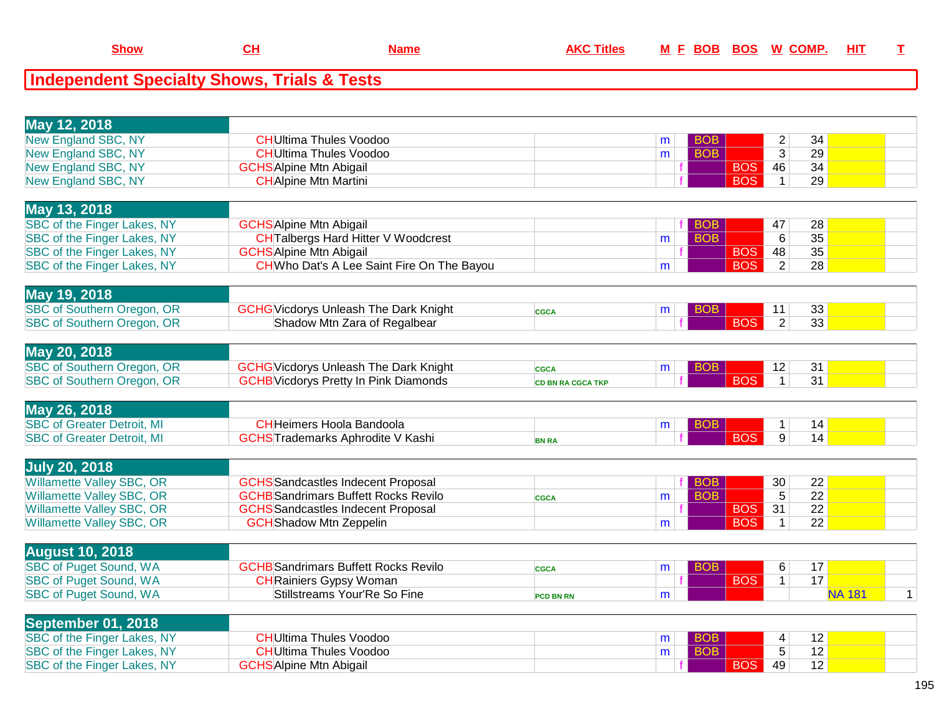| May 12, 2018                      |                                              |                          |   |                 |            |                |                 |               |   |
|-----------------------------------|----------------------------------------------|--------------------------|---|-----------------|------------|----------------|-----------------|---------------|---|
| New England SBC, NY               | <b>CH</b> Ultima Thules Voodoo               |                          | m | <b>BOB</b>      |            | $\overline{c}$ | 34              |               |   |
| New England SBC, NY               | <b>CH</b> Ultima Thules Voodoo               |                          | m | <b>BOB</b>      |            | $\overline{3}$ | 29              |               |   |
| <b>New England SBC, NY</b>        | <b>GCHS</b> Alpine Mtn Abigail               |                          |   |                 | <b>BOS</b> | 46             | 34              |               |   |
| <b>New England SBC, NY</b>        | <b>CH</b> Alpine Mtn Martini                 |                          |   |                 | <b>BOS</b> | $\mathbf{1}$   | 29              |               |   |
|                                   |                                              |                          |   |                 |            |                |                 |               |   |
| May 13, 2018                      |                                              |                          |   |                 |            |                |                 |               |   |
| SBC of the Finger Lakes, NY       | <b>GCHS</b> Alpine Mtn Abigail               |                          |   | <b>BOB</b>      |            | 47             | 28              |               |   |
| SBC of the Finger Lakes, NY       | <b>CH</b> Talbergs Hard Hitter V Woodcrest   |                          | m | <b>BOB</b>      |            | 6              | $\overline{35}$ |               |   |
| SBC of the Finger Lakes, NY       | <b>GCHS</b> Alpine Mtn Abigail               |                          |   |                 | <b>BOS</b> | 48             | $\overline{35}$ |               |   |
| SBC of the Finger Lakes, NY       | CHWho Dat's A Lee Saint Fire On The Bayou    |                          | m |                 | <b>BOS</b> | $\overline{2}$ | $\overline{28}$ |               |   |
|                                   |                                              |                          |   |                 |            |                |                 |               |   |
| May 19, 2018                      |                                              |                          |   |                 |            |                |                 |               |   |
| <b>SBC of Southern Oregon, OR</b> | <b>GCHG</b> Vicdorys Unleash The Dark Knight | <b>CGCA</b>              | m | <b>BOB</b>      |            | 11             | 33              |               |   |
| <b>SBC of Southern Oregon, OR</b> | Shadow Mtn Zara of Regalbear                 |                          |   |                 | <b>BOS</b> | $\overline{2}$ | $\overline{33}$ |               |   |
|                                   |                                              |                          |   |                 |            |                |                 |               |   |
| May 20, 2018                      |                                              |                          |   |                 |            |                |                 |               |   |
| SBC of Southern Oregon, OR        | <b>GCHG</b> Vicdorys Unleash The Dark Knight | <b>CGCA</b>              | m | BO <sub>B</sub> |            | 12             | 31              |               |   |
| SBC of Southern Oregon, OR        | <b>GCHB</b> Vicdorys Pretty In Pink Diamonds | <b>CD BN RA CGCA TKP</b> |   |                 | <b>BOS</b> | $\mathbf{1}$   | 31              |               |   |
|                                   |                                              |                          |   |                 |            |                |                 |               |   |
| May 26, 2018                      |                                              |                          |   |                 |            |                |                 |               |   |
| <b>SBC of Greater Detroit, MI</b> | <b>CH</b> Heimers Hoola Bandoola             |                          | m | <b>BOB</b>      |            | $\mathbf{1}$   | 14              |               |   |
| <b>SBC of Greater Detroit, MI</b> | <b>GCHSTrademarks Aphrodite V Kashi</b>      | <b>BN RA</b>             |   |                 | <b>BOS</b> | 9              | 14              |               |   |
|                                   |                                              |                          |   |                 |            |                |                 |               |   |
| <b>July 20, 2018</b>              |                                              |                          |   |                 |            |                |                 |               |   |
| <b>Willamette Valley SBC, OR</b>  | <b>GCHS</b> Sandcastles Indecent Proposal    |                          |   | <b>BOB</b>      |            | 30             | 22              |               |   |
| <b>Willamette Valley SBC, OR</b>  | <b>GCHB</b> Sandrimars Buffett Rocks Revilo  | <b>CGCA</b>              | m | <b>BOB</b>      |            | $\overline{5}$ | $\overline{22}$ |               |   |
| Willamette Valley SBC, OR         | <b>GCHS</b> Sandcastles Indecent Proposal    |                          |   |                 | <b>BOS</b> | 31             | 22              |               |   |
| <b>Willamette Valley SBC, OR</b>  | <b>GCH</b> Shadow Mtn Zeppelin               |                          | m |                 | <b>BOS</b> | $\mathbf{1}$   | $\overline{22}$ |               |   |
|                                   |                                              |                          |   |                 |            |                |                 |               |   |
| <b>August 10, 2018</b>            |                                              |                          |   |                 |            |                |                 |               |   |
| <b>SBC of Puget Sound, WA</b>     | <b>GCHB</b> Sandrimars Buffett Rocks Revilo  | <b>CGCA</b>              | m | <b>BOB</b>      |            | 6              | 17              |               |   |
| <b>SBC of Puget Sound, WA</b>     | <b>CH</b> Rainiers Gypsy Woman               |                          |   |                 | <b>BOS</b> | $\mathbf{1}$   | 17              |               |   |
| <b>SBC of Puget Sound, WA</b>     | Stillstreams Your'Re So Fine                 | PCD BN RN                | m |                 |            |                |                 | <b>NA 181</b> | 1 |
|                                   |                                              |                          |   |                 |            |                |                 |               |   |
| September 01, 2018                |                                              |                          |   |                 |            |                |                 |               |   |
| SBC of the Finger Lakes, NY       | <b>CH</b> Ultima Thules Voodoo               |                          | m | <b>BOB</b>      |            | $\overline{4}$ | 12              |               |   |
| SBC of the Finger Lakes, NY       | <b>CH</b> Ultima Thules Voodoo               |                          | m | <b>BOB</b>      |            | $\overline{5}$ | 12              |               |   |
| SBC of the Finger Lakes, NY       | <b>GCHS</b> Alpine Mtn Abigail               |                          |   |                 | <b>BOS</b> | 49             | 12              |               |   |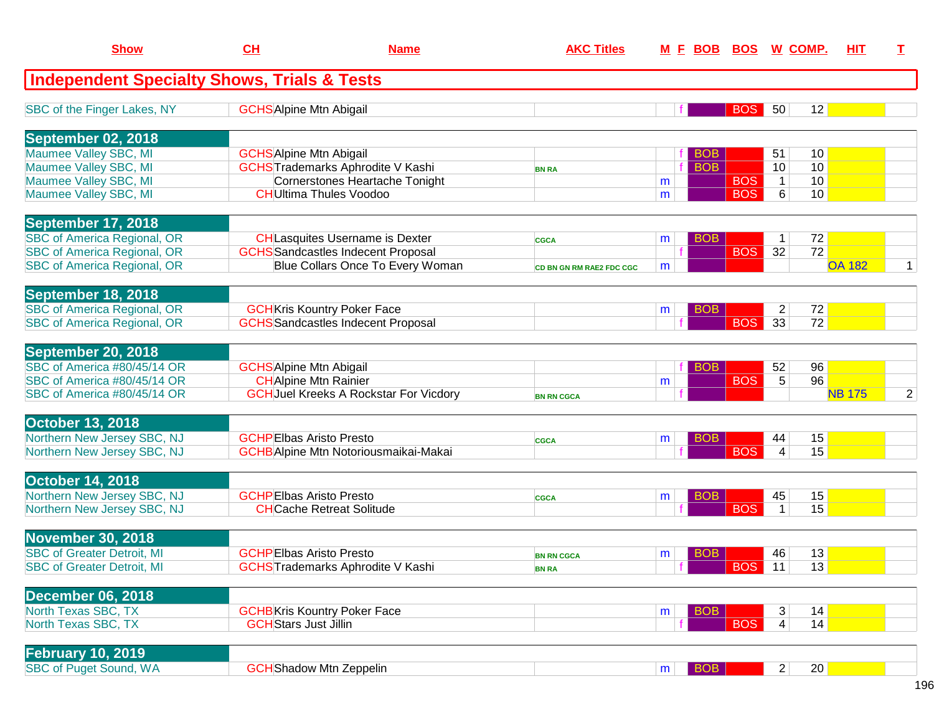| <b>Show</b>                                            | CL                           | <b>Name</b>                                   | <b>AKC Titles</b>               |   | <u>M E BOB BOS W COMP.</u> |               |                 |                 | <b>HIT</b>    | I              |
|--------------------------------------------------------|------------------------------|-----------------------------------------------|---------------------------------|---|----------------------------|---------------|-----------------|-----------------|---------------|----------------|
| <b>Independent Specialty Shows, Trials &amp; Tests</b> |                              |                                               |                                 |   |                            |               |                 |                 |               |                |
| SBC of the Finger Lakes, NY                            |                              | <b>GCHS</b> Alpine Mtn Abigail                |                                 |   |                            | <b>BOS</b>    | 50              | 12              |               |                |
| September 02, 2018                                     |                              |                                               |                                 |   |                            |               |                 |                 |               |                |
| Maumee Valley SBC, MI                                  |                              | <b>GCHS</b> Alpine Mtn Abigail                |                                 |   | <b>BOB</b>                 |               | 51              | 10              |               |                |
| Maumee Valley SBC, MI                                  |                              | <b>GCHS</b> Trademarks Aphrodite V Kashi      | <b>BN RA</b>                    |   | <b>BOB</b>                 |               | 10 <sup>1</sup> | 10              |               |                |
| Maumee Valley SBC, MI                                  |                              | <b>Cornerstones Heartache Tonight</b>         |                                 | m |                            | <b>BOS</b>    | $\mathbf{1}$    | 10              |               |                |
| Maumee Valley SBC, MI                                  |                              | <b>CHUltima Thules Voodoo</b>                 |                                 | m |                            | <b>BOS</b>    | 6               | 10              |               |                |
| September 17, 2018                                     |                              |                                               |                                 |   |                            |               |                 |                 |               |                |
| <b>SBC of America Regional, OR</b>                     |                              | <b>CH</b> Lasquites Username is Dexter        | <b>CGCA</b>                     | m | <b>BOB</b>                 |               | 1               | 72              |               |                |
| <b>SBC of America Regional, OR</b>                     |                              | <b>GCHS</b> Sandcastles Indecent Proposal     |                                 |   |                            | <b>BOS</b>    | 32              | $\overline{72}$ |               |                |
| <b>SBC of America Regional, OR</b>                     |                              | Blue Collars Once To Every Woman              | <b>CD BN GN RM RAE2 FDC CGC</b> | m |                            |               |                 |                 | <b>OA 182</b> | $\mathbf 1$    |
| September 18, 2018                                     |                              |                                               |                                 |   |                            |               |                 |                 |               |                |
| <b>SBC of America Regional, OR</b>                     |                              | <b>GCH</b> Kris Kountry Poker Face            |                                 | m | <b>BOB</b>                 |               | $\overline{2}$  | 72              |               |                |
| <b>SBC of America Regional, OR</b>                     |                              | <b>GCHS</b> Sandcastles Indecent Proposal     |                                 |   |                            | <b>BOS</b>    | 33              | 72              |               |                |
| September 20, 2018                                     |                              |                                               |                                 |   |                            |               |                 |                 |               |                |
| SBC of America #80/45/14 OR                            |                              | <b>GCHS</b> Alpine Mtn Abigail                |                                 |   | <b>BOB</b>                 |               | 52              | 96              |               |                |
| SBC of America #80/45/14 OR                            |                              | <b>CH</b> Alpine Mtn Rainier                  |                                 | m |                            | <b>BOS</b>    | 5               | 96              |               |                |
| SBC of America #80/45/14 OR                            |                              | <b>GCH</b> Juel Kreeks A Rockstar For Vicdory | <b>BN RN CGCA</b>               |   |                            |               |                 |                 | <b>NB 175</b> | $\overline{2}$ |
| <b>October 13, 2018</b>                                |                              |                                               |                                 |   |                            |               |                 |                 |               |                |
| Northern New Jersey SBC, NJ                            |                              | <b>GCHPEIbas Aristo Presto</b>                | <b>CGCA</b>                     | m | <b>BOB</b>                 |               | 44              | 15              |               |                |
| Northern New Jersey SBC, NJ                            |                              | <b>GCHB</b> Alpine Mtn Notoriousmaikai-Makai  |                                 |   |                            | <b>BOS</b>    | $\overline{4}$  | 15              |               |                |
| October 14, 2018                                       |                              |                                               |                                 |   |                            |               |                 |                 |               |                |
| Northern New Jersey SBC, NJ                            |                              | <b>GCHPEIbas Aristo Presto</b>                | <b>CGCA</b>                     | m | <b>BOB</b>                 |               | 45              | 15              |               |                |
| Northern New Jersey SBC, NJ                            |                              | <b>CHCache Retreat Solitude</b>               |                                 |   |                            | <b>BOS</b>    | $\mathbf{1}$    | 15              |               |                |
| <b>November 30, 2018</b>                               |                              |                                               |                                 |   |                            |               |                 |                 |               |                |
| <b>SBC of Greater Detroit, MI</b>                      |                              | <b>GCHPEIbas Aristo Presto</b>                | <b>BN RN CGCA</b>               | m | <b>BOB</b>                 |               | 46              | 13              |               |                |
| <b>SBC of Greater Detroit, MI</b>                      |                              | <b>GCHS</b> Trademarks Aphrodite V Kashi      | <b>BN RA</b>                    |   | fl                         | <b>BOS</b> 11 |                 | 13              |               |                |
| <b>December 06, 2018</b>                               |                              |                                               |                                 |   |                            |               |                 |                 |               |                |
| North Texas SBC, TX                                    |                              | <b>GCHB</b> Kris Kountry Poker Face           |                                 | m | <b>BOB</b>                 |               | 3               | 14              |               |                |
| North Texas SBC, TX                                    | <b>GCH</b> Stars Just Jillin |                                               |                                 |   |                            | <b>BOS</b>    | 4               | 14              |               |                |
|                                                        |                              |                                               |                                 |   |                            |               |                 |                 |               |                |
| <b>February 10, 2019</b>                               |                              |                                               |                                 |   |                            |               |                 |                 |               |                |
| SBC of Puget Sound, WA                                 |                              | <b>GCH</b> Shadow Mtn Zeppelin                |                                 | m | <b>BOB</b>                 |               | 2               | $20 \vert$      |               |                |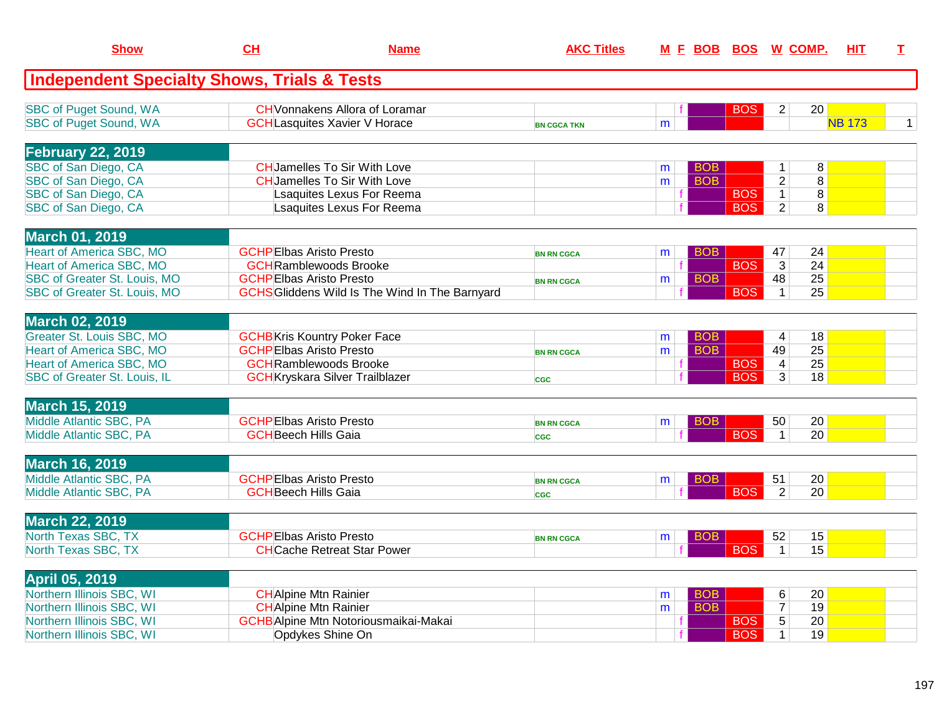| <b>Show</b>                                            | CH                                  | <b>Name</b>                                                                | <b>AKC Titles</b>  |        |                          |            | M E BOB BOS W COMP.            | HIT.                | T.           |
|--------------------------------------------------------|-------------------------------------|----------------------------------------------------------------------------|--------------------|--------|--------------------------|------------|--------------------------------|---------------------|--------------|
| <b>Independent Specialty Shows, Trials &amp; Tests</b> |                                     |                                                                            |                    |        |                          |            |                                |                     |              |
| <b>SBC of Puget Sound, WA</b>                          |                                     | <b>CH</b> Vonnakens Allora of Loramar                                      |                    |        |                          | <b>BOS</b> | $\overline{2}$                 | 20                  |              |
| <b>SBC of Puget Sound, WA</b>                          |                                     | <b>GCHLasquites Xavier V Horace</b>                                        | <b>BN CGCA TKN</b> | m      |                          |            |                                | <b>NB 173</b>       | $\mathbf{1}$ |
|                                                        |                                     |                                                                            |                    |        |                          |            |                                |                     |              |
| <b>February 22, 2019</b>                               |                                     |                                                                            |                    |        |                          |            |                                |                     |              |
| SBC of San Diego, CA<br>SBC of San Diego, CA           |                                     | <b>CH</b> Jamelles To Sir With Love<br><b>CH</b> Jamelles To Sir With Love |                    | m<br>m | <b>BOB</b><br><b>BOB</b> |            | $\mathbf{1}$<br>$\overline{2}$ | 8<br>$\overline{8}$ |              |
| SBC of San Diego, CA                                   |                                     | Lsaquites Lexus For Reema                                                  |                    |        |                          | <b>BOS</b> | $\mathbf{1}$                   | 8                   |              |
| SBC of San Diego, CA                                   |                                     | Lsaquites Lexus For Reema                                                  |                    |        |                          | <b>BOS</b> | $\overline{2}$                 | 8                   |              |
|                                                        |                                     |                                                                            |                    |        |                          |            |                                |                     |              |
| <b>March 01, 2019</b>                                  |                                     |                                                                            |                    |        |                          |            |                                |                     |              |
| <b>Heart of America SBC, MO</b>                        | <b>GCHPEIbas Aristo Presto</b>      |                                                                            | <b>BN RN CGCA</b>  | m      | <b>BOB</b>               |            | 47                             | 24                  |              |
| <b>Heart of America SBC, MO</b>                        | <b>GCH</b> Ramblewoods Brooke       |                                                                            |                    |        |                          | <b>BOS</b> | $\overline{3}$                 | $\overline{24}$     |              |
| SBC of Greater St. Louis, MO                           | <b>GCHPEIbas Aristo Presto</b>      |                                                                            | <b>BN RN CGCA</b>  | m      | <b>BOB</b>               |            | 48                             | 25                  |              |
| SBC of Greater St. Louis, MO                           |                                     | <b>GCHS</b> Gliddens Wild Is The Wind In The Barnyard                      |                    |        |                          | <b>BOS</b> | $\mathbf{1}$                   | 25                  |              |
|                                                        |                                     |                                                                            |                    |        |                          |            |                                |                     |              |
| <b>March 02, 2019</b>                                  |                                     |                                                                            |                    |        |                          |            |                                |                     |              |
| Greater St. Louis SBC, MO                              | <b>GCHB</b> Kris Kountry Poker Face |                                                                            |                    | m      | <b>BOB</b>               |            | 4                              | 18                  |              |
| <b>Heart of America SBC, MO</b>                        | <b>GCHPEIbas Aristo Presto</b>      |                                                                            | <b>BN RN CGCA</b>  | m      | <b>BOB</b>               |            | 49                             | 25                  |              |
| <b>Heart of America SBC, MO</b>                        | <b>GCH</b> Ramblewoods Brooke       |                                                                            |                    |        |                          | <b>BOS</b> | $\overline{4}$                 | 25                  |              |
| SBC of Greater St. Louis, IL                           |                                     | <b>GCH</b> Kryskara Silver Trailblazer                                     | <b>CGC</b>         |        |                          | <b>BOS</b> | 3                              | $\overline{18}$     |              |
|                                                        |                                     |                                                                            |                    |        |                          |            |                                |                     |              |
| <b>March 15, 2019</b>                                  |                                     |                                                                            |                    |        |                          |            |                                |                     |              |
| Middle Atlantic SBC, PA                                | <b>GCHPEIbas Aristo Presto</b>      |                                                                            | <b>BN RN CGCA</b>  | m      | BOB.                     |            | 50                             | 20                  |              |
| Middle Atlantic SBC, PA                                | <b>GCH</b> Beech Hills Gaia         |                                                                            | <b>CGC</b>         |        |                          | <b>BOS</b> | $\mathbf{1}$                   | 20                  |              |
| <b>March 16, 2019</b>                                  |                                     |                                                                            |                    |        |                          |            |                                |                     |              |
| Middle Atlantic SBC, PA                                | <b>GCHPEIbas Aristo Presto</b>      |                                                                            | <b>BN RN CGCA</b>  | m      | BOB                      |            | 51                             | 20                  |              |
| Middle Atlantic SBC, PA                                | <b>GCHBeech Hills Gaia</b>          |                                                                            | CGC                |        |                          | <b>BOS</b> | $\overline{2}$                 | 20                  |              |
|                                                        |                                     |                                                                            |                    |        |                          |            |                                |                     |              |
| <b>March 22, 2019</b>                                  |                                     |                                                                            |                    |        |                          |            |                                |                     |              |
| North Texas SBC, TX                                    | <b>GCHPEIbas Aristo Presto</b>      |                                                                            | <b>BN RN CGCA</b>  | m      | <b>BOB</b>               |            | 52                             | 15                  |              |
| North Texas SBC, TX                                    |                                     | <b>CH</b> Cache Retreat Star Power                                         |                    |        |                          | <b>BOS</b> | $\mathbf{1}$                   | 15                  |              |
|                                                        |                                     |                                                                            |                    |        |                          |            |                                |                     |              |
| April 05, 2019                                         |                                     |                                                                            |                    |        |                          |            |                                |                     |              |
| Northern Illinois SBC, WI                              | <b>CH</b> Alpine Mtn Rainier        |                                                                            |                    | m      | <b>BOB</b>               |            | 6                              | 20                  |              |
| Northern Illinois SBC, WI                              | <b>CH</b> Alpine Mtn Rainier        |                                                                            |                    | m      | <b>BOB</b>               |            | $\overline{7}$                 | 19                  |              |
| Northern Illinois SBC, WI                              |                                     | <b>GCHB</b> Alpine Mtn Notoriousmaikai-Makai                               |                    |        |                          | <b>BOS</b> | $\overline{5}$                 | 20                  |              |
| Northern Illinois SBC, WI                              |                                     | Opdykes Shine On                                                           |                    |        |                          | <b>BOS</b> | $\mathbf{1}$                   | 19                  |              |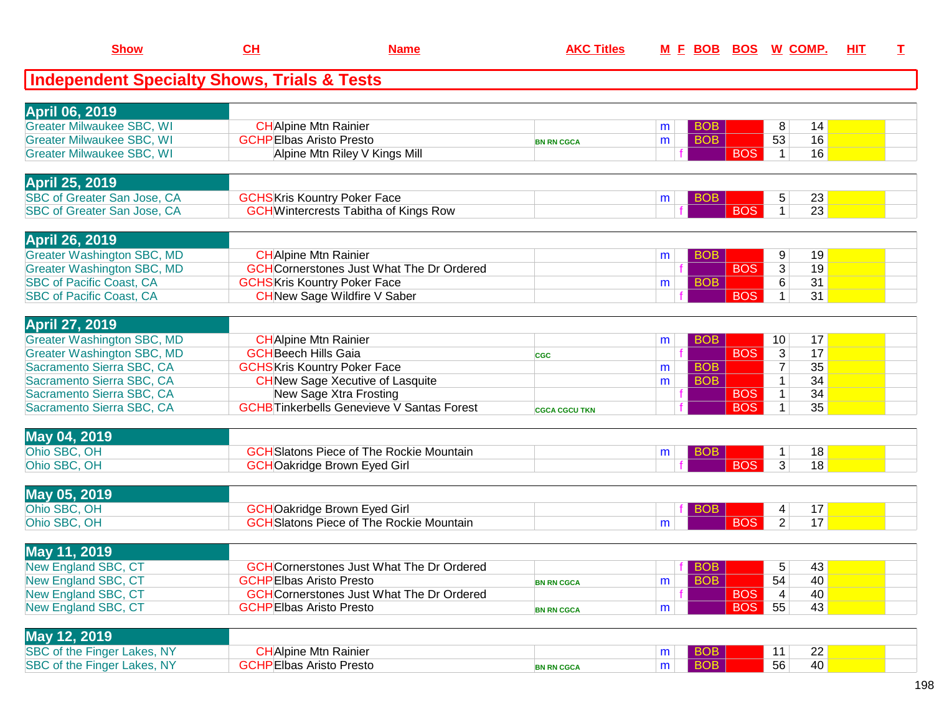| <b>Show</b>                                                          | CL                                                            | <b>Name</b>                                      | <b>AKC Titles</b>    |   | M E BOB BOS W COMP.      |            |                     |          | HIT | I. |
|----------------------------------------------------------------------|---------------------------------------------------------------|--------------------------------------------------|----------------------|---|--------------------------|------------|---------------------|----------|-----|----|
| <b>Independent Specialty Shows, Trials &amp; Tests</b>               |                                                               |                                                  |                      |   |                          |            |                     |          |     |    |
|                                                                      |                                                               |                                                  |                      |   |                          |            |                     |          |     |    |
| <b>April 06, 2019</b>                                                |                                                               |                                                  |                      |   |                          |            |                     |          |     |    |
| <b>Greater Milwaukee SBC, WI</b><br><b>Greater Milwaukee SBC, WI</b> | <b>CHAlpine Mtn Rainier</b><br><b>GCHPEIbas Aristo Presto</b> |                                                  |                      | m | <b>BOB</b><br><b>BOB</b> |            | 8<br>53             | 14<br>16 |     |    |
| <b>Greater Milwaukee SBC, WI</b>                                     |                                                               | Alpine Mtn Riley V Kings Mill                    | <b>BN RN CGCA</b>    | m |                          | <b>BOS</b> | $\mathbf 1$         | 16       |     |    |
|                                                                      |                                                               |                                                  |                      |   |                          |            |                     |          |     |    |
| <b>April 25, 2019</b>                                                |                                                               |                                                  |                      |   |                          |            |                     |          |     |    |
| SBC of Greater San Jose, CA                                          |                                                               | <b>GCHS</b> Kris Kountry Poker Face              |                      | m | <b>BOB</b>               |            | 5                   | 23       |     |    |
| SBC of Greater San Jose, CA                                          |                                                               | <b>GCH</b> Wintercrests Tabitha of Kings Row     |                      |   |                          | <b>BOS</b> | $\mathbf{1}$        | 23       |     |    |
| <b>April 26, 2019</b>                                                |                                                               |                                                  |                      |   |                          |            |                     |          |     |    |
| <b>Greater Washington SBC, MD</b>                                    | <b>CH</b> Alpine Mtn Rainier                                  |                                                  |                      | m | <b>BOB</b>               |            | 9                   | 19       |     |    |
| <b>Greater Washington SBC, MD</b>                                    |                                                               | <b>GCH</b> Cornerstones Just What The Dr Ordered |                      |   |                          | <b>BOS</b> | $\overline{3}$      | 19       |     |    |
| <b>SBC of Pacific Coast, CA</b>                                      |                                                               | <b>GCHS</b> Kris Kountry Poker Face              |                      | m | <b>BOB</b>               |            | 6                   | 31       |     |    |
| <b>SBC of Pacific Coast, CA</b>                                      |                                                               | <b>CH</b> New Sage Wildfire V Saber              |                      |   |                          | <b>BOS</b> | $\mathbf 1$         | 31       |     |    |
| <b>April 27, 2019</b>                                                |                                                               |                                                  |                      |   |                          |            |                     |          |     |    |
| <b>Greater Washington SBC, MD</b>                                    | <b>CH</b> Alpine Mtn Rainier                                  |                                                  |                      | m | <b>BOB</b>               |            | 10                  | 17       |     |    |
| <b>Greater Washington SBC, MD</b>                                    | <b>GCH</b> Beech Hills Gaia                                   |                                                  | <b>CGC</b>           |   |                          | <b>BOS</b> | 3                   | 17       |     |    |
| Sacramento Sierra SBC, CA                                            |                                                               | <b>GCHS</b> Kris Kountry Poker Face              |                      | m | <b>BOB</b>               |            | $\overline{7}$      | 35       |     |    |
| Sacramento Sierra SBC, CA                                            |                                                               | <b>CH</b> New Sage Xecutive of Lasquite          |                      | m | <b>BOB</b>               |            | $\mathbf 1$         | 34       |     |    |
| Sacramento Sierra SBC, CA                                            |                                                               | New Sage Xtra Frosting                           |                      |   |                          | <b>BOS</b> | $\mathbf{1}$        | 34       |     |    |
| Sacramento Sierra SBC, CA                                            |                                                               | <b>GCHBTinkerbells Genevieve V Santas Forest</b> | <b>CGCA CGCU TKN</b> |   |                          | <b>BOS</b> | $\mathbf 1$         | 35       |     |    |
| May 04, 2019                                                         |                                                               |                                                  |                      |   |                          |            |                     |          |     |    |
| Ohio SBC, OH                                                         |                                                               | <b>GCH</b> Slatons Piece of The Rockie Mountain  |                      | m | <b>BOB</b>               |            | $\mathbf{1}$        | 18       |     |    |
| Ohio SBC, OH                                                         |                                                               | <b>GCHOakridge Brown Eyed Girl</b>               |                      |   |                          | <b>BOS</b> | $\overline{3}$      | 18       |     |    |
|                                                                      |                                                               |                                                  |                      |   |                          |            |                     |          |     |    |
| May 05, 2019<br>Ohio SBC, OH                                         |                                                               | <b>GCHOakridge Brown Eyed Girl</b>               |                      |   |                          |            |                     |          |     |    |
| Ohio SBC, OH                                                         |                                                               | <b>GCH</b> Slatons Piece of The Rockie Mountain  |                      | m | <b>BOB</b>               | <b>BOS</b> | 4<br>$\overline{2}$ | 17<br>17 |     |    |
|                                                                      |                                                               |                                                  |                      |   |                          |            |                     |          |     |    |
| May 11, 2019                                                         |                                                               |                                                  |                      |   |                          |            |                     |          |     |    |
| New England SBC, CT                                                  |                                                               | <b>GCH</b> Cornerstones Just What The Dr Ordered |                      |   | BOB                      |            | 5                   | 43       |     |    |
| New England SBC, CT                                                  | <b>GCHPEIbas Aristo Presto</b>                                |                                                  | <b>BN RN CGCA</b>    | m | <b>BOB</b>               |            | 54                  | 40       |     |    |
| New England SBC, CT                                                  |                                                               | <b>GCH</b> Cornerstones Just What The Dr Ordered |                      |   |                          | <b>BOS</b> | 4                   | 40       |     |    |
| New England SBC, CT                                                  | <b>GCHPEIbas Aristo Presto</b>                                |                                                  | <b>BN RN CGCA</b>    | m |                          | BOS        | 55                  | 43       |     |    |
| May 12, 2019                                                         |                                                               |                                                  |                      |   |                          |            |                     |          |     |    |
| SBC of the Finger Lakes, NY                                          | <b>CH</b> Alpine Mtn Rainier                                  |                                                  |                      | m | <b>BOB</b>               |            | 11                  | 22       |     |    |
| SBC of the Finger Lakes, NY                                          | <b>GCHPEIbas Aristo Presto</b>                                |                                                  | <b>BN RN CGCA</b>    | m | <b>BOB</b>               |            | 56                  | 40       |     |    |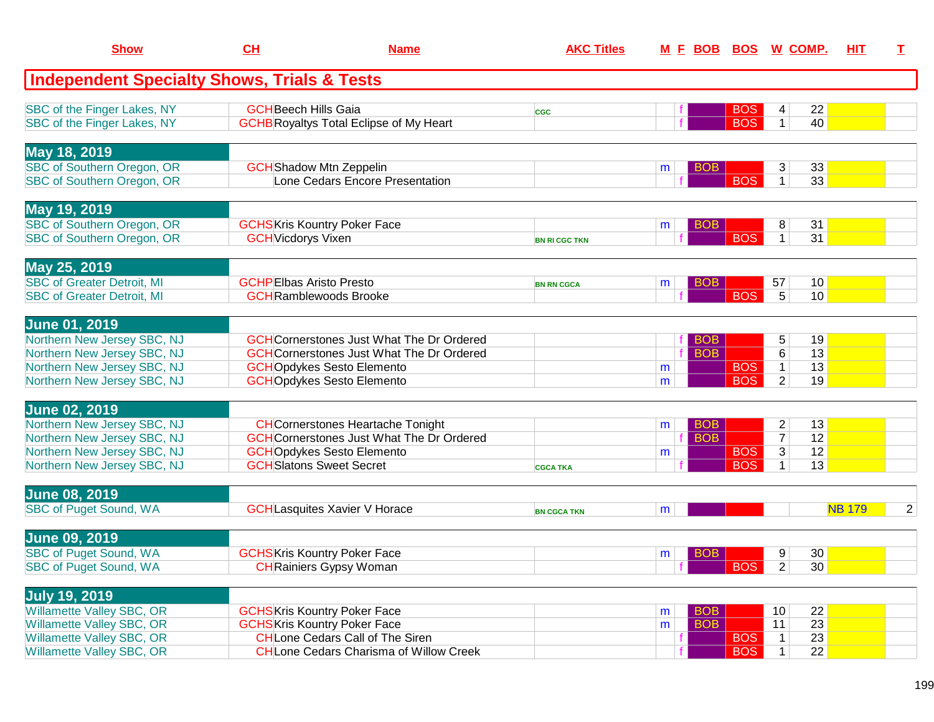| <b>Show</b>                                                                                                                                      | CL                             | <b>Name</b>                                                                                                                                                                  | <b>AKC Titles</b>    |                                    |                          | M E BOB BOS W COMP.                                                                       | HIT           | Т              |
|--------------------------------------------------------------------------------------------------------------------------------------------------|--------------------------------|------------------------------------------------------------------------------------------------------------------------------------------------------------------------------|----------------------|------------------------------------|--------------------------|-------------------------------------------------------------------------------------------|---------------|----------------|
| <b>Independent Specialty Shows, Trials &amp; Tests</b>                                                                                           |                                |                                                                                                                                                                              |                      |                                    |                          |                                                                                           |               |                |
| SBC of the Finger Lakes, NY<br>SBC of the Finger Lakes, NY                                                                                       | <b>GCH</b> Beech Hills Gaia    | <b>GCHB</b> Royaltys Total Eclipse of My Heart                                                                                                                               | <b>CGC</b>           |                                    | <b>BOS</b><br><b>BOS</b> | 22<br>4<br>40<br>$\mathbf 1$                                                              |               |                |
| May 18, 2019<br>SBC of Southern Oregon, OR<br>SBC of Southern Oregon, OR                                                                         |                                | <b>GCH</b> Shadow Mtn Zeppelin<br>Lone Cedars Encore Presentation                                                                                                            |                      | <b>BOB</b><br>m                    | <b>BOS</b>               | 3<br>33<br>33<br>$\mathbf 1$                                                              |               |                |
| May 19, 2019<br>SBC of Southern Oregon, OR<br>SBC of Southern Oregon, OR                                                                         | <b>GCH</b> Vicdorys Vixen      | <b>GCHS</b> Kris Kountry Poker Face                                                                                                                                          | <b>BN RI CGC TKN</b> | <b>BOB</b><br>m                    | <b>BOS</b>               | 8<br>31<br>31<br>1 <sup>1</sup>                                                           |               |                |
| May 25, 2019<br><b>SBC of Greater Detroit, MI</b><br><b>SBC of Greater Detroit, MI</b>                                                           | <b>GCHPEIbas Aristo Presto</b> | <b>GCH</b> Ramblewoods Brooke                                                                                                                                                | <b>BN RN CGCA</b>    | <b>BOB</b><br>m                    | <b>BOS</b>               | 10<br>57<br>5<br>10 <sup>1</sup>                                                          |               |                |
| <b>June 01, 2019</b><br>Northern New Jersey SBC, NJ<br>Northern New Jersey SBC, NJ<br>Northern New Jersey SBC, NJ<br>Northern New Jersey SBC, NJ |                                | <b>GCH</b> Cornerstones Just What The Dr Ordered<br><b>GCH</b> Cornerstones Just What The Dr Ordered<br><b>GCHOpdykes Sesto Elemento</b><br><b>GCHOpdykes Sesto Elemento</b> |                      | <b>BOB</b><br><b>BOB</b><br>m<br>m | <b>BOS</b><br><b>BOS</b> | 19<br>5<br>$\overline{6}$<br>13<br>13<br>$\mathbf{1}$<br>$\overline{2}$<br>19             |               |                |
| <b>June 02, 2019</b><br>Northern New Jersey SBC, NJ<br>Northern New Jersey SBC, NJ<br>Northern New Jersey SBC, NJ<br>Northern New Jersey SBC, NJ |                                | <b>CH</b> Cornerstones Heartache Tonight<br><b>GCH</b> Cornerstones Just What The Dr Ordered<br><b>GCHOpdykes Sesto Elemento</b><br><b>GCH</b> Slatons Sweet Secret          | <b>CGCA TKA</b>      | <b>BOB</b><br>m<br><b>BOB</b><br>m | <b>BOS</b><br><b>BOS</b> | $\overline{c}$<br>13<br>$\overline{7}$<br>12<br>12<br>$\overline{3}$<br>13<br>$\mathbf 1$ |               |                |
| <b>June 08, 2019</b><br><b>SBC of Puget Sound, WA</b>                                                                                            |                                | <b>GCH</b> Lasquites Xavier V Horace                                                                                                                                         | <b>BN CGCA TKN</b>   | m                                  |                          |                                                                                           | <b>NB 179</b> | $\overline{2}$ |
| <b>June 09, 2019</b><br><b>SBC of Puget Sound, WA</b><br>SBC of Puget Sound, WA                                                                  |                                | <b>GCHS</b> Kris Kountry Poker Face<br><b>CH</b> Rainiers Gypsy Woman                                                                                                        |                      | <b>BOB</b><br>m                    | BOS                      | 30 <br>9<br>$\vert$ 2<br>30 <sup>2</sup>                                                  |               |                |
| <b>July 19, 2019</b><br><b>Willamette Valley SBC, OR</b><br>Willamette Valley SBC, OR<br>Willamette Valley SBC, OR<br>Willamette Valley SBC, OR  |                                | <b>GCHS</b> Kris Kountry Poker Face<br><b>GCHS</b> Kris Kountry Poker Face<br><b>CHLone Cedars Call of The Siren</b><br><b>CH</b> Lone Cedars Charisma of Willow Creek       |                      | <b>BOB</b><br>m<br><b>BOB</b><br>m | <b>BOS</b><br><b>BOS</b> | 22<br>10<br> 23 <br>11<br>23<br>$\mathbf{1}$<br>22<br>$\mathbf 1$                         |               |                |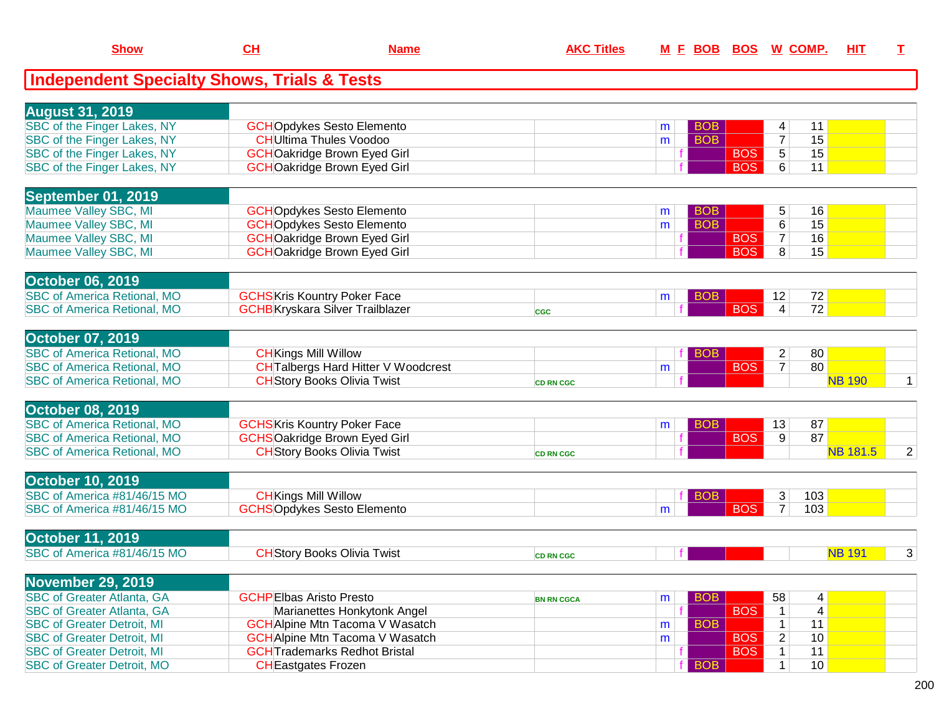| <b>Show</b>                                            | CH                                      | <b>Name</b>                                                                      | <b>AKC Titles</b> |   | M E BOB BOS W COMP. |            |                                  |                 | HIT             | I              |
|--------------------------------------------------------|-----------------------------------------|----------------------------------------------------------------------------------|-------------------|---|---------------------|------------|----------------------------------|-----------------|-----------------|----------------|
| <b>Independent Specialty Shows, Trials &amp; Tests</b> |                                         |                                                                                  |                   |   |                     |            |                                  |                 |                 |                |
| <b>August 31, 2019</b>                                 |                                         |                                                                                  |                   |   |                     |            |                                  |                 |                 |                |
| SBC of the Finger Lakes, NY                            |                                         | <b>GCHOpdykes Sesto Elemento</b>                                                 |                   | m | <b>BOB</b>          |            | 4                                | 11              |                 |                |
| SBC of the Finger Lakes, NY                            | <b>CH</b> Ultima Thules Voodoo          |                                                                                  |                   | m | <b>BOB</b>          |            | $\overline{7}$                   | 15              |                 |                |
| SBC of the Finger Lakes, NY                            |                                         | <b>GCHOakridge Brown Eyed Girl</b>                                               |                   |   |                     | <b>BOS</b> | $\overline{5}$                   | 15              |                 |                |
| SBC of the Finger Lakes, NY                            |                                         | <b>GCHOakridge Brown Eyed Girl</b>                                               |                   |   |                     | <b>BOS</b> | 6                                | 11              |                 |                |
| September 01, 2019                                     |                                         |                                                                                  |                   |   |                     |            |                                  |                 |                 |                |
| Maumee Valley SBC, MI                                  |                                         | <b>GCHOpdykes Sesto Elemento</b>                                                 |                   | m | <b>BOB</b>          |            | $\sqrt{5}$                       | 16              |                 |                |
| Maumee Valley SBC, MI                                  |                                         | <b>GCHOpdykes Sesto Elemento</b>                                                 |                   | m | <b>BOB</b>          |            | 6                                | 15              |                 |                |
| Maumee Valley SBC, MI                                  |                                         | <b>GCHOakridge Brown Eyed Girl</b>                                               |                   |   |                     | <b>BOS</b> | $\overline{7}$                   | 16              |                 |                |
| Maumee Valley SBC, MI                                  |                                         | <b>GCHOakridge Brown Eyed Girl</b>                                               |                   |   |                     | <b>BOS</b> | 8                                | 15              |                 |                |
| <b>October 06, 2019</b>                                |                                         |                                                                                  |                   |   |                     |            |                                  |                 |                 |                |
| <b>SBC of America Retional, MO</b>                     | <b>GCHS</b> Kris Kountry Poker Face     |                                                                                  |                   | m | <b>BOB</b>          |            | 12                               | 72              |                 |                |
| <b>SBC of America Retional, MO</b>                     | <b>GCHB</b> Kryskara Silver Trailblazer |                                                                                  | <b>CGC</b>        |   |                     | <b>BOS</b> | 4                                | 72              |                 |                |
| <b>October 07, 2019</b>                                |                                         |                                                                                  |                   |   |                     |            |                                  |                 |                 |                |
| <b>SBC of America Retional, MO</b>                     | <b>CH</b> Kings Mill Willow             |                                                                                  |                   |   | <b>BOB</b>          |            |                                  | 80              |                 |                |
| <b>SBC of America Retional, MO</b>                     |                                         |                                                                                  |                   |   |                     | <b>BOS</b> | $\overline{c}$<br>$\overline{7}$ | 80              |                 |                |
| <b>SBC of America Retional, MO</b>                     |                                         | <b>CH</b> Talbergs Hard Hitter V Woodcrest<br><b>CH</b> Story Books Olivia Twist |                   | m |                     |            |                                  |                 | <b>NB 190</b>   | 1              |
|                                                        |                                         |                                                                                  | <b>CD RN CGC</b>  |   |                     |            |                                  |                 |                 |                |
| <b>October 08, 2019</b>                                |                                         |                                                                                  |                   |   |                     |            |                                  |                 |                 |                |
| <b>SBC of America Retional, MO</b>                     | <b>GCHS</b> Kris Kountry Poker Face     |                                                                                  |                   | m | <b>BOB</b>          |            | 13                               | 87              |                 |                |
| <b>SBC of America Retional, MO</b>                     | <b>GCHSOakridge Brown Eyed Girl</b>     |                                                                                  |                   |   |                     | <b>BOS</b> | 9                                | 87              |                 |                |
| <b>SBC of America Retional, MO</b>                     |                                         | <b>CH</b> Story Books Olivia Twist                                               | <b>CD RN CGC</b>  |   |                     |            |                                  |                 | <b>NB 181.5</b> | 2 <sup>1</sup> |
| <b>October 10, 2019</b>                                |                                         |                                                                                  |                   |   |                     |            |                                  |                 |                 |                |
| SBC of America #81/46/15 MO                            | <b>CH</b> Kings Mill Willow             |                                                                                  |                   |   | <b>BOB</b>          |            | 3                                | 103             |                 |                |
| SBC of America #81/46/15 MO                            | <b>GCHSOpdykes Sesto Elemento</b>       |                                                                                  |                   | m |                     | <b>BOS</b> | $\overline{7}$                   | 103             |                 |                |
| <b>October 11, 2019</b>                                |                                         |                                                                                  |                   |   |                     |            |                                  |                 |                 |                |
| SBC of America #81/46/15 MO                            |                                         | <b>CH</b> Story Books Olivia Twist                                               | <b>CD RN CGC</b>  |   |                     |            |                                  |                 | <b>NB 191</b>   | 3              |
|                                                        |                                         |                                                                                  |                   |   |                     |            |                                  |                 |                 |                |
| <b>November 29, 2019</b>                               |                                         |                                                                                  |                   |   |                     |            |                                  |                 |                 |                |
| <b>SBC of Greater Atlanta, GA</b>                      | <b>GCHPEIbas Aristo Presto</b>          |                                                                                  | <b>BN RN CGCA</b> | m | <b>BOB</b>          |            | 58                               | 4               |                 |                |
| <b>SBC of Greater Atlanta, GA</b>                      |                                         | Marianettes Honkytonk Angel                                                      |                   |   |                     | <b>BOS</b> | $\mathbf{1}$                     | $\overline{4}$  |                 |                |
| <b>SBC of Greater Detroit, MI</b>                      |                                         | <b>GCH</b> Alpine Mtn Tacoma V Wasatch                                           |                   | m | <b>BOB</b>          |            | $\mathbf{1}$                     | 11              |                 |                |
| <b>SBC of Greater Detroit, MI</b>                      |                                         | <b>GCH</b> Alpine Mtn Tacoma V Wasatch                                           |                   | m |                     | <b>BOS</b> | $\overline{2}$                   | 10 <sup>1</sup> |                 |                |
| <b>SBC of Greater Detroit, MI</b>                      |                                         | <b>GCHTrademarks Redhot Bristal</b>                                              |                   |   |                     | <b>BOS</b> | $\mathbf 1$                      | 11              |                 |                |
| <b>SBC of Greater Detroit, MO</b>                      | <b>CH</b> Eastgates Frozen              |                                                                                  |                   |   | <b>BOB</b>          |            | 1 <sup>1</sup>                   | 10 <sup>1</sup> |                 |                |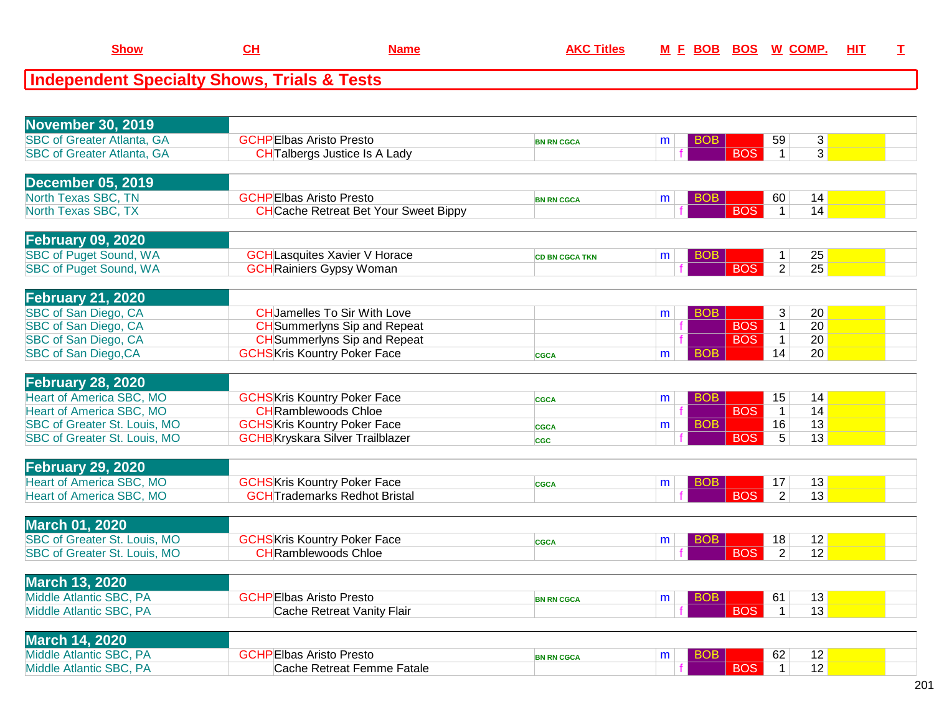| <b>November 30, 2019</b>            |                                              |                       |   |            |                |                |  |
|-------------------------------------|----------------------------------------------|-----------------------|---|------------|----------------|----------------|--|
| <b>SBC of Greater Atlanta, GA</b>   | <b>GCHPEIbas Aristo Presto</b>               | <b>BN RN CGCA</b>     | m | BOB        | 59             | $\mathbf{3}$   |  |
| <b>SBC of Greater Atlanta, GA</b>   | <b>CHTalbergs Justice Is A Lady</b>          |                       |   | <b>BOS</b> | $\overline{1}$ | $\overline{3}$ |  |
|                                     |                                              |                       |   |            |                |                |  |
| <b>December 05, 2019</b>            |                                              |                       |   |            |                |                |  |
| North Texas SBC, TN                 | <b>GCHPEIbas Aristo Presto</b>               |                       | m | <b>BOB</b> | 60             | 14             |  |
| North Texas SBC, TX                 | <b>CH</b> Cache Retreat Bet Your Sweet Bippy | <b>BN RN CGCA</b>     |   | <b>BOS</b> | $\mathbf{1}$   | 14             |  |
|                                     |                                              |                       |   |            |                |                |  |
|                                     |                                              |                       |   |            |                |                |  |
| <b>February 09, 2020</b>            |                                              |                       |   |            |                |                |  |
| <b>SBC of Puget Sound, WA</b>       | <b>GCH</b> Lasquites Xavier V Horace         | <b>CD BN CGCA TKN</b> | m | BOB        | 1              | 25             |  |
| <b>SBC of Puget Sound, WA</b>       | <b>GCH</b> Rainiers Gypsy Woman              |                       |   | <b>BOS</b> | $\overline{2}$ | 25             |  |
|                                     |                                              |                       |   |            |                |                |  |
| <b>February 21, 2020</b>            |                                              |                       |   |            |                |                |  |
| SBC of San Diego, CA                | <b>CHJamelles To Sir With Love</b>           |                       | m | <b>BOB</b> | $\mathbf{3}$   | 20             |  |
| SBC of San Diego, CA                | <b>CH</b> Summerlyns Sip and Repeat          |                       |   | <b>BOS</b> | $\mathbf{1}$   | 20             |  |
| SBC of San Diego, CA                | <b>CH</b> Summerlyns Sip and Repeat          |                       |   | <b>BOS</b> | $\mathbf{1}$   | 20             |  |
| <b>SBC of San Diego, CA</b>         | <b>GCHS</b> Kris Kountry Poker Face          | <b>CGCA</b>           | m | <b>BOB</b> | 14             | 20             |  |
|                                     |                                              |                       |   |            |                |                |  |
| <b>February 28, 2020</b>            |                                              |                       |   |            |                |                |  |
| <b>Heart of America SBC, MO</b>     |                                              |                       |   |            |                |                |  |
|                                     | <b>GCHSKris Kountry Poker Face</b>           | <b>CGCA</b>           | m | <b>BOB</b> | 15             | 14             |  |
| <b>Heart of America SBC, MO</b>     | <b>CH</b> Ramblewoods Chloe                  |                       |   | <b>BOS</b> | $\overline{1}$ | 14             |  |
| SBC of Greater St. Louis, MO        | <b>GCHSKris Kountry Poker Face</b>           | <b>CGCA</b>           | m | <b>BOB</b> | 16             | 13             |  |
| SBC of Greater St. Louis, MO        | <b>GCHB</b> Kryskara Silver Trailblazer      | <b>CGC</b>            |   | <b>BOS</b> | $\overline{5}$ | 13             |  |
|                                     |                                              |                       |   |            |                |                |  |
| <b>February 29, 2020</b>            |                                              |                       |   |            |                |                |  |
| <b>Heart of America SBC, MO</b>     | <b>GCHS</b> Kris Kountry Poker Face          | <b>CGCA</b>           | m | BOB        | 17             | 13             |  |
| <b>Heart of America SBC, MO</b>     | <b>GCHTrademarks Redhot Bristal</b>          |                       |   | <b>BOS</b> | 2              | 13             |  |
|                                     |                                              |                       |   |            |                |                |  |
| <b>March 01, 2020</b>               |                                              |                       |   |            |                |                |  |
| <b>SBC of Greater St. Louis, MO</b> | <b>GCHSKris Kountry Poker Face</b>           | <b>CGCA</b>           | m | <b>BOB</b> | 18             | 12             |  |
| SBC of Greater St. Louis, MO        | <b>CH</b> Ramblewoods Chloe                  |                       |   | <b>BOS</b> | $\overline{2}$ | 12             |  |
|                                     |                                              |                       |   |            |                |                |  |
| <b>March 13, 2020</b>               |                                              |                       |   |            |                |                |  |
|                                     |                                              |                       |   |            |                |                |  |
| Middle Atlantic SBC, PA             | <b>GCHPEIbas Aristo Presto</b>               | <b>BN RN CGCA</b>     | m | <b>BOB</b> | 61             | 13             |  |
| Middle Atlantic SBC, PA             | Cache Retreat Vanity Flair                   |                       |   | <b>BOS</b> | $\mathbf{1}$   | 13             |  |
|                                     |                                              |                       |   |            |                |                |  |
| <b>March 14, 2020</b>               |                                              |                       |   |            |                |                |  |
| Middle Atlantic SBC, PA             | <b>GCHPEIbas Aristo Presto</b>               | <b>BN RN CGCA</b>     | m | BOB        | 62             | 12             |  |
| Middle Atlantic SBC, PA             | Cache Retreat Femme Fatale                   |                       |   | <b>BOS</b> | $\mathbf{1}$   | 12             |  |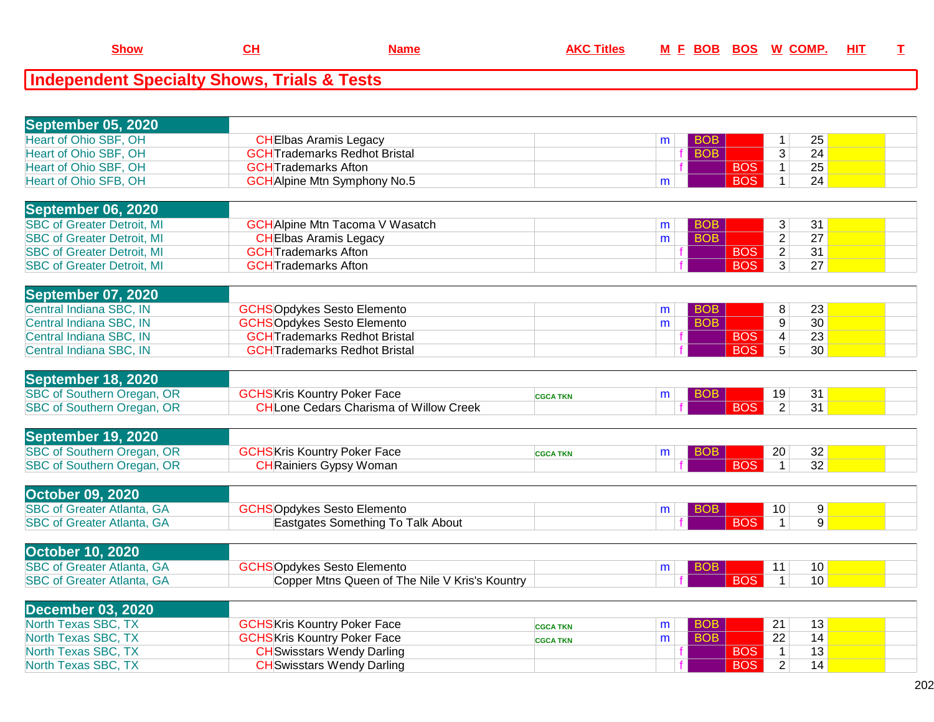| September 05, 2020                |                                                                                      |                 |              |            |            |                      |                 |  |
|-----------------------------------|--------------------------------------------------------------------------------------|-----------------|--------------|------------|------------|----------------------|-----------------|--|
| <b>Heart of Ohio SBF, OH</b>      | <b>CH</b> Elbas Aramis Legacy                                                        |                 | m            | <b>BOB</b> |            | $\mathbf{1}$         | 25              |  |
| Heart of Ohio SBF, OH             | <b>GCHTrademarks Redhot Bristal</b>                                                  |                 |              | <b>BOB</b> |            | $\overline{3}$       | 24              |  |
| Heart of Ohio SBF, OH             | <b>GCHT</b> rademarks Afton                                                          |                 |              |            | <b>BOS</b> | $\mathbf{1}$         | 25              |  |
| Heart of Ohio SFB, OH             | <b>GCH</b> Alpine Mtn Symphony No.5                                                  |                 | m            |            | <b>BOS</b> | $\mathbf{1}$         | 24              |  |
|                                   |                                                                                      |                 |              |            |            |                      |                 |  |
| <b>September 06, 2020</b>         |                                                                                      |                 |              |            |            |                      |                 |  |
| <b>SBC of Greater Detroit, MI</b> | <b>GCH</b> Alpine Mtn Tacoma V Wasatch                                               |                 | m            | <b>BOB</b> |            | 3                    | 31              |  |
| <b>SBC of Greater Detroit, MI</b> | <b>CH</b> Elbas Aramis Legacy                                                        |                 | m            | <b>BOB</b> |            | $\overline{2}$       | $\overline{27}$ |  |
| <b>SBC of Greater Detroit, MI</b> | <b>GCHTrademarks Afton</b>                                                           |                 |              |            | <b>BOS</b> | $\overline{2}$       | 31              |  |
| <b>SBC of Greater Detroit, MI</b> | <b>GCHTrademarks Afton</b>                                                           |                 |              |            | <b>BOS</b> | $\overline{3}$       | 27              |  |
|                                   |                                                                                      |                 |              |            |            |                      |                 |  |
| September 07, 2020                |                                                                                      |                 |              |            |            |                      |                 |  |
| Central Indiana SBC, IN           | <b>GCHSOpdykes Sesto Elemento</b>                                                    |                 | m            | <b>BOB</b> |            | 8                    | 23              |  |
| Central Indiana SBC, IN           | <b>GCHSOpdykes Sesto Elemento</b>                                                    |                 | m            | <b>BOB</b> |            | 9                    | $\overline{30}$ |  |
| Central Indiana SBC, IN           | <b>GCHTrademarks Redhot Bristal</b>                                                  |                 |              |            | <b>BOS</b> | $\overline{4}$       | 23              |  |
| Central Indiana SBC, IN           | <b>GCH</b> Trademarks Redhot Bristal                                                 |                 |              |            | <b>BOS</b> | $\overline{5}$       | 30              |  |
|                                   |                                                                                      |                 |              |            |            |                      |                 |  |
| September 18, 2020                |                                                                                      |                 |              |            |            |                      |                 |  |
| <b>SBC of Southern Oregan, OR</b> |                                                                                      |                 |              |            |            |                      |                 |  |
| <b>SBC of Southern Oregan, OR</b> | <b>GCHS</b> Kris Kountry Poker Face<br><b>CHLone Cedars Charisma of Willow Creek</b> | <b>CGCA TKN</b> | m            | <b>BOB</b> | <b>BOS</b> | 19<br>$\overline{2}$ | 31<br>31        |  |
|                                   |                                                                                      |                 |              |            |            |                      |                 |  |
|                                   |                                                                                      |                 |              |            |            |                      |                 |  |
| September 19, 2020                |                                                                                      |                 |              |            |            |                      |                 |  |
| <b>SBC of Southern Oregan, OR</b> | <b>GCHS</b> Kris Kountry Poker Face                                                  | <b>CGCA TKN</b> | m            | <b>BOB</b> |            | 20                   | 32              |  |
| SBC of Southern Oregan, OR        | <b>CH</b> Rainiers Gypsy Woman                                                       |                 |              |            | <b>BOS</b> | $\mathbf{1}$         | $\overline{32}$ |  |
|                                   |                                                                                      |                 |              |            |            |                      |                 |  |
| <b>October 09, 2020</b>           |                                                                                      |                 |              |            |            |                      |                 |  |
| <b>SBC of Greater Atlanta, GA</b> | <b>GCHSOpdykes Sesto Elemento</b>                                                    |                 | m            | <b>BOB</b> |            | 10                   | 9 <sup>°</sup>  |  |
| <b>SBC of Greater Atlanta, GA</b> | Eastgates Something To Talk About                                                    |                 |              |            | <b>BOS</b> | $\mathbf{1}$         | 9               |  |
|                                   |                                                                                      |                 |              |            |            |                      |                 |  |
| <b>October 10, 2020</b>           |                                                                                      |                 |              |            |            |                      |                 |  |
| <b>SBC of Greater Atlanta, GA</b> | <b>GCHSOpdykes Sesto Elemento</b>                                                    |                 | m            | <b>BOB</b> |            | 11                   | 10              |  |
| <b>SBC of Greater Atlanta, GA</b> | Copper Mtns Queen of The Nile V Kris's Kountry                                       |                 |              |            | <b>BOS</b> | $\mathbf{1}$         | 10              |  |
|                                   |                                                                                      |                 |              |            |            |                      |                 |  |
| <b>December 03, 2020</b>          |                                                                                      |                 |              |            |            |                      |                 |  |
| North Texas SBC, TX               | <b>GCHS</b> Kris Kountry Poker Face                                                  | <b>CGCA TKN</b> | m            | <b>BOB</b> |            | 21                   | 13              |  |
| North Texas SBC, TX               | <b>GCHS</b> Kris Kountry Poker Face                                                  | <b>CGCA TKN</b> | $\mathsf{m}$ | <b>BOB</b> |            | 22                   | 14              |  |
| North Texas SBC, TX               | <b>CH</b> Swisstars Wendy Darling                                                    |                 |              |            | <b>BOS</b> | $\mathbf{1}$         | 13              |  |
| North Texas SBC, TX               | <b>CH</b> Swisstars Wendy Darling                                                    |                 |              |            | <b>BOS</b> | $\overline{2}$       | 14              |  |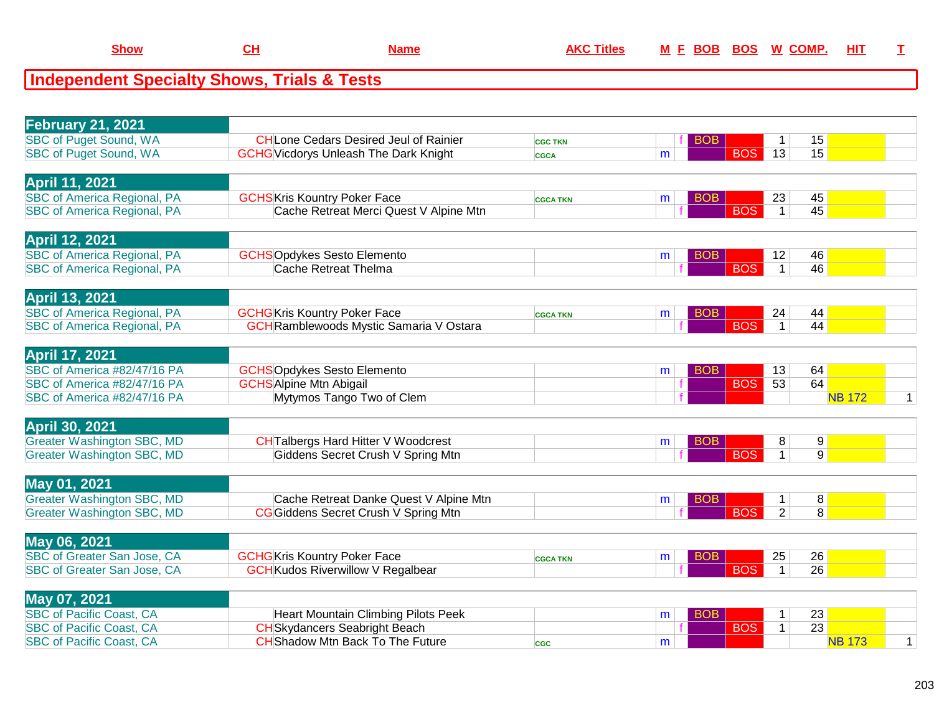|  |  | 200 | aos | M | <u>HI1</u> |  |
|--|--|-----|-----|---|------------|--|
|  |  |     |     |   |            |  |

| <b>February 21, 2021</b>                                               |                                                |                 |                 |                                 |                     |              |
|------------------------------------------------------------------------|------------------------------------------------|-----------------|-----------------|---------------------------------|---------------------|--------------|
| <b>SBC of Puget Sound, WA</b>                                          | <b>CHLone Cedars Desired Jeul of Rainier</b>   | <b>CGC TKN</b>  | BOB.            | 1                               | 15                  |              |
| <b>SBC of Puget Sound, WA</b>                                          | <b>GCHG</b> Vicdorys Unleash The Dark Knight   | <b>CGCA</b>     | m               | <b>BOS</b><br>13                | 15                  |              |
|                                                                        |                                                |                 |                 |                                 |                     |              |
| <b>April 11, 2021</b>                                                  |                                                |                 |                 |                                 |                     |              |
| <b>SBC of America Regional, PA</b>                                     | <b>GCHS</b> Kris Kountry Poker Face            | <b>CGCA TKN</b> | BOB<br>m        | 23                              | 45                  |              |
| <b>SBC of America Regional, PA</b>                                     | Cache Retreat Merci Quest V Alpine Mtn         |                 |                 | <b>BOS</b><br>$\mathbf{1}$      | 45                  |              |
|                                                                        |                                                |                 |                 |                                 |                     |              |
| <b>April 12, 2021</b>                                                  |                                                |                 |                 |                                 |                     |              |
| <b>SBC of America Regional, PA</b>                                     | <b>GCHSOpdykes Sesto Elemento</b>              |                 | BOB<br>m        | 12                              | 46                  |              |
| <b>SBC of America Regional, PA</b>                                     | <b>Cache Retreat Thelma</b>                    |                 |                 | <b>BOS</b><br>$\mathbf{1}$      | 46                  |              |
|                                                                        |                                                |                 |                 |                                 |                     |              |
| <b>April 13, 2021</b>                                                  |                                                |                 |                 |                                 |                     |              |
| <b>SBC of America Regional, PA</b>                                     | <b>GCHG</b> Kris Kountry Poker Face            | <b>CGCA TKN</b> | <b>BOB</b><br>m | 24                              | 44                  |              |
| <b>SBC of America Regional, PA</b>                                     | <b>GCH</b> Ramblewoods Mystic Samaria V Ostara |                 |                 | <b>BOS</b><br>$\overline{1}$    | 44                  |              |
|                                                                        |                                                |                 |                 |                                 |                     |              |
| <b>April 17, 2021</b>                                                  |                                                |                 |                 |                                 |                     |              |
| SBC of America #82/47/16 PA                                            | <b>GCHSOpdykes Sesto Elemento</b>              |                 | <b>BOB</b><br>m | 13                              | 64                  |              |
| SBC of America #82/47/16 PA                                            | <b>GCHS</b> Alpine Mtn Abigail                 |                 |                 | <b>BOS</b><br>53                | 64                  |              |
| SBC of America #82/47/16 PA                                            | Mytymos Tango Two of Clem                      |                 |                 |                                 | <b>NB 172</b>       | $\mathbf{1}$ |
|                                                                        |                                                |                 |                 |                                 |                     |              |
| <b>April 30, 2021</b>                                                  |                                                |                 |                 |                                 |                     |              |
| <b>Greater Washington SBC, MD</b><br><b>Greater Washington SBC, MD</b> | <b>CH</b> Talbergs Hard Hitter V Woodcrest     |                 | BOB<br>m        | 8<br><b>BOS</b><br>$\mathbf{1}$ | 9<br>9 <sup>1</sup> |              |
|                                                                        | Giddens Secret Crush V Spring Mtn              |                 |                 |                                 |                     |              |
| May 01, 2021                                                           |                                                |                 |                 |                                 |                     |              |
| <b>Greater Washington SBC, MD</b>                                      | Cache Retreat Danke Quest V Alpine Mtn         |                 | <b>BOB</b><br>m | 1                               | 8                   |              |
| <b>Greater Washington SBC, MD</b>                                      | CG Giddens Secret Crush V Spring Mtn           |                 |                 | <b>BOS</b><br>$\overline{2}$    | $\overline{8}$      |              |
|                                                                        |                                                |                 |                 |                                 |                     |              |
| May 06, 2021                                                           |                                                |                 |                 |                                 |                     |              |
| SBC of Greater San Jose, CA                                            | <b>GCHG</b> Kris Kountry Poker Face            | <b>CGCA TKN</b> | BOB<br>m        | 25                              | 26                  |              |
| SBC of Greater San Jose, CA                                            | <b>GCH</b> Kudos Riverwillow V Regalbear       |                 |                 | <b>BOS</b><br>$\mathbf{1}$      | $\overline{26}$     |              |
|                                                                        |                                                |                 |                 |                                 |                     |              |
| May 07, 2021                                                           |                                                |                 |                 |                                 |                     |              |
| <b>SBC of Pacific Coast, CA</b>                                        | Heart Mountain Climbing Pilots Peek            |                 | BOB<br>m        | 1                               | 23                  |              |
| <b>SBC of Pacific Coast, CA</b>                                        | <b>CH</b> Skydancers Seabright Beach           |                 |                 | <b>BOS</b><br>$\mathbf{1}$      | 23                  |              |
| <b>SBC of Pacific Coast, CA</b>                                        | <b>CH</b> Shadow Mtn Back To The Future        | <b>CGC</b>      | m               |                                 | <b>NB 173</b>       | $\mathbf{1}$ |
|                                                                        |                                                |                 |                 |                                 |                     |              |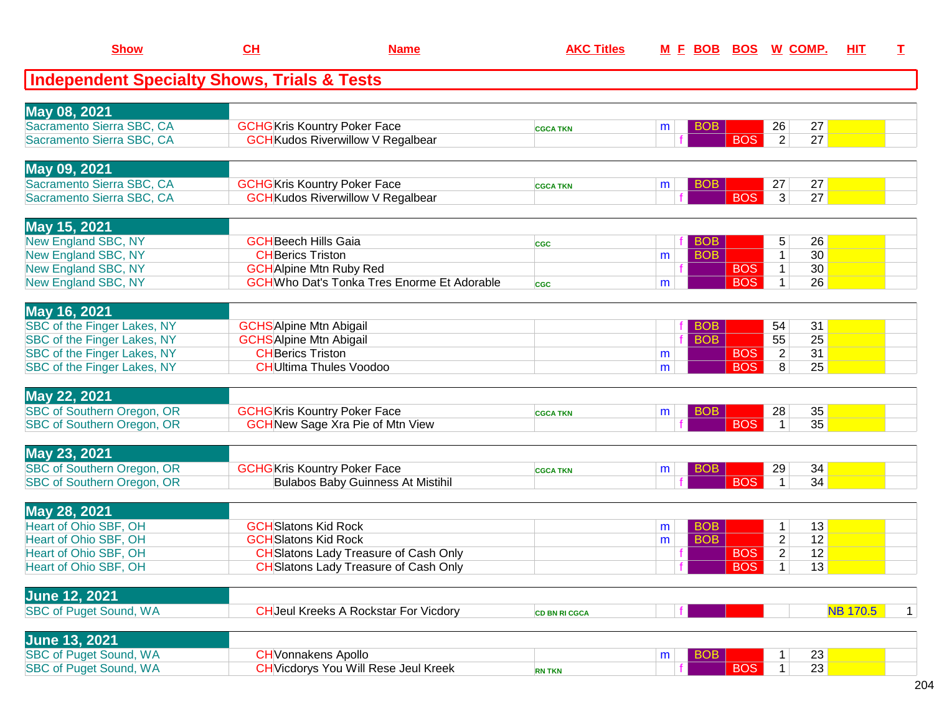| <b>Show</b>                                            | CH                                                         | <b>Name</b>                                        | <b>AKC Titles</b>    |        | M E BOB BOS W COMP.      |            |                      | <b>HIT</b>            | $\mathbf{T}$ |
|--------------------------------------------------------|------------------------------------------------------------|----------------------------------------------------|----------------------|--------|--------------------------|------------|----------------------|-----------------------|--------------|
| <b>Independent Specialty Shows, Trials &amp; Tests</b> |                                                            |                                                    |                      |        |                          |            |                      |                       |              |
| May 08, 2021                                           |                                                            |                                                    |                      |        |                          |            |                      |                       |              |
| Sacramento Sierra SBC, CA<br>Sacramento Sierra SBC, CA | <b>GCHG</b> Kris Kountry Poker Face                        | <b>GCH</b> Kudos Riverwillow V Regalbear           | <b>CGCA TKN</b>      | m      | <b>BOB</b>               | <b>BOS</b> | 26<br>$\overline{2}$ | 27<br>27              |              |
|                                                        |                                                            |                                                    |                      |        |                          |            |                      |                       |              |
| May 09, 2021                                           |                                                            |                                                    |                      |        |                          |            |                      |                       |              |
| Sacramento Sierra SBC, CA<br>Sacramento Sierra SBC, CA | <b>GCHG</b> Kris Kountry Poker Face                        | <b>GCH</b> Kudos Riverwillow V Regalbear           | <b>CGCA TKN</b>      | m      | <b>BOB</b>               | <b>BOS</b> | 27<br>3 <sup>1</sup> | 27<br>27              |              |
|                                                        |                                                            |                                                    |                      |        |                          |            |                      |                       |              |
| May 15, 2021                                           |                                                            |                                                    |                      |        |                          |            |                      |                       |              |
| <b>New England SBC, NY</b>                             | <b>GCH</b> Beech Hills Gaia                                |                                                    | <b>CGC</b>           |        | <b>BOB</b>               |            | 5                    | 26                    |              |
| New England SBC, NY                                    | <b>CH</b> Berics Triston                                   |                                                    |                      | m      | <b>BOB</b>               | <b>BOS</b> | $\mathbf{1}$         | 30<br>30 <sup>2</sup> |              |
| New England SBC, NY<br>New England SBC, NY             | <b>GCH</b> Alpine Mtn Ruby Red                             | <b>GCH</b> Who Dat's Tonka Tres Enorme Et Adorable |                      | m      |                          | <b>BOS</b> | $\mathbf 1$<br>1     | 26                    |              |
|                                                        |                                                            |                                                    | <b>CGC</b>           |        |                          |            |                      |                       |              |
| May 16, 2021                                           |                                                            |                                                    |                      |        |                          |            |                      |                       |              |
| SBC of the Finger Lakes, NY                            | <b>GCHS</b> Alpine Mtn Abigail                             |                                                    |                      |        | <b>BOB</b>               |            | 54                   | 31                    |              |
| SBC of the Finger Lakes, NY                            | <b>GCHSAlpine Mtn Abigail</b>                              |                                                    |                      |        | <b>BOB</b>               |            | 55                   | 25                    |              |
| SBC of the Finger Lakes, NY                            | <b>CH</b> Berics Triston                                   |                                                    |                      | m      |                          | <b>BOS</b> | $\overline{2}$       | 31                    |              |
| SBC of the Finger Lakes, NY                            |                                                            | <b>CH</b> Ultima Thules Voodoo                     |                      | m      |                          | <b>BOS</b> | 8                    | 25                    |              |
| May 22, 2021                                           |                                                            |                                                    |                      |        |                          |            |                      |                       |              |
| <b>SBC of Southern Oregon, OR</b>                      | <b>GCHG</b> Kris Kountry Poker Face                        |                                                    | <b>CGCA TKN</b>      | m      | <b>BOB</b>               |            | 28                   | 35                    |              |
| <b>SBC of Southern Oregon, OR</b>                      |                                                            | <b>GCH</b> New Sage Xra Pie of Mtn View            |                      |        |                          | <b>BOS</b> | $\mathbf{1}$         | 35                    |              |
| May 23, 2021                                           |                                                            |                                                    |                      |        |                          |            |                      |                       |              |
| SBC of Southern Oregon, OR                             | <b>GCHG</b> Kris Kountry Poker Face                        |                                                    | <b>CGCA TKN</b>      | m      | <b>BOB</b>               |            | 29                   | 34                    |              |
| <b>SBC of Southern Oregon, OR</b>                      |                                                            | <b>Bulabos Baby Guinness At Mistihil</b>           |                      |        |                          | <b>BOS</b> | $\mathbf 1$          | 34                    |              |
|                                                        |                                                            |                                                    |                      |        |                          |            |                      |                       |              |
| May 28, 2021                                           |                                                            |                                                    |                      |        |                          |            |                      |                       |              |
| Heart of Ohio SBF, OH<br>Heart of Ohio SBF, OH         | <b>GCH</b> Slatons Kid Rock<br><b>GCH</b> Slatons Kid Rock |                                                    |                      | m<br>m | <b>BOB</b><br><b>BOB</b> |            | 1<br>$\overline{c}$  | 13<br>12              |              |
| Heart of Ohio SBF, OH                                  |                                                            | <b>CH</b> Slatons Lady Treasure of Cash Only       |                      |        |                          | <b>BOS</b> | $\overline{2}$       | 12                    |              |
| Heart of Ohio SBF, OH                                  |                                                            | <b>CH</b> Slatons Lady Treasure of Cash Only       |                      |        |                          | <b>BOS</b> | 1 <sup>1</sup>       | 13                    |              |
|                                                        |                                                            |                                                    |                      |        |                          |            |                      |                       |              |
| <b>June 12, 2021</b>                                   |                                                            |                                                    |                      |        |                          |            |                      |                       |              |
| <b>SBC of Puget Sound, WA</b>                          |                                                            | <b>CH</b> Jeul Kreeks A Rockstar For Vicdory       | <b>CD BN RI CGCA</b> |        |                          |            |                      | <b>NB 170.5</b>       | 1            |
| <b>June 13, 2021</b>                                   |                                                            |                                                    |                      |        |                          |            |                      |                       |              |
| <b>SBC of Puget Sound, WA</b>                          | <b>CH</b> Vonnakens Apollo                                 |                                                    |                      | m      | <b>BOB</b>               |            |                      | 23                    |              |
| <b>SBC of Puget Sound, WA</b>                          |                                                            | <b>CH</b> Vicdorys You Will Rese Jeul Kreek        | <b>RN TKN</b>        |        |                          | <b>BOS</b> | 1                    | 23                    |              |
|                                                        |                                                            |                                                    |                      |        |                          |            |                      |                       |              |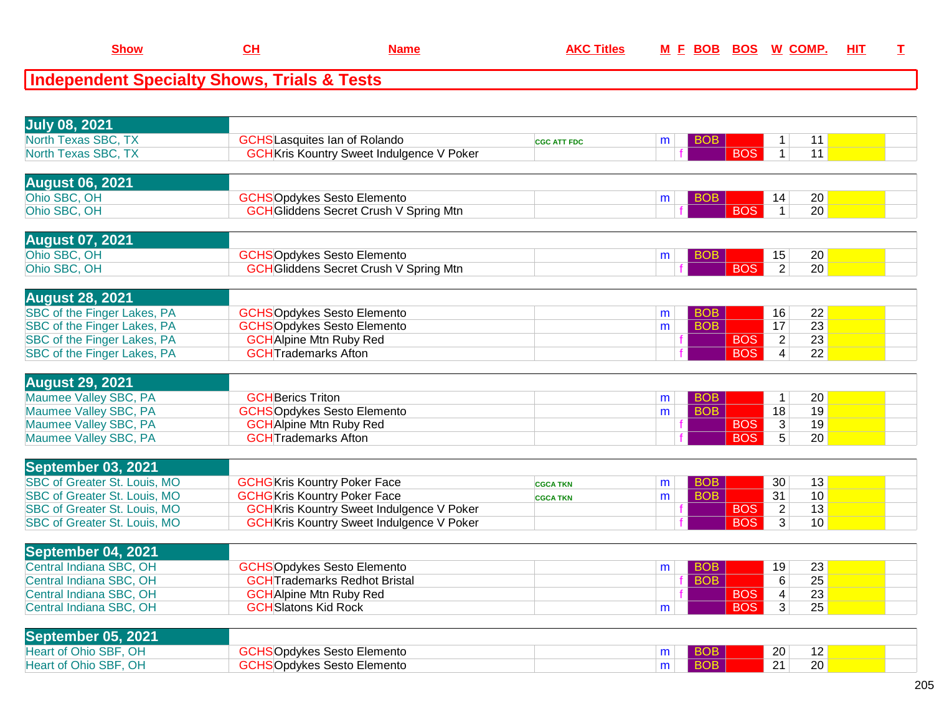| .show | Name | AKC. | M F BOB BOS | W COMP. | <u>HIT</u> |  |
|-------|------|------|-------------|---------|------------|--|
|       |      |      |             |         |            |  |

| <b>July 08, 2021</b>                |                                                  |                    |                 |            |                                   |  |
|-------------------------------------|--------------------------------------------------|--------------------|-----------------|------------|-----------------------------------|--|
| North Texas SBC, TX                 | <b>GCHS</b> Lasquites Ian of Rolando             | <b>CGC ATT FDC</b> | <b>BOB</b><br>m |            | 11<br>1                           |  |
| North Texas SBC, TX                 | <b>GCH</b> Kris Kountry Sweet Indulgence V Poker |                    |                 | <b>BOS</b> | 11<br>$\mathbf{1}$                |  |
| <b>August 06, 2021</b>              |                                                  |                    |                 |            |                                   |  |
| Ohio SBC, OH                        | <b>GCHSOpdykes Sesto Elemento</b>                |                    | <b>BOB</b><br>m |            | 20<br>14                          |  |
| Ohio SBC, OH                        | <b>GCH</b> Gliddens Secret Crush V Spring Mtn    |                    |                 | <b>BOS</b> | $\mathbf{1}$<br>20                |  |
| <b>August 07, 2021</b>              |                                                  |                    |                 |            |                                   |  |
| Ohio SBC, OH                        | <b>GCHSOpdykes Sesto Elemento</b>                |                    | <b>BOB</b><br>m |            | 15<br>20                          |  |
| Ohio SBC, OH                        | <b>GCH</b> Gliddens Secret Crush V Spring Mtn    |                    |                 | <b>BOS</b> | $\overline{2}$<br>$\overline{20}$ |  |
| <b>August 28, 2021</b>              |                                                  |                    |                 |            |                                   |  |
| SBC of the Finger Lakes, PA         | <b>GCHSOpdykes Sesto Elemento</b>                |                    | <b>BOB</b><br>m |            | 16<br>22                          |  |
| SBC of the Finger Lakes, PA         | <b>GCHSOpdykes Sesto Elemento</b>                |                    | <b>BOB</b><br>m |            | 17<br>$\overline{23}$             |  |
| SBC of the Finger Lakes, PA         | <b>GCH</b> Alpine Mtn Ruby Red                   |                    |                 | <b>BOS</b> | $\overline{2}$<br>$\overline{23}$ |  |
| SBC of the Finger Lakes, PA         | <b>GCHTrademarks Afton</b>                       |                    |                 | <b>BOS</b> | $\overline{22}$<br>$\overline{4}$ |  |
|                                     |                                                  |                    |                 |            |                                   |  |
| <b>August 29, 2021</b>              |                                                  |                    |                 |            |                                   |  |
| Maumee Valley SBC, PA               | <b>GCH</b> Berics Triton                         |                    | <b>BOB</b><br>m |            | $\mathbf{1}$<br>20                |  |
| Maumee Valley SBC, PA               | <b>GCHSOpdykes Sesto Elemento</b>                |                    | <b>BOB</b><br>m |            | 18<br>19                          |  |
| Maumee Valley SBC, PA               | <b>GCH</b> Alpine Mtn Ruby Red                   |                    |                 | <b>BOS</b> | $\overline{3}$<br>19              |  |
| Maumee Valley SBC, PA               | <b>GCH</b> Trademarks Afton                      |                    |                 | <b>BOS</b> | $\overline{5}$<br>20              |  |
| September 03, 2021                  |                                                  |                    |                 |            |                                   |  |
| <b>SBC of Greater St. Louis, MO</b> | <b>GCHG</b> Kris Kountry Poker Face              | <b>CGCA TKN</b>    | <b>BOB</b><br>m |            | 30<br>13                          |  |
| SBC of Greater St. Louis, MO        | <b>GCHG</b> Kris Kountry Poker Face              | <b>CGCA TKN</b>    | <b>BOB</b><br>m |            | 31<br>10                          |  |
| SBC of Greater St. Louis, MO        | <b>GCH</b> Kris Kountry Sweet Indulgence V Poker |                    |                 | <b>BOS</b> | $\overline{2}$<br>13              |  |
| SBC of Greater St. Louis, MO        | <b>GCH</b> Kris Kountry Sweet Indulgence V Poker |                    |                 | <b>BOS</b> | 3 <sup>1</sup><br>10 <sup>°</sup> |  |
| September 04, 2021                  |                                                  |                    |                 |            |                                   |  |
| Central Indiana SBC, OH             | <b>GCHSOpdykes Sesto Elemento</b>                |                    | m               | <b>BOB</b> | 19<br>23                          |  |
| Central Indiana SBC, OH             | <b>GCHTrademarks Redhot Bristal</b>              |                    | <b>BOB</b>      |            | $6\overline{6}$<br>25             |  |
| Central Indiana SBC, OH             | <b>GCH</b> Alpine Mtn Ruby Red                   |                    |                 | <b>BOS</b> | 23<br>$\overline{\mathbf{4}}$     |  |
| Central Indiana SBC, OH             | <b>GCH</b> Slatons Kid Rock                      |                    | m               | <b>BOS</b> | $\overline{3}$<br>25              |  |
|                                     |                                                  |                    |                 |            |                                   |  |
| September 05, 2021                  |                                                  |                    |                 |            |                                   |  |
| Heart of Ohio SBF, OH               | <b>GCHSOpdykes Sesto Elemento</b>                |                    | <b>BOB</b><br>m |            | 20<br>12                          |  |
| Heart of Ohio SBF, OH               | <b>GCHSOpdykes Sesto Elemento</b>                |                    | <b>BOB</b><br>m |            | 21<br>20                          |  |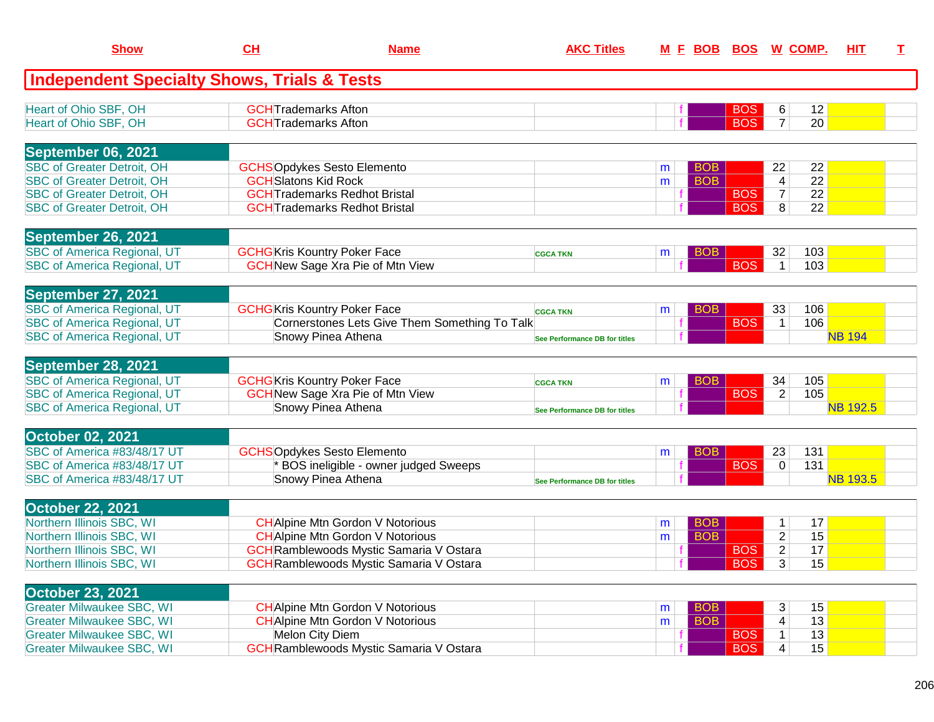| <b>Show</b>                                            | CH                                  | <b>Name</b>                                    | <b>AKC Titles</b>             |   |            | <u>M E BOB BOS W COMP.</u> |                |                 | <b>HIT</b>      | $\mathbf{T}$ |
|--------------------------------------------------------|-------------------------------------|------------------------------------------------|-------------------------------|---|------------|----------------------------|----------------|-----------------|-----------------|--------------|
| <b>Independent Specialty Shows, Trials &amp; Tests</b> |                                     |                                                |                               |   |            |                            |                |                 |                 |              |
| Heart of Ohio SBF, OH                                  | <b>GCHT</b> rademarks Afton         |                                                |                               |   |            | <b>BOS</b>                 | 6              | 12              |                 |              |
| Heart of Ohio SBF, OH                                  | <b>GCHT</b> rademarks Afton         |                                                |                               |   |            | <b>BOS</b>                 | $\overline{7}$ | 20              |                 |              |
| September 06, 2021                                     |                                     |                                                |                               |   |            |                            |                |                 |                 |              |
| <b>SBC of Greater Detroit, OH</b>                      | <b>GCHSOpdykes Sesto Elemento</b>   |                                                |                               | m | <b>BOB</b> |                            | 22             | 22              |                 |              |
| <b>SBC of Greater Detroit, OH</b>                      | <b>GCH</b> Slatons Kid Rock         |                                                |                               | m | <b>BOB</b> |                            | 4              | $\overline{22}$ |                 |              |
| <b>SBC of Greater Detroit, OH</b>                      |                                     | <b>GCH</b> Trademarks Redhot Bristal           |                               |   |            | <b>BOS</b>                 | $\overline{7}$ | 22              |                 |              |
| <b>SBC of Greater Detroit, OH</b>                      |                                     | <b>GCHTrademarks Redhot Bristal</b>            |                               |   |            | <b>BOS</b>                 | 8              | 22              |                 |              |
| September 26, 2021                                     |                                     |                                                |                               |   |            |                            |                |                 |                 |              |
| <b>SBC of America Regional, UT</b>                     | <b>GCHG</b> Kris Kountry Poker Face |                                                | <b>CGCA TKN</b>               | m | <b>BOB</b> |                            | 32             | 103             |                 |              |
| <b>SBC of America Regional, UT</b>                     |                                     | <b>GCH New Sage Xra Pie of Mtn View</b>        |                               |   |            | <b>BOS</b>                 | $\mathbf 1$    | 103             |                 |              |
| September 27, 2021                                     |                                     |                                                |                               |   |            |                            |                |                 |                 |              |
| <b>SBC of America Regional, UT</b>                     | <b>GCHG</b> Kris Kountry Poker Face |                                                | <b>CGCA TKN</b>               | m | <b>BOB</b> |                            | 33             | 106             |                 |              |
| <b>SBC of America Regional, UT</b>                     |                                     | Cornerstones Lets Give Them Something To Talk  |                               |   |            | <b>BOS</b>                 | $\mathbf{1}$   | 106             |                 |              |
| <b>SBC of America Regional, UT</b>                     | Snowy Pinea Athena                  |                                                | See Performance DB for titles |   |            |                            |                |                 | <b>NB 194</b>   |              |
| September 28, 2021                                     |                                     |                                                |                               |   |            |                            |                |                 |                 |              |
| <b>SBC of America Regional, UT</b>                     | <b>GCHG</b> Kris Kountry Poker Face |                                                | <b>CGCA TKN</b>               | m | <b>BOB</b> |                            | 34             | 105             |                 |              |
| <b>SBC of America Regional, UT</b>                     |                                     | <b>GCH</b> New Sage Xra Pie of Mtn View        |                               |   |            | <b>BOS</b>                 | 2              | 105             |                 |              |
| <b>SBC of America Regional, UT</b>                     | Snowy Pinea Athena                  |                                                | See Performance DB for titles |   |            |                            |                |                 | <b>NB 192.5</b> |              |
| <b>October 02, 2021</b>                                |                                     |                                                |                               |   |            |                            |                |                 |                 |              |
| SBC of America #83/48/17 UT                            | <b>GCHSOpdykes Sesto Elemento</b>   |                                                |                               | m | <b>BOB</b> |                            | 23             | 131             |                 |              |
| SBC of America #83/48/17 UT                            |                                     | BOS ineligible - owner judged Sweeps           |                               |   |            | <b>BOS</b>                 | 0              | 131             |                 |              |
| SBC of America #83/48/17 UT                            | Snowy Pinea Athena                  |                                                | See Performance DB for titles |   |            |                            |                |                 | <b>NB 193.5</b> |              |
| <b>October 22, 2021</b>                                |                                     |                                                |                               |   |            |                            |                |                 |                 |              |
| Northern Illinois SBC, WI                              |                                     | <b>CH</b> Alpine Mtn Gordon V Notorious        |                               | m | <b>BOB</b> |                            | 1              | 17              |                 |              |
| Northern Illinois SBC, WI                              |                                     | <b>CH</b> Alpine Mtn Gordon V Notorious        |                               | m | <b>BOB</b> |                            | $\overline{2}$ | 15              |                 |              |
| Northern Illinois SBC, WI                              |                                     | <b>GCH</b> Ramblewoods Mystic Samaria V Ostara |                               |   |            | <b>BOS</b>                 | $\overline{2}$ | 17              |                 |              |
| Northern Illinois SBC, WI                              |                                     | <b>GCH</b> Ramblewoods Mystic Samaria V Ostara |                               |   |            | $ $ BOS                    | $\overline{3}$ | 15              |                 |              |
| <b>October 23, 2021</b>                                |                                     |                                                |                               |   |            |                            |                |                 |                 |              |
| <b>Greater Milwaukee SBC, WI</b>                       |                                     | <b>CH</b> Alpine Mtn Gordon V Notorious        |                               | m | <b>BOB</b> |                            | 3              | 15              |                 |              |
| <b>Greater Milwaukee SBC, WI</b>                       |                                     | <b>CH</b> Alpine Mtn Gordon V Notorious        |                               | m | <b>BOB</b> |                            | 4              | 13              |                 |              |
| <b>Greater Milwaukee SBC, WI</b>                       | Melon City Diem                     |                                                |                               |   |            | <b>BOS</b>                 | $\mathbf{1}$   | 13              |                 |              |
| <b>Greater Milwaukee SBC, WI</b>                       |                                     | <b>GCH</b> Ramblewoods Mystic Samaria V Ostara |                               |   |            | <b>BOS</b>                 | 4              | 15              |                 |              |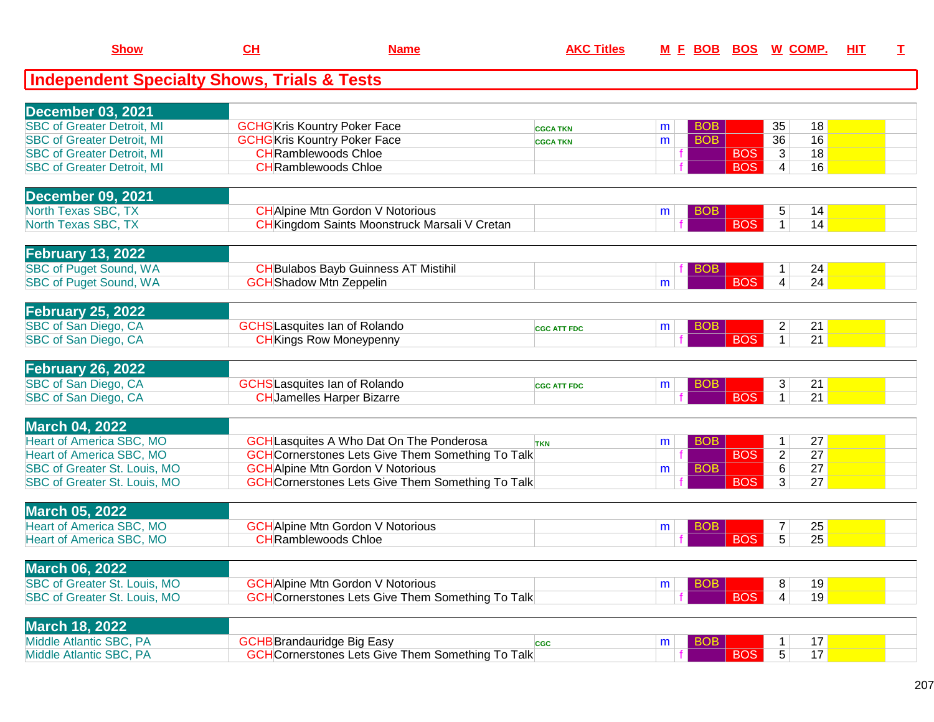| <b>Show</b>                                            | CL | <b>Name</b>                                              | <b>AKC Titles</b>  |   |            |            | M E BOB BOS W COMP. |    | HIT | $\mathbf I$ |
|--------------------------------------------------------|----|----------------------------------------------------------|--------------------|---|------------|------------|---------------------|----|-----|-------------|
| <b>Independent Specialty Shows, Trials &amp; Tests</b> |    |                                                          |                    |   |            |            |                     |    |     |             |
|                                                        |    |                                                          |                    |   |            |            |                     |    |     |             |
| <b>December 03, 2021</b>                               |    |                                                          |                    |   |            |            |                     |    |     |             |
| <b>SBC of Greater Detroit, MI</b>                      |    | <b>GCHG</b> Kris Kountry Poker Face                      | <b>CGCA TKN</b>    | m | <b>BOB</b> |            | 35                  | 18 |     |             |
| <b>SBC of Greater Detroit, MI</b>                      |    | <b>GCHG</b> Kris Kountry Poker Face                      | <b>CGCA TKN</b>    | m | <b>BOB</b> |            | 36                  | 16 |     |             |
| <b>SBC of Greater Detroit, MI</b>                      |    | <b>CH</b> Ramblewoods Chloe                              |                    |   |            | <b>BOS</b> | $\mathbf{3}$        | 18 |     |             |
| <b>SBC of Greater Detroit, MI</b>                      |    | <b>CH</b> Ramblewoods Chloe                              |                    |   |            | <b>BOS</b> | 4                   | 16 |     |             |
| <b>December 09, 2021</b>                               |    |                                                          |                    |   |            |            |                     |    |     |             |
| North Texas SBC, TX                                    |    | <b>CH</b> Alpine Mtn Gordon V Notorious                  |                    | m | <b>BOB</b> |            | 5                   | 14 |     |             |
| North Texas SBC, TX                                    |    | <b>CH</b> Kingdom Saints Moonstruck Marsali V Cretan     |                    |   |            | <b>BOS</b> | $\mathbf 1$         | 14 |     |             |
| <b>February 13, 2022</b>                               |    |                                                          |                    |   |            |            |                     |    |     |             |
| <b>SBC of Puget Sound, WA</b>                          |    | <b>CH</b> Bulabos Bayb Guinness AT Mistihil              |                    |   | <b>BOB</b> |            |                     | 24 |     |             |
| <b>SBC of Puget Sound, WA</b>                          |    | <b>GCH</b> Shadow Mtn Zeppelin                           |                    | m |            | <b>BOS</b> | 4                   | 24 |     |             |
|                                                        |    |                                                          |                    |   |            |            |                     |    |     |             |
| <b>February 25, 2022</b>                               |    |                                                          |                    |   |            |            |                     |    |     |             |
| SBC of San Diego, CA                                   |    | <b>GCHS</b> Lasquites Ian of Rolando                     | <b>CGC ATT FDC</b> | m | <b>BOB</b> |            | $\overline{2}$      | 21 |     |             |
| SBC of San Diego, CA                                   |    | <b>CH</b> Kings Row Moneypenny                           |                    |   |            | <b>BOS</b> | $\mathbf{1}$        | 21 |     |             |
| <b>February 26, 2022</b>                               |    |                                                          |                    |   |            |            |                     |    |     |             |
| SBC of San Diego, CA                                   |    | <b>GCHS</b> Lasquites Ian of Rolando                     | <b>CGC ATT FDC</b> | m | <b>BOB</b> |            | 3                   | 21 |     |             |
| SBC of San Diego, CA                                   |    | <b>CH</b> Jamelles Harper Bizarre                        |                    |   |            | <b>BOS</b> | $\mathbf{1}$        | 21 |     |             |
|                                                        |    |                                                          |                    |   |            |            |                     |    |     |             |
| <b>March 04, 2022</b>                                  |    |                                                          |                    |   |            |            |                     |    |     |             |
| <b>Heart of America SBC, MO</b>                        |    | <b>GCH</b> Lasquites A Who Dat On The Ponderosa          | <b>TKN</b>         | m | <b>BOB</b> |            | $\mathbf 1$         | 27 |     |             |
| <b>Heart of America SBC, MO</b>                        |    | <b>GCH</b> Cornerstones Lets Give Them Something To Talk |                    |   |            | <b>BOS</b> | $\overline{2}$      | 27 |     |             |
| <b>SBC of Greater St. Louis, MO</b>                    |    | <b>GCH</b> Alpine Mtn Gordon V Notorious                 |                    | m | <b>BOB</b> |            | 6                   | 27 |     |             |
| SBC of Greater St. Louis, MO                           |    | <b>GCH</b> Cornerstones Lets Give Them Something To Talk |                    |   |            | <b>BOS</b> | 3                   | 27 |     |             |
| <b>March 05, 2022</b>                                  |    |                                                          |                    |   |            |            |                     |    |     |             |
| <b>Heart of America SBC, MO</b>                        |    | <b>GCH</b> Alpine Mtn Gordon V Notorious                 |                    | m | <b>BOB</b> |            | $\overline{7}$      | 25 |     |             |
| <b>Heart of America SBC, MO</b>                        |    | <b>CH</b> Ramblewoods Chloe                              |                    |   |            | <b>BOS</b> | $\overline{5}$      | 25 |     |             |
|                                                        |    |                                                          |                    |   |            |            |                     |    |     |             |
| <b>March 06, 2022</b>                                  |    |                                                          |                    |   |            |            |                     |    |     |             |
| SBC of Greater St. Louis, MO                           |    | <b>GCH</b> Alpine Mtn Gordon V Notorious                 |                    | m | <b>BOB</b> |            | 8                   | 19 |     |             |
| SBC of Greater St. Louis, MO                           |    | <b>GCH</b> Cornerstones Lets Give Them Something To Talk |                    |   |            | <b>BOS</b> | $\overline{4}$      | 19 |     |             |
| <b>March 18, 2022</b>                                  |    |                                                          |                    |   |            |            |                     |    |     |             |
| Middle Atlantic SBC, PA                                |    | <b>GCHB</b> Brandauridge Big Easy                        | <b>CGC</b>         | m | <b>BOB</b> |            |                     | 17 |     |             |
| Middle Atlantic SBC, PA                                |    | <b>GCH</b> Cornerstones Lets Give Them Something To Talk |                    |   |            | <b>BOS</b> | 5 <sup>5</sup>      | 17 |     |             |
|                                                        |    |                                                          |                    |   |            |            |                     |    |     |             |